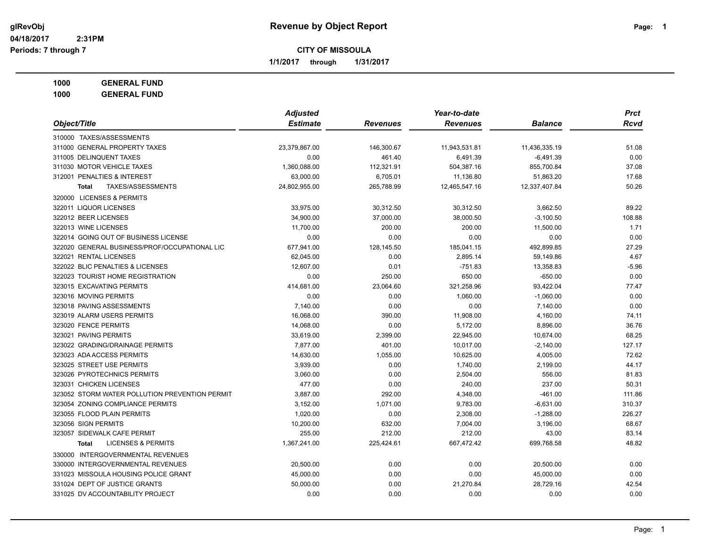**1/1/2017 through 1/31/2017**

**1000 GENERAL FUND**

**1000 GENERAL FUND**

|                                                | <b>Adjusted</b> |                 | Year-to-date    |                | <b>Prct</b> |
|------------------------------------------------|-----------------|-----------------|-----------------|----------------|-------------|
| Object/Title                                   | <b>Estimate</b> | <b>Revenues</b> | <b>Revenues</b> | <b>Balance</b> | <b>Rcvd</b> |
| 310000 TAXES/ASSESSMENTS                       |                 |                 |                 |                |             |
| 311000 GENERAL PROPERTY TAXES                  | 23,379,867.00   | 146,300.67      | 11,943,531.81   | 11,436,335.19  | 51.08       |
| 311005 DELINQUENT TAXES                        | 0.00            | 461.40          | 6,491.39        | $-6,491.39$    | 0.00        |
| 311030 MOTOR VEHICLE TAXES                     | 1,360,088.00    | 112,321.91      | 504,387.16      | 855,700.84     | 37.08       |
| 312001 PENALTIES & INTEREST                    | 63,000.00       | 6,705.01        | 11,136.80       | 51,863.20      | 17.68       |
| TAXES/ASSESSMENTS<br><b>Total</b>              | 24,802,955.00   | 265,788.99      | 12,465,547.16   | 12,337,407.84  | 50.26       |
| 320000 LICENSES & PERMITS                      |                 |                 |                 |                |             |
| 322011 LIQUOR LICENSES                         | 33,975.00       | 30,312.50       | 30,312.50       | 3,662.50       | 89.22       |
| 322012 BEER LICENSES                           | 34,900.00       | 37,000.00       | 38,000.50       | $-3,100.50$    | 108.88      |
| 322013 WINE LICENSES                           | 11,700.00       | 200.00          | 200.00          | 11,500.00      | 1.71        |
| 322014 GOING OUT OF BUSINESS LICENSE           | 0.00            | 0.00            | 0.00            | 0.00           | 0.00        |
| 322020 GENERAL BUSINESS/PROF/OCCUPATIONAL LIC  | 677,941.00      | 128,145.50      | 185,041.15      | 492,899.85     | 27.29       |
| 322021 RENTAL LICENSES                         | 62,045.00       | 0.00            | 2,895.14        | 59,149.86      | 4.67        |
| 322022 BLIC PENALTIES & LICENSES               | 12,607.00       | 0.01            | $-751.83$       | 13,358.83      | $-5.96$     |
| 322023 TOURIST HOME REGISTRATION               | 0.00            | 250.00          | 650.00          | $-650.00$      | 0.00        |
| 323015 EXCAVATING PERMITS                      | 414,681.00      | 23,064.60       | 321,258.96      | 93,422.04      | 77.47       |
| 323016 MOVING PERMITS                          | 0.00            | 0.00            | 1,060.00        | $-1,060.00$    | 0.00        |
| 323018 PAVING ASSESSMENTS                      | 7,140.00        | 0.00            | 0.00            | 7,140.00       | 0.00        |
| 323019 ALARM USERS PERMITS                     | 16,068.00       | 390.00          | 11,908.00       | 4,160.00       | 74.11       |
| 323020 FENCE PERMITS                           | 14,068.00       | 0.00            | 5,172.00        | 8,896.00       | 36.76       |
| 323021 PAVING PERMITS                          | 33,619.00       | 2,399.00        | 22,945.00       | 10,674.00      | 68.25       |
| 323022 GRADING/DRAINAGE PERMITS                | 7,877.00        | 401.00          | 10,017.00       | $-2,140.00$    | 127.17      |
| 323023 ADA ACCESS PERMITS                      | 14,630.00       | 1,055.00        | 10,625.00       | 4,005.00       | 72.62       |
| 323025 STREET USE PERMITS                      | 3,939.00        | 0.00            | 1,740.00        | 2,199.00       | 44.17       |
| 323026 PYROTECHNICS PERMITS                    | 3,060.00        | 0.00            | 2,504.00        | 556.00         | 81.83       |
| 323031 CHICKEN LICENSES                        | 477.00          | 0.00            | 240.00          | 237.00         | 50.31       |
| 323052 STORM WATER POLLUTION PREVENTION PERMIT | 3,887.00        | 292.00          | 4,348.00        | $-461.00$      | 111.86      |
| 323054 ZONING COMPLIANCE PERMITS               | 3,152.00        | 1,071.00        | 9,783.00        | $-6,631.00$    | 310.37      |
| 323055 FLOOD PLAIN PERMITS                     | 1,020.00        | 0.00            | 2,308.00        | $-1,288.00$    | 226.27      |
| 323056 SIGN PERMITS                            | 10,200.00       | 632.00          | 7,004.00        | 3,196.00       | 68.67       |
| 323057 SIDEWALK CAFE PERMIT                    | 255.00          | 212.00          | 212.00          | 43.00          | 83.14       |
| <b>LICENSES &amp; PERMITS</b><br><b>Total</b>  | 1,367,241.00    | 225,424.61      | 667,472.42      | 699,768.58     | 48.82       |
| 330000 INTERGOVERNMENTAL REVENUES              |                 |                 |                 |                |             |
| 330000 INTERGOVERNMENTAL REVENUES              | 20,500.00       | 0.00            | 0.00            | 20,500.00      | 0.00        |
| 331023 MISSOULA HOUSING POLICE GRANT           | 45,000.00       | 0.00            | 0.00            | 45,000.00      | 0.00        |
| 331024 DEPT OF JUSTICE GRANTS                  | 50,000.00       | 0.00            | 21,270.84       | 28,729.16      | 42.54       |
| 331025 DV ACCOUNTABILITY PROJECT               | 0.00            | 0.00            | 0.00            | 0.00           | 0.00        |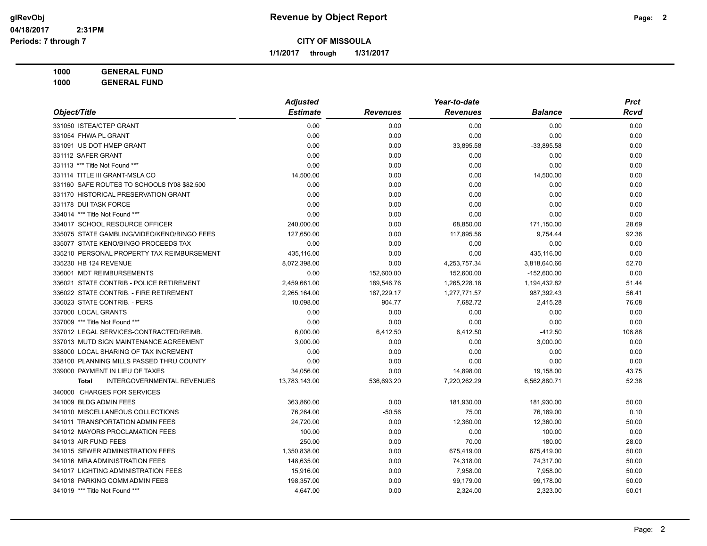**1/1/2017 through 1/31/2017**

|                                             | <b>Adjusted</b> |                 | Year-to-date    |                | <b>Prct</b> |
|---------------------------------------------|-----------------|-----------------|-----------------|----------------|-------------|
| Object/Title                                | <b>Estimate</b> | <b>Revenues</b> | <b>Revenues</b> | <b>Balance</b> | <b>Rcvd</b> |
| 331050 ISTEA/CTEP GRANT                     | 0.00            | 0.00            | 0.00            | 0.00           | 0.00        |
| 331054 FHWA PL GRANT                        | 0.00            | 0.00            | 0.00            | 0.00           | 0.00        |
| 331091 US DOT HMEP GRANT                    | 0.00            | 0.00            | 33,895.58       | $-33,895.58$   | 0.00        |
| 331112 SAFER GRANT                          | 0.00            | 0.00            | 0.00            | 0.00           | 0.00        |
| 331113 *** Title Not Found ***              | 0.00            | 0.00            | 0.00            | 0.00           | 0.00        |
| 331114 TITLE III GRANT-MSLA CO              | 14,500.00       | 0.00            | 0.00            | 14,500.00      | 0.00        |
| 331160 SAFE ROUTES TO SCHOOLS fY08 \$82,500 | 0.00            | 0.00            | 0.00            | 0.00           | 0.00        |
| 331170 HISTORICAL PRESERVATION GRANT        | 0.00            | 0.00            | 0.00            | 0.00           | 0.00        |
| 331178 DUI TASK FORCE                       | 0.00            | 0.00            | 0.00            | 0.00           | 0.00        |
| 334014 *** Title Not Found ***              | 0.00            | 0.00            | 0.00            | 0.00           | 0.00        |
| 334017 SCHOOL RESOURCE OFFICER              | 240,000.00      | 0.00            | 68,850.00       | 171,150.00     | 28.69       |
| 335075 STATE GAMBLING/VIDEO/KENO/BINGO FEES | 127,650.00      | 0.00            | 117,895.56      | 9,754.44       | 92.36       |
| 335077 STATE KENO/BINGO PROCEEDS TAX        | 0.00            | 0.00            | 0.00            | 0.00           | 0.00        |
| 335210 PERSONAL PROPERTY TAX REIMBURSEMENT  | 435,116.00      | 0.00            | 0.00            | 435,116.00     | 0.00        |
| 335230 HB 124 REVENUE                       | 8,072,398.00    | 0.00            | 4,253,757.34    | 3,818,640.66   | 52.70       |
| 336001 MDT REIMBURSEMENTS                   | 0.00            | 152,600.00      | 152,600.00      | $-152,600.00$  | 0.00        |
| 336021 STATE CONTRIB - POLICE RETIREMENT    | 2,459,661.00    | 189,546.76      | 1,265,228.18    | 1,194,432.82   | 51.44       |
| 336022 STATE CONTRIB. - FIRE RETIREMENT     | 2,265,164.00    | 187,229.17      | 1,277,771.57    | 987,392.43     | 56.41       |
| 336023 STATE CONTRIB. - PERS                | 10.098.00       | 904.77          | 7,682.72        | 2,415.28       | 76.08       |
| 337000 LOCAL GRANTS                         | 0.00            | 0.00            | 0.00            | 0.00           | 0.00        |
| 337009 *** Title Not Found ***              | 0.00            | 0.00            | 0.00            | 0.00           | 0.00        |
| 337012 LEGAL SERVICES-CONTRACTED/REIMB.     | 6,000.00        | 6,412.50        | 6,412.50        | $-412.50$      | 106.88      |
| 337013 MUTD SIGN MAINTENANCE AGREEMENT      | 3,000.00        | 0.00            | 0.00            | 3,000.00       | 0.00        |
| 338000 LOCAL SHARING OF TAX INCREMENT       | 0.00            | 0.00            | 0.00            | 0.00           | 0.00        |
| 338100 PLANNING MILLS PASSED THRU COUNTY    | 0.00            | 0.00            | 0.00            | 0.00           | 0.00        |
| 339000 PAYMENT IN LIEU OF TAXES             | 34,056.00       | 0.00            | 14,898.00       | 19,158.00      | 43.75       |
| INTERGOVERNMENTAL REVENUES<br><b>Total</b>  | 13,783,143.00   | 536,693.20      | 7,220,262.29    | 6,562,880.71   | 52.38       |
| 340000 CHARGES FOR SERVICES                 |                 |                 |                 |                |             |
| 341009 BLDG ADMIN FEES                      | 363,860.00      | 0.00            | 181,930.00      | 181,930.00     | 50.00       |
| 341010 MISCELLANEOUS COLLECTIONS            | 76,264.00       | $-50.56$        | 75.00           | 76,189.00      | 0.10        |
| 341011 TRANSPORTATION ADMIN FEES            | 24,720.00       | 0.00            | 12,360.00       | 12,360.00      | 50.00       |
| 341012 MAYORS PROCLAMATION FEES             | 100.00          | 0.00            | 0.00            | 100.00         | 0.00        |
| 341013 AIR FUND FEES                        | 250.00          | 0.00            | 70.00           | 180.00         | 28.00       |
| 341015 SEWER ADMINISTRATION FEES            | 1,350,838.00    | 0.00            | 675,419.00      | 675,419.00     | 50.00       |
| 341016 MRA ADMINISTRATION FEES              | 148,635.00      | 0.00            | 74,318.00       | 74,317.00      | 50.00       |
| 341017 LIGHTING ADMINISTRATION FEES         | 15,916.00       | 0.00            | 7,958.00        | 7,958.00       | 50.00       |
| 341018 PARKING COMM ADMIN FEES              | 198,357.00      | 0.00            | 99,179.00       | 99,178.00      | 50.00       |
| 341019 *** Title Not Found ***              | 4,647.00        | 0.00            | 2,324.00        | 2,323.00       | 50.01       |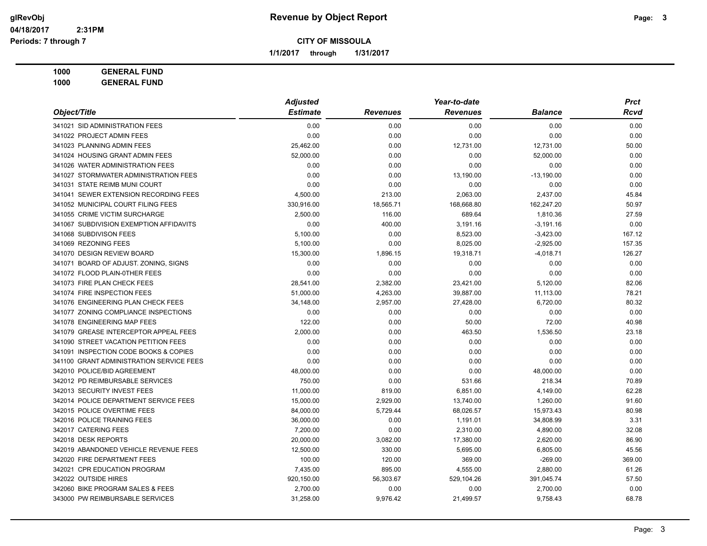**1/1/2017 through 1/31/2017**

|                                          | <b>Adjusted</b> |                 | Year-to-date    |                | <b>Prct</b> |
|------------------------------------------|-----------------|-----------------|-----------------|----------------|-------------|
| Object/Title                             | <b>Estimate</b> | <b>Revenues</b> | <b>Revenues</b> | <b>Balance</b> | <b>Rcvd</b> |
| 341021 SID ADMINISTRATION FEES           | 0.00            | 0.00            | 0.00            | 0.00           | 0.00        |
| 341022 PROJECT ADMIN FEES                | 0.00            | 0.00            | 0.00            | 0.00           | 0.00        |
| 341023 PLANNING ADMIN FEES               | 25,462.00       | 0.00            | 12,731.00       | 12,731.00      | 50.00       |
| 341024 HOUSING GRANT ADMIN FEES          | 52,000.00       | 0.00            | 0.00            | 52,000.00      | 0.00        |
| 341026 WATER ADMINISTRATION FEES         | 0.00            | 0.00            | 0.00            | 0.00           | 0.00        |
| 341027 STORMWATER ADMINISTRATION FEES    | 0.00            | 0.00            | 13,190.00       | $-13,190.00$   | 0.00        |
| 341031 STATE REIMB MUNI COURT            | 0.00            | 0.00            | 0.00            | 0.00           | 0.00        |
| 341041 SEWER EXTENSION RECORDING FEES    | 4,500.00        | 213.00          | 2,063.00        | 2,437.00       | 45.84       |
| 341052 MUNICIPAL COURT FILING FEES       | 330,916.00      | 18,565.71       | 168,668.80      | 162,247.20     | 50.97       |
| 341055 CRIME VICTIM SURCHARGE            | 2.500.00        | 116.00          | 689.64          | 1,810.36       | 27.59       |
| 341067 SUBDIVISION EXEMPTION AFFIDAVITS  | 0.00            | 400.00          | 3,191.16        | $-3,191.16$    | 0.00        |
| 341068 SUBDIVISON FEES                   | 5,100.00        | 0.00            | 8,523.00        | $-3,423.00$    | 167.12      |
| 341069 REZONING FEES                     | 5,100.00        | 0.00            | 8,025.00        | $-2,925.00$    | 157.35      |
| 341070 DESIGN REVIEW BOARD               | 15,300.00       | 1,896.15        | 19,318.71       | $-4,018.71$    | 126.27      |
| 341071 BOARD OF ADJUST. ZONING, SIGNS    | 0.00            | 0.00            | 0.00            | 0.00           | 0.00        |
| 341072 FLOOD PLAIN-0THER FEES            | 0.00            | 0.00            | 0.00            | 0.00           | 0.00        |
| 341073 FIRE PLAN CHECK FEES              | 28,541.00       | 2,382.00        | 23,421.00       | 5,120.00       | 82.06       |
| 341074 FIRE INSPECTION FEES              | 51,000.00       | 4,263.00        | 39,887.00       | 11,113.00      | 78.21       |
| 341076 ENGINEERING PLAN CHECK FEES       | 34,148.00       | 2,957.00        | 27,428.00       | 6,720.00       | 80.32       |
| 341077 ZONING COMPLIANCE INSPECTIONS     | 0.00            | 0.00            | 0.00            | 0.00           | 0.00        |
| 341078 ENGINEERING MAP FEES              | 122.00          | 0.00            | 50.00           | 72.00          | 40.98       |
| 341079 GREASE INTERCEPTOR APPEAL FEES    | 2,000.00        | 0.00            | 463.50          | 1,536.50       | 23.18       |
| 341090 STREET VACATION PETITION FEES     | 0.00            | 0.00            | 0.00            | 0.00           | 0.00        |
| 341091 INSPECTION CODE BOOKS & COPIES    | 0.00            | 0.00            | 0.00            | 0.00           | 0.00        |
| 341100 GRANT ADMINISTRATION SERVICE FEES | 0.00            | 0.00            | 0.00            | 0.00           | 0.00        |
| 342010 POLICE/BID AGREEMENT              | 48,000.00       | 0.00            | 0.00            | 48,000.00      | 0.00        |
| 342012 PD REIMBURSABLE SERVICES          | 750.00          | 0.00            | 531.66          | 218.34         | 70.89       |
| 342013 SECURITY INVEST FEES              | 11,000.00       | 819.00          | 6,851.00        | 4,149.00       | 62.28       |
| 342014 POLICE DEPARTMENT SERVICE FEES    | 15,000.00       | 2,929.00        | 13,740.00       | 1,260.00       | 91.60       |
| 342015 POLICE OVERTIME FEES              | 84,000.00       | 5,729.44        | 68,026.57       | 15,973.43      | 80.98       |
| 342016 POLICE TRAINING FEES              | 36,000.00       | 0.00            | 1,191.01        | 34,808.99      | 3.31        |
| 342017 CATERING FEES                     | 7,200.00        | 0.00            | 2,310.00        | 4,890.00       | 32.08       |
| 342018 DESK REPORTS                      | 20,000.00       | 3,082.00        | 17,380.00       | 2,620.00       | 86.90       |
| 342019 ABANDONED VEHICLE REVENUE FEES    | 12,500.00       | 330.00          | 5,695.00        | 6,805.00       | 45.56       |
| 342020 FIRE DEPARTMENT FEES              | 100.00          | 120.00          | 369.00          | $-269.00$      | 369.00      |
| 342021 CPR EDUCATION PROGRAM             | 7,435.00        | 895.00          | 4,555.00        | 2,880.00       | 61.26       |
| 342022 OUTSIDE HIRES                     | 920,150.00      | 56,303.67       | 529,104.26      | 391,045.74     | 57.50       |
| 342060 BIKE PROGRAM SALES & FEES         | 2,700.00        | 0.00            | 0.00            | 2,700.00       | 0.00        |
| 343000 PW REIMBURSABLE SERVICES          | 31,258.00       | 9,976.42        | 21,499.57       | 9,758.43       | 68.78       |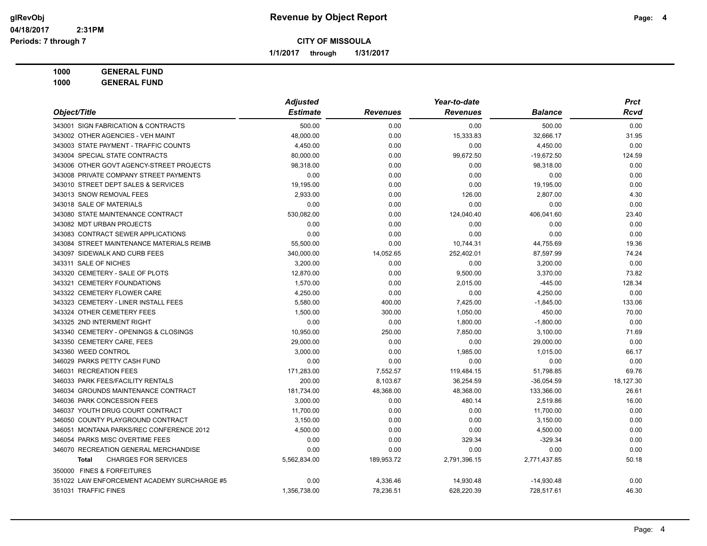**1/1/2017 through 1/31/2017**

|                                             | <b>Adjusted</b> |                 | Year-to-date    |                | <b>Prct</b> |
|---------------------------------------------|-----------------|-----------------|-----------------|----------------|-------------|
| Object/Title                                | <b>Estimate</b> | <b>Revenues</b> | <b>Revenues</b> | <b>Balance</b> | Rcvd        |
| 343001 SIGN FABRICATION & CONTRACTS         | 500.00          | 0.00            | 0.00            | 500.00         | 0.00        |
| 343002 OTHER AGENCIES - VEH MAINT           | 48,000.00       | 0.00            | 15,333.83       | 32,666.17      | 31.95       |
| 343003 STATE PAYMENT - TRAFFIC COUNTS       | 4,450.00        | 0.00            | 0.00            | 4,450.00       | 0.00        |
| 343004 SPECIAL STATE CONTRACTS              | 80,000.00       | 0.00            | 99,672.50       | $-19,672.50$   | 124.59      |
| 343006 OTHER GOVT AGENCY-STREET PROJECTS    | 98,318.00       | 0.00            | 0.00            | 98,318.00      | 0.00        |
| 343008 PRIVATE COMPANY STREET PAYMENTS      | 0.00            | 0.00            | 0.00            | 0.00           | 0.00        |
| 343010 STREET DEPT SALES & SERVICES         | 19,195.00       | 0.00            | 0.00            | 19,195.00      | 0.00        |
| 343013 SNOW REMOVAL FEES                    | 2,933.00        | 0.00            | 126.00          | 2,807.00       | 4.30        |
| 343018 SALE OF MATERIALS                    | 0.00            | 0.00            | 0.00            | 0.00           | 0.00        |
| 343080 STATE MAINTENANCE CONTRACT           | 530,082.00      | 0.00            | 124,040.40      | 406,041.60     | 23.40       |
| 343082 MDT URBAN PROJECTS                   | 0.00            | 0.00            | 0.00            | 0.00           | 0.00        |
| 343083 CONTRACT SEWER APPLICATIONS          | 0.00            | 0.00            | 0.00            | 0.00           | 0.00        |
| 343084 STREET MAINTENANCE MATERIALS REIMB   | 55,500.00       | 0.00            | 10,744.31       | 44,755.69      | 19.36       |
| 343097 SIDEWALK AND CURB FEES               | 340,000.00      | 14,052.65       | 252,402.01      | 87,597.99      | 74.24       |
| 343311 SALE OF NICHES                       | 3,200.00        | 0.00            | 0.00            | 3,200.00       | 0.00        |
| 343320 CEMETERY - SALE OF PLOTS             | 12,870.00       | 0.00            | 9,500.00        | 3,370.00       | 73.82       |
| 343321 CEMETERY FOUNDATIONS                 | 1,570.00        | 0.00            | 2,015.00        | $-445.00$      | 128.34      |
| 343322 CEMETERY FLOWER CARE                 | 4,250.00        | 0.00            | 0.00            | 4,250.00       | 0.00        |
| 343323 CEMETERY - LINER INSTALL FEES        | 5,580.00        | 400.00          | 7,425.00        | $-1,845.00$    | 133.06      |
| 343324 OTHER CEMETERY FEES                  | 1,500.00        | 300.00          | 1,050.00        | 450.00         | 70.00       |
| 343325 2ND INTERMENT RIGHT                  | 0.00            | 0.00            | 1,800.00        | $-1,800.00$    | 0.00        |
| 343340 CEMETERY - OPENINGS & CLOSINGS       | 10,950.00       | 250.00          | 7,850.00        | 3,100.00       | 71.69       |
| 343350 CEMETERY CARE, FEES                  | 29,000.00       | 0.00            | 0.00            | 29,000.00      | 0.00        |
| 343360 WEED CONTROL                         | 3,000.00        | 0.00            | 1,985.00        | 1,015.00       | 66.17       |
| 346029 PARKS PETTY CASH FUND                | 0.00            | 0.00            | 0.00            | 0.00           | 0.00        |
| 346031 RECREATION FEES                      | 171,283.00      | 7,552.57        | 119,484.15      | 51,798.85      | 69.76       |
| 346033 PARK FEES/FACILITY RENTALS           | 200.00          | 8,103.67        | 36,254.59       | $-36,054.59$   | 18,127.30   |
| 346034 GROUNDS MAINTENANCE CONTRACT         | 181,734.00      | 48,368.00       | 48,368.00       | 133,366.00     | 26.61       |
| 346036 PARK CONCESSION FEES                 | 3,000.00        | 0.00            | 480.14          | 2,519.86       | 16.00       |
| 346037 YOUTH DRUG COURT CONTRACT            | 11,700.00       | 0.00            | 0.00            | 11,700.00      | 0.00        |
| 346050 COUNTY PLAYGROUND CONTRACT           | 3,150.00        | 0.00            | 0.00            | 3,150.00       | 0.00        |
| 346051 MONTANA PARKS/REC CONFERENCE 2012    | 4,500.00        | 0.00            | 0.00            | 4,500.00       | 0.00        |
| 346054 PARKS MISC OVERTIME FEES             | 0.00            | 0.00            | 329.34          | $-329.34$      | 0.00        |
| 346070 RECREATION GENERAL MERCHANDISE       | 0.00            | 0.00            | 0.00            | 0.00           | 0.00        |
| <b>CHARGES FOR SERVICES</b><br><b>Total</b> | 5,562,834.00    | 189,953.72      | 2,791,396.15    | 2,771,437.85   | 50.18       |
| 350000 FINES & FORFEITURES                  |                 |                 |                 |                |             |
| 351022 LAW ENFORCEMENT ACADEMY SURCHARGE #5 | 0.00            | 4,336.46        | 14,930.48       | $-14,930.48$   | 0.00        |
| 351031 TRAFFIC FINES                        | 1,356,738.00    | 78,236.51       | 628,220.39      | 728,517.61     | 46.30       |
|                                             |                 |                 |                 |                |             |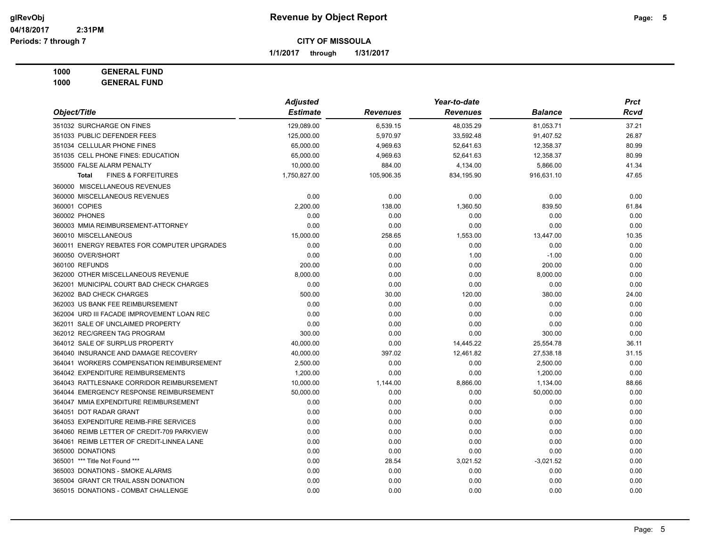**1/1/2017 through 1/31/2017**

|                                                | <b>Adjusted</b> |                 | Year-to-date    |                | <b>Prct</b> |
|------------------------------------------------|-----------------|-----------------|-----------------|----------------|-------------|
| Object/Title                                   | <b>Estimate</b> | <b>Revenues</b> | <b>Revenues</b> | <b>Balance</b> | Rcvd        |
| 351032 SURCHARGE ON FINES                      | 129,089.00      | 6,539.15        | 48,035.29       | 81,053.71      | 37.21       |
| 351033 PUBLIC DEFENDER FEES                    | 125,000.00      | 5,970.97        | 33,592.48       | 91,407.52      | 26.87       |
| 351034 CELLULAR PHONE FINES                    | 65,000.00       | 4,969.63        | 52,641.63       | 12,358.37      | 80.99       |
| 351035 CELL PHONE FINES: EDUCATION             | 65,000.00       | 4,969.63        | 52,641.63       | 12,358.37      | 80.99       |
| 355000 FALSE ALARM PENALTY                     | 10,000.00       | 884.00          | 4,134.00        | 5,866.00       | 41.34       |
| <b>FINES &amp; FORFEITURES</b><br><b>Total</b> | 1,750,827.00    | 105,906.35      | 834,195.90      | 916,631.10     | 47.65       |
| 360000 MISCELLANEOUS REVENUES                  |                 |                 |                 |                |             |
| 360000 MISCELLANEOUS REVENUES                  | 0.00            | 0.00            | 0.00            | 0.00           | 0.00        |
| 360001 COPIES                                  | 2,200.00        | 138.00          | 1,360.50        | 839.50         | 61.84       |
| 360002 PHONES                                  | 0.00            | 0.00            | 0.00            | 0.00           | 0.00        |
| 360003 MMIA REIMBURSEMENT-ATTORNEY             | 0.00            | 0.00            | 0.00            | 0.00           | 0.00        |
| 360010 MISCELLANEOUS                           | 15,000.00       | 258.65          | 1,553.00        | 13,447.00      | 10.35       |
| 360011 ENERGY REBATES FOR COMPUTER UPGRADES    | 0.00            | 0.00            | 0.00            | 0.00           | 0.00        |
| 360050 OVER/SHORT                              | 0.00            | 0.00            | 1.00            | $-1.00$        | 0.00        |
| 360100 REFUNDS                                 | 200.00          | 0.00            | 0.00            | 200.00         | 0.00        |
| 362000 OTHER MISCELLANEOUS REVENUE             | 8,000.00        | 0.00            | 0.00            | 8,000.00       | 0.00        |
| 362001 MUNICIPAL COURT BAD CHECK CHARGES       | 0.00            | 0.00            | 0.00            | 0.00           | 0.00        |
| 362002 BAD CHECK CHARGES                       | 500.00          | 30.00           | 120.00          | 380.00         | 24.00       |
| 362003 US BANK FEE REIMBURSEMENT               | 0.00            | 0.00            | 0.00            | 0.00           | 0.00        |
| 362004 URD III FACADE IMPROVEMENT LOAN REC     | 0.00            | 0.00            | 0.00            | 0.00           | 0.00        |
| 362011 SALE OF UNCLAIMED PROPERTY              | 0.00            | 0.00            | 0.00            | 0.00           | 0.00        |
| 362012 REC/GREEN TAG PROGRAM                   | 300.00          | 0.00            | 0.00            | 300.00         | 0.00        |
| 364012 SALE OF SURPLUS PROPERTY                | 40,000.00       | 0.00            | 14,445.22       | 25,554.78      | 36.11       |
| 364040 INSURANCE AND DAMAGE RECOVERY           | 40,000.00       | 397.02          | 12,461.82       | 27,538.18      | 31.15       |
| 364041 WORKERS COMPENSATION REIMBURSEMENT      | 2,500.00        | 0.00            | 0.00            | 2,500.00       | 0.00        |
| 364042 EXPENDITURE REIMBURSEMENTS              | 1,200.00        | 0.00            | 0.00            | 1,200.00       | 0.00        |
| 364043 RATTLESNAKE CORRIDOR REIMBURSEMENT      | 10,000.00       | 1,144.00        | 8,866.00        | 1,134.00       | 88.66       |
| 364044 EMERGENCY RESPONSE REIMBURSEMENT        | 50,000.00       | 0.00            | 0.00            | 50,000.00      | 0.00        |
| 364047 MMIA EXPENDITURE REIMBURSEMENT          | 0.00            | 0.00            | 0.00            | 0.00           | 0.00        |
| 364051 DOT RADAR GRANT                         | 0.00            | 0.00            | 0.00            | 0.00           | 0.00        |
| 364053 EXPENDITURE REIMB-FIRE SERVICES         | 0.00            | 0.00            | 0.00            | 0.00           | 0.00        |
| 364060 REIMB LETTER OF CREDIT-709 PARKVIEW     | 0.00            | 0.00            | 0.00            | 0.00           | 0.00        |
| 364061 REIMB LETTER OF CREDIT-LINNEA LANE      | 0.00            | 0.00            | 0.00            | 0.00           | 0.00        |
| 365000 DONATIONS                               | 0.00            | 0.00            | 0.00            | 0.00           | 0.00        |
| 365001 *** Title Not Found ***                 | 0.00            | 28.54           | 3,021.52        | $-3,021.52$    | 0.00        |
| 365003 DONATIONS - SMOKE ALARMS                | 0.00            | 0.00            | 0.00            | 0.00           | 0.00        |
| 365004 GRANT CR TRAIL ASSN DONATION            | 0.00            | 0.00            | 0.00            | 0.00           | 0.00        |
| 365015 DONATIONS - COMBAT CHALLENGE            | 0.00            | 0.00            | 0.00            | 0.00           | 0.00        |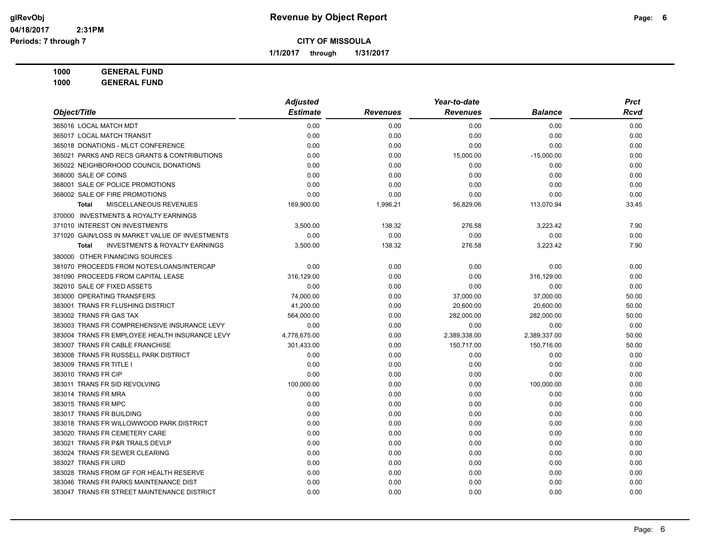**1/1/2017 through 1/31/2017**

| <b>Estimate</b><br><b>Revenues</b><br><b>Balance</b><br><b>Rcvd</b><br><b>Revenues</b><br>0.00<br>0.00<br>0.00<br>0.00<br>0.00<br>365016 LOCAL MATCH MDT<br>365017 LOCAL MATCH TRANSIT<br>0.00<br>0.00<br>0.00<br>0.00<br>0.00<br>0.00<br>0.00<br>365018 DONATIONS - MLCT CONFERENCE<br>0.00<br>0.00<br>0.00<br>365021 PARKS AND RECS GRANTS & CONTRIBUTIONS<br>0.00<br>0.00<br>15,000.00<br>$-15,000.00$<br>0.00<br>365022 NEIGHBORHOOD COUNCIL DONATIONS<br>0.00<br>0.00<br>0.00<br>0.00<br>0.00<br>368000 SALE OF COINS<br>0.00<br>0.00<br>0.00<br>0.00<br>0.00<br>368001 SALE OF POLICE PROMOTIONS<br>0.00<br>0.00<br>0.00<br>0.00<br>0.00<br>368002 SALE OF FIRE PROMOTIONS<br>0.00<br>0.00<br>0.00<br>0.00<br>0.00<br>MISCELLANEOUS REVENUES<br>169,900.00<br>1,996.21<br>56,829.06<br>113,070.94<br>33.45<br>Total<br>370000 INVESTMENTS & ROYALTY EARNINGS<br>371010 INTEREST ON INVESTMENTS<br>3,500.00<br>138.32<br>276.58<br>3.223.42<br>7.90<br>0.00<br>0.00<br>371020 GAIN/LOSS IN MARKET VALUE OF INVESTMENTS<br>0.00<br>0.00<br>0.00<br><b>INVESTMENTS &amp; ROYALTY EARNINGS</b><br>3,500.00<br>138.32<br>276.58<br>3,223.42<br>7.90<br>Total<br>380000 OTHER FINANCING SOURCES<br>381070 PROCEEDS FROM NOTES/LOANS/INTERCAP<br>0.00<br>0.00<br>0.00<br>0.00<br>0.00<br>381090 PROCEEDS FROM CAPITAL LEASE<br>316,129.00<br>0.00<br>0.00<br>316,129.00<br>0.00<br>382010 SALE OF FIXED ASSETS<br>0.00<br>0.00<br>0.00<br>0.00<br>0.00<br>383000 OPERATING TRANSFERS<br>74,000.00<br>0.00<br>37,000.00<br>37,000.00<br>50.00<br>383001 TRANS FR FLUSHING DISTRICT<br>41,200.00<br>0.00<br>20,600.00<br>20,600.00<br>50.00<br>383002 TRANS FR GAS TAX<br>564,000.00<br>0.00<br>282,000.00<br>282,000.00<br>50.00<br>383003 TRANS FR COMPREHENSIVE INSURANCE LEVY<br>0.00<br>0.00<br>0.00<br>0.00<br>0.00<br>383004 TRANS FR EMPLOYEE HEALTH INSURANCE LEVY<br>4,778,675.00<br>2,389,338.00<br>2,389,337.00<br>0.00<br>50.00<br>383007 TRANS FR CABLE FRANCHISE<br>301,433.00<br>0.00<br>150,717.00<br>150,716.00<br>50.00<br>383008 TRANS FR RUSSELL PARK DISTRICT<br>0.00<br>0.00<br>0.00<br>0.00<br>0.00<br>383009 TRANS FR TITLE I<br>0.00<br>0.00<br>0.00<br>0.00<br>0.00<br>383010 TRANS FR CIP<br>0.00<br>0.00<br>0.00<br>0.00<br>0.00<br>383011 TRANS FR SID REVOLVING<br>100,000.00<br>0.00<br>0.00<br>100,000.00<br>0.00<br>383014 TRANS FR MRA<br>0.00<br>0.00<br>0.00<br>0.00<br>0.00<br>383015 TRANS FR MPC<br>0.00<br>0.00<br>0.00<br>0.00<br>0.00<br>383017 TRANS FR BUILDING<br>0.00<br>0.00<br>0.00<br>0.00<br>0.00<br>383018 TRANS FR WILLOWWOOD PARK DISTRICT<br>0.00<br>0.00<br>0.00<br>0.00<br>0.00<br>383020 TRANS FR CEMETERY CARE<br>0.00<br>0.00<br>0.00<br>0.00<br>0.00<br>383021 TRANS FR P&R TRAILS DEVLP<br>0.00<br>0.00<br>0.00<br>0.00<br>0.00<br>383024 TRANS FR SEWER CLEARING<br>0.00<br>0.00<br>0.00<br>0.00<br>0.00<br>383027 TRANS FR URD<br>0.00<br>0.00<br>0.00<br>0.00<br>0.00<br>383028 TRANS FROM GF FOR HEALTH RESERVE<br>0.00<br>0.00<br>0.00<br>0.00<br>0.00<br>383046 TRANS FR PARKS MAINTENANCE DIST<br>0.00<br>0.00<br>0.00<br>0.00<br>0.00 |                                             | <b>Adjusted</b> |      | Year-to-date |      | <b>Prct</b> |
|----------------------------------------------------------------------------------------------------------------------------------------------------------------------------------------------------------------------------------------------------------------------------------------------------------------------------------------------------------------------------------------------------------------------------------------------------------------------------------------------------------------------------------------------------------------------------------------------------------------------------------------------------------------------------------------------------------------------------------------------------------------------------------------------------------------------------------------------------------------------------------------------------------------------------------------------------------------------------------------------------------------------------------------------------------------------------------------------------------------------------------------------------------------------------------------------------------------------------------------------------------------------------------------------------------------------------------------------------------------------------------------------------------------------------------------------------------------------------------------------------------------------------------------------------------------------------------------------------------------------------------------------------------------------------------------------------------------------------------------------------------------------------------------------------------------------------------------------------------------------------------------------------------------------------------------------------------------------------------------------------------------------------------------------------------------------------------------------------------------------------------------------------------------------------------------------------------------------------------------------------------------------------------------------------------------------------------------------------------------------------------------------------------------------------------------------------------------------------------------------------------------------------------------------------------------------------------------------------------------------------------------------------------------------------------------------------------------------------------------------------------------------------------------------------------------------------------------------------------------------------------------------------------------------------------------------------------------------------------------------------------------------------------------------------------------------------------------------------------|---------------------------------------------|-----------------|------|--------------|------|-------------|
|                                                                                                                                                                                                                                                                                                                                                                                                                                                                                                                                                                                                                                                                                                                                                                                                                                                                                                                                                                                                                                                                                                                                                                                                                                                                                                                                                                                                                                                                                                                                                                                                                                                                                                                                                                                                                                                                                                                                                                                                                                                                                                                                                                                                                                                                                                                                                                                                                                                                                                                                                                                                                                                                                                                                                                                                                                                                                                                                                                                                                                                                                                          | Object/Title                                |                 |      |              |      |             |
|                                                                                                                                                                                                                                                                                                                                                                                                                                                                                                                                                                                                                                                                                                                                                                                                                                                                                                                                                                                                                                                                                                                                                                                                                                                                                                                                                                                                                                                                                                                                                                                                                                                                                                                                                                                                                                                                                                                                                                                                                                                                                                                                                                                                                                                                                                                                                                                                                                                                                                                                                                                                                                                                                                                                                                                                                                                                                                                                                                                                                                                                                                          |                                             |                 |      |              |      |             |
|                                                                                                                                                                                                                                                                                                                                                                                                                                                                                                                                                                                                                                                                                                                                                                                                                                                                                                                                                                                                                                                                                                                                                                                                                                                                                                                                                                                                                                                                                                                                                                                                                                                                                                                                                                                                                                                                                                                                                                                                                                                                                                                                                                                                                                                                                                                                                                                                                                                                                                                                                                                                                                                                                                                                                                                                                                                                                                                                                                                                                                                                                                          |                                             |                 |      |              |      |             |
|                                                                                                                                                                                                                                                                                                                                                                                                                                                                                                                                                                                                                                                                                                                                                                                                                                                                                                                                                                                                                                                                                                                                                                                                                                                                                                                                                                                                                                                                                                                                                                                                                                                                                                                                                                                                                                                                                                                                                                                                                                                                                                                                                                                                                                                                                                                                                                                                                                                                                                                                                                                                                                                                                                                                                                                                                                                                                                                                                                                                                                                                                                          |                                             |                 |      |              |      |             |
|                                                                                                                                                                                                                                                                                                                                                                                                                                                                                                                                                                                                                                                                                                                                                                                                                                                                                                                                                                                                                                                                                                                                                                                                                                                                                                                                                                                                                                                                                                                                                                                                                                                                                                                                                                                                                                                                                                                                                                                                                                                                                                                                                                                                                                                                                                                                                                                                                                                                                                                                                                                                                                                                                                                                                                                                                                                                                                                                                                                                                                                                                                          |                                             |                 |      |              |      |             |
|                                                                                                                                                                                                                                                                                                                                                                                                                                                                                                                                                                                                                                                                                                                                                                                                                                                                                                                                                                                                                                                                                                                                                                                                                                                                                                                                                                                                                                                                                                                                                                                                                                                                                                                                                                                                                                                                                                                                                                                                                                                                                                                                                                                                                                                                                                                                                                                                                                                                                                                                                                                                                                                                                                                                                                                                                                                                                                                                                                                                                                                                                                          |                                             |                 |      |              |      |             |
|                                                                                                                                                                                                                                                                                                                                                                                                                                                                                                                                                                                                                                                                                                                                                                                                                                                                                                                                                                                                                                                                                                                                                                                                                                                                                                                                                                                                                                                                                                                                                                                                                                                                                                                                                                                                                                                                                                                                                                                                                                                                                                                                                                                                                                                                                                                                                                                                                                                                                                                                                                                                                                                                                                                                                                                                                                                                                                                                                                                                                                                                                                          |                                             |                 |      |              |      |             |
|                                                                                                                                                                                                                                                                                                                                                                                                                                                                                                                                                                                                                                                                                                                                                                                                                                                                                                                                                                                                                                                                                                                                                                                                                                                                                                                                                                                                                                                                                                                                                                                                                                                                                                                                                                                                                                                                                                                                                                                                                                                                                                                                                                                                                                                                                                                                                                                                                                                                                                                                                                                                                                                                                                                                                                                                                                                                                                                                                                                                                                                                                                          |                                             |                 |      |              |      |             |
|                                                                                                                                                                                                                                                                                                                                                                                                                                                                                                                                                                                                                                                                                                                                                                                                                                                                                                                                                                                                                                                                                                                                                                                                                                                                                                                                                                                                                                                                                                                                                                                                                                                                                                                                                                                                                                                                                                                                                                                                                                                                                                                                                                                                                                                                                                                                                                                                                                                                                                                                                                                                                                                                                                                                                                                                                                                                                                                                                                                                                                                                                                          |                                             |                 |      |              |      |             |
|                                                                                                                                                                                                                                                                                                                                                                                                                                                                                                                                                                                                                                                                                                                                                                                                                                                                                                                                                                                                                                                                                                                                                                                                                                                                                                                                                                                                                                                                                                                                                                                                                                                                                                                                                                                                                                                                                                                                                                                                                                                                                                                                                                                                                                                                                                                                                                                                                                                                                                                                                                                                                                                                                                                                                                                                                                                                                                                                                                                                                                                                                                          |                                             |                 |      |              |      |             |
|                                                                                                                                                                                                                                                                                                                                                                                                                                                                                                                                                                                                                                                                                                                                                                                                                                                                                                                                                                                                                                                                                                                                                                                                                                                                                                                                                                                                                                                                                                                                                                                                                                                                                                                                                                                                                                                                                                                                                                                                                                                                                                                                                                                                                                                                                                                                                                                                                                                                                                                                                                                                                                                                                                                                                                                                                                                                                                                                                                                                                                                                                                          |                                             |                 |      |              |      |             |
|                                                                                                                                                                                                                                                                                                                                                                                                                                                                                                                                                                                                                                                                                                                                                                                                                                                                                                                                                                                                                                                                                                                                                                                                                                                                                                                                                                                                                                                                                                                                                                                                                                                                                                                                                                                                                                                                                                                                                                                                                                                                                                                                                                                                                                                                                                                                                                                                                                                                                                                                                                                                                                                                                                                                                                                                                                                                                                                                                                                                                                                                                                          |                                             |                 |      |              |      |             |
|                                                                                                                                                                                                                                                                                                                                                                                                                                                                                                                                                                                                                                                                                                                                                                                                                                                                                                                                                                                                                                                                                                                                                                                                                                                                                                                                                                                                                                                                                                                                                                                                                                                                                                                                                                                                                                                                                                                                                                                                                                                                                                                                                                                                                                                                                                                                                                                                                                                                                                                                                                                                                                                                                                                                                                                                                                                                                                                                                                                                                                                                                                          |                                             |                 |      |              |      |             |
|                                                                                                                                                                                                                                                                                                                                                                                                                                                                                                                                                                                                                                                                                                                                                                                                                                                                                                                                                                                                                                                                                                                                                                                                                                                                                                                                                                                                                                                                                                                                                                                                                                                                                                                                                                                                                                                                                                                                                                                                                                                                                                                                                                                                                                                                                                                                                                                                                                                                                                                                                                                                                                                                                                                                                                                                                                                                                                                                                                                                                                                                                                          |                                             |                 |      |              |      |             |
|                                                                                                                                                                                                                                                                                                                                                                                                                                                                                                                                                                                                                                                                                                                                                                                                                                                                                                                                                                                                                                                                                                                                                                                                                                                                                                                                                                                                                                                                                                                                                                                                                                                                                                                                                                                                                                                                                                                                                                                                                                                                                                                                                                                                                                                                                                                                                                                                                                                                                                                                                                                                                                                                                                                                                                                                                                                                                                                                                                                                                                                                                                          |                                             |                 |      |              |      |             |
|                                                                                                                                                                                                                                                                                                                                                                                                                                                                                                                                                                                                                                                                                                                                                                                                                                                                                                                                                                                                                                                                                                                                                                                                                                                                                                                                                                                                                                                                                                                                                                                                                                                                                                                                                                                                                                                                                                                                                                                                                                                                                                                                                                                                                                                                                                                                                                                                                                                                                                                                                                                                                                                                                                                                                                                                                                                                                                                                                                                                                                                                                                          |                                             |                 |      |              |      |             |
|                                                                                                                                                                                                                                                                                                                                                                                                                                                                                                                                                                                                                                                                                                                                                                                                                                                                                                                                                                                                                                                                                                                                                                                                                                                                                                                                                                                                                                                                                                                                                                                                                                                                                                                                                                                                                                                                                                                                                                                                                                                                                                                                                                                                                                                                                                                                                                                                                                                                                                                                                                                                                                                                                                                                                                                                                                                                                                                                                                                                                                                                                                          |                                             |                 |      |              |      |             |
|                                                                                                                                                                                                                                                                                                                                                                                                                                                                                                                                                                                                                                                                                                                                                                                                                                                                                                                                                                                                                                                                                                                                                                                                                                                                                                                                                                                                                                                                                                                                                                                                                                                                                                                                                                                                                                                                                                                                                                                                                                                                                                                                                                                                                                                                                                                                                                                                                                                                                                                                                                                                                                                                                                                                                                                                                                                                                                                                                                                                                                                                                                          |                                             |                 |      |              |      |             |
|                                                                                                                                                                                                                                                                                                                                                                                                                                                                                                                                                                                                                                                                                                                                                                                                                                                                                                                                                                                                                                                                                                                                                                                                                                                                                                                                                                                                                                                                                                                                                                                                                                                                                                                                                                                                                                                                                                                                                                                                                                                                                                                                                                                                                                                                                                                                                                                                                                                                                                                                                                                                                                                                                                                                                                                                                                                                                                                                                                                                                                                                                                          |                                             |                 |      |              |      |             |
|                                                                                                                                                                                                                                                                                                                                                                                                                                                                                                                                                                                                                                                                                                                                                                                                                                                                                                                                                                                                                                                                                                                                                                                                                                                                                                                                                                                                                                                                                                                                                                                                                                                                                                                                                                                                                                                                                                                                                                                                                                                                                                                                                                                                                                                                                                                                                                                                                                                                                                                                                                                                                                                                                                                                                                                                                                                                                                                                                                                                                                                                                                          |                                             |                 |      |              |      |             |
|                                                                                                                                                                                                                                                                                                                                                                                                                                                                                                                                                                                                                                                                                                                                                                                                                                                                                                                                                                                                                                                                                                                                                                                                                                                                                                                                                                                                                                                                                                                                                                                                                                                                                                                                                                                                                                                                                                                                                                                                                                                                                                                                                                                                                                                                                                                                                                                                                                                                                                                                                                                                                                                                                                                                                                                                                                                                                                                                                                                                                                                                                                          |                                             |                 |      |              |      |             |
|                                                                                                                                                                                                                                                                                                                                                                                                                                                                                                                                                                                                                                                                                                                                                                                                                                                                                                                                                                                                                                                                                                                                                                                                                                                                                                                                                                                                                                                                                                                                                                                                                                                                                                                                                                                                                                                                                                                                                                                                                                                                                                                                                                                                                                                                                                                                                                                                                                                                                                                                                                                                                                                                                                                                                                                                                                                                                                                                                                                                                                                                                                          |                                             |                 |      |              |      |             |
|                                                                                                                                                                                                                                                                                                                                                                                                                                                                                                                                                                                                                                                                                                                                                                                                                                                                                                                                                                                                                                                                                                                                                                                                                                                                                                                                                                                                                                                                                                                                                                                                                                                                                                                                                                                                                                                                                                                                                                                                                                                                                                                                                                                                                                                                                                                                                                                                                                                                                                                                                                                                                                                                                                                                                                                                                                                                                                                                                                                                                                                                                                          |                                             |                 |      |              |      |             |
|                                                                                                                                                                                                                                                                                                                                                                                                                                                                                                                                                                                                                                                                                                                                                                                                                                                                                                                                                                                                                                                                                                                                                                                                                                                                                                                                                                                                                                                                                                                                                                                                                                                                                                                                                                                                                                                                                                                                                                                                                                                                                                                                                                                                                                                                                                                                                                                                                                                                                                                                                                                                                                                                                                                                                                                                                                                                                                                                                                                                                                                                                                          |                                             |                 |      |              |      |             |
|                                                                                                                                                                                                                                                                                                                                                                                                                                                                                                                                                                                                                                                                                                                                                                                                                                                                                                                                                                                                                                                                                                                                                                                                                                                                                                                                                                                                                                                                                                                                                                                                                                                                                                                                                                                                                                                                                                                                                                                                                                                                                                                                                                                                                                                                                                                                                                                                                                                                                                                                                                                                                                                                                                                                                                                                                                                                                                                                                                                                                                                                                                          |                                             |                 |      |              |      |             |
|                                                                                                                                                                                                                                                                                                                                                                                                                                                                                                                                                                                                                                                                                                                                                                                                                                                                                                                                                                                                                                                                                                                                                                                                                                                                                                                                                                                                                                                                                                                                                                                                                                                                                                                                                                                                                                                                                                                                                                                                                                                                                                                                                                                                                                                                                                                                                                                                                                                                                                                                                                                                                                                                                                                                                                                                                                                                                                                                                                                                                                                                                                          |                                             |                 |      |              |      |             |
|                                                                                                                                                                                                                                                                                                                                                                                                                                                                                                                                                                                                                                                                                                                                                                                                                                                                                                                                                                                                                                                                                                                                                                                                                                                                                                                                                                                                                                                                                                                                                                                                                                                                                                                                                                                                                                                                                                                                                                                                                                                                                                                                                                                                                                                                                                                                                                                                                                                                                                                                                                                                                                                                                                                                                                                                                                                                                                                                                                                                                                                                                                          |                                             |                 |      |              |      |             |
|                                                                                                                                                                                                                                                                                                                                                                                                                                                                                                                                                                                                                                                                                                                                                                                                                                                                                                                                                                                                                                                                                                                                                                                                                                                                                                                                                                                                                                                                                                                                                                                                                                                                                                                                                                                                                                                                                                                                                                                                                                                                                                                                                                                                                                                                                                                                                                                                                                                                                                                                                                                                                                                                                                                                                                                                                                                                                                                                                                                                                                                                                                          |                                             |                 |      |              |      |             |
|                                                                                                                                                                                                                                                                                                                                                                                                                                                                                                                                                                                                                                                                                                                                                                                                                                                                                                                                                                                                                                                                                                                                                                                                                                                                                                                                                                                                                                                                                                                                                                                                                                                                                                                                                                                                                                                                                                                                                                                                                                                                                                                                                                                                                                                                                                                                                                                                                                                                                                                                                                                                                                                                                                                                                                                                                                                                                                                                                                                                                                                                                                          |                                             |                 |      |              |      |             |
|                                                                                                                                                                                                                                                                                                                                                                                                                                                                                                                                                                                                                                                                                                                                                                                                                                                                                                                                                                                                                                                                                                                                                                                                                                                                                                                                                                                                                                                                                                                                                                                                                                                                                                                                                                                                                                                                                                                                                                                                                                                                                                                                                                                                                                                                                                                                                                                                                                                                                                                                                                                                                                                                                                                                                                                                                                                                                                                                                                                                                                                                                                          |                                             |                 |      |              |      |             |
|                                                                                                                                                                                                                                                                                                                                                                                                                                                                                                                                                                                                                                                                                                                                                                                                                                                                                                                                                                                                                                                                                                                                                                                                                                                                                                                                                                                                                                                                                                                                                                                                                                                                                                                                                                                                                                                                                                                                                                                                                                                                                                                                                                                                                                                                                                                                                                                                                                                                                                                                                                                                                                                                                                                                                                                                                                                                                                                                                                                                                                                                                                          |                                             |                 |      |              |      |             |
|                                                                                                                                                                                                                                                                                                                                                                                                                                                                                                                                                                                                                                                                                                                                                                                                                                                                                                                                                                                                                                                                                                                                                                                                                                                                                                                                                                                                                                                                                                                                                                                                                                                                                                                                                                                                                                                                                                                                                                                                                                                                                                                                                                                                                                                                                                                                                                                                                                                                                                                                                                                                                                                                                                                                                                                                                                                                                                                                                                                                                                                                                                          |                                             |                 |      |              |      |             |
|                                                                                                                                                                                                                                                                                                                                                                                                                                                                                                                                                                                                                                                                                                                                                                                                                                                                                                                                                                                                                                                                                                                                                                                                                                                                                                                                                                                                                                                                                                                                                                                                                                                                                                                                                                                                                                                                                                                                                                                                                                                                                                                                                                                                                                                                                                                                                                                                                                                                                                                                                                                                                                                                                                                                                                                                                                                                                                                                                                                                                                                                                                          |                                             |                 |      |              |      |             |
|                                                                                                                                                                                                                                                                                                                                                                                                                                                                                                                                                                                                                                                                                                                                                                                                                                                                                                                                                                                                                                                                                                                                                                                                                                                                                                                                                                                                                                                                                                                                                                                                                                                                                                                                                                                                                                                                                                                                                                                                                                                                                                                                                                                                                                                                                                                                                                                                                                                                                                                                                                                                                                                                                                                                                                                                                                                                                                                                                                                                                                                                                                          |                                             |                 |      |              |      |             |
|                                                                                                                                                                                                                                                                                                                                                                                                                                                                                                                                                                                                                                                                                                                                                                                                                                                                                                                                                                                                                                                                                                                                                                                                                                                                                                                                                                                                                                                                                                                                                                                                                                                                                                                                                                                                                                                                                                                                                                                                                                                                                                                                                                                                                                                                                                                                                                                                                                                                                                                                                                                                                                                                                                                                                                                                                                                                                                                                                                                                                                                                                                          |                                             |                 |      |              |      |             |
|                                                                                                                                                                                                                                                                                                                                                                                                                                                                                                                                                                                                                                                                                                                                                                                                                                                                                                                                                                                                                                                                                                                                                                                                                                                                                                                                                                                                                                                                                                                                                                                                                                                                                                                                                                                                                                                                                                                                                                                                                                                                                                                                                                                                                                                                                                                                                                                                                                                                                                                                                                                                                                                                                                                                                                                                                                                                                                                                                                                                                                                                                                          |                                             |                 |      |              |      |             |
|                                                                                                                                                                                                                                                                                                                                                                                                                                                                                                                                                                                                                                                                                                                                                                                                                                                                                                                                                                                                                                                                                                                                                                                                                                                                                                                                                                                                                                                                                                                                                                                                                                                                                                                                                                                                                                                                                                                                                                                                                                                                                                                                                                                                                                                                                                                                                                                                                                                                                                                                                                                                                                                                                                                                                                                                                                                                                                                                                                                                                                                                                                          |                                             |                 |      |              |      |             |
|                                                                                                                                                                                                                                                                                                                                                                                                                                                                                                                                                                                                                                                                                                                                                                                                                                                                                                                                                                                                                                                                                                                                                                                                                                                                                                                                                                                                                                                                                                                                                                                                                                                                                                                                                                                                                                                                                                                                                                                                                                                                                                                                                                                                                                                                                                                                                                                                                                                                                                                                                                                                                                                                                                                                                                                                                                                                                                                                                                                                                                                                                                          |                                             |                 |      |              |      |             |
|                                                                                                                                                                                                                                                                                                                                                                                                                                                                                                                                                                                                                                                                                                                                                                                                                                                                                                                                                                                                                                                                                                                                                                                                                                                                                                                                                                                                                                                                                                                                                                                                                                                                                                                                                                                                                                                                                                                                                                                                                                                                                                                                                                                                                                                                                                                                                                                                                                                                                                                                                                                                                                                                                                                                                                                                                                                                                                                                                                                                                                                                                                          | 383047 TRANS FR STREET MAINTENANCE DISTRICT | 0.00            | 0.00 | 0.00         | 0.00 | 0.00        |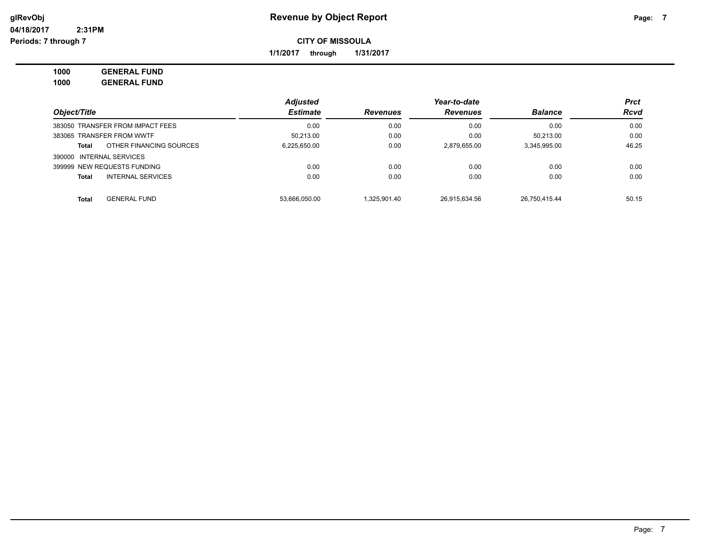**1/1/2017 through 1/31/2017**

|                                     | <b>Adjusted</b> |                 | Year-to-date    |                | <b>Prct</b> |
|-------------------------------------|-----------------|-----------------|-----------------|----------------|-------------|
| Object/Title                        | <b>Estimate</b> | <b>Revenues</b> | <b>Revenues</b> | <b>Balance</b> | <b>Rcvd</b> |
| 383050 TRANSFER FROM IMPACT FEES    | 0.00            | 0.00            | 0.00            | 0.00           | 0.00        |
| 383065 TRANSFER FROM WWTF           | 50.213.00       | 0.00            | 0.00            | 50.213.00      | 0.00        |
| OTHER FINANCING SOURCES<br>Total    | 6,225,650.00    | 0.00            | 2,879,655.00    | 3,345,995.00   | 46.25       |
| 390000 INTERNAL SERVICES            |                 |                 |                 |                |             |
| 399999 NEW REQUESTS FUNDING         | 0.00            | 0.00            | 0.00            | 0.00           | 0.00        |
| <b>INTERNAL SERVICES</b><br>Total   | 0.00            | 0.00            | 0.00            | 0.00           | 0.00        |
| <b>Total</b><br><b>GENERAL FUND</b> | 53.666.050.00   | 1.325.901.40    | 26.915.634.56   | 26.750.415.44  | 50.15       |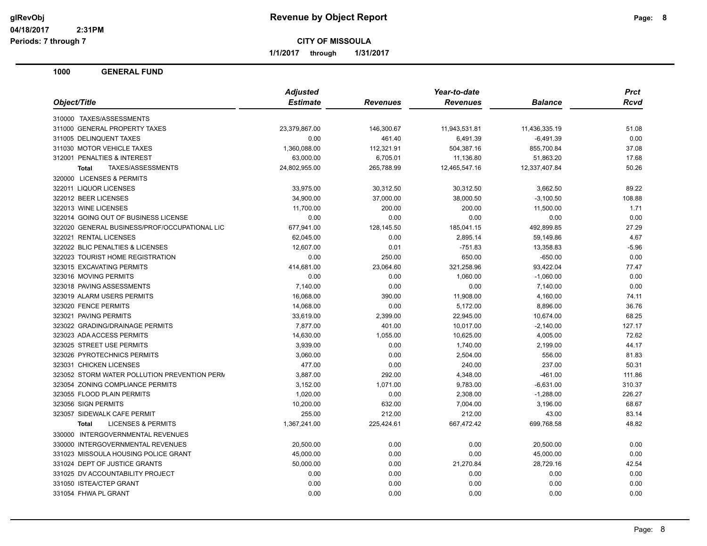**1/1/2017 through 1/31/2017**

### **1000 GENERAL FUND**

| Object/Title                                  | <b>Adjusted</b> |                 | Year-to-date    | <b>Prct</b>    |         |
|-----------------------------------------------|-----------------|-----------------|-----------------|----------------|---------|
|                                               | <b>Estimate</b> | <b>Revenues</b> | <b>Revenues</b> | <b>Balance</b> | Rcvd    |
| 310000 TAXES/ASSESSMENTS                      |                 |                 |                 |                |         |
| 311000 GENERAL PROPERTY TAXES                 | 23,379,867.00   | 146,300.67      | 11,943,531.81   | 11,436,335.19  | 51.08   |
| 311005 DELINQUENT TAXES                       | 0.00            | 461.40          | 6,491.39        | $-6,491.39$    | 0.00    |
| 311030 MOTOR VEHICLE TAXES                    | 1,360,088.00    | 112,321.91      | 504,387.16      | 855,700.84     | 37.08   |
| 312001 PENALTIES & INTEREST                   | 63,000.00       | 6,705.01        | 11,136.80       | 51,863.20      | 17.68   |
| TAXES/ASSESSMENTS<br><b>Total</b>             | 24,802,955.00   | 265,788.99      | 12,465,547.16   | 12,337,407.84  | 50.26   |
| 320000 LICENSES & PERMITS                     |                 |                 |                 |                |         |
| 322011 LIQUOR LICENSES                        | 33,975.00       | 30,312.50       | 30,312.50       | 3,662.50       | 89.22   |
| 322012 BEER LICENSES                          | 34,900.00       | 37,000.00       | 38,000.50       | $-3,100.50$    | 108.88  |
| 322013 WINE LICENSES                          | 11,700.00       | 200.00          | 200.00          | 11,500.00      | 1.71    |
| 322014 GOING OUT OF BUSINESS LICENSE          | 0.00            | 0.00            | 0.00            | 0.00           | 0.00    |
| 322020 GENERAL BUSINESS/PROF/OCCUPATIONAL LIC | 677,941.00      | 128,145.50      | 185,041.15      | 492,899.85     | 27.29   |
| 322021 RENTAL LICENSES                        | 62,045.00       | 0.00            | 2,895.14        | 59,149.86      | 4.67    |
| 322022 BLIC PENALTIES & LICENSES              | 12,607.00       | 0.01            | $-751.83$       | 13,358.83      | $-5.96$ |
| 322023 TOURIST HOME REGISTRATION              | 0.00            | 250.00          | 650.00          | $-650.00$      | 0.00    |
| 323015 EXCAVATING PERMITS                     | 414,681.00      | 23,064.60       | 321,258.96      | 93,422.04      | 77.47   |
| 323016 MOVING PERMITS                         | 0.00            | 0.00            | 1,060.00        | $-1,060.00$    | 0.00    |
| 323018 PAVING ASSESSMENTS                     | 7,140.00        | 0.00            | 0.00            | 7,140.00       | 0.00    |
| 323019 ALARM USERS PERMITS                    | 16,068.00       | 390.00          | 11,908.00       | 4,160.00       | 74.11   |
| 323020 FENCE PERMITS                          | 14,068.00       | 0.00            | 5,172.00        | 8,896.00       | 36.76   |
| 323021 PAVING PERMITS                         | 33,619.00       | 2,399.00        | 22,945.00       | 10,674.00      | 68.25   |
| 323022 GRADING/DRAINAGE PERMITS               | 7,877.00        | 401.00          | 10,017.00       | $-2,140.00$    | 127.17  |
| 323023 ADA ACCESS PERMITS                     | 14,630.00       | 1,055.00        | 10,625.00       | 4,005.00       | 72.62   |
| 323025 STREET USE PERMITS                     | 3,939.00        | 0.00            | 1,740.00        | 2,199.00       | 44.17   |
| 323026 PYROTECHNICS PERMITS                   | 3,060.00        | 0.00            | 2,504.00        | 556.00         | 81.83   |
| 323031 CHICKEN LICENSES                       | 477.00          | 0.00            | 240.00          | 237.00         | 50.31   |
| 323052 STORM WATER POLLUTION PREVENTION PERN  | 3,887.00        | 292.00          | 4,348.00        | $-461.00$      | 111.86  |
| 323054 ZONING COMPLIANCE PERMITS              | 3,152.00        | 1,071.00        | 9,783.00        | $-6,631.00$    | 310.37  |
| 323055 FLOOD PLAIN PERMITS                    | 1,020.00        | 0.00            | 2,308.00        | $-1,288.00$    | 226.27  |
| 323056 SIGN PERMITS                           | 10,200.00       | 632.00          | 7,004.00        | 3,196.00       | 68.67   |
| 323057 SIDEWALK CAFE PERMIT                   | 255.00          | 212.00          | 212.00          | 43.00          | 83.14   |
| <b>Total</b><br><b>LICENSES &amp; PERMITS</b> | 1,367,241.00    | 225,424.61      | 667,472.42      | 699,768.58     | 48.82   |
| 330000 INTERGOVERNMENTAL REVENUES             |                 |                 |                 |                |         |
| 330000 INTERGOVERNMENTAL REVENUES             | 20,500.00       | 0.00            | 0.00            | 20,500.00      | 0.00    |
| 331023 MISSOULA HOUSING POLICE GRANT          | 45,000.00       | 0.00            | 0.00            | 45,000.00      | 0.00    |
| 331024 DEPT OF JUSTICE GRANTS                 | 50,000.00       | 0.00            | 21,270.84       | 28,729.16      | 42.54   |
| 331025 DV ACCOUNTABILITY PROJECT              | 0.00            | 0.00            | 0.00            | 0.00           | 0.00    |
| 331050 ISTEA/CTEP GRANT                       | 0.00            | 0.00            | 0.00            | 0.00           | 0.00    |
| 331054 FHWA PL GRANT                          | 0.00            | 0.00            | 0.00            | 0.00           | 0.00    |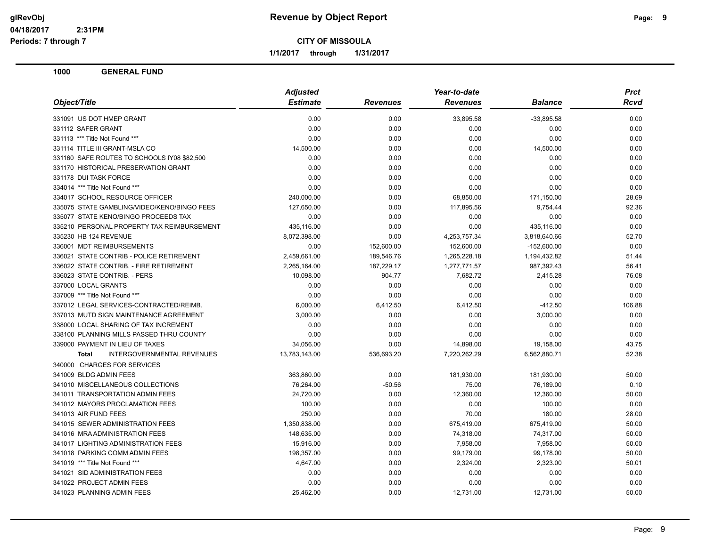**1/1/2017 through 1/31/2017**

### **1000 GENERAL FUND**

| Object/Title                                      | <b>Adjusted</b> |                 | <b>Prct</b>     |                |             |
|---------------------------------------------------|-----------------|-----------------|-----------------|----------------|-------------|
|                                                   | <b>Estimate</b> | <b>Revenues</b> | <b>Revenues</b> | <b>Balance</b> | <b>Rcvd</b> |
| 331091 US DOT HMEP GRANT                          | 0.00            | 0.00            | 33,895.58       | $-33,895.58$   | 0.00        |
| 331112 SAFER GRANT                                | 0.00            | 0.00            | 0.00            | 0.00           | 0.00        |
| 331113 *** Title Not Found ***                    | 0.00            | 0.00            | 0.00            | 0.00           | 0.00        |
| 331114 TITLE III GRANT-MSLA CO                    | 14,500.00       | 0.00            | 0.00            | 14,500.00      | 0.00        |
| 331160 SAFE ROUTES TO SCHOOLS fY08 \$82,500       | 0.00            | 0.00            | 0.00            | 0.00           | 0.00        |
| 331170 HISTORICAL PRESERVATION GRANT              | 0.00            | 0.00            | 0.00            | 0.00           | 0.00        |
| 331178 DUI TASK FORCE                             | 0.00            | 0.00            | 0.00            | 0.00           | 0.00        |
| 334014 *** Title Not Found ***                    | 0.00            | 0.00            | 0.00            | 0.00           | 0.00        |
| 334017 SCHOOL RESOURCE OFFICER                    | 240,000.00      | 0.00            | 68,850.00       | 171,150.00     | 28.69       |
| 335075 STATE GAMBLING/VIDEO/KENO/BINGO FEES       | 127,650.00      | 0.00            | 117,895.56      | 9,754.44       | 92.36       |
| 335077 STATE KENO/BINGO PROCEEDS TAX              | 0.00            | 0.00            | 0.00            | 0.00           | 0.00        |
| 335210 PERSONAL PROPERTY TAX REIMBURSEMENT        | 435,116.00      | 0.00            | 0.00            | 435,116.00     | 0.00        |
| 335230 HB 124 REVENUE                             | 8,072,398.00    | 0.00            | 4,253,757.34    | 3,818,640.66   | 52.70       |
| 336001 MDT REIMBURSEMENTS                         | 0.00            | 152,600.00      | 152,600.00      | $-152,600.00$  | 0.00        |
| 336021 STATE CONTRIB - POLICE RETIREMENT          | 2,459,661.00    | 189,546.76      | 1,265,228.18    | 1,194,432.82   | 51.44       |
| 336022 STATE CONTRIB. - FIRE RETIREMENT           | 2,265,164.00    | 187,229.17      | 1,277,771.57    | 987,392.43     | 56.41       |
| 336023 STATE CONTRIB. - PERS                      | 10,098.00       | 904.77          | 7,682.72        | 2,415.28       | 76.08       |
| 337000 LOCAL GRANTS                               | 0.00            | 0.00            | 0.00            | 0.00           | 0.00        |
| 337009 *** Title Not Found ***                    | 0.00            | 0.00            | 0.00            | 0.00           | 0.00        |
| 337012 LEGAL SERVICES-CONTRACTED/REIMB.           | 6,000.00        | 6,412.50        | 6,412.50        | $-412.50$      | 106.88      |
| 337013 MUTD SIGN MAINTENANCE AGREEMENT            | 3,000.00        | 0.00            | 0.00            | 3,000.00       | 0.00        |
| 338000 LOCAL SHARING OF TAX INCREMENT             | 0.00            | 0.00            | 0.00            | 0.00           | 0.00        |
| 338100 PLANNING MILLS PASSED THRU COUNTY          | 0.00            | 0.00            | 0.00            | 0.00           | 0.00        |
| 339000 PAYMENT IN LIEU OF TAXES                   | 34,056.00       | 0.00            | 14,898.00       | 19,158.00      | 43.75       |
| <b>INTERGOVERNMENTAL REVENUES</b><br><b>Total</b> | 13,783,143.00   | 536,693.20      | 7,220,262.29    | 6,562,880.71   | 52.38       |
| 340000 CHARGES FOR SERVICES                       |                 |                 |                 |                |             |
| 341009 BLDG ADMIN FEES                            | 363,860.00      | 0.00            | 181,930.00      | 181,930.00     | 50.00       |
| 341010 MISCELLANEOUS COLLECTIONS                  | 76,264.00       | $-50.56$        | 75.00           | 76,189.00      | 0.10        |
| 341011 TRANSPORTATION ADMIN FEES                  | 24,720.00       | 0.00            | 12,360.00       | 12,360.00      | 50.00       |
| 341012 MAYORS PROCLAMATION FEES                   | 100.00          | 0.00            | 0.00            | 100.00         | 0.00        |
| 341013 AIR FUND FEES                              | 250.00          | 0.00            | 70.00           | 180.00         | 28.00       |
| 341015 SEWER ADMINISTRATION FEES                  | 1,350,838.00    | 0.00            | 675,419.00      | 675,419.00     | 50.00       |
| 341016 MRA ADMINISTRATION FEES                    | 148,635.00      | 0.00            | 74,318.00       | 74,317.00      | 50.00       |
| 341017 LIGHTING ADMINISTRATION FEES               | 15,916.00       | 0.00            | 7,958.00        | 7,958.00       | 50.00       |
| 341018 PARKING COMM ADMIN FEES                    | 198,357.00      | 0.00            | 99,179.00       | 99,178.00      | 50.00       |
| 341019 *** Title Not Found ***                    | 4,647.00        | 0.00            | 2,324.00        | 2,323.00       | 50.01       |
| 341021 SID ADMINISTRATION FEES                    | 0.00            | 0.00            | 0.00            | 0.00           | 0.00        |
| 341022 PROJECT ADMIN FEES                         | 0.00            | 0.00            | 0.00            | 0.00           | 0.00        |
| 341023 PLANNING ADMIN FEES                        | 25,462.00       | 0.00            | 12,731.00       | 12,731.00      | 50.00       |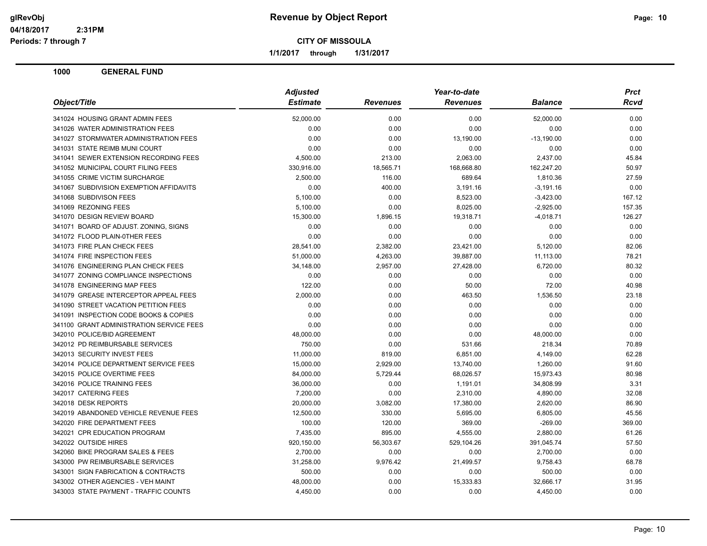**Periods: 7 through 7**

**CITY OF MISSOULA**

**1/1/2017 through 1/31/2017**

### **1000 GENERAL FUND**

 **2:31PM**

| Object/Title                             | <b>Adjusted</b> |                 | <b>Prct</b>     |                |             |
|------------------------------------------|-----------------|-----------------|-----------------|----------------|-------------|
|                                          | <b>Estimate</b> | <b>Revenues</b> | <b>Revenues</b> | <b>Balance</b> | <b>Rcvd</b> |
| 341024 HOUSING GRANT ADMIN FEES          | 52,000.00       | 0.00            | 0.00            | 52,000.00      | 0.00        |
| 341026 WATER ADMINISTRATION FEES         | 0.00            | 0.00            | 0.00            | 0.00           | 0.00        |
| 341027 STORMWATER ADMINISTRATION FEES    | 0.00            | 0.00            | 13,190.00       | $-13,190.00$   | 0.00        |
| 341031 STATE REIMB MUNI COURT            | 0.00            | 0.00            | 0.00            | 0.00           | 0.00        |
| 341041 SEWER EXTENSION RECORDING FEES    | 4,500.00        | 213.00          | 2,063.00        | 2,437.00       | 45.84       |
| 341052 MUNICIPAL COURT FILING FEES       | 330,916.00      | 18,565.71       | 168,668.80      | 162,247.20     | 50.97       |
| 341055 CRIME VICTIM SURCHARGE            | 2,500.00        | 116.00          | 689.64          | 1,810.36       | 27.59       |
| 341067 SUBDIVISION EXEMPTION AFFIDAVITS  | 0.00            | 400.00          | 3,191.16        | $-3,191.16$    | 0.00        |
| 341068 SUBDIVISON FEES                   | 5,100.00        | 0.00            | 8,523.00        | $-3,423.00$    | 167.12      |
| 341069 REZONING FEES                     | 5,100.00        | 0.00            | 8,025.00        | $-2,925.00$    | 157.35      |
| 341070 DESIGN REVIEW BOARD               | 15,300.00       | 1,896.15        | 19,318.71       | $-4,018.71$    | 126.27      |
| 341071 BOARD OF ADJUST. ZONING, SIGNS    | 0.00            | 0.00            | 0.00            | 0.00           | 0.00        |
| 341072 FLOOD PLAIN-0THER FEES            | 0.00            | 0.00            | 0.00            | 0.00           | 0.00        |
| 341073 FIRE PLAN CHECK FEES              | 28,541.00       | 2,382.00        | 23,421.00       | 5,120.00       | 82.06       |
| 341074 FIRE INSPECTION FEES              | 51,000.00       | 4,263.00        | 39,887.00       | 11,113.00      | 78.21       |
| 341076 ENGINEERING PLAN CHECK FEES       | 34,148.00       | 2,957.00        | 27,428.00       | 6,720.00       | 80.32       |
| 341077 ZONING COMPLIANCE INSPECTIONS     | 0.00            | 0.00            | 0.00            | 0.00           | 0.00        |
| 341078 ENGINEERING MAP FEES              | 122.00          | 0.00            | 50.00           | 72.00          | 40.98       |
| 341079 GREASE INTERCEPTOR APPEAL FEES    | 2,000.00        | 0.00            | 463.50          | 1,536.50       | 23.18       |
| 341090 STREET VACATION PETITION FEES     | 0.00            | 0.00            | 0.00            | 0.00           | 0.00        |
| 341091 INSPECTION CODE BOOKS & COPIES    | 0.00            | 0.00            | 0.00            | 0.00           | 0.00        |
| 341100 GRANT ADMINISTRATION SERVICE FEES | 0.00            | 0.00            | 0.00            | 0.00           | 0.00        |
| 342010 POLICE/BID AGREEMENT              | 48,000.00       | 0.00            | 0.00            | 48,000.00      | 0.00        |
| 342012 PD REIMBURSABLE SERVICES          | 750.00          | 0.00            | 531.66          | 218.34         | 70.89       |
| 342013 SECURITY INVEST FEES              | 11,000.00       | 819.00          | 6,851.00        | 4,149.00       | 62.28       |
| 342014 POLICE DEPARTMENT SERVICE FEES    | 15,000.00       | 2,929.00        | 13,740.00       | 1,260.00       | 91.60       |
| 342015 POLICE OVERTIME FEES              | 84,000.00       | 5,729.44        | 68,026.57       | 15,973.43      | 80.98       |
| 342016 POLICE TRAINING FEES              | 36,000.00       | 0.00            | 1,191.01        | 34,808.99      | 3.31        |
| 342017 CATERING FEES                     | 7,200.00        | 0.00            | 2,310.00        | 4,890.00       | 32.08       |
| 342018 DESK REPORTS                      | 20,000.00       | 3,082.00        | 17,380.00       | 2,620.00       | 86.90       |
| 342019 ABANDONED VEHICLE REVENUE FEES    | 12,500.00       | 330.00          | 5,695.00        | 6,805.00       | 45.56       |
| 342020 FIRE DEPARTMENT FEES              | 100.00          | 120.00          | 369.00          | $-269.00$      | 369.00      |
| 342021 CPR EDUCATION PROGRAM             | 7,435.00        | 895.00          | 4,555.00        | 2,880.00       | 61.26       |
| 342022 OUTSIDE HIRES                     | 920,150.00      | 56,303.67       | 529,104.26      | 391,045.74     | 57.50       |
| 342060 BIKE PROGRAM SALES & FEES         | 2,700.00        | 0.00            | 0.00            | 2,700.00       | 0.00        |
| 343000 PW REIMBURSABLE SERVICES          | 31,258.00       | 9,976.42        | 21,499.57       | 9,758.43       | 68.78       |
| 343001 SIGN FABRICATION & CONTRACTS      | 500.00          | 0.00            | 0.00            | 500.00         | 0.00        |
| 343002 OTHER AGENCIES - VEH MAINT        | 48,000.00       | 0.00            | 15,333.83       | 32,666.17      | 31.95       |
| 343003 STATE PAYMENT - TRAFFIC COUNTS    | 4,450.00        | 0.00            | 0.00            | 4,450.00       | 0.00        |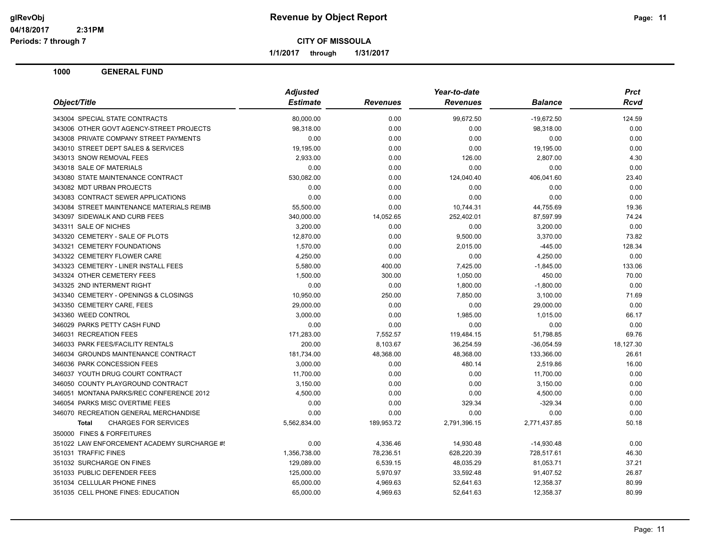**1/1/2017 through 1/31/2017**

### **1000 GENERAL FUND**

| Object/Title                                | <b>Adjusted</b> |                 | Year-to-date    |              |           |
|---------------------------------------------|-----------------|-----------------|-----------------|--------------|-----------|
|                                             | <b>Estimate</b> | <b>Revenues</b> | <b>Revenues</b> | Balance      | Rcvd      |
| 343004 SPECIAL STATE CONTRACTS              | 80,000.00       | 0.00            | 99,672.50       | $-19,672.50$ | 124.59    |
| 343006 OTHER GOVT AGENCY-STREET PROJECTS    | 98,318.00       | 0.00            | 0.00            | 98,318.00    | 0.00      |
| 343008 PRIVATE COMPANY STREET PAYMENTS      | 0.00            | 0.00            | 0.00            | 0.00         | 0.00      |
| 343010 STREET DEPT SALES & SERVICES         | 19,195.00       | 0.00            | 0.00            | 19,195.00    | 0.00      |
| 343013 SNOW REMOVAL FEES                    | 2,933.00        | 0.00            | 126.00          | 2,807.00     | 4.30      |
| 343018 SALE OF MATERIALS                    | 0.00            | 0.00            | 0.00            | 0.00         | 0.00      |
| 343080 STATE MAINTENANCE CONTRACT           | 530,082.00      | 0.00            | 124,040.40      | 406,041.60   | 23.40     |
| 343082 MDT URBAN PROJECTS                   | 0.00            | 0.00            | 0.00            | 0.00         | 0.00      |
| 343083 CONTRACT SEWER APPLICATIONS          | 0.00            | 0.00            | 0.00            | 0.00         | 0.00      |
| 343084 STREET MAINTENANCE MATERIALS REIMB   | 55,500.00       | 0.00            | 10,744.31       | 44,755.69    | 19.36     |
| 343097 SIDEWALK AND CURB FEES               | 340,000.00      | 14,052.65       | 252,402.01      | 87,597.99    | 74.24     |
| 343311 SALE OF NICHES                       | 3,200.00        | 0.00            | 0.00            | 3,200.00     | 0.00      |
| 343320 CEMETERY - SALE OF PLOTS             | 12,870.00       | 0.00            | 9,500.00        | 3,370.00     | 73.82     |
| 343321 CEMETERY FOUNDATIONS                 | 1,570.00        | 0.00            | 2,015.00        | $-445.00$    | 128.34    |
| 343322 CEMETERY FLOWER CARE                 | 4,250.00        | 0.00            | 0.00            | 4,250.00     | 0.00      |
| 343323 CEMETERY - LINER INSTALL FEES        | 5,580.00        | 400.00          | 7,425.00        | $-1,845.00$  | 133.06    |
| 343324 OTHER CEMETERY FEES                  | 1,500.00        | 300.00          | 1,050.00        | 450.00       | 70.00     |
| 343325 2ND INTERMENT RIGHT                  | 0.00            | 0.00            | 1,800.00        | $-1,800.00$  | 0.00      |
| 343340 CEMETERY - OPENINGS & CLOSINGS       | 10,950.00       | 250.00          | 7,850.00        | 3,100.00     | 71.69     |
| 343350 CEMETERY CARE, FEES                  | 29,000.00       | 0.00            | 0.00            | 29,000.00    | 0.00      |
| 343360 WEED CONTROL                         | 3,000.00        | 0.00            | 1,985.00        | 1,015.00     | 66.17     |
| 346029 PARKS PETTY CASH FUND                | 0.00            | 0.00            | 0.00            | 0.00         | 0.00      |
| 346031 RECREATION FEES                      | 171,283.00      | 7,552.57        | 119,484.15      | 51,798.85    | 69.76     |
| 346033 PARK FEES/FACILITY RENTALS           | 200.00          | 8,103.67        | 36,254.59       | $-36,054.59$ | 18,127.30 |
| 346034 GROUNDS MAINTENANCE CONTRACT         | 181,734.00      | 48,368.00       | 48,368.00       | 133,366.00   | 26.61     |
| 346036 PARK CONCESSION FEES                 | 3,000.00        | 0.00            | 480.14          | 2,519.86     | 16.00     |
| 346037 YOUTH DRUG COURT CONTRACT            | 11,700.00       | 0.00            | 0.00            | 11,700.00    | 0.00      |
| 346050 COUNTY PLAYGROUND CONTRACT           | 3,150.00        | 0.00            | 0.00            | 3,150.00     | 0.00      |
| 346051 MONTANA PARKS/REC CONFERENCE 2012    | 4,500.00        | 0.00            | 0.00            | 4,500.00     | 0.00      |
| 346054 PARKS MISC OVERTIME FEES             | 0.00            | 0.00            | 329.34          | $-329.34$    | 0.00      |
| 346070 RECREATION GENERAL MERCHANDISE       | 0.00            | 0.00            | 0.00            | 0.00         | 0.00      |
| <b>CHARGES FOR SERVICES</b><br><b>Total</b> | 5,562,834.00    | 189,953.72      | 2,791,396.15    | 2,771,437.85 | 50.18     |
| 350000 FINES & FORFEITURES                  |                 |                 |                 |              |           |
| 351022 LAW ENFORCEMENT ACADEMY SURCHARGE #  | 0.00            | 4,336.46        | 14,930.48       | $-14,930.48$ | 0.00      |
| 351031 TRAFFIC FINES                        | 1,356,738.00    | 78,236.51       | 628,220.39      | 728,517.61   | 46.30     |
| 351032 SURCHARGE ON FINES                   | 129,089.00      | 6,539.15        | 48,035.29       | 81,053.71    | 37.21     |
| 351033 PUBLIC DEFENDER FEES                 | 125,000.00      | 5,970.97        | 33,592.48       | 91,407.52    | 26.87     |
| 351034 CELLULAR PHONE FINES                 | 65,000.00       | 4,969.63        | 52,641.63       | 12,358.37    | 80.99     |
| 351035 CELL PHONE FINES: EDUCATION          | 65,000.00       | 4,969.63        | 52,641.63       | 12,358.37    | 80.99     |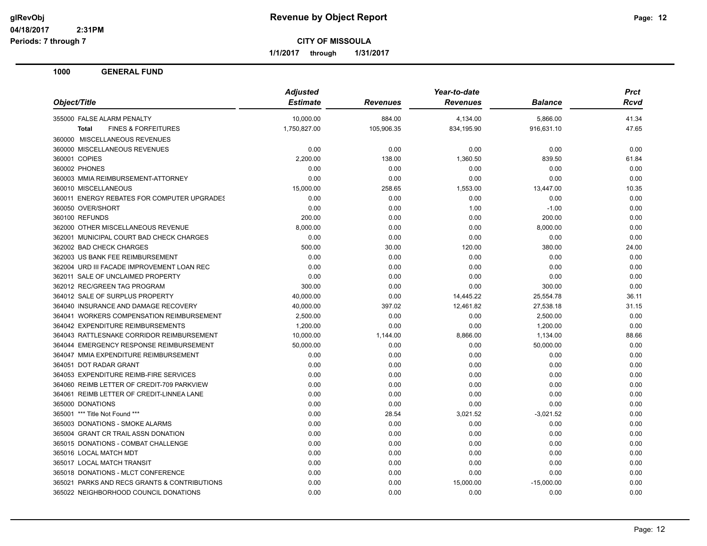**Periods: 7 through 7**

**CITY OF MISSOULA**

**1/1/2017 through 1/31/2017**

### **1000 GENERAL FUND**

 **2:31PM**

| Object/Title                                   | <b>Adjusted</b> |                 | Year-to-date    |                | <b>Prct</b> |
|------------------------------------------------|-----------------|-----------------|-----------------|----------------|-------------|
|                                                | <b>Estimate</b> | <b>Revenues</b> | <b>Revenues</b> | <b>Balance</b> | Rcvd        |
| 355000 FALSE ALARM PENALTY                     | 10,000.00       | 884.00          | 4,134.00        | 5.866.00       | 41.34       |
| <b>FINES &amp; FORFEITURES</b><br><b>Total</b> | 1,750,827.00    | 105,906.35      | 834,195.90      | 916,631.10     | 47.65       |
| 360000 MISCELLANEOUS REVENUES                  |                 |                 |                 |                |             |
| 360000 MISCELLANEOUS REVENUES                  | 0.00            | 0.00            | 0.00            | 0.00           | 0.00        |
| 360001 COPIES                                  | 2,200.00        | 138.00          | 1,360.50        | 839.50         | 61.84       |
| 360002 PHONES                                  | 0.00            | 0.00            | 0.00            | 0.00           | 0.00        |
| 360003 MMIA REIMBURSEMENT-ATTORNEY             | 0.00            | 0.00            | 0.00            | 0.00           | 0.00        |
| 360010 MISCELLANEOUS                           | 15,000.00       | 258.65          | 1,553.00        | 13,447.00      | 10.35       |
| 360011 ENERGY REBATES FOR COMPUTER UPGRADES    | 0.00            | 0.00            | 0.00            | 0.00           | 0.00        |
| 360050 OVER/SHORT                              | 0.00            | 0.00            | 1.00            | $-1.00$        | 0.00        |
| 360100 REFUNDS                                 | 200.00          | 0.00            | 0.00            | 200.00         | 0.00        |
| 362000 OTHER MISCELLANEOUS REVENUE             | 8,000.00        | 0.00            | 0.00            | 8,000.00       | 0.00        |
| 362001 MUNICIPAL COURT BAD CHECK CHARGES       | 0.00            | 0.00            | 0.00            | 0.00           | 0.00        |
| 362002 BAD CHECK CHARGES                       | 500.00          | 30.00           | 120.00          | 380.00         | 24.00       |
| 362003 US BANK FEE REIMBURSEMENT               | 0.00            | 0.00            | 0.00            | 0.00           | 0.00        |
| 362004 URD III FACADE IMPROVEMENT LOAN REC     | 0.00            | 0.00            | 0.00            | 0.00           | 0.00        |
| 362011 SALE OF UNCLAIMED PROPERTY              | 0.00            | 0.00            | 0.00            | 0.00           | 0.00        |
| 362012 REC/GREEN TAG PROGRAM                   | 300.00          | 0.00            | 0.00            | 300.00         | 0.00        |
| 364012 SALE OF SURPLUS PROPERTY                | 40,000.00       | 0.00            | 14,445.22       | 25,554.78      | 36.11       |
| 364040 INSURANCE AND DAMAGE RECOVERY           | 40,000.00       | 397.02          | 12,461.82       | 27,538.18      | 31.15       |
| 364041 WORKERS COMPENSATION REIMBURSEMENT      | 2,500.00        | 0.00            | 0.00            | 2,500.00       | 0.00        |
| 364042 EXPENDITURE REIMBURSEMENTS              | 1,200.00        | 0.00            | 0.00            | 1,200.00       | 0.00        |
| 364043 RATTLESNAKE CORRIDOR REIMBURSEMENT      | 10,000.00       | 1,144.00        | 8,866.00        | 1,134.00       | 88.66       |
| 364044 EMERGENCY RESPONSE REIMBURSEMENT        | 50,000.00       | 0.00            | 0.00            | 50,000.00      | 0.00        |
| 364047 MMIA EXPENDITURE REIMBURSEMENT          | 0.00            | 0.00            | 0.00            | 0.00           | 0.00        |
| 364051 DOT RADAR GRANT                         | 0.00            | 0.00            | 0.00            | 0.00           | 0.00        |
| 364053 EXPENDITURE REIMB-FIRE SERVICES         | 0.00            | 0.00            | 0.00            | 0.00           | 0.00        |
| 364060 REIMB LETTER OF CREDIT-709 PARKVIEW     | 0.00            | 0.00            | 0.00            | 0.00           | 0.00        |
| 364061 REIMB LETTER OF CREDIT-LINNEA LANE      | 0.00            | 0.00            | 0.00            | 0.00           | 0.00        |
| 365000 DONATIONS                               | 0.00            | 0.00            | 0.00            | 0.00           | 0.00        |
| 365001 *** Title Not Found ***                 | 0.00            | 28.54           | 3,021.52        | $-3,021.52$    | 0.00        |
| 365003 DONATIONS - SMOKE ALARMS                | 0.00            | 0.00            | 0.00            | 0.00           | 0.00        |
| 365004 GRANT CR TRAIL ASSN DONATION            | 0.00            | 0.00            | 0.00            | 0.00           | 0.00        |
| 365015 DONATIONS - COMBAT CHALLENGE            | 0.00            | 0.00            | 0.00            | 0.00           | 0.00        |
| 365016 LOCAL MATCH MDT                         | 0.00            | 0.00            | 0.00            | 0.00           | 0.00        |
| 365017 LOCAL MATCH TRANSIT                     | 0.00            | 0.00            | 0.00            | 0.00           | 0.00        |
| 365018 DONATIONS - MLCT CONFERENCE             | 0.00            | 0.00            | 0.00            | 0.00           | 0.00        |
| 365021 PARKS AND RECS GRANTS & CONTRIBUTIONS   | 0.00            | 0.00            | 15,000.00       | $-15,000.00$   | 0.00        |
| 365022 NEIGHBORHOOD COUNCIL DONATIONS          | 0.00            | 0.00            | 0.00            | 0.00           | 0.00        |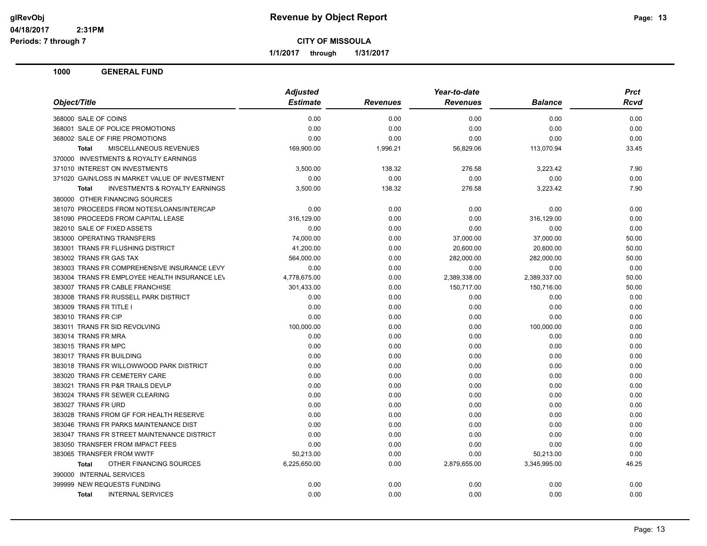**Periods: 7 through 7**

**CITY OF MISSOULA**

**1/1/2017 through 1/31/2017**

### **1000 GENERAL FUND**

 **2:31PM**

|                                                           | <b>Adjusted</b> |                 | Year-to-date    |                | <b>Prct</b> |
|-----------------------------------------------------------|-----------------|-----------------|-----------------|----------------|-------------|
| Object/Title                                              | <b>Estimate</b> | <b>Revenues</b> | <b>Revenues</b> | <b>Balance</b> | Rcvd        |
| 368000 SALE OF COINS                                      | 0.00            | 0.00            | 0.00            | 0.00           | 0.00        |
| 368001 SALE OF POLICE PROMOTIONS                          | 0.00            | 0.00            | 0.00            | 0.00           | 0.00        |
| 368002 SALE OF FIRE PROMOTIONS                            | 0.00            | 0.00            | 0.00            | 0.00           | 0.00        |
| MISCELLANEOUS REVENUES<br><b>Total</b>                    | 169,900.00      | 1,996.21        | 56,829.06       | 113,070.94     | 33.45       |
| 370000 INVESTMENTS & ROYALTY EARNINGS                     |                 |                 |                 |                |             |
| 371010 INTEREST ON INVESTMENTS                            | 3,500.00        | 138.32          | 276.58          | 3,223.42       | 7.90        |
| 371020 GAIN/LOSS IN MARKET VALUE OF INVESTMENT            | 0.00            | 0.00            | 0.00            | 0.00           | 0.00        |
| <b>INVESTMENTS &amp; ROYALTY EARNINGS</b><br><b>Total</b> | 3,500.00        | 138.32          | 276.58          | 3,223.42       | 7.90        |
| 380000 OTHER FINANCING SOURCES                            |                 |                 |                 |                |             |
| 381070 PROCEEDS FROM NOTES/LOANS/INTERCAP                 | 0.00            | 0.00            | 0.00            | 0.00           | 0.00        |
| 381090 PROCEEDS FROM CAPITAL LEASE                        | 316,129.00      | 0.00            | 0.00            | 316,129.00     | 0.00        |
| 382010 SALE OF FIXED ASSETS                               | 0.00            | 0.00            | 0.00            | 0.00           | 0.00        |
| 383000 OPERATING TRANSFERS                                | 74,000.00       | 0.00            | 37,000.00       | 37,000.00      | 50.00       |
| 383001 TRANS FR FLUSHING DISTRICT                         | 41,200.00       | 0.00            | 20,600.00       | 20,600.00      | 50.00       |
| 383002 TRANS FR GAS TAX                                   | 564,000.00      | 0.00            | 282,000.00      | 282,000.00     | 50.00       |
| 383003 TRANS FR COMPREHENSIVE INSURANCE LEVY              | 0.00            | 0.00            | 0.00            | 0.00           | 0.00        |
| 383004 TRANS FR EMPLOYEE HEALTH INSURANCE LEV             | 4,778,675.00    | 0.00            | 2,389,338.00    | 2,389,337.00   | 50.00       |
| 383007 TRANS FR CABLE FRANCHISE                           | 301,433.00      | 0.00            | 150,717.00      | 150,716.00     | 50.00       |
| 383008 TRANS FR RUSSELL PARK DISTRICT                     | 0.00            | 0.00            | 0.00            | 0.00           | 0.00        |
| 383009 TRANS FR TITLE I                                   | 0.00            | 0.00            | 0.00            | 0.00           | 0.00        |
| 383010 TRANS FR CIP                                       | 0.00            | 0.00            | 0.00            | 0.00           | 0.00        |
| 383011 TRANS FR SID REVOLVING                             | 100,000.00      | 0.00            | 0.00            | 100,000.00     | 0.00        |
| 383014 TRANS FR MRA                                       | 0.00            | 0.00            | 0.00            | 0.00           | 0.00        |
| 383015 TRANS FR MPC                                       | 0.00            | 0.00            | 0.00            | 0.00           | 0.00        |
| 383017 TRANS FR BUILDING                                  | 0.00            | 0.00            | 0.00            | 0.00           | 0.00        |
| 383018 TRANS FR WILLOWWOOD PARK DISTRICT                  | 0.00            | 0.00            | 0.00            | 0.00           | 0.00        |
| 383020 TRANS FR CEMETERY CARE                             | 0.00            | 0.00            | 0.00            | 0.00           | 0.00        |
| 383021 TRANS FR P&R TRAILS DEVLP                          | 0.00            | 0.00            | 0.00            | 0.00           | 0.00        |
| 383024 TRANS FR SEWER CLEARING                            | 0.00            | 0.00            | 0.00            | 0.00           | 0.00        |
| 383027 TRANS FR URD                                       | 0.00            | 0.00            | 0.00            | 0.00           | 0.00        |
| 383028 TRANS FROM GF FOR HEALTH RESERVE                   | 0.00            | 0.00            | 0.00            | 0.00           | 0.00        |
| 383046 TRANS FR PARKS MAINTENANCE DIST                    | 0.00            | 0.00            | 0.00            | 0.00           | 0.00        |
| 383047 TRANS FR STREET MAINTENANCE DISTRICT               | 0.00            | 0.00            | 0.00            | 0.00           | 0.00        |
| 383050 TRANSFER FROM IMPACT FEES                          | 0.00            | 0.00            | 0.00            | 0.00           | 0.00        |
| 383065 TRANSFER FROM WWTF                                 | 50,213.00       | 0.00            | 0.00            | 50,213.00      | 0.00        |
| OTHER FINANCING SOURCES<br><b>Total</b>                   | 6,225,650.00    | 0.00            | 2,879,655.00    | 3,345,995.00   | 46.25       |
| 390000 INTERNAL SERVICES                                  |                 |                 |                 |                |             |
| 399999 NEW REQUESTS FUNDING                               | 0.00            | 0.00            | 0.00            | 0.00           | 0.00        |
| <b>INTERNAL SERVICES</b><br><b>Total</b>                  | 0.00            | 0.00            | 0.00            | 0.00           | 0.00        |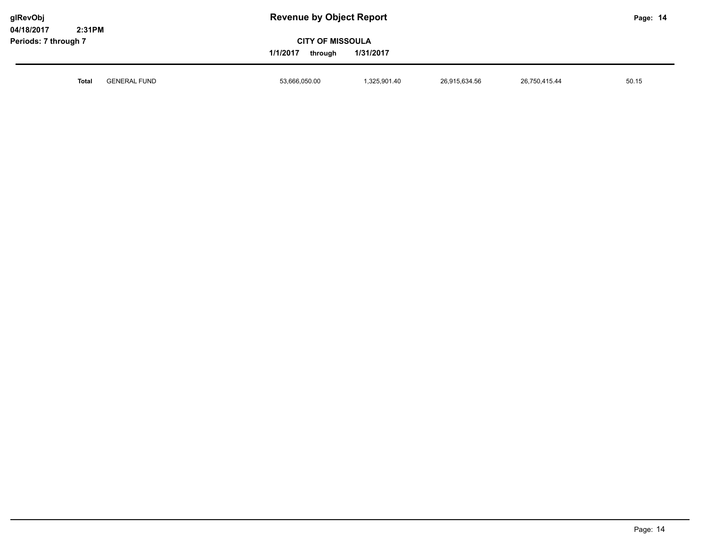| glRevObj<br>04/18/2017 | 2:31PM       |                     | <b>Revenue by Object Report</b>                |              |               |               | Page: 14 |  |
|------------------------|--------------|---------------------|------------------------------------------------|--------------|---------------|---------------|----------|--|
| Periods: 7 through 7   |              |                     | <b>CITY OF MISSOULA</b><br>1/1/2017<br>through | 1/31/2017    |               |               |          |  |
|                        | <b>Total</b> | <b>GENERAL FUND</b> | 53,666,050.00                                  | 1,325,901.40 | 26,915,634.56 | 26,750,415.44 | 50.15    |  |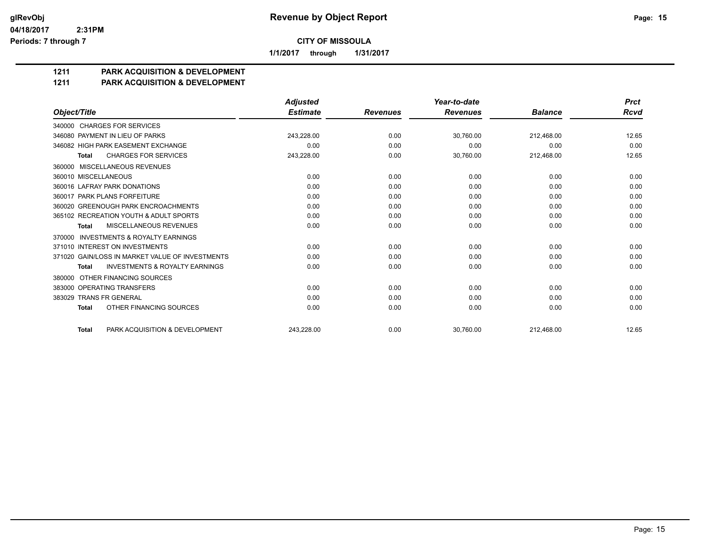**1/1/2017 through 1/31/2017**

# **1211 PARK ACQUISITION & DEVELOPMENT**

## **1211 PARK ACQUISITION & DEVELOPMENT**

|                                                           | <b>Adjusted</b> |                 | Year-to-date    |                | <b>Prct</b> |
|-----------------------------------------------------------|-----------------|-----------------|-----------------|----------------|-------------|
| Object/Title                                              | <b>Estimate</b> | <b>Revenues</b> | <b>Revenues</b> | <b>Balance</b> | Rcvd        |
| 340000 CHARGES FOR SERVICES                               |                 |                 |                 |                |             |
| 346080 PAYMENT IN LIEU OF PARKS                           | 243,228.00      | 0.00            | 30,760.00       | 212.468.00     | 12.65       |
| 346082 HIGH PARK EASEMENT EXCHANGE                        | 0.00            | 0.00            | 0.00            | 0.00           | 0.00        |
| <b>CHARGES FOR SERVICES</b><br><b>Total</b>               | 243,228.00      | 0.00            | 30,760.00       | 212,468.00     | 12.65       |
| 360000 MISCELLANEOUS REVENUES                             |                 |                 |                 |                |             |
| 360010 MISCELLANEOUS                                      | 0.00            | 0.00            | 0.00            | 0.00           | 0.00        |
| 360016 LAFRAY PARK DONATIONS                              | 0.00            | 0.00            | 0.00            | 0.00           | 0.00        |
| 360017 PARK PLANS FORFEITURE                              | 0.00            | 0.00            | 0.00            | 0.00           | 0.00        |
| 360020 GREENOUGH PARK ENCROACHMENTS                       | 0.00            | 0.00            | 0.00            | 0.00           | 0.00        |
| 365102 RECREATION YOUTH & ADULT SPORTS                    | 0.00            | 0.00            | 0.00            | 0.00           | 0.00        |
| MISCELLANEOUS REVENUES<br><b>Total</b>                    | 0.00            | 0.00            | 0.00            | 0.00           | 0.00        |
| <b>INVESTMENTS &amp; ROYALTY EARNINGS</b><br>370000       |                 |                 |                 |                |             |
| 371010 INTEREST ON INVESTMENTS                            | 0.00            | 0.00            | 0.00            | 0.00           | 0.00        |
| 371020 GAIN/LOSS IN MARKET VALUE OF INVESTMENTS           | 0.00            | 0.00            | 0.00            | 0.00           | 0.00        |
| <b>INVESTMENTS &amp; ROYALTY EARNINGS</b><br><b>Total</b> | 0.00            | 0.00            | 0.00            | 0.00           | 0.00        |
| 380000 OTHER FINANCING SOURCES                            |                 |                 |                 |                |             |
| 383000 OPERATING TRANSFERS                                | 0.00            | 0.00            | 0.00            | 0.00           | 0.00        |
| 383029 TRANS FR GENERAL                                   | 0.00            | 0.00            | 0.00            | 0.00           | 0.00        |
| OTHER FINANCING SOURCES<br><b>Total</b>                   | 0.00            | 0.00            | 0.00            | 0.00           | 0.00        |
| PARK ACQUISITION & DEVELOPMENT<br><b>Total</b>            | 243.228.00      | 0.00            | 30.760.00       | 212.468.00     | 12.65       |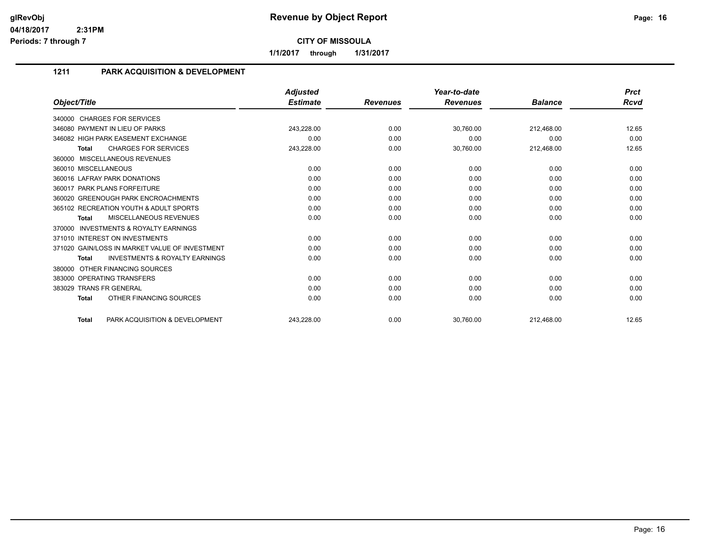**1/1/2017 through 1/31/2017**

### **1211 PARK ACQUISITION & DEVELOPMENT**

|                                                     | <b>Adjusted</b> |                 | Year-to-date    |                | <b>Prct</b> |
|-----------------------------------------------------|-----------------|-----------------|-----------------|----------------|-------------|
| Object/Title                                        | <b>Estimate</b> | <b>Revenues</b> | <b>Revenues</b> | <b>Balance</b> | Rcvd        |
| 340000 CHARGES FOR SERVICES                         |                 |                 |                 |                |             |
| 346080 PAYMENT IN LIEU OF PARKS                     | 243,228.00      | 0.00            | 30,760.00       | 212,468.00     | 12.65       |
| 346082 HIGH PARK EASEMENT EXCHANGE                  | 0.00            | 0.00            | 0.00            | 0.00           | 0.00        |
| <b>CHARGES FOR SERVICES</b><br>Total                | 243,228.00      | 0.00            | 30,760.00       | 212,468.00     | 12.65       |
| MISCELLANEOUS REVENUES<br>360000                    |                 |                 |                 |                |             |
| 360010 MISCELLANEOUS                                | 0.00            | 0.00            | 0.00            | 0.00           | 0.00        |
| 360016 LAFRAY PARK DONATIONS                        | 0.00            | 0.00            | 0.00            | 0.00           | 0.00        |
| 360017 PARK PLANS FORFEITURE                        | 0.00            | 0.00            | 0.00            | 0.00           | 0.00        |
| 360020 GREENOUGH PARK ENCROACHMENTS                 | 0.00            | 0.00            | 0.00            | 0.00           | 0.00        |
| 365102 RECREATION YOUTH & ADULT SPORTS              | 0.00            | 0.00            | 0.00            | 0.00           | 0.00        |
| MISCELLANEOUS REVENUES<br>Total                     | 0.00            | 0.00            | 0.00            | 0.00           | 0.00        |
| <b>INVESTMENTS &amp; ROYALTY EARNINGS</b><br>370000 |                 |                 |                 |                |             |
| 371010 INTEREST ON INVESTMENTS                      | 0.00            | 0.00            | 0.00            | 0.00           | 0.00        |
| 371020 GAIN/LOSS IN MARKET VALUE OF INVESTMENT      | 0.00            | 0.00            | 0.00            | 0.00           | 0.00        |
| <b>INVESTMENTS &amp; ROYALTY EARNINGS</b><br>Total  | 0.00            | 0.00            | 0.00            | 0.00           | 0.00        |
| 380000 OTHER FINANCING SOURCES                      |                 |                 |                 |                |             |
| 383000 OPERATING TRANSFERS                          | 0.00            | 0.00            | 0.00            | 0.00           | 0.00        |
| 383029 TRANS FR GENERAL                             | 0.00            | 0.00            | 0.00            | 0.00           | 0.00        |
| OTHER FINANCING SOURCES<br><b>Total</b>             | 0.00            | 0.00            | 0.00            | 0.00           | 0.00        |
| PARK ACQUISITION & DEVELOPMENT<br><b>Total</b>      | 243,228.00      | 0.00            | 30,760.00       | 212,468.00     | 12.65       |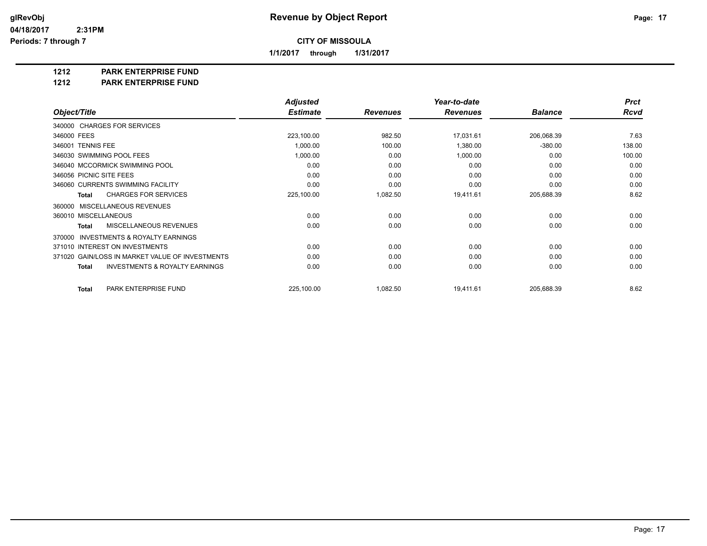**1/1/2017 through 1/31/2017**

**1212 PARK ENTERPRISE FUND**

**1212 PARK ENTERPRISE FUND**

|                                                     | <b>Adjusted</b> |                 | Year-to-date    |                | <b>Prct</b> |
|-----------------------------------------------------|-----------------|-----------------|-----------------|----------------|-------------|
| Object/Title                                        | <b>Estimate</b> | <b>Revenues</b> | <b>Revenues</b> | <b>Balance</b> | Rcvd        |
| 340000 CHARGES FOR SERVICES                         |                 |                 |                 |                |             |
| 346000 FEES                                         | 223,100.00      | 982.50          | 17,031.61       | 206,068.39     | 7.63        |
| 346001 TENNIS FEE                                   | 1,000.00        | 100.00          | 1,380.00        | $-380.00$      | 138.00      |
| 346030 SWIMMING POOL FEES                           | 1,000.00        | 0.00            | 1,000.00        | 0.00           | 100.00      |
| 346040 MCCORMICK SWIMMING POOL                      | 0.00            | 0.00            | 0.00            | 0.00           | 0.00        |
| 346056 PICNIC SITE FEES                             | 0.00            | 0.00            | 0.00            | 0.00           | 0.00        |
| 346060 CURRENTS SWIMMING FACILITY                   | 0.00            | 0.00            | 0.00            | 0.00           | 0.00        |
| <b>CHARGES FOR SERVICES</b><br>Total                | 225,100.00      | 1,082.50        | 19,411.61       | 205,688.39     | 8.62        |
| 360000 MISCELLANEOUS REVENUES                       |                 |                 |                 |                |             |
| 360010 MISCELLANEOUS                                | 0.00            | 0.00            | 0.00            | 0.00           | 0.00        |
| MISCELLANEOUS REVENUES<br>Total                     | 0.00            | 0.00            | 0.00            | 0.00           | 0.00        |
| <b>INVESTMENTS &amp; ROYALTY EARNINGS</b><br>370000 |                 |                 |                 |                |             |
| 371010 INTEREST ON INVESTMENTS                      | 0.00            | 0.00            | 0.00            | 0.00           | 0.00        |
| 371020 GAIN/LOSS IN MARKET VALUE OF INVESTMENTS     | 0.00            | 0.00            | 0.00            | 0.00           | 0.00        |
| <b>INVESTMENTS &amp; ROYALTY EARNINGS</b><br>Total  | 0.00            | 0.00            | 0.00            | 0.00           | 0.00        |
| PARK ENTERPRISE FUND<br><b>Total</b>                | 225,100.00      | 1,082.50        | 19,411.61       | 205,688.39     | 8.62        |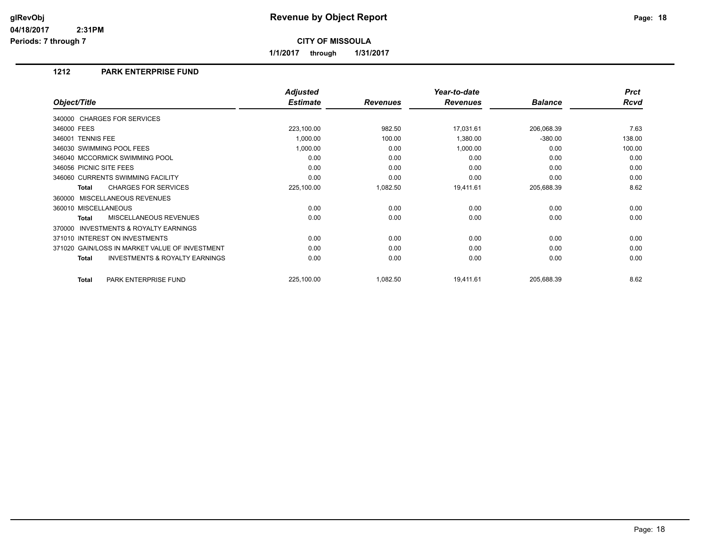**1/1/2017 through 1/31/2017**

### **1212 PARK ENTERPRISE FUND**

|                                                           | <b>Adjusted</b> |                 | Year-to-date    |                | <b>Prct</b> |
|-----------------------------------------------------------|-----------------|-----------------|-----------------|----------------|-------------|
| Object/Title                                              | <b>Estimate</b> | <b>Revenues</b> | <b>Revenues</b> | <b>Balance</b> | <b>Rcvd</b> |
| 340000 CHARGES FOR SERVICES                               |                 |                 |                 |                |             |
| 346000 FEES                                               | 223,100.00      | 982.50          | 17,031.61       | 206,068.39     | 7.63        |
| 346001 TENNIS FEE                                         | 1,000.00        | 100.00          | 1,380.00        | $-380.00$      | 138.00      |
| 346030 SWIMMING POOL FEES                                 | 1,000.00        | 0.00            | 1,000.00        | 0.00           | 100.00      |
| 346040 MCCORMICK SWIMMING POOL                            | 0.00            | 0.00            | 0.00            | 0.00           | 0.00        |
| 346056 PICNIC SITE FEES                                   | 0.00            | 0.00            | 0.00            | 0.00           | 0.00        |
| 346060 CURRENTS SWIMMING FACILITY                         | 0.00            | 0.00            | 0.00            | 0.00           | 0.00        |
| <b>CHARGES FOR SERVICES</b><br>Total                      | 225,100.00      | 1,082.50        | 19,411.61       | 205,688.39     | 8.62        |
| 360000 MISCELLANEOUS REVENUES                             |                 |                 |                 |                |             |
| 360010 MISCELLANEOUS                                      | 0.00            | 0.00            | 0.00            | 0.00           | 0.00        |
| MISCELLANEOUS REVENUES<br>Total                           | 0.00            | 0.00            | 0.00            | 0.00           | 0.00        |
| <b>INVESTMENTS &amp; ROYALTY EARNINGS</b><br>370000       |                 |                 |                 |                |             |
| 371010 INTEREST ON INVESTMENTS                            | 0.00            | 0.00            | 0.00            | 0.00           | 0.00        |
| 371020 GAIN/LOSS IN MARKET VALUE OF INVESTMENT            | 0.00            | 0.00            | 0.00            | 0.00           | 0.00        |
| <b>INVESTMENTS &amp; ROYALTY EARNINGS</b><br><b>Total</b> | 0.00            | 0.00            | 0.00            | 0.00           | 0.00        |
| PARK ENTERPRISE FUND<br>Total                             | 225,100.00      | 1,082.50        | 19,411.61       | 205,688.39     | 8.62        |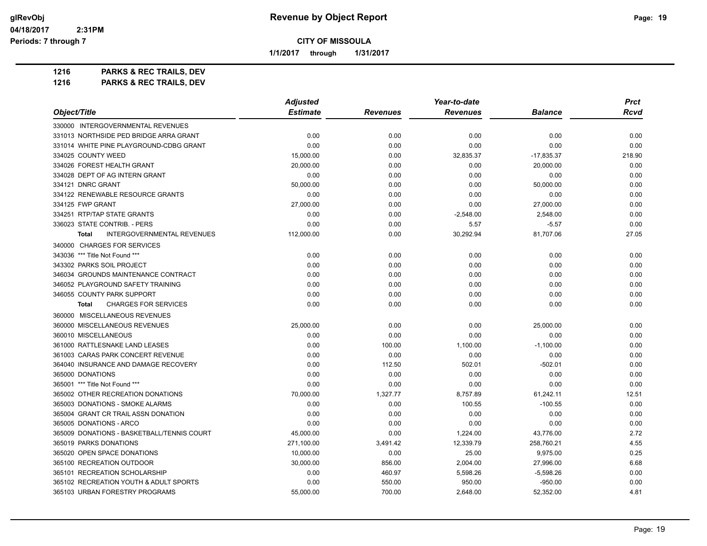**1/1/2017 through 1/31/2017**

**1216 PARKS & REC TRAILS, DEV**

|  | 1216 | <b>PARKS &amp; REC TRAILS, DEV</b> |
|--|------|------------------------------------|
|--|------|------------------------------------|

|                                             | <b>Adjusted</b> |                 | Year-to-date    |                | <b>Prct</b> |
|---------------------------------------------|-----------------|-----------------|-----------------|----------------|-------------|
| Object/Title                                | <b>Estimate</b> | <b>Revenues</b> | <b>Revenues</b> | <b>Balance</b> | Rcvd        |
| 330000 INTERGOVERNMENTAL REVENUES           |                 |                 |                 |                |             |
| 331013 NORTHSIDE PED BRIDGE ARRA GRANT      | 0.00            | 0.00            | 0.00            | 0.00           | 0.00        |
| 331014 WHITE PINE PLAYGROUND-CDBG GRANT     | 0.00            | 0.00            | 0.00            | 0.00           | 0.00        |
| 334025 COUNTY WEED                          | 15,000.00       | 0.00            | 32,835.37       | $-17,835.37$   | 218.90      |
| 334026 FOREST HEALTH GRANT                  | 20,000.00       | 0.00            | 0.00            | 20,000.00      | 0.00        |
| 334028 DEPT OF AG INTERN GRANT              | 0.00            | 0.00            | 0.00            | 0.00           | 0.00        |
| 334121 DNRC GRANT                           | 50,000.00       | 0.00            | 0.00            | 50,000.00      | 0.00        |
| 334122 RENEWABLE RESOURCE GRANTS            | 0.00            | 0.00            | 0.00            | 0.00           | 0.00        |
| 334125 FWP GRANT                            | 27,000.00       | 0.00            | 0.00            | 27,000.00      | 0.00        |
| 334251 RTP/TAP STATE GRANTS                 | 0.00            | 0.00            | $-2,548.00$     | 2,548.00       | 0.00        |
| 336023 STATE CONTRIB. - PERS                | 0.00            | 0.00            | 5.57            | $-5.57$        | 0.00        |
| <b>INTERGOVERNMENTAL REVENUES</b><br>Total  | 112,000.00      | 0.00            | 30,292.94       | 81,707.06      | 27.05       |
| 340000 CHARGES FOR SERVICES                 |                 |                 |                 |                |             |
| 343036 *** Title Not Found ***              | 0.00            | 0.00            | 0.00            | 0.00           | 0.00        |
| 343302 PARKS SOIL PROJECT                   | 0.00            | 0.00            | 0.00            | 0.00           | 0.00        |
| 346034 GROUNDS MAINTENANCE CONTRACT         | 0.00            | 0.00            | 0.00            | 0.00           | 0.00        |
| 346052 PLAYGROUND SAFETY TRAINING           | 0.00            | 0.00            | 0.00            | 0.00           | 0.00        |
| 346055 COUNTY PARK SUPPORT                  | 0.00            | 0.00            | 0.00            | 0.00           | 0.00        |
| <b>CHARGES FOR SERVICES</b><br><b>Total</b> | 0.00            | 0.00            | 0.00            | 0.00           | 0.00        |
| 360000 MISCELLANEOUS REVENUES               |                 |                 |                 |                |             |
| 360000 MISCELLANEOUS REVENUES               | 25,000.00       | 0.00            | 0.00            | 25,000.00      | 0.00        |
| 360010 MISCELLANEOUS                        | 0.00            | 0.00            | 0.00            | 0.00           | 0.00        |
| 361000 RATTLESNAKE LAND LEASES              | 0.00            | 100.00          | 1,100.00        | $-1,100.00$    | 0.00        |
| 361003 CARAS PARK CONCERT REVENUE           | 0.00            | 0.00            | 0.00            | 0.00           | 0.00        |
| 364040 INSURANCE AND DAMAGE RECOVERY        | 0.00            | 112.50          | 502.01          | $-502.01$      | 0.00        |
| 365000 DONATIONS                            | 0.00            | 0.00            | 0.00            | 0.00           | 0.00        |
| 365001 *** Title Not Found ***              | 0.00            | 0.00            | 0.00            | 0.00           | 0.00        |
| 365002 OTHER RECREATION DONATIONS           | 70,000.00       | 1,327.77        | 8,757.89        | 61,242.11      | 12.51       |
| 365003 DONATIONS - SMOKE ALARMS             | 0.00            | 0.00            | 100.55          | $-100.55$      | 0.00        |
| 365004 GRANT CR TRAIL ASSN DONATION         | 0.00            | 0.00            | 0.00            | 0.00           | 0.00        |
| 365005 DONATIONS - ARCO                     | 0.00            | 0.00            | 0.00            | 0.00           | 0.00        |
| 365009 DONATIONS - BASKETBALL/TENNIS COURT  | 45,000.00       | 0.00            | 1,224.00        | 43,776.00      | 2.72        |
| 365019 PARKS DONATIONS                      | 271,100.00      | 3,491.42        | 12,339.79       | 258,760.21     | 4.55        |
| 365020 OPEN SPACE DONATIONS                 | 10,000.00       | 0.00            | 25.00           | 9,975.00       | 0.25        |
| 365100 RECREATION OUTDOOR                   | 30,000.00       | 856.00          | 2,004.00        | 27,996.00      | 6.68        |
| 365101 RECREATION SCHOLARSHIP               | 0.00            | 460.97          | 5,598.26        | $-5,598.26$    | 0.00        |
| 365102 RECREATION YOUTH & ADULT SPORTS      | 0.00            | 550.00          | 950.00          | $-950.00$      | 0.00        |
| 365103 URBAN FORESTRY PROGRAMS              | 55.000.00       | 700.00          | 2,648.00        | 52,352.00      | 4.81        |
|                                             |                 |                 |                 |                |             |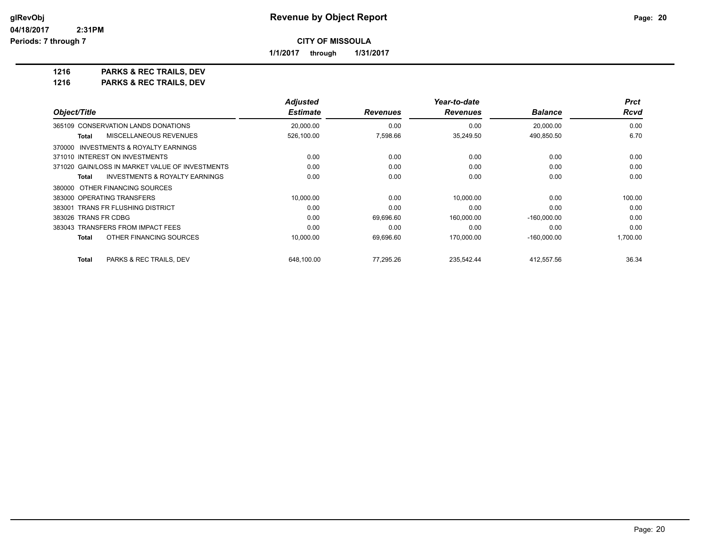**1/1/2017 through 1/31/2017**

**1216 PARKS & REC TRAILS, DEV 1216 PARKS & REC TRAILS, DEV**

|                                                 | <b>Adjusted</b> |                 | Year-to-date    |                | <b>Prct</b> |
|-------------------------------------------------|-----------------|-----------------|-----------------|----------------|-------------|
| Object/Title                                    | <b>Estimate</b> | <b>Revenues</b> | <b>Revenues</b> | <b>Balance</b> | <b>Rcvd</b> |
| 365109 CONSERVATION LANDS DONATIONS             | 20,000.00       | 0.00            | 0.00            | 20,000.00      | 0.00        |
| MISCELLANEOUS REVENUES<br>Total                 | 526,100.00      | 7,598.66        | 35,249.50       | 490,850.50     | 6.70        |
| INVESTMENTS & ROYALTY EARNINGS<br>370000        |                 |                 |                 |                |             |
| 371010 INTEREST ON INVESTMENTS                  | 0.00            | 0.00            | 0.00            | 0.00           | 0.00        |
| 371020 GAIN/LOSS IN MARKET VALUE OF INVESTMENTS | 0.00            | 0.00            | 0.00            | 0.00           | 0.00        |
| INVESTMENTS & ROYALTY EARNINGS<br>Total         | 0.00            | 0.00            | 0.00            | 0.00           | 0.00        |
| 380000 OTHER FINANCING SOURCES                  |                 |                 |                 |                |             |
| 383000 OPERATING TRANSFERS                      | 10,000.00       | 0.00            | 10,000.00       | 0.00           | 100.00      |
| <b>TRANS FR FLUSHING DISTRICT</b><br>383001     | 0.00            | 0.00            | 0.00            | 0.00           | 0.00        |
| 383026 TRANS FR CDBG                            | 0.00            | 69,696.60       | 160,000.00      | $-160,000.00$  | 0.00        |
| 383043 TRANSFERS FROM IMPACT FEES               | 0.00            | 0.00            | 0.00            | 0.00           | 0.00        |
| OTHER FINANCING SOURCES<br>Total                | 10,000.00       | 69,696.60       | 170,000.00      | $-160,000.00$  | 1,700.00    |
| PARKS & REC TRAILS, DEV<br><b>Total</b>         | 648.100.00      | 77.295.26       | 235,542.44      | 412.557.56     | 36.34       |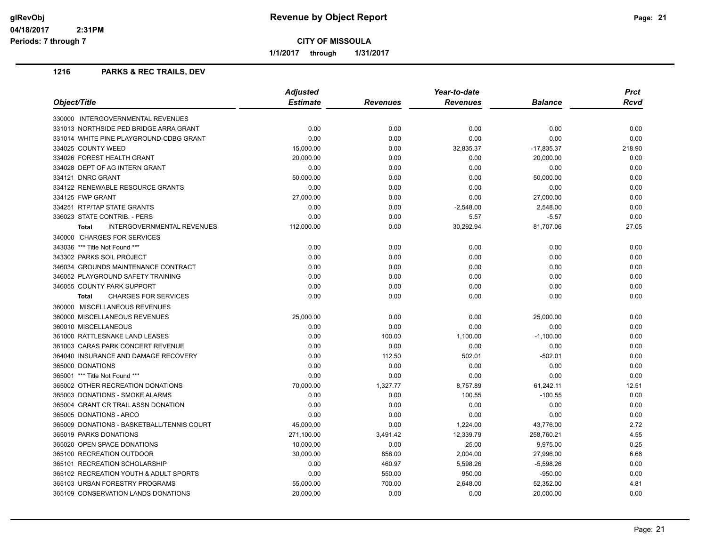**1/1/2017 through 1/31/2017**

### **1216 PARKS & REC TRAILS, DEV**

|                                                   | <b>Adjusted</b> |          | Year-to-date    |                | <b>Prct</b> |
|---------------------------------------------------|-----------------|----------|-----------------|----------------|-------------|
| Object/Title                                      | <b>Estimate</b> | Revenues | <b>Revenues</b> | <b>Balance</b> | <b>Rcvd</b> |
| 330000 INTERGOVERNMENTAL REVENUES                 |                 |          |                 |                |             |
| 331013 NORTHSIDE PED BRIDGE ARRA GRANT            | 0.00            | 0.00     | 0.00            | 0.00           | 0.00        |
| 331014 WHITE PINE PLAYGROUND-CDBG GRANT           | 0.00            | 0.00     | 0.00            | 0.00           | 0.00        |
| 334025 COUNTY WEED                                | 15,000.00       | 0.00     | 32,835.37       | $-17,835.37$   | 218.90      |
| 334026 FOREST HEALTH GRANT                        | 20,000.00       | 0.00     | 0.00            | 20,000.00      | 0.00        |
| 334028 DEPT OF AG INTERN GRANT                    | 0.00            | 0.00     | 0.00            | 0.00           | 0.00        |
| 334121 DNRC GRANT                                 | 50,000.00       | 0.00     | 0.00            | 50,000.00      | 0.00        |
| 334122 RENEWABLE RESOURCE GRANTS                  | 0.00            | 0.00     | 0.00            | 0.00           | 0.00        |
| 334125 FWP GRANT                                  | 27,000.00       | 0.00     | 0.00            | 27,000.00      | 0.00        |
| 334251 RTP/TAP STATE GRANTS                       | 0.00            | 0.00     | $-2,548.00$     | 2,548.00       | 0.00        |
| 336023 STATE CONTRIB. - PERS                      | 0.00            | 0.00     | 5.57            | $-5.57$        | 0.00        |
| <b>INTERGOVERNMENTAL REVENUES</b><br><b>Total</b> | 112,000.00      | 0.00     | 30,292.94       | 81,707.06      | 27.05       |
| 340000 CHARGES FOR SERVICES                       |                 |          |                 |                |             |
| 343036 *** Title Not Found ***                    | 0.00            | 0.00     | 0.00            | 0.00           | 0.00        |
| 343302 PARKS SOIL PROJECT                         | 0.00            | 0.00     | 0.00            | 0.00           | 0.00        |
| 346034 GROUNDS MAINTENANCE CONTRACT               | 0.00            | 0.00     | 0.00            | 0.00           | 0.00        |
| 346052 PLAYGROUND SAFETY TRAINING                 | 0.00            | 0.00     | 0.00            | 0.00           | 0.00        |
| 346055 COUNTY PARK SUPPORT                        | 0.00            | 0.00     | 0.00            | 0.00           | 0.00        |
| <b>CHARGES FOR SERVICES</b><br><b>Total</b>       | 0.00            | 0.00     | 0.00            | 0.00           | 0.00        |
| 360000 MISCELLANEOUS REVENUES                     |                 |          |                 |                |             |
| 360000 MISCELLANEOUS REVENUES                     | 25,000.00       | 0.00     | 0.00            | 25,000.00      | 0.00        |
| 360010 MISCELLANEOUS                              | 0.00            | 0.00     | 0.00            | 0.00           | 0.00        |
| 361000 RATTLESNAKE LAND LEASES                    | 0.00            | 100.00   | 1,100.00        | $-1,100.00$    | 0.00        |
| 361003 CARAS PARK CONCERT REVENUE                 | 0.00            | 0.00     | 0.00            | 0.00           | 0.00        |
| 364040 INSURANCE AND DAMAGE RECOVERY              | 0.00            | 112.50   | 502.01          | $-502.01$      | 0.00        |
| 365000 DONATIONS                                  | 0.00            | 0.00     | 0.00            | 0.00           | 0.00        |
| 365001 *** Title Not Found ***                    | 0.00            | 0.00     | 0.00            | 0.00           | 0.00        |
| 365002 OTHER RECREATION DONATIONS                 | 70,000.00       | 1,327.77 | 8,757.89        | 61,242.11      | 12.51       |
| 365003 DONATIONS - SMOKE ALARMS                   | 0.00            | 0.00     | 100.55          | $-100.55$      | 0.00        |
| 365004 GRANT CR TRAIL ASSN DONATION               | 0.00            | 0.00     | 0.00            | 0.00           | 0.00        |
| 365005 DONATIONS - ARCO                           | 0.00            | 0.00     | 0.00            | 0.00           | 0.00        |
| 365009 DONATIONS - BASKETBALL/TENNIS COURT        | 45,000.00       | 0.00     | 1,224.00        | 43,776.00      | 2.72        |
| 365019 PARKS DONATIONS                            | 271,100.00      | 3,491.42 | 12,339.79       | 258,760.21     | 4.55        |
| 365020 OPEN SPACE DONATIONS                       | 10,000.00       | 0.00     | 25.00           | 9,975.00       | 0.25        |
| 365100 RECREATION OUTDOOR                         | 30,000.00       | 856.00   | 2,004.00        | 27,996.00      | 6.68        |
| 365101 RECREATION SCHOLARSHIP                     | 0.00            | 460.97   | 5,598.26        | $-5,598.26$    | 0.00        |
| 365102 RECREATION YOUTH & ADULT SPORTS            | 0.00            | 550.00   | 950.00          | $-950.00$      | 0.00        |
| 365103 URBAN FORESTRY PROGRAMS                    | 55,000.00       | 700.00   | 2,648.00        | 52,352.00      | 4.81        |
| 365109 CONSERVATION LANDS DONATIONS               | 20.000.00       | 0.00     | 0.00            | 20,000.00      | 0.00        |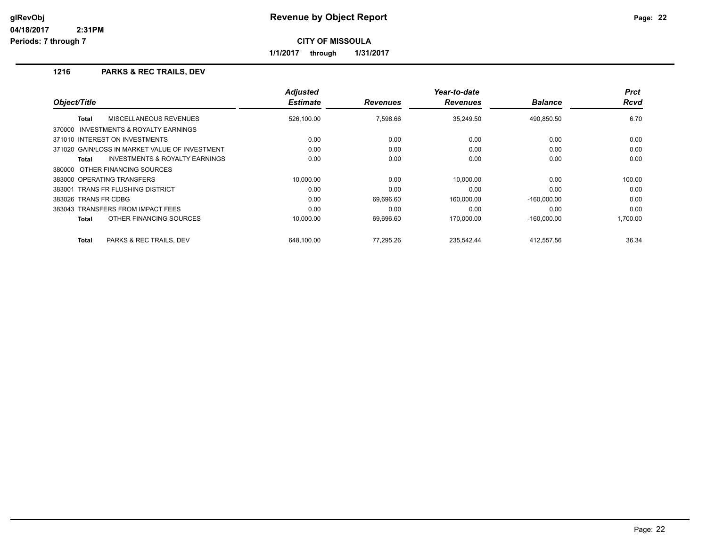**1/1/2017 through 1/31/2017**

### **1216 PARKS & REC TRAILS, DEV**

|                                                    | <b>Adjusted</b> |                 | Year-to-date    |                | <b>Prct</b> |
|----------------------------------------------------|-----------------|-----------------|-----------------|----------------|-------------|
| Object/Title                                       | <b>Estimate</b> | <b>Revenues</b> | <b>Revenues</b> | <b>Balance</b> | <b>Rcvd</b> |
| MISCELLANEOUS REVENUES<br><b>Total</b>             | 526,100.00      | 7,598.66        | 35,249.50       | 490,850.50     | 6.70        |
| 370000 INVESTMENTS & ROYALTY EARNINGS              |                 |                 |                 |                |             |
| 371010 INTEREST ON INVESTMENTS                     | 0.00            | 0.00            | 0.00            | 0.00           | 0.00        |
| 371020 GAIN/LOSS IN MARKET VALUE OF INVESTMENT     | 0.00            | 0.00            | 0.00            | 0.00           | 0.00        |
| <b>INVESTMENTS &amp; ROYALTY EARNINGS</b><br>Total | 0.00            | 0.00            | 0.00            | 0.00           | 0.00        |
| 380000 OTHER FINANCING SOURCES                     |                 |                 |                 |                |             |
| 383000 OPERATING TRANSFERS                         | 10.000.00       | 0.00            | 10.000.00       | 0.00           | 100.00      |
| 383001 TRANS FR FLUSHING DISTRICT                  | 0.00            | 0.00            | 0.00            | 0.00           | 0.00        |
| 383026 TRANS FR CDBG                               | 0.00            | 69,696.60       | 160,000.00      | $-160,000.00$  | 0.00        |
| 383043 TRANSFERS FROM IMPACT FEES                  | 0.00            | 0.00            | 0.00            | 0.00           | 0.00        |
| OTHER FINANCING SOURCES<br><b>Total</b>            | 10.000.00       | 69,696.60       | 170,000.00      | $-160,000.00$  | 1.700.00    |
| <b>Total</b><br>PARKS & REC TRAILS, DEV            | 648,100.00      | 77,295.26       | 235.542.44      | 412,557.56     | 36.34       |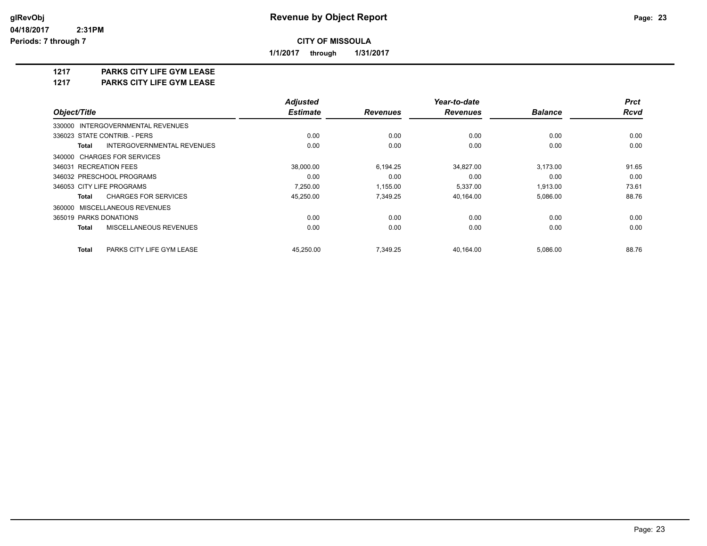**1/1/2017 through 1/31/2017**

# **1217 PARKS CITY LIFE GYM LEASE**

**1217 PARKS CITY LIFE GYM LEASE**

|                                                   | <b>Adjusted</b> |                 | Year-to-date    |                | <b>Prct</b> |
|---------------------------------------------------|-----------------|-----------------|-----------------|----------------|-------------|
| Object/Title                                      | <b>Estimate</b> | <b>Revenues</b> | <b>Revenues</b> | <b>Balance</b> | <b>Rcvd</b> |
| 330000 INTERGOVERNMENTAL REVENUES                 |                 |                 |                 |                |             |
| 336023 STATE CONTRIB. - PERS                      | 0.00            | 0.00            | 0.00            | 0.00           | 0.00        |
| <b>INTERGOVERNMENTAL REVENUES</b><br><b>Total</b> | 0.00            | 0.00            | 0.00            | 0.00           | 0.00        |
| 340000 CHARGES FOR SERVICES                       |                 |                 |                 |                |             |
| 346031 RECREATION FEES                            | 38,000.00       | 6,194.25        | 34,827.00       | 3,173.00       | 91.65       |
| 346032 PRESCHOOL PROGRAMS                         | 0.00            | 0.00            | 0.00            | 0.00           | 0.00        |
| 346053 CITY LIFE PROGRAMS                         | 7.250.00        | 1,155.00        | 5.337.00        | 1.913.00       | 73.61       |
| <b>CHARGES FOR SERVICES</b><br>Total              | 45,250.00       | 7,349.25        | 40,164.00       | 5,086.00       | 88.76       |
| 360000 MISCELLANEOUS REVENUES                     |                 |                 |                 |                |             |
| 365019 PARKS DONATIONS                            | 0.00            | 0.00            | 0.00            | 0.00           | 0.00        |
| MISCELLANEOUS REVENUES<br>Total                   | 0.00            | 0.00            | 0.00            | 0.00           | 0.00        |
| PARKS CITY LIFE GYM LEASE<br><b>Total</b>         | 45,250.00       | 7.349.25        | 40,164.00       | 5,086.00       | 88.76       |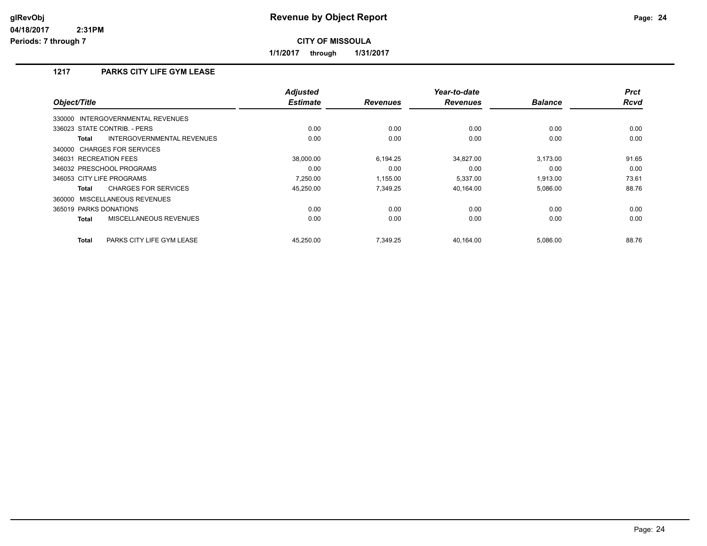**1/1/2017 through 1/31/2017**

### **1217 PARKS CITY LIFE GYM LEASE**

| Object/Title                                | <b>Adjusted</b><br><b>Estimate</b> | <b>Revenues</b> | Year-to-date<br><b>Revenues</b> | <b>Balance</b> | <b>Prct</b><br><b>Rcvd</b> |
|---------------------------------------------|------------------------------------|-----------------|---------------------------------|----------------|----------------------------|
| INTERGOVERNMENTAL REVENUES<br>330000        |                                    |                 |                                 |                |                            |
| 336023 STATE CONTRIB. - PERS                | 0.00                               | 0.00            | 0.00                            | 0.00           | 0.00                       |
| <b>INTERGOVERNMENTAL REVENUES</b><br>Total  | 0.00                               | 0.00            | 0.00                            | 0.00           | 0.00                       |
| 340000 CHARGES FOR SERVICES                 |                                    |                 |                                 |                |                            |
| 346031 RECREATION FEES                      | 38.000.00                          | 6,194.25        | 34.827.00                       | 3.173.00       | 91.65                      |
| 346032 PRESCHOOL PROGRAMS                   | 0.00                               | 0.00            | 0.00                            | 0.00           | 0.00                       |
| 346053 CITY LIFE PROGRAMS                   | 7.250.00                           | 1,155.00        | 5,337.00                        | 1,913.00       | 73.61                      |
| <b>CHARGES FOR SERVICES</b><br><b>Total</b> | 45,250.00                          | 7.349.25        | 40,164.00                       | 5,086.00       | 88.76                      |
| MISCELLANEOUS REVENUES<br>360000            |                                    |                 |                                 |                |                            |
| 365019 PARKS DONATIONS                      | 0.00                               | 0.00            | 0.00                            | 0.00           | 0.00                       |
| MISCELLANEOUS REVENUES<br><b>Total</b>      | 0.00                               | 0.00            | 0.00                            | 0.00           | 0.00                       |
| PARKS CITY LIFE GYM LEASE<br><b>Total</b>   | 45,250.00                          | 7,349.25        | 40,164.00                       | 5,086.00       | 88.76                      |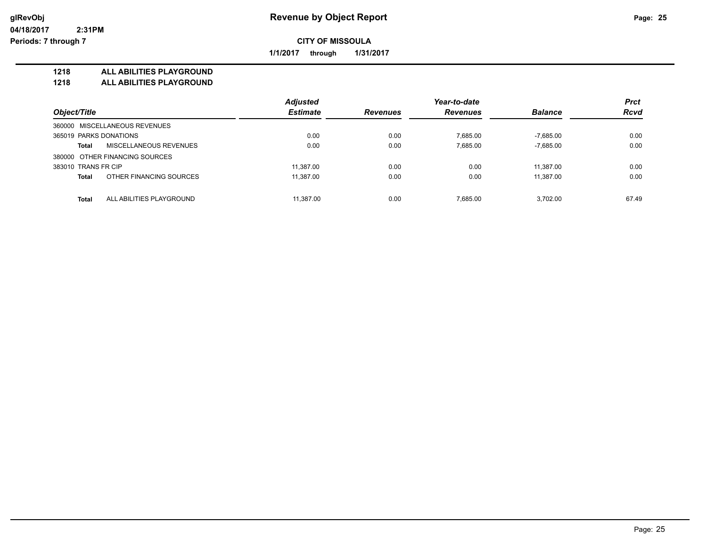**1/1/2017 through 1/31/2017**

**1218 ALL ABILITIES PLAYGROUND**

**1218 ALL ABILITIES PLAYGROUND**

|                                         | <b>Adjusted</b> |                 | Year-to-date    |                | <b>Prct</b> |
|-----------------------------------------|-----------------|-----------------|-----------------|----------------|-------------|
| Object/Title                            | <b>Estimate</b> | <b>Revenues</b> | <b>Revenues</b> | <b>Balance</b> | <b>Rcvd</b> |
| 360000 MISCELLANEOUS REVENUES           |                 |                 |                 |                |             |
| 365019 PARKS DONATIONS                  | 0.00            | 0.00            | 7.685.00        | $-7.685.00$    | 0.00        |
| MISCELLANEOUS REVENUES<br><b>Total</b>  | 0.00            | 0.00            | 7.685.00        | $-7.685.00$    | 0.00        |
| 380000 OTHER FINANCING SOURCES          |                 |                 |                 |                |             |
| 383010 TRANS FR CIP                     | 11.387.00       | 0.00            | 0.00            | 11.387.00      | 0.00        |
| OTHER FINANCING SOURCES<br><b>Total</b> | 11.387.00       | 0.00            | 0.00            | 11.387.00      | 0.00        |
|                                         |                 |                 |                 |                |             |
| Total<br>ALL ABILITIES PLAYGROUND       | 11.387.00       | 0.00            | 7.685.00        | 3.702.00       | 67.49       |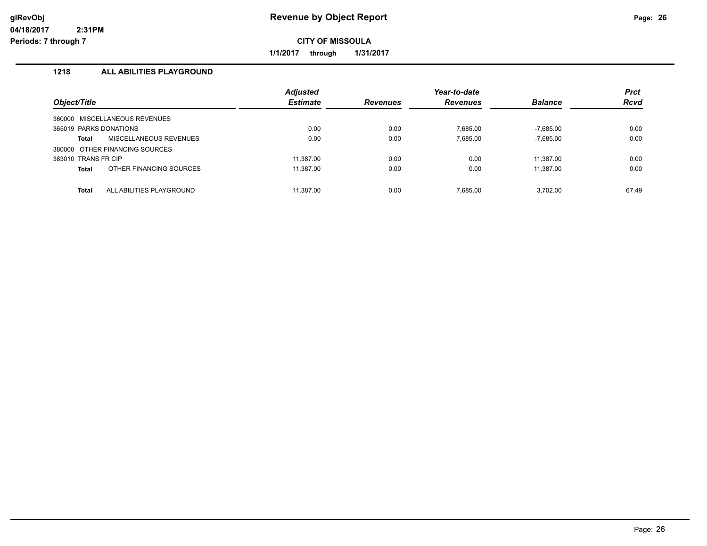**1/1/2017 through 1/31/2017**

### **1218 ALL ABILITIES PLAYGROUND**

|                        |                                | <b>Adjusted</b> | Year-to-date    |                 |                | <b>Prct</b> |
|------------------------|--------------------------------|-----------------|-----------------|-----------------|----------------|-------------|
| Object/Title           |                                | <b>Estimate</b> | <b>Revenues</b> | <b>Revenues</b> | <b>Balance</b> | <b>Rcvd</b> |
|                        | 360000 MISCELLANEOUS REVENUES  |                 |                 |                 |                |             |
| 365019 PARKS DONATIONS |                                | 0.00            | 0.00            | 7.685.00        | $-7.685.00$    | 0.00        |
| Total                  | MISCELLANEOUS REVENUES         | 0.00            | 0.00            | 7,685.00        | $-7.685.00$    | 0.00        |
|                        | 380000 OTHER FINANCING SOURCES |                 |                 |                 |                |             |
| 383010 TRANS FR CIP    |                                | 11.387.00       | 0.00            | 0.00            | 11.387.00      | 0.00        |
| Total                  | OTHER FINANCING SOURCES        | 11.387.00       | 0.00            | 0.00            | 11.387.00      | 0.00        |
| <b>Total</b>           | ALL ABILITIES PLAYGROUND       | 11.387.00       | 0.00            | 7.685.00        | 3.702.00       | 67.49       |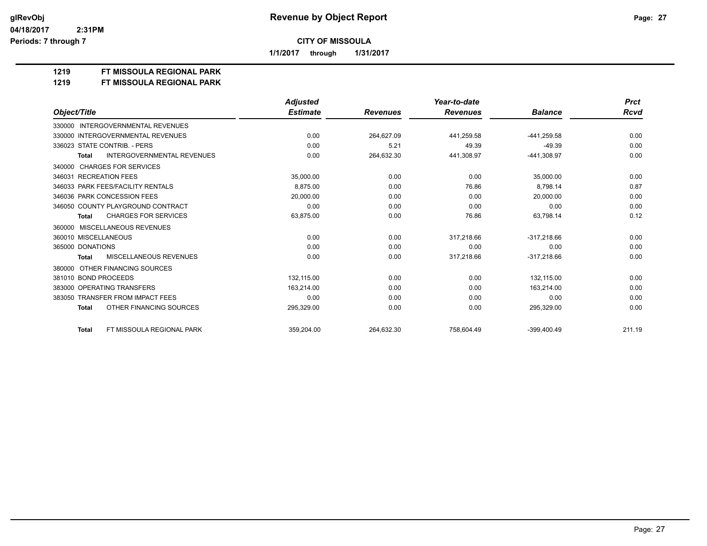**1/1/2017 through 1/31/2017**

### **1219 FT MISSOULA REGIONAL PARK**

### **1219 FT MISSOULA REGIONAL PARK**

|                                                   | <b>Adjusted</b> |                 | Year-to-date    |                | <b>Prct</b> |
|---------------------------------------------------|-----------------|-----------------|-----------------|----------------|-------------|
| Object/Title                                      | <b>Estimate</b> | <b>Revenues</b> | <b>Revenues</b> | <b>Balance</b> | <b>Rcvd</b> |
| 330000 INTERGOVERNMENTAL REVENUES                 |                 |                 |                 |                |             |
| 330000 INTERGOVERNMENTAL REVENUES                 | 0.00            | 264.627.09      | 441.259.58      | $-441.259.58$  | 0.00        |
| 336023 STATE CONTRIB. - PERS                      | 0.00            | 5.21            | 49.39           | $-49.39$       | 0.00        |
| <b>INTERGOVERNMENTAL REVENUES</b><br><b>Total</b> | 0.00            | 264,632.30      | 441,308.97      | -441,308.97    | 0.00        |
| 340000 CHARGES FOR SERVICES                       |                 |                 |                 |                |             |
| 346031 RECREATION FEES                            | 35,000.00       | 0.00            | 0.00            | 35,000.00      | 0.00        |
| 346033 PARK FEES/FACILITY RENTALS                 | 8.875.00        | 0.00            | 76.86           | 8,798.14       | 0.87        |
| 346036 PARK CONCESSION FEES                       | 20,000.00       | 0.00            | 0.00            | 20,000.00      | 0.00        |
| 346050 COUNTY PLAYGROUND CONTRACT                 | 0.00            | 0.00            | 0.00            | 0.00           | 0.00        |
| <b>CHARGES FOR SERVICES</b><br><b>Total</b>       | 63,875.00       | 0.00            | 76.86           | 63,798.14      | 0.12        |
| 360000 MISCELLANEOUS REVENUES                     |                 |                 |                 |                |             |
| 360010 MISCELLANEOUS                              | 0.00            | 0.00            | 317.218.66      | $-317.218.66$  | 0.00        |
| 365000 DONATIONS                                  | 0.00            | 0.00            | 0.00            | 0.00           | 0.00        |
| <b>MISCELLANEOUS REVENUES</b><br><b>Total</b>     | 0.00            | 0.00            | 317,218.66      | $-317,218.66$  | 0.00        |
| 380000 OTHER FINANCING SOURCES                    |                 |                 |                 |                |             |
| 381010 BOND PROCEEDS                              | 132.115.00      | 0.00            | 0.00            | 132.115.00     | 0.00        |
| 383000 OPERATING TRANSFERS                        | 163.214.00      | 0.00            | 0.00            | 163.214.00     | 0.00        |
| 383050 TRANSFER FROM IMPACT FEES                  | 0.00            | 0.00            | 0.00            | 0.00           | 0.00        |
| OTHER FINANCING SOURCES<br><b>Total</b>           | 295,329.00      | 0.00            | 0.00            | 295,329.00     | 0.00        |
| FT MISSOULA REGIONAL PARK<br><b>Total</b>         | 359,204.00      | 264.632.30      | 758.604.49      | $-399.400.49$  | 211.19      |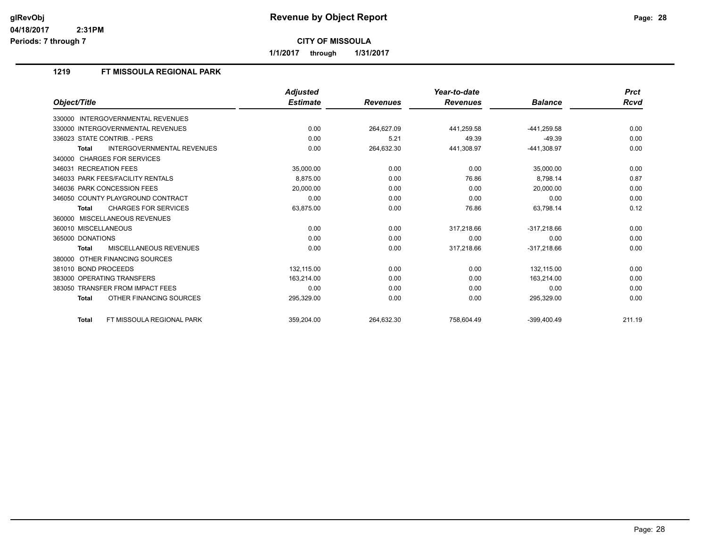**1/1/2017 through 1/31/2017**

### **1219 FT MISSOULA REGIONAL PARK**

|                                                   | <b>Adjusted</b> |                 | Year-to-date    |                | <b>Prct</b> |
|---------------------------------------------------|-----------------|-----------------|-----------------|----------------|-------------|
| Object/Title                                      | <b>Estimate</b> | <b>Revenues</b> | <b>Revenues</b> | <b>Balance</b> | <b>Rcvd</b> |
| 330000 INTERGOVERNMENTAL REVENUES                 |                 |                 |                 |                |             |
| 330000 INTERGOVERNMENTAL REVENUES                 | 0.00            | 264,627.09      | 441,259.58      | $-441,259.58$  | 0.00        |
| 336023 STATE CONTRIB. - PERS                      | 0.00            | 5.21            | 49.39           | $-49.39$       | 0.00        |
| <b>INTERGOVERNMENTAL REVENUES</b><br><b>Total</b> | 0.00            | 264,632.30      | 441,308.97      | $-441,308.97$  | 0.00        |
| 340000 CHARGES FOR SERVICES                       |                 |                 |                 |                |             |
| 346031 RECREATION FEES                            | 35,000.00       | 0.00            | 0.00            | 35,000.00      | 0.00        |
| 346033 PARK FEES/FACILITY RENTALS                 | 8.875.00        | 0.00            | 76.86           | 8,798.14       | 0.87        |
| 346036 PARK CONCESSION FEES                       | 20,000.00       | 0.00            | 0.00            | 20,000.00      | 0.00        |
| 346050 COUNTY PLAYGROUND CONTRACT                 | 0.00            | 0.00            | 0.00            | 0.00           | 0.00        |
| <b>CHARGES FOR SERVICES</b><br>Total              | 63,875.00       | 0.00            | 76.86           | 63,798.14      | 0.12        |
| 360000 MISCELLANEOUS REVENUES                     |                 |                 |                 |                |             |
| 360010 MISCELLANEOUS                              | 0.00            | 0.00            | 317.218.66      | $-317,218.66$  | 0.00        |
| 365000 DONATIONS                                  | 0.00            | 0.00            | 0.00            | 0.00           | 0.00        |
| MISCELLANEOUS REVENUES<br><b>Total</b>            | 0.00            | 0.00            | 317,218.66      | $-317,218.66$  | 0.00        |
| 380000 OTHER FINANCING SOURCES                    |                 |                 |                 |                |             |
| 381010 BOND PROCEEDS                              | 132,115.00      | 0.00            | 0.00            | 132,115.00     | 0.00        |
| 383000 OPERATING TRANSFERS                        | 163.214.00      | 0.00            | 0.00            | 163.214.00     | 0.00        |
| 383050 TRANSFER FROM IMPACT FEES                  | 0.00            | 0.00            | 0.00            | 0.00           | 0.00        |
| OTHER FINANCING SOURCES<br><b>Total</b>           | 295,329.00      | 0.00            | 0.00            | 295,329.00     | 0.00        |
| FT MISSOULA REGIONAL PARK<br><b>Total</b>         | 359,204.00      | 264,632.30      | 758,604.49      | $-399,400.49$  | 211.19      |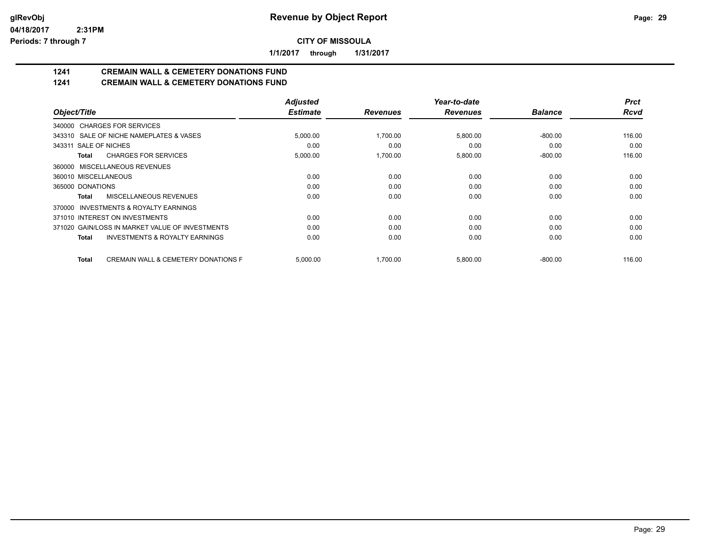**1/1/2017 through 1/31/2017**

# **1241 CREMAIN WALL & CEMETERY DONATIONS FUND**

| 1241 | <b>CREMAIN WALL &amp; CEMETERY DONATIONS FUND</b> |  |
|------|---------------------------------------------------|--|
|      |                                                   |  |

|                                                           | <b>Adjusted</b> |                 | Year-to-date    |                | <b>Prct</b> |
|-----------------------------------------------------------|-----------------|-----------------|-----------------|----------------|-------------|
| Object/Title                                              | <b>Estimate</b> | <b>Revenues</b> | <b>Revenues</b> | <b>Balance</b> | <b>Rcvd</b> |
| 340000 CHARGES FOR SERVICES                               |                 |                 |                 |                |             |
| 343310 SALE OF NICHE NAMEPLATES & VASES                   | 5,000.00        | 1.700.00        | 5,800.00        | $-800.00$      | 116.00      |
| 343311 SALE OF NICHES                                     | 0.00            | 0.00            | 0.00            | 0.00           | 0.00        |
| <b>CHARGES FOR SERVICES</b><br>Total                      | 5,000.00        | 1,700.00        | 5,800.00        | $-800.00$      | 116.00      |
| 360000 MISCELLANEOUS REVENUES                             |                 |                 |                 |                |             |
| 360010 MISCELLANEOUS                                      | 0.00            | 0.00            | 0.00            | 0.00           | 0.00        |
| 365000 DONATIONS                                          | 0.00            | 0.00            | 0.00            | 0.00           | 0.00        |
| MISCELLANEOUS REVENUES<br>Total                           | 0.00            | 0.00            | 0.00            | 0.00           | 0.00        |
| <b>INVESTMENTS &amp; ROYALTY EARNINGS</b><br>370000       |                 |                 |                 |                |             |
| 371010 INTEREST ON INVESTMENTS                            | 0.00            | 0.00            | 0.00            | 0.00           | 0.00        |
| 371020 GAIN/LOSS IN MARKET VALUE OF INVESTMENTS           | 0.00            | 0.00            | 0.00            | 0.00           | 0.00        |
| <b>INVESTMENTS &amp; ROYALTY EARNINGS</b><br><b>Total</b> | 0.00            | 0.00            | 0.00            | 0.00           | 0.00        |
| <b>CREMAIN WALL &amp; CEMETERY DONATIONS F</b><br>Total   | 5,000.00        | 1.700.00        | 5,800.00        | $-800.00$      | 116.00      |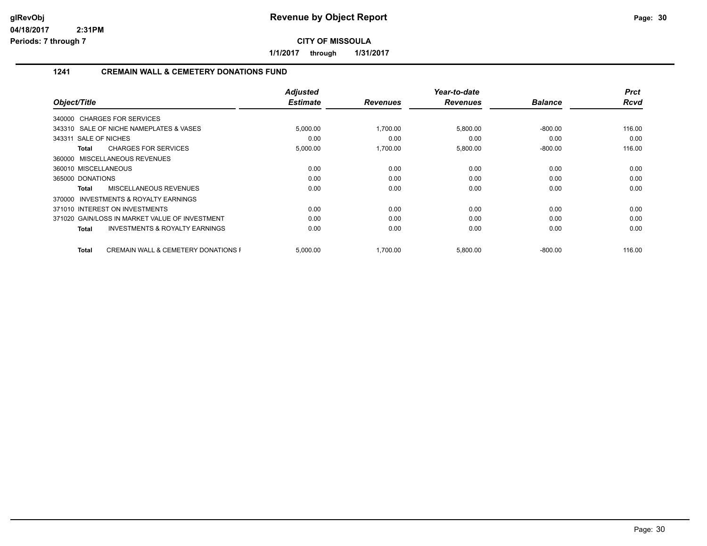**1/1/2017 through 1/31/2017**

### **1241 CREMAIN WALL & CEMETERY DONATIONS FUND**

|                                                         | <b>Adjusted</b> |                 | Year-to-date    |                | <b>Prct</b> |
|---------------------------------------------------------|-----------------|-----------------|-----------------|----------------|-------------|
| Object/Title                                            | <b>Estimate</b> | <b>Revenues</b> | <b>Revenues</b> | <b>Balance</b> | <b>Rcvd</b> |
| <b>CHARGES FOR SERVICES</b><br>340000                   |                 |                 |                 |                |             |
| 343310 SALE OF NICHE NAMEPLATES & VASES                 | 5,000.00        | 1,700.00        | 5,800.00        | $-800.00$      | 116.00      |
| 343311 SALE OF NICHES                                   | 0.00            | 0.00            | 0.00            | 0.00           | 0.00        |
| <b>CHARGES FOR SERVICES</b><br>Total                    | 5,000.00        | 1,700.00        | 5,800.00        | $-800.00$      | 116.00      |
| 360000 MISCELLANEOUS REVENUES                           |                 |                 |                 |                |             |
| 360010 MISCELLANEOUS                                    | 0.00            | 0.00            | 0.00            | 0.00           | 0.00        |
| 365000 DONATIONS                                        | 0.00            | 0.00            | 0.00            | 0.00           | 0.00        |
| MISCELLANEOUS REVENUES<br>Total                         | 0.00            | 0.00            | 0.00            | 0.00           | 0.00        |
| INVESTMENTS & ROYALTY EARNINGS<br>370000                |                 |                 |                 |                |             |
| 371010 INTEREST ON INVESTMENTS                          | 0.00            | 0.00            | 0.00            | 0.00           | 0.00        |
| 371020 GAIN/LOSS IN MARKET VALUE OF INVESTMENT          | 0.00            | 0.00            | 0.00            | 0.00           | 0.00        |
| <b>INVESTMENTS &amp; ROYALTY EARNINGS</b><br>Total      | 0.00            | 0.00            | 0.00            | 0.00           | 0.00        |
| <b>CREMAIN WALL &amp; CEMETERY DONATIONS F</b><br>Total | 5,000.00        | 1.700.00        | 5,800.00        | $-800.00$      | 116.00      |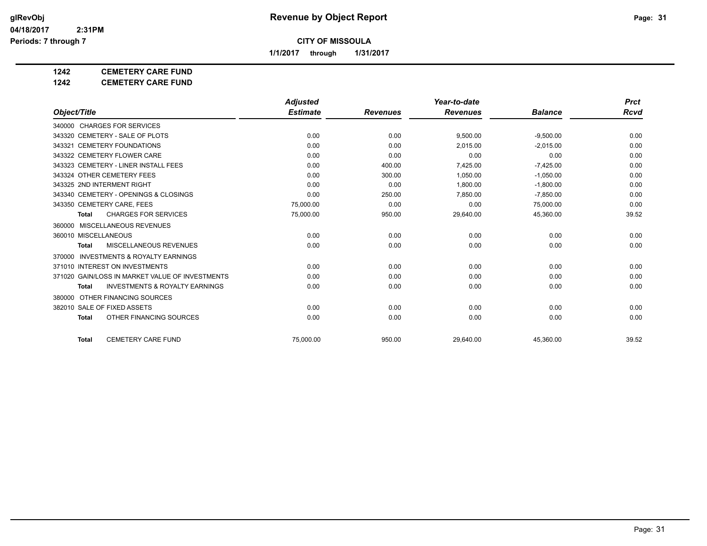**1/1/2017 through 1/31/2017**

**1242 CEMETERY CARE FUND**

| 1242 | <b>CEMETERY CARE FUND</b> |
|------|---------------------------|
|      |                           |

|                                                           | <b>Adjusted</b> |                 | Year-to-date    |                | <b>Prct</b> |
|-----------------------------------------------------------|-----------------|-----------------|-----------------|----------------|-------------|
| Object/Title                                              | <b>Estimate</b> | <b>Revenues</b> | <b>Revenues</b> | <b>Balance</b> | Rcvd        |
| 340000 CHARGES FOR SERVICES                               |                 |                 |                 |                |             |
| 343320 CEMETERY - SALE OF PLOTS                           | 0.00            | 0.00            | 9,500.00        | $-9,500.00$    | 0.00        |
| 343321 CEMETERY FOUNDATIONS                               | 0.00            | 0.00            | 2,015.00        | $-2.015.00$    | 0.00        |
| 343322 CEMETERY FLOWER CARE                               | 0.00            | 0.00            | 0.00            | 0.00           | 0.00        |
| 343323 CEMETERY - LINER INSTALL FEES                      | 0.00            | 400.00          | 7.425.00        | $-7,425.00$    | 0.00        |
| 343324 OTHER CEMETERY FEES                                | 0.00            | 300.00          | 1.050.00        | $-1,050.00$    | 0.00        |
| 343325 2ND INTERMENT RIGHT                                | 0.00            | 0.00            | 1.800.00        | $-1,800.00$    | 0.00        |
| 343340 CEMETERY - OPENINGS & CLOSINGS                     | 0.00            | 250.00          | 7.850.00        | $-7.850.00$    | 0.00        |
| 343350 CEMETERY CARE, FEES                                | 75,000.00       | 0.00            | 0.00            | 75,000.00      | 0.00        |
| <b>CHARGES FOR SERVICES</b><br><b>Total</b>               | 75,000.00       | 950.00          | 29,640.00       | 45,360.00      | 39.52       |
| 360000 MISCELLANEOUS REVENUES                             |                 |                 |                 |                |             |
| 360010 MISCELLANEOUS                                      | 0.00            | 0.00            | 0.00            | 0.00           | 0.00        |
| MISCELLANEOUS REVENUES<br><b>Total</b>                    | 0.00            | 0.00            | 0.00            | 0.00           | 0.00        |
| <b>INVESTMENTS &amp; ROYALTY EARNINGS</b><br>370000       |                 |                 |                 |                |             |
| 371010 INTEREST ON INVESTMENTS                            | 0.00            | 0.00            | 0.00            | 0.00           | 0.00        |
| 371020 GAIN/LOSS IN MARKET VALUE OF INVESTMENTS           | 0.00            | 0.00            | 0.00            | 0.00           | 0.00        |
| <b>INVESTMENTS &amp; ROYALTY EARNINGS</b><br><b>Total</b> | 0.00            | 0.00            | 0.00            | 0.00           | 0.00        |
| 380000 OTHER FINANCING SOURCES                            |                 |                 |                 |                |             |
| 382010 SALE OF FIXED ASSETS                               | 0.00            | 0.00            | 0.00            | 0.00           | 0.00        |
| OTHER FINANCING SOURCES<br><b>Total</b>                   | 0.00            | 0.00            | 0.00            | 0.00           | 0.00        |
| <b>CEMETERY CARE FUND</b><br><b>Total</b>                 | 75.000.00       | 950.00          | 29.640.00       | 45.360.00      | 39.52       |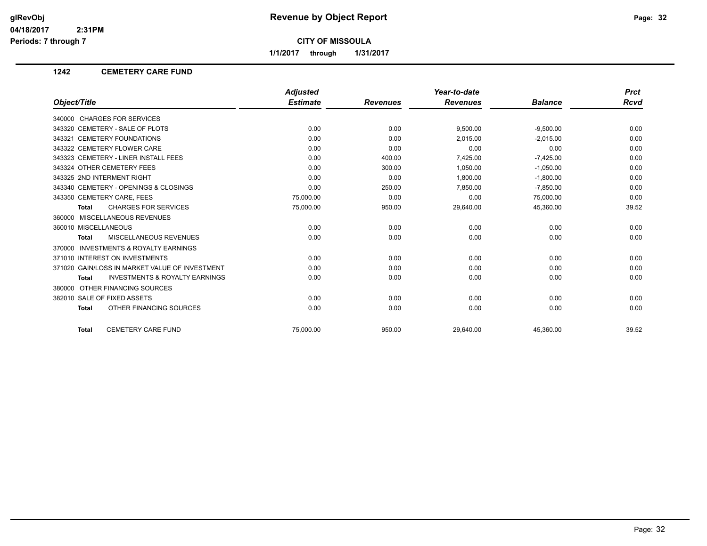**1/1/2017 through 1/31/2017**

### **1242 CEMETERY CARE FUND**

|                                                           | <b>Adjusted</b> |                 | Year-to-date    |                | <b>Prct</b> |
|-----------------------------------------------------------|-----------------|-----------------|-----------------|----------------|-------------|
| Object/Title                                              | <b>Estimate</b> | <b>Revenues</b> | <b>Revenues</b> | <b>Balance</b> | <b>Rcvd</b> |
| 340000 CHARGES FOR SERVICES                               |                 |                 |                 |                |             |
| 343320 CEMETERY - SALE OF PLOTS                           | 0.00            | 0.00            | 9,500.00        | $-9,500.00$    | 0.00        |
| 343321 CEMETERY FOUNDATIONS                               | 0.00            | 0.00            | 2,015.00        | $-2,015.00$    | 0.00        |
| 343322 CEMETERY FLOWER CARE                               | 0.00            | 0.00            | 0.00            | 0.00           | 0.00        |
| 343323 CEMETERY - LINER INSTALL FEES                      | 0.00            | 400.00          | 7,425.00        | $-7,425.00$    | 0.00        |
| 343324 OTHER CEMETERY FEES                                | 0.00            | 300.00          | 1.050.00        | $-1,050.00$    | 0.00        |
| 343325 2ND INTERMENT RIGHT                                | 0.00            | 0.00            | 1,800.00        | $-1,800.00$    | 0.00        |
| 343340 CEMETERY - OPENINGS & CLOSINGS                     | 0.00            | 250.00          | 7,850.00        | $-7,850.00$    | 0.00        |
| 343350 CEMETERY CARE, FEES                                | 75,000.00       | 0.00            | 0.00            | 75,000.00      | 0.00        |
| <b>CHARGES FOR SERVICES</b><br><b>Total</b>               | 75,000.00       | 950.00          | 29,640.00       | 45,360.00      | 39.52       |
| 360000 MISCELLANEOUS REVENUES                             |                 |                 |                 |                |             |
| 360010 MISCELLANEOUS                                      | 0.00            | 0.00            | 0.00            | 0.00           | 0.00        |
| MISCELLANEOUS REVENUES<br><b>Total</b>                    | 0.00            | 0.00            | 0.00            | 0.00           | 0.00        |
| <b>INVESTMENTS &amp; ROYALTY EARNINGS</b><br>370000       |                 |                 |                 |                |             |
| 371010 INTEREST ON INVESTMENTS                            | 0.00            | 0.00            | 0.00            | 0.00           | 0.00        |
| 371020 GAIN/LOSS IN MARKET VALUE OF INVESTMENT            | 0.00            | 0.00            | 0.00            | 0.00           | 0.00        |
| <b>INVESTMENTS &amp; ROYALTY EARNINGS</b><br><b>Total</b> | 0.00            | 0.00            | 0.00            | 0.00           | 0.00        |
| 380000 OTHER FINANCING SOURCES                            |                 |                 |                 |                |             |
| 382010 SALE OF FIXED ASSETS                               | 0.00            | 0.00            | 0.00            | 0.00           | 0.00        |
| OTHER FINANCING SOURCES<br><b>Total</b>                   | 0.00            | 0.00            | 0.00            | 0.00           | 0.00        |
| <b>CEMETERY CARE FUND</b><br><b>Total</b>                 | 75.000.00       | 950.00          | 29.640.00       | 45.360.00      | 39.52       |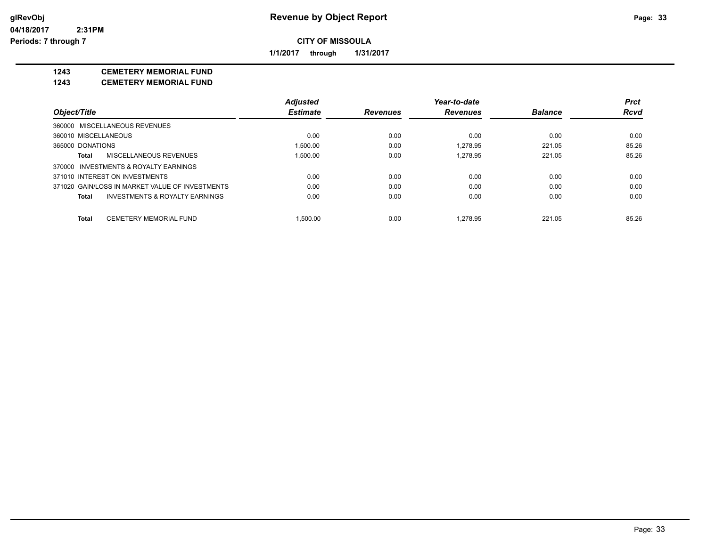**1/1/2017 through 1/31/2017**

**1243 CEMETERY MEMORIAL FUND**

**1243 CEMETERY MEMORIAL FUND**

|                                                    | <b>Adjusted</b> |                 | Year-to-date    |                | <b>Prct</b> |
|----------------------------------------------------|-----------------|-----------------|-----------------|----------------|-------------|
| Object/Title                                       | <b>Estimate</b> | <b>Revenues</b> | <b>Revenues</b> | <b>Balance</b> | Rcvd        |
| 360000 MISCELLANEOUS REVENUES                      |                 |                 |                 |                |             |
| 360010 MISCELLANEOUS                               | 0.00            | 0.00            | 0.00            | 0.00           | 0.00        |
| 365000 DONATIONS                                   | 1.500.00        | 0.00            | 1.278.95        | 221.05         | 85.26       |
| MISCELLANEOUS REVENUES<br>Total                    | 1.500.00        | 0.00            | 1.278.95        | 221.05         | 85.26       |
| 370000 INVESTMENTS & ROYALTY EARNINGS              |                 |                 |                 |                |             |
| 371010 INTEREST ON INVESTMENTS                     | 0.00            | 0.00            | 0.00            | 0.00           | 0.00        |
| 371020 GAIN/LOSS IN MARKET VALUE OF INVESTMENTS    | 0.00            | 0.00            | 0.00            | 0.00           | 0.00        |
| <b>INVESTMENTS &amp; ROYALTY EARNINGS</b><br>Total | 0.00            | 0.00            | 0.00            | 0.00           | 0.00        |
| CEMETERY MEMORIAL FUND<br>Total                    | 1.500.00        | 0.00            | 1.278.95        | 221.05         | 85.26       |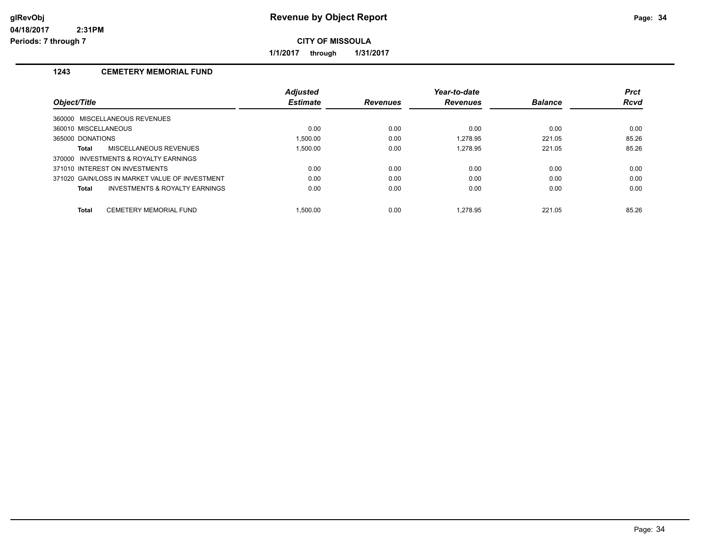**1/1/2017 through 1/31/2017**

### **1243 CEMETERY MEMORIAL FUND**

|                                                |                                       | <b>Adiusted</b> |                 | Year-to-date    |                | <b>Prct</b> |
|------------------------------------------------|---------------------------------------|-----------------|-----------------|-----------------|----------------|-------------|
| Object/Title                                   |                                       | <b>Estimate</b> | <b>Revenues</b> | <b>Revenues</b> | <b>Balance</b> | Rcvd        |
|                                                | 360000 MISCELLANEOUS REVENUES         |                 |                 |                 |                |             |
| 360010 MISCELLANEOUS                           |                                       | 0.00            | 0.00            | 0.00            | 0.00           | 0.00        |
| 365000 DONATIONS                               |                                       | 1.500.00        | 0.00            | 1.278.95        | 221.05         | 85.26       |
| Total                                          | MISCELLANEOUS REVENUES                | 1.500.00        | 0.00            | 1.278.95        | 221.05         | 85.26       |
|                                                | 370000 INVESTMENTS & ROYALTY EARNINGS |                 |                 |                 |                |             |
| 371010 INTEREST ON INVESTMENTS                 |                                       | 0.00            | 0.00            | 0.00            | 0.00           | 0.00        |
| 371020 GAIN/LOSS IN MARKET VALUE OF INVESTMENT |                                       | 0.00            | 0.00            | 0.00            | 0.00           | 0.00        |
| Total                                          | INVESTMENTS & ROYALTY EARNINGS        | 0.00            | 0.00            | 0.00            | 0.00           | 0.00        |
| <b>Total</b>                                   | CEMETERY MEMORIAL FUND                | 1.500.00        | 0.00            | 1.278.95        | 221.05         | 85.26       |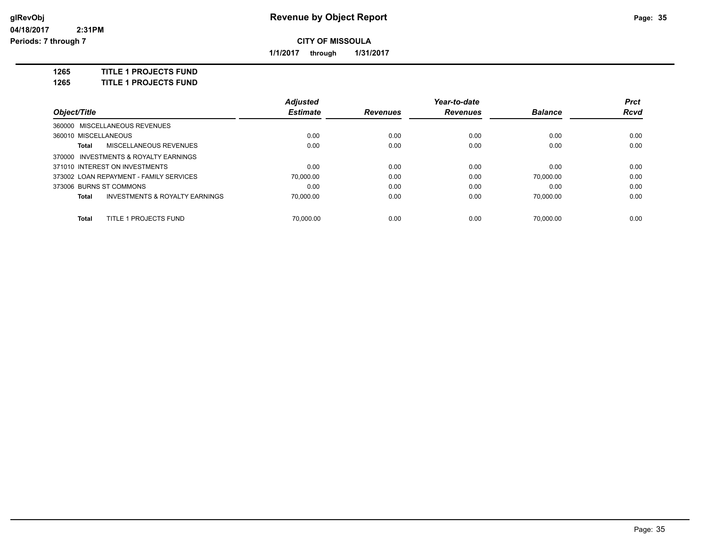**1/1/2017 through 1/31/2017**

**1265 TITLE 1 PROJECTS FUND**

**1265 TITLE 1 PROJECTS FUND**

|                                                    | <b>Adjusted</b> |                 | Year-to-date    |                | <b>Prct</b> |
|----------------------------------------------------|-----------------|-----------------|-----------------|----------------|-------------|
| Object/Title                                       | <b>Estimate</b> | <b>Revenues</b> | <b>Revenues</b> | <b>Balance</b> | <b>Rcvd</b> |
| 360000 MISCELLANEOUS REVENUES                      |                 |                 |                 |                |             |
| 360010 MISCELLANEOUS                               | 0.00            | 0.00            | 0.00            | 0.00           | 0.00        |
| <b>MISCELLANEOUS REVENUES</b><br>Total             | 0.00            | 0.00            | 0.00            | 0.00           | 0.00        |
| 370000 INVESTMENTS & ROYALTY EARNINGS              |                 |                 |                 |                |             |
| 371010 INTEREST ON INVESTMENTS                     | 0.00            | 0.00            | 0.00            | 0.00           | 0.00        |
| 373002 LOAN REPAYMENT - FAMILY SERVICES            | 70,000.00       | 0.00            | 0.00            | 70.000.00      | 0.00        |
| 373006 BURNS ST COMMONS                            | 0.00            | 0.00            | 0.00            | 0.00           | 0.00        |
| <b>INVESTMENTS &amp; ROYALTY EARNINGS</b><br>Total | 70.000.00       | 0.00            | 0.00            | 70.000.00      | 0.00        |
| TITLE 1 PROJECTS FUND<br>Total                     | 70.000.00       | 0.00            | 0.00            | 70.000.00      | 0.00        |
|                                                    |                 |                 |                 |                |             |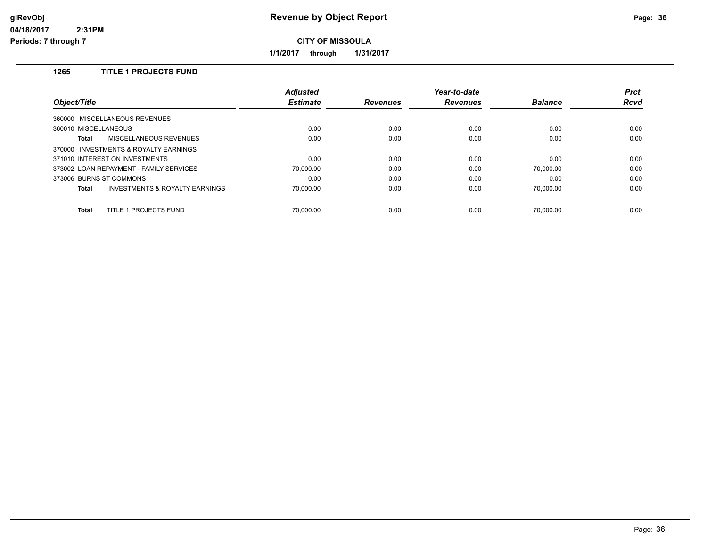**1/1/2017 through 1/31/2017**

### **1265 TITLE 1 PROJECTS FUND**

|                                         | <b>Adiusted</b> |                 | Year-to-date    |                | <b>Prct</b> |
|-----------------------------------------|-----------------|-----------------|-----------------|----------------|-------------|
| Object/Title                            | <b>Estimate</b> | <b>Revenues</b> | <b>Revenues</b> | <b>Balance</b> | <b>Rcvd</b> |
| 360000 MISCELLANEOUS REVENUES           |                 |                 |                 |                |             |
| 360010 MISCELLANEOUS                    | 0.00            | 0.00            | 0.00            | 0.00           | 0.00        |
| MISCELLANEOUS REVENUES<br>Total         | 0.00            | 0.00            | 0.00            | 0.00           | 0.00        |
| 370000 INVESTMENTS & ROYALTY EARNINGS   |                 |                 |                 |                |             |
| 371010 INTEREST ON INVESTMENTS          | 0.00            | 0.00            | 0.00            | 0.00           | 0.00        |
| 373002 LOAN REPAYMENT - FAMILY SERVICES | 70,000.00       | 0.00            | 0.00            | 70.000.00      | 0.00        |
| 373006 BURNS ST COMMONS                 | 0.00            | 0.00            | 0.00            | 0.00           | 0.00        |
| INVESTMENTS & ROYALTY EARNINGS<br>Total | 70.000.00       | 0.00            | 0.00            | 70.000.00      | 0.00        |
| TITLE 1 PROJECTS FUND<br><b>Total</b>   | 70.000.00       | 0.00            | 0.00            | 70.000.00      | 0.00        |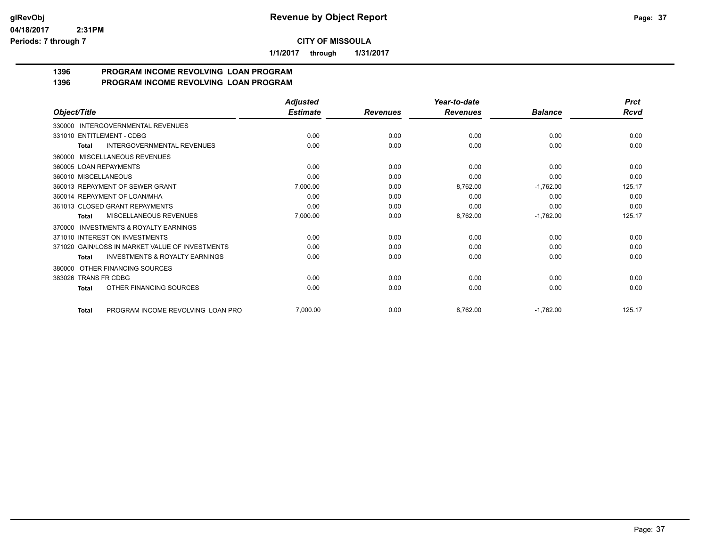**1/1/2017 through 1/31/2017**

## **1396 PROGRAM INCOME REVOLVING LOAN PROGRAM 1396 PROGRAM INCOME REVOLVING LOAN PROGRAM**

|                                                    | <b>Adjusted</b> |                 | Year-to-date    |                | <b>Prct</b> |
|----------------------------------------------------|-----------------|-----------------|-----------------|----------------|-------------|
| Object/Title                                       | <b>Estimate</b> | <b>Revenues</b> | <b>Revenues</b> | <b>Balance</b> | <b>Rcvd</b> |
| <b>INTERGOVERNMENTAL REVENUES</b><br>330000        |                 |                 |                 |                |             |
| 331010 ENTITLEMENT - CDBG                          | 0.00            | 0.00            | 0.00            | 0.00           | 0.00        |
| INTERGOVERNMENTAL REVENUES<br><b>Total</b>         | 0.00            | 0.00            | 0.00            | 0.00           | 0.00        |
| <b>MISCELLANEOUS REVENUES</b><br>360000            |                 |                 |                 |                |             |
| 360005 LOAN REPAYMENTS                             | 0.00            | 0.00            | 0.00            | 0.00           | 0.00        |
| 360010 MISCELLANEOUS                               | 0.00            | 0.00            | 0.00            | 0.00           | 0.00        |
| 360013 REPAYMENT OF SEWER GRANT                    | 7,000.00        | 0.00            | 8,762.00        | $-1,762.00$    | 125.17      |
| 360014 REPAYMENT OF LOAN/MHA                       | 0.00            | 0.00            | 0.00            | 0.00           | 0.00        |
| 361013 CLOSED GRANT REPAYMENTS                     | 0.00            | 0.00            | 0.00            | 0.00           | 0.00        |
| MISCELLANEOUS REVENUES<br>Total                    | 7,000.00        | 0.00            | 8,762.00        | $-1,762.00$    | 125.17      |
| INVESTMENTS & ROYALTY EARNINGS<br>370000           |                 |                 |                 |                |             |
| 371010 INTEREST ON INVESTMENTS                     | 0.00            | 0.00            | 0.00            | 0.00           | 0.00        |
| 371020 GAIN/LOSS IN MARKET VALUE OF INVESTMENTS    | 0.00            | 0.00            | 0.00            | 0.00           | 0.00        |
| <b>INVESTMENTS &amp; ROYALTY EARNINGS</b><br>Total | 0.00            | 0.00            | 0.00            | 0.00           | 0.00        |
| OTHER FINANCING SOURCES<br>380000                  |                 |                 |                 |                |             |
| 383026 TRANS FR CDBG                               | 0.00            | 0.00            | 0.00            | 0.00           | 0.00        |
| OTHER FINANCING SOURCES<br>Total                   | 0.00            | 0.00            | 0.00            | 0.00           | 0.00        |
| PROGRAM INCOME REVOLVING LOAN PRO<br><b>Total</b>  | 7,000.00        | 0.00            | 8,762.00        | $-1,762.00$    | 125.17      |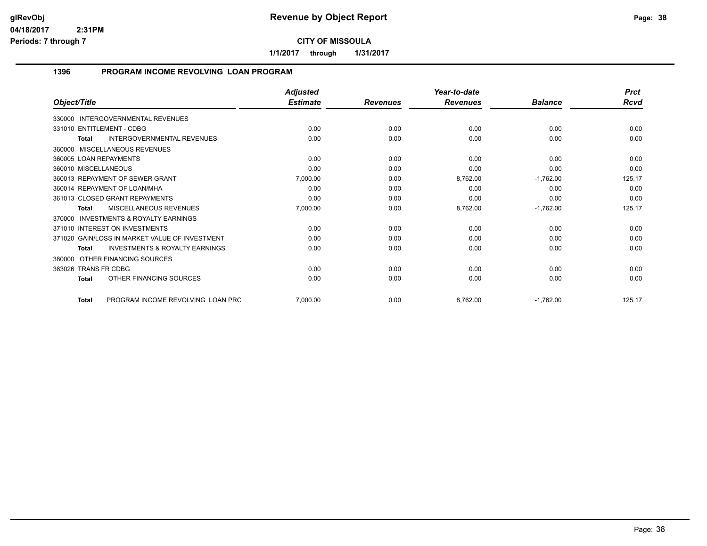**1/1/2017 through 1/31/2017**

## **1396 PROGRAM INCOME REVOLVING LOAN PROGRAM**

|                                                           | <b>Adjusted</b> |                 | Year-to-date    |                | <b>Prct</b> |
|-----------------------------------------------------------|-----------------|-----------------|-----------------|----------------|-------------|
| Object/Title                                              | <b>Estimate</b> | <b>Revenues</b> | <b>Revenues</b> | <b>Balance</b> | <b>Rcvd</b> |
| INTERGOVERNMENTAL REVENUES<br>330000                      |                 |                 |                 |                |             |
| 331010 ENTITLEMENT - CDBG                                 | 0.00            | 0.00            | 0.00            | 0.00           | 0.00        |
| <b>INTERGOVERNMENTAL REVENUES</b><br><b>Total</b>         | 0.00            | 0.00            | 0.00            | 0.00           | 0.00        |
| MISCELLANEOUS REVENUES<br>360000                          |                 |                 |                 |                |             |
| 360005 LOAN REPAYMENTS                                    | 0.00            | 0.00            | 0.00            | 0.00           | 0.00        |
| 360010 MISCELLANEOUS                                      | 0.00            | 0.00            | 0.00            | 0.00           | 0.00        |
| 360013 REPAYMENT OF SEWER GRANT                           | 7,000.00        | 0.00            | 8,762.00        | $-1,762.00$    | 125.17      |
| 360014 REPAYMENT OF LOAN/MHA                              | 0.00            | 0.00            | 0.00            | 0.00           | 0.00        |
| 361013 CLOSED GRANT REPAYMENTS                            | 0.00            | 0.00            | 0.00            | 0.00           | 0.00        |
| MISCELLANEOUS REVENUES<br>Total                           | 7,000.00        | 0.00            | 8,762.00        | $-1,762.00$    | 125.17      |
| <b>INVESTMENTS &amp; ROYALTY EARNINGS</b><br>370000       |                 |                 |                 |                |             |
| 371010 INTEREST ON INVESTMENTS                            | 0.00            | 0.00            | 0.00            | 0.00           | 0.00        |
| 371020 GAIN/LOSS IN MARKET VALUE OF INVESTMENT            | 0.00            | 0.00            | 0.00            | 0.00           | 0.00        |
| <b>INVESTMENTS &amp; ROYALTY EARNINGS</b><br><b>Total</b> | 0.00            | 0.00            | 0.00            | 0.00           | 0.00        |
| OTHER FINANCING SOURCES<br>380000                         |                 |                 |                 |                |             |
| 383026 TRANS FR CDBG                                      | 0.00            | 0.00            | 0.00            | 0.00           | 0.00        |
| OTHER FINANCING SOURCES<br><b>Total</b>                   | 0.00            | 0.00            | 0.00            | 0.00           | 0.00        |
| PROGRAM INCOME REVOLVING LOAN PRC<br><b>Total</b>         | 7,000.00        | 0.00            | 8,762.00        | $-1,762.00$    | 125.17      |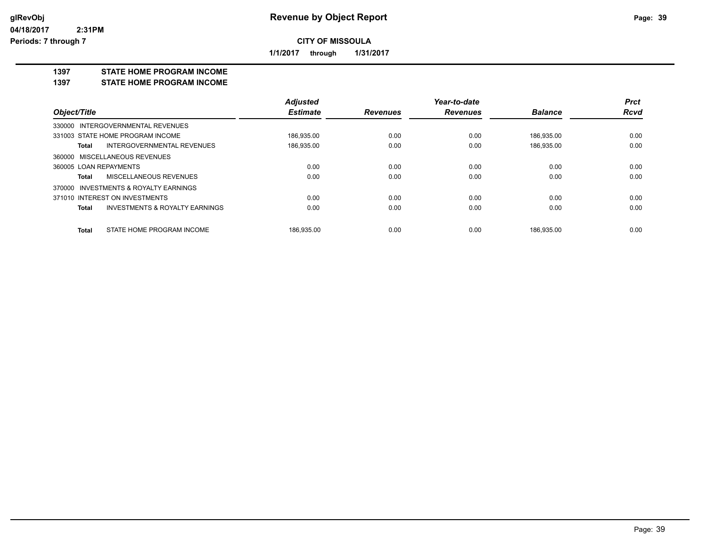**1/1/2017 through 1/31/2017**

# **1397 STATE HOME PROGRAM INCOME**

## **1397 STATE HOME PROGRAM INCOME**

|                                            | <b>Adjusted</b> |                 | Year-to-date    |                | <b>Prct</b> |
|--------------------------------------------|-----------------|-----------------|-----------------|----------------|-------------|
| Object/Title                               | <b>Estimate</b> | <b>Revenues</b> | <b>Revenues</b> | <b>Balance</b> | <b>Rcvd</b> |
| 330000 INTERGOVERNMENTAL REVENUES          |                 |                 |                 |                |             |
| 331003 STATE HOME PROGRAM INCOME           | 186.935.00      | 0.00            | 0.00            | 186.935.00     | 0.00        |
| <b>INTERGOVERNMENTAL REVENUES</b><br>Total | 186.935.00      | 0.00            | 0.00            | 186.935.00     | 0.00        |
| 360000 MISCELLANEOUS REVENUES              |                 |                 |                 |                |             |
| 360005 LOAN REPAYMENTS                     | 0.00            | 0.00            | 0.00            | 0.00           | 0.00        |
| <b>MISCELLANEOUS REVENUES</b><br>Total     | 0.00            | 0.00            | 0.00            | 0.00           | 0.00        |
| 370000 INVESTMENTS & ROYALTY EARNINGS      |                 |                 |                 |                |             |
| 371010 INTEREST ON INVESTMENTS             | 0.00            | 0.00            | 0.00            | 0.00           | 0.00        |
| INVESTMENTS & ROYALTY EARNINGS<br>Total    | 0.00            | 0.00            | 0.00            | 0.00           | 0.00        |
|                                            |                 |                 |                 |                |             |
| STATE HOME PROGRAM INCOME<br><b>Total</b>  | 186.935.00      | 0.00            | 0.00            | 186.935.00     | 0.00        |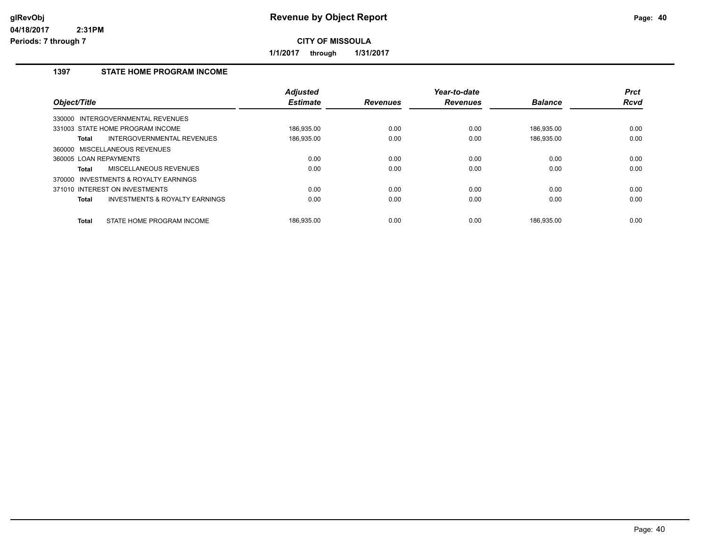**1/1/2017 through 1/31/2017**

#### **1397 STATE HOME PROGRAM INCOME**

| Object/Title           |                                           | <b>Adjusted</b><br><b>Estimate</b> | <b>Revenues</b> | Year-to-date<br><b>Revenues</b> | <b>Balance</b> | <b>Prct</b><br>Rcvd |
|------------------------|-------------------------------------------|------------------------------------|-----------------|---------------------------------|----------------|---------------------|
|                        |                                           |                                    |                 |                                 |                |                     |
| 330000                 | INTERGOVERNMENTAL REVENUES                |                                    |                 |                                 |                |                     |
|                        | 331003 STATE HOME PROGRAM INCOME          | 186,935.00                         | 0.00            | 0.00                            | 186,935.00     | 0.00                |
| Total                  | INTERGOVERNMENTAL REVENUES                | 186,935.00                         | 0.00            | 0.00                            | 186,935.00     | 0.00                |
| 360000                 | MISCELLANEOUS REVENUES                    |                                    |                 |                                 |                |                     |
| 360005 LOAN REPAYMENTS |                                           | 0.00                               | 0.00            | 0.00                            | 0.00           | 0.00                |
| Total                  | <b>MISCELLANEOUS REVENUES</b>             | 0.00                               | 0.00            | 0.00                            | 0.00           | 0.00                |
| 370000                 | <b>INVESTMENTS &amp; ROYALTY EARNINGS</b> |                                    |                 |                                 |                |                     |
|                        | 371010 INTEREST ON INVESTMENTS            | 0.00                               | 0.00            | 0.00                            | 0.00           | 0.00                |
| <b>Total</b>           | <b>INVESTMENTS &amp; ROYALTY EARNINGS</b> | 0.00                               | 0.00            | 0.00                            | 0.00           | 0.00                |
| <b>Total</b>           | STATE HOME PROGRAM INCOME                 | 186.935.00                         | 0.00            | 0.00                            | 186.935.00     | 0.00                |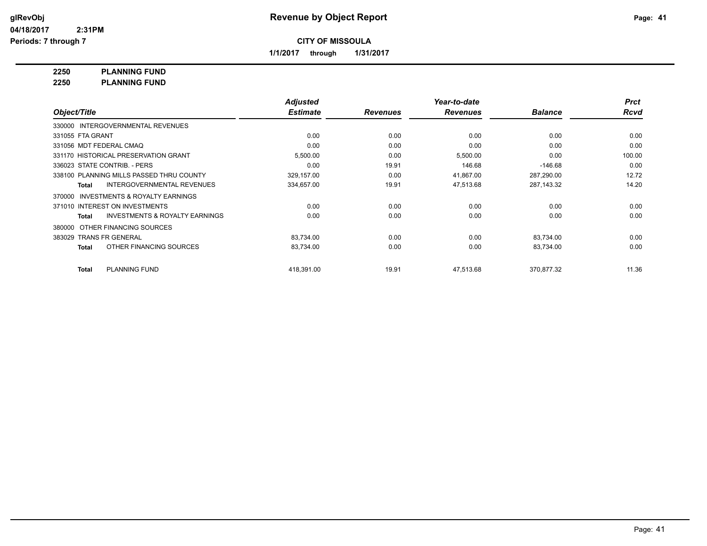**1/1/2017 through 1/31/2017**

**2250 PLANNING FUND 2250 PLANNING FUND**

|                                                    | <b>Adjusted</b> |                 | Year-to-date    |                | <b>Prct</b> |
|----------------------------------------------------|-----------------|-----------------|-----------------|----------------|-------------|
| Object/Title                                       | <b>Estimate</b> | <b>Revenues</b> | <b>Revenues</b> | <b>Balance</b> | <b>Rcvd</b> |
| 330000 INTERGOVERNMENTAL REVENUES                  |                 |                 |                 |                |             |
| 331055 FTA GRANT                                   | 0.00            | 0.00            | 0.00            | 0.00           | 0.00        |
| 331056 MDT FEDERAL CMAQ                            | 0.00            | 0.00            | 0.00            | 0.00           | 0.00        |
| 331170 HISTORICAL PRESERVATION GRANT               | 5,500.00        | 0.00            | 5,500.00        | 0.00           | 100.00      |
| 336023 STATE CONTRIB. - PERS                       | 0.00            | 19.91           | 146.68          | $-146.68$      | 0.00        |
| 338100 PLANNING MILLS PASSED THRU COUNTY           | 329,157.00      | 0.00            | 41,867.00       | 287,290.00     | 12.72       |
| INTERGOVERNMENTAL REVENUES<br>Total                | 334,657.00      | 19.91           | 47,513.68       | 287, 143. 32   | 14.20       |
| INVESTMENTS & ROYALTY EARNINGS<br>370000           |                 |                 |                 |                |             |
| 371010 INTEREST ON INVESTMENTS                     | 0.00            | 0.00            | 0.00            | 0.00           | 0.00        |
| <b>INVESTMENTS &amp; ROYALTY EARNINGS</b><br>Total | 0.00            | 0.00            | 0.00            | 0.00           | 0.00        |
| OTHER FINANCING SOURCES<br>380000                  |                 |                 |                 |                |             |
| 383029 TRANS FR GENERAL                            | 83,734.00       | 0.00            | 0.00            | 83,734.00      | 0.00        |
| OTHER FINANCING SOURCES<br>Total                   | 83,734.00       | 0.00            | 0.00            | 83,734.00      | 0.00        |
| PLANNING FUND<br>Total                             | 418,391.00      | 19.91           | 47,513.68       | 370,877.32     | 11.36       |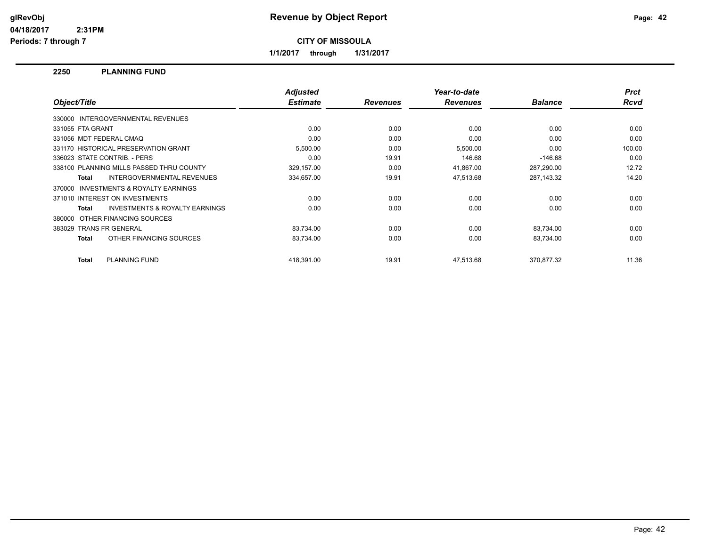**1/1/2017 through 1/31/2017**

#### **2250 PLANNING FUND**

| Object/Title                                        |                                           | <b>Adjusted</b><br><b>Estimate</b> | <b>Revenues</b> | Year-to-date<br><b>Revenues</b> | <b>Balance</b> | <b>Prct</b><br><b>Rcvd</b> |
|-----------------------------------------------------|-------------------------------------------|------------------------------------|-----------------|---------------------------------|----------------|----------------------------|
| 330000 INTERGOVERNMENTAL REVENUES                   |                                           |                                    |                 |                                 |                |                            |
| 331055 FTA GRANT                                    |                                           | 0.00                               | 0.00            | 0.00                            | 0.00           | 0.00                       |
| 331056 MDT FEDERAL CMAQ                             |                                           | 0.00                               | 0.00            | 0.00                            | 0.00           | 0.00                       |
| 331170 HISTORICAL PRESERVATION GRANT                |                                           | 5,500.00                           | 0.00            | 5,500.00                        | 0.00           | 100.00                     |
| 336023 STATE CONTRIB. - PERS                        |                                           | 0.00                               | 19.91           | 146.68                          | $-146.68$      | 0.00                       |
| 338100 PLANNING MILLS PASSED THRU COUNTY            |                                           | 329,157.00                         | 0.00            | 41,867.00                       | 287,290.00     | 12.72                      |
| <b>Total</b>                                        | <b>INTERGOVERNMENTAL REVENUES</b>         | 334,657.00                         | 19.91           | 47,513.68                       | 287,143.32     | 14.20                      |
| <b>INVESTMENTS &amp; ROYALTY EARNINGS</b><br>370000 |                                           |                                    |                 |                                 |                |                            |
| 371010 INTEREST ON INVESTMENTS                      |                                           | 0.00                               | 0.00            | 0.00                            | 0.00           | 0.00                       |
| <b>Total</b>                                        | <b>INVESTMENTS &amp; ROYALTY EARNINGS</b> | 0.00                               | 0.00            | 0.00                            | 0.00           | 0.00                       |
| 380000 OTHER FINANCING SOURCES                      |                                           |                                    |                 |                                 |                |                            |
| 383029 TRANS FR GENERAL                             |                                           | 83,734.00                          | 0.00            | 0.00                            | 83,734.00      | 0.00                       |
| OTHER FINANCING SOURCES<br><b>Total</b>             |                                           | 83,734.00                          | 0.00            | 0.00                            | 83,734.00      | 0.00                       |
| <b>PLANNING FUND</b><br><b>Total</b>                |                                           | 418,391.00                         | 19.91           | 47,513.68                       | 370,877.32     | 11.36                      |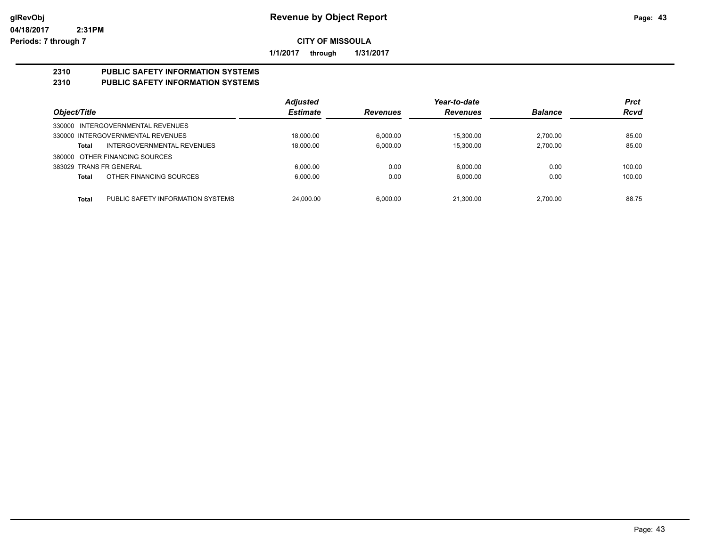**1/1/2017 through 1/31/2017**

## **2310 PUBLIC SAFETY INFORMATION SYSTEMS 2310 PUBLIC SAFETY INFORMATION SYSTEMS**

|                                            | <b>Adjusted</b> |                 | Year-to-date    |                | <b>Prct</b> |
|--------------------------------------------|-----------------|-----------------|-----------------|----------------|-------------|
| Object/Title                               | <b>Estimate</b> | <b>Revenues</b> | <b>Revenues</b> | <b>Balance</b> | <b>Rcvd</b> |
| 330000 INTERGOVERNMENTAL REVENUES          |                 |                 |                 |                |             |
| 330000 INTERGOVERNMENTAL REVENUES          | 18.000.00       | 6.000.00        | 15.300.00       | 2.700.00       | 85.00       |
| INTERGOVERNMENTAL REVENUES<br>Total        | 18.000.00       | 6.000.00        | 15,300.00       | 2.700.00       | 85.00       |
| 380000 OTHER FINANCING SOURCES             |                 |                 |                 |                |             |
| 383029 TRANS FR GENERAL                    | 6.000.00        | 0.00            | 6.000.00        | 0.00           | 100.00      |
| OTHER FINANCING SOURCES<br>Total           | 6.000.00        | 0.00            | 6.000.00        | 0.00           | 100.00      |
|                                            |                 |                 |                 |                |             |
| PUBLIC SAFETY INFORMATION SYSTEMS<br>Total | 24.000.00       | 6.000.00        | 21.300.00       | 2.700.00       | 88.75       |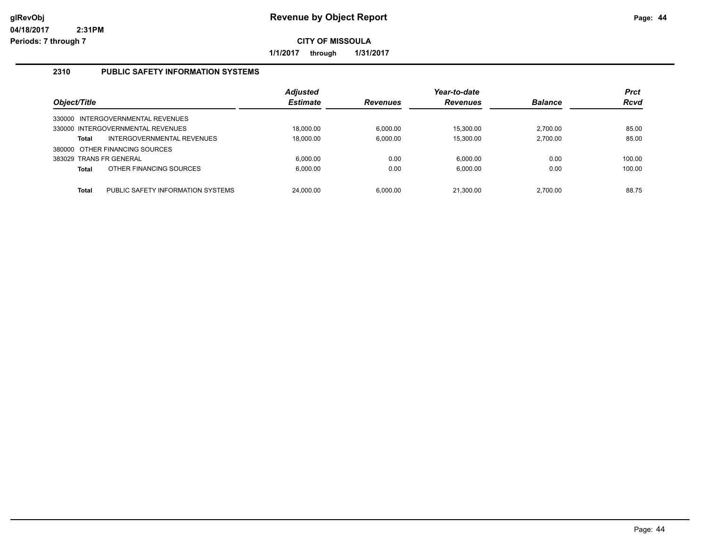**1/1/2017 through 1/31/2017**

## **2310 PUBLIC SAFETY INFORMATION SYSTEMS**

|                                   |                                   | <b>Adjusted</b> |                 | Year-to-date    |                | <b>Prct</b> |
|-----------------------------------|-----------------------------------|-----------------|-----------------|-----------------|----------------|-------------|
| Object/Title                      |                                   | <b>Estimate</b> | <b>Revenues</b> | <b>Revenues</b> | <b>Balance</b> | <b>Rcvd</b> |
| 330000 INTERGOVERNMENTAL REVENUES |                                   |                 |                 |                 |                |             |
| 330000 INTERGOVERNMENTAL REVENUES |                                   | 18.000.00       | 6.000.00        | 15.300.00       | 2.700.00       | 85.00       |
| Total                             | INTERGOVERNMENTAL REVENUES        | 18.000.00       | 6,000.00        | 15,300.00       | 2.700.00       | 85.00       |
| 380000 OTHER FINANCING SOURCES    |                                   |                 |                 |                 |                |             |
| 383029 TRANS FR GENERAL           |                                   | 6.000.00        | 0.00            | 6.000.00        | 0.00           | 100.00      |
| Total                             | OTHER FINANCING SOURCES           | 6,000.00        | 0.00            | 6.000.00        | 0.00           | 100.00      |
| <b>Total</b>                      | PUBLIC SAFETY INFORMATION SYSTEMS | 24.000.00       | 6.000.00        | 21.300.00       | 2.700.00       | 88.75       |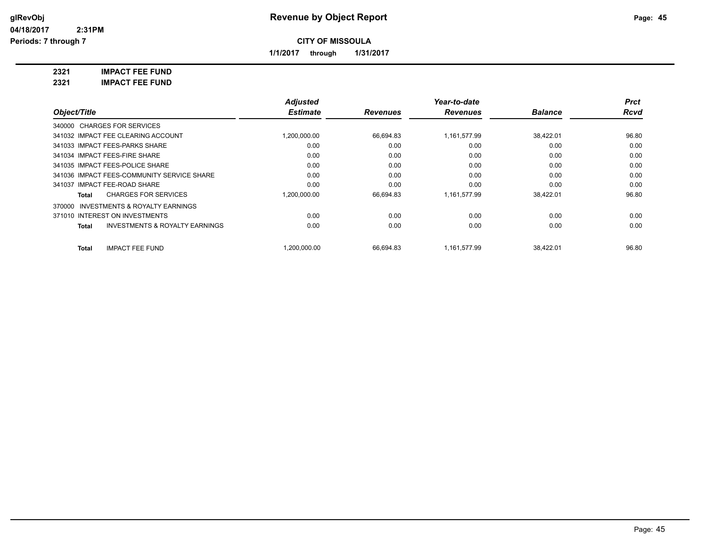**1/1/2017 through 1/31/2017**

**2321 IMPACT FEE FUND 2321 IMPACT FEE FUND**

|                                                     | <b>Adjusted</b> |                 | Year-to-date    |                | <b>Prct</b> |
|-----------------------------------------------------|-----------------|-----------------|-----------------|----------------|-------------|
| Object/Title                                        | <b>Estimate</b> | <b>Revenues</b> | <b>Revenues</b> | <b>Balance</b> | <b>Rcvd</b> |
| 340000 CHARGES FOR SERVICES                         |                 |                 |                 |                |             |
| 341032 IMPACT FEE CLEARING ACCOUNT                  | 1,200,000.00    | 66,694.83       | 1,161,577.99    | 38,422.01      | 96.80       |
| 341033 IMPACT FEES-PARKS SHARE                      | 0.00            | 0.00            | 0.00            | 0.00           | 0.00        |
| 341034 IMPACT FEES-FIRE SHARE                       | 0.00            | 0.00            | 0.00            | 0.00           | 0.00        |
| 341035 IMPACT FEES-POLICE SHARE                     | 0.00            | 0.00            | 0.00            | 0.00           | 0.00        |
| 341036 IMPACT FEES-COMMUNITY SERVICE SHARE          | 0.00            | 0.00            | 0.00            | 0.00           | 0.00        |
| 341037 IMPACT FEE-ROAD SHARE                        | 0.00            | 0.00            | 0.00            | 0.00           | 0.00        |
| <b>CHARGES FOR SERVICES</b><br>Total                | 1,200,000.00    | 66,694.83       | 1,161,577.99    | 38,422.01      | 96.80       |
| <b>INVESTMENTS &amp; ROYALTY EARNINGS</b><br>370000 |                 |                 |                 |                |             |
| 371010 INTEREST ON INVESTMENTS                      | 0.00            | 0.00            | 0.00            | 0.00           | 0.00        |
| <b>INVESTMENTS &amp; ROYALTY EARNINGS</b><br>Total  | 0.00            | 0.00            | 0.00            | 0.00           | 0.00        |
| <b>IMPACT FEE FUND</b><br>Total                     | 1.200.000.00    | 66.694.83       | 1.161.577.99    | 38.422.01      | 96.80       |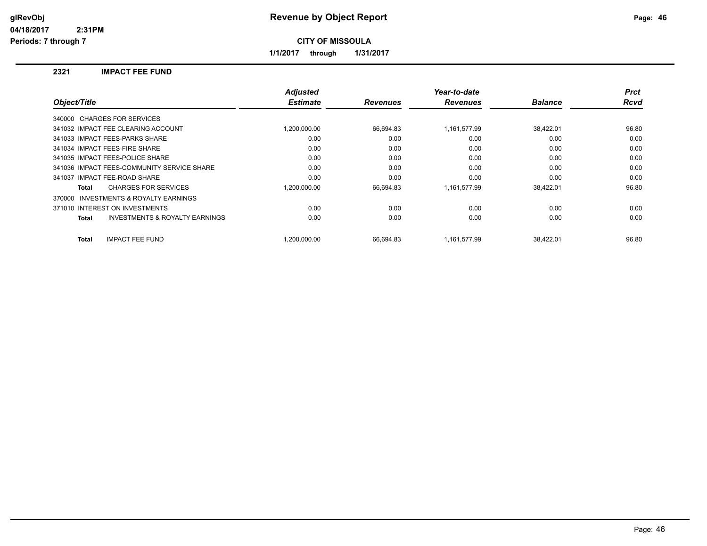**1/1/2017 through 1/31/2017**

#### **2321 IMPACT FEE FUND**

|                                                           | <b>Adjusted</b> |                 | Year-to-date    |                | <b>Prct</b> |
|-----------------------------------------------------------|-----------------|-----------------|-----------------|----------------|-------------|
| Object/Title                                              | <b>Estimate</b> | <b>Revenues</b> | <b>Revenues</b> | <b>Balance</b> | <b>Rcvd</b> |
| 340000 CHARGES FOR SERVICES                               |                 |                 |                 |                |             |
| 341032 IMPACT FEE CLEARING ACCOUNT                        | 1.200.000.00    | 66,694.83       | 1,161,577.99    | 38.422.01      | 96.80       |
| 341033 IMPACT FEES-PARKS SHARE                            | 0.00            | 0.00            | 0.00            | 0.00           | 0.00        |
| 341034 IMPACT FEES-FIRE SHARE                             | 0.00            | 0.00            | 0.00            | 0.00           | 0.00        |
| 341035 IMPACT FEES-POLICE SHARE                           | 0.00            | 0.00            | 0.00            | 0.00           | 0.00        |
| 341036 IMPACT FEES-COMMUNITY SERVICE SHARE                | 0.00            | 0.00            | 0.00            | 0.00           | 0.00        |
| 341037 IMPACT FEE-ROAD SHARE                              | 0.00            | 0.00            | 0.00            | 0.00           | 0.00        |
| <b>CHARGES FOR SERVICES</b><br>Total                      | 1,200,000.00    | 66,694.83       | 1,161,577.99    | 38,422.01      | 96.80       |
| 370000 INVESTMENTS & ROYALTY EARNINGS                     |                 |                 |                 |                |             |
| 371010 INTEREST ON INVESTMENTS                            | 0.00            | 0.00            | 0.00            | 0.00           | 0.00        |
| <b>INVESTMENTS &amp; ROYALTY EARNINGS</b><br><b>Total</b> | 0.00            | 0.00            | 0.00            | 0.00           | 0.00        |
| <b>IMPACT FEE FUND</b><br><b>Total</b>                    | 1.200.000.00    | 66,694.83       | 1,161,577.99    | 38,422.01      | 96.80       |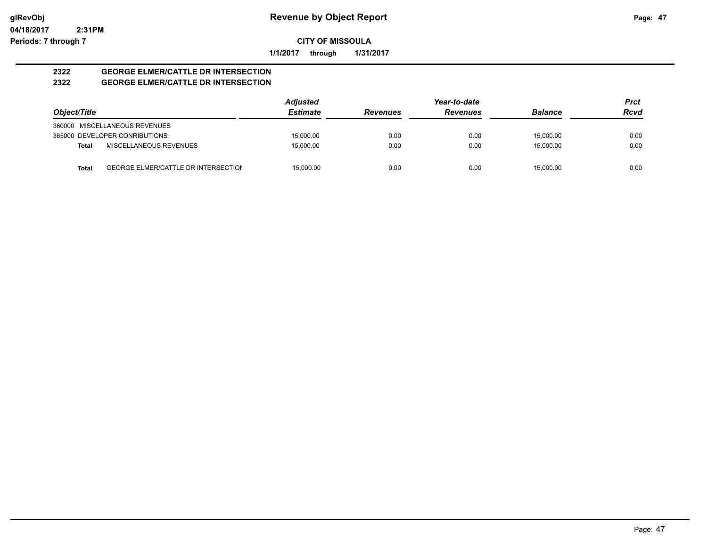**1/1/2017 through 1/31/2017**

## **2322 GEORGE ELMER/CATTLE DR INTERSECTION 2322 GEORGE ELMER/CATTLE DR INTERSECTION**

|              |                                            | <b>Adjusted</b> |                 | Year-to-date    |                | <b>Prct</b> |
|--------------|--------------------------------------------|-----------------|-----------------|-----------------|----------------|-------------|
| Object/Title |                                            | <b>Estimate</b> | <b>Revenues</b> | <b>Revenues</b> | <b>Balance</b> | <b>Rcvd</b> |
|              | 360000 MISCELLANEOUS REVENUES              |                 |                 |                 |                |             |
|              | 365000 DEVELOPER CONRIBUTIONS              | 15.000.00       | 0.00            | 0.00            | 15,000.00      | 0.00        |
| <b>Total</b> | MISCELLANEOUS REVENUES                     | 15.000.00       | 0.00            | 0.00            | 15,000.00      | 0.00        |
| Total        | <b>GEORGE ELMER/CATTLE DR INTERSECTION</b> | 15,000.00       | 0.00            | 0.00            | 15,000.00      | 0.00        |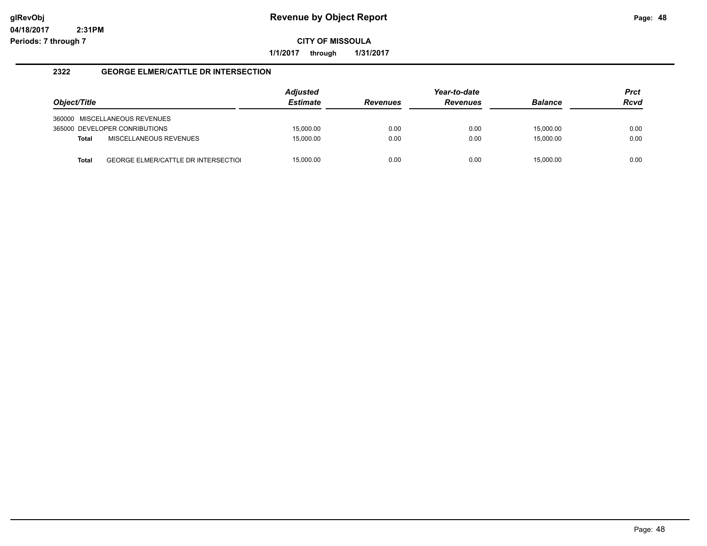**1/1/2017 through 1/31/2017**

#### **2322 GEORGE ELMER/CATTLE DR INTERSECTION**

|              |                                            | <b>Adjusted</b> |                 | Year-to-date    |                | <b>Prct</b> |
|--------------|--------------------------------------------|-----------------|-----------------|-----------------|----------------|-------------|
| Object/Title |                                            | <b>Estimate</b> | <b>Revenues</b> | <b>Revenues</b> | <b>Balance</b> | Rcvd        |
|              | 360000 MISCELLANEOUS REVENUES              |                 |                 |                 |                |             |
|              | 365000 DEVELOPER CONRIBUTIONS              | 15,000.00       | 0.00            | 0.00            | 15.000.00      | 0.00        |
| <b>Total</b> | MISCELLANEOUS REVENUES                     | 15,000.00       | 0.00            | 0.00            | 15.000.00      | 0.00        |
| <b>Total</b> | <b>GEORGE ELMER/CATTLE DR INTERSECTIOL</b> | 15,000.00       | 0.00            | 0.00            | 15.000.00      | 0.00        |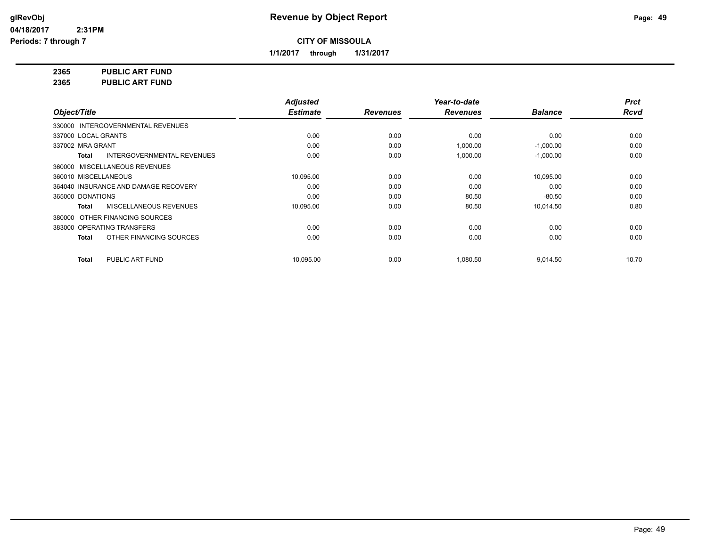**1/1/2017 through 1/31/2017**

**2365 PUBLIC ART FUND 2365 PUBLIC ART FUND**

|                                            | <b>Adjusted</b> |                 | Year-to-date    |                | <b>Prct</b> |
|--------------------------------------------|-----------------|-----------------|-----------------|----------------|-------------|
| Object/Title                               | <b>Estimate</b> | <b>Revenues</b> | <b>Revenues</b> | <b>Balance</b> | <b>Rcvd</b> |
| 330000 INTERGOVERNMENTAL REVENUES          |                 |                 |                 |                |             |
| 337000 LOCAL GRANTS                        | 0.00            | 0.00            | 0.00            | 0.00           | 0.00        |
| 337002 MRA GRANT                           | 0.00            | 0.00            | 1,000.00        | $-1,000.00$    | 0.00        |
| <b>INTERGOVERNMENTAL REVENUES</b><br>Total | 0.00            | 0.00            | 1,000.00        | $-1,000.00$    | 0.00        |
| 360000 MISCELLANEOUS REVENUES              |                 |                 |                 |                |             |
| 360010 MISCELLANEOUS                       | 10,095.00       | 0.00            | 0.00            | 10,095.00      | 0.00        |
| 364040 INSURANCE AND DAMAGE RECOVERY       | 0.00            | 0.00            | 0.00            | 0.00           | 0.00        |
| 365000 DONATIONS                           | 0.00            | 0.00            | 80.50           | $-80.50$       | 0.00        |
| MISCELLANEOUS REVENUES<br><b>Total</b>     | 10,095.00       | 0.00            | 80.50           | 10,014.50      | 0.80        |
| 380000 OTHER FINANCING SOURCES             |                 |                 |                 |                |             |
| 383000 OPERATING TRANSFERS                 | 0.00            | 0.00            | 0.00            | 0.00           | 0.00        |
| OTHER FINANCING SOURCES<br><b>Total</b>    | 0.00            | 0.00            | 0.00            | 0.00           | 0.00        |
| PUBLIC ART FUND<br><b>Total</b>            | 10.095.00       | 0.00            | 1.080.50        | 9,014.50       | 10.70       |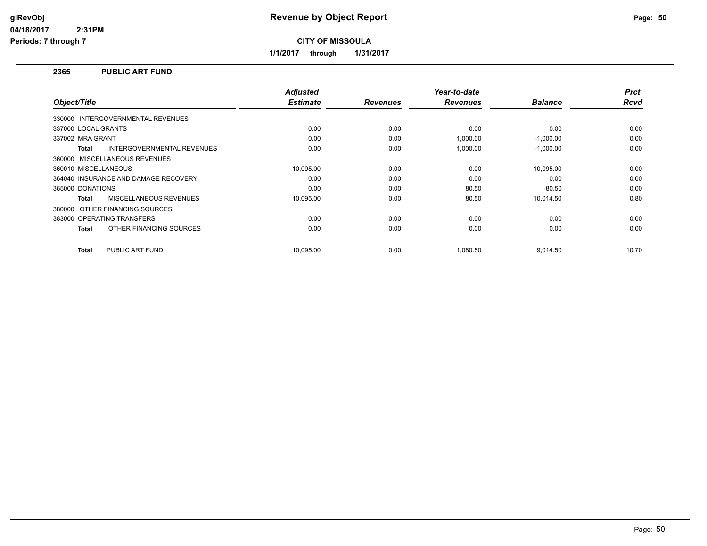**1/1/2017 through 1/31/2017**

#### **2365 PUBLIC ART FUND**

|                                            | <b>Adjusted</b> |                 | Year-to-date    |                | <b>Prct</b> |
|--------------------------------------------|-----------------|-----------------|-----------------|----------------|-------------|
| Object/Title                               | <b>Estimate</b> | <b>Revenues</b> | <b>Revenues</b> | <b>Balance</b> | Rcvd        |
| 330000 INTERGOVERNMENTAL REVENUES          |                 |                 |                 |                |             |
| 337000 LOCAL GRANTS                        | 0.00            | 0.00            | 0.00            | 0.00           | 0.00        |
| 337002 MRA GRANT                           | 0.00            | 0.00            | 1,000.00        | $-1,000.00$    | 0.00        |
| <b>INTERGOVERNMENTAL REVENUES</b><br>Total | 0.00            | 0.00            | 1,000.00        | $-1,000.00$    | 0.00        |
| 360000 MISCELLANEOUS REVENUES              |                 |                 |                 |                |             |
| 360010 MISCELLANEOUS                       | 10,095.00       | 0.00            | 0.00            | 10,095.00      | 0.00        |
| 364040 INSURANCE AND DAMAGE RECOVERY       | 0.00            | 0.00            | 0.00            | 0.00           | 0.00        |
| 365000 DONATIONS                           | 0.00            | 0.00            | 80.50           | $-80.50$       | 0.00        |
| MISCELLANEOUS REVENUES<br>Total            | 10,095.00       | 0.00            | 80.50           | 10,014.50      | 0.80        |
| OTHER FINANCING SOURCES<br>380000          |                 |                 |                 |                |             |
| 383000 OPERATING TRANSFERS                 | 0.00            | 0.00            | 0.00            | 0.00           | 0.00        |
| OTHER FINANCING SOURCES<br>Total           | 0.00            | 0.00            | 0.00            | 0.00           | 0.00        |
|                                            |                 |                 |                 |                |             |
| PUBLIC ART FUND<br><b>Total</b>            | 10,095.00       | 0.00            | 1,080.50        | 9,014.50       | 10.70       |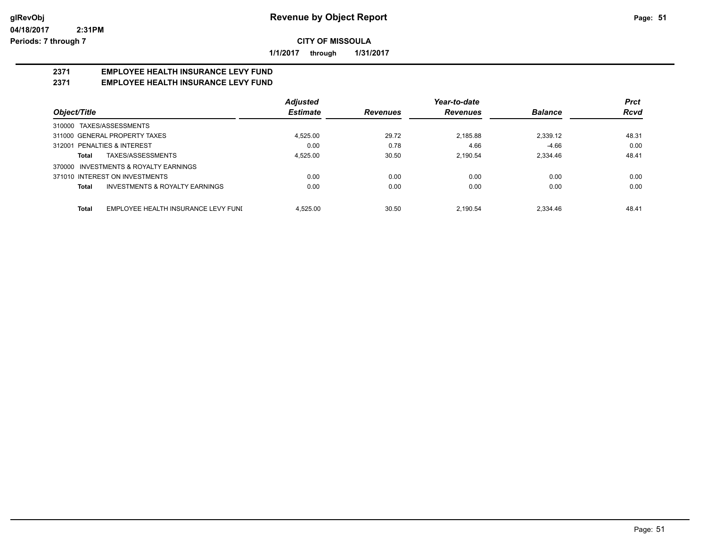**1/1/2017 through 1/31/2017**

## **2371 EMPLOYEE HEALTH INSURANCE LEVY FUND 2371 EMPLOYEE HEALTH INSURANCE LEVY FUND**

|                                                    | <b>Adjusted</b> |                 | Year-to-date    |                | <b>Prct</b> |
|----------------------------------------------------|-----------------|-----------------|-----------------|----------------|-------------|
| Object/Title                                       | <b>Estimate</b> | <b>Revenues</b> | <b>Revenues</b> | <b>Balance</b> | <b>Rcvd</b> |
| 310000 TAXES/ASSESSMENTS                           |                 |                 |                 |                |             |
| 311000 GENERAL PROPERTY TAXES                      | 4.525.00        | 29.72           | 2.185.88        | 2.339.12       | 48.31       |
| 312001 PENALTIES & INTEREST                        | 0.00            | 0.78            | 4.66            | $-4.66$        | 0.00        |
| TAXES/ASSESSMENTS<br>Total                         | 4.525.00        | 30.50           | 2.190.54        | 2.334.46       | 48.41       |
| 370000 INVESTMENTS & ROYALTY EARNINGS              |                 |                 |                 |                |             |
| 371010 INTEREST ON INVESTMENTS                     | 0.00            | 0.00            | 0.00            | 0.00           | 0.00        |
| <b>INVESTMENTS &amp; ROYALTY EARNINGS</b><br>Total | 0.00            | 0.00            | 0.00            | 0.00           | 0.00        |
| EMPLOYEE HEALTH INSURANCE LEVY FUNI<br>Total       | 4.525.00        | 30.50           | 2.190.54        | 2.334.46       | 48.41       |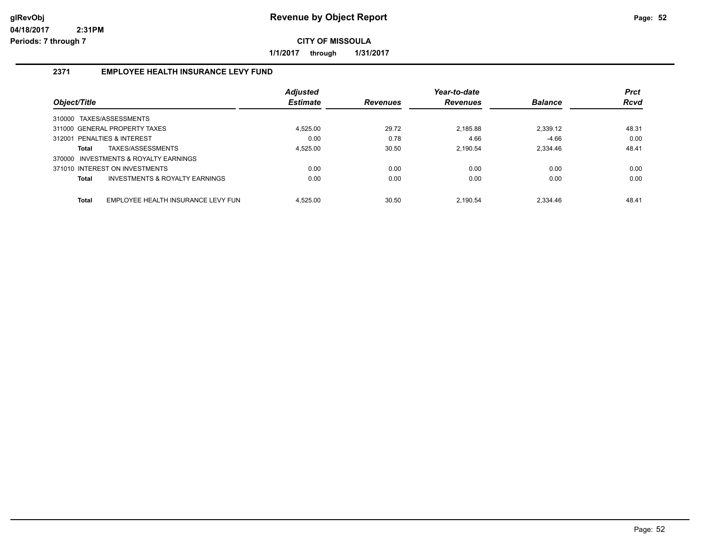**1/1/2017 through 1/31/2017**

## **2371 EMPLOYEE HEALTH INSURANCE LEVY FUND**

|              |                                       | Adjusted        |                 | Year-to-date    |                | <b>Prct</b> |
|--------------|---------------------------------------|-----------------|-----------------|-----------------|----------------|-------------|
| Object/Title |                                       | <b>Estimate</b> | <b>Revenues</b> | <b>Revenues</b> | <b>Balance</b> | <b>Rcvd</b> |
|              | 310000 TAXES/ASSESSMENTS              |                 |                 |                 |                |             |
|              | 311000 GENERAL PROPERTY TAXES         | 4.525.00        | 29.72           | 2.185.88        | 2.339.12       | 48.31       |
|              | 312001 PENALTIES & INTEREST           | 0.00            | 0.78            | 4.66            | $-4.66$        | 0.00        |
| Total        | TAXES/ASSESSMENTS                     | 4,525.00        | 30.50           | 2.190.54        | 2,334.46       | 48.41       |
|              | 370000 INVESTMENTS & ROYALTY EARNINGS |                 |                 |                 |                |             |
|              | 371010 INTEREST ON INVESTMENTS        | 0.00            | 0.00            | 0.00            | 0.00           | 0.00        |
| Total        | INVESTMENTS & ROYALTY EARNINGS        | 0.00            | 0.00            | 0.00            | 0.00           | 0.00        |
| <b>Total</b> | EMPLOYEE HEALTH INSURANCE LEVY FUN    | 4.525.00        | 30.50           | 2.190.54        | 2.334.46       | 48.41       |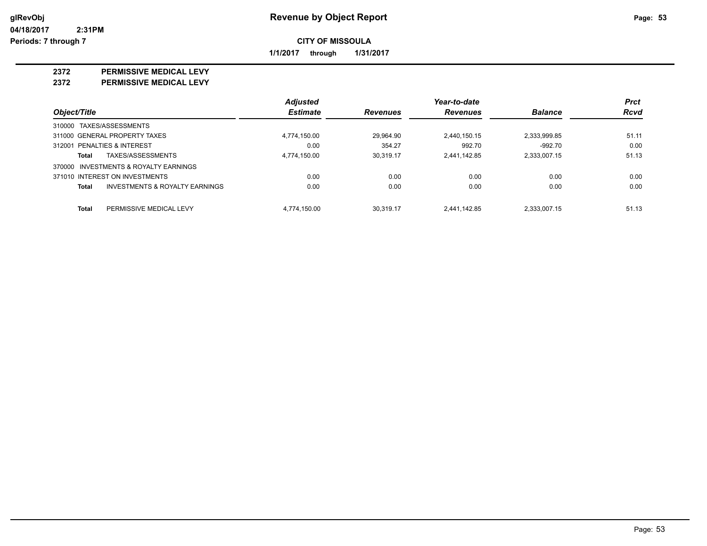**1/1/2017 through 1/31/2017**

**2372 PERMISSIVE MEDICAL LEVY**

**2372 PERMISSIVE MEDICAL LEVY**

|                                         | <b>Adjusted</b> |                 | Year-to-date    |                | <b>Prct</b> |
|-----------------------------------------|-----------------|-----------------|-----------------|----------------|-------------|
| Object/Title                            | <b>Estimate</b> | <b>Revenues</b> | <b>Revenues</b> | <b>Balance</b> | <b>Rcvd</b> |
| 310000 TAXES/ASSESSMENTS                |                 |                 |                 |                |             |
| 311000 GENERAL PROPERTY TAXES           | 4.774.150.00    | 29.964.90       | 2.440.150.15    | 2.333.999.85   | 51.11       |
| 312001 PENALTIES & INTEREST             | 0.00            | 354.27          | 992.70          | $-992.70$      | 0.00        |
| TAXES/ASSESSMENTS<br>Total              | 4.774.150.00    | 30.319.17       | 2.441.142.85    | 2.333.007.15   | 51.13       |
| 370000 INVESTMENTS & ROYALTY EARNINGS   |                 |                 |                 |                |             |
| 371010 INTEREST ON INVESTMENTS          | 0.00            | 0.00            | 0.00            | 0.00           | 0.00        |
| INVESTMENTS & ROYALTY EARNINGS<br>Total | 0.00            | 0.00            | 0.00            | 0.00           | 0.00        |
| <b>Total</b><br>PERMISSIVE MEDICAL LEVY | 4.774.150.00    | 30.319.17       | 2.441.142.85    | 2.333.007.15   | 51.13       |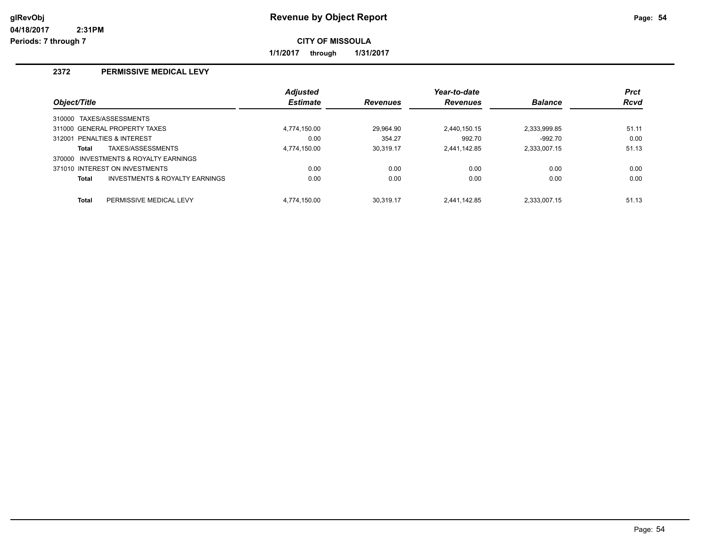**1/1/2017 through 1/31/2017**

#### **2372 PERMISSIVE MEDICAL LEVY**

|              |                                | <b>Adjusted</b> |                 | Year-to-date    |                | <b>Prct</b> |
|--------------|--------------------------------|-----------------|-----------------|-----------------|----------------|-------------|
| Object/Title |                                | <b>Estimate</b> | <b>Revenues</b> | <b>Revenues</b> | <b>Balance</b> | <b>Rcvd</b> |
|              | 310000 TAXES/ASSESSMENTS       |                 |                 |                 |                |             |
|              | 311000 GENERAL PROPERTY TAXES  | 4.774.150.00    | 29.964.90       | 2.440.150.15    | 2,333,999.85   | 51.11       |
|              | 312001 PENALTIES & INTEREST    | 0.00            | 354.27          | 992.70          | $-992.70$      | 0.00        |
| Total        | TAXES/ASSESSMENTS              | 4,774,150.00    | 30.319.17       | 2,441,142.85    | 2,333,007.15   | 51.13       |
| 370000       | INVESTMENTS & ROYALTY EARNINGS |                 |                 |                 |                |             |
|              | 371010 INTEREST ON INVESTMENTS | 0.00            | 0.00            | 0.00            | 0.00           | 0.00        |
| Total        | INVESTMENTS & ROYALTY EARNINGS | 0.00            | 0.00            | 0.00            | 0.00           | 0.00        |
| <b>Total</b> | PERMISSIVE MEDICAL LEVY        | 4.774.150.00    | 30.319.17       | 2.441.142.85    | 2.333.007.15   | 51.13       |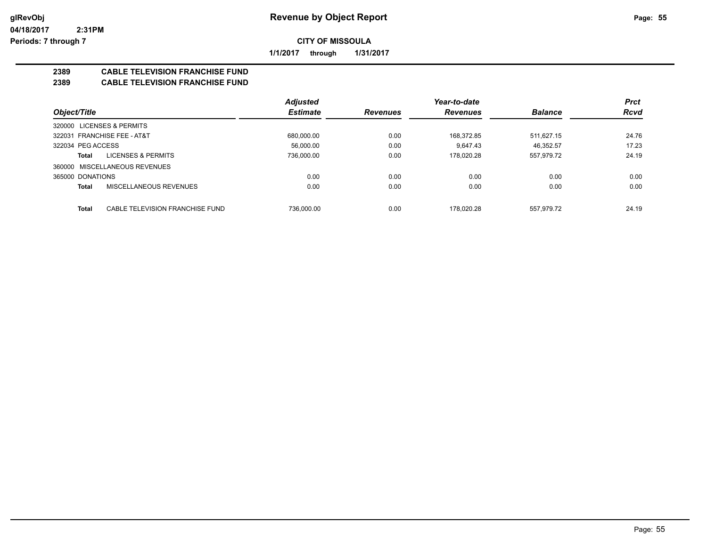**1/1/2017 through 1/31/2017**

## **2389 CABLE TELEVISION FRANCHISE FUND 2389 CABLE TELEVISION FRANCHISE FUND**

|                   |                                 | <b>Adjusted</b> |                 | Year-to-date    |                | Prct        |
|-------------------|---------------------------------|-----------------|-----------------|-----------------|----------------|-------------|
| Object/Title      |                                 | <b>Estimate</b> | <b>Revenues</b> | <b>Revenues</b> | <b>Balance</b> | <b>Rcvd</b> |
|                   | 320000 LICENSES & PERMITS       |                 |                 |                 |                |             |
|                   | 322031 FRANCHISE FEE - AT&T     | 680,000.00      | 0.00            | 168.372.85      | 511,627.15     | 24.76       |
| 322034 PEG ACCESS |                                 | 56.000.00       | 0.00            | 9.647.43        | 46.352.57      | 17.23       |
| Total             | <b>LICENSES &amp; PERMITS</b>   | 736.000.00      | 0.00            | 178.020.28      | 557.979.72     | 24.19       |
|                   | 360000 MISCELLANEOUS REVENUES   |                 |                 |                 |                |             |
| 365000 DONATIONS  |                                 | 0.00            | 0.00            | 0.00            | 0.00           | 0.00        |
| <b>Total</b>      | MISCELLANEOUS REVENUES          | 0.00            | 0.00            | 0.00            | 0.00           | 0.00        |
| Total             | CABLE TELEVISION FRANCHISE FUND | 736.000.00      | 0.00            | 178.020.28      | 557.979.72     | 24.19       |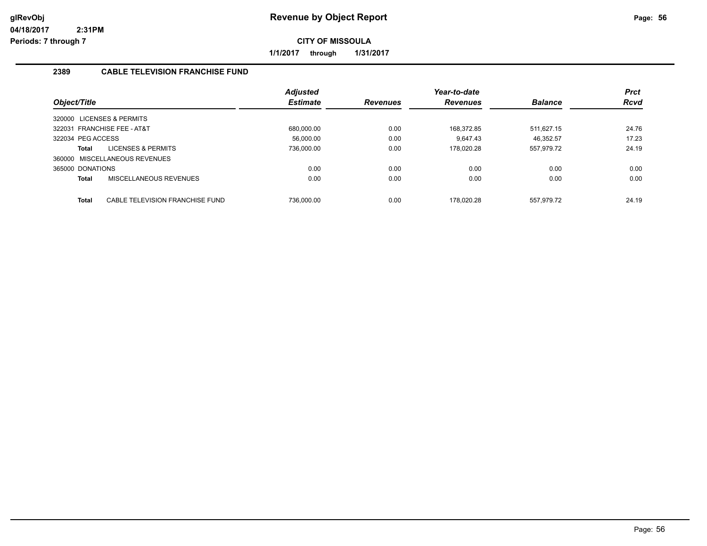**1/1/2017 through 1/31/2017**

## **2389 CABLE TELEVISION FRANCHISE FUND**

|                                                 | <b>Adjusted</b> |                 | Year-to-date    |                | <b>Prct</b> |
|-------------------------------------------------|-----------------|-----------------|-----------------|----------------|-------------|
| Object/Title                                    | <b>Estimate</b> | <b>Revenues</b> | <b>Revenues</b> | <b>Balance</b> | <b>Rcvd</b> |
| 320000 LICENSES & PERMITS                       |                 |                 |                 |                |             |
| 322031 FRANCHISE FEE - AT&T                     | 680.000.00      | 0.00            | 168.372.85      | 511.627.15     | 24.76       |
| 322034 PEG ACCESS                               | 56.000.00       | 0.00            | 9.647.43        | 46.352.57      | 17.23       |
| <b>LICENSES &amp; PERMITS</b><br>Total          | 736.000.00      | 0.00            | 178.020.28      | 557,979.72     | 24.19       |
| 360000 MISCELLANEOUS REVENUES                   |                 |                 |                 |                |             |
| 365000 DONATIONS                                | 0.00            | 0.00            | 0.00            | 0.00           | 0.00        |
| MISCELLANEOUS REVENUES<br><b>Total</b>          | 0.00            | 0.00            | 0.00            | 0.00           | 0.00        |
|                                                 |                 |                 |                 |                |             |
| <b>Total</b><br>CABLE TELEVISION FRANCHISE FUND | 736.000.00      | 0.00            | 178.020.28      | 557.979.72     | 24.19       |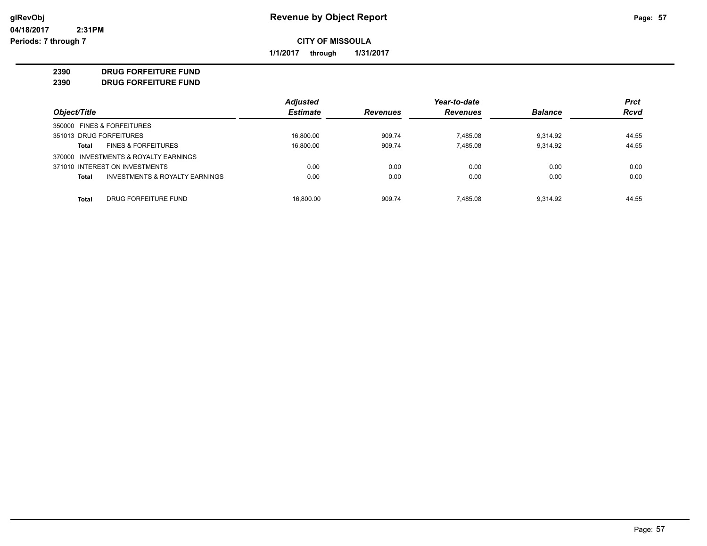**1/1/2017 through 1/31/2017**

**2390 DRUG FORFEITURE FUND 2390 DRUG FORFEITURE FUND**

|                                                           | <b>Adjusted</b> |                 | Year-to-date    |                | <b>Prct</b> |
|-----------------------------------------------------------|-----------------|-----------------|-----------------|----------------|-------------|
| Object/Title                                              | <b>Estimate</b> | <b>Revenues</b> | <b>Revenues</b> | <b>Balance</b> | <b>Rcvd</b> |
| 350000 FINES & FORFEITURES                                |                 |                 |                 |                |             |
| 351013 DRUG FORFEITURES                                   | 16,800.00       | 909.74          | 7.485.08        | 9.314.92       | 44.55       |
| <b>FINES &amp; FORFEITURES</b><br>Total                   | 16,800.00       | 909.74          | 7.485.08        | 9.314.92       | 44.55       |
| 370000 INVESTMENTS & ROYALTY EARNINGS                     |                 |                 |                 |                |             |
| 371010 INTEREST ON INVESTMENTS                            | 0.00            | 0.00            | 0.00            | 0.00           | 0.00        |
| <b>INVESTMENTS &amp; ROYALTY EARNINGS</b><br><b>Total</b> | 0.00            | 0.00            | 0.00            | 0.00           | 0.00        |
| <b>Total</b><br>DRUG FORFEITURE FUND                      | 16.800.00       | 909.74          | 7.485.08        | 9.314.92       | 44.55       |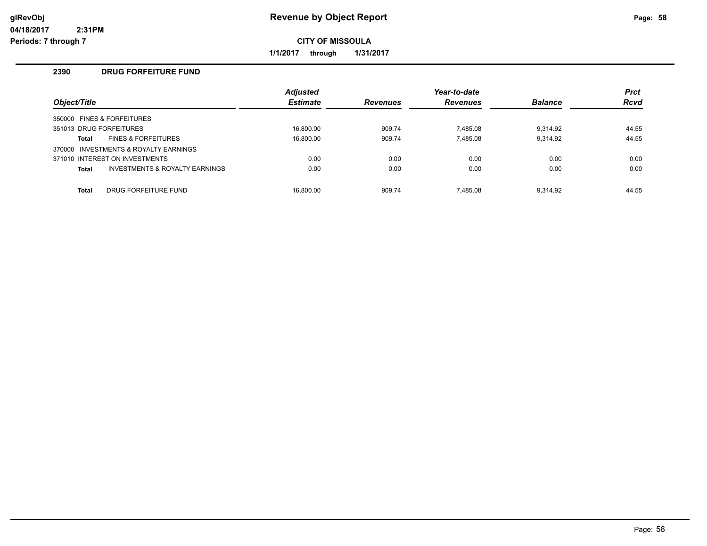**1/1/2017 through 1/31/2017**

#### **2390 DRUG FORFEITURE FUND**

|                                                | <b>Adjusted</b> |                 | Year-to-date    |                | <b>Prct</b> |
|------------------------------------------------|-----------------|-----------------|-----------------|----------------|-------------|
| Object/Title                                   | <b>Estimate</b> | <b>Revenues</b> | <b>Revenues</b> | <b>Balance</b> | <b>Rcvd</b> |
| <b>FINES &amp; FORFEITURES</b><br>350000       |                 |                 |                 |                |             |
| 351013 DRUG FORFEITURES                        | 16.800.00       | 909.74          | 7.485.08        | 9.314.92       | 44.55       |
| <b>FINES &amp; FORFEITURES</b><br><b>Total</b> | 16,800.00       | 909.74          | 7,485.08        | 9.314.92       | 44.55       |
| 370000 INVESTMENTS & ROYALTY EARNINGS          |                 |                 |                 |                |             |
| 371010 INTEREST ON INVESTMENTS                 | 0.00            | 0.00            | 0.00            | 0.00           | 0.00        |
| INVESTMENTS & ROYALTY EARNINGS<br><b>Total</b> | 0.00            | 0.00            | 0.00            | 0.00           | 0.00        |
| DRUG FORFEITURE FUND<br><b>Total</b>           | 16.800.00       | 909.74          | 7.485.08        | 9.314.92       | 44.55       |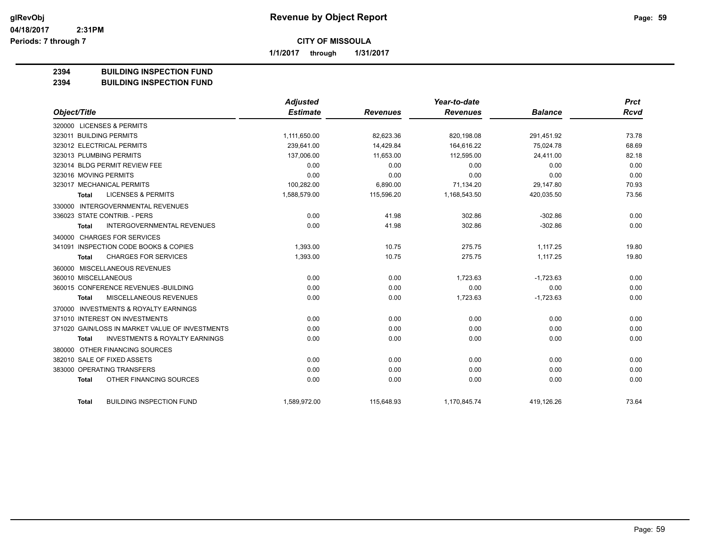**1/1/2017 through 1/31/2017**

**2394 BUILDING INSPECTION FUND**

| <b>BUILDING INSPECTION FUND</b><br>2394 |
|-----------------------------------------|
|-----------------------------------------|

|                                                    | <b>Adjusted</b> |                 | Year-to-date    |                | <b>Prct</b> |
|----------------------------------------------------|-----------------|-----------------|-----------------|----------------|-------------|
| Object/Title                                       | <b>Estimate</b> | <b>Revenues</b> | <b>Revenues</b> | <b>Balance</b> | <b>Rcvd</b> |
| 320000 LICENSES & PERMITS                          |                 |                 |                 |                |             |
| 323011 BUILDING PERMITS                            | 1,111,650.00    | 82,623.36       | 820,198.08      | 291,451.92     | 73.78       |
| 323012 ELECTRICAL PERMITS                          | 239,641.00      | 14,429.84       | 164.616.22      | 75.024.78      | 68.69       |
| 323013 PLUMBING PERMITS                            | 137,006.00      | 11,653.00       | 112,595.00      | 24,411.00      | 82.18       |
| 323014 BLDG PERMIT REVIEW FEE                      | 0.00            | 0.00            | 0.00            | 0.00           | 0.00        |
| 323016 MOVING PERMITS                              | 0.00            | 0.00            | 0.00            | 0.00           | 0.00        |
| 323017 MECHANICAL PERMITS                          | 100,282.00      | 6,890.00        | 71,134.20       | 29,147.80      | 70.93       |
| <b>LICENSES &amp; PERMITS</b><br><b>Total</b>      | 1,588,579.00    | 115,596.20      | 1,168,543.50    | 420,035.50     | 73.56       |
| 330000 INTERGOVERNMENTAL REVENUES                  |                 |                 |                 |                |             |
| 336023 STATE CONTRIB. - PERS                       | 0.00            | 41.98           | 302.86          | $-302.86$      | 0.00        |
| <b>INTERGOVERNMENTAL REVENUES</b><br>Total         | 0.00            | 41.98           | 302.86          | $-302.86$      | 0.00        |
| 340000 CHARGES FOR SERVICES                        |                 |                 |                 |                |             |
| INSPECTION CODE BOOKS & COPIES<br>341091           | 1,393.00        | 10.75           | 275.75          | 1,117.25       | 19.80       |
| <b>CHARGES FOR SERVICES</b><br>Total               | 1,393.00        | 10.75           | 275.75          | 1,117.25       | 19.80       |
| 360000 MISCELLANEOUS REVENUES                      |                 |                 |                 |                |             |
| 360010 MISCELLANEOUS                               | 0.00            | 0.00            | 1,723.63        | $-1,723.63$    | 0.00        |
| 360015 CONFERENCE REVENUES - BUILDING              | 0.00            | 0.00            | 0.00            | 0.00           | 0.00        |
| MISCELLANEOUS REVENUES<br>Total                    | 0.00            | 0.00            | 1,723.63        | $-1,723.63$    | 0.00        |
| 370000 INVESTMENTS & ROYALTY EARNINGS              |                 |                 |                 |                |             |
| 371010 INTEREST ON INVESTMENTS                     | 0.00            | 0.00            | 0.00            | 0.00           | 0.00        |
| 371020 GAIN/LOSS IN MARKET VALUE OF INVESTMENTS    | 0.00            | 0.00            | 0.00            | 0.00           | 0.00        |
| <b>INVESTMENTS &amp; ROYALTY EARNINGS</b><br>Total | 0.00            | 0.00            | 0.00            | 0.00           | 0.00        |
| 380000 OTHER FINANCING SOURCES                     |                 |                 |                 |                |             |
| 382010 SALE OF FIXED ASSETS                        | 0.00            | 0.00            | 0.00            | 0.00           | 0.00        |
| 383000 OPERATING TRANSFERS                         | 0.00            | 0.00            | 0.00            | 0.00           | 0.00        |
| OTHER FINANCING SOURCES<br><b>Total</b>            | 0.00            | 0.00            | 0.00            | 0.00           | 0.00        |
| <b>BUILDING INSPECTION FUND</b><br>Total           | 1,589,972.00    | 115.648.93      | 1.170.845.74    | 419.126.26     | 73.64       |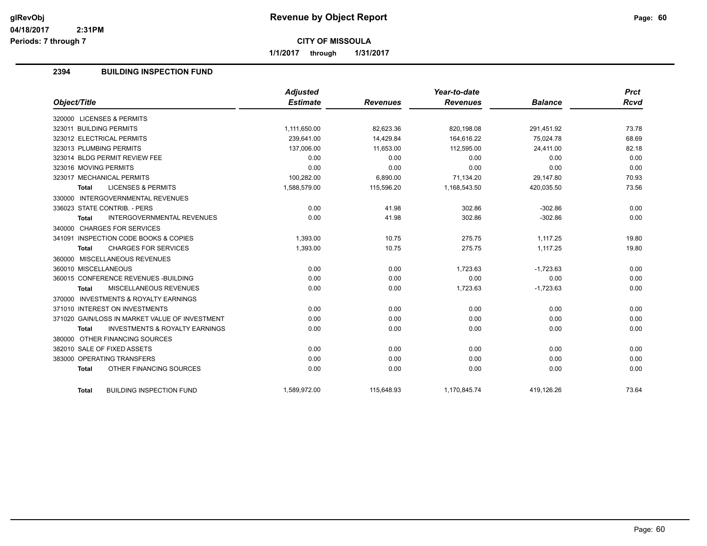**1/1/2017 through 1/31/2017**

## **2394 BUILDING INSPECTION FUND**

|                                                           | <b>Adjusted</b> |                 | Year-to-date    |                | <b>Prct</b> |
|-----------------------------------------------------------|-----------------|-----------------|-----------------|----------------|-------------|
| Object/Title                                              | <b>Estimate</b> | <b>Revenues</b> | <b>Revenues</b> | <b>Balance</b> | Rcvd        |
| 320000 LICENSES & PERMITS                                 |                 |                 |                 |                |             |
| 323011 BUILDING PERMITS                                   | 1,111,650.00    | 82,623.36       | 820,198.08      | 291,451.92     | 73.78       |
| 323012 ELECTRICAL PERMITS                                 | 239,641.00      | 14,429.84       | 164,616.22      | 75.024.78      | 68.69       |
| 323013 PLUMBING PERMITS                                   | 137.006.00      | 11,653.00       | 112.595.00      | 24.411.00      | 82.18       |
| 323014 BLDG PERMIT REVIEW FEE                             | 0.00            | 0.00            | 0.00            | 0.00           | 0.00        |
| 323016 MOVING PERMITS                                     | 0.00            | 0.00            | 0.00            | 0.00           | 0.00        |
| 323017 MECHANICAL PERMITS                                 | 100,282.00      | 6,890.00        | 71,134.20       | 29,147.80      | 70.93       |
| <b>LICENSES &amp; PERMITS</b><br><b>Total</b>             | 1,588,579.00    | 115,596.20      | 1,168,543.50    | 420,035.50     | 73.56       |
| 330000 INTERGOVERNMENTAL REVENUES                         |                 |                 |                 |                |             |
| 336023 STATE CONTRIB. - PERS                              | 0.00            | 41.98           | 302.86          | $-302.86$      | 0.00        |
| INTERGOVERNMENTAL REVENUES<br>Total                       | 0.00            | 41.98           | 302.86          | $-302.86$      | 0.00        |
| 340000 CHARGES FOR SERVICES                               |                 |                 |                 |                |             |
| 341091 INSPECTION CODE BOOKS & COPIES                     | 1,393.00        | 10.75           | 275.75          | 1.117.25       | 19.80       |
| <b>CHARGES FOR SERVICES</b><br><b>Total</b>               | 1,393.00        | 10.75           | 275.75          | 1,117.25       | 19.80       |
| 360000 MISCELLANEOUS REVENUES                             |                 |                 |                 |                |             |
| 360010 MISCELLANEOUS                                      | 0.00            | 0.00            | 1,723.63        | $-1,723.63$    | 0.00        |
| 360015 CONFERENCE REVENUES - BUILDING                     | 0.00            | 0.00            | 0.00            | 0.00           | 0.00        |
| MISCELLANEOUS REVENUES<br>Total                           | 0.00            | 0.00            | 1,723.63        | $-1,723.63$    | 0.00        |
| 370000 INVESTMENTS & ROYALTY EARNINGS                     |                 |                 |                 |                |             |
| 371010 INTEREST ON INVESTMENTS                            | 0.00            | 0.00            | 0.00            | 0.00           | 0.00        |
| 371020 GAIN/LOSS IN MARKET VALUE OF INVESTMENT            | 0.00            | 0.00            | 0.00            | 0.00           | 0.00        |
| <b>INVESTMENTS &amp; ROYALTY EARNINGS</b><br><b>Total</b> | 0.00            | 0.00            | 0.00            | 0.00           | 0.00        |
| 380000 OTHER FINANCING SOURCES                            |                 |                 |                 |                |             |
| 382010 SALE OF FIXED ASSETS                               | 0.00            | 0.00            | 0.00            | 0.00           | 0.00        |
| 383000 OPERATING TRANSFERS                                | 0.00            | 0.00            | 0.00            | 0.00           | 0.00        |
| OTHER FINANCING SOURCES<br><b>Total</b>                   | 0.00            | 0.00            | 0.00            | 0.00           | 0.00        |
| <b>BUILDING INSPECTION FUND</b><br><b>Total</b>           | 1.589.972.00    | 115,648.93      | 1,170,845.74    | 419.126.26     | 73.64       |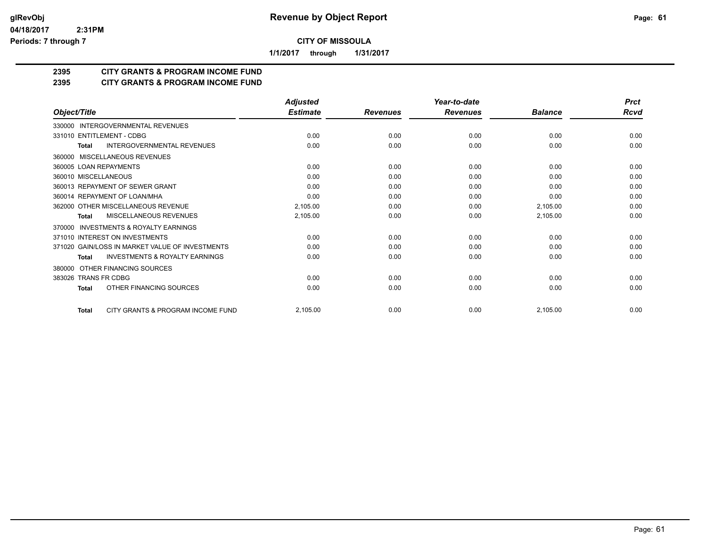**1/1/2017 through 1/31/2017**

## **2395 CITY GRANTS & PROGRAM INCOME FUND 2395 CITY GRANTS & PROGRAM INCOME FUND**

|                                                    | <b>Adjusted</b> |                 | Year-to-date    |                | <b>Prct</b> |
|----------------------------------------------------|-----------------|-----------------|-----------------|----------------|-------------|
| Object/Title                                       | <b>Estimate</b> | <b>Revenues</b> | <b>Revenues</b> | <b>Balance</b> | <b>Rcvd</b> |
| <b>INTERGOVERNMENTAL REVENUES</b><br>330000        |                 |                 |                 |                |             |
| 331010 ENTITLEMENT - CDBG                          | 0.00            | 0.00            | 0.00            | 0.00           | 0.00        |
| <b>INTERGOVERNMENTAL REVENUES</b><br><b>Total</b>  | 0.00            | 0.00            | 0.00            | 0.00           | 0.00        |
| 360000 MISCELLANEOUS REVENUES                      |                 |                 |                 |                |             |
| 360005 LOAN REPAYMENTS                             | 0.00            | 0.00            | 0.00            | 0.00           | 0.00        |
| 360010 MISCELLANEOUS                               | 0.00            | 0.00            | 0.00            | 0.00           | 0.00        |
| 360013 REPAYMENT OF SEWER GRANT                    | 0.00            | 0.00            | 0.00            | 0.00           | 0.00        |
| 360014 REPAYMENT OF LOAN/MHA                       | 0.00            | 0.00            | 0.00            | 0.00           | 0.00        |
| 362000 OTHER MISCELLANEOUS REVENUE                 | 2,105.00        | 0.00            | 0.00            | 2,105.00       | 0.00        |
| <b>MISCELLANEOUS REVENUES</b><br>Total             | 2,105.00        | 0.00            | 0.00            | 2,105.00       | 0.00        |
| INVESTMENTS & ROYALTY EARNINGS<br>370000           |                 |                 |                 |                |             |
| 371010 INTEREST ON INVESTMENTS                     | 0.00            | 0.00            | 0.00            | 0.00           | 0.00        |
| 371020 GAIN/LOSS IN MARKET VALUE OF INVESTMENTS    | 0.00            | 0.00            | 0.00            | 0.00           | 0.00        |
| <b>INVESTMENTS &amp; ROYALTY EARNINGS</b><br>Total | 0.00            | 0.00            | 0.00            | 0.00           | 0.00        |
| OTHER FINANCING SOURCES<br>380000                  |                 |                 |                 |                |             |
| <b>TRANS FR CDBG</b><br>383026                     | 0.00            | 0.00            | 0.00            | 0.00           | 0.00        |
| OTHER FINANCING SOURCES<br><b>Total</b>            | 0.00            | 0.00            | 0.00            | 0.00           | 0.00        |
| CITY GRANTS & PROGRAM INCOME FUND<br><b>Total</b>  | 2,105.00        | 0.00            | 0.00            | 2,105.00       | 0.00        |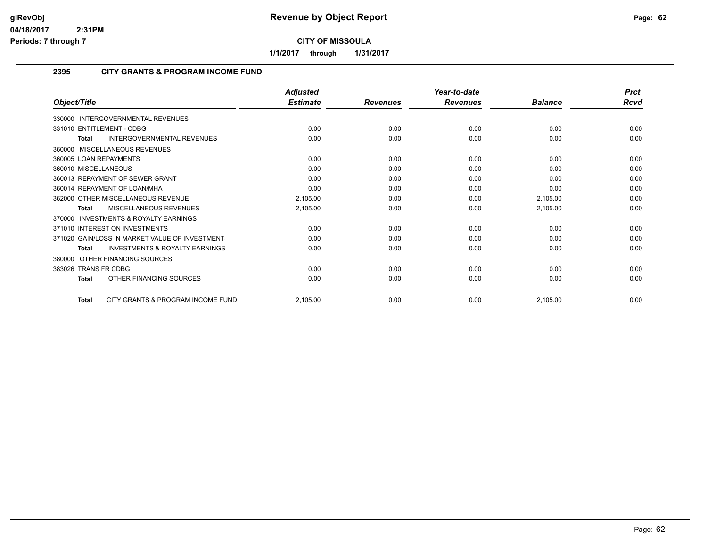**1/1/2017 through 1/31/2017**

## **2395 CITY GRANTS & PROGRAM INCOME FUND**

|                                                           | <b>Adjusted</b> |                 | Year-to-date    |                | <b>Prct</b> |
|-----------------------------------------------------------|-----------------|-----------------|-----------------|----------------|-------------|
| Object/Title                                              | <b>Estimate</b> | <b>Revenues</b> | <b>Revenues</b> | <b>Balance</b> | Rcvd        |
| 330000 INTERGOVERNMENTAL REVENUES                         |                 |                 |                 |                |             |
| 331010 ENTITLEMENT - CDBG                                 | 0.00            | 0.00            | 0.00            | 0.00           | 0.00        |
| <b>INTERGOVERNMENTAL REVENUES</b><br><b>Total</b>         | 0.00            | 0.00            | 0.00            | 0.00           | 0.00        |
| 360000 MISCELLANEOUS REVENUES                             |                 |                 |                 |                |             |
| 360005 LOAN REPAYMENTS                                    | 0.00            | 0.00            | 0.00            | 0.00           | 0.00        |
| 360010 MISCELLANEOUS                                      | 0.00            | 0.00            | 0.00            | 0.00           | 0.00        |
| 360013 REPAYMENT OF SEWER GRANT                           | 0.00            | 0.00            | 0.00            | 0.00           | 0.00        |
| 360014 REPAYMENT OF LOAN/MHA                              | 0.00            | 0.00            | 0.00            | 0.00           | 0.00        |
| 362000 OTHER MISCELLANEOUS REVENUE                        | 2,105.00        | 0.00            | 0.00            | 2,105.00       | 0.00        |
| MISCELLANEOUS REVENUES<br><b>Total</b>                    | 2,105.00        | 0.00            | 0.00            | 2,105.00       | 0.00        |
| 370000 INVESTMENTS & ROYALTY EARNINGS                     |                 |                 |                 |                |             |
| 371010 INTEREST ON INVESTMENTS                            | 0.00            | 0.00            | 0.00            | 0.00           | 0.00        |
| 371020 GAIN/LOSS IN MARKET VALUE OF INVESTMENT            | 0.00            | 0.00            | 0.00            | 0.00           | 0.00        |
| <b>INVESTMENTS &amp; ROYALTY EARNINGS</b><br><b>Total</b> | 0.00            | 0.00            | 0.00            | 0.00           | 0.00        |
| 380000 OTHER FINANCING SOURCES                            |                 |                 |                 |                |             |
| 383026 TRANS FR CDBG                                      | 0.00            | 0.00            | 0.00            | 0.00           | 0.00        |
| OTHER FINANCING SOURCES<br><b>Total</b>                   | 0.00            | 0.00            | 0.00            | 0.00           | 0.00        |
| CITY GRANTS & PROGRAM INCOME FUND<br><b>Total</b>         | 2,105.00        | 0.00            | 0.00            | 2,105.00       | 0.00        |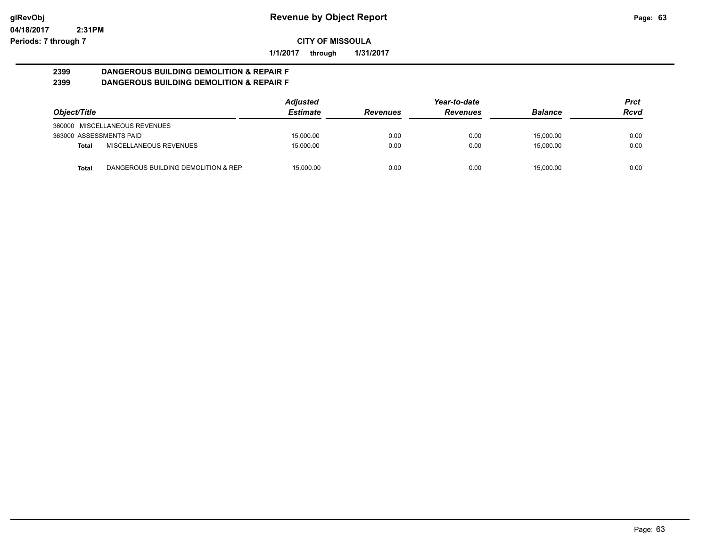**1/1/2017 through 1/31/2017**

## **2399 DANGEROUS BUILDING DEMOLITION & REPAIR F 2399 DANGEROUS BUILDING DEMOLITION & REPAIR F**

|                         |                                      | <b>Adjusted</b> |                 | Year-to-date    |                | <b>Prct</b> |
|-------------------------|--------------------------------------|-----------------|-----------------|-----------------|----------------|-------------|
| Object/Title            |                                      | <b>Estimate</b> | <b>Revenues</b> | <b>Revenues</b> | <b>Balance</b> | <b>Rcvd</b> |
|                         | 360000 MISCELLANEOUS REVENUES        |                 |                 |                 |                |             |
| 363000 ASSESSMENTS PAID |                                      | 15.000.00       | 0.00            | 0.00            | 15,000.00      | 0.00        |
| Total                   | MISCELLANEOUS REVENUES               | 15.000.00       | 0.00            | 0.00            | 15,000.00      | 0.00        |
| Total                   | DANGEROUS BUILDING DEMOLITION & REP. | 15.000.00       | 0.00            | 0.00            | 15.000.00      | 0.00        |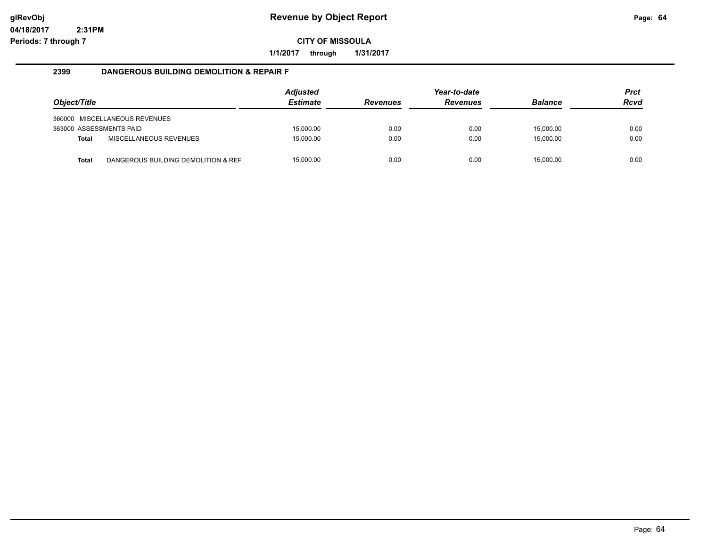**1/1/2017 through 1/31/2017**

#### **2399 DANGEROUS BUILDING DEMOLITION & REPAIR F**

|                         |                                     | <b>Adjusted</b> |                 | Year-to-date    |                | <b>Prct</b> |
|-------------------------|-------------------------------------|-----------------|-----------------|-----------------|----------------|-------------|
| Object/Title            |                                     | <b>Estimate</b> | <b>Revenues</b> | <b>Revenues</b> | <b>Balance</b> | Rcvd        |
|                         | 360000 MISCELLANEOUS REVENUES       |                 |                 |                 |                |             |
| 363000 ASSESSMENTS PAID |                                     | 15.000.00       | 0.00            | 0.00            | 15,000.00      | 0.00        |
| <b>Total</b>            | MISCELLANEOUS REVENUES              | 15,000.00       | 0.00            | 0.00            | 15,000.00      | 0.00        |
| Total                   | DANGEROUS BUILDING DEMOLITION & REF | 15.000.00       | 0.00            | 0.00            | 15,000.00      | 0.00        |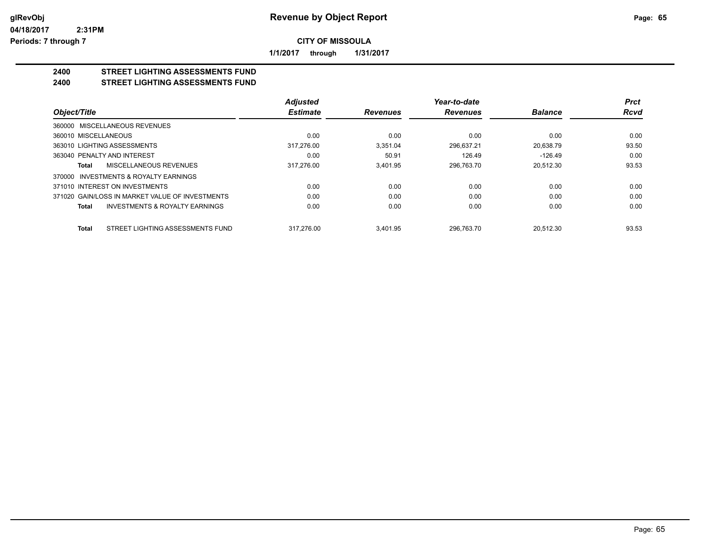**1/1/2017 through 1/31/2017**

## **2400 STREET LIGHTING ASSESSMENTS FUND 2400 STREET LIGHTING ASSESSMENTS FUND**

|                                                           | <b>Adjusted</b> |                 | Year-to-date    |                | <b>Prct</b> |
|-----------------------------------------------------------|-----------------|-----------------|-----------------|----------------|-------------|
| Object/Title                                              | <b>Estimate</b> | <b>Revenues</b> | <b>Revenues</b> | <b>Balance</b> | <b>Rcvd</b> |
| 360000 MISCELLANEOUS REVENUES                             |                 |                 |                 |                |             |
| 360010 MISCELLANEOUS                                      | 0.00            | 0.00            | 0.00            | 0.00           | 0.00        |
| 363010 LIGHTING ASSESSMENTS                               | 317.276.00      | 3.351.04        | 296.637.21      | 20.638.79      | 93.50       |
| 363040 PENALTY AND INTEREST                               | 0.00            | 50.91           | 126.49          | $-126.49$      | 0.00        |
| MISCELLANEOUS REVENUES<br>Total                           | 317,276.00      | 3.401.95        | 296.763.70      | 20.512.30      | 93.53       |
| INVESTMENTS & ROYALTY EARNINGS<br>370000                  |                 |                 |                 |                |             |
| 371010 INTEREST ON INVESTMENTS                            | 0.00            | 0.00            | 0.00            | 0.00           | 0.00        |
| 371020 GAIN/LOSS IN MARKET VALUE OF INVESTMENTS           | 0.00            | 0.00            | 0.00            | 0.00           | 0.00        |
| <b>INVESTMENTS &amp; ROYALTY EARNINGS</b><br><b>Total</b> | 0.00            | 0.00            | 0.00            | 0.00           | 0.00        |
| STREET LIGHTING ASSESSMENTS FUND<br>Total                 | 317.276.00      | 3.401.95        | 296.763.70      | 20.512.30      | 93.53       |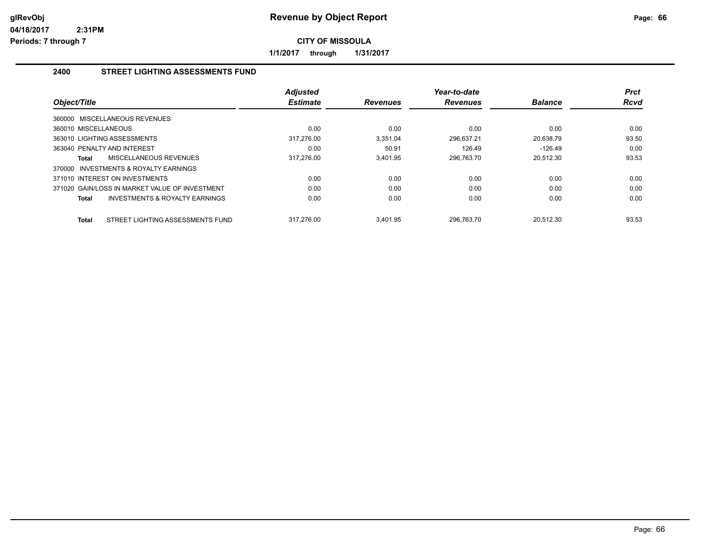**1/1/2017 through 1/31/2017**

## **2400 STREET LIGHTING ASSESSMENTS FUND**

| Object/Title                                     | <b>Adjusted</b><br><b>Estimate</b> | <b>Revenues</b> | Year-to-date<br><b>Revenues</b> | <b>Balance</b> | <b>Prct</b><br><b>Rcvd</b> |
|--------------------------------------------------|------------------------------------|-----------------|---------------------------------|----------------|----------------------------|
| 360000 MISCELLANEOUS REVENUES                    |                                    |                 |                                 |                |                            |
| 360010 MISCELLANEOUS                             | 0.00                               | 0.00            | 0.00                            | 0.00           | 0.00                       |
|                                                  |                                    |                 |                                 |                |                            |
| 363010 LIGHTING ASSESSMENTS                      | 317.276.00                         | 3.351.04        | 296.637.21                      | 20.638.79      | 93.50                      |
| 363040 PENALTY AND INTEREST                      | 0.00                               | 50.91           | 126.49                          | $-126.49$      | 0.00                       |
| <b>MISCELLANEOUS REVENUES</b><br>Total           | 317,276.00                         | 3.401.95        | 296.763.70                      | 20.512.30      | 93.53                      |
| 370000 INVESTMENTS & ROYALTY EARNINGS            |                                    |                 |                                 |                |                            |
| 371010 INTEREST ON INVESTMENTS                   | 0.00                               | 0.00            | 0.00                            | 0.00           | 0.00                       |
| 371020 GAIN/LOSS IN MARKET VALUE OF INVESTMENT   | 0.00                               | 0.00            | 0.00                            | 0.00           | 0.00                       |
| INVESTMENTS & ROYALTY EARNINGS<br>Total          | 0.00                               | 0.00            | 0.00                            | 0.00           | 0.00                       |
| <b>Total</b><br>STREET LIGHTING ASSESSMENTS FUND | 317.276.00                         | 3.401.95        | 296.763.70                      | 20.512.30      | 93.53                      |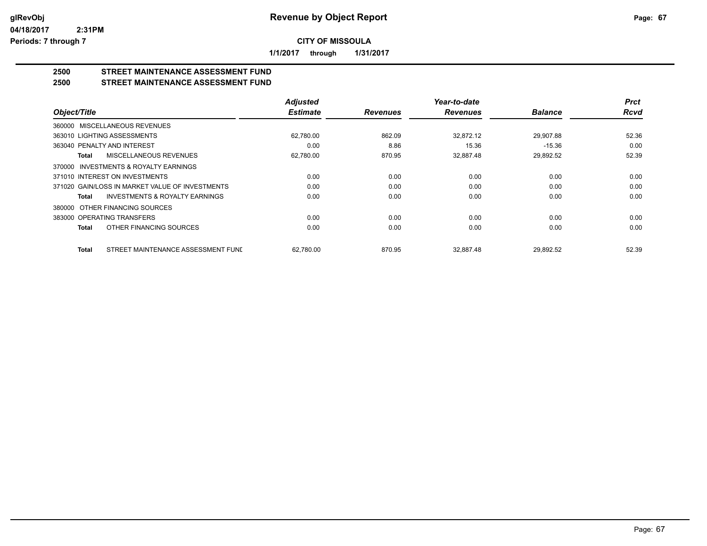**1/1/2017 through 1/31/2017**

## **2500 STREET MAINTENANCE ASSESSMENT FUND 2500 STREET MAINTENANCE ASSESSMENT FUND**

|                                                    | <b>Adjusted</b> |                 | Year-to-date    |                | <b>Prct</b> |
|----------------------------------------------------|-----------------|-----------------|-----------------|----------------|-------------|
| Object/Title                                       | <b>Estimate</b> | <b>Revenues</b> | <b>Revenues</b> | <b>Balance</b> | Rcvd        |
| 360000 MISCELLANEOUS REVENUES                      |                 |                 |                 |                |             |
| 363010 LIGHTING ASSESSMENTS                        | 62,780.00       | 862.09          | 32,872.12       | 29,907.88      | 52.36       |
| 363040 PENALTY AND INTEREST                        | 0.00            | 8.86            | 15.36           | $-15.36$       | 0.00        |
| MISCELLANEOUS REVENUES<br><b>Total</b>             | 62,780.00       | 870.95          | 32,887.48       | 29,892.52      | 52.39       |
| INVESTMENTS & ROYALTY EARNINGS<br>370000           |                 |                 |                 |                |             |
| 371010 INTEREST ON INVESTMENTS                     | 0.00            | 0.00            | 0.00            | 0.00           | 0.00        |
| 371020 GAIN/LOSS IN MARKET VALUE OF INVESTMENTS    | 0.00            | 0.00            | 0.00            | 0.00           | 0.00        |
| <b>INVESTMENTS &amp; ROYALTY EARNINGS</b><br>Total | 0.00            | 0.00            | 0.00            | 0.00           | 0.00        |
| OTHER FINANCING SOURCES<br>380000                  |                 |                 |                 |                |             |
| 383000 OPERATING TRANSFERS                         | 0.00            | 0.00            | 0.00            | 0.00           | 0.00        |
| OTHER FINANCING SOURCES<br><b>Total</b>            | 0.00            | 0.00            | 0.00            | 0.00           | 0.00        |
| STREET MAINTENANCE ASSESSMENT FUND<br><b>Total</b> | 62.780.00       | 870.95          | 32.887.48       | 29.892.52      | 52.39       |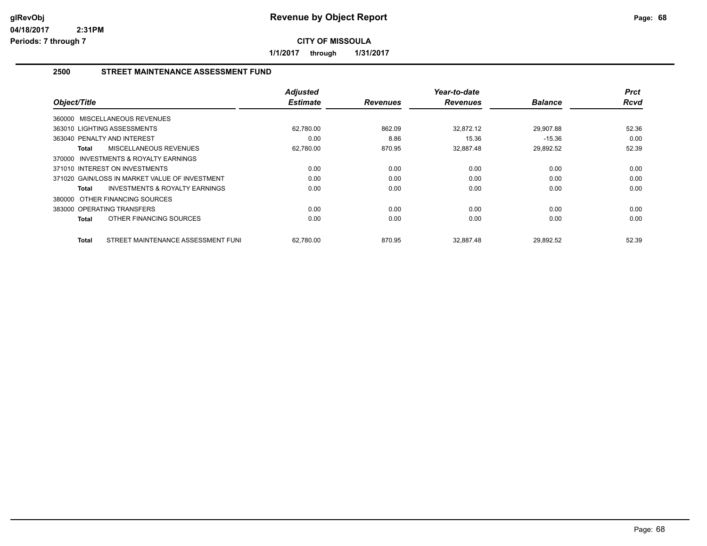**1/1/2017 through 1/31/2017**

#### **2500 STREET MAINTENANCE ASSESSMENT FUND**

| Object/Title                                       | <b>Adjusted</b><br><b>Estimate</b> | <b>Revenues</b> | Year-to-date<br><b>Revenues</b> | <b>Balance</b> | <b>Prct</b><br>Rcvd |
|----------------------------------------------------|------------------------------------|-----------------|---------------------------------|----------------|---------------------|
|                                                    |                                    |                 |                                 |                |                     |
| 360000 MISCELLANEOUS REVENUES                      |                                    |                 |                                 |                |                     |
| 363010 LIGHTING ASSESSMENTS                        | 62,780.00                          | 862.09          | 32,872.12                       | 29,907.88      | 52.36               |
| 363040 PENALTY AND INTEREST                        | 0.00                               | 8.86            | 15.36                           | $-15.36$       | 0.00                |
| MISCELLANEOUS REVENUES<br>Total                    | 62,780.00                          | 870.95          | 32,887.48                       | 29,892.52      | 52.39               |
| 370000 INVESTMENTS & ROYALTY EARNINGS              |                                    |                 |                                 |                |                     |
| 371010 INTEREST ON INVESTMENTS                     | 0.00                               | 0.00            | 0.00                            | 0.00           | 0.00                |
| 371020 GAIN/LOSS IN MARKET VALUE OF INVESTMENT     | 0.00                               | 0.00            | 0.00                            | 0.00           | 0.00                |
| INVESTMENTS & ROYALTY EARNINGS<br><b>Total</b>     | 0.00                               | 0.00            | 0.00                            | 0.00           | 0.00                |
| 380000 OTHER FINANCING SOURCES                     |                                    |                 |                                 |                |                     |
| 383000 OPERATING TRANSFERS                         | 0.00                               | 0.00            | 0.00                            | 0.00           | 0.00                |
| OTHER FINANCING SOURCES<br><b>Total</b>            | 0.00                               | 0.00            | 0.00                            | 0.00           | 0.00                |
| STREET MAINTENANCE ASSESSMENT FUNI<br><b>Total</b> | 62.780.00                          | 870.95          | 32.887.48                       | 29.892.52      | 52.39               |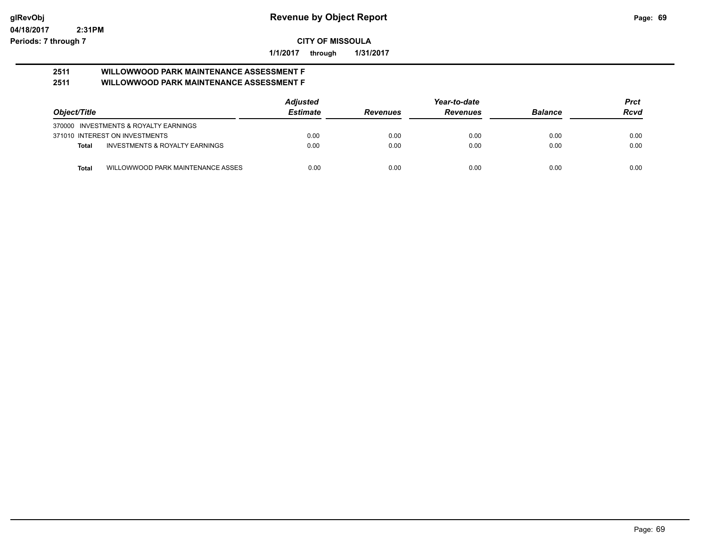**1/1/2017 through 1/31/2017**

## **2511 WILLOWWOOD PARK MAINTENANCE ASSESSMENT F 2511 WILLOWWOOD PARK MAINTENANCE ASSESSMENT F**

|              |                                       | <b>Adjusted</b> |                 | Year-to-date    |                | Prct        |
|--------------|---------------------------------------|-----------------|-----------------|-----------------|----------------|-------------|
| Object/Title |                                       | <b>Estimate</b> | <b>Revenues</b> | <b>Revenues</b> | <b>Balance</b> | <b>Rcvd</b> |
|              | 370000 INVESTMENTS & ROYALTY EARNINGS |                 |                 |                 |                |             |
|              | 371010 INTEREST ON INVESTMENTS        | 0.00            | 0.00            | 0.00            | 0.00           | 0.00        |
| <b>Total</b> | INVESTMENTS & ROYALTY EARNINGS        | 0.00            | 0.00            | 0.00            | 0.00           | 0.00        |
| <b>Total</b> | WILLOWWOOD PARK MAINTENANCE ASSES     | 0.00            | 0.00            | 0.00            | 0.00           | 0.00        |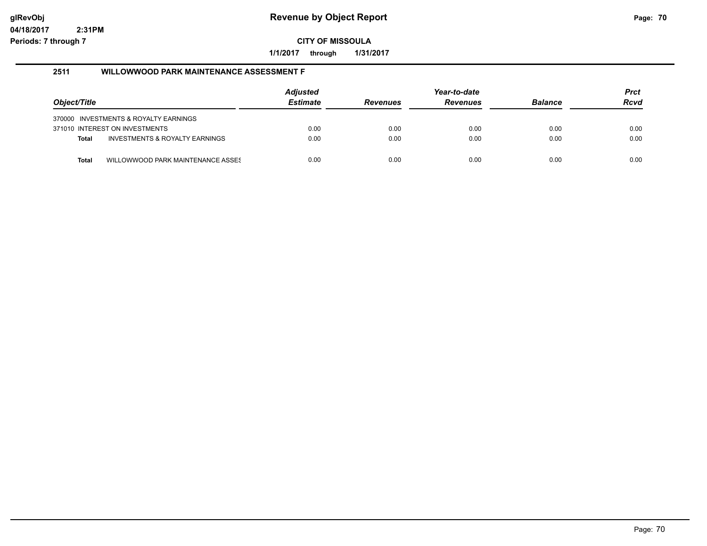**1/1/2017 through 1/31/2017**

#### **2511 WILLOWWOOD PARK MAINTENANCE ASSESSMENT F**

|              |                                       | <b>Adjusted</b> |                 | Year-to-date    |                | <b>Prct</b> |
|--------------|---------------------------------------|-----------------|-----------------|-----------------|----------------|-------------|
| Object/Title |                                       | <b>Estimate</b> | <b>Revenues</b> | <b>Revenues</b> | <b>Balance</b> | Rcvd        |
|              | 370000 INVESTMENTS & ROYALTY EARNINGS |                 |                 |                 |                |             |
|              | 371010 INTEREST ON INVESTMENTS        | 0.00            | 0.00            | 0.00            | 0.00           | 0.00        |
| <b>Total</b> | INVESTMENTS & ROYALTY EARNINGS        | 0.00            | 0.00            | 0.00            | 0.00           | 0.00        |
| Total        | WILLOWWOOD PARK MAINTENANCE ASSES     | 0.00            | 0.00            | 0.00            | 0.00           | 0.00        |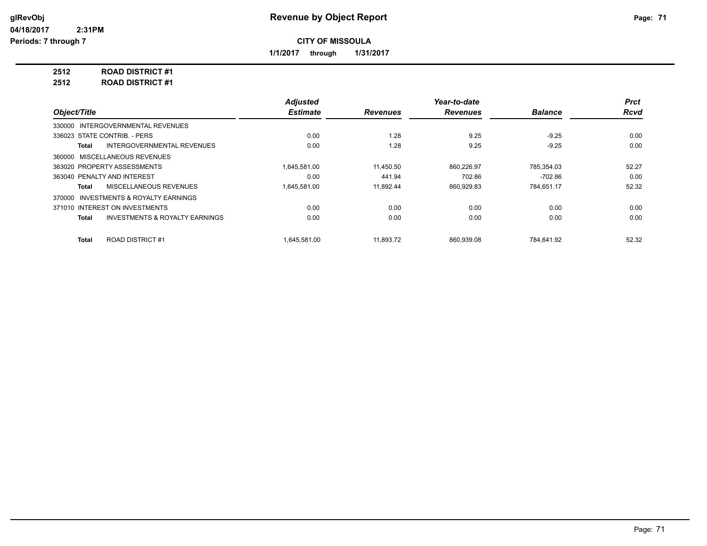**1/1/2017 through 1/31/2017**

**2512 ROAD DISTRICT #1 2512 ROAD DISTRICT #1**

|                                                           | <b>Adjusted</b> |                 | Year-to-date    |                | <b>Prct</b> |
|-----------------------------------------------------------|-----------------|-----------------|-----------------|----------------|-------------|
| Object/Title                                              | <b>Estimate</b> | <b>Revenues</b> | <b>Revenues</b> | <b>Balance</b> | <b>Rcvd</b> |
| INTERGOVERNMENTAL REVENUES<br>330000                      |                 |                 |                 |                |             |
| 336023 STATE CONTRIB. - PERS                              | 0.00            | 1.28            | 9.25            | $-9.25$        | 0.00        |
| <b>INTERGOVERNMENTAL REVENUES</b><br>Total                | 0.00            | 1.28            | 9.25            | $-9.25$        | 0.00        |
| MISCELLANEOUS REVENUES<br>360000                          |                 |                 |                 |                |             |
| 363020 PROPERTY ASSESSMENTS                               | 1.645.581.00    | 11.450.50       | 860.226.97      | 785.354.03     | 52.27       |
| 363040 PENALTY AND INTEREST                               | 0.00            | 441.94          | 702.86          | $-702.86$      | 0.00        |
| MISCELLANEOUS REVENUES<br>Total                           | 1,645,581.00    | 11,892.44       | 860,929.83      | 784.651.17     | 52.32       |
| INVESTMENTS & ROYALTY EARNINGS<br>370000                  |                 |                 |                 |                |             |
| 371010 INTEREST ON INVESTMENTS                            | 0.00            | 0.00            | 0.00            | 0.00           | 0.00        |
| <b>INVESTMENTS &amp; ROYALTY EARNINGS</b><br><b>Total</b> | 0.00            | 0.00            | 0.00            | 0.00           | 0.00        |
| <b>ROAD DISTRICT#1</b><br><b>Total</b>                    | 1.645.581.00    | 11.893.72       | 860.939.08      | 784.641.92     | 52.32       |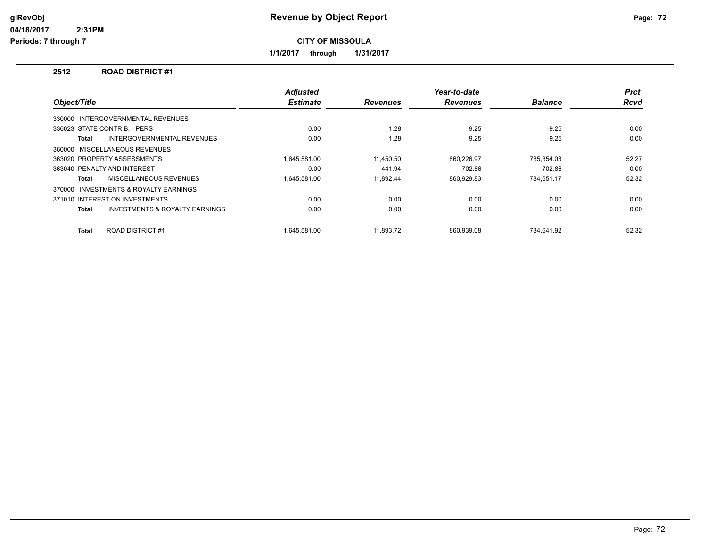**1/1/2017 through 1/31/2017**

#### **2512 ROAD DISTRICT #1**

| Object/Title                                              | <b>Adjusted</b> |                 | Year-to-date    |                | <b>Prct</b> |
|-----------------------------------------------------------|-----------------|-----------------|-----------------|----------------|-------------|
|                                                           | <b>Estimate</b> | <b>Revenues</b> | <b>Revenues</b> | <b>Balance</b> | <b>Rcvd</b> |
| INTERGOVERNMENTAL REVENUES<br>330000                      |                 |                 |                 |                |             |
| 336023 STATE CONTRIB. - PERS                              | 0.00            | 1.28            | 9.25            | $-9.25$        | 0.00        |
| INTERGOVERNMENTAL REVENUES<br><b>Total</b>                | 0.00            | 1.28            | 9.25            | $-9.25$        | 0.00        |
| 360000 MISCELLANEOUS REVENUES                             |                 |                 |                 |                |             |
| 363020 PROPERTY ASSESSMENTS                               | 1.645.581.00    | 11,450.50       | 860,226.97      | 785,354.03     | 52.27       |
| 363040 PENALTY AND INTEREST                               | 0.00            | 441.94          | 702.86          | $-702.86$      | 0.00        |
| MISCELLANEOUS REVENUES<br><b>Total</b>                    | 1,645,581.00    | 11.892.44       | 860.929.83      | 784.651.17     | 52.32       |
| INVESTMENTS & ROYALTY EARNINGS<br>370000                  |                 |                 |                 |                |             |
| 371010 INTEREST ON INVESTMENTS                            | 0.00            | 0.00            | 0.00            | 0.00           | 0.00        |
| <b>INVESTMENTS &amp; ROYALTY EARNINGS</b><br><b>Total</b> | 0.00            | 0.00            | 0.00            | 0.00           | 0.00        |
| <b>ROAD DISTRICT#1</b><br><b>Total</b>                    | 1.645.581.00    | 11.893.72       | 860.939.08      | 784.641.92     | 52.32       |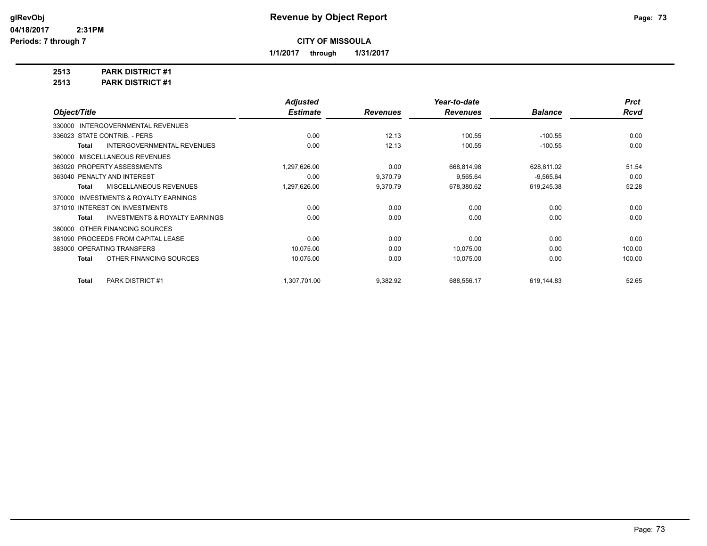**1/1/2017 through 1/31/2017**

**2513 PARK DISTRICT #1 2513 PARK DISTRICT #1**

|                                                           | <b>Adjusted</b> |                 | Year-to-date    |                | <b>Prct</b> |
|-----------------------------------------------------------|-----------------|-----------------|-----------------|----------------|-------------|
| Object/Title                                              | <b>Estimate</b> | <b>Revenues</b> | <b>Revenues</b> | <b>Balance</b> | <b>Rcvd</b> |
| INTERGOVERNMENTAL REVENUES<br>330000                      |                 |                 |                 |                |             |
| 336023 STATE CONTRIB. - PERS                              | 0.00            | 12.13           | 100.55          | $-100.55$      | 0.00        |
| INTERGOVERNMENTAL REVENUES<br><b>Total</b>                | 0.00            | 12.13           | 100.55          | $-100.55$      | 0.00        |
| MISCELLANEOUS REVENUES<br>360000                          |                 |                 |                 |                |             |
| 363020 PROPERTY ASSESSMENTS                               | 1,297,626.00    | 0.00            | 668,814.98      | 628,811.02     | 51.54       |
| 363040 PENALTY AND INTEREST                               | 0.00            | 9,370.79        | 9,565.64        | $-9,565.64$    | 0.00        |
| MISCELLANEOUS REVENUES<br><b>Total</b>                    | 1,297,626.00    | 9,370.79        | 678,380.62      | 619,245.38     | 52.28       |
| <b>INVESTMENTS &amp; ROYALTY EARNINGS</b><br>370000       |                 |                 |                 |                |             |
| 371010 INTEREST ON INVESTMENTS                            | 0.00            | 0.00            | 0.00            | 0.00           | 0.00        |
| <b>INVESTMENTS &amp; ROYALTY EARNINGS</b><br><b>Total</b> | 0.00            | 0.00            | 0.00            | 0.00           | 0.00        |
| OTHER FINANCING SOURCES<br>380000                         |                 |                 |                 |                |             |
| 381090 PROCEEDS FROM CAPITAL LEASE                        | 0.00            | 0.00            | 0.00            | 0.00           | 0.00        |
| 383000 OPERATING TRANSFERS                                | 10,075.00       | 0.00            | 10,075.00       | 0.00           | 100.00      |
| OTHER FINANCING SOURCES<br>Total                          | 10,075.00       | 0.00            | 10,075.00       | 0.00           | 100.00      |
| PARK DISTRICT #1<br><b>Total</b>                          | 1,307,701.00    | 9,382.92        | 688,556.17      | 619,144.83     | 52.65       |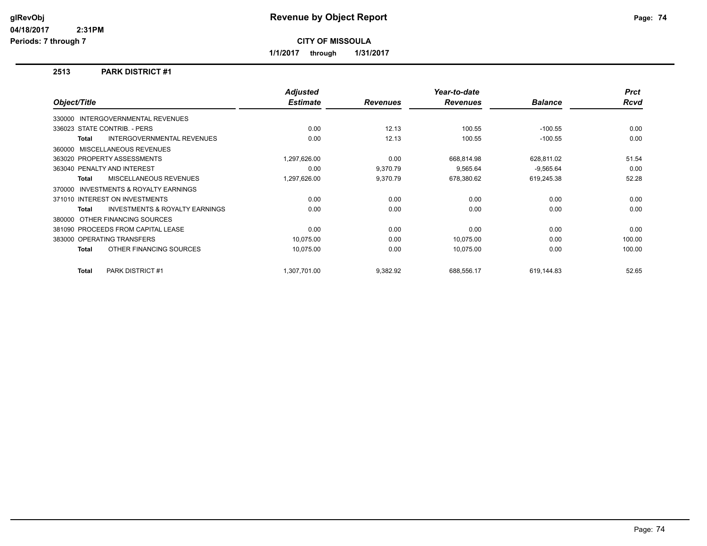**1/1/2017 through 1/31/2017**

#### **2513 PARK DISTRICT #1**

|                                                           | <b>Adjusted</b> |                 | Year-to-date    |                | <b>Prct</b> |
|-----------------------------------------------------------|-----------------|-----------------|-----------------|----------------|-------------|
| Object/Title                                              | <b>Estimate</b> | <b>Revenues</b> | <b>Revenues</b> | <b>Balance</b> | <b>Rcvd</b> |
| INTERGOVERNMENTAL REVENUES<br>330000                      |                 |                 |                 |                |             |
| 336023 STATE CONTRIB. - PERS                              | 0.00            | 12.13           | 100.55          | $-100.55$      | 0.00        |
| <b>INTERGOVERNMENTAL REVENUES</b><br>Total                | 0.00            | 12.13           | 100.55          | $-100.55$      | 0.00        |
| <b>MISCELLANEOUS REVENUES</b><br>360000                   |                 |                 |                 |                |             |
| 363020 PROPERTY ASSESSMENTS                               | 1,297,626.00    | 0.00            | 668,814.98      | 628,811.02     | 51.54       |
| 363040 PENALTY AND INTEREST                               | 0.00            | 9,370.79        | 9,565.64        | $-9,565.64$    | 0.00        |
| <b>MISCELLANEOUS REVENUES</b><br><b>Total</b>             | 1,297,626.00    | 9,370.79        | 678,380.62      | 619,245.38     | 52.28       |
| <b>INVESTMENTS &amp; ROYALTY EARNINGS</b><br>370000       |                 |                 |                 |                |             |
| 371010 INTEREST ON INVESTMENTS                            | 0.00            | 0.00            | 0.00            | 0.00           | 0.00        |
| <b>INVESTMENTS &amp; ROYALTY EARNINGS</b><br><b>Total</b> | 0.00            | 0.00            | 0.00            | 0.00           | 0.00        |
| OTHER FINANCING SOURCES<br>380000                         |                 |                 |                 |                |             |
| 381090 PROCEEDS FROM CAPITAL LEASE                        | 0.00            | 0.00            | 0.00            | 0.00           | 0.00        |
| 383000 OPERATING TRANSFERS                                | 10,075.00       | 0.00            | 10,075.00       | 0.00           | 100.00      |
| OTHER FINANCING SOURCES<br><b>Total</b>                   | 10,075.00       | 0.00            | 10,075.00       | 0.00           | 100.00      |
| <b>PARK DISTRICT#1</b><br><b>Total</b>                    | 1,307,701.00    | 9,382.92        | 688,556.17      | 619.144.83     | 52.65       |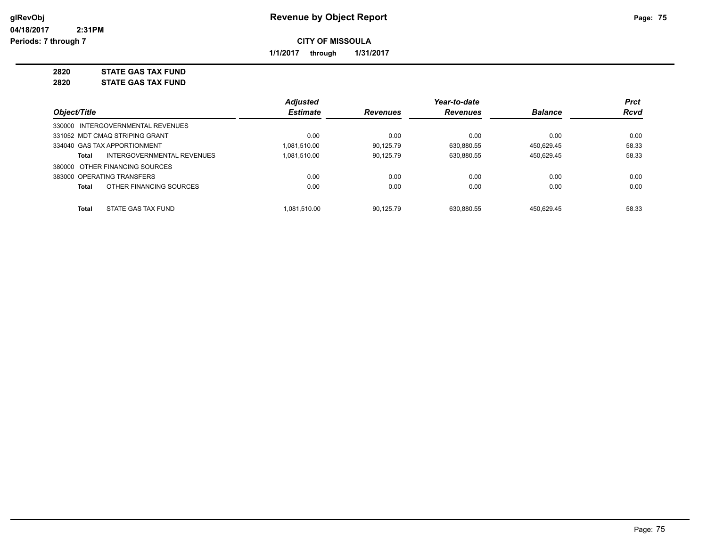**1/1/2017 through 1/31/2017**

**2820 STATE GAS TAX FUND 2820 STATE GAS TAX FUND**

|              |                                   | <b>Adjusted</b> |                 | Year-to-date    |                | <b>Prct</b> |
|--------------|-----------------------------------|-----------------|-----------------|-----------------|----------------|-------------|
| Object/Title |                                   | <b>Estimate</b> | <b>Revenues</b> | <b>Revenues</b> | <b>Balance</b> | <b>Rcvd</b> |
|              | 330000 INTERGOVERNMENTAL REVENUES |                 |                 |                 |                |             |
|              | 331052 MDT CMAO STRIPING GRANT    | 0.00            | 0.00            | 0.00            | 0.00           | 0.00        |
|              | 334040 GAS TAX APPORTIONMENT      | 1.081.510.00    | 90.125.79       | 630.880.55      | 450.629.45     | 58.33       |
| Total        | INTERGOVERNMENTAL REVENUES        | 1.081.510.00    | 90.125.79       | 630.880.55      | 450.629.45     | 58.33       |
|              | 380000 OTHER FINANCING SOURCES    |                 |                 |                 |                |             |
|              | 383000 OPERATING TRANSFERS        | 0.00            | 0.00            | 0.00            | 0.00           | 0.00        |
| Total        | OTHER FINANCING SOURCES           | 0.00            | 0.00            | 0.00            | 0.00           | 0.00        |
| <b>Total</b> | STATE GAS TAX FUND                | 1.081.510.00    | 90.125.79       | 630.880.55      | 450.629.45     | 58.33       |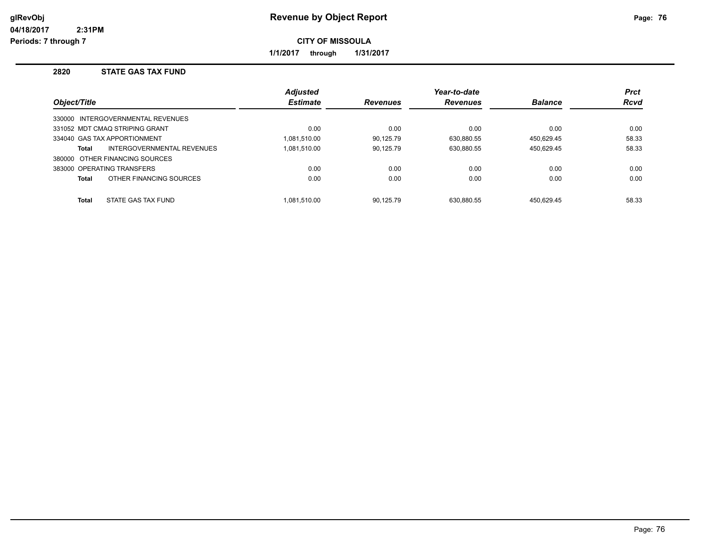**1/1/2017 through 1/31/2017**

#### **2820 STATE GAS TAX FUND**

|              |                                   | <b>Adjusted</b> |                 | Year-to-date    |                | <b>Prct</b> |
|--------------|-----------------------------------|-----------------|-----------------|-----------------|----------------|-------------|
| Object/Title |                                   | <b>Estimate</b> | <b>Revenues</b> | <b>Revenues</b> | <b>Balance</b> | <b>Rcvd</b> |
|              | 330000 INTERGOVERNMENTAL REVENUES |                 |                 |                 |                |             |
|              | 331052 MDT CMAQ STRIPING GRANT    | 0.00            | 0.00            | 0.00            | 0.00           | 0.00        |
|              | 334040 GAS TAX APPORTIONMENT      | 1.081.510.00    | 90.125.79       | 630.880.55      | 450.629.45     | 58.33       |
| Total        | INTERGOVERNMENTAL REVENUES        | 1,081,510.00    | 90.125.79       | 630,880.55      | 450.629.45     | 58.33       |
|              | 380000 OTHER FINANCING SOURCES    |                 |                 |                 |                |             |
|              | 383000 OPERATING TRANSFERS        | 0.00            | 0.00            | 0.00            | 0.00           | 0.00        |
| <b>Total</b> | OTHER FINANCING SOURCES           | 0.00            | 0.00            | 0.00            | 0.00           | 0.00        |
| <b>Total</b> | STATE GAS TAX FUND                | 1.081.510.00    | 90.125.79       | 630.880.55      | 450.629.45     | 58.33       |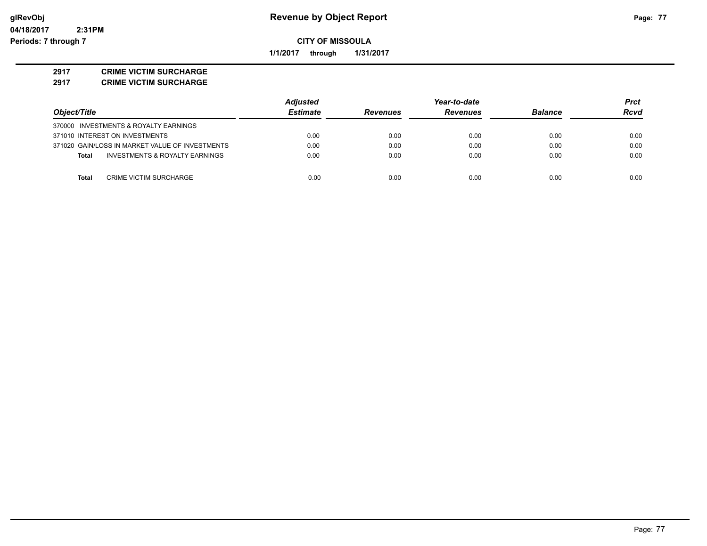**1/1/2017 through 1/31/2017**

**2917 CRIME VICTIM SURCHARGE 2917 CRIME VICTIM SURCHARGE**

|                                                 | <b>Adjusted</b> |                 | Year-to-date    |                | Prct        |
|-------------------------------------------------|-----------------|-----------------|-----------------|----------------|-------------|
| Object/Title                                    | <b>Estimate</b> | <b>Revenues</b> | <b>Revenues</b> | <b>Balance</b> | <b>Rcvd</b> |
| 370000 INVESTMENTS & ROYALTY EARNINGS           |                 |                 |                 |                |             |
| 371010 INTEREST ON INVESTMENTS                  | 0.00            | 0.00            | 0.00            | 0.00           | 0.00        |
| 371020 GAIN/LOSS IN MARKET VALUE OF INVESTMENTS | 0.00            | 0.00            | 0.00            | 0.00           | 0.00        |
| INVESTMENTS & ROYALTY EARNINGS<br>Total         | 0.00            | 0.00            | 0.00            | 0.00           | 0.00        |
|                                                 |                 |                 |                 |                |             |
| CRIME VICTIM SURCHARGE<br>Total                 | 0.00            | 0.00            | 0.00            | 0.00           | 0.00        |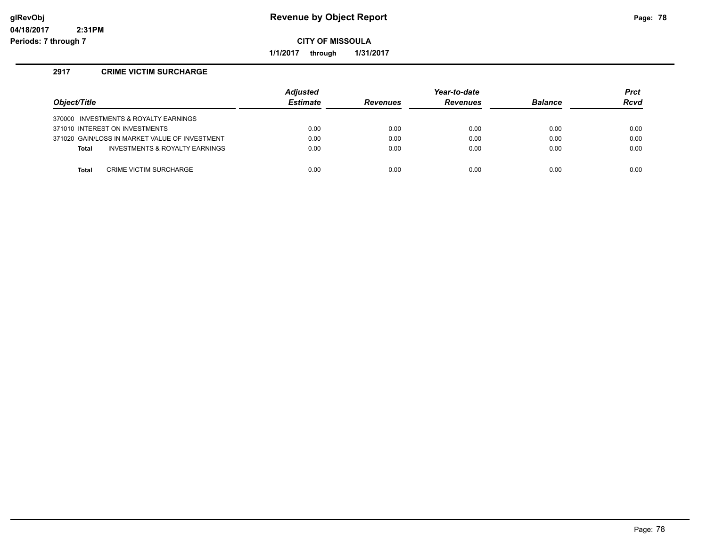**1/1/2017 through 1/31/2017**

#### **2917 CRIME VICTIM SURCHARGE**

|                                                           | <b>Adjusted</b> |                 | <b>Prct</b>     |                |             |
|-----------------------------------------------------------|-----------------|-----------------|-----------------|----------------|-------------|
| Object/Title                                              | <b>Estimate</b> | <b>Revenues</b> | <b>Revenues</b> | <b>Balance</b> | <b>Rcvd</b> |
| 370000 INVESTMENTS & ROYALTY EARNINGS                     |                 |                 |                 |                |             |
| 371010 INTEREST ON INVESTMENTS                            | 0.00            | 0.00            | 0.00            | 0.00           | 0.00        |
| 371020 GAIN/LOSS IN MARKET VALUE OF INVESTMENT            | 0.00            | 0.00            | 0.00            | 0.00           | 0.00        |
| <b>INVESTMENTS &amp; ROYALTY EARNINGS</b><br><b>Total</b> | 0.00            | 0.00            | 0.00            | 0.00           | 0.00        |
| Total<br>CRIME VICTIM SURCHARGE                           | 0.00            | 0.00            | 0.00            | 0.00           | 0.00        |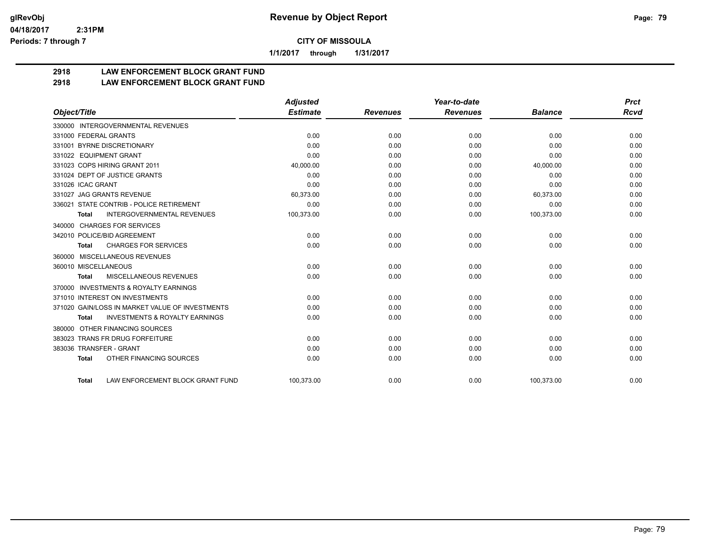**1/1/2017 through 1/31/2017**

#### **2918 LAW ENFORCEMENT BLOCK GRANT FUND 2918 LAW ENFORCEMENT BLOCK GRANT FUND**

|                                                     | <b>Adjusted</b> |                 | Year-to-date    |                | <b>Prct</b> |
|-----------------------------------------------------|-----------------|-----------------|-----------------|----------------|-------------|
| Object/Title                                        | <b>Estimate</b> | <b>Revenues</b> | <b>Revenues</b> | <b>Balance</b> | <b>Rcvd</b> |
| <b>INTERGOVERNMENTAL REVENUES</b><br>330000         |                 |                 |                 |                |             |
| 331000 FEDERAL GRANTS                               | 0.00            | 0.00            | 0.00            | 0.00           | 0.00        |
| 331001 BYRNE DISCRETIONARY                          | 0.00            | 0.00            | 0.00            | 0.00           | 0.00        |
| 331022 EQUIPMENT GRANT                              | 0.00            | 0.00            | 0.00            | 0.00           | 0.00        |
| 331023 COPS HIRING GRANT 2011                       | 40,000.00       | 0.00            | 0.00            | 40,000.00      | 0.00        |
| 331024 DEPT OF JUSTICE GRANTS                       | 0.00            | 0.00            | 0.00            | 0.00           | 0.00        |
| 331026 ICAC GRANT                                   | 0.00            | 0.00            | 0.00            | 0.00           | 0.00        |
| 331027 JAG GRANTS REVENUE                           | 60,373.00       | 0.00            | 0.00            | 60,373.00      | 0.00        |
| 336021 STATE CONTRIB - POLICE RETIREMENT            | 0.00            | 0.00            | 0.00            | 0.00           | 0.00        |
| <b>INTERGOVERNMENTAL REVENUES</b><br><b>Total</b>   | 100,373.00      | 0.00            | 0.00            | 100,373.00     | 0.00        |
| <b>CHARGES FOR SERVICES</b><br>340000               |                 |                 |                 |                |             |
| 342010 POLICE/BID AGREEMENT                         | 0.00            | 0.00            | 0.00            | 0.00           | 0.00        |
| <b>CHARGES FOR SERVICES</b><br><b>Total</b>         | 0.00            | 0.00            | 0.00            | 0.00           | 0.00        |
| MISCELLANEOUS REVENUES<br>360000                    |                 |                 |                 |                |             |
| 360010 MISCELLANEOUS                                | 0.00            | 0.00            | 0.00            | 0.00           | 0.00        |
| MISCELLANEOUS REVENUES<br>Total                     | 0.00            | 0.00            | 0.00            | 0.00           | 0.00        |
| <b>INVESTMENTS &amp; ROYALTY EARNINGS</b><br>370000 |                 |                 |                 |                |             |
| 371010 INTEREST ON INVESTMENTS                      | 0.00            | 0.00            | 0.00            | 0.00           | 0.00        |
| 371020 GAIN/LOSS IN MARKET VALUE OF INVESTMENTS     | 0.00            | 0.00            | 0.00            | 0.00           | 0.00        |
| <b>INVESTMENTS &amp; ROYALTY EARNINGS</b><br>Total  | 0.00            | 0.00            | 0.00            | 0.00           | 0.00        |
| OTHER FINANCING SOURCES<br>380000                   |                 |                 |                 |                |             |
| 383023 TRANS FR DRUG FORFEITURE                     | 0.00            | 0.00            | 0.00            | 0.00           | 0.00        |
| 383036 TRANSFER - GRANT                             | 0.00            | 0.00            | 0.00            | 0.00           | 0.00        |
| OTHER FINANCING SOURCES<br><b>Total</b>             | 0.00            | 0.00            | 0.00            | 0.00           | 0.00        |
|                                                     |                 |                 |                 |                |             |
| LAW ENFORCEMENT BLOCK GRANT FUND<br><b>Total</b>    | 100,373.00      | 0.00            | 0.00            | 100,373.00     | 0.00        |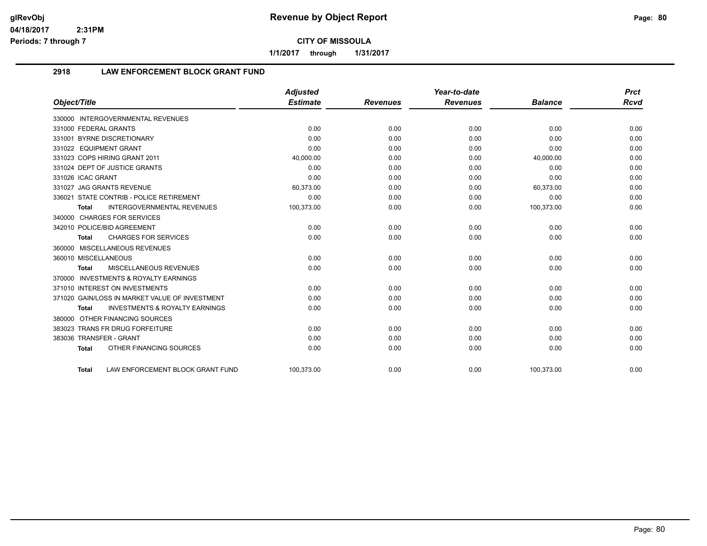**1/1/2017 through 1/31/2017**

#### **2918 LAW ENFORCEMENT BLOCK GRANT FUND**

|                                                           | <b>Adjusted</b> |                 | Year-to-date    |                | <b>Prct</b> |
|-----------------------------------------------------------|-----------------|-----------------|-----------------|----------------|-------------|
| Object/Title                                              | <b>Estimate</b> | <b>Revenues</b> | <b>Revenues</b> | <b>Balance</b> | <b>Rcvd</b> |
| 330000 INTERGOVERNMENTAL REVENUES                         |                 |                 |                 |                |             |
| 331000 FEDERAL GRANTS                                     | 0.00            | 0.00            | 0.00            | 0.00           | 0.00        |
| 331001 BYRNE DISCRETIONARY                                | 0.00            | 0.00            | 0.00            | 0.00           | 0.00        |
| 331022 EQUIPMENT GRANT                                    | 0.00            | 0.00            | 0.00            | 0.00           | 0.00        |
| 331023 COPS HIRING GRANT 2011                             | 40,000.00       | 0.00            | 0.00            | 40,000.00      | 0.00        |
| 331024 DEPT OF JUSTICE GRANTS                             | 0.00            | 0.00            | 0.00            | 0.00           | 0.00        |
| 331026 ICAC GRANT                                         | 0.00            | 0.00            | 0.00            | 0.00           | 0.00        |
| 331027 JAG GRANTS REVENUE                                 | 60,373.00       | 0.00            | 0.00            | 60,373.00      | 0.00        |
| 336021 STATE CONTRIB - POLICE RETIREMENT                  | 0.00            | 0.00            | 0.00            | 0.00           | 0.00        |
| <b>INTERGOVERNMENTAL REVENUES</b><br><b>Total</b>         | 100,373.00      | 0.00            | 0.00            | 100,373.00     | 0.00        |
| 340000 CHARGES FOR SERVICES                               |                 |                 |                 |                |             |
| 342010 POLICE/BID AGREEMENT                               | 0.00            | 0.00            | 0.00            | 0.00           | 0.00        |
| <b>CHARGES FOR SERVICES</b><br>Total                      | 0.00            | 0.00            | 0.00            | 0.00           | 0.00        |
| 360000 MISCELLANEOUS REVENUES                             |                 |                 |                 |                |             |
| 360010 MISCELLANEOUS                                      | 0.00            | 0.00            | 0.00            | 0.00           | 0.00        |
| <b>MISCELLANEOUS REVENUES</b><br><b>Total</b>             | 0.00            | 0.00            | 0.00            | 0.00           | 0.00        |
| <b>INVESTMENTS &amp; ROYALTY EARNINGS</b><br>370000       |                 |                 |                 |                |             |
| 371010 INTEREST ON INVESTMENTS                            | 0.00            | 0.00            | 0.00            | 0.00           | 0.00        |
| 371020 GAIN/LOSS IN MARKET VALUE OF INVESTMENT            | 0.00            | 0.00            | 0.00            | 0.00           | 0.00        |
| <b>INVESTMENTS &amp; ROYALTY EARNINGS</b><br><b>Total</b> | 0.00            | 0.00            | 0.00            | 0.00           | 0.00        |
| 380000 OTHER FINANCING SOURCES                            |                 |                 |                 |                |             |
| 383023 TRANS FR DRUG FORFEITURE                           | 0.00            | 0.00            | 0.00            | 0.00           | 0.00        |
| 383036 TRANSFER - GRANT                                   | 0.00            | 0.00            | 0.00            | 0.00           | 0.00        |
| OTHER FINANCING SOURCES<br><b>Total</b>                   | 0.00            | 0.00            | 0.00            | 0.00           | 0.00        |
| LAW ENFORCEMENT BLOCK GRANT FUND<br><b>Total</b>          | 100.373.00      | 0.00            | 0.00            | 100.373.00     | 0.00        |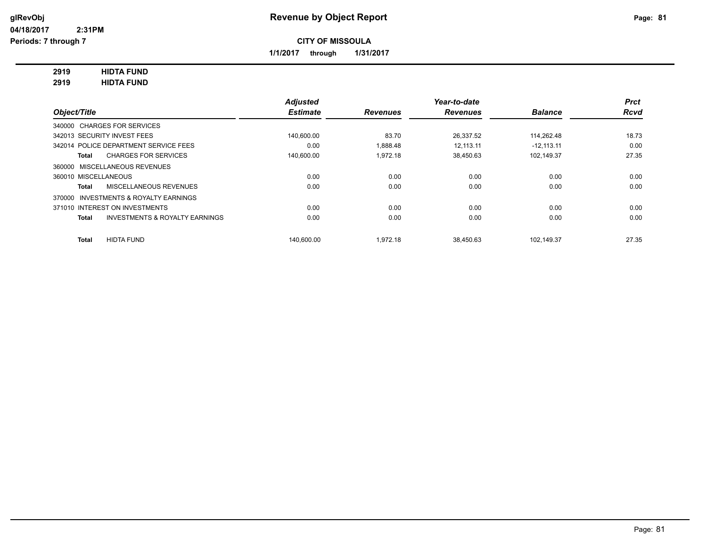**1/1/2017 through 1/31/2017**

## **2919 HIDTA FUND**

**2919 HIDTA FUND**

|                                                    | <b>Adjusted</b> |                 | Year-to-date    |                | <b>Prct</b> |
|----------------------------------------------------|-----------------|-----------------|-----------------|----------------|-------------|
| Object/Title                                       | <b>Estimate</b> | <b>Revenues</b> | <b>Revenues</b> | <b>Balance</b> | <b>Rcvd</b> |
| 340000 CHARGES FOR SERVICES                        |                 |                 |                 |                |             |
| 342013 SECURITY INVEST FEES                        | 140,600.00      | 83.70           | 26,337.52       | 114,262.48     | 18.73       |
| 342014 POLICE DEPARTMENT SERVICE FEES              | 0.00            | 1,888.48        | 12,113.11       | $-12,113.11$   | 0.00        |
| <b>CHARGES FOR SERVICES</b><br>Total               | 140,600.00      | 1.972.18        | 38,450.63       | 102.149.37     | 27.35       |
| 360000 MISCELLANEOUS REVENUES                      |                 |                 |                 |                |             |
| 360010 MISCELLANEOUS                               | 0.00            | 0.00            | 0.00            | 0.00           | 0.00        |
| MISCELLANEOUS REVENUES<br>Total                    | 0.00            | 0.00            | 0.00            | 0.00           | 0.00        |
| 370000 INVESTMENTS & ROYALTY EARNINGS              |                 |                 |                 |                |             |
| 371010 INTEREST ON INVESTMENTS                     | 0.00            | 0.00            | 0.00            | 0.00           | 0.00        |
| <b>INVESTMENTS &amp; ROYALTY EARNINGS</b><br>Total | 0.00            | 0.00            | 0.00            | 0.00           | 0.00        |
| <b>HIDTA FUND</b><br>Total                         | 140.600.00      | 1,972.18        | 38.450.63       | 102.149.37     | 27.35       |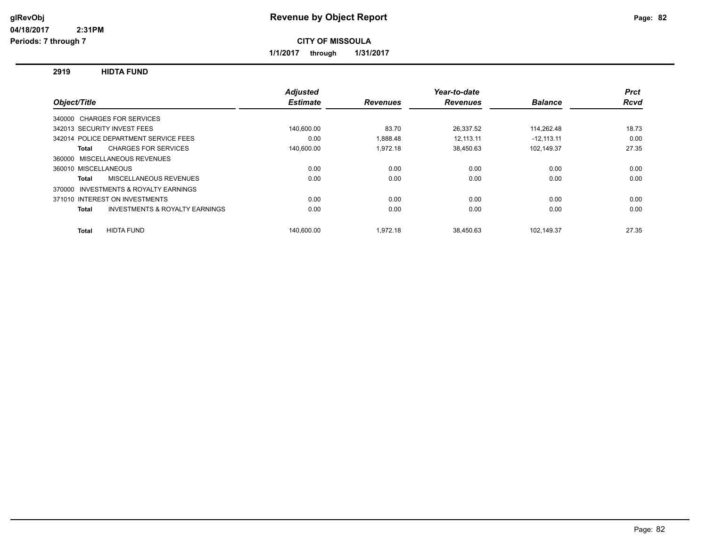**Periods: 7 through 7**

**CITY OF MISSOULA**

**1/1/2017 through 1/31/2017**

**2919 HIDTA FUND**

 **2:31PM**

|                                                           | <b>Adjusted</b> |                 | Year-to-date    |                | <b>Prct</b> |
|-----------------------------------------------------------|-----------------|-----------------|-----------------|----------------|-------------|
| Object/Title                                              | <b>Estimate</b> | <b>Revenues</b> | <b>Revenues</b> | <b>Balance</b> | <b>Rcvd</b> |
| 340000 CHARGES FOR SERVICES                               |                 |                 |                 |                |             |
| 342013 SECURITY INVEST FEES                               | 140,600.00      | 83.70           | 26,337.52       | 114,262.48     | 18.73       |
| 342014 POLICE DEPARTMENT SERVICE FEES                     | 0.00            | 1,888.48        | 12.113.11       | $-12.113.11$   | 0.00        |
| <b>CHARGES FOR SERVICES</b><br>Total                      | 140,600.00      | 1,972.18        | 38,450.63       | 102,149.37     | 27.35       |
| 360000 MISCELLANEOUS REVENUES                             |                 |                 |                 |                |             |
| 360010 MISCELLANEOUS                                      | 0.00            | 0.00            | 0.00            | 0.00           | 0.00        |
| MISCELLANEOUS REVENUES<br><b>Total</b>                    | 0.00            | 0.00            | 0.00            | 0.00           | 0.00        |
| 370000 INVESTMENTS & ROYALTY EARNINGS                     |                 |                 |                 |                |             |
| 371010 INTEREST ON INVESTMENTS                            | 0.00            | 0.00            | 0.00            | 0.00           | 0.00        |
| <b>INVESTMENTS &amp; ROYALTY EARNINGS</b><br><b>Total</b> | 0.00            | 0.00            | 0.00            | 0.00           | 0.00        |
| <b>HIDTA FUND</b><br><b>Total</b>                         | 140.600.00      | 1.972.18        | 38.450.63       | 102.149.37     | 27.35       |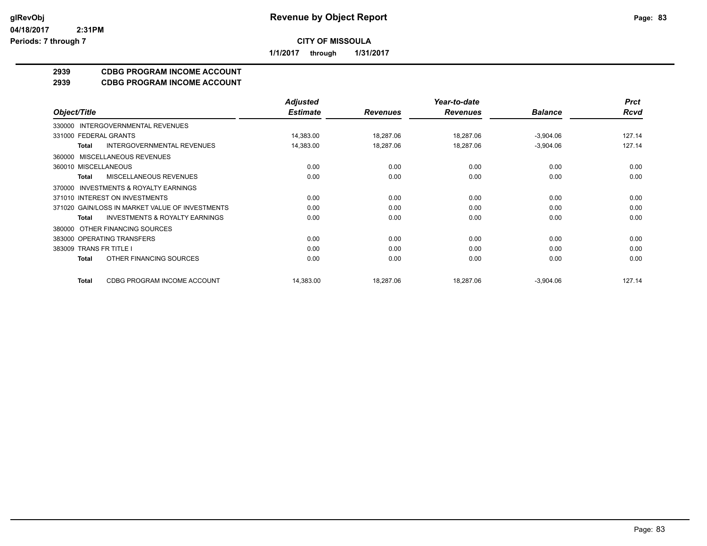**1/1/2017 through 1/31/2017**

# **2939 CDBG PROGRAM INCOME ACCOUNT**

**2939 CDBG PROGRAM INCOME ACCOUNT**

|                                                           | <b>Adjusted</b> |                 | Year-to-date    |                | <b>Prct</b> |
|-----------------------------------------------------------|-----------------|-----------------|-----------------|----------------|-------------|
| Object/Title                                              | <b>Estimate</b> | <b>Revenues</b> | <b>Revenues</b> | <b>Balance</b> | Rcvd        |
| 330000 INTERGOVERNMENTAL REVENUES                         |                 |                 |                 |                |             |
| 331000 FEDERAL GRANTS                                     | 14,383.00       | 18,287.06       | 18,287.06       | $-3,904.06$    | 127.14      |
| INTERGOVERNMENTAL REVENUES<br>Total                       | 14,383.00       | 18,287.06       | 18,287.06       | $-3,904.06$    | 127.14      |
| 360000 MISCELLANEOUS REVENUES                             |                 |                 |                 |                |             |
| 360010 MISCELLANEOUS                                      | 0.00            | 0.00            | 0.00            | 0.00           | 0.00        |
| <b>MISCELLANEOUS REVENUES</b><br><b>Total</b>             | 0.00            | 0.00            | 0.00            | 0.00           | 0.00        |
| 370000 INVESTMENTS & ROYALTY EARNINGS                     |                 |                 |                 |                |             |
| 371010 INTEREST ON INVESTMENTS                            | 0.00            | 0.00            | 0.00            | 0.00           | 0.00        |
| 371020 GAIN/LOSS IN MARKET VALUE OF INVESTMENTS           | 0.00            | 0.00            | 0.00            | 0.00           | 0.00        |
| <b>INVESTMENTS &amp; ROYALTY EARNINGS</b><br><b>Total</b> | 0.00            | 0.00            | 0.00            | 0.00           | 0.00        |
| 380000 OTHER FINANCING SOURCES                            |                 |                 |                 |                |             |
| 383000 OPERATING TRANSFERS                                | 0.00            | 0.00            | 0.00            | 0.00           | 0.00        |
| 383009 TRANS FR TITLE I                                   | 0.00            | 0.00            | 0.00            | 0.00           | 0.00        |
| OTHER FINANCING SOURCES<br>Total                          | 0.00            | 0.00            | 0.00            | 0.00           | 0.00        |
| CDBG PROGRAM INCOME ACCOUNT<br><b>Total</b>               | 14,383.00       | 18,287.06       | 18,287.06       | $-3,904.06$    | 127.14      |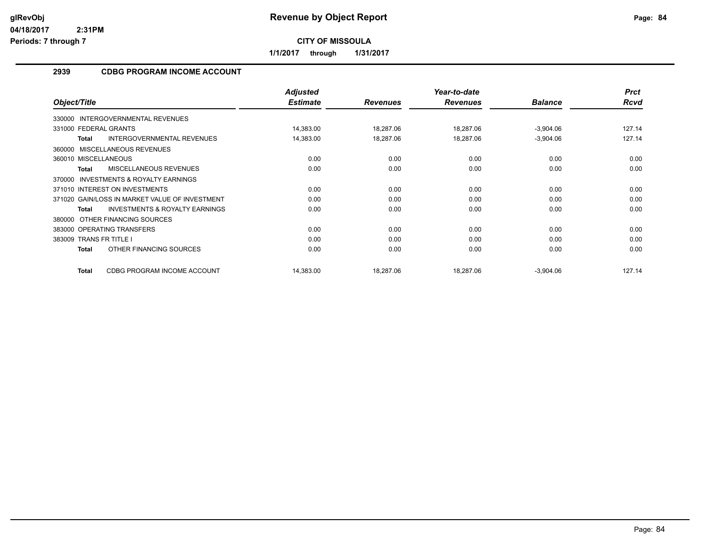**1/1/2017 through 1/31/2017**

#### **2939 CDBG PROGRAM INCOME ACCOUNT**

|                                                           | <b>Adjusted</b> |                 | Year-to-date    |                | <b>Prct</b> |
|-----------------------------------------------------------|-----------------|-----------------|-----------------|----------------|-------------|
| Object/Title                                              | <b>Estimate</b> | <b>Revenues</b> | <b>Revenues</b> | <b>Balance</b> | <b>Rcvd</b> |
| 330000 INTERGOVERNMENTAL REVENUES                         |                 |                 |                 |                |             |
| 331000 FEDERAL GRANTS                                     | 14,383.00       | 18,287.06       | 18,287.06       | $-3,904.06$    | 127.14      |
| <b>INTERGOVERNMENTAL REVENUES</b><br><b>Total</b>         | 14,383.00       | 18,287.06       | 18,287.06       | $-3,904.06$    | 127.14      |
| 360000 MISCELLANEOUS REVENUES                             |                 |                 |                 |                |             |
| 360010 MISCELLANEOUS                                      | 0.00            | 0.00            | 0.00            | 0.00           | 0.00        |
| MISCELLANEOUS REVENUES<br><b>Total</b>                    | 0.00            | 0.00            | 0.00            | 0.00           | 0.00        |
| 370000 INVESTMENTS & ROYALTY EARNINGS                     |                 |                 |                 |                |             |
| 371010 INTEREST ON INVESTMENTS                            | 0.00            | 0.00            | 0.00            | 0.00           | 0.00        |
| 371020 GAIN/LOSS IN MARKET VALUE OF INVESTMENT            | 0.00            | 0.00            | 0.00            | 0.00           | 0.00        |
| <b>INVESTMENTS &amp; ROYALTY EARNINGS</b><br><b>Total</b> | 0.00            | 0.00            | 0.00            | 0.00           | 0.00        |
| 380000 OTHER FINANCING SOURCES                            |                 |                 |                 |                |             |
| 383000 OPERATING TRANSFERS                                | 0.00            | 0.00            | 0.00            | 0.00           | 0.00        |
| 383009 TRANS FR TITLE I                                   | 0.00            | 0.00            | 0.00            | 0.00           | 0.00        |
| OTHER FINANCING SOURCES<br><b>Total</b>                   | 0.00            | 0.00            | 0.00            | 0.00           | 0.00        |
| CDBG PROGRAM INCOME ACCOUNT<br><b>Total</b>               | 14,383.00       | 18,287.06       | 18,287.06       | $-3,904.06$    | 127.14      |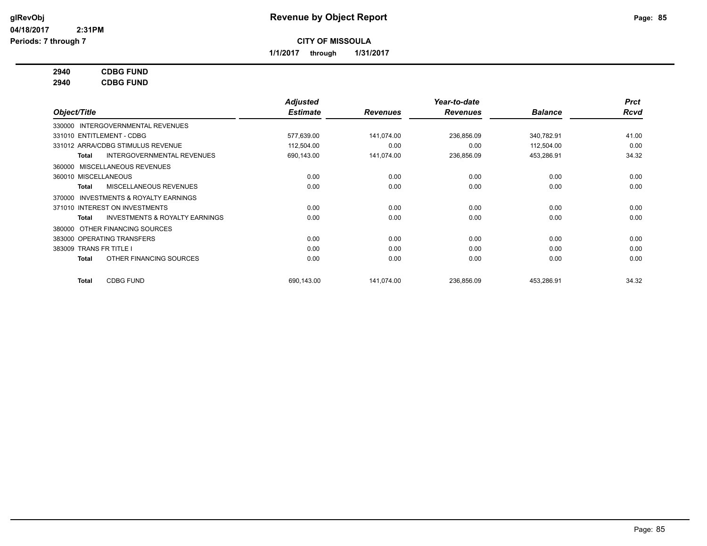**1/1/2017 through 1/31/2017**

## **2940 CDBG FUND**

**2940 CDBG FUND**

|                                                    | <b>Adjusted</b> |                 | Year-to-date    |                | <b>Prct</b> |
|----------------------------------------------------|-----------------|-----------------|-----------------|----------------|-------------|
| Object/Title                                       | <b>Estimate</b> | <b>Revenues</b> | <b>Revenues</b> | <b>Balance</b> | Rcvd        |
| 330000 INTERGOVERNMENTAL REVENUES                  |                 |                 |                 |                |             |
| 331010 ENTITLEMENT - CDBG                          | 577,639.00      | 141,074.00      | 236,856.09      | 340,782.91     | 41.00       |
| 331012 ARRA/CDBG STIMULUS REVENUE                  | 112,504.00      | 0.00            | 0.00            | 112,504.00     | 0.00        |
| <b>INTERGOVERNMENTAL REVENUES</b><br><b>Total</b>  | 690,143.00      | 141,074.00      | 236,856.09      | 453,286.91     | 34.32       |
| 360000 MISCELLANEOUS REVENUES                      |                 |                 |                 |                |             |
| 360010 MISCELLANEOUS                               | 0.00            | 0.00            | 0.00            | 0.00           | 0.00        |
| MISCELLANEOUS REVENUES<br>Total                    | 0.00            | 0.00            | 0.00            | 0.00           | 0.00        |
| 370000 INVESTMENTS & ROYALTY EARNINGS              |                 |                 |                 |                |             |
| 371010 INTEREST ON INVESTMENTS                     | 0.00            | 0.00            | 0.00            | 0.00           | 0.00        |
| <b>INVESTMENTS &amp; ROYALTY EARNINGS</b><br>Total | 0.00            | 0.00            | 0.00            | 0.00           | 0.00        |
| 380000 OTHER FINANCING SOURCES                     |                 |                 |                 |                |             |
| 383000 OPERATING TRANSFERS                         | 0.00            | 0.00            | 0.00            | 0.00           | 0.00        |
| 383009 TRANS FR TITLE I                            | 0.00            | 0.00            | 0.00            | 0.00           | 0.00        |
| OTHER FINANCING SOURCES<br><b>Total</b>            | 0.00            | 0.00            | 0.00            | 0.00           | 0.00        |
| <b>CDBG FUND</b><br><b>Total</b>                   | 690,143.00      | 141,074.00      | 236,856.09      | 453,286.91     | 34.32       |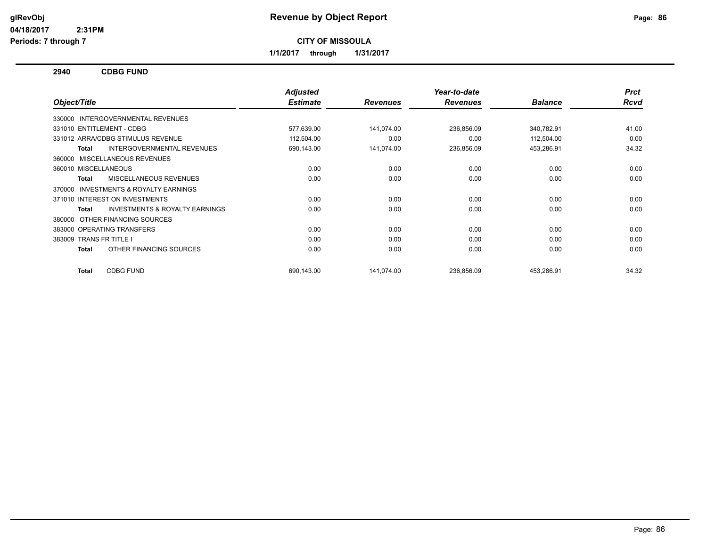**Periods: 7 through 7**

**CITY OF MISSOULA**

**1/1/2017 through 1/31/2017**

#### **2940 CDBG FUND**

|                                                           | <b>Adjusted</b> |                 | Year-to-date    |                | <b>Prct</b> |
|-----------------------------------------------------------|-----------------|-----------------|-----------------|----------------|-------------|
| Object/Title                                              | <b>Estimate</b> | <b>Revenues</b> | <b>Revenues</b> | <b>Balance</b> | Rcvd        |
| 330000 INTERGOVERNMENTAL REVENUES                         |                 |                 |                 |                |             |
| 331010 ENTITLEMENT - CDBG                                 | 577,639.00      | 141,074.00      | 236,856.09      | 340,782.91     | 41.00       |
| 331012 ARRA/CDBG STIMULUS REVENUE                         | 112,504.00      | 0.00            | 0.00            | 112,504.00     | 0.00        |
| <b>INTERGOVERNMENTAL REVENUES</b><br><b>Total</b>         | 690,143.00      | 141,074.00      | 236,856.09      | 453,286.91     | 34.32       |
| MISCELLANEOUS REVENUES<br>360000                          |                 |                 |                 |                |             |
| 360010 MISCELLANEOUS                                      | 0.00            | 0.00            | 0.00            | 0.00           | 0.00        |
| MISCELLANEOUS REVENUES<br><b>Total</b>                    | 0.00            | 0.00            | 0.00            | 0.00           | 0.00        |
| <b>INVESTMENTS &amp; ROYALTY EARNINGS</b><br>370000       |                 |                 |                 |                |             |
| 371010 INTEREST ON INVESTMENTS                            | 0.00            | 0.00            | 0.00            | 0.00           | 0.00        |
| <b>INVESTMENTS &amp; ROYALTY EARNINGS</b><br><b>Total</b> | 0.00            | 0.00            | 0.00            | 0.00           | 0.00        |
| OTHER FINANCING SOURCES<br>380000                         |                 |                 |                 |                |             |
| 383000 OPERATING TRANSFERS                                | 0.00            | 0.00            | 0.00            | 0.00           | 0.00        |
| 383009 TRANS FR TITLE I                                   | 0.00            | 0.00            | 0.00            | 0.00           | 0.00        |
| OTHER FINANCING SOURCES<br><b>Total</b>                   | 0.00            | 0.00            | 0.00            | 0.00           | 0.00        |
| <b>CDBG FUND</b><br><b>Total</b>                          | 690,143.00      | 141,074.00      | 236,856.09      | 453,286.91     | 34.32       |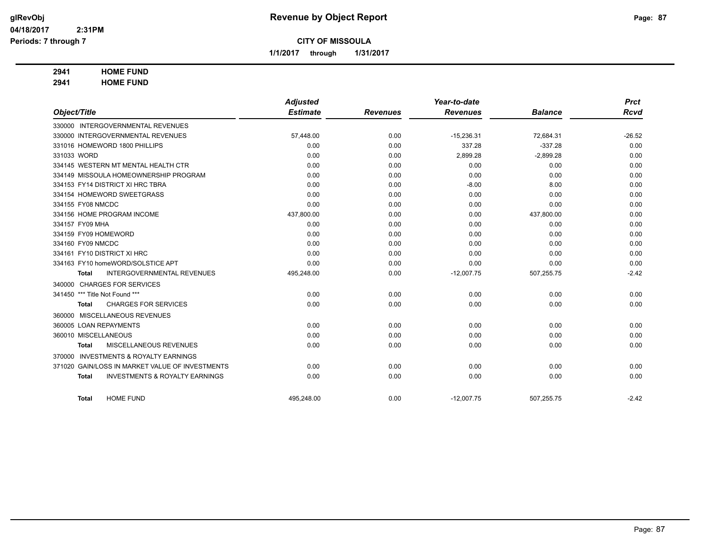**1/1/2017 through 1/31/2017**

## **2941 HOME FUND**

**2941 HOME FUND**

|                                                           | <b>Adjusted</b> |                 | Year-to-date    |                | <b>Prct</b> |
|-----------------------------------------------------------|-----------------|-----------------|-----------------|----------------|-------------|
| Object/Title                                              | <b>Estimate</b> | <b>Revenues</b> | <b>Revenues</b> | <b>Balance</b> | Rcvd        |
| 330000 INTERGOVERNMENTAL REVENUES                         |                 |                 |                 |                |             |
| 330000 INTERGOVERNMENTAL REVENUES                         | 57,448.00       | 0.00            | $-15,236.31$    | 72,684.31      | $-26.52$    |
| 331016 HOMEWORD 1800 PHILLIPS                             | 0.00            | 0.00            | 337.28          | $-337.28$      | 0.00        |
| 331033 WORD                                               | 0.00            | 0.00            | 2,899.28        | $-2,899.28$    | 0.00        |
| 334145 WESTERN MT MENTAL HEALTH CTR                       | 0.00            | 0.00            | 0.00            | 0.00           | 0.00        |
| 334149 MISSOULA HOMEOWNERSHIP PROGRAM                     | 0.00            | 0.00            | 0.00            | 0.00           | 0.00        |
| 334153 FY14 DISTRICT XI HRC TBRA                          | 0.00            | 0.00            | $-8.00$         | 8.00           | 0.00        |
| 334154 HOMEWORD SWEETGRASS                                | 0.00            | 0.00            | 0.00            | 0.00           | 0.00        |
| 334155 FY08 NMCDC                                         | 0.00            | 0.00            | 0.00            | 0.00           | 0.00        |
| 334156 HOME PROGRAM INCOME                                | 437,800.00      | 0.00            | 0.00            | 437,800.00     | 0.00        |
| 334157 FY09 MHA                                           | 0.00            | 0.00            | 0.00            | 0.00           | 0.00        |
| 334159 FY09 HOMEWORD                                      | 0.00            | 0.00            | 0.00            | 0.00           | 0.00        |
| 334160 FY09 NMCDC                                         | 0.00            | 0.00            | 0.00            | 0.00           | 0.00        |
| 334161 FY10 DISTRICT XI HRC                               | 0.00            | 0.00            | 0.00            | 0.00           | 0.00        |
| 334163 FY10 homeWORD/SOLSTICE APT                         | 0.00            | 0.00            | 0.00            | 0.00           | 0.00        |
| INTERGOVERNMENTAL REVENUES<br><b>Total</b>                | 495,248.00      | 0.00            | $-12,007.75$    | 507,255.75     | $-2.42$     |
| 340000 CHARGES FOR SERVICES                               |                 |                 |                 |                |             |
| 341450 *** Title Not Found ***                            | 0.00            | 0.00            | 0.00            | 0.00           | 0.00        |
| <b>CHARGES FOR SERVICES</b><br><b>Total</b>               | 0.00            | 0.00            | 0.00            | 0.00           | 0.00        |
| 360000 MISCELLANEOUS REVENUES                             |                 |                 |                 |                |             |
| 360005 LOAN REPAYMENTS                                    | 0.00            | 0.00            | 0.00            | 0.00           | 0.00        |
| 360010 MISCELLANEOUS                                      | 0.00            | 0.00            | 0.00            | 0.00           | 0.00        |
| <b>MISCELLANEOUS REVENUES</b><br><b>Total</b>             | 0.00            | 0.00            | 0.00            | 0.00           | 0.00        |
| 370000 INVESTMENTS & ROYALTY EARNINGS                     |                 |                 |                 |                |             |
| 371020 GAIN/LOSS IN MARKET VALUE OF INVESTMENTS           | 0.00            | 0.00            | 0.00            | 0.00           | 0.00        |
| <b>INVESTMENTS &amp; ROYALTY EARNINGS</b><br><b>Total</b> | 0.00            | 0.00            | 0.00            | 0.00           | 0.00        |
| <b>HOME FUND</b><br><b>Total</b>                          | 495,248.00      | 0.00            | $-12,007.75$    | 507,255.75     | $-2.42$     |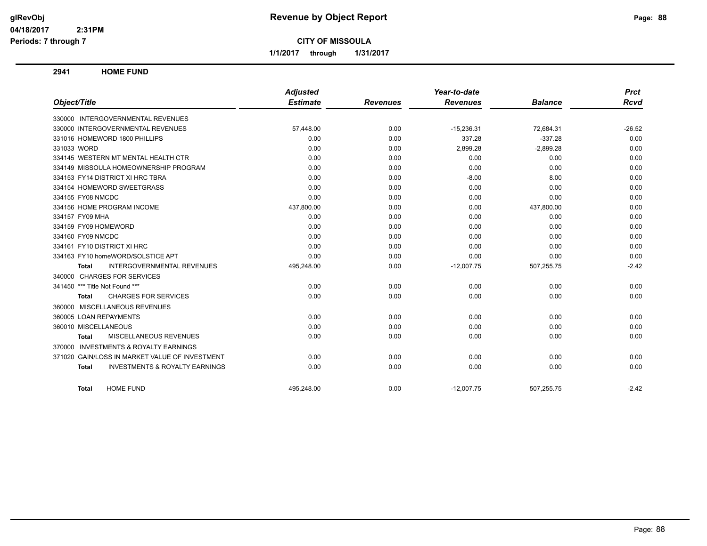**1/1/2017 through 1/31/2017**

#### **2941 HOME FUND**

|                                                           | <b>Adjusted</b> |                 | Year-to-date    |                | <b>Prct</b> |
|-----------------------------------------------------------|-----------------|-----------------|-----------------|----------------|-------------|
| Object/Title                                              | <b>Estimate</b> | <b>Revenues</b> | <b>Revenues</b> | <b>Balance</b> | <b>Rcvd</b> |
| 330000 INTERGOVERNMENTAL REVENUES                         |                 |                 |                 |                |             |
| 330000 INTERGOVERNMENTAL REVENUES                         | 57,448.00       | 0.00            | $-15,236.31$    | 72,684.31      | $-26.52$    |
| 331016 HOMEWORD 1800 PHILLIPS                             | 0.00            | 0.00            | 337.28          | $-337.28$      | 0.00        |
| 331033 WORD                                               | 0.00            | 0.00            | 2,899.28        | $-2,899.28$    | 0.00        |
| 334145 WESTERN MT MENTAL HEALTH CTR                       | 0.00            | 0.00            | 0.00            | 0.00           | 0.00        |
| 334149 MISSOULA HOMEOWNERSHIP PROGRAM                     | 0.00            | 0.00            | 0.00            | 0.00           | 0.00        |
| 334153 FY14 DISTRICT XI HRC TBRA                          | 0.00            | 0.00            | $-8.00$         | 8.00           | 0.00        |
| 334154 HOMEWORD SWEETGRASS                                | 0.00            | 0.00            | 0.00            | 0.00           | 0.00        |
| 334155 FY08 NMCDC                                         | 0.00            | 0.00            | 0.00            | 0.00           | 0.00        |
| 334156 HOME PROGRAM INCOME                                | 437,800.00      | 0.00            | 0.00            | 437,800.00     | 0.00        |
| 334157 FY09 MHA                                           | 0.00            | 0.00            | 0.00            | 0.00           | 0.00        |
| 334159 FY09 HOMEWORD                                      | 0.00            | 0.00            | 0.00            | 0.00           | 0.00        |
| 334160 FY09 NMCDC                                         | 0.00            | 0.00            | 0.00            | 0.00           | 0.00        |
| 334161 FY10 DISTRICT XI HRC                               | 0.00            | 0.00            | 0.00            | 0.00           | 0.00        |
| 334163 FY10 homeWORD/SOLSTICE APT                         | 0.00            | 0.00            | 0.00            | 0.00           | 0.00        |
| <b>INTERGOVERNMENTAL REVENUES</b><br>Total                | 495,248.00      | 0.00            | $-12,007.75$    | 507,255.75     | $-2.42$     |
| 340000 CHARGES FOR SERVICES                               |                 |                 |                 |                |             |
| 341450 *** Title Not Found ***                            | 0.00            | 0.00            | 0.00            | 0.00           | 0.00        |
| <b>CHARGES FOR SERVICES</b><br>Total                      | 0.00            | 0.00            | 0.00            | 0.00           | 0.00        |
| 360000 MISCELLANEOUS REVENUES                             |                 |                 |                 |                |             |
| 360005 LOAN REPAYMENTS                                    | 0.00            | 0.00            | 0.00            | 0.00           | 0.00        |
| 360010 MISCELLANEOUS                                      | 0.00            | 0.00            | 0.00            | 0.00           | 0.00        |
| MISCELLANEOUS REVENUES<br>Total                           | 0.00            | 0.00            | 0.00            | 0.00           | 0.00        |
| 370000 INVESTMENTS & ROYALTY EARNINGS                     |                 |                 |                 |                |             |
| 371020 GAIN/LOSS IN MARKET VALUE OF INVESTMENT            | 0.00            | 0.00            | 0.00            | 0.00           | 0.00        |
| <b>INVESTMENTS &amp; ROYALTY EARNINGS</b><br><b>Total</b> | 0.00            | 0.00            | 0.00            | 0.00           | 0.00        |
|                                                           |                 |                 |                 |                |             |
| <b>HOME FUND</b><br><b>Total</b>                          | 495,248.00      | 0.00            | $-12,007.75$    | 507,255.75     | $-2.42$     |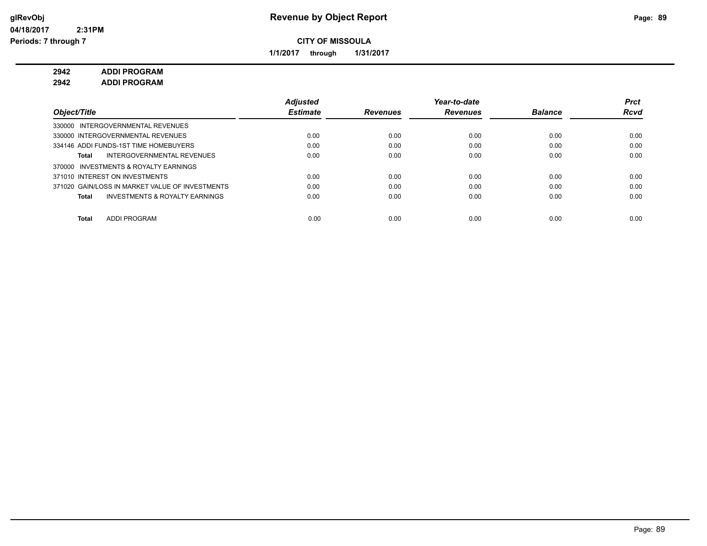**1/1/2017 through 1/31/2017**

**2942 ADDI PROGRAM 2942 ADDI PROGRAM**

|                                                    | <b>Adjusted</b> |                 | Year-to-date    |                | <b>Prct</b> |
|----------------------------------------------------|-----------------|-----------------|-----------------|----------------|-------------|
| Object/Title                                       | <b>Estimate</b> | <b>Revenues</b> | <b>Revenues</b> | <b>Balance</b> | Rcvd        |
| 330000 INTERGOVERNMENTAL REVENUES                  |                 |                 |                 |                |             |
| 330000 INTERGOVERNMENTAL REVENUES                  | 0.00            | 0.00            | 0.00            | 0.00           | 0.00        |
| 334146 ADDI FUNDS-1ST TIME HOMEBUYERS              | 0.00            | 0.00            | 0.00            | 0.00           | 0.00        |
| INTERGOVERNMENTAL REVENUES<br>Total                | 0.00            | 0.00            | 0.00            | 0.00           | 0.00        |
| 370000 INVESTMENTS & ROYALTY EARNINGS              |                 |                 |                 |                |             |
| 371010 INTEREST ON INVESTMENTS                     | 0.00            | 0.00            | 0.00            | 0.00           | 0.00        |
| 371020 GAIN/LOSS IN MARKET VALUE OF INVESTMENTS    | 0.00            | 0.00            | 0.00            | 0.00           | 0.00        |
| <b>INVESTMENTS &amp; ROYALTY EARNINGS</b><br>Total | 0.00            | 0.00            | 0.00            | 0.00           | 0.00        |
| ADDI PROGRAM<br><b>Total</b>                       | 0.00            | 0.00            | 0.00            | 0.00           | 0.00        |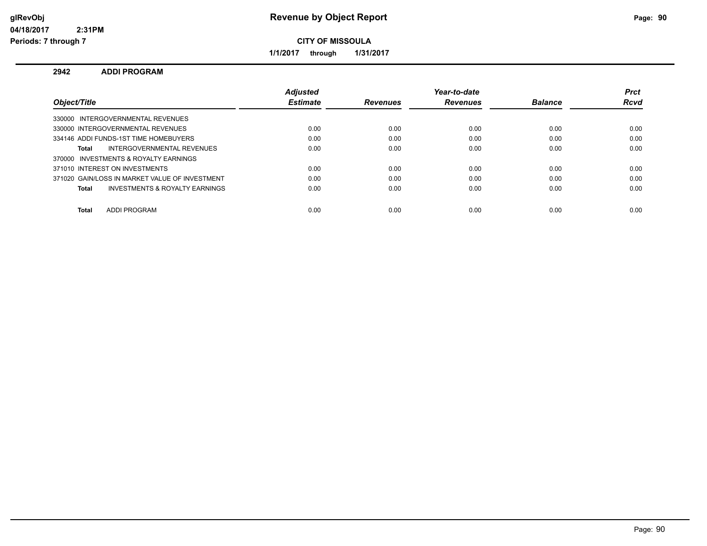**1/1/2017 through 1/31/2017**

#### **2942 ADDI PROGRAM**

|                                                | <b>Adiusted</b> |                 | Year-to-date    |                | <b>Prct</b> |
|------------------------------------------------|-----------------|-----------------|-----------------|----------------|-------------|
| Obiect/Title                                   | <b>Estimate</b> | <b>Revenues</b> | <b>Revenues</b> | <b>Balance</b> | <b>Rcvd</b> |
| 330000 INTERGOVERNMENTAL REVENUES              |                 |                 |                 |                |             |
| 330000 INTERGOVERNMENTAL REVENUES              | 0.00            | 0.00            | 0.00            | 0.00           | 0.00        |
| 334146 ADDI FUNDS-1ST TIME HOMEBUYERS          | 0.00            | 0.00            | 0.00            | 0.00           | 0.00        |
| INTERGOVERNMENTAL REVENUES<br>Total            | 0.00            | 0.00            | 0.00            | 0.00           | 0.00        |
| 370000 INVESTMENTS & ROYALTY EARNINGS          |                 |                 |                 |                |             |
| 371010 INTEREST ON INVESTMENTS                 | 0.00            | 0.00            | 0.00            | 0.00           | 0.00        |
| 371020 GAIN/LOSS IN MARKET VALUE OF INVESTMENT | 0.00            | 0.00            | 0.00            | 0.00           | 0.00        |
| INVESTMENTS & ROYALTY EARNINGS<br>Total        | 0.00            | 0.00            | 0.00            | 0.00           | 0.00        |
| <b>ADDI PROGRAM</b><br>Total                   | 0.00            | 0.00            | 0.00            | 0.00           | 0.00        |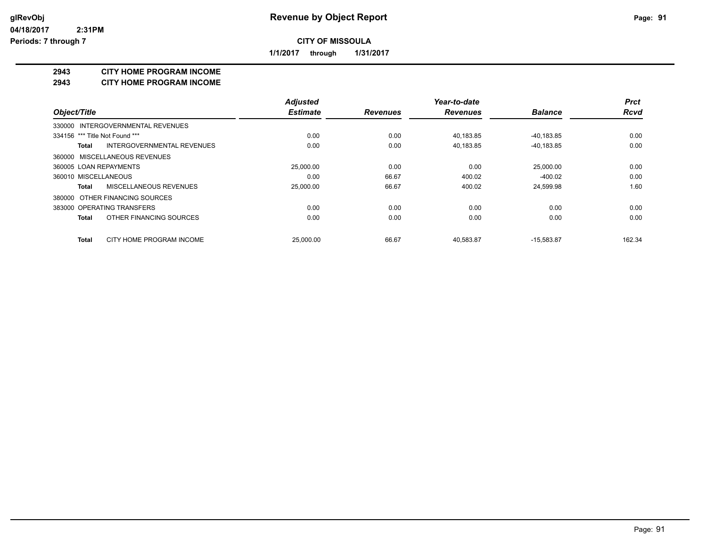**1/1/2017 through 1/31/2017**

### **2943 CITY HOME PROGRAM INCOME**

#### **2943 CITY HOME PROGRAM INCOME**

|                                            | <b>Adjusted</b> |                 | Year-to-date    |                | <b>Prct</b> |
|--------------------------------------------|-----------------|-----------------|-----------------|----------------|-------------|
| Object/Title                               | <b>Estimate</b> | <b>Revenues</b> | <b>Revenues</b> | <b>Balance</b> | Rcvd        |
| INTERGOVERNMENTAL REVENUES<br>330000       |                 |                 |                 |                |             |
| 334156 *** Title Not Found ***             | 0.00            | 0.00            | 40,183.85       | $-40,183.85$   | 0.00        |
| <b>INTERGOVERNMENTAL REVENUES</b><br>Total | 0.00            | 0.00            | 40,183.85       | $-40,183.85$   | 0.00        |
| 360000 MISCELLANEOUS REVENUES              |                 |                 |                 |                |             |
| 360005 LOAN REPAYMENTS                     | 25.000.00       | 0.00            | 0.00            | 25,000.00      | 0.00        |
| 360010 MISCELLANEOUS                       | 0.00            | 66.67           | 400.02          | $-400.02$      | 0.00        |
| MISCELLANEOUS REVENUES<br>Total            | 25,000.00       | 66.67           | 400.02          | 24,599.98      | 1.60        |
| 380000 OTHER FINANCING SOURCES             |                 |                 |                 |                |             |
| 383000 OPERATING TRANSFERS                 | 0.00            | 0.00            | 0.00            | 0.00           | 0.00        |
| OTHER FINANCING SOURCES<br>Total           | 0.00            | 0.00            | 0.00            | 0.00           | 0.00        |
| CITY HOME PROGRAM INCOME<br><b>Total</b>   | 25,000.00       | 66.67           | 40.583.87       | $-15.583.87$   | 162.34      |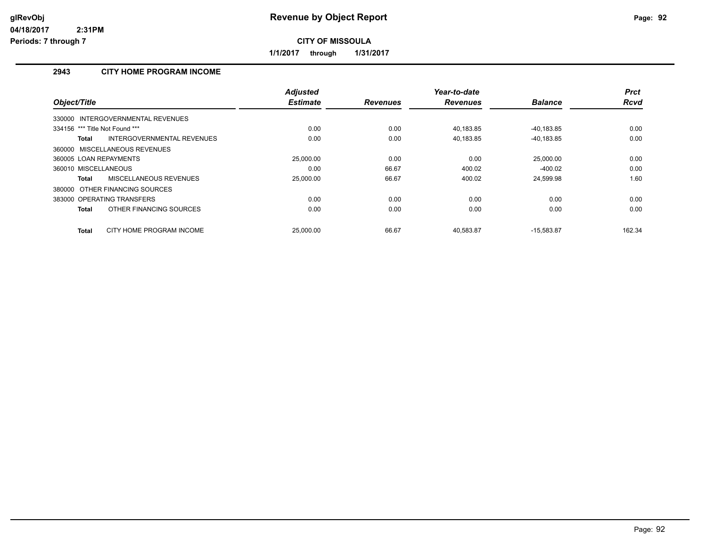**1/1/2017 through 1/31/2017**

#### **2943 CITY HOME PROGRAM INCOME**

|                                          | <b>Adjusted</b> |                 | Year-to-date    |                | <b>Prct</b> |
|------------------------------------------|-----------------|-----------------|-----------------|----------------|-------------|
| Object/Title                             | <b>Estimate</b> | <b>Revenues</b> | <b>Revenues</b> | <b>Balance</b> | <b>Rcvd</b> |
| 330000 INTERGOVERNMENTAL REVENUES        |                 |                 |                 |                |             |
| 334156 *** Title Not Found ***           | 0.00            | 0.00            | 40.183.85       | $-40,183.85$   | 0.00        |
| INTERGOVERNMENTAL REVENUES<br>Total      | 0.00            | 0.00            | 40,183.85       | $-40,183.85$   | 0.00        |
| MISCELLANEOUS REVENUES<br>360000         |                 |                 |                 |                |             |
| 360005 LOAN REPAYMENTS                   | 25,000.00       | 0.00            | 0.00            | 25,000.00      | 0.00        |
| 360010 MISCELLANEOUS                     | 0.00            | 66.67           | 400.02          | $-400.02$      | 0.00        |
| MISCELLANEOUS REVENUES<br>Total          | 25,000.00       | 66.67           | 400.02          | 24,599.98      | 1.60        |
| OTHER FINANCING SOURCES<br>380000        |                 |                 |                 |                |             |
| 383000 OPERATING TRANSFERS               | 0.00            | 0.00            | 0.00            | 0.00           | 0.00        |
| OTHER FINANCING SOURCES<br><b>Total</b>  | 0.00            | 0.00            | 0.00            | 0.00           | 0.00        |
| CITY HOME PROGRAM INCOME<br><b>Total</b> | 25.000.00       | 66.67           | 40.583.87       | $-15.583.87$   | 162.34      |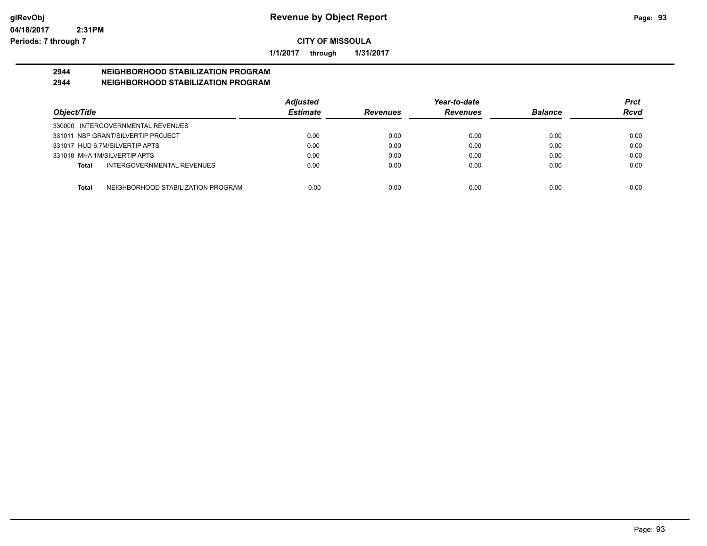**1/1/2017 through 1/31/2017**

#### **2944 NEIGHBORHOOD STABILIZATION PROGRAM 2944 NEIGHBORHOOD STABILIZATION PROGRAM**

| Object/Title |                                    | <b>Adjusted</b><br><b>Estimate</b> | <b>Revenues</b> | Year-to-date<br><b>Revenues</b> | <b>Balance</b> | Prct<br><b>Rcvd</b> |
|--------------|------------------------------------|------------------------------------|-----------------|---------------------------------|----------------|---------------------|
|              |                                    |                                    |                 |                                 |                |                     |
|              | 330000 INTERGOVERNMENTAL REVENUES  |                                    |                 |                                 |                |                     |
|              | 331011 NSP GRANT/SILVERTIP PROJECT | 0.00                               | 0.00            | 0.00                            | 0.00           | 0.00                |
|              | 331017 HUD 6.7M/SILVERTIP APTS     | 0.00                               | 0.00            | 0.00                            | 0.00           | 0.00                |
|              | 331018 MHA 1M/SILVERTIP APTS       | 0.00                               | 0.00            | 0.00                            | 0.00           | 0.00                |
| <b>Total</b> | INTERGOVERNMENTAL REVENUES         | 0.00                               | 0.00            | 0.00                            | 0.00           | 0.00                |
|              |                                    |                                    |                 |                                 |                |                     |
| Total        | NEIGHBORHOOD STABILIZATION PROGRAM | 0.00                               | 0.00            | 0.00                            | 0.00           | 0.00                |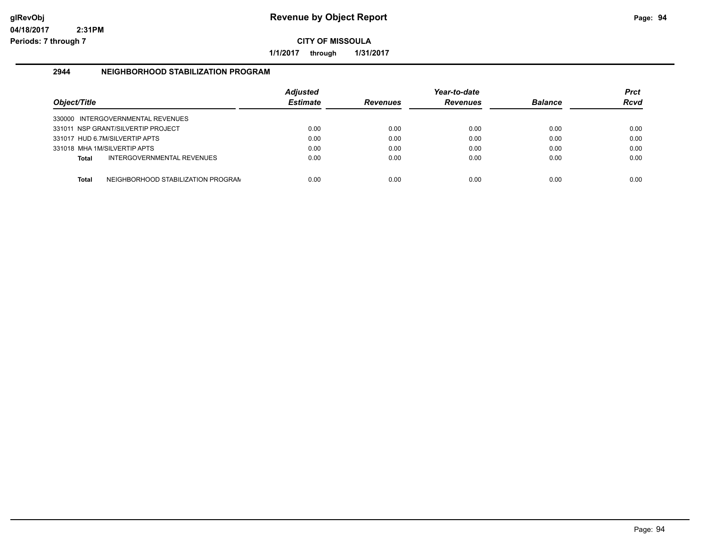**1/1/2017 through 1/31/2017**

#### **2944 NEIGHBORHOOD STABILIZATION PROGRAM**

| Object/Title                                | <b>Adjusted</b><br><b>Estimate</b> | <b>Revenues</b> | Year-to-date<br><b>Revenues</b> | <b>Balance</b> | <b>Prct</b><br><b>Rcvd</b> |
|---------------------------------------------|------------------------------------|-----------------|---------------------------------|----------------|----------------------------|
| 330000 INTERGOVERNMENTAL REVENUES           |                                    |                 |                                 |                |                            |
| 331011 NSP GRANT/SILVERTIP PROJECT          | 0.00                               | 0.00            | 0.00                            | 0.00           | 0.00                       |
| 331017 HUD 6.7M/SILVERTIP APTS              | 0.00                               | 0.00            | 0.00                            | 0.00           | 0.00                       |
| 331018 MHA 1M/SILVERTIP APTS                | 0.00                               | 0.00            | 0.00                            | 0.00           | 0.00                       |
| INTERGOVERNMENTAL REVENUES<br><b>Total</b>  | 0.00                               | 0.00            | 0.00                            | 0.00           | 0.00                       |
| NEIGHBORHOOD STABILIZATION PROGRAM<br>Total | 0.00                               | 0.00            | 0.00                            | 0.00           | 0.00                       |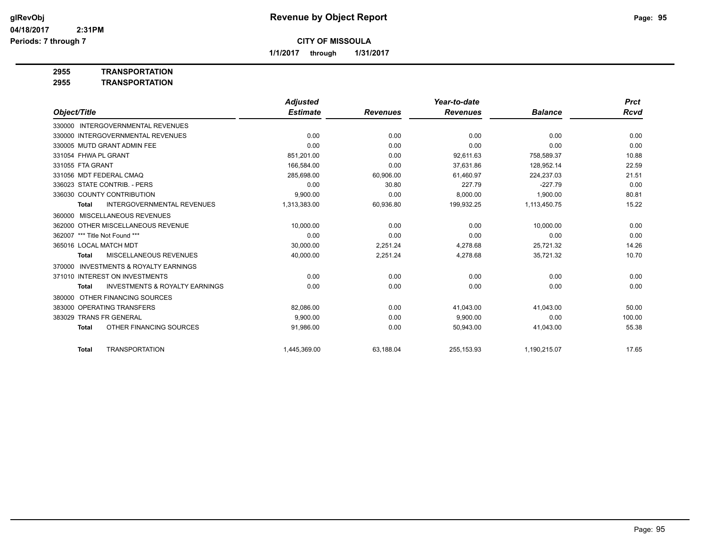**1/1/2017 through 1/31/2017**

**2955 TRANSPORTATION 2955 TRANSPORTATION**

|                                                           | <b>Adjusted</b> |                 | Year-to-date    |                | <b>Prct</b> |
|-----------------------------------------------------------|-----------------|-----------------|-----------------|----------------|-------------|
| Object/Title                                              | <b>Estimate</b> | <b>Revenues</b> | <b>Revenues</b> | <b>Balance</b> | <b>Rcvd</b> |
| 330000 INTERGOVERNMENTAL REVENUES                         |                 |                 |                 |                |             |
| 330000 INTERGOVERNMENTAL REVENUES                         | 0.00            | 0.00            | 0.00            | 0.00           | 0.00        |
| 330005 MUTD GRANT ADMIN FEE                               | 0.00            | 0.00            | 0.00            | 0.00           | 0.00        |
| 331054 FHWA PL GRANT                                      | 851,201.00      | 0.00            | 92.611.63       | 758,589.37     | 10.88       |
| 331055 FTA GRANT                                          | 166,584.00      | 0.00            | 37,631.86       | 128,952.14     | 22.59       |
| 331056 MDT FEDERAL CMAO                                   | 285,698.00      | 60,906.00       | 61,460.97       | 224,237.03     | 21.51       |
| 336023 STATE CONTRIB. - PERS                              | 0.00            | 30.80           | 227.79          | $-227.79$      | 0.00        |
| 336030 COUNTY CONTRIBUTION                                | 9,900.00        | 0.00            | 8.000.00        | 1.900.00       | 80.81       |
| <b>INTERGOVERNMENTAL REVENUES</b><br><b>Total</b>         | 1,313,383.00    | 60,936.80       | 199,932.25      | 1,113,450.75   | 15.22       |
| MISCELLANEOUS REVENUES<br>360000                          |                 |                 |                 |                |             |
| 362000 OTHER MISCELLANEOUS REVENUE                        | 10,000.00       | 0.00            | 0.00            | 10,000.00      | 0.00        |
| 362007 *** Title Not Found ***                            | 0.00            | 0.00            | 0.00            | 0.00           | 0.00        |
| 365016 LOCAL MATCH MDT                                    | 30,000.00       | 2,251.24        | 4,278.68        | 25,721.32      | 14.26       |
| <b>MISCELLANEOUS REVENUES</b><br><b>Total</b>             | 40,000.00       | 2,251.24        | 4,278.68        | 35,721.32      | 10.70       |
| INVESTMENTS & ROYALTY EARNINGS<br>370000                  |                 |                 |                 |                |             |
| 371010 INTEREST ON INVESTMENTS                            | 0.00            | 0.00            | 0.00            | 0.00           | 0.00        |
| <b>INVESTMENTS &amp; ROYALTY EARNINGS</b><br><b>Total</b> | 0.00            | 0.00            | 0.00            | 0.00           | 0.00        |
| OTHER FINANCING SOURCES<br>380000                         |                 |                 |                 |                |             |
| 383000 OPERATING TRANSFERS                                | 82,086.00       | 0.00            | 41,043.00       | 41,043.00      | 50.00       |
| 383029 TRANS FR GENERAL                                   | 9,900.00        | 0.00            | 9,900.00        | 0.00           | 100.00      |
| OTHER FINANCING SOURCES<br><b>Total</b>                   | 91,986.00       | 0.00            | 50,943.00       | 41,043.00      | 55.38       |
| <b>TRANSPORTATION</b><br><b>Total</b>                     | 1,445,369.00    | 63,188.04       | 255, 153.93     | 1,190,215.07   | 17.65       |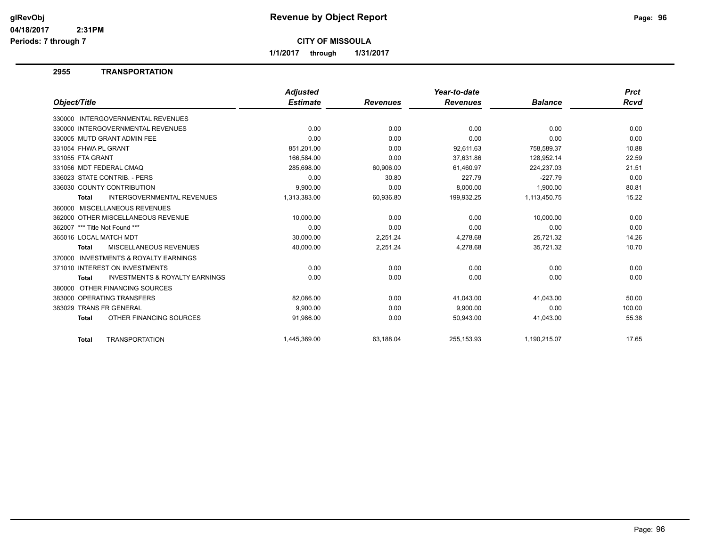**1/1/2017 through 1/31/2017**

#### **2955 TRANSPORTATION**

|                                                           | <b>Adjusted</b> |                 | Year-to-date    |                | <b>Prct</b> |
|-----------------------------------------------------------|-----------------|-----------------|-----------------|----------------|-------------|
| Object/Title                                              | <b>Estimate</b> | <b>Revenues</b> | <b>Revenues</b> | <b>Balance</b> | Rcvd        |
| 330000 INTERGOVERNMENTAL REVENUES                         |                 |                 |                 |                |             |
| 330000 INTERGOVERNMENTAL REVENUES                         | 0.00            | 0.00            | 0.00            | 0.00           | 0.00        |
| 330005 MUTD GRANT ADMIN FEE                               | 0.00            | 0.00            | 0.00            | 0.00           | 0.00        |
| 331054 FHWA PL GRANT                                      | 851,201.00      | 0.00            | 92.611.63       | 758.589.37     | 10.88       |
| 331055 FTA GRANT                                          | 166,584.00      | 0.00            | 37,631.86       | 128,952.14     | 22.59       |
| 331056 MDT FEDERAL CMAQ                                   | 285,698.00      | 60,906.00       | 61,460.97       | 224,237.03     | 21.51       |
| 336023 STATE CONTRIB. - PERS                              | 0.00            | 30.80           | 227.79          | $-227.79$      | 0.00        |
| 336030 COUNTY CONTRIBUTION                                | 9,900.00        | 0.00            | 8,000.00        | 1,900.00       | 80.81       |
| <b>INTERGOVERNMENTAL REVENUES</b><br>Total                | 1,313,383.00    | 60,936.80       | 199,932.25      | 1,113,450.75   | 15.22       |
| 360000 MISCELLANEOUS REVENUES                             |                 |                 |                 |                |             |
| 362000 OTHER MISCELLANEOUS REVENUE                        | 10.000.00       | 0.00            | 0.00            | 10,000.00      | 0.00        |
| 362007 *** Title Not Found ***                            | 0.00            | 0.00            | 0.00            | 0.00           | 0.00        |
| 365016 LOCAL MATCH MDT                                    | 30,000.00       | 2,251.24        | 4,278.68        | 25,721.32      | 14.26       |
| <b>MISCELLANEOUS REVENUES</b><br><b>Total</b>             | 40,000.00       | 2,251.24        | 4,278.68        | 35,721.32      | 10.70       |
| <b>INVESTMENTS &amp; ROYALTY EARNINGS</b><br>370000       |                 |                 |                 |                |             |
| 371010 INTEREST ON INVESTMENTS                            | 0.00            | 0.00            | 0.00            | 0.00           | 0.00        |
| <b>INVESTMENTS &amp; ROYALTY EARNINGS</b><br><b>Total</b> | 0.00            | 0.00            | 0.00            | 0.00           | 0.00        |
| 380000 OTHER FINANCING SOURCES                            |                 |                 |                 |                |             |
| 383000 OPERATING TRANSFERS                                | 82,086.00       | 0.00            | 41,043.00       | 41,043.00      | 50.00       |
| 383029 TRANS FR GENERAL                                   | 9,900.00        | 0.00            | 9,900.00        | 0.00           | 100.00      |
| OTHER FINANCING SOURCES<br><b>Total</b>                   | 91,986.00       | 0.00            | 50,943.00       | 41,043.00      | 55.38       |
| <b>TRANSPORTATION</b><br><b>Total</b>                     | 1.445.369.00    | 63.188.04       | 255.153.93      | 1,190,215.07   | 17.65       |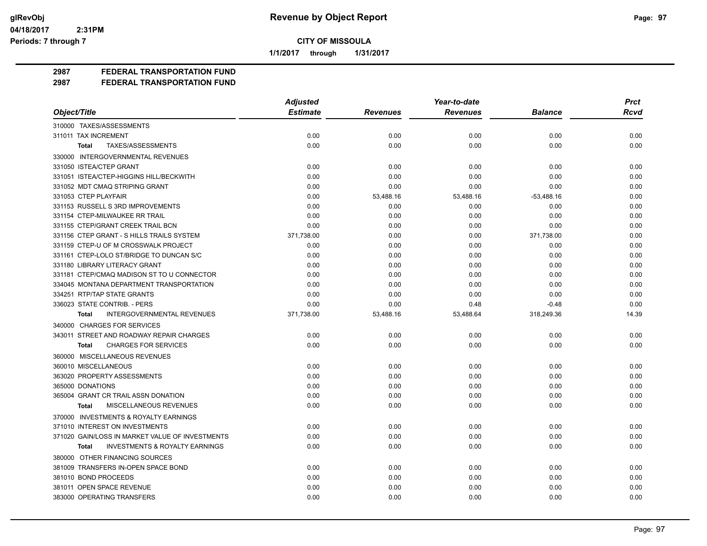**1/1/2017 through 1/31/2017**

# **2987 FEDERAL TRANSPORTATION FUND**

|                                                           | <b>Adjusted</b> |                 | Year-to-date    | <b>Prct</b>    |             |
|-----------------------------------------------------------|-----------------|-----------------|-----------------|----------------|-------------|
| Object/Title                                              | <b>Estimate</b> | <b>Revenues</b> | <b>Revenues</b> | <b>Balance</b> | <b>Rcvd</b> |
| 310000 TAXES/ASSESSMENTS                                  |                 |                 |                 |                |             |
| 311011 TAX INCREMENT                                      | 0.00            | 0.00            | 0.00            | 0.00           | 0.00        |
| TAXES/ASSESSMENTS<br><b>Total</b>                         | 0.00            | 0.00            | 0.00            | 0.00           | 0.00        |
| 330000 INTERGOVERNMENTAL REVENUES                         |                 |                 |                 |                |             |
| 331050 ISTEA/CTEP GRANT                                   | 0.00            | 0.00            | 0.00            | 0.00           | 0.00        |
| 331051 ISTEA/CTEP-HIGGINS HILL/BECKWITH                   | 0.00            | 0.00            | 0.00            | 0.00           | 0.00        |
| 331052 MDT CMAQ STRIPING GRANT                            | 0.00            | 0.00            | 0.00            | 0.00           | 0.00        |
| 331053 CTEP PLAYFAIR                                      | 0.00            | 53,488.16       | 53,488.16       | $-53,488.16$   | 0.00        |
| 331153 RUSSELL S 3RD IMPROVEMENTS                         | 0.00            | 0.00            | 0.00            | 0.00           | 0.00        |
| 331154 CTEP-MILWAUKEE RR TRAIL                            | 0.00            | 0.00            | 0.00            | 0.00           | 0.00        |
| 331155 CTEP/GRANT CREEK TRAIL BCN                         | 0.00            | 0.00            | 0.00            | 0.00           | 0.00        |
| 331156 CTEP GRANT - S HILLS TRAILS SYSTEM                 | 371,738.00      | 0.00            | 0.00            | 371,738.00     | 0.00        |
| 331159 CTEP-U OF M CROSSWALK PROJECT                      | 0.00            | 0.00            | 0.00            | 0.00           | 0.00        |
| 331161 CTEP-LOLO ST/BRIDGE TO DUNCAN S/C                  | 0.00            | 0.00            | 0.00            | 0.00           | 0.00        |
| 331180 LIBRARY LITERACY GRANT                             | 0.00            | 0.00            | 0.00            | 0.00           | 0.00        |
| 331181 CTEP/CMAQ MADISON ST TO U CONNECTOR                | 0.00            | 0.00            | 0.00            | 0.00           | 0.00        |
| 334045 MONTANA DEPARTMENT TRANSPORTATION                  | 0.00            | 0.00            | 0.00            | 0.00           | 0.00        |
| 334251 RTP/TAP STATE GRANTS                               | 0.00            | 0.00            | 0.00            | 0.00           | 0.00        |
| 336023 STATE CONTRIB. - PERS                              | 0.00            | 0.00            | 0.48            | $-0.48$        | 0.00        |
| <b>INTERGOVERNMENTAL REVENUES</b><br><b>Total</b>         | 371,738.00      | 53,488.16       | 53,488.64       | 318,249.36     | 14.39       |
| 340000 CHARGES FOR SERVICES                               |                 |                 |                 |                |             |
| 343011 STREET AND ROADWAY REPAIR CHARGES                  | 0.00            | 0.00            | 0.00            | 0.00           | 0.00        |
| <b>CHARGES FOR SERVICES</b><br><b>Total</b>               | 0.00            | 0.00            | 0.00            | 0.00           | 0.00        |
| 360000 MISCELLANEOUS REVENUES                             |                 |                 |                 |                |             |
| 360010 MISCELLANEOUS                                      | 0.00            | 0.00            | 0.00            | 0.00           | 0.00        |
| 363020 PROPERTY ASSESSMENTS                               | 0.00            | 0.00            | 0.00            | 0.00           | 0.00        |
| 365000 DONATIONS                                          | 0.00            | 0.00            | 0.00            | 0.00           | 0.00        |
| 365004 GRANT CR TRAIL ASSN DONATION                       | 0.00            | 0.00            | 0.00            | 0.00           | 0.00        |
| MISCELLANEOUS REVENUES<br><b>Total</b>                    | 0.00            | 0.00            | 0.00            | 0.00           | 0.00        |
| 370000 INVESTMENTS & ROYALTY EARNINGS                     |                 |                 |                 |                |             |
| 371010 INTEREST ON INVESTMENTS                            | 0.00            | 0.00            | 0.00            | 0.00           | 0.00        |
| 371020 GAIN/LOSS IN MARKET VALUE OF INVESTMENTS           | 0.00            | 0.00            | 0.00            | 0.00           | 0.00        |
| <b>INVESTMENTS &amp; ROYALTY EARNINGS</b><br><b>Total</b> | 0.00            | 0.00            | 0.00            | 0.00           | 0.00        |
| 380000 OTHER FINANCING SOURCES                            |                 |                 |                 |                |             |
| 381009 TRANSFERS IN-OPEN SPACE BOND                       | 0.00            | 0.00            | 0.00            | 0.00           | 0.00        |
| 381010 BOND PROCEEDS                                      | 0.00            | 0.00            | 0.00            | 0.00           | 0.00        |
| 381011 OPEN SPACE REVENUE                                 | 0.00            | 0.00            | 0.00            | 0.00           | 0.00        |
| 383000 OPERATING TRANSFERS                                | 0.00            | 0.00            | 0.00            | 0.00           | 0.00        |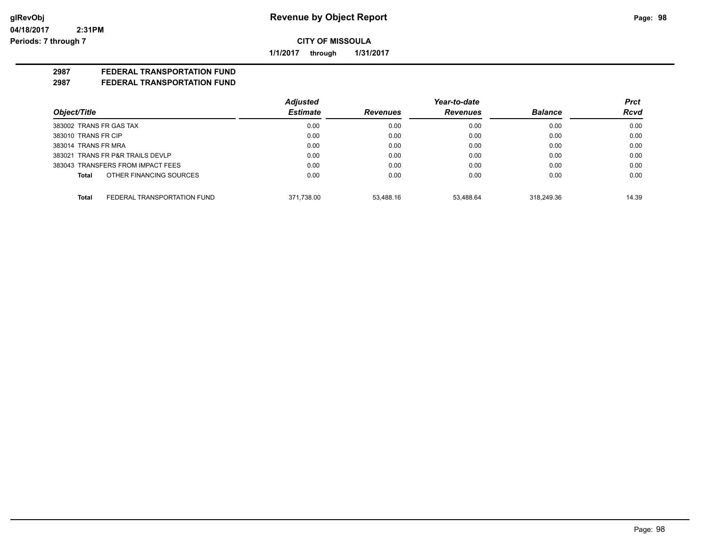**1/1/2017 through 1/31/2017**

# **2987 FEDERAL TRANSPORTATION FUND**

|                                             | <b>Adjusted</b> |                 | Year-to-date    |                | <b>Prct</b> |
|---------------------------------------------|-----------------|-----------------|-----------------|----------------|-------------|
| Object/Title                                | <b>Estimate</b> | <b>Revenues</b> | <b>Revenues</b> | <b>Balance</b> | <b>Rcvd</b> |
| 383002 TRANS FR GAS TAX                     | 0.00            | 0.00            | 0.00            | 0.00           | 0.00        |
| 383010 TRANS FR CIP                         | 0.00            | 0.00            | 0.00            | 0.00           | 0.00        |
| 383014 TRANS FR MRA                         | 0.00            | 0.00            | 0.00            | 0.00           | 0.00        |
| 383021 TRANS FR P&R TRAILS DEVLP            | 0.00            | 0.00            | 0.00            | 0.00           | 0.00        |
| 383043 TRANSFERS FROM IMPACT FEES           | 0.00            | 0.00            | 0.00            | 0.00           | 0.00        |
| OTHER FINANCING SOURCES<br>Total            | 0.00            | 0.00            | 0.00            | 0.00           | 0.00        |
| <b>Total</b><br>FEDERAL TRANSPORTATION FUND | 371.738.00      | 53.488.16       | 53.488.64       | 318.249.36     | 14.39       |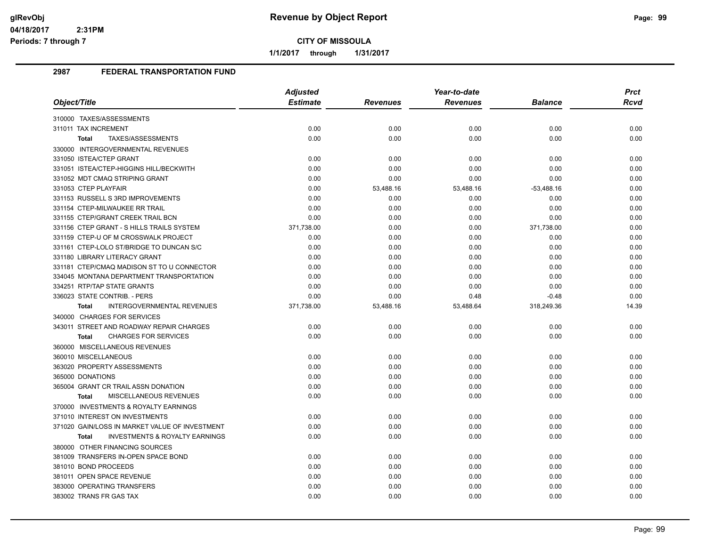**1/1/2017 through 1/31/2017**

| <b>Estimate</b><br>Object/Title<br><b>Revenues</b><br><b>Revenues</b><br><b>Balance</b><br>Rcvd<br>310000 TAXES/ASSESSMENTS<br>311011 TAX INCREMENT<br>0.00<br>0.00<br>0.00<br>0.00<br>0.00<br>TAXES/ASSESSMENTS<br>0.00<br>0.00<br>0.00<br>0.00<br>0.00<br><b>Total</b><br>330000 INTERGOVERNMENTAL REVENUES<br>331050 ISTEA/CTEP GRANT<br>0.00<br>0.00<br>0.00<br>0.00<br>0.00<br>331051 ISTEA/CTEP-HIGGINS HILL/BECKWITH<br>0.00<br>0.00<br>0.00<br>0.00<br>0.00<br>331052 MDT CMAQ STRIPING GRANT<br>0.00<br>0.00<br>0.00<br>0.00<br>0.00 |
|-----------------------------------------------------------------------------------------------------------------------------------------------------------------------------------------------------------------------------------------------------------------------------------------------------------------------------------------------------------------------------------------------------------------------------------------------------------------------------------------------------------------------------------------------|
|                                                                                                                                                                                                                                                                                                                                                                                                                                                                                                                                               |
|                                                                                                                                                                                                                                                                                                                                                                                                                                                                                                                                               |
|                                                                                                                                                                                                                                                                                                                                                                                                                                                                                                                                               |
|                                                                                                                                                                                                                                                                                                                                                                                                                                                                                                                                               |
|                                                                                                                                                                                                                                                                                                                                                                                                                                                                                                                                               |
|                                                                                                                                                                                                                                                                                                                                                                                                                                                                                                                                               |
|                                                                                                                                                                                                                                                                                                                                                                                                                                                                                                                                               |
|                                                                                                                                                                                                                                                                                                                                                                                                                                                                                                                                               |
| 331053 CTEP PLAYFAIR<br>53,488.16<br>$-53,488.16$<br>0.00<br>53,488.16<br>0.00                                                                                                                                                                                                                                                                                                                                                                                                                                                                |
| 331153 RUSSELL S 3RD IMPROVEMENTS<br>0.00<br>0.00<br>0.00<br>0.00<br>0.00                                                                                                                                                                                                                                                                                                                                                                                                                                                                     |
| 331154 CTEP-MILWAUKEE RR TRAIL<br>0.00<br>0.00<br>0.00<br>0.00<br>0.00                                                                                                                                                                                                                                                                                                                                                                                                                                                                        |
| 331155 CTEP/GRANT CREEK TRAIL BCN<br>0.00<br>0.00<br>0.00<br>0.00<br>0.00                                                                                                                                                                                                                                                                                                                                                                                                                                                                     |
| 331156 CTEP GRANT - S HILLS TRAILS SYSTEM<br>371,738.00<br>0.00<br>371,738.00<br>0.00<br>0.00                                                                                                                                                                                                                                                                                                                                                                                                                                                 |
| 331159 CTEP-U OF M CROSSWALK PROJECT<br>0.00<br>0.00<br>0.00<br>0.00<br>0.00                                                                                                                                                                                                                                                                                                                                                                                                                                                                  |
| 331161 CTEP-LOLO ST/BRIDGE TO DUNCAN S/C<br>0.00<br>0.00<br>0.00<br>0.00<br>0.00                                                                                                                                                                                                                                                                                                                                                                                                                                                              |
| 331180 LIBRARY LITERACY GRANT<br>0.00<br>0.00<br>0.00<br>0.00<br>0.00                                                                                                                                                                                                                                                                                                                                                                                                                                                                         |
| 331181 CTEP/CMAQ MADISON ST TO U CONNECTOR<br>0.00<br>0.00<br>0.00<br>0.00<br>0.00                                                                                                                                                                                                                                                                                                                                                                                                                                                            |
| 334045 MONTANA DEPARTMENT TRANSPORTATION<br>0.00<br>0.00<br>0.00<br>0.00<br>0.00                                                                                                                                                                                                                                                                                                                                                                                                                                                              |
| 334251 RTP/TAP STATE GRANTS<br>0.00<br>0.00<br>0.00<br>0.00<br>0.00                                                                                                                                                                                                                                                                                                                                                                                                                                                                           |
| 336023 STATE CONTRIB. - PERS<br>0.00<br>0.00<br>0.48<br>$-0.48$<br>0.00                                                                                                                                                                                                                                                                                                                                                                                                                                                                       |
| <b>INTERGOVERNMENTAL REVENUES</b><br>371,738.00<br>53,488.64<br>318,249.36<br>14.39<br>53,488.16<br><b>Total</b>                                                                                                                                                                                                                                                                                                                                                                                                                              |
| 340000 CHARGES FOR SERVICES                                                                                                                                                                                                                                                                                                                                                                                                                                                                                                                   |
| 343011 STREET AND ROADWAY REPAIR CHARGES<br>0.00<br>0.00<br>0.00<br>0.00<br>0.00                                                                                                                                                                                                                                                                                                                                                                                                                                                              |
| <b>CHARGES FOR SERVICES</b><br>0.00<br>0.00<br>0.00<br>0.00<br>0.00<br><b>Total</b>                                                                                                                                                                                                                                                                                                                                                                                                                                                           |
| 360000 MISCELLANEOUS REVENUES                                                                                                                                                                                                                                                                                                                                                                                                                                                                                                                 |
| 360010 MISCELLANEOUS<br>0.00<br>0.00<br>0.00<br>0.00<br>0.00                                                                                                                                                                                                                                                                                                                                                                                                                                                                                  |
| 363020 PROPERTY ASSESSMENTS<br>0.00<br>0.00<br>0.00<br>0.00<br>0.00                                                                                                                                                                                                                                                                                                                                                                                                                                                                           |
| 365000 DONATIONS<br>0.00<br>0.00<br>0.00<br>0.00<br>0.00                                                                                                                                                                                                                                                                                                                                                                                                                                                                                      |
| 365004 GRANT CR TRAIL ASSN DONATION<br>0.00<br>0.00<br>0.00<br>0.00<br>0.00                                                                                                                                                                                                                                                                                                                                                                                                                                                                   |
| 0.00<br>0.00<br>0.00<br>MISCELLANEOUS REVENUES<br>0.00<br>0.00<br><b>Total</b>                                                                                                                                                                                                                                                                                                                                                                                                                                                                |
| 370000 INVESTMENTS & ROYALTY EARNINGS                                                                                                                                                                                                                                                                                                                                                                                                                                                                                                         |
| 371010 INTEREST ON INVESTMENTS<br>0.00<br>0.00<br>0.00<br>0.00<br>0.00                                                                                                                                                                                                                                                                                                                                                                                                                                                                        |
| 371020 GAIN/LOSS IN MARKET VALUE OF INVESTMENT<br>0.00<br>0.00<br>0.00<br>0.00<br>0.00                                                                                                                                                                                                                                                                                                                                                                                                                                                        |
| <b>INVESTMENTS &amp; ROYALTY EARNINGS</b><br>0.00<br>0.00<br>0.00<br>0.00<br>0.00<br><b>Total</b>                                                                                                                                                                                                                                                                                                                                                                                                                                             |
| 380000 OTHER FINANCING SOURCES                                                                                                                                                                                                                                                                                                                                                                                                                                                                                                                |
| 381009 TRANSFERS IN-OPEN SPACE BOND<br>0.00<br>0.00<br>0.00<br>0.00<br>0.00                                                                                                                                                                                                                                                                                                                                                                                                                                                                   |
| 381010 BOND PROCEEDS<br>0.00<br>0.00<br>0.00<br>0.00<br>0.00                                                                                                                                                                                                                                                                                                                                                                                                                                                                                  |
| 381011 OPEN SPACE REVENUE<br>0.00<br>0.00<br>0.00<br>0.00<br>0.00                                                                                                                                                                                                                                                                                                                                                                                                                                                                             |
| 383000 OPERATING TRANSFERS<br>0.00<br>0.00<br>0.00<br>0.00<br>0.00                                                                                                                                                                                                                                                                                                                                                                                                                                                                            |
| 383002 TRANS FR GAS TAX<br>0.00<br>0.00<br>0.00<br>0.00<br>0.00                                                                                                                                                                                                                                                                                                                                                                                                                                                                               |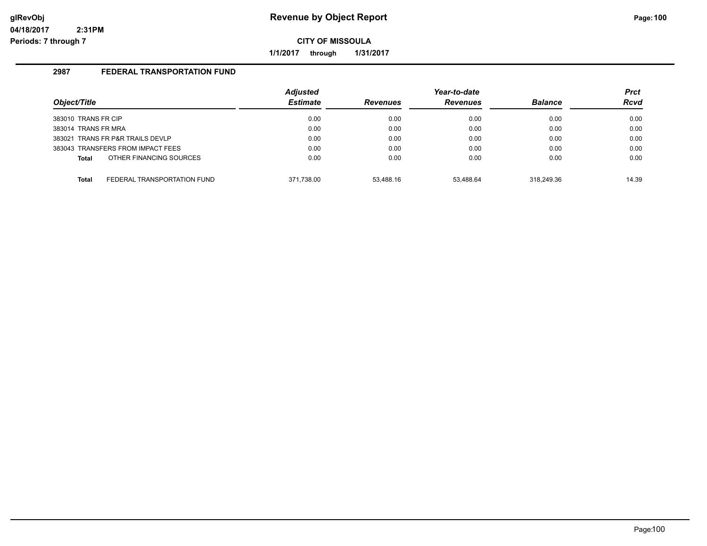**1/1/2017 through 1/31/2017**

| Object/Title                            | <b>Adjusted</b><br><b>Estimate</b> | <b>Revenues</b> | Year-to-date<br><b>Revenues</b> | <b>Balance</b> | <b>Prct</b><br><b>Rcvd</b> |
|-----------------------------------------|------------------------------------|-----------------|---------------------------------|----------------|----------------------------|
| 383010 TRANS FR CIP                     | 0.00                               | 0.00            | 0.00                            | 0.00           | 0.00                       |
| 383014 TRANS FR MRA                     | 0.00                               | 0.00            | 0.00                            | 0.00           | 0.00                       |
| 383021 TRANS FR P&R TRAILS DEVLP        | 0.00                               | 0.00            | 0.00                            | 0.00           | 0.00                       |
| 383043 TRANSFERS FROM IMPACT FEES       | 0.00                               | 0.00            | 0.00                            | 0.00           | 0.00                       |
| OTHER FINANCING SOURCES<br><b>Total</b> | 0.00                               | 0.00            | 0.00                            | 0.00           | 0.00                       |
| Total<br>FEDERAL TRANSPORTATION FUND    | 371.738.00                         | 53.488.16       | 53.488.64                       | 318.249.36     | 14.39                      |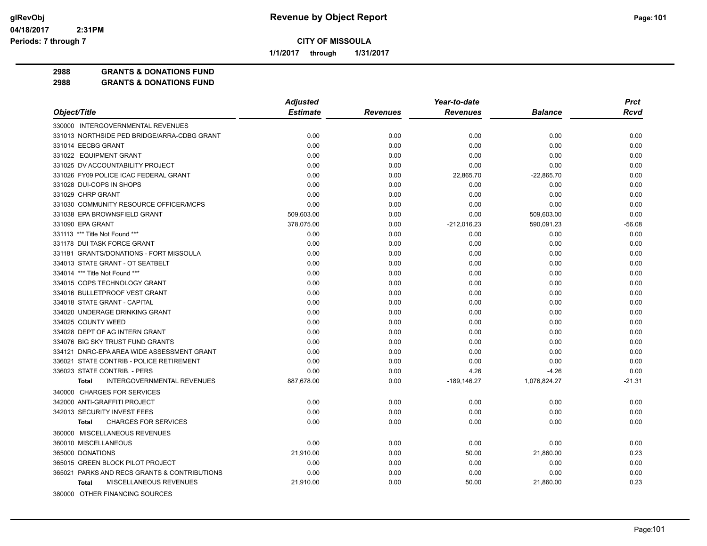**1/1/2017 through 1/31/2017**

**2988 GRANTS & DONATIONS FUND**

**2988 GRANTS & DONATIONS FUND**

| <b>Estimate</b><br>Object/Title<br><b>Revenues</b><br><b>Balance</b><br><b>Rcvd</b><br><b>Revenues</b><br>330000 INTERGOVERNMENTAL REVENUES<br>0.00<br>0.00<br>0.00<br>0.00<br>331013 NORTHSIDE PED BRIDGE/ARRA-CDBG GRANT<br>0.00<br>331014 EECBG GRANT<br>0.00<br>0.00<br>0.00<br>0.00<br>0.00<br>331022 EQUIPMENT GRANT<br>0.00<br>0.00<br>0.00<br>0.00<br>0.00<br>331025 DV ACCOUNTABILITY PROJECT<br>0.00<br>0.00<br>0.00<br>0.00<br>0.00<br>331026 FY09 POLICE ICAC FEDERAL GRANT<br>0.00<br>0.00<br>22,865.70<br>$-22,865.70$<br>0.00<br>331028 DUI-COPS IN SHOPS<br>0.00<br>0.00<br>0.00<br>0.00<br>0.00<br>331029 CHRP GRANT<br>0.00<br>0.00<br>0.00<br>0.00<br>0.00<br>331030 COMMUNITY RESOURCE OFFICER/MCPS<br>0.00<br>0.00<br>0.00<br>0.00<br>0.00<br>331038 EPA BROWNSFIELD GRANT<br>509,603.00<br>0.00<br>0.00<br>509,603.00<br>0.00<br>331090 EPA GRANT<br>378,075.00<br>0.00<br>$-212,016.23$<br>590,091.23<br>$-56.08$<br>331113 *** Title Not Found ***<br>0.00<br>0.00<br>0.00<br>0.00<br>0.00<br>331178 DUI TASK FORCE GRANT<br>0.00<br>0.00<br>0.00<br>0.00<br>0.00<br>331181 GRANTS/DONATIONS - FORT MISSOULA<br>0.00<br>0.00<br>0.00<br>0.00<br>0.00<br>0.00<br>334013 STATE GRANT - OT SEATBELT<br>0.00<br>0.00<br>0.00<br>0.00<br>334014 *** Title Not Found ***<br>0.00<br>0.00<br>0.00<br>0.00<br>0.00<br>334015 COPS TECHNOLOGY GRANT<br>0.00<br>0.00<br>0.00<br>0.00<br>0.00<br>334016 BULLETPROOF VEST GRANT<br>0.00<br>0.00<br>0.00<br>0.00<br>0.00<br>334018 STATE GRANT - CAPITAL<br>0.00<br>0.00<br>0.00<br>0.00<br>0.00<br>334020 UNDERAGE DRINKING GRANT<br>0.00<br>0.00<br>0.00<br>0.00<br>0.00<br>334025 COUNTY WEED<br>0.00<br>0.00<br>0.00<br>0.00<br>0.00<br>334028 DEPT OF AG INTERN GRANT<br>0.00<br>0.00<br>0.00<br>0.00<br>0.00<br>334076 BIG SKY TRUST FUND GRANTS<br>0.00<br>0.00<br>0.00<br>0.00<br>0.00<br>334121 DNRC-EPA AREA WIDE ASSESSMENT GRANT<br>0.00<br>0.00<br>0.00<br>0.00<br>0.00<br>336021 STATE CONTRIB - POLICE RETIREMENT<br>0.00<br>0.00<br>0.00<br>0.00<br>0.00<br>336023 STATE CONTRIB. - PERS<br>0.00<br>0.00<br>0.00<br>4.26<br>$-4.26$<br><b>INTERGOVERNMENTAL REVENUES</b><br>887,678.00<br>0.00<br>1,076,824.27<br>$-21.31$<br><b>Total</b><br>$-189, 146.27$ |
|-----------------------------------------------------------------------------------------------------------------------------------------------------------------------------------------------------------------------------------------------------------------------------------------------------------------------------------------------------------------------------------------------------------------------------------------------------------------------------------------------------------------------------------------------------------------------------------------------------------------------------------------------------------------------------------------------------------------------------------------------------------------------------------------------------------------------------------------------------------------------------------------------------------------------------------------------------------------------------------------------------------------------------------------------------------------------------------------------------------------------------------------------------------------------------------------------------------------------------------------------------------------------------------------------------------------------------------------------------------------------------------------------------------------------------------------------------------------------------------------------------------------------------------------------------------------------------------------------------------------------------------------------------------------------------------------------------------------------------------------------------------------------------------------------------------------------------------------------------------------------------------------------------------------------------------------------------------------------------------------------------------------------------------------------------------------------------------------------------------------------------------------------------------------------------------------------------------------------------------------|
|                                                                                                                                                                                                                                                                                                                                                                                                                                                                                                                                                                                                                                                                                                                                                                                                                                                                                                                                                                                                                                                                                                                                                                                                                                                                                                                                                                                                                                                                                                                                                                                                                                                                                                                                                                                                                                                                                                                                                                                                                                                                                                                                                                                                                                         |
|                                                                                                                                                                                                                                                                                                                                                                                                                                                                                                                                                                                                                                                                                                                                                                                                                                                                                                                                                                                                                                                                                                                                                                                                                                                                                                                                                                                                                                                                                                                                                                                                                                                                                                                                                                                                                                                                                                                                                                                                                                                                                                                                                                                                                                         |
|                                                                                                                                                                                                                                                                                                                                                                                                                                                                                                                                                                                                                                                                                                                                                                                                                                                                                                                                                                                                                                                                                                                                                                                                                                                                                                                                                                                                                                                                                                                                                                                                                                                                                                                                                                                                                                                                                                                                                                                                                                                                                                                                                                                                                                         |
|                                                                                                                                                                                                                                                                                                                                                                                                                                                                                                                                                                                                                                                                                                                                                                                                                                                                                                                                                                                                                                                                                                                                                                                                                                                                                                                                                                                                                                                                                                                                                                                                                                                                                                                                                                                                                                                                                                                                                                                                                                                                                                                                                                                                                                         |
|                                                                                                                                                                                                                                                                                                                                                                                                                                                                                                                                                                                                                                                                                                                                                                                                                                                                                                                                                                                                                                                                                                                                                                                                                                                                                                                                                                                                                                                                                                                                                                                                                                                                                                                                                                                                                                                                                                                                                                                                                                                                                                                                                                                                                                         |
|                                                                                                                                                                                                                                                                                                                                                                                                                                                                                                                                                                                                                                                                                                                                                                                                                                                                                                                                                                                                                                                                                                                                                                                                                                                                                                                                                                                                                                                                                                                                                                                                                                                                                                                                                                                                                                                                                                                                                                                                                                                                                                                                                                                                                                         |
|                                                                                                                                                                                                                                                                                                                                                                                                                                                                                                                                                                                                                                                                                                                                                                                                                                                                                                                                                                                                                                                                                                                                                                                                                                                                                                                                                                                                                                                                                                                                                                                                                                                                                                                                                                                                                                                                                                                                                                                                                                                                                                                                                                                                                                         |
|                                                                                                                                                                                                                                                                                                                                                                                                                                                                                                                                                                                                                                                                                                                                                                                                                                                                                                                                                                                                                                                                                                                                                                                                                                                                                                                                                                                                                                                                                                                                                                                                                                                                                                                                                                                                                                                                                                                                                                                                                                                                                                                                                                                                                                         |
|                                                                                                                                                                                                                                                                                                                                                                                                                                                                                                                                                                                                                                                                                                                                                                                                                                                                                                                                                                                                                                                                                                                                                                                                                                                                                                                                                                                                                                                                                                                                                                                                                                                                                                                                                                                                                                                                                                                                                                                                                                                                                                                                                                                                                                         |
|                                                                                                                                                                                                                                                                                                                                                                                                                                                                                                                                                                                                                                                                                                                                                                                                                                                                                                                                                                                                                                                                                                                                                                                                                                                                                                                                                                                                                                                                                                                                                                                                                                                                                                                                                                                                                                                                                                                                                                                                                                                                                                                                                                                                                                         |
|                                                                                                                                                                                                                                                                                                                                                                                                                                                                                                                                                                                                                                                                                                                                                                                                                                                                                                                                                                                                                                                                                                                                                                                                                                                                                                                                                                                                                                                                                                                                                                                                                                                                                                                                                                                                                                                                                                                                                                                                                                                                                                                                                                                                                                         |
|                                                                                                                                                                                                                                                                                                                                                                                                                                                                                                                                                                                                                                                                                                                                                                                                                                                                                                                                                                                                                                                                                                                                                                                                                                                                                                                                                                                                                                                                                                                                                                                                                                                                                                                                                                                                                                                                                                                                                                                                                                                                                                                                                                                                                                         |
|                                                                                                                                                                                                                                                                                                                                                                                                                                                                                                                                                                                                                                                                                                                                                                                                                                                                                                                                                                                                                                                                                                                                                                                                                                                                                                                                                                                                                                                                                                                                                                                                                                                                                                                                                                                                                                                                                                                                                                                                                                                                                                                                                                                                                                         |
|                                                                                                                                                                                                                                                                                                                                                                                                                                                                                                                                                                                                                                                                                                                                                                                                                                                                                                                                                                                                                                                                                                                                                                                                                                                                                                                                                                                                                                                                                                                                                                                                                                                                                                                                                                                                                                                                                                                                                                                                                                                                                                                                                                                                                                         |
|                                                                                                                                                                                                                                                                                                                                                                                                                                                                                                                                                                                                                                                                                                                                                                                                                                                                                                                                                                                                                                                                                                                                                                                                                                                                                                                                                                                                                                                                                                                                                                                                                                                                                                                                                                                                                                                                                                                                                                                                                                                                                                                                                                                                                                         |
|                                                                                                                                                                                                                                                                                                                                                                                                                                                                                                                                                                                                                                                                                                                                                                                                                                                                                                                                                                                                                                                                                                                                                                                                                                                                                                                                                                                                                                                                                                                                                                                                                                                                                                                                                                                                                                                                                                                                                                                                                                                                                                                                                                                                                                         |
|                                                                                                                                                                                                                                                                                                                                                                                                                                                                                                                                                                                                                                                                                                                                                                                                                                                                                                                                                                                                                                                                                                                                                                                                                                                                                                                                                                                                                                                                                                                                                                                                                                                                                                                                                                                                                                                                                                                                                                                                                                                                                                                                                                                                                                         |
|                                                                                                                                                                                                                                                                                                                                                                                                                                                                                                                                                                                                                                                                                                                                                                                                                                                                                                                                                                                                                                                                                                                                                                                                                                                                                                                                                                                                                                                                                                                                                                                                                                                                                                                                                                                                                                                                                                                                                                                                                                                                                                                                                                                                                                         |
|                                                                                                                                                                                                                                                                                                                                                                                                                                                                                                                                                                                                                                                                                                                                                                                                                                                                                                                                                                                                                                                                                                                                                                                                                                                                                                                                                                                                                                                                                                                                                                                                                                                                                                                                                                                                                                                                                                                                                                                                                                                                                                                                                                                                                                         |
|                                                                                                                                                                                                                                                                                                                                                                                                                                                                                                                                                                                                                                                                                                                                                                                                                                                                                                                                                                                                                                                                                                                                                                                                                                                                                                                                                                                                                                                                                                                                                                                                                                                                                                                                                                                                                                                                                                                                                                                                                                                                                                                                                                                                                                         |
|                                                                                                                                                                                                                                                                                                                                                                                                                                                                                                                                                                                                                                                                                                                                                                                                                                                                                                                                                                                                                                                                                                                                                                                                                                                                                                                                                                                                                                                                                                                                                                                                                                                                                                                                                                                                                                                                                                                                                                                                                                                                                                                                                                                                                                         |
|                                                                                                                                                                                                                                                                                                                                                                                                                                                                                                                                                                                                                                                                                                                                                                                                                                                                                                                                                                                                                                                                                                                                                                                                                                                                                                                                                                                                                                                                                                                                                                                                                                                                                                                                                                                                                                                                                                                                                                                                                                                                                                                                                                                                                                         |
|                                                                                                                                                                                                                                                                                                                                                                                                                                                                                                                                                                                                                                                                                                                                                                                                                                                                                                                                                                                                                                                                                                                                                                                                                                                                                                                                                                                                                                                                                                                                                                                                                                                                                                                                                                                                                                                                                                                                                                                                                                                                                                                                                                                                                                         |
|                                                                                                                                                                                                                                                                                                                                                                                                                                                                                                                                                                                                                                                                                                                                                                                                                                                                                                                                                                                                                                                                                                                                                                                                                                                                                                                                                                                                                                                                                                                                                                                                                                                                                                                                                                                                                                                                                                                                                                                                                                                                                                                                                                                                                                         |
|                                                                                                                                                                                                                                                                                                                                                                                                                                                                                                                                                                                                                                                                                                                                                                                                                                                                                                                                                                                                                                                                                                                                                                                                                                                                                                                                                                                                                                                                                                                                                                                                                                                                                                                                                                                                                                                                                                                                                                                                                                                                                                                                                                                                                                         |
|                                                                                                                                                                                                                                                                                                                                                                                                                                                                                                                                                                                                                                                                                                                                                                                                                                                                                                                                                                                                                                                                                                                                                                                                                                                                                                                                                                                                                                                                                                                                                                                                                                                                                                                                                                                                                                                                                                                                                                                                                                                                                                                                                                                                                                         |
|                                                                                                                                                                                                                                                                                                                                                                                                                                                                                                                                                                                                                                                                                                                                                                                                                                                                                                                                                                                                                                                                                                                                                                                                                                                                                                                                                                                                                                                                                                                                                                                                                                                                                                                                                                                                                                                                                                                                                                                                                                                                                                                                                                                                                                         |
|                                                                                                                                                                                                                                                                                                                                                                                                                                                                                                                                                                                                                                                                                                                                                                                                                                                                                                                                                                                                                                                                                                                                                                                                                                                                                                                                                                                                                                                                                                                                                                                                                                                                                                                                                                                                                                                                                                                                                                                                                                                                                                                                                                                                                                         |
| 340000 CHARGES FOR SERVICES                                                                                                                                                                                                                                                                                                                                                                                                                                                                                                                                                                                                                                                                                                                                                                                                                                                                                                                                                                                                                                                                                                                                                                                                                                                                                                                                                                                                                                                                                                                                                                                                                                                                                                                                                                                                                                                                                                                                                                                                                                                                                                                                                                                                             |
| 342000 ANTI-GRAFFITI PROJECT<br>0.00<br>0.00<br>0.00<br>0.00<br>0.00                                                                                                                                                                                                                                                                                                                                                                                                                                                                                                                                                                                                                                                                                                                                                                                                                                                                                                                                                                                                                                                                                                                                                                                                                                                                                                                                                                                                                                                                                                                                                                                                                                                                                                                                                                                                                                                                                                                                                                                                                                                                                                                                                                    |
| 342013 SECURITY INVEST FEES<br>0.00<br>0.00<br>0.00<br>0.00<br>0.00                                                                                                                                                                                                                                                                                                                                                                                                                                                                                                                                                                                                                                                                                                                                                                                                                                                                                                                                                                                                                                                                                                                                                                                                                                                                                                                                                                                                                                                                                                                                                                                                                                                                                                                                                                                                                                                                                                                                                                                                                                                                                                                                                                     |
| <b>CHARGES FOR SERVICES</b><br>0.00<br>0.00<br>0.00<br>0.00<br>0.00<br><b>Total</b>                                                                                                                                                                                                                                                                                                                                                                                                                                                                                                                                                                                                                                                                                                                                                                                                                                                                                                                                                                                                                                                                                                                                                                                                                                                                                                                                                                                                                                                                                                                                                                                                                                                                                                                                                                                                                                                                                                                                                                                                                                                                                                                                                     |
| 360000 MISCELLANEOUS REVENUES                                                                                                                                                                                                                                                                                                                                                                                                                                                                                                                                                                                                                                                                                                                                                                                                                                                                                                                                                                                                                                                                                                                                                                                                                                                                                                                                                                                                                                                                                                                                                                                                                                                                                                                                                                                                                                                                                                                                                                                                                                                                                                                                                                                                           |
| 360010 MISCELLANEOUS<br>0.00<br>0.00<br>0.00<br>0.00<br>0.00                                                                                                                                                                                                                                                                                                                                                                                                                                                                                                                                                                                                                                                                                                                                                                                                                                                                                                                                                                                                                                                                                                                                                                                                                                                                                                                                                                                                                                                                                                                                                                                                                                                                                                                                                                                                                                                                                                                                                                                                                                                                                                                                                                            |
| 365000 DONATIONS<br>21,910.00<br>0.00<br>50.00<br>21,860.00<br>0.23                                                                                                                                                                                                                                                                                                                                                                                                                                                                                                                                                                                                                                                                                                                                                                                                                                                                                                                                                                                                                                                                                                                                                                                                                                                                                                                                                                                                                                                                                                                                                                                                                                                                                                                                                                                                                                                                                                                                                                                                                                                                                                                                                                     |
| 365015 GREEN BLOCK PILOT PROJECT<br>0.00<br>0.00<br>0.00<br>0.00<br>0.00                                                                                                                                                                                                                                                                                                                                                                                                                                                                                                                                                                                                                                                                                                                                                                                                                                                                                                                                                                                                                                                                                                                                                                                                                                                                                                                                                                                                                                                                                                                                                                                                                                                                                                                                                                                                                                                                                                                                                                                                                                                                                                                                                                |
| 365021 PARKS AND RECS GRANTS & CONTRIBUTIONS<br>0.00<br>0.00<br>0.00<br>0.00<br>0.00                                                                                                                                                                                                                                                                                                                                                                                                                                                                                                                                                                                                                                                                                                                                                                                                                                                                                                                                                                                                                                                                                                                                                                                                                                                                                                                                                                                                                                                                                                                                                                                                                                                                                                                                                                                                                                                                                                                                                                                                                                                                                                                                                    |
| MISCELLANEOUS REVENUES<br>21,910.00<br>0.00<br>50.00<br>21,860.00<br>0.23<br><b>Total</b>                                                                                                                                                                                                                                                                                                                                                                                                                                                                                                                                                                                                                                                                                                                                                                                                                                                                                                                                                                                                                                                                                                                                                                                                                                                                                                                                                                                                                                                                                                                                                                                                                                                                                                                                                                                                                                                                                                                                                                                                                                                                                                                                               |
| 380000 OTHER FINANCING SOURCES                                                                                                                                                                                                                                                                                                                                                                                                                                                                                                                                                                                                                                                                                                                                                                                                                                                                                                                                                                                                                                                                                                                                                                                                                                                                                                                                                                                                                                                                                                                                                                                                                                                                                                                                                                                                                                                                                                                                                                                                                                                                                                                                                                                                          |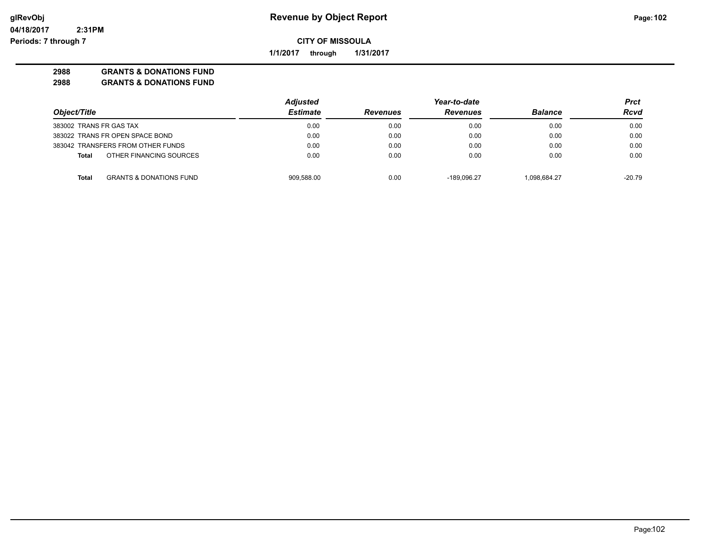**1/1/2017 through 1/31/2017**

**2988 GRANTS & DONATIONS FUND 2988 GRANTS & DONATIONS FUND**

|                                             | <b>Adjusted</b> |                 | Year-to-date    |                | Prct     |
|---------------------------------------------|-----------------|-----------------|-----------------|----------------|----------|
| Object/Title                                | <b>Estimate</b> | <b>Revenues</b> | <b>Revenues</b> | <b>Balance</b> | Rcvd     |
| 383002 TRANS FR GAS TAX                     | 0.00            | 0.00            | 0.00            | 0.00           | 0.00     |
| 383022 TRANS FR OPEN SPACE BOND             | 0.00            | 0.00            | 0.00            | 0.00           | 0.00     |
| 383042 TRANSFERS FROM OTHER FUNDS           | 0.00            | 0.00            | 0.00            | 0.00           | 0.00     |
| OTHER FINANCING SOURCES<br>Total            | 0.00            | 0.00            | 0.00            | 0.00           | 0.00     |
| <b>GRANTS &amp; DONATIONS FUND</b><br>Total | 909.588.00      | 0.00            | -189.096.27     | 1.098.684.27   | $-20.79$ |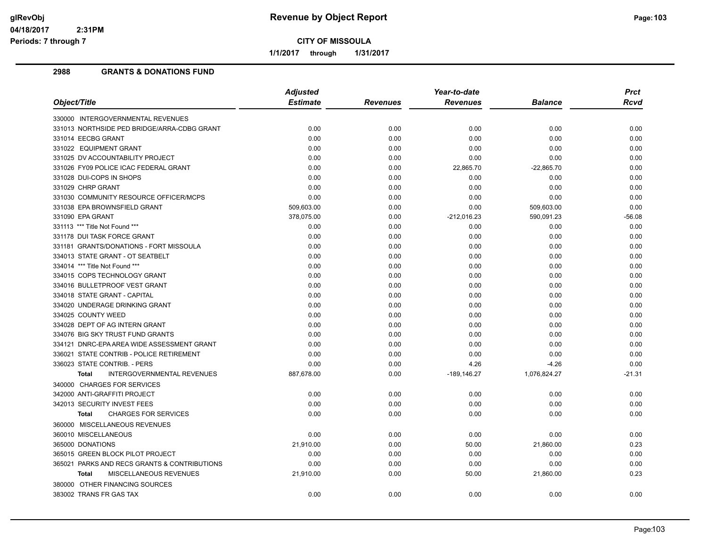**1/1/2017 through 1/31/2017**

#### **2988 GRANTS & DONATIONS FUND**

|                                              | <b>Adjusted</b> | Year-to-date    |                 |                | <b>Prct</b> |
|----------------------------------------------|-----------------|-----------------|-----------------|----------------|-------------|
| Object/Title                                 | <b>Estimate</b> | <b>Revenues</b> | <b>Revenues</b> | <b>Balance</b> | Rcvd        |
| 330000 INTERGOVERNMENTAL REVENUES            |                 |                 |                 |                |             |
| 331013 NORTHSIDE PED BRIDGE/ARRA-CDBG GRANT  | 0.00            | 0.00            | 0.00            | 0.00           | 0.00        |
| 331014 EECBG GRANT                           | 0.00            | 0.00            | 0.00            | 0.00           | 0.00        |
| 331022 EQUIPMENT GRANT                       | 0.00            | 0.00            | 0.00            | 0.00           | 0.00        |
| 331025 DV ACCOUNTABILITY PROJECT             | 0.00            | 0.00            | 0.00            | 0.00           | 0.00        |
| 331026 FY09 POLICE ICAC FEDERAL GRANT        | 0.00            | 0.00            | 22,865.70       | $-22,865.70$   | 0.00        |
| 331028 DUI-COPS IN SHOPS                     | 0.00            | 0.00            | 0.00            | 0.00           | 0.00        |
| 331029 CHRP GRANT                            | 0.00            | 0.00            | 0.00            | 0.00           | 0.00        |
| 331030 COMMUNITY RESOURCE OFFICER/MCPS       | 0.00            | 0.00            | 0.00            | 0.00           | 0.00        |
| 331038 EPA BROWNSFIELD GRANT                 | 509,603.00      | 0.00            | 0.00            | 509,603.00     | 0.00        |
| 331090 EPA GRANT                             | 378,075.00      | 0.00            | $-212,016.23$   | 590,091.23     | $-56.08$    |
| 331113 *** Title Not Found ***               | 0.00            | 0.00            | 0.00            | 0.00           | 0.00        |
| 331178 DUI TASK FORCE GRANT                  | 0.00            | 0.00            | 0.00            | 0.00           | 0.00        |
| 331181 GRANTS/DONATIONS - FORT MISSOULA      | 0.00            | 0.00            | 0.00            | 0.00           | 0.00        |
| 334013 STATE GRANT - OT SEATBELT             | 0.00            | 0.00            | 0.00            | 0.00           | 0.00        |
| 334014 *** Title Not Found ***               | 0.00            | 0.00            | 0.00            | 0.00           | 0.00        |
| 334015 COPS TECHNOLOGY GRANT                 | 0.00            | 0.00            | 0.00            | 0.00           | 0.00        |
| 334016 BULLETPROOF VEST GRANT                | 0.00            | 0.00            | 0.00            | 0.00           | 0.00        |
| 334018 STATE GRANT - CAPITAL                 | 0.00            | 0.00            | 0.00            | 0.00           | 0.00        |
| 334020 UNDERAGE DRINKING GRANT               | 0.00            | 0.00            | 0.00            | 0.00           | 0.00        |
| 334025 COUNTY WEED                           | 0.00            | 0.00            | 0.00            | 0.00           | 0.00        |
| 334028 DEPT OF AG INTERN GRANT               | 0.00            | 0.00            | 0.00            | 0.00           | 0.00        |
| 334076 BIG SKY TRUST FUND GRANTS             | 0.00            | 0.00            | 0.00            | 0.00           | 0.00        |
| 334121 DNRC-EPA AREA WIDE ASSESSMENT GRANT   | 0.00            | 0.00            | 0.00            | 0.00           | 0.00        |
| 336021 STATE CONTRIB - POLICE RETIREMENT     | 0.00            | 0.00            | 0.00            | 0.00           | 0.00        |
| 336023 STATE CONTRIB. - PERS                 | 0.00            | 0.00            | 4.26            | $-4.26$        | 0.00        |
| INTERGOVERNMENTAL REVENUES<br><b>Total</b>   | 887,678.00      | 0.00            | $-189, 146.27$  | 1,076,824.27   | $-21.31$    |
| 340000 CHARGES FOR SERVICES                  |                 |                 |                 |                |             |
| 342000 ANTI-GRAFFITI PROJECT                 | 0.00            | 0.00            | 0.00            | 0.00           | 0.00        |
| 342013 SECURITY INVEST FEES                  | 0.00            | 0.00            | 0.00            | 0.00           | 0.00        |
| <b>CHARGES FOR SERVICES</b><br><b>Total</b>  | 0.00            | 0.00            | 0.00            | 0.00           | 0.00        |
| 360000 MISCELLANEOUS REVENUES                |                 |                 |                 |                |             |
| 360010 MISCELLANEOUS                         | 0.00            | 0.00            | 0.00            | 0.00           | 0.00        |
| 365000 DONATIONS                             | 21,910.00       | 0.00            | 50.00           | 21,860.00      | 0.23        |
| 365015 GREEN BLOCK PILOT PROJECT             | 0.00            | 0.00            | 0.00            | 0.00           | 0.00        |
| 365021 PARKS AND RECS GRANTS & CONTRIBUTIONS | 0.00            | 0.00            | 0.00            | 0.00           | 0.00        |
| MISCELLANEOUS REVENUES<br>Total              | 21,910.00       | 0.00            | 50.00           | 21,860.00      | 0.23        |
| 380000 OTHER FINANCING SOURCES               |                 |                 |                 |                |             |
| 383002 TRANS FR GAS TAX                      | 0.00            | 0.00            | 0.00            | 0.00           | 0.00        |
|                                              |                 |                 |                 |                |             |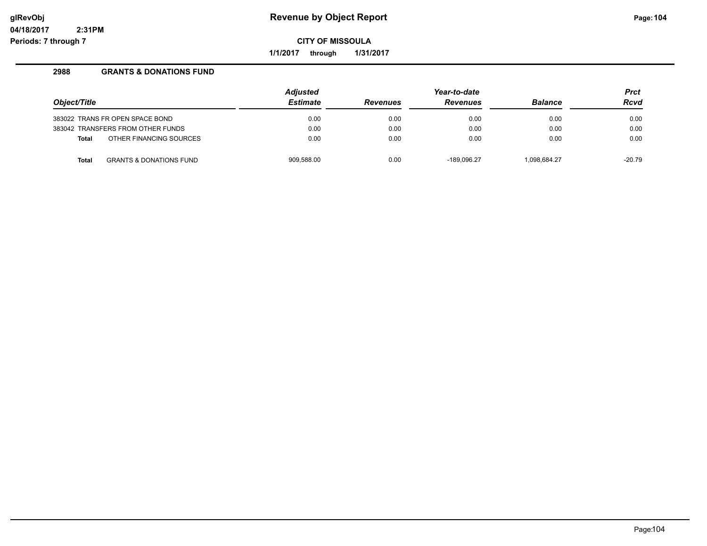**1/1/2017 through 1/31/2017**

#### **2988 GRANTS & DONATIONS FUND**

|              |                                    | <b>Adjusted</b> |                 | <b>Prct</b>     |                |             |
|--------------|------------------------------------|-----------------|-----------------|-----------------|----------------|-------------|
| Object/Title |                                    | <b>Estimate</b> | <b>Revenues</b> | <b>Revenues</b> | <b>Balance</b> | <b>Rcvd</b> |
|              | 383022 TRANS FR OPEN SPACE BOND    | 0.00            | 0.00            | 0.00            | 0.00           | 0.00        |
|              | 383042 TRANSFERS FROM OTHER FUNDS  | 0.00            | 0.00            | 0.00            | 0.00           | 0.00        |
| <b>Total</b> | OTHER FINANCING SOURCES            | 0.00            | 0.00            | 0.00            | 0.00           | 0.00        |
| <b>Total</b> | <b>GRANTS &amp; DONATIONS FUND</b> | 909,588.00      | 0.00            | -189.096.27     | 1.098.684.27   | $-20.79$    |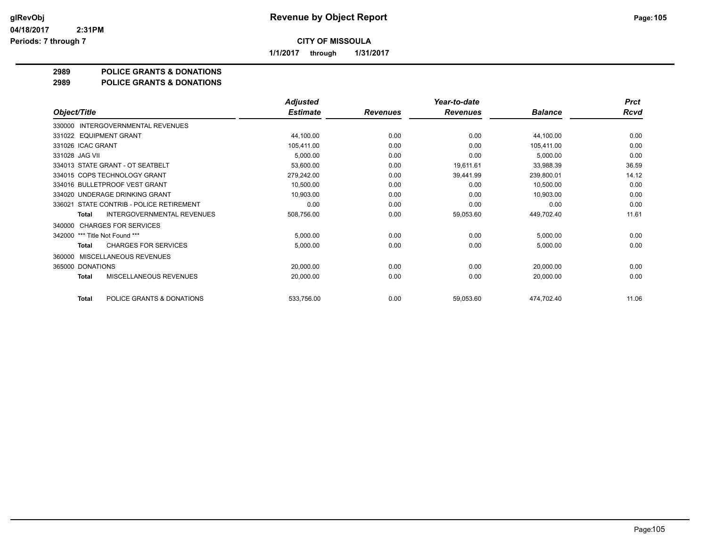**1/1/2017 through 1/31/2017**

**2989 POLICE GRANTS & DONATIONS**

**2989 POLICE GRANTS & DONATIONS**

|                                             | <b>Adjusted</b> |                 | Year-to-date    |                | <b>Prct</b> |
|---------------------------------------------|-----------------|-----------------|-----------------|----------------|-------------|
| Object/Title                                | <b>Estimate</b> | <b>Revenues</b> | <b>Revenues</b> | <b>Balance</b> | Rcvd        |
| <b>INTERGOVERNMENTAL REVENUES</b><br>330000 |                 |                 |                 |                |             |
| 331022 EQUIPMENT GRANT                      | 44,100.00       | 0.00            | 0.00            | 44,100.00      | 0.00        |
| 331026 ICAC GRANT                           | 105,411.00      | 0.00            | 0.00            | 105,411.00     | 0.00        |
| 331028 JAG VII                              | 5,000.00        | 0.00            | 0.00            | 5,000.00       | 0.00        |
| 334013 STATE GRANT - OT SEATBELT            | 53,600.00       | 0.00            | 19,611.61       | 33,988.39      | 36.59       |
| 334015 COPS TECHNOLOGY GRANT                | 279,242.00      | 0.00            | 39,441.99       | 239,800.01     | 14.12       |
| 334016 BULLETPROOF VEST GRANT               | 10,500.00       | 0.00            | 0.00            | 10,500.00      | 0.00        |
| 334020 UNDERAGE DRINKING GRANT              | 10,903.00       | 0.00            | 0.00            | 10,903.00      | 0.00        |
| 336021 STATE CONTRIB - POLICE RETIREMENT    | 0.00            | 0.00            | 0.00            | 0.00           | 0.00        |
| <b>INTERGOVERNMENTAL REVENUES</b><br>Total  | 508,756.00      | 0.00            | 59,053.60       | 449,702.40     | 11.61       |
| 340000 CHARGES FOR SERVICES                 |                 |                 |                 |                |             |
| *** Title Not Found ***<br>342000           | 5,000.00        | 0.00            | 0.00            | 5,000.00       | 0.00        |
| <b>CHARGES FOR SERVICES</b><br><b>Total</b> | 5,000.00        | 0.00            | 0.00            | 5,000.00       | 0.00        |
| MISCELLANEOUS REVENUES<br>360000            |                 |                 |                 |                |             |
| 365000 DONATIONS                            | 20,000.00       | 0.00            | 0.00            | 20,000.00      | 0.00        |
| MISCELLANEOUS REVENUES<br><b>Total</b>      | 20,000.00       | 0.00            | 0.00            | 20,000.00      | 0.00        |
| POLICE GRANTS & DONATIONS<br><b>Total</b>   | 533,756.00      | 0.00            | 59,053.60       | 474,702.40     | 11.06       |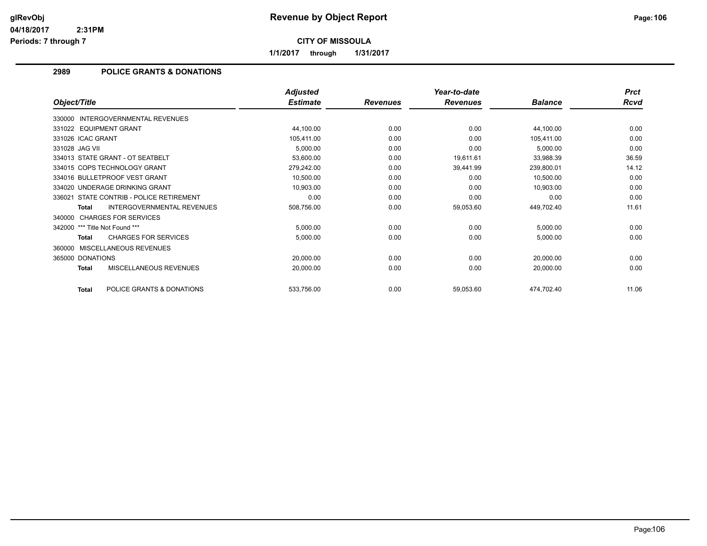**1/1/2017 through 1/31/2017**

#### **2989 POLICE GRANTS & DONATIONS**

|                                                   | <b>Adjusted</b> |                 | Year-to-date    |                | <b>Prct</b> |
|---------------------------------------------------|-----------------|-----------------|-----------------|----------------|-------------|
| Object/Title                                      | <b>Estimate</b> | <b>Revenues</b> | <b>Revenues</b> | <b>Balance</b> | <b>Rcvd</b> |
| <b>INTERGOVERNMENTAL REVENUES</b><br>330000       |                 |                 |                 |                |             |
| 331022 EQUIPMENT GRANT                            | 44,100.00       | 0.00            | 0.00            | 44,100.00      | 0.00        |
| 331026 ICAC GRANT                                 | 105,411.00      | 0.00            | 0.00            | 105,411.00     | 0.00        |
| 331028 JAG VII                                    | 5,000.00        | 0.00            | 0.00            | 5,000.00       | 0.00        |
| 334013 STATE GRANT - OT SEATBELT                  | 53,600.00       | 0.00            | 19,611.61       | 33,988.39      | 36.59       |
| 334015 COPS TECHNOLOGY GRANT                      | 279,242.00      | 0.00            | 39,441.99       | 239,800.01     | 14.12       |
| 334016 BULLETPROOF VEST GRANT                     | 10,500.00       | 0.00            | 0.00            | 10,500.00      | 0.00        |
| 334020 UNDERAGE DRINKING GRANT                    | 10,903.00       | 0.00            | 0.00            | 10,903.00      | 0.00        |
| 336021 STATE CONTRIB - POLICE RETIREMENT          | 0.00            | 0.00            | 0.00            | 0.00           | 0.00        |
| <b>INTERGOVERNMENTAL REVENUES</b><br><b>Total</b> | 508,756.00      | 0.00            | 59,053.60       | 449,702.40     | 11.61       |
| 340000 CHARGES FOR SERVICES                       |                 |                 |                 |                |             |
| 342000 *** Title Not Found ***                    | 5,000.00        | 0.00            | 0.00            | 5,000.00       | 0.00        |
| <b>CHARGES FOR SERVICES</b><br><b>Total</b>       | 5,000.00        | 0.00            | 0.00            | 5,000.00       | 0.00        |
| MISCELLANEOUS REVENUES<br>360000                  |                 |                 |                 |                |             |
| 365000 DONATIONS                                  | 20,000.00       | 0.00            | 0.00            | 20,000.00      | 0.00        |
| MISCELLANEOUS REVENUES<br><b>Total</b>            | 20,000.00       | 0.00            | 0.00            | 20,000.00      | 0.00        |
| POLICE GRANTS & DONATIONS<br>Total                | 533,756.00      | 0.00            | 59,053.60       | 474,702.40     | 11.06       |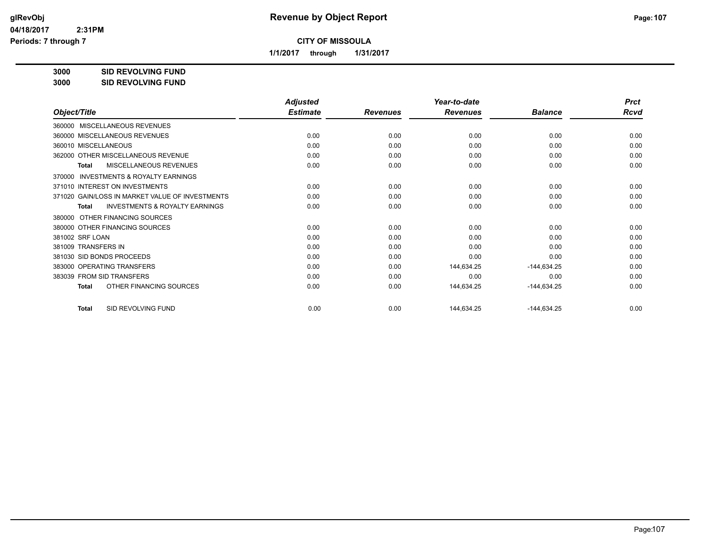**1/1/2017 through 1/31/2017**

**3000 SID REVOLVING FUND 3000 SID REVOLVING FUND**

|                                                           | <b>Adjusted</b> |                 | Year-to-date    |                | <b>Prct</b> |
|-----------------------------------------------------------|-----------------|-----------------|-----------------|----------------|-------------|
| Object/Title                                              | <b>Estimate</b> | <b>Revenues</b> | <b>Revenues</b> | <b>Balance</b> | <b>Rcvd</b> |
| MISCELLANEOUS REVENUES<br>360000                          |                 |                 |                 |                |             |
| 360000 MISCELLANEOUS REVENUES                             | 0.00            | 0.00            | 0.00            | 0.00           | 0.00        |
| 360010 MISCELLANEOUS                                      | 0.00            | 0.00            | 0.00            | 0.00           | 0.00        |
| 362000 OTHER MISCELLANEOUS REVENUE                        | 0.00            | 0.00            | 0.00            | 0.00           | 0.00        |
| <b>MISCELLANEOUS REVENUES</b><br><b>Total</b>             | 0.00            | 0.00            | 0.00            | 0.00           | 0.00        |
| INVESTMENTS & ROYALTY EARNINGS<br>370000                  |                 |                 |                 |                |             |
| 371010 INTEREST ON INVESTMENTS                            | 0.00            | 0.00            | 0.00            | 0.00           | 0.00        |
| 371020 GAIN/LOSS IN MARKET VALUE OF INVESTMENTS           | 0.00            | 0.00            | 0.00            | 0.00           | 0.00        |
| <b>INVESTMENTS &amp; ROYALTY EARNINGS</b><br><b>Total</b> | 0.00            | 0.00            | 0.00            | 0.00           | 0.00        |
| OTHER FINANCING SOURCES<br>380000                         |                 |                 |                 |                |             |
| 380000 OTHER FINANCING SOURCES                            | 0.00            | 0.00            | 0.00            | 0.00           | 0.00        |
| 381002 SRF LOAN                                           | 0.00            | 0.00            | 0.00            | 0.00           | 0.00        |
| 381009 TRANSFERS IN                                       | 0.00            | 0.00            | 0.00            | 0.00           | 0.00        |
| 381030 SID BONDS PROCEEDS                                 | 0.00            | 0.00            | 0.00            | 0.00           | 0.00        |
| 383000 OPERATING TRANSFERS                                | 0.00            | 0.00            | 144,634.25      | $-144,634.25$  | 0.00        |
| 383039 FROM SID TRANSFERS                                 | 0.00            | 0.00            | 0.00            | 0.00           | 0.00        |
| OTHER FINANCING SOURCES<br><b>Total</b>                   | 0.00            | 0.00            | 144,634.25      | $-144,634.25$  | 0.00        |
| SID REVOLVING FUND<br><b>Total</b>                        | 0.00            | 0.00            | 144,634.25      | $-144.634.25$  | 0.00        |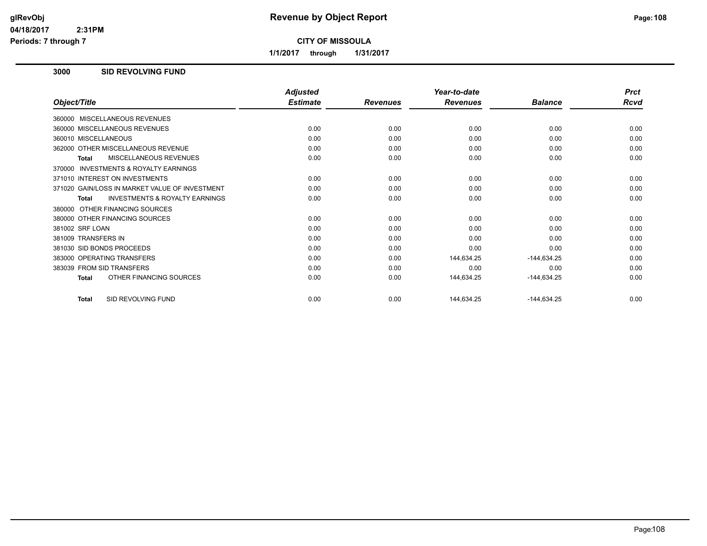**1/1/2017 through 1/31/2017**

#### **3000 SID REVOLVING FUND**

|                                                           | <b>Adjusted</b> |                 | Year-to-date    |                | <b>Prct</b> |
|-----------------------------------------------------------|-----------------|-----------------|-----------------|----------------|-------------|
| Object/Title                                              | <b>Estimate</b> | <b>Revenues</b> | <b>Revenues</b> | <b>Balance</b> | Rcvd        |
| 360000 MISCELLANEOUS REVENUES                             |                 |                 |                 |                |             |
| 360000 MISCELLANEOUS REVENUES                             | 0.00            | 0.00            | 0.00            | 0.00           | 0.00        |
| 360010 MISCELLANEOUS                                      | 0.00            | 0.00            | 0.00            | 0.00           | 0.00        |
| 362000 OTHER MISCELLANEOUS REVENUE                        | 0.00            | 0.00            | 0.00            | 0.00           | 0.00        |
| MISCELLANEOUS REVENUES<br><b>Total</b>                    | 0.00            | 0.00            | 0.00            | 0.00           | 0.00        |
| <b>INVESTMENTS &amp; ROYALTY EARNINGS</b><br>370000       |                 |                 |                 |                |             |
| 371010 INTEREST ON INVESTMENTS                            | 0.00            | 0.00            | 0.00            | 0.00           | 0.00        |
| 371020 GAIN/LOSS IN MARKET VALUE OF INVESTMENT            | 0.00            | 0.00            | 0.00            | 0.00           | 0.00        |
| <b>INVESTMENTS &amp; ROYALTY EARNINGS</b><br><b>Total</b> | 0.00            | 0.00            | 0.00            | 0.00           | 0.00        |
| 380000 OTHER FINANCING SOURCES                            |                 |                 |                 |                |             |
| 380000 OTHER FINANCING SOURCES                            | 0.00            | 0.00            | 0.00            | 0.00           | 0.00        |
| 381002 SRF LOAN                                           | 0.00            | 0.00            | 0.00            | 0.00           | 0.00        |
| 381009 TRANSFERS IN                                       | 0.00            | 0.00            | 0.00            | 0.00           | 0.00        |
| 381030 SID BONDS PROCEEDS                                 | 0.00            | 0.00            | 0.00            | 0.00           | 0.00        |
| 383000 OPERATING TRANSFERS                                | 0.00            | 0.00            | 144,634.25      | $-144,634.25$  | 0.00        |
| 383039 FROM SID TRANSFERS                                 | 0.00            | 0.00            | 0.00            | 0.00           | 0.00        |
| OTHER FINANCING SOURCES<br><b>Total</b>                   | 0.00            | 0.00            | 144,634.25      | $-144,634.25$  | 0.00        |
| SID REVOLVING FUND<br><b>Total</b>                        | 0.00            | 0.00            | 144,634.25      | $-144,634.25$  | 0.00        |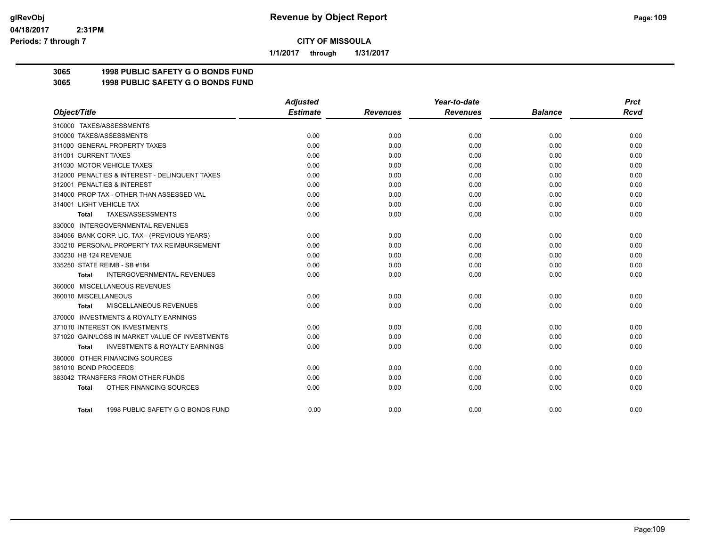**1/1/2017 through 1/31/2017**

## **3065 1998 PUBLIC SAFETY G O BONDS FUND**

**3065 1998 PUBLIC SAFETY G O BONDS FUND**

|                                                           | <b>Adjusted</b> |                 | Year-to-date    |                | <b>Prct</b> |
|-----------------------------------------------------------|-----------------|-----------------|-----------------|----------------|-------------|
| Object/Title                                              | <b>Estimate</b> | <b>Revenues</b> | <b>Revenues</b> | <b>Balance</b> | Rcvd        |
| 310000 TAXES/ASSESSMENTS                                  |                 |                 |                 |                |             |
| 310000 TAXES/ASSESSMENTS                                  | 0.00            | 0.00            | 0.00            | 0.00           | 0.00        |
| 311000 GENERAL PROPERTY TAXES                             | 0.00            | 0.00            | 0.00            | 0.00           | 0.00        |
| 311001 CURRENT TAXES                                      | 0.00            | 0.00            | 0.00            | 0.00           | 0.00        |
| 311030 MOTOR VEHICLE TAXES                                | 0.00            | 0.00            | 0.00            | 0.00           | 0.00        |
| 312000 PENALTIES & INTEREST - DELINQUENT TAXES            | 0.00            | 0.00            | 0.00            | 0.00           | 0.00        |
| 312001 PENALTIES & INTEREST                               | 0.00            | 0.00            | 0.00            | 0.00           | 0.00        |
| 314000 PROP TAX - OTHER THAN ASSESSED VAL                 | 0.00            | 0.00            | 0.00            | 0.00           | 0.00        |
| 314001 LIGHT VEHICLE TAX                                  | 0.00            | 0.00            | 0.00            | 0.00           | 0.00        |
| TAXES/ASSESSMENTS<br><b>Total</b>                         | 0.00            | 0.00            | 0.00            | 0.00           | 0.00        |
| 330000 INTERGOVERNMENTAL REVENUES                         |                 |                 |                 |                |             |
| 334056 BANK CORP. LIC. TAX - (PREVIOUS YEARS)             | 0.00            | 0.00            | 0.00            | 0.00           | 0.00        |
| 335210 PERSONAL PROPERTY TAX REIMBURSEMENT                | 0.00            | 0.00            | 0.00            | 0.00           | 0.00        |
| 335230 HB 124 REVENUE                                     | 0.00            | 0.00            | 0.00            | 0.00           | 0.00        |
| 335250 STATE REIMB - SB #184                              | 0.00            | 0.00            | 0.00            | 0.00           | 0.00        |
| <b>INTERGOVERNMENTAL REVENUES</b><br>Total                | 0.00            | 0.00            | 0.00            | 0.00           | 0.00        |
| 360000 MISCELLANEOUS REVENUES                             |                 |                 |                 |                |             |
| 360010 MISCELLANEOUS                                      | 0.00            | 0.00            | 0.00            | 0.00           | 0.00        |
| MISCELLANEOUS REVENUES<br><b>Total</b>                    | 0.00            | 0.00            | 0.00            | 0.00           | 0.00        |
| 370000 INVESTMENTS & ROYALTY EARNINGS                     |                 |                 |                 |                |             |
| 371010 INTEREST ON INVESTMENTS                            | 0.00            | 0.00            | 0.00            | 0.00           | 0.00        |
| 371020 GAIN/LOSS IN MARKET VALUE OF INVESTMENTS           | 0.00            | 0.00            | 0.00            | 0.00           | 0.00        |
| <b>INVESTMENTS &amp; ROYALTY EARNINGS</b><br><b>Total</b> | 0.00            | 0.00            | 0.00            | 0.00           | 0.00        |
| 380000 OTHER FINANCING SOURCES                            |                 |                 |                 |                |             |
| 381010 BOND PROCEEDS                                      | 0.00            | 0.00            | 0.00            | 0.00           | 0.00        |
| 383042 TRANSFERS FROM OTHER FUNDS                         | 0.00            | 0.00            | 0.00            | 0.00           | 0.00        |
| OTHER FINANCING SOURCES<br><b>Total</b>                   | 0.00            | 0.00            | 0.00            | 0.00           | 0.00        |
| 1998 PUBLIC SAFETY G O BONDS FUND<br>Total                | 0.00            | 0.00            | 0.00            | 0.00           | 0.00        |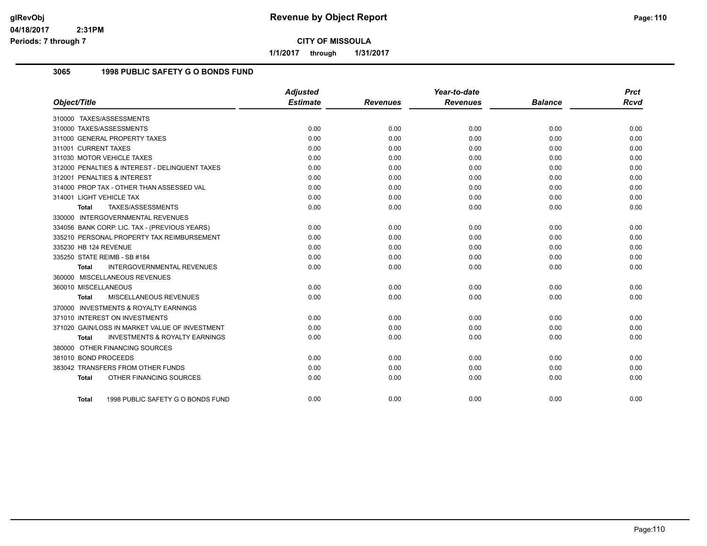**1/1/2017 through 1/31/2017**

#### **3065 1998 PUBLIC SAFETY G O BONDS FUND**

|                                                    | <b>Adjusted</b> |                 | Year-to-date    |                | <b>Prct</b> |
|----------------------------------------------------|-----------------|-----------------|-----------------|----------------|-------------|
| Object/Title                                       | <b>Estimate</b> | <b>Revenues</b> | <b>Revenues</b> | <b>Balance</b> | <b>Rcvd</b> |
| 310000 TAXES/ASSESSMENTS                           |                 |                 |                 |                |             |
| 310000 TAXES/ASSESSMENTS                           | 0.00            | 0.00            | 0.00            | 0.00           | 0.00        |
| 311000 GENERAL PROPERTY TAXES                      | 0.00            | 0.00            | 0.00            | 0.00           | 0.00        |
| 311001 CURRENT TAXES                               | 0.00            | 0.00            | 0.00            | 0.00           | 0.00        |
| 311030 MOTOR VEHICLE TAXES                         | 0.00            | 0.00            | 0.00            | 0.00           | 0.00        |
| 312000 PENALTIES & INTEREST - DELINQUENT TAXES     | 0.00            | 0.00            | 0.00            | 0.00           | 0.00        |
| 312001 PENALTIES & INTEREST                        | 0.00            | 0.00            | 0.00            | 0.00           | 0.00        |
| 314000 PROP TAX - OTHER THAN ASSESSED VAL          | 0.00            | 0.00            | 0.00            | 0.00           | 0.00        |
| 314001 LIGHT VEHICLE TAX                           | 0.00            | 0.00            | 0.00            | 0.00           | 0.00        |
| TAXES/ASSESSMENTS<br><b>Total</b>                  | 0.00            | 0.00            | 0.00            | 0.00           | 0.00        |
| 330000 INTERGOVERNMENTAL REVENUES                  |                 |                 |                 |                |             |
| 334056 BANK CORP. LIC. TAX - (PREVIOUS YEARS)      | 0.00            | 0.00            | 0.00            | 0.00           | 0.00        |
| 335210 PERSONAL PROPERTY TAX REIMBURSEMENT         | 0.00            | 0.00            | 0.00            | 0.00           | 0.00        |
| 335230 HB 124 REVENUE                              | 0.00            | 0.00            | 0.00            | 0.00           | 0.00        |
| 335250 STATE REIMB - SB #184                       | 0.00            | 0.00            | 0.00            | 0.00           | 0.00        |
| <b>INTERGOVERNMENTAL REVENUES</b><br>Total         | 0.00            | 0.00            | 0.00            | 0.00           | 0.00        |
| 360000 MISCELLANEOUS REVENUES                      |                 |                 |                 |                |             |
| 360010 MISCELLANEOUS                               | 0.00            | 0.00            | 0.00            | 0.00           | 0.00        |
| MISCELLANEOUS REVENUES<br><b>Total</b>             | 0.00            | 0.00            | 0.00            | 0.00           | 0.00        |
| 370000 INVESTMENTS & ROYALTY EARNINGS              |                 |                 |                 |                |             |
| 371010 INTEREST ON INVESTMENTS                     | 0.00            | 0.00            | 0.00            | 0.00           | 0.00        |
| 371020 GAIN/LOSS IN MARKET VALUE OF INVESTMENT     | 0.00            | 0.00            | 0.00            | 0.00           | 0.00        |
| <b>INVESTMENTS &amp; ROYALTY EARNINGS</b><br>Total | 0.00            | 0.00            | 0.00            | 0.00           | 0.00        |
| 380000 OTHER FINANCING SOURCES                     |                 |                 |                 |                |             |
| 381010 BOND PROCEEDS                               | 0.00            | 0.00            | 0.00            | 0.00           | 0.00        |
| 383042 TRANSFERS FROM OTHER FUNDS                  | 0.00            | 0.00            | 0.00            | 0.00           | 0.00        |
| OTHER FINANCING SOURCES<br>Total                   | 0.00            | 0.00            | 0.00            | 0.00           | 0.00        |
| 1998 PUBLIC SAFETY G O BONDS FUND<br>Total         | 0.00            | 0.00            | 0.00            | 0.00           | 0.00        |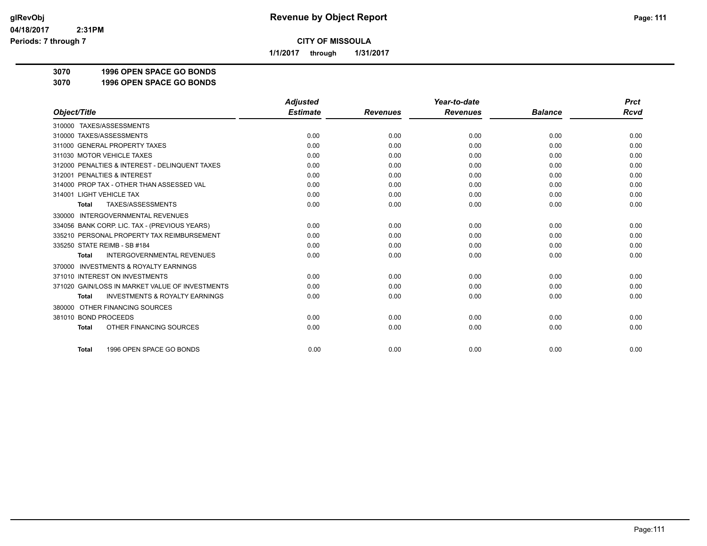**1/1/2017 through 1/31/2017**

**3070 1996 OPEN SPACE GO BONDS**

**3070 1996 OPEN SPACE GO BONDS**

|                                                           | <b>Adjusted</b> |                 | Year-to-date    |                | <b>Prct</b> |
|-----------------------------------------------------------|-----------------|-----------------|-----------------|----------------|-------------|
| Object/Title                                              | <b>Estimate</b> | <b>Revenues</b> | <b>Revenues</b> | <b>Balance</b> | Rcvd        |
| 310000 TAXES/ASSESSMENTS                                  |                 |                 |                 |                |             |
| 310000 TAXES/ASSESSMENTS                                  | 0.00            | 0.00            | 0.00            | 0.00           | 0.00        |
| 311000 GENERAL PROPERTY TAXES                             | 0.00            | 0.00            | 0.00            | 0.00           | 0.00        |
| 311030 MOTOR VEHICLE TAXES                                | 0.00            | 0.00            | 0.00            | 0.00           | 0.00        |
| 312000 PENALTIES & INTEREST - DELINQUENT TAXES            | 0.00            | 0.00            | 0.00            | 0.00           | 0.00        |
| 312001 PENALTIES & INTEREST                               | 0.00            | 0.00            | 0.00            | 0.00           | 0.00        |
| 314000 PROP TAX - OTHER THAN ASSESSED VAL                 | 0.00            | 0.00            | 0.00            | 0.00           | 0.00        |
| 314001 LIGHT VEHICLE TAX                                  | 0.00            | 0.00            | 0.00            | 0.00           | 0.00        |
| TAXES/ASSESSMENTS<br><b>Total</b>                         | 0.00            | 0.00            | 0.00            | 0.00           | 0.00        |
| 330000 INTERGOVERNMENTAL REVENUES                         |                 |                 |                 |                |             |
| 334056 BANK CORP. LIC. TAX - (PREVIOUS YEARS)             | 0.00            | 0.00            | 0.00            | 0.00           | 0.00        |
| 335210 PERSONAL PROPERTY TAX REIMBURSEMENT                | 0.00            | 0.00            | 0.00            | 0.00           | 0.00        |
| 335250 STATE REIMB - SB #184                              | 0.00            | 0.00            | 0.00            | 0.00           | 0.00        |
| <b>INTERGOVERNMENTAL REVENUES</b><br><b>Total</b>         | 0.00            | 0.00            | 0.00            | 0.00           | 0.00        |
| 370000 INVESTMENTS & ROYALTY EARNINGS                     |                 |                 |                 |                |             |
| 371010 INTEREST ON INVESTMENTS                            | 0.00            | 0.00            | 0.00            | 0.00           | 0.00        |
| 371020 GAIN/LOSS IN MARKET VALUE OF INVESTMENTS           | 0.00            | 0.00            | 0.00            | 0.00           | 0.00        |
| <b>INVESTMENTS &amp; ROYALTY EARNINGS</b><br><b>Total</b> | 0.00            | 0.00            | 0.00            | 0.00           | 0.00        |
| 380000 OTHER FINANCING SOURCES                            |                 |                 |                 |                |             |
| 381010 BOND PROCEEDS                                      | 0.00            | 0.00            | 0.00            | 0.00           | 0.00        |
| OTHER FINANCING SOURCES<br><b>Total</b>                   | 0.00            | 0.00            | 0.00            | 0.00           | 0.00        |
| 1996 OPEN SPACE GO BONDS<br><b>Total</b>                  | 0.00            | 0.00            | 0.00            | 0.00           | 0.00        |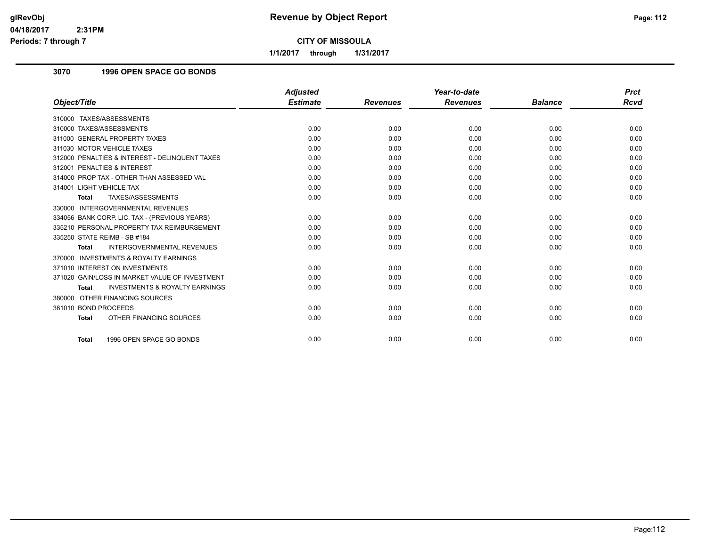**1/1/2017 through 1/31/2017**

#### **3070 1996 OPEN SPACE GO BONDS**

|                                                           | <b>Adjusted</b> |                 | Year-to-date    |                | <b>Prct</b> |
|-----------------------------------------------------------|-----------------|-----------------|-----------------|----------------|-------------|
| Object/Title                                              | <b>Estimate</b> | <b>Revenues</b> | <b>Revenues</b> | <b>Balance</b> | Rcvd        |
| 310000 TAXES/ASSESSMENTS                                  |                 |                 |                 |                |             |
| 310000 TAXES/ASSESSMENTS                                  | 0.00            | 0.00            | 0.00            | 0.00           | 0.00        |
| 311000 GENERAL PROPERTY TAXES                             | 0.00            | 0.00            | 0.00            | 0.00           | 0.00        |
| 311030 MOTOR VEHICLE TAXES                                | 0.00            | 0.00            | 0.00            | 0.00           | 0.00        |
| 312000 PENALTIES & INTEREST - DELINQUENT TAXES            | 0.00            | 0.00            | 0.00            | 0.00           | 0.00        |
| 312001 PENALTIES & INTEREST                               | 0.00            | 0.00            | 0.00            | 0.00           | 0.00        |
| 314000 PROP TAX - OTHER THAN ASSESSED VAL                 | 0.00            | 0.00            | 0.00            | 0.00           | 0.00        |
| 314001 LIGHT VEHICLE TAX                                  | 0.00            | 0.00            | 0.00            | 0.00           | 0.00        |
| TAXES/ASSESSMENTS<br><b>Total</b>                         | 0.00            | 0.00            | 0.00            | 0.00           | 0.00        |
| 330000 INTERGOVERNMENTAL REVENUES                         |                 |                 |                 |                |             |
| 334056 BANK CORP. LIC. TAX - (PREVIOUS YEARS)             | 0.00            | 0.00            | 0.00            | 0.00           | 0.00        |
| 335210 PERSONAL PROPERTY TAX REIMBURSEMENT                | 0.00            | 0.00            | 0.00            | 0.00           | 0.00        |
| 335250 STATE REIMB - SB #184                              | 0.00            | 0.00            | 0.00            | 0.00           | 0.00        |
| INTERGOVERNMENTAL REVENUES<br><b>Total</b>                | 0.00            | 0.00            | 0.00            | 0.00           | 0.00        |
| 370000 INVESTMENTS & ROYALTY EARNINGS                     |                 |                 |                 |                |             |
| 371010 INTEREST ON INVESTMENTS                            | 0.00            | 0.00            | 0.00            | 0.00           | 0.00        |
| 371020 GAIN/LOSS IN MARKET VALUE OF INVESTMENT            | 0.00            | 0.00            | 0.00            | 0.00           | 0.00        |
| <b>INVESTMENTS &amp; ROYALTY EARNINGS</b><br><b>Total</b> | 0.00            | 0.00            | 0.00            | 0.00           | 0.00        |
| 380000 OTHER FINANCING SOURCES                            |                 |                 |                 |                |             |
| 381010 BOND PROCEEDS                                      | 0.00            | 0.00            | 0.00            | 0.00           | 0.00        |
| OTHER FINANCING SOURCES<br><b>Total</b>                   | 0.00            | 0.00            | 0.00            | 0.00           | 0.00        |
| 1996 OPEN SPACE GO BONDS<br><b>Total</b>                  | 0.00            | 0.00            | 0.00            | 0.00           | 0.00        |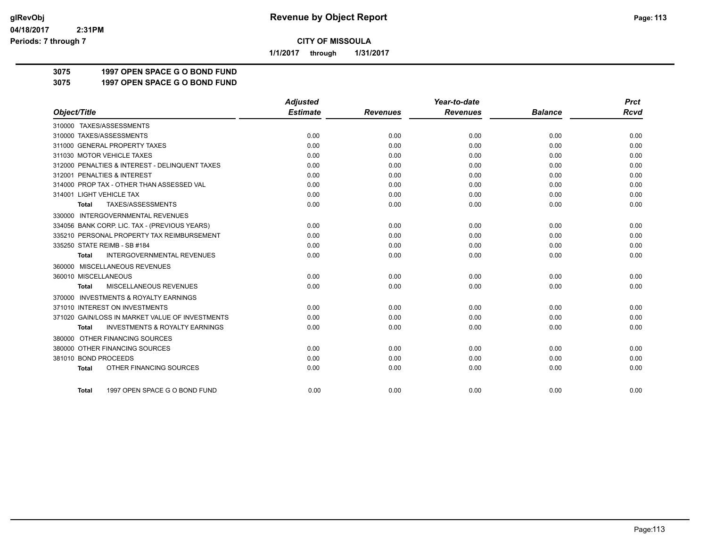**1/1/2017 through 1/31/2017**

### **3075 1997 OPEN SPACE G O BOND FUND**

**3075 1997 OPEN SPACE G O BOND FUND**

|                                                           | <b>Adjusted</b> |                 | Year-to-date    |                | <b>Prct</b> |
|-----------------------------------------------------------|-----------------|-----------------|-----------------|----------------|-------------|
| Object/Title                                              | <b>Estimate</b> | <b>Revenues</b> | <b>Revenues</b> | <b>Balance</b> | <b>Rcvd</b> |
| 310000 TAXES/ASSESSMENTS                                  |                 |                 |                 |                |             |
| 310000 TAXES/ASSESSMENTS                                  | 0.00            | 0.00            | 0.00            | 0.00           | 0.00        |
| 311000 GENERAL PROPERTY TAXES                             | 0.00            | 0.00            | 0.00            | 0.00           | 0.00        |
| 311030 MOTOR VEHICLE TAXES                                | 0.00            | 0.00            | 0.00            | 0.00           | 0.00        |
| 312000 PENALTIES & INTEREST - DELINQUENT TAXES            | 0.00            | 0.00            | 0.00            | 0.00           | 0.00        |
| 312001 PENALTIES & INTEREST                               | 0.00            | 0.00            | 0.00            | 0.00           | 0.00        |
| 314000 PROP TAX - OTHER THAN ASSESSED VAL                 | 0.00            | 0.00            | 0.00            | 0.00           | 0.00        |
| 314001 LIGHT VEHICLE TAX                                  | 0.00            | 0.00            | 0.00            | 0.00           | 0.00        |
| TAXES/ASSESSMENTS<br><b>Total</b>                         | 0.00            | 0.00            | 0.00            | 0.00           | 0.00        |
| 330000 INTERGOVERNMENTAL REVENUES                         |                 |                 |                 |                |             |
| 334056 BANK CORP. LIC. TAX - (PREVIOUS YEARS)             | 0.00            | 0.00            | 0.00            | 0.00           | 0.00        |
| 335210 PERSONAL PROPERTY TAX REIMBURSEMENT                | 0.00            | 0.00            | 0.00            | 0.00           | 0.00        |
| 335250 STATE REIMB - SB #184                              | 0.00            | 0.00            | 0.00            | 0.00           | 0.00        |
| <b>INTERGOVERNMENTAL REVENUES</b><br><b>Total</b>         | 0.00            | 0.00            | 0.00            | 0.00           | 0.00        |
| 360000 MISCELLANEOUS REVENUES                             |                 |                 |                 |                |             |
| 360010 MISCELLANEOUS                                      | 0.00            | 0.00            | 0.00            | 0.00           | 0.00        |
| <b>MISCELLANEOUS REVENUES</b><br>Total                    | 0.00            | 0.00            | 0.00            | 0.00           | 0.00        |
| 370000 INVESTMENTS & ROYALTY EARNINGS                     |                 |                 |                 |                |             |
| 371010 INTEREST ON INVESTMENTS                            | 0.00            | 0.00            | 0.00            | 0.00           | 0.00        |
| 371020 GAIN/LOSS IN MARKET VALUE OF INVESTMENTS           | 0.00            | 0.00            | 0.00            | 0.00           | 0.00        |
| <b>INVESTMENTS &amp; ROYALTY EARNINGS</b><br><b>Total</b> | 0.00            | 0.00            | 0.00            | 0.00           | 0.00        |
| 380000 OTHER FINANCING SOURCES                            |                 |                 |                 |                |             |
| 380000 OTHER FINANCING SOURCES                            | 0.00            | 0.00            | 0.00            | 0.00           | 0.00        |
| 381010 BOND PROCEEDS                                      | 0.00            | 0.00            | 0.00            | 0.00           | 0.00        |
| OTHER FINANCING SOURCES<br><b>Total</b>                   | 0.00            | 0.00            | 0.00            | 0.00           | 0.00        |
| 1997 OPEN SPACE G O BOND FUND<br><b>Total</b>             | 0.00            | 0.00            | 0.00            | 0.00           | 0.00        |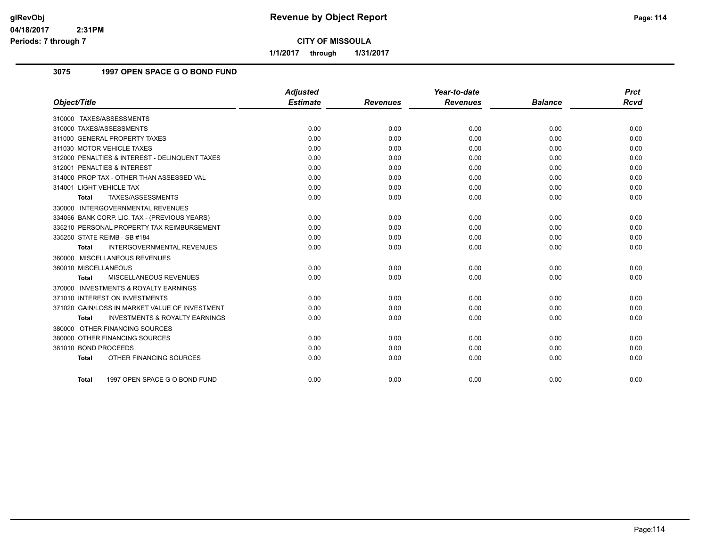**1/1/2017 through 1/31/2017**

#### **3075 1997 OPEN SPACE G O BOND FUND**

|                                                           | <b>Adjusted</b> |                 | Year-to-date    |                | <b>Prct</b> |
|-----------------------------------------------------------|-----------------|-----------------|-----------------|----------------|-------------|
| Object/Title                                              | <b>Estimate</b> | <b>Revenues</b> | <b>Revenues</b> | <b>Balance</b> | <b>Rcvd</b> |
| 310000 TAXES/ASSESSMENTS                                  |                 |                 |                 |                |             |
| 310000 TAXES/ASSESSMENTS                                  | 0.00            | 0.00            | 0.00            | 0.00           | 0.00        |
| 311000 GENERAL PROPERTY TAXES                             | 0.00            | 0.00            | 0.00            | 0.00           | 0.00        |
| 311030 MOTOR VEHICLE TAXES                                | 0.00            | 0.00            | 0.00            | 0.00           | 0.00        |
| 312000 PENALTIES & INTEREST - DELINQUENT TAXES            | 0.00            | 0.00            | 0.00            | 0.00           | 0.00        |
| 312001 PENALTIES & INTEREST                               | 0.00            | 0.00            | 0.00            | 0.00           | 0.00        |
| 314000 PROP TAX - OTHER THAN ASSESSED VAL                 | 0.00            | 0.00            | 0.00            | 0.00           | 0.00        |
| 314001 LIGHT VEHICLE TAX                                  | 0.00            | 0.00            | 0.00            | 0.00           | 0.00        |
| TAXES/ASSESSMENTS<br><b>Total</b>                         | 0.00            | 0.00            | 0.00            | 0.00           | 0.00        |
| 330000 INTERGOVERNMENTAL REVENUES                         |                 |                 |                 |                |             |
| 334056 BANK CORP. LIC. TAX - (PREVIOUS YEARS)             | 0.00            | 0.00            | 0.00            | 0.00           | 0.00        |
| 335210 PERSONAL PROPERTY TAX REIMBURSEMENT                | 0.00            | 0.00            | 0.00            | 0.00           | 0.00        |
| 335250 STATE REIMB - SB #184                              | 0.00            | 0.00            | 0.00            | 0.00           | 0.00        |
| INTERGOVERNMENTAL REVENUES<br><b>Total</b>                | 0.00            | 0.00            | 0.00            | 0.00           | 0.00        |
| 360000 MISCELLANEOUS REVENUES                             |                 |                 |                 |                |             |
| 360010 MISCELLANEOUS                                      | 0.00            | 0.00            | 0.00            | 0.00           | 0.00        |
| MISCELLANEOUS REVENUES<br><b>Total</b>                    | 0.00            | 0.00            | 0.00            | 0.00           | 0.00        |
| 370000 INVESTMENTS & ROYALTY EARNINGS                     |                 |                 |                 |                |             |
| 371010 INTEREST ON INVESTMENTS                            | 0.00            | 0.00            | 0.00            | 0.00           | 0.00        |
| 371020 GAIN/LOSS IN MARKET VALUE OF INVESTMENT            | 0.00            | 0.00            | 0.00            | 0.00           | 0.00        |
| <b>INVESTMENTS &amp; ROYALTY EARNINGS</b><br><b>Total</b> | 0.00            | 0.00            | 0.00            | 0.00           | 0.00        |
| 380000 OTHER FINANCING SOURCES                            |                 |                 |                 |                |             |
| 380000 OTHER FINANCING SOURCES                            | 0.00            | 0.00            | 0.00            | 0.00           | 0.00        |
| 381010 BOND PROCEEDS                                      | 0.00            | 0.00            | 0.00            | 0.00           | 0.00        |
| OTHER FINANCING SOURCES<br><b>Total</b>                   | 0.00            | 0.00            | 0.00            | 0.00           | 0.00        |
| 1997 OPEN SPACE G O BOND FUND<br><b>Total</b>             | 0.00            | 0.00            | 0.00            | 0.00           | 0.00        |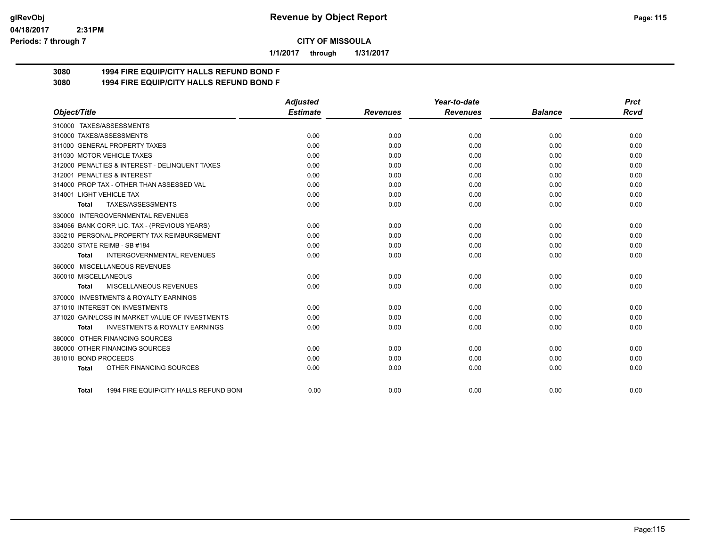**1/1/2017 through 1/31/2017**

### **3080 1994 FIRE EQUIP/CITY HALLS REFUND BOND F**

**3080 1994 FIRE EQUIP/CITY HALLS REFUND BOND F**

|                                                           | <b>Adjusted</b> |                 | Year-to-date    |                | <b>Prct</b> |
|-----------------------------------------------------------|-----------------|-----------------|-----------------|----------------|-------------|
| Object/Title                                              | <b>Estimate</b> | <b>Revenues</b> | <b>Revenues</b> | <b>Balance</b> | <b>Rcvd</b> |
| 310000 TAXES/ASSESSMENTS                                  |                 |                 |                 |                |             |
| 310000 TAXES/ASSESSMENTS                                  | 0.00            | 0.00            | 0.00            | 0.00           | 0.00        |
| 311000 GENERAL PROPERTY TAXES                             | 0.00            | 0.00            | 0.00            | 0.00           | 0.00        |
| 311030 MOTOR VEHICLE TAXES                                | 0.00            | 0.00            | 0.00            | 0.00           | 0.00        |
| 312000 PENALTIES & INTEREST - DELINQUENT TAXES            | 0.00            | 0.00            | 0.00            | 0.00           | 0.00        |
| 312001 PENALTIES & INTEREST                               | 0.00            | 0.00            | 0.00            | 0.00           | 0.00        |
| 314000 PROP TAX - OTHER THAN ASSESSED VAL                 | 0.00            | 0.00            | 0.00            | 0.00           | 0.00        |
| 314001 LIGHT VEHICLE TAX                                  | 0.00            | 0.00            | 0.00            | 0.00           | 0.00        |
| TAXES/ASSESSMENTS<br><b>Total</b>                         | 0.00            | 0.00            | 0.00            | 0.00           | 0.00        |
| 330000 INTERGOVERNMENTAL REVENUES                         |                 |                 |                 |                |             |
| 334056 BANK CORP. LIC. TAX - (PREVIOUS YEARS)             | 0.00            | 0.00            | 0.00            | 0.00           | 0.00        |
| 335210 PERSONAL PROPERTY TAX REIMBURSEMENT                | 0.00            | 0.00            | 0.00            | 0.00           | 0.00        |
| 335250 STATE REIMB - SB #184                              | 0.00            | 0.00            | 0.00            | 0.00           | 0.00        |
| <b>INTERGOVERNMENTAL REVENUES</b><br><b>Total</b>         | 0.00            | 0.00            | 0.00            | 0.00           | 0.00        |
| 360000 MISCELLANEOUS REVENUES                             |                 |                 |                 |                |             |
| 360010 MISCELLANEOUS                                      | 0.00            | 0.00            | 0.00            | 0.00           | 0.00        |
| MISCELLANEOUS REVENUES<br><b>Total</b>                    | 0.00            | 0.00            | 0.00            | 0.00           | 0.00        |
| 370000 INVESTMENTS & ROYALTY EARNINGS                     |                 |                 |                 |                |             |
| 371010 INTEREST ON INVESTMENTS                            | 0.00            | 0.00            | 0.00            | 0.00           | 0.00        |
| 371020 GAIN/LOSS IN MARKET VALUE OF INVESTMENTS           | 0.00            | 0.00            | 0.00            | 0.00           | 0.00        |
| <b>INVESTMENTS &amp; ROYALTY EARNINGS</b><br><b>Total</b> | 0.00            | 0.00            | 0.00            | 0.00           | 0.00        |
| 380000 OTHER FINANCING SOURCES                            |                 |                 |                 |                |             |
| 380000 OTHER FINANCING SOURCES                            | 0.00            | 0.00            | 0.00            | 0.00           | 0.00        |
| 381010 BOND PROCEEDS                                      | 0.00            | 0.00            | 0.00            | 0.00           | 0.00        |
| OTHER FINANCING SOURCES<br><b>Total</b>                   | 0.00            | 0.00            | 0.00            | 0.00           | 0.00        |
| 1994 FIRE EQUIP/CITY HALLS REFUND BONI<br><b>Total</b>    | 0.00            | 0.00            | 0.00            | 0.00           | 0.00        |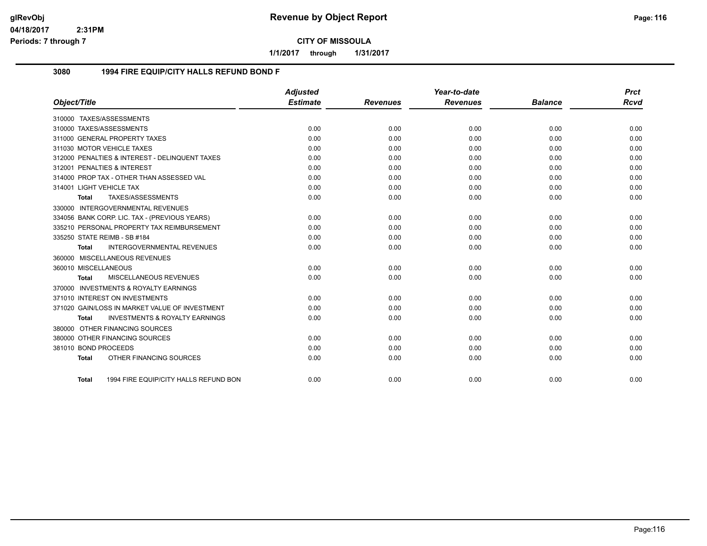**1/1/2017 through 1/31/2017**

#### **3080 1994 FIRE EQUIP/CITY HALLS REFUND BOND F**

|                                                           | <b>Adjusted</b> |                 | Year-to-date    |                | <b>Prct</b> |
|-----------------------------------------------------------|-----------------|-----------------|-----------------|----------------|-------------|
| Object/Title                                              | <b>Estimate</b> | <b>Revenues</b> | <b>Revenues</b> | <b>Balance</b> | <b>Rcvd</b> |
| 310000 TAXES/ASSESSMENTS                                  |                 |                 |                 |                |             |
| 310000 TAXES/ASSESSMENTS                                  | 0.00            | 0.00            | 0.00            | 0.00           | 0.00        |
| 311000 GENERAL PROPERTY TAXES                             | 0.00            | 0.00            | 0.00            | 0.00           | 0.00        |
| 311030 MOTOR VEHICLE TAXES                                | 0.00            | 0.00            | 0.00            | 0.00           | 0.00        |
| 312000 PENALTIES & INTEREST - DELINQUENT TAXES            | 0.00            | 0.00            | 0.00            | 0.00           | 0.00        |
| 312001 PENALTIES & INTEREST                               | 0.00            | 0.00            | 0.00            | 0.00           | 0.00        |
| 314000 PROP TAX - OTHER THAN ASSESSED VAL                 | 0.00            | 0.00            | 0.00            | 0.00           | 0.00        |
| 314001 LIGHT VEHICLE TAX                                  | 0.00            | 0.00            | 0.00            | 0.00           | 0.00        |
| TAXES/ASSESSMENTS<br><b>Total</b>                         | 0.00            | 0.00            | 0.00            | 0.00           | 0.00        |
| 330000 INTERGOVERNMENTAL REVENUES                         |                 |                 |                 |                |             |
| 334056 BANK CORP. LIC. TAX - (PREVIOUS YEARS)             | 0.00            | 0.00            | 0.00            | 0.00           | 0.00        |
| 335210 PERSONAL PROPERTY TAX REIMBURSEMENT                | 0.00            | 0.00            | 0.00            | 0.00           | 0.00        |
| 335250 STATE REIMB - SB #184                              | 0.00            | 0.00            | 0.00            | 0.00           | 0.00        |
| INTERGOVERNMENTAL REVENUES<br><b>Total</b>                | 0.00            | 0.00            | 0.00            | 0.00           | 0.00        |
| 360000 MISCELLANEOUS REVENUES                             |                 |                 |                 |                |             |
| 360010 MISCELLANEOUS                                      | 0.00            | 0.00            | 0.00            | 0.00           | 0.00        |
| MISCELLANEOUS REVENUES<br><b>Total</b>                    | 0.00            | 0.00            | 0.00            | 0.00           | 0.00        |
| 370000 INVESTMENTS & ROYALTY EARNINGS                     |                 |                 |                 |                |             |
| 371010 INTEREST ON INVESTMENTS                            | 0.00            | 0.00            | 0.00            | 0.00           | 0.00        |
| 371020 GAIN/LOSS IN MARKET VALUE OF INVESTMENT            | 0.00            | 0.00            | 0.00            | 0.00           | 0.00        |
| <b>INVESTMENTS &amp; ROYALTY EARNINGS</b><br><b>Total</b> | 0.00            | 0.00            | 0.00            | 0.00           | 0.00        |
| 380000 OTHER FINANCING SOURCES                            |                 |                 |                 |                |             |
| 380000 OTHER FINANCING SOURCES                            | 0.00            | 0.00            | 0.00            | 0.00           | 0.00        |
| 381010 BOND PROCEEDS                                      | 0.00            | 0.00            | 0.00            | 0.00           | 0.00        |
| OTHER FINANCING SOURCES<br><b>Total</b>                   | 0.00            | 0.00            | 0.00            | 0.00           | 0.00        |
| 1994 FIRE EQUIP/CITY HALLS REFUND BON<br><b>Total</b>     | 0.00            | 0.00            | 0.00            | 0.00           | 0.00        |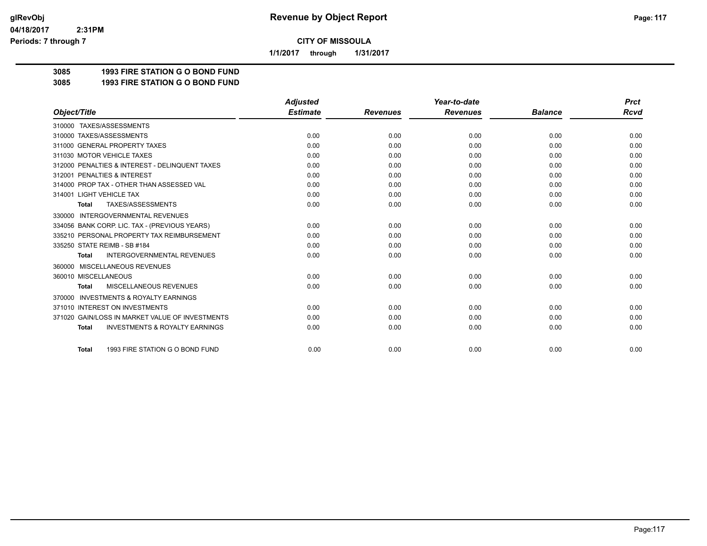**1/1/2017 through 1/31/2017**

**3085 1993 FIRE STATION G O BOND FUND**

**3085 1993 FIRE STATION G O BOND FUND**

|                                                           | <b>Adjusted</b> |                 | Year-to-date    |                | <b>Prct</b> |
|-----------------------------------------------------------|-----------------|-----------------|-----------------|----------------|-------------|
| Object/Title                                              | <b>Estimate</b> | <b>Revenues</b> | <b>Revenues</b> | <b>Balance</b> | Rcvd        |
| 310000 TAXES/ASSESSMENTS                                  |                 |                 |                 |                |             |
| 310000 TAXES/ASSESSMENTS                                  | 0.00            | 0.00            | 0.00            | 0.00           | 0.00        |
| 311000 GENERAL PROPERTY TAXES                             | 0.00            | 0.00            | 0.00            | 0.00           | 0.00        |
| 311030 MOTOR VEHICLE TAXES                                | 0.00            | 0.00            | 0.00            | 0.00           | 0.00        |
| 312000 PENALTIES & INTEREST - DELINQUENT TAXES            | 0.00            | 0.00            | 0.00            | 0.00           | 0.00        |
| 312001 PENALTIES & INTEREST                               | 0.00            | 0.00            | 0.00            | 0.00           | 0.00        |
| 314000 PROP TAX - OTHER THAN ASSESSED VAL                 | 0.00            | 0.00            | 0.00            | 0.00           | 0.00        |
| 314001 LIGHT VEHICLE TAX                                  | 0.00            | 0.00            | 0.00            | 0.00           | 0.00        |
| TAXES/ASSESSMENTS<br><b>Total</b>                         | 0.00            | 0.00            | 0.00            | 0.00           | 0.00        |
| 330000 INTERGOVERNMENTAL REVENUES                         |                 |                 |                 |                |             |
| 334056 BANK CORP. LIC. TAX - (PREVIOUS YEARS)             | 0.00            | 0.00            | 0.00            | 0.00           | 0.00        |
| 335210 PERSONAL PROPERTY TAX REIMBURSEMENT                | 0.00            | 0.00            | 0.00            | 0.00           | 0.00        |
| 335250 STATE REIMB - SB #184                              | 0.00            | 0.00            | 0.00            | 0.00           | 0.00        |
| <b>INTERGOVERNMENTAL REVENUES</b><br><b>Total</b>         | 0.00            | 0.00            | 0.00            | 0.00           | 0.00        |
| 360000 MISCELLANEOUS REVENUES                             |                 |                 |                 |                |             |
| 360010 MISCELLANEOUS                                      | 0.00            | 0.00            | 0.00            | 0.00           | 0.00        |
| <b>MISCELLANEOUS REVENUES</b><br>Total                    | 0.00            | 0.00            | 0.00            | 0.00           | 0.00        |
| 370000 INVESTMENTS & ROYALTY EARNINGS                     |                 |                 |                 |                |             |
| 371010 INTEREST ON INVESTMENTS                            | 0.00            | 0.00            | 0.00            | 0.00           | 0.00        |
| 371020 GAIN/LOSS IN MARKET VALUE OF INVESTMENTS           | 0.00            | 0.00            | 0.00            | 0.00           | 0.00        |
| <b>INVESTMENTS &amp; ROYALTY EARNINGS</b><br><b>Total</b> | 0.00            | 0.00            | 0.00            | 0.00           | 0.00        |
|                                                           |                 |                 |                 |                |             |
| 1993 FIRE STATION G O BOND FUND<br><b>Total</b>           | 0.00            | 0.00            | 0.00            | 0.00           | 0.00        |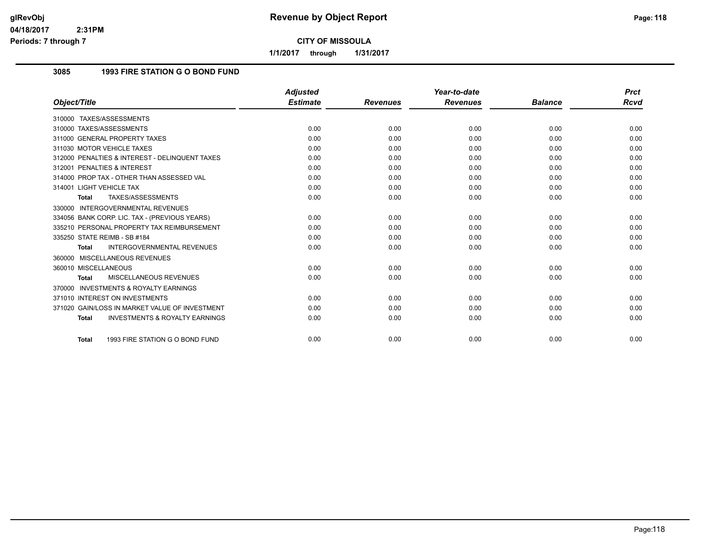**1/1/2017 through 1/31/2017**

#### **3085 1993 FIRE STATION G O BOND FUND**

|                                                           | <b>Adjusted</b> |                 | Year-to-date    |                | <b>Prct</b> |
|-----------------------------------------------------------|-----------------|-----------------|-----------------|----------------|-------------|
| Object/Title                                              | <b>Estimate</b> | <b>Revenues</b> | <b>Revenues</b> | <b>Balance</b> | Rcvd        |
| 310000 TAXES/ASSESSMENTS                                  |                 |                 |                 |                |             |
| 310000 TAXES/ASSESSMENTS                                  | 0.00            | 0.00            | 0.00            | 0.00           | 0.00        |
| 311000 GENERAL PROPERTY TAXES                             | 0.00            | 0.00            | 0.00            | 0.00           | 0.00        |
| 311030 MOTOR VEHICLE TAXES                                | 0.00            | 0.00            | 0.00            | 0.00           | 0.00        |
| 312000 PENALTIES & INTEREST - DELINQUENT TAXES            | 0.00            | 0.00            | 0.00            | 0.00           | 0.00        |
| 312001 PENALTIES & INTEREST                               | 0.00            | 0.00            | 0.00            | 0.00           | 0.00        |
| 314000 PROP TAX - OTHER THAN ASSESSED VAL                 | 0.00            | 0.00            | 0.00            | 0.00           | 0.00        |
| 314001 LIGHT VEHICLE TAX                                  | 0.00            | 0.00            | 0.00            | 0.00           | 0.00        |
| TAXES/ASSESSMENTS<br><b>Total</b>                         | 0.00            | 0.00            | 0.00            | 0.00           | 0.00        |
| 330000 INTERGOVERNMENTAL REVENUES                         |                 |                 |                 |                |             |
| 334056 BANK CORP. LIC. TAX - (PREVIOUS YEARS)             | 0.00            | 0.00            | 0.00            | 0.00           | 0.00        |
| 335210 PERSONAL PROPERTY TAX REIMBURSEMENT                | 0.00            | 0.00            | 0.00            | 0.00           | 0.00        |
| 335250 STATE REIMB - SB #184                              | 0.00            | 0.00            | 0.00            | 0.00           | 0.00        |
| INTERGOVERNMENTAL REVENUES<br><b>Total</b>                | 0.00            | 0.00            | 0.00            | 0.00           | 0.00        |
| 360000 MISCELLANEOUS REVENUES                             |                 |                 |                 |                |             |
| 360010 MISCELLANEOUS                                      | 0.00            | 0.00            | 0.00            | 0.00           | 0.00        |
| MISCELLANEOUS REVENUES<br><b>Total</b>                    | 0.00            | 0.00            | 0.00            | 0.00           | 0.00        |
| 370000 INVESTMENTS & ROYALTY EARNINGS                     |                 |                 |                 |                |             |
| 371010 INTEREST ON INVESTMENTS                            | 0.00            | 0.00            | 0.00            | 0.00           | 0.00        |
| 371020 GAIN/LOSS IN MARKET VALUE OF INVESTMENT            | 0.00            | 0.00            | 0.00            | 0.00           | 0.00        |
| <b>INVESTMENTS &amp; ROYALTY EARNINGS</b><br><b>Total</b> | 0.00            | 0.00            | 0.00            | 0.00           | 0.00        |
|                                                           |                 |                 |                 |                |             |
| 1993 FIRE STATION G O BOND FUND<br><b>Total</b>           | 0.00            | 0.00            | 0.00            | 0.00           | 0.00        |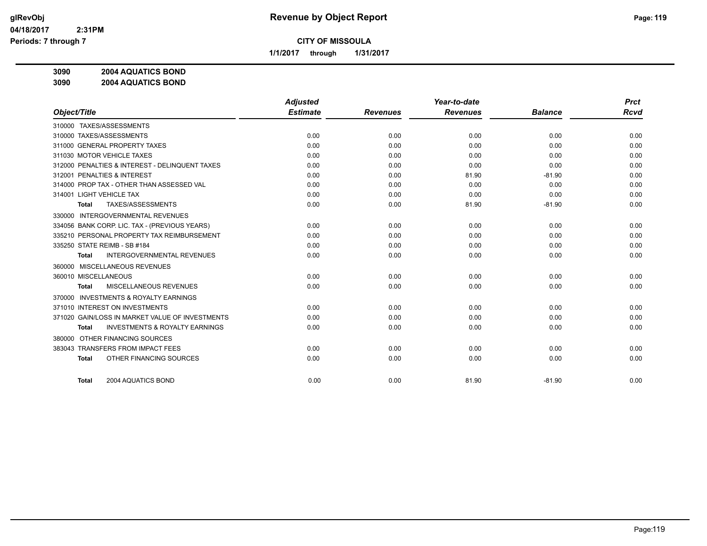**1/1/2017 through 1/31/2017**

**3090 2004 AQUATICS BOND**

| 3090 | <b>2004 AQUATICS BOND</b> |
|------|---------------------------|
|      |                           |

|                                                           | <b>Adjusted</b> |                 | Year-to-date    |                | <b>Prct</b> |
|-----------------------------------------------------------|-----------------|-----------------|-----------------|----------------|-------------|
| Object/Title                                              | <b>Estimate</b> | <b>Revenues</b> | <b>Revenues</b> | <b>Balance</b> | <b>Rcvd</b> |
| 310000 TAXES/ASSESSMENTS                                  |                 |                 |                 |                |             |
| 310000 TAXES/ASSESSMENTS                                  | 0.00            | 0.00            | 0.00            | 0.00           | 0.00        |
| 311000 GENERAL PROPERTY TAXES                             | 0.00            | 0.00            | 0.00            | 0.00           | 0.00        |
| 311030 MOTOR VEHICLE TAXES                                | 0.00            | 0.00            | 0.00            | 0.00           | 0.00        |
| 312000 PENALTIES & INTEREST - DELINQUENT TAXES            | 0.00            | 0.00            | 0.00            | 0.00           | 0.00        |
| 312001 PENALTIES & INTEREST                               | 0.00            | 0.00            | 81.90           | $-81.90$       | 0.00        |
| 314000 PROP TAX - OTHER THAN ASSESSED VAL                 | 0.00            | 0.00            | 0.00            | 0.00           | 0.00        |
| 314001 LIGHT VEHICLE TAX                                  | 0.00            | 0.00            | 0.00            | 0.00           | 0.00        |
| TAXES/ASSESSMENTS<br><b>Total</b>                         | 0.00            | 0.00            | 81.90           | $-81.90$       | 0.00        |
| 330000 INTERGOVERNMENTAL REVENUES                         |                 |                 |                 |                |             |
| 334056 BANK CORP. LIC. TAX - (PREVIOUS YEARS)             | 0.00            | 0.00            | 0.00            | 0.00           | 0.00        |
| 335210 PERSONAL PROPERTY TAX REIMBURSEMENT                | 0.00            | 0.00            | 0.00            | 0.00           | 0.00        |
| 335250 STATE REIMB - SB #184                              | 0.00            | 0.00            | 0.00            | 0.00           | 0.00        |
| <b>INTERGOVERNMENTAL REVENUES</b><br><b>Total</b>         | 0.00            | 0.00            | 0.00            | 0.00           | 0.00        |
| 360000 MISCELLANEOUS REVENUES                             |                 |                 |                 |                |             |
| 360010 MISCELLANEOUS                                      | 0.00            | 0.00            | 0.00            | 0.00           | 0.00        |
| MISCELLANEOUS REVENUES<br><b>Total</b>                    | 0.00            | 0.00            | 0.00            | 0.00           | 0.00        |
| <b>INVESTMENTS &amp; ROYALTY EARNINGS</b><br>370000       |                 |                 |                 |                |             |
| 371010 INTEREST ON INVESTMENTS                            | 0.00            | 0.00            | 0.00            | 0.00           | 0.00        |
| 371020 GAIN/LOSS IN MARKET VALUE OF INVESTMENTS           | 0.00            | 0.00            | 0.00            | 0.00           | 0.00        |
| <b>INVESTMENTS &amp; ROYALTY EARNINGS</b><br><b>Total</b> | 0.00            | 0.00            | 0.00            | 0.00           | 0.00        |
| 380000 OTHER FINANCING SOURCES                            |                 |                 |                 |                |             |
| 383043 TRANSFERS FROM IMPACT FEES                         | 0.00            | 0.00            | 0.00            | 0.00           | 0.00        |
| OTHER FINANCING SOURCES<br><b>Total</b>                   | 0.00            | 0.00            | 0.00            | 0.00           | 0.00        |
|                                                           |                 |                 |                 |                |             |
| 2004 AQUATICS BOND<br><b>Total</b>                        | 0.00            | 0.00            | 81.90           | $-81.90$       | 0.00        |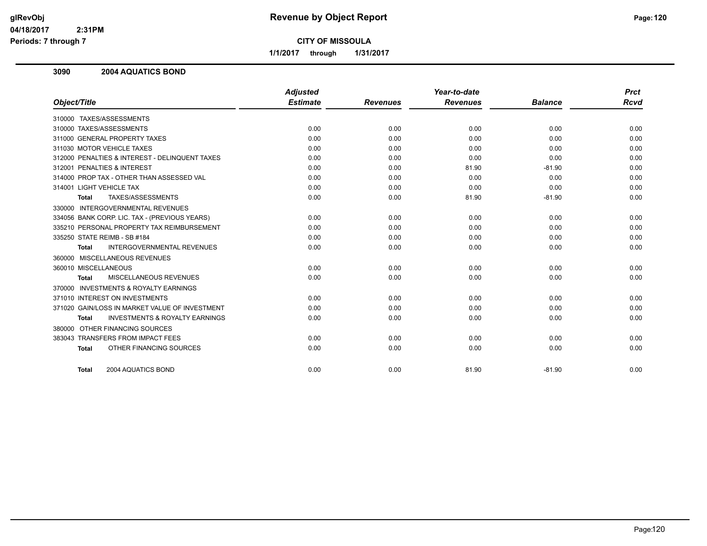**1/1/2017 through 1/31/2017**

#### **3090 2004 AQUATICS BOND**

|                                                           | <b>Adjusted</b> |                 | Year-to-date    |                | <b>Prct</b> |
|-----------------------------------------------------------|-----------------|-----------------|-----------------|----------------|-------------|
| Object/Title                                              | <b>Estimate</b> | <b>Revenues</b> | <b>Revenues</b> | <b>Balance</b> | <b>Rcvd</b> |
| 310000 TAXES/ASSESSMENTS                                  |                 |                 |                 |                |             |
| 310000 TAXES/ASSESSMENTS                                  | 0.00            | 0.00            | 0.00            | 0.00           | 0.00        |
| 311000 GENERAL PROPERTY TAXES                             | 0.00            | 0.00            | 0.00            | 0.00           | 0.00        |
| 311030 MOTOR VEHICLE TAXES                                | 0.00            | 0.00            | 0.00            | 0.00           | 0.00        |
| 312000 PENALTIES & INTEREST - DELINQUENT TAXES            | 0.00            | 0.00            | 0.00            | 0.00           | 0.00        |
| 312001 PENALTIES & INTEREST                               | 0.00            | 0.00            | 81.90           | $-81.90$       | 0.00        |
| 314000 PROP TAX - OTHER THAN ASSESSED VAL                 | 0.00            | 0.00            | 0.00            | 0.00           | 0.00        |
| 314001 LIGHT VEHICLE TAX                                  | 0.00            | 0.00            | 0.00            | 0.00           | 0.00        |
| TAXES/ASSESSMENTS<br><b>Total</b>                         | 0.00            | 0.00            | 81.90           | $-81.90$       | 0.00        |
| 330000 INTERGOVERNMENTAL REVENUES                         |                 |                 |                 |                |             |
| 334056 BANK CORP. LIC. TAX - (PREVIOUS YEARS)             | 0.00            | 0.00            | 0.00            | 0.00           | 0.00        |
| 335210 PERSONAL PROPERTY TAX REIMBURSEMENT                | 0.00            | 0.00            | 0.00            | 0.00           | 0.00        |
| 335250 STATE REIMB - SB #184                              | 0.00            | 0.00            | 0.00            | 0.00           | 0.00        |
| <b>INTERGOVERNMENTAL REVENUES</b><br><b>Total</b>         | 0.00            | 0.00            | 0.00            | 0.00           | 0.00        |
| 360000 MISCELLANEOUS REVENUES                             |                 |                 |                 |                |             |
| 360010 MISCELLANEOUS                                      | 0.00            | 0.00            | 0.00            | 0.00           | 0.00        |
| MISCELLANEOUS REVENUES<br><b>Total</b>                    | 0.00            | 0.00            | 0.00            | 0.00           | 0.00        |
| 370000 INVESTMENTS & ROYALTY EARNINGS                     |                 |                 |                 |                |             |
| 371010 INTEREST ON INVESTMENTS                            | 0.00            | 0.00            | 0.00            | 0.00           | 0.00        |
| 371020 GAIN/LOSS IN MARKET VALUE OF INVESTMENT            | 0.00            | 0.00            | 0.00            | 0.00           | 0.00        |
| <b>INVESTMENTS &amp; ROYALTY EARNINGS</b><br><b>Total</b> | 0.00            | 0.00            | 0.00            | 0.00           | 0.00        |
| 380000 OTHER FINANCING SOURCES                            |                 |                 |                 |                |             |
| 383043 TRANSFERS FROM IMPACT FEES                         | 0.00            | 0.00            | 0.00            | 0.00           | 0.00        |
| OTHER FINANCING SOURCES<br><b>Total</b>                   | 0.00            | 0.00            | 0.00            | 0.00           | 0.00        |
|                                                           |                 |                 |                 |                |             |
| 2004 AQUATICS BOND<br><b>Total</b>                        | 0.00            | 0.00            | 81.90           | $-81.90$       | 0.00        |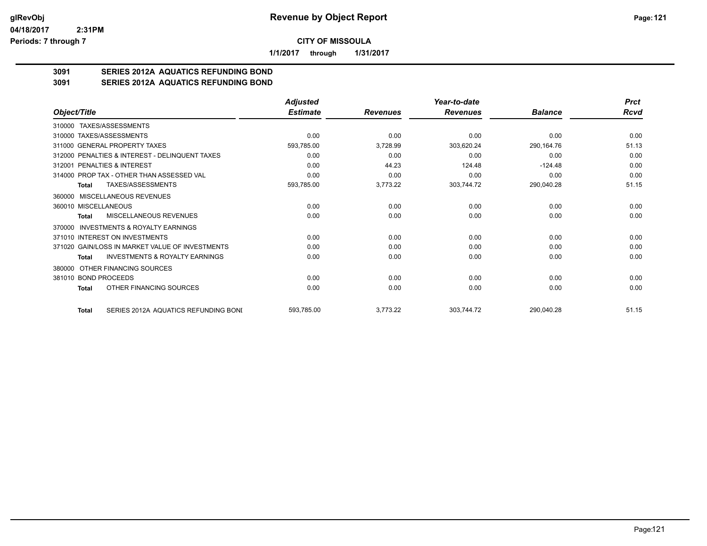**1/1/2017 through 1/31/2017**

## **3091 SERIES 2012A AQUATICS REFUNDING BOND**

### **3091 SERIES 2012A AQUATICS REFUNDING BOND**

|                                                           | <b>Adjusted</b> |                 | Year-to-date    |                | <b>Prct</b> |
|-----------------------------------------------------------|-----------------|-----------------|-----------------|----------------|-------------|
| Object/Title                                              | <b>Estimate</b> | <b>Revenues</b> | <b>Revenues</b> | <b>Balance</b> | <b>Rcvd</b> |
| TAXES/ASSESSMENTS<br>310000                               |                 |                 |                 |                |             |
| TAXES/ASSESSMENTS<br>310000                               | 0.00            | 0.00            | 0.00            | 0.00           | 0.00        |
| 311000 GENERAL PROPERTY TAXES                             | 593,785.00      | 3,728.99        | 303,620.24      | 290, 164. 76   | 51.13       |
| 312000 PENALTIES & INTEREST - DELINQUENT TAXES            | 0.00            | 0.00            | 0.00            | 0.00           | 0.00        |
| 312001 PENALTIES & INTEREST                               | 0.00            | 44.23           | 124.48          | $-124.48$      | 0.00        |
| 314000 PROP TAX - OTHER THAN ASSESSED VAL                 | 0.00            | 0.00            | 0.00            | 0.00           | 0.00        |
| TAXES/ASSESSMENTS<br>Total                                | 593,785.00      | 3,773.22        | 303,744.72      | 290,040.28     | 51.15       |
| <b>MISCELLANEOUS REVENUES</b><br>360000                   |                 |                 |                 |                |             |
| 360010 MISCELLANEOUS                                      | 0.00            | 0.00            | 0.00            | 0.00           | 0.00        |
| MISCELLANEOUS REVENUES<br>Total                           | 0.00            | 0.00            | 0.00            | 0.00           | 0.00        |
| <b>INVESTMENTS &amp; ROYALTY EARNINGS</b><br>370000       |                 |                 |                 |                |             |
| 371010 INTEREST ON INVESTMENTS                            | 0.00            | 0.00            | 0.00            | 0.00           | 0.00        |
| 371020 GAIN/LOSS IN MARKET VALUE OF INVESTMENTS           | 0.00            | 0.00            | 0.00            | 0.00           | 0.00        |
| <b>INVESTMENTS &amp; ROYALTY EARNINGS</b><br><b>Total</b> | 0.00            | 0.00            | 0.00            | 0.00           | 0.00        |
| OTHER FINANCING SOURCES<br>380000                         |                 |                 |                 |                |             |
| 381010 BOND PROCEEDS                                      | 0.00            | 0.00            | 0.00            | 0.00           | 0.00        |
| OTHER FINANCING SOURCES<br><b>Total</b>                   | 0.00            | 0.00            | 0.00            | 0.00           | 0.00        |
| SERIES 2012A AQUATICS REFUNDING BONI<br><b>Total</b>      | 593,785.00      | 3,773.22        | 303,744.72      | 290,040.28     | 51.15       |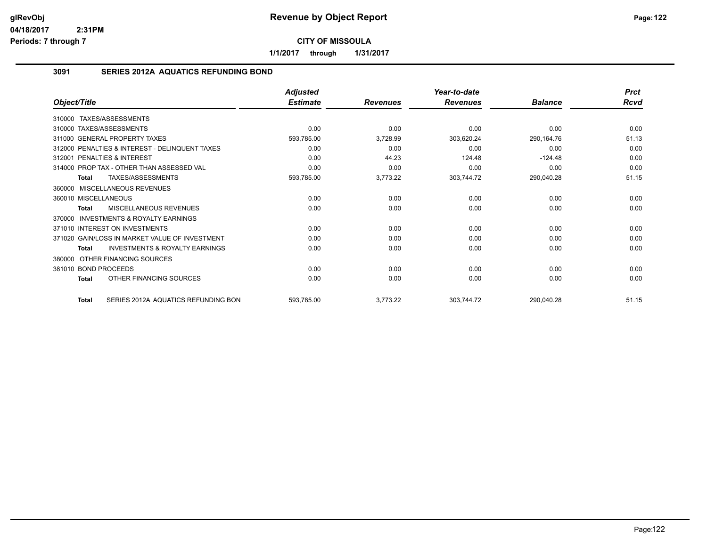**1/1/2017 through 1/31/2017**

#### **3091 SERIES 2012A AQUATICS REFUNDING BOND**

|                                                           | <b>Adjusted</b> |                 | Year-to-date    |                | <b>Prct</b> |
|-----------------------------------------------------------|-----------------|-----------------|-----------------|----------------|-------------|
| Object/Title                                              | <b>Estimate</b> | <b>Revenues</b> | <b>Revenues</b> | <b>Balance</b> | <b>Rcvd</b> |
| 310000 TAXES/ASSESSMENTS                                  |                 |                 |                 |                |             |
| 310000 TAXES/ASSESSMENTS                                  | 0.00            | 0.00            | 0.00            | 0.00           | 0.00        |
| 311000 GENERAL PROPERTY TAXES                             | 593,785.00      | 3,728.99        | 303,620.24      | 290,164.76     | 51.13       |
| 312000 PENALTIES & INTEREST - DELINQUENT TAXES            | 0.00            | 0.00            | 0.00            | 0.00           | 0.00        |
| 312001 PENALTIES & INTEREST                               | 0.00            | 44.23           | 124.48          | $-124.48$      | 0.00        |
| 314000 PROP TAX - OTHER THAN ASSESSED VAL                 | 0.00            | 0.00            | 0.00            | 0.00           | 0.00        |
| TAXES/ASSESSMENTS<br><b>Total</b>                         | 593,785.00      | 3,773.22        | 303,744.72      | 290,040.28     | 51.15       |
| 360000 MISCELLANEOUS REVENUES                             |                 |                 |                 |                |             |
| 360010 MISCELLANEOUS                                      | 0.00            | 0.00            | 0.00            | 0.00           | 0.00        |
| MISCELLANEOUS REVENUES<br><b>Total</b>                    | 0.00            | 0.00            | 0.00            | 0.00           | 0.00        |
| <b>INVESTMENTS &amp; ROYALTY EARNINGS</b><br>370000       |                 |                 |                 |                |             |
| 371010 INTEREST ON INVESTMENTS                            | 0.00            | 0.00            | 0.00            | 0.00           | 0.00        |
| 371020 GAIN/LOSS IN MARKET VALUE OF INVESTMENT            | 0.00            | 0.00            | 0.00            | 0.00           | 0.00        |
| <b>INVESTMENTS &amp; ROYALTY EARNINGS</b><br><b>Total</b> | 0.00            | 0.00            | 0.00            | 0.00           | 0.00        |
| OTHER FINANCING SOURCES<br>380000                         |                 |                 |                 |                |             |
| 381010 BOND PROCEEDS                                      | 0.00            | 0.00            | 0.00            | 0.00           | 0.00        |
| OTHER FINANCING SOURCES<br><b>Total</b>                   | 0.00            | 0.00            | 0.00            | 0.00           | 0.00        |
| SERIES 2012A AQUATICS REFUNDING BON<br><b>Total</b>       | 593,785.00      | 3,773.22        | 303,744.72      | 290,040.28     | 51.15       |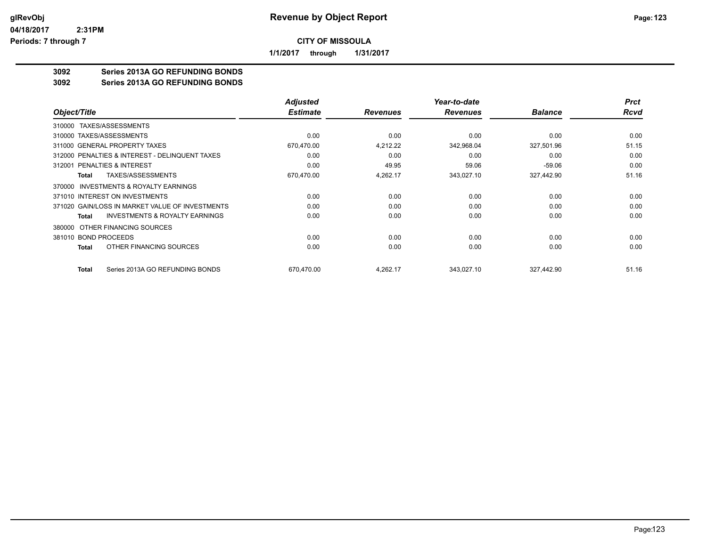**1/1/2017 through 1/31/2017**

## **3092 Series 2013A GO REFUNDING BONDS**

**3092 Series 2013A GO REFUNDING BONDS**

|                                                    | <b>Adjusted</b> |                 | Year-to-date    |                | <b>Prct</b> |
|----------------------------------------------------|-----------------|-----------------|-----------------|----------------|-------------|
| Object/Title                                       | <b>Estimate</b> | <b>Revenues</b> | <b>Revenues</b> | <b>Balance</b> | <b>Rcvd</b> |
| 310000 TAXES/ASSESSMENTS                           |                 |                 |                 |                |             |
| 310000 TAXES/ASSESSMENTS                           | 0.00            | 0.00            | 0.00            | 0.00           | 0.00        |
| 311000 GENERAL PROPERTY TAXES                      | 670,470.00      | 4,212.22        | 342,968.04      | 327,501.96     | 51.15       |
| 312000 PENALTIES & INTEREST - DELINQUENT TAXES     | 0.00            | 0.00            | 0.00            | 0.00           | 0.00        |
| 312001 PENALTIES & INTEREST                        | 0.00            | 49.95           | 59.06           | $-59.06$       | 0.00        |
| TAXES/ASSESSMENTS<br>Total                         | 670,470.00      | 4,262.17        | 343,027.10      | 327,442.90     | 51.16       |
| 370000 INVESTMENTS & ROYALTY EARNINGS              |                 |                 |                 |                |             |
| 371010 INTEREST ON INVESTMENTS                     | 0.00            | 0.00            | 0.00            | 0.00           | 0.00        |
| 371020 GAIN/LOSS IN MARKET VALUE OF INVESTMENTS    | 0.00            | 0.00            | 0.00            | 0.00           | 0.00        |
| <b>INVESTMENTS &amp; ROYALTY EARNINGS</b><br>Total | 0.00            | 0.00            | 0.00            | 0.00           | 0.00        |
| OTHER FINANCING SOURCES<br>380000                  |                 |                 |                 |                |             |
| 381010 BOND PROCEEDS                               | 0.00            | 0.00            | 0.00            | 0.00           | 0.00        |
| OTHER FINANCING SOURCES<br>Total                   | 0.00            | 0.00            | 0.00            | 0.00           | 0.00        |
| Series 2013A GO REFUNDING BONDS<br><b>Total</b>    | 670.470.00      | 4,262.17        | 343,027.10      | 327.442.90     | 51.16       |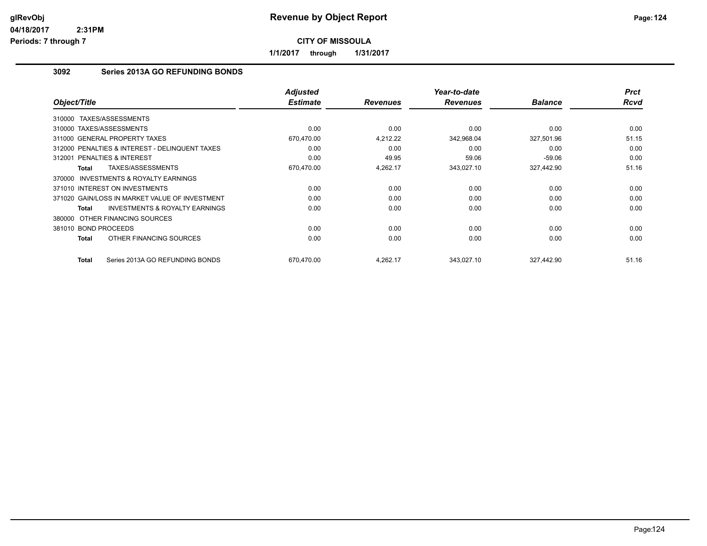**1/1/2017 through 1/31/2017**

#### **3092 Series 2013A GO REFUNDING BONDS**

| Object/Title                                        | <b>Adjusted</b><br><b>Estimate</b> | <b>Revenues</b> | Year-to-date<br><b>Revenues</b> | <b>Balance</b> | <b>Prct</b><br><b>Rcvd</b> |
|-----------------------------------------------------|------------------------------------|-----------------|---------------------------------|----------------|----------------------------|
|                                                     |                                    |                 |                                 |                |                            |
| 310000 TAXES/ASSESSMENTS                            |                                    |                 |                                 |                |                            |
| 310000 TAXES/ASSESSMENTS                            | 0.00                               | 0.00            | 0.00                            | 0.00           | 0.00                       |
| 311000 GENERAL PROPERTY TAXES                       | 670,470.00                         | 4,212.22        | 342,968.04                      | 327,501.96     | 51.15                      |
| 312000 PENALTIES & INTEREST - DELINQUENT TAXES      | 0.00                               | 0.00            | 0.00                            | 0.00           | 0.00                       |
| 312001 PENALTIES & INTEREST                         | 0.00                               | 49.95           | 59.06                           | $-59.06$       | 0.00                       |
| TAXES/ASSESSMENTS<br>Total                          | 670,470.00                         | 4,262.17        | 343,027.10                      | 327,442.90     | 51.16                      |
| <b>INVESTMENTS &amp; ROYALTY EARNINGS</b><br>370000 |                                    |                 |                                 |                |                            |
| 371010 INTEREST ON INVESTMENTS                      | 0.00                               | 0.00            | 0.00                            | 0.00           | 0.00                       |
| 371020 GAIN/LOSS IN MARKET VALUE OF INVESTMENT      | 0.00                               | 0.00            | 0.00                            | 0.00           | 0.00                       |
| <b>INVESTMENTS &amp; ROYALTY EARNINGS</b><br>Total  | 0.00                               | 0.00            | 0.00                            | 0.00           | 0.00                       |
| 380000 OTHER FINANCING SOURCES                      |                                    |                 |                                 |                |                            |
| 381010 BOND PROCEEDS                                | 0.00                               | 0.00            | 0.00                            | 0.00           | 0.00                       |
| OTHER FINANCING SOURCES<br><b>Total</b>             | 0.00                               | 0.00            | 0.00                            | 0.00           | 0.00                       |
|                                                     |                                    |                 |                                 |                |                            |
| Series 2013A GO REFUNDING BONDS<br><b>Total</b>     | 670,470.00                         | 4,262.17        | 343,027.10                      | 327,442.90     | 51.16                      |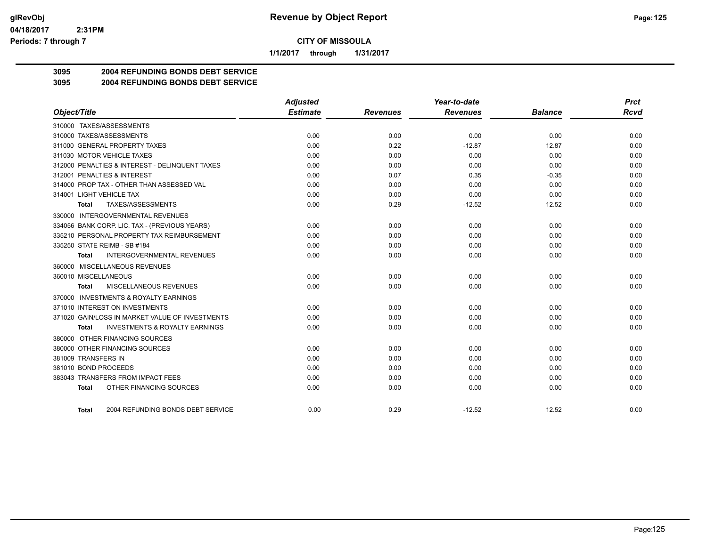**1/1/2017 through 1/31/2017**

#### **3095 2004 REFUNDING BONDS DEBT SERVICE 3095 2004 REFUNDING BONDS DEBT SERVICE**

|                                                    | <b>Adjusted</b> |                 | Year-to-date    |                | <b>Prct</b> |
|----------------------------------------------------|-----------------|-----------------|-----------------|----------------|-------------|
| Object/Title                                       | <b>Estimate</b> | <b>Revenues</b> | <b>Revenues</b> | <b>Balance</b> | <b>Rcvd</b> |
| 310000 TAXES/ASSESSMENTS                           |                 |                 |                 |                |             |
| 310000 TAXES/ASSESSMENTS                           | 0.00            | 0.00            | 0.00            | 0.00           | 0.00        |
| 311000 GENERAL PROPERTY TAXES                      | 0.00            | 0.22            | $-12.87$        | 12.87          | 0.00        |
| 311030 MOTOR VEHICLE TAXES                         | 0.00            | 0.00            | 0.00            | 0.00           | 0.00        |
| 312000 PENALTIES & INTEREST - DELINQUENT TAXES     | 0.00            | 0.00            | 0.00            | 0.00           | 0.00        |
| 312001 PENALTIES & INTEREST                        | 0.00            | 0.07            | 0.35            | $-0.35$        | 0.00        |
| 314000 PROP TAX - OTHER THAN ASSESSED VAL          | 0.00            | 0.00            | 0.00            | 0.00           | 0.00        |
| 314001 LIGHT VEHICLE TAX                           | 0.00            | 0.00            | 0.00            | 0.00           | 0.00        |
| TAXES/ASSESSMENTS<br>Total                         | 0.00            | 0.29            | $-12.52$        | 12.52          | 0.00        |
| 330000 INTERGOVERNMENTAL REVENUES                  |                 |                 |                 |                |             |
| 334056 BANK CORP. LIC. TAX - (PREVIOUS YEARS)      | 0.00            | 0.00            | 0.00            | 0.00           | 0.00        |
| 335210 PERSONAL PROPERTY TAX REIMBURSEMENT         | 0.00            | 0.00            | 0.00            | 0.00           | 0.00        |
| 335250 STATE REIMB - SB #184                       | 0.00            | 0.00            | 0.00            | 0.00           | 0.00        |
| INTERGOVERNMENTAL REVENUES<br>Total                | 0.00            | 0.00            | 0.00            | 0.00           | 0.00        |
| 360000 MISCELLANEOUS REVENUES                      |                 |                 |                 |                |             |
| 360010 MISCELLANEOUS                               | 0.00            | 0.00            | 0.00            | 0.00           | 0.00        |
| MISCELLANEOUS REVENUES<br><b>Total</b>             | 0.00            | 0.00            | 0.00            | 0.00           | 0.00        |
| 370000 INVESTMENTS & ROYALTY EARNINGS              |                 |                 |                 |                |             |
| 371010 INTEREST ON INVESTMENTS                     | 0.00            | 0.00            | 0.00            | 0.00           | 0.00        |
| 371020 GAIN/LOSS IN MARKET VALUE OF INVESTMENTS    | 0.00            | 0.00            | 0.00            | 0.00           | 0.00        |
| <b>INVESTMENTS &amp; ROYALTY EARNINGS</b><br>Total | 0.00            | 0.00            | 0.00            | 0.00           | 0.00        |
| 380000 OTHER FINANCING SOURCES                     |                 |                 |                 |                |             |
| 380000 OTHER FINANCING SOURCES                     | 0.00            | 0.00            | 0.00            | 0.00           | 0.00        |
| 381009 TRANSFERS IN                                | 0.00            | 0.00            | 0.00            | 0.00           | 0.00        |
| 381010 BOND PROCEEDS                               | 0.00            | 0.00            | 0.00            | 0.00           | 0.00        |
| 383043 TRANSFERS FROM IMPACT FEES                  | 0.00            | 0.00            | 0.00            | 0.00           | 0.00        |
| OTHER FINANCING SOURCES<br>Total                   | 0.00            | 0.00            | 0.00            | 0.00           | 0.00        |
| 2004 REFUNDING BONDS DEBT SERVICE<br>Total         | 0.00            | 0.29            | $-12.52$        | 12.52          | 0.00        |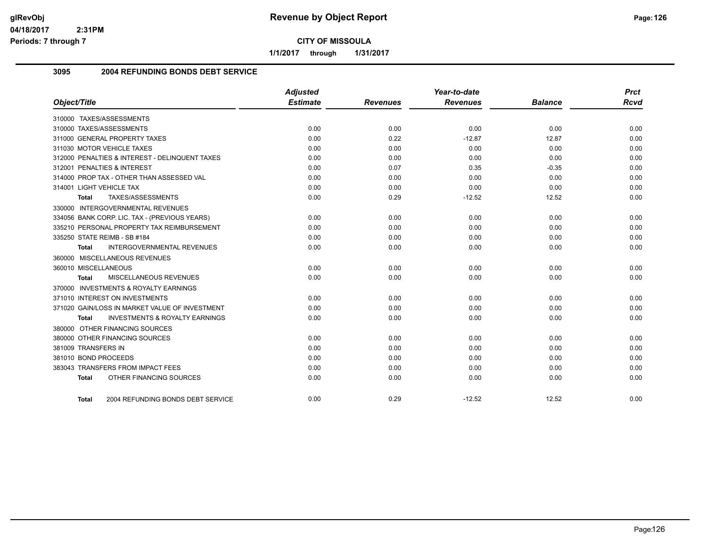**1/1/2017 through 1/31/2017**

#### **3095 2004 REFUNDING BONDS DEBT SERVICE**

|                                                    | <b>Adjusted</b> |                 | Year-to-date    |                | <b>Prct</b> |
|----------------------------------------------------|-----------------|-----------------|-----------------|----------------|-------------|
| Object/Title                                       | <b>Estimate</b> | <b>Revenues</b> | <b>Revenues</b> | <b>Balance</b> | <b>Rcvd</b> |
| 310000 TAXES/ASSESSMENTS                           |                 |                 |                 |                |             |
| 310000 TAXES/ASSESSMENTS                           | 0.00            | 0.00            | 0.00            | 0.00           | 0.00        |
| 311000 GENERAL PROPERTY TAXES                      | 0.00            | 0.22            | $-12.87$        | 12.87          | 0.00        |
| 311030 MOTOR VEHICLE TAXES                         | 0.00            | 0.00            | 0.00            | 0.00           | 0.00        |
| 312000 PENALTIES & INTEREST - DELINQUENT TAXES     | 0.00            | 0.00            | 0.00            | 0.00           | 0.00        |
| 312001 PENALTIES & INTEREST                        | 0.00            | 0.07            | 0.35            | $-0.35$        | 0.00        |
| 314000 PROP TAX - OTHER THAN ASSESSED VAL          | 0.00            | 0.00            | 0.00            | 0.00           | 0.00        |
| 314001 LIGHT VEHICLE TAX                           | 0.00            | 0.00            | 0.00            | 0.00           | 0.00        |
| TAXES/ASSESSMENTS<br><b>Total</b>                  | 0.00            | 0.29            | $-12.52$        | 12.52          | 0.00        |
| 330000 INTERGOVERNMENTAL REVENUES                  |                 |                 |                 |                |             |
| 334056 BANK CORP. LIC. TAX - (PREVIOUS YEARS)      | 0.00            | 0.00            | 0.00            | 0.00           | 0.00        |
| 335210 PERSONAL PROPERTY TAX REIMBURSEMENT         | 0.00            | 0.00            | 0.00            | 0.00           | 0.00        |
| 335250 STATE REIMB - SB #184                       | 0.00            | 0.00            | 0.00            | 0.00           | 0.00        |
| <b>Total</b><br>INTERGOVERNMENTAL REVENUES         | 0.00            | 0.00            | 0.00            | 0.00           | 0.00        |
| 360000 MISCELLANEOUS REVENUES                      |                 |                 |                 |                |             |
| 360010 MISCELLANEOUS                               | 0.00            | 0.00            | 0.00            | 0.00           | 0.00        |
| <b>MISCELLANEOUS REVENUES</b><br><b>Total</b>      | 0.00            | 0.00            | 0.00            | 0.00           | 0.00        |
| 370000 INVESTMENTS & ROYALTY EARNINGS              |                 |                 |                 |                |             |
| 371010 INTEREST ON INVESTMENTS                     | 0.00            | 0.00            | 0.00            | 0.00           | 0.00        |
| 371020 GAIN/LOSS IN MARKET VALUE OF INVESTMENT     | 0.00            | 0.00            | 0.00            | 0.00           | 0.00        |
| <b>INVESTMENTS &amp; ROYALTY EARNINGS</b><br>Total | 0.00            | 0.00            | 0.00            | 0.00           | 0.00        |
| 380000 OTHER FINANCING SOURCES                     |                 |                 |                 |                |             |
| 380000 OTHER FINANCING SOURCES                     | 0.00            | 0.00            | 0.00            | 0.00           | 0.00        |
| 381009 TRANSFERS IN                                | 0.00            | 0.00            | 0.00            | 0.00           | 0.00        |
| 381010 BOND PROCEEDS                               | 0.00            | 0.00            | 0.00            | 0.00           | 0.00        |
| 383043 TRANSFERS FROM IMPACT FEES                  | 0.00            | 0.00            | 0.00            | 0.00           | 0.00        |
| OTHER FINANCING SOURCES<br><b>Total</b>            | 0.00            | 0.00            | 0.00            | 0.00           | 0.00        |
| 2004 REFUNDING BONDS DEBT SERVICE<br><b>Total</b>  | 0.00            | 0.29            | $-12.52$        | 12.52          | 0.00        |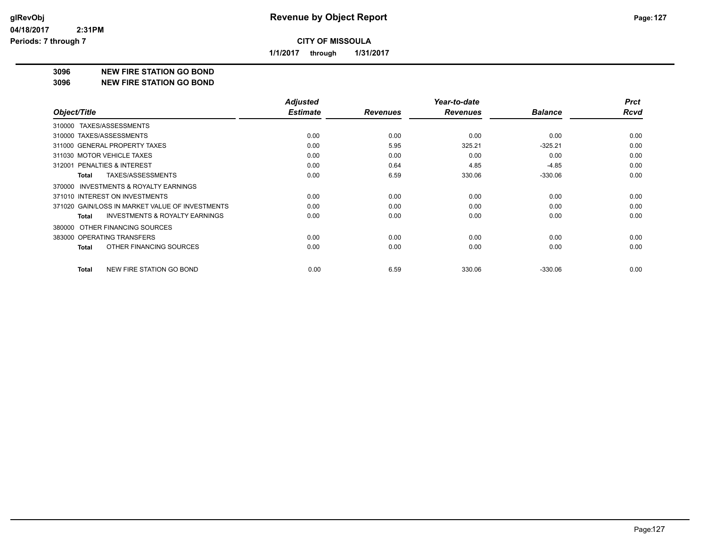**1/1/2017 through 1/31/2017**

**3096 NEW FIRE STATION GO BOND**

| 3096 | <b>NEW FIRE STATION GO BOND</b> |  |
|------|---------------------------------|--|
|      |                                 |  |

|                                                    | <b>Adjusted</b> |                 | Year-to-date    |                | <b>Prct</b> |
|----------------------------------------------------|-----------------|-----------------|-----------------|----------------|-------------|
| Object/Title                                       | <b>Estimate</b> | <b>Revenues</b> | <b>Revenues</b> | <b>Balance</b> | <b>Rcvd</b> |
| TAXES/ASSESSMENTS<br>310000                        |                 |                 |                 |                |             |
| 310000 TAXES/ASSESSMENTS                           | 0.00            | 0.00            | 0.00            | 0.00           | 0.00        |
| 311000 GENERAL PROPERTY TAXES                      | 0.00            | 5.95            | 325.21          | $-325.21$      | 0.00        |
| 311030 MOTOR VEHICLE TAXES                         | 0.00            | 0.00            | 0.00            | 0.00           | 0.00        |
| 312001 PENALTIES & INTEREST                        | 0.00            | 0.64            | 4.85            | $-4.85$        | 0.00        |
| TAXES/ASSESSMENTS<br>Total                         | 0.00            | 6.59            | 330.06          | $-330.06$      | 0.00        |
| 370000 INVESTMENTS & ROYALTY EARNINGS              |                 |                 |                 |                |             |
| 371010 INTEREST ON INVESTMENTS                     | 0.00            | 0.00            | 0.00            | 0.00           | 0.00        |
| 371020 GAIN/LOSS IN MARKET VALUE OF INVESTMENTS    | 0.00            | 0.00            | 0.00            | 0.00           | 0.00        |
| <b>INVESTMENTS &amp; ROYALTY EARNINGS</b><br>Total | 0.00            | 0.00            | 0.00            | 0.00           | 0.00        |
| 380000 OTHER FINANCING SOURCES                     |                 |                 |                 |                |             |
| 383000 OPERATING TRANSFERS                         | 0.00            | 0.00            | 0.00            | 0.00           | 0.00        |
| OTHER FINANCING SOURCES<br>Total                   | 0.00            | 0.00            | 0.00            | 0.00           | 0.00        |
| <b>NEW FIRE STATION GO BOND</b><br><b>Total</b>    | 0.00            | 6.59            | 330.06          | $-330.06$      | 0.00        |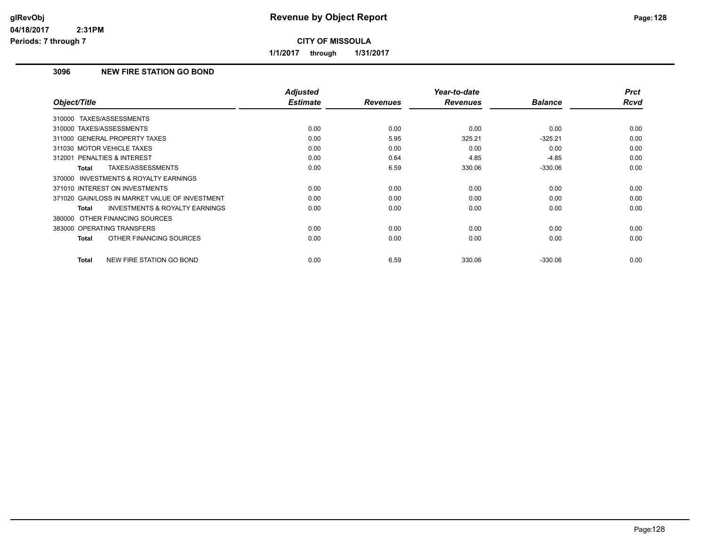**1/1/2017 through 1/31/2017**

#### **3096 NEW FIRE STATION GO BOND**

| Object/Title                                              | <b>Adjusted</b><br><b>Estimate</b> | <b>Revenues</b> | Year-to-date<br><b>Revenues</b> | <b>Balance</b> | <b>Prct</b><br><b>Rcvd</b> |
|-----------------------------------------------------------|------------------------------------|-----------------|---------------------------------|----------------|----------------------------|
|                                                           |                                    |                 |                                 |                |                            |
| 310000 TAXES/ASSESSMENTS                                  |                                    |                 |                                 |                |                            |
| 310000 TAXES/ASSESSMENTS                                  | 0.00                               | 0.00            | 0.00                            | 0.00           | 0.00                       |
| 311000 GENERAL PROPERTY TAXES                             | 0.00                               | 5.95            | 325.21                          | $-325.21$      | 0.00                       |
| 311030 MOTOR VEHICLE TAXES                                | 0.00                               | 0.00            | 0.00                            | 0.00           | 0.00                       |
| 312001 PENALTIES & INTEREST                               | 0.00                               | 0.64            | 4.85                            | $-4.85$        | 0.00                       |
| TAXES/ASSESSMENTS<br><b>Total</b>                         | 0.00                               | 6.59            | 330.06                          | $-330.06$      | 0.00                       |
| <b>INVESTMENTS &amp; ROYALTY EARNINGS</b><br>370000       |                                    |                 |                                 |                |                            |
| 371010 INTEREST ON INVESTMENTS                            | 0.00                               | 0.00            | 0.00                            | 0.00           | 0.00                       |
| 371020 GAIN/LOSS IN MARKET VALUE OF INVESTMENT            | 0.00                               | 0.00            | 0.00                            | 0.00           | 0.00                       |
| <b>INVESTMENTS &amp; ROYALTY EARNINGS</b><br><b>Total</b> | 0.00                               | 0.00            | 0.00                            | 0.00           | 0.00                       |
| 380000 OTHER FINANCING SOURCES                            |                                    |                 |                                 |                |                            |
| 383000 OPERATING TRANSFERS                                | 0.00                               | 0.00            | 0.00                            | 0.00           | 0.00                       |
| OTHER FINANCING SOURCES<br><b>Total</b>                   | 0.00                               | 0.00            | 0.00                            | 0.00           | 0.00                       |
|                                                           |                                    |                 |                                 |                |                            |
| NEW FIRE STATION GO BOND<br>Total                         | 0.00                               | 6.59            | 330.06                          | $-330.06$      | 0.00                       |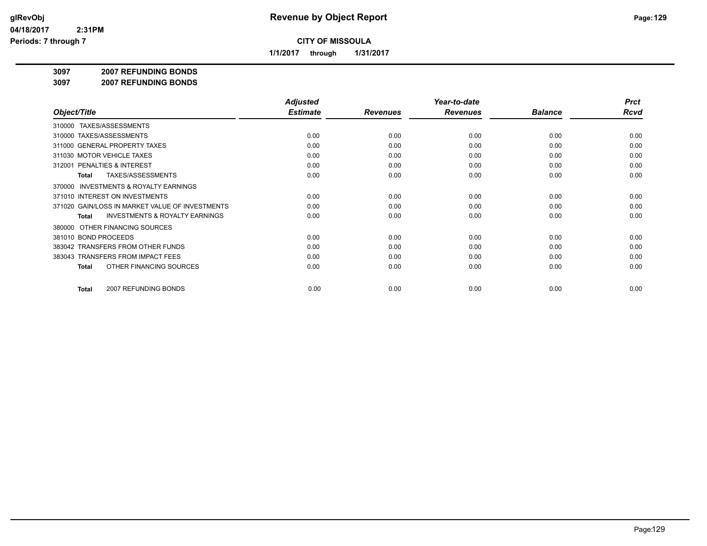**1/1/2017 through 1/31/2017**

**3097 2007 REFUNDING BONDS 3097 2007 REFUNDING BONDS**

|                                                    | <b>Adjusted</b> |                 | Year-to-date    |                | <b>Prct</b> |
|----------------------------------------------------|-----------------|-----------------|-----------------|----------------|-------------|
| Object/Title                                       | <b>Estimate</b> | <b>Revenues</b> | <b>Revenues</b> | <b>Balance</b> | Rcvd        |
| 310000 TAXES/ASSESSMENTS                           |                 |                 |                 |                |             |
| 310000 TAXES/ASSESSMENTS                           | 0.00            | 0.00            | 0.00            | 0.00           | 0.00        |
| 311000 GENERAL PROPERTY TAXES                      | 0.00            | 0.00            | 0.00            | 0.00           | 0.00        |
| 311030 MOTOR VEHICLE TAXES                         | 0.00            | 0.00            | 0.00            | 0.00           | 0.00        |
| 312001 PENALTIES & INTEREST                        | 0.00            | 0.00            | 0.00            | 0.00           | 0.00        |
| TAXES/ASSESSMENTS<br><b>Total</b>                  | 0.00            | 0.00            | 0.00            | 0.00           | 0.00        |
| INVESTMENTS & ROYALTY EARNINGS<br>370000           |                 |                 |                 |                |             |
| 371010 INTEREST ON INVESTMENTS                     | 0.00            | 0.00            | 0.00            | 0.00           | 0.00        |
| 371020 GAIN/LOSS IN MARKET VALUE OF INVESTMENTS    | 0.00            | 0.00            | 0.00            | 0.00           | 0.00        |
| <b>INVESTMENTS &amp; ROYALTY EARNINGS</b><br>Total | 0.00            | 0.00            | 0.00            | 0.00           | 0.00        |
| OTHER FINANCING SOURCES<br>380000                  |                 |                 |                 |                |             |
| 381010 BOND PROCEEDS                               | 0.00            | 0.00            | 0.00            | 0.00           | 0.00        |
| 383042 TRANSFERS FROM OTHER FUNDS                  | 0.00            | 0.00            | 0.00            | 0.00           | 0.00        |
| 383043 TRANSFERS FROM IMPACT FEES                  | 0.00            | 0.00            | 0.00            | 0.00           | 0.00        |
| OTHER FINANCING SOURCES<br>Total                   | 0.00            | 0.00            | 0.00            | 0.00           | 0.00        |
| 2007 REFUNDING BONDS<br>Total                      | 0.00            | 0.00            | 0.00            | 0.00           | 0.00        |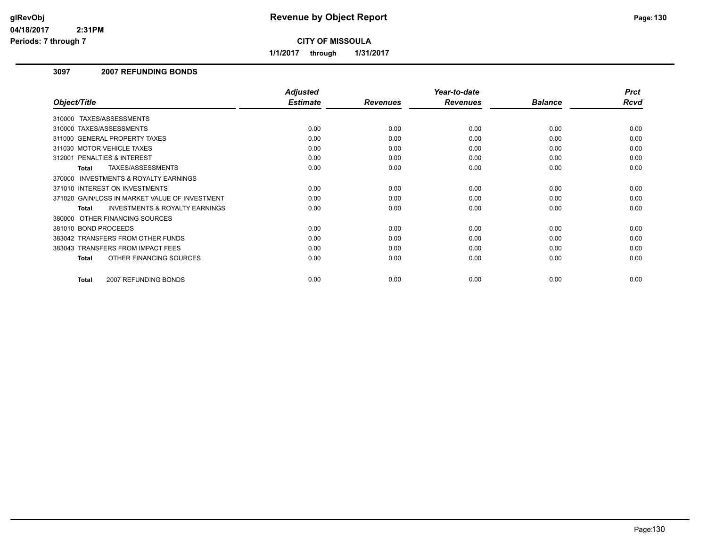**1/1/2017 through 1/31/2017**

#### **3097 2007 REFUNDING BONDS**

|                                                           | <b>Adjusted</b> |                 | Year-to-date    |                | <b>Prct</b> |
|-----------------------------------------------------------|-----------------|-----------------|-----------------|----------------|-------------|
| Object/Title                                              | <b>Estimate</b> | <b>Revenues</b> | <b>Revenues</b> | <b>Balance</b> | <b>Rcvd</b> |
| 310000 TAXES/ASSESSMENTS                                  |                 |                 |                 |                |             |
| 310000 TAXES/ASSESSMENTS                                  | 0.00            | 0.00            | 0.00            | 0.00           | 0.00        |
| 311000 GENERAL PROPERTY TAXES                             | 0.00            | 0.00            | 0.00            | 0.00           | 0.00        |
| 311030 MOTOR VEHICLE TAXES                                | 0.00            | 0.00            | 0.00            | 0.00           | 0.00        |
| 312001 PENALTIES & INTEREST                               | 0.00            | 0.00            | 0.00            | 0.00           | 0.00        |
| TAXES/ASSESSMENTS<br><b>Total</b>                         | 0.00            | 0.00            | 0.00            | 0.00           | 0.00        |
| <b>INVESTMENTS &amp; ROYALTY EARNINGS</b><br>370000       |                 |                 |                 |                |             |
| 371010 INTEREST ON INVESTMENTS                            | 0.00            | 0.00            | 0.00            | 0.00           | 0.00        |
| 371020 GAIN/LOSS IN MARKET VALUE OF INVESTMENT            | 0.00            | 0.00            | 0.00            | 0.00           | 0.00        |
| <b>INVESTMENTS &amp; ROYALTY EARNINGS</b><br><b>Total</b> | 0.00            | 0.00            | 0.00            | 0.00           | 0.00        |
| 380000 OTHER FINANCING SOURCES                            |                 |                 |                 |                |             |
| 381010 BOND PROCEEDS                                      | 0.00            | 0.00            | 0.00            | 0.00           | 0.00        |
| 383042 TRANSFERS FROM OTHER FUNDS                         | 0.00            | 0.00            | 0.00            | 0.00           | 0.00        |
| 383043 TRANSFERS FROM IMPACT FEES                         | 0.00            | 0.00            | 0.00            | 0.00           | 0.00        |
| OTHER FINANCING SOURCES<br><b>Total</b>                   | 0.00            | 0.00            | 0.00            | 0.00           | 0.00        |
|                                                           |                 |                 |                 |                |             |
| 2007 REFUNDING BONDS<br>Total                             | 0.00            | 0.00            | 0.00            | 0.00           | 0.00        |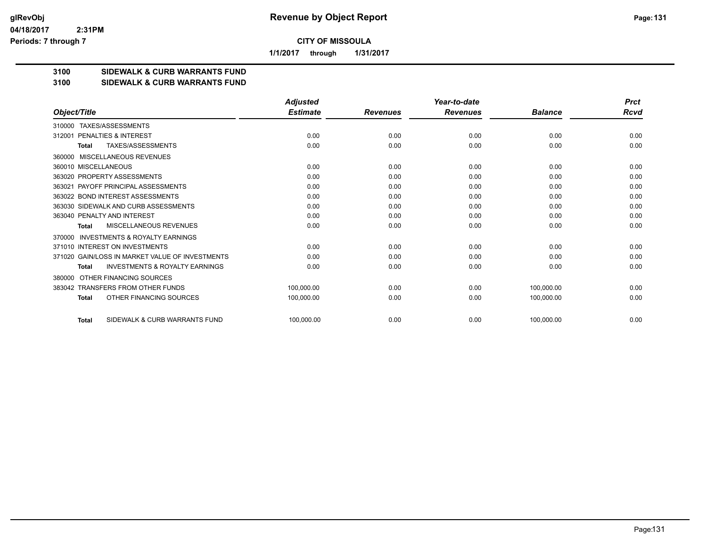**1/1/2017 through 1/31/2017**

#### **3100 SIDEWALK & CURB WARRANTS FUND 3100 SIDEWALK & CURB WARRANTS FUND**

|                                                     | <b>Adjusted</b> |                 | Year-to-date    |                | <b>Prct</b> |
|-----------------------------------------------------|-----------------|-----------------|-----------------|----------------|-------------|
| Object/Title                                        | <b>Estimate</b> | <b>Revenues</b> | <b>Revenues</b> | <b>Balance</b> | Rcvd        |
| TAXES/ASSESSMENTS<br>310000                         |                 |                 |                 |                |             |
| PENALTIES & INTEREST<br>312001                      | 0.00            | 0.00            | 0.00            | 0.00           | 0.00        |
| <b>TAXES/ASSESSMENTS</b><br><b>Total</b>            | 0.00            | 0.00            | 0.00            | 0.00           | 0.00        |
| <b>MISCELLANEOUS REVENUES</b><br>360000             |                 |                 |                 |                |             |
| 360010 MISCELLANEOUS                                | 0.00            | 0.00            | 0.00            | 0.00           | 0.00        |
| <b>PROPERTY ASSESSMENTS</b><br>363020               | 0.00            | 0.00            | 0.00            | 0.00           | 0.00        |
| PAYOFF PRINCIPAL ASSESSMENTS<br>363021              | 0.00            | 0.00            | 0.00            | 0.00           | 0.00        |
| 363022 BOND INTEREST ASSESSMENTS                    | 0.00            | 0.00            | 0.00            | 0.00           | 0.00        |
| 363030 SIDEWALK AND CURB ASSESSMENTS                | 0.00            | 0.00            | 0.00            | 0.00           | 0.00        |
| 363040 PENALTY AND INTEREST                         | 0.00            | 0.00            | 0.00            | 0.00           | 0.00        |
| <b>MISCELLANEOUS REVENUES</b><br>Total              | 0.00            | 0.00            | 0.00            | 0.00           | 0.00        |
| <b>INVESTMENTS &amp; ROYALTY EARNINGS</b><br>370000 |                 |                 |                 |                |             |
| 371010 INTEREST ON INVESTMENTS                      | 0.00            | 0.00            | 0.00            | 0.00           | 0.00        |
| 371020 GAIN/LOSS IN MARKET VALUE OF INVESTMENTS     | 0.00            | 0.00            | 0.00            | 0.00           | 0.00        |
| <b>INVESTMENTS &amp; ROYALTY EARNINGS</b><br>Total  | 0.00            | 0.00            | 0.00            | 0.00           | 0.00        |
| OTHER FINANCING SOURCES<br>380000                   |                 |                 |                 |                |             |
| 383042 TRANSFERS FROM OTHER FUNDS                   | 100,000.00      | 0.00            | 0.00            | 100,000.00     | 0.00        |
| OTHER FINANCING SOURCES<br><b>Total</b>             | 100,000.00      | 0.00            | 0.00            | 100,000.00     | 0.00        |
| SIDEWALK & CURB WARRANTS FUND<br>Total              | 100,000.00      | 0.00            | 0.00            | 100,000.00     | 0.00        |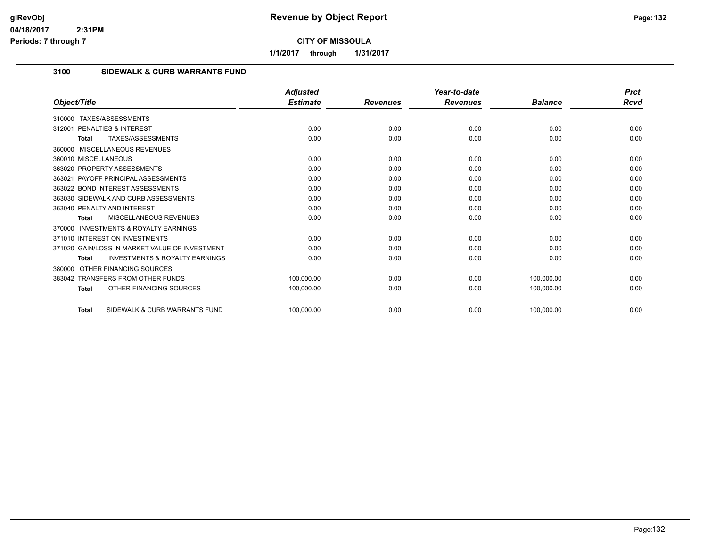**1/1/2017 through 1/31/2017**

#### **3100 SIDEWALK & CURB WARRANTS FUND**

|                                                           | <b>Adjusted</b> |                 | Year-to-date    |                | <b>Prct</b> |
|-----------------------------------------------------------|-----------------|-----------------|-----------------|----------------|-------------|
| Object/Title                                              | <b>Estimate</b> | <b>Revenues</b> | <b>Revenues</b> | <b>Balance</b> | Rcvd        |
| TAXES/ASSESSMENTS<br>310000                               |                 |                 |                 |                |             |
| 312001 PENALTIES & INTEREST                               | 0.00            | 0.00            | 0.00            | 0.00           | 0.00        |
| TAXES/ASSESSMENTS<br><b>Total</b>                         | 0.00            | 0.00            | 0.00            | 0.00           | 0.00        |
| MISCELLANEOUS REVENUES<br>360000                          |                 |                 |                 |                |             |
| 360010 MISCELLANEOUS                                      | 0.00            | 0.00            | 0.00            | 0.00           | 0.00        |
| 363020 PROPERTY ASSESSMENTS                               | 0.00            | 0.00            | 0.00            | 0.00           | 0.00        |
| 363021 PAYOFF PRINCIPAL ASSESSMENTS                       | 0.00            | 0.00            | 0.00            | 0.00           | 0.00        |
| 363022 BOND INTEREST ASSESSMENTS                          | 0.00            | 0.00            | 0.00            | 0.00           | 0.00        |
| 363030 SIDEWALK AND CURB ASSESSMENTS                      | 0.00            | 0.00            | 0.00            | 0.00           | 0.00        |
| 363040 PENALTY AND INTEREST                               | 0.00            | 0.00            | 0.00            | 0.00           | 0.00        |
| MISCELLANEOUS REVENUES<br><b>Total</b>                    | 0.00            | 0.00            | 0.00            | 0.00           | 0.00        |
| INVESTMENTS & ROYALTY EARNINGS<br>370000                  |                 |                 |                 |                |             |
| 371010 INTEREST ON INVESTMENTS                            | 0.00            | 0.00            | 0.00            | 0.00           | 0.00        |
| 371020 GAIN/LOSS IN MARKET VALUE OF INVESTMENT            | 0.00            | 0.00            | 0.00            | 0.00           | 0.00        |
| <b>INVESTMENTS &amp; ROYALTY EARNINGS</b><br><b>Total</b> | 0.00            | 0.00            | 0.00            | 0.00           | 0.00        |
| OTHER FINANCING SOURCES<br>380000                         |                 |                 |                 |                |             |
| 383042 TRANSFERS FROM OTHER FUNDS                         | 100,000.00      | 0.00            | 0.00            | 100,000.00     | 0.00        |
| OTHER FINANCING SOURCES<br><b>Total</b>                   | 100,000.00      | 0.00            | 0.00            | 100,000.00     | 0.00        |
| SIDEWALK & CURB WARRANTS FUND<br><b>Total</b>             | 100,000.00      | 0.00            | 0.00            | 100,000.00     | 0.00        |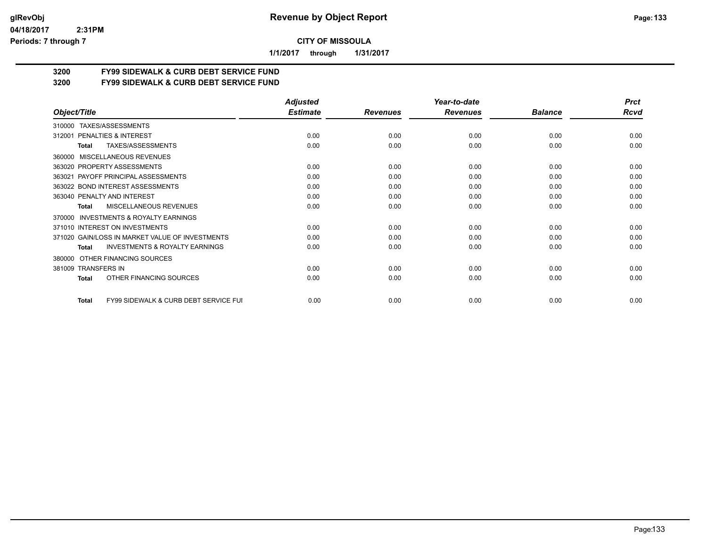**1/1/2017 through 1/31/2017**

# **3200 FY99 SIDEWALK & CURB DEBT SERVICE FUND**

| 3200 | <b>FY99 SIDEWALK &amp; CURB DEBT SERVICE FUND</b> |  |
|------|---------------------------------------------------|--|
|      |                                                   |  |

|                                                                  | <b>Adjusted</b> |                 | Year-to-date    |                | <b>Prct</b> |
|------------------------------------------------------------------|-----------------|-----------------|-----------------|----------------|-------------|
| Object/Title                                                     | <b>Estimate</b> | <b>Revenues</b> | <b>Revenues</b> | <b>Balance</b> | Rcvd        |
| TAXES/ASSESSMENTS<br>310000                                      |                 |                 |                 |                |             |
| <b>PENALTIES &amp; INTEREST</b><br>312001                        | 0.00            | 0.00            | 0.00            | 0.00           | 0.00        |
| TAXES/ASSESSMENTS<br>Total                                       | 0.00            | 0.00            | 0.00            | 0.00           | 0.00        |
| MISCELLANEOUS REVENUES<br>360000                                 |                 |                 |                 |                |             |
| 363020 PROPERTY ASSESSMENTS                                      | 0.00            | 0.00            | 0.00            | 0.00           | 0.00        |
| PAYOFF PRINCIPAL ASSESSMENTS<br>363021                           | 0.00            | 0.00            | 0.00            | 0.00           | 0.00        |
| 363022 BOND INTEREST ASSESSMENTS                                 | 0.00            | 0.00            | 0.00            | 0.00           | 0.00        |
| 363040 PENALTY AND INTEREST                                      | 0.00            | 0.00            | 0.00            | 0.00           | 0.00        |
| MISCELLANEOUS REVENUES<br>Total                                  | 0.00            | 0.00            | 0.00            | 0.00           | 0.00        |
| <b>INVESTMENTS &amp; ROYALTY EARNINGS</b><br>370000              |                 |                 |                 |                |             |
| 371010 INTEREST ON INVESTMENTS                                   | 0.00            | 0.00            | 0.00            | 0.00           | 0.00        |
| 371020 GAIN/LOSS IN MARKET VALUE OF INVESTMENTS                  | 0.00            | 0.00            | 0.00            | 0.00           | 0.00        |
| <b>INVESTMENTS &amp; ROYALTY EARNINGS</b><br>Total               | 0.00            | 0.00            | 0.00            | 0.00           | 0.00        |
| OTHER FINANCING SOURCES<br>380000                                |                 |                 |                 |                |             |
| 381009 TRANSFERS IN                                              | 0.00            | 0.00            | 0.00            | 0.00           | 0.00        |
| OTHER FINANCING SOURCES<br>Total                                 | 0.00            | 0.00            | 0.00            | 0.00           | 0.00        |
| <b>FY99 SIDEWALK &amp; CURB DEBT SERVICE FUI</b><br><b>Total</b> | 0.00            | 0.00            | 0.00            | 0.00           | 0.00        |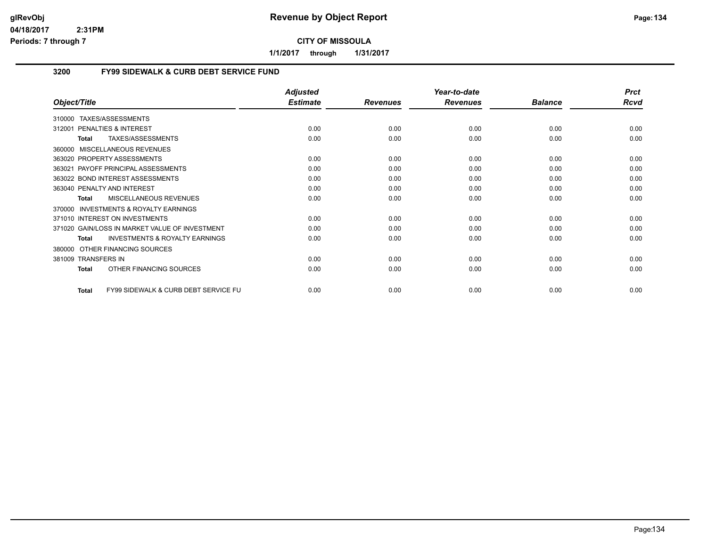**1/1/2017 through 1/31/2017**

#### **3200 FY99 SIDEWALK & CURB DEBT SERVICE FUND**

|                                                      | <b>Adjusted</b> |                 | Year-to-date    |                | <b>Prct</b> |
|------------------------------------------------------|-----------------|-----------------|-----------------|----------------|-------------|
| Object/Title                                         | <b>Estimate</b> | <b>Revenues</b> | <b>Revenues</b> | <b>Balance</b> | <b>Rcvd</b> |
| TAXES/ASSESSMENTS<br>310000                          |                 |                 |                 |                |             |
| 312001 PENALTIES & INTEREST                          | 0.00            | 0.00            | 0.00            | 0.00           | 0.00        |
| TAXES/ASSESSMENTS<br><b>Total</b>                    | 0.00            | 0.00            | 0.00            | 0.00           | 0.00        |
| MISCELLANEOUS REVENUES<br>360000                     |                 |                 |                 |                |             |
| 363020 PROPERTY ASSESSMENTS                          | 0.00            | 0.00            | 0.00            | 0.00           | 0.00        |
| 363021 PAYOFF PRINCIPAL ASSESSMENTS                  | 0.00            | 0.00            | 0.00            | 0.00           | 0.00        |
| 363022 BOND INTEREST ASSESSMENTS                     | 0.00            | 0.00            | 0.00            | 0.00           | 0.00        |
| 363040 PENALTY AND INTEREST                          | 0.00            | 0.00            | 0.00            | 0.00           | 0.00        |
| MISCELLANEOUS REVENUES<br><b>Total</b>               | 0.00            | 0.00            | 0.00            | 0.00           | 0.00        |
| <b>INVESTMENTS &amp; ROYALTY EARNINGS</b><br>370000  |                 |                 |                 |                |             |
| 371010 INTEREST ON INVESTMENTS                       | 0.00            | 0.00            | 0.00            | 0.00           | 0.00        |
| 371020 GAIN/LOSS IN MARKET VALUE OF INVESTMENT       | 0.00            | 0.00            | 0.00            | 0.00           | 0.00        |
| <b>INVESTMENTS &amp; ROYALTY EARNINGS</b><br>Total   | 0.00            | 0.00            | 0.00            | 0.00           | 0.00        |
| OTHER FINANCING SOURCES<br>380000                    |                 |                 |                 |                |             |
| 381009 TRANSFERS IN                                  | 0.00            | 0.00            | 0.00            | 0.00           | 0.00        |
| OTHER FINANCING SOURCES<br><b>Total</b>              | 0.00            | 0.00            | 0.00            | 0.00           | 0.00        |
| FY99 SIDEWALK & CURB DEBT SERVICE FU<br><b>Total</b> | 0.00            | 0.00            | 0.00            | 0.00           | 0.00        |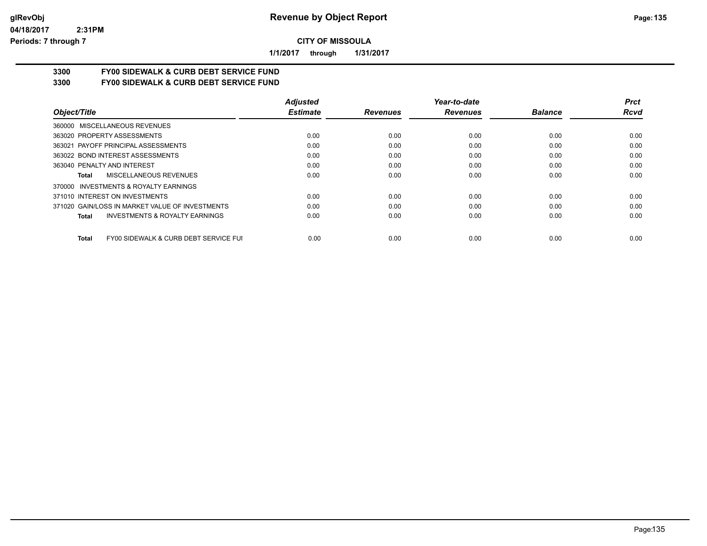**1/1/2017 through 1/31/2017**

#### **3300 FY00 SIDEWALK & CURB DEBT SERVICE FUND 3300 FY00 SIDEWALK & CURB DEBT SERVICE FUND**

|                                                    | <b>Adiusted</b> |                 | Year-to-date    |                | <b>Prct</b> |
|----------------------------------------------------|-----------------|-----------------|-----------------|----------------|-------------|
| Object/Title                                       | <b>Estimate</b> | <b>Revenues</b> | <b>Revenues</b> | <b>Balance</b> | <b>Rcvd</b> |
| 360000 MISCELLANEOUS REVENUES                      |                 |                 |                 |                |             |
| 363020 PROPERTY ASSESSMENTS                        | 0.00            | 0.00            | 0.00            | 0.00           | 0.00        |
| 363021 PAYOFF PRINCIPAL ASSESSMENTS                | 0.00            | 0.00            | 0.00            | 0.00           | 0.00        |
| 363022 BOND INTEREST ASSESSMENTS                   | 0.00            | 0.00            | 0.00            | 0.00           | 0.00        |
| 363040 PENALTY AND INTEREST                        | 0.00            | 0.00            | 0.00            | 0.00           | 0.00        |
| MISCELLANEOUS REVENUES<br>Total                    | 0.00            | 0.00            | 0.00            | 0.00           | 0.00        |
| INVESTMENTS & ROYALTY EARNINGS<br>370000           |                 |                 |                 |                |             |
| 371010 INTEREST ON INVESTMENTS                     | 0.00            | 0.00            | 0.00            | 0.00           | 0.00        |
| 371020 GAIN/LOSS IN MARKET VALUE OF INVESTMENTS    | 0.00            | 0.00            | 0.00            | 0.00           | 0.00        |
| <b>INVESTMENTS &amp; ROYALTY EARNINGS</b><br>Total | 0.00            | 0.00            | 0.00            | 0.00           | 0.00        |
| FY00 SIDEWALK & CURB DEBT SERVICE FUI<br>Total     | 0.00            | 0.00            | 0.00            | 0.00           | 0.00        |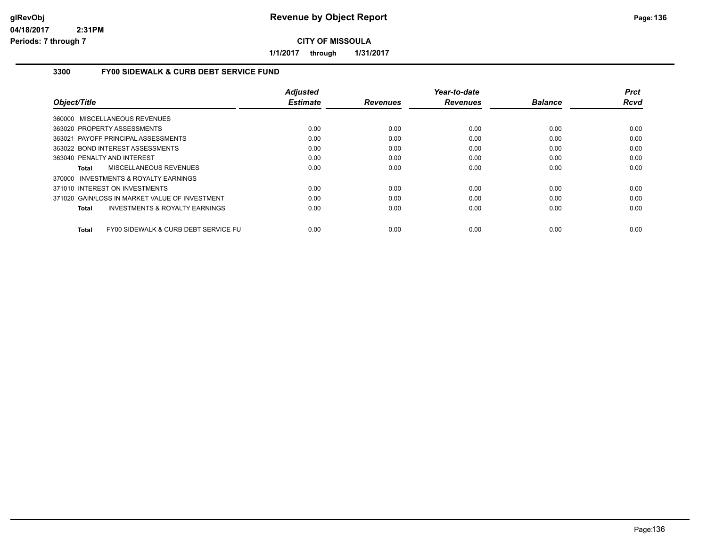**1/1/2017 through 1/31/2017**

#### **3300 FY00 SIDEWALK & CURB DEBT SERVICE FUND**

| Object/Title                                       | <b>Adjusted</b><br><b>Estimate</b> | <b>Revenues</b> | Year-to-date<br><b>Revenues</b> | <b>Balance</b> | <b>Prct</b><br><b>Rcvd</b> |
|----------------------------------------------------|------------------------------------|-----------------|---------------------------------|----------------|----------------------------|
| 360000 MISCELLANEOUS REVENUES                      |                                    |                 |                                 |                |                            |
| 363020 PROPERTY ASSESSMENTS                        | 0.00                               | 0.00            | 0.00                            | 0.00           | 0.00                       |
| 363021 PAYOFF PRINCIPAL ASSESSMENTS                | 0.00                               | 0.00            | 0.00                            | 0.00           | 0.00                       |
| 363022 BOND INTEREST ASSESSMENTS                   | 0.00                               | 0.00            | 0.00                            | 0.00           | 0.00                       |
| 363040 PENALTY AND INTEREST                        | 0.00                               | 0.00            | 0.00                            | 0.00           | 0.00                       |
| MISCELLANEOUS REVENUES<br>Total                    | 0.00                               | 0.00            | 0.00                            | 0.00           | 0.00                       |
| INVESTMENTS & ROYALTY EARNINGS<br>370000           |                                    |                 |                                 |                |                            |
| 371010 INTEREST ON INVESTMENTS                     | 0.00                               | 0.00            | 0.00                            | 0.00           | 0.00                       |
| 371020 GAIN/LOSS IN MARKET VALUE OF INVESTMENT     | 0.00                               | 0.00            | 0.00                            | 0.00           | 0.00                       |
| <b>INVESTMENTS &amp; ROYALTY EARNINGS</b><br>Total | 0.00                               | 0.00            | 0.00                            | 0.00           | 0.00                       |
| Total<br>FY00 SIDEWALK & CURB DEBT SERVICE FU      | 0.00                               | 0.00            | 0.00                            | 0.00           | 0.00                       |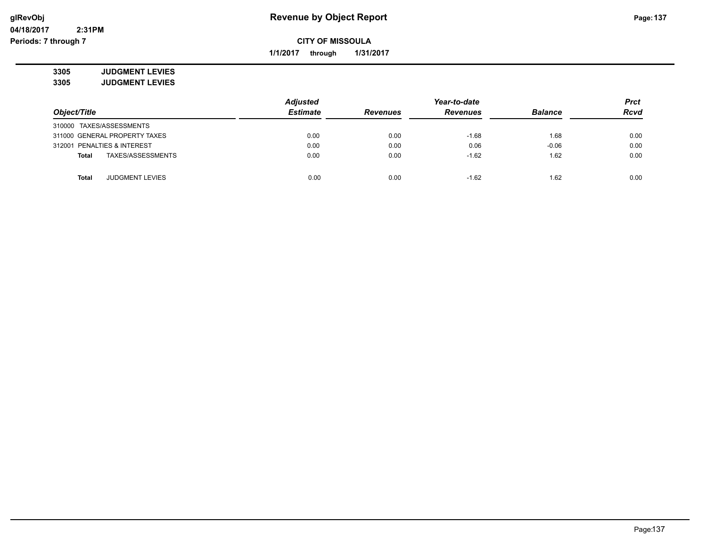**1/1/2017 through 1/31/2017**

**3305 JUDGMENT LEVIES 3305 JUDGMENT LEVIES**

|                                        | <b>Adjusted</b> |                 | Year-to-date    |                | <b>Prct</b> |
|----------------------------------------|-----------------|-----------------|-----------------|----------------|-------------|
| Object/Title                           | <b>Estimate</b> | <b>Revenues</b> | <b>Revenues</b> | <b>Balance</b> | <b>Rcvd</b> |
| 310000 TAXES/ASSESSMENTS               |                 |                 |                 |                |             |
| 311000 GENERAL PROPERTY TAXES          | 0.00            | 0.00            | $-1.68$         | 1.68           | 0.00        |
| 312001 PENALTIES & INTEREST            | 0.00            | 0.00            | 0.06            | $-0.06$        | 0.00        |
| TAXES/ASSESSMENTS<br>Total             | 0.00            | 0.00            | $-1.62$         | 1.62           | 0.00        |
| <b>JUDGMENT LEVIES</b><br><b>Total</b> | 0.00            | 0.00            | $-1.62$         | 1.62           | 0.00        |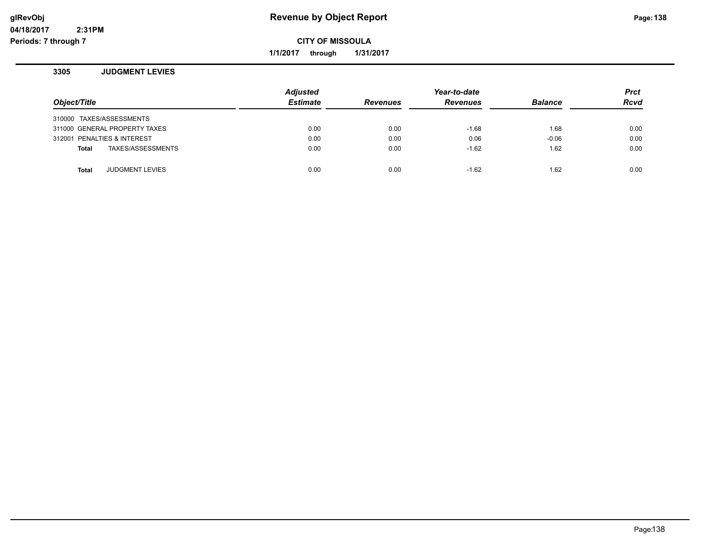**Periods: 7 through 7**

**CITY OF MISSOULA**

**1/1/2017 through 1/31/2017**

#### **3305 JUDGMENT LEVIES**

 **2:31PM**

| Object/Title                           | <b>Adjusted</b><br><b>Estimate</b> | <b>Revenues</b> | Year-to-date<br><b>Revenues</b> | <b>Balance</b> | <b>Prct</b><br><b>Rcvd</b> |
|----------------------------------------|------------------------------------|-----------------|---------------------------------|----------------|----------------------------|
|                                        |                                    |                 |                                 |                |                            |
| 310000 TAXES/ASSESSMENTS               |                                    |                 |                                 |                |                            |
| 311000 GENERAL PROPERTY TAXES          | 0.00                               | 0.00            | $-1.68$                         | 1.68           | 0.00                       |
| 312001 PENALTIES & INTEREST            | 0.00                               | 0.00            | 0.06                            | $-0.06$        | 0.00                       |
| TAXES/ASSESSMENTS<br><b>Total</b>      | 0.00                               | 0.00            | $-1.62$                         | 1.62           | 0.00                       |
|                                        |                                    |                 |                                 |                |                            |
| <b>JUDGMENT LEVIES</b><br><b>Total</b> | 0.00                               | 0.00            | $-1.62$                         | 1.62           | 0.00                       |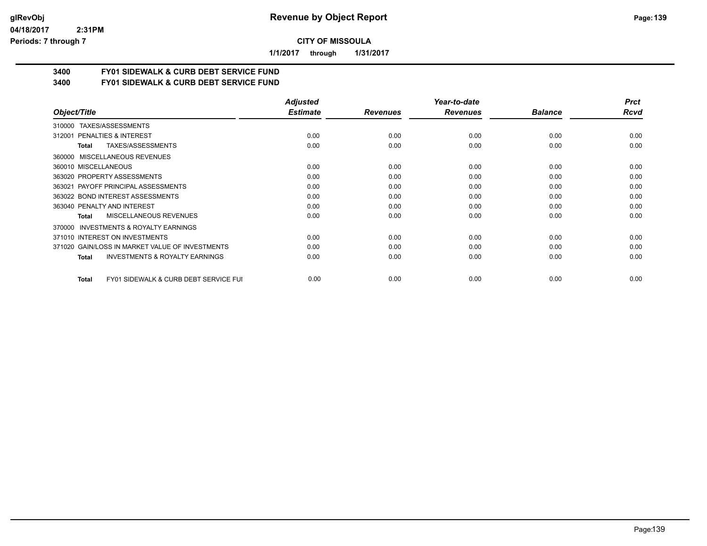*Prct Rcvd*

**CITY OF MISSOULA**

**1/1/2017 through 1/31/2017**

## **3400 FY01 SIDEWALK & CURB DEBT SERVICE FUND**

|                                                           | <b>Adjusted</b> |                 | Year-to-date    |                | <b>Prct</b> |
|-----------------------------------------------------------|-----------------|-----------------|-----------------|----------------|-------------|
| Object/Title                                              | <b>Estimate</b> | <b>Revenues</b> | <b>Revenues</b> | <b>Balance</b> | Rcva        |
| TAXES/ASSESSMENTS<br>310000                               |                 |                 |                 |                |             |
| PENALTIES & INTEREST<br>312001                            | 0.00            | 0.00            | 0.00            | 0.00           | 0.00        |
| TAXES/ASSESSMENTS<br><b>Total</b>                         | 0.00            | 0.00            | 0.00            | 0.00           | 0.00        |
| MISCELLANEOUS REVENUES<br>360000                          |                 |                 |                 |                |             |
| 360010 MISCELLANEOUS                                      | 0.00            | 0.00            | 0.00            | 0.00           | 0.00        |
| 363020 PROPERTY ASSESSMENTS                               | 0.00            | 0.00            | 0.00            | 0.00           | 0.00        |
| PAYOFF PRINCIPAL ASSESSMENTS<br>363021                    | 0.00            | 0.00            | 0.00            | 0.00           | 0.00        |
| 363022 BOND INTEREST ASSESSMENTS                          | 0.00            | 0.00            | 0.00            | 0.00           | 0.00        |
| 363040 PENALTY AND INTEREST                               | 0.00            | 0.00            | 0.00            | 0.00           | 0.00        |
| MISCELLANEOUS REVENUES<br><b>Total</b>                    | 0.00            | 0.00            | 0.00            | 0.00           | 0.00        |
| <b>INVESTMENTS &amp; ROYALTY EARNINGS</b><br>370000       |                 |                 |                 |                |             |
| 371010 INTEREST ON INVESTMENTS                            | 0.00            | 0.00            | 0.00            | 0.00           | 0.00        |
| 371020 GAIN/LOSS IN MARKET VALUE OF INVESTMENTS           | 0.00            | 0.00            | 0.00            | 0.00           | 0.00        |
| <b>INVESTMENTS &amp; ROYALTY EARNINGS</b><br><b>Total</b> | 0.00            | 0.00            | 0.00            | 0.00           | 0.00        |
| <b>FY01 SIDEWALK &amp; CURB DEBT SERVICE FUI</b><br>Total | 0.00            | 0.00            | 0.00            | 0.00           | 0.00        |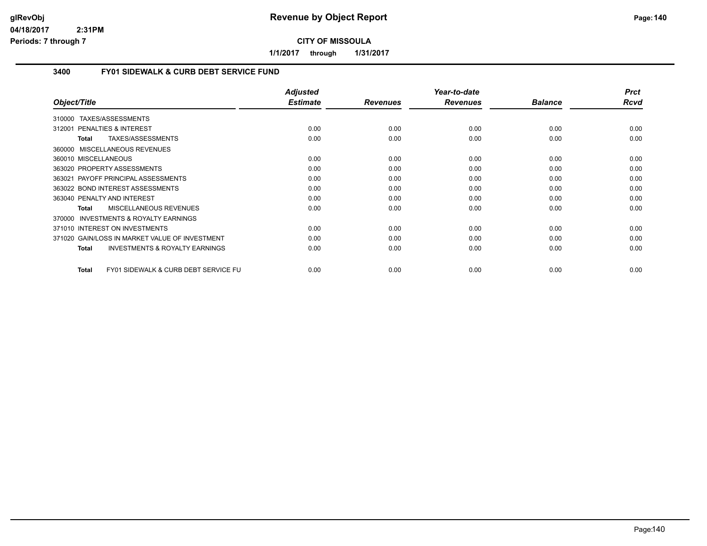**1/1/2017 through 1/31/2017**

#### **3400 FY01 SIDEWALK & CURB DEBT SERVICE FUND**

|                                                           | <b>Adjusted</b> |                 | Year-to-date    |                | <b>Prct</b> |
|-----------------------------------------------------------|-----------------|-----------------|-----------------|----------------|-------------|
| Object/Title                                              | <b>Estimate</b> | <b>Revenues</b> | <b>Revenues</b> | <b>Balance</b> | Rcvd        |
| TAXES/ASSESSMENTS<br>310000                               |                 |                 |                 |                |             |
| 312001 PENALTIES & INTEREST                               | 0.00            | 0.00            | 0.00            | 0.00           | 0.00        |
| TAXES/ASSESSMENTS<br>Total                                | 0.00            | 0.00            | 0.00            | 0.00           | 0.00        |
| 360000 MISCELLANEOUS REVENUES                             |                 |                 |                 |                |             |
| 360010 MISCELLANEOUS                                      | 0.00            | 0.00            | 0.00            | 0.00           | 0.00        |
| 363020 PROPERTY ASSESSMENTS                               | 0.00            | 0.00            | 0.00            | 0.00           | 0.00        |
| 363021 PAYOFF PRINCIPAL ASSESSMENTS                       | 0.00            | 0.00            | 0.00            | 0.00           | 0.00        |
| 363022 BOND INTEREST ASSESSMENTS                          | 0.00            | 0.00            | 0.00            | 0.00           | 0.00        |
| 363040 PENALTY AND INTEREST                               | 0.00            | 0.00            | 0.00            | 0.00           | 0.00        |
| MISCELLANEOUS REVENUES<br>Total                           | 0.00            | 0.00            | 0.00            | 0.00           | 0.00        |
| INVESTMENTS & ROYALTY EARNINGS<br>370000                  |                 |                 |                 |                |             |
| 371010 INTEREST ON INVESTMENTS                            | 0.00            | 0.00            | 0.00            | 0.00           | 0.00        |
| 371020 GAIN/LOSS IN MARKET VALUE OF INVESTMENT            | 0.00            | 0.00            | 0.00            | 0.00           | 0.00        |
| <b>INVESTMENTS &amp; ROYALTY EARNINGS</b><br><b>Total</b> | 0.00            | 0.00            | 0.00            | 0.00           | 0.00        |
| FY01 SIDEWALK & CURB DEBT SERVICE FU<br><b>Total</b>      | 0.00            | 0.00            | 0.00            | 0.00           | 0.00        |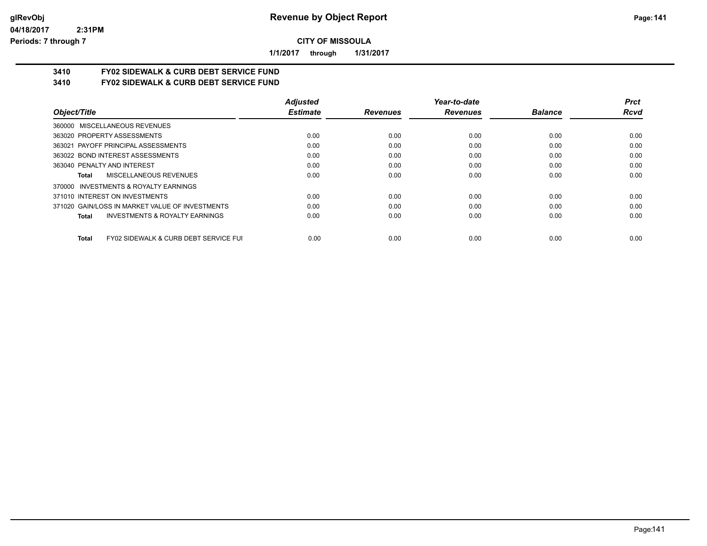**1/1/2017 through 1/31/2017**

#### **3410 FY02 SIDEWALK & CURB DEBT SERVICE FUND 3410 FY02 SIDEWALK & CURB DEBT SERVICE FUND**

|                                                           | <b>Adjusted</b> |                 | Year-to-date    |                | <b>Prct</b> |
|-----------------------------------------------------------|-----------------|-----------------|-----------------|----------------|-------------|
| Object/Title                                              | <b>Estimate</b> | <b>Revenues</b> | <b>Revenues</b> | <b>Balance</b> | Rcvd        |
| 360000 MISCELLANEOUS REVENUES                             |                 |                 |                 |                |             |
| 363020 PROPERTY ASSESSMENTS                               | 0.00            | 0.00            | 0.00            | 0.00           | 0.00        |
| 363021 PAYOFF PRINCIPAL ASSESSMENTS                       | 0.00            | 0.00            | 0.00            | 0.00           | 0.00        |
| 363022 BOND INTEREST ASSESSMENTS                          | 0.00            | 0.00            | 0.00            | 0.00           | 0.00        |
| 363040 PENALTY AND INTEREST                               | 0.00            | 0.00            | 0.00            | 0.00           | 0.00        |
| MISCELLANEOUS REVENUES<br><b>Total</b>                    | 0.00            | 0.00            | 0.00            | 0.00           | 0.00        |
| 370000 INVESTMENTS & ROYALTY EARNINGS                     |                 |                 |                 |                |             |
| 371010 INTEREST ON INVESTMENTS                            | 0.00            | 0.00            | 0.00            | 0.00           | 0.00        |
| 371020 GAIN/LOSS IN MARKET VALUE OF INVESTMENTS           | 0.00            | 0.00            | 0.00            | 0.00           | 0.00        |
| <b>INVESTMENTS &amp; ROYALTY EARNINGS</b><br>Total        | 0.00            | 0.00            | 0.00            | 0.00           | 0.00        |
| <b>FY02 SIDEWALK &amp; CURB DEBT SERVICE FUI</b><br>Total | 0.00            | 0.00            | 0.00            | 0.00           | 0.00        |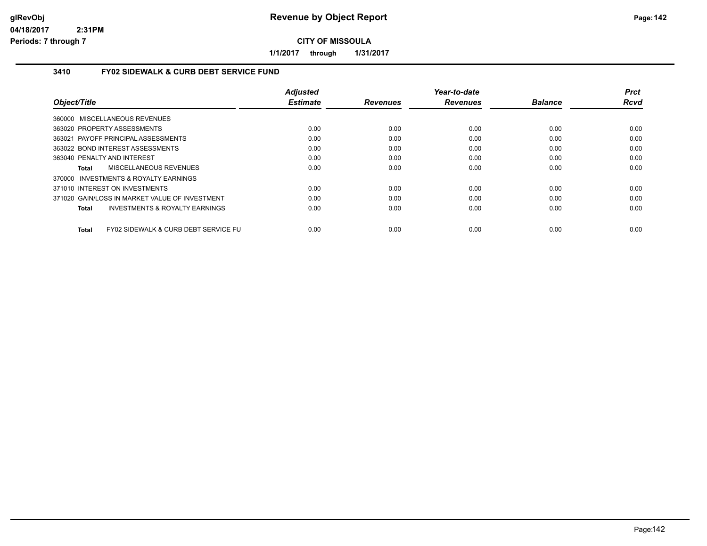**1/1/2017 through 1/31/2017**

#### **3410 FY02 SIDEWALK & CURB DEBT SERVICE FUND**

| Object/Title                                         | <b>Adjusted</b><br><b>Estimate</b> | <b>Revenues</b> | Year-to-date<br><b>Revenues</b> | <b>Balance</b> | <b>Prct</b><br><b>Rcvd</b> |
|------------------------------------------------------|------------------------------------|-----------------|---------------------------------|----------------|----------------------------|
| 360000 MISCELLANEOUS REVENUES                        |                                    |                 |                                 |                |                            |
|                                                      |                                    |                 |                                 |                |                            |
| 363020 PROPERTY ASSESSMENTS                          | 0.00                               | 0.00            | 0.00                            | 0.00           | 0.00                       |
| 363021 PAYOFF PRINCIPAL ASSESSMENTS                  | 0.00                               | 0.00            | 0.00                            | 0.00           | 0.00                       |
| 363022 BOND INTEREST ASSESSMENTS                     | 0.00                               | 0.00            | 0.00                            | 0.00           | 0.00                       |
| 363040 PENALTY AND INTEREST                          | 0.00                               | 0.00            | 0.00                            | 0.00           | 0.00                       |
| MISCELLANEOUS REVENUES<br>Total                      | 0.00                               | 0.00            | 0.00                            | 0.00           | 0.00                       |
| 370000 INVESTMENTS & ROYALTY EARNINGS                |                                    |                 |                                 |                |                            |
| 371010 INTEREST ON INVESTMENTS                       | 0.00                               | 0.00            | 0.00                            | 0.00           | 0.00                       |
| 371020 GAIN/LOSS IN MARKET VALUE OF INVESTMENT       | 0.00                               | 0.00            | 0.00                            | 0.00           | 0.00                       |
| <b>INVESTMENTS &amp; ROYALTY EARNINGS</b><br>Total   | 0.00                               | 0.00            | 0.00                            | 0.00           | 0.00                       |
| FY02 SIDEWALK & CURB DEBT SERVICE FU<br><b>Total</b> | 0.00                               | 0.00            | 0.00                            | 0.00           | 0.00                       |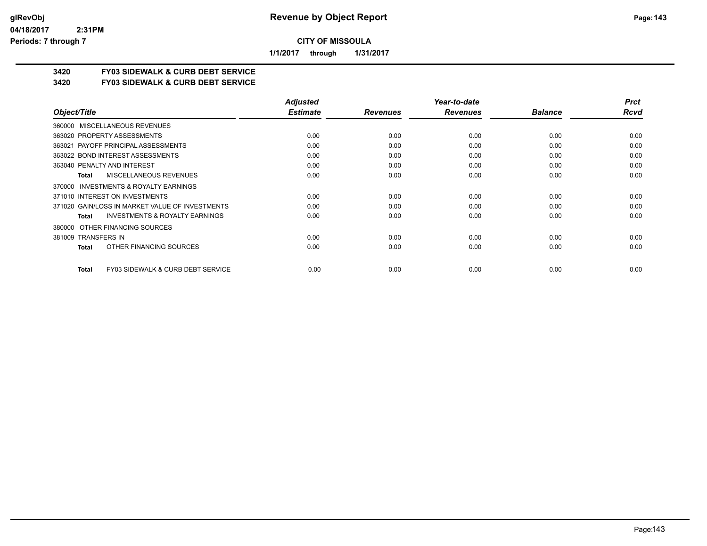**1/1/2017 through 1/31/2017**

## **3420 FY03 SIDEWALK & CURB DEBT SERVICE**

**3420 FY03 SIDEWALK & CURB DEBT SERVICE**

|                                                           | <b>Adjusted</b> |                 | Year-to-date    |                | <b>Prct</b> |
|-----------------------------------------------------------|-----------------|-----------------|-----------------|----------------|-------------|
| Object/Title                                              | <b>Estimate</b> | <b>Revenues</b> | <b>Revenues</b> | <b>Balance</b> | <b>Rcvd</b> |
| 360000 MISCELLANEOUS REVENUES                             |                 |                 |                 |                |             |
| 363020 PROPERTY ASSESSMENTS                               | 0.00            | 0.00            | 0.00            | 0.00           | 0.00        |
| 363021 PAYOFF PRINCIPAL ASSESSMENTS                       | 0.00            | 0.00            | 0.00            | 0.00           | 0.00        |
| 363022 BOND INTEREST ASSESSMENTS                          | 0.00            | 0.00            | 0.00            | 0.00           | 0.00        |
| 363040 PENALTY AND INTEREST                               | 0.00            | 0.00            | 0.00            | 0.00           | 0.00        |
| MISCELLANEOUS REVENUES<br>Total                           | 0.00            | 0.00            | 0.00            | 0.00           | 0.00        |
| 370000 INVESTMENTS & ROYALTY EARNINGS                     |                 |                 |                 |                |             |
| 371010 INTEREST ON INVESTMENTS                            | 0.00            | 0.00            | 0.00            | 0.00           | 0.00        |
| 371020 GAIN/LOSS IN MARKET VALUE OF INVESTMENTS           | 0.00            | 0.00            | 0.00            | 0.00           | 0.00        |
| <b>INVESTMENTS &amp; ROYALTY EARNINGS</b><br><b>Total</b> | 0.00            | 0.00            | 0.00            | 0.00           | 0.00        |
| 380000 OTHER FINANCING SOURCES                            |                 |                 |                 |                |             |
| 381009 TRANSFERS IN                                       | 0.00            | 0.00            | 0.00            | 0.00           | 0.00        |
| OTHER FINANCING SOURCES<br>Total                          | 0.00            | 0.00            | 0.00            | 0.00           | 0.00        |
| FY03 SIDEWALK & CURB DEBT SERVICE<br>Total                | 0.00            | 0.00            | 0.00            | 0.00           | 0.00        |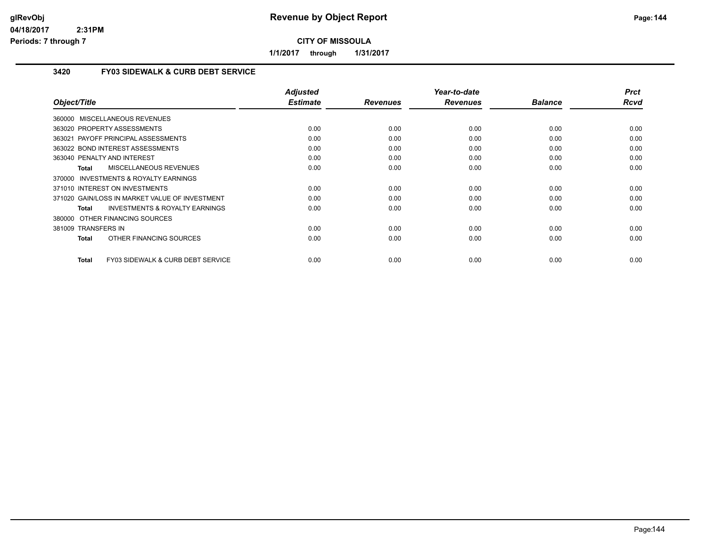**1/1/2017 through 1/31/2017**

#### **3420 FY03 SIDEWALK & CURB DEBT SERVICE**

| Object/Title                                              | <b>Adjusted</b><br><b>Estimate</b> | <b>Revenues</b> | Year-to-date<br><b>Revenues</b> | <b>Balance</b> | <b>Prct</b><br>Rcvd |
|-----------------------------------------------------------|------------------------------------|-----------------|---------------------------------|----------------|---------------------|
| 360000 MISCELLANEOUS REVENUES                             |                                    |                 |                                 |                |                     |
| 363020 PROPERTY ASSESSMENTS                               | 0.00                               | 0.00            | 0.00                            | 0.00           | 0.00                |
| 363021 PAYOFF PRINCIPAL ASSESSMENTS                       | 0.00                               | 0.00            | 0.00                            | 0.00           | 0.00                |
| 363022 BOND INTEREST ASSESSMENTS                          | 0.00                               | 0.00            | 0.00                            | 0.00           | 0.00                |
| 363040 PENALTY AND INTEREST                               | 0.00                               | 0.00            | 0.00                            | 0.00           | 0.00                |
| <b>MISCELLANEOUS REVENUES</b><br>Total                    | 0.00                               | 0.00            | 0.00                            | 0.00           | 0.00                |
| <b>INVESTMENTS &amp; ROYALTY EARNINGS</b><br>370000       |                                    |                 |                                 |                |                     |
| 371010 INTEREST ON INVESTMENTS                            | 0.00                               | 0.00            | 0.00                            | 0.00           | 0.00                |
| 371020 GAIN/LOSS IN MARKET VALUE OF INVESTMENT            | 0.00                               | 0.00            | 0.00                            | 0.00           | 0.00                |
| <b>INVESTMENTS &amp; ROYALTY EARNINGS</b><br><b>Total</b> | 0.00                               | 0.00            | 0.00                            | 0.00           | 0.00                |
| 380000 OTHER FINANCING SOURCES                            |                                    |                 |                                 |                |                     |
| 381009 TRANSFERS IN                                       | 0.00                               | 0.00            | 0.00                            | 0.00           | 0.00                |
| OTHER FINANCING SOURCES<br><b>Total</b>                   | 0.00                               | 0.00            | 0.00                            | 0.00           | 0.00                |
| FY03 SIDEWALK & CURB DEBT SERVICE<br><b>Total</b>         | 0.00                               | 0.00            | 0.00                            | 0.00           | 0.00                |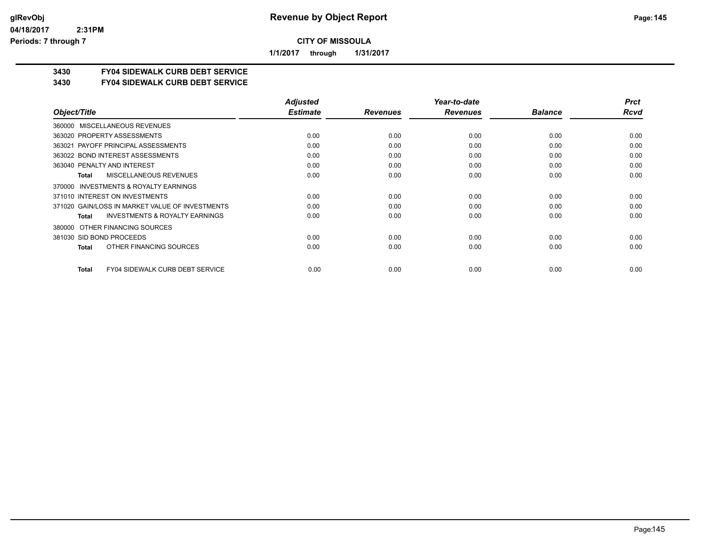**1/1/2017 through 1/31/2017**

# **3430 FY04 SIDEWALK CURB DEBT SERVICE**

**3430 FY04 SIDEWALK CURB DEBT SERVICE**

|                                                    | <b>Adjusted</b> |                 | Year-to-date    |                | <b>Prct</b> |
|----------------------------------------------------|-----------------|-----------------|-----------------|----------------|-------------|
| Object/Title                                       | <b>Estimate</b> | <b>Revenues</b> | <b>Revenues</b> | <b>Balance</b> | <b>Rcvd</b> |
| 360000 MISCELLANEOUS REVENUES                      |                 |                 |                 |                |             |
| 363020 PROPERTY ASSESSMENTS                        | 0.00            | 0.00            | 0.00            | 0.00           | 0.00        |
| 363021 PAYOFF PRINCIPAL ASSESSMENTS                | 0.00            | 0.00            | 0.00            | 0.00           | 0.00        |
| 363022 BOND INTEREST ASSESSMENTS                   | 0.00            | 0.00            | 0.00            | 0.00           | 0.00        |
| 363040 PENALTY AND INTEREST                        | 0.00            | 0.00            | 0.00            | 0.00           | 0.00        |
| MISCELLANEOUS REVENUES<br>Total                    | 0.00            | 0.00            | 0.00            | 0.00           | 0.00        |
| 370000 INVESTMENTS & ROYALTY EARNINGS              |                 |                 |                 |                |             |
| 371010 INTEREST ON INVESTMENTS                     | 0.00            | 0.00            | 0.00            | 0.00           | 0.00        |
| 371020 GAIN/LOSS IN MARKET VALUE OF INVESTMENTS    | 0.00            | 0.00            | 0.00            | 0.00           | 0.00        |
| <b>INVESTMENTS &amp; ROYALTY EARNINGS</b><br>Total | 0.00            | 0.00            | 0.00            | 0.00           | 0.00        |
| 380000 OTHER FINANCING SOURCES                     |                 |                 |                 |                |             |
| 381030 SID BOND PROCEEDS                           | 0.00            | 0.00            | 0.00            | 0.00           | 0.00        |
| OTHER FINANCING SOURCES<br>Total                   | 0.00            | 0.00            | 0.00            | 0.00           | 0.00        |
| <b>FY04 SIDEWALK CURB DEBT SERVICE</b><br>Total    | 0.00            | 0.00            | 0.00            | 0.00           | 0.00        |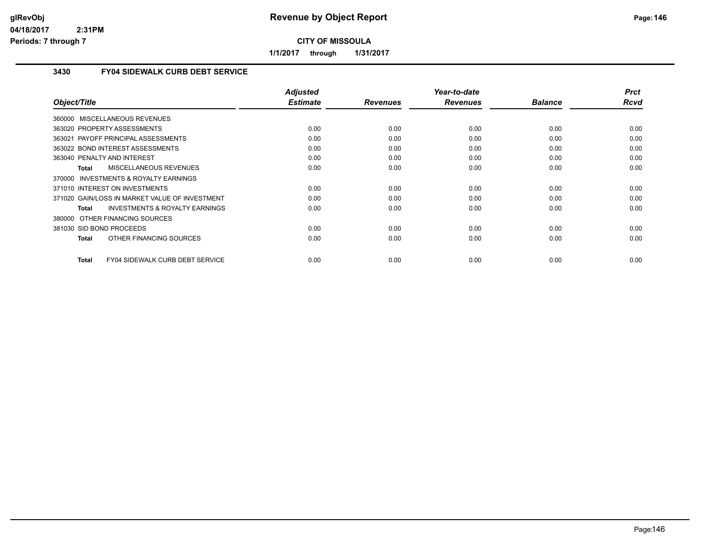**1/1/2017 through 1/31/2017**

#### **3430 FY04 SIDEWALK CURB DEBT SERVICE**

|                                                     | <b>Adjusted</b> |                 | Year-to-date    |                | <b>Prct</b> |
|-----------------------------------------------------|-----------------|-----------------|-----------------|----------------|-------------|
| Object/Title                                        | <b>Estimate</b> | <b>Revenues</b> | <b>Revenues</b> | <b>Balance</b> | <b>Rcvd</b> |
| 360000 MISCELLANEOUS REVENUES                       |                 |                 |                 |                |             |
| 363020 PROPERTY ASSESSMENTS                         | 0.00            | 0.00            | 0.00            | 0.00           | 0.00        |
| 363021 PAYOFF PRINCIPAL ASSESSMENTS                 | 0.00            | 0.00            | 0.00            | 0.00           | 0.00        |
| 363022 BOND INTEREST ASSESSMENTS                    | 0.00            | 0.00            | 0.00            | 0.00           | 0.00        |
| 363040 PENALTY AND INTEREST                         | 0.00            | 0.00            | 0.00            | 0.00           | 0.00        |
| <b>MISCELLANEOUS REVENUES</b><br>Total              | 0.00            | 0.00            | 0.00            | 0.00           | 0.00        |
| <b>INVESTMENTS &amp; ROYALTY EARNINGS</b><br>370000 |                 |                 |                 |                |             |
| 371010 INTEREST ON INVESTMENTS                      | 0.00            | 0.00            | 0.00            | 0.00           | 0.00        |
| 371020 GAIN/LOSS IN MARKET VALUE OF INVESTMENT      | 0.00            | 0.00            | 0.00            | 0.00           | 0.00        |
| <b>INVESTMENTS &amp; ROYALTY EARNINGS</b><br>Total  | 0.00            | 0.00            | 0.00            | 0.00           | 0.00        |
| 380000 OTHER FINANCING SOURCES                      |                 |                 |                 |                |             |
| 381030 SID BOND PROCEEDS                            | 0.00            | 0.00            | 0.00            | 0.00           | 0.00        |
| OTHER FINANCING SOURCES<br>Total                    | 0.00            | 0.00            | 0.00            | 0.00           | 0.00        |
|                                                     |                 |                 |                 |                |             |
| <b>FY04 SIDEWALK CURB DEBT SERVICE</b><br>Total     | 0.00            | 0.00            | 0.00            | 0.00           | 0.00        |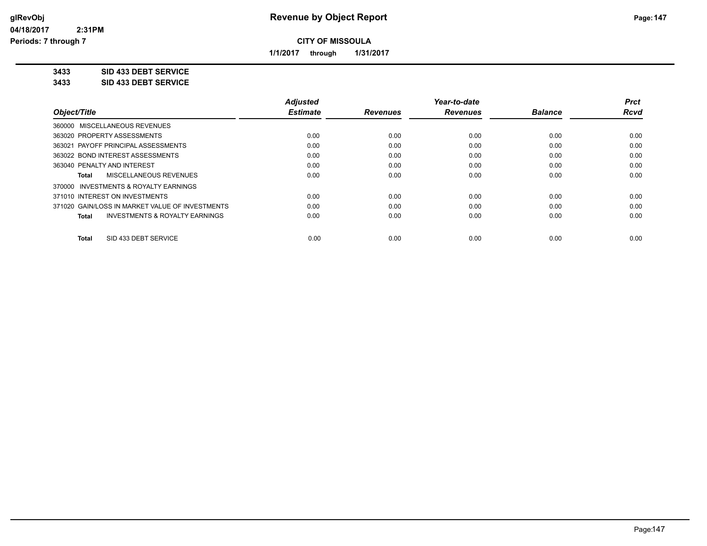**1/1/2017 through 1/31/2017**

**3433 SID 433 DEBT SERVICE**

**3433 SID 433 DEBT SERVICE**

|                                                    | <b>Adjusted</b> |                 | Year-to-date    |                | <b>Prct</b> |
|----------------------------------------------------|-----------------|-----------------|-----------------|----------------|-------------|
| Object/Title                                       | <b>Estimate</b> | <b>Revenues</b> | <b>Revenues</b> | <b>Balance</b> | Rcvd        |
| 360000 MISCELLANEOUS REVENUES                      |                 |                 |                 |                |             |
| 363020 PROPERTY ASSESSMENTS                        | 0.00            | 0.00            | 0.00            | 0.00           | 0.00        |
| 363021 PAYOFF PRINCIPAL ASSESSMENTS                | 0.00            | 0.00            | 0.00            | 0.00           | 0.00        |
| 363022 BOND INTEREST ASSESSMENTS                   | 0.00            | 0.00            | 0.00            | 0.00           | 0.00        |
| 363040 PENALTY AND INTEREST                        | 0.00            | 0.00            | 0.00            | 0.00           | 0.00        |
| MISCELLANEOUS REVENUES<br>Total                    | 0.00            | 0.00            | 0.00            | 0.00           | 0.00        |
| 370000 INVESTMENTS & ROYALTY EARNINGS              |                 |                 |                 |                |             |
| 371010 INTEREST ON INVESTMENTS                     | 0.00            | 0.00            | 0.00            | 0.00           | 0.00        |
| 371020 GAIN/LOSS IN MARKET VALUE OF INVESTMENTS    | 0.00            | 0.00            | 0.00            | 0.00           | 0.00        |
| <b>INVESTMENTS &amp; ROYALTY EARNINGS</b><br>Total | 0.00            | 0.00            | 0.00            | 0.00           | 0.00        |
| SID 433 DEBT SERVICE<br>Total                      | 0.00            | 0.00            | 0.00            | 0.00           | 0.00        |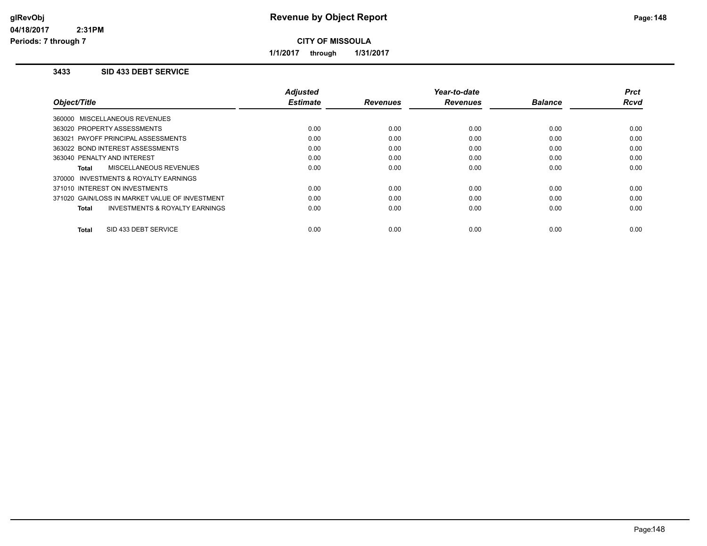**1/1/2017 through 1/31/2017**

#### **3433 SID 433 DEBT SERVICE**

| Object/Title                                              | <b>Adjusted</b><br><b>Estimate</b> | <b>Revenues</b> | Year-to-date<br><b>Revenues</b> | <b>Balance</b> | <b>Prct</b><br><b>Rcvd</b> |
|-----------------------------------------------------------|------------------------------------|-----------------|---------------------------------|----------------|----------------------------|
| 360000 MISCELLANEOUS REVENUES                             |                                    |                 |                                 |                |                            |
| 363020 PROPERTY ASSESSMENTS                               | 0.00                               | 0.00            | 0.00                            | 0.00           | 0.00                       |
| 363021 PAYOFF PRINCIPAL ASSESSMENTS                       | 0.00                               | 0.00            | 0.00                            | 0.00           | 0.00                       |
| 363022 BOND INTEREST ASSESSMENTS                          | 0.00                               | 0.00            | 0.00                            | 0.00           | 0.00                       |
| 363040 PENALTY AND INTEREST                               | 0.00                               | 0.00            | 0.00                            | 0.00           | 0.00                       |
| MISCELLANEOUS REVENUES<br><b>Total</b>                    | 0.00                               | 0.00            | 0.00                            | 0.00           | 0.00                       |
| INVESTMENTS & ROYALTY EARNINGS<br>370000                  |                                    |                 |                                 |                |                            |
| 371010 INTEREST ON INVESTMENTS                            | 0.00                               | 0.00            | 0.00                            | 0.00           | 0.00                       |
| 371020 GAIN/LOSS IN MARKET VALUE OF INVESTMENT            | 0.00                               | 0.00            | 0.00                            | 0.00           | 0.00                       |
| <b>INVESTMENTS &amp; ROYALTY EARNINGS</b><br><b>Total</b> | 0.00                               | 0.00            | 0.00                            | 0.00           | 0.00                       |
|                                                           |                                    |                 |                                 |                |                            |
| SID 433 DEBT SERVICE<br><b>Total</b>                      | 0.00                               | 0.00            | 0.00                            | 0.00           | 0.00                       |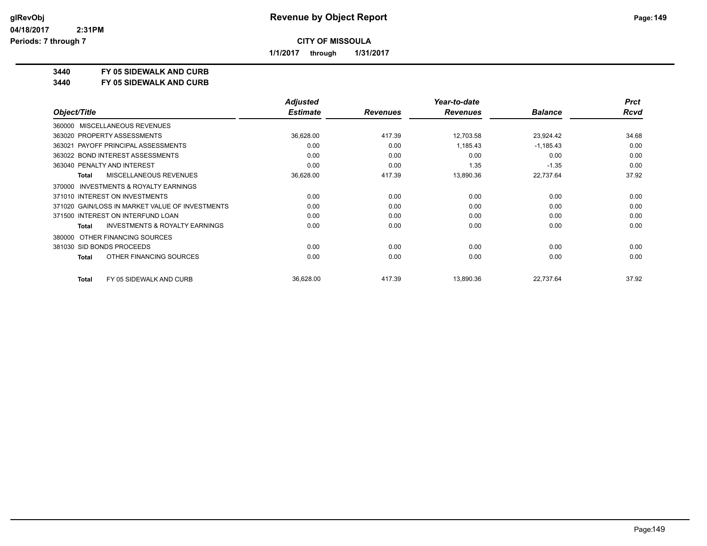**1/1/2017 through 1/31/2017**

**3440 FY 05 SIDEWALK AND CURB**

**3440 FY 05 SIDEWALK AND CURB**

|                                                    | <b>Adjusted</b> |                 | Year-to-date    |                | <b>Prct</b> |
|----------------------------------------------------|-----------------|-----------------|-----------------|----------------|-------------|
| Object/Title                                       | <b>Estimate</b> | <b>Revenues</b> | <b>Revenues</b> | <b>Balance</b> | <b>Rcvd</b> |
| 360000 MISCELLANEOUS REVENUES                      |                 |                 |                 |                |             |
| 363020 PROPERTY ASSESSMENTS                        | 36,628.00       | 417.39          | 12.703.58       | 23,924.42      | 34.68       |
| 363021 PAYOFF PRINCIPAL ASSESSMENTS                | 0.00            | 0.00            | 1,185.43        | $-1,185.43$    | 0.00        |
| 363022 BOND INTEREST ASSESSMENTS                   | 0.00            | 0.00            | 0.00            | 0.00           | 0.00        |
| 363040 PENALTY AND INTEREST                        | 0.00            | 0.00            | 1.35            | $-1.35$        | 0.00        |
| MISCELLANEOUS REVENUES<br>Total                    | 36,628.00       | 417.39          | 13,890.36       | 22,737.64      | 37.92       |
| 370000 INVESTMENTS & ROYALTY EARNINGS              |                 |                 |                 |                |             |
| 371010 INTEREST ON INVESTMENTS                     | 0.00            | 0.00            | 0.00            | 0.00           | 0.00        |
| 371020 GAIN/LOSS IN MARKET VALUE OF INVESTMENTS    | 0.00            | 0.00            | 0.00            | 0.00           | 0.00        |
| 371500 INTEREST ON INTERFUND LOAN                  | 0.00            | 0.00            | 0.00            | 0.00           | 0.00        |
| <b>INVESTMENTS &amp; ROYALTY EARNINGS</b><br>Total | 0.00            | 0.00            | 0.00            | 0.00           | 0.00        |
| 380000 OTHER FINANCING SOURCES                     |                 |                 |                 |                |             |
| 381030 SID BONDS PROCEEDS                          | 0.00            | 0.00            | 0.00            | 0.00           | 0.00        |
| OTHER FINANCING SOURCES<br>Total                   | 0.00            | 0.00            | 0.00            | 0.00           | 0.00        |
| FY 05 SIDEWALK AND CURB<br>Total                   | 36,628.00       | 417.39          | 13,890.36       | 22,737.64      | 37.92       |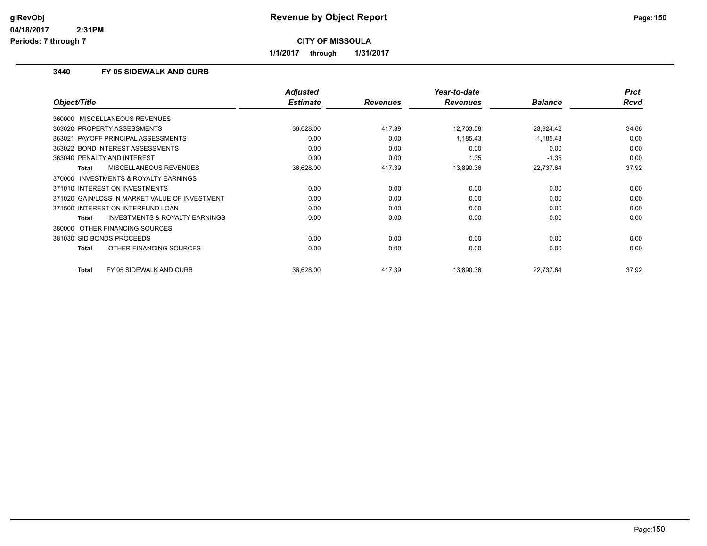**1/1/2017 through 1/31/2017**

#### **3440 FY 05 SIDEWALK AND CURB**

|                                                           | <b>Adjusted</b> |                 | Year-to-date    |                | <b>Prct</b> |
|-----------------------------------------------------------|-----------------|-----------------|-----------------|----------------|-------------|
| Object/Title                                              | <b>Estimate</b> | <b>Revenues</b> | <b>Revenues</b> | <b>Balance</b> | <b>Rcvd</b> |
| 360000 MISCELLANEOUS REVENUES                             |                 |                 |                 |                |             |
| 363020 PROPERTY ASSESSMENTS                               | 36,628.00       | 417.39          | 12,703.58       | 23,924.42      | 34.68       |
| 363021 PAYOFF PRINCIPAL ASSESSMENTS                       | 0.00            | 0.00            | 1,185.43        | $-1,185.43$    | 0.00        |
| 363022 BOND INTEREST ASSESSMENTS                          | 0.00            | 0.00            | 0.00            | 0.00           | 0.00        |
| 363040 PENALTY AND INTEREST                               | 0.00            | 0.00            | 1.35            | $-1.35$        | 0.00        |
| MISCELLANEOUS REVENUES<br><b>Total</b>                    | 36,628.00       | 417.39          | 13,890.36       | 22,737.64      | 37.92       |
| <b>INVESTMENTS &amp; ROYALTY EARNINGS</b><br>370000       |                 |                 |                 |                |             |
| 371010 INTEREST ON INVESTMENTS                            | 0.00            | 0.00            | 0.00            | 0.00           | 0.00        |
| 371020 GAIN/LOSS IN MARKET VALUE OF INVESTMENT            | 0.00            | 0.00            | 0.00            | 0.00           | 0.00        |
| 371500 INTEREST ON INTERFUND LOAN                         | 0.00            | 0.00            | 0.00            | 0.00           | 0.00        |
| <b>INVESTMENTS &amp; ROYALTY EARNINGS</b><br><b>Total</b> | 0.00            | 0.00            | 0.00            | 0.00           | 0.00        |
| OTHER FINANCING SOURCES<br>380000                         |                 |                 |                 |                |             |
| 381030 SID BONDS PROCEEDS                                 | 0.00            | 0.00            | 0.00            | 0.00           | 0.00        |
| OTHER FINANCING SOURCES<br><b>Total</b>                   | 0.00            | 0.00            | 0.00            | 0.00           | 0.00        |
| FY 05 SIDEWALK AND CURB<br><b>Total</b>                   | 36,628.00       | 417.39          | 13,890.36       | 22,737.64      | 37.92       |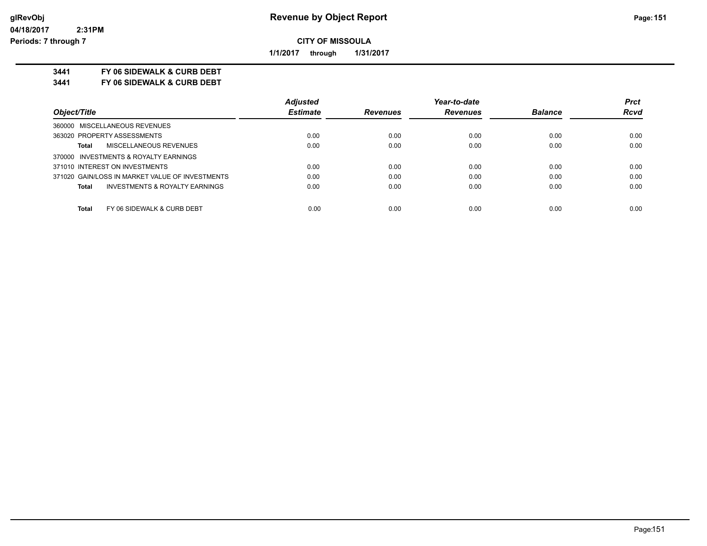**1/1/2017 through 1/31/2017**

**3441 FY 06 SIDEWALK & CURB DEBT**

**3441 FY 06 SIDEWALK & CURB DEBT**

|                                                 | <b>Adjusted</b> |                 | Year-to-date    |                | <b>Prct</b> |
|-------------------------------------------------|-----------------|-----------------|-----------------|----------------|-------------|
| Object/Title                                    | <b>Estimate</b> | <b>Revenues</b> | <b>Revenues</b> | <b>Balance</b> | <b>Rcvd</b> |
| 360000 MISCELLANEOUS REVENUES                   |                 |                 |                 |                |             |
| 363020 PROPERTY ASSESSMENTS                     | 0.00            | 0.00            | 0.00            | 0.00           | 0.00        |
| MISCELLANEOUS REVENUES<br>Total                 | 0.00            | 0.00            | 0.00            | 0.00           | 0.00        |
| 370000 INVESTMENTS & ROYALTY EARNINGS           |                 |                 |                 |                |             |
| 371010 INTEREST ON INVESTMENTS                  | 0.00            | 0.00            | 0.00            | 0.00           | 0.00        |
| 371020 GAIN/LOSS IN MARKET VALUE OF INVESTMENTS | 0.00            | 0.00            | 0.00            | 0.00           | 0.00        |
| INVESTMENTS & ROYALTY EARNINGS<br>Total         | 0.00            | 0.00            | 0.00            | 0.00           | 0.00        |
|                                                 |                 |                 |                 |                |             |
| <b>Total</b><br>FY 06 SIDEWALK & CURB DEBT      | 0.00            | 0.00            | 0.00            | 0.00           | 0.00        |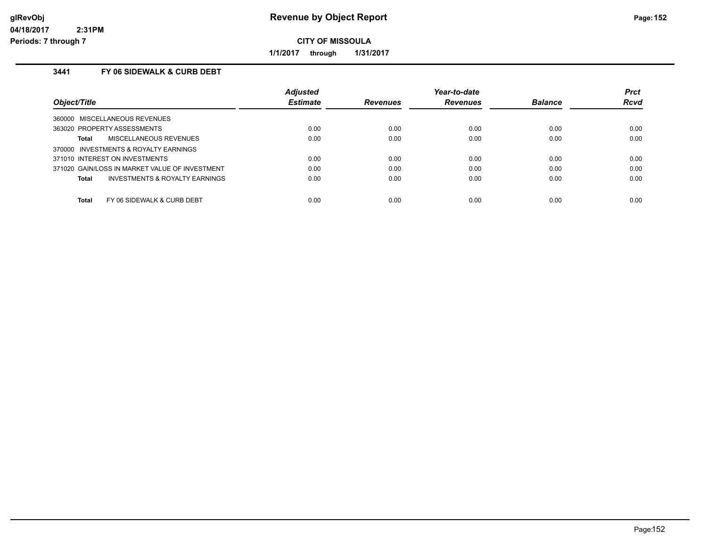**1/1/2017 through 1/31/2017**

#### **3441 FY 06 SIDEWALK & CURB DEBT**

|                                                | <b>Adjusted</b> |                 | Year-to-date    |                | <b>Prct</b> |
|------------------------------------------------|-----------------|-----------------|-----------------|----------------|-------------|
| Object/Title                                   | <b>Estimate</b> | <b>Revenues</b> | <b>Revenues</b> | <b>Balance</b> | <b>Rcvd</b> |
| MISCELLANEOUS REVENUES<br>360000               |                 |                 |                 |                |             |
| 363020 PROPERTY ASSESSMENTS                    | 0.00            | 0.00            | 0.00            | 0.00           | 0.00        |
| MISCELLANEOUS REVENUES<br>Total                | 0.00            | 0.00            | 0.00            | 0.00           | 0.00        |
| 370000 INVESTMENTS & ROYALTY EARNINGS          |                 |                 |                 |                |             |
| 371010 INTEREST ON INVESTMENTS                 | 0.00            | 0.00            | 0.00            | 0.00           | 0.00        |
| 371020 GAIN/LOSS IN MARKET VALUE OF INVESTMENT | 0.00            | 0.00            | 0.00            | 0.00           | 0.00        |
| INVESTMENTS & ROYALTY EARNINGS<br>Total        | 0.00            | 0.00            | 0.00            | 0.00           | 0.00        |
| Total<br>FY 06 SIDEWALK & CURB DEBT            | 0.00            | 0.00            | 0.00            | 0.00           | 0.00        |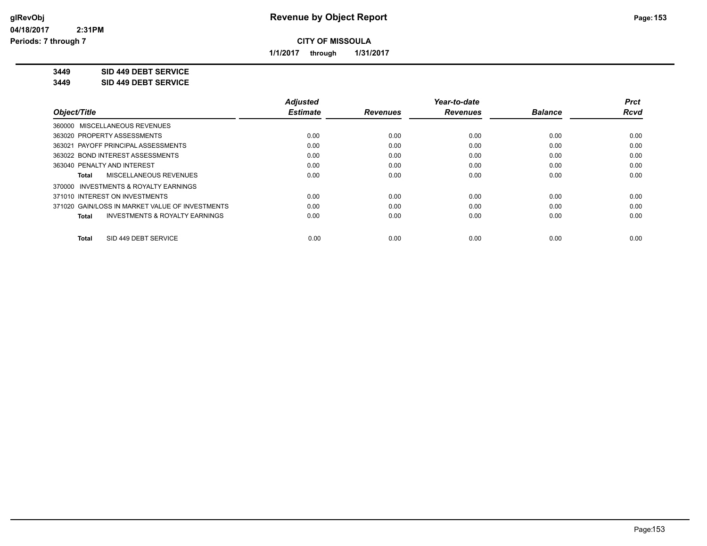**1/1/2017 through 1/31/2017**

**3449 SID 449 DEBT SERVICE**

**3449 SID 449 DEBT SERVICE**

|                                                    | <b>Adjusted</b> |                 | Year-to-date    |                | <b>Prct</b> |
|----------------------------------------------------|-----------------|-----------------|-----------------|----------------|-------------|
| Object/Title                                       | <b>Estimate</b> | <b>Revenues</b> | <b>Revenues</b> | <b>Balance</b> | Rcvd        |
| 360000 MISCELLANEOUS REVENUES                      |                 |                 |                 |                |             |
| 363020 PROPERTY ASSESSMENTS                        | 0.00            | 0.00            | 0.00            | 0.00           | 0.00        |
| 363021 PAYOFF PRINCIPAL ASSESSMENTS                | 0.00            | 0.00            | 0.00            | 0.00           | 0.00        |
| 363022 BOND INTEREST ASSESSMENTS                   | 0.00            | 0.00            | 0.00            | 0.00           | 0.00        |
| 363040 PENALTY AND INTEREST                        | 0.00            | 0.00            | 0.00            | 0.00           | 0.00        |
| MISCELLANEOUS REVENUES<br>Total                    | 0.00            | 0.00            | 0.00            | 0.00           | 0.00        |
| 370000 INVESTMENTS & ROYALTY EARNINGS              |                 |                 |                 |                |             |
| 371010 INTEREST ON INVESTMENTS                     | 0.00            | 0.00            | 0.00            | 0.00           | 0.00        |
| 371020 GAIN/LOSS IN MARKET VALUE OF INVESTMENTS    | 0.00            | 0.00            | 0.00            | 0.00           | 0.00        |
| <b>INVESTMENTS &amp; ROYALTY EARNINGS</b><br>Total | 0.00            | 0.00            | 0.00            | 0.00           | 0.00        |
| SID 449 DEBT SERVICE<br>Total                      | 0.00            | 0.00            | 0.00            | 0.00           | 0.00        |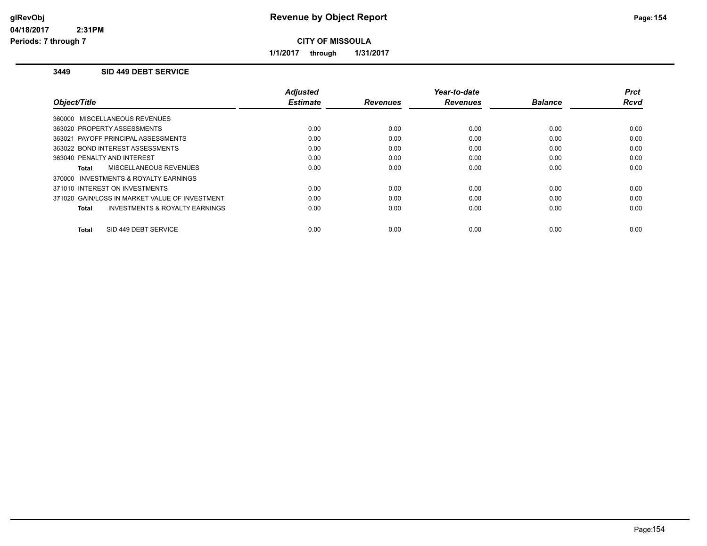**1/1/2017 through 1/31/2017**

#### **3449 SID 449 DEBT SERVICE**

|                                                    | <b>Adjusted</b> |                 | Year-to-date    |                | <b>Prct</b> |
|----------------------------------------------------|-----------------|-----------------|-----------------|----------------|-------------|
| Object/Title                                       | <b>Estimate</b> | <b>Revenues</b> | <b>Revenues</b> | <b>Balance</b> | Rcvd        |
| 360000 MISCELLANEOUS REVENUES                      |                 |                 |                 |                |             |
| 363020 PROPERTY ASSESSMENTS                        | 0.00            | 0.00            | 0.00            | 0.00           | 0.00        |
| 363021 PAYOFF PRINCIPAL ASSESSMENTS                | 0.00            | 0.00            | 0.00            | 0.00           | 0.00        |
| 363022 BOND INTEREST ASSESSMENTS                   | 0.00            | 0.00            | 0.00            | 0.00           | 0.00        |
| 363040 PENALTY AND INTEREST                        | 0.00            | 0.00            | 0.00            | 0.00           | 0.00        |
| MISCELLANEOUS REVENUES<br>Total                    | 0.00            | 0.00            | 0.00            | 0.00           | 0.00        |
| INVESTMENTS & ROYALTY EARNINGS<br>370000           |                 |                 |                 |                |             |
| 371010 INTEREST ON INVESTMENTS                     | 0.00            | 0.00            | 0.00            | 0.00           | 0.00        |
| 371020 GAIN/LOSS IN MARKET VALUE OF INVESTMENT     | 0.00            | 0.00            | 0.00            | 0.00           | 0.00        |
| <b>INVESTMENTS &amp; ROYALTY EARNINGS</b><br>Total | 0.00            | 0.00            | 0.00            | 0.00           | 0.00        |
|                                                    |                 |                 |                 |                |             |
| SID 449 DEBT SERVICE<br><b>Total</b>               | 0.00            | 0.00            | 0.00            | 0.00           | 0.00        |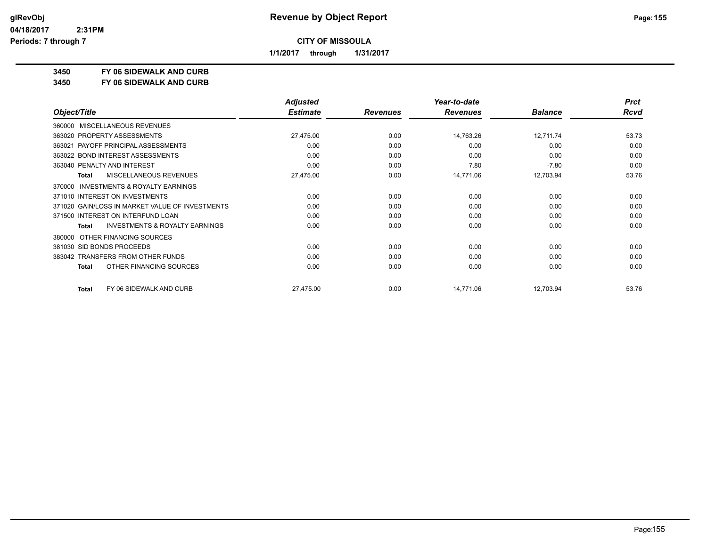**1/1/2017 through 1/31/2017**

**3450 FY 06 SIDEWALK AND CURB**

**3450 FY 06 SIDEWALK AND CURB**

|                                                           | <b>Adjusted</b> |                 | Year-to-date    |                | <b>Prct</b> |
|-----------------------------------------------------------|-----------------|-----------------|-----------------|----------------|-------------|
| Object/Title                                              | <b>Estimate</b> | <b>Revenues</b> | <b>Revenues</b> | <b>Balance</b> | <b>Rcvd</b> |
| 360000 MISCELLANEOUS REVENUES                             |                 |                 |                 |                |             |
| 363020 PROPERTY ASSESSMENTS                               | 27,475.00       | 0.00            | 14,763.26       | 12,711.74      | 53.73       |
| 363021 PAYOFF PRINCIPAL ASSESSMENTS                       | 0.00            | 0.00            | 0.00            | 0.00           | 0.00        |
| 363022 BOND INTEREST ASSESSMENTS                          | 0.00            | 0.00            | 0.00            | 0.00           | 0.00        |
| 363040 PENALTY AND INTEREST                               | 0.00            | 0.00            | 7.80            | $-7.80$        | 0.00        |
| MISCELLANEOUS REVENUES<br><b>Total</b>                    | 27,475.00       | 0.00            | 14,771.06       | 12,703.94      | 53.76       |
| <b>INVESTMENTS &amp; ROYALTY EARNINGS</b><br>370000       |                 |                 |                 |                |             |
| 371010 INTEREST ON INVESTMENTS                            | 0.00            | 0.00            | 0.00            | 0.00           | 0.00        |
| 371020 GAIN/LOSS IN MARKET VALUE OF INVESTMENTS           | 0.00            | 0.00            | 0.00            | 0.00           | 0.00        |
| 371500 INTEREST ON INTERFUND LOAN                         | 0.00            | 0.00            | 0.00            | 0.00           | 0.00        |
| <b>INVESTMENTS &amp; ROYALTY EARNINGS</b><br><b>Total</b> | 0.00            | 0.00            | 0.00            | 0.00           | 0.00        |
| OTHER FINANCING SOURCES<br>380000                         |                 |                 |                 |                |             |
| 381030 SID BONDS PROCEEDS                                 | 0.00            | 0.00            | 0.00            | 0.00           | 0.00        |
| 383042 TRANSFERS FROM OTHER FUNDS                         | 0.00            | 0.00            | 0.00            | 0.00           | 0.00        |
| OTHER FINANCING SOURCES<br><b>Total</b>                   | 0.00            | 0.00            | 0.00            | 0.00           | 0.00        |
| FY 06 SIDEWALK AND CURB<br><b>Total</b>                   | 27,475.00       | 0.00            | 14,771.06       | 12,703.94      | 53.76       |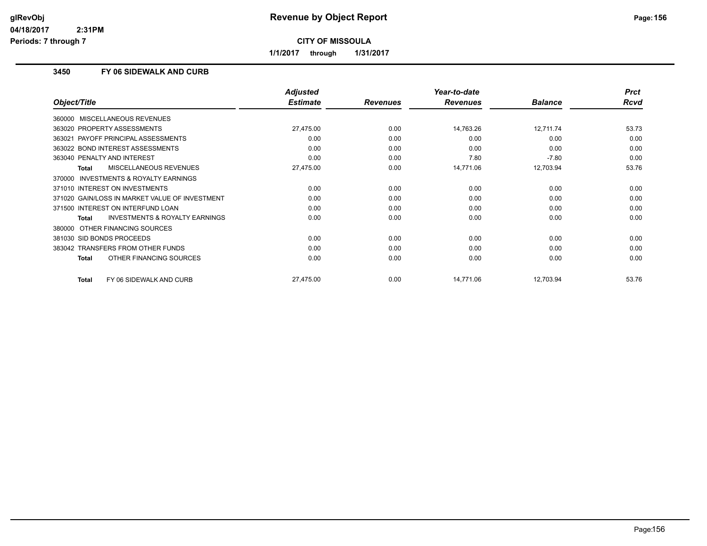**1/1/2017 through 1/31/2017**

#### **3450 FY 06 SIDEWALK AND CURB**

|                                                           | <b>Adjusted</b> |                 | Year-to-date    |                | <b>Prct</b> |
|-----------------------------------------------------------|-----------------|-----------------|-----------------|----------------|-------------|
| Object/Title                                              | <b>Estimate</b> | <b>Revenues</b> | <b>Revenues</b> | <b>Balance</b> | <b>Rcvd</b> |
| MISCELLANEOUS REVENUES<br>360000                          |                 |                 |                 |                |             |
| 363020 PROPERTY ASSESSMENTS                               | 27,475.00       | 0.00            | 14,763.26       | 12,711.74      | 53.73       |
| 363021 PAYOFF PRINCIPAL ASSESSMENTS                       | 0.00            | 0.00            | 0.00            | 0.00           | 0.00        |
| 363022 BOND INTEREST ASSESSMENTS                          | 0.00            | 0.00            | 0.00            | 0.00           | 0.00        |
| 363040 PENALTY AND INTEREST                               | 0.00            | 0.00            | 7.80            | $-7.80$        | 0.00        |
| MISCELLANEOUS REVENUES<br>Total                           | 27,475.00       | 0.00            | 14,771.06       | 12,703.94      | 53.76       |
| <b>INVESTMENTS &amp; ROYALTY EARNINGS</b><br>370000       |                 |                 |                 |                |             |
| 371010 INTEREST ON INVESTMENTS                            | 0.00            | 0.00            | 0.00            | 0.00           | 0.00        |
| 371020 GAIN/LOSS IN MARKET VALUE OF INVESTMENT            | 0.00            | 0.00            | 0.00            | 0.00           | 0.00        |
| 371500 INTEREST ON INTERFUND LOAN                         | 0.00            | 0.00            | 0.00            | 0.00           | 0.00        |
| <b>INVESTMENTS &amp; ROYALTY EARNINGS</b><br><b>Total</b> | 0.00            | 0.00            | 0.00            | 0.00           | 0.00        |
| 380000 OTHER FINANCING SOURCES                            |                 |                 |                 |                |             |
| 381030 SID BONDS PROCEEDS                                 | 0.00            | 0.00            | 0.00            | 0.00           | 0.00        |
| 383042 TRANSFERS FROM OTHER FUNDS                         | 0.00            | 0.00            | 0.00            | 0.00           | 0.00        |
| OTHER FINANCING SOURCES<br>Total                          | 0.00            | 0.00            | 0.00            | 0.00           | 0.00        |
| FY 06 SIDEWALK AND CURB<br>Total                          | 27,475.00       | 0.00            | 14,771.06       | 12,703.94      | 53.76       |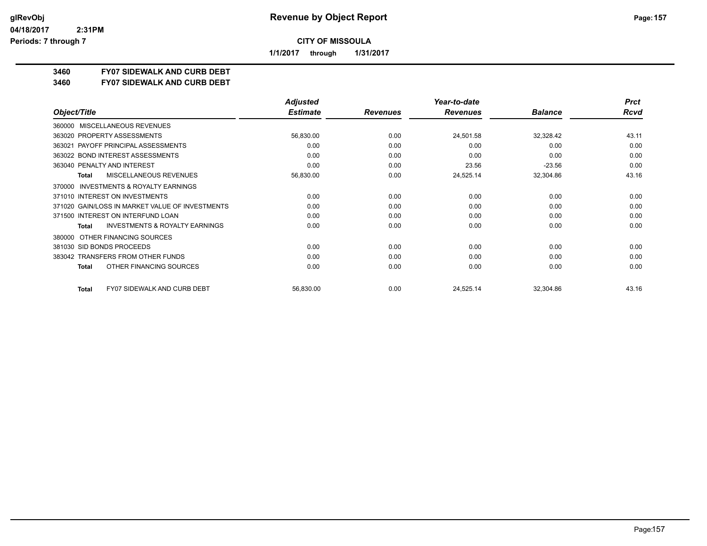**1/1/2017 through 1/31/2017**

**3460 FY07 SIDEWALK AND CURB DEBT**

| 3460 | <b>FY07 SIDEWALK AND CURB DEBT</b> |
|------|------------------------------------|
|      |                                    |

|                                                           | <b>Adjusted</b> |                 | Year-to-date    |                | <b>Prct</b> |
|-----------------------------------------------------------|-----------------|-----------------|-----------------|----------------|-------------|
| Object/Title                                              | <b>Estimate</b> | <b>Revenues</b> | <b>Revenues</b> | <b>Balance</b> | Rcvd        |
| 360000 MISCELLANEOUS REVENUES                             |                 |                 |                 |                |             |
| 363020 PROPERTY ASSESSMENTS                               | 56,830.00       | 0.00            | 24,501.58       | 32,328.42      | 43.11       |
| 363021 PAYOFF PRINCIPAL ASSESSMENTS                       | 0.00            | 0.00            | 0.00            | 0.00           | 0.00        |
| 363022 BOND INTEREST ASSESSMENTS                          | 0.00            | 0.00            | 0.00            | 0.00           | 0.00        |
| 363040 PENALTY AND INTEREST                               | 0.00            | 0.00            | 23.56           | $-23.56$       | 0.00        |
| MISCELLANEOUS REVENUES<br><b>Total</b>                    | 56,830.00       | 0.00            | 24,525.14       | 32,304.86      | 43.16       |
| INVESTMENTS & ROYALTY EARNINGS<br>370000                  |                 |                 |                 |                |             |
| 371010 INTEREST ON INVESTMENTS                            | 0.00            | 0.00            | 0.00            | 0.00           | 0.00        |
| 371020 GAIN/LOSS IN MARKET VALUE OF INVESTMENTS           | 0.00            | 0.00            | 0.00            | 0.00           | 0.00        |
| 371500 INTEREST ON INTERFUND LOAN                         | 0.00            | 0.00            | 0.00            | 0.00           | 0.00        |
| <b>INVESTMENTS &amp; ROYALTY EARNINGS</b><br><b>Total</b> | 0.00            | 0.00            | 0.00            | 0.00           | 0.00        |
| OTHER FINANCING SOURCES<br>380000                         |                 |                 |                 |                |             |
| 381030 SID BONDS PROCEEDS                                 | 0.00            | 0.00            | 0.00            | 0.00           | 0.00        |
| 383042 TRANSFERS FROM OTHER FUNDS                         | 0.00            | 0.00            | 0.00            | 0.00           | 0.00        |
| OTHER FINANCING SOURCES<br><b>Total</b>                   | 0.00            | 0.00            | 0.00            | 0.00           | 0.00        |
| <b>FY07 SIDEWALK AND CURB DEBT</b><br><b>Total</b>        | 56,830.00       | 0.00            | 24,525.14       | 32,304.86      | 43.16       |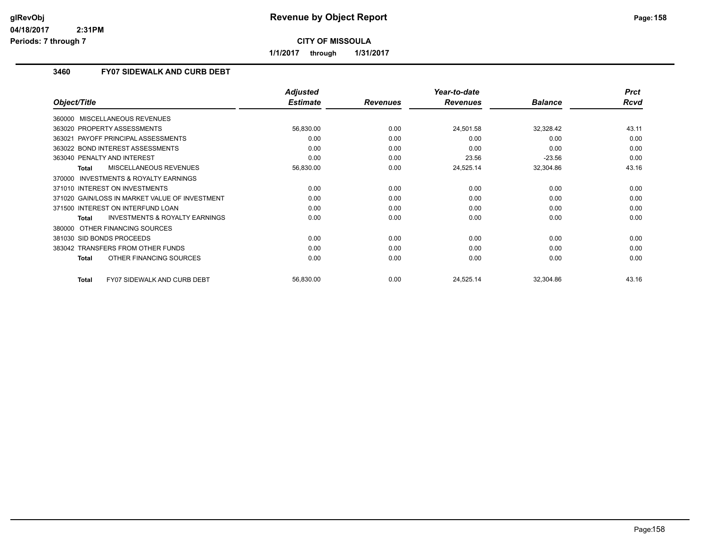**1/1/2017 through 1/31/2017**

#### **3460 FY07 SIDEWALK AND CURB DEBT**

|                                                           | <b>Adjusted</b> |                 | Year-to-date    |                | <b>Prct</b> |
|-----------------------------------------------------------|-----------------|-----------------|-----------------|----------------|-------------|
| Object/Title                                              | <b>Estimate</b> | <b>Revenues</b> | <b>Revenues</b> | <b>Balance</b> | Rcvd        |
| 360000 MISCELLANEOUS REVENUES                             |                 |                 |                 |                |             |
| 363020 PROPERTY ASSESSMENTS                               | 56,830.00       | 0.00            | 24,501.58       | 32,328.42      | 43.11       |
| PAYOFF PRINCIPAL ASSESSMENTS<br>363021                    | 0.00            | 0.00            | 0.00            | 0.00           | 0.00        |
| 363022 BOND INTEREST ASSESSMENTS                          | 0.00            | 0.00            | 0.00            | 0.00           | 0.00        |
| 363040 PENALTY AND INTEREST                               | 0.00            | 0.00            | 23.56           | $-23.56$       | 0.00        |
| MISCELLANEOUS REVENUES<br><b>Total</b>                    | 56,830.00       | 0.00            | 24,525.14       | 32,304.86      | 43.16       |
| <b>INVESTMENTS &amp; ROYALTY EARNINGS</b><br>370000       |                 |                 |                 |                |             |
| 371010 INTEREST ON INVESTMENTS                            | 0.00            | 0.00            | 0.00            | 0.00           | 0.00        |
| 371020 GAIN/LOSS IN MARKET VALUE OF INVESTMENT            | 0.00            | 0.00            | 0.00            | 0.00           | 0.00        |
| 371500 INTEREST ON INTERFUND LOAN                         | 0.00            | 0.00            | 0.00            | 0.00           | 0.00        |
| <b>INVESTMENTS &amp; ROYALTY EARNINGS</b><br><b>Total</b> | 0.00            | 0.00            | 0.00            | 0.00           | 0.00        |
| 380000 OTHER FINANCING SOURCES                            |                 |                 |                 |                |             |
| 381030 SID BONDS PROCEEDS                                 | 0.00            | 0.00            | 0.00            | 0.00           | 0.00        |
| 383042 TRANSFERS FROM OTHER FUNDS                         | 0.00            | 0.00            | 0.00            | 0.00           | 0.00        |
| OTHER FINANCING SOURCES<br>Total                          | 0.00            | 0.00            | 0.00            | 0.00           | 0.00        |
| <b>FY07 SIDEWALK AND CURB DEBT</b><br>Total               | 56,830.00       | 0.00            | 24,525.14       | 32,304.86      | 43.16       |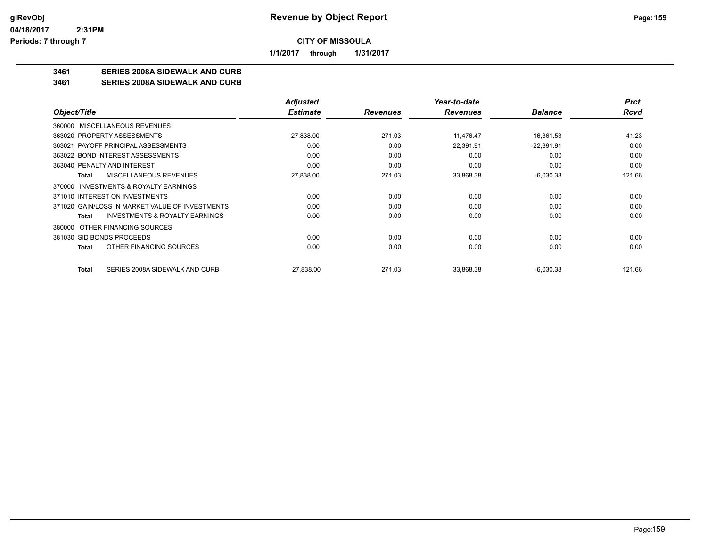**1/1/2017 through 1/31/2017**

### **3461 SERIES 2008A SIDEWALK AND CURB**

**3461 SERIES 2008A SIDEWALK AND CURB**

|                                                     | <b>Adjusted</b> |                 | Year-to-date    |                | <b>Prct</b> |
|-----------------------------------------------------|-----------------|-----------------|-----------------|----------------|-------------|
| Object/Title                                        | <b>Estimate</b> | <b>Revenues</b> | <b>Revenues</b> | <b>Balance</b> | Rcvd        |
| 360000 MISCELLANEOUS REVENUES                       |                 |                 |                 |                |             |
| 363020 PROPERTY ASSESSMENTS                         | 27,838.00       | 271.03          | 11.476.47       | 16,361.53      | 41.23       |
| 363021 PAYOFF PRINCIPAL ASSESSMENTS                 | 0.00            | 0.00            | 22,391.91       | $-22,391.91$   | 0.00        |
| 363022 BOND INTEREST ASSESSMENTS                    | 0.00            | 0.00            | 0.00            | 0.00           | 0.00        |
| 363040 PENALTY AND INTEREST                         | 0.00            | 0.00            | 0.00            | 0.00           | 0.00        |
| MISCELLANEOUS REVENUES<br>Total                     | 27,838.00       | 271.03          | 33,868.38       | $-6,030.38$    | 121.66      |
| <b>INVESTMENTS &amp; ROYALTY EARNINGS</b><br>370000 |                 |                 |                 |                |             |
| 371010 INTEREST ON INVESTMENTS                      | 0.00            | 0.00            | 0.00            | 0.00           | 0.00        |
| 371020 GAIN/LOSS IN MARKET VALUE OF INVESTMENTS     | 0.00            | 0.00            | 0.00            | 0.00           | 0.00        |
| <b>INVESTMENTS &amp; ROYALTY EARNINGS</b><br>Total  | 0.00            | 0.00            | 0.00            | 0.00           | 0.00        |
| OTHER FINANCING SOURCES<br>380000                   |                 |                 |                 |                |             |
| 381030 SID BONDS PROCEEDS                           | 0.00            | 0.00            | 0.00            | 0.00           | 0.00        |
| OTHER FINANCING SOURCES<br>Total                    | 0.00            | 0.00            | 0.00            | 0.00           | 0.00        |
| SERIES 2008A SIDEWALK AND CURB<br><b>Total</b>      | 27,838.00       | 271.03          | 33,868.38       | $-6,030.38$    | 121.66      |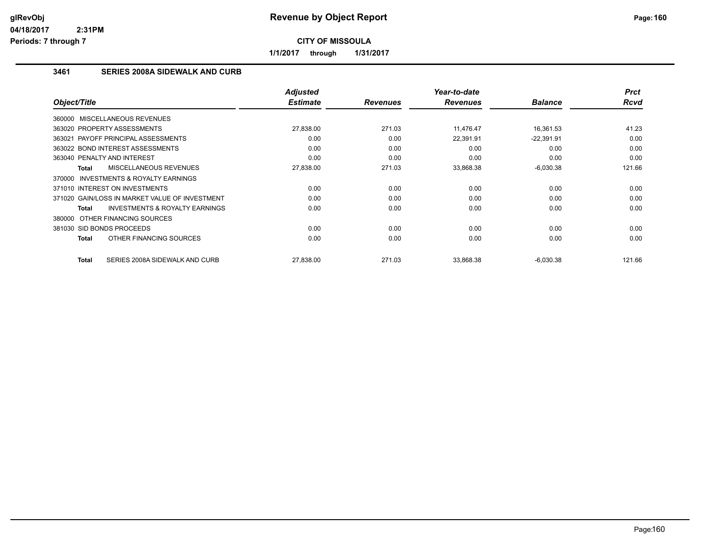**1/1/2017 through 1/31/2017**

#### **3461 SERIES 2008A SIDEWALK AND CURB**

|                                                           | <b>Adjusted</b> |                 | Year-to-date    |                | <b>Prct</b> |
|-----------------------------------------------------------|-----------------|-----------------|-----------------|----------------|-------------|
| Object/Title                                              | <b>Estimate</b> | <b>Revenues</b> | <b>Revenues</b> | <b>Balance</b> | <b>Rcvd</b> |
| 360000 MISCELLANEOUS REVENUES                             |                 |                 |                 |                |             |
| 363020 PROPERTY ASSESSMENTS                               | 27.838.00       | 271.03          | 11,476.47       | 16.361.53      | 41.23       |
| 363021 PAYOFF PRINCIPAL ASSESSMENTS                       | 0.00            | 0.00            | 22,391.91       | $-22,391.91$   | 0.00        |
| 363022 BOND INTEREST ASSESSMENTS                          | 0.00            | 0.00            | 0.00            | 0.00           | 0.00        |
| 363040 PENALTY AND INTEREST                               | 0.00            | 0.00            | 0.00            | 0.00           | 0.00        |
| MISCELLANEOUS REVENUES<br>Total                           | 27,838.00       | 271.03          | 33,868.38       | $-6,030.38$    | 121.66      |
| <b>INVESTMENTS &amp; ROYALTY EARNINGS</b><br>370000       |                 |                 |                 |                |             |
| 371010 INTEREST ON INVESTMENTS                            | 0.00            | 0.00            | 0.00            | 0.00           | 0.00        |
| 371020 GAIN/LOSS IN MARKET VALUE OF INVESTMENT            | 0.00            | 0.00            | 0.00            | 0.00           | 0.00        |
| <b>INVESTMENTS &amp; ROYALTY EARNINGS</b><br><b>Total</b> | 0.00            | 0.00            | 0.00            | 0.00           | 0.00        |
| 380000 OTHER FINANCING SOURCES                            |                 |                 |                 |                |             |
| 381030 SID BONDS PROCEEDS                                 | 0.00            | 0.00            | 0.00            | 0.00           | 0.00        |
| OTHER FINANCING SOURCES<br><b>Total</b>                   | 0.00            | 0.00            | 0.00            | 0.00           | 0.00        |
| SERIES 2008A SIDEWALK AND CURB<br><b>Total</b>            | 27,838.00       | 271.03          | 33,868.38       | $-6,030.38$    | 121.66      |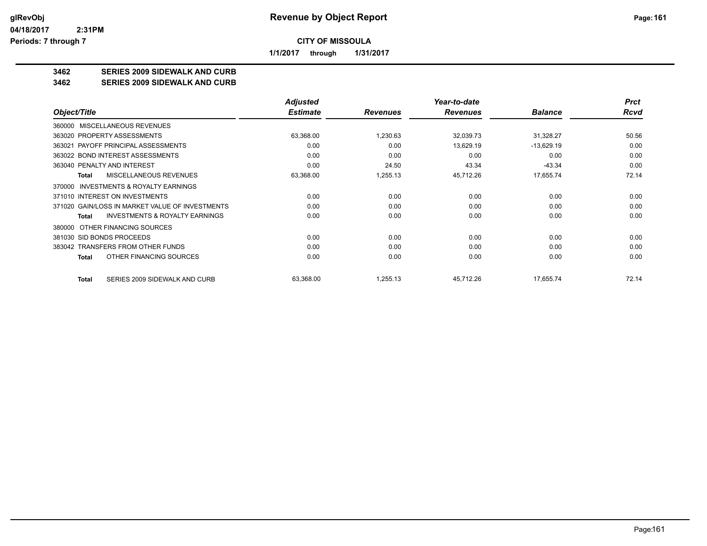**1/1/2017 through 1/31/2017**

### **3462 SERIES 2009 SIDEWALK AND CURB**

**3462 SERIES 2009 SIDEWALK AND CURB**

|                                                           | <b>Adjusted</b> |                 | Year-to-date    |                | <b>Prct</b> |
|-----------------------------------------------------------|-----------------|-----------------|-----------------|----------------|-------------|
| Object/Title                                              | <b>Estimate</b> | <b>Revenues</b> | <b>Revenues</b> | <b>Balance</b> | Rcvd        |
| 360000 MISCELLANEOUS REVENUES                             |                 |                 |                 |                |             |
| 363020 PROPERTY ASSESSMENTS                               | 63,368.00       | 1,230.63        | 32,039.73       | 31,328.27      | 50.56       |
| PAYOFF PRINCIPAL ASSESSMENTS<br>363021                    | 0.00            | 0.00            | 13,629.19       | $-13,629.19$   | 0.00        |
| 363022 BOND INTEREST ASSESSMENTS                          | 0.00            | 0.00            | 0.00            | 0.00           | 0.00        |
| 363040 PENALTY AND INTEREST                               | 0.00            | 24.50           | 43.34           | $-43.34$       | 0.00        |
| MISCELLANEOUS REVENUES<br>Total                           | 63,368.00       | 1,255.13        | 45,712.26       | 17,655.74      | 72.14       |
| INVESTMENTS & ROYALTY EARNINGS<br>370000                  |                 |                 |                 |                |             |
| 371010 INTEREST ON INVESTMENTS                            | 0.00            | 0.00            | 0.00            | 0.00           | 0.00        |
| 371020 GAIN/LOSS IN MARKET VALUE OF INVESTMENTS           | 0.00            | 0.00            | 0.00            | 0.00           | 0.00        |
| <b>INVESTMENTS &amp; ROYALTY EARNINGS</b><br><b>Total</b> | 0.00            | 0.00            | 0.00            | 0.00           | 0.00        |
| OTHER FINANCING SOURCES<br>380000                         |                 |                 |                 |                |             |
| 381030 SID BONDS PROCEEDS                                 | 0.00            | 0.00            | 0.00            | 0.00           | 0.00        |
| 383042 TRANSFERS FROM OTHER FUNDS                         | 0.00            | 0.00            | 0.00            | 0.00           | 0.00        |
| OTHER FINANCING SOURCES<br><b>Total</b>                   | 0.00            | 0.00            | 0.00            | 0.00           | 0.00        |
| SERIES 2009 SIDEWALK AND CURB<br><b>Total</b>             | 63,368.00       | 1,255.13        | 45,712.26       | 17,655.74      | 72.14       |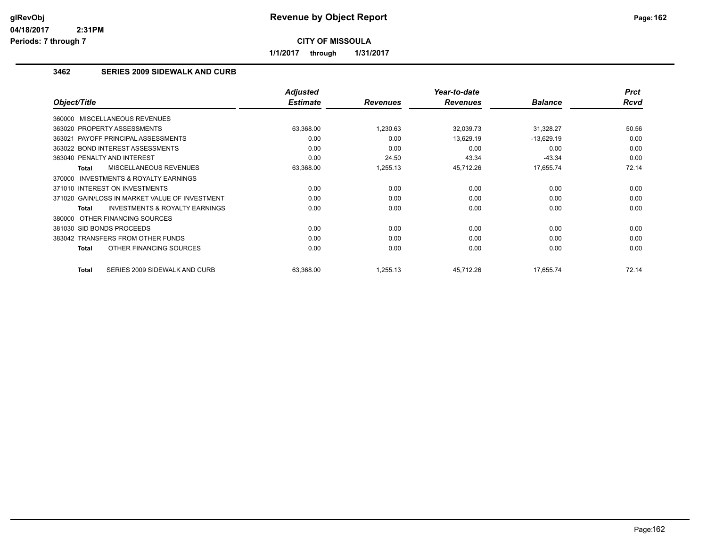**1/1/2017 through 1/31/2017**

#### **3462 SERIES 2009 SIDEWALK AND CURB**

|                                                     | <b>Adjusted</b> |                 | Year-to-date    |                | <b>Prct</b> |
|-----------------------------------------------------|-----------------|-----------------|-----------------|----------------|-------------|
| Object/Title                                        | <b>Estimate</b> | <b>Revenues</b> | <b>Revenues</b> | <b>Balance</b> | Rcvd        |
| 360000 MISCELLANEOUS REVENUES                       |                 |                 |                 |                |             |
| 363020 PROPERTY ASSESSMENTS                         | 63,368.00       | 1,230.63        | 32,039.73       | 31,328.27      | 50.56       |
| 363021 PAYOFF PRINCIPAL ASSESSMENTS                 | 0.00            | 0.00            | 13,629.19       | $-13,629.19$   | 0.00        |
| 363022 BOND INTEREST ASSESSMENTS                    | 0.00            | 0.00            | 0.00            | 0.00           | 0.00        |
| 363040 PENALTY AND INTEREST                         | 0.00            | 24.50           | 43.34           | $-43.34$       | 0.00        |
| MISCELLANEOUS REVENUES<br>Total                     | 63,368.00       | 1,255.13        | 45,712.26       | 17,655.74      | 72.14       |
| <b>INVESTMENTS &amp; ROYALTY EARNINGS</b><br>370000 |                 |                 |                 |                |             |
| 371010 INTEREST ON INVESTMENTS                      | 0.00            | 0.00            | 0.00            | 0.00           | 0.00        |
| 371020 GAIN/LOSS IN MARKET VALUE OF INVESTMENT      | 0.00            | 0.00            | 0.00            | 0.00           | 0.00        |
| <b>INVESTMENTS &amp; ROYALTY EARNINGS</b><br>Total  | 0.00            | 0.00            | 0.00            | 0.00           | 0.00        |
| OTHER FINANCING SOURCES<br>380000                   |                 |                 |                 |                |             |
| 381030 SID BONDS PROCEEDS                           | 0.00            | 0.00            | 0.00            | 0.00           | 0.00        |
| 383042 TRANSFERS FROM OTHER FUNDS                   | 0.00            | 0.00            | 0.00            | 0.00           | 0.00        |
| OTHER FINANCING SOURCES<br>Total                    | 0.00            | 0.00            | 0.00            | 0.00           | 0.00        |
| SERIES 2009 SIDEWALK AND CURB<br><b>Total</b>       | 63,368.00       | 1,255.13        | 45,712.26       | 17,655.74      | 72.14       |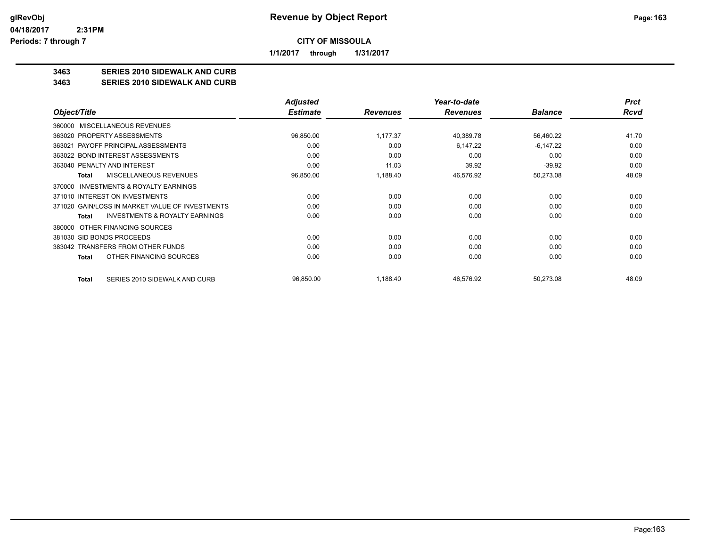**1/1/2017 through 1/31/2017**

### **3463 SERIES 2010 SIDEWALK AND CURB**

**3463 SERIES 2010 SIDEWALK AND CURB**

|                                                    | <b>Adjusted</b> |                 | Year-to-date    |                | <b>Prct</b> |
|----------------------------------------------------|-----------------|-----------------|-----------------|----------------|-------------|
| Object/Title                                       | <b>Estimate</b> | <b>Revenues</b> | <b>Revenues</b> | <b>Balance</b> | Rcvd        |
| 360000 MISCELLANEOUS REVENUES                      |                 |                 |                 |                |             |
| 363020 PROPERTY ASSESSMENTS                        | 96,850.00       | 1,177.37        | 40,389.78       | 56,460.22      | 41.70       |
| PAYOFF PRINCIPAL ASSESSMENTS<br>363021             | 0.00            | 0.00            | 6,147.22        | $-6,147.22$    | 0.00        |
| 363022 BOND INTEREST ASSESSMENTS                   | 0.00            | 0.00            | 0.00            | 0.00           | 0.00        |
| 363040 PENALTY AND INTEREST                        | 0.00            | 11.03           | 39.92           | $-39.92$       | 0.00        |
| <b>MISCELLANEOUS REVENUES</b><br>Total             | 96,850.00       | 1,188.40        | 46,576.92       | 50,273.08      | 48.09       |
| 370000 INVESTMENTS & ROYALTY EARNINGS              |                 |                 |                 |                |             |
| 371010 INTEREST ON INVESTMENTS                     | 0.00            | 0.00            | 0.00            | 0.00           | 0.00        |
| 371020 GAIN/LOSS IN MARKET VALUE OF INVESTMENTS    | 0.00            | 0.00            | 0.00            | 0.00           | 0.00        |
| <b>INVESTMENTS &amp; ROYALTY EARNINGS</b><br>Total | 0.00            | 0.00            | 0.00            | 0.00           | 0.00        |
| 380000 OTHER FINANCING SOURCES                     |                 |                 |                 |                |             |
| 381030 SID BONDS PROCEEDS                          | 0.00            | 0.00            | 0.00            | 0.00           | 0.00        |
| 383042 TRANSFERS FROM OTHER FUNDS                  | 0.00            | 0.00            | 0.00            | 0.00           | 0.00        |
| OTHER FINANCING SOURCES<br><b>Total</b>            | 0.00            | 0.00            | 0.00            | 0.00           | 0.00        |
| SERIES 2010 SIDEWALK AND CURB<br><b>Total</b>      | 96,850.00       | 1,188.40        | 46,576.92       | 50,273.08      | 48.09       |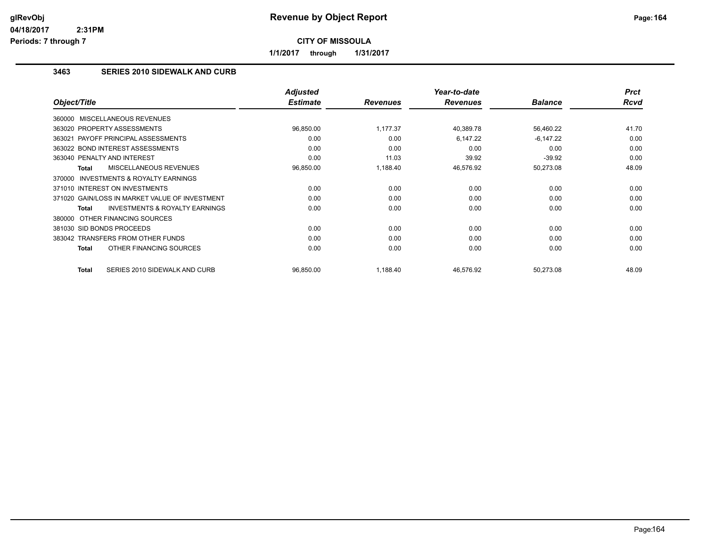**1/1/2017 through 1/31/2017**

#### **3463 SERIES 2010 SIDEWALK AND CURB**

|                                                    | <b>Adjusted</b> |                 | Year-to-date    |                | <b>Prct</b> |
|----------------------------------------------------|-----------------|-----------------|-----------------|----------------|-------------|
| Object/Title                                       | <b>Estimate</b> | <b>Revenues</b> | <b>Revenues</b> | <b>Balance</b> | Rcvd        |
| 360000 MISCELLANEOUS REVENUES                      |                 |                 |                 |                |             |
| 363020 PROPERTY ASSESSMENTS                        | 96,850.00       | 1,177.37        | 40,389.78       | 56,460.22      | 41.70       |
| PAYOFF PRINCIPAL ASSESSMENTS<br>363021             | 0.00            | 0.00            | 6.147.22        | $-6.147.22$    | 0.00        |
| 363022 BOND INTEREST ASSESSMENTS                   | 0.00            | 0.00            | 0.00            | 0.00           | 0.00        |
| 363040 PENALTY AND INTEREST                        | 0.00            | 11.03           | 39.92           | $-39.92$       | 0.00        |
| MISCELLANEOUS REVENUES<br>Total                    | 96,850.00       | 1,188.40        | 46,576.92       | 50,273.08      | 48.09       |
| INVESTMENTS & ROYALTY EARNINGS<br>370000           |                 |                 |                 |                |             |
| 371010 INTEREST ON INVESTMENTS                     | 0.00            | 0.00            | 0.00            | 0.00           | 0.00        |
| 371020 GAIN/LOSS IN MARKET VALUE OF INVESTMENT     | 0.00            | 0.00            | 0.00            | 0.00           | 0.00        |
| <b>INVESTMENTS &amp; ROYALTY EARNINGS</b><br>Total | 0.00            | 0.00            | 0.00            | 0.00           | 0.00        |
| OTHER FINANCING SOURCES<br>380000                  |                 |                 |                 |                |             |
| 381030 SID BONDS PROCEEDS                          | 0.00            | 0.00            | 0.00            | 0.00           | 0.00        |
| 383042 TRANSFERS FROM OTHER FUNDS                  | 0.00            | 0.00            | 0.00            | 0.00           | 0.00        |
| OTHER FINANCING SOURCES<br>Total                   | 0.00            | 0.00            | 0.00            | 0.00           | 0.00        |
| SERIES 2010 SIDEWALK AND CURB<br><b>Total</b>      | 96.850.00       | 1.188.40        | 46.576.92       | 50,273.08      | 48.09       |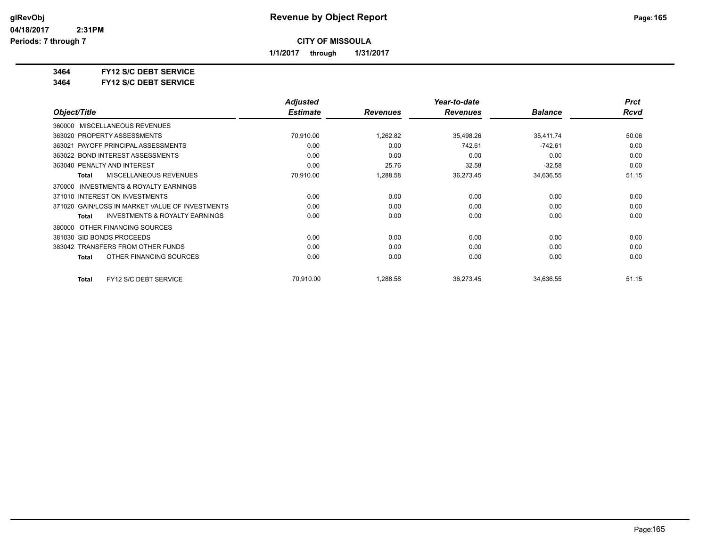**1/1/2017 through 1/31/2017**

**3464 FY12 S/C DEBT SERVICE**

**3464 FY12 S/C DEBT SERVICE**

|                                                    | <b>Adjusted</b> |                 | Year-to-date    |                | <b>Prct</b> |
|----------------------------------------------------|-----------------|-----------------|-----------------|----------------|-------------|
| Object/Title                                       | <b>Estimate</b> | <b>Revenues</b> | <b>Revenues</b> | <b>Balance</b> | <b>Rcvd</b> |
| 360000 MISCELLANEOUS REVENUES                      |                 |                 |                 |                |             |
| 363020 PROPERTY ASSESSMENTS                        | 70,910.00       | 1,262.82        | 35,498.26       | 35.411.74      | 50.06       |
| PAYOFF PRINCIPAL ASSESSMENTS<br>363021             | 0.00            | 0.00            | 742.61          | $-742.61$      | 0.00        |
| 363022 BOND INTEREST ASSESSMENTS                   | 0.00            | 0.00            | 0.00            | 0.00           | 0.00        |
| 363040 PENALTY AND INTEREST                        | 0.00            | 25.76           | 32.58           | $-32.58$       | 0.00        |
| <b>MISCELLANEOUS REVENUES</b><br>Total             | 70,910.00       | 1,288.58        | 36,273.45       | 34,636.55      | 51.15       |
| 370000 INVESTMENTS & ROYALTY EARNINGS              |                 |                 |                 |                |             |
| 371010 INTEREST ON INVESTMENTS                     | 0.00            | 0.00            | 0.00            | 0.00           | 0.00        |
| 371020 GAIN/LOSS IN MARKET VALUE OF INVESTMENTS    | 0.00            | 0.00            | 0.00            | 0.00           | 0.00        |
| <b>INVESTMENTS &amp; ROYALTY EARNINGS</b><br>Total | 0.00            | 0.00            | 0.00            | 0.00           | 0.00        |
| OTHER FINANCING SOURCES<br>380000                  |                 |                 |                 |                |             |
| 381030 SID BONDS PROCEEDS                          | 0.00            | 0.00            | 0.00            | 0.00           | 0.00        |
| 383042 TRANSFERS FROM OTHER FUNDS                  | 0.00            | 0.00            | 0.00            | 0.00           | 0.00        |
| OTHER FINANCING SOURCES<br><b>Total</b>            | 0.00            | 0.00            | 0.00            | 0.00           | 0.00        |
| FY12 S/C DEBT SERVICE<br><b>Total</b>              | 70,910.00       | 1,288.58        | 36,273.45       | 34,636.55      | 51.15       |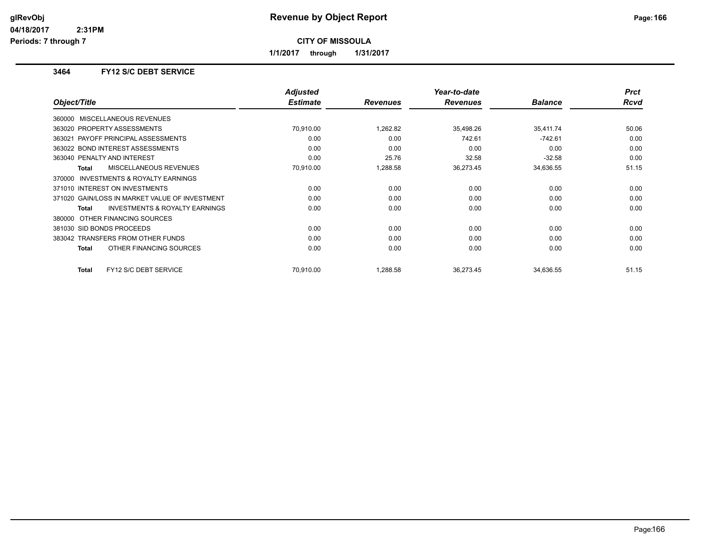**1/1/2017 through 1/31/2017**

#### **3464 FY12 S/C DEBT SERVICE**

|                                                           | <b>Adjusted</b> |                 | Year-to-date    |                | <b>Prct</b> |
|-----------------------------------------------------------|-----------------|-----------------|-----------------|----------------|-------------|
| Object/Title                                              | <b>Estimate</b> | <b>Revenues</b> | <b>Revenues</b> | <b>Balance</b> | Rcvd        |
| 360000 MISCELLANEOUS REVENUES                             |                 |                 |                 |                |             |
| 363020 PROPERTY ASSESSMENTS                               | 70,910.00       | 1,262.82        | 35,498.26       | 35,411.74      | 50.06       |
| 363021 PAYOFF PRINCIPAL ASSESSMENTS                       | 0.00            | 0.00            | 742.61          | $-742.61$      | 0.00        |
| 363022 BOND INTEREST ASSESSMENTS                          | 0.00            | 0.00            | 0.00            | 0.00           | 0.00        |
| 363040 PENALTY AND INTEREST                               | 0.00            | 25.76           | 32.58           | $-32.58$       | 0.00        |
| MISCELLANEOUS REVENUES<br><b>Total</b>                    | 70,910.00       | 1,288.58        | 36,273.45       | 34,636.55      | 51.15       |
| INVESTMENTS & ROYALTY EARNINGS<br>370000                  |                 |                 |                 |                |             |
| 371010 INTEREST ON INVESTMENTS                            | 0.00            | 0.00            | 0.00            | 0.00           | 0.00        |
| 371020 GAIN/LOSS IN MARKET VALUE OF INVESTMENT            | 0.00            | 0.00            | 0.00            | 0.00           | 0.00        |
| <b>INVESTMENTS &amp; ROYALTY EARNINGS</b><br><b>Total</b> | 0.00            | 0.00            | 0.00            | 0.00           | 0.00        |
| 380000 OTHER FINANCING SOURCES                            |                 |                 |                 |                |             |
| 381030 SID BONDS PROCEEDS                                 | 0.00            | 0.00            | 0.00            | 0.00           | 0.00        |
| 383042 TRANSFERS FROM OTHER FUNDS                         | 0.00            | 0.00            | 0.00            | 0.00           | 0.00        |
| OTHER FINANCING SOURCES<br><b>Total</b>                   | 0.00            | 0.00            | 0.00            | 0.00           | 0.00        |
| FY12 S/C DEBT SERVICE<br><b>Total</b>                     | 70.910.00       | 1,288.58        | 36,273.45       | 34,636.55      | 51.15       |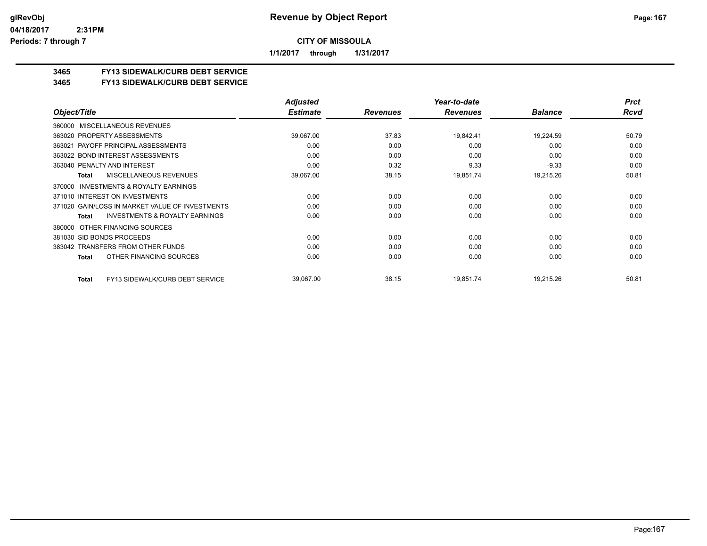**1/1/2017 through 1/31/2017**

## **3465 FY13 SIDEWALK/CURB DEBT SERVICE**

**3465 FY13 SIDEWALK/CURB DEBT SERVICE**

|                                                    | <b>Adjusted</b> |                 | Year-to-date    |                | <b>Prct</b> |
|----------------------------------------------------|-----------------|-----------------|-----------------|----------------|-------------|
| Object/Title                                       | <b>Estimate</b> | <b>Revenues</b> | <b>Revenues</b> | <b>Balance</b> | Rcvd        |
| 360000 MISCELLANEOUS REVENUES                      |                 |                 |                 |                |             |
| 363020 PROPERTY ASSESSMENTS                        | 39,067.00       | 37.83           | 19,842.41       | 19,224.59      | 50.79       |
| PAYOFF PRINCIPAL ASSESSMENTS<br>363021             | 0.00            | 0.00            | 0.00            | 0.00           | 0.00        |
| 363022 BOND INTEREST ASSESSMENTS                   | 0.00            | 0.00            | 0.00            | 0.00           | 0.00        |
| 363040 PENALTY AND INTEREST                        | 0.00            | 0.32            | 9.33            | $-9.33$        | 0.00        |
| MISCELLANEOUS REVENUES<br>Total                    | 39,067.00       | 38.15           | 19,851.74       | 19,215.26      | 50.81       |
| INVESTMENTS & ROYALTY EARNINGS<br>370000           |                 |                 |                 |                |             |
| 371010 INTEREST ON INVESTMENTS                     | 0.00            | 0.00            | 0.00            | 0.00           | 0.00        |
| 371020 GAIN/LOSS IN MARKET VALUE OF INVESTMENTS    | 0.00            | 0.00            | 0.00            | 0.00           | 0.00        |
| <b>INVESTMENTS &amp; ROYALTY EARNINGS</b><br>Total | 0.00            | 0.00            | 0.00            | 0.00           | 0.00        |
| OTHER FINANCING SOURCES<br>380000                  |                 |                 |                 |                |             |
| 381030 SID BONDS PROCEEDS                          | 0.00            | 0.00            | 0.00            | 0.00           | 0.00        |
| 383042 TRANSFERS FROM OTHER FUNDS                  | 0.00            | 0.00            | 0.00            | 0.00           | 0.00        |
| OTHER FINANCING SOURCES<br><b>Total</b>            | 0.00            | 0.00            | 0.00            | 0.00           | 0.00        |
| FY13 SIDEWALK/CURB DEBT SERVICE<br><b>Total</b>    | 39,067.00       | 38.15           | 19,851.74       | 19,215.26      | 50.81       |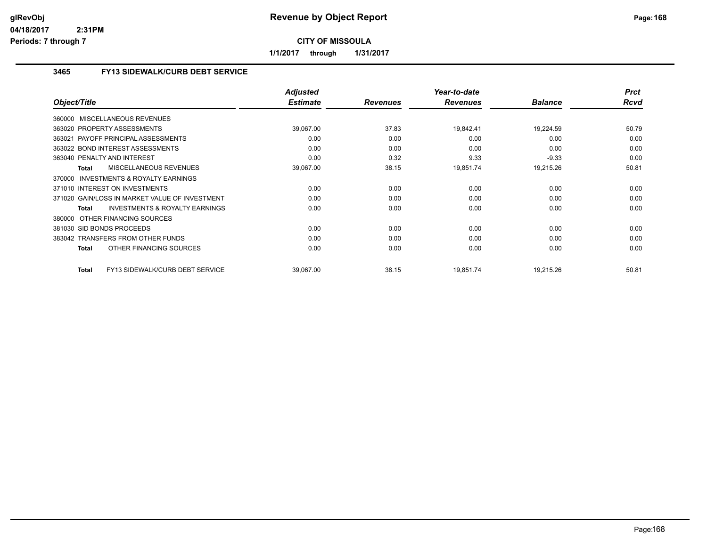**1/1/2017 through 1/31/2017**

#### **3465 FY13 SIDEWALK/CURB DEBT SERVICE**

|                                                           | <b>Adjusted</b> |                 | Year-to-date    |                | <b>Prct</b> |
|-----------------------------------------------------------|-----------------|-----------------|-----------------|----------------|-------------|
| Object/Title                                              | <b>Estimate</b> | <b>Revenues</b> | <b>Revenues</b> | <b>Balance</b> | <b>Rcvd</b> |
| 360000 MISCELLANEOUS REVENUES                             |                 |                 |                 |                |             |
| 363020 PROPERTY ASSESSMENTS                               | 39,067.00       | 37.83           | 19,842.41       | 19,224.59      | 50.79       |
| 363021 PAYOFF PRINCIPAL ASSESSMENTS                       | 0.00            | 0.00            | 0.00            | 0.00           | 0.00        |
| 363022 BOND INTEREST ASSESSMENTS                          | 0.00            | 0.00            | 0.00            | 0.00           | 0.00        |
| 363040 PENALTY AND INTEREST                               | 0.00            | 0.32            | 9.33            | $-9.33$        | 0.00        |
| MISCELLANEOUS REVENUES<br><b>Total</b>                    | 39,067.00       | 38.15           | 19,851.74       | 19,215.26      | 50.81       |
| <b>INVESTMENTS &amp; ROYALTY EARNINGS</b><br>370000       |                 |                 |                 |                |             |
| 371010 INTEREST ON INVESTMENTS                            | 0.00            | 0.00            | 0.00            | 0.00           | 0.00        |
| 371020 GAIN/LOSS IN MARKET VALUE OF INVESTMENT            | 0.00            | 0.00            | 0.00            | 0.00           | 0.00        |
| <b>INVESTMENTS &amp; ROYALTY EARNINGS</b><br><b>Total</b> | 0.00            | 0.00            | 0.00            | 0.00           | 0.00        |
| OTHER FINANCING SOURCES<br>380000                         |                 |                 |                 |                |             |
| 381030 SID BONDS PROCEEDS                                 | 0.00            | 0.00            | 0.00            | 0.00           | 0.00        |
| 383042 TRANSFERS FROM OTHER FUNDS                         | 0.00            | 0.00            | 0.00            | 0.00           | 0.00        |
| OTHER FINANCING SOURCES<br><b>Total</b>                   | 0.00            | 0.00            | 0.00            | 0.00           | 0.00        |
| FY13 SIDEWALK/CURB DEBT SERVICE<br><b>Total</b>           | 39,067.00       | 38.15           | 19,851.74       | 19,215.26      | 50.81       |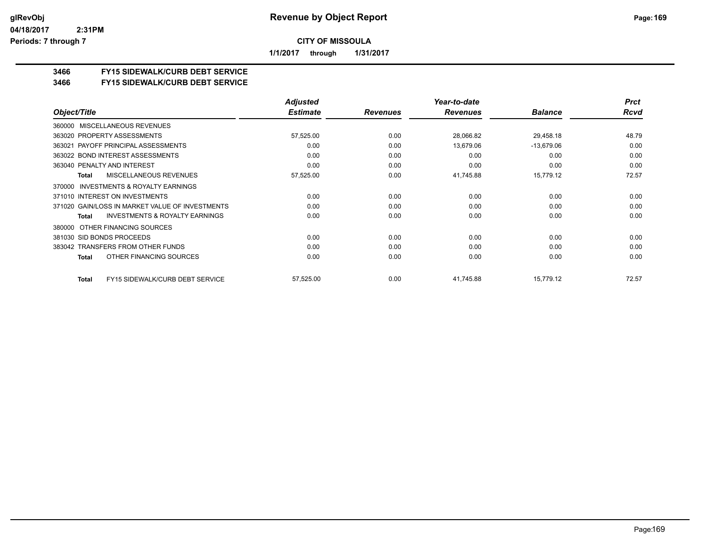**1/1/2017 through 1/31/2017**

## **3466 FY15 SIDEWALK/CURB DEBT SERVICE**

**3466 FY15 SIDEWALK/CURB DEBT SERVICE**

|                                                    | <b>Adjusted</b> |                 | Year-to-date    |                | <b>Prct</b> |
|----------------------------------------------------|-----------------|-----------------|-----------------|----------------|-------------|
| Object/Title                                       | <b>Estimate</b> | <b>Revenues</b> | <b>Revenues</b> | <b>Balance</b> | Rcvd        |
| 360000 MISCELLANEOUS REVENUES                      |                 |                 |                 |                |             |
| 363020 PROPERTY ASSESSMENTS                        | 57,525.00       | 0.00            | 28,066.82       | 29,458.18      | 48.79       |
| PAYOFF PRINCIPAL ASSESSMENTS<br>363021             | 0.00            | 0.00            | 13,679.06       | $-13,679.06$   | 0.00        |
| 363022 BOND INTEREST ASSESSMENTS                   | 0.00            | 0.00            | 0.00            | 0.00           | 0.00        |
| 363040 PENALTY AND INTEREST                        | 0.00            | 0.00            | 0.00            | 0.00           | 0.00        |
| <b>MISCELLANEOUS REVENUES</b><br>Total             | 57,525.00       | 0.00            | 41,745.88       | 15,779.12      | 72.57       |
| 370000 INVESTMENTS & ROYALTY EARNINGS              |                 |                 |                 |                |             |
| 371010 INTEREST ON INVESTMENTS                     | 0.00            | 0.00            | 0.00            | 0.00           | 0.00        |
| 371020 GAIN/LOSS IN MARKET VALUE OF INVESTMENTS    | 0.00            | 0.00            | 0.00            | 0.00           | 0.00        |
| <b>INVESTMENTS &amp; ROYALTY EARNINGS</b><br>Total | 0.00            | 0.00            | 0.00            | 0.00           | 0.00        |
| OTHER FINANCING SOURCES<br>380000                  |                 |                 |                 |                |             |
| 381030 SID BONDS PROCEEDS                          | 0.00            | 0.00            | 0.00            | 0.00           | 0.00        |
| 383042 TRANSFERS FROM OTHER FUNDS                  | 0.00            | 0.00            | 0.00            | 0.00           | 0.00        |
| OTHER FINANCING SOURCES<br><b>Total</b>            | 0.00            | 0.00            | 0.00            | 0.00           | 0.00        |
| FY15 SIDEWALK/CURB DEBT SERVICE<br><b>Total</b>    | 57,525.00       | 0.00            | 41,745.88       | 15,779.12      | 72.57       |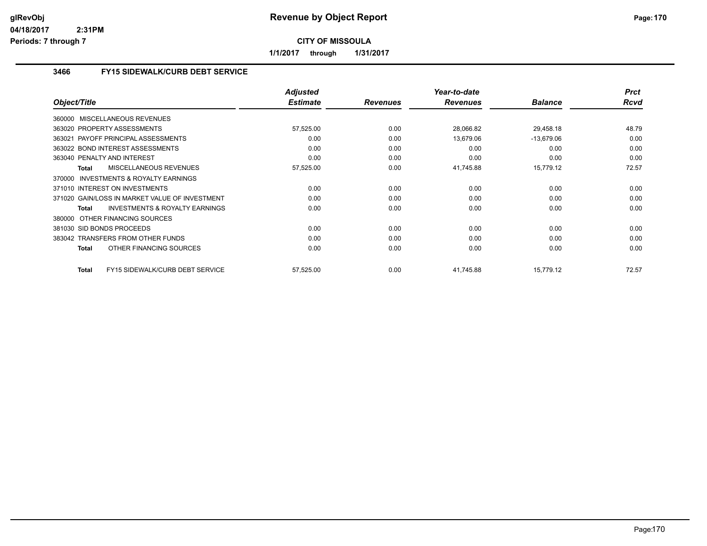**1/1/2017 through 1/31/2017**

#### **3466 FY15 SIDEWALK/CURB DEBT SERVICE**

|                                                           | <b>Adjusted</b> |                 | Year-to-date    |                | <b>Prct</b> |
|-----------------------------------------------------------|-----------------|-----------------|-----------------|----------------|-------------|
| Object/Title                                              | <b>Estimate</b> | <b>Revenues</b> | <b>Revenues</b> | <b>Balance</b> | <b>Rcvd</b> |
| 360000 MISCELLANEOUS REVENUES                             |                 |                 |                 |                |             |
| 363020 PROPERTY ASSESSMENTS                               | 57,525.00       | 0.00            | 28,066.82       | 29,458.18      | 48.79       |
| 363021 PAYOFF PRINCIPAL ASSESSMENTS                       | 0.00            | 0.00            | 13,679.06       | $-13,679.06$   | 0.00        |
| 363022 BOND INTEREST ASSESSMENTS                          | 0.00            | 0.00            | 0.00            | 0.00           | 0.00        |
| 363040 PENALTY AND INTEREST                               | 0.00            | 0.00            | 0.00            | 0.00           | 0.00        |
| MISCELLANEOUS REVENUES<br><b>Total</b>                    | 57,525.00       | 0.00            | 41,745.88       | 15,779.12      | 72.57       |
| <b>INVESTMENTS &amp; ROYALTY EARNINGS</b><br>370000       |                 |                 |                 |                |             |
| 371010 INTEREST ON INVESTMENTS                            | 0.00            | 0.00            | 0.00            | 0.00           | 0.00        |
| 371020 GAIN/LOSS IN MARKET VALUE OF INVESTMENT            | 0.00            | 0.00            | 0.00            | 0.00           | 0.00        |
| <b>INVESTMENTS &amp; ROYALTY EARNINGS</b><br><b>Total</b> | 0.00            | 0.00            | 0.00            | 0.00           | 0.00        |
| OTHER FINANCING SOURCES<br>380000                         |                 |                 |                 |                |             |
| 381030 SID BONDS PROCEEDS                                 | 0.00            | 0.00            | 0.00            | 0.00           | 0.00        |
| 383042 TRANSFERS FROM OTHER FUNDS                         | 0.00            | 0.00            | 0.00            | 0.00           | 0.00        |
| OTHER FINANCING SOURCES<br><b>Total</b>                   | 0.00            | 0.00            | 0.00            | 0.00           | 0.00        |
| <b>FY15 SIDEWALK/CURB DEBT SERVICE</b><br><b>Total</b>    | 57,525.00       | 0.00            | 41,745.88       | 15,779.12      | 72.57       |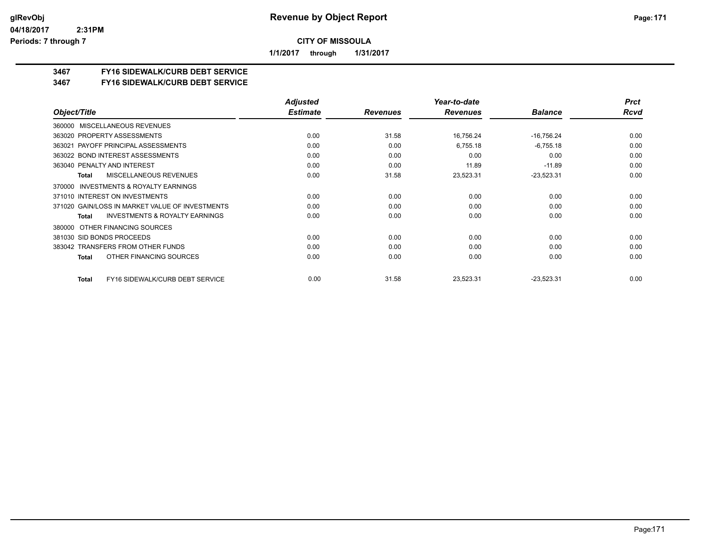**1/1/2017 through 1/31/2017**

### **3467 FY16 SIDEWALK/CURB DEBT SERVICE**

**3467 FY16 SIDEWALK/CURB DEBT SERVICE**

|                                                     | <b>Adjusted</b> |                 | Year-to-date    |                | <b>Prct</b> |
|-----------------------------------------------------|-----------------|-----------------|-----------------|----------------|-------------|
| Object/Title                                        | <b>Estimate</b> | <b>Revenues</b> | <b>Revenues</b> | <b>Balance</b> | Rcvd        |
| 360000 MISCELLANEOUS REVENUES                       |                 |                 |                 |                |             |
| 363020 PROPERTY ASSESSMENTS                         | 0.00            | 31.58           | 16,756.24       | $-16,756.24$   | 0.00        |
| 363021 PAYOFF PRINCIPAL ASSESSMENTS                 | 0.00            | 0.00            | 6,755.18        | $-6,755.18$    | 0.00        |
| 363022 BOND INTEREST ASSESSMENTS                    | 0.00            | 0.00            | 0.00            | 0.00           | 0.00        |
| 363040 PENALTY AND INTEREST                         | 0.00            | 0.00            | 11.89           | $-11.89$       | 0.00        |
| MISCELLANEOUS REVENUES<br>Total                     | 0.00            | 31.58           | 23,523.31       | $-23,523.31$   | 0.00        |
| <b>INVESTMENTS &amp; ROYALTY EARNINGS</b><br>370000 |                 |                 |                 |                |             |
| 371010 INTEREST ON INVESTMENTS                      | 0.00            | 0.00            | 0.00            | 0.00           | 0.00        |
| 371020 GAIN/LOSS IN MARKET VALUE OF INVESTMENTS     | 0.00            | 0.00            | 0.00            | 0.00           | 0.00        |
| <b>INVESTMENTS &amp; ROYALTY EARNINGS</b><br>Total  | 0.00            | 0.00            | 0.00            | 0.00           | 0.00        |
| 380000 OTHER FINANCING SOURCES                      |                 |                 |                 |                |             |
| 381030 SID BONDS PROCEEDS                           | 0.00            | 0.00            | 0.00            | 0.00           | 0.00        |
| 383042 TRANSFERS FROM OTHER FUNDS                   | 0.00            | 0.00            | 0.00            | 0.00           | 0.00        |
| OTHER FINANCING SOURCES<br>Total                    | 0.00            | 0.00            | 0.00            | 0.00           | 0.00        |
| FY16 SIDEWALK/CURB DEBT SERVICE<br>Total            | 0.00            | 31.58           | 23,523.31       | $-23,523.31$   | 0.00        |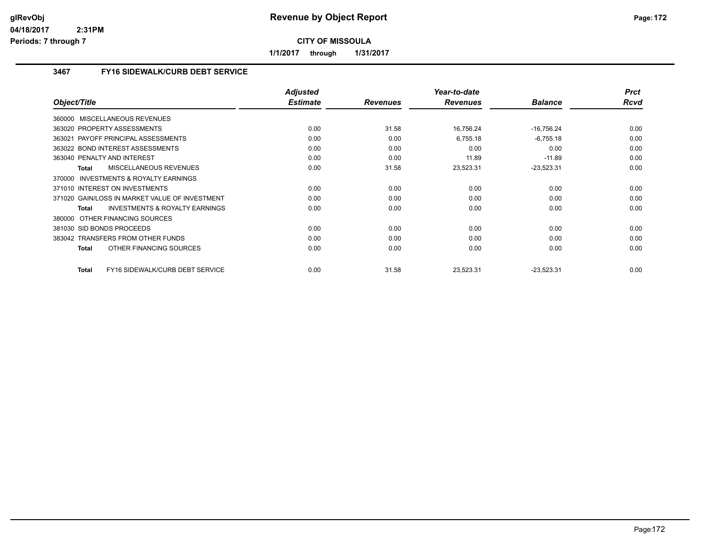**1/1/2017 through 1/31/2017**

#### **3467 FY16 SIDEWALK/CURB DEBT SERVICE**

|                                                           | <b>Adjusted</b> |                 | Year-to-date    |                | <b>Prct</b> |
|-----------------------------------------------------------|-----------------|-----------------|-----------------|----------------|-------------|
| Object/Title                                              | <b>Estimate</b> | <b>Revenues</b> | <b>Revenues</b> | <b>Balance</b> | Rcvd        |
| 360000 MISCELLANEOUS REVENUES                             |                 |                 |                 |                |             |
| 363020 PROPERTY ASSESSMENTS                               | 0.00            | 31.58           | 16,756.24       | $-16,756.24$   | 0.00        |
| 363021 PAYOFF PRINCIPAL ASSESSMENTS                       | 0.00            | 0.00            | 6,755.18        | $-6,755.18$    | 0.00        |
| 363022 BOND INTEREST ASSESSMENTS                          | 0.00            | 0.00            | 0.00            | 0.00           | 0.00        |
| 363040 PENALTY AND INTEREST                               | 0.00            | 0.00            | 11.89           | $-11.89$       | 0.00        |
| MISCELLANEOUS REVENUES<br><b>Total</b>                    | 0.00            | 31.58           | 23,523.31       | $-23,523.31$   | 0.00        |
| <b>INVESTMENTS &amp; ROYALTY EARNINGS</b><br>370000       |                 |                 |                 |                |             |
| 371010 INTEREST ON INVESTMENTS                            | 0.00            | 0.00            | 0.00            | 0.00           | 0.00        |
| 371020 GAIN/LOSS IN MARKET VALUE OF INVESTMENT            | 0.00            | 0.00            | 0.00            | 0.00           | 0.00        |
| <b>INVESTMENTS &amp; ROYALTY EARNINGS</b><br><b>Total</b> | 0.00            | 0.00            | 0.00            | 0.00           | 0.00        |
| OTHER FINANCING SOURCES<br>380000                         |                 |                 |                 |                |             |
| 381030 SID BONDS PROCEEDS                                 | 0.00            | 0.00            | 0.00            | 0.00           | 0.00        |
| 383042 TRANSFERS FROM OTHER FUNDS                         | 0.00            | 0.00            | 0.00            | 0.00           | 0.00        |
| OTHER FINANCING SOURCES<br><b>Total</b>                   | 0.00            | 0.00            | 0.00            | 0.00           | 0.00        |
| FY16 SIDEWALK/CURB DEBT SERVICE<br><b>Total</b>           | 0.00            | 31.58           | 23.523.31       | $-23,523.31$   | 0.00        |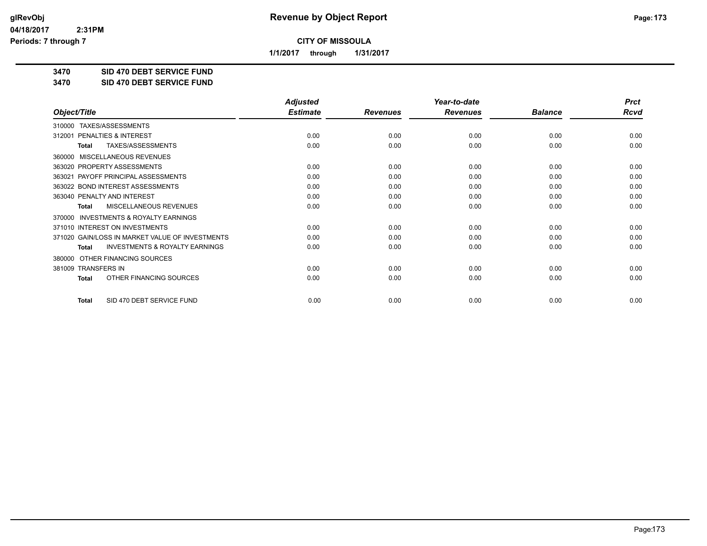**1/1/2017 through 1/31/2017**

**3470 SID 470 DEBT SERVICE FUND**

**3470 SID 470 DEBT SERVICE FUND**

|                                                           | <b>Adjusted</b> |                 | Year-to-date    |                | <b>Prct</b> |
|-----------------------------------------------------------|-----------------|-----------------|-----------------|----------------|-------------|
| Object/Title                                              | <b>Estimate</b> | <b>Revenues</b> | <b>Revenues</b> | <b>Balance</b> | Rcvd        |
| TAXES/ASSESSMENTS<br>310000                               |                 |                 |                 |                |             |
| 312001 PENALTIES & INTEREST                               | 0.00            | 0.00            | 0.00            | 0.00           | 0.00        |
| TAXES/ASSESSMENTS<br>Total                                | 0.00            | 0.00            | 0.00            | 0.00           | 0.00        |
| 360000 MISCELLANEOUS REVENUES                             |                 |                 |                 |                |             |
| 363020 PROPERTY ASSESSMENTS                               | 0.00            | 0.00            | 0.00            | 0.00           | 0.00        |
| 363021 PAYOFF PRINCIPAL ASSESSMENTS                       | 0.00            | 0.00            | 0.00            | 0.00           | 0.00        |
| 363022 BOND INTEREST ASSESSMENTS                          | 0.00            | 0.00            | 0.00            | 0.00           | 0.00        |
| 363040 PENALTY AND INTEREST                               | 0.00            | 0.00            | 0.00            | 0.00           | 0.00        |
| MISCELLANEOUS REVENUES<br><b>Total</b>                    | 0.00            | 0.00            | 0.00            | 0.00           | 0.00        |
| <b>INVESTMENTS &amp; ROYALTY EARNINGS</b><br>370000       |                 |                 |                 |                |             |
| 371010 INTEREST ON INVESTMENTS                            | 0.00            | 0.00            | 0.00            | 0.00           | 0.00        |
| 371020 GAIN/LOSS IN MARKET VALUE OF INVESTMENTS           | 0.00            | 0.00            | 0.00            | 0.00           | 0.00        |
| <b>INVESTMENTS &amp; ROYALTY EARNINGS</b><br><b>Total</b> | 0.00            | 0.00            | 0.00            | 0.00           | 0.00        |
| 380000 OTHER FINANCING SOURCES                            |                 |                 |                 |                |             |
| 381009 TRANSFERS IN                                       | 0.00            | 0.00            | 0.00            | 0.00           | 0.00        |
| OTHER FINANCING SOURCES<br><b>Total</b>                   | 0.00            | 0.00            | 0.00            | 0.00           | 0.00        |
| SID 470 DEBT SERVICE FUND<br><b>Total</b>                 | 0.00            | 0.00            | 0.00            | 0.00           | 0.00        |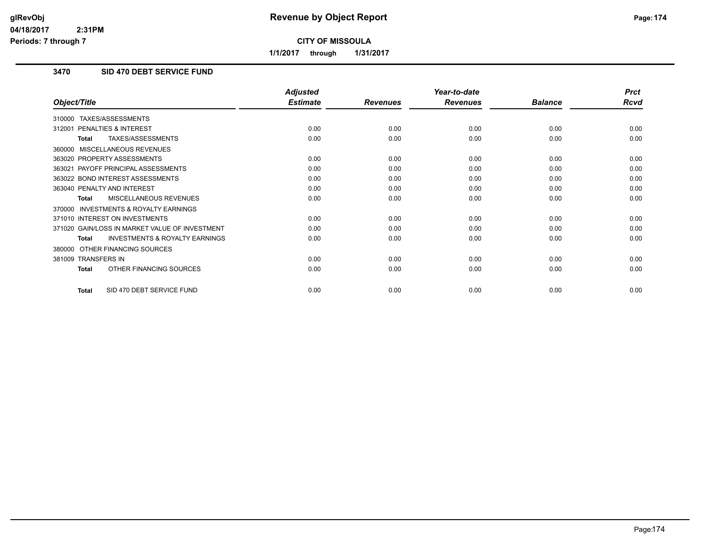**1/1/2017 through 1/31/2017**

#### **3470 SID 470 DEBT SERVICE FUND**

|                                                           | <b>Adjusted</b> |                 | Year-to-date    |                | <b>Prct</b> |
|-----------------------------------------------------------|-----------------|-----------------|-----------------|----------------|-------------|
| Object/Title                                              | <b>Estimate</b> | <b>Revenues</b> | <b>Revenues</b> | <b>Balance</b> | <b>Rcvd</b> |
| TAXES/ASSESSMENTS<br>310000                               |                 |                 |                 |                |             |
| 312001 PENALTIES & INTEREST                               | 0.00            | 0.00            | 0.00            | 0.00           | 0.00        |
| TAXES/ASSESSMENTS<br><b>Total</b>                         | 0.00            | 0.00            | 0.00            | 0.00           | 0.00        |
| <b>MISCELLANEOUS REVENUES</b><br>360000                   |                 |                 |                 |                |             |
| 363020 PROPERTY ASSESSMENTS                               | 0.00            | 0.00            | 0.00            | 0.00           | 0.00        |
| 363021 PAYOFF PRINCIPAL ASSESSMENTS                       | 0.00            | 0.00            | 0.00            | 0.00           | 0.00        |
| 363022 BOND INTEREST ASSESSMENTS                          | 0.00            | 0.00            | 0.00            | 0.00           | 0.00        |
| 363040 PENALTY AND INTEREST                               | 0.00            | 0.00            | 0.00            | 0.00           | 0.00        |
| <b>MISCELLANEOUS REVENUES</b><br>Total                    | 0.00            | 0.00            | 0.00            | 0.00           | 0.00        |
| <b>INVESTMENTS &amp; ROYALTY EARNINGS</b><br>370000       |                 |                 |                 |                |             |
| 371010 INTEREST ON INVESTMENTS                            | 0.00            | 0.00            | 0.00            | 0.00           | 0.00        |
| 371020 GAIN/LOSS IN MARKET VALUE OF INVESTMENT            | 0.00            | 0.00            | 0.00            | 0.00           | 0.00        |
| <b>INVESTMENTS &amp; ROYALTY EARNINGS</b><br><b>Total</b> | 0.00            | 0.00            | 0.00            | 0.00           | 0.00        |
| OTHER FINANCING SOURCES<br>380000                         |                 |                 |                 |                |             |
| 381009 TRANSFERS IN                                       | 0.00            | 0.00            | 0.00            | 0.00           | 0.00        |
| OTHER FINANCING SOURCES<br>Total                          | 0.00            | 0.00            | 0.00            | 0.00           | 0.00        |
| SID 470 DEBT SERVICE FUND<br><b>Total</b>                 | 0.00            | 0.00            | 0.00            | 0.00           | 0.00        |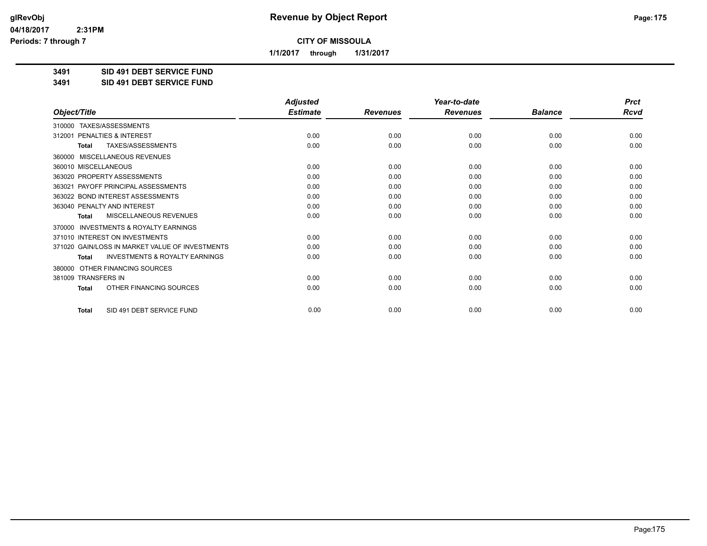**1/1/2017 through 1/31/2017**

**3491 SID 491 DEBT SERVICE FUND**

**3491 SID 491 DEBT SERVICE FUND**

|                                                     | <b>Adjusted</b> |                 | Year-to-date    |                |      |  |
|-----------------------------------------------------|-----------------|-----------------|-----------------|----------------|------|--|
| Object/Title                                        | <b>Estimate</b> | <b>Revenues</b> | <b>Revenues</b> | <b>Balance</b> | Rcvd |  |
| 310000 TAXES/ASSESSMENTS                            |                 |                 |                 |                |      |  |
| PENALTIES & INTEREST<br>312001                      | 0.00            | 0.00            | 0.00            | 0.00           | 0.00 |  |
| TAXES/ASSESSMENTS<br><b>Total</b>                   | 0.00            | 0.00            | 0.00            | 0.00           | 0.00 |  |
| 360000 MISCELLANEOUS REVENUES                       |                 |                 |                 |                |      |  |
| 360010 MISCELLANEOUS                                | 0.00            | 0.00            | 0.00            | 0.00           | 0.00 |  |
| 363020 PROPERTY ASSESSMENTS                         | 0.00            | 0.00            | 0.00            | 0.00           | 0.00 |  |
| 363021 PAYOFF PRINCIPAL ASSESSMENTS                 | 0.00            | 0.00            | 0.00            | 0.00           | 0.00 |  |
| 363022 BOND INTEREST ASSESSMENTS                    | 0.00            | 0.00            | 0.00            | 0.00           | 0.00 |  |
| 363040 PENALTY AND INTEREST                         | 0.00            | 0.00            | 0.00            | 0.00           | 0.00 |  |
| MISCELLANEOUS REVENUES<br>Total                     | 0.00            | 0.00            | 0.00            | 0.00           | 0.00 |  |
| <b>INVESTMENTS &amp; ROYALTY EARNINGS</b><br>370000 |                 |                 |                 |                |      |  |
| 371010 INTEREST ON INVESTMENTS                      | 0.00            | 0.00            | 0.00            | 0.00           | 0.00 |  |
| 371020 GAIN/LOSS IN MARKET VALUE OF INVESTMENTS     | 0.00            | 0.00            | 0.00            | 0.00           | 0.00 |  |
| <b>INVESTMENTS &amp; ROYALTY EARNINGS</b><br>Total  | 0.00            | 0.00            | 0.00            | 0.00           | 0.00 |  |
| OTHER FINANCING SOURCES<br>380000                   |                 |                 |                 |                |      |  |
| 381009 TRANSFERS IN                                 | 0.00            | 0.00            | 0.00            | 0.00           | 0.00 |  |
| OTHER FINANCING SOURCES<br><b>Total</b>             | 0.00            | 0.00            | 0.00            | 0.00           | 0.00 |  |
| SID 491 DEBT SERVICE FUND<br><b>Total</b>           | 0.00            | 0.00            | 0.00            | 0.00           | 0.00 |  |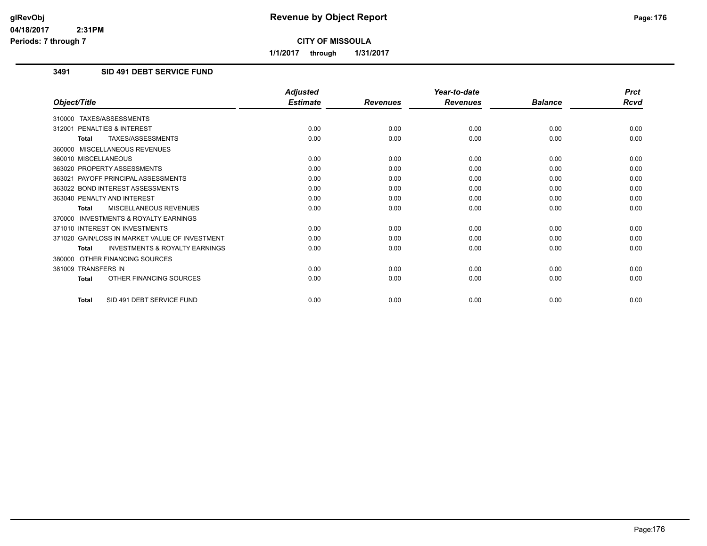**1/1/2017 through 1/31/2017**

#### **3491 SID 491 DEBT SERVICE FUND**

|                                                           | <b>Adjusted</b> |                 | Year-to-date    |                | <b>Prct</b> |
|-----------------------------------------------------------|-----------------|-----------------|-----------------|----------------|-------------|
| Object/Title                                              | <b>Estimate</b> | <b>Revenues</b> | <b>Revenues</b> | <b>Balance</b> | <b>Rcvd</b> |
| 310000 TAXES/ASSESSMENTS                                  |                 |                 |                 |                |             |
| PENALTIES & INTEREST<br>312001                            | 0.00            | 0.00            | 0.00            | 0.00           | 0.00        |
| TAXES/ASSESSMENTS<br><b>Total</b>                         | 0.00            | 0.00            | 0.00            | 0.00           | 0.00        |
| 360000 MISCELLANEOUS REVENUES                             |                 |                 |                 |                |             |
| 360010 MISCELLANEOUS                                      | 0.00            | 0.00            | 0.00            | 0.00           | 0.00        |
| 363020 PROPERTY ASSESSMENTS                               | 0.00            | 0.00            | 0.00            | 0.00           | 0.00        |
| 363021 PAYOFF PRINCIPAL ASSESSMENTS                       | 0.00            | 0.00            | 0.00            | 0.00           | 0.00        |
| 363022 BOND INTEREST ASSESSMENTS                          | 0.00            | 0.00            | 0.00            | 0.00           | 0.00        |
| 363040 PENALTY AND INTEREST                               | 0.00            | 0.00            | 0.00            | 0.00           | 0.00        |
| MISCELLANEOUS REVENUES<br><b>Total</b>                    | 0.00            | 0.00            | 0.00            | 0.00           | 0.00        |
| 370000 INVESTMENTS & ROYALTY EARNINGS                     |                 |                 |                 |                |             |
| 371010 INTEREST ON INVESTMENTS                            | 0.00            | 0.00            | 0.00            | 0.00           | 0.00        |
| 371020 GAIN/LOSS IN MARKET VALUE OF INVESTMENT            | 0.00            | 0.00            | 0.00            | 0.00           | 0.00        |
| <b>INVESTMENTS &amp; ROYALTY EARNINGS</b><br><b>Total</b> | 0.00            | 0.00            | 0.00            | 0.00           | 0.00        |
| 380000 OTHER FINANCING SOURCES                            |                 |                 |                 |                |             |
| 381009 TRANSFERS IN                                       | 0.00            | 0.00            | 0.00            | 0.00           | 0.00        |
| OTHER FINANCING SOURCES<br><b>Total</b>                   | 0.00            | 0.00            | 0.00            | 0.00           | 0.00        |
| SID 491 DEBT SERVICE FUND<br><b>Total</b>                 | 0.00            | 0.00            | 0.00            | 0.00           | 0.00        |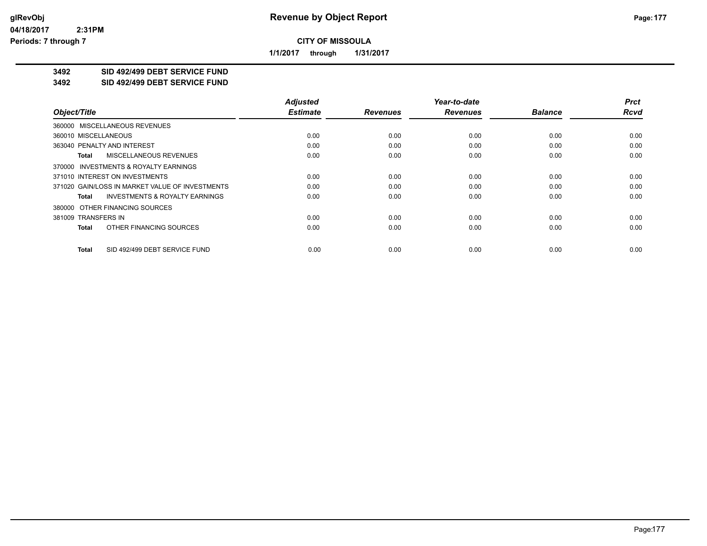**1/1/2017 through 1/31/2017**

**3492 SID 492/499 DEBT SERVICE FUND**

**3492 SID 492/499 DEBT SERVICE FUND**

|                                                    | <b>Adjusted</b> |                 | Year-to-date    |                | <b>Prct</b> |
|----------------------------------------------------|-----------------|-----------------|-----------------|----------------|-------------|
| Object/Title                                       | <b>Estimate</b> | <b>Revenues</b> | <b>Revenues</b> | <b>Balance</b> | <b>Rcvd</b> |
| 360000 MISCELLANEOUS REVENUES                      |                 |                 |                 |                |             |
| 360010 MISCELLANEOUS                               | 0.00            | 0.00            | 0.00            | 0.00           | 0.00        |
| 363040 PENALTY AND INTEREST                        | 0.00            | 0.00            | 0.00            | 0.00           | 0.00        |
| <b>MISCELLANEOUS REVENUES</b><br>Total             | 0.00            | 0.00            | 0.00            | 0.00           | 0.00        |
| 370000 INVESTMENTS & ROYALTY EARNINGS              |                 |                 |                 |                |             |
| 371010 INTEREST ON INVESTMENTS                     | 0.00            | 0.00            | 0.00            | 0.00           | 0.00        |
| 371020 GAIN/LOSS IN MARKET VALUE OF INVESTMENTS    | 0.00            | 0.00            | 0.00            | 0.00           | 0.00        |
| <b>INVESTMENTS &amp; ROYALTY EARNINGS</b><br>Total | 0.00            | 0.00            | 0.00            | 0.00           | 0.00        |
| 380000 OTHER FINANCING SOURCES                     |                 |                 |                 |                |             |
| 381009 TRANSFERS IN                                | 0.00            | 0.00            | 0.00            | 0.00           | 0.00        |
| OTHER FINANCING SOURCES<br><b>Total</b>            | 0.00            | 0.00            | 0.00            | 0.00           | 0.00        |
| SID 492/499 DEBT SERVICE FUND<br><b>Total</b>      | 0.00            | 0.00            | 0.00            | 0.00           | 0.00        |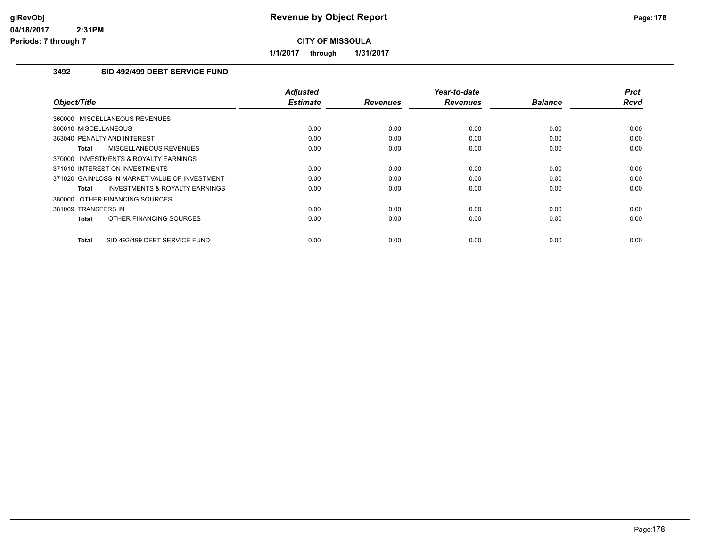**1/1/2017 through 1/31/2017**

#### **3492 SID 492/499 DEBT SERVICE FUND**

| Object/Title                                              | <b>Adjusted</b><br><b>Estimate</b> | <b>Revenues</b> | Year-to-date<br><b>Revenues</b> | <b>Balance</b> | <b>Prct</b><br>Rcvd |
|-----------------------------------------------------------|------------------------------------|-----------------|---------------------------------|----------------|---------------------|
| 360000 MISCELLANEOUS REVENUES                             |                                    |                 |                                 |                |                     |
| 360010 MISCELLANEOUS                                      | 0.00                               | 0.00            | 0.00                            | 0.00           | 0.00                |
| 363040 PENALTY AND INTEREST                               | 0.00                               | 0.00            | 0.00                            | 0.00           | 0.00                |
| MISCELLANEOUS REVENUES<br><b>Total</b>                    | 0.00                               | 0.00            | 0.00                            | 0.00           | 0.00                |
| INVESTMENTS & ROYALTY EARNINGS<br>370000                  |                                    |                 |                                 |                |                     |
| 371010 INTEREST ON INVESTMENTS                            | 0.00                               | 0.00            | 0.00                            | 0.00           | 0.00                |
| 371020 GAIN/LOSS IN MARKET VALUE OF INVESTMENT            | 0.00                               | 0.00            | 0.00                            | 0.00           | 0.00                |
| <b>INVESTMENTS &amp; ROYALTY EARNINGS</b><br><b>Total</b> | 0.00                               | 0.00            | 0.00                            | 0.00           | 0.00                |
| 380000 OTHER FINANCING SOURCES                            |                                    |                 |                                 |                |                     |
| 381009 TRANSFERS IN                                       | 0.00                               | 0.00            | 0.00                            | 0.00           | 0.00                |
| OTHER FINANCING SOURCES<br><b>Total</b>                   | 0.00                               | 0.00            | 0.00                            | 0.00           | 0.00                |
| SID 492/499 DEBT SERVICE FUND<br><b>Total</b>             | 0.00                               | 0.00            | 0.00                            | 0.00           | 0.00                |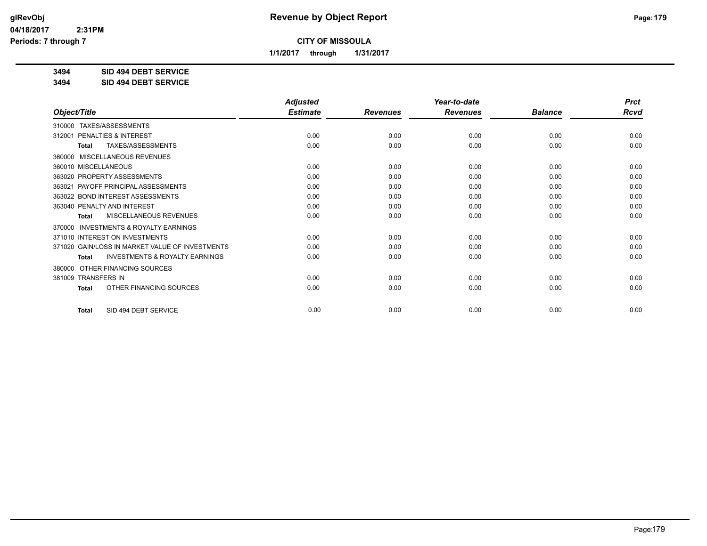**1/1/2017 through 1/31/2017**

**3494 SID 494 DEBT SERVICE**

**3494 SID 494 DEBT SERVICE**

|                                                           | <b>Adjusted</b> |                 | Year-to-date    |                |             |
|-----------------------------------------------------------|-----------------|-----------------|-----------------|----------------|-------------|
| Object/Title                                              | <b>Estimate</b> | <b>Revenues</b> | <b>Revenues</b> | <b>Balance</b> | <b>Rcvd</b> |
| 310000 TAXES/ASSESSMENTS                                  |                 |                 |                 |                |             |
| <b>PENALTIES &amp; INTEREST</b><br>312001                 | 0.00            | 0.00            | 0.00            | 0.00           | 0.00        |
| TAXES/ASSESSMENTS<br><b>Total</b>                         | 0.00            | 0.00            | 0.00            | 0.00           | 0.00        |
| 360000 MISCELLANEOUS REVENUES                             |                 |                 |                 |                |             |
| 360010 MISCELLANEOUS                                      | 0.00            | 0.00            | 0.00            | 0.00           | 0.00        |
| 363020 PROPERTY ASSESSMENTS                               | 0.00            | 0.00            | 0.00            | 0.00           | 0.00        |
| 363021 PAYOFF PRINCIPAL ASSESSMENTS                       | 0.00            | 0.00            | 0.00            | 0.00           | 0.00        |
| 363022 BOND INTEREST ASSESSMENTS                          | 0.00            | 0.00            | 0.00            | 0.00           | 0.00        |
| 363040 PENALTY AND INTEREST                               | 0.00            | 0.00            | 0.00            | 0.00           | 0.00        |
| MISCELLANEOUS REVENUES<br><b>Total</b>                    | 0.00            | 0.00            | 0.00            | 0.00           | 0.00        |
| <b>INVESTMENTS &amp; ROYALTY EARNINGS</b><br>370000       |                 |                 |                 |                |             |
| 371010 INTEREST ON INVESTMENTS                            | 0.00            | 0.00            | 0.00            | 0.00           | 0.00        |
| 371020 GAIN/LOSS IN MARKET VALUE OF INVESTMENTS           | 0.00            | 0.00            | 0.00            | 0.00           | 0.00        |
| <b>INVESTMENTS &amp; ROYALTY EARNINGS</b><br><b>Total</b> | 0.00            | 0.00            | 0.00            | 0.00           | 0.00        |
| OTHER FINANCING SOURCES<br>380000                         |                 |                 |                 |                |             |
| 381009 TRANSFERS IN                                       | 0.00            | 0.00            | 0.00            | 0.00           | 0.00        |
| OTHER FINANCING SOURCES<br><b>Total</b>                   | 0.00            | 0.00            | 0.00            | 0.00           | 0.00        |
| SID 494 DEBT SERVICE<br><b>Total</b>                      | 0.00            | 0.00            | 0.00            | 0.00           | 0.00        |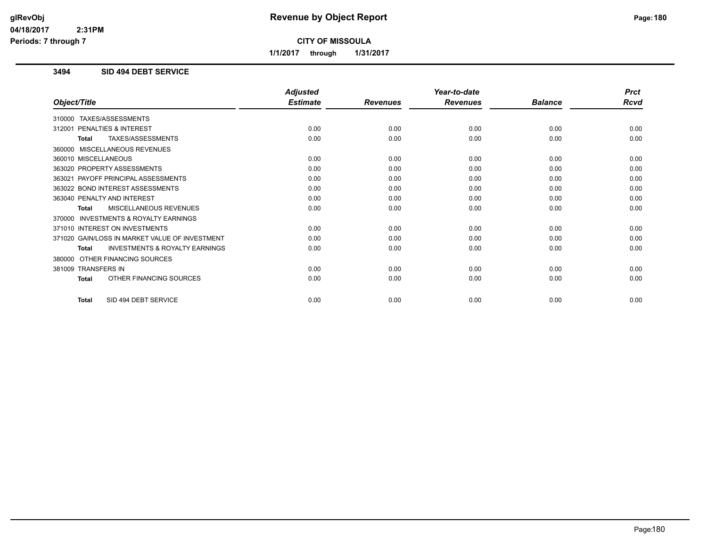**1/1/2017 through 1/31/2017**

#### **3494 SID 494 DEBT SERVICE**

| Object/Title                                              | <b>Adjusted</b> |                 | Year-to-date    |                | <b>Prct</b> |
|-----------------------------------------------------------|-----------------|-----------------|-----------------|----------------|-------------|
|                                                           | <b>Estimate</b> | <b>Revenues</b> | <b>Revenues</b> | <b>Balance</b> | <b>Rcvd</b> |
| 310000 TAXES/ASSESSMENTS                                  |                 |                 |                 |                |             |
| PENALTIES & INTEREST<br>312001                            | 0.00            | 0.00            | 0.00            | 0.00           | 0.00        |
| TAXES/ASSESSMENTS<br><b>Total</b>                         | 0.00            | 0.00            | 0.00            | 0.00           | 0.00        |
| 360000 MISCELLANEOUS REVENUES                             |                 |                 |                 |                |             |
| 360010 MISCELLANEOUS                                      | 0.00            | 0.00            | 0.00            | 0.00           | 0.00        |
| 363020 PROPERTY ASSESSMENTS                               | 0.00            | 0.00            | 0.00            | 0.00           | 0.00        |
| 363021 PAYOFF PRINCIPAL ASSESSMENTS                       | 0.00            | 0.00            | 0.00            | 0.00           | 0.00        |
| 363022 BOND INTEREST ASSESSMENTS                          | 0.00            | 0.00            | 0.00            | 0.00           | 0.00        |
| 363040 PENALTY AND INTEREST                               | 0.00            | 0.00            | 0.00            | 0.00           | 0.00        |
| <b>MISCELLANEOUS REVENUES</b><br><b>Total</b>             | 0.00            | 0.00            | 0.00            | 0.00           | 0.00        |
| <b>INVESTMENTS &amp; ROYALTY EARNINGS</b><br>370000       |                 |                 |                 |                |             |
| 371010 INTEREST ON INVESTMENTS                            | 0.00            | 0.00            | 0.00            | 0.00           | 0.00        |
| 371020 GAIN/LOSS IN MARKET VALUE OF INVESTMENT            | 0.00            | 0.00            | 0.00            | 0.00           | 0.00        |
| <b>INVESTMENTS &amp; ROYALTY EARNINGS</b><br><b>Total</b> | 0.00            | 0.00            | 0.00            | 0.00           | 0.00        |
| OTHER FINANCING SOURCES<br>380000                         |                 |                 |                 |                |             |
| 381009 TRANSFERS IN                                       | 0.00            | 0.00            | 0.00            | 0.00           | 0.00        |
| OTHER FINANCING SOURCES<br>Total                          | 0.00            | 0.00            | 0.00            | 0.00           | 0.00        |
| SID 494 DEBT SERVICE<br><b>Total</b>                      | 0.00            | 0.00            | 0.00            | 0.00           | 0.00        |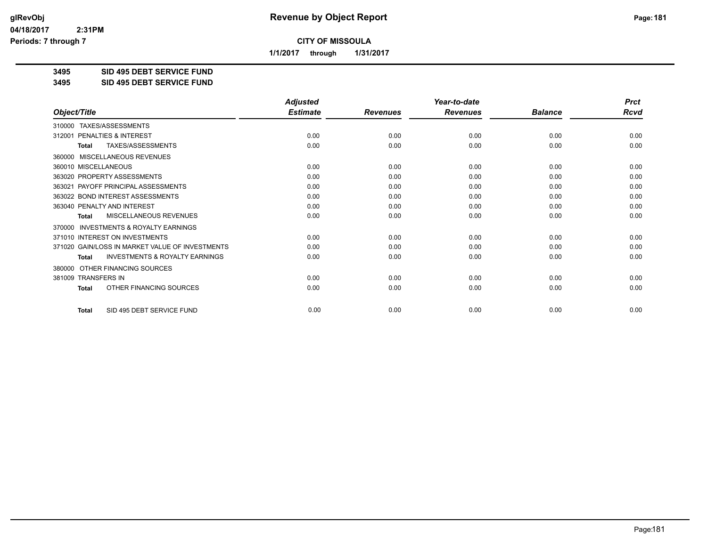**1/1/2017 through 1/31/2017**

**3495 SID 495 DEBT SERVICE FUND**

**3495 SID 495 DEBT SERVICE FUND**

|                                                     | <b>Adjusted</b> |                 | Year-to-date    |                |             |  |
|-----------------------------------------------------|-----------------|-----------------|-----------------|----------------|-------------|--|
| Object/Title                                        | <b>Estimate</b> | <b>Revenues</b> | <b>Revenues</b> | <b>Balance</b> | <b>Rcvd</b> |  |
| TAXES/ASSESSMENTS<br>310000                         |                 |                 |                 |                |             |  |
| 312001 PENALTIES & INTEREST                         | 0.00            | 0.00            | 0.00            | 0.00           | 0.00        |  |
| TAXES/ASSESSMENTS<br><b>Total</b>                   | 0.00            | 0.00            | 0.00            | 0.00           | 0.00        |  |
| 360000 MISCELLANEOUS REVENUES                       |                 |                 |                 |                |             |  |
| 360010 MISCELLANEOUS                                | 0.00            | 0.00            | 0.00            | 0.00           | 0.00        |  |
| 363020 PROPERTY ASSESSMENTS                         | 0.00            | 0.00            | 0.00            | 0.00           | 0.00        |  |
| 363021 PAYOFF PRINCIPAL ASSESSMENTS                 | 0.00            | 0.00            | 0.00            | 0.00           | 0.00        |  |
| 363022 BOND INTEREST ASSESSMENTS                    | 0.00            | 0.00            | 0.00            | 0.00           | 0.00        |  |
| 363040 PENALTY AND INTEREST                         | 0.00            | 0.00            | 0.00            | 0.00           | 0.00        |  |
| MISCELLANEOUS REVENUES<br>Total                     | 0.00            | 0.00            | 0.00            | 0.00           | 0.00        |  |
| <b>INVESTMENTS &amp; ROYALTY EARNINGS</b><br>370000 |                 |                 |                 |                |             |  |
| 371010 INTEREST ON INVESTMENTS                      | 0.00            | 0.00            | 0.00            | 0.00           | 0.00        |  |
| 371020 GAIN/LOSS IN MARKET VALUE OF INVESTMENTS     | 0.00            | 0.00            | 0.00            | 0.00           | 0.00        |  |
| <b>INVESTMENTS &amp; ROYALTY EARNINGS</b><br>Total  | 0.00            | 0.00            | 0.00            | 0.00           | 0.00        |  |
| OTHER FINANCING SOURCES<br>380000                   |                 |                 |                 |                |             |  |
| 381009 TRANSFERS IN                                 | 0.00            | 0.00            | 0.00            | 0.00           | 0.00        |  |
| OTHER FINANCING SOURCES<br><b>Total</b>             | 0.00            | 0.00            | 0.00            | 0.00           | 0.00        |  |
| SID 495 DEBT SERVICE FUND<br><b>Total</b>           | 0.00            | 0.00            | 0.00            | 0.00           | 0.00        |  |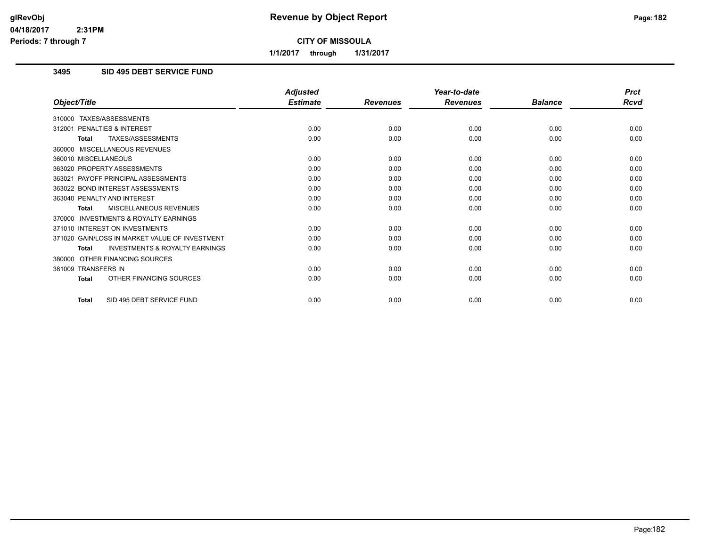**1/1/2017 through 1/31/2017**

## **3495 SID 495 DEBT SERVICE FUND**

|                                                           | <b>Adjusted</b> |                 | Year-to-date    |                | <b>Prct</b> |
|-----------------------------------------------------------|-----------------|-----------------|-----------------|----------------|-------------|
| Object/Title                                              | <b>Estimate</b> | <b>Revenues</b> | <b>Revenues</b> | <b>Balance</b> | <b>Rcvd</b> |
| 310000 TAXES/ASSESSMENTS                                  |                 |                 |                 |                |             |
| PENALTIES & INTEREST<br>312001                            | 0.00            | 0.00            | 0.00            | 0.00           | 0.00        |
| TAXES/ASSESSMENTS<br>Total                                | 0.00            | 0.00            | 0.00            | 0.00           | 0.00        |
| 360000 MISCELLANEOUS REVENUES                             |                 |                 |                 |                |             |
| 360010 MISCELLANEOUS                                      | 0.00            | 0.00            | 0.00            | 0.00           | 0.00        |
| 363020 PROPERTY ASSESSMENTS                               | 0.00            | 0.00            | 0.00            | 0.00           | 0.00        |
| 363021 PAYOFF PRINCIPAL ASSESSMENTS                       | 0.00            | 0.00            | 0.00            | 0.00           | 0.00        |
| 363022 BOND INTEREST ASSESSMENTS                          | 0.00            | 0.00            | 0.00            | 0.00           | 0.00        |
| 363040 PENALTY AND INTEREST                               | 0.00            | 0.00            | 0.00            | 0.00           | 0.00        |
| MISCELLANEOUS REVENUES<br><b>Total</b>                    | 0.00            | 0.00            | 0.00            | 0.00           | 0.00        |
| 370000 INVESTMENTS & ROYALTY EARNINGS                     |                 |                 |                 |                |             |
| 371010 INTEREST ON INVESTMENTS                            | 0.00            | 0.00            | 0.00            | 0.00           | 0.00        |
| 371020 GAIN/LOSS IN MARKET VALUE OF INVESTMENT            | 0.00            | 0.00            | 0.00            | 0.00           | 0.00        |
| <b>INVESTMENTS &amp; ROYALTY EARNINGS</b><br><b>Total</b> | 0.00            | 0.00            | 0.00            | 0.00           | 0.00        |
| 380000 OTHER FINANCING SOURCES                            |                 |                 |                 |                |             |
| 381009 TRANSFERS IN                                       | 0.00            | 0.00            | 0.00            | 0.00           | 0.00        |
| OTHER FINANCING SOURCES<br><b>Total</b>                   | 0.00            | 0.00            | 0.00            | 0.00           | 0.00        |
| SID 495 DEBT SERVICE FUND<br><b>Total</b>                 | 0.00            | 0.00            | 0.00            | 0.00           | 0.00        |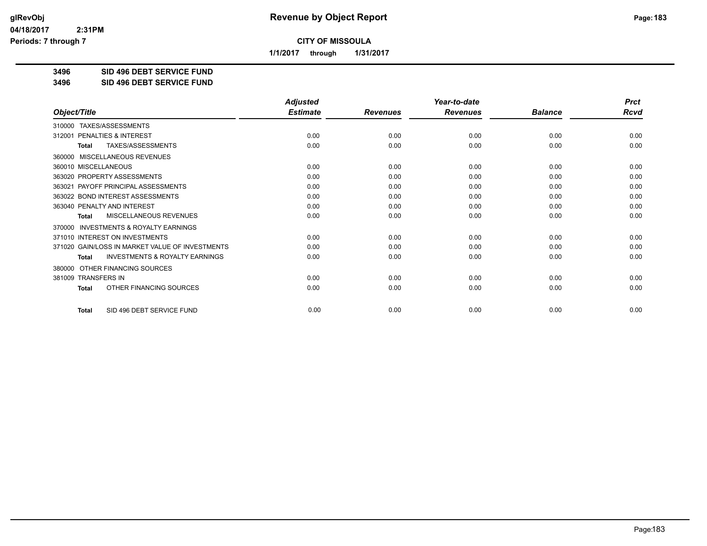**1/1/2017 through 1/31/2017**

**3496 SID 496 DEBT SERVICE FUND**

**3496 SID 496 DEBT SERVICE FUND**

|                                                           | <b>Adjusted</b> |                 | Year-to-date    |                | <b>Prct</b> |
|-----------------------------------------------------------|-----------------|-----------------|-----------------|----------------|-------------|
| Object/Title                                              | <b>Estimate</b> | <b>Revenues</b> | <b>Revenues</b> | <b>Balance</b> | Rcvd        |
| TAXES/ASSESSMENTS<br>310000                               |                 |                 |                 |                |             |
| 312001 PENALTIES & INTEREST                               | 0.00            | 0.00            | 0.00            | 0.00           | 0.00        |
| TAXES/ASSESSMENTS<br><b>Total</b>                         | 0.00            | 0.00            | 0.00            | 0.00           | 0.00        |
| 360000 MISCELLANEOUS REVENUES                             |                 |                 |                 |                |             |
| 360010 MISCELLANEOUS                                      | 0.00            | 0.00            | 0.00            | 0.00           | 0.00        |
| 363020 PROPERTY ASSESSMENTS                               | 0.00            | 0.00            | 0.00            | 0.00           | 0.00        |
| PAYOFF PRINCIPAL ASSESSMENTS<br>363021                    | 0.00            | 0.00            | 0.00            | 0.00           | 0.00        |
| 363022 BOND INTEREST ASSESSMENTS                          | 0.00            | 0.00            | 0.00            | 0.00           | 0.00        |
| 363040 PENALTY AND INTEREST                               | 0.00            | 0.00            | 0.00            | 0.00           | 0.00        |
| MISCELLANEOUS REVENUES<br><b>Total</b>                    | 0.00            | 0.00            | 0.00            | 0.00           | 0.00        |
| <b>INVESTMENTS &amp; ROYALTY EARNINGS</b><br>370000       |                 |                 |                 |                |             |
| 371010 INTEREST ON INVESTMENTS                            | 0.00            | 0.00            | 0.00            | 0.00           | 0.00        |
| 371020 GAIN/LOSS IN MARKET VALUE OF INVESTMENTS           | 0.00            | 0.00            | 0.00            | 0.00           | 0.00        |
| <b>INVESTMENTS &amp; ROYALTY EARNINGS</b><br><b>Total</b> | 0.00            | 0.00            | 0.00            | 0.00           | 0.00        |
| OTHER FINANCING SOURCES<br>380000                         |                 |                 |                 |                |             |
| 381009 TRANSFERS IN                                       | 0.00            | 0.00            | 0.00            | 0.00           | 0.00        |
| OTHER FINANCING SOURCES<br><b>Total</b>                   | 0.00            | 0.00            | 0.00            | 0.00           | 0.00        |
| SID 496 DEBT SERVICE FUND<br><b>Total</b>                 | 0.00            | 0.00            | 0.00            | 0.00           | 0.00        |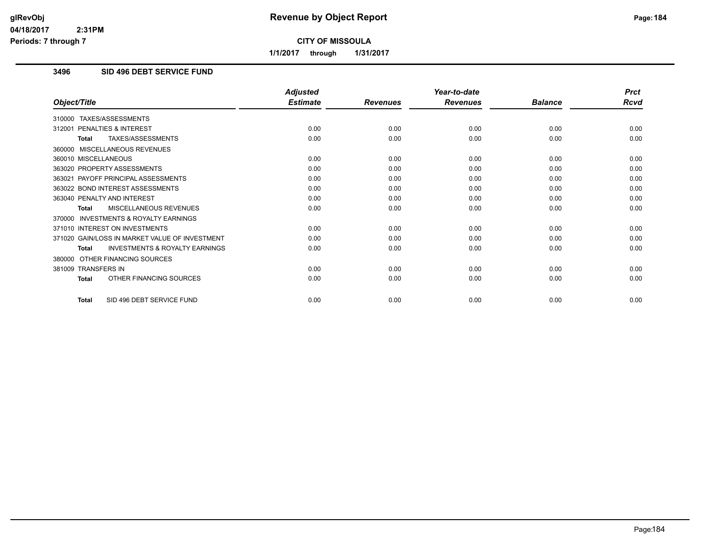**1/1/2017 through 1/31/2017**

## **3496 SID 496 DEBT SERVICE FUND**

|                                                           | <b>Adjusted</b> |                 | Year-to-date    |                | <b>Prct</b> |
|-----------------------------------------------------------|-----------------|-----------------|-----------------|----------------|-------------|
| Object/Title                                              | <b>Estimate</b> | <b>Revenues</b> | <b>Revenues</b> | <b>Balance</b> | <b>Rcvd</b> |
| 310000 TAXES/ASSESSMENTS                                  |                 |                 |                 |                |             |
| <b>PENALTIES &amp; INTEREST</b><br>312001                 | 0.00            | 0.00            | 0.00            | 0.00           | 0.00        |
| TAXES/ASSESSMENTS<br><b>Total</b>                         | 0.00            | 0.00            | 0.00            | 0.00           | 0.00        |
| 360000 MISCELLANEOUS REVENUES                             |                 |                 |                 |                |             |
| 360010 MISCELLANEOUS                                      | 0.00            | 0.00            | 0.00            | 0.00           | 0.00        |
| 363020 PROPERTY ASSESSMENTS                               | 0.00            | 0.00            | 0.00            | 0.00           | 0.00        |
| 363021 PAYOFF PRINCIPAL ASSESSMENTS                       | 0.00            | 0.00            | 0.00            | 0.00           | 0.00        |
| 363022 BOND INTEREST ASSESSMENTS                          | 0.00            | 0.00            | 0.00            | 0.00           | 0.00        |
| 363040 PENALTY AND INTEREST                               | 0.00            | 0.00            | 0.00            | 0.00           | 0.00        |
| MISCELLANEOUS REVENUES<br><b>Total</b>                    | 0.00            | 0.00            | 0.00            | 0.00           | 0.00        |
| 370000 INVESTMENTS & ROYALTY EARNINGS                     |                 |                 |                 |                |             |
| 371010 INTEREST ON INVESTMENTS                            | 0.00            | 0.00            | 0.00            | 0.00           | 0.00        |
| 371020 GAIN/LOSS IN MARKET VALUE OF INVESTMENT            | 0.00            | 0.00            | 0.00            | 0.00           | 0.00        |
| <b>INVESTMENTS &amp; ROYALTY EARNINGS</b><br><b>Total</b> | 0.00            | 0.00            | 0.00            | 0.00           | 0.00        |
| 380000 OTHER FINANCING SOURCES                            |                 |                 |                 |                |             |
| 381009 TRANSFERS IN                                       | 0.00            | 0.00            | 0.00            | 0.00           | 0.00        |
| OTHER FINANCING SOURCES<br><b>Total</b>                   | 0.00            | 0.00            | 0.00            | 0.00           | 0.00        |
| SID 496 DEBT SERVICE FUND<br><b>Total</b>                 | 0.00            | 0.00            | 0.00            | 0.00           | 0.00        |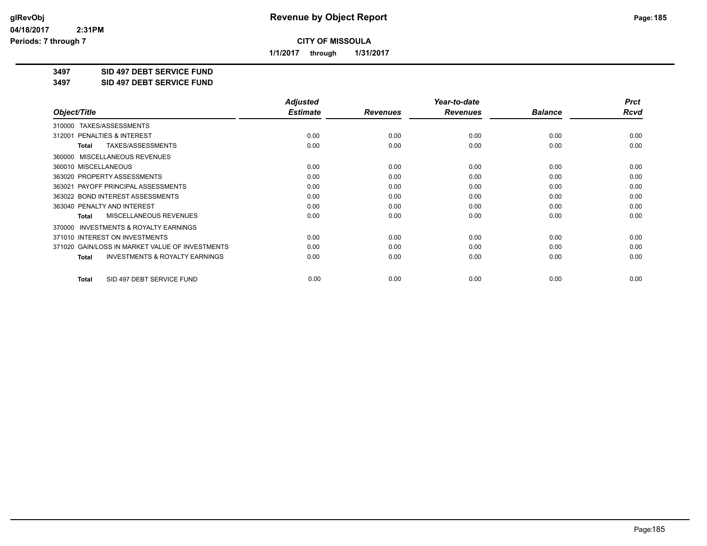**1/1/2017 through 1/31/2017**

**3497 SID 497 DEBT SERVICE FUND**

**3497 SID 497 DEBT SERVICE FUND**

|                                                    | <b>Adjusted</b> |                 | Year-to-date    |                | <b>Prct</b> |
|----------------------------------------------------|-----------------|-----------------|-----------------|----------------|-------------|
| Object/Title                                       | <b>Estimate</b> | <b>Revenues</b> | <b>Revenues</b> | <b>Balance</b> | Rcvd        |
| 310000 TAXES/ASSESSMENTS                           |                 |                 |                 |                |             |
| 312001 PENALTIES & INTEREST                        | 0.00            | 0.00            | 0.00            | 0.00           | 0.00        |
| TAXES/ASSESSMENTS<br>Total                         | 0.00            | 0.00            | 0.00            | 0.00           | 0.00        |
| 360000 MISCELLANEOUS REVENUES                      |                 |                 |                 |                |             |
| 360010 MISCELLANEOUS                               | 0.00            | 0.00            | 0.00            | 0.00           | 0.00        |
| 363020 PROPERTY ASSESSMENTS                        | 0.00            | 0.00            | 0.00            | 0.00           | 0.00        |
| 363021 PAYOFF PRINCIPAL ASSESSMENTS                | 0.00            | 0.00            | 0.00            | 0.00           | 0.00        |
| 363022 BOND INTEREST ASSESSMENTS                   | 0.00            | 0.00            | 0.00            | 0.00           | 0.00        |
| 363040 PENALTY AND INTEREST                        | 0.00            | 0.00            | 0.00            | 0.00           | 0.00        |
| MISCELLANEOUS REVENUES<br>Total                    | 0.00            | 0.00            | 0.00            | 0.00           | 0.00        |
| INVESTMENTS & ROYALTY EARNINGS<br>370000           |                 |                 |                 |                |             |
| 371010 INTEREST ON INVESTMENTS                     | 0.00            | 0.00            | 0.00            | 0.00           | 0.00        |
| 371020 GAIN/LOSS IN MARKET VALUE OF INVESTMENTS    | 0.00            | 0.00            | 0.00            | 0.00           | 0.00        |
| <b>INVESTMENTS &amp; ROYALTY EARNINGS</b><br>Total | 0.00            | 0.00            | 0.00            | 0.00           | 0.00        |
| SID 497 DEBT SERVICE FUND<br>Total                 | 0.00            | 0.00            | 0.00            | 0.00           | 0.00        |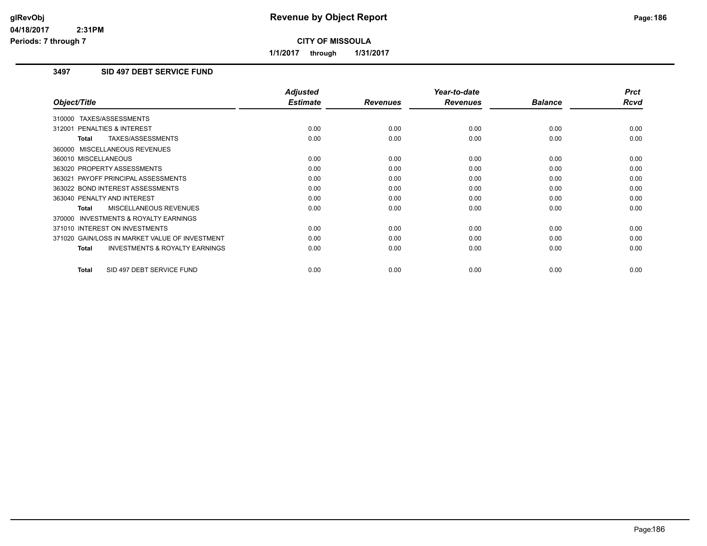**1/1/2017 through 1/31/2017**

## **3497 SID 497 DEBT SERVICE FUND**

|                                                           | <b>Adjusted</b> |                 | Year-to-date    |                | <b>Prct</b> |
|-----------------------------------------------------------|-----------------|-----------------|-----------------|----------------|-------------|
| Object/Title                                              | <b>Estimate</b> | <b>Revenues</b> | <b>Revenues</b> | <b>Balance</b> | <b>Rcvd</b> |
| 310000 TAXES/ASSESSMENTS                                  |                 |                 |                 |                |             |
| 312001 PENALTIES & INTEREST                               | 0.00            | 0.00            | 0.00            | 0.00           | 0.00        |
| TAXES/ASSESSMENTS<br>Total                                | 0.00            | 0.00            | 0.00            | 0.00           | 0.00        |
| 360000 MISCELLANEOUS REVENUES                             |                 |                 |                 |                |             |
| 360010 MISCELLANEOUS                                      | 0.00            | 0.00            | 0.00            | 0.00           | 0.00        |
| 363020 PROPERTY ASSESSMENTS                               | 0.00            | 0.00            | 0.00            | 0.00           | 0.00        |
| 363021 PAYOFF PRINCIPAL ASSESSMENTS                       | 0.00            | 0.00            | 0.00            | 0.00           | 0.00        |
| 363022 BOND INTEREST ASSESSMENTS                          | 0.00            | 0.00            | 0.00            | 0.00           | 0.00        |
| 363040 PENALTY AND INTEREST                               | 0.00            | 0.00            | 0.00            | 0.00           | 0.00        |
| <b>MISCELLANEOUS REVENUES</b><br>Total                    | 0.00            | 0.00            | 0.00            | 0.00           | 0.00        |
| INVESTMENTS & ROYALTY EARNINGS<br>370000                  |                 |                 |                 |                |             |
| 371010 INTEREST ON INVESTMENTS                            | 0.00            | 0.00            | 0.00            | 0.00           | 0.00        |
| 371020 GAIN/LOSS IN MARKET VALUE OF INVESTMENT            | 0.00            | 0.00            | 0.00            | 0.00           | 0.00        |
| <b>INVESTMENTS &amp; ROYALTY EARNINGS</b><br><b>Total</b> | 0.00            | 0.00            | 0.00            | 0.00           | 0.00        |
| SID 497 DEBT SERVICE FUND<br><b>Total</b>                 | 0.00            | 0.00            | 0.00            | 0.00           | 0.00        |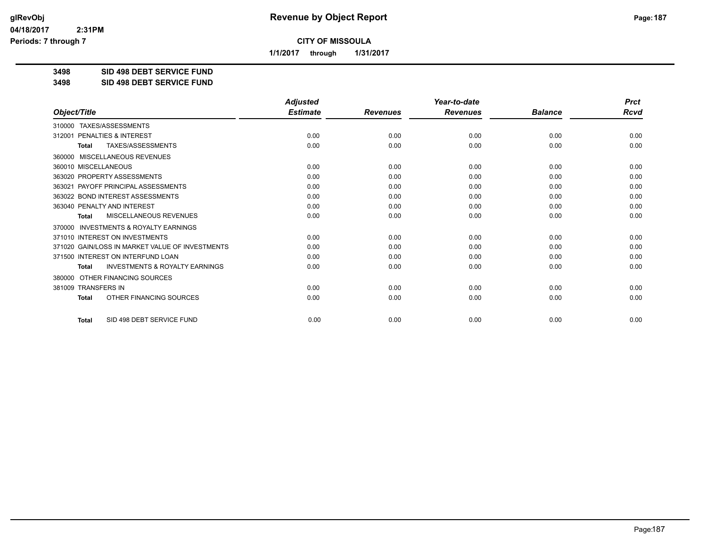**1/1/2017 through 1/31/2017**

**3498 SID 498 DEBT SERVICE FUND**

**3498 SID 498 DEBT SERVICE FUND**

|                                                     | <b>Adjusted</b> |                 | Year-to-date    |                |      |
|-----------------------------------------------------|-----------------|-----------------|-----------------|----------------|------|
| Object/Title                                        | <b>Estimate</b> | <b>Revenues</b> | <b>Revenues</b> | <b>Balance</b> | Rcvd |
| TAXES/ASSESSMENTS<br>310000                         |                 |                 |                 |                |      |
| 312001 PENALTIES & INTEREST                         | 0.00            | 0.00            | 0.00            | 0.00           | 0.00 |
| TAXES/ASSESSMENTS<br><b>Total</b>                   | 0.00            | 0.00            | 0.00            | 0.00           | 0.00 |
| 360000 MISCELLANEOUS REVENUES                       |                 |                 |                 |                |      |
| 360010 MISCELLANEOUS                                | 0.00            | 0.00            | 0.00            | 0.00           | 0.00 |
| 363020 PROPERTY ASSESSMENTS                         | 0.00            | 0.00            | 0.00            | 0.00           | 0.00 |
| 363021 PAYOFF PRINCIPAL ASSESSMENTS                 | 0.00            | 0.00            | 0.00            | 0.00           | 0.00 |
| 363022 BOND INTEREST ASSESSMENTS                    | 0.00            | 0.00            | 0.00            | 0.00           | 0.00 |
| 363040 PENALTY AND INTEREST                         | 0.00            | 0.00            | 0.00            | 0.00           | 0.00 |
| MISCELLANEOUS REVENUES<br>Total                     | 0.00            | 0.00            | 0.00            | 0.00           | 0.00 |
| <b>INVESTMENTS &amp; ROYALTY EARNINGS</b><br>370000 |                 |                 |                 |                |      |
| 371010 INTEREST ON INVESTMENTS                      | 0.00            | 0.00            | 0.00            | 0.00           | 0.00 |
| 371020 GAIN/LOSS IN MARKET VALUE OF INVESTMENTS     | 0.00            | 0.00            | 0.00            | 0.00           | 0.00 |
| 371500 INTEREST ON INTERFUND LOAN                   | 0.00            | 0.00            | 0.00            | 0.00           | 0.00 |
| <b>INVESTMENTS &amp; ROYALTY EARNINGS</b><br>Total  | 0.00            | 0.00            | 0.00            | 0.00           | 0.00 |
| 380000 OTHER FINANCING SOURCES                      |                 |                 |                 |                |      |
| 381009 TRANSFERS IN                                 | 0.00            | 0.00            | 0.00            | 0.00           | 0.00 |
| OTHER FINANCING SOURCES<br><b>Total</b>             | 0.00            | 0.00            | 0.00            | 0.00           | 0.00 |
| SID 498 DEBT SERVICE FUND<br><b>Total</b>           | 0.00            | 0.00            | 0.00            | 0.00           | 0.00 |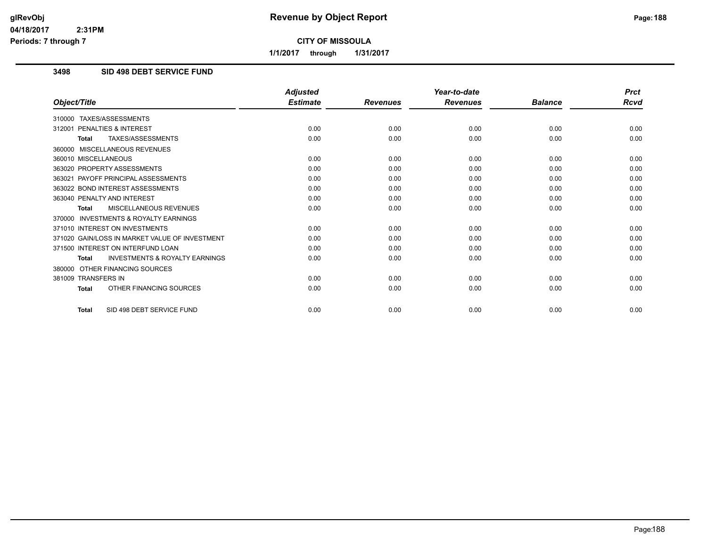**1/1/2017 through 1/31/2017**

## **3498 SID 498 DEBT SERVICE FUND**

|                                                     | <b>Adjusted</b> |                 | Year-to-date    |                | <b>Prct</b> |
|-----------------------------------------------------|-----------------|-----------------|-----------------|----------------|-------------|
| Object/Title                                        | <b>Estimate</b> | <b>Revenues</b> | <b>Revenues</b> | <b>Balance</b> | <b>Rcvd</b> |
| TAXES/ASSESSMENTS<br>310000                         |                 |                 |                 |                |             |
| 312001 PENALTIES & INTEREST                         | 0.00            | 0.00            | 0.00            | 0.00           | 0.00        |
| TAXES/ASSESSMENTS<br>Total                          | 0.00            | 0.00            | 0.00            | 0.00           | 0.00        |
| 360000 MISCELLANEOUS REVENUES                       |                 |                 |                 |                |             |
| 360010 MISCELLANEOUS                                | 0.00            | 0.00            | 0.00            | 0.00           | 0.00        |
| 363020 PROPERTY ASSESSMENTS                         | 0.00            | 0.00            | 0.00            | 0.00           | 0.00        |
| 363021 PAYOFF PRINCIPAL ASSESSMENTS                 | 0.00            | 0.00            | 0.00            | 0.00           | 0.00        |
| 363022 BOND INTEREST ASSESSMENTS                    | 0.00            | 0.00            | 0.00            | 0.00           | 0.00        |
| 363040 PENALTY AND INTEREST                         | 0.00            | 0.00            | 0.00            | 0.00           | 0.00        |
| MISCELLANEOUS REVENUES<br>Total                     | 0.00            | 0.00            | 0.00            | 0.00           | 0.00        |
| <b>INVESTMENTS &amp; ROYALTY EARNINGS</b><br>370000 |                 |                 |                 |                |             |
| 371010 INTEREST ON INVESTMENTS                      | 0.00            | 0.00            | 0.00            | 0.00           | 0.00        |
| 371020 GAIN/LOSS IN MARKET VALUE OF INVESTMENT      | 0.00            | 0.00            | 0.00            | 0.00           | 0.00        |
| 371500 INTEREST ON INTERFUND LOAN                   | 0.00            | 0.00            | 0.00            | 0.00           | 0.00        |
| <b>INVESTMENTS &amp; ROYALTY EARNINGS</b><br>Total  | 0.00            | 0.00            | 0.00            | 0.00           | 0.00        |
| OTHER FINANCING SOURCES<br>380000                   |                 |                 |                 |                |             |
| 381009 TRANSFERS IN                                 | 0.00            | 0.00            | 0.00            | 0.00           | 0.00        |
| OTHER FINANCING SOURCES<br><b>Total</b>             | 0.00            | 0.00            | 0.00            | 0.00           | 0.00        |
| SID 498 DEBT SERVICE FUND<br><b>Total</b>           | 0.00            | 0.00            | 0.00            | 0.00           | 0.00        |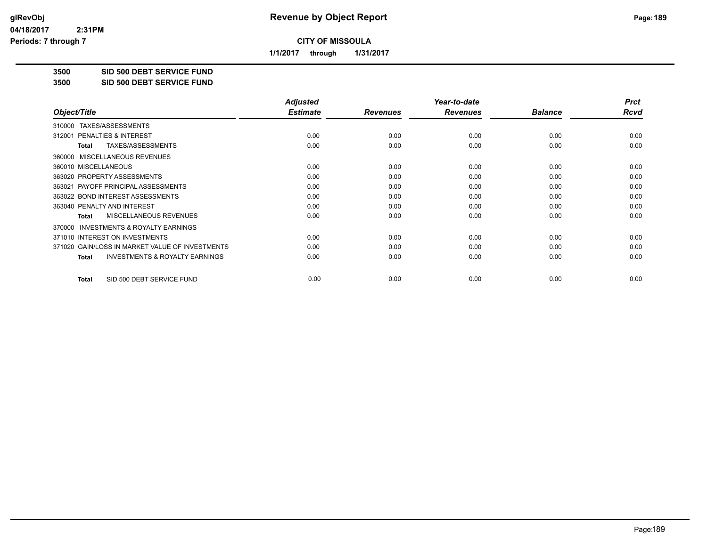**1/1/2017 through 1/31/2017**

**3500 SID 500 DEBT SERVICE FUND**

**3500 SID 500 DEBT SERVICE FUND**

|                                                    | <b>Adjusted</b> |                 | Year-to-date    |                | <b>Prct</b> |
|----------------------------------------------------|-----------------|-----------------|-----------------|----------------|-------------|
| Object/Title                                       | <b>Estimate</b> | <b>Revenues</b> | <b>Revenues</b> | <b>Balance</b> | Rcvd        |
| 310000 TAXES/ASSESSMENTS                           |                 |                 |                 |                |             |
| PENALTIES & INTEREST<br>312001                     | 0.00            | 0.00            | 0.00            | 0.00           | 0.00        |
| TAXES/ASSESSMENTS<br>Total                         | 0.00            | 0.00            | 0.00            | 0.00           | 0.00        |
| 360000 MISCELLANEOUS REVENUES                      |                 |                 |                 |                |             |
| 360010 MISCELLANEOUS                               | 0.00            | 0.00            | 0.00            | 0.00           | 0.00        |
| 363020 PROPERTY ASSESSMENTS                        | 0.00            | 0.00            | 0.00            | 0.00           | 0.00        |
| 363021 PAYOFF PRINCIPAL ASSESSMENTS                | 0.00            | 0.00            | 0.00            | 0.00           | 0.00        |
| 363022 BOND INTEREST ASSESSMENTS                   | 0.00            | 0.00            | 0.00            | 0.00           | 0.00        |
| 363040 PENALTY AND INTEREST                        | 0.00            | 0.00            | 0.00            | 0.00           | 0.00        |
| MISCELLANEOUS REVENUES<br>Total                    | 0.00            | 0.00            | 0.00            | 0.00           | 0.00        |
| 370000 INVESTMENTS & ROYALTY EARNINGS              |                 |                 |                 |                |             |
| 371010 INTEREST ON INVESTMENTS                     | 0.00            | 0.00            | 0.00            | 0.00           | 0.00        |
| 371020 GAIN/LOSS IN MARKET VALUE OF INVESTMENTS    | 0.00            | 0.00            | 0.00            | 0.00           | 0.00        |
| <b>INVESTMENTS &amp; ROYALTY EARNINGS</b><br>Total | 0.00            | 0.00            | 0.00            | 0.00           | 0.00        |
| SID 500 DEBT SERVICE FUND<br>Total                 | 0.00            | 0.00            | 0.00            | 0.00           | 0.00        |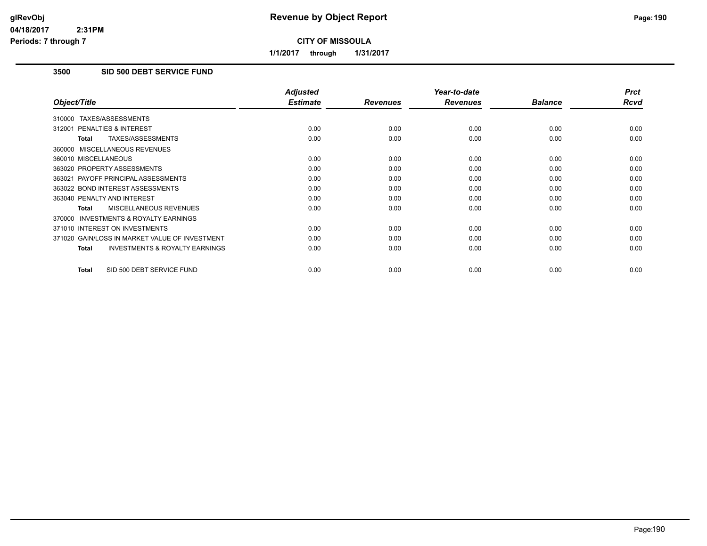**1/1/2017 through 1/31/2017**

### **3500 SID 500 DEBT SERVICE FUND**

|                                                           | <b>Adjusted</b> |                 | Year-to-date    |                | <b>Prct</b> |
|-----------------------------------------------------------|-----------------|-----------------|-----------------|----------------|-------------|
| Object/Title                                              | <b>Estimate</b> | <b>Revenues</b> | <b>Revenues</b> | <b>Balance</b> | <b>Rcvd</b> |
| 310000 TAXES/ASSESSMENTS                                  |                 |                 |                 |                |             |
| 312001 PENALTIES & INTEREST                               | 0.00            | 0.00            | 0.00            | 0.00           | 0.00        |
| TAXES/ASSESSMENTS<br><b>Total</b>                         | 0.00            | 0.00            | 0.00            | 0.00           | 0.00        |
| 360000 MISCELLANEOUS REVENUES                             |                 |                 |                 |                |             |
| 360010 MISCELLANEOUS                                      | 0.00            | 0.00            | 0.00            | 0.00           | 0.00        |
| 363020 PROPERTY ASSESSMENTS                               | 0.00            | 0.00            | 0.00            | 0.00           | 0.00        |
| 363021 PAYOFF PRINCIPAL ASSESSMENTS                       | 0.00            | 0.00            | 0.00            | 0.00           | 0.00        |
| 363022 BOND INTEREST ASSESSMENTS                          | 0.00            | 0.00            | 0.00            | 0.00           | 0.00        |
| 363040 PENALTY AND INTEREST                               | 0.00            | 0.00            | 0.00            | 0.00           | 0.00        |
| <b>MISCELLANEOUS REVENUES</b><br>Total                    | 0.00            | 0.00            | 0.00            | 0.00           | 0.00        |
| INVESTMENTS & ROYALTY EARNINGS<br>370000                  |                 |                 |                 |                |             |
| 371010 INTEREST ON INVESTMENTS                            | 0.00            | 0.00            | 0.00            | 0.00           | 0.00        |
| 371020 GAIN/LOSS IN MARKET VALUE OF INVESTMENT            | 0.00            | 0.00            | 0.00            | 0.00           | 0.00        |
| <b>INVESTMENTS &amp; ROYALTY EARNINGS</b><br><b>Total</b> | 0.00            | 0.00            | 0.00            | 0.00           | 0.00        |
| SID 500 DEBT SERVICE FUND<br><b>Total</b>                 | 0.00            | 0.00            | 0.00            | 0.00           | 0.00        |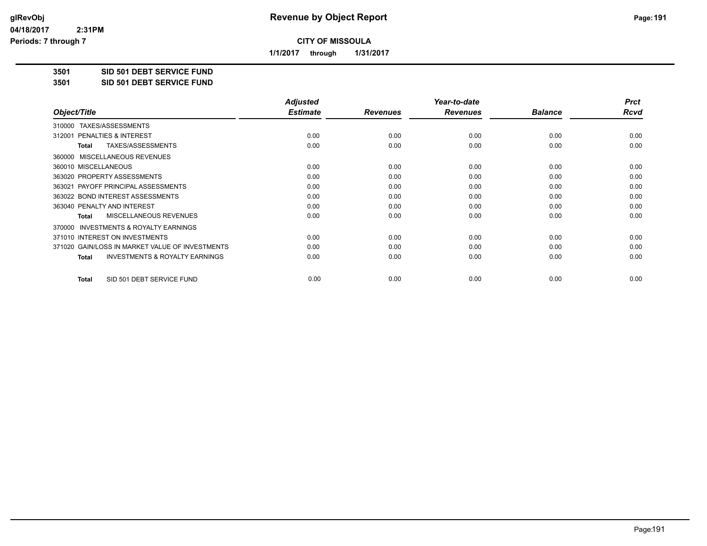**1/1/2017 through 1/31/2017**

**3501 SID 501 DEBT SERVICE FUND**

**3501 SID 501 DEBT SERVICE FUND**

|                                                     | <b>Adjusted</b> |                 | Year-to-date    |                | <b>Prct</b> |
|-----------------------------------------------------|-----------------|-----------------|-----------------|----------------|-------------|
| Object/Title                                        | <b>Estimate</b> | <b>Revenues</b> | <b>Revenues</b> | <b>Balance</b> | <b>Rcvd</b> |
| 310000 TAXES/ASSESSMENTS                            |                 |                 |                 |                |             |
| 312001 PENALTIES & INTEREST                         | 0.00            | 0.00            | 0.00            | 0.00           | 0.00        |
| TAXES/ASSESSMENTS<br>Total                          | 0.00            | 0.00            | 0.00            | 0.00           | 0.00        |
| 360000 MISCELLANEOUS REVENUES                       |                 |                 |                 |                |             |
| 360010 MISCELLANEOUS                                | 0.00            | 0.00            | 0.00            | 0.00           | 0.00        |
| 363020 PROPERTY ASSESSMENTS                         | 0.00            | 0.00            | 0.00            | 0.00           | 0.00        |
| 363021 PAYOFF PRINCIPAL ASSESSMENTS                 | 0.00            | 0.00            | 0.00            | 0.00           | 0.00        |
| 363022 BOND INTEREST ASSESSMENTS                    | 0.00            | 0.00            | 0.00            | 0.00           | 0.00        |
| 363040 PENALTY AND INTEREST                         | 0.00            | 0.00            | 0.00            | 0.00           | 0.00        |
| MISCELLANEOUS REVENUES<br>Total                     | 0.00            | 0.00            | 0.00            | 0.00           | 0.00        |
| <b>INVESTMENTS &amp; ROYALTY EARNINGS</b><br>370000 |                 |                 |                 |                |             |
| 371010 INTEREST ON INVESTMENTS                      | 0.00            | 0.00            | 0.00            | 0.00           | 0.00        |
| 371020 GAIN/LOSS IN MARKET VALUE OF INVESTMENTS     | 0.00            | 0.00            | 0.00            | 0.00           | 0.00        |
| <b>INVESTMENTS &amp; ROYALTY EARNINGS</b><br>Total  | 0.00            | 0.00            | 0.00            | 0.00           | 0.00        |
| SID 501 DEBT SERVICE FUND<br><b>Total</b>           | 0.00            | 0.00            | 0.00            | 0.00           | 0.00        |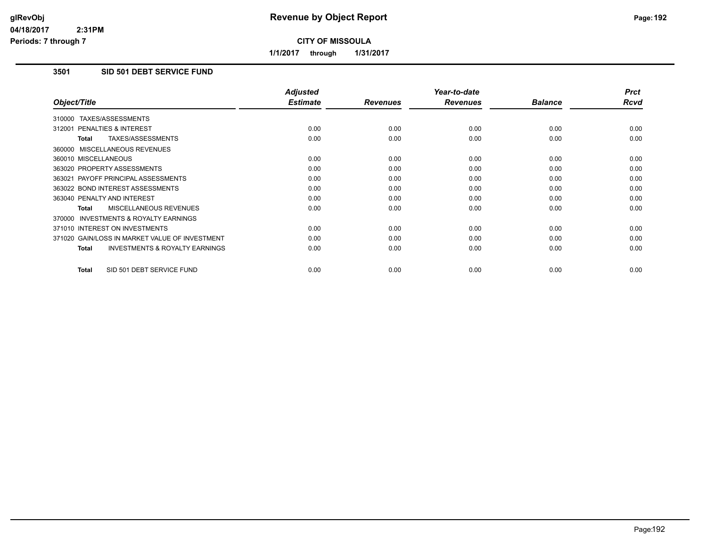**1/1/2017 through 1/31/2017**

## **3501 SID 501 DEBT SERVICE FUND**

|                                                           | <b>Adjusted</b> |                 | Year-to-date    |                | <b>Prct</b> |
|-----------------------------------------------------------|-----------------|-----------------|-----------------|----------------|-------------|
| Object/Title                                              | <b>Estimate</b> | <b>Revenues</b> | <b>Revenues</b> | <b>Balance</b> | Rcvd        |
| TAXES/ASSESSMENTS<br>310000                               |                 |                 |                 |                |             |
| 312001 PENALTIES & INTEREST                               | 0.00            | 0.00            | 0.00            | 0.00           | 0.00        |
| TAXES/ASSESSMENTS<br>Total                                | 0.00            | 0.00            | 0.00            | 0.00           | 0.00        |
| 360000 MISCELLANEOUS REVENUES                             |                 |                 |                 |                |             |
| 360010 MISCELLANEOUS                                      | 0.00            | 0.00            | 0.00            | 0.00           | 0.00        |
| 363020 PROPERTY ASSESSMENTS                               | 0.00            | 0.00            | 0.00            | 0.00           | 0.00        |
| 363021 PAYOFF PRINCIPAL ASSESSMENTS                       | 0.00            | 0.00            | 0.00            | 0.00           | 0.00        |
| 363022 BOND INTEREST ASSESSMENTS                          | 0.00            | 0.00            | 0.00            | 0.00           | 0.00        |
| 363040 PENALTY AND INTEREST                               | 0.00            | 0.00            | 0.00            | 0.00           | 0.00        |
| <b>MISCELLANEOUS REVENUES</b><br>Total                    | 0.00            | 0.00            | 0.00            | 0.00           | 0.00        |
| <b>INVESTMENTS &amp; ROYALTY EARNINGS</b><br>370000       |                 |                 |                 |                |             |
| 371010 INTEREST ON INVESTMENTS                            | 0.00            | 0.00            | 0.00            | 0.00           | 0.00        |
| 371020 GAIN/LOSS IN MARKET VALUE OF INVESTMENT            | 0.00            | 0.00            | 0.00            | 0.00           | 0.00        |
| <b>INVESTMENTS &amp; ROYALTY EARNINGS</b><br><b>Total</b> | 0.00            | 0.00            | 0.00            | 0.00           | 0.00        |
| SID 501 DEBT SERVICE FUND<br><b>Total</b>                 | 0.00            | 0.00            | 0.00            | 0.00           | 0.00        |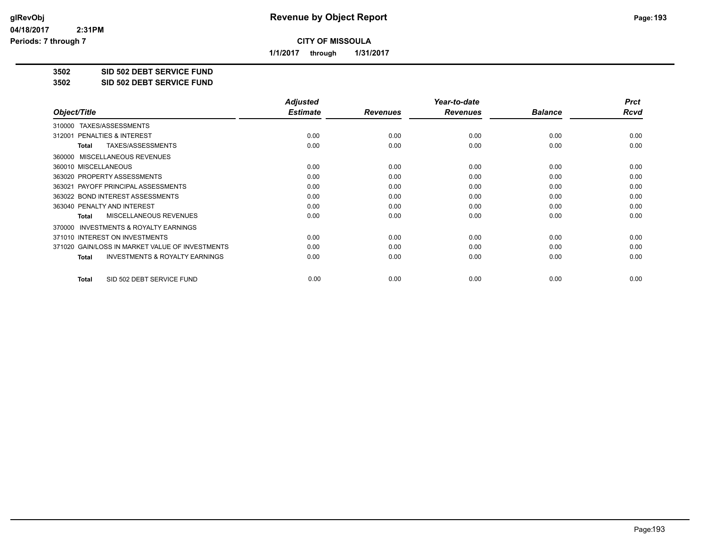**1/1/2017 through 1/31/2017**

**3502 SID 502 DEBT SERVICE FUND**

**3502 SID 502 DEBT SERVICE FUND**

|                                                           | <b>Adjusted</b> |                 | Year-to-date    |                | <b>Prct</b> |
|-----------------------------------------------------------|-----------------|-----------------|-----------------|----------------|-------------|
| Object/Title                                              | <b>Estimate</b> | <b>Revenues</b> | <b>Revenues</b> | <b>Balance</b> | Rcvd        |
| 310000 TAXES/ASSESSMENTS                                  |                 |                 |                 |                |             |
| 312001 PENALTIES & INTEREST                               | 0.00            | 0.00            | 0.00            | 0.00           | 0.00        |
| TAXES/ASSESSMENTS<br><b>Total</b>                         | 0.00            | 0.00            | 0.00            | 0.00           | 0.00        |
| 360000 MISCELLANEOUS REVENUES                             |                 |                 |                 |                |             |
| 360010 MISCELLANEOUS                                      | 0.00            | 0.00            | 0.00            | 0.00           | 0.00        |
| 363020 PROPERTY ASSESSMENTS                               | 0.00            | 0.00            | 0.00            | 0.00           | 0.00        |
| 363021 PAYOFF PRINCIPAL ASSESSMENTS                       | 0.00            | 0.00            | 0.00            | 0.00           | 0.00        |
| 363022 BOND INTEREST ASSESSMENTS                          | 0.00            | 0.00            | 0.00            | 0.00           | 0.00        |
| 363040 PENALTY AND INTEREST                               | 0.00            | 0.00            | 0.00            | 0.00           | 0.00        |
| MISCELLANEOUS REVENUES<br>Total                           | 0.00            | 0.00            | 0.00            | 0.00           | 0.00        |
| <b>INVESTMENTS &amp; ROYALTY EARNINGS</b><br>370000       |                 |                 |                 |                |             |
| 371010 INTEREST ON INVESTMENTS                            | 0.00            | 0.00            | 0.00            | 0.00           | 0.00        |
| 371020 GAIN/LOSS IN MARKET VALUE OF INVESTMENTS           | 0.00            | 0.00            | 0.00            | 0.00           | 0.00        |
| <b>INVESTMENTS &amp; ROYALTY EARNINGS</b><br><b>Total</b> | 0.00            | 0.00            | 0.00            | 0.00           | 0.00        |
| SID 502 DEBT SERVICE FUND<br><b>Total</b>                 | 0.00            | 0.00            | 0.00            | 0.00           | 0.00        |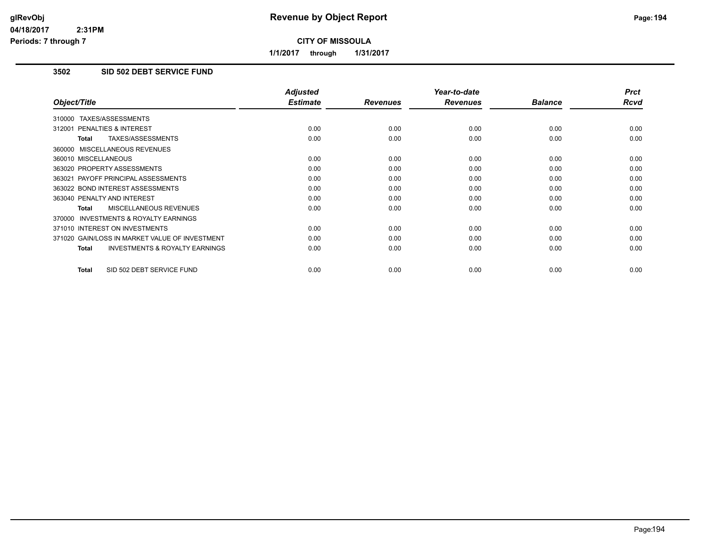**1/1/2017 through 1/31/2017**

## **3502 SID 502 DEBT SERVICE FUND**

|                                                           | <b>Adjusted</b> |                 | Year-to-date    |                | <b>Prct</b> |
|-----------------------------------------------------------|-----------------|-----------------|-----------------|----------------|-------------|
| Object/Title                                              | <b>Estimate</b> | <b>Revenues</b> | <b>Revenues</b> | <b>Balance</b> | <b>Rcvd</b> |
| 310000 TAXES/ASSESSMENTS                                  |                 |                 |                 |                |             |
| 312001 PENALTIES & INTEREST                               | 0.00            | 0.00            | 0.00            | 0.00           | 0.00        |
| TAXES/ASSESSMENTS<br><b>Total</b>                         | 0.00            | 0.00            | 0.00            | 0.00           | 0.00        |
| 360000 MISCELLANEOUS REVENUES                             |                 |                 |                 |                |             |
| 360010 MISCELLANEOUS                                      | 0.00            | 0.00            | 0.00            | 0.00           | 0.00        |
| 363020 PROPERTY ASSESSMENTS                               | 0.00            | 0.00            | 0.00            | 0.00           | 0.00        |
| 363021 PAYOFF PRINCIPAL ASSESSMENTS                       | 0.00            | 0.00            | 0.00            | 0.00           | 0.00        |
| 363022 BOND INTEREST ASSESSMENTS                          | 0.00            | 0.00            | 0.00            | 0.00           | 0.00        |
| 363040 PENALTY AND INTEREST                               | 0.00            | 0.00            | 0.00            | 0.00           | 0.00        |
| <b>MISCELLANEOUS REVENUES</b><br>Total                    | 0.00            | 0.00            | 0.00            | 0.00           | 0.00        |
| INVESTMENTS & ROYALTY EARNINGS<br>370000                  |                 |                 |                 |                |             |
| 371010 INTEREST ON INVESTMENTS                            | 0.00            | 0.00            | 0.00            | 0.00           | 0.00        |
| 371020 GAIN/LOSS IN MARKET VALUE OF INVESTMENT            | 0.00            | 0.00            | 0.00            | 0.00           | 0.00        |
| <b>INVESTMENTS &amp; ROYALTY EARNINGS</b><br><b>Total</b> | 0.00            | 0.00            | 0.00            | 0.00           | 0.00        |
| SID 502 DEBT SERVICE FUND<br><b>Total</b>                 | 0.00            | 0.00            | 0.00            | 0.00           | 0.00        |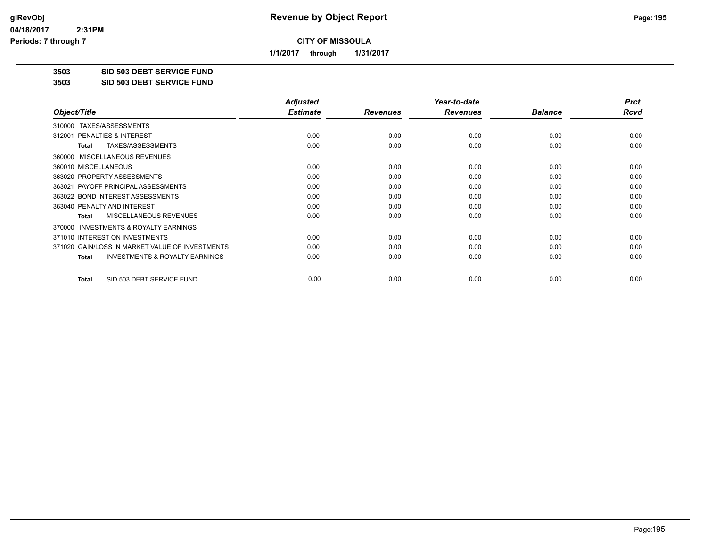**1/1/2017 through 1/31/2017**

**3503 SID 503 DEBT SERVICE FUND**

**3503 SID 503 DEBT SERVICE FUND**

|                                                           | <b>Adjusted</b> |                 | Year-to-date    |                | <b>Prct</b> |
|-----------------------------------------------------------|-----------------|-----------------|-----------------|----------------|-------------|
| Object/Title                                              | <b>Estimate</b> | <b>Revenues</b> | <b>Revenues</b> | <b>Balance</b> | Rcvd        |
| 310000 TAXES/ASSESSMENTS                                  |                 |                 |                 |                |             |
| 312001 PENALTIES & INTEREST                               | 0.00            | 0.00            | 0.00            | 0.00           | 0.00        |
| TAXES/ASSESSMENTS<br><b>Total</b>                         | 0.00            | 0.00            | 0.00            | 0.00           | 0.00        |
| 360000 MISCELLANEOUS REVENUES                             |                 |                 |                 |                |             |
| 360010 MISCELLANEOUS                                      | 0.00            | 0.00            | 0.00            | 0.00           | 0.00        |
| 363020 PROPERTY ASSESSMENTS                               | 0.00            | 0.00            | 0.00            | 0.00           | 0.00        |
| 363021 PAYOFF PRINCIPAL ASSESSMENTS                       | 0.00            | 0.00            | 0.00            | 0.00           | 0.00        |
| 363022 BOND INTEREST ASSESSMENTS                          | 0.00            | 0.00            | 0.00            | 0.00           | 0.00        |
| 363040 PENALTY AND INTEREST                               | 0.00            | 0.00            | 0.00            | 0.00           | 0.00        |
| MISCELLANEOUS REVENUES<br>Total                           | 0.00            | 0.00            | 0.00            | 0.00           | 0.00        |
| <b>INVESTMENTS &amp; ROYALTY EARNINGS</b><br>370000       |                 |                 |                 |                |             |
| 371010 INTEREST ON INVESTMENTS                            | 0.00            | 0.00            | 0.00            | 0.00           | 0.00        |
| 371020 GAIN/LOSS IN MARKET VALUE OF INVESTMENTS           | 0.00            | 0.00            | 0.00            | 0.00           | 0.00        |
| <b>INVESTMENTS &amp; ROYALTY EARNINGS</b><br><b>Total</b> | 0.00            | 0.00            | 0.00            | 0.00           | 0.00        |
| SID 503 DEBT SERVICE FUND<br><b>Total</b>                 | 0.00            | 0.00            | 0.00            | 0.00           | 0.00        |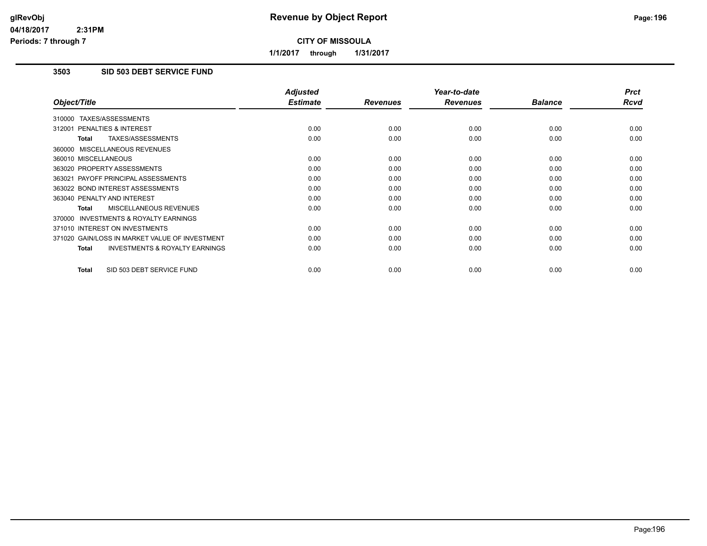**1/1/2017 through 1/31/2017**

## **3503 SID 503 DEBT SERVICE FUND**

|                                                           | <b>Adjusted</b> |                 | Year-to-date    |                | <b>Prct</b> |
|-----------------------------------------------------------|-----------------|-----------------|-----------------|----------------|-------------|
| Object/Title                                              | <b>Estimate</b> | <b>Revenues</b> | <b>Revenues</b> | <b>Balance</b> | <b>Rcvd</b> |
| 310000 TAXES/ASSESSMENTS                                  |                 |                 |                 |                |             |
| 312001 PENALTIES & INTEREST                               | 0.00            | 0.00            | 0.00            | 0.00           | 0.00        |
| TAXES/ASSESSMENTS<br>Total                                | 0.00            | 0.00            | 0.00            | 0.00           | 0.00        |
| 360000 MISCELLANEOUS REVENUES                             |                 |                 |                 |                |             |
| 360010 MISCELLANEOUS                                      | 0.00            | 0.00            | 0.00            | 0.00           | 0.00        |
| 363020 PROPERTY ASSESSMENTS                               | 0.00            | 0.00            | 0.00            | 0.00           | 0.00        |
| 363021 PAYOFF PRINCIPAL ASSESSMENTS                       | 0.00            | 0.00            | 0.00            | 0.00           | 0.00        |
| 363022 BOND INTEREST ASSESSMENTS                          | 0.00            | 0.00            | 0.00            | 0.00           | 0.00        |
| 363040 PENALTY AND INTEREST                               | 0.00            | 0.00            | 0.00            | 0.00           | 0.00        |
| <b>MISCELLANEOUS REVENUES</b><br>Total                    | 0.00            | 0.00            | 0.00            | 0.00           | 0.00        |
| INVESTMENTS & ROYALTY EARNINGS<br>370000                  |                 |                 |                 |                |             |
| 371010 INTEREST ON INVESTMENTS                            | 0.00            | 0.00            | 0.00            | 0.00           | 0.00        |
| 371020 GAIN/LOSS IN MARKET VALUE OF INVESTMENT            | 0.00            | 0.00            | 0.00            | 0.00           | 0.00        |
| <b>INVESTMENTS &amp; ROYALTY EARNINGS</b><br><b>Total</b> | 0.00            | 0.00            | 0.00            | 0.00           | 0.00        |
| SID 503 DEBT SERVICE FUND<br><b>Total</b>                 | 0.00            | 0.00            | 0.00            | 0.00           | 0.00        |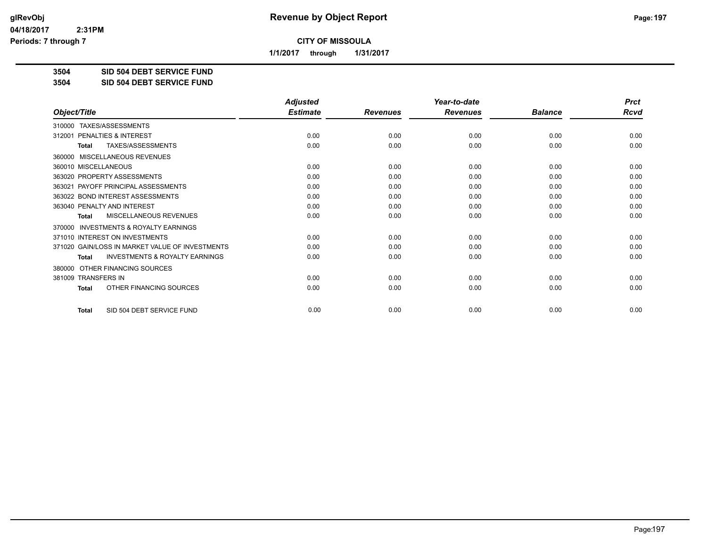**1/1/2017 through 1/31/2017**

**3504 SID 504 DEBT SERVICE FUND**

**3504 SID 504 DEBT SERVICE FUND**

|                                                     | <b>Adjusted</b> |                 | Year-to-date    |                | <b>Prct</b> |
|-----------------------------------------------------|-----------------|-----------------|-----------------|----------------|-------------|
| Object/Title                                        | <b>Estimate</b> | <b>Revenues</b> | <b>Revenues</b> | <b>Balance</b> | Rcvd        |
| TAXES/ASSESSMENTS<br>310000                         |                 |                 |                 |                |             |
| 312001 PENALTIES & INTEREST                         | 0.00            | 0.00            | 0.00            | 0.00           | 0.00        |
| TAXES/ASSESSMENTS<br><b>Total</b>                   | 0.00            | 0.00            | 0.00            | 0.00           | 0.00        |
| 360000 MISCELLANEOUS REVENUES                       |                 |                 |                 |                |             |
| 360010 MISCELLANEOUS                                | 0.00            | 0.00            | 0.00            | 0.00           | 0.00        |
| 363020 PROPERTY ASSESSMENTS                         | 0.00            | 0.00            | 0.00            | 0.00           | 0.00        |
| 363021 PAYOFF PRINCIPAL ASSESSMENTS                 | 0.00            | 0.00            | 0.00            | 0.00           | 0.00        |
| 363022 BOND INTEREST ASSESSMENTS                    | 0.00            | 0.00            | 0.00            | 0.00           | 0.00        |
| 363040 PENALTY AND INTEREST                         | 0.00            | 0.00            | 0.00            | 0.00           | 0.00        |
| MISCELLANEOUS REVENUES<br>Total                     | 0.00            | 0.00            | 0.00            | 0.00           | 0.00        |
| <b>INVESTMENTS &amp; ROYALTY EARNINGS</b><br>370000 |                 |                 |                 |                |             |
| 371010 INTEREST ON INVESTMENTS                      | 0.00            | 0.00            | 0.00            | 0.00           | 0.00        |
| 371020 GAIN/LOSS IN MARKET VALUE OF INVESTMENTS     | 0.00            | 0.00            | 0.00            | 0.00           | 0.00        |
| <b>INVESTMENTS &amp; ROYALTY EARNINGS</b><br>Total  | 0.00            | 0.00            | 0.00            | 0.00           | 0.00        |
| OTHER FINANCING SOURCES<br>380000                   |                 |                 |                 |                |             |
| 381009 TRANSFERS IN                                 | 0.00            | 0.00            | 0.00            | 0.00           | 0.00        |
| OTHER FINANCING SOURCES<br>Total                    | 0.00            | 0.00            | 0.00            | 0.00           | 0.00        |
| SID 504 DEBT SERVICE FUND<br>Total                  | 0.00            | 0.00            | 0.00            | 0.00           | 0.00        |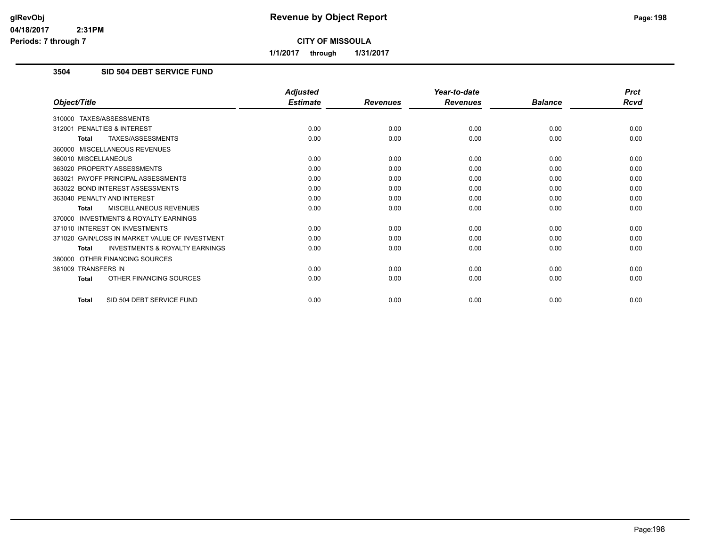**1/1/2017 through 1/31/2017**

## **3504 SID 504 DEBT SERVICE FUND**

|                                                     | <b>Adjusted</b> |                 | Year-to-date    |                | <b>Prct</b> |
|-----------------------------------------------------|-----------------|-----------------|-----------------|----------------|-------------|
| Object/Title                                        | <b>Estimate</b> | <b>Revenues</b> | <b>Revenues</b> | <b>Balance</b> | Rcvd        |
| 310000 TAXES/ASSESSMENTS                            |                 |                 |                 |                |             |
| 312001 PENALTIES & INTEREST                         | 0.00            | 0.00            | 0.00            | 0.00           | 0.00        |
| TAXES/ASSESSMENTS<br><b>Total</b>                   | 0.00            | 0.00            | 0.00            | 0.00           | 0.00        |
| 360000 MISCELLANEOUS REVENUES                       |                 |                 |                 |                |             |
| 360010 MISCELLANEOUS                                | 0.00            | 0.00            | 0.00            | 0.00           | 0.00        |
| 363020 PROPERTY ASSESSMENTS                         | 0.00            | 0.00            | 0.00            | 0.00           | 0.00        |
| 363021 PAYOFF PRINCIPAL ASSESSMENTS                 | 0.00            | 0.00            | 0.00            | 0.00           | 0.00        |
| 363022 BOND INTEREST ASSESSMENTS                    | 0.00            | 0.00            | 0.00            | 0.00           | 0.00        |
| 363040 PENALTY AND INTEREST                         | 0.00            | 0.00            | 0.00            | 0.00           | 0.00        |
| MISCELLANEOUS REVENUES<br>Total                     | 0.00            | 0.00            | 0.00            | 0.00           | 0.00        |
| <b>INVESTMENTS &amp; ROYALTY EARNINGS</b><br>370000 |                 |                 |                 |                |             |
| 371010 INTEREST ON INVESTMENTS                      | 0.00            | 0.00            | 0.00            | 0.00           | 0.00        |
| 371020 GAIN/LOSS IN MARKET VALUE OF INVESTMENT      | 0.00            | 0.00            | 0.00            | 0.00           | 0.00        |
| <b>INVESTMENTS &amp; ROYALTY EARNINGS</b><br>Total  | 0.00            | 0.00            | 0.00            | 0.00           | 0.00        |
| OTHER FINANCING SOURCES<br>380000                   |                 |                 |                 |                |             |
| 381009 TRANSFERS IN                                 | 0.00            | 0.00            | 0.00            | 0.00           | 0.00        |
| OTHER FINANCING SOURCES<br><b>Total</b>             | 0.00            | 0.00            | 0.00            | 0.00           | 0.00        |
| SID 504 DEBT SERVICE FUND<br><b>Total</b>           | 0.00            | 0.00            | 0.00            | 0.00           | 0.00        |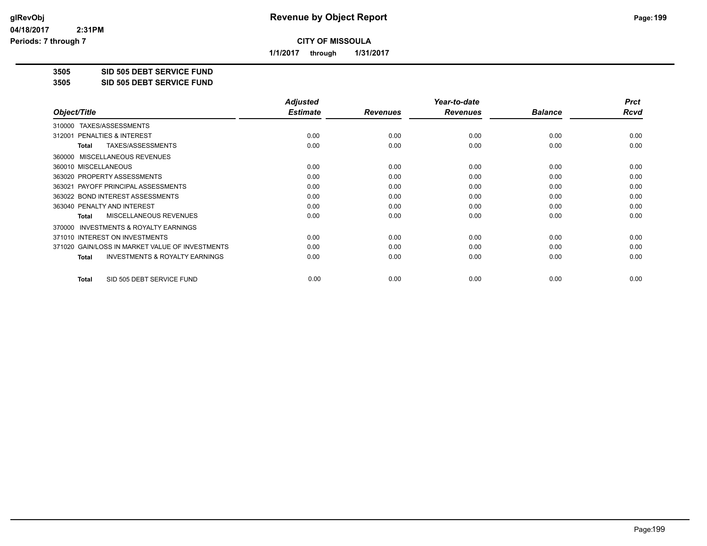**1/1/2017 through 1/31/2017**

**3505 SID 505 DEBT SERVICE FUND**

**3505 SID 505 DEBT SERVICE FUND**

|                                                     | <b>Adjusted</b> |                 | Year-to-date    |                | <b>Prct</b> |
|-----------------------------------------------------|-----------------|-----------------|-----------------|----------------|-------------|
| Object/Title                                        | <b>Estimate</b> | <b>Revenues</b> | <b>Revenues</b> | <b>Balance</b> | Rcvd        |
| TAXES/ASSESSMENTS<br>310000                         |                 |                 |                 |                |             |
| 312001 PENALTIES & INTEREST                         | 0.00            | 0.00            | 0.00            | 0.00           | 0.00        |
| TAXES/ASSESSMENTS<br>Total                          | 0.00            | 0.00            | 0.00            | 0.00           | 0.00        |
| 360000 MISCELLANEOUS REVENUES                       |                 |                 |                 |                |             |
| 360010 MISCELLANEOUS                                | 0.00            | 0.00            | 0.00            | 0.00           | 0.00        |
| 363020 PROPERTY ASSESSMENTS                         | 0.00            | 0.00            | 0.00            | 0.00           | 0.00        |
| 363021 PAYOFF PRINCIPAL ASSESSMENTS                 | 0.00            | 0.00            | 0.00            | 0.00           | 0.00        |
| 363022 BOND INTEREST ASSESSMENTS                    | 0.00            | 0.00            | 0.00            | 0.00           | 0.00        |
| 363040 PENALTY AND INTEREST                         | 0.00            | 0.00            | 0.00            | 0.00           | 0.00        |
| MISCELLANEOUS REVENUES<br>Total                     | 0.00            | 0.00            | 0.00            | 0.00           | 0.00        |
| <b>INVESTMENTS &amp; ROYALTY EARNINGS</b><br>370000 |                 |                 |                 |                |             |
| 371010 INTEREST ON INVESTMENTS                      | 0.00            | 0.00            | 0.00            | 0.00           | 0.00        |
| 371020 GAIN/LOSS IN MARKET VALUE OF INVESTMENTS     | 0.00            | 0.00            | 0.00            | 0.00           | 0.00        |
| <b>INVESTMENTS &amp; ROYALTY EARNINGS</b><br>Total  | 0.00            | 0.00            | 0.00            | 0.00           | 0.00        |
| SID 505 DEBT SERVICE FUND<br>Total                  | 0.00            | 0.00            | 0.00            | 0.00           | 0.00        |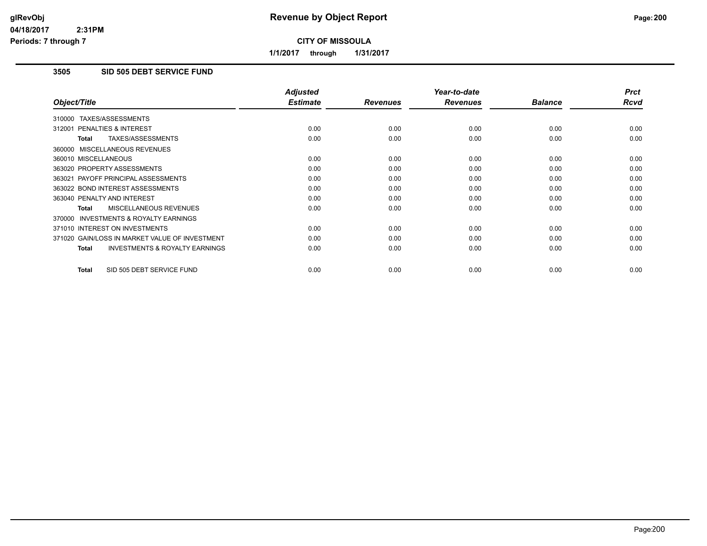**1/1/2017 through 1/31/2017**

## **3505 SID 505 DEBT SERVICE FUND**

|                                                           | <b>Adjusted</b> |                 | Year-to-date    |                | <b>Prct</b> |
|-----------------------------------------------------------|-----------------|-----------------|-----------------|----------------|-------------|
| Object/Title                                              | <b>Estimate</b> | <b>Revenues</b> | <b>Revenues</b> | <b>Balance</b> | Rcvd        |
| TAXES/ASSESSMENTS<br>310000                               |                 |                 |                 |                |             |
| 312001 PENALTIES & INTEREST                               | 0.00            | 0.00            | 0.00            | 0.00           | 0.00        |
| TAXES/ASSESSMENTS<br>Total                                | 0.00            | 0.00            | 0.00            | 0.00           | 0.00        |
| 360000 MISCELLANEOUS REVENUES                             |                 |                 |                 |                |             |
| 360010 MISCELLANEOUS                                      | 0.00            | 0.00            | 0.00            | 0.00           | 0.00        |
| 363020 PROPERTY ASSESSMENTS                               | 0.00            | 0.00            | 0.00            | 0.00           | 0.00        |
| 363021 PAYOFF PRINCIPAL ASSESSMENTS                       | 0.00            | 0.00            | 0.00            | 0.00           | 0.00        |
| 363022 BOND INTEREST ASSESSMENTS                          | 0.00            | 0.00            | 0.00            | 0.00           | 0.00        |
| 363040 PENALTY AND INTEREST                               | 0.00            | 0.00            | 0.00            | 0.00           | 0.00        |
| <b>MISCELLANEOUS REVENUES</b><br>Total                    | 0.00            | 0.00            | 0.00            | 0.00           | 0.00        |
| <b>INVESTMENTS &amp; ROYALTY EARNINGS</b><br>370000       |                 |                 |                 |                |             |
| 371010 INTEREST ON INVESTMENTS                            | 0.00            | 0.00            | 0.00            | 0.00           | 0.00        |
| 371020 GAIN/LOSS IN MARKET VALUE OF INVESTMENT            | 0.00            | 0.00            | 0.00            | 0.00           | 0.00        |
| <b>INVESTMENTS &amp; ROYALTY EARNINGS</b><br><b>Total</b> | 0.00            | 0.00            | 0.00            | 0.00           | 0.00        |
| SID 505 DEBT SERVICE FUND<br><b>Total</b>                 | 0.00            | 0.00            | 0.00            | 0.00           | 0.00        |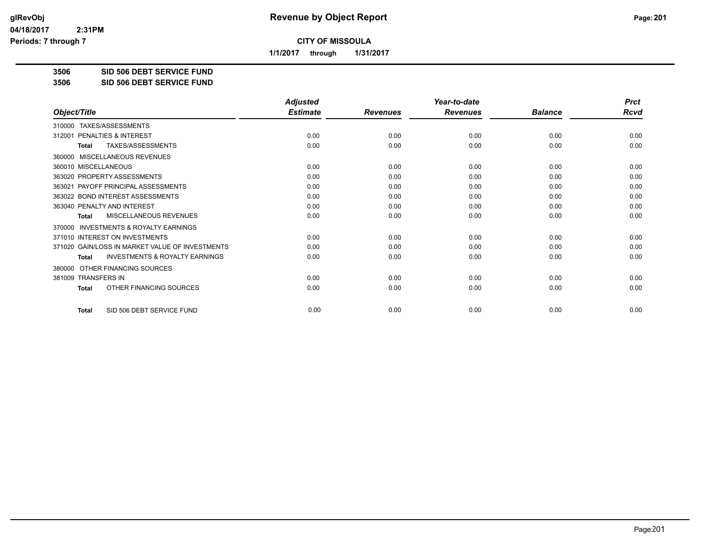**1/1/2017 through 1/31/2017**

**3506 SID 506 DEBT SERVICE FUND**

**3506 SID 506 DEBT SERVICE FUND**

|                                                     | <b>Adjusted</b> |                 | Year-to-date    |                | <b>Prct</b> |
|-----------------------------------------------------|-----------------|-----------------|-----------------|----------------|-------------|
| Object/Title                                        | <b>Estimate</b> | <b>Revenues</b> | <b>Revenues</b> | <b>Balance</b> | Rcvd        |
| TAXES/ASSESSMENTS<br>310000                         |                 |                 |                 |                |             |
| 312001 PENALTIES & INTEREST                         | 0.00            | 0.00            | 0.00            | 0.00           | 0.00        |
| TAXES/ASSESSMENTS<br><b>Total</b>                   | 0.00            | 0.00            | 0.00            | 0.00           | 0.00        |
| 360000 MISCELLANEOUS REVENUES                       |                 |                 |                 |                |             |
| 360010 MISCELLANEOUS                                | 0.00            | 0.00            | 0.00            | 0.00           | 0.00        |
| 363020 PROPERTY ASSESSMENTS                         | 0.00            | 0.00            | 0.00            | 0.00           | 0.00        |
| 363021 PAYOFF PRINCIPAL ASSESSMENTS                 | 0.00            | 0.00            | 0.00            | 0.00           | 0.00        |
| 363022 BOND INTEREST ASSESSMENTS                    | 0.00            | 0.00            | 0.00            | 0.00           | 0.00        |
| 363040 PENALTY AND INTEREST                         | 0.00            | 0.00            | 0.00            | 0.00           | 0.00        |
| MISCELLANEOUS REVENUES<br>Total                     | 0.00            | 0.00            | 0.00            | 0.00           | 0.00        |
| <b>INVESTMENTS &amp; ROYALTY EARNINGS</b><br>370000 |                 |                 |                 |                |             |
| 371010 INTEREST ON INVESTMENTS                      | 0.00            | 0.00            | 0.00            | 0.00           | 0.00        |
| 371020 GAIN/LOSS IN MARKET VALUE OF INVESTMENTS     | 0.00            | 0.00            | 0.00            | 0.00           | 0.00        |
| <b>INVESTMENTS &amp; ROYALTY EARNINGS</b><br>Total  | 0.00            | 0.00            | 0.00            | 0.00           | 0.00        |
| OTHER FINANCING SOURCES<br>380000                   |                 |                 |                 |                |             |
| 381009 TRANSFERS IN                                 | 0.00            | 0.00            | 0.00            | 0.00           | 0.00        |
| OTHER FINANCING SOURCES<br>Total                    | 0.00            | 0.00            | 0.00            | 0.00           | 0.00        |
| SID 506 DEBT SERVICE FUND<br>Total                  | 0.00            | 0.00            | 0.00            | 0.00           | 0.00        |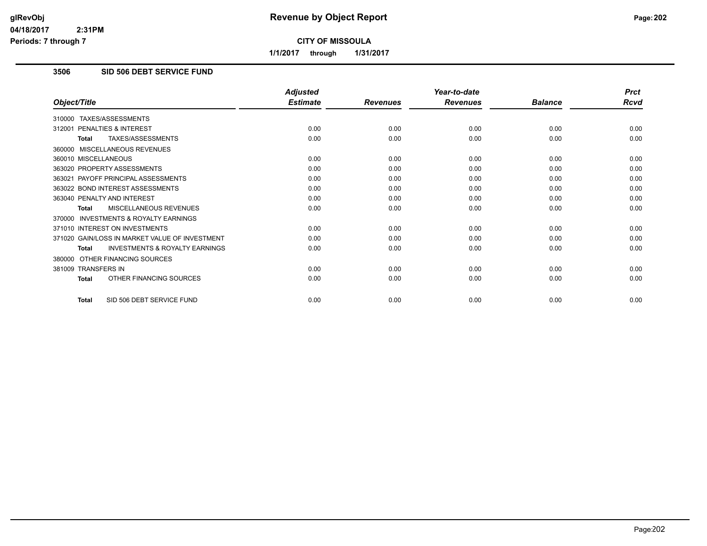**1/1/2017 through 1/31/2017**

### **3506 SID 506 DEBT SERVICE FUND**

|                                                           | <b>Adjusted</b> |                 | Year-to-date    |                | <b>Prct</b> |
|-----------------------------------------------------------|-----------------|-----------------|-----------------|----------------|-------------|
| Object/Title                                              | <b>Estimate</b> | <b>Revenues</b> | <b>Revenues</b> | <b>Balance</b> | <b>Rcvd</b> |
| 310000 TAXES/ASSESSMENTS                                  |                 |                 |                 |                |             |
| 312001 PENALTIES & INTEREST                               | 0.00            | 0.00            | 0.00            | 0.00           | 0.00        |
| TAXES/ASSESSMENTS<br><b>Total</b>                         | 0.00            | 0.00            | 0.00            | 0.00           | 0.00        |
| 360000 MISCELLANEOUS REVENUES                             |                 |                 |                 |                |             |
| 360010 MISCELLANEOUS                                      | 0.00            | 0.00            | 0.00            | 0.00           | 0.00        |
| 363020 PROPERTY ASSESSMENTS                               | 0.00            | 0.00            | 0.00            | 0.00           | 0.00        |
| 363021 PAYOFF PRINCIPAL ASSESSMENTS                       | 0.00            | 0.00            | 0.00            | 0.00           | 0.00        |
| 363022 BOND INTEREST ASSESSMENTS                          | 0.00            | 0.00            | 0.00            | 0.00           | 0.00        |
| 363040 PENALTY AND INTEREST                               | 0.00            | 0.00            | 0.00            | 0.00           | 0.00        |
| MISCELLANEOUS REVENUES<br>Total                           | 0.00            | 0.00            | 0.00            | 0.00           | 0.00        |
| <b>INVESTMENTS &amp; ROYALTY EARNINGS</b><br>370000       |                 |                 |                 |                |             |
| 371010 INTEREST ON INVESTMENTS                            | 0.00            | 0.00            | 0.00            | 0.00           | 0.00        |
| 371020 GAIN/LOSS IN MARKET VALUE OF INVESTMENT            | 0.00            | 0.00            | 0.00            | 0.00           | 0.00        |
| <b>INVESTMENTS &amp; ROYALTY EARNINGS</b><br><b>Total</b> | 0.00            | 0.00            | 0.00            | 0.00           | 0.00        |
| OTHER FINANCING SOURCES<br>380000                         |                 |                 |                 |                |             |
| 381009 TRANSFERS IN                                       | 0.00            | 0.00            | 0.00            | 0.00           | 0.00        |
| OTHER FINANCING SOURCES<br>Total                          | 0.00            | 0.00            | 0.00            | 0.00           | 0.00        |
| SID 506 DEBT SERVICE FUND<br><b>Total</b>                 | 0.00            | 0.00            | 0.00            | 0.00           | 0.00        |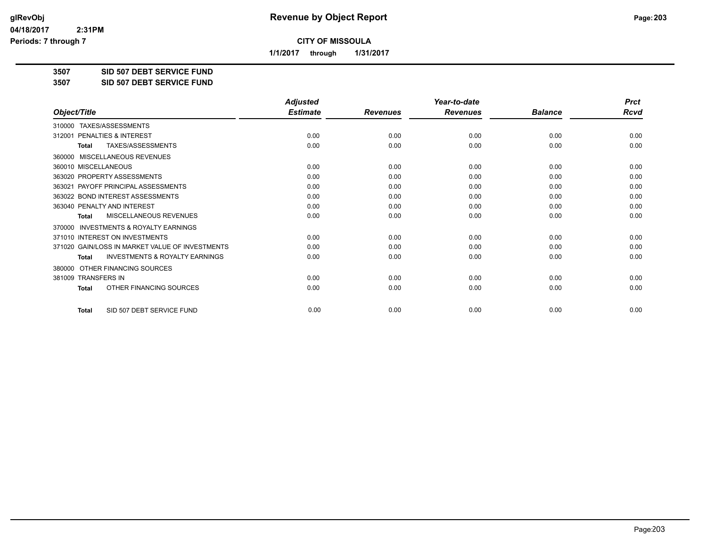**1/1/2017 through 1/31/2017**

**3507 SID 507 DEBT SERVICE FUND**

**3507 SID 507 DEBT SERVICE FUND**

|                                                     | <b>Adjusted</b> |                 | Year-to-date    |                | <b>Prct</b> |
|-----------------------------------------------------|-----------------|-----------------|-----------------|----------------|-------------|
| Object/Title                                        | <b>Estimate</b> | <b>Revenues</b> | <b>Revenues</b> | <b>Balance</b> | <b>Rcvd</b> |
| TAXES/ASSESSMENTS<br>310000                         |                 |                 |                 |                |             |
| PENALTIES & INTEREST<br>312001                      | 0.00            | 0.00            | 0.00            | 0.00           | 0.00        |
| TAXES/ASSESSMENTS<br><b>Total</b>                   | 0.00            | 0.00            | 0.00            | 0.00           | 0.00        |
| 360000 MISCELLANEOUS REVENUES                       |                 |                 |                 |                |             |
| 360010 MISCELLANEOUS                                | 0.00            | 0.00            | 0.00            | 0.00           | 0.00        |
| 363020 PROPERTY ASSESSMENTS                         | 0.00            | 0.00            | 0.00            | 0.00           | 0.00        |
| 363021 PAYOFF PRINCIPAL ASSESSMENTS                 | 0.00            | 0.00            | 0.00            | 0.00           | 0.00        |
| 363022 BOND INTEREST ASSESSMENTS                    | 0.00            | 0.00            | 0.00            | 0.00           | 0.00        |
| 363040 PENALTY AND INTEREST                         | 0.00            | 0.00            | 0.00            | 0.00           | 0.00        |
| MISCELLANEOUS REVENUES<br>Total                     | 0.00            | 0.00            | 0.00            | 0.00           | 0.00        |
| <b>INVESTMENTS &amp; ROYALTY EARNINGS</b><br>370000 |                 |                 |                 |                |             |
| 371010 INTEREST ON INVESTMENTS                      | 0.00            | 0.00            | 0.00            | 0.00           | 0.00        |
| 371020 GAIN/LOSS IN MARKET VALUE OF INVESTMENTS     | 0.00            | 0.00            | 0.00            | 0.00           | 0.00        |
| <b>INVESTMENTS &amp; ROYALTY EARNINGS</b><br>Total  | 0.00            | 0.00            | 0.00            | 0.00           | 0.00        |
| OTHER FINANCING SOURCES<br>380000                   |                 |                 |                 |                |             |
| 381009 TRANSFERS IN                                 | 0.00            | 0.00            | 0.00            | 0.00           | 0.00        |
| OTHER FINANCING SOURCES<br>Total                    | 0.00            | 0.00            | 0.00            | 0.00           | 0.00        |
| SID 507 DEBT SERVICE FUND<br><b>Total</b>           | 0.00            | 0.00            | 0.00            | 0.00           | 0.00        |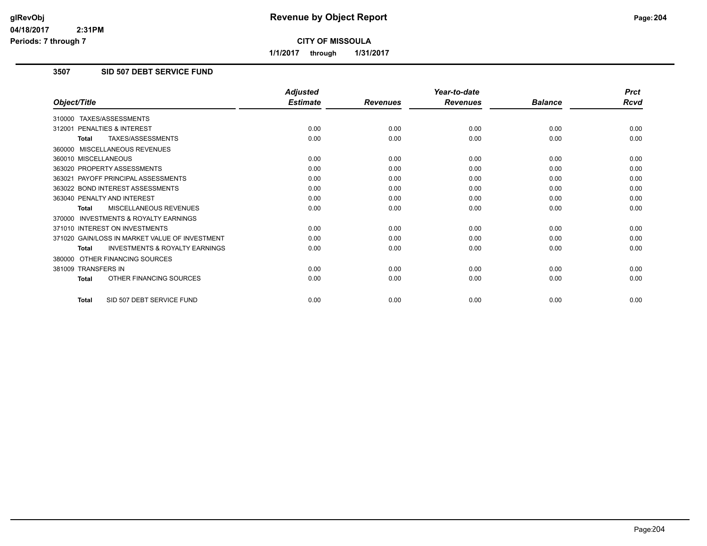**1/1/2017 through 1/31/2017**

## **3507 SID 507 DEBT SERVICE FUND**

|                                                           | <b>Adjusted</b> |                 | Year-to-date    |                | <b>Prct</b> |
|-----------------------------------------------------------|-----------------|-----------------|-----------------|----------------|-------------|
| Object/Title                                              | <b>Estimate</b> | <b>Revenues</b> | <b>Revenues</b> | <b>Balance</b> | <b>Rcvd</b> |
| 310000 TAXES/ASSESSMENTS                                  |                 |                 |                 |                |             |
| PENALTIES & INTEREST<br>312001                            | 0.00            | 0.00            | 0.00            | 0.00           | 0.00        |
| TAXES/ASSESSMENTS<br><b>Total</b>                         | 0.00            | 0.00            | 0.00            | 0.00           | 0.00        |
| 360000 MISCELLANEOUS REVENUES                             |                 |                 |                 |                |             |
| 360010 MISCELLANEOUS                                      | 0.00            | 0.00            | 0.00            | 0.00           | 0.00        |
| 363020 PROPERTY ASSESSMENTS                               | 0.00            | 0.00            | 0.00            | 0.00           | 0.00        |
| 363021 PAYOFF PRINCIPAL ASSESSMENTS                       | 0.00            | 0.00            | 0.00            | 0.00           | 0.00        |
| 363022 BOND INTEREST ASSESSMENTS                          | 0.00            | 0.00            | 0.00            | 0.00           | 0.00        |
| 363040 PENALTY AND INTEREST                               | 0.00            | 0.00            | 0.00            | 0.00           | 0.00        |
| MISCELLANEOUS REVENUES<br><b>Total</b>                    | 0.00            | 0.00            | 0.00            | 0.00           | 0.00        |
| 370000 INVESTMENTS & ROYALTY EARNINGS                     |                 |                 |                 |                |             |
| 371010 INTEREST ON INVESTMENTS                            | 0.00            | 0.00            | 0.00            | 0.00           | 0.00        |
| 371020 GAIN/LOSS IN MARKET VALUE OF INVESTMENT            | 0.00            | 0.00            | 0.00            | 0.00           | 0.00        |
| <b>INVESTMENTS &amp; ROYALTY EARNINGS</b><br><b>Total</b> | 0.00            | 0.00            | 0.00            | 0.00           | 0.00        |
| 380000 OTHER FINANCING SOURCES                            |                 |                 |                 |                |             |
| 381009 TRANSFERS IN                                       | 0.00            | 0.00            | 0.00            | 0.00           | 0.00        |
| OTHER FINANCING SOURCES<br>Total                          | 0.00            | 0.00            | 0.00            | 0.00           | 0.00        |
| SID 507 DEBT SERVICE FUND<br><b>Total</b>                 | 0.00            | 0.00            | 0.00            | 0.00           | 0.00        |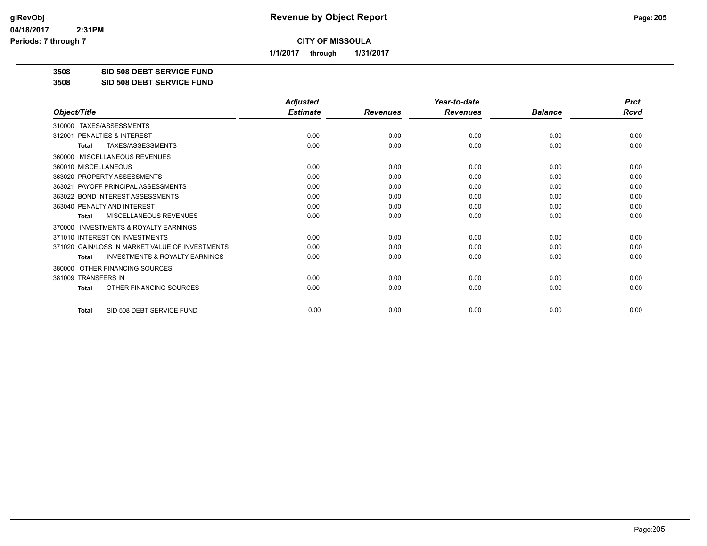**1/1/2017 through 1/31/2017**

**3508 SID 508 DEBT SERVICE FUND**

**3508 SID 508 DEBT SERVICE FUND**

|                                                     | <b>Adjusted</b> |                 | Year-to-date    |                | <b>Prct</b> |
|-----------------------------------------------------|-----------------|-----------------|-----------------|----------------|-------------|
| Object/Title                                        | <b>Estimate</b> | <b>Revenues</b> | <b>Revenues</b> | <b>Balance</b> | <b>Rcvd</b> |
| TAXES/ASSESSMENTS<br>310000                         |                 |                 |                 |                |             |
| PENALTIES & INTEREST<br>312001                      | 0.00            | 0.00            | 0.00            | 0.00           | 0.00        |
| TAXES/ASSESSMENTS<br><b>Total</b>                   | 0.00            | 0.00            | 0.00            | 0.00           | 0.00        |
| 360000 MISCELLANEOUS REVENUES                       |                 |                 |                 |                |             |
| 360010 MISCELLANEOUS                                | 0.00            | 0.00            | 0.00            | 0.00           | 0.00        |
| 363020 PROPERTY ASSESSMENTS                         | 0.00            | 0.00            | 0.00            | 0.00           | 0.00        |
| 363021 PAYOFF PRINCIPAL ASSESSMENTS                 | 0.00            | 0.00            | 0.00            | 0.00           | 0.00        |
| 363022 BOND INTEREST ASSESSMENTS                    | 0.00            | 0.00            | 0.00            | 0.00           | 0.00        |
| 363040 PENALTY AND INTEREST                         | 0.00            | 0.00            | 0.00            | 0.00           | 0.00        |
| MISCELLANEOUS REVENUES<br>Total                     | 0.00            | 0.00            | 0.00            | 0.00           | 0.00        |
| <b>INVESTMENTS &amp; ROYALTY EARNINGS</b><br>370000 |                 |                 |                 |                |             |
| 371010 INTEREST ON INVESTMENTS                      | 0.00            | 0.00            | 0.00            | 0.00           | 0.00        |
| 371020 GAIN/LOSS IN MARKET VALUE OF INVESTMENTS     | 0.00            | 0.00            | 0.00            | 0.00           | 0.00        |
| <b>INVESTMENTS &amp; ROYALTY EARNINGS</b><br>Total  | 0.00            | 0.00            | 0.00            | 0.00           | 0.00        |
| OTHER FINANCING SOURCES<br>380000                   |                 |                 |                 |                |             |
| 381009 TRANSFERS IN                                 | 0.00            | 0.00            | 0.00            | 0.00           | 0.00        |
| OTHER FINANCING SOURCES<br>Total                    | 0.00            | 0.00            | 0.00            | 0.00           | 0.00        |
| SID 508 DEBT SERVICE FUND<br><b>Total</b>           | 0.00            | 0.00            | 0.00            | 0.00           | 0.00        |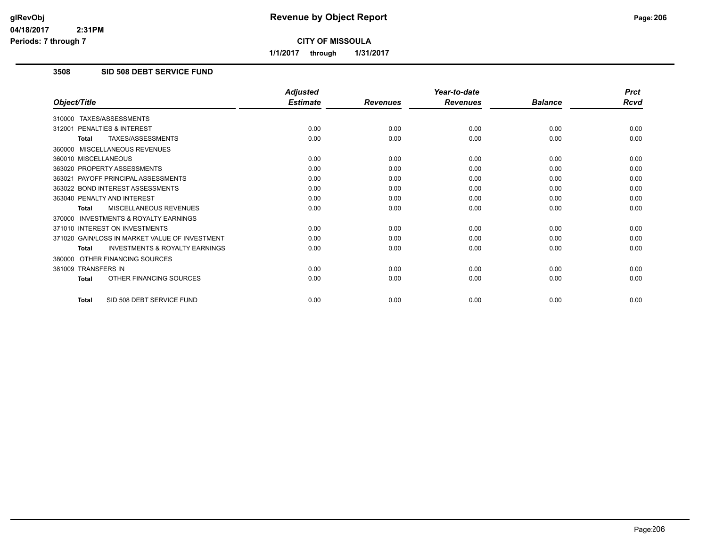**1/1/2017 through 1/31/2017**

### **3508 SID 508 DEBT SERVICE FUND**

|                                                           | <b>Adjusted</b> |                 | Year-to-date    |                | <b>Prct</b> |
|-----------------------------------------------------------|-----------------|-----------------|-----------------|----------------|-------------|
| Object/Title                                              | <b>Estimate</b> | <b>Revenues</b> | <b>Revenues</b> | <b>Balance</b> | <b>Rcvd</b> |
| 310000 TAXES/ASSESSMENTS                                  |                 |                 |                 |                |             |
| 312001 PENALTIES & INTEREST                               | 0.00            | 0.00            | 0.00            | 0.00           | 0.00        |
| TAXES/ASSESSMENTS<br><b>Total</b>                         | 0.00            | 0.00            | 0.00            | 0.00           | 0.00        |
| 360000 MISCELLANEOUS REVENUES                             |                 |                 |                 |                |             |
| 360010 MISCELLANEOUS                                      | 0.00            | 0.00            | 0.00            | 0.00           | 0.00        |
| 363020 PROPERTY ASSESSMENTS                               | 0.00            | 0.00            | 0.00            | 0.00           | 0.00        |
| 363021 PAYOFF PRINCIPAL ASSESSMENTS                       | 0.00            | 0.00            | 0.00            | 0.00           | 0.00        |
| 363022 BOND INTEREST ASSESSMENTS                          | 0.00            | 0.00            | 0.00            | 0.00           | 0.00        |
| 363040 PENALTY AND INTEREST                               | 0.00            | 0.00            | 0.00            | 0.00           | 0.00        |
| MISCELLANEOUS REVENUES<br><b>Total</b>                    | 0.00            | 0.00            | 0.00            | 0.00           | 0.00        |
| <b>INVESTMENTS &amp; ROYALTY EARNINGS</b><br>370000       |                 |                 |                 |                |             |
| 371010 INTEREST ON INVESTMENTS                            | 0.00            | 0.00            | 0.00            | 0.00           | 0.00        |
| 371020 GAIN/LOSS IN MARKET VALUE OF INVESTMENT            | 0.00            | 0.00            | 0.00            | 0.00           | 0.00        |
| <b>INVESTMENTS &amp; ROYALTY EARNINGS</b><br><b>Total</b> | 0.00            | 0.00            | 0.00            | 0.00           | 0.00        |
| OTHER FINANCING SOURCES<br>380000                         |                 |                 |                 |                |             |
| 381009 TRANSFERS IN                                       | 0.00            | 0.00            | 0.00            | 0.00           | 0.00        |
| OTHER FINANCING SOURCES<br>Total                          | 0.00            | 0.00            | 0.00            | 0.00           | 0.00        |
| SID 508 DEBT SERVICE FUND<br><b>Total</b>                 | 0.00            | 0.00            | 0.00            | 0.00           | 0.00        |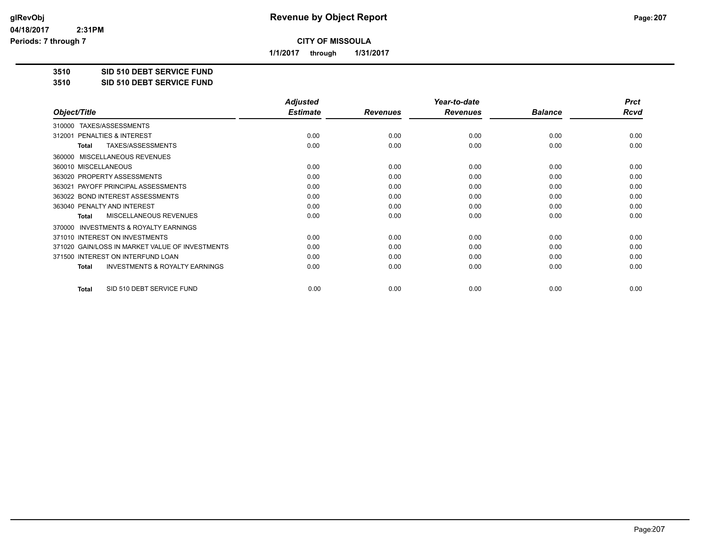**1/1/2017 through 1/31/2017**

**3510 SID 510 DEBT SERVICE FUND**

**3510 SID 510 DEBT SERVICE FUND**

|                                                           | <b>Adjusted</b> |                 | Year-to-date    |                | <b>Prct</b> |
|-----------------------------------------------------------|-----------------|-----------------|-----------------|----------------|-------------|
| Object/Title                                              | <b>Estimate</b> | <b>Revenues</b> | <b>Revenues</b> | <b>Balance</b> | <b>Rcvd</b> |
| 310000 TAXES/ASSESSMENTS                                  |                 |                 |                 |                |             |
| 312001 PENALTIES & INTEREST                               | 0.00            | 0.00            | 0.00            | 0.00           | 0.00        |
| TAXES/ASSESSMENTS<br><b>Total</b>                         | 0.00            | 0.00            | 0.00            | 0.00           | 0.00        |
| 360000 MISCELLANEOUS REVENUES                             |                 |                 |                 |                |             |
| 360010 MISCELLANEOUS                                      | 0.00            | 0.00            | 0.00            | 0.00           | 0.00        |
| 363020 PROPERTY ASSESSMENTS                               | 0.00            | 0.00            | 0.00            | 0.00           | 0.00        |
| 363021 PAYOFF PRINCIPAL ASSESSMENTS                       | 0.00            | 0.00            | 0.00            | 0.00           | 0.00        |
| 363022 BOND INTEREST ASSESSMENTS                          | 0.00            | 0.00            | 0.00            | 0.00           | 0.00        |
| 363040 PENALTY AND INTEREST                               | 0.00            | 0.00            | 0.00            | 0.00           | 0.00        |
| MISCELLANEOUS REVENUES<br>Total                           | 0.00            | 0.00            | 0.00            | 0.00           | 0.00        |
| <b>INVESTMENTS &amp; ROYALTY EARNINGS</b><br>370000       |                 |                 |                 |                |             |
| 371010 INTEREST ON INVESTMENTS                            | 0.00            | 0.00            | 0.00            | 0.00           | 0.00        |
| 371020 GAIN/LOSS IN MARKET VALUE OF INVESTMENTS           | 0.00            | 0.00            | 0.00            | 0.00           | 0.00        |
| 371500 INTEREST ON INTERFUND LOAN                         | 0.00            | 0.00            | 0.00            | 0.00           | 0.00        |
| <b>INVESTMENTS &amp; ROYALTY EARNINGS</b><br><b>Total</b> | 0.00            | 0.00            | 0.00            | 0.00           | 0.00        |
| SID 510 DEBT SERVICE FUND<br><b>Total</b>                 | 0.00            | 0.00            | 0.00            | 0.00           | 0.00        |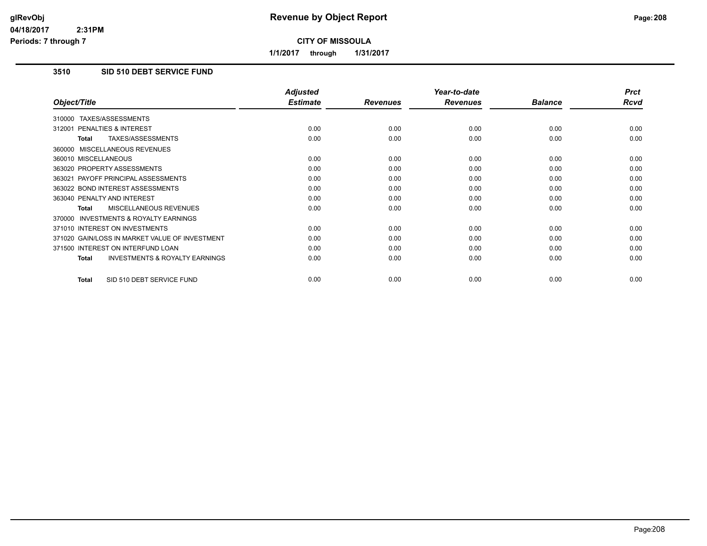**1/1/2017 through 1/31/2017**

# **3510 SID 510 DEBT SERVICE FUND**

|                                                           | <b>Adjusted</b> |                 | Year-to-date    |                | <b>Prct</b> |
|-----------------------------------------------------------|-----------------|-----------------|-----------------|----------------|-------------|
| Object/Title                                              | <b>Estimate</b> | <b>Revenues</b> | <b>Revenues</b> | <b>Balance</b> | <b>Rcvd</b> |
| TAXES/ASSESSMENTS<br>310000                               |                 |                 |                 |                |             |
| 312001 PENALTIES & INTEREST                               | 0.00            | 0.00            | 0.00            | 0.00           | 0.00        |
| TAXES/ASSESSMENTS<br><b>Total</b>                         | 0.00            | 0.00            | 0.00            | 0.00           | 0.00        |
| 360000 MISCELLANEOUS REVENUES                             |                 |                 |                 |                |             |
| 360010 MISCELLANEOUS                                      | 0.00            | 0.00            | 0.00            | 0.00           | 0.00        |
| 363020 PROPERTY ASSESSMENTS                               | 0.00            | 0.00            | 0.00            | 0.00           | 0.00        |
| 363021 PAYOFF PRINCIPAL ASSESSMENTS                       | 0.00            | 0.00            | 0.00            | 0.00           | 0.00        |
| 363022 BOND INTEREST ASSESSMENTS                          | 0.00            | 0.00            | 0.00            | 0.00           | 0.00        |
| 363040 PENALTY AND INTEREST                               | 0.00            | 0.00            | 0.00            | 0.00           | 0.00        |
| MISCELLANEOUS REVENUES<br><b>Total</b>                    | 0.00            | 0.00            | 0.00            | 0.00           | 0.00        |
| <b>INVESTMENTS &amp; ROYALTY EARNINGS</b><br>370000       |                 |                 |                 |                |             |
| 371010 INTEREST ON INVESTMENTS                            | 0.00            | 0.00            | 0.00            | 0.00           | 0.00        |
| 371020 GAIN/LOSS IN MARKET VALUE OF INVESTMENT            | 0.00            | 0.00            | 0.00            | 0.00           | 0.00        |
| 371500 INTEREST ON INTERFUND LOAN                         | 0.00            | 0.00            | 0.00            | 0.00           | 0.00        |
| <b>INVESTMENTS &amp; ROYALTY EARNINGS</b><br><b>Total</b> | 0.00            | 0.00            | 0.00            | 0.00           | 0.00        |
| SID 510 DEBT SERVICE FUND<br><b>Total</b>                 | 0.00            | 0.00            | 0.00            | 0.00           | 0.00        |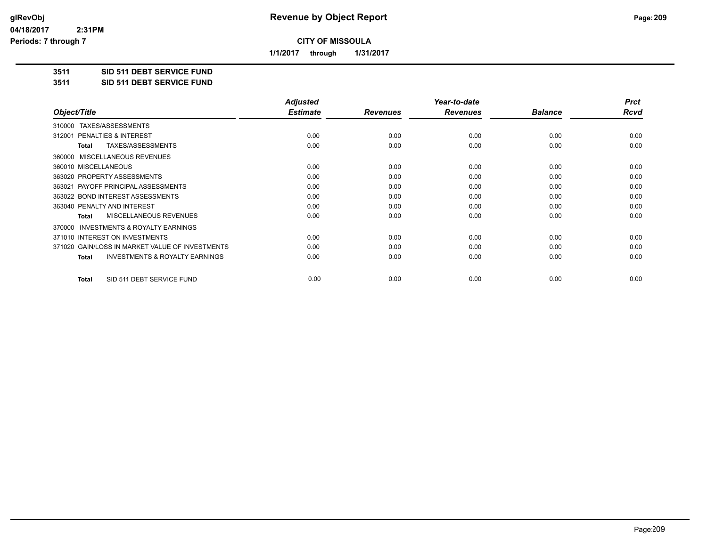**1/1/2017 through 1/31/2017**

**3511 SID 511 DEBT SERVICE FUND**

**3511 SID 511 DEBT SERVICE FUND**

|                                                           | <b>Adjusted</b> |                 | Year-to-date    |                | <b>Prct</b> |
|-----------------------------------------------------------|-----------------|-----------------|-----------------|----------------|-------------|
| Object/Title                                              | <b>Estimate</b> | <b>Revenues</b> | <b>Revenues</b> | <b>Balance</b> | <b>Rcvd</b> |
| 310000 TAXES/ASSESSMENTS                                  |                 |                 |                 |                |             |
| 312001 PENALTIES & INTEREST                               | 0.00            | 0.00            | 0.00            | 0.00           | 0.00        |
| TAXES/ASSESSMENTS<br>Total                                | 0.00            | 0.00            | 0.00            | 0.00           | 0.00        |
| 360000 MISCELLANEOUS REVENUES                             |                 |                 |                 |                |             |
| 360010 MISCELLANEOUS                                      | 0.00            | 0.00            | 0.00            | 0.00           | 0.00        |
| 363020 PROPERTY ASSESSMENTS                               | 0.00            | 0.00            | 0.00            | 0.00           | 0.00        |
| 363021 PAYOFF PRINCIPAL ASSESSMENTS                       | 0.00            | 0.00            | 0.00            | 0.00           | 0.00        |
| 363022 BOND INTEREST ASSESSMENTS                          | 0.00            | 0.00            | 0.00            | 0.00           | 0.00        |
| 363040 PENALTY AND INTEREST                               | 0.00            | 0.00            | 0.00            | 0.00           | 0.00        |
| MISCELLANEOUS REVENUES<br>Total                           | 0.00            | 0.00            | 0.00            | 0.00           | 0.00        |
| <b>INVESTMENTS &amp; ROYALTY EARNINGS</b><br>370000       |                 |                 |                 |                |             |
| 371010 INTEREST ON INVESTMENTS                            | 0.00            | 0.00            | 0.00            | 0.00           | 0.00        |
| 371020 GAIN/LOSS IN MARKET VALUE OF INVESTMENTS           | 0.00            | 0.00            | 0.00            | 0.00           | 0.00        |
| <b>INVESTMENTS &amp; ROYALTY EARNINGS</b><br><b>Total</b> | 0.00            | 0.00            | 0.00            | 0.00           | 0.00        |
| SID 511 DEBT SERVICE FUND<br><b>Total</b>                 | 0.00            | 0.00            | 0.00            | 0.00           | 0.00        |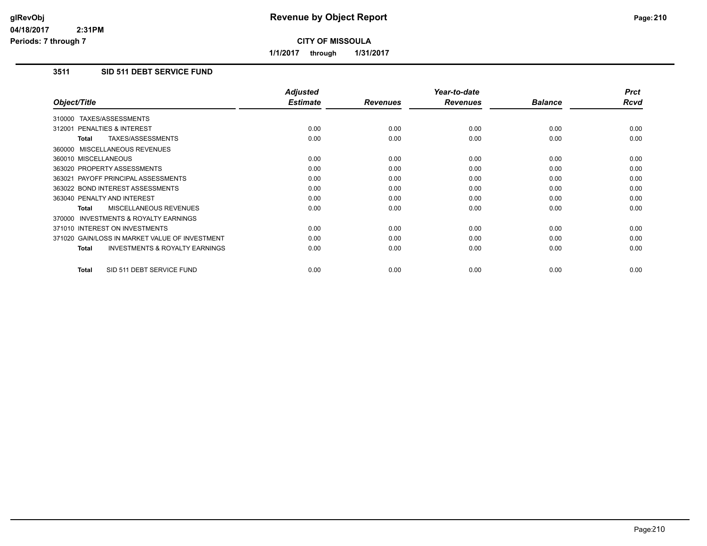**1/1/2017 through 1/31/2017**

# **3511 SID 511 DEBT SERVICE FUND**

|                                                           | <b>Adjusted</b> |                 | Year-to-date    |                | <b>Prct</b> |
|-----------------------------------------------------------|-----------------|-----------------|-----------------|----------------|-------------|
| Object/Title                                              | <b>Estimate</b> | <b>Revenues</b> | <b>Revenues</b> | <b>Balance</b> | <b>Rcvd</b> |
| 310000 TAXES/ASSESSMENTS                                  |                 |                 |                 |                |             |
| 312001 PENALTIES & INTEREST                               | 0.00            | 0.00            | 0.00            | 0.00           | 0.00        |
| TAXES/ASSESSMENTS<br>Total                                | 0.00            | 0.00            | 0.00            | 0.00           | 0.00        |
| 360000 MISCELLANEOUS REVENUES                             |                 |                 |                 |                |             |
| 360010 MISCELLANEOUS                                      | 0.00            | 0.00            | 0.00            | 0.00           | 0.00        |
| 363020 PROPERTY ASSESSMENTS                               | 0.00            | 0.00            | 0.00            | 0.00           | 0.00        |
| 363021 PAYOFF PRINCIPAL ASSESSMENTS                       | 0.00            | 0.00            | 0.00            | 0.00           | 0.00        |
| 363022 BOND INTEREST ASSESSMENTS                          | 0.00            | 0.00            | 0.00            | 0.00           | 0.00        |
| 363040 PENALTY AND INTEREST                               | 0.00            | 0.00            | 0.00            | 0.00           | 0.00        |
| <b>MISCELLANEOUS REVENUES</b><br>Total                    | 0.00            | 0.00            | 0.00            | 0.00           | 0.00        |
| INVESTMENTS & ROYALTY EARNINGS<br>370000                  |                 |                 |                 |                |             |
| 371010 INTEREST ON INVESTMENTS                            | 0.00            | 0.00            | 0.00            | 0.00           | 0.00        |
| 371020 GAIN/LOSS IN MARKET VALUE OF INVESTMENT            | 0.00            | 0.00            | 0.00            | 0.00           | 0.00        |
| <b>INVESTMENTS &amp; ROYALTY EARNINGS</b><br><b>Total</b> | 0.00            | 0.00            | 0.00            | 0.00           | 0.00        |
| SID 511 DEBT SERVICE FUND<br><b>Total</b>                 | 0.00            | 0.00            | 0.00            | 0.00           | 0.00        |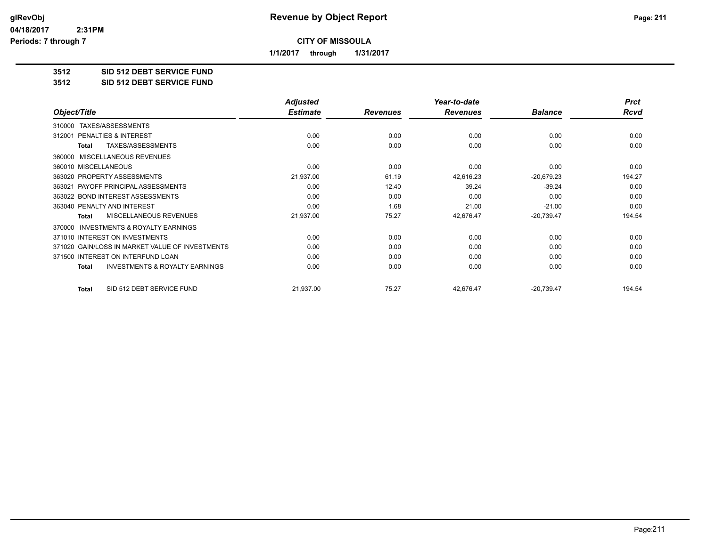**1/1/2017 through 1/31/2017**

**3512 SID 512 DEBT SERVICE FUND**

**3512 SID 512 DEBT SERVICE FUND**

|                                                     | <b>Adjusted</b> |                 | Year-to-date    |                | <b>Prct</b> |
|-----------------------------------------------------|-----------------|-----------------|-----------------|----------------|-------------|
| Object/Title                                        | <b>Estimate</b> | <b>Revenues</b> | <b>Revenues</b> | <b>Balance</b> | Rcvd        |
| TAXES/ASSESSMENTS<br>310000                         |                 |                 |                 |                |             |
| 312001 PENALTIES & INTEREST                         | 0.00            | 0.00            | 0.00            | 0.00           | 0.00        |
| TAXES/ASSESSMENTS<br>Total                          | 0.00            | 0.00            | 0.00            | 0.00           | 0.00        |
| MISCELLANEOUS REVENUES<br>360000                    |                 |                 |                 |                |             |
| 360010 MISCELLANEOUS                                | 0.00            | 0.00            | 0.00            | 0.00           | 0.00        |
| 363020 PROPERTY ASSESSMENTS                         | 21,937.00       | 61.19           | 42,616.23       | $-20,679.23$   | 194.27      |
| 363021 PAYOFF PRINCIPAL ASSESSMENTS                 | 0.00            | 12.40           | 39.24           | $-39.24$       | 0.00        |
| 363022 BOND INTEREST ASSESSMENTS                    | 0.00            | 0.00            | 0.00            | 0.00           | 0.00        |
| 363040 PENALTY AND INTEREST                         | 0.00            | 1.68            | 21.00           | $-21.00$       | 0.00        |
| MISCELLANEOUS REVENUES<br>Total                     | 21,937.00       | 75.27           | 42,676.47       | $-20,739.47$   | 194.54      |
| <b>INVESTMENTS &amp; ROYALTY EARNINGS</b><br>370000 |                 |                 |                 |                |             |
| 371010 INTEREST ON INVESTMENTS                      | 0.00            | 0.00            | 0.00            | 0.00           | 0.00        |
| 371020 GAIN/LOSS IN MARKET VALUE OF INVESTMENTS     | 0.00            | 0.00            | 0.00            | 0.00           | 0.00        |
| 371500 INTEREST ON INTERFUND LOAN                   | 0.00            | 0.00            | 0.00            | 0.00           | 0.00        |
| INVESTMENTS & ROYALTY EARNINGS<br>Total             | 0.00            | 0.00            | 0.00            | 0.00           | 0.00        |
| SID 512 DEBT SERVICE FUND<br><b>Total</b>           | 21,937.00       | 75.27           | 42,676.47       | $-20,739.47$   | 194.54      |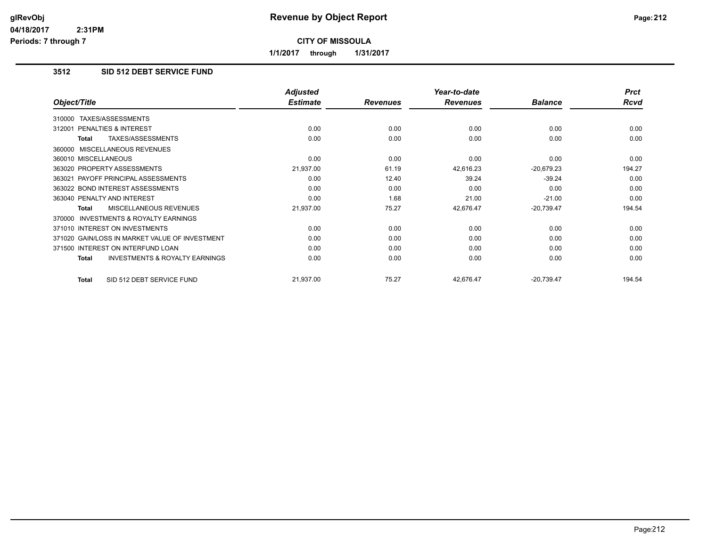**1/1/2017 through 1/31/2017**

# **3512 SID 512 DEBT SERVICE FUND**

|                                                           | <b>Adjusted</b> |                 | Year-to-date    |                | <b>Prct</b> |
|-----------------------------------------------------------|-----------------|-----------------|-----------------|----------------|-------------|
| Object/Title                                              | <b>Estimate</b> | <b>Revenues</b> | <b>Revenues</b> | <b>Balance</b> | <b>Rcvd</b> |
| TAXES/ASSESSMENTS<br>310000                               |                 |                 |                 |                |             |
| <b>PENALTIES &amp; INTEREST</b><br>312001                 | 0.00            | 0.00            | 0.00            | 0.00           | 0.00        |
| TAXES/ASSESSMENTS<br>Total                                | 0.00            | 0.00            | 0.00            | 0.00           | 0.00        |
| 360000 MISCELLANEOUS REVENUES                             |                 |                 |                 |                |             |
| 360010 MISCELLANEOUS                                      | 0.00            | 0.00            | 0.00            | 0.00           | 0.00        |
| 363020 PROPERTY ASSESSMENTS                               | 21,937.00       | 61.19           | 42,616.23       | $-20,679.23$   | 194.27      |
| 363021 PAYOFF PRINCIPAL ASSESSMENTS                       | 0.00            | 12.40           | 39.24           | $-39.24$       | 0.00        |
| 363022 BOND INTEREST ASSESSMENTS                          | 0.00            | 0.00            | 0.00            | 0.00           | 0.00        |
| 363040 PENALTY AND INTEREST                               | 0.00            | 1.68            | 21.00           | $-21.00$       | 0.00        |
| MISCELLANEOUS REVENUES<br>Total                           | 21,937.00       | 75.27           | 42,676.47       | $-20,739.47$   | 194.54      |
| 370000 INVESTMENTS & ROYALTY EARNINGS                     |                 |                 |                 |                |             |
| 371010 INTEREST ON INVESTMENTS                            | 0.00            | 0.00            | 0.00            | 0.00           | 0.00        |
| 371020 GAIN/LOSS IN MARKET VALUE OF INVESTMENT            | 0.00            | 0.00            | 0.00            | 0.00           | 0.00        |
| 371500 INTEREST ON INTERFUND LOAN                         | 0.00            | 0.00            | 0.00            | 0.00           | 0.00        |
| <b>INVESTMENTS &amp; ROYALTY EARNINGS</b><br><b>Total</b> | 0.00            | 0.00            | 0.00            | 0.00           | 0.00        |
| SID 512 DEBT SERVICE FUND<br><b>Total</b>                 | 21,937.00       | 75.27           | 42,676.47       | $-20,739.47$   | 194.54      |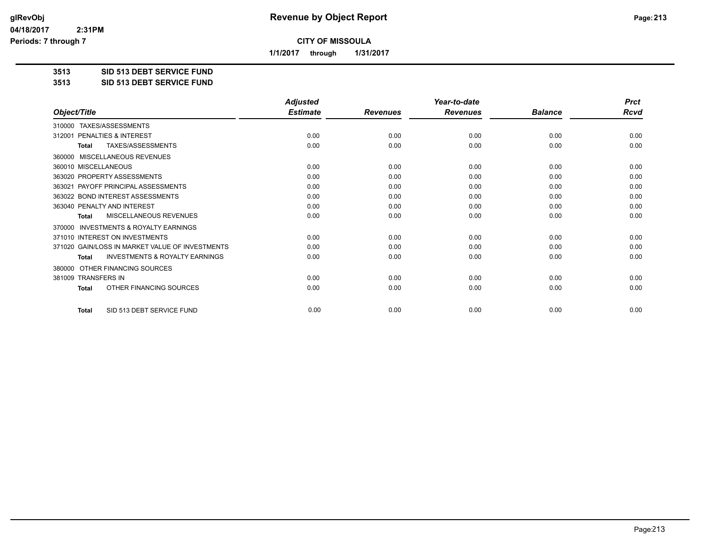**1/1/2017 through 1/31/2017**

**3513 SID 513 DEBT SERVICE FUND**

**3513 SID 513 DEBT SERVICE FUND**

|                                                           | <b>Adjusted</b> |                 | Year-to-date    |                | <b>Prct</b> |
|-----------------------------------------------------------|-----------------|-----------------|-----------------|----------------|-------------|
| Object/Title                                              | <b>Estimate</b> | <b>Revenues</b> | <b>Revenues</b> | <b>Balance</b> | <b>Rcvd</b> |
| 310000 TAXES/ASSESSMENTS                                  |                 |                 |                 |                |             |
| 312001 PENALTIES & INTEREST                               | 0.00            | 0.00            | 0.00            | 0.00           | 0.00        |
| TAXES/ASSESSMENTS<br><b>Total</b>                         | 0.00            | 0.00            | 0.00            | 0.00           | 0.00        |
| 360000 MISCELLANEOUS REVENUES                             |                 |                 |                 |                |             |
| 360010 MISCELLANEOUS                                      | 0.00            | 0.00            | 0.00            | 0.00           | 0.00        |
| 363020 PROPERTY ASSESSMENTS                               | 0.00            | 0.00            | 0.00            | 0.00           | 0.00        |
| 363021 PAYOFF PRINCIPAL ASSESSMENTS                       | 0.00            | 0.00            | 0.00            | 0.00           | 0.00        |
| 363022 BOND INTEREST ASSESSMENTS                          | 0.00            | 0.00            | 0.00            | 0.00           | 0.00        |
| 363040 PENALTY AND INTEREST                               | 0.00            | 0.00            | 0.00            | 0.00           | 0.00        |
| MISCELLANEOUS REVENUES<br>Total                           | 0.00            | 0.00            | 0.00            | 0.00           | 0.00        |
| <b>INVESTMENTS &amp; ROYALTY EARNINGS</b><br>370000       |                 |                 |                 |                |             |
| 371010 INTEREST ON INVESTMENTS                            | 0.00            | 0.00            | 0.00            | 0.00           | 0.00        |
| 371020 GAIN/LOSS IN MARKET VALUE OF INVESTMENTS           | 0.00            | 0.00            | 0.00            | 0.00           | 0.00        |
| <b>INVESTMENTS &amp; ROYALTY EARNINGS</b><br><b>Total</b> | 0.00            | 0.00            | 0.00            | 0.00           | 0.00        |
| OTHER FINANCING SOURCES<br>380000                         |                 |                 |                 |                |             |
| 381009 TRANSFERS IN                                       | 0.00            | 0.00            | 0.00            | 0.00           | 0.00        |
| OTHER FINANCING SOURCES<br><b>Total</b>                   | 0.00            | 0.00            | 0.00            | 0.00           | 0.00        |
| SID 513 DEBT SERVICE FUND<br><b>Total</b>                 | 0.00            | 0.00            | 0.00            | 0.00           | 0.00        |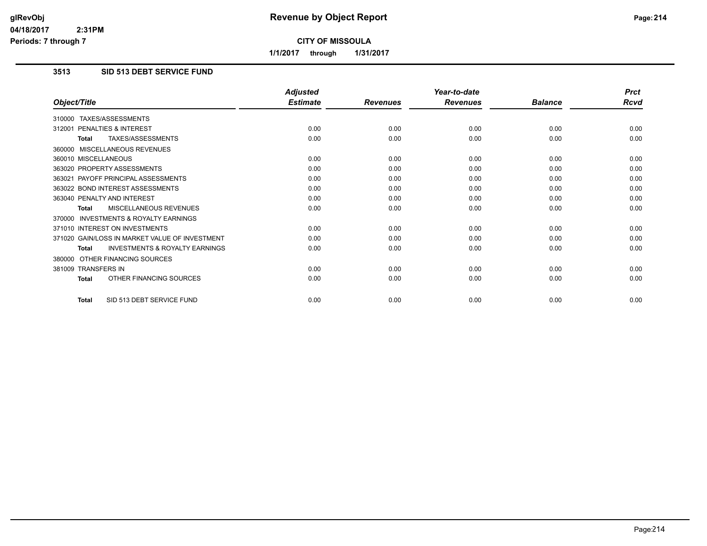**1/1/2017 through 1/31/2017**

# **3513 SID 513 DEBT SERVICE FUND**

|                                                    | <b>Adjusted</b> |                 | Year-to-date    |                | <b>Prct</b> |
|----------------------------------------------------|-----------------|-----------------|-----------------|----------------|-------------|
| Object/Title                                       | <b>Estimate</b> | <b>Revenues</b> | <b>Revenues</b> | <b>Balance</b> | <b>Rcvd</b> |
| 310000 TAXES/ASSESSMENTS                           |                 |                 |                 |                |             |
| PENALTIES & INTEREST<br>312001                     | 0.00            | 0.00            | 0.00            | 0.00           | 0.00        |
| TAXES/ASSESSMENTS<br><b>Total</b>                  | 0.00            | 0.00            | 0.00            | 0.00           | 0.00        |
| 360000 MISCELLANEOUS REVENUES                      |                 |                 |                 |                |             |
| 360010 MISCELLANEOUS                               | 0.00            | 0.00            | 0.00            | 0.00           | 0.00        |
| 363020 PROPERTY ASSESSMENTS                        | 0.00            | 0.00            | 0.00            | 0.00           | 0.00        |
| 363021 PAYOFF PRINCIPAL ASSESSMENTS                | 0.00            | 0.00            | 0.00            | 0.00           | 0.00        |
| 363022 BOND INTEREST ASSESSMENTS                   | 0.00            | 0.00            | 0.00            | 0.00           | 0.00        |
| 363040 PENALTY AND INTEREST                        | 0.00            | 0.00            | 0.00            | 0.00           | 0.00        |
| MISCELLANEOUS REVENUES<br>Total                    | 0.00            | 0.00            | 0.00            | 0.00           | 0.00        |
| 370000 INVESTMENTS & ROYALTY EARNINGS              |                 |                 |                 |                |             |
| 371010 INTEREST ON INVESTMENTS                     | 0.00            | 0.00            | 0.00            | 0.00           | 0.00        |
| 371020 GAIN/LOSS IN MARKET VALUE OF INVESTMENT     | 0.00            | 0.00            | 0.00            | 0.00           | 0.00        |
| <b>INVESTMENTS &amp; ROYALTY EARNINGS</b><br>Total | 0.00            | 0.00            | 0.00            | 0.00           | 0.00        |
| 380000 OTHER FINANCING SOURCES                     |                 |                 |                 |                |             |
| 381009 TRANSFERS IN                                | 0.00            | 0.00            | 0.00            | 0.00           | 0.00        |
| OTHER FINANCING SOURCES<br>Total                   | 0.00            | 0.00            | 0.00            | 0.00           | 0.00        |
| SID 513 DEBT SERVICE FUND<br><b>Total</b>          | 0.00            | 0.00            | 0.00            | 0.00           | 0.00        |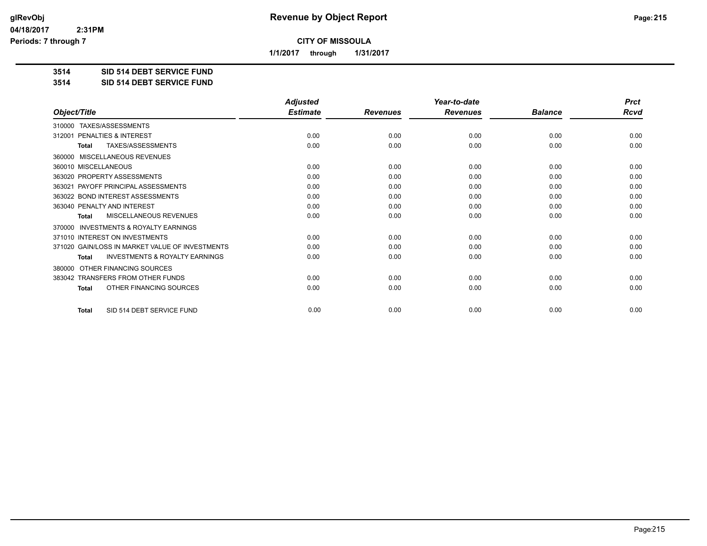**1/1/2017 through 1/31/2017**

**3514 SID 514 DEBT SERVICE FUND**

**3514 SID 514 DEBT SERVICE FUND**

|                                                           | <b>Adjusted</b> |                 | Year-to-date    |                | <b>Prct</b> |
|-----------------------------------------------------------|-----------------|-----------------|-----------------|----------------|-------------|
| Object/Title                                              | <b>Estimate</b> | <b>Revenues</b> | <b>Revenues</b> | <b>Balance</b> | Rcvd        |
| TAXES/ASSESSMENTS<br>310000                               |                 |                 |                 |                |             |
| PENALTIES & INTEREST<br>312001                            | 0.00            | 0.00            | 0.00            | 0.00           | 0.00        |
| TAXES/ASSESSMENTS<br>Total                                | 0.00            | 0.00            | 0.00            | 0.00           | 0.00        |
| MISCELLANEOUS REVENUES<br>360000                          |                 |                 |                 |                |             |
| 360010 MISCELLANEOUS                                      | 0.00            | 0.00            | 0.00            | 0.00           | 0.00        |
| 363020 PROPERTY ASSESSMENTS                               | 0.00            | 0.00            | 0.00            | 0.00           | 0.00        |
| 363021 PAYOFF PRINCIPAL ASSESSMENTS                       | 0.00            | 0.00            | 0.00            | 0.00           | 0.00        |
| 363022 BOND INTEREST ASSESSMENTS                          | 0.00            | 0.00            | 0.00            | 0.00           | 0.00        |
| 363040 PENALTY AND INTEREST                               | 0.00            | 0.00            | 0.00            | 0.00           | 0.00        |
| MISCELLANEOUS REVENUES<br>Total                           | 0.00            | 0.00            | 0.00            | 0.00           | 0.00        |
| <b>INVESTMENTS &amp; ROYALTY EARNINGS</b><br>370000       |                 |                 |                 |                |             |
| 371010 INTEREST ON INVESTMENTS                            | 0.00            | 0.00            | 0.00            | 0.00           | 0.00        |
| 371020 GAIN/LOSS IN MARKET VALUE OF INVESTMENTS           | 0.00            | 0.00            | 0.00            | 0.00           | 0.00        |
| <b>INVESTMENTS &amp; ROYALTY EARNINGS</b><br><b>Total</b> | 0.00            | 0.00            | 0.00            | 0.00           | 0.00        |
| OTHER FINANCING SOURCES<br>380000                         |                 |                 |                 |                |             |
| 383042 TRANSFERS FROM OTHER FUNDS                         | 0.00            | 0.00            | 0.00            | 0.00           | 0.00        |
| OTHER FINANCING SOURCES<br>Total                          | 0.00            | 0.00            | 0.00            | 0.00           | 0.00        |
| SID 514 DEBT SERVICE FUND<br><b>Total</b>                 | 0.00            | 0.00            | 0.00            | 0.00           | 0.00        |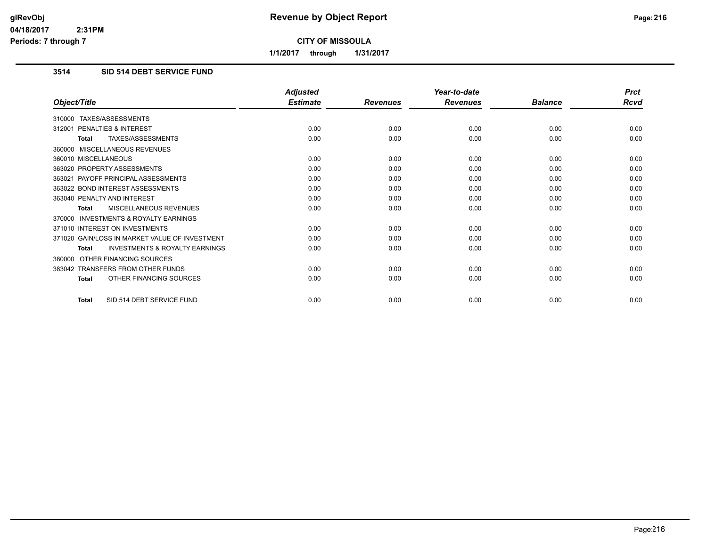**1/1/2017 through 1/31/2017**

# **3514 SID 514 DEBT SERVICE FUND**

|                                                           | <b>Adjusted</b> |                 | Year-to-date    |                | <b>Prct</b> |
|-----------------------------------------------------------|-----------------|-----------------|-----------------|----------------|-------------|
| Object/Title                                              | <b>Estimate</b> | <b>Revenues</b> | <b>Revenues</b> | <b>Balance</b> | Rcvd        |
| 310000 TAXES/ASSESSMENTS                                  |                 |                 |                 |                |             |
| 312001 PENALTIES & INTEREST                               | 0.00            | 0.00            | 0.00            | 0.00           | 0.00        |
| TAXES/ASSESSMENTS<br><b>Total</b>                         | 0.00            | 0.00            | 0.00            | 0.00           | 0.00        |
| 360000 MISCELLANEOUS REVENUES                             |                 |                 |                 |                |             |
| 360010 MISCELLANEOUS                                      | 0.00            | 0.00            | 0.00            | 0.00           | 0.00        |
| 363020 PROPERTY ASSESSMENTS                               | 0.00            | 0.00            | 0.00            | 0.00           | 0.00        |
| 363021 PAYOFF PRINCIPAL ASSESSMENTS                       | 0.00            | 0.00            | 0.00            | 0.00           | 0.00        |
| 363022 BOND INTEREST ASSESSMENTS                          | 0.00            | 0.00            | 0.00            | 0.00           | 0.00        |
| 363040 PENALTY AND INTEREST                               | 0.00            | 0.00            | 0.00            | 0.00           | 0.00        |
| MISCELLANEOUS REVENUES<br><b>Total</b>                    | 0.00            | 0.00            | 0.00            | 0.00           | 0.00        |
| <b>INVESTMENTS &amp; ROYALTY EARNINGS</b><br>370000       |                 |                 |                 |                |             |
| 371010 INTEREST ON INVESTMENTS                            | 0.00            | 0.00            | 0.00            | 0.00           | 0.00        |
| 371020 GAIN/LOSS IN MARKET VALUE OF INVESTMENT            | 0.00            | 0.00            | 0.00            | 0.00           | 0.00        |
| <b>INVESTMENTS &amp; ROYALTY EARNINGS</b><br><b>Total</b> | 0.00            | 0.00            | 0.00            | 0.00           | 0.00        |
| OTHER FINANCING SOURCES<br>380000                         |                 |                 |                 |                |             |
| 383042 TRANSFERS FROM OTHER FUNDS                         | 0.00            | 0.00            | 0.00            | 0.00           | 0.00        |
| OTHER FINANCING SOURCES<br><b>Total</b>                   | 0.00            | 0.00            | 0.00            | 0.00           | 0.00        |
| SID 514 DEBT SERVICE FUND<br><b>Total</b>                 | 0.00            | 0.00            | 0.00            | 0.00           | 0.00        |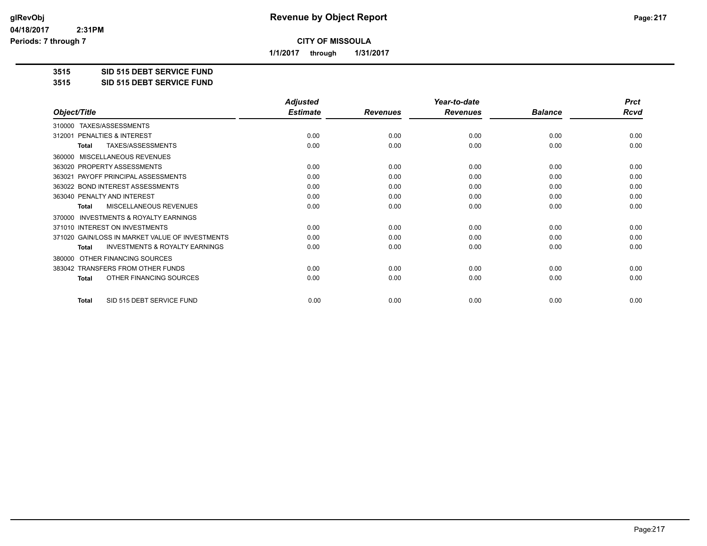**1/1/2017 through 1/31/2017**

**3515 SID 515 DEBT SERVICE FUND**

**3515 SID 515 DEBT SERVICE FUND**

|                                                     | <b>Adjusted</b> |                 | Year-to-date    |                | <b>Prct</b> |
|-----------------------------------------------------|-----------------|-----------------|-----------------|----------------|-------------|
| Object/Title                                        | <b>Estimate</b> | <b>Revenues</b> | <b>Revenues</b> | <b>Balance</b> | Rcvd        |
| TAXES/ASSESSMENTS<br>310000                         |                 |                 |                 |                |             |
| 312001 PENALTIES & INTEREST                         | 0.00            | 0.00            | 0.00            | 0.00           | 0.00        |
| TAXES/ASSESSMENTS<br><b>Total</b>                   | 0.00            | 0.00            | 0.00            | 0.00           | 0.00        |
| 360000 MISCELLANEOUS REVENUES                       |                 |                 |                 |                |             |
| 363020 PROPERTY ASSESSMENTS                         | 0.00            | 0.00            | 0.00            | 0.00           | 0.00        |
| 363021 PAYOFF PRINCIPAL ASSESSMENTS                 | 0.00            | 0.00            | 0.00            | 0.00           | 0.00        |
| 363022 BOND INTEREST ASSESSMENTS                    | 0.00            | 0.00            | 0.00            | 0.00           | 0.00        |
| 363040 PENALTY AND INTEREST                         | 0.00            | 0.00            | 0.00            | 0.00           | 0.00        |
| MISCELLANEOUS REVENUES<br><b>Total</b>              | 0.00            | 0.00            | 0.00            | 0.00           | 0.00        |
| <b>INVESTMENTS &amp; ROYALTY EARNINGS</b><br>370000 |                 |                 |                 |                |             |
| 371010 INTEREST ON INVESTMENTS                      | 0.00            | 0.00            | 0.00            | 0.00           | 0.00        |
| 371020 GAIN/LOSS IN MARKET VALUE OF INVESTMENTS     | 0.00            | 0.00            | 0.00            | 0.00           | 0.00        |
| <b>INVESTMENTS &amp; ROYALTY EARNINGS</b><br>Total  | 0.00            | 0.00            | 0.00            | 0.00           | 0.00        |
| OTHER FINANCING SOURCES<br>380000                   |                 |                 |                 |                |             |
| 383042 TRANSFERS FROM OTHER FUNDS                   | 0.00            | 0.00            | 0.00            | 0.00           | 0.00        |
| OTHER FINANCING SOURCES<br>Total                    | 0.00            | 0.00            | 0.00            | 0.00           | 0.00        |
|                                                     |                 |                 |                 |                |             |
| SID 515 DEBT SERVICE FUND<br><b>Total</b>           | 0.00            | 0.00            | 0.00            | 0.00           | 0.00        |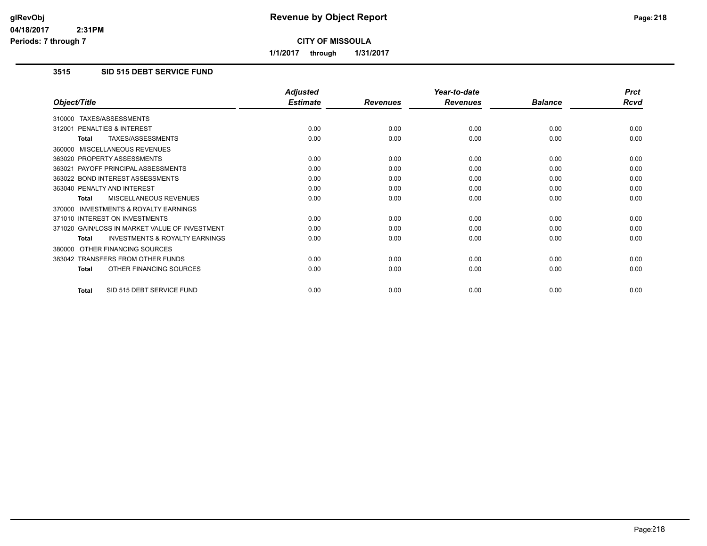**1/1/2017 through 1/31/2017**

### **3515 SID 515 DEBT SERVICE FUND**

|                                                     | <b>Adjusted</b> |                 | Year-to-date    |                | <b>Prct</b> |
|-----------------------------------------------------|-----------------|-----------------|-----------------|----------------|-------------|
| Object/Title                                        | <b>Estimate</b> | <b>Revenues</b> | <b>Revenues</b> | <b>Balance</b> | <b>Rcvd</b> |
| TAXES/ASSESSMENTS<br>310000                         |                 |                 |                 |                |             |
| 312001 PENALTIES & INTEREST                         | 0.00            | 0.00            | 0.00            | 0.00           | 0.00        |
| TAXES/ASSESSMENTS<br><b>Total</b>                   | 0.00            | 0.00            | 0.00            | 0.00           | 0.00        |
| <b>MISCELLANEOUS REVENUES</b><br>360000             |                 |                 |                 |                |             |
| 363020 PROPERTY ASSESSMENTS                         | 0.00            | 0.00            | 0.00            | 0.00           | 0.00        |
| 363021 PAYOFF PRINCIPAL ASSESSMENTS                 | 0.00            | 0.00            | 0.00            | 0.00           | 0.00        |
| 363022 BOND INTEREST ASSESSMENTS                    | 0.00            | 0.00            | 0.00            | 0.00           | 0.00        |
| 363040 PENALTY AND INTEREST                         | 0.00            | 0.00            | 0.00            | 0.00           | 0.00        |
| <b>MISCELLANEOUS REVENUES</b><br>Total              | 0.00            | 0.00            | 0.00            | 0.00           | 0.00        |
| <b>INVESTMENTS &amp; ROYALTY EARNINGS</b><br>370000 |                 |                 |                 |                |             |
| 371010 INTEREST ON INVESTMENTS                      | 0.00            | 0.00            | 0.00            | 0.00           | 0.00        |
| 371020 GAIN/LOSS IN MARKET VALUE OF INVESTMENT      | 0.00            | 0.00            | 0.00            | 0.00           | 0.00        |
| <b>INVESTMENTS &amp; ROYALTY EARNINGS</b><br>Total  | 0.00            | 0.00            | 0.00            | 0.00           | 0.00        |
| OTHER FINANCING SOURCES<br>380000                   |                 |                 |                 |                |             |
| 383042 TRANSFERS FROM OTHER FUNDS                   | 0.00            | 0.00            | 0.00            | 0.00           | 0.00        |
| OTHER FINANCING SOURCES<br><b>Total</b>             | 0.00            | 0.00            | 0.00            | 0.00           | 0.00        |
| SID 515 DEBT SERVICE FUND<br><b>Total</b>           | 0.00            | 0.00            | 0.00            | 0.00           | 0.00        |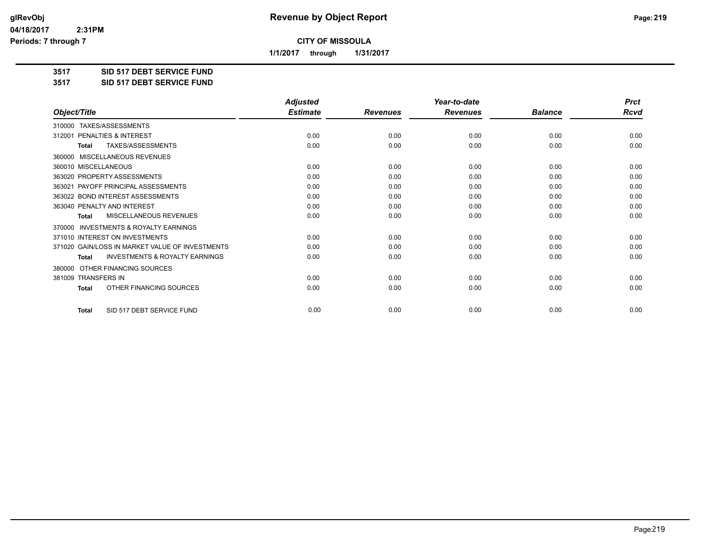**1/1/2017 through 1/31/2017**

**3517 SID 517 DEBT SERVICE FUND**

**3517 SID 517 DEBT SERVICE FUND**

|                                                           | <b>Adjusted</b> |                 | Year-to-date    |                | <b>Prct</b> |
|-----------------------------------------------------------|-----------------|-----------------|-----------------|----------------|-------------|
| Object/Title                                              | <b>Estimate</b> | <b>Revenues</b> | <b>Revenues</b> | <b>Balance</b> | Rcvd        |
| 310000 TAXES/ASSESSMENTS                                  |                 |                 |                 |                |             |
| PENALTIES & INTEREST<br>312001                            | 0.00            | 0.00            | 0.00            | 0.00           | 0.00        |
| TAXES/ASSESSMENTS<br><b>Total</b>                         | 0.00            | 0.00            | 0.00            | 0.00           | 0.00        |
| 360000 MISCELLANEOUS REVENUES                             |                 |                 |                 |                |             |
| 360010 MISCELLANEOUS                                      | 0.00            | 0.00            | 0.00            | 0.00           | 0.00        |
| 363020 PROPERTY ASSESSMENTS                               | 0.00            | 0.00            | 0.00            | 0.00           | 0.00        |
| 363021 PAYOFF PRINCIPAL ASSESSMENTS                       | 0.00            | 0.00            | 0.00            | 0.00           | 0.00        |
| 363022 BOND INTEREST ASSESSMENTS                          | 0.00            | 0.00            | 0.00            | 0.00           | 0.00        |
| 363040 PENALTY AND INTEREST                               | 0.00            | 0.00            | 0.00            | 0.00           | 0.00        |
| MISCELLANEOUS REVENUES<br>Total                           | 0.00            | 0.00            | 0.00            | 0.00           | 0.00        |
| <b>INVESTMENTS &amp; ROYALTY EARNINGS</b><br>370000       |                 |                 |                 |                |             |
| 371010 INTEREST ON INVESTMENTS                            | 0.00            | 0.00            | 0.00            | 0.00           | 0.00        |
| 371020 GAIN/LOSS IN MARKET VALUE OF INVESTMENTS           | 0.00            | 0.00            | 0.00            | 0.00           | 0.00        |
| <b>INVESTMENTS &amp; ROYALTY EARNINGS</b><br><b>Total</b> | 0.00            | 0.00            | 0.00            | 0.00           | 0.00        |
| OTHER FINANCING SOURCES<br>380000                         |                 |                 |                 |                |             |
| 381009 TRANSFERS IN                                       | 0.00            | 0.00            | 0.00            | 0.00           | 0.00        |
| OTHER FINANCING SOURCES<br>Total                          | 0.00            | 0.00            | 0.00            | 0.00           | 0.00        |
| SID 517 DEBT SERVICE FUND<br><b>Total</b>                 | 0.00            | 0.00            | 0.00            | 0.00           | 0.00        |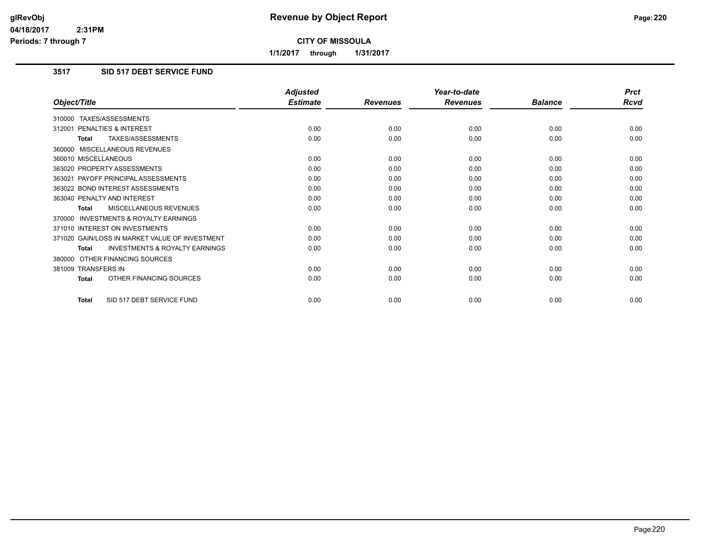**1/1/2017 through 1/31/2017**

### **3517 SID 517 DEBT SERVICE FUND**

|                                                           | <b>Adjusted</b> |                 | Year-to-date    |                | <b>Prct</b> |
|-----------------------------------------------------------|-----------------|-----------------|-----------------|----------------|-------------|
| Object/Title                                              | <b>Estimate</b> | <b>Revenues</b> | <b>Revenues</b> | <b>Balance</b> | Rcvd        |
| 310000 TAXES/ASSESSMENTS                                  |                 |                 |                 |                |             |
| 312001 PENALTIES & INTEREST                               | 0.00            | 0.00            | 0.00            | 0.00           | 0.00        |
| TAXES/ASSESSMENTS<br><b>Total</b>                         | 0.00            | 0.00            | 0.00            | 0.00           | 0.00        |
| 360000 MISCELLANEOUS REVENUES                             |                 |                 |                 |                |             |
| 360010 MISCELLANEOUS                                      | 0.00            | 0.00            | 0.00            | 0.00           | 0.00        |
| 363020 PROPERTY ASSESSMENTS                               | 0.00            | 0.00            | 0.00            | 0.00           | 0.00        |
| 363021 PAYOFF PRINCIPAL ASSESSMENTS                       | 0.00            | 0.00            | 0.00            | 0.00           | 0.00        |
| 363022 BOND INTEREST ASSESSMENTS                          | 0.00            | 0.00            | 0.00            | 0.00           | 0.00        |
| 363040 PENALTY AND INTEREST                               | 0.00            | 0.00            | 0.00            | 0.00           | 0.00        |
| MISCELLANEOUS REVENUES<br><b>Total</b>                    | 0.00            | 0.00            | 0.00            | 0.00           | 0.00        |
| <b>INVESTMENTS &amp; ROYALTY EARNINGS</b><br>370000       |                 |                 |                 |                |             |
| 371010 INTEREST ON INVESTMENTS                            | 0.00            | 0.00            | 0.00            | 0.00           | 0.00        |
| 371020 GAIN/LOSS IN MARKET VALUE OF INVESTMENT            | 0.00            | 0.00            | 0.00            | 0.00           | 0.00        |
| <b>INVESTMENTS &amp; ROYALTY EARNINGS</b><br><b>Total</b> | 0.00            | 0.00            | 0.00            | 0.00           | 0.00        |
| OTHER FINANCING SOURCES<br>380000                         |                 |                 |                 |                |             |
| 381009 TRANSFERS IN                                       | 0.00            | 0.00            | 0.00            | 0.00           | 0.00        |
| OTHER FINANCING SOURCES<br><b>Total</b>                   | 0.00            | 0.00            | 0.00            | 0.00           | 0.00        |
| SID 517 DEBT SERVICE FUND<br><b>Total</b>                 | 0.00            | 0.00            | 0.00            | 0.00           | 0.00        |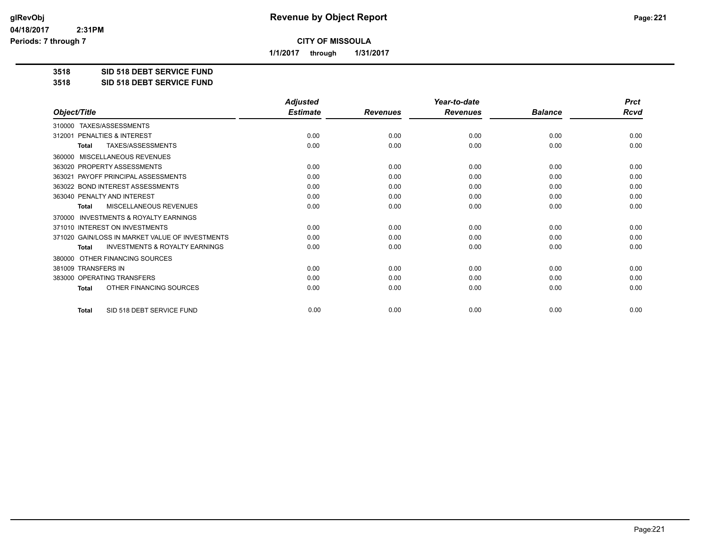**1/1/2017 through 1/31/2017**

**3518 SID 518 DEBT SERVICE FUND**

**3518 SID 518 DEBT SERVICE FUND**

|                                                           | <b>Adjusted</b> |                 | Year-to-date    |                | <b>Prct</b> |
|-----------------------------------------------------------|-----------------|-----------------|-----------------|----------------|-------------|
| Object/Title                                              | <b>Estimate</b> | <b>Revenues</b> | <b>Revenues</b> | <b>Balance</b> | Rcvd        |
| 310000 TAXES/ASSESSMENTS                                  |                 |                 |                 |                |             |
| PENALTIES & INTEREST<br>312001                            | 0.00            | 0.00            | 0.00            | 0.00           | 0.00        |
| TAXES/ASSESSMENTS<br><b>Total</b>                         | 0.00            | 0.00            | 0.00            | 0.00           | 0.00        |
| MISCELLANEOUS REVENUES<br>360000                          |                 |                 |                 |                |             |
| 363020 PROPERTY ASSESSMENTS                               | 0.00            | 0.00            | 0.00            | 0.00           | 0.00        |
| 363021 PAYOFF PRINCIPAL ASSESSMENTS                       | 0.00            | 0.00            | 0.00            | 0.00           | 0.00        |
| 363022 BOND INTEREST ASSESSMENTS                          | 0.00            | 0.00            | 0.00            | 0.00           | 0.00        |
| 363040 PENALTY AND INTEREST                               | 0.00            | 0.00            | 0.00            | 0.00           | 0.00        |
| MISCELLANEOUS REVENUES<br><b>Total</b>                    | 0.00            | 0.00            | 0.00            | 0.00           | 0.00        |
| <b>INVESTMENTS &amp; ROYALTY EARNINGS</b><br>370000       |                 |                 |                 |                |             |
| 371010 INTEREST ON INVESTMENTS                            | 0.00            | 0.00            | 0.00            | 0.00           | 0.00        |
| 371020 GAIN/LOSS IN MARKET VALUE OF INVESTMENTS           | 0.00            | 0.00            | 0.00            | 0.00           | 0.00        |
| <b>INVESTMENTS &amp; ROYALTY EARNINGS</b><br><b>Total</b> | 0.00            | 0.00            | 0.00            | 0.00           | 0.00        |
| OTHER FINANCING SOURCES<br>380000                         |                 |                 |                 |                |             |
| 381009 TRANSFERS IN                                       | 0.00            | 0.00            | 0.00            | 0.00           | 0.00        |
| 383000 OPERATING TRANSFERS                                | 0.00            | 0.00            | 0.00            | 0.00           | 0.00        |
| OTHER FINANCING SOURCES<br><b>Total</b>                   | 0.00            | 0.00            | 0.00            | 0.00           | 0.00        |
| SID 518 DEBT SERVICE FUND<br><b>Total</b>                 | 0.00            | 0.00            | 0.00            | 0.00           | 0.00        |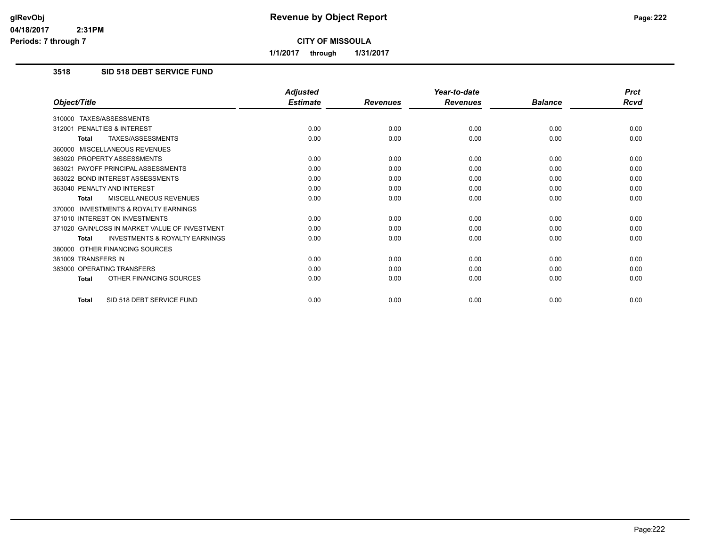**1/1/2017 through 1/31/2017**

### **3518 SID 518 DEBT SERVICE FUND**

|                                                           | <b>Adjusted</b> |                 | Year-to-date    |                | <b>Prct</b> |
|-----------------------------------------------------------|-----------------|-----------------|-----------------|----------------|-------------|
| Object/Title                                              | <b>Estimate</b> | <b>Revenues</b> | <b>Revenues</b> | <b>Balance</b> | Rcvd        |
| 310000 TAXES/ASSESSMENTS                                  |                 |                 |                 |                |             |
| PENALTIES & INTEREST<br>312001                            | 0.00            | 0.00            | 0.00            | 0.00           | 0.00        |
| TAXES/ASSESSMENTS<br><b>Total</b>                         | 0.00            | 0.00            | 0.00            | 0.00           | 0.00        |
| 360000 MISCELLANEOUS REVENUES                             |                 |                 |                 |                |             |
| 363020 PROPERTY ASSESSMENTS                               | 0.00            | 0.00            | 0.00            | 0.00           | 0.00        |
| 363021 PAYOFF PRINCIPAL ASSESSMENTS                       | 0.00            | 0.00            | 0.00            | 0.00           | 0.00        |
| 363022 BOND INTEREST ASSESSMENTS                          | 0.00            | 0.00            | 0.00            | 0.00           | 0.00        |
| 363040 PENALTY AND INTEREST                               | 0.00            | 0.00            | 0.00            | 0.00           | 0.00        |
| MISCELLANEOUS REVENUES<br><b>Total</b>                    | 0.00            | 0.00            | 0.00            | 0.00           | 0.00        |
| 370000 INVESTMENTS & ROYALTY EARNINGS                     |                 |                 |                 |                |             |
| 371010 INTEREST ON INVESTMENTS                            | 0.00            | 0.00            | 0.00            | 0.00           | 0.00        |
| 371020 GAIN/LOSS IN MARKET VALUE OF INVESTMENT            | 0.00            | 0.00            | 0.00            | 0.00           | 0.00        |
| <b>INVESTMENTS &amp; ROYALTY EARNINGS</b><br><b>Total</b> | 0.00            | 0.00            | 0.00            | 0.00           | 0.00        |
| 380000 OTHER FINANCING SOURCES                            |                 |                 |                 |                |             |
| 381009 TRANSFERS IN                                       | 0.00            | 0.00            | 0.00            | 0.00           | 0.00        |
| 383000 OPERATING TRANSFERS                                | 0.00            | 0.00            | 0.00            | 0.00           | 0.00        |
| OTHER FINANCING SOURCES<br>Total                          | 0.00            | 0.00            | 0.00            | 0.00           | 0.00        |
| SID 518 DEBT SERVICE FUND<br><b>Total</b>                 | 0.00            | 0.00            | 0.00            | 0.00           | 0.00        |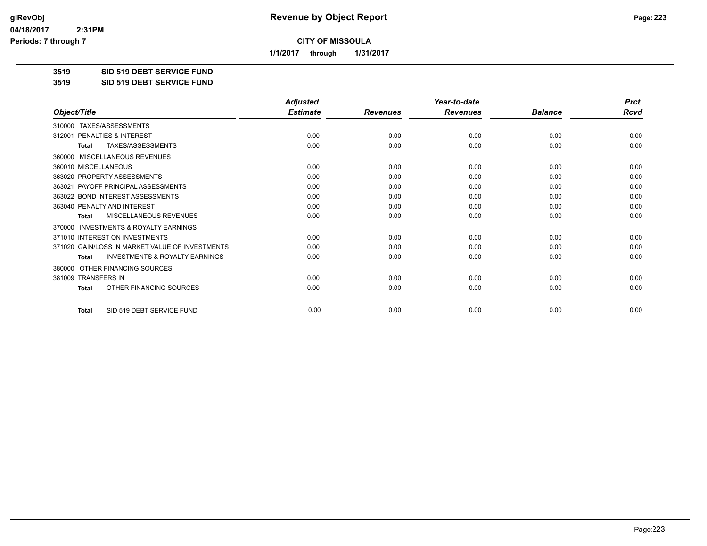**1/1/2017 through 1/31/2017**

**3519 SID 519 DEBT SERVICE FUND**

**3519 SID 519 DEBT SERVICE FUND**

|                                                     | <b>Adjusted</b> |                 | Year-to-date    |                |             |
|-----------------------------------------------------|-----------------|-----------------|-----------------|----------------|-------------|
| Object/Title                                        | <b>Estimate</b> | <b>Revenues</b> | <b>Revenues</b> | <b>Balance</b> | <b>Rcvd</b> |
| TAXES/ASSESSMENTS<br>310000                         |                 |                 |                 |                |             |
| PENALTIES & INTEREST<br>312001                      | 0.00            | 0.00            | 0.00            | 0.00           | 0.00        |
| TAXES/ASSESSMENTS<br><b>Total</b>                   | 0.00            | 0.00            | 0.00            | 0.00           | 0.00        |
| 360000 MISCELLANEOUS REVENUES                       |                 |                 |                 |                |             |
| 360010 MISCELLANEOUS                                | 0.00            | 0.00            | 0.00            | 0.00           | 0.00        |
| 363020 PROPERTY ASSESSMENTS                         | 0.00            | 0.00            | 0.00            | 0.00           | 0.00        |
| 363021 PAYOFF PRINCIPAL ASSESSMENTS                 | 0.00            | 0.00            | 0.00            | 0.00           | 0.00        |
| 363022 BOND INTEREST ASSESSMENTS                    | 0.00            | 0.00            | 0.00            | 0.00           | 0.00        |
| 363040 PENALTY AND INTEREST                         | 0.00            | 0.00            | 0.00            | 0.00           | 0.00        |
| MISCELLANEOUS REVENUES<br>Total                     | 0.00            | 0.00            | 0.00            | 0.00           | 0.00        |
| <b>INVESTMENTS &amp; ROYALTY EARNINGS</b><br>370000 |                 |                 |                 |                |             |
| 371010 INTEREST ON INVESTMENTS                      | 0.00            | 0.00            | 0.00            | 0.00           | 0.00        |
| 371020 GAIN/LOSS IN MARKET VALUE OF INVESTMENTS     | 0.00            | 0.00            | 0.00            | 0.00           | 0.00        |
| <b>INVESTMENTS &amp; ROYALTY EARNINGS</b><br>Total  | 0.00            | 0.00            | 0.00            | 0.00           | 0.00        |
| OTHER FINANCING SOURCES<br>380000                   |                 |                 |                 |                |             |
| 381009 TRANSFERS IN                                 | 0.00            | 0.00            | 0.00            | 0.00           | 0.00        |
| OTHER FINANCING SOURCES<br>Total                    | 0.00            | 0.00            | 0.00            | 0.00           | 0.00        |
| SID 519 DEBT SERVICE FUND<br><b>Total</b>           | 0.00            | 0.00            | 0.00            | 0.00           | 0.00        |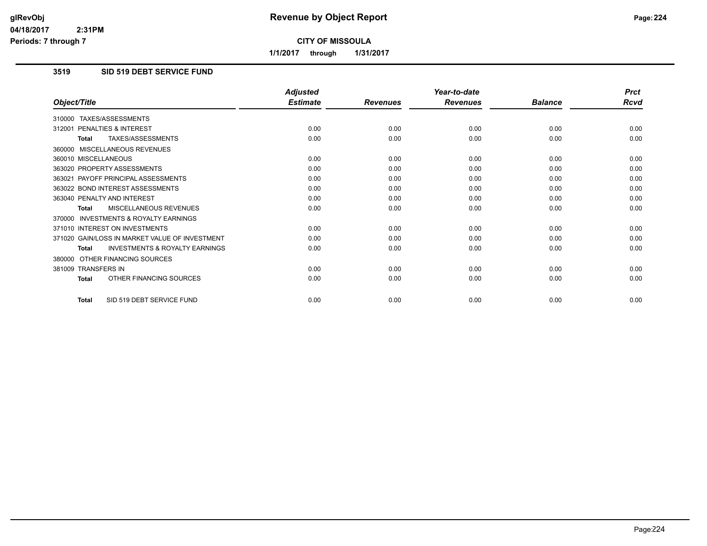**1/1/2017 through 1/31/2017**

### **3519 SID 519 DEBT SERVICE FUND**

|                                                           | <b>Adjusted</b> |                 | Year-to-date    |                | <b>Prct</b> |
|-----------------------------------------------------------|-----------------|-----------------|-----------------|----------------|-------------|
| Object/Title                                              | <b>Estimate</b> | <b>Revenues</b> | <b>Revenues</b> | <b>Balance</b> | <b>Rcvd</b> |
| 310000 TAXES/ASSESSMENTS                                  |                 |                 |                 |                |             |
| 312001 PENALTIES & INTEREST                               | 0.00            | 0.00            | 0.00            | 0.00           | 0.00        |
| TAXES/ASSESSMENTS<br><b>Total</b>                         | 0.00            | 0.00            | 0.00            | 0.00           | 0.00        |
| 360000 MISCELLANEOUS REVENUES                             |                 |                 |                 |                |             |
| 360010 MISCELLANEOUS                                      | 0.00            | 0.00            | 0.00            | 0.00           | 0.00        |
| 363020 PROPERTY ASSESSMENTS                               | 0.00            | 0.00            | 0.00            | 0.00           | 0.00        |
| 363021 PAYOFF PRINCIPAL ASSESSMENTS                       | 0.00            | 0.00            | 0.00            | 0.00           | 0.00        |
| 363022 BOND INTEREST ASSESSMENTS                          | 0.00            | 0.00            | 0.00            | 0.00           | 0.00        |
| 363040 PENALTY AND INTEREST                               | 0.00            | 0.00            | 0.00            | 0.00           | 0.00        |
| MISCELLANEOUS REVENUES<br><b>Total</b>                    | 0.00            | 0.00            | 0.00            | 0.00           | 0.00        |
| <b>INVESTMENTS &amp; ROYALTY EARNINGS</b><br>370000       |                 |                 |                 |                |             |
| 371010 INTEREST ON INVESTMENTS                            | 0.00            | 0.00            | 0.00            | 0.00           | 0.00        |
| 371020 GAIN/LOSS IN MARKET VALUE OF INVESTMENT            | 0.00            | 0.00            | 0.00            | 0.00           | 0.00        |
| <b>INVESTMENTS &amp; ROYALTY EARNINGS</b><br><b>Total</b> | 0.00            | 0.00            | 0.00            | 0.00           | 0.00        |
| OTHER FINANCING SOURCES<br>380000                         |                 |                 |                 |                |             |
| 381009 TRANSFERS IN                                       | 0.00            | 0.00            | 0.00            | 0.00           | 0.00        |
| OTHER FINANCING SOURCES<br>Total                          | 0.00            | 0.00            | 0.00            | 0.00           | 0.00        |
| SID 519 DEBT SERVICE FUND<br><b>Total</b>                 | 0.00            | 0.00            | 0.00            | 0.00           | 0.00        |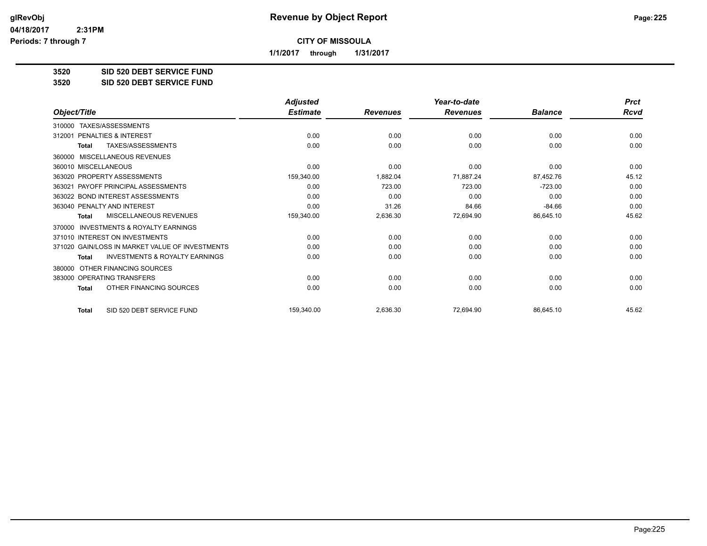**1/1/2017 through 1/31/2017**

**3520 SID 520 DEBT SERVICE FUND**

**3520 SID 520 DEBT SERVICE FUND**

|                                                           | <b>Adjusted</b> |                 | Year-to-date    |                |       |  |
|-----------------------------------------------------------|-----------------|-----------------|-----------------|----------------|-------|--|
| Object/Title                                              | <b>Estimate</b> | <b>Revenues</b> | <b>Revenues</b> | <b>Balance</b> | Rcvd  |  |
| TAXES/ASSESSMENTS<br>310000                               |                 |                 |                 |                |       |  |
| 312001 PENALTIES & INTEREST                               | 0.00            | 0.00            | 0.00            | 0.00           | 0.00  |  |
| <b>TAXES/ASSESSMENTS</b><br>Total                         | 0.00            | 0.00            | 0.00            | 0.00           | 0.00  |  |
| MISCELLANEOUS REVENUES<br>360000                          |                 |                 |                 |                |       |  |
| 360010 MISCELLANEOUS                                      | 0.00            | 0.00            | 0.00            | 0.00           | 0.00  |  |
| 363020 PROPERTY ASSESSMENTS                               | 159,340.00      | 1,882.04        | 71,887.24       | 87,452.76      | 45.12 |  |
| 363021 PAYOFF PRINCIPAL ASSESSMENTS                       | 0.00            | 723.00          | 723.00          | $-723.00$      | 0.00  |  |
| 363022 BOND INTEREST ASSESSMENTS                          | 0.00            | 0.00            | 0.00            | 0.00           | 0.00  |  |
| 363040 PENALTY AND INTEREST                               | 0.00            | 31.26           | 84.66           | $-84.66$       | 0.00  |  |
| MISCELLANEOUS REVENUES<br><b>Total</b>                    | 159,340.00      | 2,636.30        | 72,694.90       | 86,645.10      | 45.62 |  |
| <b>INVESTMENTS &amp; ROYALTY EARNINGS</b><br>370000       |                 |                 |                 |                |       |  |
| 371010 INTEREST ON INVESTMENTS                            | 0.00            | 0.00            | 0.00            | 0.00           | 0.00  |  |
| 371020 GAIN/LOSS IN MARKET VALUE OF INVESTMENTS           | 0.00            | 0.00            | 0.00            | 0.00           | 0.00  |  |
| <b>INVESTMENTS &amp; ROYALTY EARNINGS</b><br><b>Total</b> | 0.00            | 0.00            | 0.00            | 0.00           | 0.00  |  |
| OTHER FINANCING SOURCES<br>380000                         |                 |                 |                 |                |       |  |
| 383000 OPERATING TRANSFERS                                | 0.00            | 0.00            | 0.00            | 0.00           | 0.00  |  |
| OTHER FINANCING SOURCES<br><b>Total</b>                   | 0.00            | 0.00            | 0.00            | 0.00           | 0.00  |  |
| SID 520 DEBT SERVICE FUND<br><b>Total</b>                 | 159,340.00      | 2,636.30        | 72,694.90       | 86,645.10      | 45.62 |  |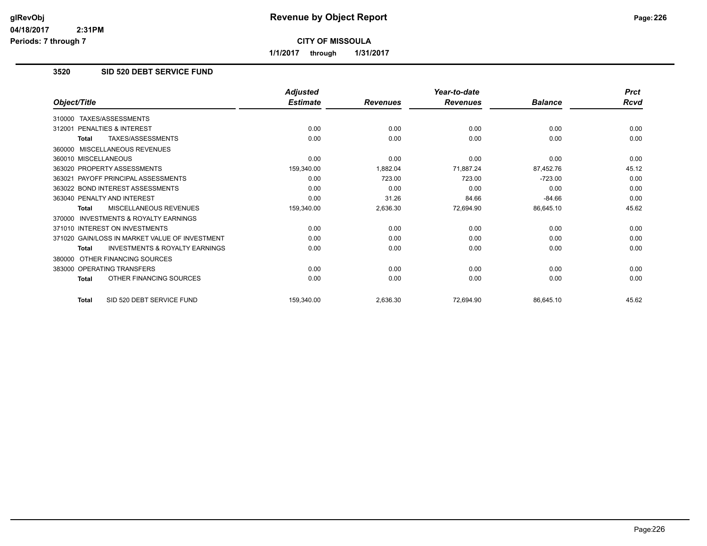**1/1/2017 through 1/31/2017**

### **3520 SID 520 DEBT SERVICE FUND**

|                                                           | <b>Adjusted</b> |                 | Year-to-date    |                | <b>Prct</b> |
|-----------------------------------------------------------|-----------------|-----------------|-----------------|----------------|-------------|
| Object/Title                                              | <b>Estimate</b> | <b>Revenues</b> | <b>Revenues</b> | <b>Balance</b> | Rcvd        |
| TAXES/ASSESSMENTS<br>310000                               |                 |                 |                 |                |             |
| PENALTIES & INTEREST<br>312001                            | 0.00            | 0.00            | 0.00            | 0.00           | 0.00        |
| TAXES/ASSESSMENTS<br><b>Total</b>                         | 0.00            | 0.00            | 0.00            | 0.00           | 0.00        |
| 360000 MISCELLANEOUS REVENUES                             |                 |                 |                 |                |             |
| 360010 MISCELLANEOUS                                      | 0.00            | 0.00            | 0.00            | 0.00           | 0.00        |
| 363020 PROPERTY ASSESSMENTS                               | 159,340.00      | 1,882.04        | 71,887.24       | 87,452.76      | 45.12       |
| 363021 PAYOFF PRINCIPAL ASSESSMENTS                       | 0.00            | 723.00          | 723.00          | $-723.00$      | 0.00        |
| 363022 BOND INTEREST ASSESSMENTS                          | 0.00            | 0.00            | 0.00            | 0.00           | 0.00        |
| 363040 PENALTY AND INTEREST                               | 0.00            | 31.26           | 84.66           | $-84.66$       | 0.00        |
| MISCELLANEOUS REVENUES<br>Total                           | 159,340.00      | 2,636.30        | 72,694.90       | 86,645.10      | 45.62       |
| <b>INVESTMENTS &amp; ROYALTY EARNINGS</b><br>370000       |                 |                 |                 |                |             |
| 371010 INTEREST ON INVESTMENTS                            | 0.00            | 0.00            | 0.00            | 0.00           | 0.00        |
| 371020 GAIN/LOSS IN MARKET VALUE OF INVESTMENT            | 0.00            | 0.00            | 0.00            | 0.00           | 0.00        |
| <b>INVESTMENTS &amp; ROYALTY EARNINGS</b><br><b>Total</b> | 0.00            | 0.00            | 0.00            | 0.00           | 0.00        |
| OTHER FINANCING SOURCES<br>380000                         |                 |                 |                 |                |             |
| 383000 OPERATING TRANSFERS                                | 0.00            | 0.00            | 0.00            | 0.00           | 0.00        |
| OTHER FINANCING SOURCES<br><b>Total</b>                   | 0.00            | 0.00            | 0.00            | 0.00           | 0.00        |
| SID 520 DEBT SERVICE FUND<br><b>Total</b>                 | 159,340.00      | 2,636.30        | 72,694.90       | 86,645.10      | 45.62       |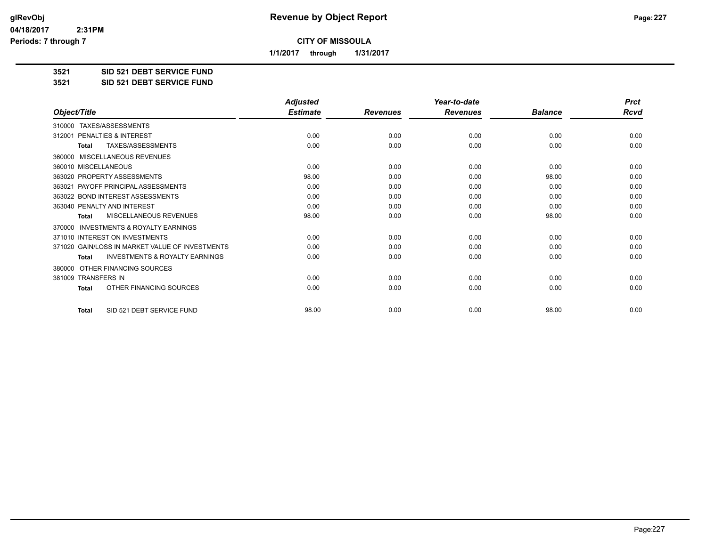**1/1/2017 through 1/31/2017**

**3521 SID 521 DEBT SERVICE FUND**

**3521 SID 521 DEBT SERVICE FUND**

|                                                     | <b>Adjusted</b> |                 | Year-to-date    |                |             |  |
|-----------------------------------------------------|-----------------|-----------------|-----------------|----------------|-------------|--|
| Object/Title                                        | <b>Estimate</b> | <b>Revenues</b> | <b>Revenues</b> | <b>Balance</b> | <b>Rcvd</b> |  |
| TAXES/ASSESSMENTS<br>310000                         |                 |                 |                 |                |             |  |
| 312001 PENALTIES & INTEREST                         | 0.00            | 0.00            | 0.00            | 0.00           | 0.00        |  |
| TAXES/ASSESSMENTS<br><b>Total</b>                   | 0.00            | 0.00            | 0.00            | 0.00           | 0.00        |  |
| 360000 MISCELLANEOUS REVENUES                       |                 |                 |                 |                |             |  |
| 360010 MISCELLANEOUS                                | 0.00            | 0.00            | 0.00            | 0.00           | 0.00        |  |
| 363020 PROPERTY ASSESSMENTS                         | 98.00           | 0.00            | 0.00            | 98.00          | 0.00        |  |
| 363021 PAYOFF PRINCIPAL ASSESSMENTS                 | 0.00            | 0.00            | 0.00            | 0.00           | 0.00        |  |
| 363022 BOND INTEREST ASSESSMENTS                    | 0.00            | 0.00            | 0.00            | 0.00           | 0.00        |  |
| 363040 PENALTY AND INTEREST                         | 0.00            | 0.00            | 0.00            | 0.00           | 0.00        |  |
| MISCELLANEOUS REVENUES<br>Total                     | 98.00           | 0.00            | 0.00            | 98.00          | 0.00        |  |
| <b>INVESTMENTS &amp; ROYALTY EARNINGS</b><br>370000 |                 |                 |                 |                |             |  |
| 371010 INTEREST ON INVESTMENTS                      | 0.00            | 0.00            | 0.00            | 0.00           | 0.00        |  |
| 371020 GAIN/LOSS IN MARKET VALUE OF INVESTMENTS     | 0.00            | 0.00            | 0.00            | 0.00           | 0.00        |  |
| <b>INVESTMENTS &amp; ROYALTY EARNINGS</b><br>Total  | 0.00            | 0.00            | 0.00            | 0.00           | 0.00        |  |
| OTHER FINANCING SOURCES<br>380000                   |                 |                 |                 |                |             |  |
| 381009 TRANSFERS IN                                 | 0.00            | 0.00            | 0.00            | 0.00           | 0.00        |  |
| OTHER FINANCING SOURCES<br><b>Total</b>             | 0.00            | 0.00            | 0.00            | 0.00           | 0.00        |  |
| SID 521 DEBT SERVICE FUND<br><b>Total</b>           | 98.00           | 0.00            | 0.00            | 98.00          | 0.00        |  |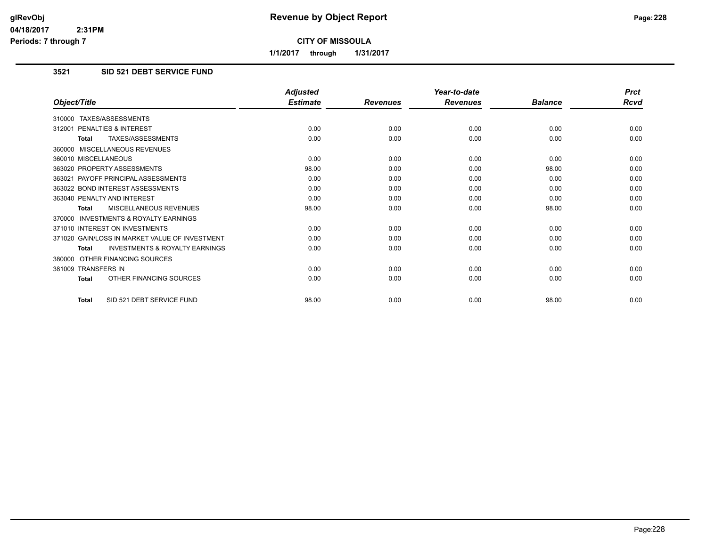**1/1/2017 through 1/31/2017**

### **3521 SID 521 DEBT SERVICE FUND**

|                                                           | <b>Adjusted</b> |                 | Year-to-date    |                | <b>Prct</b> |
|-----------------------------------------------------------|-----------------|-----------------|-----------------|----------------|-------------|
| Object/Title                                              | <b>Estimate</b> | <b>Revenues</b> | <b>Revenues</b> | <b>Balance</b> | <b>Rcvd</b> |
| 310000 TAXES/ASSESSMENTS                                  |                 |                 |                 |                |             |
| 312001 PENALTIES & INTEREST                               | 0.00            | 0.00            | 0.00            | 0.00           | 0.00        |
| TAXES/ASSESSMENTS<br><b>Total</b>                         | 0.00            | 0.00            | 0.00            | 0.00           | 0.00        |
| 360000 MISCELLANEOUS REVENUES                             |                 |                 |                 |                |             |
| 360010 MISCELLANEOUS                                      | 0.00            | 0.00            | 0.00            | 0.00           | 0.00        |
| 363020 PROPERTY ASSESSMENTS                               | 98.00           | 0.00            | 0.00            | 98.00          | 0.00        |
| 363021 PAYOFF PRINCIPAL ASSESSMENTS                       | 0.00            | 0.00            | 0.00            | 0.00           | 0.00        |
| 363022 BOND INTEREST ASSESSMENTS                          | 0.00            | 0.00            | 0.00            | 0.00           | 0.00        |
| 363040 PENALTY AND INTEREST                               | 0.00            | 0.00            | 0.00            | 0.00           | 0.00        |
| MISCELLANEOUS REVENUES<br><b>Total</b>                    | 98.00           | 0.00            | 0.00            | 98.00          | 0.00        |
| <b>INVESTMENTS &amp; ROYALTY EARNINGS</b><br>370000       |                 |                 |                 |                |             |
| 371010 INTEREST ON INVESTMENTS                            | 0.00            | 0.00            | 0.00            | 0.00           | 0.00        |
| 371020 GAIN/LOSS IN MARKET VALUE OF INVESTMENT            | 0.00            | 0.00            | 0.00            | 0.00           | 0.00        |
| <b>INVESTMENTS &amp; ROYALTY EARNINGS</b><br><b>Total</b> | 0.00            | 0.00            | 0.00            | 0.00           | 0.00        |
| OTHER FINANCING SOURCES<br>380000                         |                 |                 |                 |                |             |
| 381009 TRANSFERS IN                                       | 0.00            | 0.00            | 0.00            | 0.00           | 0.00        |
| OTHER FINANCING SOURCES<br>Total                          | 0.00            | 0.00            | 0.00            | 0.00           | 0.00        |
| SID 521 DEBT SERVICE FUND<br><b>Total</b>                 | 98.00           | 0.00            | 0.00            | 98.00          | 0.00        |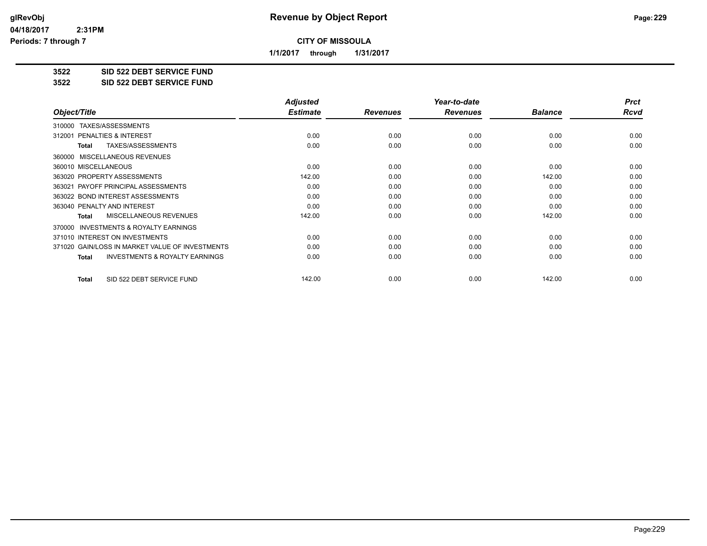**1/1/2017 through 1/31/2017**

**3522 SID 522 DEBT SERVICE FUND**

**3522 SID 522 DEBT SERVICE FUND**

|                                                           | <b>Adjusted</b> |                 | Year-to-date    |                | <b>Prct</b> |
|-----------------------------------------------------------|-----------------|-----------------|-----------------|----------------|-------------|
| Object/Title                                              | <b>Estimate</b> | <b>Revenues</b> | <b>Revenues</b> | <b>Balance</b> | Rcvd        |
| 310000 TAXES/ASSESSMENTS                                  |                 |                 |                 |                |             |
| 312001 PENALTIES & INTEREST                               | 0.00            | 0.00            | 0.00            | 0.00           | 0.00        |
| TAXES/ASSESSMENTS<br>Total                                | 0.00            | 0.00            | 0.00            | 0.00           | 0.00        |
| 360000 MISCELLANEOUS REVENUES                             |                 |                 |                 |                |             |
| 360010 MISCELLANEOUS                                      | 0.00            | 0.00            | 0.00            | 0.00           | 0.00        |
| 363020 PROPERTY ASSESSMENTS                               | 142.00          | 0.00            | 0.00            | 142.00         | 0.00        |
| 363021 PAYOFF PRINCIPAL ASSESSMENTS                       | 0.00            | 0.00            | 0.00            | 0.00           | 0.00        |
| 363022 BOND INTEREST ASSESSMENTS                          | 0.00            | 0.00            | 0.00            | 0.00           | 0.00        |
| 363040 PENALTY AND INTEREST                               | 0.00            | 0.00            | 0.00            | 0.00           | 0.00        |
| MISCELLANEOUS REVENUES<br>Total                           | 142.00          | 0.00            | 0.00            | 142.00         | 0.00        |
| <b>INVESTMENTS &amp; ROYALTY EARNINGS</b><br>370000       |                 |                 |                 |                |             |
| 371010 INTEREST ON INVESTMENTS                            | 0.00            | 0.00            | 0.00            | 0.00           | 0.00        |
| 371020 GAIN/LOSS IN MARKET VALUE OF INVESTMENTS           | 0.00            | 0.00            | 0.00            | 0.00           | 0.00        |
| <b>INVESTMENTS &amp; ROYALTY EARNINGS</b><br><b>Total</b> | 0.00            | 0.00            | 0.00            | 0.00           | 0.00        |
| SID 522 DEBT SERVICE FUND<br><b>Total</b>                 | 142.00          | 0.00            | 0.00            | 142.00         | 0.00        |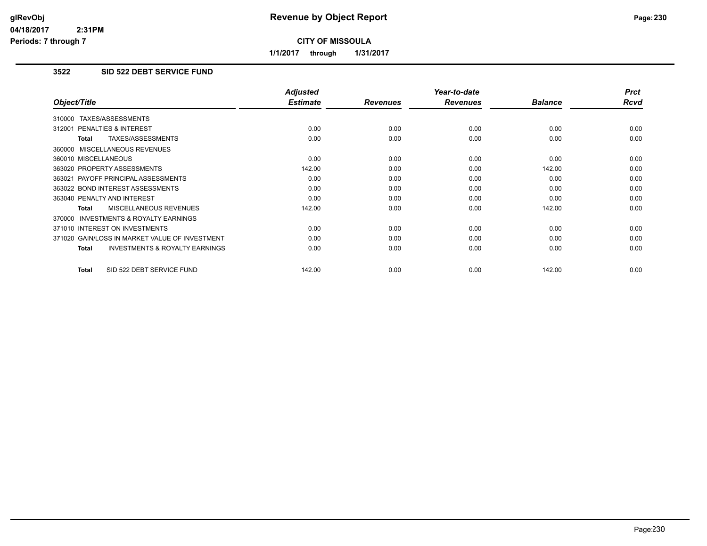**1/1/2017 through 1/31/2017**

### **3522 SID 522 DEBT SERVICE FUND**

|                                                           | <b>Adjusted</b> |                 | Year-to-date    |                | <b>Prct</b> |
|-----------------------------------------------------------|-----------------|-----------------|-----------------|----------------|-------------|
| Object/Title                                              | <b>Estimate</b> | <b>Revenues</b> | <b>Revenues</b> | <b>Balance</b> | Rcvd        |
| 310000 TAXES/ASSESSMENTS                                  |                 |                 |                 |                |             |
| 312001 PENALTIES & INTEREST                               | 0.00            | 0.00            | 0.00            | 0.00           | 0.00        |
| TAXES/ASSESSMENTS<br>Total                                | 0.00            | 0.00            | 0.00            | 0.00           | 0.00        |
| 360000 MISCELLANEOUS REVENUES                             |                 |                 |                 |                |             |
| 360010 MISCELLANEOUS                                      | 0.00            | 0.00            | 0.00            | 0.00           | 0.00        |
| 363020 PROPERTY ASSESSMENTS                               | 142.00          | 0.00            | 0.00            | 142.00         | 0.00        |
| 363021 PAYOFF PRINCIPAL ASSESSMENTS                       | 0.00            | 0.00            | 0.00            | 0.00           | 0.00        |
| 363022 BOND INTEREST ASSESSMENTS                          | 0.00            | 0.00            | 0.00            | 0.00           | 0.00        |
| 363040 PENALTY AND INTEREST                               | 0.00            | 0.00            | 0.00            | 0.00           | 0.00        |
| MISCELLANEOUS REVENUES<br>Total                           | 142.00          | 0.00            | 0.00            | 142.00         | 0.00        |
| INVESTMENTS & ROYALTY EARNINGS<br>370000                  |                 |                 |                 |                |             |
| 371010 INTEREST ON INVESTMENTS                            | 0.00            | 0.00            | 0.00            | 0.00           | 0.00        |
| 371020 GAIN/LOSS IN MARKET VALUE OF INVESTMENT            | 0.00            | 0.00            | 0.00            | 0.00           | 0.00        |
| <b>INVESTMENTS &amp; ROYALTY EARNINGS</b><br><b>Total</b> | 0.00            | 0.00            | 0.00            | 0.00           | 0.00        |
| SID 522 DEBT SERVICE FUND<br><b>Total</b>                 | 142.00          | 0.00            | 0.00            | 142.00         | 0.00        |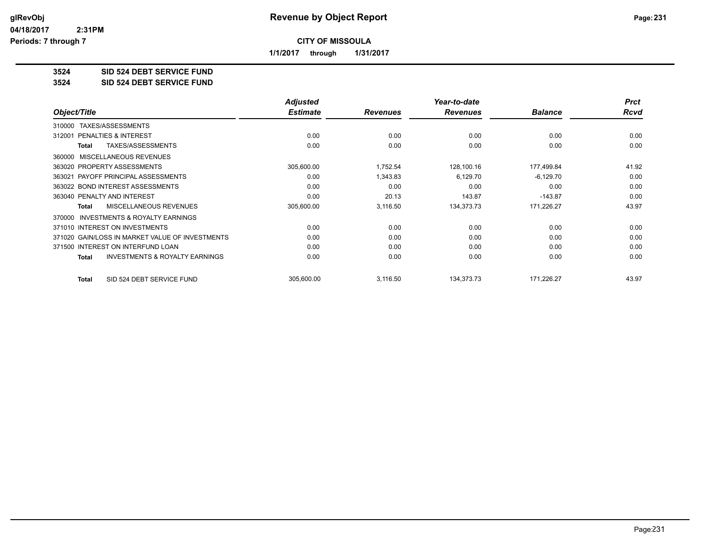**1/1/2017 through 1/31/2017**

**3524 SID 524 DEBT SERVICE FUND**

**3524 SID 524 DEBT SERVICE FUND**

|                                                    | <b>Adjusted</b> |                 | Year-to-date    |                | <b>Prct</b> |
|----------------------------------------------------|-----------------|-----------------|-----------------|----------------|-------------|
| Object/Title                                       | <b>Estimate</b> | <b>Revenues</b> | <b>Revenues</b> | <b>Balance</b> | Rcvd        |
| TAXES/ASSESSMENTS<br>310000                        |                 |                 |                 |                |             |
| 312001 PENALTIES & INTEREST                        | 0.00            | 0.00            | 0.00            | 0.00           | 0.00        |
| TAXES/ASSESSMENTS<br>Total                         | 0.00            | 0.00            | 0.00            | 0.00           | 0.00        |
| 360000 MISCELLANEOUS REVENUES                      |                 |                 |                 |                |             |
| 363020 PROPERTY ASSESSMENTS                        | 305,600.00      | 1,752.54        | 128,100.16      | 177,499.84     | 41.92       |
| 363021 PAYOFF PRINCIPAL ASSESSMENTS                | 0.00            | 1,343.83        | 6,129.70        | $-6,129.70$    | 0.00        |
| 363022 BOND INTEREST ASSESSMENTS                   | 0.00            | 0.00            | 0.00            | 0.00           | 0.00        |
| 363040 PENALTY AND INTEREST                        | 0.00            | 20.13           | 143.87          | $-143.87$      | 0.00        |
| MISCELLANEOUS REVENUES<br>Total                    | 305,600.00      | 3,116.50        | 134,373.73      | 171,226.27     | 43.97       |
| 370000 INVESTMENTS & ROYALTY EARNINGS              |                 |                 |                 |                |             |
| 371010 INTEREST ON INVESTMENTS                     | 0.00            | 0.00            | 0.00            | 0.00           | 0.00        |
| 371020 GAIN/LOSS IN MARKET VALUE OF INVESTMENTS    | 0.00            | 0.00            | 0.00            | 0.00           | 0.00        |
| 371500 INTEREST ON INTERFUND LOAN                  | 0.00            | 0.00            | 0.00            | 0.00           | 0.00        |
| <b>INVESTMENTS &amp; ROYALTY EARNINGS</b><br>Total | 0.00            | 0.00            | 0.00            | 0.00           | 0.00        |
| SID 524 DEBT SERVICE FUND<br><b>Total</b>          | 305,600.00      | 3,116.50        | 134,373.73      | 171,226.27     | 43.97       |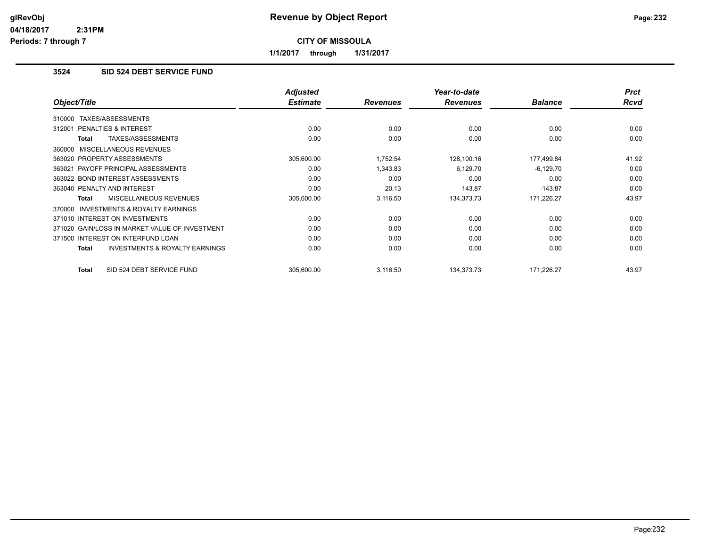**1/1/2017 through 1/31/2017**

### **3524 SID 524 DEBT SERVICE FUND**

|                                                     | <b>Adjusted</b> |                 | Year-to-date    |                | <b>Prct</b> |
|-----------------------------------------------------|-----------------|-----------------|-----------------|----------------|-------------|
| Object/Title                                        | <b>Estimate</b> | <b>Revenues</b> | <b>Revenues</b> | <b>Balance</b> | <b>Rcvd</b> |
| 310000 TAXES/ASSESSMENTS                            |                 |                 |                 |                |             |
| <b>PENALTIES &amp; INTEREST</b><br>312001           | 0.00            | 0.00            | 0.00            | 0.00           | 0.00        |
| TAXES/ASSESSMENTS<br>Total                          | 0.00            | 0.00            | 0.00            | 0.00           | 0.00        |
| 360000 MISCELLANEOUS REVENUES                       |                 |                 |                 |                |             |
| 363020 PROPERTY ASSESSMENTS                         | 305,600.00      | 1,752.54        | 128,100.16      | 177,499.84     | 41.92       |
| 363021 PAYOFF PRINCIPAL ASSESSMENTS                 | 0.00            | 1,343.83        | 6,129.70        | $-6,129.70$    | 0.00        |
| 363022 BOND INTEREST ASSESSMENTS                    | 0.00            | 0.00            | 0.00            | 0.00           | 0.00        |
| 363040 PENALTY AND INTEREST                         | 0.00            | 20.13           | 143.87          | $-143.87$      | 0.00        |
| MISCELLANEOUS REVENUES<br>Total                     | 305,600.00      | 3,116.50        | 134,373.73      | 171,226.27     | 43.97       |
| <b>INVESTMENTS &amp; ROYALTY EARNINGS</b><br>370000 |                 |                 |                 |                |             |
| 371010 INTEREST ON INVESTMENTS                      | 0.00            | 0.00            | 0.00            | 0.00           | 0.00        |
| 371020 GAIN/LOSS IN MARKET VALUE OF INVESTMENT      | 0.00            | 0.00            | 0.00            | 0.00           | 0.00        |
| 371500 INTEREST ON INTERFUND LOAN                   | 0.00            | 0.00            | 0.00            | 0.00           | 0.00        |
| <b>INVESTMENTS &amp; ROYALTY EARNINGS</b><br>Total  | 0.00            | 0.00            | 0.00            | 0.00           | 0.00        |
| SID 524 DEBT SERVICE FUND<br><b>Total</b>           | 305,600.00      | 3,116.50        | 134,373.73      | 171,226.27     | 43.97       |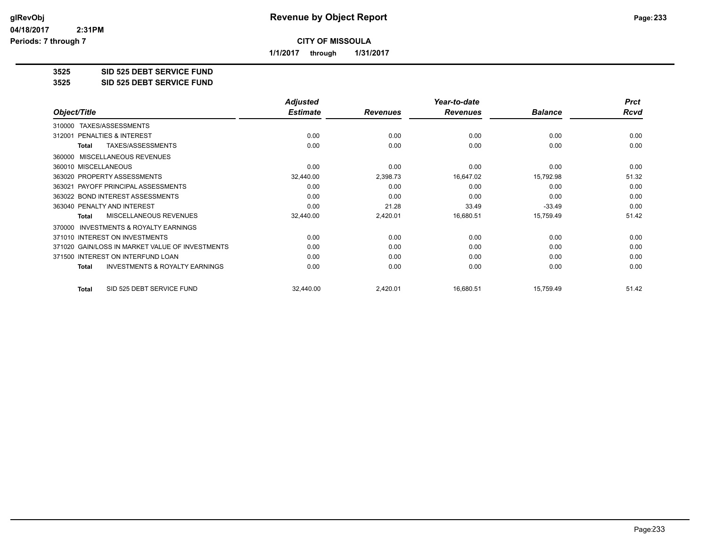**1/1/2017 through 1/31/2017**

**3525 SID 525 DEBT SERVICE FUND**

**3525 SID 525 DEBT SERVICE FUND**

|                                                     | <b>Adjusted</b> |                 | Year-to-date    |                | <b>Prct</b> |
|-----------------------------------------------------|-----------------|-----------------|-----------------|----------------|-------------|
| Object/Title                                        | <b>Estimate</b> | <b>Revenues</b> | <b>Revenues</b> | <b>Balance</b> | Rcvd        |
| 310000 TAXES/ASSESSMENTS                            |                 |                 |                 |                |             |
| PENALTIES & INTEREST<br>312001                      | 0.00            | 0.00            | 0.00            | 0.00           | 0.00        |
| TAXES/ASSESSMENTS<br>Total                          | 0.00            | 0.00            | 0.00            | 0.00           | 0.00        |
| 360000 MISCELLANEOUS REVENUES                       |                 |                 |                 |                |             |
| 360010 MISCELLANEOUS                                | 0.00            | 0.00            | 0.00            | 0.00           | 0.00        |
| 363020 PROPERTY ASSESSMENTS                         | 32,440.00       | 2,398.73        | 16,647.02       | 15,792.98      | 51.32       |
| 363021 PAYOFF PRINCIPAL ASSESSMENTS                 | 0.00            | 0.00            | 0.00            | 0.00           | 0.00        |
| 363022 BOND INTEREST ASSESSMENTS                    | 0.00            | 0.00            | 0.00            | 0.00           | 0.00        |
| 363040 PENALTY AND INTEREST                         | 0.00            | 21.28           | 33.49           | $-33.49$       | 0.00        |
| MISCELLANEOUS REVENUES<br><b>Total</b>              | 32,440.00       | 2,420.01        | 16,680.51       | 15,759.49      | 51.42       |
| <b>INVESTMENTS &amp; ROYALTY EARNINGS</b><br>370000 |                 |                 |                 |                |             |
| 371010 INTEREST ON INVESTMENTS                      | 0.00            | 0.00            | 0.00            | 0.00           | 0.00        |
| 371020 GAIN/LOSS IN MARKET VALUE OF INVESTMENTS     | 0.00            | 0.00            | 0.00            | 0.00           | 0.00        |
| 371500 INTEREST ON INTERFUND LOAN                   | 0.00            | 0.00            | 0.00            | 0.00           | 0.00        |
| <b>INVESTMENTS &amp; ROYALTY EARNINGS</b><br>Total  | 0.00            | 0.00            | 0.00            | 0.00           | 0.00        |
| SID 525 DEBT SERVICE FUND<br><b>Total</b>           | 32,440.00       | 2,420.01        | 16,680.51       | 15,759.49      | 51.42       |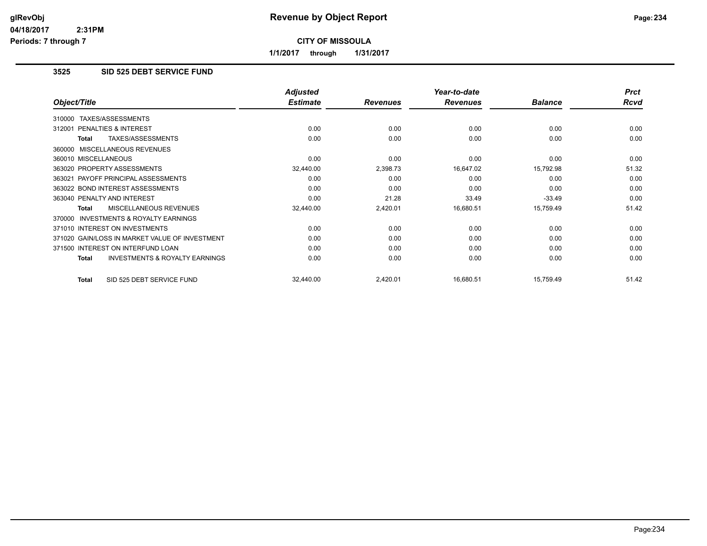**1/1/2017 through 1/31/2017**

### **3525 SID 525 DEBT SERVICE FUND**

|                                                    | <b>Adjusted</b> |                 | Year-to-date    |                | <b>Prct</b> |
|----------------------------------------------------|-----------------|-----------------|-----------------|----------------|-------------|
| Object/Title                                       | <b>Estimate</b> | <b>Revenues</b> | <b>Revenues</b> | <b>Balance</b> | <b>Rcvd</b> |
| TAXES/ASSESSMENTS<br>310000                        |                 |                 |                 |                |             |
| PENALTIES & INTEREST<br>312001                     | 0.00            | 0.00            | 0.00            | 0.00           | 0.00        |
| TAXES/ASSESSMENTS<br><b>Total</b>                  | 0.00            | 0.00            | 0.00            | 0.00           | 0.00        |
| 360000 MISCELLANEOUS REVENUES                      |                 |                 |                 |                |             |
| 360010 MISCELLANEOUS                               | 0.00            | 0.00            | 0.00            | 0.00           | 0.00        |
| 363020 PROPERTY ASSESSMENTS                        | 32,440.00       | 2,398.73        | 16,647.02       | 15,792.98      | 51.32       |
| 363021 PAYOFF PRINCIPAL ASSESSMENTS                | 0.00            | 0.00            | 0.00            | 0.00           | 0.00        |
| 363022 BOND INTEREST ASSESSMENTS                   | 0.00            | 0.00            | 0.00            | 0.00           | 0.00        |
| 363040 PENALTY AND INTEREST                        | 0.00            | 21.28           | 33.49           | $-33.49$       | 0.00        |
| MISCELLANEOUS REVENUES<br>Total                    | 32,440.00       | 2,420.01        | 16,680.51       | 15,759.49      | 51.42       |
| 370000 INVESTMENTS & ROYALTY EARNINGS              |                 |                 |                 |                |             |
| 371010 INTEREST ON INVESTMENTS                     | 0.00            | 0.00            | 0.00            | 0.00           | 0.00        |
| 371020 GAIN/LOSS IN MARKET VALUE OF INVESTMENT     | 0.00            | 0.00            | 0.00            | 0.00           | 0.00        |
| 371500 INTEREST ON INTERFUND LOAN                  | 0.00            | 0.00            | 0.00            | 0.00           | 0.00        |
| <b>INVESTMENTS &amp; ROYALTY EARNINGS</b><br>Total | 0.00            | 0.00            | 0.00            | 0.00           | 0.00        |
| SID 525 DEBT SERVICE FUND<br><b>Total</b>          | 32,440.00       | 2,420.01        | 16,680.51       | 15,759.49      | 51.42       |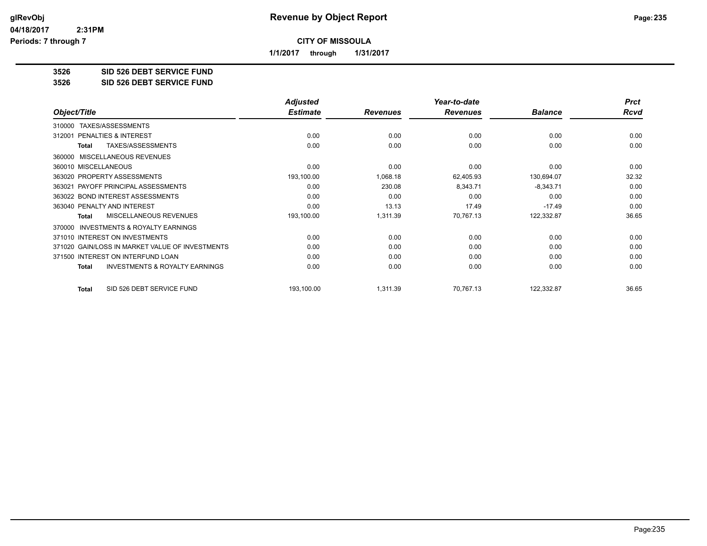**1/1/2017 through 1/31/2017**

**3526 SID 526 DEBT SERVICE FUND**

**3526 SID 526 DEBT SERVICE FUND**

|                                                     | <b>Adjusted</b> |                 | Year-to-date    |                | <b>Prct</b> |
|-----------------------------------------------------|-----------------|-----------------|-----------------|----------------|-------------|
| Object/Title                                        | <b>Estimate</b> | <b>Revenues</b> | <b>Revenues</b> | <b>Balance</b> | <b>Rcvd</b> |
| TAXES/ASSESSMENTS<br>310000                         |                 |                 |                 |                |             |
| 312001 PENALTIES & INTEREST                         | 0.00            | 0.00            | 0.00            | 0.00           | 0.00        |
| TAXES/ASSESSMENTS<br>Total                          | 0.00            | 0.00            | 0.00            | 0.00           | 0.00        |
| MISCELLANEOUS REVENUES<br>360000                    |                 |                 |                 |                |             |
| 360010 MISCELLANEOUS                                | 0.00            | 0.00            | 0.00            | 0.00           | 0.00        |
| 363020 PROPERTY ASSESSMENTS                         | 193,100.00      | 1,068.18        | 62,405.93       | 130,694.07     | 32.32       |
| 363021 PAYOFF PRINCIPAL ASSESSMENTS                 | 0.00            | 230.08          | 8,343.71        | $-8,343.71$    | 0.00        |
| 363022 BOND INTEREST ASSESSMENTS                    | 0.00            | 0.00            | 0.00            | 0.00           | 0.00        |
| 363040 PENALTY AND INTEREST                         | 0.00            | 13.13           | 17.49           | $-17.49$       | 0.00        |
| MISCELLANEOUS REVENUES<br><b>Total</b>              | 193,100.00      | 1,311.39        | 70,767.13       | 122,332.87     | 36.65       |
| <b>INVESTMENTS &amp; ROYALTY EARNINGS</b><br>370000 |                 |                 |                 |                |             |
| 371010 INTEREST ON INVESTMENTS                      | 0.00            | 0.00            | 0.00            | 0.00           | 0.00        |
| 371020 GAIN/LOSS IN MARKET VALUE OF INVESTMENTS     | 0.00            | 0.00            | 0.00            | 0.00           | 0.00        |
| 371500 INTEREST ON INTERFUND LOAN                   | 0.00            | 0.00            | 0.00            | 0.00           | 0.00        |
| <b>INVESTMENTS &amp; ROYALTY EARNINGS</b><br>Total  | 0.00            | 0.00            | 0.00            | 0.00           | 0.00        |
| SID 526 DEBT SERVICE FUND<br><b>Total</b>           | 193,100.00      | 1,311.39        | 70,767.13       | 122,332.87     | 36.65       |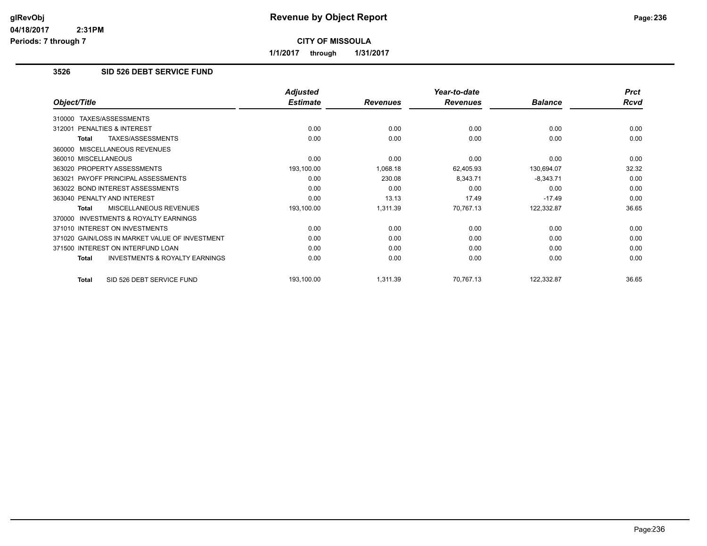**1/1/2017 through 1/31/2017**

### **3526 SID 526 DEBT SERVICE FUND**

|                                                           | <b>Adjusted</b> |                 | Year-to-date    |                | <b>Prct</b> |
|-----------------------------------------------------------|-----------------|-----------------|-----------------|----------------|-------------|
| Object/Title                                              | <b>Estimate</b> | <b>Revenues</b> | <b>Revenues</b> | <b>Balance</b> | <b>Rcvd</b> |
| TAXES/ASSESSMENTS<br>310000                               |                 |                 |                 |                |             |
| <b>PENALTIES &amp; INTEREST</b><br>312001                 | 0.00            | 0.00            | 0.00            | 0.00           | 0.00        |
| TAXES/ASSESSMENTS<br><b>Total</b>                         | 0.00            | 0.00            | 0.00            | 0.00           | 0.00        |
| MISCELLANEOUS REVENUES<br>360000                          |                 |                 |                 |                |             |
| 360010 MISCELLANEOUS                                      | 0.00            | 0.00            | 0.00            | 0.00           | 0.00        |
| 363020 PROPERTY ASSESSMENTS                               | 193,100.00      | 1,068.18        | 62,405.93       | 130,694.07     | 32.32       |
| 363021 PAYOFF PRINCIPAL ASSESSMENTS                       | 0.00            | 230.08          | 8,343.71        | $-8,343.71$    | 0.00        |
| 363022 BOND INTEREST ASSESSMENTS                          | 0.00            | 0.00            | 0.00            | 0.00           | 0.00        |
| 363040 PENALTY AND INTEREST                               | 0.00            | 13.13           | 17.49           | $-17.49$       | 0.00        |
| MISCELLANEOUS REVENUES<br><b>Total</b>                    | 193,100.00      | 1,311.39        | 70,767.13       | 122,332.87     | 36.65       |
| INVESTMENTS & ROYALTY EARNINGS<br>370000                  |                 |                 |                 |                |             |
| 371010 INTEREST ON INVESTMENTS                            | 0.00            | 0.00            | 0.00            | 0.00           | 0.00        |
| 371020 GAIN/LOSS IN MARKET VALUE OF INVESTMENT            | 0.00            | 0.00            | 0.00            | 0.00           | 0.00        |
| 371500 INTEREST ON INTERFUND LOAN                         | 0.00            | 0.00            | 0.00            | 0.00           | 0.00        |
| <b>INVESTMENTS &amp; ROYALTY EARNINGS</b><br><b>Total</b> | 0.00            | 0.00            | 0.00            | 0.00           | 0.00        |
| SID 526 DEBT SERVICE FUND<br><b>Total</b>                 | 193,100.00      | 1,311.39        | 70,767.13       | 122,332.87     | 36.65       |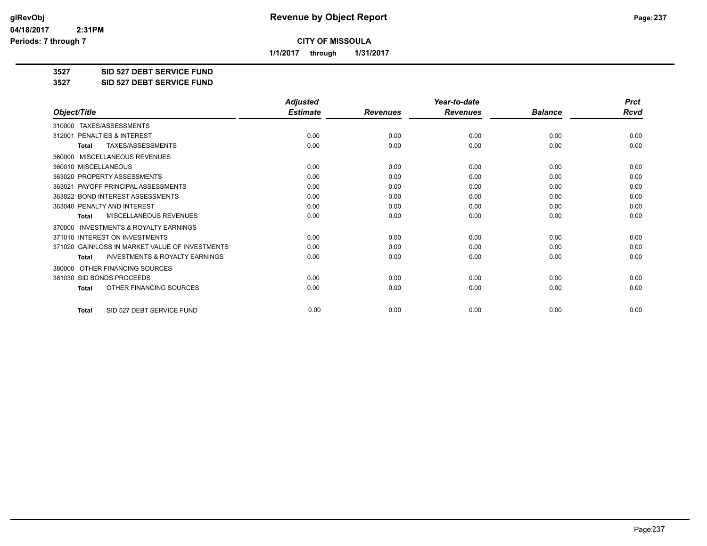**1/1/2017 through 1/31/2017**

**3527 SID 527 DEBT SERVICE FUND**

**3527 SID 527 DEBT SERVICE FUND**

|                                                     | <b>Adjusted</b> |                 | Year-to-date    |                |             |
|-----------------------------------------------------|-----------------|-----------------|-----------------|----------------|-------------|
| Object/Title                                        | <b>Estimate</b> | <b>Revenues</b> | <b>Revenues</b> | <b>Balance</b> | <b>Rcvd</b> |
| TAXES/ASSESSMENTS<br>310000                         |                 |                 |                 |                |             |
| PENALTIES & INTEREST<br>312001                      | 0.00            | 0.00            | 0.00            | 0.00           | 0.00        |
| TAXES/ASSESSMENTS<br><b>Total</b>                   | 0.00            | 0.00            | 0.00            | 0.00           | 0.00        |
| 360000 MISCELLANEOUS REVENUES                       |                 |                 |                 |                |             |
| 360010 MISCELLANEOUS                                | 0.00            | 0.00            | 0.00            | 0.00           | 0.00        |
| 363020 PROPERTY ASSESSMENTS                         | 0.00            | 0.00            | 0.00            | 0.00           | 0.00        |
| 363021 PAYOFF PRINCIPAL ASSESSMENTS                 | 0.00            | 0.00            | 0.00            | 0.00           | 0.00        |
| 363022 BOND INTEREST ASSESSMENTS                    | 0.00            | 0.00            | 0.00            | 0.00           | 0.00        |
| 363040 PENALTY AND INTEREST                         | 0.00            | 0.00            | 0.00            | 0.00           | 0.00        |
| MISCELLANEOUS REVENUES<br>Total                     | 0.00            | 0.00            | 0.00            | 0.00           | 0.00        |
| <b>INVESTMENTS &amp; ROYALTY EARNINGS</b><br>370000 |                 |                 |                 |                |             |
| 371010 INTEREST ON INVESTMENTS                      | 0.00            | 0.00            | 0.00            | 0.00           | 0.00        |
| 371020 GAIN/LOSS IN MARKET VALUE OF INVESTMENTS     | 0.00            | 0.00            | 0.00            | 0.00           | 0.00        |
| <b>INVESTMENTS &amp; ROYALTY EARNINGS</b><br>Total  | 0.00            | 0.00            | 0.00            | 0.00           | 0.00        |
| OTHER FINANCING SOURCES<br>380000                   |                 |                 |                 |                |             |
| 381030 SID BONDS PROCEEDS                           | 0.00            | 0.00            | 0.00            | 0.00           | 0.00        |
| OTHER FINANCING SOURCES<br><b>Total</b>             | 0.00            | 0.00            | 0.00            | 0.00           | 0.00        |
| SID 527 DEBT SERVICE FUND<br><b>Total</b>           | 0.00            | 0.00            | 0.00            | 0.00           | 0.00        |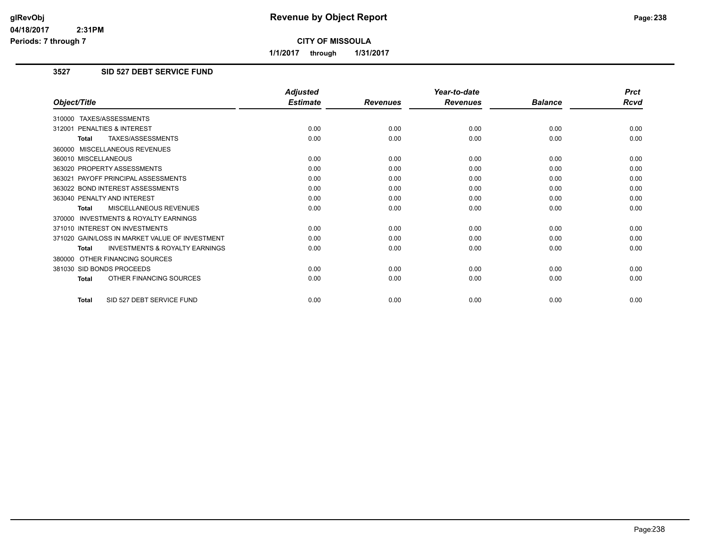**1/1/2017 through 1/31/2017**

### **3527 SID 527 DEBT SERVICE FUND**

|                                                           | <b>Adjusted</b> |                 | Year-to-date    |                | <b>Prct</b> |
|-----------------------------------------------------------|-----------------|-----------------|-----------------|----------------|-------------|
| Object/Title                                              | <b>Estimate</b> | <b>Revenues</b> | <b>Revenues</b> | <b>Balance</b> | Rcvd        |
| 310000 TAXES/ASSESSMENTS                                  |                 |                 |                 |                |             |
| 312001 PENALTIES & INTEREST                               | 0.00            | 0.00            | 0.00            | 0.00           | 0.00        |
| TAXES/ASSESSMENTS<br><b>Total</b>                         | 0.00            | 0.00            | 0.00            | 0.00           | 0.00        |
| 360000 MISCELLANEOUS REVENUES                             |                 |                 |                 |                |             |
| 360010 MISCELLANEOUS                                      | 0.00            | 0.00            | 0.00            | 0.00           | 0.00        |
| 363020 PROPERTY ASSESSMENTS                               | 0.00            | 0.00            | 0.00            | 0.00           | 0.00        |
| 363021 PAYOFF PRINCIPAL ASSESSMENTS                       | 0.00            | 0.00            | 0.00            | 0.00           | 0.00        |
| 363022 BOND INTEREST ASSESSMENTS                          | 0.00            | 0.00            | 0.00            | 0.00           | 0.00        |
| 363040 PENALTY AND INTEREST                               | 0.00            | 0.00            | 0.00            | 0.00           | 0.00        |
| MISCELLANEOUS REVENUES<br><b>Total</b>                    | 0.00            | 0.00            | 0.00            | 0.00           | 0.00        |
| <b>INVESTMENTS &amp; ROYALTY EARNINGS</b><br>370000       |                 |                 |                 |                |             |
| 371010 INTEREST ON INVESTMENTS                            | 0.00            | 0.00            | 0.00            | 0.00           | 0.00        |
| 371020 GAIN/LOSS IN MARKET VALUE OF INVESTMENT            | 0.00            | 0.00            | 0.00            | 0.00           | 0.00        |
| <b>INVESTMENTS &amp; ROYALTY EARNINGS</b><br><b>Total</b> | 0.00            | 0.00            | 0.00            | 0.00           | 0.00        |
| OTHER FINANCING SOURCES<br>380000                         |                 |                 |                 |                |             |
| 381030 SID BONDS PROCEEDS                                 | 0.00            | 0.00            | 0.00            | 0.00           | 0.00        |
| OTHER FINANCING SOURCES<br><b>Total</b>                   | 0.00            | 0.00            | 0.00            | 0.00           | 0.00        |
| SID 527 DEBT SERVICE FUND<br><b>Total</b>                 | 0.00            | 0.00            | 0.00            | 0.00           | 0.00        |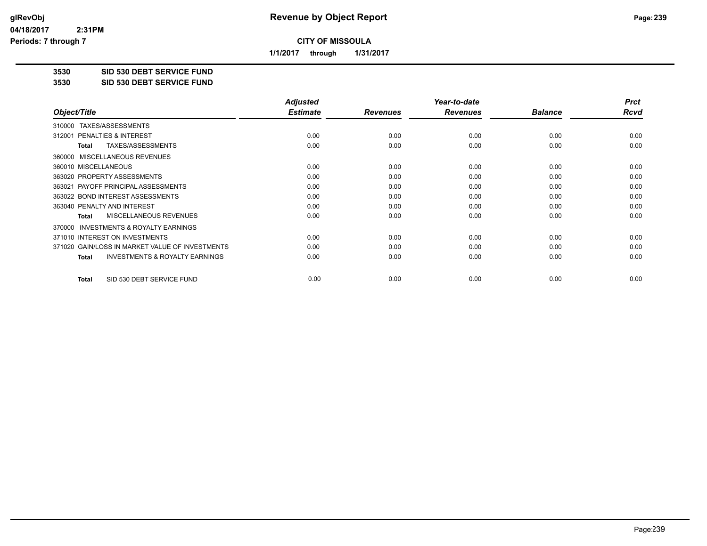**1/1/2017 through 1/31/2017**

**3530 SID 530 DEBT SERVICE FUND**

**3530 SID 530 DEBT SERVICE FUND**

|                                                     | <b>Adjusted</b> |                 | Year-to-date    |                | <b>Prct</b> |
|-----------------------------------------------------|-----------------|-----------------|-----------------|----------------|-------------|
| Object/Title                                        | <b>Estimate</b> | <b>Revenues</b> | <b>Revenues</b> | <b>Balance</b> | Rcvd        |
| 310000 TAXES/ASSESSMENTS                            |                 |                 |                 |                |             |
| 312001 PENALTIES & INTEREST                         | 0.00            | 0.00            | 0.00            | 0.00           | 0.00        |
| TAXES/ASSESSMENTS<br>Total                          | 0.00            | 0.00            | 0.00            | 0.00           | 0.00        |
| 360000 MISCELLANEOUS REVENUES                       |                 |                 |                 |                |             |
| 360010 MISCELLANEOUS                                | 0.00            | 0.00            | 0.00            | 0.00           | 0.00        |
| 363020 PROPERTY ASSESSMENTS                         | 0.00            | 0.00            | 0.00            | 0.00           | 0.00        |
| 363021 PAYOFF PRINCIPAL ASSESSMENTS                 | 0.00            | 0.00            | 0.00            | 0.00           | 0.00        |
| 363022 BOND INTEREST ASSESSMENTS                    | 0.00            | 0.00            | 0.00            | 0.00           | 0.00        |
| 363040 PENALTY AND INTEREST                         | 0.00            | 0.00            | 0.00            | 0.00           | 0.00        |
| MISCELLANEOUS REVENUES<br>Total                     | 0.00            | 0.00            | 0.00            | 0.00           | 0.00        |
| <b>INVESTMENTS &amp; ROYALTY EARNINGS</b><br>370000 |                 |                 |                 |                |             |
| 371010 INTEREST ON INVESTMENTS                      | 0.00            | 0.00            | 0.00            | 0.00           | 0.00        |
| 371020 GAIN/LOSS IN MARKET VALUE OF INVESTMENTS     | 0.00            | 0.00            | 0.00            | 0.00           | 0.00        |
| <b>INVESTMENTS &amp; ROYALTY EARNINGS</b><br>Total  | 0.00            | 0.00            | 0.00            | 0.00           | 0.00        |
| SID 530 DEBT SERVICE FUND<br>Total                  | 0.00            | 0.00            | 0.00            | 0.00           | 0.00        |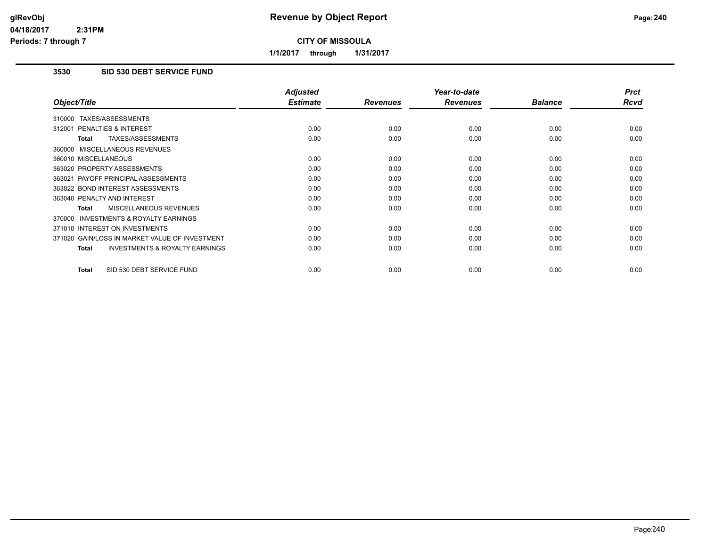**1/1/2017 through 1/31/2017**

### **3530 SID 530 DEBT SERVICE FUND**

|                                                           | <b>Adjusted</b> |                 | Year-to-date    |                | <b>Prct</b> |
|-----------------------------------------------------------|-----------------|-----------------|-----------------|----------------|-------------|
| Object/Title                                              | <b>Estimate</b> | <b>Revenues</b> | <b>Revenues</b> | <b>Balance</b> | <b>Rcvd</b> |
| 310000 TAXES/ASSESSMENTS                                  |                 |                 |                 |                |             |
| 312001 PENALTIES & INTEREST                               | 0.00            | 0.00            | 0.00            | 0.00           | 0.00        |
| TAXES/ASSESSMENTS<br>Total                                | 0.00            | 0.00            | 0.00            | 0.00           | 0.00        |
| 360000 MISCELLANEOUS REVENUES                             |                 |                 |                 |                |             |
| 360010 MISCELLANEOUS                                      | 0.00            | 0.00            | 0.00            | 0.00           | 0.00        |
| 363020 PROPERTY ASSESSMENTS                               | 0.00            | 0.00            | 0.00            | 0.00           | 0.00        |
| 363021 PAYOFF PRINCIPAL ASSESSMENTS                       | 0.00            | 0.00            | 0.00            | 0.00           | 0.00        |
| 363022 BOND INTEREST ASSESSMENTS                          | 0.00            | 0.00            | 0.00            | 0.00           | 0.00        |
| 363040 PENALTY AND INTEREST                               | 0.00            | 0.00            | 0.00            | 0.00           | 0.00        |
| <b>MISCELLANEOUS REVENUES</b><br>Total                    | 0.00            | 0.00            | 0.00            | 0.00           | 0.00        |
| INVESTMENTS & ROYALTY EARNINGS<br>370000                  |                 |                 |                 |                |             |
| 371010 INTEREST ON INVESTMENTS                            | 0.00            | 0.00            | 0.00            | 0.00           | 0.00        |
| 371020 GAIN/LOSS IN MARKET VALUE OF INVESTMENT            | 0.00            | 0.00            | 0.00            | 0.00           | 0.00        |
| <b>INVESTMENTS &amp; ROYALTY EARNINGS</b><br><b>Total</b> | 0.00            | 0.00            | 0.00            | 0.00           | 0.00        |
| SID 530 DEBT SERVICE FUND<br><b>Total</b>                 | 0.00            | 0.00            | 0.00            | 0.00           | 0.00        |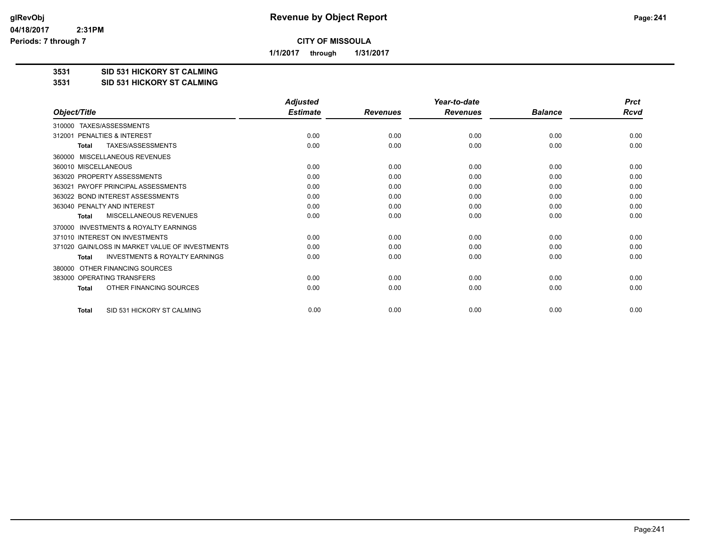**1/1/2017 through 1/31/2017**

**3531 SID 531 HICKORY ST CALMING**

**3531 SID 531 HICKORY ST CALMING**

|                                                           | <b>Adjusted</b> |                 | Year-to-date    |                |             |
|-----------------------------------------------------------|-----------------|-----------------|-----------------|----------------|-------------|
| Object/Title                                              | <b>Estimate</b> | <b>Revenues</b> | <b>Revenues</b> | <b>Balance</b> | <b>Rcvd</b> |
| TAXES/ASSESSMENTS<br>310000                               |                 |                 |                 |                |             |
| PENALTIES & INTEREST<br>312001                            | 0.00            | 0.00            | 0.00            | 0.00           | 0.00        |
| TAXES/ASSESSMENTS<br><b>Total</b>                         | 0.00            | 0.00            | 0.00            | 0.00           | 0.00        |
| 360000 MISCELLANEOUS REVENUES                             |                 |                 |                 |                |             |
| 360010 MISCELLANEOUS                                      | 0.00            | 0.00            | 0.00            | 0.00           | 0.00        |
| 363020 PROPERTY ASSESSMENTS                               | 0.00            | 0.00            | 0.00            | 0.00           | 0.00        |
| 363021 PAYOFF PRINCIPAL ASSESSMENTS                       | 0.00            | 0.00            | 0.00            | 0.00           | 0.00        |
| 363022 BOND INTEREST ASSESSMENTS                          | 0.00            | 0.00            | 0.00            | 0.00           | 0.00        |
| 363040 PENALTY AND INTEREST                               | 0.00            | 0.00            | 0.00            | 0.00           | 0.00        |
| MISCELLANEOUS REVENUES<br>Total                           | 0.00            | 0.00            | 0.00            | 0.00           | 0.00        |
| <b>INVESTMENTS &amp; ROYALTY EARNINGS</b><br>370000       |                 |                 |                 |                |             |
| 371010 INTEREST ON INVESTMENTS                            | 0.00            | 0.00            | 0.00            | 0.00           | 0.00        |
| 371020 GAIN/LOSS IN MARKET VALUE OF INVESTMENTS           | 0.00            | 0.00            | 0.00            | 0.00           | 0.00        |
| <b>INVESTMENTS &amp; ROYALTY EARNINGS</b><br><b>Total</b> | 0.00            | 0.00            | 0.00            | 0.00           | 0.00        |
| OTHER FINANCING SOURCES<br>380000                         |                 |                 |                 |                |             |
| 383000 OPERATING TRANSFERS                                | 0.00            | 0.00            | 0.00            | 0.00           | 0.00        |
| OTHER FINANCING SOURCES<br><b>Total</b>                   | 0.00            | 0.00            | 0.00            | 0.00           | 0.00        |
| SID 531 HICKORY ST CALMING<br><b>Total</b>                | 0.00            | 0.00            | 0.00            | 0.00           | 0.00        |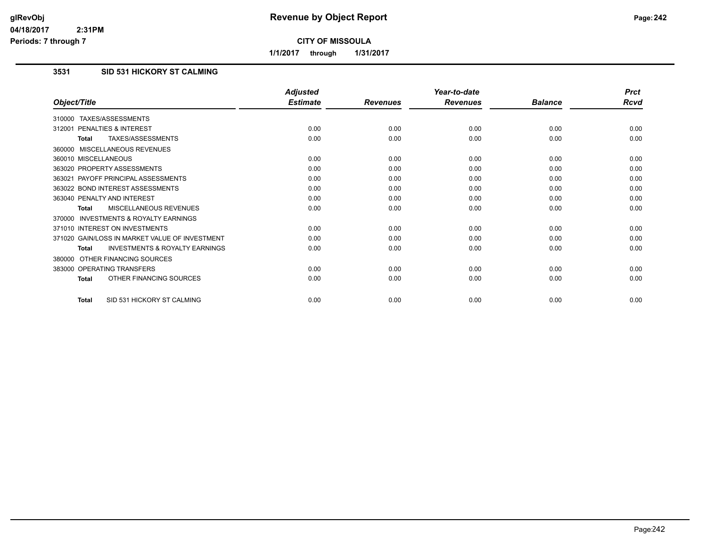**1/1/2017 through 1/31/2017**

### **3531 SID 531 HICKORY ST CALMING**

|                                                           | <b>Adjusted</b> |                 | Year-to-date    |                | <b>Prct</b> |
|-----------------------------------------------------------|-----------------|-----------------|-----------------|----------------|-------------|
| Object/Title                                              | <b>Estimate</b> | <b>Revenues</b> | <b>Revenues</b> | <b>Balance</b> | <b>Rcvd</b> |
| 310000 TAXES/ASSESSMENTS                                  |                 |                 |                 |                |             |
| <b>PENALTIES &amp; INTEREST</b><br>312001                 | 0.00            | 0.00            | 0.00            | 0.00           | 0.00        |
| TAXES/ASSESSMENTS<br><b>Total</b>                         | 0.00            | 0.00            | 0.00            | 0.00           | 0.00        |
| 360000 MISCELLANEOUS REVENUES                             |                 |                 |                 |                |             |
| 360010 MISCELLANEOUS                                      | 0.00            | 0.00            | 0.00            | 0.00           | 0.00        |
| 363020 PROPERTY ASSESSMENTS                               | 0.00            | 0.00            | 0.00            | 0.00           | 0.00        |
| 363021 PAYOFF PRINCIPAL ASSESSMENTS                       | 0.00            | 0.00            | 0.00            | 0.00           | 0.00        |
| 363022 BOND INTEREST ASSESSMENTS                          | 0.00            | 0.00            | 0.00            | 0.00           | 0.00        |
| 363040 PENALTY AND INTEREST                               | 0.00            | 0.00            | 0.00            | 0.00           | 0.00        |
| <b>MISCELLANEOUS REVENUES</b><br><b>Total</b>             | 0.00            | 0.00            | 0.00            | 0.00           | 0.00        |
| <b>INVESTMENTS &amp; ROYALTY EARNINGS</b><br>370000       |                 |                 |                 |                |             |
| 371010 INTEREST ON INVESTMENTS                            | 0.00            | 0.00            | 0.00            | 0.00           | 0.00        |
| 371020 GAIN/LOSS IN MARKET VALUE OF INVESTMENT            | 0.00            | 0.00            | 0.00            | 0.00           | 0.00        |
| <b>INVESTMENTS &amp; ROYALTY EARNINGS</b><br><b>Total</b> | 0.00            | 0.00            | 0.00            | 0.00           | 0.00        |
| OTHER FINANCING SOURCES<br>380000                         |                 |                 |                 |                |             |
| 383000 OPERATING TRANSFERS                                | 0.00            | 0.00            | 0.00            | 0.00           | 0.00        |
| OTHER FINANCING SOURCES<br>Total                          | 0.00            | 0.00            | 0.00            | 0.00           | 0.00        |
| SID 531 HICKORY ST CALMING<br><b>Total</b>                | 0.00            | 0.00            | 0.00            | 0.00           | 0.00        |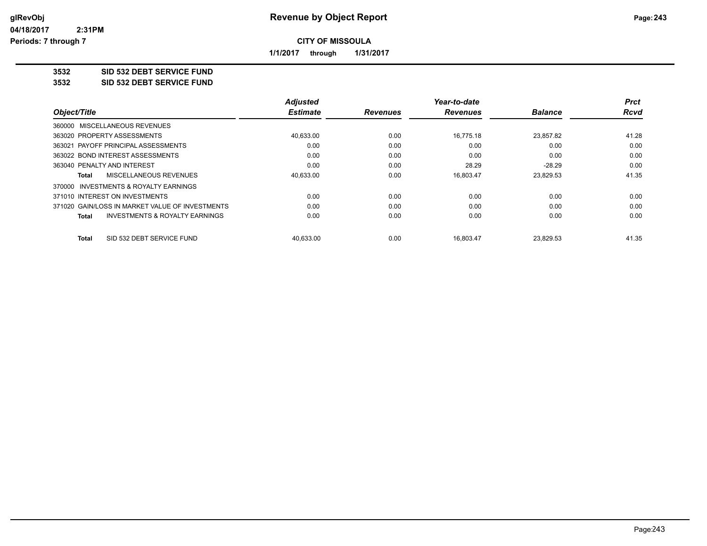**1/1/2017 through 1/31/2017**

**3532 SID 532 DEBT SERVICE FUND**

**3532 SID 532 DEBT SERVICE FUND**

|                                                     | <b>Adjusted</b> |                 | Year-to-date    |                | <b>Prct</b> |
|-----------------------------------------------------|-----------------|-----------------|-----------------|----------------|-------------|
| Object/Title                                        | <b>Estimate</b> | <b>Revenues</b> | <b>Revenues</b> | <b>Balance</b> | Rcvd        |
| 360000 MISCELLANEOUS REVENUES                       |                 |                 |                 |                |             |
| 363020 PROPERTY ASSESSMENTS                         | 40,633.00       | 0.00            | 16.775.18       | 23,857.82      | 41.28       |
| 363021 PAYOFF PRINCIPAL ASSESSMENTS                 | 0.00            | 0.00            | 0.00            | 0.00           | 0.00        |
| 363022 BOND INTEREST ASSESSMENTS                    | 0.00            | 0.00            | 0.00            | 0.00           | 0.00        |
| 363040 PENALTY AND INTEREST                         | 0.00            | 0.00            | 28.29           | $-28.29$       | 0.00        |
| MISCELLANEOUS REVENUES<br>Total                     | 40,633.00       | 0.00            | 16.803.47       | 23.829.53      | 41.35       |
| <b>INVESTMENTS &amp; ROYALTY EARNINGS</b><br>370000 |                 |                 |                 |                |             |
| 371010 INTEREST ON INVESTMENTS                      | 0.00            | 0.00            | 0.00            | 0.00           | 0.00        |
| 371020 GAIN/LOSS IN MARKET VALUE OF INVESTMENTS     | 0.00            | 0.00            | 0.00            | 0.00           | 0.00        |
| <b>INVESTMENTS &amp; ROYALTY EARNINGS</b><br>Total  | 0.00            | 0.00            | 0.00            | 0.00           | 0.00        |
| SID 532 DEBT SERVICE FUND<br>Total                  | 40.633.00       | 0.00            | 16.803.47       | 23.829.53      | 41.35       |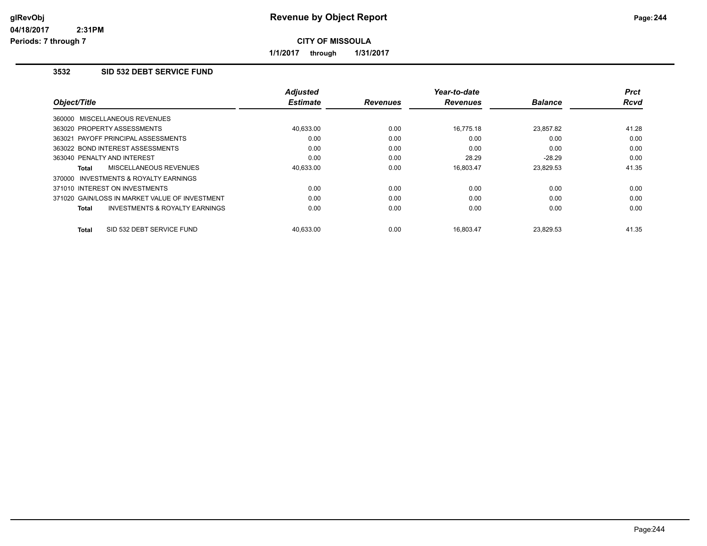**1/1/2017 through 1/31/2017**

### **3532 SID 532 DEBT SERVICE FUND**

|                                                           | <b>Adjusted</b> |                 | Year-to-date    |                | <b>Prct</b> |
|-----------------------------------------------------------|-----------------|-----------------|-----------------|----------------|-------------|
| Object/Title                                              | <b>Estimate</b> | <b>Revenues</b> | <b>Revenues</b> | <b>Balance</b> | Rcvd        |
| 360000 MISCELLANEOUS REVENUES                             |                 |                 |                 |                |             |
| 363020 PROPERTY ASSESSMENTS                               | 40.633.00       | 0.00            | 16.775.18       | 23.857.82      | 41.28       |
| 363021 PAYOFF PRINCIPAL ASSESSMENTS                       | 0.00            | 0.00            | 0.00            | 0.00           | 0.00        |
| 363022 BOND INTEREST ASSESSMENTS                          | 0.00            | 0.00            | 0.00            | 0.00           | 0.00        |
| 363040 PENALTY AND INTEREST                               | 0.00            | 0.00            | 28.29           | $-28.29$       | 0.00        |
| MISCELLANEOUS REVENUES<br><b>Total</b>                    | 40,633.00       | 0.00            | 16,803.47       | 23,829.53      | 41.35       |
| INVESTMENTS & ROYALTY EARNINGS<br>370000                  |                 |                 |                 |                |             |
| 371010 INTEREST ON INVESTMENTS                            | 0.00            | 0.00            | 0.00            | 0.00           | 0.00        |
| 371020 GAIN/LOSS IN MARKET VALUE OF INVESTMENT            | 0.00            | 0.00            | 0.00            | 0.00           | 0.00        |
| <b>INVESTMENTS &amp; ROYALTY EARNINGS</b><br><b>Total</b> | 0.00            | 0.00            | 0.00            | 0.00           | 0.00        |
| SID 532 DEBT SERVICE FUND<br><b>Total</b>                 | 40.633.00       | 0.00            | 16.803.47       | 23.829.53      | 41.35       |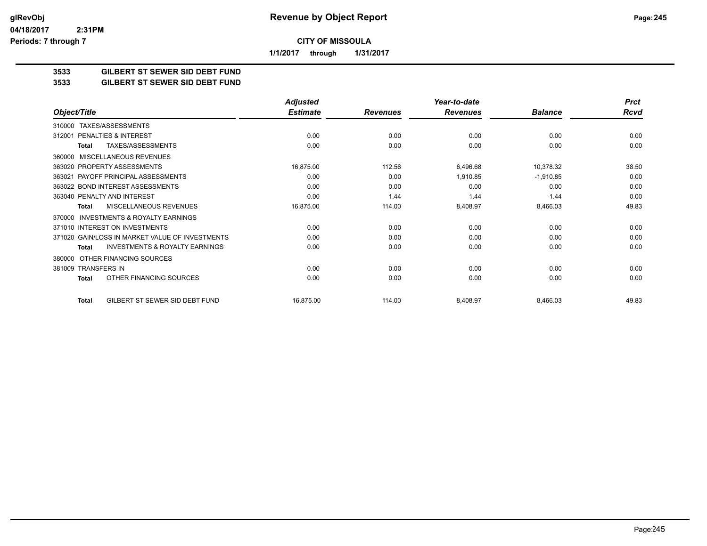**1/1/2017 through 1/31/2017**

# **3533 GILBERT ST SEWER SID DEBT FUND**

### **3533 GILBERT ST SEWER SID DEBT FUND**

|                                                     | <b>Adjusted</b> |                 | Year-to-date    |                | <b>Prct</b> |
|-----------------------------------------------------|-----------------|-----------------|-----------------|----------------|-------------|
| Object/Title                                        | <b>Estimate</b> | <b>Revenues</b> | <b>Revenues</b> | <b>Balance</b> | Rcvd        |
| TAXES/ASSESSMENTS<br>310000                         |                 |                 |                 |                |             |
| <b>PENALTIES &amp; INTEREST</b><br>312001           | 0.00            | 0.00            | 0.00            | 0.00           | 0.00        |
| TAXES/ASSESSMENTS<br>Total                          | 0.00            | 0.00            | 0.00            | 0.00           | 0.00        |
| MISCELLANEOUS REVENUES<br>360000                    |                 |                 |                 |                |             |
| 363020 PROPERTY ASSESSMENTS                         | 16,875.00       | 112.56          | 6,496.68        | 10,378.32      | 38.50       |
| PAYOFF PRINCIPAL ASSESSMENTS<br>363021              | 0.00            | 0.00            | 1,910.85        | $-1,910.85$    | 0.00        |
| 363022 BOND INTEREST ASSESSMENTS                    | 0.00            | 0.00            | 0.00            | 0.00           | 0.00        |
| 363040 PENALTY AND INTEREST                         | 0.00            | 1.44            | 1.44            | $-1.44$        | 0.00        |
| <b>MISCELLANEOUS REVENUES</b><br>Total              | 16,875.00       | 114.00          | 8,408.97        | 8,466.03       | 49.83       |
| <b>INVESTMENTS &amp; ROYALTY EARNINGS</b><br>370000 |                 |                 |                 |                |             |
| 371010 INTEREST ON INVESTMENTS                      | 0.00            | 0.00            | 0.00            | 0.00           | 0.00        |
| 371020 GAIN/LOSS IN MARKET VALUE OF INVESTMENTS     | 0.00            | 0.00            | 0.00            | 0.00           | 0.00        |
| <b>INVESTMENTS &amp; ROYALTY EARNINGS</b><br>Total  | 0.00            | 0.00            | 0.00            | 0.00           | 0.00        |
| OTHER FINANCING SOURCES<br>380000                   |                 |                 |                 |                |             |
| 381009 TRANSFERS IN                                 | 0.00            | 0.00            | 0.00            | 0.00           | 0.00        |
| OTHER FINANCING SOURCES<br><b>Total</b>             | 0.00            | 0.00            | 0.00            | 0.00           | 0.00        |
| GILBERT ST SEWER SID DEBT FUND<br><b>Total</b>      | 16,875.00       | 114.00          | 8,408.97        | 8,466.03       | 49.83       |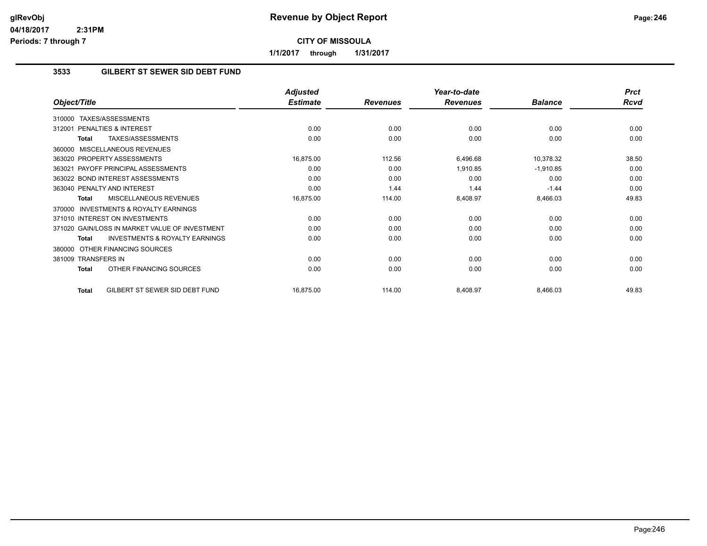**1/1/2017 through 1/31/2017**

### **3533 GILBERT ST SEWER SID DEBT FUND**

|                                                           | <b>Adjusted</b> |                 | Year-to-date    |                | <b>Prct</b> |
|-----------------------------------------------------------|-----------------|-----------------|-----------------|----------------|-------------|
| Object/Title                                              | <b>Estimate</b> | <b>Revenues</b> | <b>Revenues</b> | <b>Balance</b> | <b>Rcvd</b> |
| TAXES/ASSESSMENTS<br>310000                               |                 |                 |                 |                |             |
| 312001 PENALTIES & INTEREST                               | 0.00            | 0.00            | 0.00            | 0.00           | 0.00        |
| TAXES/ASSESSMENTS<br><b>Total</b>                         | 0.00            | 0.00            | 0.00            | 0.00           | 0.00        |
| MISCELLANEOUS REVENUES<br>360000                          |                 |                 |                 |                |             |
| 363020 PROPERTY ASSESSMENTS                               | 16,875.00       | 112.56          | 6,496.68        | 10,378.32      | 38.50       |
| 363021 PAYOFF PRINCIPAL ASSESSMENTS                       | 0.00            | 0.00            | 1,910.85        | $-1,910.85$    | 0.00        |
| 363022 BOND INTEREST ASSESSMENTS                          | 0.00            | 0.00            | 0.00            | 0.00           | 0.00        |
| 363040 PENALTY AND INTEREST                               | 0.00            | 1.44            | 1.44            | $-1.44$        | 0.00        |
| MISCELLANEOUS REVENUES<br><b>Total</b>                    | 16,875.00       | 114.00          | 8,408.97        | 8,466.03       | 49.83       |
| <b>INVESTMENTS &amp; ROYALTY EARNINGS</b><br>370000       |                 |                 |                 |                |             |
| 371010 INTEREST ON INVESTMENTS                            | 0.00            | 0.00            | 0.00            | 0.00           | 0.00        |
| 371020 GAIN/LOSS IN MARKET VALUE OF INVESTMENT            | 0.00            | 0.00            | 0.00            | 0.00           | 0.00        |
| <b>INVESTMENTS &amp; ROYALTY EARNINGS</b><br><b>Total</b> | 0.00            | 0.00            | 0.00            | 0.00           | 0.00        |
| OTHER FINANCING SOURCES<br>380000                         |                 |                 |                 |                |             |
| 381009 TRANSFERS IN                                       | 0.00            | 0.00            | 0.00            | 0.00           | 0.00        |
| OTHER FINANCING SOURCES<br><b>Total</b>                   | 0.00            | 0.00            | 0.00            | 0.00           | 0.00        |
| GILBERT ST SEWER SID DEBT FUND<br><b>Total</b>            | 16,875.00       | 114.00          | 8,408.97        | 8,466.03       | 49.83       |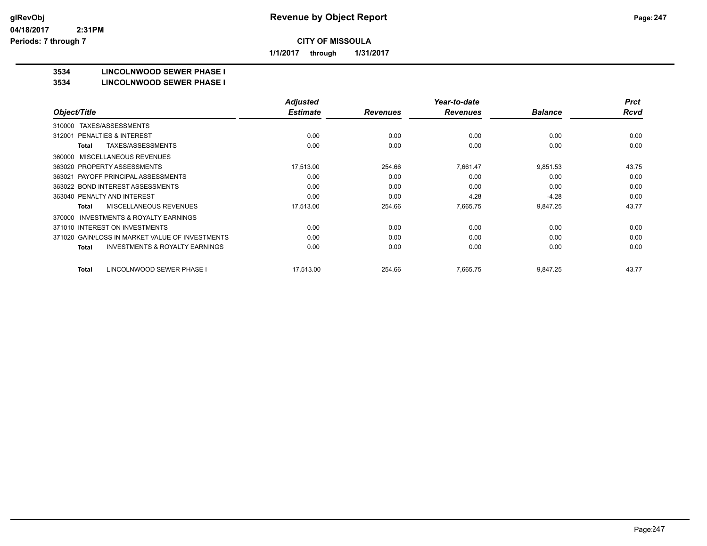**1/1/2017 through 1/31/2017**

# **3534 LINCOLNWOOD SEWER PHASE I**

### **3534 LINCOLNWOOD SEWER PHASE I**

|                                                           | <b>Adjusted</b> |                 | Year-to-date    |                | <b>Prct</b> |
|-----------------------------------------------------------|-----------------|-----------------|-----------------|----------------|-------------|
| Object/Title                                              | <b>Estimate</b> | <b>Revenues</b> | <b>Revenues</b> | <b>Balance</b> | <b>Rcvd</b> |
| TAXES/ASSESSMENTS<br>310000                               |                 |                 |                 |                |             |
| PENALTIES & INTEREST<br>312001                            | 0.00            | 0.00            | 0.00            | 0.00           | 0.00        |
| TAXES/ASSESSMENTS<br>Total                                | 0.00            | 0.00            | 0.00            | 0.00           | 0.00        |
| <b>MISCELLANEOUS REVENUES</b><br>360000                   |                 |                 |                 |                |             |
| 363020 PROPERTY ASSESSMENTS                               | 17,513.00       | 254.66          | 7,661.47        | 9,851.53       | 43.75       |
| 363021 PAYOFF PRINCIPAL ASSESSMENTS                       | 0.00            | 0.00            | 0.00            | 0.00           | 0.00        |
| 363022 BOND INTEREST ASSESSMENTS                          | 0.00            | 0.00            | 0.00            | 0.00           | 0.00        |
| 363040 PENALTY AND INTEREST                               | 0.00            | 0.00            | 4.28            | $-4.28$        | 0.00        |
| <b>MISCELLANEOUS REVENUES</b><br><b>Total</b>             | 17,513.00       | 254.66          | 7,665.75        | 9,847.25       | 43.77       |
| <b>INVESTMENTS &amp; ROYALTY EARNINGS</b><br>370000       |                 |                 |                 |                |             |
| 371010 INTEREST ON INVESTMENTS                            | 0.00            | 0.00            | 0.00            | 0.00           | 0.00        |
| 371020 GAIN/LOSS IN MARKET VALUE OF INVESTMENTS           | 0.00            | 0.00            | 0.00            | 0.00           | 0.00        |
| <b>INVESTMENTS &amp; ROYALTY EARNINGS</b><br><b>Total</b> | 0.00            | 0.00            | 0.00            | 0.00           | 0.00        |
| LINCOLNWOOD SEWER PHASE I<br><b>Total</b>                 | 17,513.00       | 254.66          | 7,665.75        | 9,847.25       | 43.77       |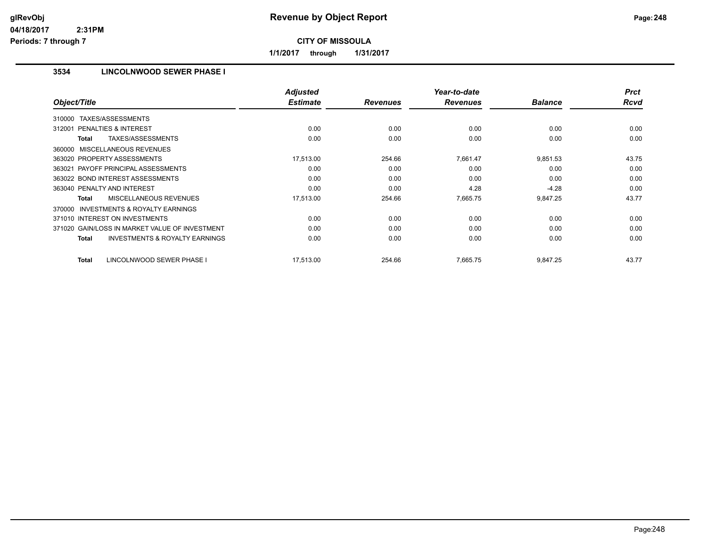**1/1/2017 through 1/31/2017**

### **3534 LINCOLNWOOD SEWER PHASE I**

|                                                           | <b>Adjusted</b> |                 | Year-to-date    |                | <b>Prct</b> |
|-----------------------------------------------------------|-----------------|-----------------|-----------------|----------------|-------------|
| Object/Title                                              | <b>Estimate</b> | <b>Revenues</b> | <b>Revenues</b> | <b>Balance</b> | <b>Rcvd</b> |
| TAXES/ASSESSMENTS<br>310000                               |                 |                 |                 |                |             |
| 312001 PENALTIES & INTEREST                               | 0.00            | 0.00            | 0.00            | 0.00           | 0.00        |
| TAXES/ASSESSMENTS<br>Total                                | 0.00            | 0.00            | 0.00            | 0.00           | 0.00        |
| MISCELLANEOUS REVENUES<br>360000                          |                 |                 |                 |                |             |
| 363020 PROPERTY ASSESSMENTS                               | 17,513.00       | 254.66          | 7,661.47        | 9,851.53       | 43.75       |
| 363021 PAYOFF PRINCIPAL ASSESSMENTS                       | 0.00            | 0.00            | 0.00            | 0.00           | 0.00        |
| 363022 BOND INTEREST ASSESSMENTS                          | 0.00            | 0.00            | 0.00            | 0.00           | 0.00        |
| 363040 PENALTY AND INTEREST                               | 0.00            | 0.00            | 4.28            | $-4.28$        | 0.00        |
| MISCELLANEOUS REVENUES<br><b>Total</b>                    | 17,513.00       | 254.66          | 7,665.75        | 9,847.25       | 43.77       |
| INVESTMENTS & ROYALTY EARNINGS<br>370000                  |                 |                 |                 |                |             |
| 371010 INTEREST ON INVESTMENTS                            | 0.00            | 0.00            | 0.00            | 0.00           | 0.00        |
| 371020 GAIN/LOSS IN MARKET VALUE OF INVESTMENT            | 0.00            | 0.00            | 0.00            | 0.00           | 0.00        |
| <b>INVESTMENTS &amp; ROYALTY EARNINGS</b><br><b>Total</b> | 0.00            | 0.00            | 0.00            | 0.00           | 0.00        |
| LINCOLNWOOD SEWER PHASE I<br><b>Total</b>                 | 17,513.00       | 254.66          | 7,665.75        | 9,847.25       | 43.77       |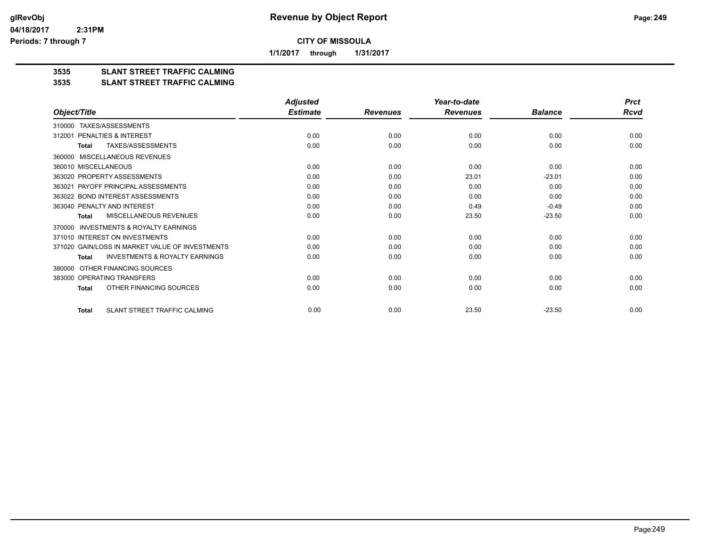**1/1/2017 through 1/31/2017**

## **3535 SLANT STREET TRAFFIC CALMING**

### **3535 SLANT STREET TRAFFIC CALMING**

|                                                           | <b>Adjusted</b> |                 | Year-to-date    |                | <b>Prct</b> |
|-----------------------------------------------------------|-----------------|-----------------|-----------------|----------------|-------------|
| Object/Title                                              | <b>Estimate</b> | <b>Revenues</b> | <b>Revenues</b> | <b>Balance</b> | <b>Rcvd</b> |
| TAXES/ASSESSMENTS<br>310000                               |                 |                 |                 |                |             |
| PENALTIES & INTEREST<br>312001                            | 0.00            | 0.00            | 0.00            | 0.00           | 0.00        |
| TAXES/ASSESSMENTS<br><b>Total</b>                         | 0.00            | 0.00            | 0.00            | 0.00           | 0.00        |
| 360000 MISCELLANEOUS REVENUES                             |                 |                 |                 |                |             |
| 360010 MISCELLANEOUS                                      | 0.00            | 0.00            | 0.00            | 0.00           | 0.00        |
| 363020 PROPERTY ASSESSMENTS                               | 0.00            | 0.00            | 23.01           | $-23.01$       | 0.00        |
| 363021 PAYOFF PRINCIPAL ASSESSMENTS                       | 0.00            | 0.00            | 0.00            | 0.00           | 0.00        |
| 363022 BOND INTEREST ASSESSMENTS                          | 0.00            | 0.00            | 0.00            | 0.00           | 0.00        |
| 363040 PENALTY AND INTEREST                               | 0.00            | 0.00            | 0.49            | $-0.49$        | 0.00        |
| MISCELLANEOUS REVENUES<br><b>Total</b>                    | 0.00            | 0.00            | 23.50           | $-23.50$       | 0.00        |
| <b>INVESTMENTS &amp; ROYALTY EARNINGS</b><br>370000       |                 |                 |                 |                |             |
| 371010 INTEREST ON INVESTMENTS                            | 0.00            | 0.00            | 0.00            | 0.00           | 0.00        |
| 371020 GAIN/LOSS IN MARKET VALUE OF INVESTMENTS           | 0.00            | 0.00            | 0.00            | 0.00           | 0.00        |
| <b>INVESTMENTS &amp; ROYALTY EARNINGS</b><br><b>Total</b> | 0.00            | 0.00            | 0.00            | 0.00           | 0.00        |
| OTHER FINANCING SOURCES<br>380000                         |                 |                 |                 |                |             |
| 383000 OPERATING TRANSFERS                                | 0.00            | 0.00            | 0.00            | 0.00           | 0.00        |
| OTHER FINANCING SOURCES<br><b>Total</b>                   | 0.00            | 0.00            | 0.00            | 0.00           | 0.00        |
| SLANT STREET TRAFFIC CALMING<br><b>Total</b>              | 0.00            | 0.00            | 23.50           | $-23.50$       | 0.00        |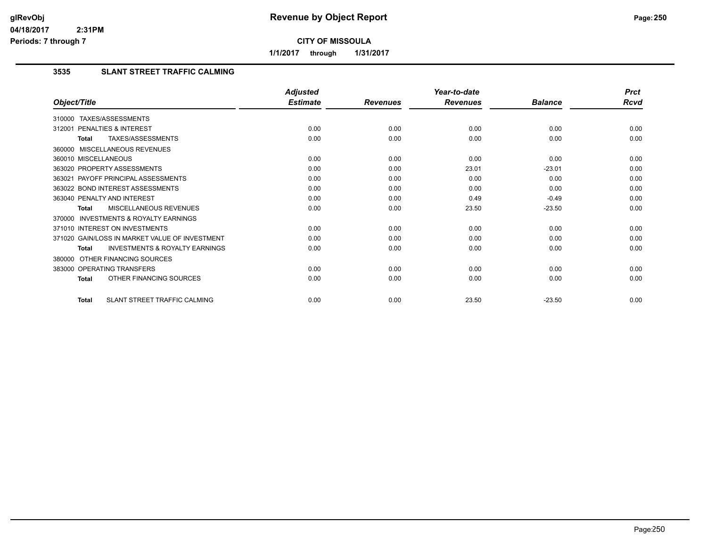**1/1/2017 through 1/31/2017**

### **3535 SLANT STREET TRAFFIC CALMING**

|                                                           | <b>Adjusted</b> |                 | Year-to-date    |                | <b>Prct</b> |
|-----------------------------------------------------------|-----------------|-----------------|-----------------|----------------|-------------|
| Object/Title                                              | <b>Estimate</b> | <b>Revenues</b> | <b>Revenues</b> | <b>Balance</b> | <b>Rcvd</b> |
| 310000 TAXES/ASSESSMENTS                                  |                 |                 |                 |                |             |
| PENALTIES & INTEREST<br>312001                            | 0.00            | 0.00            | 0.00            | 0.00           | 0.00        |
| TAXES/ASSESSMENTS<br><b>Total</b>                         | 0.00            | 0.00            | 0.00            | 0.00           | 0.00        |
| 360000 MISCELLANEOUS REVENUES                             |                 |                 |                 |                |             |
| 360010 MISCELLANEOUS                                      | 0.00            | 0.00            | 0.00            | 0.00           | 0.00        |
| 363020 PROPERTY ASSESSMENTS                               | 0.00            | 0.00            | 23.01           | $-23.01$       | 0.00        |
| 363021 PAYOFF PRINCIPAL ASSESSMENTS                       | 0.00            | 0.00            | 0.00            | 0.00           | 0.00        |
| 363022 BOND INTEREST ASSESSMENTS                          | 0.00            | 0.00            | 0.00            | 0.00           | 0.00        |
| 363040 PENALTY AND INTEREST                               | 0.00            | 0.00            | 0.49            | $-0.49$        | 0.00        |
| MISCELLANEOUS REVENUES<br><b>Total</b>                    | 0.00            | 0.00            | 23.50           | $-23.50$       | 0.00        |
| <b>INVESTMENTS &amp; ROYALTY EARNINGS</b><br>370000       |                 |                 |                 |                |             |
| 371010 INTEREST ON INVESTMENTS                            | 0.00            | 0.00            | 0.00            | 0.00           | 0.00        |
| 371020 GAIN/LOSS IN MARKET VALUE OF INVESTMENT            | 0.00            | 0.00            | 0.00            | 0.00           | 0.00        |
| <b>INVESTMENTS &amp; ROYALTY EARNINGS</b><br><b>Total</b> | 0.00            | 0.00            | 0.00            | 0.00           | 0.00        |
| 380000 OTHER FINANCING SOURCES                            |                 |                 |                 |                |             |
| 383000 OPERATING TRANSFERS                                | 0.00            | 0.00            | 0.00            | 0.00           | 0.00        |
| OTHER FINANCING SOURCES<br><b>Total</b>                   | 0.00            | 0.00            | 0.00            | 0.00           | 0.00        |
| SLANT STREET TRAFFIC CALMING<br><b>Total</b>              | 0.00            | 0.00            | 23.50           | $-23.50$       | 0.00        |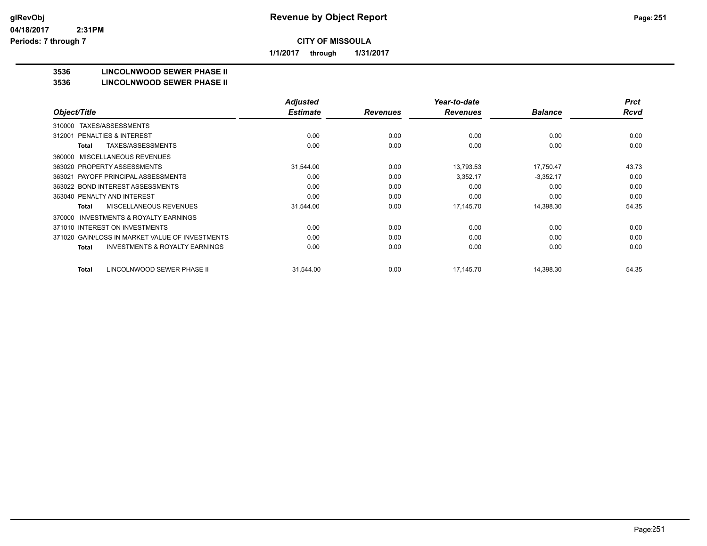**1/1/2017 through 1/31/2017**

# **3536 LINCOLNWOOD SEWER PHASE II**

### **3536 LINCOLNWOOD SEWER PHASE II**

|                                                           | <b>Adjusted</b> |                 | Year-to-date    |                | <b>Prct</b> |
|-----------------------------------------------------------|-----------------|-----------------|-----------------|----------------|-------------|
| Object/Title                                              | <b>Estimate</b> | <b>Revenues</b> | <b>Revenues</b> | <b>Balance</b> | <b>Rcvd</b> |
| TAXES/ASSESSMENTS<br>310000                               |                 |                 |                 |                |             |
| 312001 PENALTIES & INTEREST                               | 0.00            | 0.00            | 0.00            | 0.00           | 0.00        |
| TAXES/ASSESSMENTS<br><b>Total</b>                         | 0.00            | 0.00            | 0.00            | 0.00           | 0.00        |
| <b>MISCELLANEOUS REVENUES</b><br>360000                   |                 |                 |                 |                |             |
| 363020 PROPERTY ASSESSMENTS                               | 31,544.00       | 0.00            | 13,793.53       | 17,750.47      | 43.73       |
| 363021 PAYOFF PRINCIPAL ASSESSMENTS                       | 0.00            | 0.00            | 3,352.17        | $-3,352.17$    | 0.00        |
| 363022 BOND INTEREST ASSESSMENTS                          | 0.00            | 0.00            | 0.00            | 0.00           | 0.00        |
| 363040 PENALTY AND INTEREST                               | 0.00            | 0.00            | 0.00            | 0.00           | 0.00        |
| MISCELLANEOUS REVENUES<br>Total                           | 31,544.00       | 0.00            | 17,145.70       | 14,398.30      | 54.35       |
| <b>INVESTMENTS &amp; ROYALTY EARNINGS</b><br>370000       |                 |                 |                 |                |             |
| 371010 INTEREST ON INVESTMENTS                            | 0.00            | 0.00            | 0.00            | 0.00           | 0.00        |
| 371020 GAIN/LOSS IN MARKET VALUE OF INVESTMENTS           | 0.00            | 0.00            | 0.00            | 0.00           | 0.00        |
| <b>INVESTMENTS &amp; ROYALTY EARNINGS</b><br><b>Total</b> | 0.00            | 0.00            | 0.00            | 0.00           | 0.00        |
| LINCOLNWOOD SEWER PHASE II<br><b>Total</b>                | 31,544.00       | 0.00            | 17,145.70       | 14,398.30      | 54.35       |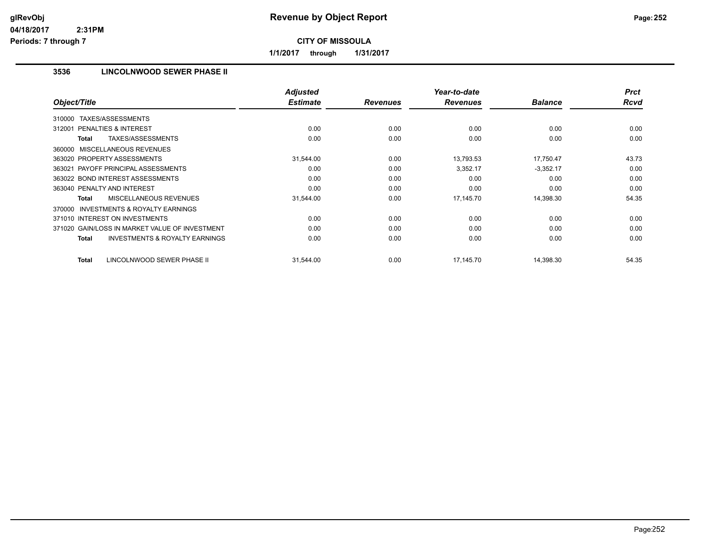**1/1/2017 through 1/31/2017**

### **3536 LINCOLNWOOD SEWER PHASE II**

|                                                           | <b>Adjusted</b> |                 | Year-to-date    |                | <b>Prct</b> |
|-----------------------------------------------------------|-----------------|-----------------|-----------------|----------------|-------------|
| Object/Title                                              | <b>Estimate</b> | <b>Revenues</b> | <b>Revenues</b> | <b>Balance</b> | <b>Rcvd</b> |
| TAXES/ASSESSMENTS<br>310000                               |                 |                 |                 |                |             |
| 312001 PENALTIES & INTEREST                               | 0.00            | 0.00            | 0.00            | 0.00           | 0.00        |
| TAXES/ASSESSMENTS<br>Total                                | 0.00            | 0.00            | 0.00            | 0.00           | 0.00        |
| MISCELLANEOUS REVENUES<br>360000                          |                 |                 |                 |                |             |
| 363020 PROPERTY ASSESSMENTS                               | 31,544.00       | 0.00            | 13,793.53       | 17,750.47      | 43.73       |
| 363021 PAYOFF PRINCIPAL ASSESSMENTS                       | 0.00            | 0.00            | 3,352.17        | $-3,352.17$    | 0.00        |
| 363022 BOND INTEREST ASSESSMENTS                          | 0.00            | 0.00            | 0.00            | 0.00           | 0.00        |
| 363040 PENALTY AND INTEREST                               | 0.00            | 0.00            | 0.00            | 0.00           | 0.00        |
| MISCELLANEOUS REVENUES<br><b>Total</b>                    | 31,544.00       | 0.00            | 17,145.70       | 14,398.30      | 54.35       |
| <b>INVESTMENTS &amp; ROYALTY EARNINGS</b><br>370000       |                 |                 |                 |                |             |
| 371010 INTEREST ON INVESTMENTS                            | 0.00            | 0.00            | 0.00            | 0.00           | 0.00        |
| 371020 GAIN/LOSS IN MARKET VALUE OF INVESTMENT            | 0.00            | 0.00            | 0.00            | 0.00           | 0.00        |
| <b>INVESTMENTS &amp; ROYALTY EARNINGS</b><br><b>Total</b> | 0.00            | 0.00            | 0.00            | 0.00           | 0.00        |
| LINCOLNWOOD SEWER PHASE II<br><b>Total</b>                | 31,544.00       | 0.00            | 17,145.70       | 14,398.30      | 54.35       |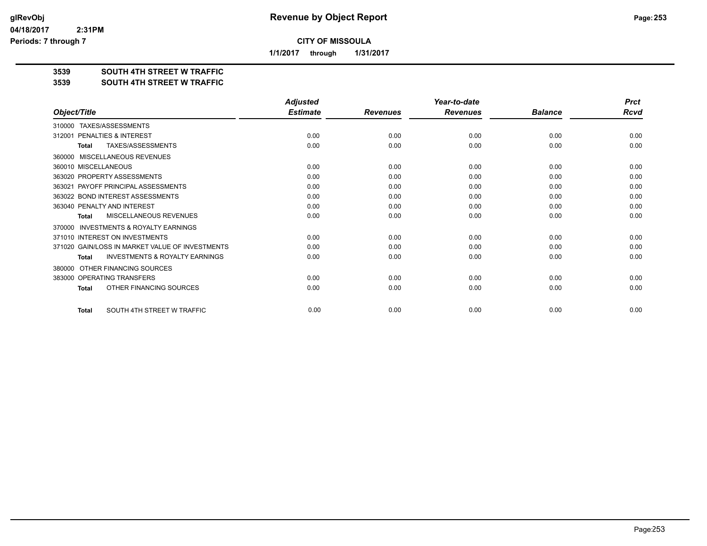**1/1/2017 through 1/31/2017**

## **3539 SOUTH 4TH STREET W TRAFFIC**

## **3539 SOUTH 4TH STREET W TRAFFIC**

|                                                           | <b>Adjusted</b> |                 | Year-to-date    |                | <b>Prct</b> |
|-----------------------------------------------------------|-----------------|-----------------|-----------------|----------------|-------------|
| Object/Title                                              | <b>Estimate</b> | <b>Revenues</b> | <b>Revenues</b> | <b>Balance</b> | <b>Rcvd</b> |
| TAXES/ASSESSMENTS<br>310000                               |                 |                 |                 |                |             |
| PENALTIES & INTEREST<br>312001                            | 0.00            | 0.00            | 0.00            | 0.00           | 0.00        |
| TAXES/ASSESSMENTS<br><b>Total</b>                         | 0.00            | 0.00            | 0.00            | 0.00           | 0.00        |
| 360000 MISCELLANEOUS REVENUES                             |                 |                 |                 |                |             |
| 360010 MISCELLANEOUS                                      | 0.00            | 0.00            | 0.00            | 0.00           | 0.00        |
| 363020 PROPERTY ASSESSMENTS                               | 0.00            | 0.00            | 0.00            | 0.00           | 0.00        |
| 363021 PAYOFF PRINCIPAL ASSESSMENTS                       | 0.00            | 0.00            | 0.00            | 0.00           | 0.00        |
| 363022 BOND INTEREST ASSESSMENTS                          | 0.00            | 0.00            | 0.00            | 0.00           | 0.00        |
| 363040 PENALTY AND INTEREST                               | 0.00            | 0.00            | 0.00            | 0.00           | 0.00        |
| <b>MISCELLANEOUS REVENUES</b><br><b>Total</b>             | 0.00            | 0.00            | 0.00            | 0.00           | 0.00        |
| <b>INVESTMENTS &amp; ROYALTY EARNINGS</b><br>370000       |                 |                 |                 |                |             |
| 371010 INTEREST ON INVESTMENTS                            | 0.00            | 0.00            | 0.00            | 0.00           | 0.00        |
| 371020 GAIN/LOSS IN MARKET VALUE OF INVESTMENTS           | 0.00            | 0.00            | 0.00            | 0.00           | 0.00        |
| <b>INVESTMENTS &amp; ROYALTY EARNINGS</b><br><b>Total</b> | 0.00            | 0.00            | 0.00            | 0.00           | 0.00        |
| OTHER FINANCING SOURCES<br>380000                         |                 |                 |                 |                |             |
| 383000 OPERATING TRANSFERS                                | 0.00            | 0.00            | 0.00            | 0.00           | 0.00        |
| OTHER FINANCING SOURCES<br><b>Total</b>                   | 0.00            | 0.00            | 0.00            | 0.00           | 0.00        |
| SOUTH 4TH STREET W TRAFFIC<br><b>Total</b>                | 0.00            | 0.00            | 0.00            | 0.00           | 0.00        |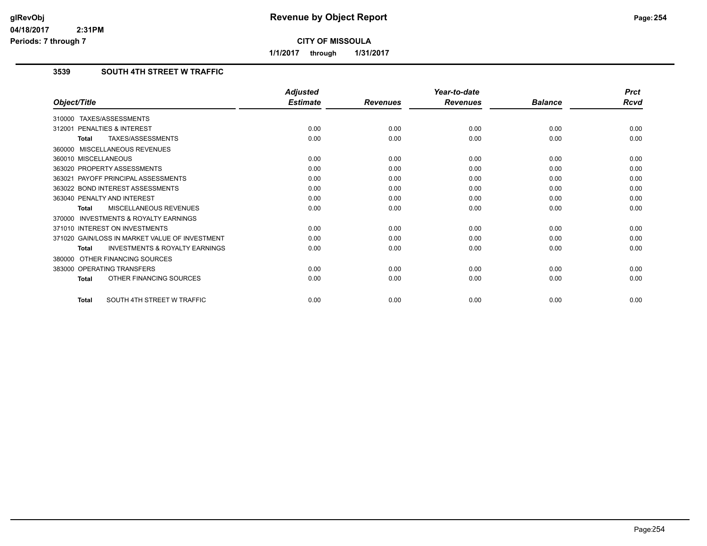**1/1/2017 through 1/31/2017**

## **3539 SOUTH 4TH STREET W TRAFFIC**

|                                                     | <b>Adjusted</b> |                 | Year-to-date    |                | <b>Prct</b> |
|-----------------------------------------------------|-----------------|-----------------|-----------------|----------------|-------------|
| Object/Title                                        | <b>Estimate</b> | <b>Revenues</b> | <b>Revenues</b> | <b>Balance</b> | Rcvd        |
| 310000 TAXES/ASSESSMENTS                            |                 |                 |                 |                |             |
| 312001 PENALTIES & INTEREST                         | 0.00            | 0.00            | 0.00            | 0.00           | 0.00        |
| TAXES/ASSESSMENTS<br><b>Total</b>                   | 0.00            | 0.00            | 0.00            | 0.00           | 0.00        |
| 360000 MISCELLANEOUS REVENUES                       |                 |                 |                 |                |             |
| 360010 MISCELLANEOUS                                | 0.00            | 0.00            | 0.00            | 0.00           | 0.00        |
| 363020 PROPERTY ASSESSMENTS                         | 0.00            | 0.00            | 0.00            | 0.00           | 0.00        |
| 363021 PAYOFF PRINCIPAL ASSESSMENTS                 | 0.00            | 0.00            | 0.00            | 0.00           | 0.00        |
| 363022 BOND INTEREST ASSESSMENTS                    | 0.00            | 0.00            | 0.00            | 0.00           | 0.00        |
| 363040 PENALTY AND INTEREST                         | 0.00            | 0.00            | 0.00            | 0.00           | 0.00        |
| MISCELLANEOUS REVENUES<br>Total                     | 0.00            | 0.00            | 0.00            | 0.00           | 0.00        |
| <b>INVESTMENTS &amp; ROYALTY EARNINGS</b><br>370000 |                 |                 |                 |                |             |
| 371010 INTEREST ON INVESTMENTS                      | 0.00            | 0.00            | 0.00            | 0.00           | 0.00        |
| 371020 GAIN/LOSS IN MARKET VALUE OF INVESTMENT      | 0.00            | 0.00            | 0.00            | 0.00           | 0.00        |
| <b>INVESTMENTS &amp; ROYALTY EARNINGS</b><br>Total  | 0.00            | 0.00            | 0.00            | 0.00           | 0.00        |
| OTHER FINANCING SOURCES<br>380000                   |                 |                 |                 |                |             |
| 383000 OPERATING TRANSFERS                          | 0.00            | 0.00            | 0.00            | 0.00           | 0.00        |
| OTHER FINANCING SOURCES<br><b>Total</b>             | 0.00            | 0.00            | 0.00            | 0.00           | 0.00        |
| SOUTH 4TH STREET W TRAFFIC<br><b>Total</b>          | 0.00            | 0.00            | 0.00            | 0.00           | 0.00        |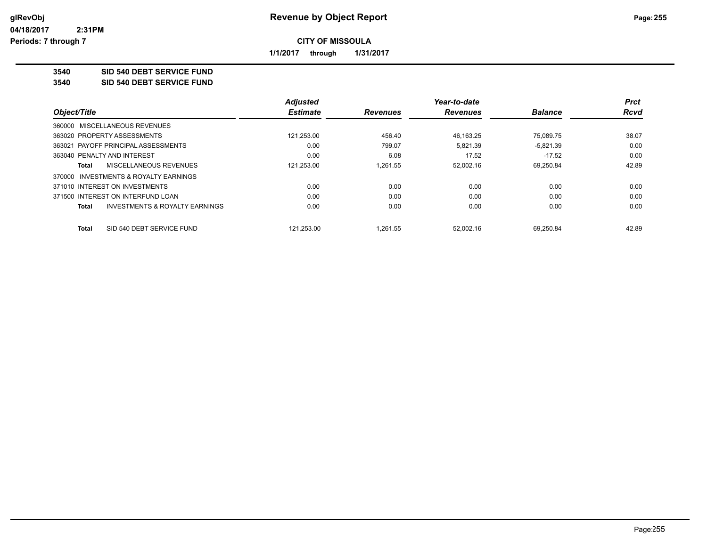**1/1/2017 through 1/31/2017**

**3540 SID 540 DEBT SERVICE FUND**

**3540 SID 540 DEBT SERVICE FUND**

|                                                    | <b>Adjusted</b> |                 | Year-to-date    |                | <b>Prct</b> |
|----------------------------------------------------|-----------------|-----------------|-----------------|----------------|-------------|
| Object/Title                                       | <b>Estimate</b> | <b>Revenues</b> | <b>Revenues</b> | <b>Balance</b> | Rcvd        |
| 360000 MISCELLANEOUS REVENUES                      |                 |                 |                 |                |             |
| 363020 PROPERTY ASSESSMENTS                        | 121.253.00      | 456.40          | 46.163.25       | 75.089.75      | 38.07       |
| 363021 PAYOFF PRINCIPAL ASSESSMENTS                | 0.00            | 799.07          | 5.821.39        | $-5.821.39$    | 0.00        |
| 363040 PENALTY AND INTEREST                        | 0.00            | 6.08            | 17.52           | $-17.52$       | 0.00        |
| MISCELLANEOUS REVENUES<br>Total                    | 121,253.00      | 1.261.55        | 52.002.16       | 69,250.84      | 42.89       |
| 370000 INVESTMENTS & ROYALTY EARNINGS              |                 |                 |                 |                |             |
| 371010 INTEREST ON INVESTMENTS                     | 0.00            | 0.00            | 0.00            | 0.00           | 0.00        |
| 371500 INTEREST ON INTERFUND LOAN                  | 0.00            | 0.00            | 0.00            | 0.00           | 0.00        |
| <b>INVESTMENTS &amp; ROYALTY EARNINGS</b><br>Total | 0.00            | 0.00            | 0.00            | 0.00           | 0.00        |
| Total<br>SID 540 DEBT SERVICE FUND                 | 121.253.00      | 1.261.55        | 52.002.16       | 69.250.84      | 42.89       |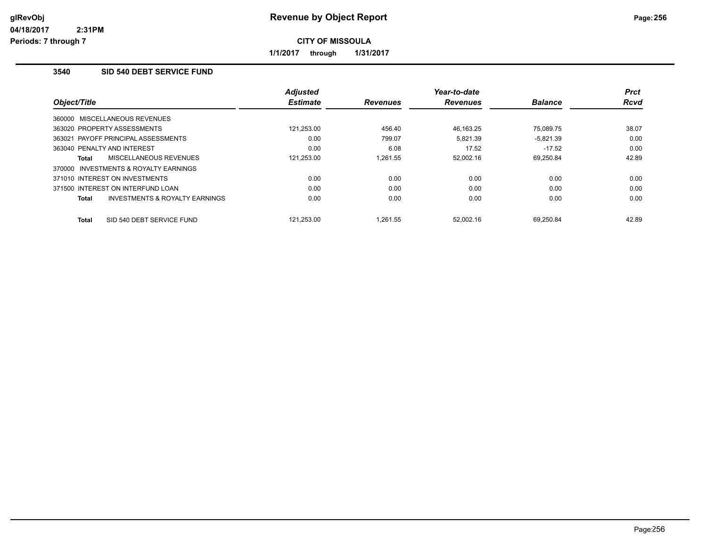**1/1/2017 through 1/31/2017**

#### **3540 SID 540 DEBT SERVICE FUND**

| Object/Title                                   | <b>Adjusted</b><br><b>Estimate</b> | <b>Revenues</b> | Year-to-date<br><b>Revenues</b> | <b>Balance</b> | <b>Prct</b><br>Rcvd |
|------------------------------------------------|------------------------------------|-----------------|---------------------------------|----------------|---------------------|
| 360000 MISCELLANEOUS REVENUES                  |                                    |                 |                                 |                |                     |
| 363020 PROPERTY ASSESSMENTS                    | 121.253.00                         | 456.40          | 46,163.25                       | 75.089.75      | 38.07               |
| 363021 PAYOFF PRINCIPAL ASSESSMENTS            | 0.00                               | 799.07          | 5.821.39                        | $-5.821.39$    | 0.00                |
| 363040 PENALTY AND INTEREST                    | 0.00                               | 6.08            | 17.52                           | $-17.52$       | 0.00                |
| MISCELLANEOUS REVENUES<br>Total                | 121,253.00                         | 1,261.55        | 52.002.16                       | 69,250.84      | 42.89               |
| 370000 INVESTMENTS & ROYALTY EARNINGS          |                                    |                 |                                 |                |                     |
| 371010 INTEREST ON INVESTMENTS                 | 0.00                               | 0.00            | 0.00                            | 0.00           | 0.00                |
| 371500 INTEREST ON INTERFUND LOAN              | 0.00                               | 0.00            | 0.00                            | 0.00           | 0.00                |
| INVESTMENTS & ROYALTY EARNINGS<br><b>Total</b> | 0.00                               | 0.00            | 0.00                            | 0.00           | 0.00                |
| <b>Total</b><br>SID 540 DEBT SERVICE FUND      | 121.253.00                         | 1.261.55        | 52.002.16                       | 69.250.84      | 42.89               |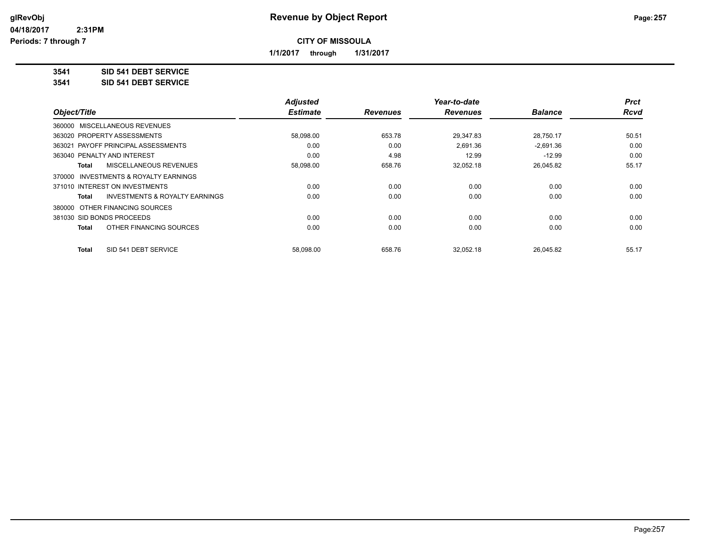**1/1/2017 through 1/31/2017**

**3541 SID 541 DEBT SERVICE**

| 3541 |  |  | <b>SID 541 DEBT SERVICE</b> |
|------|--|--|-----------------------------|
|------|--|--|-----------------------------|

|                                                    | <b>Adjusted</b> |                 | Year-to-date    |                | <b>Prct</b> |
|----------------------------------------------------|-----------------|-----------------|-----------------|----------------|-------------|
| Object/Title                                       | <b>Estimate</b> | <b>Revenues</b> | <b>Revenues</b> | <b>Balance</b> | <b>Rcvd</b> |
| 360000 MISCELLANEOUS REVENUES                      |                 |                 |                 |                |             |
| 363020 PROPERTY ASSESSMENTS                        | 58,098.00       | 653.78          | 29.347.83       | 28,750.17      | 50.51       |
| 363021 PAYOFF PRINCIPAL ASSESSMENTS                | 0.00            | 0.00            | 2,691.36        | $-2,691.36$    | 0.00        |
| 363040 PENALTY AND INTEREST                        | 0.00            | 4.98            | 12.99           | $-12.99$       | 0.00        |
| MISCELLANEOUS REVENUES<br>Total                    | 58,098.00       | 658.76          | 32,052.18       | 26,045.82      | 55.17       |
| INVESTMENTS & ROYALTY EARNINGS<br>370000           |                 |                 |                 |                |             |
| 371010 INTEREST ON INVESTMENTS                     | 0.00            | 0.00            | 0.00            | 0.00           | 0.00        |
| <b>INVESTMENTS &amp; ROYALTY EARNINGS</b><br>Total | 0.00            | 0.00            | 0.00            | 0.00           | 0.00        |
| 380000 OTHER FINANCING SOURCES                     |                 |                 |                 |                |             |
| 381030 SID BONDS PROCEEDS                          | 0.00            | 0.00            | 0.00            | 0.00           | 0.00        |
| OTHER FINANCING SOURCES<br>Total                   | 0.00            | 0.00            | 0.00            | 0.00           | 0.00        |
| SID 541 DEBT SERVICE<br><b>Total</b>               | 58,098.00       | 658.76          | 32,052.18       | 26,045.82      | 55.17       |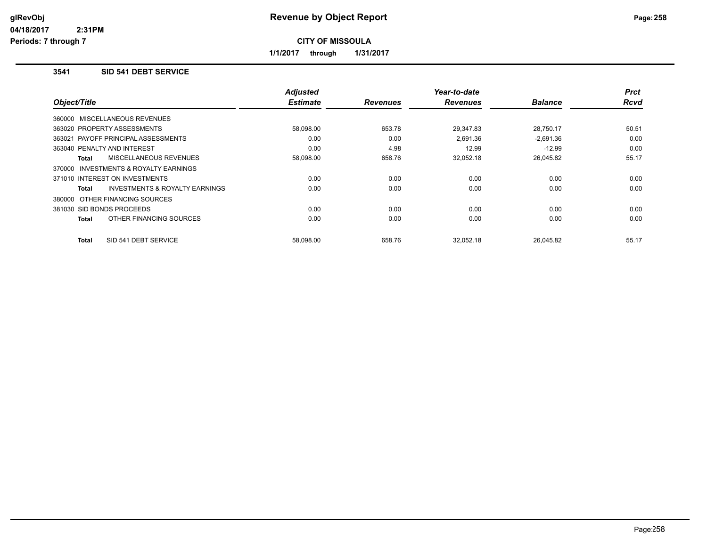**1/1/2017 through 1/31/2017**

#### **3541 SID 541 DEBT SERVICE**

| Object/Title                                              | <b>Adjusted</b><br><b>Estimate</b> | <b>Revenues</b> | Year-to-date<br><b>Revenues</b> | <b>Balance</b> | <b>Prct</b><br>Rcvd |
|-----------------------------------------------------------|------------------------------------|-----------------|---------------------------------|----------------|---------------------|
| <b>MISCELLANEOUS REVENUES</b>                             |                                    |                 |                                 |                |                     |
| 360000                                                    |                                    |                 |                                 |                |                     |
| 363020 PROPERTY ASSESSMENTS                               | 58,098.00                          | 653.78          | 29.347.83                       | 28,750.17      | 50.51               |
| 363021 PAYOFF PRINCIPAL ASSESSMENTS                       | 0.00                               | 0.00            | 2,691.36                        | $-2,691.36$    | 0.00                |
| 363040 PENALTY AND INTEREST                               | 0.00                               | 4.98            | 12.99                           | $-12.99$       | 0.00                |
| MISCELLANEOUS REVENUES<br><b>Total</b>                    | 58,098.00                          | 658.76          | 32,052.18                       | 26,045.82      | 55.17               |
| <b>INVESTMENTS &amp; ROYALTY EARNINGS</b><br>370000       |                                    |                 |                                 |                |                     |
| 371010 INTEREST ON INVESTMENTS                            | 0.00                               | 0.00            | 0.00                            | 0.00           | 0.00                |
| <b>INVESTMENTS &amp; ROYALTY EARNINGS</b><br><b>Total</b> | 0.00                               | 0.00            | 0.00                            | 0.00           | 0.00                |
| 380000 OTHER FINANCING SOURCES                            |                                    |                 |                                 |                |                     |
| 381030 SID BONDS PROCEEDS                                 | 0.00                               | 0.00            | 0.00                            | 0.00           | 0.00                |
| OTHER FINANCING SOURCES<br><b>Total</b>                   | 0.00                               | 0.00            | 0.00                            | 0.00           | 0.00                |
| <b>Total</b><br>SID 541 DEBT SERVICE                      | 58.098.00                          | 658.76          | 32.052.18                       | 26.045.82      | 55.17               |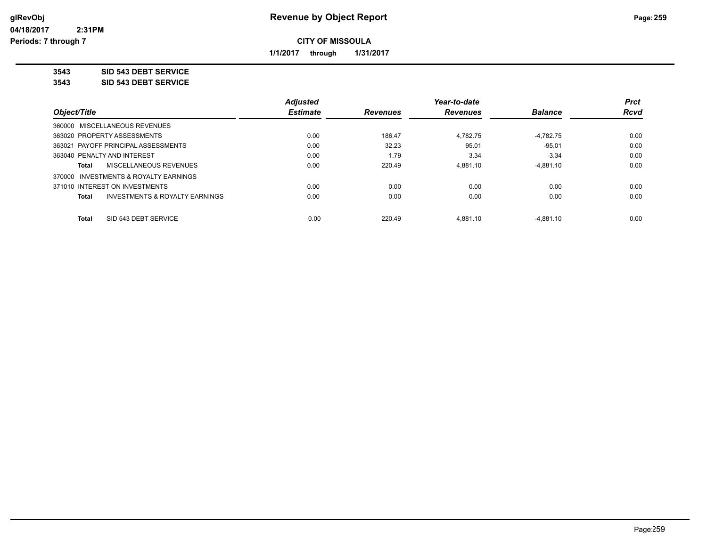**1/1/2017 through 1/31/2017**

**3543 SID 543 DEBT SERVICE**

**3543 SID 543 DEBT SERVICE**

|                                                | <b>Adjusted</b> |                 | Year-to-date    |                | <b>Prct</b> |
|------------------------------------------------|-----------------|-----------------|-----------------|----------------|-------------|
| Object/Title                                   | <b>Estimate</b> | <b>Revenues</b> | <b>Revenues</b> | <b>Balance</b> | <b>Rcvd</b> |
| 360000 MISCELLANEOUS REVENUES                  |                 |                 |                 |                |             |
| 363020 PROPERTY ASSESSMENTS                    | 0.00            | 186.47          | 4.782.75        | $-4.782.75$    | 0.00        |
| 363021 PAYOFF PRINCIPAL ASSESSMENTS            | 0.00            | 32.23           | 95.01           | $-95.01$       | 0.00        |
| 363040 PENALTY AND INTEREST                    | 0.00            | 1.79            | 3.34            | $-3.34$        | 0.00        |
| <b>MISCELLANEOUS REVENUES</b><br>Total         | 0.00            | 220.49          | 4.881.10        | $-4.881.10$    | 0.00        |
| 370000 INVESTMENTS & ROYALTY EARNINGS          |                 |                 |                 |                |             |
| 371010 INTEREST ON INVESTMENTS                 | 0.00            | 0.00            | 0.00            | 0.00           | 0.00        |
| INVESTMENTS & ROYALTY EARNINGS<br><b>Total</b> | 0.00            | 0.00            | 0.00            | 0.00           | 0.00        |
| SID 543 DEBT SERVICE<br><b>Total</b>           | 0.00            | 220.49          | 4.881.10        | $-4.881.10$    | 0.00        |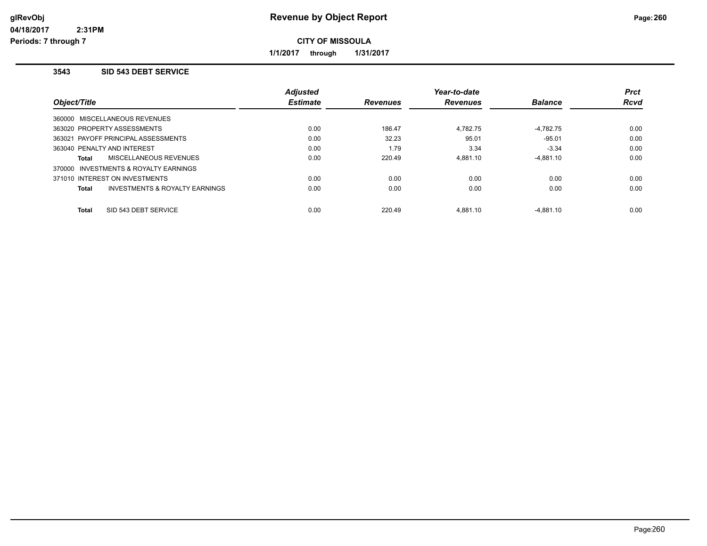**1/1/2017 through 1/31/2017**

#### **3543 SID 543 DEBT SERVICE**

|                                          | <b>Adjusted</b> |                 | Year-to-date    |                | <b>Prct</b> |
|------------------------------------------|-----------------|-----------------|-----------------|----------------|-------------|
| Object/Title                             | <b>Estimate</b> | <b>Revenues</b> | <b>Revenues</b> | <b>Balance</b> | <b>Rcvd</b> |
| 360000 MISCELLANEOUS REVENUES            |                 |                 |                 |                |             |
| 363020 PROPERTY ASSESSMENTS              | 0.00            | 186.47          | 4.782.75        | $-4.782.75$    | 0.00        |
| 363021 PAYOFF PRINCIPAL ASSESSMENTS      | 0.00            | 32.23           | 95.01           | $-95.01$       | 0.00        |
| 363040 PENALTY AND INTEREST              | 0.00            | 1.79            | 3.34            | $-3.34$        | 0.00        |
| MISCELLANEOUS REVENUES<br>Total          | 0.00            | 220.49          | 4.881.10        | $-4.881.10$    | 0.00        |
| INVESTMENTS & ROYALTY EARNINGS<br>370000 |                 |                 |                 |                |             |
| 371010 INTEREST ON INVESTMENTS           | 0.00            | 0.00            | 0.00            | 0.00           | 0.00        |
| INVESTMENTS & ROYALTY EARNINGS<br>Total  | 0.00            | 0.00            | 0.00            | 0.00           | 0.00        |
| SID 543 DEBT SERVICE<br><b>Total</b>     | 0.00            | 220.49          | 4.881.10        | $-4.881.10$    | 0.00        |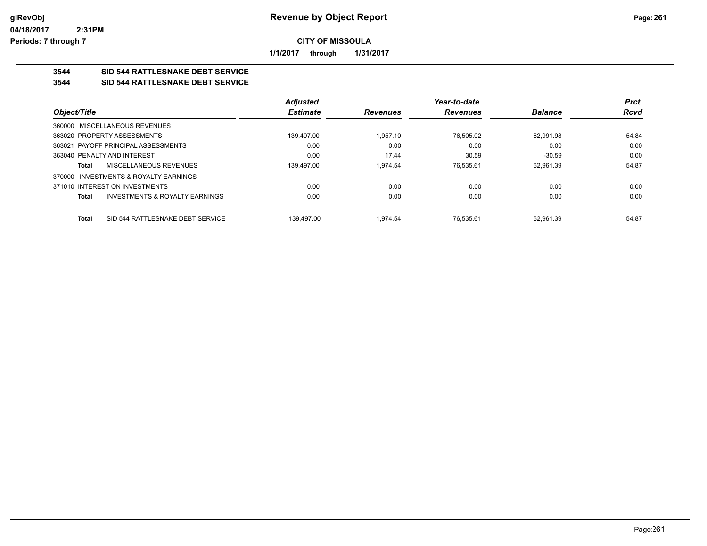**1/1/2017 through 1/31/2017**

## **3544 SID 544 RATTLESNAKE DEBT SERVICE 3544 SID 544 RATTLESNAKE DEBT SERVICE**

|                                                    | <b>Adjusted</b> |          | Year-to-date    |                | <b>Prct</b> |
|----------------------------------------------------|-----------------|----------|-----------------|----------------|-------------|
| Object/Title                                       | <b>Estimate</b> | Revenues | <b>Revenues</b> | <b>Balance</b> | <b>Rcvd</b> |
| MISCELLANEOUS REVENUES<br>360000                   |                 |          |                 |                |             |
| 363020 PROPERTY ASSESSMENTS                        | 139.497.00      | 1.957.10 | 76.505.02       | 62.991.98      | 54.84       |
| 363021 PAYOFF PRINCIPAL ASSESSMENTS                | 0.00            | 0.00     | 0.00            | 0.00           | 0.00        |
| 363040 PENALTY AND INTEREST                        | 0.00            | 17.44    | 30.59           | $-30.59$       | 0.00        |
| MISCELLANEOUS REVENUES<br>Total                    | 139,497.00      | 1.974.54 | 76.535.61       | 62.961.39      | 54.87       |
| INVESTMENTS & ROYALTY EARNINGS<br>370000           |                 |          |                 |                |             |
| 371010 INTEREST ON INVESTMENTS                     | 0.00            | 0.00     | 0.00            | 0.00           | 0.00        |
| <b>INVESTMENTS &amp; ROYALTY EARNINGS</b><br>Total | 0.00            | 0.00     | 0.00            | 0.00           | 0.00        |
| SID 544 RATTLESNAKE DEBT SERVICE<br>Total          | 139.497.00      | 1.974.54 | 76.535.61       | 62.961.39      | 54.87       |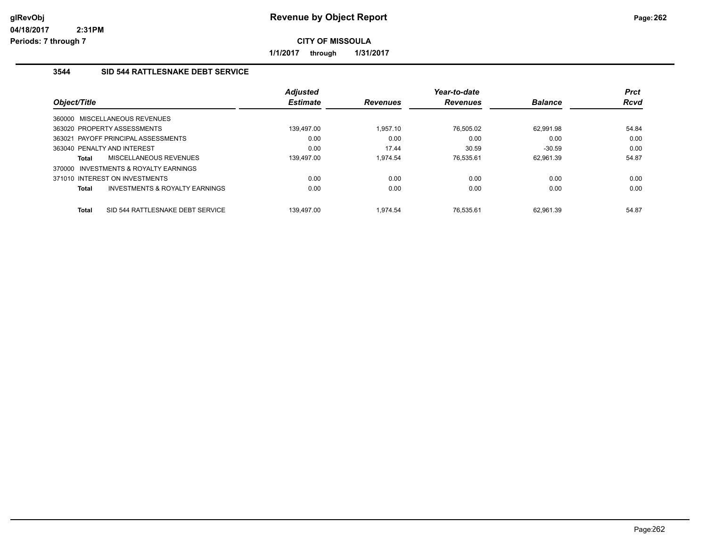**1/1/2017 through 1/31/2017**

#### **3544 SID 544 RATTLESNAKE DEBT SERVICE**

|                                                  | <b>Adjusted</b> |                 | Year-to-date    |                | <b>Prct</b> |
|--------------------------------------------------|-----------------|-----------------|-----------------|----------------|-------------|
| Object/Title                                     | <b>Estimate</b> | <b>Revenues</b> | <b>Revenues</b> | <b>Balance</b> | <b>Rcvd</b> |
| 360000 MISCELLANEOUS REVENUES                    |                 |                 |                 |                |             |
| 363020 PROPERTY ASSESSMENTS                      | 139.497.00      | 1.957.10        | 76.505.02       | 62.991.98      | 54.84       |
| 363021 PAYOFF PRINCIPAL ASSESSMENTS              | 0.00            | 0.00            | 0.00            | 0.00           | 0.00        |
| 363040 PENALTY AND INTEREST                      | 0.00            | 17.44           | 30.59           | $-30.59$       | 0.00        |
| MISCELLANEOUS REVENUES<br><b>Total</b>           | 139.497.00      | 1.974.54        | 76.535.61       | 62.961.39      | 54.87       |
| 370000 INVESTMENTS & ROYALTY EARNINGS            |                 |                 |                 |                |             |
| 371010 INTEREST ON INVESTMENTS                   | 0.00            | 0.00            | 0.00            | 0.00           | 0.00        |
| INVESTMENTS & ROYALTY EARNINGS<br><b>Total</b>   | 0.00            | 0.00            | 0.00            | 0.00           | 0.00        |
| SID 544 RATTLESNAKE DEBT SERVICE<br><b>Total</b> | 139.497.00      | 1.974.54        | 76.535.61       | 62.961.39      | 54.87       |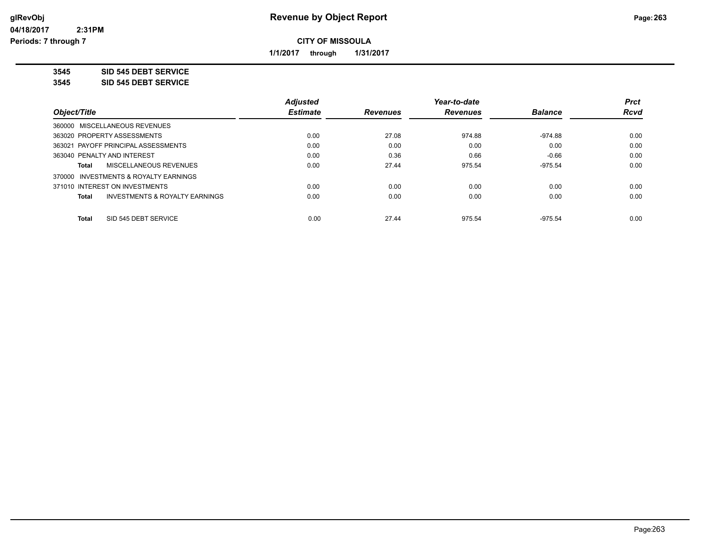**1/1/2017 through 1/31/2017**

**3545 SID 545 DEBT SERVICE**

**3545 SID 545 DEBT SERVICE**

|                                                | <b>Adjusted</b> |                 | Year-to-date    |                | <b>Prct</b> |
|------------------------------------------------|-----------------|-----------------|-----------------|----------------|-------------|
| Object/Title                                   | <b>Estimate</b> | <b>Revenues</b> | <b>Revenues</b> | <b>Balance</b> | Rcvd        |
| 360000 MISCELLANEOUS REVENUES                  |                 |                 |                 |                |             |
| 363020 PROPERTY ASSESSMENTS                    | 0.00            | 27.08           | 974.88          | $-974.88$      | 0.00        |
| 363021 PAYOFF PRINCIPAL ASSESSMENTS            | 0.00            | 0.00            | 0.00            | 0.00           | 0.00        |
| 363040 PENALTY AND INTEREST                    | 0.00            | 0.36            | 0.66            | $-0.66$        | 0.00        |
| MISCELLANEOUS REVENUES<br>Total                | 0.00            | 27.44           | 975.54          | $-975.54$      | 0.00        |
| INVESTMENTS & ROYALTY EARNINGS<br>370000       |                 |                 |                 |                |             |
| 371010 INTEREST ON INVESTMENTS                 | 0.00            | 0.00            | 0.00            | 0.00           | 0.00        |
| INVESTMENTS & ROYALTY EARNINGS<br><b>Total</b> | 0.00            | 0.00            | 0.00            | 0.00           | 0.00        |
| SID 545 DEBT SERVICE<br>Total                  | 0.00            | 27.44           | 975.54          | $-975.54$      | 0.00        |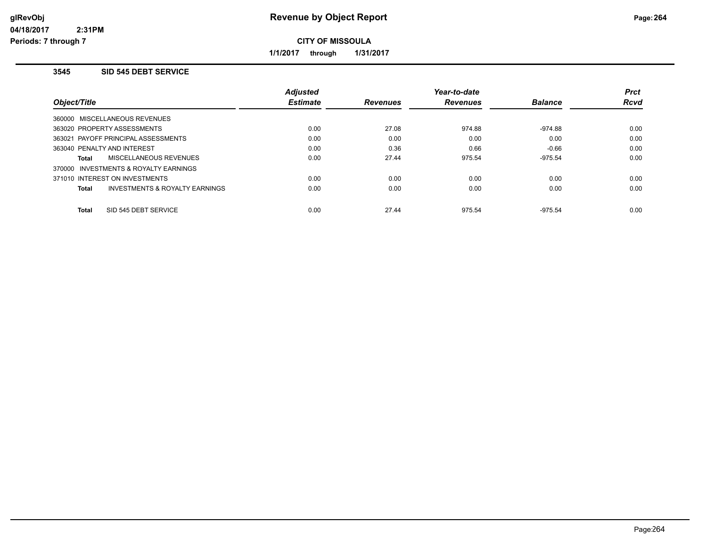**1/1/2017 through 1/31/2017**

#### **3545 SID 545 DEBT SERVICE**

|                                |                                       | <b>Adiusted</b> |                 | Year-to-date    |                | <b>Prct</b> |
|--------------------------------|---------------------------------------|-----------------|-----------------|-----------------|----------------|-------------|
| Object/Title                   |                                       | <b>Estimate</b> | <b>Revenues</b> | <b>Revenues</b> | <b>Balance</b> | <b>Rcvd</b> |
|                                | 360000 MISCELLANEOUS REVENUES         |                 |                 |                 |                |             |
| 363020 PROPERTY ASSESSMENTS    |                                       | 0.00            | 27.08           | 974.88          | $-974.88$      | 0.00        |
|                                | 363021 PAYOFF PRINCIPAL ASSESSMENTS   | 0.00            | 0.00            | 0.00            | 0.00           | 0.00        |
| 363040 PENALTY AND INTEREST    |                                       | 0.00            | 0.36            | 0.66            | $-0.66$        | 0.00        |
| Total                          | MISCELLANEOUS REVENUES                | 0.00            | 27.44           | 975.54          | $-975.54$      | 0.00        |
|                                | 370000 INVESTMENTS & ROYALTY EARNINGS |                 |                 |                 |                |             |
| 371010 INTEREST ON INVESTMENTS |                                       | 0.00            | 0.00            | 0.00            | 0.00           | 0.00        |
| Total                          | INVESTMENTS & ROYALTY EARNINGS        | 0.00            | 0.00            | 0.00            | 0.00           | 0.00        |
| <b>Total</b>                   | SID 545 DEBT SERVICE                  | 0.00            | 27.44           | 975.54          | $-975.54$      | 0.00        |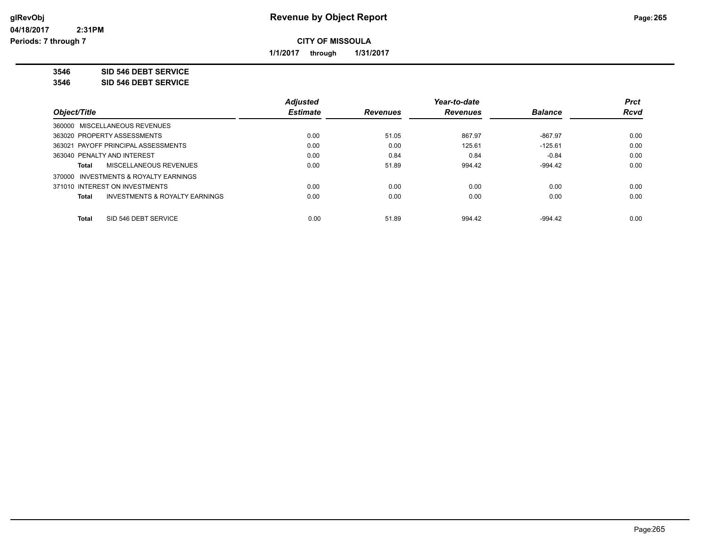**1/1/2017 through 1/31/2017**

**3546 SID 546 DEBT SERVICE**

**3546 SID 546 DEBT SERVICE**

|                                                | <b>Adjusted</b> |                 | Year-to-date    |                | <b>Prct</b> |
|------------------------------------------------|-----------------|-----------------|-----------------|----------------|-------------|
| Object/Title                                   | <b>Estimate</b> | <b>Revenues</b> | <b>Revenues</b> | <b>Balance</b> | <b>Rcvd</b> |
| 360000 MISCELLANEOUS REVENUES                  |                 |                 |                 |                |             |
| 363020 PROPERTY ASSESSMENTS                    | 0.00            | 51.05           | 867.97          | $-867.97$      | 0.00        |
| 363021 PAYOFF PRINCIPAL ASSESSMENTS            | 0.00            | 0.00            | 125.61          | $-125.61$      | 0.00        |
| 363040 PENALTY AND INTEREST                    | 0.00            | 0.84            | 0.84            | $-0.84$        | 0.00        |
| MISCELLANEOUS REVENUES<br>Total                | 0.00            | 51.89           | 994.42          | $-994.42$      | 0.00        |
| 370000 INVESTMENTS & ROYALTY EARNINGS          |                 |                 |                 |                |             |
| 371010 INTEREST ON INVESTMENTS                 | 0.00            | 0.00            | 0.00            | 0.00           | 0.00        |
| INVESTMENTS & ROYALTY EARNINGS<br><b>Total</b> | 0.00            | 0.00            | 0.00            | 0.00           | 0.00        |
| SID 546 DEBT SERVICE<br><b>Total</b>           | 0.00            | 51.89           | 994.42          | $-994.42$      | 0.00        |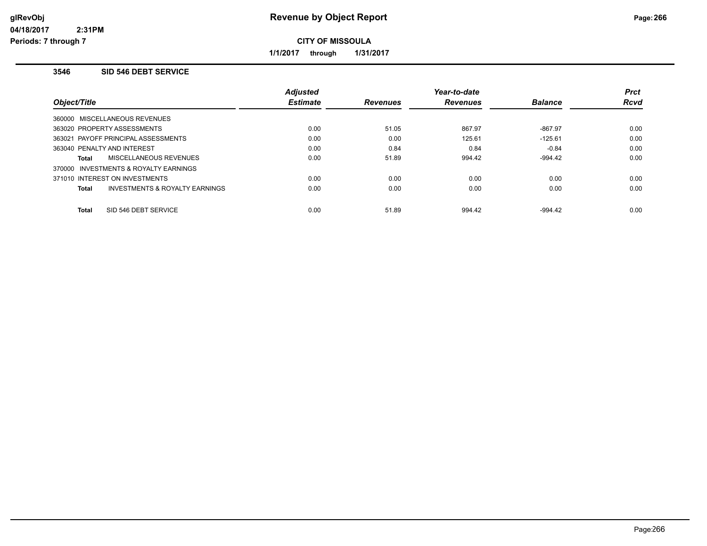**1/1/2017 through 1/31/2017**

#### **3546 SID 546 DEBT SERVICE**

|                             |                                       | <b>Adiusted</b> |                 | Year-to-date    |                | <b>Prct</b> |
|-----------------------------|---------------------------------------|-----------------|-----------------|-----------------|----------------|-------------|
| Object/Title                |                                       | <b>Estimate</b> | <b>Revenues</b> | <b>Revenues</b> | <b>Balance</b> | <b>Rcvd</b> |
|                             | 360000 MISCELLANEOUS REVENUES         |                 |                 |                 |                |             |
| 363020 PROPERTY ASSESSMENTS |                                       | 0.00            | 51.05           | 867.97          | $-867.97$      | 0.00        |
|                             | 363021 PAYOFF PRINCIPAL ASSESSMENTS   | 0.00            | 0.00            | 125.61          | $-125.61$      | 0.00        |
| 363040 PENALTY AND INTEREST |                                       | 0.00            | 0.84            | 0.84            | $-0.84$        | 0.00        |
| Total                       | MISCELLANEOUS REVENUES                | 0.00            | 51.89           | 994.42          | $-994.42$      | 0.00        |
|                             | 370000 INVESTMENTS & ROYALTY EARNINGS |                 |                 |                 |                |             |
|                             | 371010 INTEREST ON INVESTMENTS        | 0.00            | 0.00            | 0.00            | 0.00           | 0.00        |
| Total                       | INVESTMENTS & ROYALTY EARNINGS        | 0.00            | 0.00            | 0.00            | 0.00           | 0.00        |
| <b>Total</b>                | SID 546 DEBT SERVICE                  | 0.00            | 51.89           | 994.42          | $-994.42$      | 0.00        |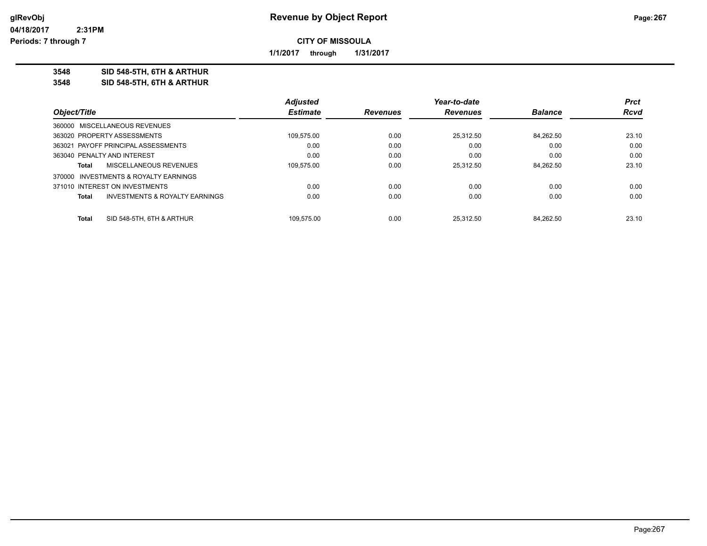*Prct Rcvd*

**CITY OF MISSOULA**

**1/1/2017 through 1/31/2017**

**3548 SID 548-5TH, 6TH & ARTHUR 3548 SID 548-5TH, 6TH & ARTHUR**

*Object/Title Adjusted Estimate Revenues Year-to-date Revenues Balance* 360000 MISCELLANEOUS REVENUES 363020 PROPERTY ASSESSMENTS 109,575.00 0.00 25,312.50 84,262.50 23.10 363021 PAYOFF PRINCIPAL ASSESSMENTS 0.00 0.00 0.00 0.00 0.00 363040 PENALTY AND INTEREST 0.00 0.00 0.00 0.00 0.00 **Total** MISCELLANEOUS REVENUES 109,575.00 0.00 25,312.50 84,262.50 23.10 370000 INVESTMENTS & ROYALTY EARNINGS 371010 INTEREST ON INVESTMENTS 0.00 0.00 0.00 0.00 0.00 **Total** INVESTMENTS & ROYALTY EARNINGS 0.00 0.00 0.00 0.00 0.00 **Total** SID 548-5TH, 6TH & ARTHUR 109,575.00 0.00 25,312.50 84,262.50 23.10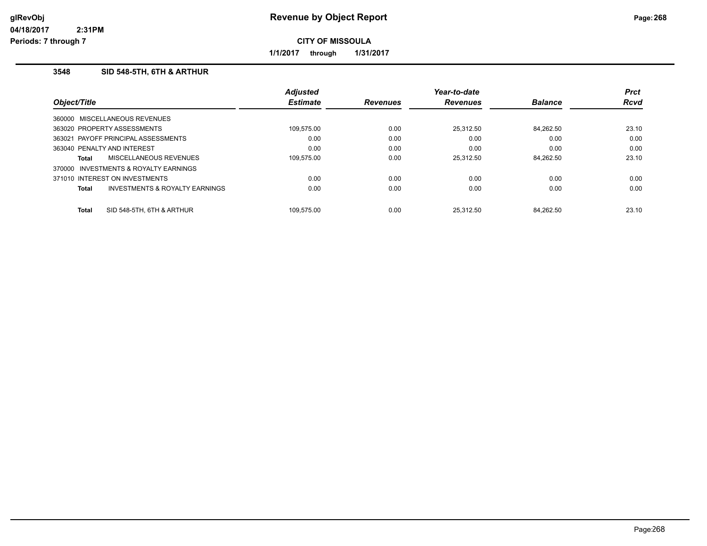**1/1/2017 through 1/31/2017**

#### **3548 SID 548-5TH, 6TH & ARTHUR**

|              |                                     | <b>Adjusted</b> |                 | Year-to-date    |                | <b>Prct</b> |
|--------------|-------------------------------------|-----------------|-----------------|-----------------|----------------|-------------|
| Object/Title |                                     | <b>Estimate</b> | <b>Revenues</b> | <b>Revenues</b> | <b>Balance</b> | <b>Rcvd</b> |
|              | 360000 MISCELLANEOUS REVENUES       |                 |                 |                 |                |             |
|              | 363020 PROPERTY ASSESSMENTS         | 109.575.00      | 0.00            | 25.312.50       | 84.262.50      | 23.10       |
|              | 363021 PAYOFF PRINCIPAL ASSESSMENTS | 0.00            | 0.00            | 0.00            | 0.00           | 0.00        |
|              | 363040 PENALTY AND INTEREST         | 0.00            | 0.00            | 0.00            | 0.00           | 0.00        |
| Total        | MISCELLANEOUS REVENUES              | 109.575.00      | 0.00            | 25.312.50       | 84.262.50      | 23.10       |
| 370000       | INVESTMENTS & ROYALTY EARNINGS      |                 |                 |                 |                |             |
|              | 371010 INTEREST ON INVESTMENTS      | 0.00            | 0.00            | 0.00            | 0.00           | 0.00        |
| <b>Total</b> | INVESTMENTS & ROYALTY EARNINGS      | 0.00            | 0.00            | 0.00            | 0.00           | 0.00        |
| <b>Total</b> | SID 548-5TH, 6TH & ARTHUR           | 109.575.00      | 0.00            | 25.312.50       | 84.262.50      | 23.10       |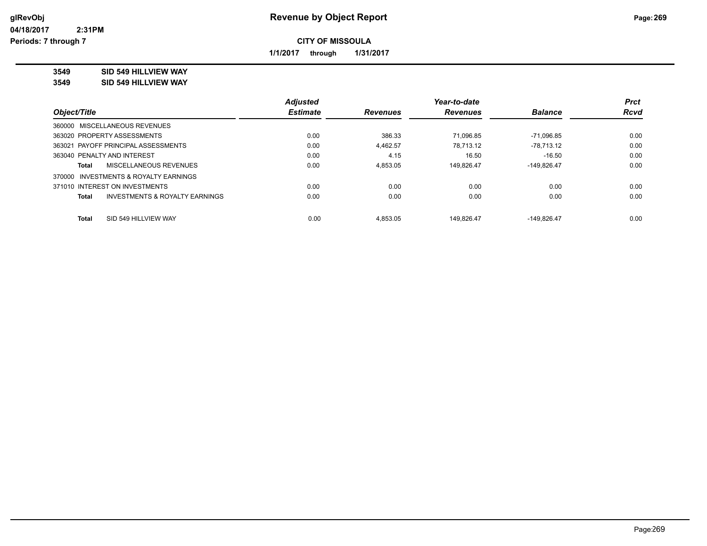**1/1/2017 through 1/31/2017**

**3549 SID 549 HILLVIEW WAY**

**3549 SID 549 HILLVIEW WAY**

|                                                    | <b>Adjusted</b> |                 | Year-to-date    |                | <b>Prct</b> |
|----------------------------------------------------|-----------------|-----------------|-----------------|----------------|-------------|
| Object/Title                                       | <b>Estimate</b> | <b>Revenues</b> | <b>Revenues</b> | <b>Balance</b> | <b>Rcvd</b> |
| 360000 MISCELLANEOUS REVENUES                      |                 |                 |                 |                |             |
| 363020 PROPERTY ASSESSMENTS                        | 0.00            | 386.33          | 71.096.85       | $-71.096.85$   | 0.00        |
| 363021 PAYOFF PRINCIPAL ASSESSMENTS                | 0.00            | 4.462.57        | 78.713.12       | $-78.713.12$   | 0.00        |
| 363040 PENALTY AND INTEREST                        | 0.00            | 4.15            | 16.50           | $-16.50$       | 0.00        |
| <b>MISCELLANEOUS REVENUES</b><br>Total             | 0.00            | 4,853.05        | 149.826.47      | $-149.826.47$  | 0.00        |
| 370000 INVESTMENTS & ROYALTY EARNINGS              |                 |                 |                 |                |             |
| 371010 INTEREST ON INVESTMENTS                     | 0.00            | 0.00            | 0.00            | 0.00           | 0.00        |
| <b>INVESTMENTS &amp; ROYALTY EARNINGS</b><br>Total | 0.00            | 0.00            | 0.00            | 0.00           | 0.00        |
|                                                    |                 |                 |                 |                |             |
| <b>Total</b><br>SID 549 HILLVIEW WAY               | 0.00            | 4.853.05        | 149.826.47      | $-149.826.47$  | 0.00        |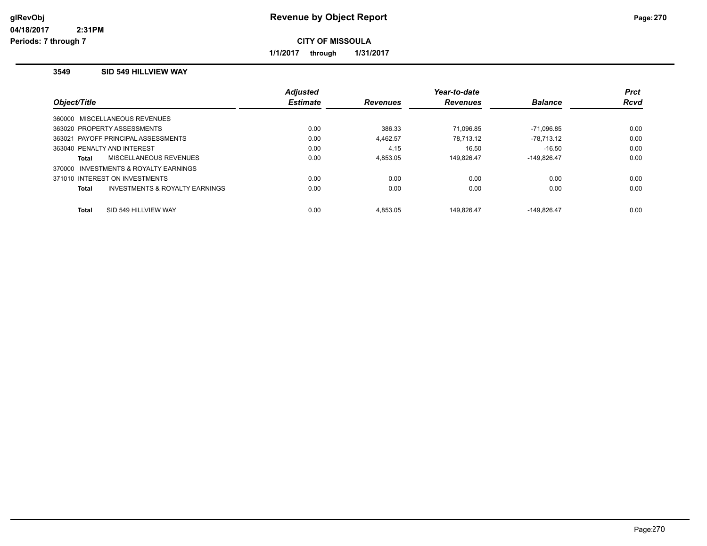**1/1/2017 through 1/31/2017**

### **3549 SID 549 HILLVIEW WAY**

|                            |                                     | <b>Adjusted</b> |                 | Year-to-date    |                | <b>Prct</b> |
|----------------------------|-------------------------------------|-----------------|-----------------|-----------------|----------------|-------------|
| <i><b>Object/Title</b></i> |                                     | <b>Estimate</b> | <b>Revenues</b> | <b>Revenues</b> | <b>Balance</b> | <b>Rcvd</b> |
|                            | 360000 MISCELLANEOUS REVENUES       |                 |                 |                 |                |             |
|                            | 363020 PROPERTY ASSESSMENTS         | 0.00            | 386.33          | 71.096.85       | $-71.096.85$   | 0.00        |
|                            | 363021 PAYOFF PRINCIPAL ASSESSMENTS | 0.00            | 4.462.57        | 78.713.12       | $-78.713.12$   | 0.00        |
|                            | 363040 PENALTY AND INTEREST         | 0.00            | 4.15            | 16.50           | $-16.50$       | 0.00        |
| Total                      | MISCELLANEOUS REVENUES              | 0.00            | 4.853.05        | 149.826.47      | $-149.826.47$  | 0.00        |
| 370000                     | INVESTMENTS & ROYALTY EARNINGS      |                 |                 |                 |                |             |
|                            | 371010 INTEREST ON INVESTMENTS      | 0.00            | 0.00            | 0.00            | 0.00           | 0.00        |
| <b>Total</b>               | INVESTMENTS & ROYALTY EARNINGS      | 0.00            | 0.00            | 0.00            | 0.00           | 0.00        |
| <b>Total</b>               | SID 549 HILLVIEW WAY                | 0.00            | 4.853.05        | 149.826.47      | $-149.826.47$  | 0.00        |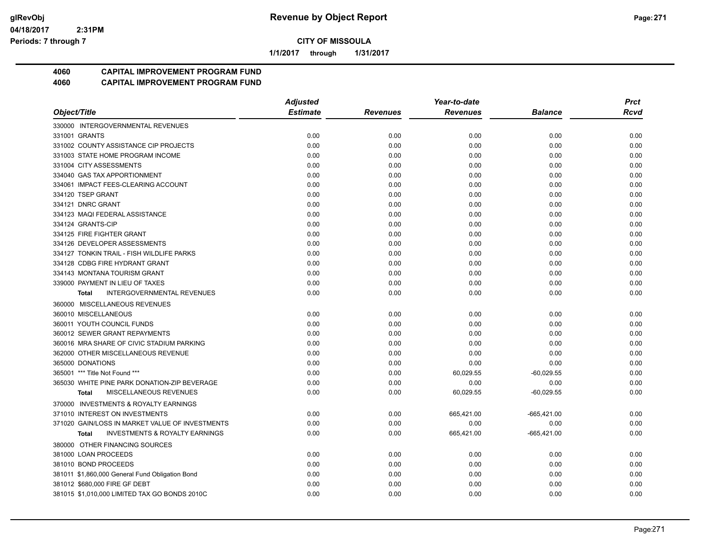**1/1/2017 through 1/31/2017**

## **4060 CAPITAL IMPROVEMENT PROGRAM FUND 4060 CAPITAL IMPROVEMENT PROGRAM FUND**

|                                                           | <b>Adjusted</b> |                 | Year-to-date    |                | <b>Prct</b> |
|-----------------------------------------------------------|-----------------|-----------------|-----------------|----------------|-------------|
| Object/Title                                              | <b>Estimate</b> | <b>Revenues</b> | <b>Revenues</b> | <b>Balance</b> | <b>Rcvd</b> |
| 330000 INTERGOVERNMENTAL REVENUES                         |                 |                 |                 |                |             |
| 331001 GRANTS                                             | 0.00            | 0.00            | 0.00            | 0.00           | 0.00        |
| 331002 COUNTY ASSISTANCE CIP PROJECTS                     | 0.00            | 0.00            | 0.00            | 0.00           | 0.00        |
| 331003 STATE HOME PROGRAM INCOME                          | 0.00            | 0.00            | 0.00            | 0.00           | 0.00        |
| 331004 CITY ASSESSMENTS                                   | 0.00            | 0.00            | 0.00            | 0.00           | 0.00        |
| 334040 GAS TAX APPORTIONMENT                              | 0.00            | 0.00            | 0.00            | 0.00           | 0.00        |
| 334061 IMPACT FEES-CLEARING ACCOUNT                       | 0.00            | 0.00            | 0.00            | 0.00           | 0.00        |
| 334120 TSEP GRANT                                         | 0.00            | 0.00            | 0.00            | 0.00           | 0.00        |
| 334121 DNRC GRANT                                         | 0.00            | 0.00            | 0.00            | 0.00           | 0.00        |
| 334123 MAQI FEDERAL ASSISTANCE                            | 0.00            | 0.00            | 0.00            | 0.00           | 0.00        |
| 334124 GRANTS-CIP                                         | 0.00            | 0.00            | 0.00            | 0.00           | 0.00        |
| 334125 FIRE FIGHTER GRANT                                 | 0.00            | 0.00            | 0.00            | 0.00           | 0.00        |
| 334126 DEVELOPER ASSESSMENTS                              | 0.00            | 0.00            | 0.00            | 0.00           | 0.00        |
| 334127 TONKIN TRAIL - FISH WILDLIFE PARKS                 | 0.00            | 0.00            | 0.00            | 0.00           | 0.00        |
| 334128 CDBG FIRE HYDRANT GRANT                            | 0.00            | 0.00            | 0.00            | 0.00           | 0.00        |
| 334143 MONTANA TOURISM GRANT                              | 0.00            | 0.00            | 0.00            | 0.00           | 0.00        |
| 339000 PAYMENT IN LIEU OF TAXES                           | 0.00            | 0.00            | 0.00            | 0.00           | 0.00        |
| <b>INTERGOVERNMENTAL REVENUES</b><br><b>Total</b>         | 0.00            | 0.00            | 0.00            | 0.00           | 0.00        |
| 360000 MISCELLANEOUS REVENUES                             |                 |                 |                 |                |             |
| 360010 MISCELLANEOUS                                      | 0.00            | 0.00            | 0.00            | 0.00           | 0.00        |
| 360011 YOUTH COUNCIL FUNDS                                | 0.00            | 0.00            | 0.00            | 0.00           | 0.00        |
| 360012 SEWER GRANT REPAYMENTS                             | 0.00            | 0.00            | 0.00            | 0.00           | 0.00        |
| 360016 MRA SHARE OF CIVIC STADIUM PARKING                 | 0.00            | 0.00            | 0.00            | 0.00           | 0.00        |
| 362000 OTHER MISCELLANEOUS REVENUE                        | 0.00            | 0.00            | 0.00            | 0.00           | 0.00        |
| 365000 DONATIONS                                          | 0.00            | 0.00            | 0.00            | 0.00           | 0.00        |
| 365001 *** Title Not Found ***                            | 0.00            | 0.00            | 60,029.55       | $-60,029.55$   | 0.00        |
| 365030 WHITE PINE PARK DONATION-ZIP BEVERAGE              | 0.00            | 0.00            | 0.00            | 0.00           | 0.00        |
| MISCELLANEOUS REVENUES<br>Total                           | 0.00            | 0.00            | 60,029.55       | $-60,029.55$   | 0.00        |
| 370000 INVESTMENTS & ROYALTY EARNINGS                     |                 |                 |                 |                |             |
| 371010 INTEREST ON INVESTMENTS                            | 0.00            | 0.00            | 665,421.00      | $-665,421.00$  | 0.00        |
| 371020 GAIN/LOSS IN MARKET VALUE OF INVESTMENTS           | 0.00            | 0.00            | 0.00            | 0.00           | 0.00        |
| <b>INVESTMENTS &amp; ROYALTY EARNINGS</b><br><b>Total</b> | 0.00            | 0.00            | 665,421.00      | $-665,421.00$  | 0.00        |
| 380000 OTHER FINANCING SOURCES                            |                 |                 |                 |                |             |
| 381000 LOAN PROCEEDS                                      | 0.00            | 0.00            | 0.00            | 0.00           | 0.00        |
| 381010 BOND PROCEEDS                                      | 0.00            | 0.00            | 0.00            | 0.00           | 0.00        |
| 381011 \$1,860,000 General Fund Obligation Bond           | 0.00            | 0.00            | 0.00            | 0.00           | 0.00        |
| 381012 \$680,000 FIRE GF DEBT                             | 0.00            | 0.00            | 0.00            | 0.00           | 0.00        |
| 381015 \$1,010,000 LIMITED TAX GO BONDS 2010C             | 0.00            | 0.00            | 0.00            | 0.00           | 0.00        |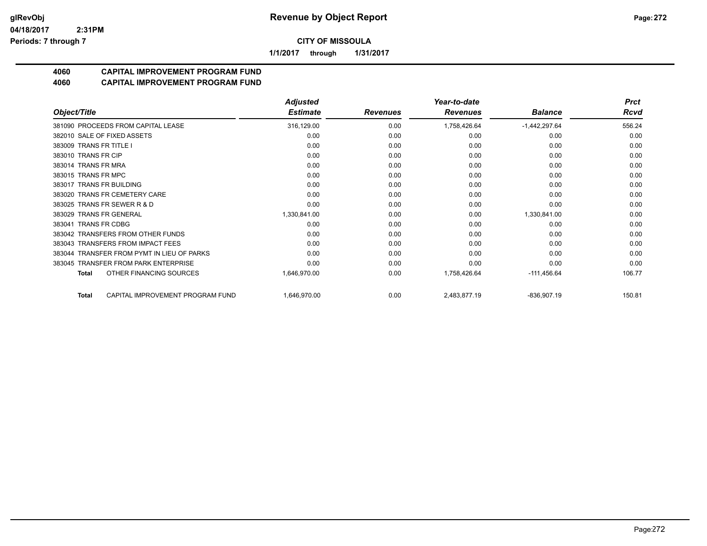**1/1/2017 through 1/31/2017**

## **4060 CAPITAL IMPROVEMENT PROGRAM FUND 4060 CAPITAL IMPROVEMENT PROGRAM FUND**

|                                                  | <b>Adjusted</b> |                 | Year-to-date    |                 | <b>Prct</b> |
|--------------------------------------------------|-----------------|-----------------|-----------------|-----------------|-------------|
| Object/Title                                     | <b>Estimate</b> | <b>Revenues</b> | <b>Revenues</b> | <b>Balance</b>  | Rcvd        |
| 381090 PROCEEDS FROM CAPITAL LEASE               | 316,129.00      | 0.00            | 1,758,426.64    | $-1,442,297.64$ | 556.24      |
| 382010 SALE OF FIXED ASSETS                      | 0.00            | 0.00            | 0.00            | 0.00            | 0.00        |
| 383009 TRANS FR TITLE I                          | 0.00            | 0.00            | 0.00            | 0.00            | 0.00        |
| 383010 TRANS FR CIP                              | 0.00            | 0.00            | 0.00            | 0.00            | 0.00        |
| 383014 TRANS FR MRA                              | 0.00            | 0.00            | 0.00            | 0.00            | 0.00        |
| 383015 TRANS FR MPC                              | 0.00            | 0.00            | 0.00            | 0.00            | 0.00        |
| 383017 TRANS FR BUILDING                         | 0.00            | 0.00            | 0.00            | 0.00            | 0.00        |
| 383020 TRANS FR CEMETERY CARE                    | 0.00            | 0.00            | 0.00            | 0.00            | 0.00        |
| 383025 TRANS FR SEWER R & D                      | 0.00            | 0.00            | 0.00            | 0.00            | 0.00        |
| 383029 TRANS FR GENERAL                          | 1,330,841.00    | 0.00            | 0.00            | 1,330,841.00    | 0.00        |
| 383041 TRANS FR CDBG                             | 0.00            | 0.00            | 0.00            | 0.00            | 0.00        |
| 383042 TRANSFERS FROM OTHER FUNDS                | 0.00            | 0.00            | 0.00            | 0.00            | 0.00        |
| 383043 TRANSFERS FROM IMPACT FEES                | 0.00            | 0.00            | 0.00            | 0.00            | 0.00        |
| 383044 TRANSFER FROM PYMT IN LIEU OF PARKS       | 0.00            | 0.00            | 0.00            | 0.00            | 0.00        |
| 383045 TRANSFER FROM PARK ENTERPRISE             | 0.00            | 0.00            | 0.00            | 0.00            | 0.00        |
| OTHER FINANCING SOURCES<br><b>Total</b>          | 1,646,970.00    | 0.00            | 1,758,426.64    | $-111,456.64$   | 106.77      |
| CAPITAL IMPROVEMENT PROGRAM FUND<br><b>Total</b> | 1,646,970.00    | 0.00            | 2,483,877.19    | $-836,907.19$   | 150.81      |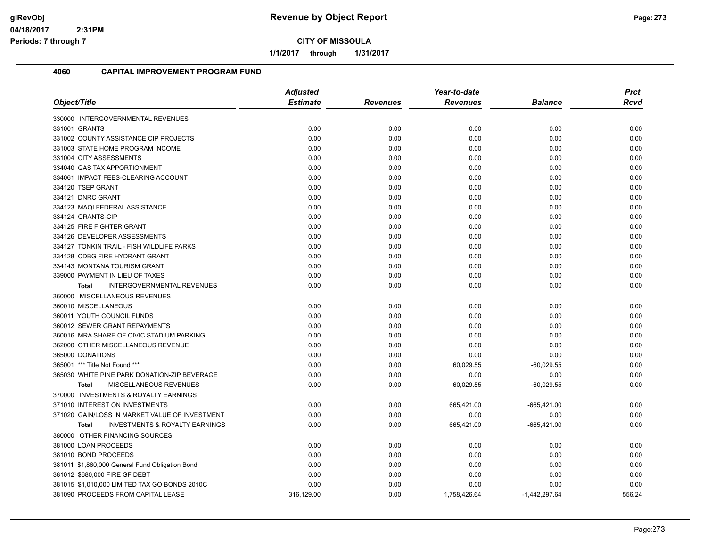**1/1/2017 through 1/31/2017**

### **4060 CAPITAL IMPROVEMENT PROGRAM FUND**

|                                                           | <b>Adjusted</b> |                 | Year-to-date    |                 | <b>Prct</b> |
|-----------------------------------------------------------|-----------------|-----------------|-----------------|-----------------|-------------|
| Object/Title                                              | <b>Estimate</b> | <b>Revenues</b> | <b>Revenues</b> | <b>Balance</b>  | <b>Rcvd</b> |
| 330000 INTERGOVERNMENTAL REVENUES                         |                 |                 |                 |                 |             |
| 331001 GRANTS                                             | 0.00            | 0.00            | 0.00            | 0.00            | 0.00        |
| 331002 COUNTY ASSISTANCE CIP PROJECTS                     | 0.00            | 0.00            | 0.00            | 0.00            | 0.00        |
| 331003 STATE HOME PROGRAM INCOME                          | 0.00            | 0.00            | 0.00            | 0.00            | 0.00        |
| 331004 CITY ASSESSMENTS                                   | 0.00            | 0.00            | 0.00            | 0.00            | 0.00        |
| 334040 GAS TAX APPORTIONMENT                              | 0.00            | 0.00            | 0.00            | 0.00            | 0.00        |
| 334061 IMPACT FEES-CLEARING ACCOUNT                       | 0.00            | 0.00            | 0.00            | 0.00            | 0.00        |
| 334120 TSEP GRANT                                         | 0.00            | 0.00            | 0.00            | 0.00            | 0.00        |
| 334121 DNRC GRANT                                         | 0.00            | 0.00            | 0.00            | 0.00            | 0.00        |
| 334123 MAQI FEDERAL ASSISTANCE                            | 0.00            | 0.00            | 0.00            | 0.00            | 0.00        |
| 334124 GRANTS-CIP                                         | 0.00            | 0.00            | 0.00            | 0.00            | 0.00        |
| 334125 FIRE FIGHTER GRANT                                 | 0.00            | 0.00            | 0.00            | 0.00            | 0.00        |
| 334126 DEVELOPER ASSESSMENTS                              | 0.00            | 0.00            | 0.00            | 0.00            | 0.00        |
| 334127 TONKIN TRAIL - FISH WILDLIFE PARKS                 | 0.00            | 0.00            | 0.00            | 0.00            | 0.00        |
| 334128 CDBG FIRE HYDRANT GRANT                            | 0.00            | 0.00            | 0.00            | 0.00            | 0.00        |
| 334143 MONTANA TOURISM GRANT                              | 0.00            | 0.00            | 0.00            | 0.00            | 0.00        |
| 339000 PAYMENT IN LIEU OF TAXES                           | 0.00            | 0.00            | 0.00            | 0.00            | 0.00        |
| <b>INTERGOVERNMENTAL REVENUES</b><br><b>Total</b>         | 0.00            | 0.00            | 0.00            | 0.00            | 0.00        |
| 360000 MISCELLANEOUS REVENUES                             |                 |                 |                 |                 |             |
| 360010 MISCELLANEOUS                                      | 0.00            | 0.00            | 0.00            | 0.00            | 0.00        |
| 360011 YOUTH COUNCIL FUNDS                                | 0.00            | 0.00            | 0.00            | 0.00            | 0.00        |
| 360012 SEWER GRANT REPAYMENTS                             | 0.00            | 0.00            | 0.00            | 0.00            | 0.00        |
| 360016 MRA SHARE OF CIVIC STADIUM PARKING                 | 0.00            | 0.00            | 0.00            | 0.00            | 0.00        |
| 362000 OTHER MISCELLANEOUS REVENUE                        | 0.00            | 0.00            | 0.00            | 0.00            | 0.00        |
| 365000 DONATIONS                                          | 0.00            | 0.00            | 0.00            | 0.00            | 0.00        |
| 365001 *** Title Not Found ***                            | 0.00            | 0.00            | 60,029.55       | $-60,029.55$    | 0.00        |
| 365030 WHITE PINE PARK DONATION-ZIP BEVERAGE              | 0.00            | 0.00            | 0.00            | 0.00            | 0.00        |
| MISCELLANEOUS REVENUES<br><b>Total</b>                    | 0.00            | 0.00            | 60,029.55       | $-60,029.55$    | 0.00        |
| 370000 INVESTMENTS & ROYALTY EARNINGS                     |                 |                 |                 |                 |             |
| 371010 INTEREST ON INVESTMENTS                            | 0.00            | 0.00            | 665,421.00      | $-665,421.00$   | 0.00        |
| 371020 GAIN/LOSS IN MARKET VALUE OF INVESTMENT            | 0.00            | 0.00            | 0.00            | 0.00            | 0.00        |
| <b>INVESTMENTS &amp; ROYALTY EARNINGS</b><br><b>Total</b> | 0.00            | 0.00            | 665,421.00      | $-665,421.00$   | 0.00        |
| 380000 OTHER FINANCING SOURCES                            |                 |                 |                 |                 |             |
| 381000 LOAN PROCEEDS                                      | 0.00            | 0.00            | 0.00            | 0.00            | 0.00        |
| 381010 BOND PROCEEDS                                      | 0.00            | 0.00            | 0.00            | 0.00            | 0.00        |
| 381011 \$1,860,000 General Fund Obligation Bond           | 0.00            | 0.00            | 0.00            | 0.00            | 0.00        |
| 381012 \$680,000 FIRE GF DEBT                             | 0.00            | 0.00            | 0.00            | 0.00            | 0.00        |
| 381015 \$1,010,000 LIMITED TAX GO BONDS 2010C             | 0.00            | 0.00            | 0.00            | 0.00            | 0.00        |
| 381090 PROCEEDS FROM CAPITAL LEASE                        | 316.129.00      | 0.00            | 1,758,426.64    | $-1.442.297.64$ | 556.24      |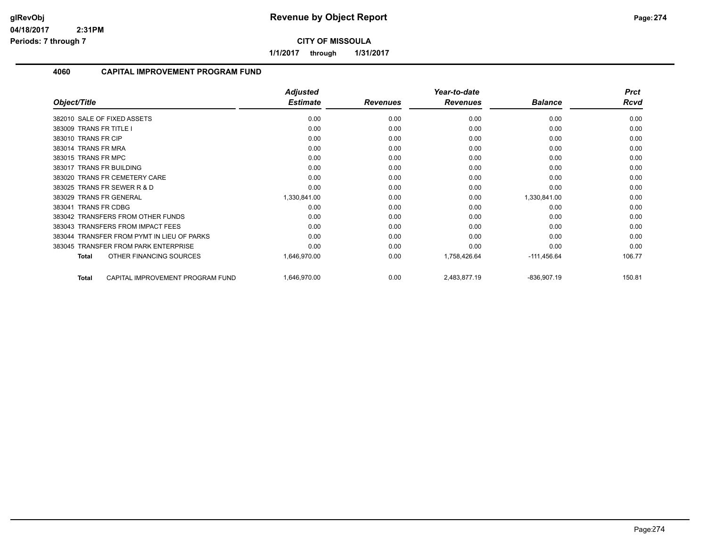**1/1/2017 through 1/31/2017**

#### **4060 CAPITAL IMPROVEMENT PROGRAM FUND**

| Object/Title                               | <b>Adjusted</b><br><b>Estimate</b> | <b>Revenues</b> | Year-to-date<br><b>Revenues</b> | <b>Balance</b> | <b>Prct</b><br><b>Rcvd</b> |
|--------------------------------------------|------------------------------------|-----------------|---------------------------------|----------------|----------------------------|
|                                            |                                    |                 |                                 |                |                            |
| 382010 SALE OF FIXED ASSETS                | 0.00                               | 0.00            | 0.00                            | 0.00           | 0.00                       |
| 383009 TRANS FR TITLE I                    | 0.00                               | 0.00            | 0.00                            | 0.00           | 0.00                       |
| 383010 TRANS FR CIP                        | 0.00                               | 0.00            | 0.00                            | 0.00           | 0.00                       |
| 383014 TRANS FR MRA                        | 0.00                               | 0.00            | 0.00                            | 0.00           | 0.00                       |
| 383015 TRANS FR MPC                        | 0.00                               | 0.00            | 0.00                            | 0.00           | 0.00                       |
| 383017 TRANS FR BUILDING                   | 0.00                               | 0.00            | 0.00                            | 0.00           | 0.00                       |
| 383020 TRANS FR CEMETERY CARE              | 0.00                               | 0.00            | 0.00                            | 0.00           | 0.00                       |
| 383025 TRANS FR SEWER R & D                | 0.00                               | 0.00            | 0.00                            | 0.00           | 0.00                       |
| 383029 TRANS FR GENERAL                    | 1,330,841.00                       | 0.00            | 0.00                            | 1,330,841.00   | 0.00                       |
| 383041 TRANS FR CDBG                       | 0.00                               | 0.00            | 0.00                            | 0.00           | 0.00                       |
| 383042 TRANSFERS FROM OTHER FUNDS          | 0.00                               | 0.00            | 0.00                            | 0.00           | 0.00                       |
| 383043 TRANSFERS FROM IMPACT FEES          | 0.00                               | 0.00            | 0.00                            | 0.00           | 0.00                       |
| 383044 TRANSFER FROM PYMT IN LIEU OF PARKS | 0.00                               | 0.00            | 0.00                            | 0.00           | 0.00                       |
| 383045 TRANSFER FROM PARK ENTERPRISE       | 0.00                               | 0.00            | 0.00                            | 0.00           | 0.00                       |
| OTHER FINANCING SOURCES<br>Total           | 1,646,970.00                       | 0.00            | 1,758,426.64                    | $-111,456.64$  | 106.77                     |
| CAPITAL IMPROVEMENT PROGRAM FUND<br>Total  | 1,646,970.00                       | 0.00            | 2,483,877.19                    | $-836,907.19$  | 150.81                     |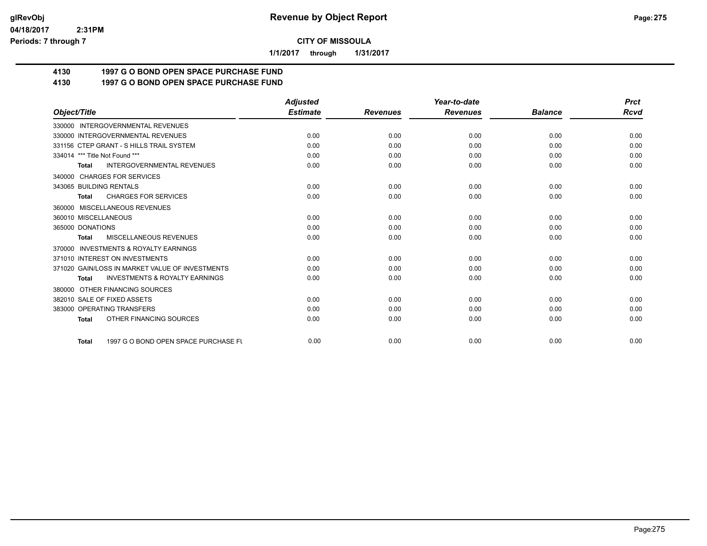**1/1/2017 through 1/31/2017**

## **4130 1997 G O BOND OPEN SPACE PURCHASE FUND 4130 1997 G O BOND OPEN SPACE PURCHASE FUND**

|                                                      | <b>Adjusted</b> |                 | Year-to-date    |                | <b>Prct</b> |
|------------------------------------------------------|-----------------|-----------------|-----------------|----------------|-------------|
| Object/Title                                         | <b>Estimate</b> | <b>Revenues</b> | <b>Revenues</b> | <b>Balance</b> | <b>Rcvd</b> |
| 330000 INTERGOVERNMENTAL REVENUES                    |                 |                 |                 |                |             |
| 330000 INTERGOVERNMENTAL REVENUES                    | 0.00            | 0.00            | 0.00            | 0.00           | 0.00        |
| 331156 CTEP GRANT - S HILLS TRAIL SYSTEM             | 0.00            | 0.00            | 0.00            | 0.00           | 0.00        |
| 334014 *** Title Not Found ***                       | 0.00            | 0.00            | 0.00            | 0.00           | 0.00        |
| INTERGOVERNMENTAL REVENUES<br>Total                  | 0.00            | 0.00            | 0.00            | 0.00           | 0.00        |
| 340000 CHARGES FOR SERVICES                          |                 |                 |                 |                |             |
| 343065 BUILDING RENTALS                              | 0.00            | 0.00            | 0.00            | 0.00           | 0.00        |
| <b>CHARGES FOR SERVICES</b><br><b>Total</b>          | 0.00            | 0.00            | 0.00            | 0.00           | 0.00        |
| 360000 MISCELLANEOUS REVENUES                        |                 |                 |                 |                |             |
| 360010 MISCELLANEOUS                                 | 0.00            | 0.00            | 0.00            | 0.00           | 0.00        |
| 365000 DONATIONS                                     | 0.00            | 0.00            | 0.00            | 0.00           | 0.00        |
| <b>MISCELLANEOUS REVENUES</b><br>Total               | 0.00            | 0.00            | 0.00            | 0.00           | 0.00        |
| <b>INVESTMENTS &amp; ROYALTY EARNINGS</b><br>370000  |                 |                 |                 |                |             |
| 371010 INTEREST ON INVESTMENTS                       | 0.00            | 0.00            | 0.00            | 0.00           | 0.00        |
| 371020 GAIN/LOSS IN MARKET VALUE OF INVESTMENTS      | 0.00            | 0.00            | 0.00            | 0.00           | 0.00        |
| <b>INVESTMENTS &amp; ROYALTY EARNINGS</b><br>Total   | 0.00            | 0.00            | 0.00            | 0.00           | 0.00        |
| 380000 OTHER FINANCING SOURCES                       |                 |                 |                 |                |             |
| 382010 SALE OF FIXED ASSETS                          | 0.00            | 0.00            | 0.00            | 0.00           | 0.00        |
| 383000 OPERATING TRANSFERS                           | 0.00            | 0.00            | 0.00            | 0.00           | 0.00        |
| OTHER FINANCING SOURCES<br><b>Total</b>              | 0.00            | 0.00            | 0.00            | 0.00           | 0.00        |
| 1997 G O BOND OPEN SPACE PURCHASE FL<br><b>Total</b> | 0.00            | 0.00            | 0.00            | 0.00           | 0.00        |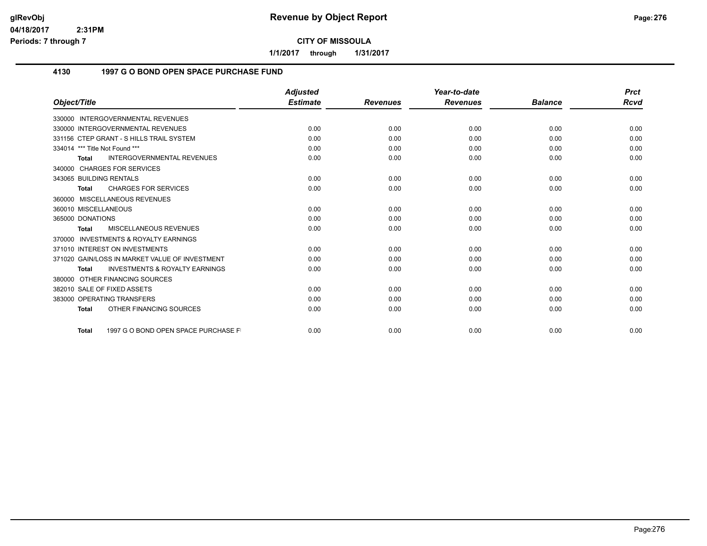**1/1/2017 through 1/31/2017**

## **4130 1997 G O BOND OPEN SPACE PURCHASE FUND**

|                                                           | <b>Adjusted</b> |                 | Year-to-date    |                | <b>Prct</b> |
|-----------------------------------------------------------|-----------------|-----------------|-----------------|----------------|-------------|
| Object/Title                                              | <b>Estimate</b> | <b>Revenues</b> | <b>Revenues</b> | <b>Balance</b> | Rcvd        |
| 330000 INTERGOVERNMENTAL REVENUES                         |                 |                 |                 |                |             |
| 330000 INTERGOVERNMENTAL REVENUES                         | 0.00            | 0.00            | 0.00            | 0.00           | 0.00        |
| 331156 CTEP GRANT - S HILLS TRAIL SYSTEM                  | 0.00            | 0.00            | 0.00            | 0.00           | 0.00        |
| 334014 *** Title Not Found ***                            | 0.00            | 0.00            | 0.00            | 0.00           | 0.00        |
| <b>INTERGOVERNMENTAL REVENUES</b><br><b>Total</b>         | 0.00            | 0.00            | 0.00            | 0.00           | 0.00        |
| 340000 CHARGES FOR SERVICES                               |                 |                 |                 |                |             |
| 343065 BUILDING RENTALS                                   | 0.00            | 0.00            | 0.00            | 0.00           | 0.00        |
| <b>CHARGES FOR SERVICES</b><br><b>Total</b>               | 0.00            | 0.00            | 0.00            | 0.00           | 0.00        |
| 360000 MISCELLANEOUS REVENUES                             |                 |                 |                 |                |             |
| 360010 MISCELLANEOUS                                      | 0.00            | 0.00            | 0.00            | 0.00           | 0.00        |
| 365000 DONATIONS                                          | 0.00            | 0.00            | 0.00            | 0.00           | 0.00        |
| <b>MISCELLANEOUS REVENUES</b><br><b>Total</b>             | 0.00            | 0.00            | 0.00            | 0.00           | 0.00        |
| 370000 INVESTMENTS & ROYALTY EARNINGS                     |                 |                 |                 |                |             |
| 371010 INTEREST ON INVESTMENTS                            | 0.00            | 0.00            | 0.00            | 0.00           | 0.00        |
| 371020 GAIN/LOSS IN MARKET VALUE OF INVESTMENT            | 0.00            | 0.00            | 0.00            | 0.00           | 0.00        |
| <b>INVESTMENTS &amp; ROYALTY EARNINGS</b><br><b>Total</b> | 0.00            | 0.00            | 0.00            | 0.00           | 0.00        |
| 380000 OTHER FINANCING SOURCES                            |                 |                 |                 |                |             |
| 382010 SALE OF FIXED ASSETS                               | 0.00            | 0.00            | 0.00            | 0.00           | 0.00        |
| 383000 OPERATING TRANSFERS                                | 0.00            | 0.00            | 0.00            | 0.00           | 0.00        |
| OTHER FINANCING SOURCES<br><b>Total</b>                   | 0.00            | 0.00            | 0.00            | 0.00           | 0.00        |
| 1997 G O BOND OPEN SPACE PURCHASE F<br><b>Total</b>       | 0.00            | 0.00            | 0.00            | 0.00           | 0.00        |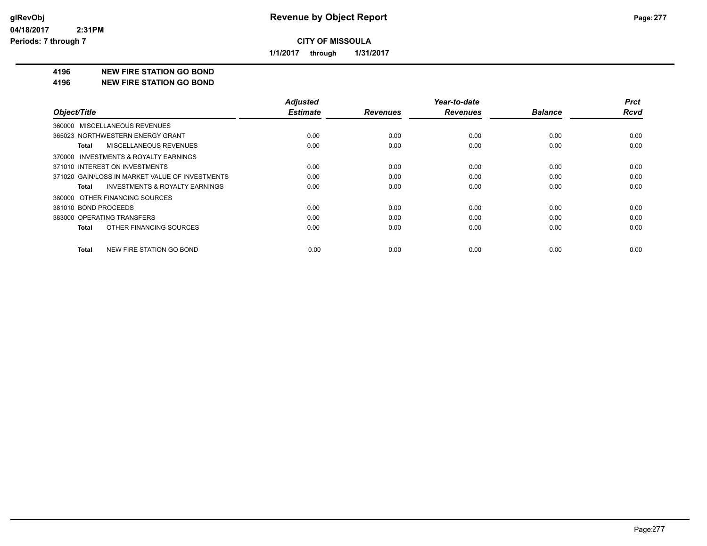**1/1/2017 through 1/31/2017**

**4196 NEW FIRE STATION GO BOND**

**4196 NEW FIRE STATION GO BOND**

|                                                           | <b>Adjusted</b> |                 | Year-to-date    |                | <b>Prct</b> |
|-----------------------------------------------------------|-----------------|-----------------|-----------------|----------------|-------------|
| Object/Title                                              | <b>Estimate</b> | <b>Revenues</b> | <b>Revenues</b> | <b>Balance</b> | <b>Rcvd</b> |
| 360000 MISCELLANEOUS REVENUES                             |                 |                 |                 |                |             |
| 365023 NORTHWESTERN ENERGY GRANT                          | 0.00            | 0.00            | 0.00            | 0.00           | 0.00        |
| MISCELLANEOUS REVENUES<br>Total                           | 0.00            | 0.00            | 0.00            | 0.00           | 0.00        |
| 370000 INVESTMENTS & ROYALTY EARNINGS                     |                 |                 |                 |                |             |
| 371010 INTEREST ON INVESTMENTS                            | 0.00            | 0.00            | 0.00            | 0.00           | 0.00        |
| 371020 GAIN/LOSS IN MARKET VALUE OF INVESTMENTS           | 0.00            | 0.00            | 0.00            | 0.00           | 0.00        |
| <b>INVESTMENTS &amp; ROYALTY EARNINGS</b><br><b>Total</b> | 0.00            | 0.00            | 0.00            | 0.00           | 0.00        |
| 380000 OTHER FINANCING SOURCES                            |                 |                 |                 |                |             |
| 381010 BOND PROCEEDS                                      | 0.00            | 0.00            | 0.00            | 0.00           | 0.00        |
| 383000 OPERATING TRANSFERS                                | 0.00            | 0.00            | 0.00            | 0.00           | 0.00        |
| OTHER FINANCING SOURCES<br><b>Total</b>                   | 0.00            | 0.00            | 0.00            | 0.00           | 0.00        |
| NEW FIRE STATION GO BOND<br><b>Total</b>                  | 0.00            | 0.00            | 0.00            | 0.00           | 0.00        |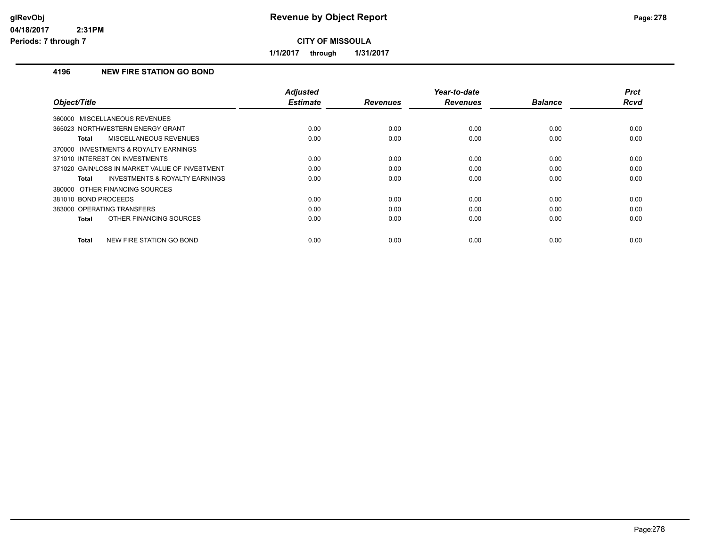**1/1/2017 through 1/31/2017**

### **4196 NEW FIRE STATION GO BOND**

| Object/Title                                       | <b>Adjusted</b><br><b>Estimate</b> | <b>Revenues</b> | Year-to-date<br><b>Revenues</b> | <b>Balance</b> | <b>Prct</b><br>Rcvd |
|----------------------------------------------------|------------------------------------|-----------------|---------------------------------|----------------|---------------------|
|                                                    |                                    |                 |                                 |                |                     |
| <b>MISCELLANEOUS REVENUES</b><br>360000            |                                    |                 |                                 |                |                     |
| 365023 NORTHWESTERN ENERGY GRANT                   | 0.00                               | 0.00            | 0.00                            | 0.00           | 0.00                |
| MISCELLANEOUS REVENUES<br><b>Total</b>             | 0.00                               | 0.00            | 0.00                            | 0.00           | 0.00                |
| 370000 INVESTMENTS & ROYALTY EARNINGS              |                                    |                 |                                 |                |                     |
| 371010 INTEREST ON INVESTMENTS                     | 0.00                               | 0.00            | 0.00                            | 0.00           | 0.00                |
| 371020 GAIN/LOSS IN MARKET VALUE OF INVESTMENT     | 0.00                               | 0.00            | 0.00                            | 0.00           | 0.00                |
| <b>INVESTMENTS &amp; ROYALTY EARNINGS</b><br>Total | 0.00                               | 0.00            | 0.00                            | 0.00           | 0.00                |
| 380000 OTHER FINANCING SOURCES                     |                                    |                 |                                 |                |                     |
| 381010 BOND PROCEEDS                               | 0.00                               | 0.00            | 0.00                            | 0.00           | 0.00                |
| 383000 OPERATING TRANSFERS                         | 0.00                               | 0.00            | 0.00                            | 0.00           | 0.00                |
| OTHER FINANCING SOURCES<br><b>Total</b>            | 0.00                               | 0.00            | 0.00                            | 0.00           | 0.00                |
| NEW FIRE STATION GO BOND<br><b>Total</b>           | 0.00                               | 0.00            | 0.00                            | 0.00           | 0.00                |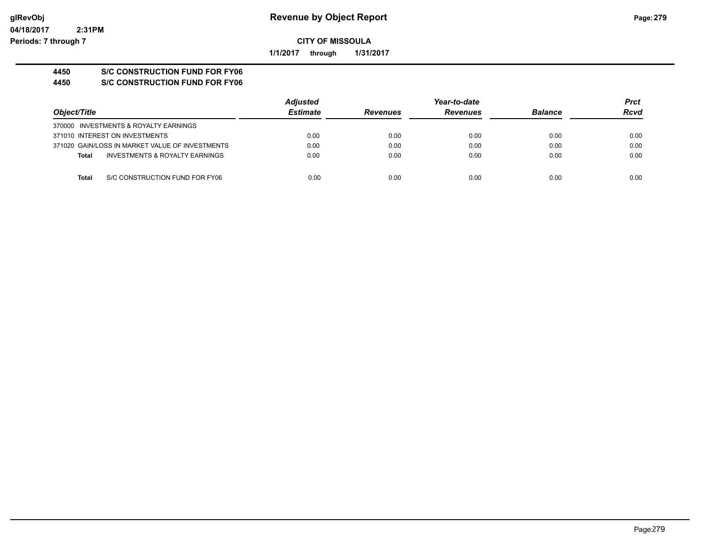**1/1/2017 through 1/31/2017**

## **4450 S/C CONSTRUCTION FUND FOR FY06 4450 S/C CONSTRUCTION FUND FOR FY06**

|                                                 | <b>Adjusted</b> |                 | Year-to-date    |                | <b>Prct</b> |
|-------------------------------------------------|-----------------|-----------------|-----------------|----------------|-------------|
| Object/Title                                    | <b>Estimate</b> | <b>Revenues</b> | <b>Revenues</b> | <b>Balance</b> | <b>Rcvd</b> |
| 370000 INVESTMENTS & ROYALTY EARNINGS           |                 |                 |                 |                |             |
| 371010 INTEREST ON INVESTMENTS                  | 0.00            | 0.00            | 0.00            | 0.00           | 0.00        |
| 371020 GAIN/LOSS IN MARKET VALUE OF INVESTMENTS | 0.00            | 0.00            | 0.00            | 0.00           | 0.00        |
| INVESTMENTS & ROYALTY EARNINGS<br><b>Total</b>  | 0.00            | 0.00            | 0.00            | 0.00           | 0.00        |
|                                                 |                 |                 |                 |                |             |
| S/C CONSTRUCTION FUND FOR FY06<br><b>Total</b>  | 0.00            | 0.00            | 0.00            | 0.00           | 0.00        |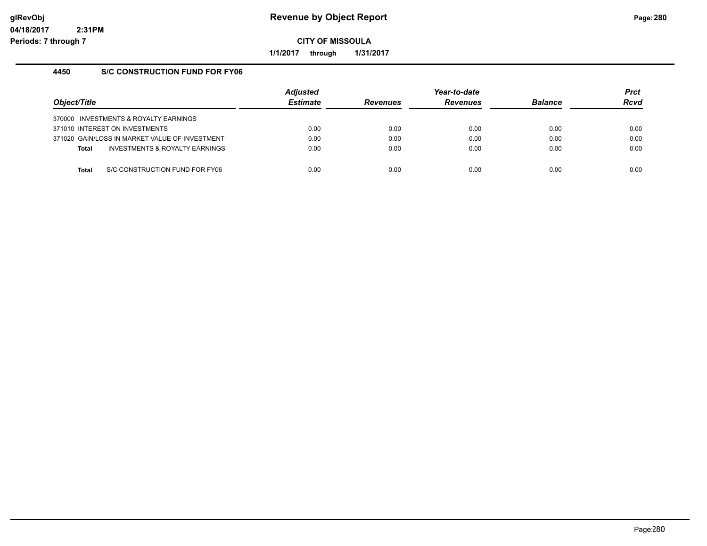**1/1/2017 through 1/31/2017**

#### **4450 S/C CONSTRUCTION FUND FOR FY06**

|                                                | <b>Adjusted</b> | Year-to-date    |                 |                | <b>Prct</b> |
|------------------------------------------------|-----------------|-----------------|-----------------|----------------|-------------|
| Object/Title                                   | <b>Estimate</b> | <b>Revenues</b> | <b>Revenues</b> | <b>Balance</b> | <b>Rcvd</b> |
| 370000 INVESTMENTS & ROYALTY EARNINGS          |                 |                 |                 |                |             |
| 371010 INTEREST ON INVESTMENTS                 | 0.00            | 0.00            | 0.00            | 0.00           | 0.00        |
| 371020 GAIN/LOSS IN MARKET VALUE OF INVESTMENT | 0.00            | 0.00            | 0.00            | 0.00           | 0.00        |
| INVESTMENTS & ROYALTY EARNINGS<br><b>Total</b> | 0.00            | 0.00            | 0.00            | 0.00           | 0.00        |
| Total<br>S/C CONSTRUCTION FUND FOR FY06        | 0.00            | 0.00            | 0.00            | 0.00           | 0.00        |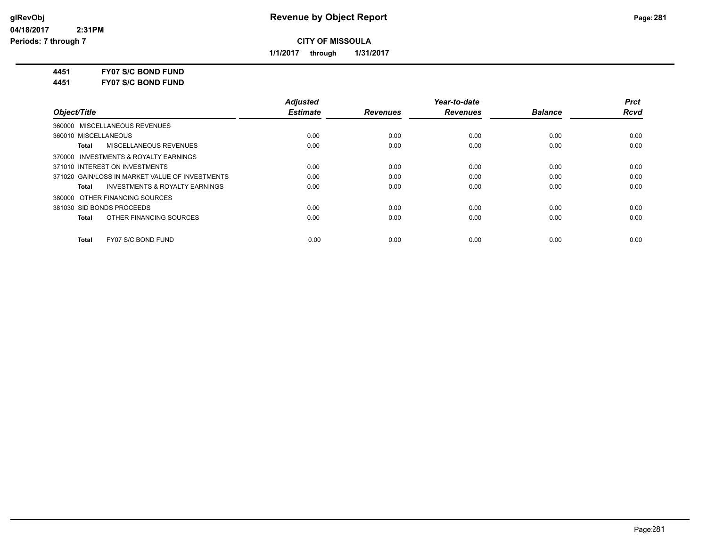**1/1/2017 through 1/31/2017**

**4451 FY07 S/C BOND FUND**

**4451 FY07 S/C BOND FUND**

| Object/Title                                       | <b>Adjusted</b><br><b>Estimate</b> | <b>Revenues</b> | Year-to-date<br><b>Revenues</b> | <b>Balance</b> | <b>Prct</b><br><b>Rcvd</b> |
|----------------------------------------------------|------------------------------------|-----------------|---------------------------------|----------------|----------------------------|
| 360000 MISCELLANEOUS REVENUES                      |                                    |                 |                                 |                |                            |
| 360010 MISCELLANEOUS                               | 0.00                               | 0.00            | 0.00                            | 0.00           | 0.00                       |
| MISCELLANEOUS REVENUES<br>Total                    | 0.00                               | 0.00            | 0.00                            | 0.00           | 0.00                       |
| 370000 INVESTMENTS & ROYALTY EARNINGS              |                                    |                 |                                 |                |                            |
| 371010 INTEREST ON INVESTMENTS                     | 0.00                               | 0.00            | 0.00                            | 0.00           | 0.00                       |
| 371020 GAIN/LOSS IN MARKET VALUE OF INVESTMENTS    | 0.00                               | 0.00            | 0.00                            | 0.00           | 0.00                       |
| <b>INVESTMENTS &amp; ROYALTY EARNINGS</b><br>Total | 0.00                               | 0.00            | 0.00                            | 0.00           | 0.00                       |
| 380000 OTHER FINANCING SOURCES                     |                                    |                 |                                 |                |                            |
| 381030 SID BONDS PROCEEDS                          | 0.00                               | 0.00            | 0.00                            | 0.00           | 0.00                       |
| OTHER FINANCING SOURCES<br>Total                   | 0.00                               | 0.00            | 0.00                            | 0.00           | 0.00                       |
| FY07 S/C BOND FUND<br><b>Total</b>                 | 0.00                               | 0.00            | 0.00                            | 0.00           | 0.00                       |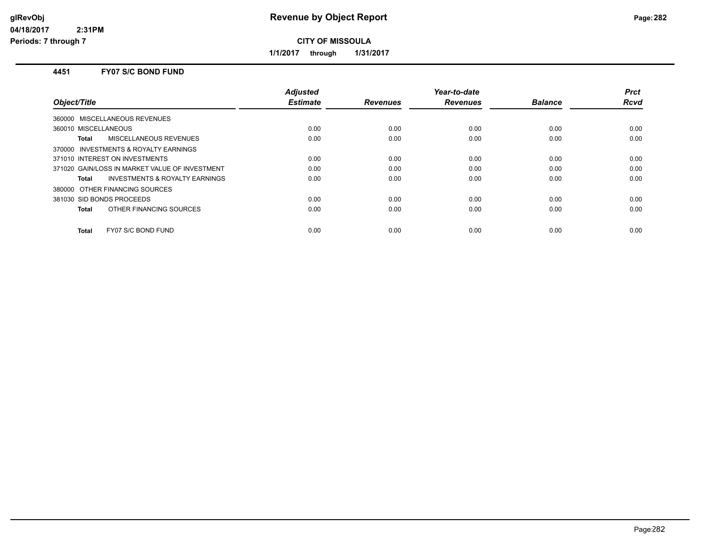**1/1/2017 through 1/31/2017**

#### **4451 FY07 S/C BOND FUND**

| Object/Title                                   | <b>Adjusted</b><br><b>Estimate</b> | <b>Revenues</b> | Year-to-date<br><b>Revenues</b> | <b>Balance</b> | <b>Prct</b><br><b>Rcvd</b> |
|------------------------------------------------|------------------------------------|-----------------|---------------------------------|----------------|----------------------------|
|                                                |                                    |                 |                                 |                |                            |
| MISCELLANEOUS REVENUES<br>360000               |                                    |                 |                                 |                |                            |
| 360010 MISCELLANEOUS                           | 0.00                               | 0.00            | 0.00                            | 0.00           | 0.00                       |
| <b>MISCELLANEOUS REVENUES</b><br><b>Total</b>  | 0.00                               | 0.00            | 0.00                            | 0.00           | 0.00                       |
| 370000 INVESTMENTS & ROYALTY EARNINGS          |                                    |                 |                                 |                |                            |
| 371010 INTEREST ON INVESTMENTS                 | 0.00                               | 0.00            | 0.00                            | 0.00           | 0.00                       |
| 371020 GAIN/LOSS IN MARKET VALUE OF INVESTMENT | 0.00                               | 0.00            | 0.00                            | 0.00           | 0.00                       |
| INVESTMENTS & ROYALTY EARNINGS<br>Total        | 0.00                               | 0.00            | 0.00                            | 0.00           | 0.00                       |
| 380000 OTHER FINANCING SOURCES                 |                                    |                 |                                 |                |                            |
| 381030 SID BONDS PROCEEDS                      | 0.00                               | 0.00            | 0.00                            | 0.00           | 0.00                       |
| OTHER FINANCING SOURCES<br><b>Total</b>        | 0.00                               | 0.00            | 0.00                            | 0.00           | 0.00                       |
| FY07 S/C BOND FUND<br>Total                    | 0.00                               | 0.00            | 0.00                            | 0.00           | 0.00                       |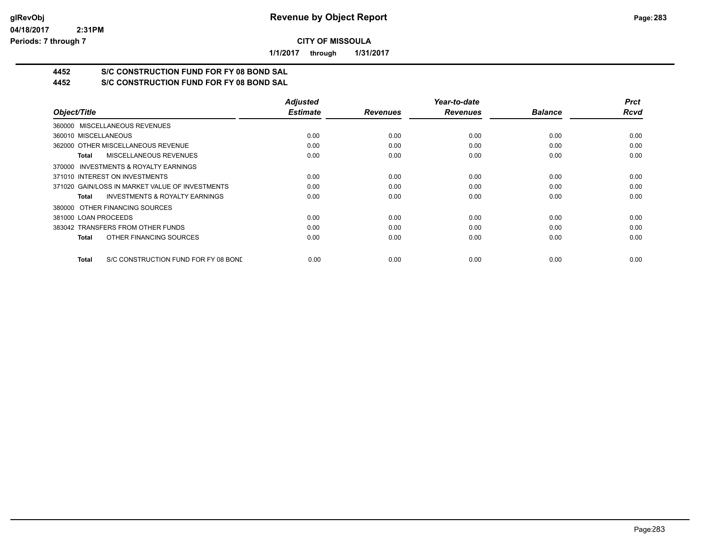**1/1/2017 through 1/31/2017**

#### **4452 S/C CONSTRUCTION FUND FOR FY 08 BOND SAL 4452 S/C CONSTRUCTION FUND FOR FY 08 BOND SAL**

|              |              |                                                 | <b>Adjusted</b> |                 | Year-to-date    |                | <b>Prct</b> |
|--------------|--------------|-------------------------------------------------|-----------------|-----------------|-----------------|----------------|-------------|
| Object/Title |              |                                                 | <b>Estimate</b> | <b>Revenues</b> | <b>Revenues</b> | <b>Balance</b> | <b>Rcvd</b> |
|              |              | 360000 MISCELLANEOUS REVENUES                   |                 |                 |                 |                |             |
|              |              | 360010 MISCELLANEOUS                            | 0.00            | 0.00            | 0.00            | 0.00           | 0.00        |
|              |              | 362000 OTHER MISCELLANEOUS REVENUE              | 0.00            | 0.00            | 0.00            | 0.00           | 0.00        |
|              | Total        | MISCELLANEOUS REVENUES                          | 0.00            | 0.00            | 0.00            | 0.00           | 0.00        |
|              |              | 370000 INVESTMENTS & ROYALTY EARNINGS           |                 |                 |                 |                |             |
|              |              | 371010 INTEREST ON INVESTMENTS                  | 0.00            | 0.00            | 0.00            | 0.00           | 0.00        |
|              |              | 371020 GAIN/LOSS IN MARKET VALUE OF INVESTMENTS | 0.00            | 0.00            | 0.00            | 0.00           | 0.00        |
|              | Total        | <b>INVESTMENTS &amp; ROYALTY EARNINGS</b>       | 0.00            | 0.00            | 0.00            | 0.00           | 0.00        |
|              |              | 380000 OTHER FINANCING SOURCES                  |                 |                 |                 |                |             |
|              |              | 381000 LOAN PROCEEDS                            | 0.00            | 0.00            | 0.00            | 0.00           | 0.00        |
|              |              | 383042 TRANSFERS FROM OTHER FUNDS               | 0.00            | 0.00            | 0.00            | 0.00           | 0.00        |
|              | <b>Total</b> | OTHER FINANCING SOURCES                         | 0.00            | 0.00            | 0.00            | 0.00           | 0.00        |
|              | <b>Total</b> | S/C CONSTRUCTION FUND FOR FY 08 BONE            | 0.00            | 0.00            | 0.00            | 0.00           | 0.00        |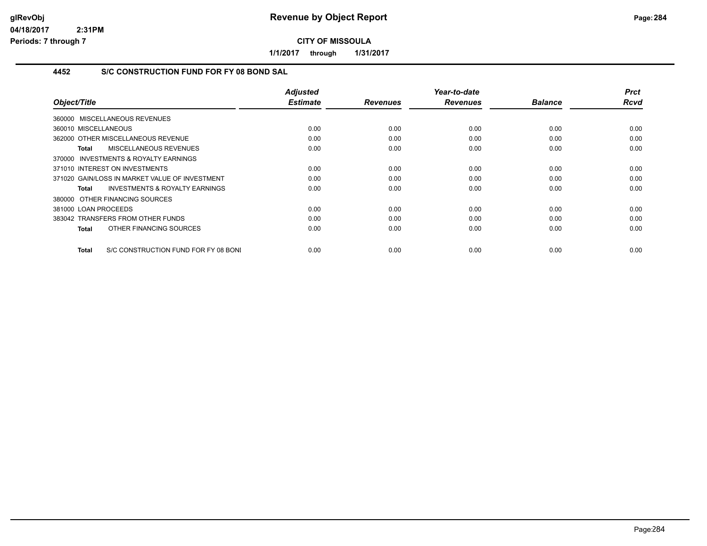**1/1/2017 through 1/31/2017**

## **4452 S/C CONSTRUCTION FUND FOR FY 08 BOND SAL**

|                                                    | <b>Adjusted</b> |                 | Year-to-date    |                | <b>Prct</b> |
|----------------------------------------------------|-----------------|-----------------|-----------------|----------------|-------------|
| Object/Title                                       | <b>Estimate</b> | <b>Revenues</b> | <b>Revenues</b> | <b>Balance</b> | <b>Rcvd</b> |
| 360000 MISCELLANEOUS REVENUES                      |                 |                 |                 |                |             |
| 360010 MISCELLANEOUS                               | 0.00            | 0.00            | 0.00            | 0.00           | 0.00        |
| 362000 OTHER MISCELLANEOUS REVENUE                 | 0.00            | 0.00            | 0.00            | 0.00           | 0.00        |
| MISCELLANEOUS REVENUES<br>Total                    | 0.00            | 0.00            | 0.00            | 0.00           | 0.00        |
| 370000 INVESTMENTS & ROYALTY EARNINGS              |                 |                 |                 |                |             |
| 371010 INTEREST ON INVESTMENTS                     | 0.00            | 0.00            | 0.00            | 0.00           | 0.00        |
| 371020 GAIN/LOSS IN MARKET VALUE OF INVESTMENT     | 0.00            | 0.00            | 0.00            | 0.00           | 0.00        |
| <b>INVESTMENTS &amp; ROYALTY EARNINGS</b><br>Total | 0.00            | 0.00            | 0.00            | 0.00           | 0.00        |
| 380000 OTHER FINANCING SOURCES                     |                 |                 |                 |                |             |
| 381000 LOAN PROCEEDS                               | 0.00            | 0.00            | 0.00            | 0.00           | 0.00        |
| 383042 TRANSFERS FROM OTHER FUNDS                  | 0.00            | 0.00            | 0.00            | 0.00           | 0.00        |
| OTHER FINANCING SOURCES<br>Total                   | 0.00            | 0.00            | 0.00            | 0.00           | 0.00        |
|                                                    |                 |                 |                 |                |             |
| S/C CONSTRUCTION FUND FOR FY 08 BONI<br>Total      | 0.00            | 0.00            | 0.00            | 0.00           | 0.00        |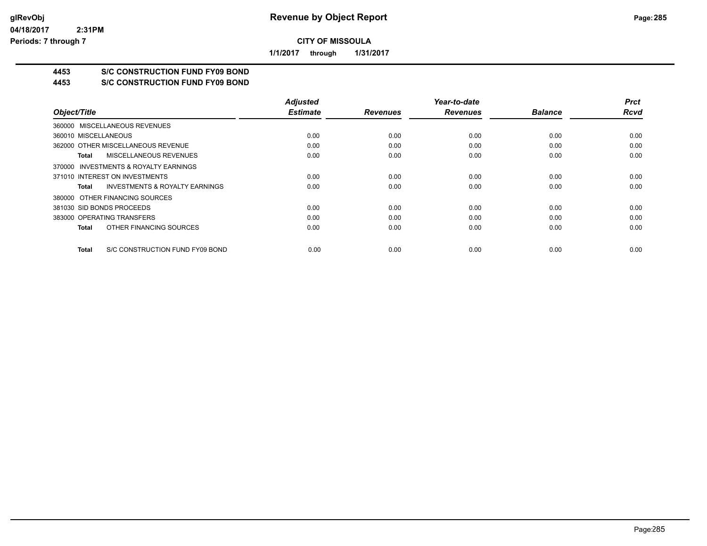**1/1/2017 through 1/31/2017**

# **4453 S/C CONSTRUCTION FUND FY09 BOND**

## **4453 S/C CONSTRUCTION FUND FY09 BOND**

|                                                    | <b>Adjusted</b> |                 | Year-to-date    |                | <b>Prct</b> |
|----------------------------------------------------|-----------------|-----------------|-----------------|----------------|-------------|
| Object/Title                                       | <b>Estimate</b> | <b>Revenues</b> | <b>Revenues</b> | <b>Balance</b> | Rcvd        |
| 360000 MISCELLANEOUS REVENUES                      |                 |                 |                 |                |             |
| 360010 MISCELLANEOUS                               | 0.00            | 0.00            | 0.00            | 0.00           | 0.00        |
| 362000 OTHER MISCELLANEOUS REVENUE                 | 0.00            | 0.00            | 0.00            | 0.00           | 0.00        |
| MISCELLANEOUS REVENUES<br><b>Total</b>             | 0.00            | 0.00            | 0.00            | 0.00           | 0.00        |
| 370000 INVESTMENTS & ROYALTY EARNINGS              |                 |                 |                 |                |             |
| 371010 INTEREST ON INVESTMENTS                     | 0.00            | 0.00            | 0.00            | 0.00           | 0.00        |
| <b>INVESTMENTS &amp; ROYALTY EARNINGS</b><br>Total | 0.00            | 0.00            | 0.00            | 0.00           | 0.00        |
| 380000 OTHER FINANCING SOURCES                     |                 |                 |                 |                |             |
| 381030 SID BONDS PROCEEDS                          | 0.00            | 0.00            | 0.00            | 0.00           | 0.00        |
| 383000 OPERATING TRANSFERS                         | 0.00            | 0.00            | 0.00            | 0.00           | 0.00        |
| OTHER FINANCING SOURCES<br><b>Total</b>            | 0.00            | 0.00            | 0.00            | 0.00           | 0.00        |
| S/C CONSTRUCTION FUND FY09 BOND<br>Total           | 0.00            | 0.00            | 0.00            | 0.00           | 0.00        |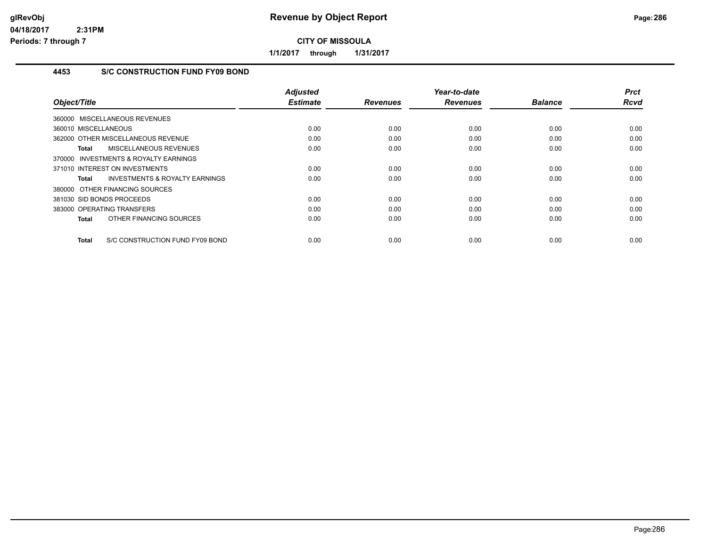**1/1/2017 through 1/31/2017**

## **4453 S/C CONSTRUCTION FUND FY09 BOND**

|                                                    | <b>Adjusted</b> |                 | Year-to-date    |                | <b>Prct</b> |
|----------------------------------------------------|-----------------|-----------------|-----------------|----------------|-------------|
| Object/Title                                       | <b>Estimate</b> | <b>Revenues</b> | <b>Revenues</b> | <b>Balance</b> | Rcvd        |
| 360000 MISCELLANEOUS REVENUES                      |                 |                 |                 |                |             |
| 360010 MISCELLANEOUS                               | 0.00            | 0.00            | 0.00            | 0.00           | 0.00        |
| 362000 OTHER MISCELLANEOUS REVENUE                 | 0.00            | 0.00            | 0.00            | 0.00           | 0.00        |
| MISCELLANEOUS REVENUES<br>Total                    | 0.00            | 0.00            | 0.00            | 0.00           | 0.00        |
| 370000 INVESTMENTS & ROYALTY EARNINGS              |                 |                 |                 |                |             |
| 371010 INTEREST ON INVESTMENTS                     | 0.00            | 0.00            | 0.00            | 0.00           | 0.00        |
| <b>INVESTMENTS &amp; ROYALTY EARNINGS</b><br>Total | 0.00            | 0.00            | 0.00            | 0.00           | 0.00        |
| 380000 OTHER FINANCING SOURCES                     |                 |                 |                 |                |             |
| 381030 SID BONDS PROCEEDS                          | 0.00            | 0.00            | 0.00            | 0.00           | 0.00        |
| 383000 OPERATING TRANSFERS                         | 0.00            | 0.00            | 0.00            | 0.00           | 0.00        |
| OTHER FINANCING SOURCES<br><b>Total</b>            | 0.00            | 0.00            | 0.00            | 0.00           | 0.00        |
| S/C CONSTRUCTION FUND FY09 BOND<br><b>Total</b>    | 0.00            | 0.00            | 0.00            | 0.00           | 0.00        |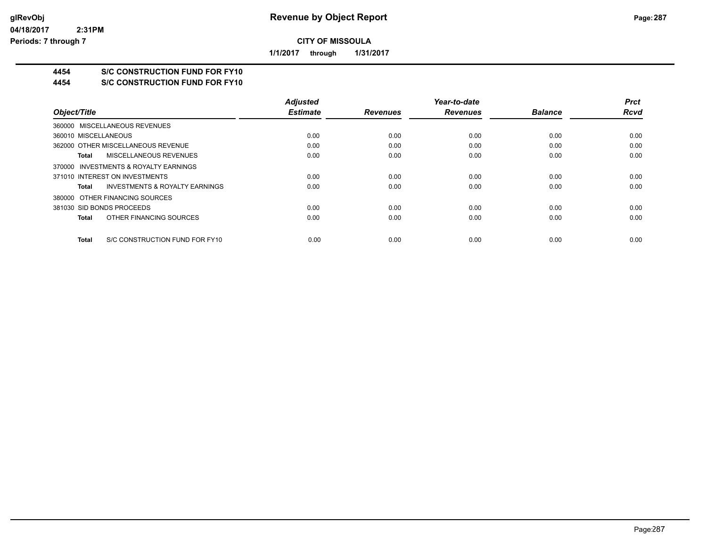**1/1/2017 through 1/31/2017**

# **4454 S/C CONSTRUCTION FUND FOR FY10**

**4454 S/C CONSTRUCTION FUND FOR FY10**

|                                                    | <b>Adjusted</b> |                 | Year-to-date    |                | <b>Prct</b> |
|----------------------------------------------------|-----------------|-----------------|-----------------|----------------|-------------|
| Object/Title                                       | <b>Estimate</b> | <b>Revenues</b> | <b>Revenues</b> | <b>Balance</b> | <b>Rcvd</b> |
| 360000 MISCELLANEOUS REVENUES                      |                 |                 |                 |                |             |
| 360010 MISCELLANEOUS                               | 0.00            | 0.00            | 0.00            | 0.00           | 0.00        |
| 362000 OTHER MISCELLANEOUS REVENUE                 | 0.00            | 0.00            | 0.00            | 0.00           | 0.00        |
| MISCELLANEOUS REVENUES<br>Total                    | 0.00            | 0.00            | 0.00            | 0.00           | 0.00        |
| 370000 INVESTMENTS & ROYALTY EARNINGS              |                 |                 |                 |                |             |
| 371010 INTEREST ON INVESTMENTS                     | 0.00            | 0.00            | 0.00            | 0.00           | 0.00        |
| <b>INVESTMENTS &amp; ROYALTY EARNINGS</b><br>Total | 0.00            | 0.00            | 0.00            | 0.00           | 0.00        |
| 380000 OTHER FINANCING SOURCES                     |                 |                 |                 |                |             |
| 381030 SID BONDS PROCEEDS                          | 0.00            | 0.00            | 0.00            | 0.00           | 0.00        |
| OTHER FINANCING SOURCES<br>Total                   | 0.00            | 0.00            | 0.00            | 0.00           | 0.00        |
| S/C CONSTRUCTION FUND FOR FY10<br><b>Total</b>     | 0.00            | 0.00            | 0.00            | 0.00           | 0.00        |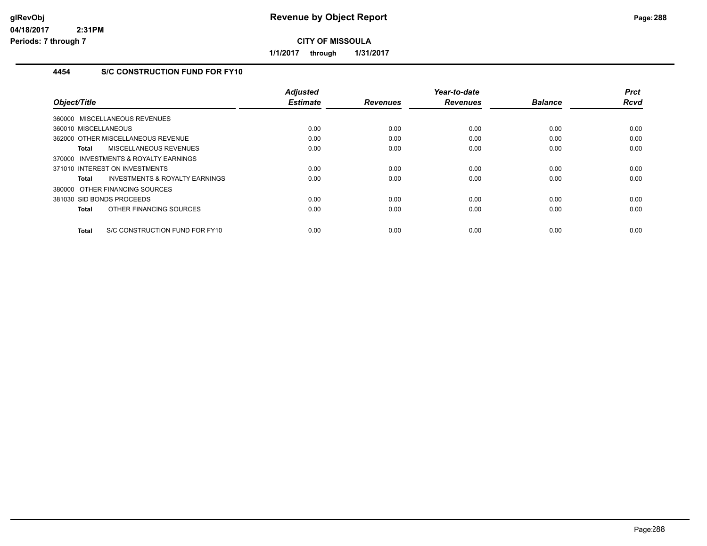**1/1/2017 through 1/31/2017**

## **4454 S/C CONSTRUCTION FUND FOR FY10**

| Object/Title                                        | <b>Adjusted</b><br><b>Estimate</b> | <b>Revenues</b> | Year-to-date<br><b>Revenues</b> | <b>Balance</b> | <b>Prct</b><br><b>Rcvd</b> |
|-----------------------------------------------------|------------------------------------|-----------------|---------------------------------|----------------|----------------------------|
|                                                     |                                    |                 |                                 |                |                            |
| 360000 MISCELLANEOUS REVENUES                       |                                    |                 |                                 |                |                            |
| 360010 MISCELLANEOUS                                | 0.00                               | 0.00            | 0.00                            | 0.00           | 0.00                       |
| 362000 OTHER MISCELLANEOUS REVENUE                  | 0.00                               | 0.00            | 0.00                            | 0.00           | 0.00                       |
| MISCELLANEOUS REVENUES<br>Total                     | 0.00                               | 0.00            | 0.00                            | 0.00           | 0.00                       |
| <b>INVESTMENTS &amp; ROYALTY EARNINGS</b><br>370000 |                                    |                 |                                 |                |                            |
| 371010 INTEREST ON INVESTMENTS                      | 0.00                               | 0.00            | 0.00                            | 0.00           | 0.00                       |
| <b>INVESTMENTS &amp; ROYALTY EARNINGS</b><br>Total  | 0.00                               | 0.00            | 0.00                            | 0.00           | 0.00                       |
| 380000 OTHER FINANCING SOURCES                      |                                    |                 |                                 |                |                            |
| 381030 SID BONDS PROCEEDS                           | 0.00                               | 0.00            | 0.00                            | 0.00           | 0.00                       |
| OTHER FINANCING SOURCES<br>Total                    | 0.00                               | 0.00            | 0.00                            | 0.00           | 0.00                       |
| <b>Total</b><br>S/C CONSTRUCTION FUND FOR FY10      | 0.00                               | 0.00            | 0.00                            | 0.00           | 0.00                       |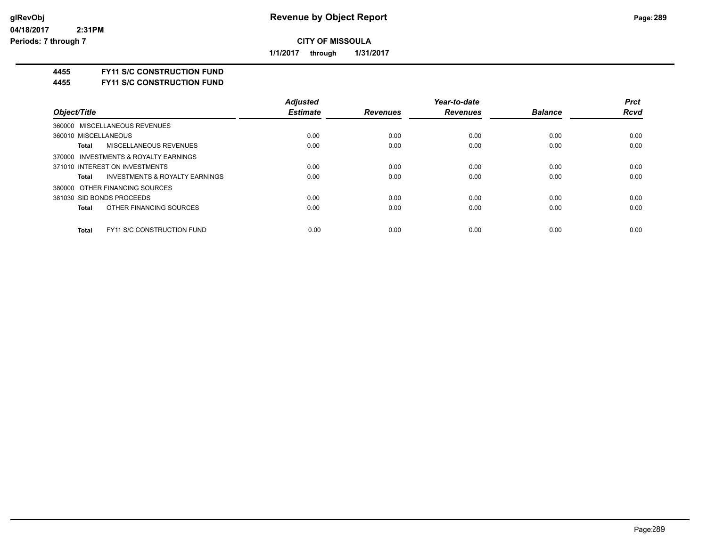**1/1/2017 through 1/31/2017**

# **4455 FY11 S/C CONSTRUCTION FUND**

**4455 FY11 S/C CONSTRUCTION FUND**

|                                                   | <b>Adjusted</b> |                 | Year-to-date    |                | <b>Prct</b> |
|---------------------------------------------------|-----------------|-----------------|-----------------|----------------|-------------|
| Object/Title                                      | <b>Estimate</b> | <b>Revenues</b> | <b>Revenues</b> | <b>Balance</b> | <b>Rcvd</b> |
| 360000 MISCELLANEOUS REVENUES                     |                 |                 |                 |                |             |
| 360010 MISCELLANEOUS                              | 0.00            | 0.00            | 0.00            | 0.00           | 0.00        |
| <b>MISCELLANEOUS REVENUES</b><br>Total            | 0.00            | 0.00            | 0.00            | 0.00           | 0.00        |
| 370000 INVESTMENTS & ROYALTY EARNINGS             |                 |                 |                 |                |             |
| 371010 INTEREST ON INVESTMENTS                    | 0.00            | 0.00            | 0.00            | 0.00           | 0.00        |
| INVESTMENTS & ROYALTY EARNINGS<br>Total           | 0.00            | 0.00            | 0.00            | 0.00           | 0.00        |
| 380000 OTHER FINANCING SOURCES                    |                 |                 |                 |                |             |
| 381030 SID BONDS PROCEEDS                         | 0.00            | 0.00            | 0.00            | 0.00           | 0.00        |
| OTHER FINANCING SOURCES<br>Total                  | 0.00            | 0.00            | 0.00            | 0.00           | 0.00        |
|                                                   |                 |                 |                 |                |             |
| <b>FY11 S/C CONSTRUCTION FUND</b><br><b>Total</b> | 0.00            | 0.00            | 0.00            | 0.00           | 0.00        |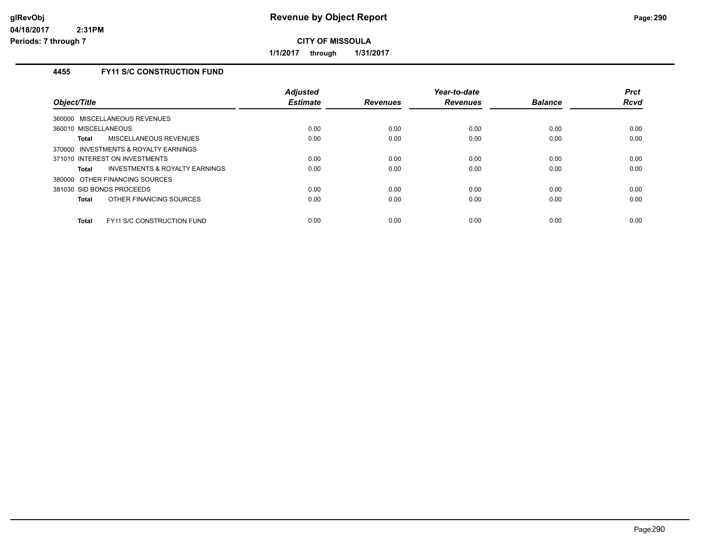**1/1/2017 through 1/31/2017**

### **4455 FY11 S/C CONSTRUCTION FUND**

| Object/Title                                       | <b>Adjusted</b><br><b>Estimate</b> | <b>Revenues</b> | Year-to-date<br><b>Revenues</b> | <b>Balance</b> | <b>Prct</b><br><b>Rcvd</b> |
|----------------------------------------------------|------------------------------------|-----------------|---------------------------------|----------------|----------------------------|
|                                                    |                                    |                 |                                 |                |                            |
| 360000 MISCELLANEOUS REVENUES                      |                                    |                 |                                 |                |                            |
| 360010 MISCELLANEOUS                               | 0.00                               | 0.00            | 0.00                            | 0.00           | 0.00                       |
| MISCELLANEOUS REVENUES<br>Total                    | 0.00                               | 0.00            | 0.00                            | 0.00           | 0.00                       |
| INVESTMENTS & ROYALTY EARNINGS<br>370000           |                                    |                 |                                 |                |                            |
| 371010 INTEREST ON INVESTMENTS                     | 0.00                               | 0.00            | 0.00                            | 0.00           | 0.00                       |
| <b>INVESTMENTS &amp; ROYALTY EARNINGS</b><br>Total | 0.00                               | 0.00            | 0.00                            | 0.00           | 0.00                       |
| 380000 OTHER FINANCING SOURCES                     |                                    |                 |                                 |                |                            |
| 381030 SID BONDS PROCEEDS                          | 0.00                               | 0.00            | 0.00                            | 0.00           | 0.00                       |
| OTHER FINANCING SOURCES<br>Total                   | 0.00                               | 0.00            | 0.00                            | 0.00           | 0.00                       |
| <b>FY11 S/C CONSTRUCTION FUND</b><br>Total         | 0.00                               | 0.00            | 0.00                            | 0.00           | 0.00                       |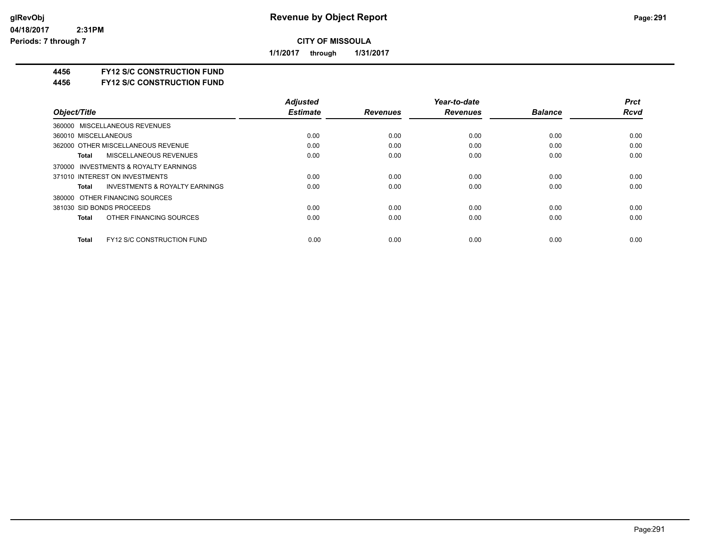**1/1/2017 through 1/31/2017**

**4456 FY12 S/C CONSTRUCTION FUND**

**4456 FY12 S/C CONSTRUCTION FUND**

|                                                    | <b>Adjusted</b> |                 | Year-to-date    |                | <b>Prct</b> |
|----------------------------------------------------|-----------------|-----------------|-----------------|----------------|-------------|
| Object/Title                                       | <b>Estimate</b> | <b>Revenues</b> | <b>Revenues</b> | <b>Balance</b> | Rcvd        |
| 360000 MISCELLANEOUS REVENUES                      |                 |                 |                 |                |             |
| 360010 MISCELLANEOUS                               | 0.00            | 0.00            | 0.00            | 0.00           | 0.00        |
| 362000 OTHER MISCELLANEOUS REVENUE                 | 0.00            | 0.00            | 0.00            | 0.00           | 0.00        |
| <b>MISCELLANEOUS REVENUES</b><br>Total             | 0.00            | 0.00            | 0.00            | 0.00           | 0.00        |
| INVESTMENTS & ROYALTY EARNINGS<br>370000           |                 |                 |                 |                |             |
| 371010 INTEREST ON INVESTMENTS                     | 0.00            | 0.00            | 0.00            | 0.00           | 0.00        |
| <b>INVESTMENTS &amp; ROYALTY EARNINGS</b><br>Total | 0.00            | 0.00            | 0.00            | 0.00           | 0.00        |
| 380000 OTHER FINANCING SOURCES                     |                 |                 |                 |                |             |
| 381030 SID BONDS PROCEEDS                          | 0.00            | 0.00            | 0.00            | 0.00           | 0.00        |
| OTHER FINANCING SOURCES<br>Total                   | 0.00            | 0.00            | 0.00            | 0.00           | 0.00        |
| <b>FY12 S/C CONSTRUCTION FUND</b><br><b>Total</b>  | 0.00            | 0.00            | 0.00            | 0.00           | 0.00        |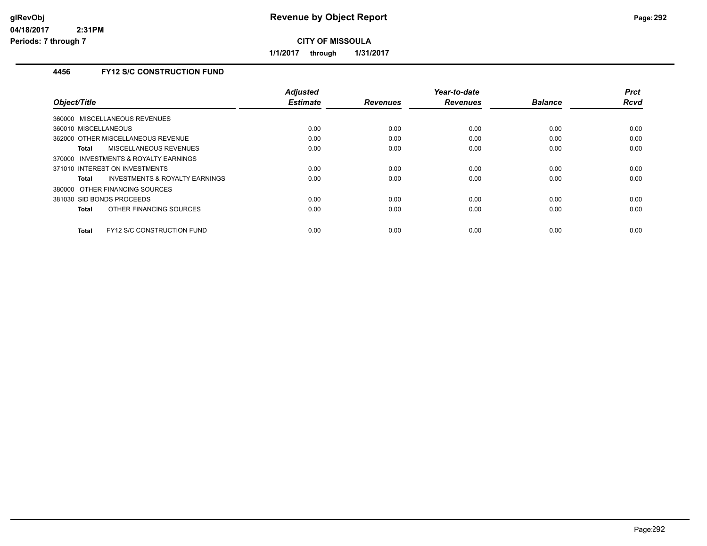**1/1/2017 through 1/31/2017**

### **4456 FY12 S/C CONSTRUCTION FUND**

|                                                     | <b>Adjusted</b> |                 | Year-to-date    |                | <b>Prct</b> |
|-----------------------------------------------------|-----------------|-----------------|-----------------|----------------|-------------|
| Object/Title                                        | <b>Estimate</b> | <b>Revenues</b> | <b>Revenues</b> | <b>Balance</b> | <b>Rcvd</b> |
| 360000 MISCELLANEOUS REVENUES                       |                 |                 |                 |                |             |
| 360010 MISCELLANEOUS                                | 0.00            | 0.00            | 0.00            | 0.00           | 0.00        |
| 362000 OTHER MISCELLANEOUS REVENUE                  | 0.00            | 0.00            | 0.00            | 0.00           | 0.00        |
| MISCELLANEOUS REVENUES<br>Total                     | 0.00            | 0.00            | 0.00            | 0.00           | 0.00        |
| <b>INVESTMENTS &amp; ROYALTY EARNINGS</b><br>370000 |                 |                 |                 |                |             |
| 371010 INTEREST ON INVESTMENTS                      | 0.00            | 0.00            | 0.00            | 0.00           | 0.00        |
| <b>INVESTMENTS &amp; ROYALTY EARNINGS</b><br>Total  | 0.00            | 0.00            | 0.00            | 0.00           | 0.00        |
| 380000 OTHER FINANCING SOURCES                      |                 |                 |                 |                |             |
| 381030 SID BONDS PROCEEDS                           | 0.00            | 0.00            | 0.00            | 0.00           | 0.00        |
| OTHER FINANCING SOURCES<br>Total                    | 0.00            | 0.00            | 0.00            | 0.00           | 0.00        |
| <b>FY12 S/C CONSTRUCTION FUND</b><br><b>Total</b>   | 0.00            | 0.00            | 0.00            | 0.00           | 0.00        |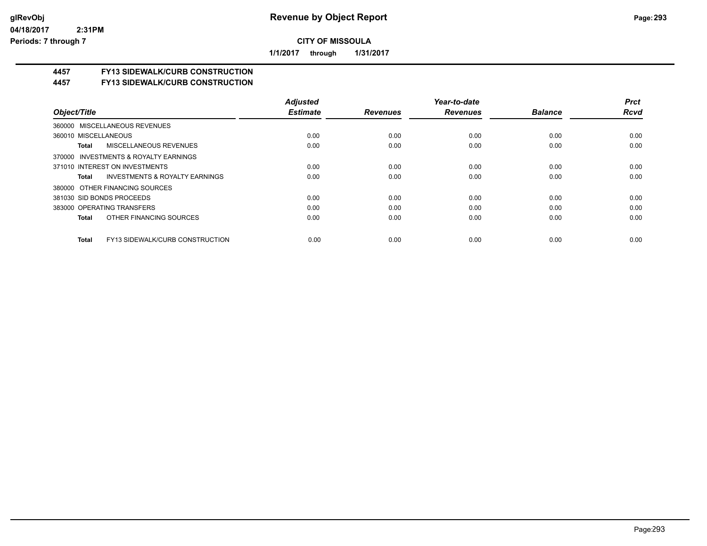**1/1/2017 through 1/31/2017**

## **4457 FY13 SIDEWALK/CURB CONSTRUCTION 4457 FY13 SIDEWALK/CURB CONSTRUCTION**

| Object/Title                                    | <b>Adjusted</b><br><b>Estimate</b> | <b>Revenues</b> | Year-to-date<br><b>Revenues</b> | <b>Balance</b> | <b>Prct</b><br><b>Rcvd</b> |
|-------------------------------------------------|------------------------------------|-----------------|---------------------------------|----------------|----------------------------|
|                                                 |                                    |                 |                                 |                |                            |
| 360000 MISCELLANEOUS REVENUES                   |                                    |                 |                                 |                |                            |
| 360010 MISCELLANEOUS                            | 0.00                               | 0.00            | 0.00                            | 0.00           | 0.00                       |
| MISCELLANEOUS REVENUES<br>Total                 | 0.00                               | 0.00            | 0.00                            | 0.00           | 0.00                       |
| INVESTMENTS & ROYALTY EARNINGS<br>370000        |                                    |                 |                                 |                |                            |
| 371010 INTEREST ON INVESTMENTS                  | 0.00                               | 0.00            | 0.00                            | 0.00           | 0.00                       |
| INVESTMENTS & ROYALTY EARNINGS<br>Total         | 0.00                               | 0.00            | 0.00                            | 0.00           | 0.00                       |
| 380000 OTHER FINANCING SOURCES                  |                                    |                 |                                 |                |                            |
| 381030 SID BONDS PROCEEDS                       | 0.00                               | 0.00            | 0.00                            | 0.00           | 0.00                       |
| 383000 OPERATING TRANSFERS                      | 0.00                               | 0.00            | 0.00                            | 0.00           | 0.00                       |
| OTHER FINANCING SOURCES<br>Total                | 0.00                               | 0.00            | 0.00                            | 0.00           | 0.00                       |
| <b>FY13 SIDEWALK/CURB CONSTRUCTION</b><br>Total | 0.00                               | 0.00            | 0.00                            | 0.00           | 0.00                       |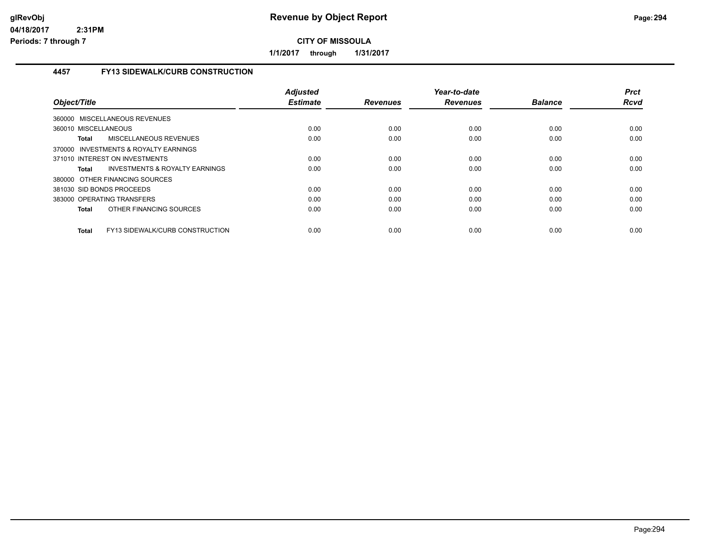**1/1/2017 through 1/31/2017**

### **4457 FY13 SIDEWALK/CURB CONSTRUCTION**

| Object/Title                                    | <b>Adjusted</b><br><b>Estimate</b> | <b>Revenues</b> | Year-to-date<br><b>Revenues</b> | <b>Balance</b> | <b>Prct</b><br><b>Rcvd</b> |
|-------------------------------------------------|------------------------------------|-----------------|---------------------------------|----------------|----------------------------|
| 360000 MISCELLANEOUS REVENUES                   |                                    |                 |                                 |                |                            |
| 360010 MISCELLANEOUS                            | 0.00                               | 0.00            | 0.00                            | 0.00           | 0.00                       |
| MISCELLANEOUS REVENUES<br>Total                 | 0.00                               | 0.00            | 0.00                            | 0.00           | 0.00                       |
| 370000 INVESTMENTS & ROYALTY EARNINGS           |                                    |                 |                                 |                |                            |
| 371010 INTEREST ON INVESTMENTS                  | 0.00                               | 0.00            | 0.00                            | 0.00           | 0.00                       |
| INVESTMENTS & ROYALTY EARNINGS<br>Total         | 0.00                               | 0.00            | 0.00                            | 0.00           | 0.00                       |
| 380000 OTHER FINANCING SOURCES                  |                                    |                 |                                 |                |                            |
| 381030 SID BONDS PROCEEDS                       | 0.00                               | 0.00            | 0.00                            | 0.00           | 0.00                       |
| 383000 OPERATING TRANSFERS                      | 0.00                               | 0.00            | 0.00                            | 0.00           | 0.00                       |
| OTHER FINANCING SOURCES<br>Total                | 0.00                               | 0.00            | 0.00                            | 0.00           | 0.00                       |
|                                                 |                                    |                 |                                 |                |                            |
| FY13 SIDEWALK/CURB CONSTRUCTION<br><b>Total</b> | 0.00                               | 0.00            | 0.00                            | 0.00           | 0.00                       |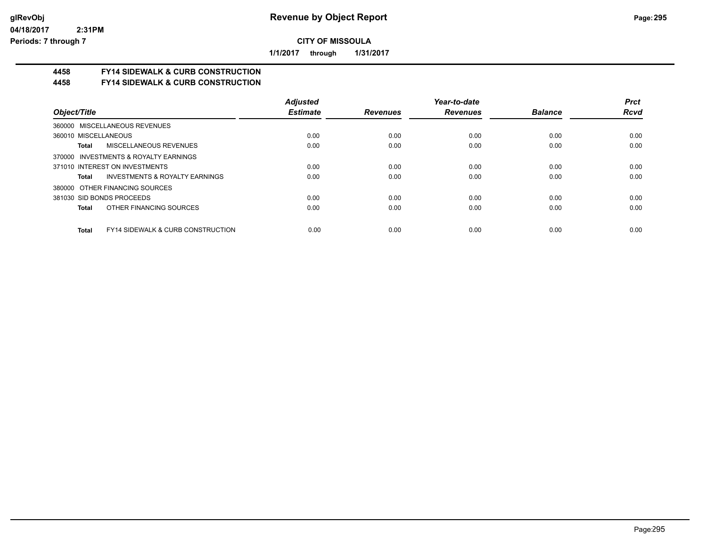**1/1/2017 through 1/31/2017**

### **4458 FY14 SIDEWALK & CURB CONSTRUCTION 4458 FY14 SIDEWALK & CURB CONSTRUCTION**

| Object/Title                                          | <b>Adjusted</b><br><b>Estimate</b> | <b>Revenues</b> | Year-to-date<br><b>Revenues</b> | <b>Balance</b> | <b>Prct</b><br><b>Rcvd</b> |
|-------------------------------------------------------|------------------------------------|-----------------|---------------------------------|----------------|----------------------------|
| 360000 MISCELLANEOUS REVENUES                         |                                    |                 |                                 |                |                            |
| 360010 MISCELLANEOUS                                  | 0.00                               | 0.00            | 0.00                            | 0.00           | 0.00                       |
| <b>MISCELLANEOUS REVENUES</b><br>Total                | 0.00                               | 0.00            | 0.00                            | 0.00           | 0.00                       |
| INVESTMENTS & ROYALTY EARNINGS<br>370000              |                                    |                 |                                 |                |                            |
| 371010 INTEREST ON INVESTMENTS                        | 0.00                               | 0.00            | 0.00                            | 0.00           | 0.00                       |
| <b>INVESTMENTS &amp; ROYALTY EARNINGS</b><br>Total    | 0.00                               | 0.00            | 0.00                            | 0.00           | 0.00                       |
| 380000 OTHER FINANCING SOURCES                        |                                    |                 |                                 |                |                            |
| 381030 SID BONDS PROCEEDS                             | 0.00                               | 0.00            | 0.00                            | 0.00           | 0.00                       |
| OTHER FINANCING SOURCES<br>Total                      | 0.00                               | 0.00            | 0.00                            | 0.00           | 0.00                       |
|                                                       |                                    |                 |                                 |                |                            |
| <b>FY14 SIDEWALK &amp; CURB CONSTRUCTION</b><br>Total | 0.00                               | 0.00            | 0.00                            | 0.00           | 0.00                       |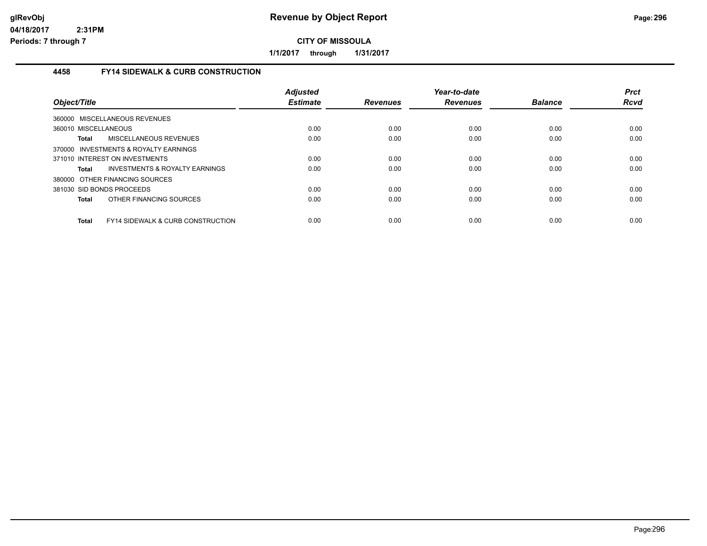**1/1/2017 through 1/31/2017**

### **4458 FY14 SIDEWALK & CURB CONSTRUCTION**

| Object/Title              |                                              | <b>Adjusted</b><br><b>Estimate</b> | <b>Revenues</b> | Year-to-date<br><b>Revenues</b> | <b>Balance</b> | <b>Prct</b><br><b>Rcvd</b> |
|---------------------------|----------------------------------------------|------------------------------------|-----------------|---------------------------------|----------------|----------------------------|
|                           | 360000 MISCELLANEOUS REVENUES                |                                    |                 |                                 |                |                            |
| 360010 MISCELLANEOUS      |                                              | 0.00                               | 0.00            | 0.00                            | 0.00           | 0.00                       |
| Total                     | MISCELLANEOUS REVENUES                       | 0.00                               | 0.00            | 0.00                            | 0.00           | 0.00                       |
|                           | 370000 INVESTMENTS & ROYALTY EARNINGS        |                                    |                 |                                 |                |                            |
|                           | 371010 INTEREST ON INVESTMENTS               | 0.00                               | 0.00            | 0.00                            | 0.00           | 0.00                       |
| Total                     | INVESTMENTS & ROYALTY EARNINGS               | 0.00                               | 0.00            | 0.00                            | 0.00           | 0.00                       |
|                           | 380000 OTHER FINANCING SOURCES               |                                    |                 |                                 |                |                            |
| 381030 SID BONDS PROCEEDS |                                              | 0.00                               | 0.00            | 0.00                            | 0.00           | 0.00                       |
| Total                     | OTHER FINANCING SOURCES                      | 0.00                               | 0.00            | 0.00                            | 0.00           | 0.00                       |
| <b>Total</b>              | <b>FY14 SIDEWALK &amp; CURB CONSTRUCTION</b> | 0.00                               | 0.00            | 0.00                            | 0.00           | 0.00                       |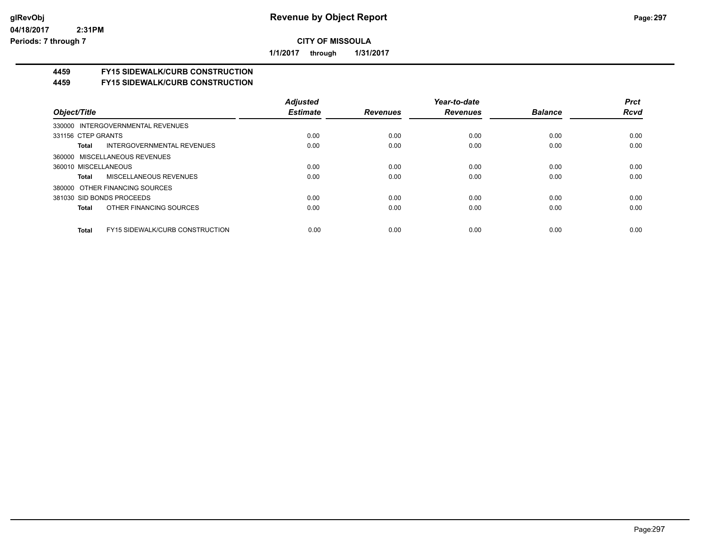**1/1/2017 through 1/31/2017**

## **4459 FY15 SIDEWALK/CURB CONSTRUCTION 4459 FY15 SIDEWALK/CURB CONSTRUCTION**

| Object/Title                                           | <b>Adjusted</b><br><b>Estimate</b> | <b>Revenues</b> | Year-to-date<br><b>Revenues</b> | <b>Balance</b> | <b>Prct</b><br><b>Rcvd</b> |
|--------------------------------------------------------|------------------------------------|-----------------|---------------------------------|----------------|----------------------------|
| 330000 INTERGOVERNMENTAL REVENUES                      |                                    |                 |                                 |                |                            |
| 331156 CTEP GRANTS                                     | 0.00                               | 0.00            | 0.00                            | 0.00           | 0.00                       |
| INTERGOVERNMENTAL REVENUES<br>Total                    | 0.00                               | 0.00            | 0.00                            | 0.00           | 0.00                       |
| 360000 MISCELLANEOUS REVENUES                          |                                    |                 |                                 |                |                            |
| 360010 MISCELLANEOUS                                   | 0.00                               | 0.00            | 0.00                            | 0.00           | 0.00                       |
| <b>MISCELLANEOUS REVENUES</b><br>Total                 | 0.00                               | 0.00            | 0.00                            | 0.00           | 0.00                       |
| 380000 OTHER FINANCING SOURCES                         |                                    |                 |                                 |                |                            |
| 381030 SID BONDS PROCEEDS                              | 0.00                               | 0.00            | 0.00                            | 0.00           | 0.00                       |
| OTHER FINANCING SOURCES<br>Total                       | 0.00                               | 0.00            | 0.00                            | 0.00           | 0.00                       |
|                                                        |                                    |                 |                                 |                |                            |
| <b>FY15 SIDEWALK/CURB CONSTRUCTION</b><br><b>Total</b> | 0.00                               | 0.00            | 0.00                            | 0.00           | 0.00                       |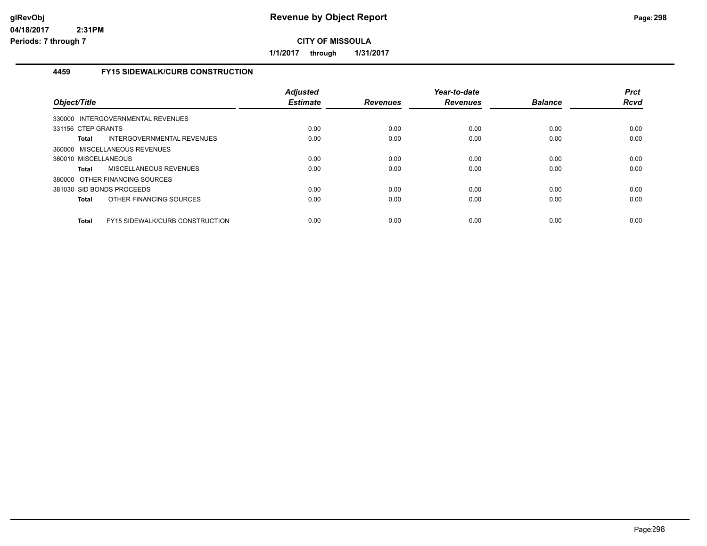**1/1/2017 through 1/31/2017**

### **4459 FY15 SIDEWALK/CURB CONSTRUCTION**

| Object/Title         |                                        | <b>Adjusted</b><br><b>Estimate</b> | <b>Revenues</b> | Year-to-date<br><b>Revenues</b> | <b>Balance</b> | <b>Prct</b><br><b>Rcvd</b> |
|----------------------|----------------------------------------|------------------------------------|-----------------|---------------------------------|----------------|----------------------------|
|                      | 330000 INTERGOVERNMENTAL REVENUES      |                                    |                 |                                 |                |                            |
| 331156 CTEP GRANTS   |                                        | 0.00                               | 0.00            | 0.00                            | 0.00           | 0.00                       |
| Total                | INTERGOVERNMENTAL REVENUES             | 0.00                               | 0.00            | 0.00                            | 0.00           | 0.00                       |
|                      | 360000 MISCELLANEOUS REVENUES          |                                    |                 |                                 |                |                            |
| 360010 MISCELLANEOUS |                                        | 0.00                               | 0.00            | 0.00                            | 0.00           | 0.00                       |
| Total                | MISCELLANEOUS REVENUES                 | 0.00                               | 0.00            | 0.00                            | 0.00           | 0.00                       |
|                      | 380000 OTHER FINANCING SOURCES         |                                    |                 |                                 |                |                            |
|                      | 381030 SID BONDS PROCEEDS              | 0.00                               | 0.00            | 0.00                            | 0.00           | 0.00                       |
| Total                | OTHER FINANCING SOURCES                | 0.00                               | 0.00            | 0.00                            | 0.00           | 0.00                       |
| <b>Total</b>         | <b>FY15 SIDEWALK/CURB CONSTRUCTION</b> | 0.00                               | 0.00            | 0.00                            | 0.00           | 0.00                       |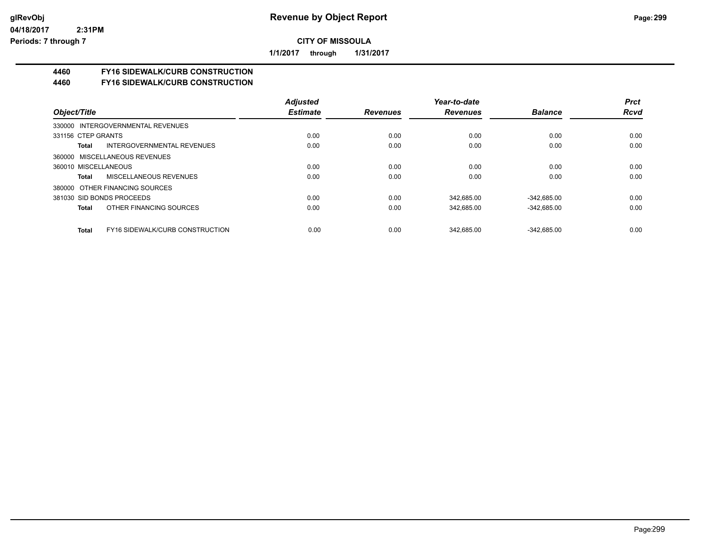**1/1/2017 through 1/31/2017**

## **4460 FY16 SIDEWALK/CURB CONSTRUCTION 4460 FY16 SIDEWALK/CURB CONSTRUCTION**

| Object/Title                                           | <b>Adjusted</b><br><b>Estimate</b> | <b>Revenues</b> | Year-to-date<br><b>Revenues</b> | <b>Balance</b> | <b>Prct</b><br><b>Rcvd</b> |
|--------------------------------------------------------|------------------------------------|-----------------|---------------------------------|----------------|----------------------------|
| 330000 INTERGOVERNMENTAL REVENUES                      |                                    |                 |                                 |                |                            |
| 331156 CTEP GRANTS                                     | 0.00                               | 0.00            | 0.00                            | 0.00           | 0.00                       |
| INTERGOVERNMENTAL REVENUES<br>Total                    | 0.00                               | 0.00            | 0.00                            | 0.00           | 0.00                       |
| 360000 MISCELLANEOUS REVENUES                          |                                    |                 |                                 |                |                            |
| 360010 MISCELLANEOUS                                   | 0.00                               | 0.00            | 0.00                            | 0.00           | 0.00                       |
| MISCELLANEOUS REVENUES<br>Total                        | 0.00                               | 0.00            | 0.00                            | 0.00           | 0.00                       |
| 380000 OTHER FINANCING SOURCES                         |                                    |                 |                                 |                |                            |
| 381030 SID BONDS PROCEEDS                              | 0.00                               | 0.00            | 342,685.00                      | $-342,685.00$  | 0.00                       |
| OTHER FINANCING SOURCES<br>Total                       | 0.00                               | 0.00            | 342.685.00                      | $-342.685.00$  | 0.00                       |
|                                                        |                                    |                 |                                 |                |                            |
| <b>FY16 SIDEWALK/CURB CONSTRUCTION</b><br><b>Total</b> | 0.00                               | 0.00            | 342.685.00                      | $-342.685.00$  | 0.00                       |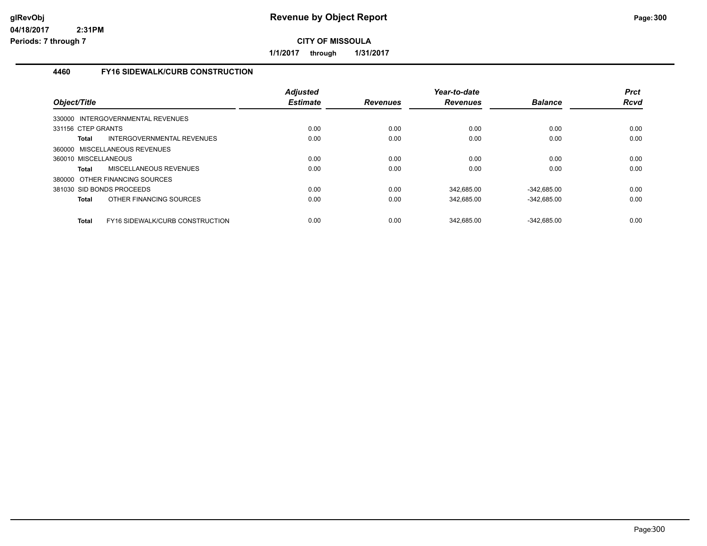**1/1/2017 through 1/31/2017**

### **4460 FY16 SIDEWALK/CURB CONSTRUCTION**

| Object/Title         |                                   | <b>Adjusted</b><br><b>Estimate</b> | <b>Revenues</b> | Year-to-date<br><b>Revenues</b> | <b>Balance</b> | <b>Prct</b><br><b>Rcvd</b> |
|----------------------|-----------------------------------|------------------------------------|-----------------|---------------------------------|----------------|----------------------------|
|                      | 330000 INTERGOVERNMENTAL REVENUES |                                    |                 |                                 |                |                            |
| 331156 CTEP GRANTS   |                                   | 0.00                               | 0.00            | 0.00                            | 0.00           | 0.00                       |
| Total                | INTERGOVERNMENTAL REVENUES        | 0.00                               | 0.00            | 0.00                            | 0.00           | 0.00                       |
|                      | 360000 MISCELLANEOUS REVENUES     |                                    |                 |                                 |                |                            |
| 360010 MISCELLANEOUS |                                   | 0.00                               | 0.00            | 0.00                            | 0.00           | 0.00                       |
| Total                | MISCELLANEOUS REVENUES            | 0.00                               | 0.00            | 0.00                            | 0.00           | 0.00                       |
|                      | 380000 OTHER FINANCING SOURCES    |                                    |                 |                                 |                |                            |
|                      | 381030 SID BONDS PROCEEDS         | 0.00                               | 0.00            | 342.685.00                      | -342.685.00    | 0.00                       |
| Total                | OTHER FINANCING SOURCES           | 0.00                               | 0.00            | 342,685.00                      | $-342,685.00$  | 0.00                       |
| <b>Total</b>         | FY16 SIDEWALK/CURB CONSTRUCTION   | 0.00                               | 0.00            | 342.685.00                      | $-342.685.00$  | 0.00                       |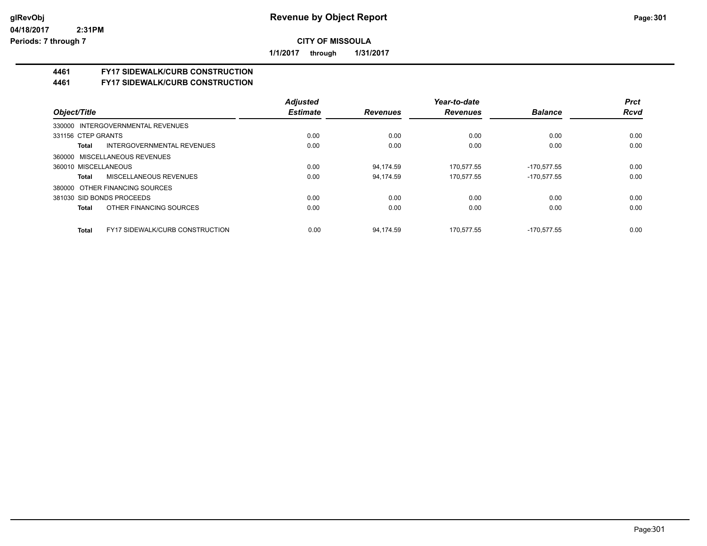**1/1/2017 through 1/31/2017**

## **4461 FY17 SIDEWALK/CURB CONSTRUCTION 4461 FY17 SIDEWALK/CURB CONSTRUCTION**

| Object/Title                                           | <b>Adjusted</b><br><b>Estimate</b> | <b>Revenues</b> | Year-to-date<br><b>Revenues</b> | <b>Balance</b> | <b>Prct</b><br><b>Rcvd</b> |
|--------------------------------------------------------|------------------------------------|-----------------|---------------------------------|----------------|----------------------------|
| 330000 INTERGOVERNMENTAL REVENUES                      |                                    |                 |                                 |                |                            |
| 331156 CTEP GRANTS                                     | 0.00                               | 0.00            | 0.00                            | 0.00           | 0.00                       |
| <b>INTERGOVERNMENTAL REVENUES</b><br>Total             | 0.00                               | 0.00            | 0.00                            | 0.00           | 0.00                       |
| 360000 MISCELLANEOUS REVENUES                          |                                    |                 |                                 |                |                            |
| 360010 MISCELLANEOUS                                   | 0.00                               | 94.174.59       | 170.577.55                      | $-170.577.55$  | 0.00                       |
| MISCELLANEOUS REVENUES<br>Total                        | 0.00                               | 94.174.59       | 170.577.55                      | $-170.577.55$  | 0.00                       |
| 380000 OTHER FINANCING SOURCES                         |                                    |                 |                                 |                |                            |
| 381030 SID BONDS PROCEEDS                              | 0.00                               | 0.00            | 0.00                            | 0.00           | 0.00                       |
| OTHER FINANCING SOURCES<br>Total                       | 0.00                               | 0.00            | 0.00                            | 0.00           | 0.00                       |
|                                                        |                                    |                 |                                 |                |                            |
| <b>FY17 SIDEWALK/CURB CONSTRUCTION</b><br><b>Total</b> | 0.00                               | 94.174.59       | 170.577.55                      | $-170.577.55$  | 0.00                       |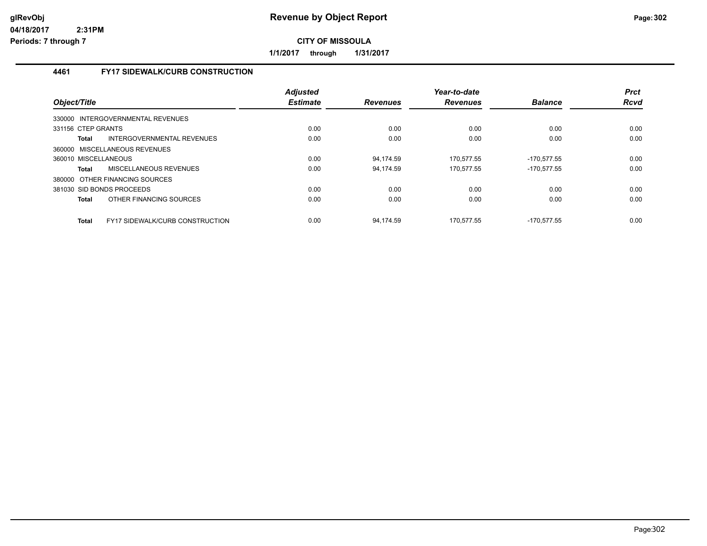**1/1/2017 through 1/31/2017**

### **4461 FY17 SIDEWALK/CURB CONSTRUCTION**

| Object/Title                   |                                        | <b>Adjusted</b><br><b>Estimate</b> | <b>Revenues</b> | Year-to-date<br><b>Revenues</b> | <b>Balance</b> | <b>Prct</b><br><b>Rcvd</b> |
|--------------------------------|----------------------------------------|------------------------------------|-----------------|---------------------------------|----------------|----------------------------|
|                                | 330000 INTERGOVERNMENTAL REVENUES      |                                    |                 |                                 |                |                            |
| 331156 CTEP GRANTS             |                                        | 0.00                               | 0.00            | 0.00                            | 0.00           | 0.00                       |
| Total                          | INTERGOVERNMENTAL REVENUES             | 0.00                               | 0.00            | 0.00                            | 0.00           | 0.00                       |
| 360000 MISCELLANEOUS REVENUES  |                                        |                                    |                 |                                 |                |                            |
| 360010 MISCELLANEOUS           |                                        | 0.00                               | 94.174.59       | 170.577.55                      | $-170.577.55$  | 0.00                       |
| Total                          | MISCELLANEOUS REVENUES                 | 0.00                               | 94.174.59       | 170,577.55                      | $-170.577.55$  | 0.00                       |
| 380000 OTHER FINANCING SOURCES |                                        |                                    |                 |                                 |                |                            |
| 381030 SID BONDS PROCEEDS      |                                        | 0.00                               | 0.00            | 0.00                            | 0.00           | 0.00                       |
| Total                          | OTHER FINANCING SOURCES                | 0.00                               | 0.00            | 0.00                            | 0.00           | 0.00                       |
| <b>Total</b>                   | <b>FY17 SIDEWALK/CURB CONSTRUCTION</b> | 0.00                               | 94.174.59       | 170.577.55                      | $-170.577.55$  | 0.00                       |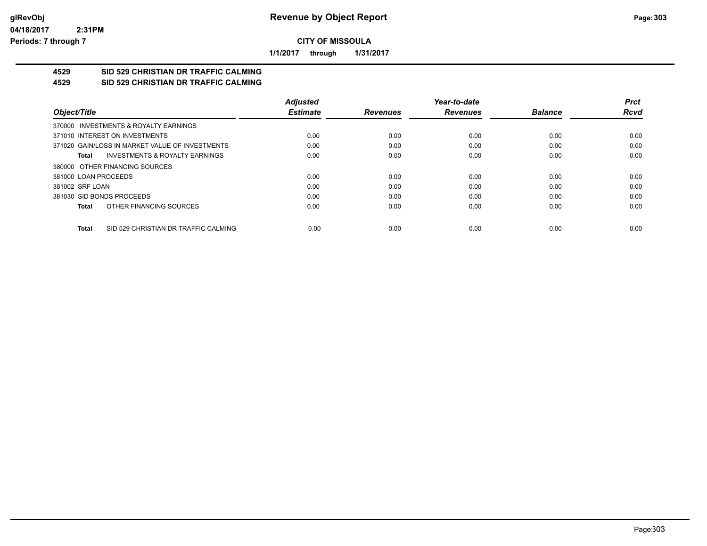**1/1/2017 through 1/31/2017**

### **4529 SID 529 CHRISTIAN DR TRAFFIC CALMING 4529 SID 529 CHRISTIAN DR TRAFFIC CALMING**

|                                                 | <b>Adjusted</b><br><b>Estimate</b> | <b>Revenues</b> | Year-to-date<br><b>Revenues</b> | <b>Balance</b> | <b>Prct</b><br><b>Rcvd</b> |
|-------------------------------------------------|------------------------------------|-----------------|---------------------------------|----------------|----------------------------|
| Object/Title                                    |                                    |                 |                                 |                |                            |
| 370000 INVESTMENTS & ROYALTY EARNINGS           |                                    |                 |                                 |                |                            |
| 371010 INTEREST ON INVESTMENTS                  | 0.00                               | 0.00            | 0.00                            | 0.00           | 0.00                       |
| 371020 GAIN/LOSS IN MARKET VALUE OF INVESTMENTS | 0.00                               | 0.00            | 0.00                            | 0.00           | 0.00                       |
| INVESTMENTS & ROYALTY EARNINGS<br>Total         | 0.00                               | 0.00            | 0.00                            | 0.00           | 0.00                       |
| 380000 OTHER FINANCING SOURCES                  |                                    |                 |                                 |                |                            |
| 381000 LOAN PROCEEDS                            | 0.00                               | 0.00            | 0.00                            | 0.00           | 0.00                       |
| 381002 SRF LOAN                                 | 0.00                               | 0.00            | 0.00                            | 0.00           | 0.00                       |
| 381030 SID BONDS PROCEEDS                       | 0.00                               | 0.00            | 0.00                            | 0.00           | 0.00                       |
| OTHER FINANCING SOURCES<br>Total                | 0.00                               | 0.00            | 0.00                            | 0.00           | 0.00                       |
|                                                 |                                    |                 |                                 |                |                            |
| SID 529 CHRISTIAN DR TRAFFIC CALMING<br>Total   | 0.00                               | 0.00            | 0.00                            | 0.00           | 0.00                       |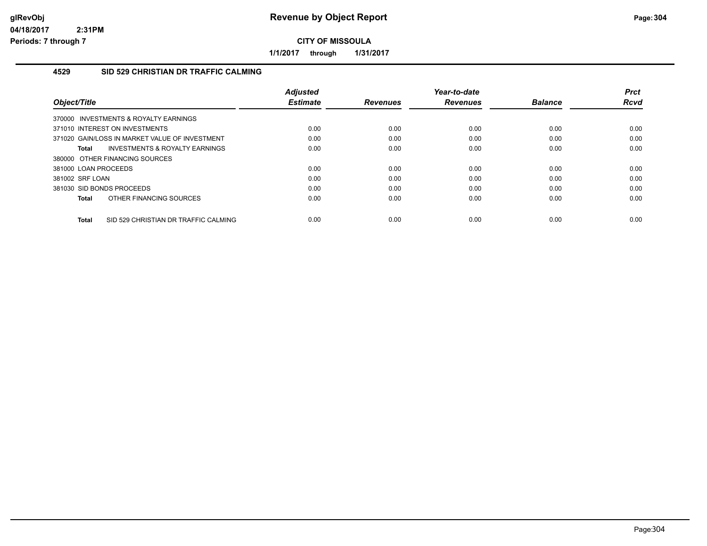**1/1/2017 through 1/31/2017**

### **4529 SID 529 CHRISTIAN DR TRAFFIC CALMING**

| Object/Title                                         | <b>Adjusted</b><br><b>Estimate</b> | <b>Revenues</b> | Year-to-date<br><b>Revenues</b> | <b>Balance</b> | <b>Prct</b><br><b>Rcvd</b> |
|------------------------------------------------------|------------------------------------|-----------------|---------------------------------|----------------|----------------------------|
| INVESTMENTS & ROYALTY EARNINGS<br>370000             |                                    |                 |                                 |                |                            |
| 371010 INTEREST ON INVESTMENTS                       | 0.00                               | 0.00            | 0.00                            | 0.00           | 0.00                       |
| 371020 GAIN/LOSS IN MARKET VALUE OF INVESTMENT       | 0.00                               | 0.00            | 0.00                            | 0.00           | 0.00                       |
| INVESTMENTS & ROYALTY EARNINGS<br>Total              | 0.00                               | 0.00            | 0.00                            | 0.00           | 0.00                       |
| 380000 OTHER FINANCING SOURCES                       |                                    |                 |                                 |                |                            |
| 381000 LOAN PROCEEDS                                 | 0.00                               | 0.00            | 0.00                            | 0.00           | 0.00                       |
| 381002 SRF LOAN                                      | 0.00                               | 0.00            | 0.00                            | 0.00           | 0.00                       |
| 381030 SID BONDS PROCEEDS                            | 0.00                               | 0.00            | 0.00                            | 0.00           | 0.00                       |
| OTHER FINANCING SOURCES<br>Total                     | 0.00                               | 0.00            | 0.00                            | 0.00           | 0.00                       |
| <b>Total</b><br>SID 529 CHRISTIAN DR TRAFFIC CALMING | 0.00                               | 0.00            | 0.00                            | 0.00           | 0.00                       |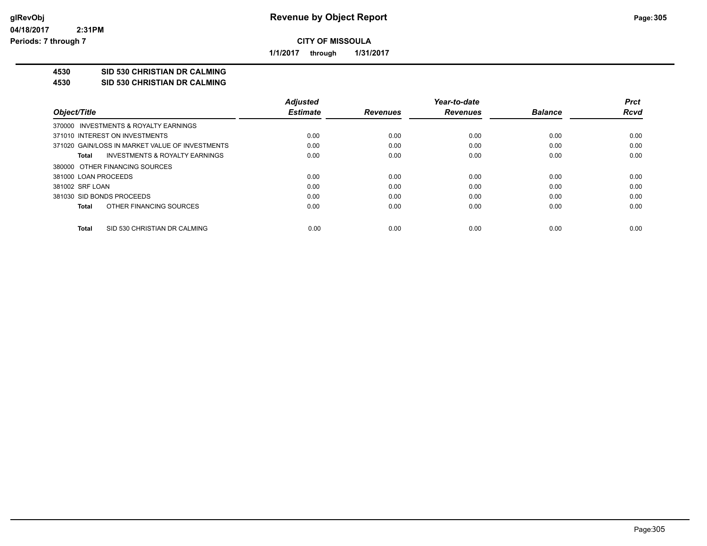**1/1/2017 through 1/31/2017**

# **4530 SID 530 CHRISTIAN DR CALMING**

# **4530 SID 530 CHRISTIAN DR CALMING**

|                                                    | <b>Adjusted</b> |                 | Year-to-date    |                | <b>Prct</b> |
|----------------------------------------------------|-----------------|-----------------|-----------------|----------------|-------------|
| Object/Title                                       | <b>Estimate</b> | <b>Revenues</b> | <b>Revenues</b> | <b>Balance</b> | <b>Rcvd</b> |
| 370000 INVESTMENTS & ROYALTY EARNINGS              |                 |                 |                 |                |             |
| 371010 INTEREST ON INVESTMENTS                     | 0.00            | 0.00            | 0.00            | 0.00           | 0.00        |
| 371020 GAIN/LOSS IN MARKET VALUE OF INVESTMENTS    | 0.00            | 0.00            | 0.00            | 0.00           | 0.00        |
| <b>INVESTMENTS &amp; ROYALTY EARNINGS</b><br>Total | 0.00            | 0.00            | 0.00            | 0.00           | 0.00        |
| 380000 OTHER FINANCING SOURCES                     |                 |                 |                 |                |             |
| 381000 LOAN PROCEEDS                               | 0.00            | 0.00            | 0.00            | 0.00           | 0.00        |
| 381002 SRF LOAN                                    | 0.00            | 0.00            | 0.00            | 0.00           | 0.00        |
| 381030 SID BONDS PROCEEDS                          | 0.00            | 0.00            | 0.00            | 0.00           | 0.00        |
| OTHER FINANCING SOURCES<br>Total                   | 0.00            | 0.00            | 0.00            | 0.00           | 0.00        |
|                                                    |                 |                 |                 |                |             |
| SID 530 CHRISTIAN DR CALMING<br><b>Total</b>       | 0.00            | 0.00            | 0.00            | 0.00           | 0.00        |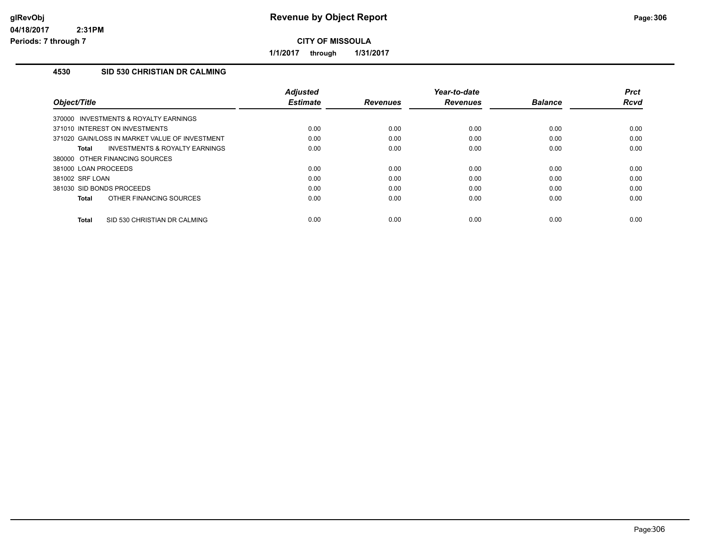**1/1/2017 through 1/31/2017**

### **4530 SID 530 CHRISTIAN DR CALMING**

| Object/Title                                   | <b>Adjusted</b><br><b>Estimate</b> | <b>Revenues</b> | Year-to-date<br><b>Revenues</b> | <b>Balance</b> | <b>Prct</b><br>Rcvd |
|------------------------------------------------|------------------------------------|-----------------|---------------------------------|----------------|---------------------|
| 370000 INVESTMENTS & ROYALTY EARNINGS          |                                    |                 |                                 |                |                     |
| 371010 INTEREST ON INVESTMENTS                 | 0.00                               | 0.00            | 0.00                            | 0.00           | 0.00                |
| 371020 GAIN/LOSS IN MARKET VALUE OF INVESTMENT | 0.00                               | 0.00            | 0.00                            | 0.00           | 0.00                |
| INVESTMENTS & ROYALTY EARNINGS<br>Total        | 0.00                               | 0.00            | 0.00                            | 0.00           | 0.00                |
| 380000 OTHER FINANCING SOURCES                 |                                    |                 |                                 |                |                     |
| 381000 LOAN PROCEEDS                           | 0.00                               | 0.00            | 0.00                            | 0.00           | 0.00                |
| 381002 SRF LOAN                                | 0.00                               | 0.00            | 0.00                            | 0.00           | 0.00                |
| 381030 SID BONDS PROCEEDS                      | 0.00                               | 0.00            | 0.00                            | 0.00           | 0.00                |
| OTHER FINANCING SOURCES<br>Total               | 0.00                               | 0.00            | 0.00                            | 0.00           | 0.00                |
| SID 530 CHRISTIAN DR CALMING<br><b>Total</b>   | 0.00                               | 0.00            | 0.00                            | 0.00           | 0.00                |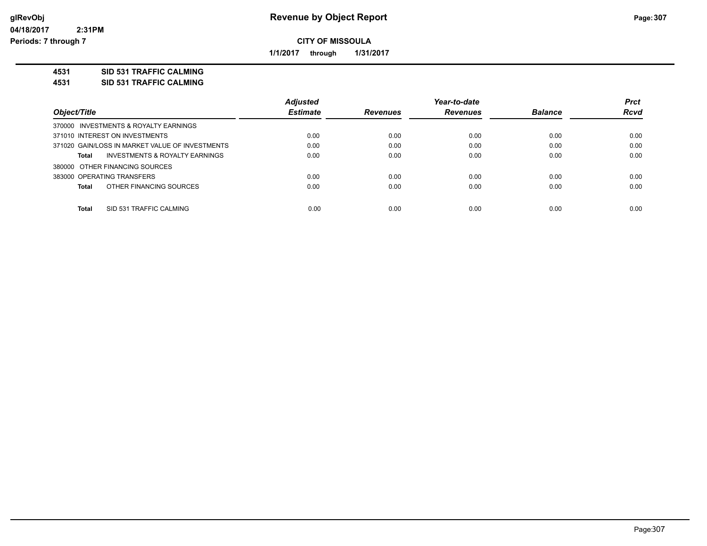*Prct Rcvd*

**CITY OF MISSOULA**

**1/1/2017 through 1/31/2017**

**4531 SID 531 TRAFFIC CALMING 4531 SID 531 TRAFFIC CALMING**

|                                       |                                                 | <b>Adjusted</b> |                 | Year-to-date    |                | <b>Prct</b> |
|---------------------------------------|-------------------------------------------------|-----------------|-----------------|-----------------|----------------|-------------|
| Object/Title                          |                                                 | <b>Estimate</b> | <b>Revenues</b> | <b>Revenues</b> | <b>Balance</b> | Rcva        |
| 370000 INVESTMENTS & ROYALTY EARNINGS |                                                 |                 |                 |                 |                |             |
| 371010 INTEREST ON INVESTMENTS        |                                                 | 0.00            | 0.00            | 0.00            | 0.00           | 0.00        |
|                                       | 371020 GAIN/LOSS IN MARKET VALUE OF INVESTMENTS | 0.00            | 0.00            | 0.00            | 0.00           | 0.00        |
| Total                                 | INVESTMENTS & ROYALTY EARNINGS                  | 0.00            | 0.00            | 0.00            | 0.00           | 0.00        |
| 380000 OTHER FINANCING SOURCES        |                                                 |                 |                 |                 |                |             |
| 383000 OPERATING TRANSFERS            |                                                 | 0.00            | 0.00            | 0.00            | 0.00           | 0.00        |
| Total                                 | OTHER FINANCING SOURCES                         | 0.00            | 0.00            | 0.00            | 0.00           | 0.00        |
| Total                                 | SID 531 TRAFFIC CALMING                         | 0.00            | 0.00            | 0.00            | 0.00           | 0.00        |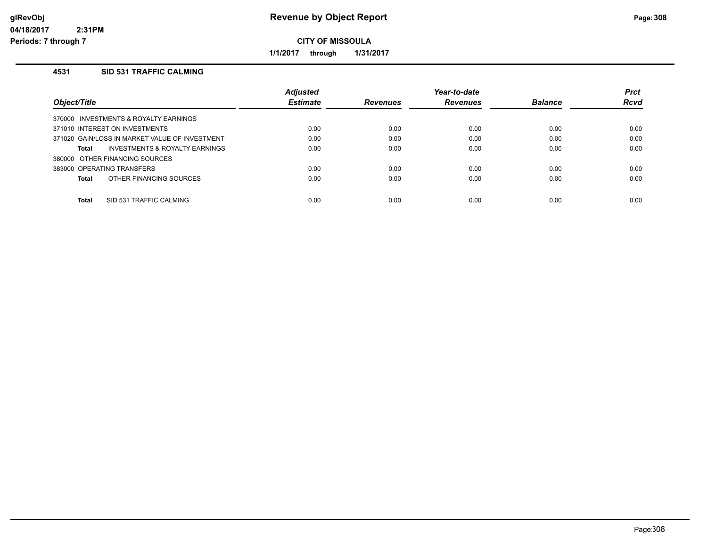**1/1/2017 through 1/31/2017**

### **4531 SID 531 TRAFFIC CALMING**

|                                                | <b>Adjusted</b> |                 | Year-to-date    |                | <b>Prct</b> |
|------------------------------------------------|-----------------|-----------------|-----------------|----------------|-------------|
| Object/Title                                   | <b>Estimate</b> | <b>Revenues</b> | <b>Revenues</b> | <b>Balance</b> | <b>Rcvd</b> |
| 370000 INVESTMENTS & ROYALTY EARNINGS          |                 |                 |                 |                |             |
| 371010 INTEREST ON INVESTMENTS                 | 0.00            | 0.00            | 0.00            | 0.00           | 0.00        |
| 371020 GAIN/LOSS IN MARKET VALUE OF INVESTMENT | 0.00            | 0.00            | 0.00            | 0.00           | 0.00        |
| Total<br>INVESTMENTS & ROYALTY EARNINGS        | 0.00            | 0.00            | 0.00            | 0.00           | 0.00        |
| 380000 OTHER FINANCING SOURCES                 |                 |                 |                 |                |             |
| 383000 OPERATING TRANSFERS                     | 0.00            | 0.00            | 0.00            | 0.00           | 0.00        |
| OTHER FINANCING SOURCES<br>Total               | 0.00            | 0.00            | 0.00            | 0.00           | 0.00        |
|                                                |                 |                 |                 |                |             |
| Total<br>SID 531 TRAFFIC CALMING               | 0.00            | 0.00            | 0.00            | 0.00           | 0.00        |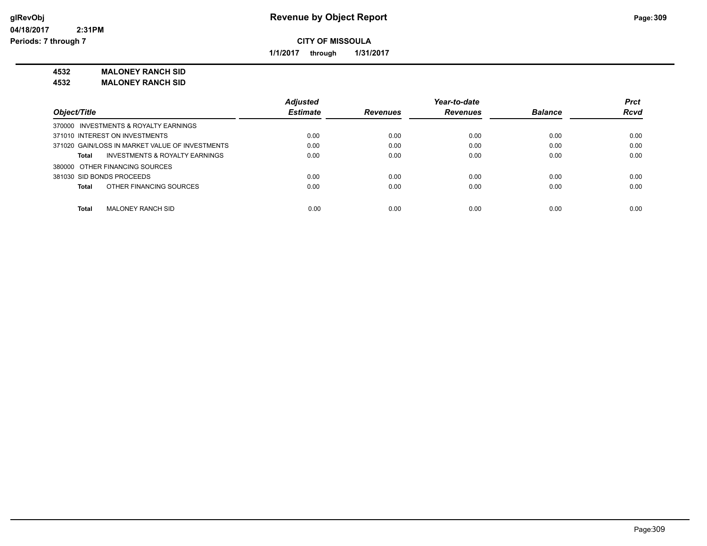**1/1/2017 through 1/31/2017**

**4532 MALONEY RANCH SID**

**4532 MALONEY RANCH SID**

|                                       |                                                 | <b>Adjusted</b> |                 | Year-to-date    |                | <b>Prct</b> |
|---------------------------------------|-------------------------------------------------|-----------------|-----------------|-----------------|----------------|-------------|
| Object/Title                          |                                                 | <b>Estimate</b> | <b>Revenues</b> | <b>Revenues</b> | <b>Balance</b> | <b>Rcvd</b> |
| 370000 INVESTMENTS & ROYALTY EARNINGS |                                                 |                 |                 |                 |                |             |
| 371010 INTEREST ON INVESTMENTS        |                                                 | 0.00            | 0.00            | 0.00            | 0.00           | 0.00        |
|                                       | 371020 GAIN/LOSS IN MARKET VALUE OF INVESTMENTS | 0.00            | 0.00            | 0.00            | 0.00           | 0.00        |
| Total                                 | INVESTMENTS & ROYALTY EARNINGS                  | 0.00            | 0.00            | 0.00            | 0.00           | 0.00        |
| 380000 OTHER FINANCING SOURCES        |                                                 |                 |                 |                 |                |             |
| 381030 SID BONDS PROCEEDS             |                                                 | 0.00            | 0.00            | 0.00            | 0.00           | 0.00        |
| Total                                 | OTHER FINANCING SOURCES                         | 0.00            | 0.00            | 0.00            | 0.00           | 0.00        |
| <b>Total</b>                          | <b>MALONEY RANCH SID</b>                        | 0.00            | 0.00            | 0.00            | 0.00           | 0.00        |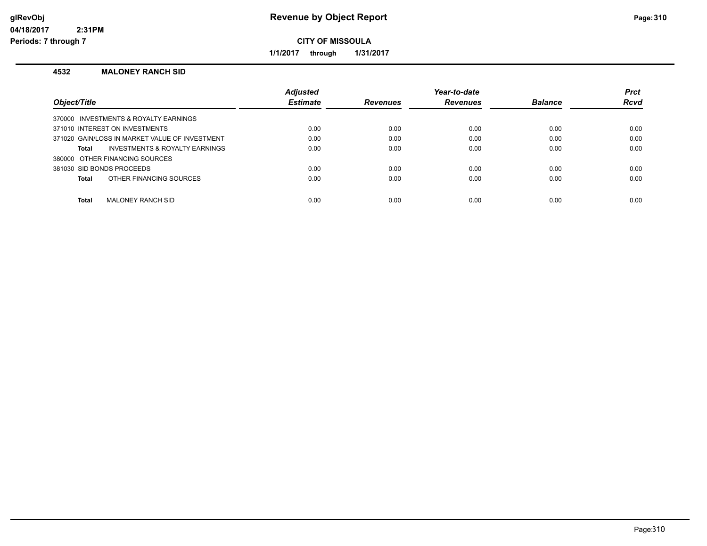**1/1/2017 through 1/31/2017**

### **4532 MALONEY RANCH SID**

| Object/Title                                   | <b>Adjusted</b><br><b>Estimate</b> | <b>Revenues</b> | Year-to-date<br><b>Revenues</b> | <b>Balance</b> | <b>Prct</b><br><b>Rcvd</b> |
|------------------------------------------------|------------------------------------|-----------------|---------------------------------|----------------|----------------------------|
|                                                |                                    |                 |                                 |                |                            |
| 370000 INVESTMENTS & ROYALTY EARNINGS          |                                    |                 |                                 |                |                            |
| 371010 INTEREST ON INVESTMENTS                 | 0.00                               | 0.00            | 0.00                            | 0.00           | 0.00                       |
| 371020 GAIN/LOSS IN MARKET VALUE OF INVESTMENT | 0.00                               | 0.00            | 0.00                            | 0.00           | 0.00                       |
| Total<br>INVESTMENTS & ROYALTY EARNINGS        | 0.00                               | 0.00            | 0.00                            | 0.00           | 0.00                       |
| 380000 OTHER FINANCING SOURCES                 |                                    |                 |                                 |                |                            |
| 381030 SID BONDS PROCEEDS                      | 0.00                               | 0.00            | 0.00                            | 0.00           | 0.00                       |
| OTHER FINANCING SOURCES<br>Total               | 0.00                               | 0.00            | 0.00                            | 0.00           | 0.00                       |
|                                                |                                    |                 |                                 |                |                            |
| Total<br>MALONEY RANCH SID                     | 0.00                               | 0.00            | 0.00                            | 0.00           | 0.00                       |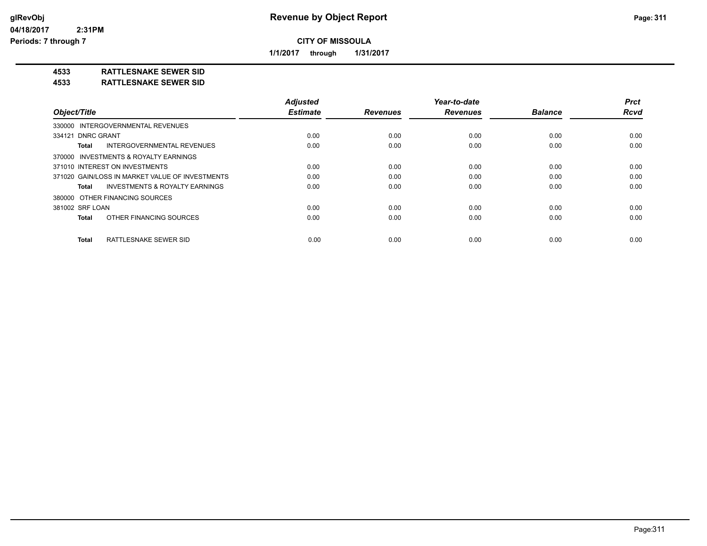**1/1/2017 through 1/31/2017**

**4533 RATTLESNAKE SEWER SID**

| <b>RATTLESNAKE SEWER SID</b> |
|------------------------------|
|                              |

|                                                    | <b>Adjusted</b> |                 | Year-to-date    |                | <b>Prct</b> |
|----------------------------------------------------|-----------------|-----------------|-----------------|----------------|-------------|
| Object/Title                                       | <b>Estimate</b> | <b>Revenues</b> | <b>Revenues</b> | <b>Balance</b> | <b>Rcvd</b> |
| 330000 INTERGOVERNMENTAL REVENUES                  |                 |                 |                 |                |             |
| 334121 DNRC GRANT                                  | 0.00            | 0.00            | 0.00            | 0.00           | 0.00        |
| <b>INTERGOVERNMENTAL REVENUES</b><br>Total         | 0.00            | 0.00            | 0.00            | 0.00           | 0.00        |
| 370000 INVESTMENTS & ROYALTY EARNINGS              |                 |                 |                 |                |             |
| 371010 INTEREST ON INVESTMENTS                     | 0.00            | 0.00            | 0.00            | 0.00           | 0.00        |
| 371020 GAIN/LOSS IN MARKET VALUE OF INVESTMENTS    | 0.00            | 0.00            | 0.00            | 0.00           | 0.00        |
| <b>INVESTMENTS &amp; ROYALTY EARNINGS</b><br>Total | 0.00            | 0.00            | 0.00            | 0.00           | 0.00        |
| 380000 OTHER FINANCING SOURCES                     |                 |                 |                 |                |             |
| 381002 SRF LOAN                                    | 0.00            | 0.00            | 0.00            | 0.00           | 0.00        |
| OTHER FINANCING SOURCES<br>Total                   | 0.00            | 0.00            | 0.00            | 0.00           | 0.00        |
| RATTLESNAKE SEWER SID<br><b>Total</b>              | 0.00            | 0.00            | 0.00            | 0.00           | 0.00        |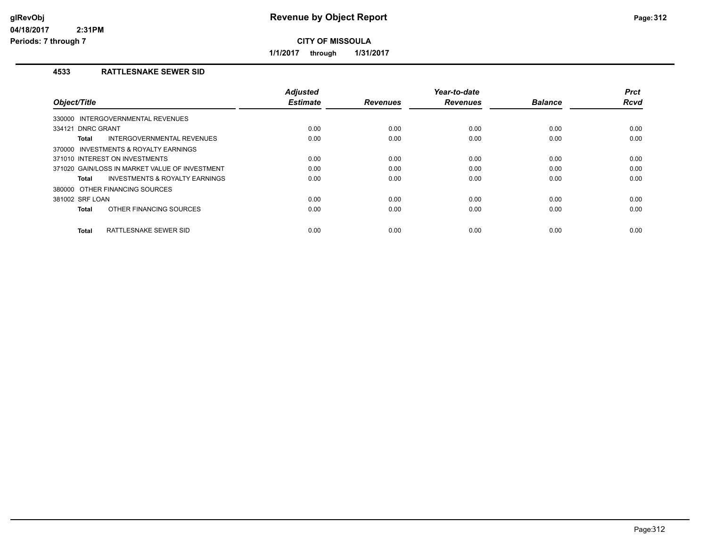**1/1/2017 through 1/31/2017**

### **4533 RATTLESNAKE SEWER SID**

|                                                | <b>Adjusted</b> |                 | Year-to-date    |                | <b>Prct</b> |
|------------------------------------------------|-----------------|-----------------|-----------------|----------------|-------------|
| Object/Title                                   | <b>Estimate</b> | <b>Revenues</b> | <b>Revenues</b> | <b>Balance</b> | <b>Rcvd</b> |
| 330000 INTERGOVERNMENTAL REVENUES              |                 |                 |                 |                |             |
| 334121 DNRC GRANT                              | 0.00            | 0.00            | 0.00            | 0.00           | 0.00        |
| INTERGOVERNMENTAL REVENUES<br>Total            | 0.00            | 0.00            | 0.00            | 0.00           | 0.00        |
| 370000 INVESTMENTS & ROYALTY EARNINGS          |                 |                 |                 |                |             |
| 371010 INTEREST ON INVESTMENTS                 | 0.00            | 0.00            | 0.00            | 0.00           | 0.00        |
| 371020 GAIN/LOSS IN MARKET VALUE OF INVESTMENT | 0.00            | 0.00            | 0.00            | 0.00           | 0.00        |
| INVESTMENTS & ROYALTY EARNINGS<br>Total        | 0.00            | 0.00            | 0.00            | 0.00           | 0.00        |
| 380000 OTHER FINANCING SOURCES                 |                 |                 |                 |                |             |
| 381002 SRF LOAN                                | 0.00            | 0.00            | 0.00            | 0.00           | 0.00        |
| OTHER FINANCING SOURCES<br>Total               | 0.00            | 0.00            | 0.00            | 0.00           | 0.00        |
| RATTLESNAKE SEWER SID<br><b>Total</b>          | 0.00            | 0.00            | 0.00            | 0.00           | 0.00        |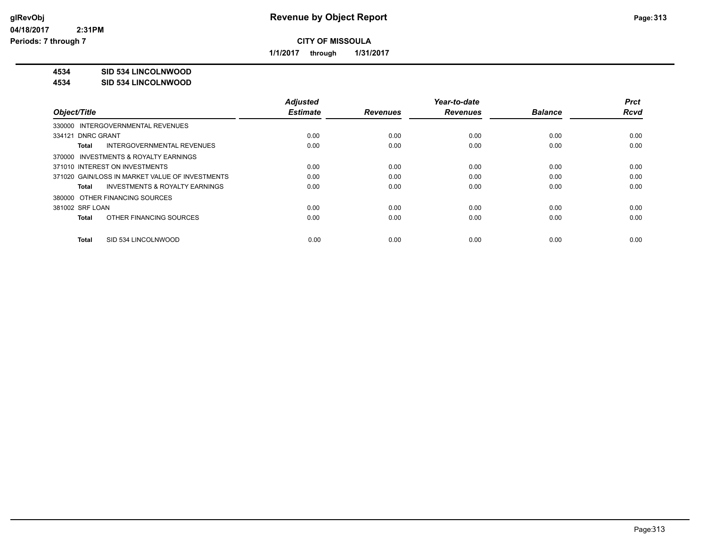**1/1/2017 through 1/31/2017**

**4534 SID 534 LINCOLNWOOD**

| <b>SID 534 LINCOLNWOOD</b><br>4534 |
|------------------------------------|
|                                    |

|                                                    | <b>Adjusted</b> |                 | Year-to-date    |                | <b>Prct</b> |
|----------------------------------------------------|-----------------|-----------------|-----------------|----------------|-------------|
| Object/Title                                       | <b>Estimate</b> | <b>Revenues</b> | <b>Revenues</b> | <b>Balance</b> | <b>Rcvd</b> |
| 330000 INTERGOVERNMENTAL REVENUES                  |                 |                 |                 |                |             |
| 334121 DNRC GRANT                                  | 0.00            | 0.00            | 0.00            | 0.00           | 0.00        |
| INTERGOVERNMENTAL REVENUES<br>Total                | 0.00            | 0.00            | 0.00            | 0.00           | 0.00        |
| 370000 INVESTMENTS & ROYALTY EARNINGS              |                 |                 |                 |                |             |
| 371010 INTEREST ON INVESTMENTS                     | 0.00            | 0.00            | 0.00            | 0.00           | 0.00        |
| 371020 GAIN/LOSS IN MARKET VALUE OF INVESTMENTS    | 0.00            | 0.00            | 0.00            | 0.00           | 0.00        |
| <b>INVESTMENTS &amp; ROYALTY EARNINGS</b><br>Total | 0.00            | 0.00            | 0.00            | 0.00           | 0.00        |
| 380000 OTHER FINANCING SOURCES                     |                 |                 |                 |                |             |
| 381002 SRF LOAN                                    | 0.00            | 0.00            | 0.00            | 0.00           | 0.00        |
| OTHER FINANCING SOURCES<br>Total                   | 0.00            | 0.00            | 0.00            | 0.00           | 0.00        |
| SID 534 LINCOLNWOOD<br><b>Total</b>                | 0.00            | 0.00            | 0.00            | 0.00           | 0.00        |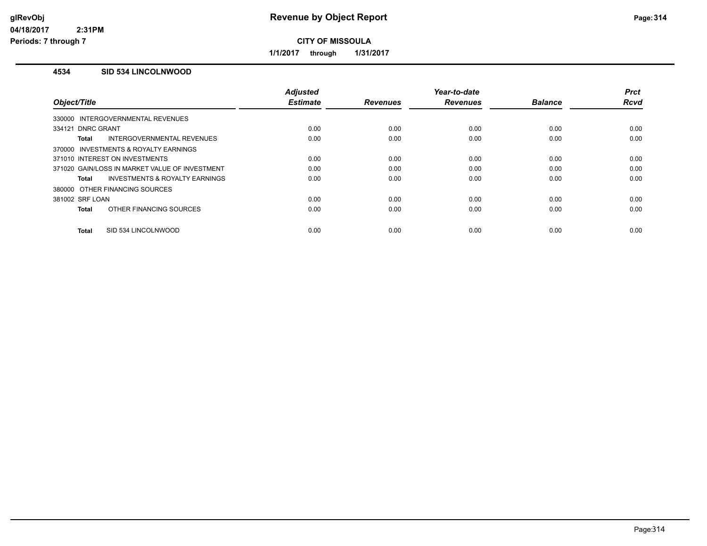**1/1/2017 through 1/31/2017**

### **4534 SID 534 LINCOLNWOOD**

|                                                    | <b>Adjusted</b> |                 | Year-to-date    |                | <b>Prct</b> |
|----------------------------------------------------|-----------------|-----------------|-----------------|----------------|-------------|
| Object/Title                                       | <b>Estimate</b> | <b>Revenues</b> | <b>Revenues</b> | <b>Balance</b> | <b>Rcvd</b> |
| INTERGOVERNMENTAL REVENUES<br>330000               |                 |                 |                 |                |             |
| 334121 DNRC GRANT                                  | 0.00            | 0.00            | 0.00            | 0.00           | 0.00        |
| INTERGOVERNMENTAL REVENUES<br>Total                | 0.00            | 0.00            | 0.00            | 0.00           | 0.00        |
| 370000 INVESTMENTS & ROYALTY EARNINGS              |                 |                 |                 |                |             |
| 371010 INTEREST ON INVESTMENTS                     | 0.00            | 0.00            | 0.00            | 0.00           | 0.00        |
| 371020 GAIN/LOSS IN MARKET VALUE OF INVESTMENT     | 0.00            | 0.00            | 0.00            | 0.00           | 0.00        |
| <b>INVESTMENTS &amp; ROYALTY EARNINGS</b><br>Total | 0.00            | 0.00            | 0.00            | 0.00           | 0.00        |
| 380000 OTHER FINANCING SOURCES                     |                 |                 |                 |                |             |
| 381002 SRF LOAN                                    | 0.00            | 0.00            | 0.00            | 0.00           | 0.00        |
| OTHER FINANCING SOURCES<br>Total                   | 0.00            | 0.00            | 0.00            | 0.00           | 0.00        |
| SID 534 LINCOLNWOOD<br><b>Total</b>                | 0.00            | 0.00            | 0.00            | 0.00           | 0.00        |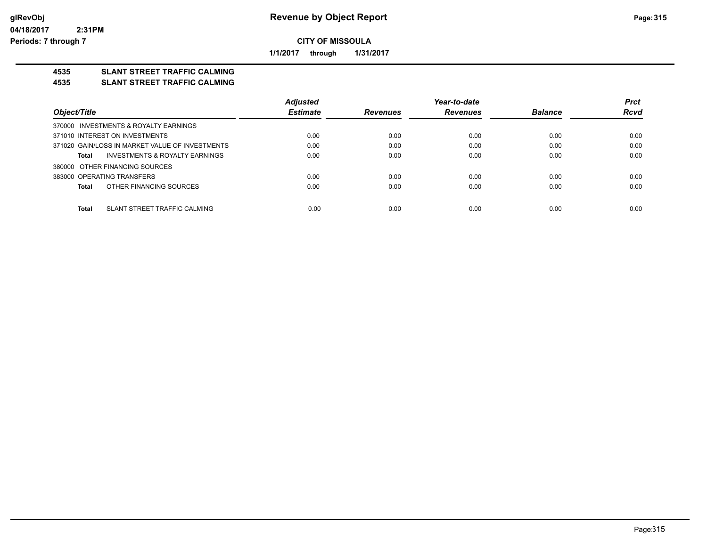**1/1/2017 through 1/31/2017**

### **4535 SLANT STREET TRAFFIC CALMING 4535 SLANT STREET TRAFFIC CALMING**

|                                                 | <b>Adjusted</b> |                 | Year-to-date    |                | <b>Prct</b> |
|-------------------------------------------------|-----------------|-----------------|-----------------|----------------|-------------|
| Object/Title                                    | <b>Estimate</b> | <b>Revenues</b> | <b>Revenues</b> | <b>Balance</b> | Rcvd        |
| 370000 INVESTMENTS & ROYALTY EARNINGS           |                 |                 |                 |                |             |
| 371010 INTEREST ON INVESTMENTS                  | 0.00            | 0.00            | 0.00            | 0.00           | 0.00        |
| 371020 GAIN/LOSS IN MARKET VALUE OF INVESTMENTS | 0.00            | 0.00            | 0.00            | 0.00           | 0.00        |
| INVESTMENTS & ROYALTY EARNINGS<br>Total         | 0.00            | 0.00            | 0.00            | 0.00           | 0.00        |
| 380000 OTHER FINANCING SOURCES                  |                 |                 |                 |                |             |
| 383000 OPERATING TRANSFERS                      | 0.00            | 0.00            | 0.00            | 0.00           | 0.00        |
| OTHER FINANCING SOURCES<br>Total                | 0.00            | 0.00            | 0.00            | 0.00           | 0.00        |
|                                                 |                 |                 |                 |                |             |
| SLANT STREET TRAFFIC CALMING<br><b>Total</b>    | 0.00            | 0.00            | 0.00            | 0.00           | 0.00        |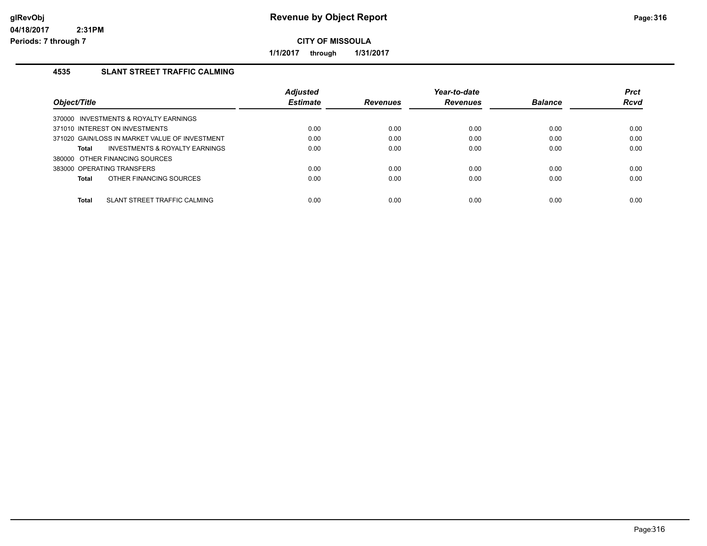**1/1/2017 through 1/31/2017**

### **4535 SLANT STREET TRAFFIC CALMING**

|                                                    | <b>Adjusted</b> |                 | Year-to-date    |                | <b>Prct</b> |
|----------------------------------------------------|-----------------|-----------------|-----------------|----------------|-------------|
| Object/Title                                       | <b>Estimate</b> | <b>Revenues</b> | <b>Revenues</b> | <b>Balance</b> | <b>Rcvd</b> |
| 370000 INVESTMENTS & ROYALTY EARNINGS              |                 |                 |                 |                |             |
| 371010 INTEREST ON INVESTMENTS                     | 0.00            | 0.00            | 0.00            | 0.00           | 0.00        |
| 371020 GAIN/LOSS IN MARKET VALUE OF INVESTMENT     | 0.00            | 0.00            | 0.00            | 0.00           | 0.00        |
| Total<br><b>INVESTMENTS &amp; ROYALTY EARNINGS</b> | 0.00            | 0.00            | 0.00            | 0.00           | 0.00        |
| 380000 OTHER FINANCING SOURCES                     |                 |                 |                 |                |             |
| 383000 OPERATING TRANSFERS                         | 0.00            | 0.00            | 0.00            | 0.00           | 0.00        |
| OTHER FINANCING SOURCES<br>Total                   | 0.00            | 0.00            | 0.00            | 0.00           | 0.00        |
|                                                    |                 |                 |                 |                |             |
| Total<br>SLANT STREET TRAFFIC CALMING              | 0.00            | 0.00            | 0.00            | 0.00           | 0.00        |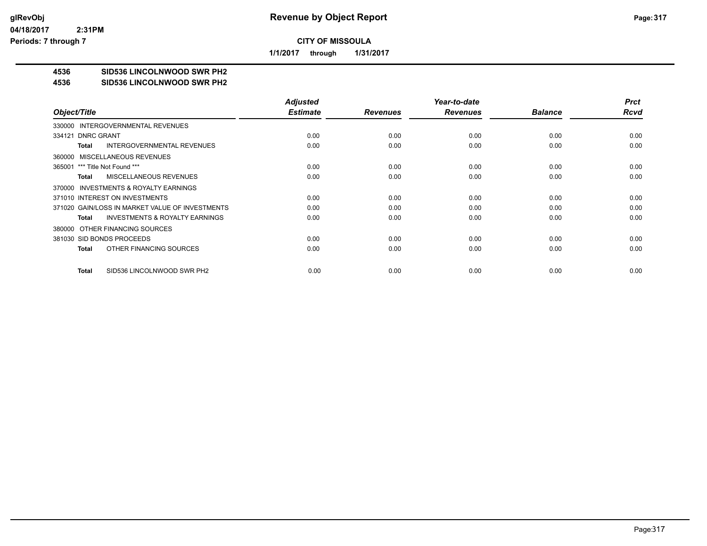**1/1/2017 through 1/31/2017**

# **4536 SID536 LINCOLNWOOD SWR PH2**

# **4536 SID536 LINCOLNWOOD SWR PH2**

|                                                           | <b>Adjusted</b> |                 | Year-to-date    |                | <b>Prct</b> |
|-----------------------------------------------------------|-----------------|-----------------|-----------------|----------------|-------------|
| Object/Title                                              | <b>Estimate</b> | <b>Revenues</b> | <b>Revenues</b> | <b>Balance</b> | <b>Rcvd</b> |
| 330000 INTERGOVERNMENTAL REVENUES                         |                 |                 |                 |                |             |
| <b>DNRC GRANT</b><br>334121                               | 0.00            | 0.00            | 0.00            | 0.00           | 0.00        |
| <b>INTERGOVERNMENTAL REVENUES</b><br><b>Total</b>         | 0.00            | 0.00            | 0.00            | 0.00           | 0.00        |
| 360000 MISCELLANEOUS REVENUES                             |                 |                 |                 |                |             |
| 365001 *** Title Not Found ***                            | 0.00            | 0.00            | 0.00            | 0.00           | 0.00        |
| MISCELLANEOUS REVENUES<br><b>Total</b>                    | 0.00            | 0.00            | 0.00            | 0.00           | 0.00        |
| 370000 INVESTMENTS & ROYALTY EARNINGS                     |                 |                 |                 |                |             |
| 371010 INTEREST ON INVESTMENTS                            | 0.00            | 0.00            | 0.00            | 0.00           | 0.00        |
| 371020 GAIN/LOSS IN MARKET VALUE OF INVESTMENTS           | 0.00            | 0.00            | 0.00            | 0.00           | 0.00        |
| <b>INVESTMENTS &amp; ROYALTY EARNINGS</b><br><b>Total</b> | 0.00            | 0.00            | 0.00            | 0.00           | 0.00        |
| 380000 OTHER FINANCING SOURCES                            |                 |                 |                 |                |             |
| 381030 SID BONDS PROCEEDS                                 | 0.00            | 0.00            | 0.00            | 0.00           | 0.00        |
| OTHER FINANCING SOURCES<br>Total                          | 0.00            | 0.00            | 0.00            | 0.00           | 0.00        |
|                                                           |                 |                 |                 |                |             |
| SID536 LINCOLNWOOD SWR PH2<br><b>Total</b>                | 0.00            | 0.00            | 0.00            | 0.00           | 0.00        |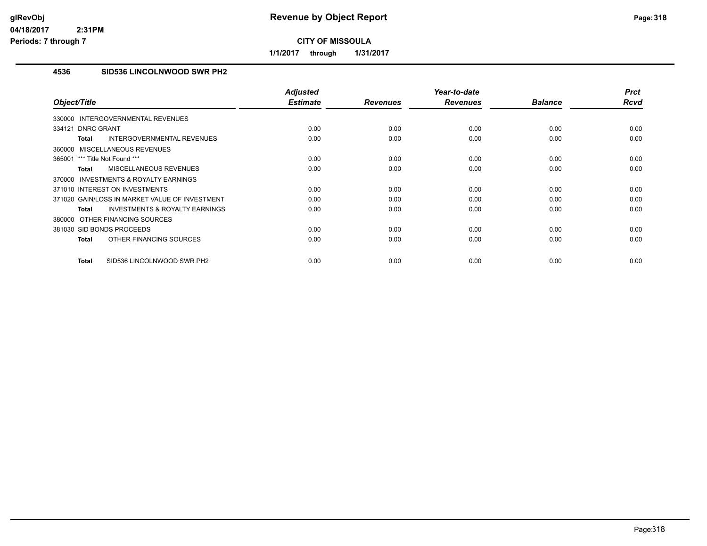**1/1/2017 through 1/31/2017**

### **4536 SID536 LINCOLNWOOD SWR PH2**

| Object/Title                                              | <b>Adjusted</b><br><b>Estimate</b> | <b>Revenues</b> | Year-to-date<br><b>Revenues</b> | <b>Balance</b> | <b>Prct</b><br><b>Rcvd</b> |
|-----------------------------------------------------------|------------------------------------|-----------------|---------------------------------|----------------|----------------------------|
|                                                           |                                    |                 |                                 |                |                            |
| INTERGOVERNMENTAL REVENUES<br>330000                      |                                    |                 |                                 |                |                            |
| 334121 DNRC GRANT                                         | 0.00                               | 0.00            | 0.00                            | 0.00           | 0.00                       |
| INTERGOVERNMENTAL REVENUES<br><b>Total</b>                | 0.00                               | 0.00            | 0.00                            | 0.00           | 0.00                       |
| MISCELLANEOUS REVENUES<br>360000                          |                                    |                 |                                 |                |                            |
| 365001 *** Title Not Found ***                            | 0.00                               | 0.00            | 0.00                            | 0.00           | 0.00                       |
| <b>MISCELLANEOUS REVENUES</b><br><b>Total</b>             | 0.00                               | 0.00            | 0.00                            | 0.00           | 0.00                       |
| <b>INVESTMENTS &amp; ROYALTY EARNINGS</b><br>370000       |                                    |                 |                                 |                |                            |
| 371010 INTEREST ON INVESTMENTS                            | 0.00                               | 0.00            | 0.00                            | 0.00           | 0.00                       |
| 371020 GAIN/LOSS IN MARKET VALUE OF INVESTMENT            | 0.00                               | 0.00            | 0.00                            | 0.00           | 0.00                       |
| <b>INVESTMENTS &amp; ROYALTY EARNINGS</b><br><b>Total</b> | 0.00                               | 0.00            | 0.00                            | 0.00           | 0.00                       |
| 380000 OTHER FINANCING SOURCES                            |                                    |                 |                                 |                |                            |
| 381030 SID BONDS PROCEEDS                                 | 0.00                               | 0.00            | 0.00                            | 0.00           | 0.00                       |
| OTHER FINANCING SOURCES<br><b>Total</b>                   | 0.00                               | 0.00            | 0.00                            | 0.00           | 0.00                       |
| SID536 LINCOLNWOOD SWR PH2<br><b>Total</b>                | 0.00                               | 0.00            | 0.00                            | 0.00           | 0.00                       |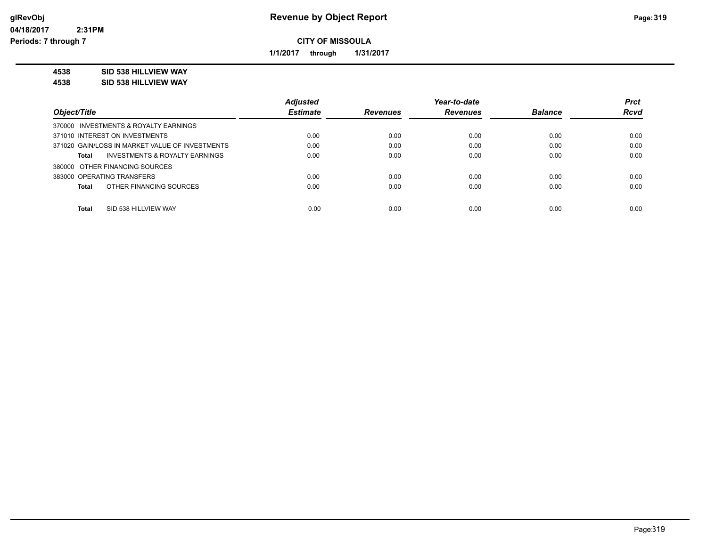**1/1/2017 through 1/31/2017**

**4538 SID 538 HILLVIEW WAY**

**4538 SID 538 HILLVIEW WAY**

|                                                       | <b>Adjusted</b> |                 | Year-to-date    |                | <b>Prct</b> |
|-------------------------------------------------------|-----------------|-----------------|-----------------|----------------|-------------|
| Object/Title<br>370000 INVESTMENTS & ROYALTY EARNINGS | <b>Estimate</b> | <b>Revenues</b> | <b>Revenues</b> | <b>Balance</b> | <b>Rcvd</b> |
|                                                       |                 |                 |                 |                |             |
| 371010 INTEREST ON INVESTMENTS                        | 0.00            | 0.00            | 0.00            | 0.00           | 0.00        |
| 371020 GAIN/LOSS IN MARKET VALUE OF INVESTMENTS       | 0.00            | 0.00            | 0.00            | 0.00           | 0.00        |
| <b>INVESTMENTS &amp; ROYALTY EARNINGS</b><br>Total    | 0.00            | 0.00            | 0.00            | 0.00           | 0.00        |
| 380000 OTHER FINANCING SOURCES                        |                 |                 |                 |                |             |
| 383000 OPERATING TRANSFERS                            | 0.00            | 0.00            | 0.00            | 0.00           | 0.00        |
| OTHER FINANCING SOURCES<br>Total                      | 0.00            | 0.00            | 0.00            | 0.00           | 0.00        |
|                                                       |                 |                 |                 |                |             |
| <b>Total</b><br>SID 538 HILLVIEW WAY                  | 0.00            | 0.00            | 0.00            | 0.00           | 0.00        |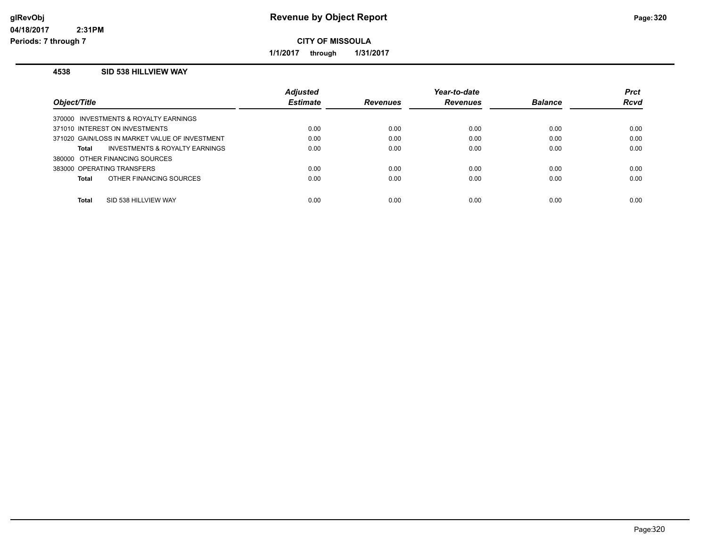**1/1/2017 through 1/31/2017**

### **4538 SID 538 HILLVIEW WAY**

|                                                | <b>Adjusted</b> |                 | Year-to-date    |                | <b>Prct</b> |
|------------------------------------------------|-----------------|-----------------|-----------------|----------------|-------------|
| Object/Title                                   | <b>Estimate</b> | <b>Revenues</b> | <b>Revenues</b> | <b>Balance</b> | <b>Rcvd</b> |
| 370000 INVESTMENTS & ROYALTY EARNINGS          |                 |                 |                 |                |             |
| 371010 INTEREST ON INVESTMENTS                 | 0.00            | 0.00            | 0.00            | 0.00           | 0.00        |
| 371020 GAIN/LOSS IN MARKET VALUE OF INVESTMENT | 0.00            | 0.00            | 0.00            | 0.00           | 0.00        |
| Total<br>INVESTMENTS & ROYALTY EARNINGS        | 0.00            | 0.00            | 0.00            | 0.00           | 0.00        |
| 380000 OTHER FINANCING SOURCES                 |                 |                 |                 |                |             |
| 383000 OPERATING TRANSFERS                     | 0.00            | 0.00            | 0.00            | 0.00           | 0.00        |
| OTHER FINANCING SOURCES<br>Total               | 0.00            | 0.00            | 0.00            | 0.00           | 0.00        |
|                                                |                 |                 |                 |                |             |
| Total<br>SID 538 HILLVIEW WAY                  | 0.00            | 0.00            | 0.00            | 0.00           | 0.00        |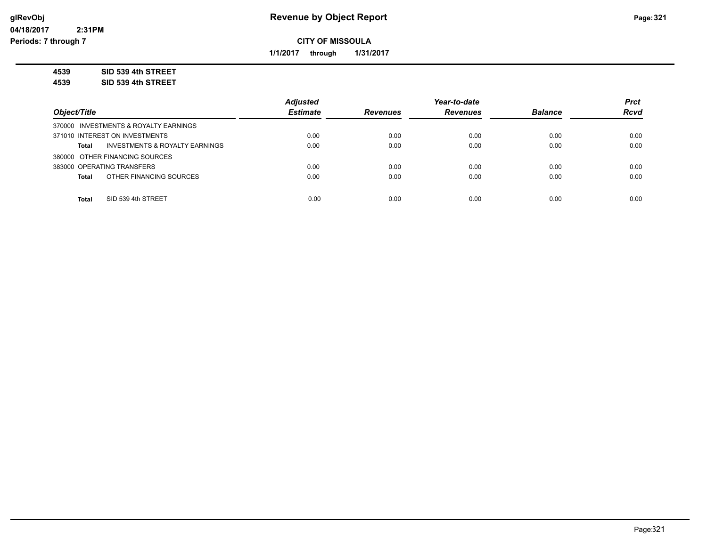**Periods: 7 through 7**

**CITY OF MISSOULA**

**1/1/2017 through 1/31/2017**

**4539 SID 539 4th STREET**

 **2:31PM**

**4539 SID 539 4th STREET**

|                                                    | <b>Adjusted</b> |                 | Year-to-date    |                | <b>Prct</b> |
|----------------------------------------------------|-----------------|-----------------|-----------------|----------------|-------------|
| Object/Title                                       | <b>Estimate</b> | <b>Revenues</b> | <b>Revenues</b> | <b>Balance</b> | <b>Rcvd</b> |
| 370000 INVESTMENTS & ROYALTY EARNINGS              |                 |                 |                 |                |             |
| 371010 INTEREST ON INVESTMENTS                     | 0.00            | 0.00            | 0.00            | 0.00           | 0.00        |
| <b>INVESTMENTS &amp; ROYALTY EARNINGS</b><br>Total | 0.00            | 0.00            | 0.00            | 0.00           | 0.00        |
| 380000 OTHER FINANCING SOURCES                     |                 |                 |                 |                |             |
| 383000 OPERATING TRANSFERS                         | 0.00            | 0.00            | 0.00            | 0.00           | 0.00        |
| OTHER FINANCING SOURCES<br>Total                   | 0.00            | 0.00            | 0.00            | 0.00           | 0.00        |
|                                                    |                 |                 |                 |                |             |
| <b>Total</b><br>SID 539 4th STREET                 | 0.00            | 0.00            | 0.00            | 0.00           | 0.00        |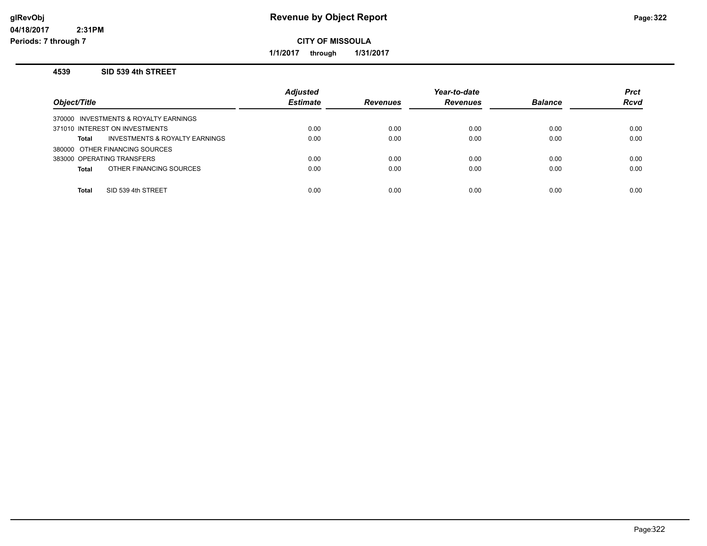**Periods: 7 through 7**

**CITY OF MISSOULA**

**1/1/2017 through 1/31/2017**

#### **4539 SID 539 4th STREET**

 **2:31PM**

|                                         | <b>Adjusted</b> |                 | Year-to-date    |                | <b>Prct</b> |
|-----------------------------------------|-----------------|-----------------|-----------------|----------------|-------------|
| Object/Title                            | <b>Estimate</b> | <b>Revenues</b> | <b>Revenues</b> | <b>Balance</b> | <b>Rcvd</b> |
| 370000 INVESTMENTS & ROYALTY EARNINGS   |                 |                 |                 |                |             |
| 371010 INTEREST ON INVESTMENTS          | 0.00            | 0.00            | 0.00            | 0.00           | 0.00        |
| INVESTMENTS & ROYALTY EARNINGS<br>Total | 0.00            | 0.00            | 0.00            | 0.00           | 0.00        |
| 380000 OTHER FINANCING SOURCES          |                 |                 |                 |                |             |
| 383000 OPERATING TRANSFERS              | 0.00            | 0.00            | 0.00            | 0.00           | 0.00        |
| OTHER FINANCING SOURCES<br>Total        | 0.00            | 0.00            | 0.00            | 0.00           | 0.00        |
| Total<br>SID 539 4th STREET             | 0.00            | 0.00            | 0.00            | 0.00           | 0.00        |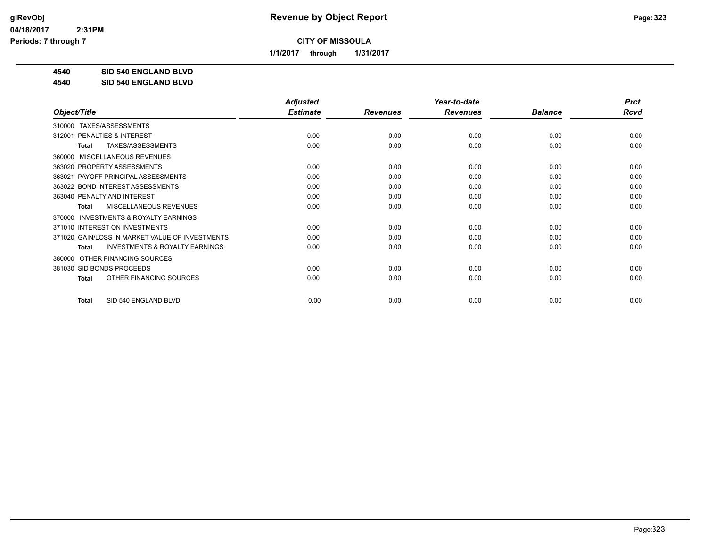**1/1/2017 through 1/31/2017**

**4540 SID 540 ENGLAND BLVD 4540 SID 540 ENGLAND BLVD**

|                                                     |                                                 | <b>Adjusted</b> |                 | Year-to-date    |                | <b>Prct</b> |
|-----------------------------------------------------|-------------------------------------------------|-----------------|-----------------|-----------------|----------------|-------------|
| Object/Title                                        |                                                 | <b>Estimate</b> | <b>Revenues</b> | <b>Revenues</b> | <b>Balance</b> | <b>Rcvd</b> |
| 310000                                              | TAXES/ASSESSMENTS                               |                 |                 |                 |                |             |
| PENALTIES & INTEREST<br>312001                      |                                                 | 0.00            | 0.00            | 0.00            | 0.00           | 0.00        |
| Total                                               | TAXES/ASSESSMENTS                               | 0.00            | 0.00            | 0.00            | 0.00           | 0.00        |
| MISCELLANEOUS REVENUES<br>360000                    |                                                 |                 |                 |                 |                |             |
| 363020 PROPERTY ASSESSMENTS                         |                                                 | 0.00            | 0.00            | 0.00            | 0.00           | 0.00        |
| PAYOFF PRINCIPAL ASSESSMENTS<br>363021              |                                                 | 0.00            | 0.00            | 0.00            | 0.00           | 0.00        |
| 363022 BOND INTEREST ASSESSMENTS                    |                                                 | 0.00            | 0.00            | 0.00            | 0.00           | 0.00        |
| 363040 PENALTY AND INTEREST                         |                                                 | 0.00            | 0.00            | 0.00            | 0.00           | 0.00        |
| Total                                               | MISCELLANEOUS REVENUES                          | 0.00            | 0.00            | 0.00            | 0.00           | 0.00        |
| <b>INVESTMENTS &amp; ROYALTY EARNINGS</b><br>370000 |                                                 |                 |                 |                 |                |             |
| 371010 INTEREST ON INVESTMENTS                      |                                                 | 0.00            | 0.00            | 0.00            | 0.00           | 0.00        |
|                                                     | 371020 GAIN/LOSS IN MARKET VALUE OF INVESTMENTS | 0.00            | 0.00            | 0.00            | 0.00           | 0.00        |
| Total                                               | <b>INVESTMENTS &amp; ROYALTY EARNINGS</b>       | 0.00            | 0.00            | 0.00            | 0.00           | 0.00        |
| 380000                                              | OTHER FINANCING SOURCES                         |                 |                 |                 |                |             |
| 381030 SID BONDS PROCEEDS                           |                                                 | 0.00            | 0.00            | 0.00            | 0.00           | 0.00        |
| Total                                               | OTHER FINANCING SOURCES                         | 0.00            | 0.00            | 0.00            | 0.00           | 0.00        |
|                                                     |                                                 |                 |                 |                 |                |             |
| <b>Total</b>                                        | SID 540 ENGLAND BLVD                            | 0.00            | 0.00            | 0.00            | 0.00           | 0.00        |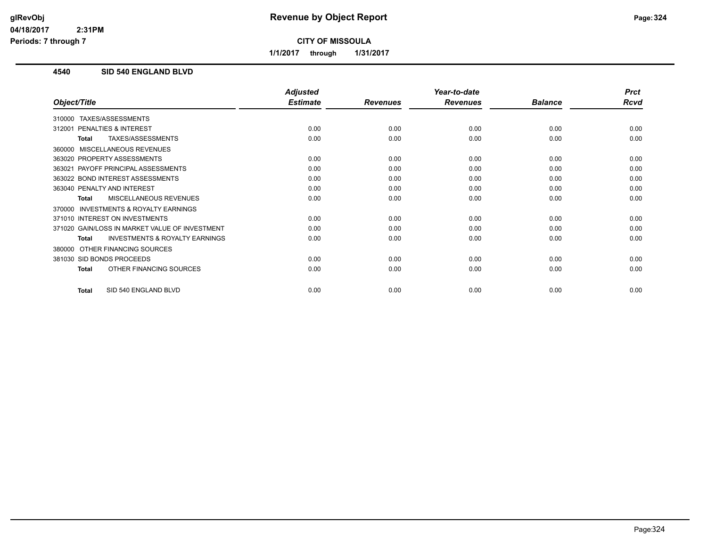**1/1/2017 through 1/31/2017**

### **4540 SID 540 ENGLAND BLVD**

|                                                     | <b>Adjusted</b> |                 | Year-to-date    |                | <b>Prct</b> |
|-----------------------------------------------------|-----------------|-----------------|-----------------|----------------|-------------|
| Object/Title                                        | <b>Estimate</b> | <b>Revenues</b> | <b>Revenues</b> | <b>Balance</b> | <b>Rcvd</b> |
| TAXES/ASSESSMENTS<br>310000                         |                 |                 |                 |                |             |
| 312001 PENALTIES & INTEREST                         | 0.00            | 0.00            | 0.00            | 0.00           | 0.00        |
| TAXES/ASSESSMENTS<br><b>Total</b>                   | 0.00            | 0.00            | 0.00            | 0.00           | 0.00        |
| MISCELLANEOUS REVENUES<br>360000                    |                 |                 |                 |                |             |
| 363020 PROPERTY ASSESSMENTS                         | 0.00            | 0.00            | 0.00            | 0.00           | 0.00        |
| 363021 PAYOFF PRINCIPAL ASSESSMENTS                 | 0.00            | 0.00            | 0.00            | 0.00           | 0.00        |
| 363022 BOND INTEREST ASSESSMENTS                    | 0.00            | 0.00            | 0.00            | 0.00           | 0.00        |
| 363040 PENALTY AND INTEREST                         | 0.00            | 0.00            | 0.00            | 0.00           | 0.00        |
| MISCELLANEOUS REVENUES<br>Total                     | 0.00            | 0.00            | 0.00            | 0.00           | 0.00        |
| <b>INVESTMENTS &amp; ROYALTY EARNINGS</b><br>370000 |                 |                 |                 |                |             |
| 371010 INTEREST ON INVESTMENTS                      | 0.00            | 0.00            | 0.00            | 0.00           | 0.00        |
| 371020 GAIN/LOSS IN MARKET VALUE OF INVESTMENT      | 0.00            | 0.00            | 0.00            | 0.00           | 0.00        |
| <b>INVESTMENTS &amp; ROYALTY EARNINGS</b><br>Total  | 0.00            | 0.00            | 0.00            | 0.00           | 0.00        |
| OTHER FINANCING SOURCES<br>380000                   |                 |                 |                 |                |             |
| 381030 SID BONDS PROCEEDS                           | 0.00            | 0.00            | 0.00            | 0.00           | 0.00        |
| OTHER FINANCING SOURCES<br>Total                    | 0.00            | 0.00            | 0.00            | 0.00           | 0.00        |
| SID 540 ENGLAND BLVD<br>Total                       | 0.00            | 0.00            | 0.00            | 0.00           | 0.00        |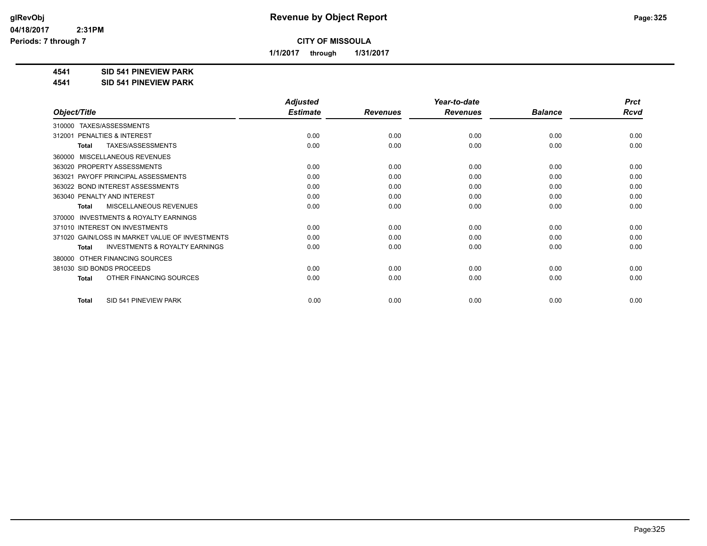**1/1/2017 through 1/31/2017**

**4541 SID 541 PINEVIEW PARK**

**4541 SID 541 PINEVIEW PARK**

|                                                           | <b>Adjusted</b> |                 | Year-to-date    |                | <b>Prct</b> |
|-----------------------------------------------------------|-----------------|-----------------|-----------------|----------------|-------------|
| Object/Title                                              | <b>Estimate</b> | <b>Revenues</b> | <b>Revenues</b> | <b>Balance</b> | Rcvd        |
| 310000 TAXES/ASSESSMENTS                                  |                 |                 |                 |                |             |
| <b>PENALTIES &amp; INTEREST</b><br>312001                 | 0.00            | 0.00            | 0.00            | 0.00           | 0.00        |
| TAXES/ASSESSMENTS<br><b>Total</b>                         | 0.00            | 0.00            | 0.00            | 0.00           | 0.00        |
| 360000 MISCELLANEOUS REVENUES                             |                 |                 |                 |                |             |
| 363020 PROPERTY ASSESSMENTS                               | 0.00            | 0.00            | 0.00            | 0.00           | 0.00        |
| PAYOFF PRINCIPAL ASSESSMENTS<br>363021                    | 0.00            | 0.00            | 0.00            | 0.00           | 0.00        |
| 363022 BOND INTEREST ASSESSMENTS                          | 0.00            | 0.00            | 0.00            | 0.00           | 0.00        |
| 363040 PENALTY AND INTEREST                               | 0.00            | 0.00            | 0.00            | 0.00           | 0.00        |
| MISCELLANEOUS REVENUES<br><b>Total</b>                    | 0.00            | 0.00            | 0.00            | 0.00           | 0.00        |
| 370000 INVESTMENTS & ROYALTY EARNINGS                     |                 |                 |                 |                |             |
| 371010 INTEREST ON INVESTMENTS                            | 0.00            | 0.00            | 0.00            | 0.00           | 0.00        |
| 371020 GAIN/LOSS IN MARKET VALUE OF INVESTMENTS           | 0.00            | 0.00            | 0.00            | 0.00           | 0.00        |
| <b>INVESTMENTS &amp; ROYALTY EARNINGS</b><br><b>Total</b> | 0.00            | 0.00            | 0.00            | 0.00           | 0.00        |
| 380000 OTHER FINANCING SOURCES                            |                 |                 |                 |                |             |
| 381030 SID BONDS PROCEEDS                                 | 0.00            | 0.00            | 0.00            | 0.00           | 0.00        |
| OTHER FINANCING SOURCES<br><b>Total</b>                   | 0.00            | 0.00            | 0.00            | 0.00           | 0.00        |
| SID 541 PINEVIEW PARK<br><b>Total</b>                     | 0.00            | 0.00            | 0.00            | 0.00           | 0.00        |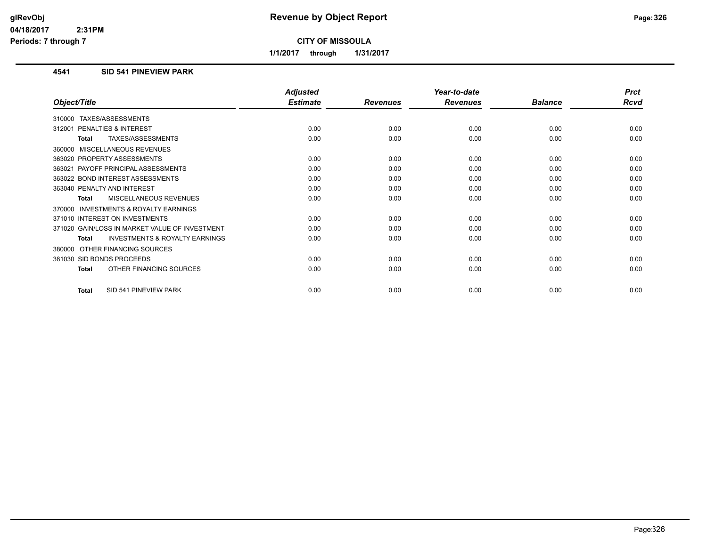**1/1/2017 through 1/31/2017**

#### **4541 SID 541 PINEVIEW PARK**

|                                                     | <b>Adjusted</b> |                 | Year-to-date    |                | <b>Prct</b> |
|-----------------------------------------------------|-----------------|-----------------|-----------------|----------------|-------------|
| Object/Title                                        | <b>Estimate</b> | <b>Revenues</b> | <b>Revenues</b> | <b>Balance</b> | <b>Rcvd</b> |
| TAXES/ASSESSMENTS<br>310000                         |                 |                 |                 |                |             |
| 312001 PENALTIES & INTEREST                         | 0.00            | 0.00            | 0.00            | 0.00           | 0.00        |
| TAXES/ASSESSMENTS<br><b>Total</b>                   | 0.00            | 0.00            | 0.00            | 0.00           | 0.00        |
| MISCELLANEOUS REVENUES<br>360000                    |                 |                 |                 |                |             |
| 363020 PROPERTY ASSESSMENTS                         | 0.00            | 0.00            | 0.00            | 0.00           | 0.00        |
| 363021 PAYOFF PRINCIPAL ASSESSMENTS                 | 0.00            | 0.00            | 0.00            | 0.00           | 0.00        |
| 363022 BOND INTEREST ASSESSMENTS                    | 0.00            | 0.00            | 0.00            | 0.00           | 0.00        |
| 363040 PENALTY AND INTEREST                         | 0.00            | 0.00            | 0.00            | 0.00           | 0.00        |
| <b>MISCELLANEOUS REVENUES</b><br>Total              | 0.00            | 0.00            | 0.00            | 0.00           | 0.00        |
| <b>INVESTMENTS &amp; ROYALTY EARNINGS</b><br>370000 |                 |                 |                 |                |             |
| 371010 INTEREST ON INVESTMENTS                      | 0.00            | 0.00            | 0.00            | 0.00           | 0.00        |
| 371020 GAIN/LOSS IN MARKET VALUE OF INVESTMENT      | 0.00            | 0.00            | 0.00            | 0.00           | 0.00        |
| <b>INVESTMENTS &amp; ROYALTY EARNINGS</b><br>Total  | 0.00            | 0.00            | 0.00            | 0.00           | 0.00        |
| OTHER FINANCING SOURCES<br>380000                   |                 |                 |                 |                |             |
| 381030 SID BONDS PROCEEDS                           | 0.00            | 0.00            | 0.00            | 0.00           | 0.00        |
| OTHER FINANCING SOURCES<br>Total                    | 0.00            | 0.00            | 0.00            | 0.00           | 0.00        |
| SID 541 PINEVIEW PARK<br>Total                      | 0.00            | 0.00            | 0.00            | 0.00           | 0.00        |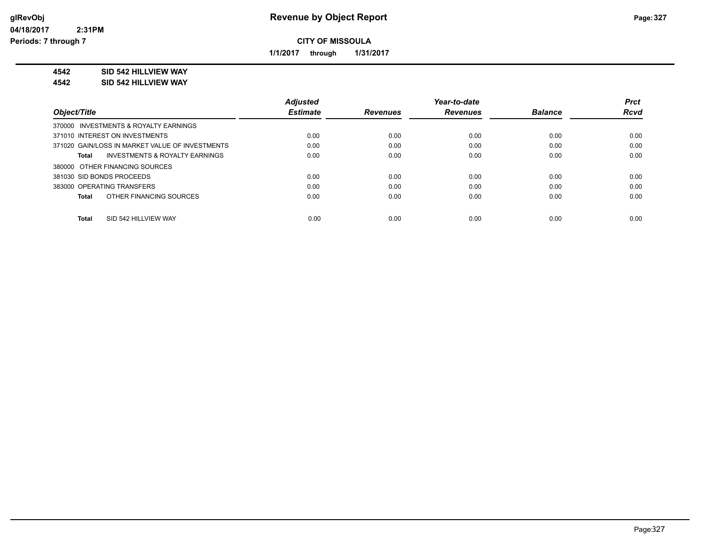**1/1/2017 through 1/31/2017**

**4542 SID 542 HILLVIEW WAY**

**4542 SID 542 HILLVIEW WAY**

|                                                 | <b>Adjusted</b> |                 | Year-to-date    |                | <b>Prct</b> |
|-------------------------------------------------|-----------------|-----------------|-----------------|----------------|-------------|
| Object/Title                                    | <b>Estimate</b> | <b>Revenues</b> | <b>Revenues</b> | <b>Balance</b> | Rcvd        |
| INVESTMENTS & ROYALTY EARNINGS<br>370000        |                 |                 |                 |                |             |
| 371010 INTEREST ON INVESTMENTS                  | 0.00            | 0.00            | 0.00            | 0.00           | 0.00        |
| 371020 GAIN/LOSS IN MARKET VALUE OF INVESTMENTS | 0.00            | 0.00            | 0.00            | 0.00           | 0.00        |
| INVESTMENTS & ROYALTY EARNINGS<br>Total         | 0.00            | 0.00            | 0.00            | 0.00           | 0.00        |
| 380000 OTHER FINANCING SOURCES                  |                 |                 |                 |                |             |
| 381030 SID BONDS PROCEEDS                       | 0.00            | 0.00            | 0.00            | 0.00           | 0.00        |
| 383000 OPERATING TRANSFERS                      | 0.00            | 0.00            | 0.00            | 0.00           | 0.00        |
| OTHER FINANCING SOURCES<br>Total                | 0.00            | 0.00            | 0.00            | 0.00           | 0.00        |
| <b>Total</b><br>SID 542 HILLVIEW WAY            | 0.00            | 0.00            | 0.00            | 0.00           | 0.00        |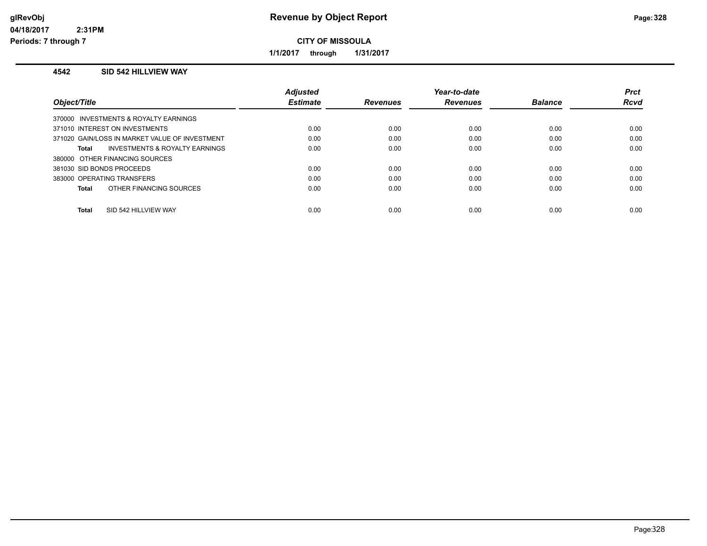**1/1/2017 through 1/31/2017**

#### **4542 SID 542 HILLVIEW WAY**

|                                                | <b>Adjusted</b> |                 | Year-to-date    |                | <b>Prct</b> |
|------------------------------------------------|-----------------|-----------------|-----------------|----------------|-------------|
| Object/Title                                   | <b>Estimate</b> | <b>Revenues</b> | <b>Revenues</b> | <b>Balance</b> | <b>Rcvd</b> |
| 370000 INVESTMENTS & ROYALTY EARNINGS          |                 |                 |                 |                |             |
| 371010 INTEREST ON INVESTMENTS                 | 0.00            | 0.00            | 0.00            | 0.00           | 0.00        |
| 371020 GAIN/LOSS IN MARKET VALUE OF INVESTMENT | 0.00            | 0.00            | 0.00            | 0.00           | 0.00        |
| INVESTMENTS & ROYALTY EARNINGS<br>Total        | 0.00            | 0.00            | 0.00            | 0.00           | 0.00        |
| 380000 OTHER FINANCING SOURCES                 |                 |                 |                 |                |             |
| 381030 SID BONDS PROCEEDS                      | 0.00            | 0.00            | 0.00            | 0.00           | 0.00        |
| 383000 OPERATING TRANSFERS                     | 0.00            | 0.00            | 0.00            | 0.00           | 0.00        |
| OTHER FINANCING SOURCES<br>Total               | 0.00            | 0.00            | 0.00            | 0.00           | 0.00        |
| SID 542 HILLVIEW WAY<br>Total                  | 0.00            | 0.00            | 0.00            | 0.00           | 0.00        |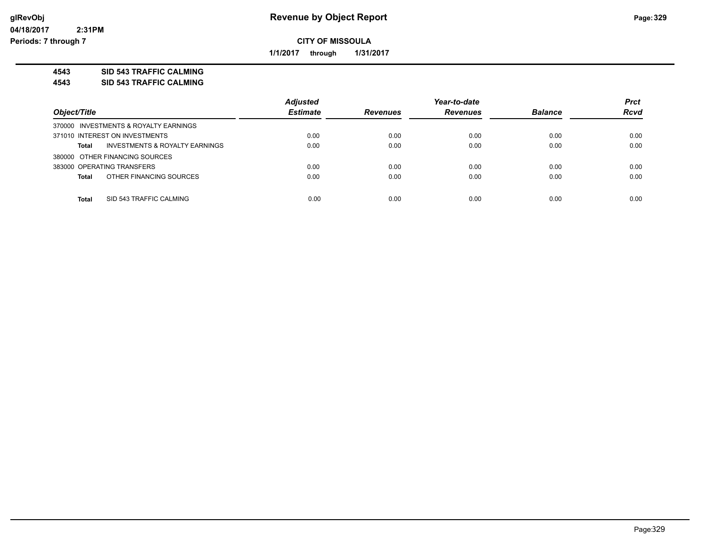**1/1/2017 through 1/31/2017**

**4543 SID 543 TRAFFIC CALMING 4543 SID 543 TRAFFIC CALMING**

| Object/Title                                   | <b>Adjusted</b><br><b>Estimate</b> | <b>Revenues</b> | Year-to-date<br><b>Revenues</b> | <b>Balance</b> | <b>Prct</b><br><b>Rcvd</b> |
|------------------------------------------------|------------------------------------|-----------------|---------------------------------|----------------|----------------------------|
| 370000 INVESTMENTS & ROYALTY EARNINGS          |                                    |                 |                                 |                |                            |
| 371010 INTEREST ON INVESTMENTS                 | 0.00                               | 0.00            | 0.00                            | 0.00           | 0.00                       |
| INVESTMENTS & ROYALTY EARNINGS<br><b>Total</b> | 0.00                               | 0.00            | 0.00                            | 0.00           | 0.00                       |
| 380000 OTHER FINANCING SOURCES                 |                                    |                 |                                 |                |                            |
| 383000 OPERATING TRANSFERS                     | 0.00                               | 0.00            | 0.00                            | 0.00           | 0.00                       |
| OTHER FINANCING SOURCES<br>Total               | 0.00                               | 0.00            | 0.00                            | 0.00           | 0.00                       |
|                                                |                                    |                 |                                 |                |                            |
| <b>Total</b><br>SID 543 TRAFFIC CALMING        | 0.00                               | 0.00            | 0.00                            | 0.00           | 0.00                       |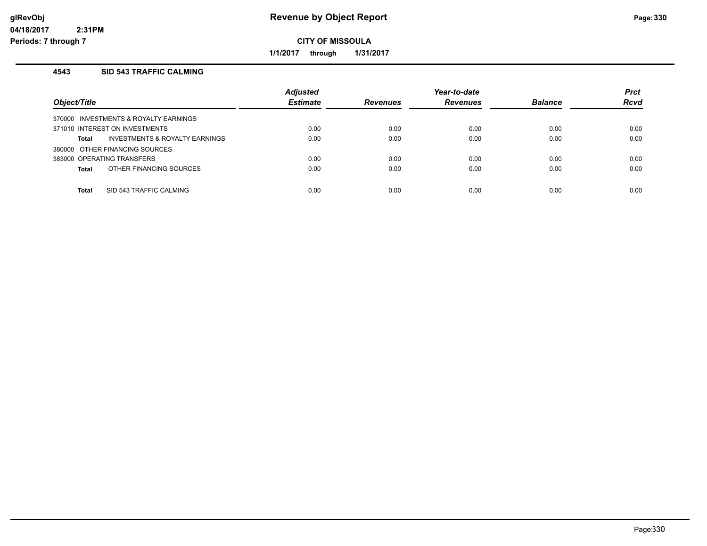**1/1/2017 through 1/31/2017**

# **4543 SID 543 TRAFFIC CALMING**

|              |                                       | <b>Adjusted</b> |                 | Year-to-date    |                | <b>Prct</b> |
|--------------|---------------------------------------|-----------------|-----------------|-----------------|----------------|-------------|
| Object/Title |                                       | <b>Estimate</b> | <b>Revenues</b> | <b>Revenues</b> | <b>Balance</b> | <b>Rcvd</b> |
|              | 370000 INVESTMENTS & ROYALTY EARNINGS |                 |                 |                 |                |             |
|              | 371010 INTEREST ON INVESTMENTS        | 0.00            | 0.00            | 0.00            | 0.00           | 0.00        |
| Total        | INVESTMENTS & ROYALTY EARNINGS        | 0.00            | 0.00            | 0.00            | 0.00           | 0.00        |
|              | 380000 OTHER FINANCING SOURCES        |                 |                 |                 |                |             |
|              | 383000 OPERATING TRANSFERS            | 0.00            | 0.00            | 0.00            | 0.00           | 0.00        |
| Total        | OTHER FINANCING SOURCES               | 0.00            | 0.00            | 0.00            | 0.00           | 0.00        |
| <b>Total</b> | SID 543 TRAFFIC CALMING               | 0.00            | 0.00            | 0.00            | 0.00           | 0.00        |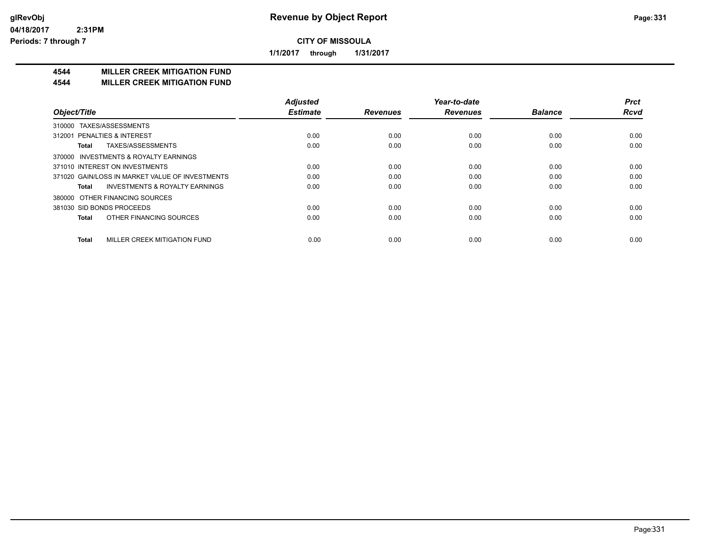**1/1/2017 through 1/31/2017**

# **4544 MILLER CREEK MITIGATION FUND**

# **4544 MILLER CREEK MITIGATION FUND**

|                                                    | <b>Adjusted</b> |                 | Year-to-date    |                | <b>Prct</b> |
|----------------------------------------------------|-----------------|-----------------|-----------------|----------------|-------------|
| Object/Title                                       | <b>Estimate</b> | <b>Revenues</b> | <b>Revenues</b> | <b>Balance</b> | <b>Rcvd</b> |
| TAXES/ASSESSMENTS<br>310000                        |                 |                 |                 |                |             |
| 312001 PENALTIES & INTEREST                        | 0.00            | 0.00            | 0.00            | 0.00           | 0.00        |
| TAXES/ASSESSMENTS<br>Total                         | 0.00            | 0.00            | 0.00            | 0.00           | 0.00        |
| 370000 INVESTMENTS & ROYALTY EARNINGS              |                 |                 |                 |                |             |
| 371010 INTEREST ON INVESTMENTS                     | 0.00            | 0.00            | 0.00            | 0.00           | 0.00        |
| 371020 GAIN/LOSS IN MARKET VALUE OF INVESTMENTS    | 0.00            | 0.00            | 0.00            | 0.00           | 0.00        |
| <b>INVESTMENTS &amp; ROYALTY EARNINGS</b><br>Total | 0.00            | 0.00            | 0.00            | 0.00           | 0.00        |
| 380000 OTHER FINANCING SOURCES                     |                 |                 |                 |                |             |
| 381030 SID BONDS PROCEEDS                          | 0.00            | 0.00            | 0.00            | 0.00           | 0.00        |
| OTHER FINANCING SOURCES<br>Total                   | 0.00            | 0.00            | 0.00            | 0.00           | 0.00        |
| MILLER CREEK MITIGATION FUND<br><b>Total</b>       | 0.00            | 0.00            | 0.00            | 0.00           | 0.00        |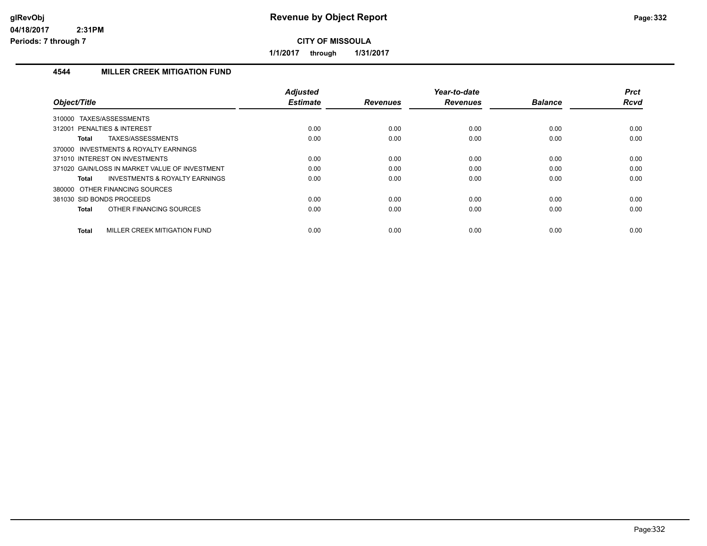**1/1/2017 through 1/31/2017**

#### **4544 MILLER CREEK MITIGATION FUND**

|                                                    | <b>Adjusted</b> |                 | Year-to-date    |                | <b>Prct</b> |
|----------------------------------------------------|-----------------|-----------------|-----------------|----------------|-------------|
| Object/Title                                       | <b>Estimate</b> | <b>Revenues</b> | <b>Revenues</b> | <b>Balance</b> | <b>Rcvd</b> |
| TAXES/ASSESSMENTS<br>310000                        |                 |                 |                 |                |             |
| 312001 PENALTIES & INTEREST                        | 0.00            | 0.00            | 0.00            | 0.00           | 0.00        |
| TAXES/ASSESSMENTS<br>Total                         | 0.00            | 0.00            | 0.00            | 0.00           | 0.00        |
| 370000 INVESTMENTS & ROYALTY EARNINGS              |                 |                 |                 |                |             |
| 371010 INTEREST ON INVESTMENTS                     | 0.00            | 0.00            | 0.00            | 0.00           | 0.00        |
| 371020 GAIN/LOSS IN MARKET VALUE OF INVESTMENT     | 0.00            | 0.00            | 0.00            | 0.00           | 0.00        |
| <b>INVESTMENTS &amp; ROYALTY EARNINGS</b><br>Total | 0.00            | 0.00            | 0.00            | 0.00           | 0.00        |
| 380000 OTHER FINANCING SOURCES                     |                 |                 |                 |                |             |
| 381030 SID BONDS PROCEEDS                          | 0.00            | 0.00            | 0.00            | 0.00           | 0.00        |
| OTHER FINANCING SOURCES<br>Total                   | 0.00            | 0.00            | 0.00            | 0.00           | 0.00        |
| MILLER CREEK MITIGATION FUND<br><b>Total</b>       | 0.00            | 0.00            | 0.00            | 0.00           | 0.00        |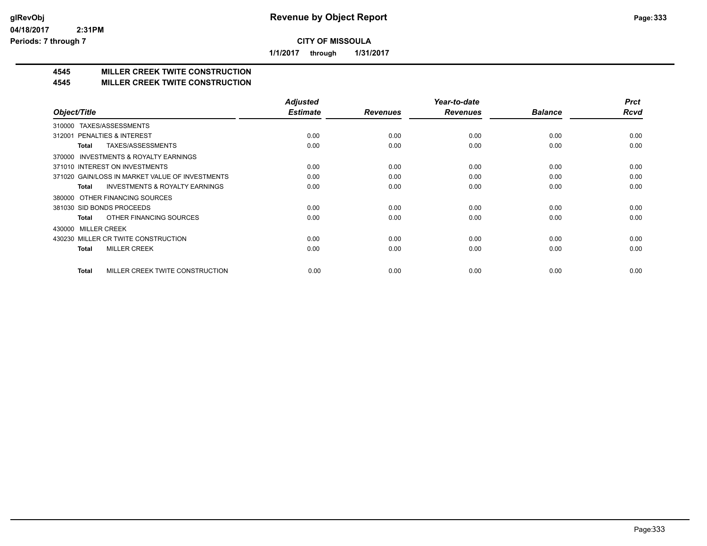**1/1/2017 through 1/31/2017**

# **4545 MILLER CREEK TWITE CONSTRUCTION 4545 MILLER CREEK TWITE CONSTRUCTION**

|                                                           | <b>Adjusted</b> |                 | Year-to-date    |                | <b>Prct</b> |
|-----------------------------------------------------------|-----------------|-----------------|-----------------|----------------|-------------|
| Object/Title                                              | <b>Estimate</b> | <b>Revenues</b> | <b>Revenues</b> | <b>Balance</b> | Rcvd        |
| TAXES/ASSESSMENTS<br>310000                               |                 |                 |                 |                |             |
| <b>PENALTIES &amp; INTEREST</b><br>312001                 | 0.00            | 0.00            | 0.00            | 0.00           | 0.00        |
| TAXES/ASSESSMENTS<br>Total                                | 0.00            | 0.00            | 0.00            | 0.00           | 0.00        |
| <b>INVESTMENTS &amp; ROYALTY EARNINGS</b><br>370000       |                 |                 |                 |                |             |
| 371010 INTEREST ON INVESTMENTS                            | 0.00            | 0.00            | 0.00            | 0.00           | 0.00        |
| 371020 GAIN/LOSS IN MARKET VALUE OF INVESTMENTS           | 0.00            | 0.00            | 0.00            | 0.00           | 0.00        |
| <b>INVESTMENTS &amp; ROYALTY EARNINGS</b><br><b>Total</b> | 0.00            | 0.00            | 0.00            | 0.00           | 0.00        |
| OTHER FINANCING SOURCES<br>380000                         |                 |                 |                 |                |             |
| 381030 SID BONDS PROCEEDS                                 | 0.00            | 0.00            | 0.00            | 0.00           | 0.00        |
| OTHER FINANCING SOURCES<br>Total                          | 0.00            | 0.00            | 0.00            | 0.00           | 0.00        |
| <b>MILLER CREEK</b><br>430000                             |                 |                 |                 |                |             |
| 430230 MILLER CR TWITE CONSTRUCTION                       | 0.00            | 0.00            | 0.00            | 0.00           | 0.00        |
| <b>MILLER CREEK</b><br>Total                              | 0.00            | 0.00            | 0.00            | 0.00           | 0.00        |
|                                                           |                 |                 |                 |                |             |
| MILLER CREEK TWITE CONSTRUCTION<br>Total                  | 0.00            | 0.00            | 0.00            | 0.00           | 0.00        |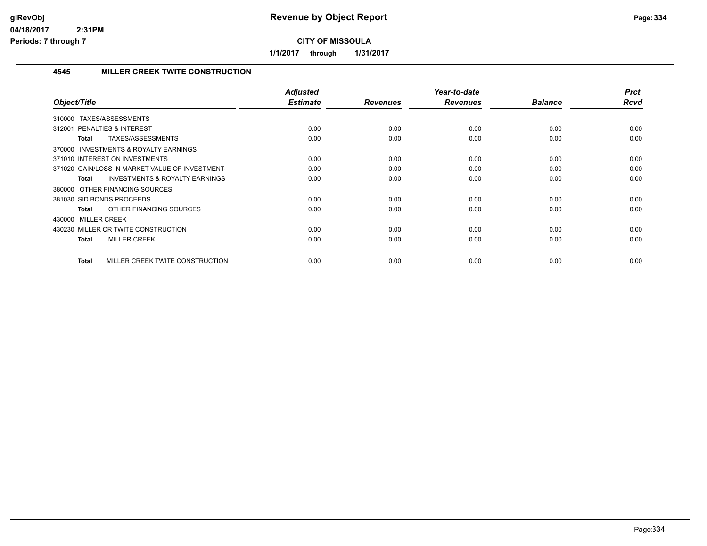**1/1/2017 through 1/31/2017**

# **4545 MILLER CREEK TWITE CONSTRUCTION**

| Object/Title                                       | <b>Adjusted</b><br><b>Estimate</b> | <b>Revenues</b> | Year-to-date<br><b>Revenues</b> | <b>Balance</b> | <b>Prct</b><br><b>Rcvd</b> |
|----------------------------------------------------|------------------------------------|-----------------|---------------------------------|----------------|----------------------------|
|                                                    |                                    |                 |                                 |                |                            |
| 310000 TAXES/ASSESSMENTS                           |                                    |                 |                                 |                |                            |
| <b>PENALTIES &amp; INTEREST</b><br>312001          | 0.00                               | 0.00            | 0.00                            | 0.00           | 0.00                       |
| TAXES/ASSESSMENTS<br><b>Total</b>                  | 0.00                               | 0.00            | 0.00                            | 0.00           | 0.00                       |
| 370000 INVESTMENTS & ROYALTY EARNINGS              |                                    |                 |                                 |                |                            |
| 371010 INTEREST ON INVESTMENTS                     | 0.00                               | 0.00            | 0.00                            | 0.00           | 0.00                       |
| 371020 GAIN/LOSS IN MARKET VALUE OF INVESTMENT     | 0.00                               | 0.00            | 0.00                            | 0.00           | 0.00                       |
| <b>INVESTMENTS &amp; ROYALTY EARNINGS</b><br>Total | 0.00                               | 0.00            | 0.00                            | 0.00           | 0.00                       |
| 380000 OTHER FINANCING SOURCES                     |                                    |                 |                                 |                |                            |
| 381030 SID BONDS PROCEEDS                          | 0.00                               | 0.00            | 0.00                            | 0.00           | 0.00                       |
| OTHER FINANCING SOURCES<br><b>Total</b>            | 0.00                               | 0.00            | 0.00                            | 0.00           | 0.00                       |
| 430000 MILLER CREEK                                |                                    |                 |                                 |                |                            |
| 430230 MILLER CR TWITE CONSTRUCTION                | 0.00                               | 0.00            | 0.00                            | 0.00           | 0.00                       |
| <b>MILLER CREEK</b><br><b>Total</b>                | 0.00                               | 0.00            | 0.00                            | 0.00           | 0.00                       |
|                                                    |                                    |                 |                                 |                |                            |
| MILLER CREEK TWITE CONSTRUCTION<br><b>Total</b>    | 0.00                               | 0.00            | 0.00                            | 0.00           | 0.00                       |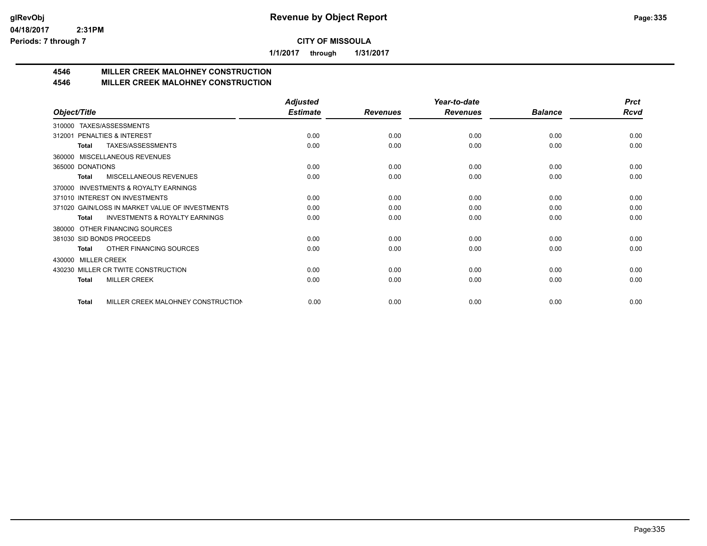**1/1/2017 through 1/31/2017**

# **4546 MILLER CREEK MALOHNEY CONSTRUCTION 4546 MILLER CREEK MALOHNEY CONSTRUCTION**

|                                                           | <b>Adjusted</b> |                 | Year-to-date    |                | <b>Prct</b> |
|-----------------------------------------------------------|-----------------|-----------------|-----------------|----------------|-------------|
| Object/Title                                              | <b>Estimate</b> | <b>Revenues</b> | <b>Revenues</b> | <b>Balance</b> | <b>Rcvd</b> |
| TAXES/ASSESSMENTS<br>310000                               |                 |                 |                 |                |             |
| PENALTIES & INTEREST<br>312001                            | 0.00            | 0.00            | 0.00            | 0.00           | 0.00        |
| TAXES/ASSESSMENTS<br><b>Total</b>                         | 0.00            | 0.00            | 0.00            | 0.00           | 0.00        |
| MISCELLANEOUS REVENUES<br>360000                          |                 |                 |                 |                |             |
| 365000 DONATIONS                                          | 0.00            | 0.00            | 0.00            | 0.00           | 0.00        |
| MISCELLANEOUS REVENUES<br><b>Total</b>                    | 0.00            | 0.00            | 0.00            | 0.00           | 0.00        |
| <b>INVESTMENTS &amp; ROYALTY EARNINGS</b><br>370000       |                 |                 |                 |                |             |
| 371010 INTEREST ON INVESTMENTS                            | 0.00            | 0.00            | 0.00            | 0.00           | 0.00        |
| 371020 GAIN/LOSS IN MARKET VALUE OF INVESTMENTS           | 0.00            | 0.00            | 0.00            | 0.00           | 0.00        |
| <b>INVESTMENTS &amp; ROYALTY EARNINGS</b><br><b>Total</b> | 0.00            | 0.00            | 0.00            | 0.00           | 0.00        |
| OTHER FINANCING SOURCES<br>380000                         |                 |                 |                 |                |             |
| 381030 SID BONDS PROCEEDS                                 | 0.00            | 0.00            | 0.00            | 0.00           | 0.00        |
| OTHER FINANCING SOURCES<br>Total                          | 0.00            | 0.00            | 0.00            | 0.00           | 0.00        |
| <b>MILLER CREEK</b><br>430000                             |                 |                 |                 |                |             |
| 430230 MILLER CR TWITE CONSTRUCTION                       | 0.00            | 0.00            | 0.00            | 0.00           | 0.00        |
| <b>MILLER CREEK</b><br><b>Total</b>                       | 0.00            | 0.00            | 0.00            | 0.00           | 0.00        |
|                                                           |                 |                 |                 |                |             |
| MILLER CREEK MALOHNEY CONSTRUCTION<br><b>Total</b>        | 0.00            | 0.00            | 0.00            | 0.00           | 0.00        |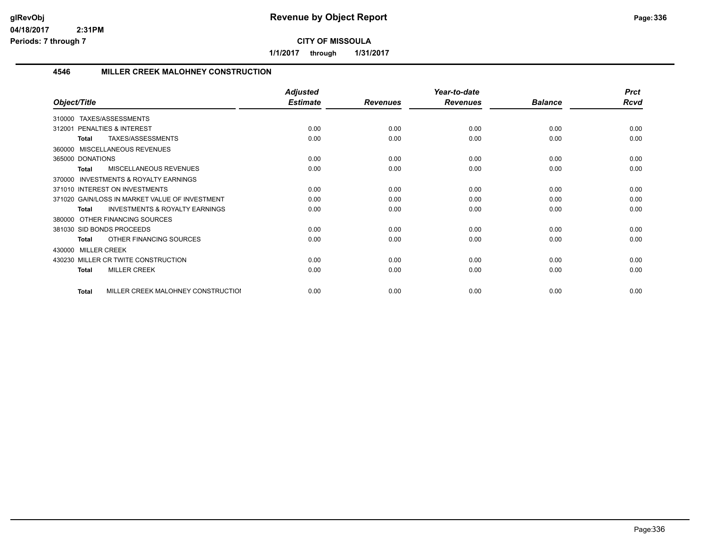**1/1/2017 through 1/31/2017**

#### **4546 MILLER CREEK MALOHNEY CONSTRUCTION**

|                                                           | <b>Adjusted</b> |                 | Year-to-date    |                | <b>Prct</b> |
|-----------------------------------------------------------|-----------------|-----------------|-----------------|----------------|-------------|
| Object/Title                                              | <b>Estimate</b> | <b>Revenues</b> | <b>Revenues</b> | <b>Balance</b> | <b>Rcvd</b> |
| TAXES/ASSESSMENTS<br>310000                               |                 |                 |                 |                |             |
| 312001 PENALTIES & INTEREST                               | 0.00            | 0.00            | 0.00            | 0.00           | 0.00        |
| TAXES/ASSESSMENTS<br><b>Total</b>                         | 0.00            | 0.00            | 0.00            | 0.00           | 0.00        |
| 360000 MISCELLANEOUS REVENUES                             |                 |                 |                 |                |             |
| 365000 DONATIONS                                          | 0.00            | 0.00            | 0.00            | 0.00           | 0.00        |
| <b>MISCELLANEOUS REVENUES</b><br><b>Total</b>             | 0.00            | 0.00            | 0.00            | 0.00           | 0.00        |
| <b>INVESTMENTS &amp; ROYALTY EARNINGS</b><br>370000       |                 |                 |                 |                |             |
| 371010 INTEREST ON INVESTMENTS                            | 0.00            | 0.00            | 0.00            | 0.00           | 0.00        |
| 371020 GAIN/LOSS IN MARKET VALUE OF INVESTMENT            | 0.00            | 0.00            | 0.00            | 0.00           | 0.00        |
| <b>INVESTMENTS &amp; ROYALTY EARNINGS</b><br><b>Total</b> | 0.00            | 0.00            | 0.00            | 0.00           | 0.00        |
| 380000 OTHER FINANCING SOURCES                            |                 |                 |                 |                |             |
| 381030 SID BONDS PROCEEDS                                 | 0.00            | 0.00            | 0.00            | 0.00           | 0.00        |
| OTHER FINANCING SOURCES<br>Total                          | 0.00            | 0.00            | 0.00            | 0.00           | 0.00        |
| <b>MILLER CREEK</b><br>430000                             |                 |                 |                 |                |             |
| 430230 MILLER CR TWITE CONSTRUCTION                       | 0.00            | 0.00            | 0.00            | 0.00           | 0.00        |
| <b>MILLER CREEK</b><br><b>Total</b>                       | 0.00            | 0.00            | 0.00            | 0.00           | 0.00        |
|                                                           |                 |                 |                 |                |             |
| MILLER CREEK MALOHNEY CONSTRUCTIOI<br><b>Total</b>        | 0.00            | 0.00            | 0.00            | 0.00           | 0.00        |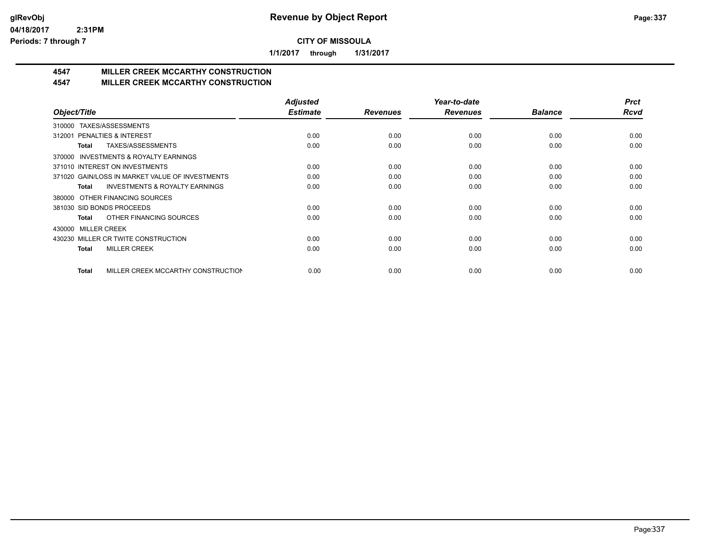**1/1/2017 through 1/31/2017**

# **4547 MILLER CREEK MCCARTHY CONSTRUCTION 4547 MILLER CREEK MCCARTHY CONSTRUCTION**

|                                                     | <b>Adjusted</b> |                 | Year-to-date    |                | <b>Prct</b> |
|-----------------------------------------------------|-----------------|-----------------|-----------------|----------------|-------------|
| Object/Title                                        | <b>Estimate</b> | <b>Revenues</b> | <b>Revenues</b> | <b>Balance</b> | Rcvd        |
| 310000 TAXES/ASSESSMENTS                            |                 |                 |                 |                |             |
| <b>PENALTIES &amp; INTEREST</b><br>312001           | 0.00            | 0.00            | 0.00            | 0.00           | 0.00        |
| TAXES/ASSESSMENTS<br>Total                          | 0.00            | 0.00            | 0.00            | 0.00           | 0.00        |
| <b>INVESTMENTS &amp; ROYALTY EARNINGS</b><br>370000 |                 |                 |                 |                |             |
| 371010 INTEREST ON INVESTMENTS                      | 0.00            | 0.00            | 0.00            | 0.00           | 0.00        |
| 371020 GAIN/LOSS IN MARKET VALUE OF INVESTMENTS     | 0.00            | 0.00            | 0.00            | 0.00           | 0.00        |
| <b>INVESTMENTS &amp; ROYALTY EARNINGS</b><br>Total  | 0.00            | 0.00            | 0.00            | 0.00           | 0.00        |
| 380000 OTHER FINANCING SOURCES                      |                 |                 |                 |                |             |
| 381030 SID BONDS PROCEEDS                           | 0.00            | 0.00            | 0.00            | 0.00           | 0.00        |
| OTHER FINANCING SOURCES<br>Total                    | 0.00            | 0.00            | 0.00            | 0.00           | 0.00        |
| <b>MILLER CREEK</b><br>430000                       |                 |                 |                 |                |             |
| 430230 MILLER CR TWITE CONSTRUCTION                 | 0.00            | 0.00            | 0.00            | 0.00           | 0.00        |
| <b>MILLER CREEK</b><br>Total                        | 0.00            | 0.00            | 0.00            | 0.00           | 0.00        |
|                                                     |                 |                 |                 |                |             |
| MILLER CREEK MCCARTHY CONSTRUCTION<br><b>Total</b>  | 0.00            | 0.00            | 0.00            | 0.00           | 0.00        |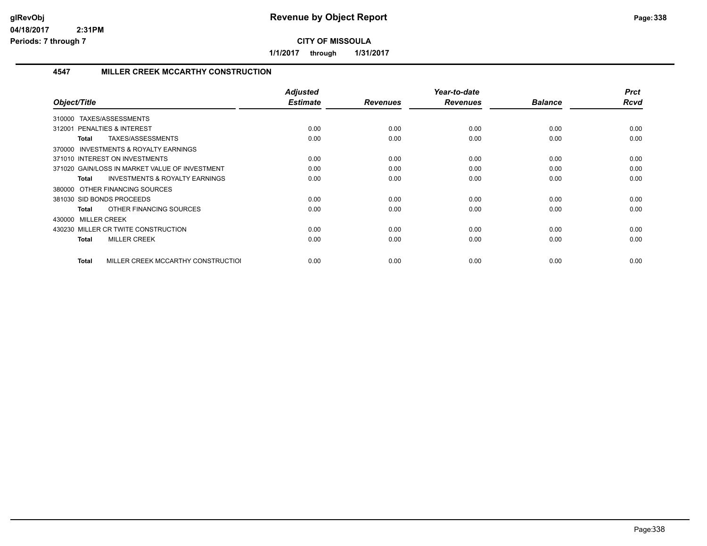**1/1/2017 through 1/31/2017**

#### **4547 MILLER CREEK MCCARTHY CONSTRUCTION**

| Object/Title                                              | <b>Adjusted</b><br><b>Estimate</b> | <b>Revenues</b> | Year-to-date<br><b>Revenues</b> | <b>Balance</b> | <b>Prct</b><br><b>Rcvd</b> |
|-----------------------------------------------------------|------------------------------------|-----------------|---------------------------------|----------------|----------------------------|
| TAXES/ASSESSMENTS<br>310000                               |                                    |                 |                                 |                |                            |
| 312001 PENALTIES & INTEREST                               | 0.00                               | 0.00            | 0.00                            | 0.00           | 0.00                       |
| TAXES/ASSESSMENTS<br>Total                                | 0.00                               | 0.00            | 0.00                            | 0.00           | 0.00                       |
| INVESTMENTS & ROYALTY EARNINGS<br>370000                  |                                    |                 |                                 |                |                            |
| 371010 INTEREST ON INVESTMENTS                            | 0.00                               | 0.00            | 0.00                            | 0.00           | 0.00                       |
| 371020 GAIN/LOSS IN MARKET VALUE OF INVESTMENT            | 0.00                               | 0.00            | 0.00                            | 0.00           | 0.00                       |
| <b>INVESTMENTS &amp; ROYALTY EARNINGS</b><br><b>Total</b> | 0.00                               | 0.00            | 0.00                            | 0.00           | 0.00                       |
| 380000 OTHER FINANCING SOURCES                            |                                    |                 |                                 |                |                            |
| 381030 SID BONDS PROCEEDS                                 | 0.00                               | 0.00            | 0.00                            | 0.00           | 0.00                       |
| OTHER FINANCING SOURCES<br><b>Total</b>                   | 0.00                               | 0.00            | 0.00                            | 0.00           | 0.00                       |
| 430000 MILLER CREEK                                       |                                    |                 |                                 |                |                            |
| 430230 MILLER CR TWITE CONSTRUCTION                       | 0.00                               | 0.00            | 0.00                            | 0.00           | 0.00                       |
| <b>MILLER CREEK</b><br><b>Total</b>                       | 0.00                               | 0.00            | 0.00                            | 0.00           | 0.00                       |
| MILLER CREEK MCCARTHY CONSTRUCTIOL<br><b>Total</b>        | 0.00                               | 0.00            | 0.00                            | 0.00           | 0.00                       |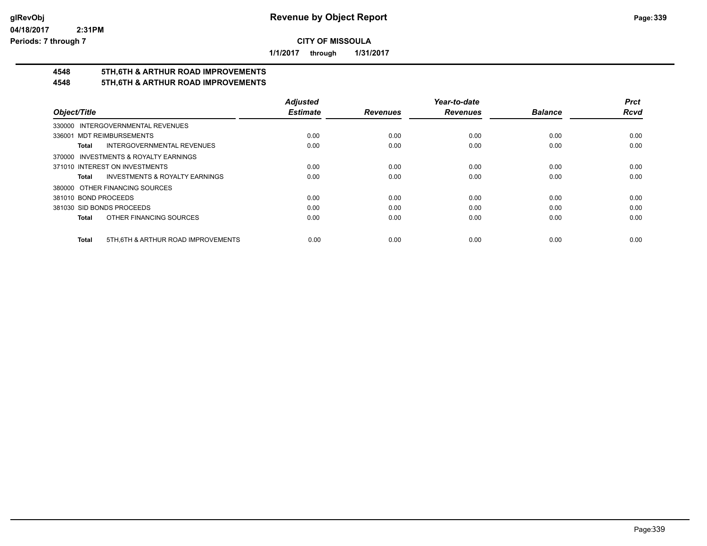**1/1/2017 through 1/31/2017**

# **4548 5TH,6TH & ARTHUR ROAD IMPROVEMENTS 4548 5TH,6TH & ARTHUR ROAD IMPROVEMENTS**

| Object/Title                                        | <b>Adjusted</b><br><b>Estimate</b> | <b>Revenues</b> | Year-to-date<br><b>Revenues</b> | <b>Balance</b> | <b>Prct</b><br><b>Rcvd</b> |
|-----------------------------------------------------|------------------------------------|-----------------|---------------------------------|----------------|----------------------------|
| 330000 INTERGOVERNMENTAL REVENUES                   |                                    |                 |                                 |                |                            |
| MDT REIMBURSEMENTS<br>336001                        | 0.00                               | 0.00            | 0.00                            | 0.00           | 0.00                       |
| INTERGOVERNMENTAL REVENUES<br>Total                 | 0.00                               | 0.00            | 0.00                            | 0.00           | 0.00                       |
| INVESTMENTS & ROYALTY EARNINGS<br>370000            |                                    |                 |                                 |                |                            |
| 371010 INTEREST ON INVESTMENTS                      | 0.00                               | 0.00            | 0.00                            | 0.00           | 0.00                       |
| <b>INVESTMENTS &amp; ROYALTY EARNINGS</b><br>Total  | 0.00                               | 0.00            | 0.00                            | 0.00           | 0.00                       |
| 380000 OTHER FINANCING SOURCES                      |                                    |                 |                                 |                |                            |
| 381010 BOND PROCEEDS                                | 0.00                               | 0.00            | 0.00                            | 0.00           | 0.00                       |
| 381030 SID BONDS PROCEEDS                           | 0.00                               | 0.00            | 0.00                            | 0.00           | 0.00                       |
| OTHER FINANCING SOURCES<br>Total                    | 0.00                               | 0.00            | 0.00                            | 0.00           | 0.00                       |
| 5TH, 6TH & ARTHUR ROAD IMPROVEMENTS<br><b>Total</b> | 0.00                               | 0.00            | 0.00                            | 0.00           | 0.00                       |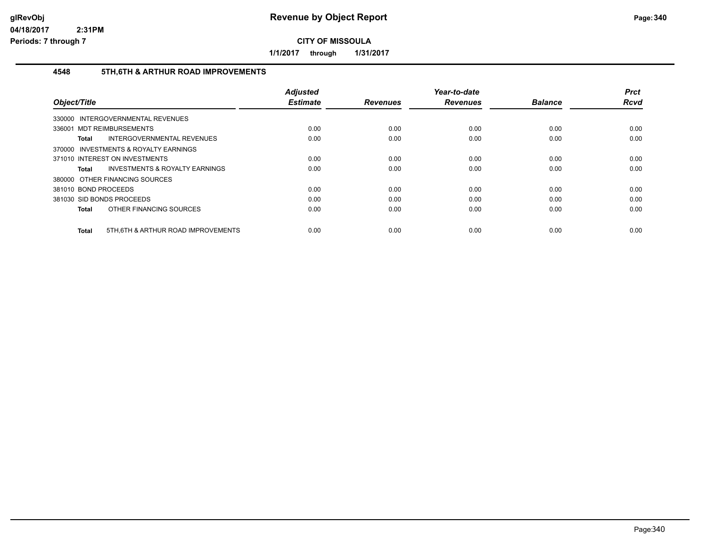**1/1/2017 through 1/31/2017**

#### **4548 5TH,6TH & ARTHUR ROAD IMPROVEMENTS**

|                                                     | <b>Adjusted</b> |                 | Year-to-date    |                | <b>Prct</b> |
|-----------------------------------------------------|-----------------|-----------------|-----------------|----------------|-------------|
| Object/Title                                        | <b>Estimate</b> | <b>Revenues</b> | <b>Revenues</b> | <b>Balance</b> | <b>Rcvd</b> |
| INTERGOVERNMENTAL REVENUES<br>330000                |                 |                 |                 |                |             |
| 336001 MDT REIMBURSEMENTS                           | 0.00            | 0.00            | 0.00            | 0.00           | 0.00        |
| INTERGOVERNMENTAL REVENUES<br><b>Total</b>          | 0.00            | 0.00            | 0.00            | 0.00           | 0.00        |
| 370000 INVESTMENTS & ROYALTY EARNINGS               |                 |                 |                 |                |             |
| 371010 INTEREST ON INVESTMENTS                      | 0.00            | 0.00            | 0.00            | 0.00           | 0.00        |
| INVESTMENTS & ROYALTY EARNINGS<br>Total             | 0.00            | 0.00            | 0.00            | 0.00           | 0.00        |
| 380000 OTHER FINANCING SOURCES                      |                 |                 |                 |                |             |
| 381010 BOND PROCEEDS                                | 0.00            | 0.00            | 0.00            | 0.00           | 0.00        |
| 381030 SID BONDS PROCEEDS                           | 0.00            | 0.00            | 0.00            | 0.00           | 0.00        |
| OTHER FINANCING SOURCES<br>Total                    | 0.00            | 0.00            | 0.00            | 0.00           | 0.00        |
| 5TH, 6TH & ARTHUR ROAD IMPROVEMENTS<br><b>Total</b> | 0.00            | 0.00            | 0.00            | 0.00           | 0.00        |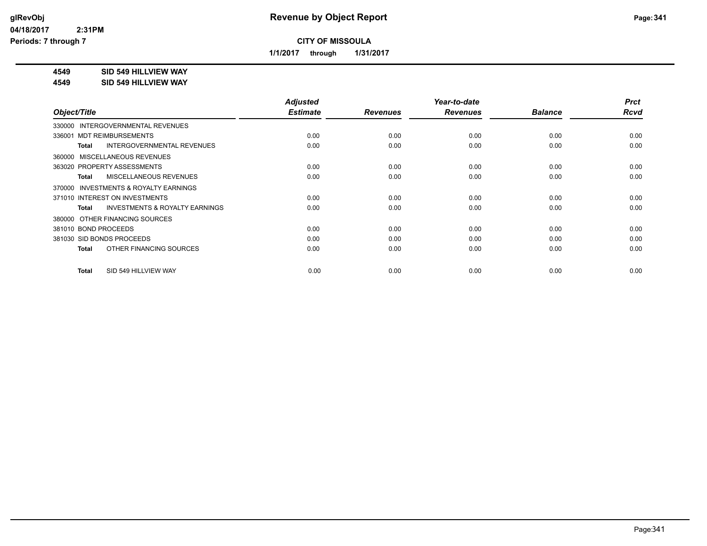**1/1/2017 through 1/31/2017**

**4549 SID 549 HILLVIEW WAY**

**4549 SID 549 HILLVIEW WAY**

|                                                    | <b>Adjusted</b> |                 | Year-to-date    |                | <b>Prct</b> |
|----------------------------------------------------|-----------------|-----------------|-----------------|----------------|-------------|
| Object/Title                                       | <b>Estimate</b> | <b>Revenues</b> | <b>Revenues</b> | <b>Balance</b> | <b>Rcvd</b> |
| 330000 INTERGOVERNMENTAL REVENUES                  |                 |                 |                 |                |             |
| <b>MDT REIMBURSEMENTS</b><br>336001                | 0.00            | 0.00            | 0.00            | 0.00           | 0.00        |
| <b>INTERGOVERNMENTAL REVENUES</b><br>Total         | 0.00            | 0.00            | 0.00            | 0.00           | 0.00        |
| 360000 MISCELLANEOUS REVENUES                      |                 |                 |                 |                |             |
| 363020 PROPERTY ASSESSMENTS                        | 0.00            | 0.00            | 0.00            | 0.00           | 0.00        |
| MISCELLANEOUS REVENUES<br>Total                    | 0.00            | 0.00            | 0.00            | 0.00           | 0.00        |
| 370000 INVESTMENTS & ROYALTY EARNINGS              |                 |                 |                 |                |             |
| 371010 INTEREST ON INVESTMENTS                     | 0.00            | 0.00            | 0.00            | 0.00           | 0.00        |
| <b>INVESTMENTS &amp; ROYALTY EARNINGS</b><br>Total | 0.00            | 0.00            | 0.00            | 0.00           | 0.00        |
| 380000 OTHER FINANCING SOURCES                     |                 |                 |                 |                |             |
| 381010 BOND PROCEEDS                               | 0.00            | 0.00            | 0.00            | 0.00           | 0.00        |
| 381030 SID BONDS PROCEEDS                          | 0.00            | 0.00            | 0.00            | 0.00           | 0.00        |
| OTHER FINANCING SOURCES<br>Total                   | 0.00            | 0.00            | 0.00            | 0.00           | 0.00        |
| SID 549 HILLVIEW WAY<br>Total                      | 0.00            | 0.00            | 0.00            | 0.00           | 0.00        |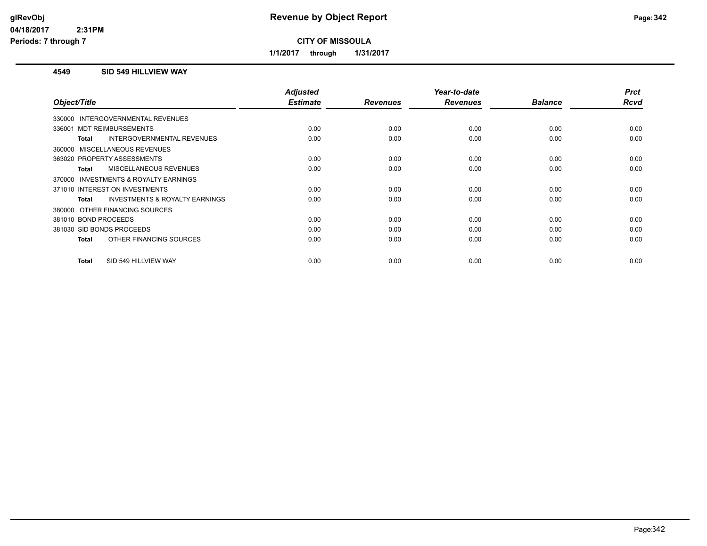**1/1/2017 through 1/31/2017**

#### **4549 SID 549 HILLVIEW WAY**

|                                                | <b>Adjusted</b> |                 | Year-to-date    |                | <b>Prct</b> |
|------------------------------------------------|-----------------|-----------------|-----------------|----------------|-------------|
| Object/Title                                   | <b>Estimate</b> | <b>Revenues</b> | <b>Revenues</b> | <b>Balance</b> | <b>Rcvd</b> |
| INTERGOVERNMENTAL REVENUES<br>330000           |                 |                 |                 |                |             |
| 336001 MDT REIMBURSEMENTS                      | 0.00            | 0.00            | 0.00            | 0.00           | 0.00        |
| INTERGOVERNMENTAL REVENUES<br><b>Total</b>     | 0.00            | 0.00            | 0.00            | 0.00           | 0.00        |
| 360000 MISCELLANEOUS REVENUES                  |                 |                 |                 |                |             |
| 363020 PROPERTY ASSESSMENTS                    | 0.00            | 0.00            | 0.00            | 0.00           | 0.00        |
| <b>MISCELLANEOUS REVENUES</b><br>Total         | 0.00            | 0.00            | 0.00            | 0.00           | 0.00        |
| 370000 INVESTMENTS & ROYALTY EARNINGS          |                 |                 |                 |                |             |
| 371010 INTEREST ON INVESTMENTS                 | 0.00            | 0.00            | 0.00            | 0.00           | 0.00        |
| INVESTMENTS & ROYALTY EARNINGS<br><b>Total</b> | 0.00            | 0.00            | 0.00            | 0.00           | 0.00        |
| 380000 OTHER FINANCING SOURCES                 |                 |                 |                 |                |             |
| 381010 BOND PROCEEDS                           | 0.00            | 0.00            | 0.00            | 0.00           | 0.00        |
| 381030 SID BONDS PROCEEDS                      | 0.00            | 0.00            | 0.00            | 0.00           | 0.00        |
| OTHER FINANCING SOURCES<br>Total               | 0.00            | 0.00            | 0.00            | 0.00           | 0.00        |
|                                                |                 |                 |                 |                |             |
| SID 549 HILLVIEW WAY<br><b>Total</b>           | 0.00            | 0.00            | 0.00            | 0.00           | 0.00        |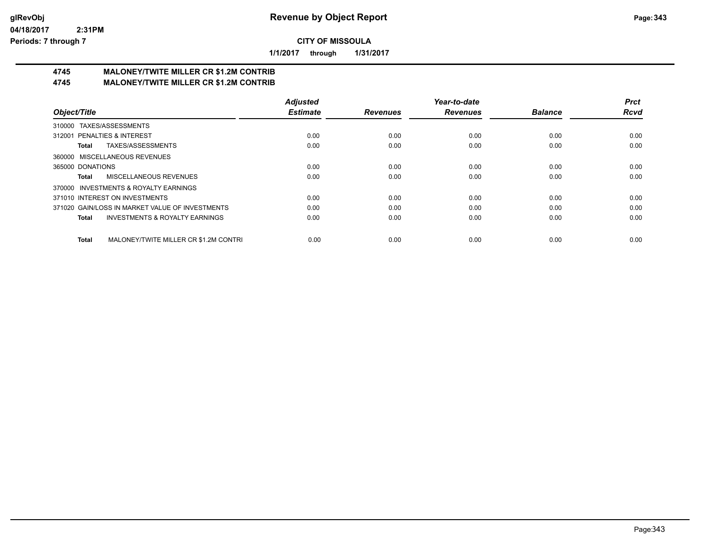**1/1/2017 through 1/31/2017**

# **4745 MALONEY/TWITE MILLER CR \$1.2M CONTRIB 4745 MALONEY/TWITE MILLER CR \$1.2M CONTRIB**

| Object/Title                                          | <b>Adjusted</b><br><b>Estimate</b> | <b>Revenues</b> | Year-to-date<br><b>Revenues</b> | <b>Balance</b> | <b>Prct</b><br><b>Rcvd</b> |
|-------------------------------------------------------|------------------------------------|-----------------|---------------------------------|----------------|----------------------------|
| 310000 TAXES/ASSESSMENTS                              |                                    |                 |                                 |                |                            |
| <b>PENALTIES &amp; INTEREST</b><br>312001             | 0.00                               | 0.00            | 0.00                            | 0.00           | 0.00                       |
| TAXES/ASSESSMENTS<br>Total                            | 0.00                               | 0.00            | 0.00                            | 0.00           | 0.00                       |
| 360000 MISCELLANEOUS REVENUES                         |                                    |                 |                                 |                |                            |
| 365000 DONATIONS                                      | 0.00                               | 0.00            | 0.00                            | 0.00           | 0.00                       |
| MISCELLANEOUS REVENUES<br>Total                       | 0.00                               | 0.00            | 0.00                            | 0.00           | 0.00                       |
| INVESTMENTS & ROYALTY EARNINGS<br>370000              |                                    |                 |                                 |                |                            |
| 371010 INTEREST ON INVESTMENTS                        | 0.00                               | 0.00            | 0.00                            | 0.00           | 0.00                       |
| 371020 GAIN/LOSS IN MARKET VALUE OF INVESTMENTS       | 0.00                               | 0.00            | 0.00                            | 0.00           | 0.00                       |
| INVESTMENTS & ROYALTY EARNINGS<br>Total               | 0.00                               | 0.00            | 0.00                            | 0.00           | 0.00                       |
| MALONEY/TWITE MILLER CR \$1.2M CONTRI<br><b>Total</b> | 0.00                               | 0.00            | 0.00                            | 0.00           | 0.00                       |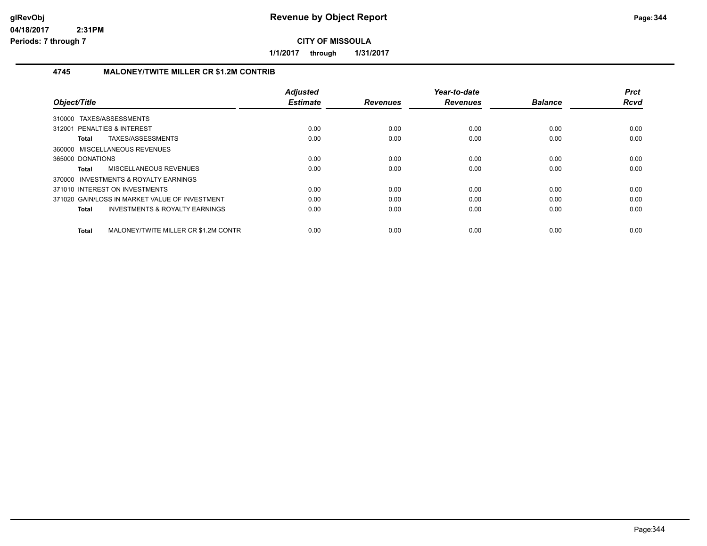**1/1/2017 through 1/31/2017**

#### **4745 MALONEY/TWITE MILLER CR \$1.2M CONTRIB**

|                                                           | <b>Adjusted</b> |                 | Year-to-date    |                | <b>Prct</b> |
|-----------------------------------------------------------|-----------------|-----------------|-----------------|----------------|-------------|
| Object/Title                                              | <b>Estimate</b> | <b>Revenues</b> | <b>Revenues</b> | <b>Balance</b> | <b>Rcvd</b> |
| 310000 TAXES/ASSESSMENTS                                  |                 |                 |                 |                |             |
| 312001 PENALTIES & INTEREST                               | 0.00            | 0.00            | 0.00            | 0.00           | 0.00        |
| TAXES/ASSESSMENTS<br>Total                                | 0.00            | 0.00            | 0.00            | 0.00           | 0.00        |
| 360000 MISCELLANEOUS REVENUES                             |                 |                 |                 |                |             |
| 365000 DONATIONS                                          | 0.00            | 0.00            | 0.00            | 0.00           | 0.00        |
| MISCELLANEOUS REVENUES<br>Total                           | 0.00            | 0.00            | 0.00            | 0.00           | 0.00        |
| 370000 INVESTMENTS & ROYALTY EARNINGS                     |                 |                 |                 |                |             |
| 371010 INTEREST ON INVESTMENTS                            | 0.00            | 0.00            | 0.00            | 0.00           | 0.00        |
| 371020 GAIN/LOSS IN MARKET VALUE OF INVESTMENT            | 0.00            | 0.00            | 0.00            | 0.00           | 0.00        |
| <b>INVESTMENTS &amp; ROYALTY EARNINGS</b><br><b>Total</b> | 0.00            | 0.00            | 0.00            | 0.00           | 0.00        |
| <b>Total</b><br>MALONEY/TWITE MILLER CR \$1.2M CONTR      | 0.00            | 0.00            | 0.00            | 0.00           | 0.00        |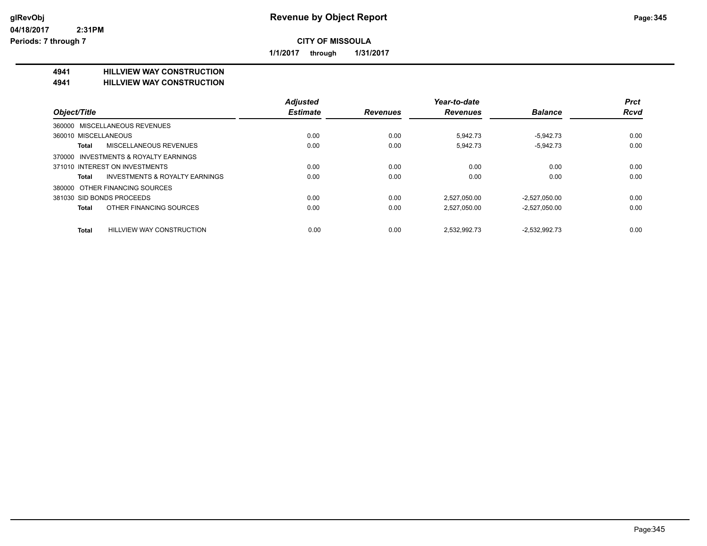**1/1/2017 through 1/31/2017**

**4941 HILLVIEW WAY CONSTRUCTION**

**4941 HILLVIEW WAY CONSTRUCTION**

|                                           | <b>Adjusted</b> |                 | Year-to-date    |                 | <b>Prct</b> |
|-------------------------------------------|-----------------|-----------------|-----------------|-----------------|-------------|
| Object/Title                              | <b>Estimate</b> | <b>Revenues</b> | <b>Revenues</b> | <b>Balance</b>  | <b>Rcvd</b> |
| 360000 MISCELLANEOUS REVENUES             |                 |                 |                 |                 |             |
| 360010 MISCELLANEOUS                      | 0.00            | 0.00            | 5.942.73        | $-5.942.73$     | 0.00        |
| MISCELLANEOUS REVENUES<br>Total           | 0.00            | 0.00            | 5.942.73        | $-5.942.73$     | 0.00        |
| 370000 INVESTMENTS & ROYALTY EARNINGS     |                 |                 |                 |                 |             |
| 371010 INTEREST ON INVESTMENTS            | 0.00            | 0.00            | 0.00            | 0.00            | 0.00        |
| INVESTMENTS & ROYALTY EARNINGS<br>Total   | 0.00            | 0.00            | 0.00            | 0.00            | 0.00        |
| 380000 OTHER FINANCING SOURCES            |                 |                 |                 |                 |             |
| 381030 SID BONDS PROCEEDS                 | 0.00            | 0.00            | 2.527.050.00    | $-2.527.050.00$ | 0.00        |
| OTHER FINANCING SOURCES<br>Total          | 0.00            | 0.00            | 2.527.050.00    | $-2.527.050.00$ | 0.00        |
|                                           |                 |                 |                 |                 |             |
| HILLVIEW WAY CONSTRUCTION<br><b>Total</b> | 0.00            | 0.00            | 2.532.992.73    | $-2.532.992.73$ | 0.00        |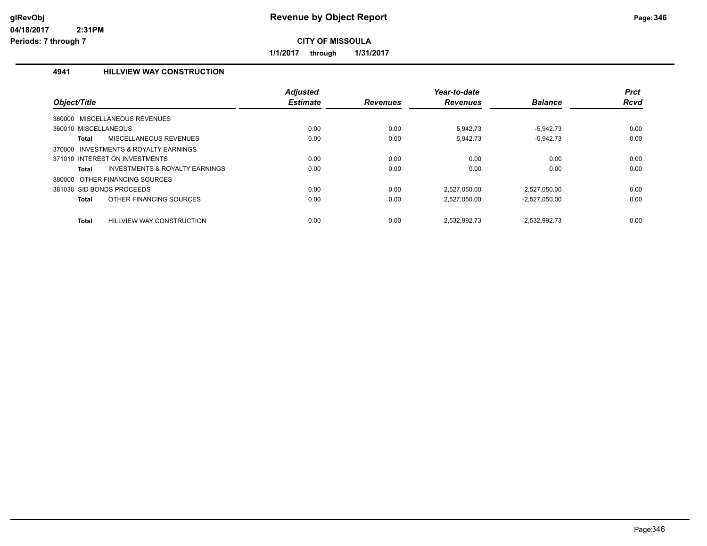**1/1/2017 through 1/31/2017**

#### **4941 HILLVIEW WAY CONSTRUCTION**

|                                                     | <b>Adjusted</b> |                 | Year-to-date    |                 | <b>Prct</b> |
|-----------------------------------------------------|-----------------|-----------------|-----------------|-----------------|-------------|
| Object/Title                                        | <b>Estimate</b> | <b>Revenues</b> | <b>Revenues</b> | <b>Balance</b>  | <b>Rcvd</b> |
| MISCELLANEOUS REVENUES<br>360000                    |                 |                 |                 |                 |             |
| 360010 MISCELLANEOUS                                | 0.00            | 0.00            | 5.942.73        | $-5.942.73$     | 0.00        |
| <b>MISCELLANEOUS REVENUES</b><br>Total              | 0.00            | 0.00            | 5.942.73        | $-5.942.73$     | 0.00        |
| <b>INVESTMENTS &amp; ROYALTY EARNINGS</b><br>370000 |                 |                 |                 |                 |             |
| 371010 INTEREST ON INVESTMENTS                      | 0.00            | 0.00            | 0.00            | 0.00            | 0.00        |
| <b>INVESTMENTS &amp; ROYALTY EARNINGS</b><br>Total  | 0.00            | 0.00            | 0.00            | 0.00            | 0.00        |
| OTHER FINANCING SOURCES<br>380000                   |                 |                 |                 |                 |             |
| 381030 SID BONDS PROCEEDS                           | 0.00            | 0.00            | 2.527.050.00    | $-2.527.050.00$ | 0.00        |
| OTHER FINANCING SOURCES<br>Total                    | 0.00            | 0.00            | 2,527,050.00    | $-2,527,050.00$ | 0.00        |
| <b>HILLVIEW WAY CONSTRUCTION</b><br><b>Total</b>    | 0.00            | 0.00            | 2.532.992.73    | $-2.532.992.73$ | 0.00        |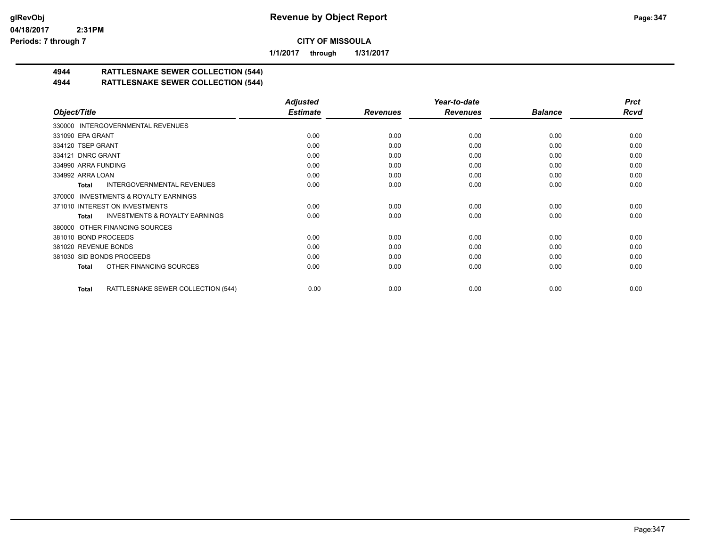**1/1/2017 through 1/31/2017**

# **4944 RATTLESNAKE SEWER COLLECTION (544) 4944 RATTLESNAKE SEWER COLLECTION (544)**

|                                                     | <b>Adjusted</b> |                 | Year-to-date    |                | <b>Prct</b> |
|-----------------------------------------------------|-----------------|-----------------|-----------------|----------------|-------------|
| Object/Title                                        | <b>Estimate</b> | <b>Revenues</b> | <b>Revenues</b> | <b>Balance</b> | <b>Rcvd</b> |
| 330000 INTERGOVERNMENTAL REVENUES                   |                 |                 |                 |                |             |
| 331090 EPA GRANT                                    | 0.00            | 0.00            | 0.00            | 0.00           | 0.00        |
| 334120 TSEP GRANT                                   | 0.00            | 0.00            | 0.00            | 0.00           | 0.00        |
| 334121 DNRC GRANT                                   | 0.00            | 0.00            | 0.00            | 0.00           | 0.00        |
| 334990 ARRA FUNDING                                 | 0.00            | 0.00            | 0.00            | 0.00           | 0.00        |
| 334992 ARRA LOAN                                    | 0.00            | 0.00            | 0.00            | 0.00           | 0.00        |
| INTERGOVERNMENTAL REVENUES<br><b>Total</b>          | 0.00            | 0.00            | 0.00            | 0.00           | 0.00        |
| <b>INVESTMENTS &amp; ROYALTY EARNINGS</b><br>370000 |                 |                 |                 |                |             |
| 371010 INTEREST ON INVESTMENTS                      | 0.00            | 0.00            | 0.00            | 0.00           | 0.00        |
| <b>INVESTMENTS &amp; ROYALTY EARNINGS</b><br>Total  | 0.00            | 0.00            | 0.00            | 0.00           | 0.00        |
| 380000 OTHER FINANCING SOURCES                      |                 |                 |                 |                |             |
| 381010 BOND PROCEEDS                                | 0.00            | 0.00            | 0.00            | 0.00           | 0.00        |
| 381020 REVENUE BONDS                                | 0.00            | 0.00            | 0.00            | 0.00           | 0.00        |
| 381030 SID BONDS PROCEEDS                           | 0.00            | 0.00            | 0.00            | 0.00           | 0.00        |
| OTHER FINANCING SOURCES<br>Total                    | 0.00            | 0.00            | 0.00            | 0.00           | 0.00        |
| RATTLESNAKE SEWER COLLECTION (544)<br>Total         | 0.00            | 0.00            | 0.00            | 0.00           | 0.00        |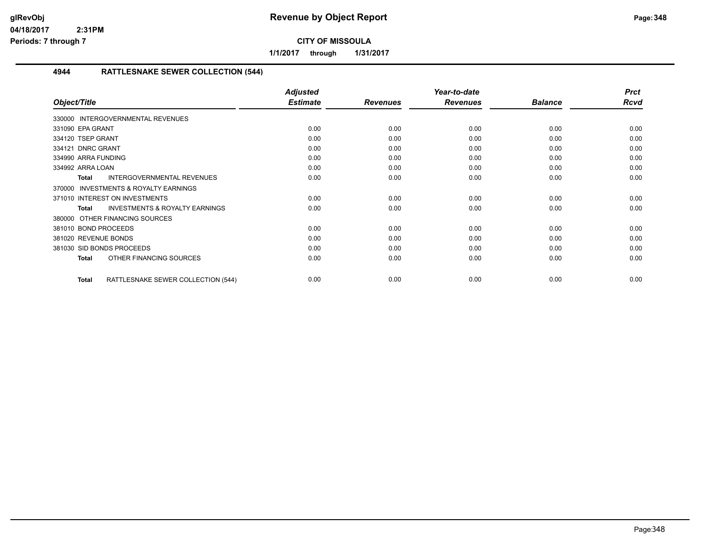**1/1/2017 through 1/31/2017**

# **4944 RATTLESNAKE SEWER COLLECTION (544)**

|                                                     | <b>Adjusted</b> |                 | Year-to-date    |                | <b>Prct</b> |
|-----------------------------------------------------|-----------------|-----------------|-----------------|----------------|-------------|
| Object/Title                                        | <b>Estimate</b> | <b>Revenues</b> | <b>Revenues</b> | <b>Balance</b> | <b>Rcvd</b> |
| 330000 INTERGOVERNMENTAL REVENUES                   |                 |                 |                 |                |             |
| 331090 EPA GRANT                                    | 0.00            | 0.00            | 0.00            | 0.00           | 0.00        |
| 334120 TSEP GRANT                                   | 0.00            | 0.00            | 0.00            | 0.00           | 0.00        |
| 334121 DNRC GRANT                                   | 0.00            | 0.00            | 0.00            | 0.00           | 0.00        |
| 334990 ARRA FUNDING                                 | 0.00            | 0.00            | 0.00            | 0.00           | 0.00        |
| 334992 ARRA LOAN                                    | 0.00            | 0.00            | 0.00            | 0.00           | 0.00        |
| <b>INTERGOVERNMENTAL REVENUES</b><br><b>Total</b>   | 0.00            | 0.00            | 0.00            | 0.00           | 0.00        |
| <b>INVESTMENTS &amp; ROYALTY EARNINGS</b><br>370000 |                 |                 |                 |                |             |
| 371010 INTEREST ON INVESTMENTS                      | 0.00            | 0.00            | 0.00            | 0.00           | 0.00        |
| <b>INVESTMENTS &amp; ROYALTY EARNINGS</b><br>Total  | 0.00            | 0.00            | 0.00            | 0.00           | 0.00        |
| 380000 OTHER FINANCING SOURCES                      |                 |                 |                 |                |             |
| 381010 BOND PROCEEDS                                | 0.00            | 0.00            | 0.00            | 0.00           | 0.00        |
| 381020 REVENUE BONDS                                | 0.00            | 0.00            | 0.00            | 0.00           | 0.00        |
| 381030 SID BONDS PROCEEDS                           | 0.00            | 0.00            | 0.00            | 0.00           | 0.00        |
| OTHER FINANCING SOURCES<br>Total                    | 0.00            | 0.00            | 0.00            | 0.00           | 0.00        |
|                                                     |                 |                 |                 |                |             |
| RATTLESNAKE SEWER COLLECTION (544)<br>Total         | 0.00            | 0.00            | 0.00            | 0.00           | 0.00        |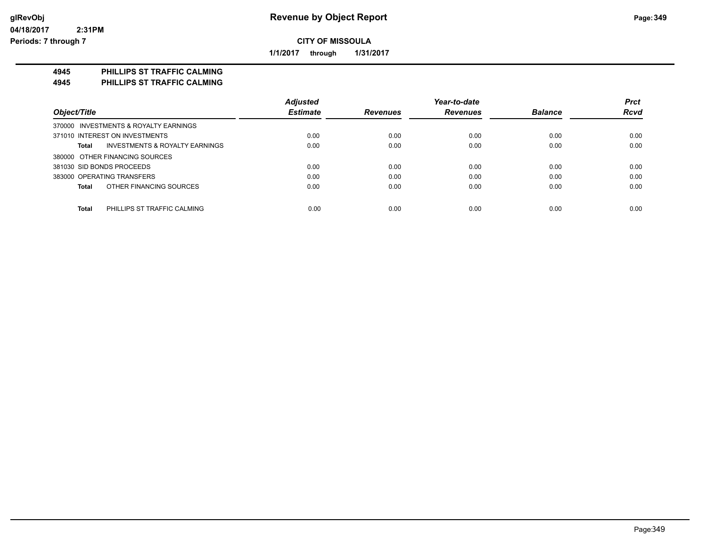**1/1/2017 through 1/31/2017**

# **4945 PHILLIPS ST TRAFFIC CALMING**

# **4945 PHILLIPS ST TRAFFIC CALMING**

|                                             | <b>Adjusted</b> |                 | Year-to-date    |                | <b>Prct</b> |
|---------------------------------------------|-----------------|-----------------|-----------------|----------------|-------------|
| Object/Title                                | <b>Estimate</b> | <b>Revenues</b> | <b>Revenues</b> | <b>Balance</b> | <b>Rcvd</b> |
| 370000 INVESTMENTS & ROYALTY EARNINGS       |                 |                 |                 |                |             |
| 371010 INTEREST ON INVESTMENTS              | 0.00            | 0.00            | 0.00            | 0.00           | 0.00        |
| INVESTMENTS & ROYALTY EARNINGS<br>Total     | 0.00            | 0.00            | 0.00            | 0.00           | 0.00        |
| 380000 OTHER FINANCING SOURCES              |                 |                 |                 |                |             |
| 381030 SID BONDS PROCEEDS                   | 0.00            | 0.00            | 0.00            | 0.00           | 0.00        |
| 383000 OPERATING TRANSFERS                  | 0.00            | 0.00            | 0.00            | 0.00           | 0.00        |
| OTHER FINANCING SOURCES<br>Total            | 0.00            | 0.00            | 0.00            | 0.00           | 0.00        |
|                                             |                 |                 |                 |                |             |
| <b>Total</b><br>PHILLIPS ST TRAFFIC CALMING | 0.00            | 0.00            | 0.00            | 0.00           | 0.00        |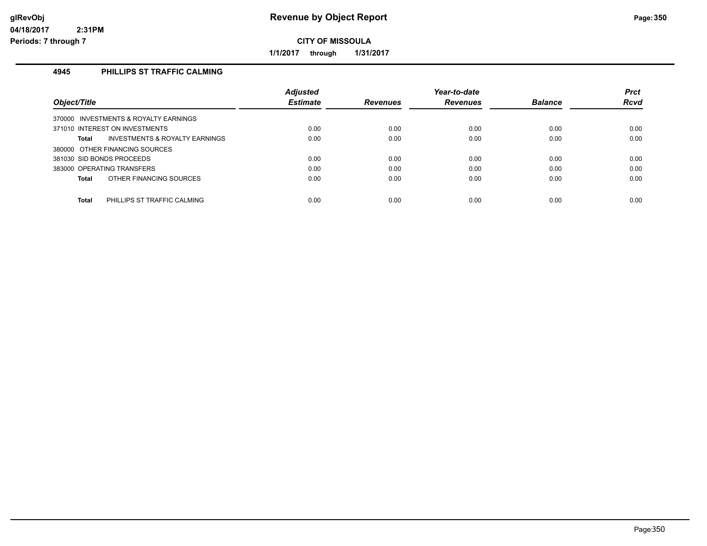**1/1/2017 through 1/31/2017**

#### **4945 PHILLIPS ST TRAFFIC CALMING**

|                                             | <b>Adjusted</b> |                 | Year-to-date    |                | <b>Prct</b> |
|---------------------------------------------|-----------------|-----------------|-----------------|----------------|-------------|
| Object/Title                                | <b>Estimate</b> | <b>Revenues</b> | <b>Revenues</b> | <b>Balance</b> | <b>Rcvd</b> |
| 370000 INVESTMENTS & ROYALTY EARNINGS       |                 |                 |                 |                |             |
| 371010 INTEREST ON INVESTMENTS              | 0.00            | 0.00            | 0.00            | 0.00           | 0.00        |
| INVESTMENTS & ROYALTY EARNINGS<br>Total     | 0.00            | 0.00            | 0.00            | 0.00           | 0.00        |
| 380000 OTHER FINANCING SOURCES              |                 |                 |                 |                |             |
| 381030 SID BONDS PROCEEDS                   | 0.00            | 0.00            | 0.00            | 0.00           | 0.00        |
| 383000 OPERATING TRANSFERS                  | 0.00            | 0.00            | 0.00            | 0.00           | 0.00        |
| OTHER FINANCING SOURCES<br>Total            | 0.00            | 0.00            | 0.00            | 0.00           | 0.00        |
| <b>Total</b><br>PHILLIPS ST TRAFFIC CALMING | 0.00            | 0.00            | 0.00            | 0.00           | 0.00        |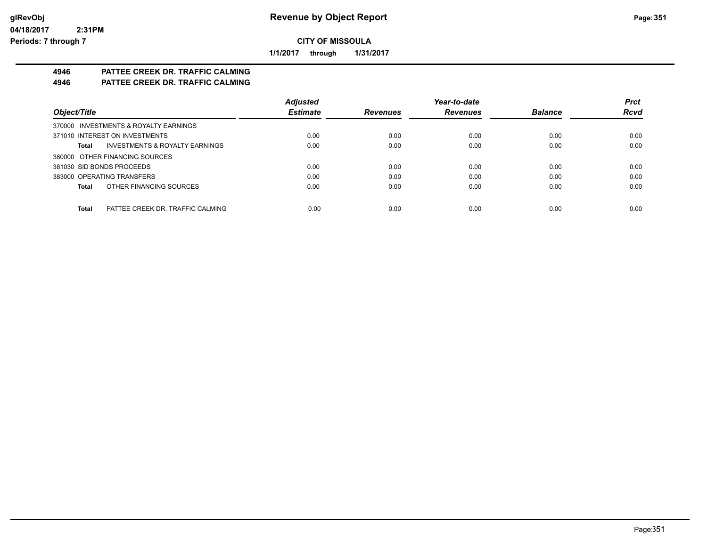**1/1/2017 through 1/31/2017**

# **4946 PATTEE CREEK DR. TRAFFIC CALMING 4946 PATTEE CREEK DR. TRAFFIC CALMING**

|                                                  | <b>Adjusted</b> |                 | Year-to-date    |                | <b>Prct</b> |
|--------------------------------------------------|-----------------|-----------------|-----------------|----------------|-------------|
| Object/Title                                     | <b>Estimate</b> | <b>Revenues</b> | <b>Revenues</b> | <b>Balance</b> | <b>Rcvd</b> |
| 370000 INVESTMENTS & ROYALTY EARNINGS            |                 |                 |                 |                |             |
| 371010 INTEREST ON INVESTMENTS                   | 0.00            | 0.00            | 0.00            | 0.00           | 0.00        |
| INVESTMENTS & ROYALTY EARNINGS<br>Total          | 0.00            | 0.00            | 0.00            | 0.00           | 0.00        |
| 380000 OTHER FINANCING SOURCES                   |                 |                 |                 |                |             |
| 381030 SID BONDS PROCEEDS                        | 0.00            | 0.00            | 0.00            | 0.00           | 0.00        |
| 383000 OPERATING TRANSFERS                       | 0.00            | 0.00            | 0.00            | 0.00           | 0.00        |
| OTHER FINANCING SOURCES<br>Total                 | 0.00            | 0.00            | 0.00            | 0.00           | 0.00        |
|                                                  |                 |                 |                 |                |             |
| <b>Total</b><br>PATTEE CREEK DR. TRAFFIC CALMING | 0.00            | 0.00            | 0.00            | 0.00           | 0.00        |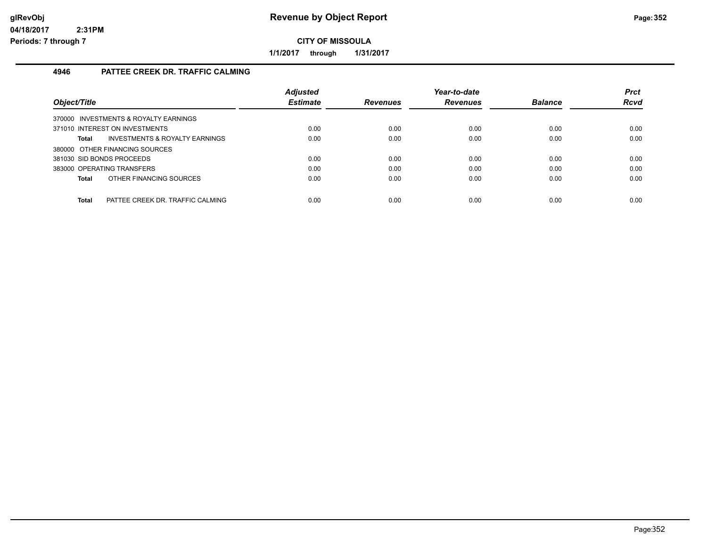**1/1/2017 through 1/31/2017**

# **4946 PATTEE CREEK DR. TRAFFIC CALMING**

|                                                  | <b>Adjusted</b> |                 | Year-to-date    |                | <b>Prct</b> |
|--------------------------------------------------|-----------------|-----------------|-----------------|----------------|-------------|
| Object/Title                                     | <b>Estimate</b> | <b>Revenues</b> | <b>Revenues</b> | <b>Balance</b> | <b>Rcvd</b> |
| 370000 INVESTMENTS & ROYALTY EARNINGS            |                 |                 |                 |                |             |
| 371010 INTEREST ON INVESTMENTS                   | 0.00            | 0.00            | 0.00            | 0.00           | 0.00        |
| INVESTMENTS & ROYALTY EARNINGS<br>Total          | 0.00            | 0.00            | 0.00            | 0.00           | 0.00        |
| 380000 OTHER FINANCING SOURCES                   |                 |                 |                 |                |             |
| 381030 SID BONDS PROCEEDS                        | 0.00            | 0.00            | 0.00            | 0.00           | 0.00        |
| 383000 OPERATING TRANSFERS                       | 0.00            | 0.00            | 0.00            | 0.00           | 0.00        |
| OTHER FINANCING SOURCES<br>Total                 | 0.00            | 0.00            | 0.00            | 0.00           | 0.00        |
|                                                  |                 |                 |                 |                |             |
| <b>Total</b><br>PATTEE CREEK DR. TRAFFIC CALMING | 0.00            | 0.00            | 0.00            | 0.00           | 0.00        |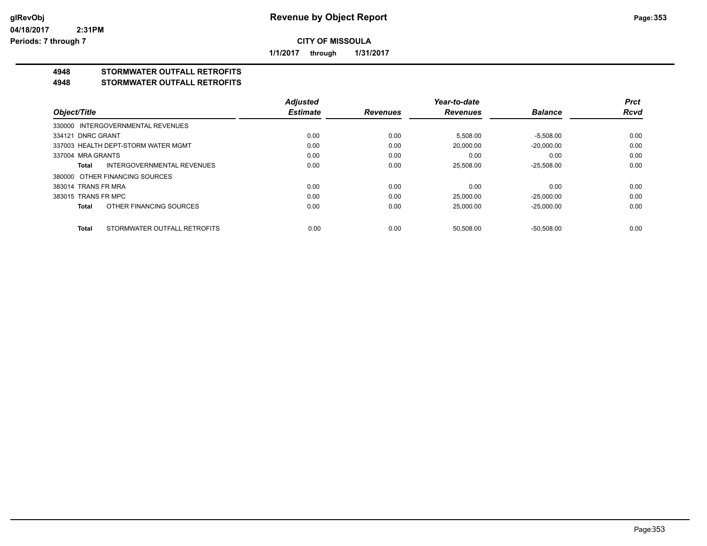**1/1/2017 through 1/31/2017**

# **4948 STORMWATER OUTFALL RETROFITS 4948 STORMWATER OUTFALL RETROFITS**

|                                              | <b>Adjusted</b> |                 | Year-to-date    |                | <b>Prct</b> |
|----------------------------------------------|-----------------|-----------------|-----------------|----------------|-------------|
| Object/Title                                 | <b>Estimate</b> | <b>Revenues</b> | <b>Revenues</b> | <b>Balance</b> | <b>Rcvd</b> |
| 330000 INTERGOVERNMENTAL REVENUES            |                 |                 |                 |                |             |
| 334121 DNRC GRANT                            | 0.00            | 0.00            | 5.508.00        | $-5,508.00$    | 0.00        |
| 337003 HEALTH DEPT-STORM WATER MGMT          | 0.00            | 0.00            | 20,000.00       | $-20,000.00$   | 0.00        |
| 337004 MRA GRANTS                            | 0.00            | 0.00            | 0.00            | 0.00           | 0.00        |
| INTERGOVERNMENTAL REVENUES<br>Total          | 0.00            | 0.00            | 25.508.00       | $-25,508.00$   | 0.00        |
| 380000 OTHER FINANCING SOURCES               |                 |                 |                 |                |             |
| 383014 TRANS FR MRA                          | 0.00            | 0.00            | 0.00            | 0.00           | 0.00        |
| 383015 TRANS FR MPC                          | 0.00            | 0.00            | 25.000.00       | $-25.000.00$   | 0.00        |
| OTHER FINANCING SOURCES<br><b>Total</b>      | 0.00            | 0.00            | 25.000.00       | $-25.000.00$   | 0.00        |
|                                              |                 |                 |                 |                |             |
| STORMWATER OUTFALL RETROFITS<br><b>Total</b> | 0.00            | 0.00            | 50.508.00       | $-50.508.00$   | 0.00        |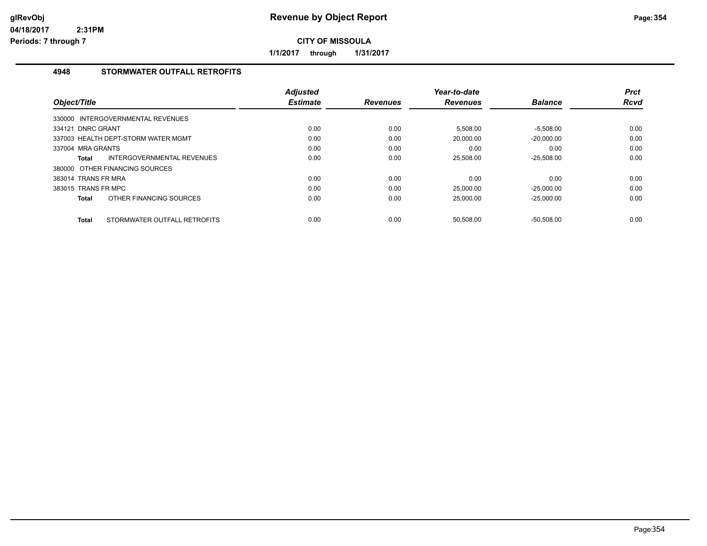**1/1/2017 through 1/31/2017**

# **4948 STORMWATER OUTFALL RETROFITS**

| Object/Title                                 | <b>Adjusted</b><br><b>Estimate</b> | <b>Revenues</b> | Year-to-date<br><b>Revenues</b> | <b>Balance</b> | <b>Prct</b><br><b>Rcvd</b> |
|----------------------------------------------|------------------------------------|-----------------|---------------------------------|----------------|----------------------------|
| INTERGOVERNMENTAL REVENUES<br>330000         |                                    |                 |                                 |                |                            |
| 334121 DNRC GRANT                            | 0.00                               | 0.00            | 5,508.00                        | $-5,508.00$    | 0.00                       |
| 337003 HEALTH DEPT-STORM WATER MGMT          | 0.00                               | 0.00            | 20,000.00                       | $-20,000.00$   | 0.00                       |
| 337004 MRA GRANTS                            | 0.00                               | 0.00            | 0.00                            | 0.00           | 0.00                       |
| INTERGOVERNMENTAL REVENUES<br>Total          | 0.00                               | 0.00            | 25,508.00                       | $-25,508.00$   | 0.00                       |
| 380000 OTHER FINANCING SOURCES               |                                    |                 |                                 |                |                            |
| 383014 TRANS FR MRA                          | 0.00                               | 0.00            | 0.00                            | 0.00           | 0.00                       |
| 383015 TRANS FR MPC                          | 0.00                               | 0.00            | 25.000.00                       | $-25.000.00$   | 0.00                       |
| OTHER FINANCING SOURCES<br>Total             | 0.00                               | 0.00            | 25,000.00                       | $-25,000.00$   | 0.00                       |
| STORMWATER OUTFALL RETROFITS<br><b>Total</b> | 0.00                               | 0.00            | 50.508.00                       | $-50.508.00$   | 0.00                       |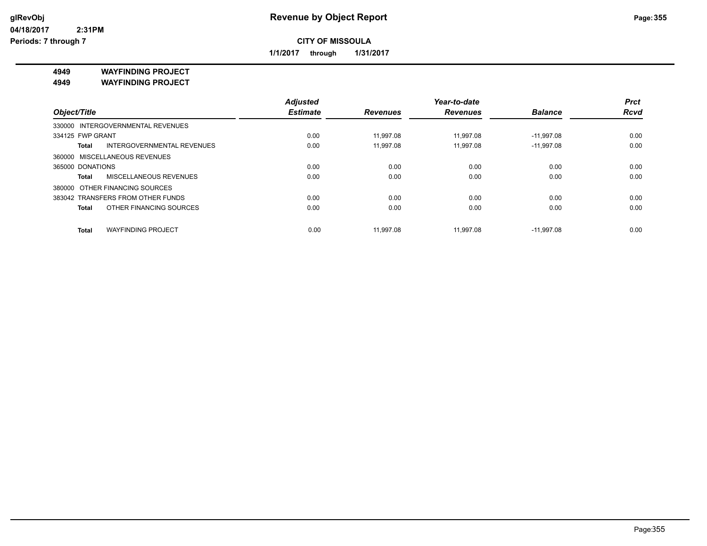**1/1/2017 through 1/31/2017**

**4949 WAYFINDING PROJECT 4949 WAYFINDING PROJECT**

|                                           | <b>Adjusted</b> |                 | Year-to-date    |                | <b>Prct</b> |
|-------------------------------------------|-----------------|-----------------|-----------------|----------------|-------------|
| Object/Title                              | <b>Estimate</b> | <b>Revenues</b> | <b>Revenues</b> | <b>Balance</b> | <b>Rcvd</b> |
| 330000 INTERGOVERNMENTAL REVENUES         |                 |                 |                 |                |             |
| 334125 FWP GRANT                          | 0.00            | 11.997.08       | 11.997.08       | $-11.997.08$   | 0.00        |
| INTERGOVERNMENTAL REVENUES<br>Total       | 0.00            | 11,997.08       | 11,997.08       | $-11,997.08$   | 0.00        |
| 360000 MISCELLANEOUS REVENUES             |                 |                 |                 |                |             |
| 365000 DONATIONS                          | 0.00            | 0.00            | 0.00            | 0.00           | 0.00        |
| <b>MISCELLANEOUS REVENUES</b><br>Total    | 0.00            | 0.00            | 0.00            | 0.00           | 0.00        |
| 380000 OTHER FINANCING SOURCES            |                 |                 |                 |                |             |
| 383042 TRANSFERS FROM OTHER FUNDS         | 0.00            | 0.00            | 0.00            | 0.00           | 0.00        |
| OTHER FINANCING SOURCES<br>Total          | 0.00            | 0.00            | 0.00            | 0.00           | 0.00        |
|                                           |                 |                 |                 |                |             |
| <b>WAYFINDING PROJECT</b><br><b>Total</b> | 0.00            | 11.997.08       | 11.997.08       | $-11.997.08$   | 0.00        |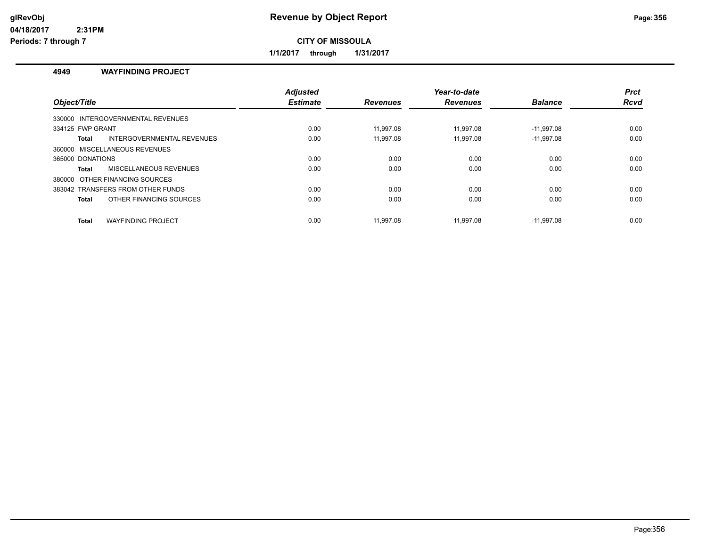**1/1/2017 through 1/31/2017**

#### **4949 WAYFINDING PROJECT**

| Object/Title                              | <b>Adjusted</b><br><b>Estimate</b> | <b>Revenues</b> | Year-to-date<br><b>Revenues</b> | <b>Balance</b> | <b>Prct</b><br>Rcvd |
|-------------------------------------------|------------------------------------|-----------------|---------------------------------|----------------|---------------------|
| 330000 INTERGOVERNMENTAL REVENUES         |                                    |                 |                                 |                |                     |
| 334125 FWP GRANT                          | 0.00                               | 11.997.08       | 11.997.08                       | $-11.997.08$   | 0.00                |
| INTERGOVERNMENTAL REVENUES<br>Total       | 0.00                               | 11,997.08       | 11.997.08                       | $-11,997.08$   | 0.00                |
| MISCELLANEOUS REVENUES<br>360000          |                                    |                 |                                 |                |                     |
| 365000 DONATIONS                          | 0.00                               | 0.00            | 0.00                            | 0.00           | 0.00                |
| MISCELLANEOUS REVENUES<br><b>Total</b>    | 0.00                               | 0.00            | 0.00                            | 0.00           | 0.00                |
| OTHER FINANCING SOURCES<br>380000         |                                    |                 |                                 |                |                     |
| 383042 TRANSFERS FROM OTHER FUNDS         | 0.00                               | 0.00            | 0.00                            | 0.00           | 0.00                |
| <b>Total</b><br>OTHER FINANCING SOURCES   | 0.00                               | 0.00            | 0.00                            | 0.00           | 0.00                |
| <b>WAYFINDING PROJECT</b><br><b>Total</b> | 0.00                               | 11.997.08       | 11.997.08                       | $-11.997.08$   | 0.00                |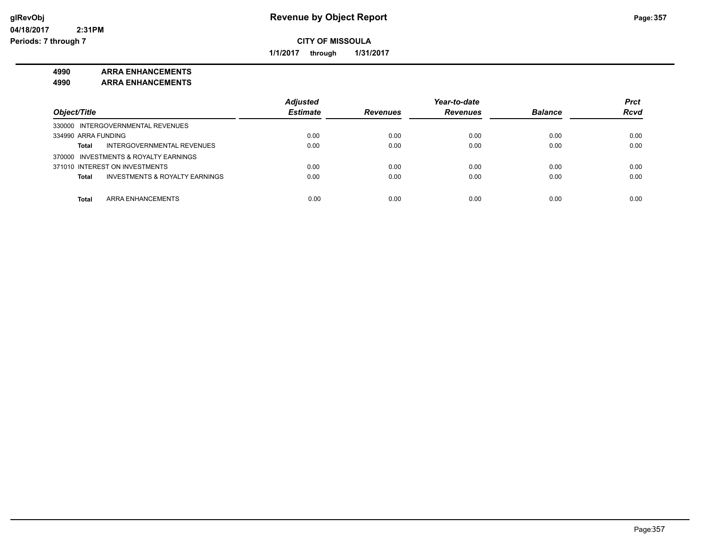**1/1/2017 through 1/31/2017**

**4990 ARRA ENHANCEMENTS 4990 ARRA ENHANCEMENTS**

|                                         | <b>Adjusted</b> |                 | Year-to-date    |                | <b>Prct</b> |
|-----------------------------------------|-----------------|-----------------|-----------------|----------------|-------------|
| Object/Title                            | <b>Estimate</b> | <b>Revenues</b> | <b>Revenues</b> | <b>Balance</b> | <b>Rcvd</b> |
| 330000 INTERGOVERNMENTAL REVENUES       |                 |                 |                 |                |             |
| 334990 ARRA FUNDING                     | 0.00            | 0.00            | 0.00            | 0.00           | 0.00        |
| INTERGOVERNMENTAL REVENUES<br>Total     | 0.00            | 0.00            | 0.00            | 0.00           | 0.00        |
| 370000 INVESTMENTS & ROYALTY EARNINGS   |                 |                 |                 |                |             |
| 371010 INTEREST ON INVESTMENTS          | 0.00            | 0.00            | 0.00            | 0.00           | 0.00        |
| INVESTMENTS & ROYALTY EARNINGS<br>Total | 0.00            | 0.00            | 0.00            | 0.00           | 0.00        |
|                                         |                 |                 |                 |                |             |
| <b>Total</b><br>ARRA ENHANCEMENTS       | 0.00            | 0.00            | 0.00            | 0.00           | 0.00        |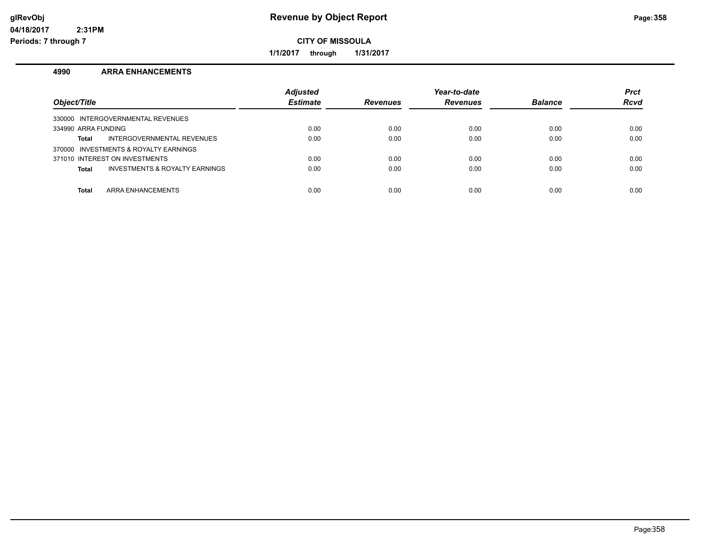**1/1/2017 through 1/31/2017**

#### **4990 ARRA ENHANCEMENTS**

|                                                           | <b>Adjusted</b> |                 | Year-to-date    |                |             |
|-----------------------------------------------------------|-----------------|-----------------|-----------------|----------------|-------------|
| Object/Title                                              | <b>Estimate</b> | <b>Revenues</b> | <b>Revenues</b> | <b>Balance</b> | <b>Rcvd</b> |
| 330000 INTERGOVERNMENTAL REVENUES                         |                 |                 |                 |                |             |
| 334990 ARRA FUNDING                                       | 0.00            | 0.00            | 0.00            | 0.00           | 0.00        |
| INTERGOVERNMENTAL REVENUES<br>Total                       | 0.00            | 0.00            | 0.00            | 0.00           | 0.00        |
| 370000 INVESTMENTS & ROYALTY EARNINGS                     |                 |                 |                 |                |             |
| 371010 INTEREST ON INVESTMENTS                            | 0.00            | 0.00            | 0.00            | 0.00           | 0.00        |
| <b>INVESTMENTS &amp; ROYALTY EARNINGS</b><br><b>Total</b> | 0.00            | 0.00            | 0.00            | 0.00           | 0.00        |
| <b>Total</b><br>ARRA ENHANCEMENTS                         | 0.00            | 0.00            | 0.00            | 0.00           | 0.00        |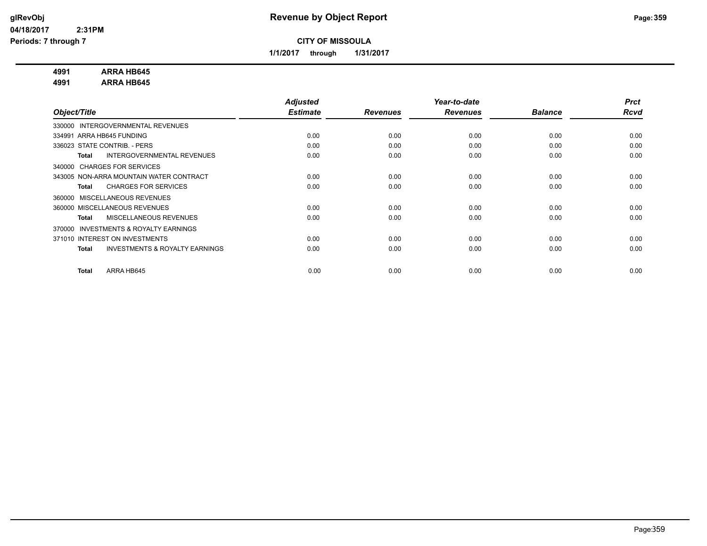**1/1/2017 through 1/31/2017**

# **4991 ARRA HB645**

**4991 ARRA HB645**

|                                                     | <b>Adjusted</b> |                 | Year-to-date    |                | <b>Prct</b> |
|-----------------------------------------------------|-----------------|-----------------|-----------------|----------------|-------------|
| Object/Title                                        | <b>Estimate</b> | <b>Revenues</b> | <b>Revenues</b> | <b>Balance</b> | <b>Rcvd</b> |
| INTERGOVERNMENTAL REVENUES<br>330000                |                 |                 |                 |                |             |
| 334991 ARRA HB645 FUNDING                           | 0.00            | 0.00            | 0.00            | 0.00           | 0.00        |
| 336023 STATE CONTRIB. - PERS                        | 0.00            | 0.00            | 0.00            | 0.00           | 0.00        |
| <b>INTERGOVERNMENTAL REVENUES</b><br>Total          | 0.00            | 0.00            | 0.00            | 0.00           | 0.00        |
| 340000 CHARGES FOR SERVICES                         |                 |                 |                 |                |             |
| 343005 NON-ARRA MOUNTAIN WATER CONTRACT             | 0.00            | 0.00            | 0.00            | 0.00           | 0.00        |
| <b>CHARGES FOR SERVICES</b><br>Total                | 0.00            | 0.00            | 0.00            | 0.00           | 0.00        |
| 360000 MISCELLANEOUS REVENUES                       |                 |                 |                 |                |             |
| 360000 MISCELLANEOUS REVENUES                       | 0.00            | 0.00            | 0.00            | 0.00           | 0.00        |
| MISCELLANEOUS REVENUES<br>Total                     | 0.00            | 0.00            | 0.00            | 0.00           | 0.00        |
| <b>INVESTMENTS &amp; ROYALTY EARNINGS</b><br>370000 |                 |                 |                 |                |             |
| 371010 INTEREST ON INVESTMENTS                      | 0.00            | 0.00            | 0.00            | 0.00           | 0.00        |
| <b>INVESTMENTS &amp; ROYALTY EARNINGS</b><br>Total  | 0.00            | 0.00            | 0.00            | 0.00           | 0.00        |
| ARRA HB645<br><b>Total</b>                          | 0.00            | 0.00            | 0.00            | 0.00           | 0.00        |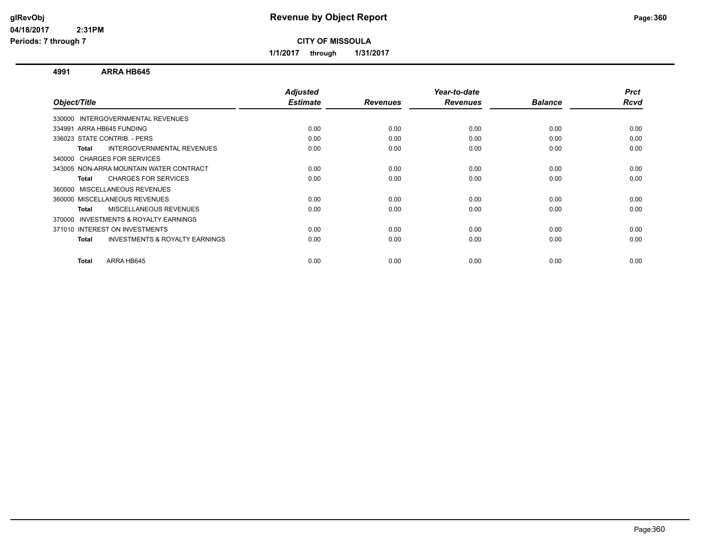**1/1/2017 through 1/31/2017**

#### **4991 ARRA HB645**

| Object/Title                                              | <b>Adjusted</b><br><b>Estimate</b> | <b>Revenues</b> | Year-to-date<br><b>Revenues</b> | <b>Balance</b> | <b>Prct</b><br><b>Rcvd</b> |
|-----------------------------------------------------------|------------------------------------|-----------------|---------------------------------|----------------|----------------------------|
|                                                           |                                    |                 |                                 |                |                            |
| 330000 INTERGOVERNMENTAL REVENUES                         |                                    |                 |                                 |                |                            |
| 334991 ARRA HB645 FUNDING                                 | 0.00                               | 0.00            | 0.00                            | 0.00           | 0.00                       |
| 336023 STATE CONTRIB. - PERS                              | 0.00                               | 0.00            | 0.00                            | 0.00           | 0.00                       |
| <b>INTERGOVERNMENTAL REVENUES</b><br><b>Total</b>         | 0.00                               | 0.00            | 0.00                            | 0.00           | 0.00                       |
| 340000 CHARGES FOR SERVICES                               |                                    |                 |                                 |                |                            |
| 343005 NON-ARRA MOUNTAIN WATER CONTRACT                   | 0.00                               | 0.00            | 0.00                            | 0.00           | 0.00                       |
| <b>CHARGES FOR SERVICES</b><br><b>Total</b>               | 0.00                               | 0.00            | 0.00                            | 0.00           | 0.00                       |
| 360000 MISCELLANEOUS REVENUES                             |                                    |                 |                                 |                |                            |
| 360000 MISCELLANEOUS REVENUES                             | 0.00                               | 0.00            | 0.00                            | 0.00           | 0.00                       |
| MISCELLANEOUS REVENUES<br><b>Total</b>                    | 0.00                               | 0.00            | 0.00                            | 0.00           | 0.00                       |
| 370000 INVESTMENTS & ROYALTY EARNINGS                     |                                    |                 |                                 |                |                            |
| 371010 INTEREST ON INVESTMENTS                            | 0.00                               | 0.00            | 0.00                            | 0.00           | 0.00                       |
| <b>INVESTMENTS &amp; ROYALTY EARNINGS</b><br><b>Total</b> | 0.00                               | 0.00            | 0.00                            | 0.00           | 0.00                       |
|                                                           |                                    |                 |                                 |                |                            |
| ARRA HB645<br><b>Total</b>                                | 0.00                               | 0.00            | 0.00                            | 0.00           | 0.00                       |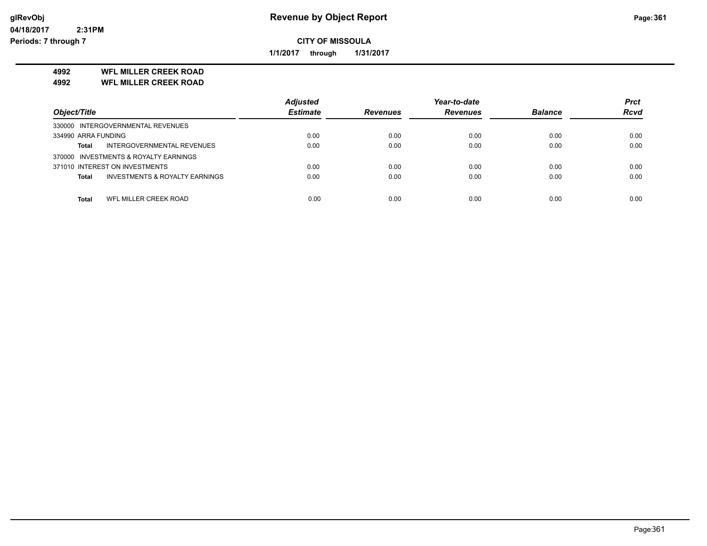**1/1/2017 through 1/31/2017**

**4992 WFL MILLER CREEK ROAD**

**4992 WFL MILLER CREEK ROAD**

|                                                           | <b>Adjusted</b> |                 | Year-to-date    |                | <b>Prct</b> |
|-----------------------------------------------------------|-----------------|-----------------|-----------------|----------------|-------------|
| Object/Title                                              | <b>Estimate</b> | <b>Revenues</b> | <b>Revenues</b> | <b>Balance</b> | <b>Rcvd</b> |
| 330000 INTERGOVERNMENTAL REVENUES                         |                 |                 |                 |                |             |
| 334990 ARRA FUNDING                                       | 0.00            | 0.00            | 0.00            | 0.00           | 0.00        |
| INTERGOVERNMENTAL REVENUES<br>Total                       | 0.00            | 0.00            | 0.00            | 0.00           | 0.00        |
| 370000 INVESTMENTS & ROYALTY EARNINGS                     |                 |                 |                 |                |             |
| 371010 INTEREST ON INVESTMENTS                            | 0.00            | 0.00            | 0.00            | 0.00           | 0.00        |
| <b>INVESTMENTS &amp; ROYALTY EARNINGS</b><br><b>Total</b> | 0.00            | 0.00            | 0.00            | 0.00           | 0.00        |
|                                                           |                 |                 |                 |                |             |
| <b>Total</b><br>WFL MILLER CREEK ROAD                     | 0.00            | 0.00            | 0.00            | 0.00           | 0.00        |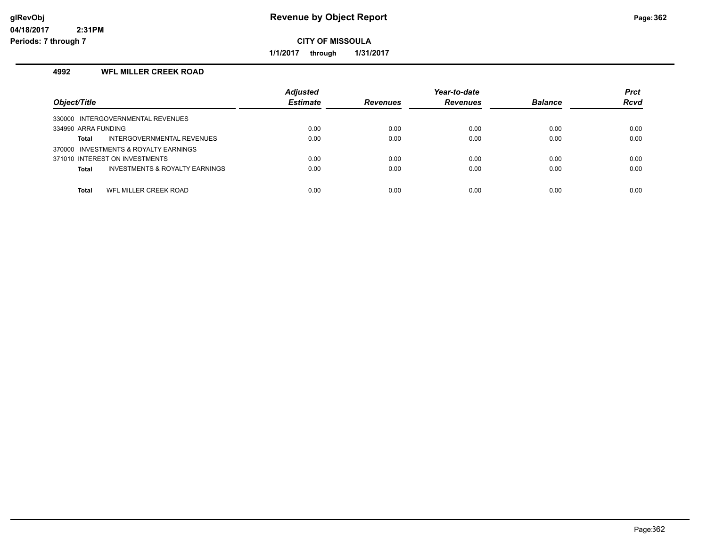**1/1/2017 through 1/31/2017**

#### **4992 WFL MILLER CREEK ROAD**

|                                                | <b>Adjusted</b> |                 | Year-to-date    |                |             |
|------------------------------------------------|-----------------|-----------------|-----------------|----------------|-------------|
| Object/Title                                   | <b>Estimate</b> | <b>Revenues</b> | <b>Revenues</b> | <b>Balance</b> | <b>Rcvd</b> |
| 330000 INTERGOVERNMENTAL REVENUES              |                 |                 |                 |                |             |
| 334990 ARRA FUNDING                            | 0.00            | 0.00            | 0.00            | 0.00           | 0.00        |
| INTERGOVERNMENTAL REVENUES<br>Total            | 0.00            | 0.00            | 0.00            | 0.00           | 0.00        |
| 370000 INVESTMENTS & ROYALTY EARNINGS          |                 |                 |                 |                |             |
| 371010 INTEREST ON INVESTMENTS                 | 0.00            | 0.00            | 0.00            | 0.00           | 0.00        |
| INVESTMENTS & ROYALTY EARNINGS<br><b>Total</b> | 0.00            | 0.00            | 0.00            | 0.00           | 0.00        |
| Total<br>WFL MILLER CREEK ROAD                 | 0.00            | 0.00            | 0.00            | 0.00           | 0.00        |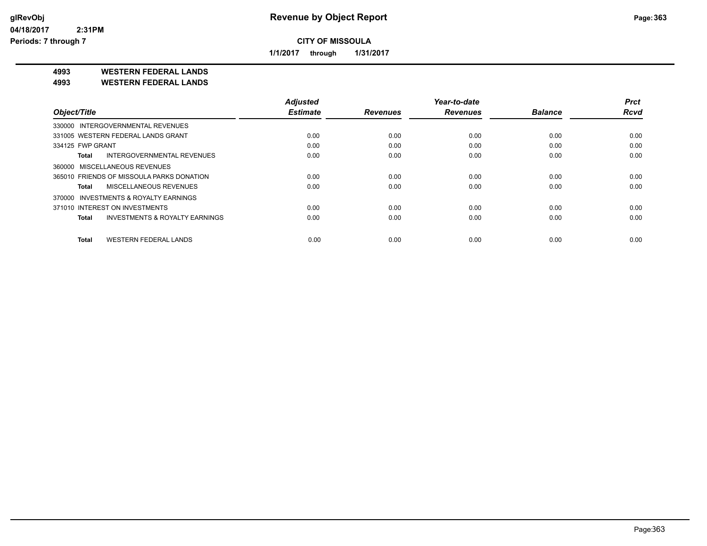**1/1/2017 through 1/31/2017**

**4993 WESTERN FEDERAL LANDS 4993 WESTERN FEDERAL LANDS**

|                                                    | <b>Adjusted</b> |                 | Year-to-date    |                | <b>Prct</b> |
|----------------------------------------------------|-----------------|-----------------|-----------------|----------------|-------------|
| Object/Title                                       | <b>Estimate</b> | <b>Revenues</b> | <b>Revenues</b> | <b>Balance</b> | Rcvd        |
| 330000 INTERGOVERNMENTAL REVENUES                  |                 |                 |                 |                |             |
| 331005 WESTERN FEDERAL LANDS GRANT                 | 0.00            | 0.00            | 0.00            | 0.00           | 0.00        |
| 334125 FWP GRANT                                   | 0.00            | 0.00            | 0.00            | 0.00           | 0.00        |
| INTERGOVERNMENTAL REVENUES<br>Total                | 0.00            | 0.00            | 0.00            | 0.00           | 0.00        |
| 360000 MISCELLANEOUS REVENUES                      |                 |                 |                 |                |             |
| 365010 FRIENDS OF MISSOULA PARKS DONATION          | 0.00            | 0.00            | 0.00            | 0.00           | 0.00        |
| MISCELLANEOUS REVENUES<br>Total                    | 0.00            | 0.00            | 0.00            | 0.00           | 0.00        |
| 370000 INVESTMENTS & ROYALTY EARNINGS              |                 |                 |                 |                |             |
| 371010 INTEREST ON INVESTMENTS                     | 0.00            | 0.00            | 0.00            | 0.00           | 0.00        |
| <b>INVESTMENTS &amp; ROYALTY EARNINGS</b><br>Total | 0.00            | 0.00            | 0.00            | 0.00           | 0.00        |
| <b>WESTERN FEDERAL LANDS</b><br><b>Total</b>       | 0.00            | 0.00            | 0.00            | 0.00           | 0.00        |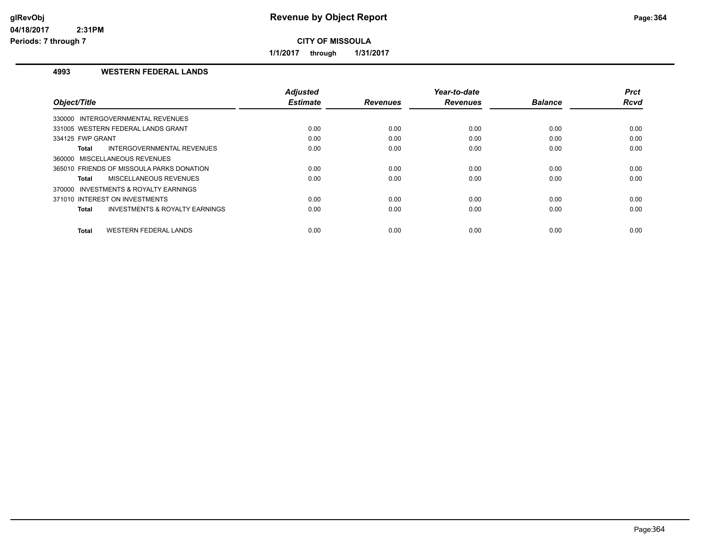**1/1/2017 through 1/31/2017**

#### **4993 WESTERN FEDERAL LANDS**

|                                                    | <b>Adjusted</b> |                 | Year-to-date    |                | <b>Prct</b> |
|----------------------------------------------------|-----------------|-----------------|-----------------|----------------|-------------|
| Object/Title                                       | <b>Estimate</b> | <b>Revenues</b> | <b>Revenues</b> | <b>Balance</b> | <b>Rcvd</b> |
| 330000 INTERGOVERNMENTAL REVENUES                  |                 |                 |                 |                |             |
| 331005 WESTERN FEDERAL LANDS GRANT                 | 0.00            | 0.00            | 0.00            | 0.00           | 0.00        |
| 334125 FWP GRANT                                   | 0.00            | 0.00            | 0.00            | 0.00           | 0.00        |
| <b>Total</b><br>INTERGOVERNMENTAL REVENUES         | 0.00            | 0.00            | 0.00            | 0.00           | 0.00        |
| MISCELLANEOUS REVENUES<br>360000                   |                 |                 |                 |                |             |
| 365010 FRIENDS OF MISSOULA PARKS DONATION          | 0.00            | 0.00            | 0.00            | 0.00           | 0.00        |
| MISCELLANEOUS REVENUES<br>Total                    | 0.00            | 0.00            | 0.00            | 0.00           | 0.00        |
| INVESTMENTS & ROYALTY EARNINGS<br>370000           |                 |                 |                 |                |             |
| 371010 INTEREST ON INVESTMENTS                     | 0.00            | 0.00            | 0.00            | 0.00           | 0.00        |
| <b>INVESTMENTS &amp; ROYALTY EARNINGS</b><br>Total | 0.00            | 0.00            | 0.00            | 0.00           | 0.00        |
| <b>WESTERN FEDERAL LANDS</b><br><b>Total</b>       | 0.00            | 0.00            | 0.00            | 0.00           | 0.00        |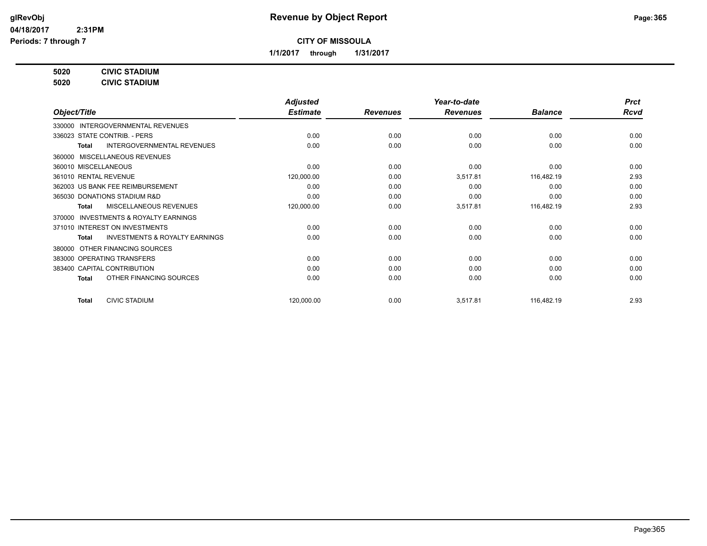**1/1/2017 through 1/31/2017**

**5020 CIVIC STADIUM 5020 CIVIC STADIUM**

|                                                     | <b>Adjusted</b> |                 | Year-to-date    |                | <b>Prct</b> |
|-----------------------------------------------------|-----------------|-----------------|-----------------|----------------|-------------|
| Object/Title                                        | <b>Estimate</b> | <b>Revenues</b> | <b>Revenues</b> | <b>Balance</b> | <b>Rcvd</b> |
| <b>INTERGOVERNMENTAL REVENUES</b><br>330000         |                 |                 |                 |                |             |
| 336023 STATE CONTRIB. - PERS                        | 0.00            | 0.00            | 0.00            | 0.00           | 0.00        |
| INTERGOVERNMENTAL REVENUES<br>Total                 | 0.00            | 0.00            | 0.00            | 0.00           | 0.00        |
| MISCELLANEOUS REVENUES<br>360000                    |                 |                 |                 |                |             |
| 360010 MISCELLANEOUS                                | 0.00            | 0.00            | 0.00            | 0.00           | 0.00        |
| 361010 RENTAL REVENUE                               | 120,000.00      | 0.00            | 3,517.81        | 116,482.19     | 2.93        |
| 362003 US BANK FEE REIMBURSEMENT                    | 0.00            | 0.00            | 0.00            | 0.00           | 0.00        |
| 365030 DONATIONS STADIUM R&D                        | 0.00            | 0.00            | 0.00            | 0.00           | 0.00        |
| MISCELLANEOUS REVENUES<br><b>Total</b>              | 120,000.00      | 0.00            | 3,517.81        | 116,482.19     | 2.93        |
| <b>INVESTMENTS &amp; ROYALTY EARNINGS</b><br>370000 |                 |                 |                 |                |             |
| 371010 INTEREST ON INVESTMENTS                      | 0.00            | 0.00            | 0.00            | 0.00           | 0.00        |
| <b>INVESTMENTS &amp; ROYALTY EARNINGS</b><br>Total  | 0.00            | 0.00            | 0.00            | 0.00           | 0.00        |
| OTHER FINANCING SOURCES<br>380000                   |                 |                 |                 |                |             |
| 383000 OPERATING TRANSFERS                          | 0.00            | 0.00            | 0.00            | 0.00           | 0.00        |
| 383400 CAPITAL CONTRIBUTION                         | 0.00            | 0.00            | 0.00            | 0.00           | 0.00        |
| OTHER FINANCING SOURCES<br><b>Total</b>             | 0.00            | 0.00            | 0.00            | 0.00           | 0.00        |
| <b>CIVIC STADIUM</b><br><b>Total</b>                | 120,000.00      | 0.00            | 3,517.81        | 116,482.19     | 2.93        |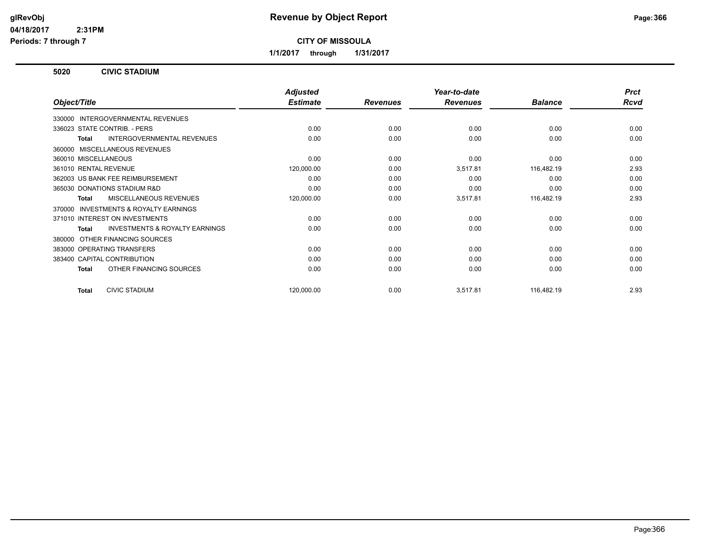**Periods: 7 through 7**

**CITY OF MISSOULA**

**1/1/2017 through 1/31/2017**

#### **5020 CIVIC STADIUM**

|                                                           | <b>Adjusted</b> |                 | Year-to-date    |                | <b>Prct</b> |
|-----------------------------------------------------------|-----------------|-----------------|-----------------|----------------|-------------|
| Object/Title                                              | <b>Estimate</b> | <b>Revenues</b> | <b>Revenues</b> | <b>Balance</b> | <b>Rcvd</b> |
| 330000 INTERGOVERNMENTAL REVENUES                         |                 |                 |                 |                |             |
| 336023 STATE CONTRIB. - PERS                              | 0.00            | 0.00            | 0.00            | 0.00           | 0.00        |
| <b>INTERGOVERNMENTAL REVENUES</b><br><b>Total</b>         | 0.00            | 0.00            | 0.00            | 0.00           | 0.00        |
| 360000 MISCELLANEOUS REVENUES                             |                 |                 |                 |                |             |
| 360010 MISCELLANEOUS                                      | 0.00            | 0.00            | 0.00            | 0.00           | 0.00        |
| 361010 RENTAL REVENUE                                     | 120,000.00      | 0.00            | 3,517.81        | 116,482.19     | 2.93        |
| 362003 US BANK FEE REIMBURSEMENT                          | 0.00            | 0.00            | 0.00            | 0.00           | 0.00        |
| 365030 DONATIONS STADIUM R&D                              | 0.00            | 0.00            | 0.00            | 0.00           | 0.00        |
| MISCELLANEOUS REVENUES<br>Total                           | 120,000.00      | 0.00            | 3,517.81        | 116,482.19     | 2.93        |
| 370000 INVESTMENTS & ROYALTY EARNINGS                     |                 |                 |                 |                |             |
| 371010 INTEREST ON INVESTMENTS                            | 0.00            | 0.00            | 0.00            | 0.00           | 0.00        |
| <b>INVESTMENTS &amp; ROYALTY EARNINGS</b><br><b>Total</b> | 0.00            | 0.00            | 0.00            | 0.00           | 0.00        |
| 380000 OTHER FINANCING SOURCES                            |                 |                 |                 |                |             |
| 383000 OPERATING TRANSFERS                                | 0.00            | 0.00            | 0.00            | 0.00           | 0.00        |
| 383400 CAPITAL CONTRIBUTION                               | 0.00            | 0.00            | 0.00            | 0.00           | 0.00        |
| OTHER FINANCING SOURCES<br><b>Total</b>                   | 0.00            | 0.00            | 0.00            | 0.00           | 0.00        |
| <b>CIVIC STADIUM</b><br><b>Total</b>                      | 120,000.00      | 0.00            | 3,517.81        | 116,482.19     | 2.93        |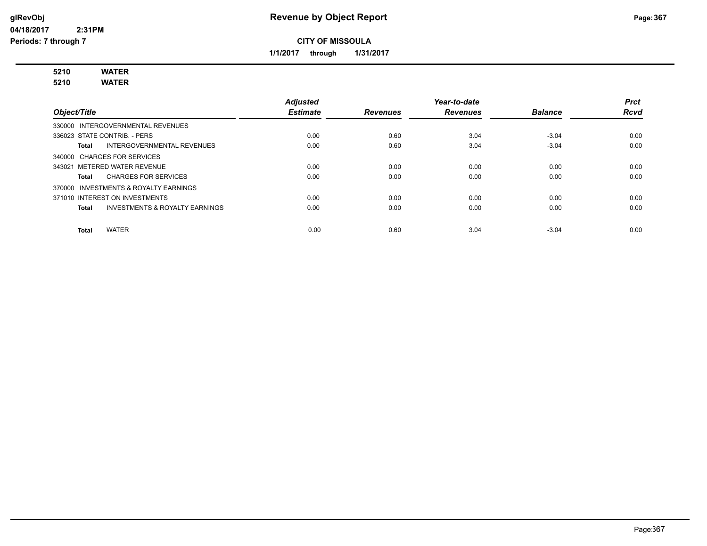**1/1/2017 through 1/31/2017**

## **5210 WATER**

**5210 WATER**

|                                                | <b>Adjusted</b> |                 | Year-to-date    |                | <b>Prct</b> |
|------------------------------------------------|-----------------|-----------------|-----------------|----------------|-------------|
| Object/Title                                   | <b>Estimate</b> | <b>Revenues</b> | <b>Revenues</b> | <b>Balance</b> | <b>Rcvd</b> |
| 330000 INTERGOVERNMENTAL REVENUES              |                 |                 |                 |                |             |
| 336023 STATE CONTRIB. - PERS                   | 0.00            | 0.60            | 3.04            | $-3.04$        | 0.00        |
| <b>INTERGOVERNMENTAL REVENUES</b><br>Total     | 0.00            | 0.60            | 3.04            | $-3.04$        | 0.00        |
| 340000 CHARGES FOR SERVICES                    |                 |                 |                 |                |             |
| 343021 METERED WATER REVENUE                   | 0.00            | 0.00            | 0.00            | 0.00           | 0.00        |
| <b>CHARGES FOR SERVICES</b><br>Total           | 0.00            | 0.00            | 0.00            | 0.00           | 0.00        |
| 370000 INVESTMENTS & ROYALTY EARNINGS          |                 |                 |                 |                |             |
| 371010 INTEREST ON INVESTMENTS                 | 0.00            | 0.00            | 0.00            | 0.00           | 0.00        |
| INVESTMENTS & ROYALTY EARNINGS<br><b>Total</b> | 0.00            | 0.00            | 0.00            | 0.00           | 0.00        |
|                                                |                 |                 |                 |                |             |
| <b>WATER</b><br><b>Total</b>                   | 0.00            | 0.60            | 3.04            | $-3.04$        | 0.00        |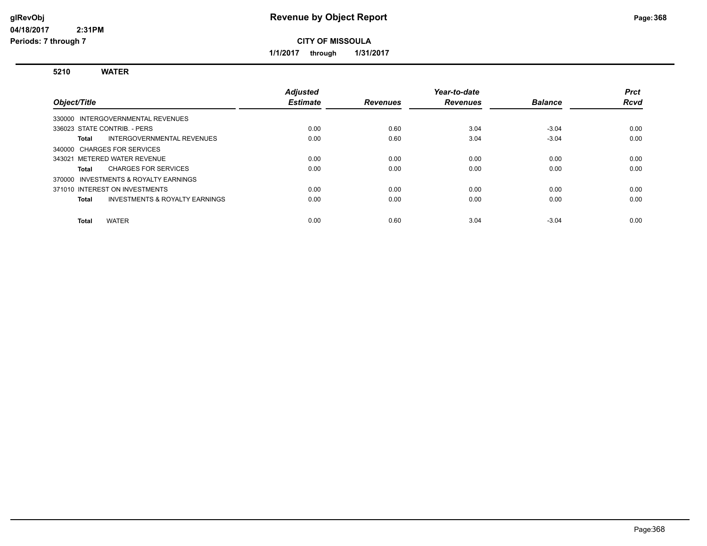**04/18/2017 2:31PM**

**CITY OF MISSOULA**

**1/1/2017 through 1/31/2017**

#### **5210 WATER**

|                                         | <b>Adjusted</b> |                 | Year-to-date    |                | <b>Prct</b> |
|-----------------------------------------|-----------------|-----------------|-----------------|----------------|-------------|
| Object/Title                            | <b>Estimate</b> | <b>Revenues</b> | <b>Revenues</b> | <b>Balance</b> | <b>Rcvd</b> |
| 330000 INTERGOVERNMENTAL REVENUES       |                 |                 |                 |                |             |
| 336023 STATE CONTRIB. - PERS            | 0.00            | 0.60            | 3.04            | $-3.04$        | 0.00        |
| INTERGOVERNMENTAL REVENUES<br>Total     | 0.00            | 0.60            | 3.04            | $-3.04$        | 0.00        |
| 340000 CHARGES FOR SERVICES             |                 |                 |                 |                |             |
| 343021 METERED WATER REVENUE            | 0.00            | 0.00            | 0.00            | 0.00           | 0.00        |
| <b>CHARGES FOR SERVICES</b><br>Total    | 0.00            | 0.00            | 0.00            | 0.00           | 0.00        |
| 370000 INVESTMENTS & ROYALTY EARNINGS   |                 |                 |                 |                |             |
| 371010 INTEREST ON INVESTMENTS          | 0.00            | 0.00            | 0.00            | 0.00           | 0.00        |
| INVESTMENTS & ROYALTY EARNINGS<br>Total | 0.00            | 0.00            | 0.00            | 0.00           | 0.00        |
| <b>WATER</b><br><b>Total</b>            | 0.00            | 0.60            | 3.04            | $-3.04$        | 0.00        |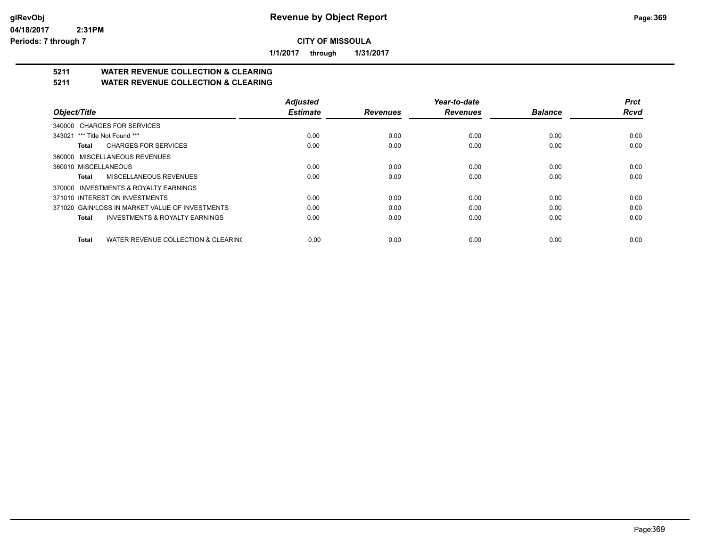**1/1/2017 through 1/31/2017**

#### **5211 WATER REVENUE COLLECTION & CLEARING 5211 WATER REVENUE COLLECTION & CLEARING**

|                                                     | <b>Adjusted</b> |                 | Year-to-date    |                | <b>Prct</b> |
|-----------------------------------------------------|-----------------|-----------------|-----------------|----------------|-------------|
| Object/Title                                        | <b>Estimate</b> | <b>Revenues</b> | <b>Revenues</b> | <b>Balance</b> | <b>Rcvd</b> |
| 340000 CHARGES FOR SERVICES                         |                 |                 |                 |                |             |
| 343021 *** Title Not Found ***                      | 0.00            | 0.00            | 0.00            | 0.00           | 0.00        |
| <b>CHARGES FOR SERVICES</b><br>Total                | 0.00            | 0.00            | 0.00            | 0.00           | 0.00        |
| 360000 MISCELLANEOUS REVENUES                       |                 |                 |                 |                |             |
| 360010 MISCELLANEOUS                                | 0.00            | 0.00            | 0.00            | 0.00           | 0.00        |
| MISCELLANEOUS REVENUES<br>Total                     | 0.00            | 0.00            | 0.00            | 0.00           | 0.00        |
| INVESTMENTS & ROYALTY EARNINGS<br>370000            |                 |                 |                 |                |             |
| 371010 INTEREST ON INVESTMENTS                      | 0.00            | 0.00            | 0.00            | 0.00           | 0.00        |
| 371020 GAIN/LOSS IN MARKET VALUE OF INVESTMENTS     | 0.00            | 0.00            | 0.00            | 0.00           | 0.00        |
| INVESTMENTS & ROYALTY EARNINGS<br>Total             | 0.00            | 0.00            | 0.00            | 0.00           | 0.00        |
| WATER REVENUE COLLECTION & CLEARING<br><b>Total</b> | 0.00            | 0.00            | 0.00            | 0.00           | 0.00        |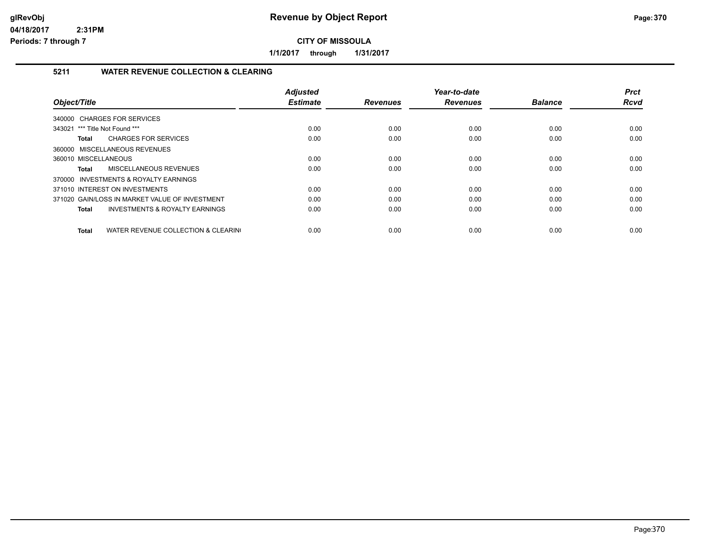**1/1/2017 through 1/31/2017**

#### **5211 WATER REVENUE COLLECTION & CLEARING**

| Object/Title                                              | <b>Adjusted</b><br><b>Estimate</b> | <b>Revenues</b> | Year-to-date<br><b>Revenues</b> | <b>Balance</b> | <b>Prct</b><br><b>Rcvd</b> |
|-----------------------------------------------------------|------------------------------------|-----------------|---------------------------------|----------------|----------------------------|
| <b>CHARGES FOR SERVICES</b><br>340000                     |                                    |                 |                                 |                |                            |
| 343021 *** Title Not Found ***                            | 0.00                               | 0.00            | 0.00                            | 0.00           | 0.00                       |
| <b>CHARGES FOR SERVICES</b><br><b>Total</b>               | 0.00                               | 0.00            | 0.00                            | 0.00           | 0.00                       |
| 360000 MISCELLANEOUS REVENUES                             |                                    |                 |                                 |                |                            |
| 360010 MISCELLANEOUS                                      | 0.00                               | 0.00            | 0.00                            | 0.00           | 0.00                       |
| MISCELLANEOUS REVENUES<br><b>Total</b>                    | 0.00                               | 0.00            | 0.00                            | 0.00           | 0.00                       |
| 370000 INVESTMENTS & ROYALTY EARNINGS                     |                                    |                 |                                 |                |                            |
| 371010 INTEREST ON INVESTMENTS                            | 0.00                               | 0.00            | 0.00                            | 0.00           | 0.00                       |
| 371020 GAIN/LOSS IN MARKET VALUE OF INVESTMENT            | 0.00                               | 0.00            | 0.00                            | 0.00           | 0.00                       |
| <b>INVESTMENTS &amp; ROYALTY EARNINGS</b><br><b>Total</b> | 0.00                               | 0.00            | 0.00                            | 0.00           | 0.00                       |
| WATER REVENUE COLLECTION & CLEARING<br><b>Total</b>       | 0.00                               | 0.00            | 0.00                            | 0.00           | 0.00                       |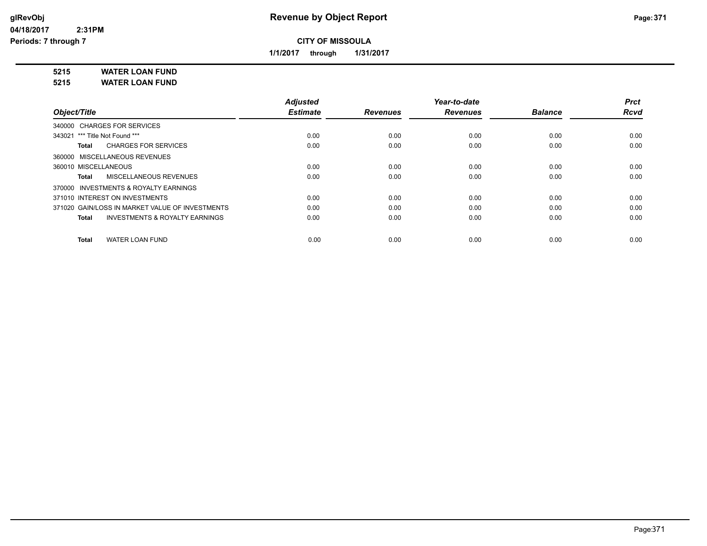**1/1/2017 through 1/31/2017**

**5215 WATER LOAN FUND**

**5215 WATER LOAN FUND**

|                                                    | <b>Adjusted</b> |                 | Year-to-date    |                | <b>Prct</b> |
|----------------------------------------------------|-----------------|-----------------|-----------------|----------------|-------------|
| Object/Title                                       | <b>Estimate</b> | <b>Revenues</b> | <b>Revenues</b> | <b>Balance</b> | <b>Rcvd</b> |
| 340000 CHARGES FOR SERVICES                        |                 |                 |                 |                |             |
| 343021 *** Title Not Found ***                     | 0.00            | 0.00            | 0.00            | 0.00           | 0.00        |
| <b>CHARGES FOR SERVICES</b><br>Total               | 0.00            | 0.00            | 0.00            | 0.00           | 0.00        |
| 360000 MISCELLANEOUS REVENUES                      |                 |                 |                 |                |             |
| 360010 MISCELLANEOUS                               | 0.00            | 0.00            | 0.00            | 0.00           | 0.00        |
| MISCELLANEOUS REVENUES<br>Total                    | 0.00            | 0.00            | 0.00            | 0.00           | 0.00        |
| 370000 INVESTMENTS & ROYALTY EARNINGS              |                 |                 |                 |                |             |
| 371010 INTEREST ON INVESTMENTS                     | 0.00            | 0.00            | 0.00            | 0.00           | 0.00        |
| 371020 GAIN/LOSS IN MARKET VALUE OF INVESTMENTS    | 0.00            | 0.00            | 0.00            | 0.00           | 0.00        |
| <b>INVESTMENTS &amp; ROYALTY EARNINGS</b><br>Total | 0.00            | 0.00            | 0.00            | 0.00           | 0.00        |
| <b>WATER LOAN FUND</b><br>Total                    | 0.00            | 0.00            | 0.00            | 0.00           | 0.00        |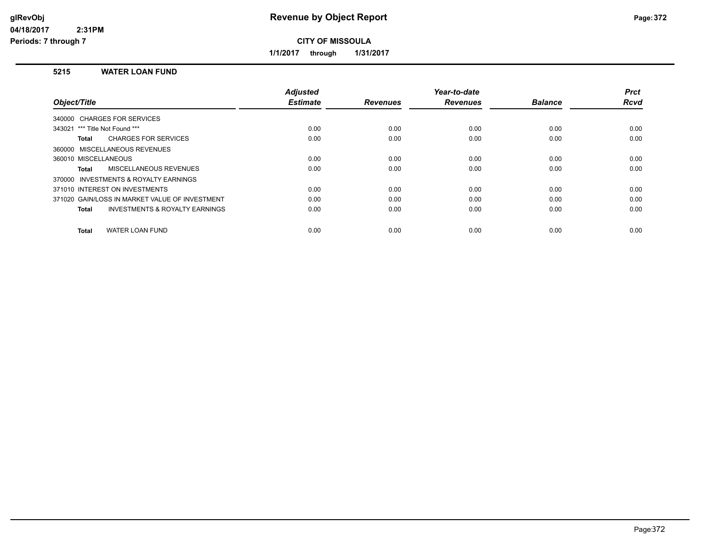**1/1/2017 through 1/31/2017**

#### **5215 WATER LOAN FUND**

|                                                           | <b>Adjusted</b> |                 | Year-to-date    |                | <b>Prct</b> |
|-----------------------------------------------------------|-----------------|-----------------|-----------------|----------------|-------------|
| Object/Title                                              | <b>Estimate</b> | <b>Revenues</b> | <b>Revenues</b> | <b>Balance</b> | <b>Rcvd</b> |
| 340000 CHARGES FOR SERVICES                               |                 |                 |                 |                |             |
| 343021 *** Title Not Found ***                            | 0.00            | 0.00            | 0.00            | 0.00           | 0.00        |
| <b>CHARGES FOR SERVICES</b><br>Total                      | 0.00            | 0.00            | 0.00            | 0.00           | 0.00        |
| 360000 MISCELLANEOUS REVENUES                             |                 |                 |                 |                |             |
| 360010 MISCELLANEOUS                                      | 0.00            | 0.00            | 0.00            | 0.00           | 0.00        |
| MISCELLANEOUS REVENUES<br>Total                           | 0.00            | 0.00            | 0.00            | 0.00           | 0.00        |
| 370000 INVESTMENTS & ROYALTY EARNINGS                     |                 |                 |                 |                |             |
| 371010 INTEREST ON INVESTMENTS                            | 0.00            | 0.00            | 0.00            | 0.00           | 0.00        |
| 371020 GAIN/LOSS IN MARKET VALUE OF INVESTMENT            | 0.00            | 0.00            | 0.00            | 0.00           | 0.00        |
| <b>INVESTMENTS &amp; ROYALTY EARNINGS</b><br><b>Total</b> | 0.00            | 0.00            | 0.00            | 0.00           | 0.00        |
| <b>WATER LOAN FUND</b><br><b>Total</b>                    | 0.00            | 0.00            | 0.00            | 0.00           | 0.00        |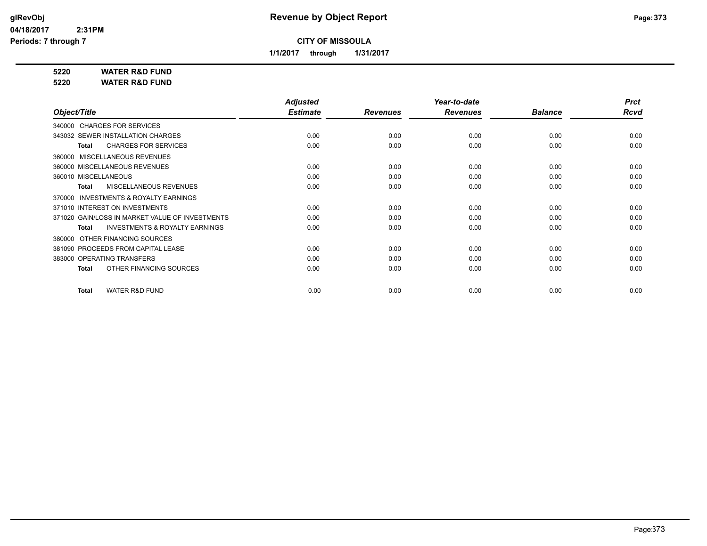**1/1/2017 through 1/31/2017**

**5220 WATER R&D FUND 5220 WATER R&D FUND**

|                                                           | <b>Adjusted</b> |                 | Year-to-date    |                | <b>Prct</b> |
|-----------------------------------------------------------|-----------------|-----------------|-----------------|----------------|-------------|
| Object/Title                                              | <b>Estimate</b> | <b>Revenues</b> | <b>Revenues</b> | <b>Balance</b> | <b>Rcvd</b> |
| 340000 CHARGES FOR SERVICES                               |                 |                 |                 |                |             |
| 343032 SEWER INSTALLATION CHARGES                         | 0.00            | 0.00            | 0.00            | 0.00           | 0.00        |
| <b>CHARGES FOR SERVICES</b><br><b>Total</b>               | 0.00            | 0.00            | 0.00            | 0.00           | 0.00        |
| MISCELLANEOUS REVENUES<br>360000                          |                 |                 |                 |                |             |
| 360000 MISCELLANEOUS REVENUES                             | 0.00            | 0.00            | 0.00            | 0.00           | 0.00        |
| 360010 MISCELLANEOUS                                      | 0.00            | 0.00            | 0.00            | 0.00           | 0.00        |
| MISCELLANEOUS REVENUES<br><b>Total</b>                    | 0.00            | 0.00            | 0.00            | 0.00           | 0.00        |
| <b>INVESTMENTS &amp; ROYALTY EARNINGS</b><br>370000       |                 |                 |                 |                |             |
| 371010 INTEREST ON INVESTMENTS                            | 0.00            | 0.00            | 0.00            | 0.00           | 0.00        |
| 371020 GAIN/LOSS IN MARKET VALUE OF INVESTMENTS           | 0.00            | 0.00            | 0.00            | 0.00           | 0.00        |
| <b>INVESTMENTS &amp; ROYALTY EARNINGS</b><br><b>Total</b> | 0.00            | 0.00            | 0.00            | 0.00           | 0.00        |
| OTHER FINANCING SOURCES<br>380000                         |                 |                 |                 |                |             |
| 381090 PROCEEDS FROM CAPITAL LEASE                        | 0.00            | 0.00            | 0.00            | 0.00           | 0.00        |
| 383000 OPERATING TRANSFERS                                | 0.00            | 0.00            | 0.00            | 0.00           | 0.00        |
| OTHER FINANCING SOURCES<br><b>Total</b>                   | 0.00            | 0.00            | 0.00            | 0.00           | 0.00        |
|                                                           |                 |                 |                 |                |             |
| <b>WATER R&amp;D FUND</b><br><b>Total</b>                 | 0.00            | 0.00            | 0.00            | 0.00           | 0.00        |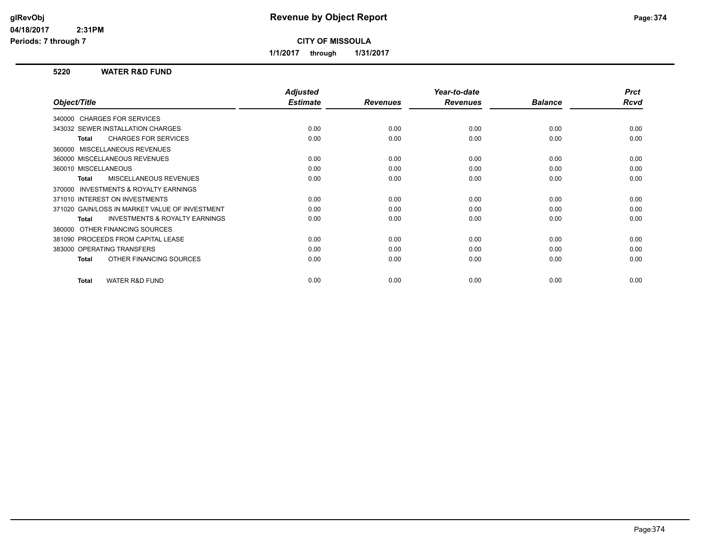**1/1/2017 through 1/31/2017**

#### **5220 WATER R&D FUND**

|                                                     | <b>Adjusted</b> |                 | Year-to-date    |                | <b>Prct</b> |
|-----------------------------------------------------|-----------------|-----------------|-----------------|----------------|-------------|
| Object/Title                                        | <b>Estimate</b> | <b>Revenues</b> | <b>Revenues</b> | <b>Balance</b> | Rcvd        |
| 340000 CHARGES FOR SERVICES                         |                 |                 |                 |                |             |
| 343032 SEWER INSTALLATION CHARGES                   | 0.00            | 0.00            | 0.00            | 0.00           | 0.00        |
| <b>CHARGES FOR SERVICES</b><br>Total                | 0.00            | 0.00            | 0.00            | 0.00           | 0.00        |
| MISCELLANEOUS REVENUES<br>360000                    |                 |                 |                 |                |             |
| 360000 MISCELLANEOUS REVENUES                       | 0.00            | 0.00            | 0.00            | 0.00           | 0.00        |
| 360010 MISCELLANEOUS                                | 0.00            | 0.00            | 0.00            | 0.00           | 0.00        |
| <b>MISCELLANEOUS REVENUES</b><br><b>Total</b>       | 0.00            | 0.00            | 0.00            | 0.00           | 0.00        |
| <b>INVESTMENTS &amp; ROYALTY EARNINGS</b><br>370000 |                 |                 |                 |                |             |
| 371010 INTEREST ON INVESTMENTS                      | 0.00            | 0.00            | 0.00            | 0.00           | 0.00        |
| 371020 GAIN/LOSS IN MARKET VALUE OF INVESTMENT      | 0.00            | 0.00            | 0.00            | 0.00           | 0.00        |
| <b>INVESTMENTS &amp; ROYALTY EARNINGS</b><br>Total  | 0.00            | 0.00            | 0.00            | 0.00           | 0.00        |
| 380000 OTHER FINANCING SOURCES                      |                 |                 |                 |                |             |
| 381090 PROCEEDS FROM CAPITAL LEASE                  | 0.00            | 0.00            | 0.00            | 0.00           | 0.00        |
| 383000 OPERATING TRANSFERS                          | 0.00            | 0.00            | 0.00            | 0.00           | 0.00        |
| OTHER FINANCING SOURCES<br><b>Total</b>             | 0.00            | 0.00            | 0.00            | 0.00           | 0.00        |
|                                                     |                 |                 |                 |                |             |
| <b>WATER R&amp;D FUND</b><br><b>Total</b>           | 0.00            | 0.00            | 0.00            | 0.00           | 0.00        |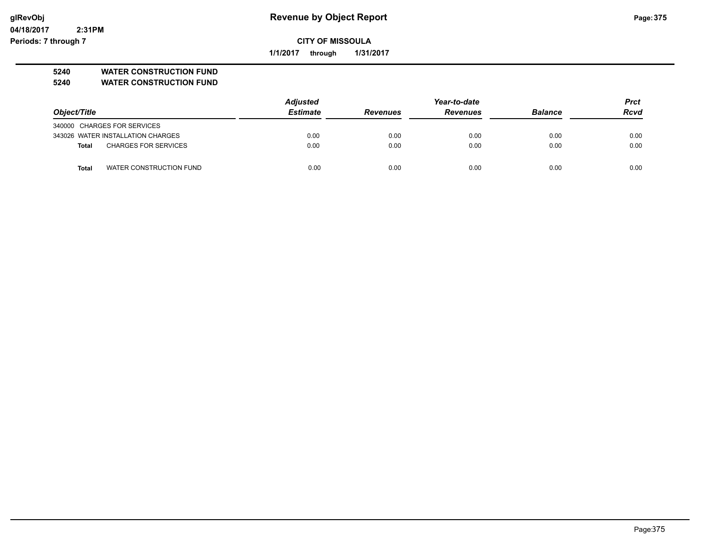**04/18/2017 2:31PM Periods: 7 through 7**

**CITY OF MISSOULA**

**1/1/2017 through 1/31/2017**

**5240 WATER CONSTRUCTION FUND**

**5240 WATER CONSTRUCTION FUND**

|                                             | <b>Adjusted</b> |                 | Year-to-date    |                |             |
|---------------------------------------------|-----------------|-----------------|-----------------|----------------|-------------|
| Object/Title                                | <b>Estimate</b> | <b>Revenues</b> | <b>Revenues</b> | <b>Balance</b> | <b>Rcvd</b> |
| 340000 CHARGES FOR SERVICES                 |                 |                 |                 |                |             |
| 343026 WATER INSTALLATION CHARGES           | 0.00            | 0.00            | 0.00            | 0.00           | 0.00        |
| <b>CHARGES FOR SERVICES</b><br><b>Total</b> | 0.00            | 0.00            | 0.00            | 0.00           | 0.00        |
| Total<br>WATER CONSTRUCTION FUND            | 0.00            | 0.00            | 0.00            | 0.00           | 0.00        |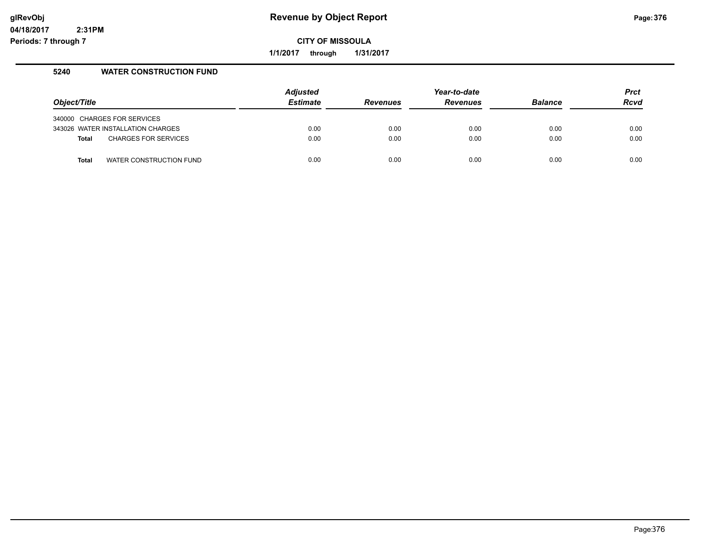**Periods: 7 through 7**

**CITY OF MISSOULA**

**1/1/2017 through 1/31/2017**

### **5240 WATER CONSTRUCTION FUND**

 **2:31PM**

|              |                                   | Adjusted        |                 | Year-to-date    |                | <b>Prct</b> |
|--------------|-----------------------------------|-----------------|-----------------|-----------------|----------------|-------------|
| Object/Title |                                   | <b>Estimate</b> | <b>Revenues</b> | <b>Revenues</b> | <b>Balance</b> | <b>Rcvd</b> |
|              | 340000 CHARGES FOR SERVICES       |                 |                 |                 |                |             |
|              | 343026 WATER INSTALLATION CHARGES | 0.00            | 0.00            | 0.00            | 0.00           | 0.00        |
| <b>Total</b> | <b>CHARGES FOR SERVICES</b>       | 0.00            | 0.00            | 0.00            | 0.00           | 0.00        |
| <b>Total</b> | WATER CONSTRUCTION FUND           | 0.00            | 0.00            | 0.00            | 0.00           | 0.00        |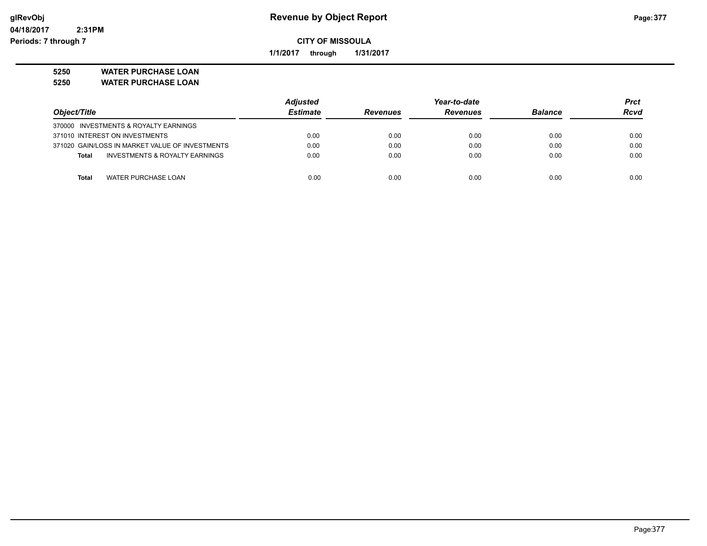**1/1/2017 through 1/31/2017**

**5250 WATER PURCHASE LOAN 5250 WATER PURCHASE LOAN**

| Object/Title                                    |                                | <b>Adjusted</b> |                                    |      | <b>Prct</b><br><b>Rcvd</b> |                |
|-------------------------------------------------|--------------------------------|-----------------|------------------------------------|------|----------------------------|----------------|
|                                                 |                                | <b>Estimate</b> | <b>Revenues</b><br><b>Revenues</b> |      |                            | <b>Balance</b> |
| 370000 INVESTMENTS & ROYALTY EARNINGS           |                                |                 |                                    |      |                            |                |
| 371010 INTEREST ON INVESTMENTS                  |                                | 0.00            | 0.00                               | 0.00 | 0.00                       | 0.00           |
| 371020 GAIN/LOSS IN MARKET VALUE OF INVESTMENTS |                                | 0.00            | 0.00                               | 0.00 | 0.00                       | 0.00           |
| <b>Total</b>                                    | INVESTMENTS & ROYALTY EARNINGS | 0.00            | 0.00                               | 0.00 | 0.00                       | 0.00           |
| Total                                           | WATER PURCHASE LOAN            | 0.00            | 0.00                               | 0.00 | 0.00                       | 0.00           |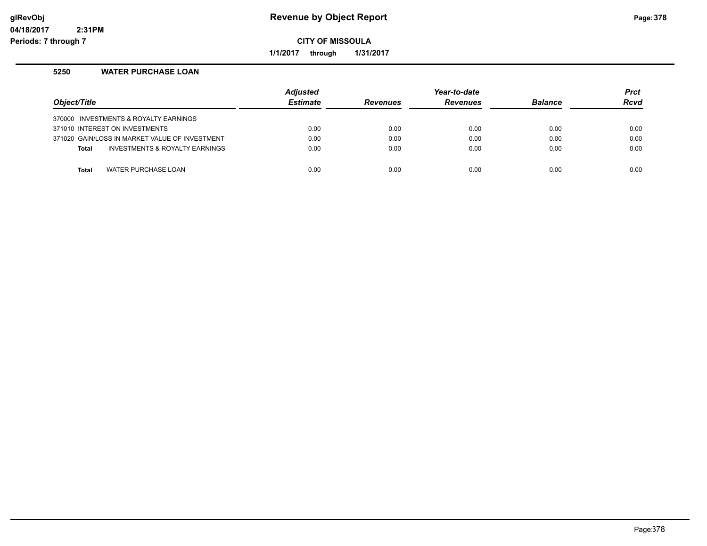**Periods: 7 through 7**

**CITY OF MISSOULA**

**1/1/2017 through 1/31/2017**

#### **5250 WATER PURCHASE LOAN**

 **2:31PM**

|                                                | <b>Adjusted</b> |                 | <b>Prct</b>     |                |             |
|------------------------------------------------|-----------------|-----------------|-----------------|----------------|-------------|
| Object/Title                                   | <b>Estimate</b> | <b>Revenues</b> | <b>Revenues</b> | <b>Balance</b> | <b>Rcvd</b> |
| 370000 INVESTMENTS & ROYALTY EARNINGS          |                 |                 |                 |                |             |
| 371010 INTEREST ON INVESTMENTS                 | 0.00            | 0.00            | 0.00            | 0.00           | 0.00        |
| 371020 GAIN/LOSS IN MARKET VALUE OF INVESTMENT | 0.00            | 0.00            | 0.00            | 0.00           | 0.00        |
| INVESTMENTS & ROYALTY EARNINGS<br><b>Total</b> | 0.00            | 0.00            | 0.00            | 0.00           | 0.00        |
| <b>Total</b><br><b>WATER PURCHASE LOAN</b>     | 0.00            | 0.00            | 0.00            | 0.00           | 0.00        |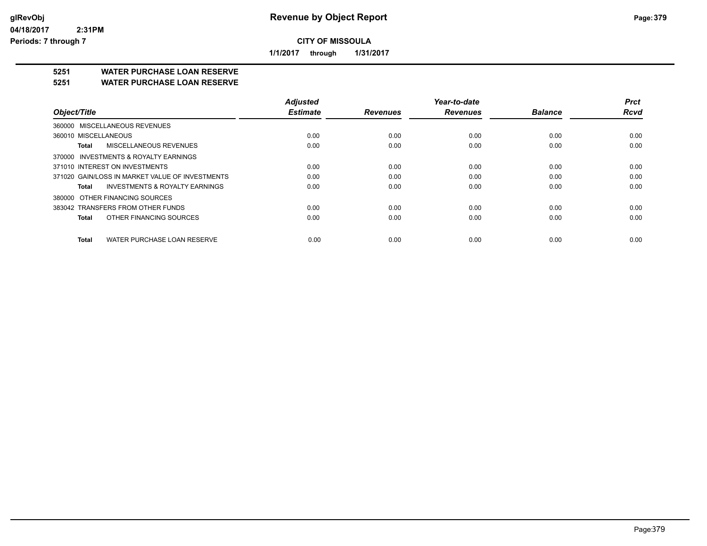**1/1/2017 through 1/31/2017**

## **5251 WATER PURCHASE LOAN RESERVE**

### **5251 WATER PURCHASE LOAN RESERVE**

|                                                    | <b>Adjusted</b> |                 | Year-to-date    |                | <b>Prct</b> |
|----------------------------------------------------|-----------------|-----------------|-----------------|----------------|-------------|
| Object/Title                                       | <b>Estimate</b> | <b>Revenues</b> | <b>Revenues</b> | <b>Balance</b> | Rcvd        |
| 360000 MISCELLANEOUS REVENUES                      |                 |                 |                 |                |             |
| 360010 MISCELLANEOUS                               | 0.00            | 0.00            | 0.00            | 0.00           | 0.00        |
| MISCELLANEOUS REVENUES<br>Total                    | 0.00            | 0.00            | 0.00            | 0.00           | 0.00        |
| 370000 INVESTMENTS & ROYALTY EARNINGS              |                 |                 |                 |                |             |
| 371010 INTEREST ON INVESTMENTS                     | 0.00            | 0.00            | 0.00            | 0.00           | 0.00        |
| 371020 GAIN/LOSS IN MARKET VALUE OF INVESTMENTS    | 0.00            | 0.00            | 0.00            | 0.00           | 0.00        |
| <b>INVESTMENTS &amp; ROYALTY EARNINGS</b><br>Total | 0.00            | 0.00            | 0.00            | 0.00           | 0.00        |
| 380000 OTHER FINANCING SOURCES                     |                 |                 |                 |                |             |
| 383042 TRANSFERS FROM OTHER FUNDS                  | 0.00            | 0.00            | 0.00            | 0.00           | 0.00        |
| OTHER FINANCING SOURCES<br>Total                   | 0.00            | 0.00            | 0.00            | 0.00           | 0.00        |
| <b>WATER PURCHASE LOAN RESERVE</b><br><b>Total</b> | 0.00            | 0.00            | 0.00            | 0.00           | 0.00        |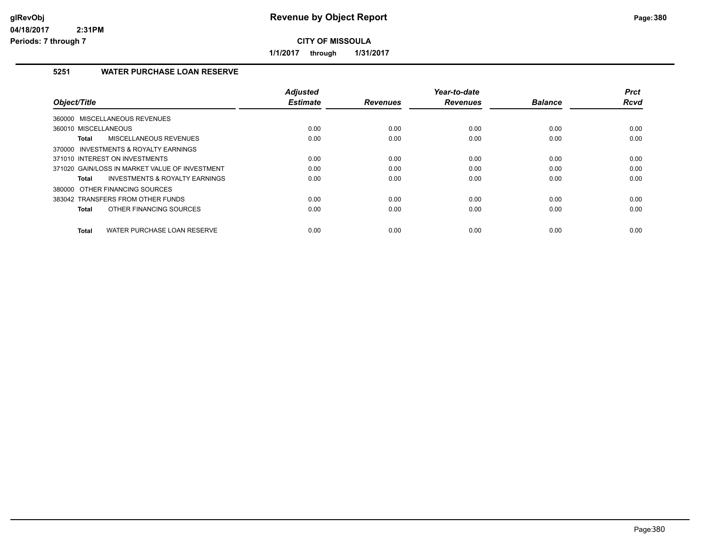**1/1/2017 through 1/31/2017**

#### **5251 WATER PURCHASE LOAN RESERVE**

|                                                | <b>Adjusted</b> |                 | Year-to-date    |                | <b>Prct</b> |
|------------------------------------------------|-----------------|-----------------|-----------------|----------------|-------------|
| Object/Title                                   | <b>Estimate</b> | <b>Revenues</b> | <b>Revenues</b> | <b>Balance</b> | <b>Rcvd</b> |
| 360000 MISCELLANEOUS REVENUES                  |                 |                 |                 |                |             |
| 360010 MISCELLANEOUS                           | 0.00            | 0.00            | 0.00            | 0.00           | 0.00        |
| MISCELLANEOUS REVENUES<br>Total                | 0.00            | 0.00            | 0.00            | 0.00           | 0.00        |
| 370000 INVESTMENTS & ROYALTY EARNINGS          |                 |                 |                 |                |             |
| 371010 INTEREST ON INVESTMENTS                 | 0.00            | 0.00            | 0.00            | 0.00           | 0.00        |
| 371020 GAIN/LOSS IN MARKET VALUE OF INVESTMENT | 0.00            | 0.00            | 0.00            | 0.00           | 0.00        |
| INVESTMENTS & ROYALTY EARNINGS<br>Total        | 0.00            | 0.00            | 0.00            | 0.00           | 0.00        |
| 380000 OTHER FINANCING SOURCES                 |                 |                 |                 |                |             |
| 383042 TRANSFERS FROM OTHER FUNDS              | 0.00            | 0.00            | 0.00            | 0.00           | 0.00        |
| OTHER FINANCING SOURCES<br>Total               | 0.00            | 0.00            | 0.00            | 0.00           | 0.00        |
| <b>Total</b><br>WATER PURCHASE LOAN RESERVE    | 0.00            | 0.00            | 0.00            | 0.00           | 0.00        |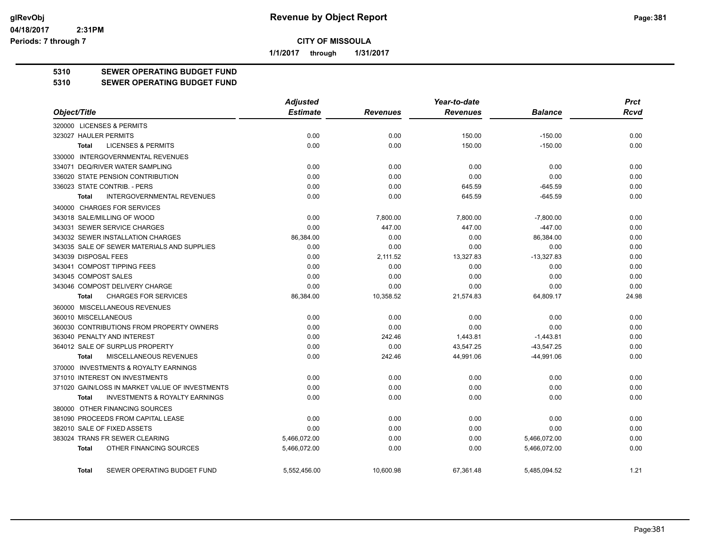**1/1/2017 through 1/31/2017**

## **5310 SEWER OPERATING BUDGET FUND**

#### **5310 SEWER OPERATING BUDGET FUND**

|                                                    | <b>Adjusted</b> |                 | Year-to-date    |                | <b>Prct</b> |
|----------------------------------------------------|-----------------|-----------------|-----------------|----------------|-------------|
| Object/Title                                       | <b>Estimate</b> | <b>Revenues</b> | <b>Revenues</b> | <b>Balance</b> | <b>Rcvd</b> |
| 320000 LICENSES & PERMITS                          |                 |                 |                 |                |             |
| 323027 HAULER PERMITS                              | 0.00            | 0.00            | 150.00          | $-150.00$      | 0.00        |
| <b>LICENSES &amp; PERMITS</b><br><b>Total</b>      | 0.00            | 0.00            | 150.00          | $-150.00$      | 0.00        |
| 330000 INTERGOVERNMENTAL REVENUES                  |                 |                 |                 |                |             |
| 334071 DEQ/RIVER WATER SAMPLING                    | 0.00            | 0.00            | 0.00            | 0.00           | 0.00        |
| 336020 STATE PENSION CONTRIBUTION                  | 0.00            | 0.00            | 0.00            | 0.00           | 0.00        |
| 336023 STATE CONTRIB. - PERS                       | 0.00            | 0.00            | 645.59          | $-645.59$      | 0.00        |
| <b>INTERGOVERNMENTAL REVENUES</b><br><b>Total</b>  | 0.00            | 0.00            | 645.59          | $-645.59$      | 0.00        |
| 340000 CHARGES FOR SERVICES                        |                 |                 |                 |                |             |
| 343018 SALE/MILLING OF WOOD                        | 0.00            | 7,800.00        | 7,800.00        | $-7,800.00$    | 0.00        |
| 343031 SEWER SERVICE CHARGES                       | 0.00            | 447.00          | 447.00          | $-447.00$      | 0.00        |
| 343032 SEWER INSTALLATION CHARGES                  | 86,384.00       | 0.00            | 0.00            | 86,384.00      | 0.00        |
| 343035 SALE OF SEWER MATERIALS AND SUPPLIES        | 0.00            | 0.00            | 0.00            | 0.00           | 0.00        |
| 343039 DISPOSAL FEES                               | 0.00            | 2,111.52        | 13,327.83       | $-13,327.83$   | 0.00        |
| 343041 COMPOST TIPPING FEES                        | 0.00            | 0.00            | 0.00            | 0.00           | 0.00        |
| 343045 COMPOST SALES                               | 0.00            | 0.00            | 0.00            | 0.00           | 0.00        |
| 343046 COMPOST DELIVERY CHARGE                     | 0.00            | 0.00            | 0.00            | 0.00           | 0.00        |
| <b>CHARGES FOR SERVICES</b><br><b>Total</b>        | 86,384.00       | 10,358.52       | 21,574.83       | 64,809.17      | 24.98       |
| 360000 MISCELLANEOUS REVENUES                      |                 |                 |                 |                |             |
| 360010 MISCELLANEOUS                               | 0.00            | 0.00            | 0.00            | 0.00           | 0.00        |
| 360030 CONTRIBUTIONS FROM PROPERTY OWNERS          | 0.00            | 0.00            | 0.00            | 0.00           | 0.00        |
| 363040 PENALTY AND INTEREST                        | 0.00            | 242.46          | 1,443.81        | $-1,443.81$    | 0.00        |
| 364012 SALE OF SURPLUS PROPERTY                    | 0.00            | 0.00            | 43,547.25       | $-43,547.25$   | 0.00        |
| MISCELLANEOUS REVENUES<br><b>Total</b>             | 0.00            | 242.46          | 44,991.06       | $-44,991.06$   | 0.00        |
| 370000 INVESTMENTS & ROYALTY EARNINGS              |                 |                 |                 |                |             |
| 371010 INTEREST ON INVESTMENTS                     | 0.00            | 0.00            | 0.00            | 0.00           | 0.00        |
| 371020 GAIN/LOSS IN MARKET VALUE OF INVESTMENTS    | 0.00            | 0.00            | 0.00            | 0.00           | 0.00        |
| <b>INVESTMENTS &amp; ROYALTY EARNINGS</b><br>Total | 0.00            | 0.00            | 0.00            | 0.00           | 0.00        |
| 380000 OTHER FINANCING SOURCES                     |                 |                 |                 |                |             |
| 381090 PROCEEDS FROM CAPITAL LEASE                 | 0.00            | 0.00            | 0.00            | 0.00           | 0.00        |
| 382010 SALE OF FIXED ASSETS                        | 0.00            | 0.00            | 0.00            | 0.00           | 0.00        |
| 383024 TRANS FR SEWER CLEARING                     | 5,466,072.00    | 0.00            | 0.00            | 5,466,072.00   | 0.00        |
| OTHER FINANCING SOURCES<br><b>Total</b>            | 5,466,072.00    | 0.00            | 0.00            | 5,466,072.00   | 0.00        |
| SEWER OPERATING BUDGET FUND<br><b>Total</b>        | 5,552,456.00    | 10,600.98       | 67,361.48       | 5,485,094.52   | 1.21        |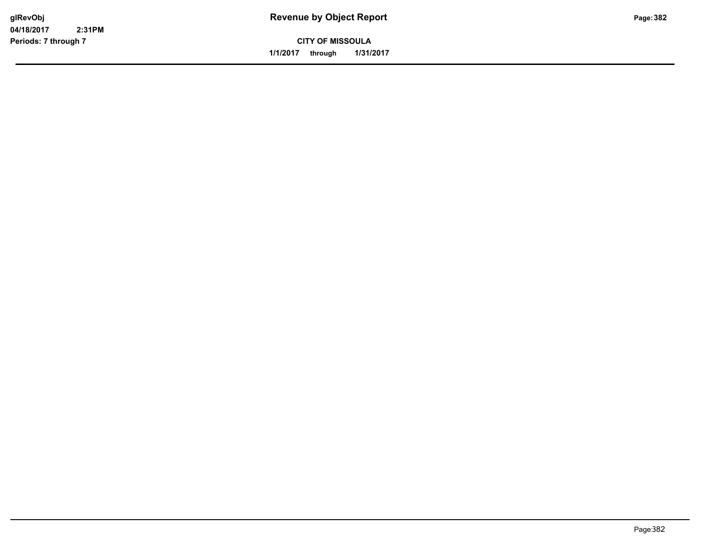**CITY OF MISSOULA 1/1/2017 through 1/31/2017**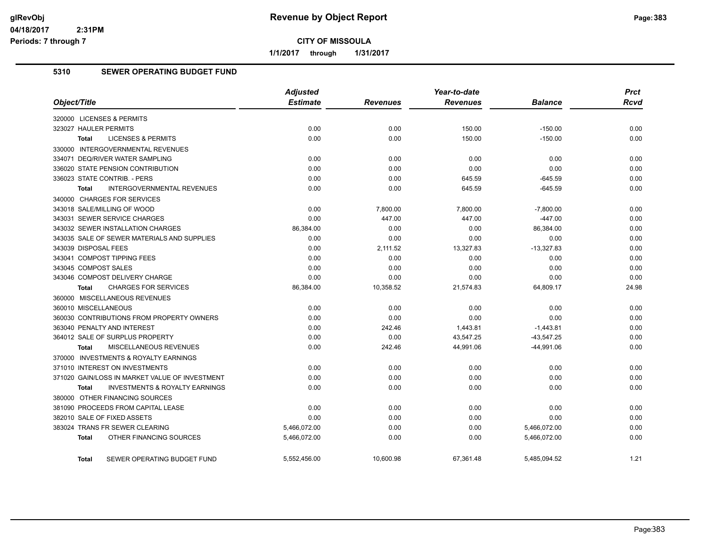**1/1/2017 through 1/31/2017**

#### **5310 SEWER OPERATING BUDGET FUND**

|                                                    | <b>Adjusted</b> |                 | Year-to-date    |                |             |  |
|----------------------------------------------------|-----------------|-----------------|-----------------|----------------|-------------|--|
| Object/Title                                       | <b>Estimate</b> | <b>Revenues</b> | <b>Revenues</b> | <b>Balance</b> | <b>Rcvd</b> |  |
| 320000 LICENSES & PERMITS                          |                 |                 |                 |                |             |  |
| 323027 HAULER PERMITS                              | 0.00            | 0.00            | 150.00          | $-150.00$      | 0.00        |  |
| <b>LICENSES &amp; PERMITS</b><br>Total             | 0.00            | 0.00            | 150.00          | $-150.00$      | 0.00        |  |
| 330000 INTERGOVERNMENTAL REVENUES                  |                 |                 |                 |                |             |  |
| 334071 DEQ/RIVER WATER SAMPLING                    | 0.00            | 0.00            | 0.00            | 0.00           | 0.00        |  |
| 336020 STATE PENSION CONTRIBUTION                  | 0.00            | 0.00            | 0.00            | 0.00           | 0.00        |  |
| 336023 STATE CONTRIB. - PERS                       | 0.00            | 0.00            | 645.59          | $-645.59$      | 0.00        |  |
| <b>INTERGOVERNMENTAL REVENUES</b><br>Total         | 0.00            | 0.00            | 645.59          | $-645.59$      | 0.00        |  |
| 340000 CHARGES FOR SERVICES                        |                 |                 |                 |                |             |  |
| 343018 SALE/MILLING OF WOOD                        | 0.00            | 7,800.00        | 7,800.00        | $-7,800.00$    | 0.00        |  |
| 343031 SEWER SERVICE CHARGES                       | 0.00            | 447.00          | 447.00          | $-447.00$      | 0.00        |  |
| 343032 SEWER INSTALLATION CHARGES                  | 86,384.00       | 0.00            | 0.00            | 86,384.00      | 0.00        |  |
| 343035 SALE OF SEWER MATERIALS AND SUPPLIES        | 0.00            | 0.00            | 0.00            | 0.00           | 0.00        |  |
| 343039 DISPOSAL FEES                               | 0.00            | 2,111.52        | 13,327.83       | $-13,327.83$   | 0.00        |  |
| 343041 COMPOST TIPPING FEES                        | 0.00            | 0.00            | 0.00            | 0.00           | 0.00        |  |
| 343045 COMPOST SALES                               | 0.00            | 0.00            | 0.00            | 0.00           | 0.00        |  |
| 343046 COMPOST DELIVERY CHARGE                     | 0.00            | 0.00            | 0.00            | 0.00           | 0.00        |  |
| <b>CHARGES FOR SERVICES</b><br>Total               | 86,384.00       | 10,358.52       | 21,574.83       | 64,809.17      | 24.98       |  |
| 360000 MISCELLANEOUS REVENUES                      |                 |                 |                 |                |             |  |
| 360010 MISCELLANEOUS                               | 0.00            | 0.00            | 0.00            | 0.00           | 0.00        |  |
| 360030 CONTRIBUTIONS FROM PROPERTY OWNERS          | 0.00            | 0.00            | 0.00            | 0.00           | 0.00        |  |
| 363040 PENALTY AND INTEREST                        | 0.00            | 242.46          | 1,443.81        | $-1,443.81$    | 0.00        |  |
| 364012 SALE OF SURPLUS PROPERTY                    | 0.00            | 0.00            | 43,547.25       | $-43,547.25$   | 0.00        |  |
| MISCELLANEOUS REVENUES<br>Total                    | 0.00            | 242.46          | 44,991.06       | $-44,991.06$   | 0.00        |  |
| 370000 INVESTMENTS & ROYALTY EARNINGS              |                 |                 |                 |                |             |  |
| 371010 INTEREST ON INVESTMENTS                     | 0.00            | 0.00            | 0.00            | 0.00           | 0.00        |  |
| 371020 GAIN/LOSS IN MARKET VALUE OF INVESTMENT     | 0.00            | 0.00            | 0.00            | 0.00           | 0.00        |  |
| <b>INVESTMENTS &amp; ROYALTY EARNINGS</b><br>Total | 0.00            | 0.00            | 0.00            | 0.00           | 0.00        |  |
| 380000 OTHER FINANCING SOURCES                     |                 |                 |                 |                |             |  |
| 381090 PROCEEDS FROM CAPITAL LEASE                 | 0.00            | 0.00            | 0.00            | 0.00           | 0.00        |  |
| 382010 SALE OF FIXED ASSETS                        | 0.00            | 0.00            | 0.00            | 0.00           | 0.00        |  |
| 383024 TRANS FR SEWER CLEARING                     | 5,466,072.00    | 0.00            | 0.00            | 5,466,072.00   | 0.00        |  |
| OTHER FINANCING SOURCES<br><b>Total</b>            | 5,466,072.00    | 0.00            | 0.00            | 5,466,072.00   | 0.00        |  |
| SEWER OPERATING BUDGET FUND<br><b>Total</b>        | 5,552,456.00    | 10,600.98       | 67,361.48       | 5,485,094.52   | 1.21        |  |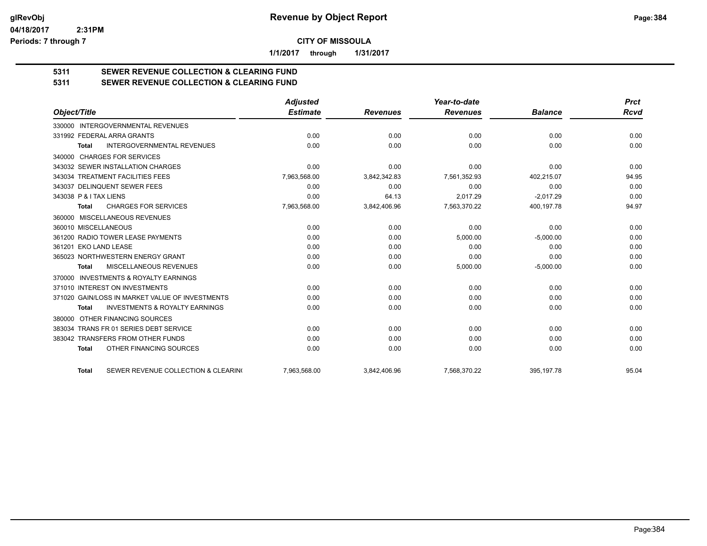**1/1/2017 through 1/31/2017**

#### **5311 SEWER REVENUE COLLECTION & CLEARING FUND 5311 SEWER REVENUE COLLECTION & CLEARING FUND**

|                                                           | <b>Adjusted</b> |                 | Year-to-date    |                | <b>Prct</b> |
|-----------------------------------------------------------|-----------------|-----------------|-----------------|----------------|-------------|
| Object/Title                                              | <b>Estimate</b> | <b>Revenues</b> | <b>Revenues</b> | <b>Balance</b> | <b>Rcvd</b> |
| 330000 INTERGOVERNMENTAL REVENUES                         |                 |                 |                 |                |             |
| 331992 FEDERAL ARRA GRANTS                                | 0.00            | 0.00            | 0.00            | 0.00           | 0.00        |
| INTERGOVERNMENTAL REVENUES<br>Total                       | 0.00            | 0.00            | 0.00            | 0.00           | 0.00        |
| <b>CHARGES FOR SERVICES</b><br>340000                     |                 |                 |                 |                |             |
| 343032 SEWER INSTALLATION CHARGES                         | 0.00            | 0.00            | 0.00            | 0.00           | 0.00        |
| 343034 TREATMENT FACILITIES FEES                          | 7,963,568.00    | 3,842,342.83    | 7,561,352.93    | 402,215.07     | 94.95       |
| 343037 DELINQUENT SEWER FEES                              | 0.00            | 0.00            | 0.00            | 0.00           | 0.00        |
| 343038 P & I TAX LIENS                                    | 0.00            | 64.13           | 2,017.29        | $-2.017.29$    | 0.00        |
| <b>CHARGES FOR SERVICES</b><br><b>Total</b>               | 7,963,568.00    | 3,842,406.96    | 7,563,370.22    | 400,197.78     | 94.97       |
| <b>MISCELLANEOUS REVENUES</b><br>360000                   |                 |                 |                 |                |             |
| 360010 MISCELLANEOUS                                      | 0.00            | 0.00            | 0.00            | 0.00           | 0.00        |
| 361200 RADIO TOWER LEASE PAYMENTS                         | 0.00            | 0.00            | 5,000.00        | $-5,000.00$    | 0.00        |
| 361201 EKO LAND LEASE                                     | 0.00            | 0.00            | 0.00            | 0.00           | 0.00        |
| 365023 NORTHWESTERN ENERGY GRANT                          | 0.00            | 0.00            | 0.00            | 0.00           | 0.00        |
| MISCELLANEOUS REVENUES<br><b>Total</b>                    | 0.00            | 0.00            | 5,000.00        | $-5,000.00$    | 0.00        |
| <b>INVESTMENTS &amp; ROYALTY EARNINGS</b><br>370000       |                 |                 |                 |                |             |
| 371010 INTEREST ON INVESTMENTS                            | 0.00            | 0.00            | 0.00            | 0.00           | 0.00        |
| 371020 GAIN/LOSS IN MARKET VALUE OF INVESTMENTS           | 0.00            | 0.00            | 0.00            | 0.00           | 0.00        |
| <b>INVESTMENTS &amp; ROYALTY EARNINGS</b><br><b>Total</b> | 0.00            | 0.00            | 0.00            | 0.00           | 0.00        |
| OTHER FINANCING SOURCES<br>380000                         |                 |                 |                 |                |             |
| TRANS FR 01 SERIES DEBT SERVICE<br>383034                 | 0.00            | 0.00            | 0.00            | 0.00           | 0.00        |
| 383042 TRANSFERS FROM OTHER FUNDS                         | 0.00            | 0.00            | 0.00            | 0.00           | 0.00        |
| OTHER FINANCING SOURCES<br><b>Total</b>                   | 0.00            | 0.00            | 0.00            | 0.00           | 0.00        |
|                                                           |                 |                 |                 |                |             |
| SEWER REVENUE COLLECTION & CLEARING<br><b>Total</b>       | 7,963,568.00    | 3,842,406.96    | 7,568,370.22    | 395, 197.78    | 95.04       |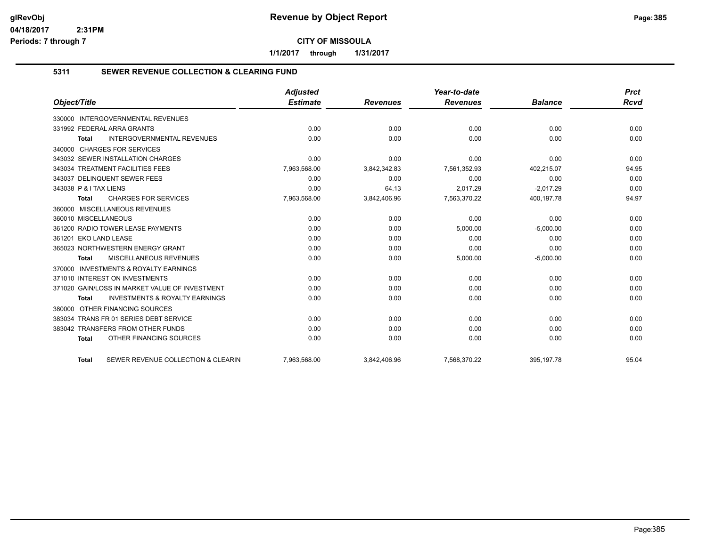**1/1/2017 through 1/31/2017**

#### **5311 SEWER REVENUE COLLECTION & CLEARING FUND**

|                                                    | <b>Adjusted</b> |                 | Year-to-date    |                | <b>Prct</b> |
|----------------------------------------------------|-----------------|-----------------|-----------------|----------------|-------------|
| Object/Title                                       | <b>Estimate</b> | <b>Revenues</b> | <b>Revenues</b> | <b>Balance</b> | <b>Rcvd</b> |
| 330000 INTERGOVERNMENTAL REVENUES                  |                 |                 |                 |                |             |
| 331992 FEDERAL ARRA GRANTS                         | 0.00            | 0.00            | 0.00            | 0.00           | 0.00        |
| <b>INTERGOVERNMENTAL REVENUES</b><br><b>Total</b>  | 0.00            | 0.00            | 0.00            | 0.00           | 0.00        |
| 340000 CHARGES FOR SERVICES                        |                 |                 |                 |                |             |
| 343032 SEWER INSTALLATION CHARGES                  | 0.00            | 0.00            | 0.00            | 0.00           | 0.00        |
| 343034 TREATMENT FACILITIES FEES                   | 7,963,568.00    | 3,842,342.83    | 7,561,352.93    | 402,215.07     | 94.95       |
| 343037 DELINQUENT SEWER FEES                       | 0.00            | 0.00            | 0.00            | 0.00           | 0.00        |
| 343038 P & I TAX LIENS                             | 0.00            | 64.13           | 2.017.29        | $-2,017.29$    | 0.00        |
| <b>CHARGES FOR SERVICES</b><br>Total               | 7,963,568.00    | 3,842,406.96    | 7,563,370.22    | 400,197.78     | 94.97       |
| 360000 MISCELLANEOUS REVENUES                      |                 |                 |                 |                |             |
| 360010 MISCELLANEOUS                               | 0.00            | 0.00            | 0.00            | 0.00           | 0.00        |
| 361200 RADIO TOWER LEASE PAYMENTS                  | 0.00            | 0.00            | 5,000.00        | $-5,000.00$    | 0.00        |
| 361201 EKO LAND LEASE                              | 0.00            | 0.00            | 0.00            | 0.00           | 0.00        |
| 365023 NORTHWESTERN ENERGY GRANT                   | 0.00            | 0.00            | 0.00            | 0.00           | 0.00        |
| MISCELLANEOUS REVENUES<br><b>Total</b>             | 0.00            | 0.00            | 5,000.00        | $-5,000.00$    | 0.00        |
| 370000 INVESTMENTS & ROYALTY EARNINGS              |                 |                 |                 |                |             |
| 371010 INTEREST ON INVESTMENTS                     | 0.00            | 0.00            | 0.00            | 0.00           | 0.00        |
| 371020 GAIN/LOSS IN MARKET VALUE OF INVESTMENT     | 0.00            | 0.00            | 0.00            | 0.00           | 0.00        |
| <b>INVESTMENTS &amp; ROYALTY EARNINGS</b><br>Total | 0.00            | 0.00            | 0.00            | 0.00           | 0.00        |
| 380000 OTHER FINANCING SOURCES                     |                 |                 |                 |                |             |
| 383034 TRANS FR 01 SERIES DEBT SERVICE             | 0.00            | 0.00            | 0.00            | 0.00           | 0.00        |
| 383042 TRANSFERS FROM OTHER FUNDS                  | 0.00            | 0.00            | 0.00            | 0.00           | 0.00        |
| OTHER FINANCING SOURCES<br><b>Total</b>            | 0.00            | 0.00            | 0.00            | 0.00           | 0.00        |
| SEWER REVENUE COLLECTION & CLEARIN<br><b>Total</b> | 7,963,568.00    | 3,842,406.96    | 7,568,370.22    | 395.197.78     | 95.04       |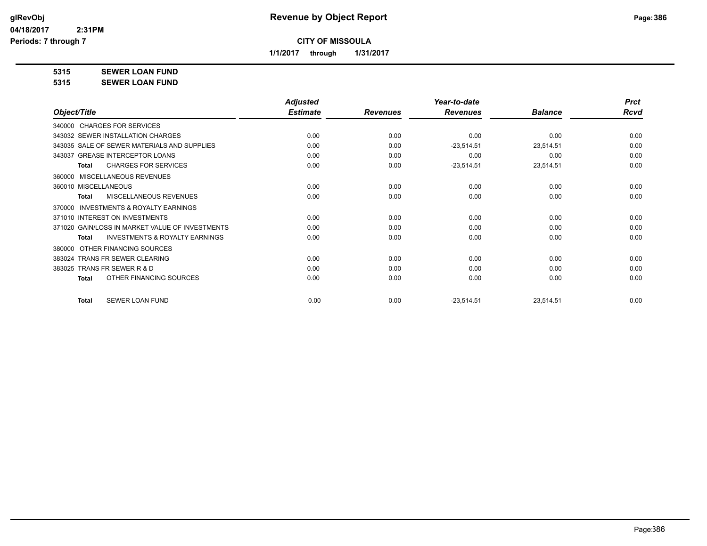**1/1/2017 through 1/31/2017**

**5315 SEWER LOAN FUND**

| 5315 | <b>SEWER LOAN FUND</b> |
|------|------------------------|
|      |                        |

|                                                     | <b>Adjusted</b> |                 | Year-to-date    |                | <b>Prct</b> |
|-----------------------------------------------------|-----------------|-----------------|-----------------|----------------|-------------|
| Object/Title                                        | <b>Estimate</b> | <b>Revenues</b> | <b>Revenues</b> | <b>Balance</b> | Rcvd        |
| 340000 CHARGES FOR SERVICES                         |                 |                 |                 |                |             |
| 343032 SEWER INSTALLATION CHARGES                   | 0.00            | 0.00            | 0.00            | 0.00           | 0.00        |
| 343035 SALE OF SEWER MATERIALS AND SUPPLIES         | 0.00            | 0.00            | $-23,514.51$    | 23,514.51      | 0.00        |
| 343037 GREASE INTERCEPTOR LOANS                     | 0.00            | 0.00            | 0.00            | 0.00           | 0.00        |
| <b>CHARGES FOR SERVICES</b><br><b>Total</b>         | 0.00            | 0.00            | $-23,514.51$    | 23,514.51      | 0.00        |
| 360000 MISCELLANEOUS REVENUES                       |                 |                 |                 |                |             |
| 360010 MISCELLANEOUS                                | 0.00            | 0.00            | 0.00            | 0.00           | 0.00        |
| MISCELLANEOUS REVENUES<br><b>Total</b>              | 0.00            | 0.00            | 0.00            | 0.00           | 0.00        |
| <b>INVESTMENTS &amp; ROYALTY EARNINGS</b><br>370000 |                 |                 |                 |                |             |
| 371010 INTEREST ON INVESTMENTS                      | 0.00            | 0.00            | 0.00            | 0.00           | 0.00        |
| 371020 GAIN/LOSS IN MARKET VALUE OF INVESTMENTS     | 0.00            | 0.00            | 0.00            | 0.00           | 0.00        |
| <b>INVESTMENTS &amp; ROYALTY EARNINGS</b><br>Total  | 0.00            | 0.00            | 0.00            | 0.00           | 0.00        |
| 380000 OTHER FINANCING SOURCES                      |                 |                 |                 |                |             |
| 383024 TRANS FR SEWER CLEARING                      | 0.00            | 0.00            | 0.00            | 0.00           | 0.00        |
| 383025 TRANS FR SEWER R & D                         | 0.00            | 0.00            | 0.00            | 0.00           | 0.00        |
| OTHER FINANCING SOURCES<br><b>Total</b>             | 0.00            | 0.00            | 0.00            | 0.00           | 0.00        |
|                                                     |                 |                 |                 |                |             |
| <b>SEWER LOAN FUND</b><br><b>Total</b>              | 0.00            | 0.00            | $-23,514.51$    | 23,514.51      | 0.00        |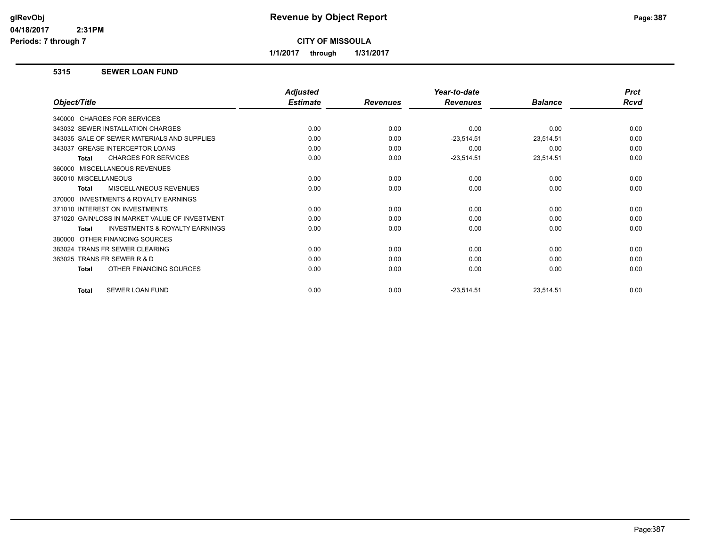**1/1/2017 through 1/31/2017**

#### **5315 SEWER LOAN FUND**

|                                                           | <b>Adjusted</b> |                 | Year-to-date    |                | <b>Prct</b> |
|-----------------------------------------------------------|-----------------|-----------------|-----------------|----------------|-------------|
| Object/Title                                              | <b>Estimate</b> | <b>Revenues</b> | <b>Revenues</b> | <b>Balance</b> | <b>Rcvd</b> |
| 340000 CHARGES FOR SERVICES                               |                 |                 |                 |                |             |
| 343032 SEWER INSTALLATION CHARGES                         | 0.00            | 0.00            | 0.00            | 0.00           | 0.00        |
| 343035 SALE OF SEWER MATERIALS AND SUPPLIES               | 0.00            | 0.00            | $-23,514.51$    | 23,514.51      | 0.00        |
| 343037 GREASE INTERCEPTOR LOANS                           | 0.00            | 0.00            | 0.00            | 0.00           | 0.00        |
| <b>CHARGES FOR SERVICES</b><br><b>Total</b>               | 0.00            | 0.00            | $-23,514.51$    | 23,514.51      | 0.00        |
| 360000 MISCELLANEOUS REVENUES                             |                 |                 |                 |                |             |
| 360010 MISCELLANEOUS                                      | 0.00            | 0.00            | 0.00            | 0.00           | 0.00        |
| MISCELLANEOUS REVENUES<br><b>Total</b>                    | 0.00            | 0.00            | 0.00            | 0.00           | 0.00        |
| 370000 INVESTMENTS & ROYALTY EARNINGS                     |                 |                 |                 |                |             |
| 371010 INTEREST ON INVESTMENTS                            | 0.00            | 0.00            | 0.00            | 0.00           | 0.00        |
| 371020 GAIN/LOSS IN MARKET VALUE OF INVESTMENT            | 0.00            | 0.00            | 0.00            | 0.00           | 0.00        |
| <b>INVESTMENTS &amp; ROYALTY EARNINGS</b><br><b>Total</b> | 0.00            | 0.00            | 0.00            | 0.00           | 0.00        |
| 380000 OTHER FINANCING SOURCES                            |                 |                 |                 |                |             |
| 383024 TRANS FR SEWER CLEARING                            | 0.00            | 0.00            | 0.00            | 0.00           | 0.00        |
| 383025 TRANS FR SEWER R & D                               | 0.00            | 0.00            | 0.00            | 0.00           | 0.00        |
| OTHER FINANCING SOURCES<br><b>Total</b>                   | 0.00            | 0.00            | 0.00            | 0.00           | 0.00        |
| <b>SEWER LOAN FUND</b><br><b>Total</b>                    | 0.00            | 0.00            | $-23,514.51$    | 23,514.51      | 0.00        |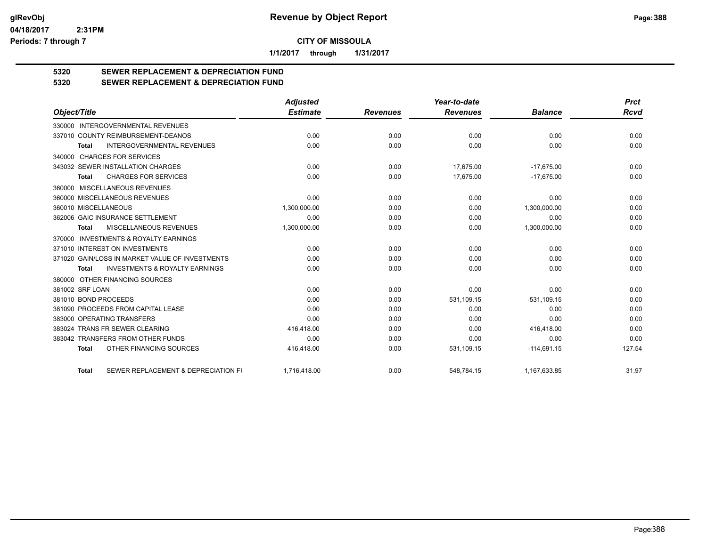**1/1/2017 through 1/31/2017**

#### **5320 SEWER REPLACEMENT & DEPRECIATION FUND 5320 SEWER REPLACEMENT & DEPRECIATION FUND**

|                                                           | <b>Adjusted</b> |                 | Year-to-date    |                | <b>Prct</b> |
|-----------------------------------------------------------|-----------------|-----------------|-----------------|----------------|-------------|
| Object/Title                                              | <b>Estimate</b> | <b>Revenues</b> | <b>Revenues</b> | <b>Balance</b> | <b>Rcvd</b> |
| 330000 INTERGOVERNMENTAL REVENUES                         |                 |                 |                 |                |             |
| 337010 COUNTY REIMBURSEMENT-DEANOS                        | 0.00            | 0.00            | 0.00            | 0.00           | 0.00        |
| <b>INTERGOVERNMENTAL REVENUES</b><br><b>Total</b>         | 0.00            | 0.00            | 0.00            | 0.00           | 0.00        |
| 340000 CHARGES FOR SERVICES                               |                 |                 |                 |                |             |
| 343032 SEWER INSTALLATION CHARGES                         | 0.00            | 0.00            | 17,675.00       | $-17,675.00$   | 0.00        |
| <b>CHARGES FOR SERVICES</b><br><b>Total</b>               | 0.00            | 0.00            | 17,675.00       | $-17.675.00$   | 0.00        |
| MISCELLANEOUS REVENUES<br>360000                          |                 |                 |                 |                |             |
| 360000 MISCELLANEOUS REVENUES                             | 0.00            | 0.00            | 0.00            | 0.00           | 0.00        |
| 360010 MISCELLANEOUS                                      | 1,300,000.00    | 0.00            | 0.00            | 1,300,000.00   | 0.00        |
| 362006 GAIC INSURANCE SETTLEMENT                          | 0.00            | 0.00            | 0.00            | 0.00           | 0.00        |
| MISCELLANEOUS REVENUES<br><b>Total</b>                    | 1,300,000.00    | 0.00            | 0.00            | 1,300,000.00   | 0.00        |
| <b>INVESTMENTS &amp; ROYALTY EARNINGS</b><br>370000       |                 |                 |                 |                |             |
| 371010 INTEREST ON INVESTMENTS                            | 0.00            | 0.00            | 0.00            | 0.00           | 0.00        |
| 371020 GAIN/LOSS IN MARKET VALUE OF INVESTMENTS           | 0.00            | 0.00            | 0.00            | 0.00           | 0.00        |
| <b>INVESTMENTS &amp; ROYALTY EARNINGS</b><br><b>Total</b> | 0.00            | 0.00            | 0.00            | 0.00           | 0.00        |
| 380000 OTHER FINANCING SOURCES                            |                 |                 |                 |                |             |
| 381002 SRF LOAN                                           | 0.00            | 0.00            | 0.00            | 0.00           | 0.00        |
| 381010 BOND PROCEEDS                                      | 0.00            | 0.00            | 531,109.15      | $-531,109.15$  | 0.00        |
| 381090 PROCEEDS FROM CAPITAL LEASE                        | 0.00            | 0.00            | 0.00            | 0.00           | 0.00        |
| 383000 OPERATING TRANSFERS                                | 0.00            | 0.00            | 0.00            | 0.00           | 0.00        |
| 383024 TRANS FR SEWER CLEARING                            | 416.418.00      | 0.00            | 0.00            | 416.418.00     | 0.00        |
| 383042 TRANSFERS FROM OTHER FUNDS                         | 0.00            | 0.00            | 0.00            | 0.00           | 0.00        |
| OTHER FINANCING SOURCES<br><b>Total</b>                   | 416,418.00      | 0.00            | 531,109.15      | $-114,691.15$  | 127.54      |
|                                                           |                 |                 |                 |                |             |
| SEWER REPLACEMENT & DEPRECIATION FU<br><b>Total</b>       | 1,716,418.00    | 0.00            | 548,784.15      | 1,167,633.85   | 31.97       |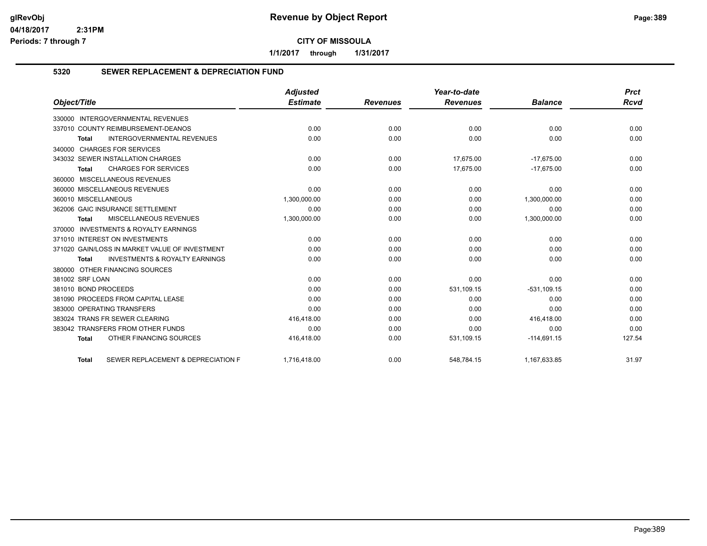**1/1/2017 through 1/31/2017**

#### **5320 SEWER REPLACEMENT & DEPRECIATION FUND**

|                                                    | <b>Adjusted</b> |                 | Year-to-date    |                | <b>Prct</b> |
|----------------------------------------------------|-----------------|-----------------|-----------------|----------------|-------------|
| Object/Title                                       | <b>Estimate</b> | <b>Revenues</b> | <b>Revenues</b> | <b>Balance</b> | <b>Rcvd</b> |
| 330000 INTERGOVERNMENTAL REVENUES                  |                 |                 |                 |                |             |
| 337010 COUNTY REIMBURSEMENT-DEANOS                 | 0.00            | 0.00            | 0.00            | 0.00           | 0.00        |
| <b>INTERGOVERNMENTAL REVENUES</b><br><b>Total</b>  | 0.00            | 0.00            | 0.00            | 0.00           | 0.00        |
| 340000 CHARGES FOR SERVICES                        |                 |                 |                 |                |             |
| 343032 SEWER INSTALLATION CHARGES                  | 0.00            | 0.00            | 17.675.00       | $-17.675.00$   | 0.00        |
| <b>CHARGES FOR SERVICES</b><br><b>Total</b>        | 0.00            | 0.00            | 17,675.00       | $-17,675.00$   | 0.00        |
| 360000 MISCELLANEOUS REVENUES                      |                 |                 |                 |                |             |
| 360000 MISCELLANEOUS REVENUES                      | 0.00            | 0.00            | 0.00            | 0.00           | 0.00        |
| 360010 MISCELLANEOUS                               | 1,300,000.00    | 0.00            | 0.00            | 1,300,000.00   | 0.00        |
| 362006 GAIC INSURANCE SETTLEMENT                   | 0.00            | 0.00            | 0.00            | 0.00           | 0.00        |
| MISCELLANEOUS REVENUES<br>Total                    | 1,300,000.00    | 0.00            | 0.00            | 1,300,000.00   | 0.00        |
| 370000 INVESTMENTS & ROYALTY EARNINGS              |                 |                 |                 |                |             |
| 371010 INTEREST ON INVESTMENTS                     | 0.00            | 0.00            | 0.00            | 0.00           | 0.00        |
| 371020 GAIN/LOSS IN MARKET VALUE OF INVESTMENT     | 0.00            | 0.00            | 0.00            | 0.00           | 0.00        |
| <b>INVESTMENTS &amp; ROYALTY EARNINGS</b><br>Total | 0.00            | 0.00            | 0.00            | 0.00           | 0.00        |
| 380000 OTHER FINANCING SOURCES                     |                 |                 |                 |                |             |
| 381002 SRF LOAN                                    | 0.00            | 0.00            | 0.00            | 0.00           | 0.00        |
| 381010 BOND PROCEEDS                               | 0.00            | 0.00            | 531,109.15      | $-531,109.15$  | 0.00        |
| 381090 PROCEEDS FROM CAPITAL LEASE                 | 0.00            | 0.00            | 0.00            | 0.00           | 0.00        |
| 383000 OPERATING TRANSFERS                         | 0.00            | 0.00            | 0.00            | 0.00           | 0.00        |
| 383024 TRANS FR SEWER CLEARING                     | 416,418.00      | 0.00            | 0.00            | 416,418.00     | 0.00        |
| 383042 TRANSFERS FROM OTHER FUNDS                  | 0.00            | 0.00            | 0.00            | 0.00           | 0.00        |
| OTHER FINANCING SOURCES<br><b>Total</b>            | 416,418.00      | 0.00            | 531,109.15      | $-114,691.15$  | 127.54      |
| SEWER REPLACEMENT & DEPRECIATION F<br><b>Total</b> | 1,716,418.00    | 0.00            | 548,784.15      | 1,167,633.85   | 31.97       |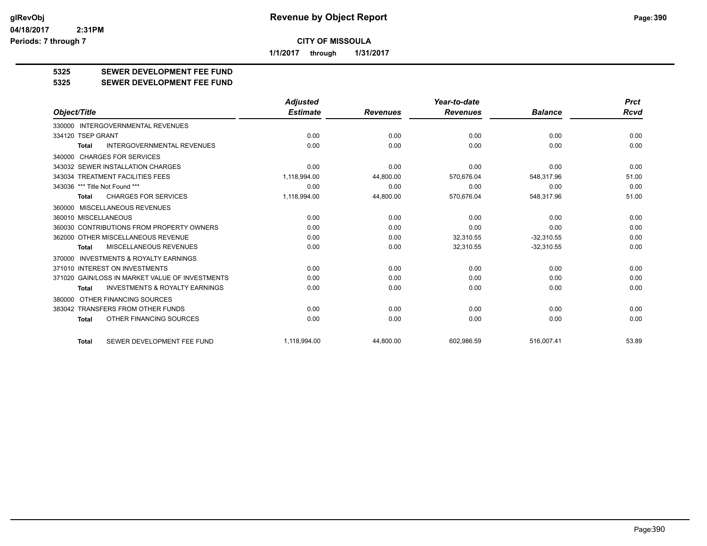**1/1/2017 through 1/31/2017**

### **5325 SEWER DEVELOPMENT FEE FUND**

**5325 SEWER DEVELOPMENT FEE FUND**

|                                                           | <b>Adjusted</b> |                 | Year-to-date    |                | <b>Prct</b> |
|-----------------------------------------------------------|-----------------|-----------------|-----------------|----------------|-------------|
| Object/Title                                              | <b>Estimate</b> | <b>Revenues</b> | <b>Revenues</b> | <b>Balance</b> | Rcvd        |
| 330000 INTERGOVERNMENTAL REVENUES                         |                 |                 |                 |                |             |
| 334120 TSEP GRANT                                         | 0.00            | 0.00            | 0.00            | 0.00           | 0.00        |
| <b>INTERGOVERNMENTAL REVENUES</b><br><b>Total</b>         | 0.00            | 0.00            | 0.00            | 0.00           | 0.00        |
| 340000 CHARGES FOR SERVICES                               |                 |                 |                 |                |             |
| 343032 SEWER INSTALLATION CHARGES                         | 0.00            | 0.00            | 0.00            | 0.00           | 0.00        |
| 343034 TREATMENT FACILITIES FEES                          | 1,118,994.00    | 44,800.00       | 570,676.04      | 548,317.96     | 51.00       |
| 343036 *** Title Not Found ***                            | 0.00            | 0.00            | 0.00            | 0.00           | 0.00        |
| <b>CHARGES FOR SERVICES</b><br><b>Total</b>               | 1,118,994.00    | 44,800.00       | 570,676.04      | 548,317.96     | 51.00       |
| 360000 MISCELLANEOUS REVENUES                             |                 |                 |                 |                |             |
| 360010 MISCELLANEOUS                                      | 0.00            | 0.00            | 0.00            | 0.00           | 0.00        |
| 360030 CONTRIBUTIONS FROM PROPERTY OWNERS                 | 0.00            | 0.00            | 0.00            | 0.00           | 0.00        |
| 362000 OTHER MISCELLANEOUS REVENUE                        | 0.00            | 0.00            | 32,310.55       | $-32,310.55$   | 0.00        |
| MISCELLANEOUS REVENUES<br>Total                           | 0.00            | 0.00            | 32,310.55       | $-32,310.55$   | 0.00        |
| <b>INVESTMENTS &amp; ROYALTY EARNINGS</b><br>370000       |                 |                 |                 |                |             |
| 371010 INTEREST ON INVESTMENTS                            | 0.00            | 0.00            | 0.00            | 0.00           | 0.00        |
| 371020 GAIN/LOSS IN MARKET VALUE OF INVESTMENTS           | 0.00            | 0.00            | 0.00            | 0.00           | 0.00        |
| <b>INVESTMENTS &amp; ROYALTY EARNINGS</b><br><b>Total</b> | 0.00            | 0.00            | 0.00            | 0.00           | 0.00        |
| 380000 OTHER FINANCING SOURCES                            |                 |                 |                 |                |             |
| 383042 TRANSFERS FROM OTHER FUNDS                         | 0.00            | 0.00            | 0.00            | 0.00           | 0.00        |
| OTHER FINANCING SOURCES<br><b>Total</b>                   | 0.00            | 0.00            | 0.00            | 0.00           | 0.00        |
| SEWER DEVELOPMENT FEE FUND<br><b>Total</b>                | 1,118,994.00    | 44,800.00       | 602,986.59      | 516,007.41     | 53.89       |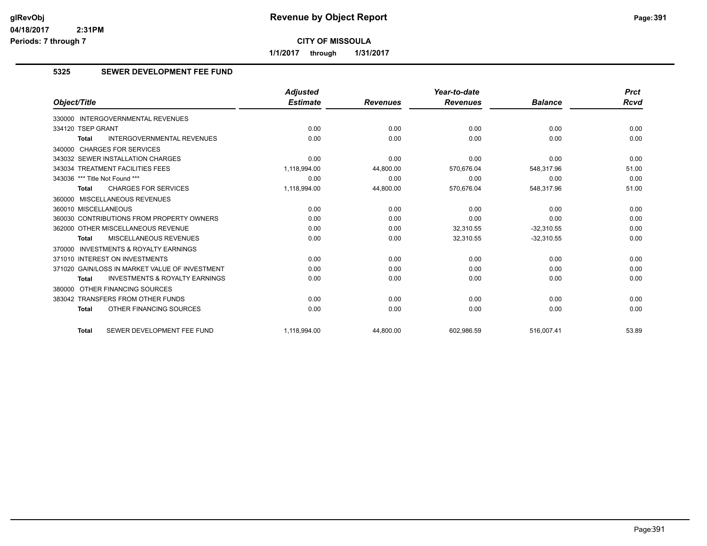**1/1/2017 through 1/31/2017**

#### **5325 SEWER DEVELOPMENT FEE FUND**

|                                                           | <b>Adjusted</b> |                 | Year-to-date    |                | <b>Prct</b> |
|-----------------------------------------------------------|-----------------|-----------------|-----------------|----------------|-------------|
| Object/Title                                              | <b>Estimate</b> | <b>Revenues</b> | <b>Revenues</b> | <b>Balance</b> | <b>Rcvd</b> |
| <b>INTERGOVERNMENTAL REVENUES</b><br>330000               |                 |                 |                 |                |             |
| 334120 TSEP GRANT                                         | 0.00            | 0.00            | 0.00            | 0.00           | 0.00        |
| <b>INTERGOVERNMENTAL REVENUES</b><br>Total                | 0.00            | 0.00            | 0.00            | 0.00           | 0.00        |
| 340000 CHARGES FOR SERVICES                               |                 |                 |                 |                |             |
| 343032 SEWER INSTALLATION CHARGES                         | 0.00            | 0.00            | 0.00            | 0.00           | 0.00        |
| 343034 TREATMENT FACILITIES FEES                          | 1,118,994.00    | 44,800.00       | 570,676.04      | 548,317.96     | 51.00       |
| 343036 *** Title Not Found ***                            | 0.00            | 0.00            | 0.00            | 0.00           | 0.00        |
| Total<br><b>CHARGES FOR SERVICES</b>                      | 1,118,994.00    | 44,800.00       | 570,676.04      | 548,317.96     | 51.00       |
| MISCELLANEOUS REVENUES<br>360000                          |                 |                 |                 |                |             |
| 360010 MISCELLANEOUS                                      | 0.00            | 0.00            | 0.00            | 0.00           | 0.00        |
| 360030 CONTRIBUTIONS FROM PROPERTY OWNERS                 | 0.00            | 0.00            | 0.00            | 0.00           | 0.00        |
| 362000 OTHER MISCELLANEOUS REVENUE                        | 0.00            | 0.00            | 32,310.55       | $-32,310.55$   | 0.00        |
| <b>MISCELLANEOUS REVENUES</b><br>Total                    | 0.00            | 0.00            | 32,310.55       | $-32,310.55$   | 0.00        |
| 370000 INVESTMENTS & ROYALTY EARNINGS                     |                 |                 |                 |                |             |
| 371010 INTEREST ON INVESTMENTS                            | 0.00            | 0.00            | 0.00            | 0.00           | 0.00        |
| 371020 GAIN/LOSS IN MARKET VALUE OF INVESTMENT            | 0.00            | 0.00            | 0.00            | 0.00           | 0.00        |
| <b>INVESTMENTS &amp; ROYALTY EARNINGS</b><br><b>Total</b> | 0.00            | 0.00            | 0.00            | 0.00           | 0.00        |
| 380000 OTHER FINANCING SOURCES                            |                 |                 |                 |                |             |
| 383042 TRANSFERS FROM OTHER FUNDS                         | 0.00            | 0.00            | 0.00            | 0.00           | 0.00        |
| OTHER FINANCING SOURCES<br>Total                          | 0.00            | 0.00            | 0.00            | 0.00           | 0.00        |
| SEWER DEVELOPMENT FEE FUND<br><b>Total</b>                | 1.118.994.00    | 44.800.00       | 602.986.59      | 516.007.41     | 53.89       |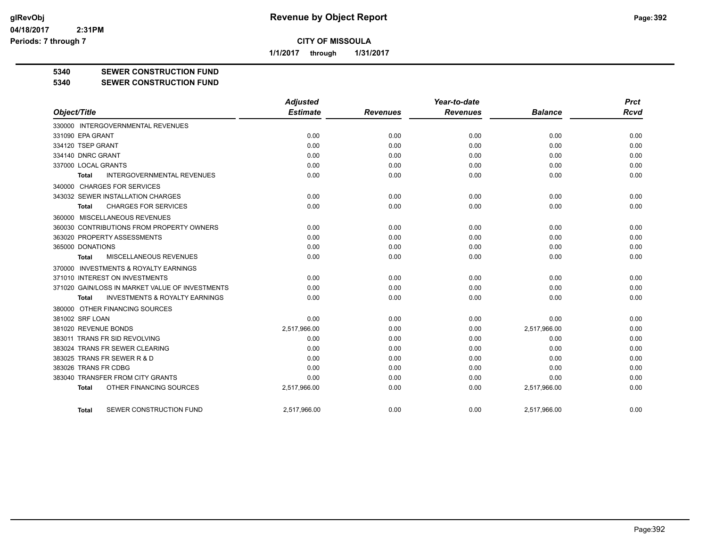**1/1/2017 through 1/31/2017**

**5340 SEWER CONSTRUCTION FUND**

**5340 SEWER CONSTRUCTION FUND**

|                                                    | <b>Adjusted</b> |                 | Year-to-date    |                | <b>Prct</b> |
|----------------------------------------------------|-----------------|-----------------|-----------------|----------------|-------------|
| Object/Title                                       | <b>Estimate</b> | <b>Revenues</b> | <b>Revenues</b> | <b>Balance</b> | <b>Rcvd</b> |
| 330000 INTERGOVERNMENTAL REVENUES                  |                 |                 |                 |                |             |
| 331090 EPA GRANT                                   | 0.00            | 0.00            | 0.00            | 0.00           | 0.00        |
| 334120 TSEP GRANT                                  | 0.00            | 0.00            | 0.00            | 0.00           | 0.00        |
| 334140 DNRC GRANT                                  | 0.00            | 0.00            | 0.00            | 0.00           | 0.00        |
| 337000 LOCAL GRANTS                                | 0.00            | 0.00            | 0.00            | 0.00           | 0.00        |
| <b>INTERGOVERNMENTAL REVENUES</b><br>Total         | 0.00            | 0.00            | 0.00            | 0.00           | 0.00        |
| 340000 CHARGES FOR SERVICES                        |                 |                 |                 |                |             |
| 343032 SEWER INSTALLATION CHARGES                  | 0.00            | 0.00            | 0.00            | 0.00           | 0.00        |
| <b>CHARGES FOR SERVICES</b><br><b>Total</b>        | 0.00            | 0.00            | 0.00            | 0.00           | 0.00        |
| 360000 MISCELLANEOUS REVENUES                      |                 |                 |                 |                |             |
| 360030 CONTRIBUTIONS FROM PROPERTY OWNERS          | 0.00            | 0.00            | 0.00            | 0.00           | 0.00        |
| 363020 PROPERTY ASSESSMENTS                        | 0.00            | 0.00            | 0.00            | 0.00           | 0.00        |
| 365000 DONATIONS                                   | 0.00            | 0.00            | 0.00            | 0.00           | 0.00        |
| <b>MISCELLANEOUS REVENUES</b><br><b>Total</b>      | 0.00            | 0.00            | 0.00            | 0.00           | 0.00        |
| 370000 INVESTMENTS & ROYALTY EARNINGS              |                 |                 |                 |                |             |
| 371010 INTEREST ON INVESTMENTS                     | 0.00            | 0.00            | 0.00            | 0.00           | 0.00        |
| 371020 GAIN/LOSS IN MARKET VALUE OF INVESTMENTS    | 0.00            | 0.00            | 0.00            | 0.00           | 0.00        |
| <b>INVESTMENTS &amp; ROYALTY EARNINGS</b><br>Total | 0.00            | 0.00            | 0.00            | 0.00           | 0.00        |
| 380000 OTHER FINANCING SOURCES                     |                 |                 |                 |                |             |
| 381002 SRF LOAN                                    | 0.00            | 0.00            | 0.00            | 0.00           | 0.00        |
| 381020 REVENUE BONDS                               | 2,517,966.00    | 0.00            | 0.00            | 2,517,966.00   | 0.00        |
| 383011 TRANS FR SID REVOLVING                      | 0.00            | 0.00            | 0.00            | 0.00           | 0.00        |
| 383024 TRANS FR SEWER CLEARING                     | 0.00            | 0.00            | 0.00            | 0.00           | 0.00        |
| 383025 TRANS FR SEWER R & D                        | 0.00            | 0.00            | 0.00            | 0.00           | 0.00        |
| 383026 TRANS FR CDBG                               | 0.00            | 0.00            | 0.00            | 0.00           | 0.00        |
| 383040 TRANSFER FROM CITY GRANTS                   | 0.00            | 0.00            | 0.00            | 0.00           | 0.00        |
| OTHER FINANCING SOURCES<br><b>Total</b>            | 2,517,966.00    | 0.00            | 0.00            | 2,517,966.00   | 0.00        |
| SEWER CONSTRUCTION FUND<br><b>Total</b>            | 2,517,966.00    | 0.00            | 0.00            | 2,517,966.00   | 0.00        |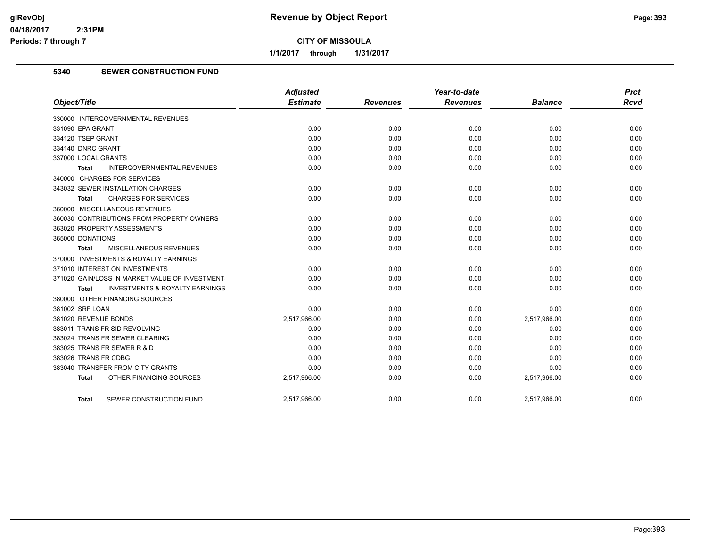**1/1/2017 through 1/31/2017**

#### **5340 SEWER CONSTRUCTION FUND**

|                                                    | <b>Adjusted</b> |                 | Year-to-date    |                | <b>Prct</b> |
|----------------------------------------------------|-----------------|-----------------|-----------------|----------------|-------------|
| Object/Title                                       | <b>Estimate</b> | <b>Revenues</b> | <b>Revenues</b> | <b>Balance</b> | <b>Rcvd</b> |
| 330000 INTERGOVERNMENTAL REVENUES                  |                 |                 |                 |                |             |
| 331090 EPA GRANT                                   | 0.00            | 0.00            | 0.00            | 0.00           | 0.00        |
| 334120 TSEP GRANT                                  | 0.00            | 0.00            | 0.00            | 0.00           | 0.00        |
| 334140 DNRC GRANT                                  | 0.00            | 0.00            | 0.00            | 0.00           | 0.00        |
| 337000 LOCAL GRANTS                                | 0.00            | 0.00            | 0.00            | 0.00           | 0.00        |
| <b>INTERGOVERNMENTAL REVENUES</b><br><b>Total</b>  | 0.00            | 0.00            | 0.00            | 0.00           | 0.00        |
| 340000 CHARGES FOR SERVICES                        |                 |                 |                 |                |             |
| 343032 SEWER INSTALLATION CHARGES                  | 0.00            | 0.00            | 0.00            | 0.00           | 0.00        |
| <b>CHARGES FOR SERVICES</b><br><b>Total</b>        | 0.00            | 0.00            | 0.00            | 0.00           | 0.00        |
| 360000 MISCELLANEOUS REVENUES                      |                 |                 |                 |                |             |
| 360030 CONTRIBUTIONS FROM PROPERTY OWNERS          | 0.00            | 0.00            | 0.00            | 0.00           | 0.00        |
| 363020 PROPERTY ASSESSMENTS                        | 0.00            | 0.00            | 0.00            | 0.00           | 0.00        |
| 365000 DONATIONS                                   | 0.00            | 0.00            | 0.00            | 0.00           | 0.00        |
| MISCELLANEOUS REVENUES<br><b>Total</b>             | 0.00            | 0.00            | 0.00            | 0.00           | 0.00        |
| 370000 INVESTMENTS & ROYALTY EARNINGS              |                 |                 |                 |                |             |
| 371010 INTEREST ON INVESTMENTS                     | 0.00            | 0.00            | 0.00            | 0.00           | 0.00        |
| 371020 GAIN/LOSS IN MARKET VALUE OF INVESTMENT     | 0.00            | 0.00            | 0.00            | 0.00           | 0.00        |
| <b>INVESTMENTS &amp; ROYALTY EARNINGS</b><br>Total | 0.00            | 0.00            | 0.00            | 0.00           | 0.00        |
| 380000 OTHER FINANCING SOURCES                     |                 |                 |                 |                |             |
| 381002 SRF LOAN                                    | 0.00            | 0.00            | 0.00            | 0.00           | 0.00        |
| 381020 REVENUE BONDS                               | 2,517,966.00    | 0.00            | 0.00            | 2,517,966.00   | 0.00        |
| 383011 TRANS FR SID REVOLVING                      | 0.00            | 0.00            | 0.00            | 0.00           | 0.00        |
| 383024 TRANS FR SEWER CLEARING                     | 0.00            | 0.00            | 0.00            | 0.00           | 0.00        |
| 383025 TRANS FR SEWER R & D                        | 0.00            | 0.00            | 0.00            | 0.00           | 0.00        |
| 383026 TRANS FR CDBG                               | 0.00            | 0.00            | 0.00            | 0.00           | 0.00        |
| 383040 TRANSFER FROM CITY GRANTS                   | 0.00            | 0.00            | 0.00            | 0.00           | 0.00        |
| OTHER FINANCING SOURCES<br><b>Total</b>            | 2,517,966.00    | 0.00            | 0.00            | 2,517,966.00   | 0.00        |
| SEWER CONSTRUCTION FUND<br><b>Total</b>            | 2,517,966.00    | 0.00            | 0.00            | 2,517,966.00   | 0.00        |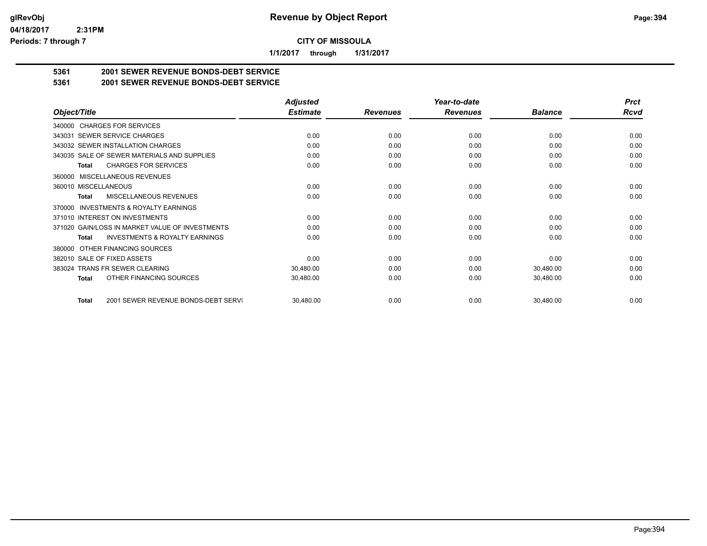**1/1/2017 through 1/31/2017**

# **5361 2001 SEWER REVENUE BONDS-DEBT SERVICE**

### **5361 2001 SEWER REVENUE BONDS-DEBT SERVICE**

|                                                     | <b>Adjusted</b> |                 | Year-to-date    |                | <b>Prct</b> |
|-----------------------------------------------------|-----------------|-----------------|-----------------|----------------|-------------|
| Object/Title                                        | <b>Estimate</b> | <b>Revenues</b> | <b>Revenues</b> | <b>Balance</b> | Rcvd        |
| 340000 CHARGES FOR SERVICES                         |                 |                 |                 |                |             |
| <b>SEWER SERVICE CHARGES</b><br>343031              | 0.00            | 0.00            | 0.00            | 0.00           | 0.00        |
| 343032 SEWER INSTALLATION CHARGES                   | 0.00            | 0.00            | 0.00            | 0.00           | 0.00        |
| 343035 SALE OF SEWER MATERIALS AND SUPPLIES         | 0.00            | 0.00            | 0.00            | 0.00           | 0.00        |
| <b>CHARGES FOR SERVICES</b><br>Total                | 0.00            | 0.00            | 0.00            | 0.00           | 0.00        |
| MISCELLANEOUS REVENUES<br>360000                    |                 |                 |                 |                |             |
| 360010 MISCELLANEOUS                                | 0.00            | 0.00            | 0.00            | 0.00           | 0.00        |
| <b>MISCELLANEOUS REVENUES</b><br>Total              | 0.00            | 0.00            | 0.00            | 0.00           | 0.00        |
| <b>INVESTMENTS &amp; ROYALTY EARNINGS</b><br>370000 |                 |                 |                 |                |             |
| 371010 INTEREST ON INVESTMENTS                      | 0.00            | 0.00            | 0.00            | 0.00           | 0.00        |
| 371020 GAIN/LOSS IN MARKET VALUE OF INVESTMENTS     | 0.00            | 0.00            | 0.00            | 0.00           | 0.00        |
| <b>INVESTMENTS &amp; ROYALTY EARNINGS</b><br>Total  | 0.00            | 0.00            | 0.00            | 0.00           | 0.00        |
| OTHER FINANCING SOURCES<br>380000                   |                 |                 |                 |                |             |
| 382010 SALE OF FIXED ASSETS                         | 0.00            | 0.00            | 0.00            | 0.00           | 0.00        |
| 383024 TRANS FR SEWER CLEARING                      | 30,480.00       | 0.00            | 0.00            | 30,480.00      | 0.00        |
| OTHER FINANCING SOURCES<br><b>Total</b>             | 30,480.00       | 0.00            | 0.00            | 30,480.00      | 0.00        |
| 2001 SEWER REVENUE BONDS-DEBT SERVI<br><b>Total</b> | 30,480.00       | 0.00            | 0.00            | 30,480.00      | 0.00        |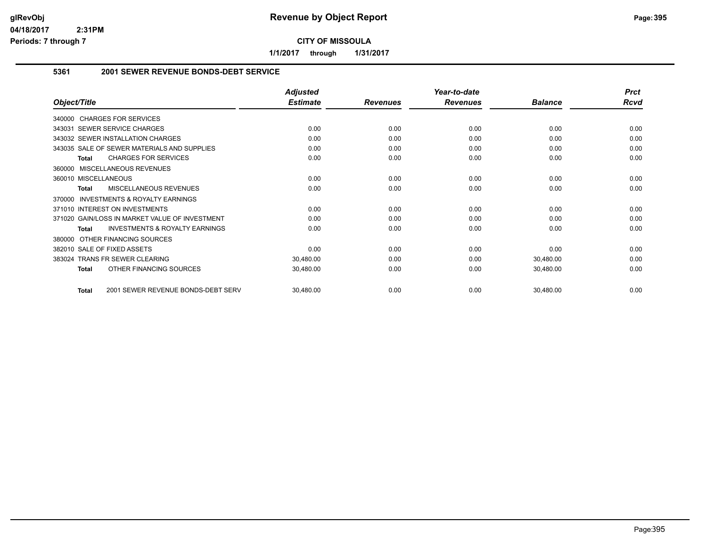**1/1/2017 through 1/31/2017**

#### **5361 2001 SEWER REVENUE BONDS-DEBT SERVICE**

|                                                     | <b>Adjusted</b> |                 | Year-to-date    |                | <b>Prct</b> |
|-----------------------------------------------------|-----------------|-----------------|-----------------|----------------|-------------|
| Object/Title                                        | <b>Estimate</b> | <b>Revenues</b> | <b>Revenues</b> | <b>Balance</b> | Rcvd        |
| 340000 CHARGES FOR SERVICES                         |                 |                 |                 |                |             |
| 343031 SEWER SERVICE CHARGES                        | 0.00            | 0.00            | 0.00            | 0.00           | 0.00        |
| 343032 SEWER INSTALLATION CHARGES                   | 0.00            | 0.00            | 0.00            | 0.00           | 0.00        |
| 343035 SALE OF SEWER MATERIALS AND SUPPLIES         | 0.00            | 0.00            | 0.00            | 0.00           | 0.00        |
| <b>CHARGES FOR SERVICES</b><br><b>Total</b>         | 0.00            | 0.00            | 0.00            | 0.00           | 0.00        |
| MISCELLANEOUS REVENUES<br>360000                    |                 |                 |                 |                |             |
| 360010 MISCELLANEOUS                                | 0.00            | 0.00            | 0.00            | 0.00           | 0.00        |
| MISCELLANEOUS REVENUES<br><b>Total</b>              | 0.00            | 0.00            | 0.00            | 0.00           | 0.00        |
| <b>INVESTMENTS &amp; ROYALTY EARNINGS</b><br>370000 |                 |                 |                 |                |             |
| 371010 INTEREST ON INVESTMENTS                      | 0.00            | 0.00            | 0.00            | 0.00           | 0.00        |
| 371020 GAIN/LOSS IN MARKET VALUE OF INVESTMENT      | 0.00            | 0.00            | 0.00            | 0.00           | 0.00        |
| <b>INVESTMENTS &amp; ROYALTY EARNINGS</b><br>Total  | 0.00            | 0.00            | 0.00            | 0.00           | 0.00        |
| OTHER FINANCING SOURCES<br>380000                   |                 |                 |                 |                |             |
| 382010 SALE OF FIXED ASSETS                         | 0.00            | 0.00            | 0.00            | 0.00           | 0.00        |
| 383024 TRANS FR SEWER CLEARING                      | 30,480.00       | 0.00            | 0.00            | 30,480.00      | 0.00        |
| OTHER FINANCING SOURCES<br>Total                    | 30,480.00       | 0.00            | 0.00            | 30,480.00      | 0.00        |
| 2001 SEWER REVENUE BONDS-DEBT SERV<br><b>Total</b>  | 30,480.00       | 0.00            | 0.00            | 30,480.00      | 0.00        |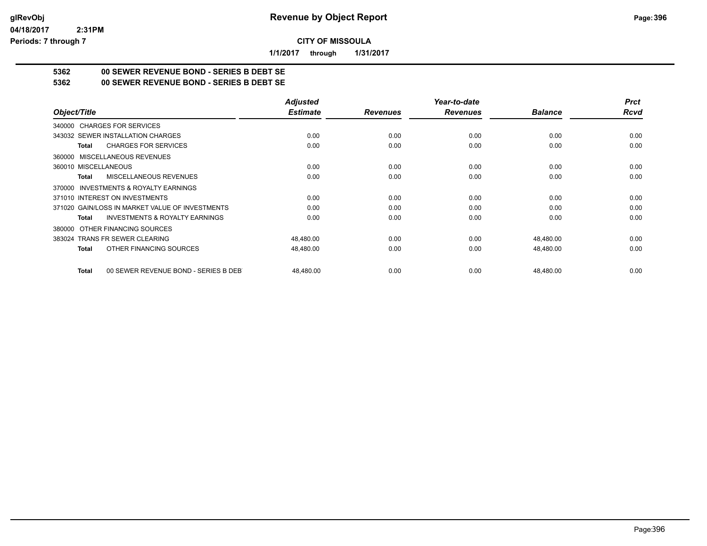**Periods: 7 through 7**

 **2:31PM**

**CITY OF MISSOULA**

**1/1/2017 through 1/31/2017**

# **5362 00 SEWER REVENUE BOND - SERIES B DEBT SE**

| 5362 | <b>00 SEWER REVENUE BOND - SERIES B DEBT SE</b> |  |
|------|-------------------------------------------------|--|
|      |                                                 |  |

| Object/Title                                              | <b>Adjusted</b> |                 | Year-to-date    |                | <b>Prct</b> |
|-----------------------------------------------------------|-----------------|-----------------|-----------------|----------------|-------------|
|                                                           | <b>Estimate</b> | <b>Revenues</b> | <b>Revenues</b> | <b>Balance</b> | <b>Rcvd</b> |
| 340000 CHARGES FOR SERVICES                               |                 |                 |                 |                |             |
| 343032 SEWER INSTALLATION CHARGES                         | 0.00            | 0.00            | 0.00            | 0.00           | 0.00        |
| <b>CHARGES FOR SERVICES</b><br>Total                      | 0.00            | 0.00            | 0.00            | 0.00           | 0.00        |
| 360000 MISCELLANEOUS REVENUES                             |                 |                 |                 |                |             |
| 360010 MISCELLANEOUS                                      | 0.00            | 0.00            | 0.00            | 0.00           | 0.00        |
| MISCELLANEOUS REVENUES<br>Total                           | 0.00            | 0.00            | 0.00            | 0.00           | 0.00        |
| INVESTMENTS & ROYALTY EARNINGS<br>370000                  |                 |                 |                 |                |             |
| 371010 INTEREST ON INVESTMENTS                            | 0.00            | 0.00            | 0.00            | 0.00           | 0.00        |
| 371020 GAIN/LOSS IN MARKET VALUE OF INVESTMENTS           | 0.00            | 0.00            | 0.00            | 0.00           | 0.00        |
| <b>INVESTMENTS &amp; ROYALTY EARNINGS</b><br><b>Total</b> | 0.00            | 0.00            | 0.00            | 0.00           | 0.00        |
| OTHER FINANCING SOURCES<br>380000                         |                 |                 |                 |                |             |
| 383024 TRANS FR SEWER CLEARING                            | 48,480.00       | 0.00            | 0.00            | 48,480.00      | 0.00        |
| OTHER FINANCING SOURCES<br><b>Total</b>                   | 48,480.00       | 0.00            | 0.00            | 48,480.00      | 0.00        |
| 00 SEWER REVENUE BOND - SERIES B DEB<br><b>Total</b>      | 48,480.00       | 0.00            | 0.00            | 48,480.00      | 0.00        |
|                                                           |                 |                 |                 |                |             |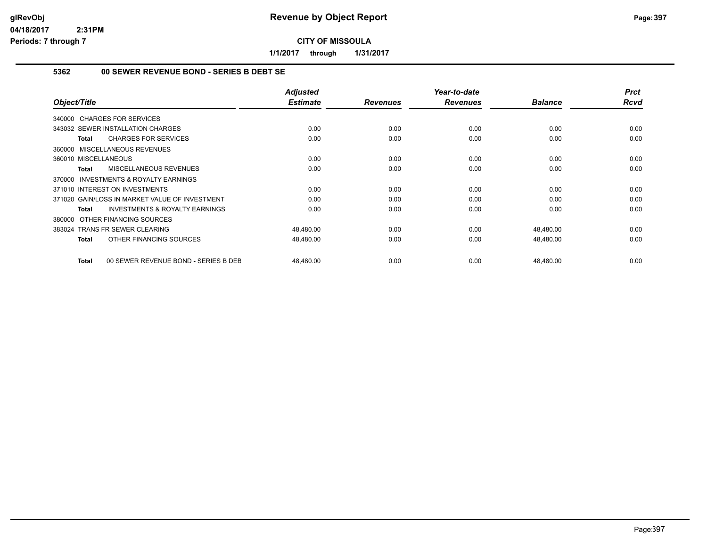**1/1/2017 through 1/31/2017**

# **5362 00 SEWER REVENUE BOND - SERIES B DEBT SE**

|                                                      | <b>Adjusted</b> |                 | Year-to-date    |                | <b>Prct</b> |
|------------------------------------------------------|-----------------|-----------------|-----------------|----------------|-------------|
| Object/Title                                         | <b>Estimate</b> | <b>Revenues</b> | <b>Revenues</b> | <b>Balance</b> | <b>Rcvd</b> |
| 340000 CHARGES FOR SERVICES                          |                 |                 |                 |                |             |
| 343032 SEWER INSTALLATION CHARGES                    | 0.00            | 0.00            | 0.00            | 0.00           | 0.00        |
| <b>CHARGES FOR SERVICES</b><br>Total                 | 0.00            | 0.00            | 0.00            | 0.00           | 0.00        |
| 360000 MISCELLANEOUS REVENUES                        |                 |                 |                 |                |             |
| 360010 MISCELLANEOUS                                 | 0.00            | 0.00            | 0.00            | 0.00           | 0.00        |
| MISCELLANEOUS REVENUES<br>Total                      | 0.00            | 0.00            | 0.00            | 0.00           | 0.00        |
| <b>INVESTMENTS &amp; ROYALTY EARNINGS</b><br>370000  |                 |                 |                 |                |             |
| 371010 INTEREST ON INVESTMENTS                       | 0.00            | 0.00            | 0.00            | 0.00           | 0.00        |
| 371020 GAIN/LOSS IN MARKET VALUE OF INVESTMENT       | 0.00            | 0.00            | 0.00            | 0.00           | 0.00        |
| <b>INVESTMENTS &amp; ROYALTY EARNINGS</b><br>Total   | 0.00            | 0.00            | 0.00            | 0.00           | 0.00        |
| OTHER FINANCING SOURCES<br>380000                    |                 |                 |                 |                |             |
| 383024 TRANS FR SEWER CLEARING                       | 48,480.00       | 0.00            | 0.00            | 48,480.00      | 0.00        |
| OTHER FINANCING SOURCES<br>Total                     | 48,480.00       | 0.00            | 0.00            | 48,480.00      | 0.00        |
|                                                      |                 |                 |                 |                |             |
| 00 SEWER REVENUE BOND - SERIES B DEE<br><b>Total</b> | 48,480.00       | 0.00            | 0.00            | 48,480.00      | 0.00        |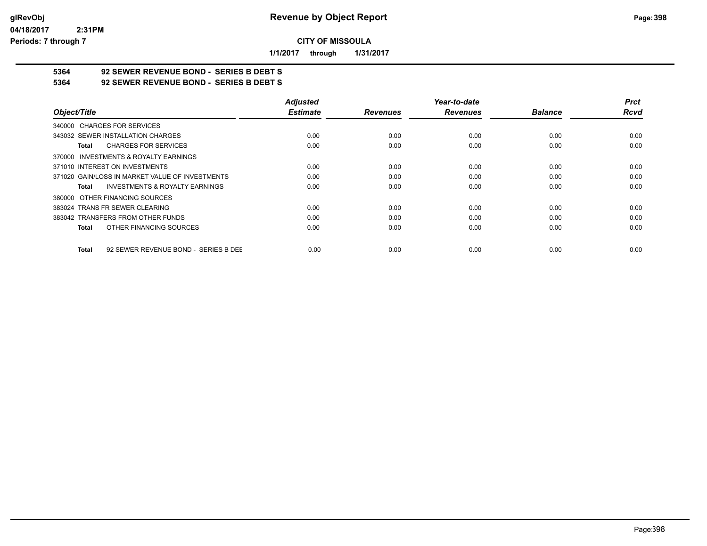**Periods: 7 through 7**

 **2:31PM**

**CITY OF MISSOULA**

**1/1/2017 through 1/31/2017**

# **5364 92 SEWER REVENUE BOND - SERIES B DEBT S 5364 92 SEWER REVENUE BOND - SERIES B DEBT S**

|                                                      | <b>Adjusted</b> |                 | Year-to-date    |                | <b>Prct</b> |
|------------------------------------------------------|-----------------|-----------------|-----------------|----------------|-------------|
| Object/Title                                         | <b>Estimate</b> | <b>Revenues</b> | <b>Revenues</b> | <b>Balance</b> | Rcvd        |
| 340000 CHARGES FOR SERVICES                          |                 |                 |                 |                |             |
| 343032 SEWER INSTALLATION CHARGES                    | 0.00            | 0.00            | 0.00            | 0.00           | 0.00        |
| <b>CHARGES FOR SERVICES</b><br>Total                 | 0.00            | 0.00            | 0.00            | 0.00           | 0.00        |
| 370000 INVESTMENTS & ROYALTY EARNINGS                |                 |                 |                 |                |             |
| 371010 INTEREST ON INVESTMENTS                       | 0.00            | 0.00            | 0.00            | 0.00           | 0.00        |
| 371020 GAIN/LOSS IN MARKET VALUE OF INVESTMENTS      | 0.00            | 0.00            | 0.00            | 0.00           | 0.00        |
| <b>INVESTMENTS &amp; ROYALTY EARNINGS</b><br>Total   | 0.00            | 0.00            | 0.00            | 0.00           | 0.00        |
| 380000 OTHER FINANCING SOURCES                       |                 |                 |                 |                |             |
| 383024 TRANS FR SEWER CLEARING                       | 0.00            | 0.00            | 0.00            | 0.00           | 0.00        |
| 383042 TRANSFERS FROM OTHER FUNDS                    | 0.00            | 0.00            | 0.00            | 0.00           | 0.00        |
| OTHER FINANCING SOURCES<br><b>Total</b>              | 0.00            | 0.00            | 0.00            | 0.00           | 0.00        |
| 92 SEWER REVENUE BOND - SERIES B DEE<br><b>Total</b> | 0.00            | 0.00            | 0.00            | 0.00           | 0.00        |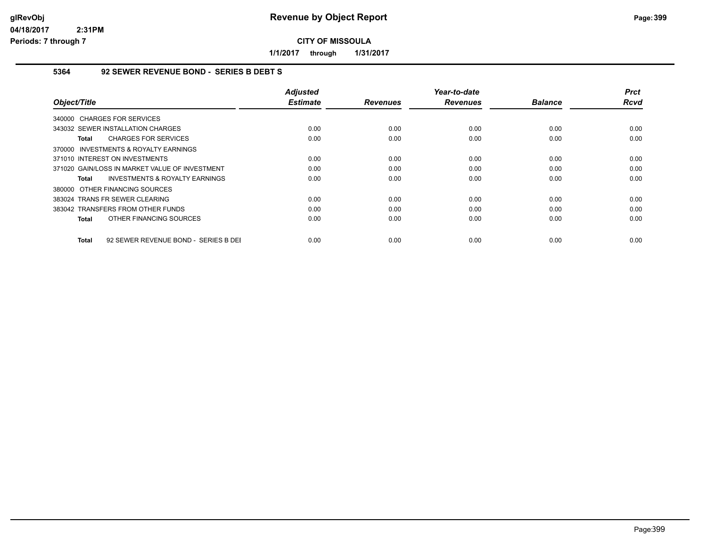**1/1/2017 through 1/31/2017**

# **5364 92 SEWER REVENUE BOND - SERIES B DEBT S**

| Object/Title                                   |                                           | <b>Adjusted</b><br><b>Estimate</b> | <b>Revenues</b> | Year-to-date<br><b>Revenues</b> | <b>Balance</b> | <b>Prct</b><br><b>Rcvd</b> |
|------------------------------------------------|-------------------------------------------|------------------------------------|-----------------|---------------------------------|----------------|----------------------------|
|                                                |                                           |                                    |                 |                                 |                |                            |
| 340000 CHARGES FOR SERVICES                    |                                           |                                    |                 |                                 |                |                            |
| 343032 SEWER INSTALLATION CHARGES              |                                           | 0.00                               | 0.00            | 0.00                            | 0.00           | 0.00                       |
| <b>CHARGES FOR SERVICES</b><br><b>Total</b>    |                                           | 0.00                               | 0.00            | 0.00                            | 0.00           | 0.00                       |
| 370000 INVESTMENTS & ROYALTY EARNINGS          |                                           |                                    |                 |                                 |                |                            |
| 371010 INTEREST ON INVESTMENTS                 |                                           | 0.00                               | 0.00            | 0.00                            | 0.00           | 0.00                       |
| 371020 GAIN/LOSS IN MARKET VALUE OF INVESTMENT |                                           | 0.00                               | 0.00            | 0.00                            | 0.00           | 0.00                       |
| Total                                          | <b>INVESTMENTS &amp; ROYALTY EARNINGS</b> | 0.00                               | 0.00            | 0.00                            | 0.00           | 0.00                       |
| 380000 OTHER FINANCING SOURCES                 |                                           |                                    |                 |                                 |                |                            |
| 383024 TRANS FR SEWER CLEARING                 |                                           | 0.00                               | 0.00            | 0.00                            | 0.00           | 0.00                       |
| 383042 TRANSFERS FROM OTHER FUNDS              |                                           | 0.00                               | 0.00            | 0.00                            | 0.00           | 0.00                       |
| OTHER FINANCING SOURCES<br><b>Total</b>        |                                           | 0.00                               | 0.00            | 0.00                            | 0.00           | 0.00                       |
| <b>Total</b>                                   | 92 SEWER REVENUE BOND - SERIES B DEI      | 0.00                               | 0.00            | 0.00                            | 0.00           | 0.00                       |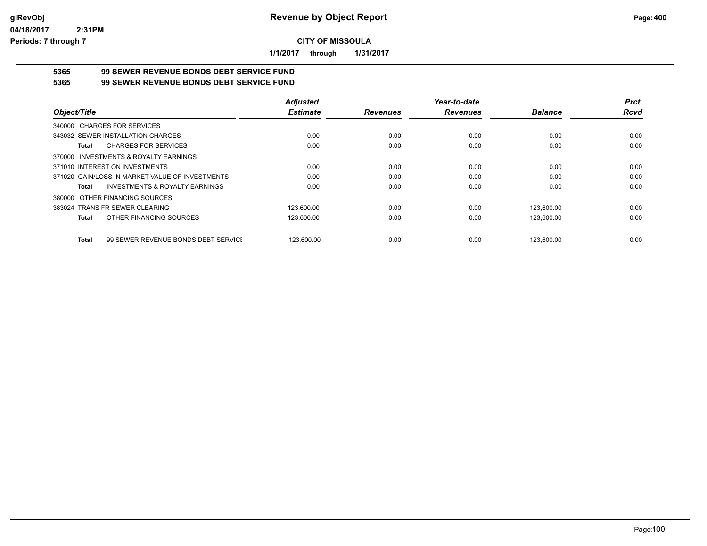*Prct Rcvd*

# **CITY OF MISSOULA**

**1/1/2017 through 1/31/2017**

#### **5365 99 SEWER REVENUE BONDS DEBT SERVICE FUND 5365 99 SEWER REVENUE BONDS DEBT SERVICE FUND**

|                                                     | <b>Adjusted</b> |                 | Year-to-date    |                | <b>Prct</b> |
|-----------------------------------------------------|-----------------|-----------------|-----------------|----------------|-------------|
| Object/Title                                        | <b>Estimate</b> | <b>Revenues</b> | <b>Revenues</b> | <b>Balance</b> | Rcva        |
| 340000 CHARGES FOR SERVICES                         |                 |                 |                 |                |             |
| 343032 SEWER INSTALLATION CHARGES                   | 0.00            | 0.00            | 0.00            | 0.00           | 0.00        |
| <b>CHARGES FOR SERVICES</b><br>Total                | 0.00            | 0.00            | 0.00            | 0.00           | 0.00        |
| 370000 INVESTMENTS & ROYALTY EARNINGS               |                 |                 |                 |                |             |
| 371010 INTEREST ON INVESTMENTS                      | 0.00            | 0.00            | 0.00            | 0.00           | 0.00        |
| 371020 GAIN/LOSS IN MARKET VALUE OF INVESTMENTS     | 0.00            | 0.00            | 0.00            | 0.00           | 0.00        |
| <b>INVESTMENTS &amp; ROYALTY EARNINGS</b><br>Total  | 0.00            | 0.00            | 0.00            | 0.00           | 0.00        |
| OTHER FINANCING SOURCES<br>380000                   |                 |                 |                 |                |             |
| 383024 TRANS FR SEWER CLEARING                      | 123,600.00      | 0.00            | 0.00            | 123,600.00     | 0.00        |
| OTHER FINANCING SOURCES<br>Total                    | 123,600.00      | 0.00            | 0.00            | 123,600.00     | 0.00        |
|                                                     |                 |                 |                 |                |             |
| 99 SEWER REVENUE BONDS DEBT SERVICE<br><b>Total</b> | 123,600.00      | 0.00            | 0.00            | 123,600.00     | 0.00        |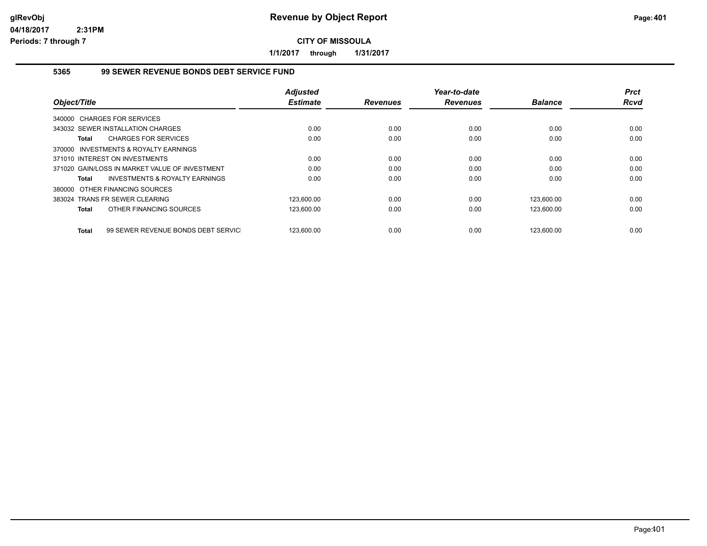**1/1/2017 through 1/31/2017**

# **5365 99 SEWER REVENUE BONDS DEBT SERVICE FUND**

| Object/Title                                        | <b>Adjusted</b><br><b>Estimate</b> | <b>Revenues</b> | Year-to-date<br><b>Revenues</b> | <b>Balance</b> | <b>Prct</b><br><b>Rcvd</b> |
|-----------------------------------------------------|------------------------------------|-----------------|---------------------------------|----------------|----------------------------|
| 340000 CHARGES FOR SERVICES                         |                                    |                 |                                 |                |                            |
| 343032 SEWER INSTALLATION CHARGES                   | 0.00                               | 0.00            | 0.00                            | 0.00           | 0.00                       |
| <b>CHARGES FOR SERVICES</b><br>Total                | 0.00                               | 0.00            | 0.00                            | 0.00           | 0.00                       |
| 370000 INVESTMENTS & ROYALTY EARNINGS               |                                    |                 |                                 |                |                            |
| 371010 INTEREST ON INVESTMENTS                      | 0.00                               | 0.00            | 0.00                            | 0.00           | 0.00                       |
| 371020 GAIN/LOSS IN MARKET VALUE OF INVESTMENT      | 0.00                               | 0.00            | 0.00                            | 0.00           | 0.00                       |
| INVESTMENTS & ROYALTY EARNINGS<br>Total             | 0.00                               | 0.00            | 0.00                            | 0.00           | 0.00                       |
| 380000 OTHER FINANCING SOURCES                      |                                    |                 |                                 |                |                            |
| 383024 TRANS FR SEWER CLEARING                      | 123.600.00                         | 0.00            | 0.00                            | 123.600.00     | 0.00                       |
| OTHER FINANCING SOURCES<br>Total                    | 123,600.00                         | 0.00            | 0.00                            | 123,600.00     | 0.00                       |
| 99 SEWER REVENUE BONDS DEBT SERVICL<br><b>Total</b> | 123.600.00                         | 0.00            | 0.00                            | 123.600.00     | 0.00                       |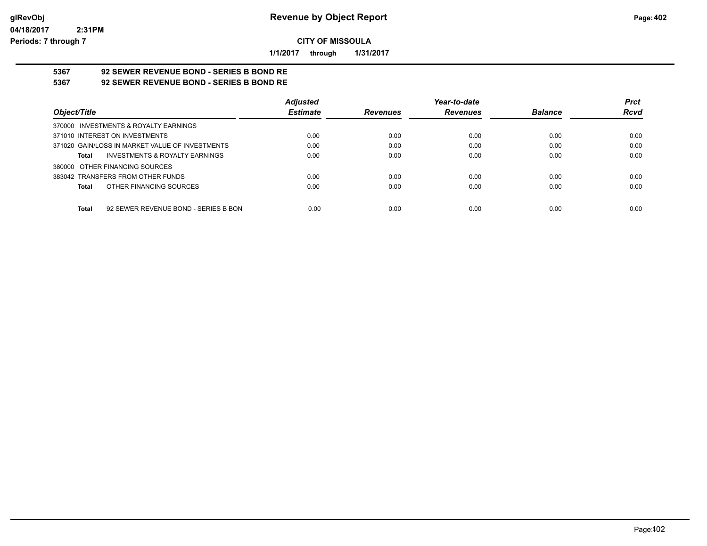**1/1/2017 through 1/31/2017**

# **5367 92 SEWER REVENUE BOND - SERIES B BOND RE 5367 92 SEWER REVENUE BOND - SERIES B BOND RE**

|                                                      | <b>Adjusted</b> |                 | Year-to-date    |                | <b>Prct</b> |
|------------------------------------------------------|-----------------|-----------------|-----------------|----------------|-------------|
| Object/Title                                         | <b>Estimate</b> | <b>Revenues</b> | <b>Revenues</b> | <b>Balance</b> | Rcvd        |
| 370000 INVESTMENTS & ROYALTY EARNINGS                |                 |                 |                 |                |             |
| 371010 INTEREST ON INVESTMENTS                       | 0.00            | 0.00            | 0.00            | 0.00           | 0.00        |
| 371020 GAIN/LOSS IN MARKET VALUE OF INVESTMENTS      | 0.00            | 0.00            | 0.00            | 0.00           | 0.00        |
| INVESTMENTS & ROYALTY EARNINGS<br>Total              | 0.00            | 0.00            | 0.00            | 0.00           | 0.00        |
| 380000 OTHER FINANCING SOURCES                       |                 |                 |                 |                |             |
| 383042 TRANSFERS FROM OTHER FUNDS                    | 0.00            | 0.00            | 0.00            | 0.00           | 0.00        |
| OTHER FINANCING SOURCES<br>Total                     | 0.00            | 0.00            | 0.00            | 0.00           | 0.00        |
| 92 SEWER REVENUE BOND - SERIES B BON<br><b>Total</b> | 0.00            | 0.00            | 0.00            | 0.00           | 0.00        |
|                                                      |                 |                 |                 |                |             |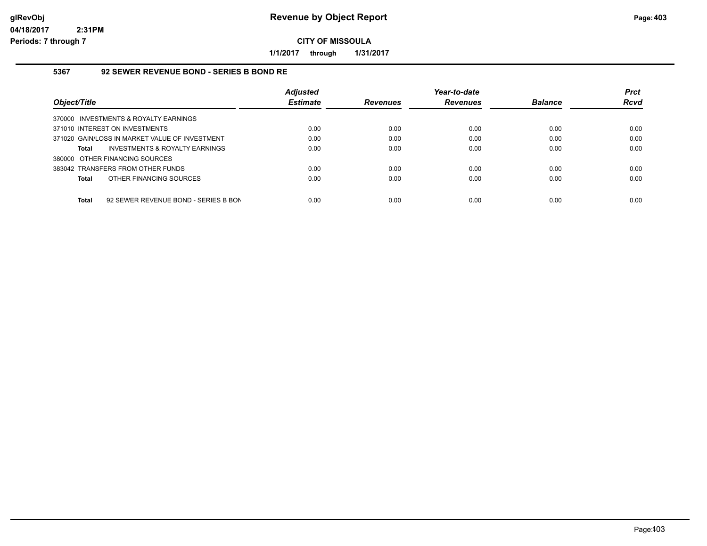**1/1/2017 through 1/31/2017**

# **5367 92 SEWER REVENUE BOND - SERIES B BOND RE**

| Object/Title                                   | <b>Adjusted</b><br><b>Estimate</b> | <b>Revenues</b> | Year-to-date<br><b>Revenues</b> | <b>Balance</b> | <b>Prct</b><br><b>Rcvd</b> |
|------------------------------------------------|------------------------------------|-----------------|---------------------------------|----------------|----------------------------|
|                                                |                                    |                 |                                 |                |                            |
| 370000 INVESTMENTS & ROYALTY EARNINGS          |                                    |                 |                                 |                |                            |
| 371010 INTEREST ON INVESTMENTS                 | 0.00                               | 0.00            | 0.00                            | 0.00           | 0.00                       |
| 371020 GAIN/LOSS IN MARKET VALUE OF INVESTMENT | 0.00                               | 0.00            | 0.00                            | 0.00           | 0.00                       |
| INVESTMENTS & ROYALTY EARNINGS<br><b>Total</b> | 0.00                               | 0.00            | 0.00                            | 0.00           | 0.00                       |
| 380000 OTHER FINANCING SOURCES                 |                                    |                 |                                 |                |                            |
| 383042 TRANSFERS FROM OTHER FUNDS              | 0.00                               | 0.00            | 0.00                            | 0.00           | 0.00                       |
| OTHER FINANCING SOURCES<br>Total               | 0.00                               | 0.00            | 0.00                            | 0.00           | 0.00                       |
|                                                |                                    |                 |                                 |                |                            |
| Total<br>92 SEWER REVENUE BOND - SERIES B BON  | 0.00                               | 0.00            | 0.00                            | 0.00           | 0.00                       |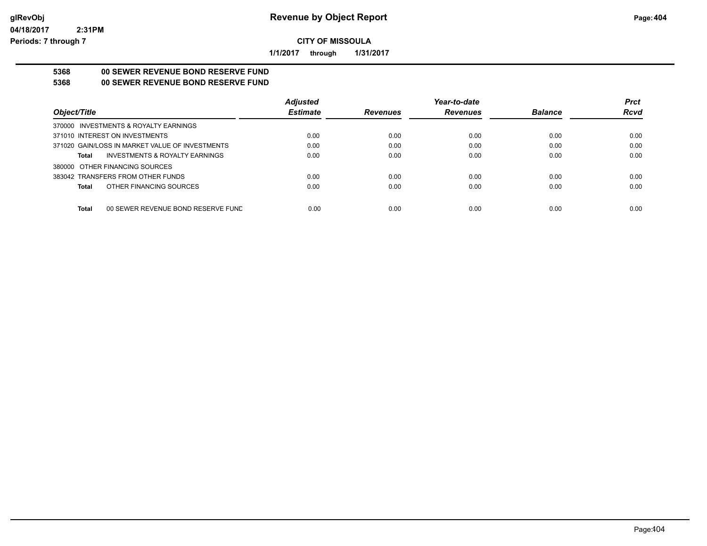**1/1/2017 through 1/31/2017**

# **5368 00 SEWER REVENUE BOND RESERVE FUND 5368 00 SEWER REVENUE BOND RESERVE FUND**

|                                                    | <b>Adjusted</b> |                 | Year-to-date    |                | <b>Prct</b> |
|----------------------------------------------------|-----------------|-----------------|-----------------|----------------|-------------|
| Object/Title                                       | <b>Estimate</b> | <b>Revenues</b> | <b>Revenues</b> | <b>Balance</b> | Rcvd        |
| INVESTMENTS & ROYALTY EARNINGS<br>370000           |                 |                 |                 |                |             |
| 371010 INTEREST ON INVESTMENTS                     | 0.00            | 0.00            | 0.00            | 0.00           | 0.00        |
| 371020 GAIN/LOSS IN MARKET VALUE OF INVESTMENTS    | 0.00            | 0.00            | 0.00            | 0.00           | 0.00        |
| INVESTMENTS & ROYALTY EARNINGS<br>Total            | 0.00            | 0.00            | 0.00            | 0.00           | 0.00        |
| 380000 OTHER FINANCING SOURCES                     |                 |                 |                 |                |             |
| 383042 TRANSFERS FROM OTHER FUNDS                  | 0.00            | 0.00            | 0.00            | 0.00           | 0.00        |
| OTHER FINANCING SOURCES<br>Total                   | 0.00            | 0.00            | 0.00            | 0.00           | 0.00        |
| <b>Total</b><br>00 SEWER REVENUE BOND RESERVE FUND | 0.00            | 0.00            | 0.00            | 0.00           | 0.00        |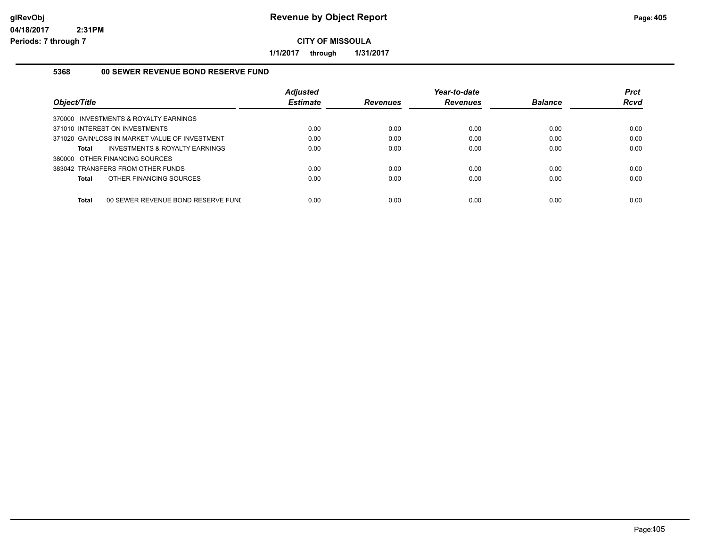**1/1/2017 through 1/31/2017**

#### **5368 00 SEWER REVENUE BOND RESERVE FUND**

| Object/Title                                   | <b>Adjusted</b><br><b>Estimate</b> | <b>Revenues</b> | Year-to-date<br><b>Revenues</b> | <b>Balance</b> | <b>Prct</b><br><b>Rcvd</b> |
|------------------------------------------------|------------------------------------|-----------------|---------------------------------|----------------|----------------------------|
|                                                |                                    |                 |                                 |                |                            |
| 370000 INVESTMENTS & ROYALTY EARNINGS          |                                    |                 |                                 |                |                            |
| 371010 INTEREST ON INVESTMENTS                 | 0.00                               | 0.00            | 0.00                            | 0.00           | 0.00                       |
| 371020 GAIN/LOSS IN MARKET VALUE OF INVESTMENT | 0.00                               | 0.00            | 0.00                            | 0.00           | 0.00                       |
| Total<br>INVESTMENTS & ROYALTY EARNINGS        | 0.00                               | 0.00            | 0.00                            | 0.00           | 0.00                       |
| 380000 OTHER FINANCING SOURCES                 |                                    |                 |                                 |                |                            |
| 383042 TRANSFERS FROM OTHER FUNDS              | 0.00                               | 0.00            | 0.00                            | 0.00           | 0.00                       |
| OTHER FINANCING SOURCES<br>Total               | 0.00                               | 0.00            | 0.00                            | 0.00           | 0.00                       |
|                                                |                                    |                 |                                 |                |                            |
| 00 SEWER REVENUE BOND RESERVE FUNI<br>Total    | 0.00                               | 0.00            | 0.00                            | 0.00           | 0.00                       |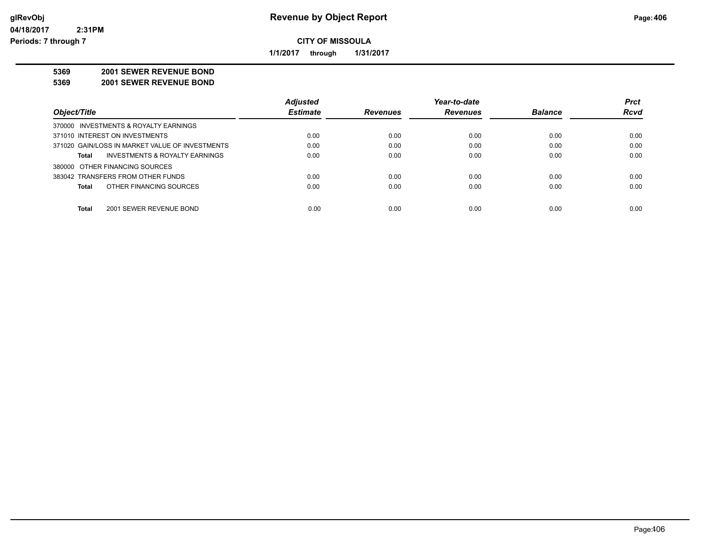**1/1/2017 through 1/31/2017**

**5369 2001 SEWER REVENUE BOND**

**5369 2001 SEWER REVENUE BOND**

|                                                    | <b>Adjusted</b> |                 | Year-to-date    |                | <b>Prct</b> |
|----------------------------------------------------|-----------------|-----------------|-----------------|----------------|-------------|
| Object/Title                                       | <b>Estimate</b> | <b>Revenues</b> | <b>Revenues</b> | <b>Balance</b> | <b>Rcvd</b> |
| 370000 INVESTMENTS & ROYALTY EARNINGS              |                 |                 |                 |                |             |
| 371010 INTEREST ON INVESTMENTS                     | 0.00            | 0.00            | 0.00            | 0.00           | 0.00        |
| 371020 GAIN/LOSS IN MARKET VALUE OF INVESTMENTS    | 0.00            | 0.00            | 0.00            | 0.00           | 0.00        |
| <b>INVESTMENTS &amp; ROYALTY EARNINGS</b><br>Total | 0.00            | 0.00            | 0.00            | 0.00           | 0.00        |
| 380000 OTHER FINANCING SOURCES                     |                 |                 |                 |                |             |
| 383042 TRANSFERS FROM OTHER FUNDS                  | 0.00            | 0.00            | 0.00            | 0.00           | 0.00        |
| OTHER FINANCING SOURCES<br>Total                   | 0.00            | 0.00            | 0.00            | 0.00           | 0.00        |
| <b>Total</b><br>2001 SEWER REVENUE BOND            | 0.00            | 0.00            | 0.00            | 0.00           | 0.00        |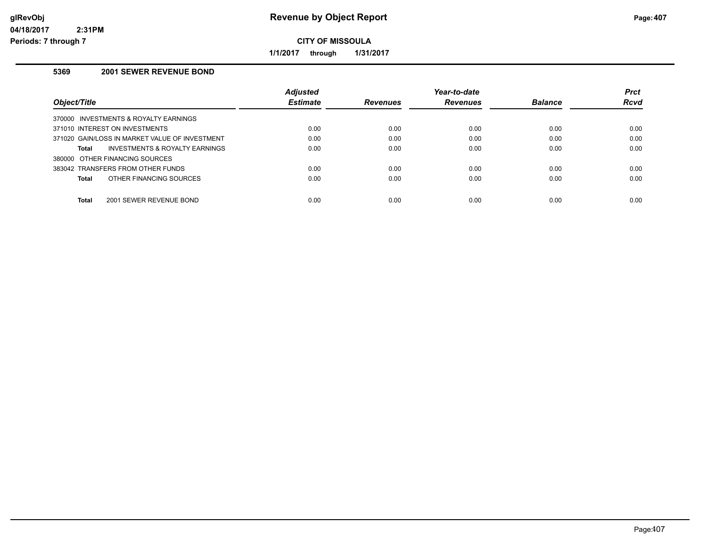**1/1/2017 through 1/31/2017**

#### **5369 2001 SEWER REVENUE BOND**

|                                                | <b>Adjusted</b> |                 | Year-to-date    |                | <b>Prct</b> |
|------------------------------------------------|-----------------|-----------------|-----------------|----------------|-------------|
| Object/Title                                   | <b>Estimate</b> | <b>Revenues</b> | <b>Revenues</b> | <b>Balance</b> | <b>Rcvd</b> |
| 370000 INVESTMENTS & ROYALTY EARNINGS          |                 |                 |                 |                |             |
| 371010 INTEREST ON INVESTMENTS                 | 0.00            | 0.00            | 0.00            | 0.00           | 0.00        |
| 371020 GAIN/LOSS IN MARKET VALUE OF INVESTMENT | 0.00            | 0.00            | 0.00            | 0.00           | 0.00        |
| Total<br>INVESTMENTS & ROYALTY EARNINGS        | 0.00            | 0.00            | 0.00            | 0.00           | 0.00        |
| 380000 OTHER FINANCING SOURCES                 |                 |                 |                 |                |             |
| 383042 TRANSFERS FROM OTHER FUNDS              | 0.00            | 0.00            | 0.00            | 0.00           | 0.00        |
| OTHER FINANCING SOURCES<br>Total               | 0.00            | 0.00            | 0.00            | 0.00           | 0.00        |
| Total<br>2001 SEWER REVENUE BOND               | 0.00            | 0.00            | 0.00            | 0.00           | 0.00        |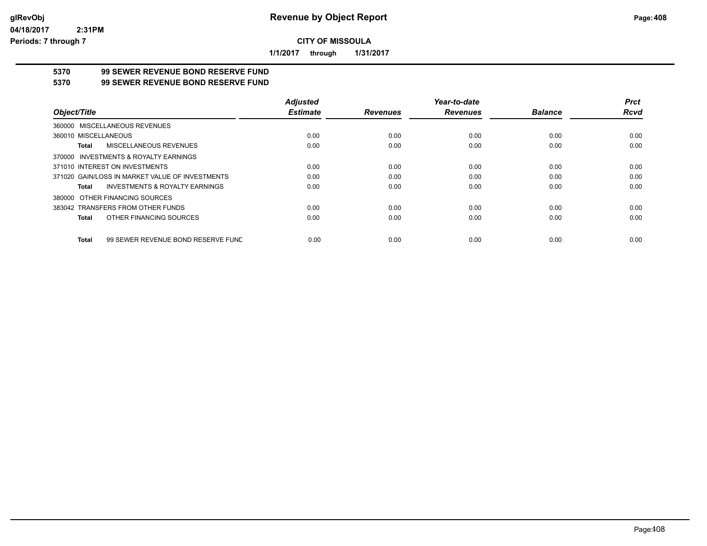**1/1/2017 through 1/31/2017**

# **5370 99 SEWER REVENUE BOND RESERVE FUND 5370 99 SEWER REVENUE BOND RESERVE FUND**

|                                                    | <b>Adjusted</b> |                 | Year-to-date    |                | <b>Prct</b> |
|----------------------------------------------------|-----------------|-----------------|-----------------|----------------|-------------|
| Object/Title                                       | <b>Estimate</b> | <b>Revenues</b> | <b>Revenues</b> | <b>Balance</b> | <b>Rcvd</b> |
| 360000 MISCELLANEOUS REVENUES                      |                 |                 |                 |                |             |
| 360010 MISCELLANEOUS                               | 0.00            | 0.00            | 0.00            | 0.00           | 0.00        |
| MISCELLANEOUS REVENUES<br>Total                    | 0.00            | 0.00            | 0.00            | 0.00           | 0.00        |
| 370000 INVESTMENTS & ROYALTY EARNINGS              |                 |                 |                 |                |             |
| 371010 INTEREST ON INVESTMENTS                     | 0.00            | 0.00            | 0.00            | 0.00           | 0.00        |
| 371020 GAIN/LOSS IN MARKET VALUE OF INVESTMENTS    | 0.00            | 0.00            | 0.00            | 0.00           | 0.00        |
| <b>INVESTMENTS &amp; ROYALTY EARNINGS</b><br>Total | 0.00            | 0.00            | 0.00            | 0.00           | 0.00        |
| 380000 OTHER FINANCING SOURCES                     |                 |                 |                 |                |             |
| 383042 TRANSFERS FROM OTHER FUNDS                  | 0.00            | 0.00            | 0.00            | 0.00           | 0.00        |
| OTHER FINANCING SOURCES<br>Total                   | 0.00            | 0.00            | 0.00            | 0.00           | 0.00        |
| 99 SEWER REVENUE BOND RESERVE FUND<br><b>Total</b> | 0.00            | 0.00            | 0.00            | 0.00           | 0.00        |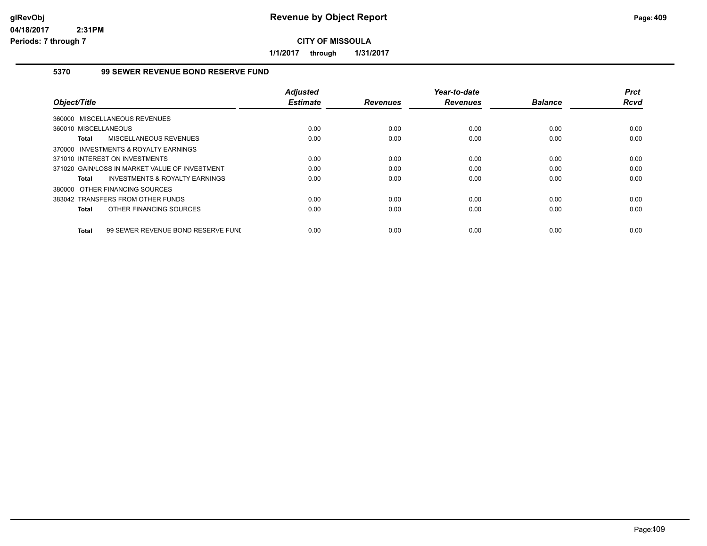**1/1/2017 through 1/31/2017**

# **5370 99 SEWER REVENUE BOND RESERVE FUND**

| Object/Title                                       | <b>Adjusted</b><br><b>Estimate</b> | <b>Revenues</b> | Year-to-date<br><b>Revenues</b> | <b>Balance</b> | <b>Prct</b><br><b>Rcvd</b> |
|----------------------------------------------------|------------------------------------|-----------------|---------------------------------|----------------|----------------------------|
|                                                    |                                    |                 |                                 |                |                            |
| 360000 MISCELLANEOUS REVENUES                      |                                    |                 |                                 |                |                            |
| 360010 MISCELLANEOUS                               | 0.00                               | 0.00            | 0.00                            | 0.00           | 0.00                       |
| MISCELLANEOUS REVENUES<br>Total                    | 0.00                               | 0.00            | 0.00                            | 0.00           | 0.00                       |
| 370000 INVESTMENTS & ROYALTY EARNINGS              |                                    |                 |                                 |                |                            |
| 371010 INTEREST ON INVESTMENTS                     | 0.00                               | 0.00            | 0.00                            | 0.00           | 0.00                       |
| 371020 GAIN/LOSS IN MARKET VALUE OF INVESTMENT     | 0.00                               | 0.00            | 0.00                            | 0.00           | 0.00                       |
| INVESTMENTS & ROYALTY EARNINGS<br>Total            | 0.00                               | 0.00            | 0.00                            | 0.00           | 0.00                       |
| 380000 OTHER FINANCING SOURCES                     |                                    |                 |                                 |                |                            |
| 383042 TRANSFERS FROM OTHER FUNDS                  | 0.00                               | 0.00            | 0.00                            | 0.00           | 0.00                       |
| OTHER FINANCING SOURCES<br>Total                   | 0.00                               | 0.00            | 0.00                            | 0.00           | 0.00                       |
| 99 SEWER REVENUE BOND RESERVE FUNI<br><b>Total</b> | 0.00                               | 0.00            | 0.00                            | 0.00           | 0.00                       |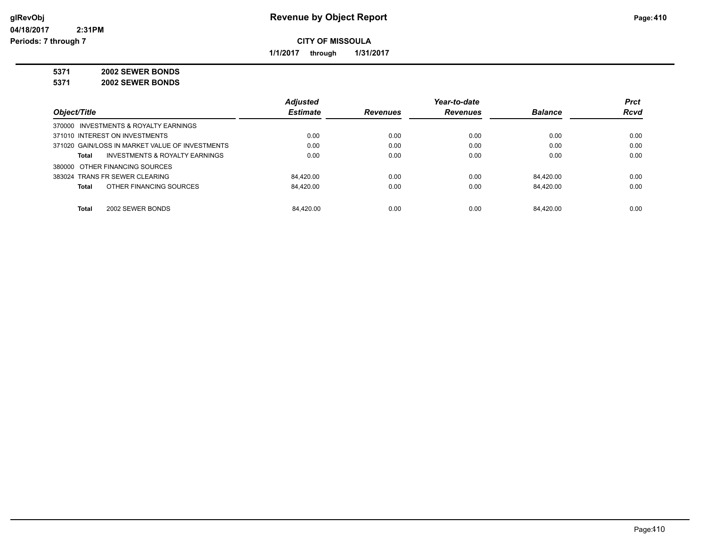**1/1/2017 through 1/31/2017**

**5371 2002 SEWER BONDS**

**5371 2002 SEWER BONDS**

|                                                 | <b>Adjusted</b> |                 | Year-to-date    |                | <b>Prct</b> |
|-------------------------------------------------|-----------------|-----------------|-----------------|----------------|-------------|
| Object/Title                                    | <b>Estimate</b> | <b>Revenues</b> | <b>Revenues</b> | <b>Balance</b> | <b>Rcvd</b> |
| 370000 INVESTMENTS & ROYALTY EARNINGS           |                 |                 |                 |                |             |
| 371010 INTEREST ON INVESTMENTS                  | 0.00            | 0.00            | 0.00            | 0.00           | 0.00        |
| 371020 GAIN/LOSS IN MARKET VALUE OF INVESTMENTS | 0.00            | 0.00            | 0.00            | 0.00           | 0.00        |
| INVESTMENTS & ROYALTY EARNINGS<br>Total         | 0.00            | 0.00            | 0.00            | 0.00           | 0.00        |
| 380000 OTHER FINANCING SOURCES                  |                 |                 |                 |                |             |
| 383024 TRANS FR SEWER CLEARING                  | 84.420.00       | 0.00            | 0.00            | 84.420.00      | 0.00        |
| OTHER FINANCING SOURCES<br><b>Total</b>         | 84.420.00       | 0.00            | 0.00            | 84.420.00      | 0.00        |
| 2002 SEWER BONDS<br><b>Total</b>                | 84.420.00       | 0.00            | 0.00            | 84.420.00      | 0.00        |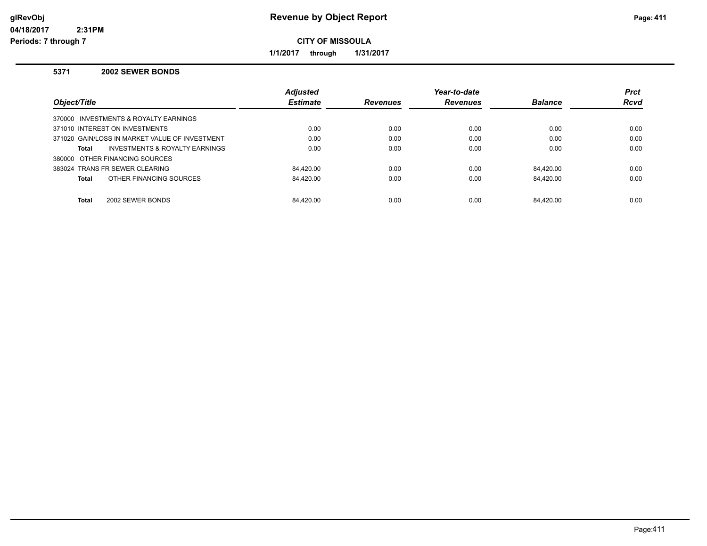**1/1/2017 through 1/31/2017**

#### **5371 2002 SEWER BONDS**

|              |                                                | <b>Adjusted</b> |                 | Year-to-date    |                | <b>Prct</b> |
|--------------|------------------------------------------------|-----------------|-----------------|-----------------|----------------|-------------|
| Object/Title |                                                | <b>Estimate</b> | <b>Revenues</b> | <b>Revenues</b> | <b>Balance</b> | <b>Rcvd</b> |
| 370000       | INVESTMENTS & ROYALTY EARNINGS                 |                 |                 |                 |                |             |
|              | 371010 INTEREST ON INVESTMENTS                 | 0.00            | 0.00            | 0.00            | 0.00           | 0.00        |
|              | 371020 GAIN/LOSS IN MARKET VALUE OF INVESTMENT | 0.00            | 0.00            | 0.00            | 0.00           | 0.00        |
| Total        | INVESTMENTS & ROYALTY EARNINGS                 | 0.00            | 0.00            | 0.00            | 0.00           | 0.00        |
|              | 380000 OTHER FINANCING SOURCES                 |                 |                 |                 |                |             |
|              | 383024 TRANS FR SEWER CLEARING                 | 84.420.00       | 0.00            | 0.00            | 84.420.00      | 0.00        |
| Total        | OTHER FINANCING SOURCES                        | 84.420.00       | 0.00            | 0.00            | 84.420.00      | 0.00        |
| <b>Total</b> | 2002 SEWER BONDS                               | 84.420.00       | 0.00            | 0.00            | 84.420.00      | 0.00        |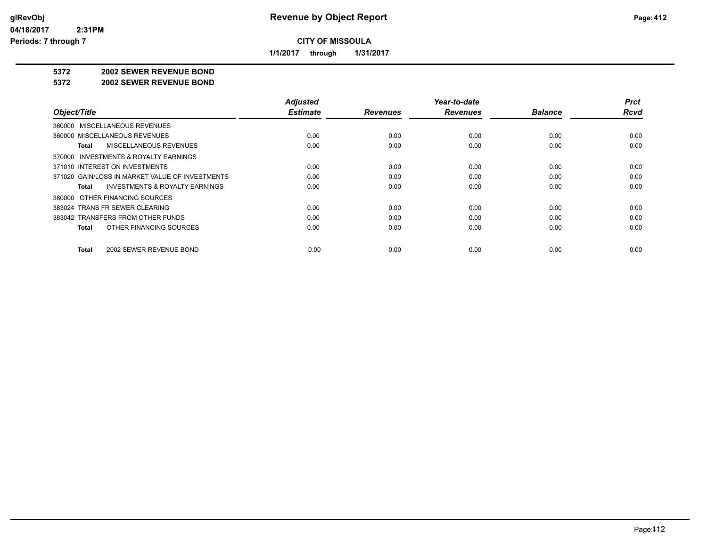**1/1/2017 through 1/31/2017**

**5372 2002 SEWER REVENUE BOND**

**5372 2002 SEWER REVENUE BOND**

|                                                    | <b>Adjusted</b> |                 | Year-to-date    |                | <b>Prct</b> |
|----------------------------------------------------|-----------------|-----------------|-----------------|----------------|-------------|
| Object/Title                                       | <b>Estimate</b> | <b>Revenues</b> | <b>Revenues</b> | <b>Balance</b> | Rcvd        |
| 360000 MISCELLANEOUS REVENUES                      |                 |                 |                 |                |             |
| 360000 MISCELLANEOUS REVENUES                      | 0.00            | 0.00            | 0.00            | 0.00           | 0.00        |
| MISCELLANEOUS REVENUES<br>Total                    | 0.00            | 0.00            | 0.00            | 0.00           | 0.00        |
| 370000 INVESTMENTS & ROYALTY EARNINGS              |                 |                 |                 |                |             |
| 371010 INTEREST ON INVESTMENTS                     | 0.00            | 0.00            | 0.00            | 0.00           | 0.00        |
| 371020 GAIN/LOSS IN MARKET VALUE OF INVESTMENTS    | 0.00            | 0.00            | 0.00            | 0.00           | 0.00        |
| <b>INVESTMENTS &amp; ROYALTY EARNINGS</b><br>Total | 0.00            | 0.00            | 0.00            | 0.00           | 0.00        |
| 380000 OTHER FINANCING SOURCES                     |                 |                 |                 |                |             |
| 383024 TRANS FR SEWER CLEARING                     | 0.00            | 0.00            | 0.00            | 0.00           | 0.00        |
| 383042 TRANSFERS FROM OTHER FUNDS                  | 0.00            | 0.00            | 0.00            | 0.00           | 0.00        |
| OTHER FINANCING SOURCES<br>Total                   | 0.00            | 0.00            | 0.00            | 0.00           | 0.00        |
| 2002 SEWER REVENUE BOND<br><b>Total</b>            | 0.00            | 0.00            | 0.00            | 0.00           | 0.00        |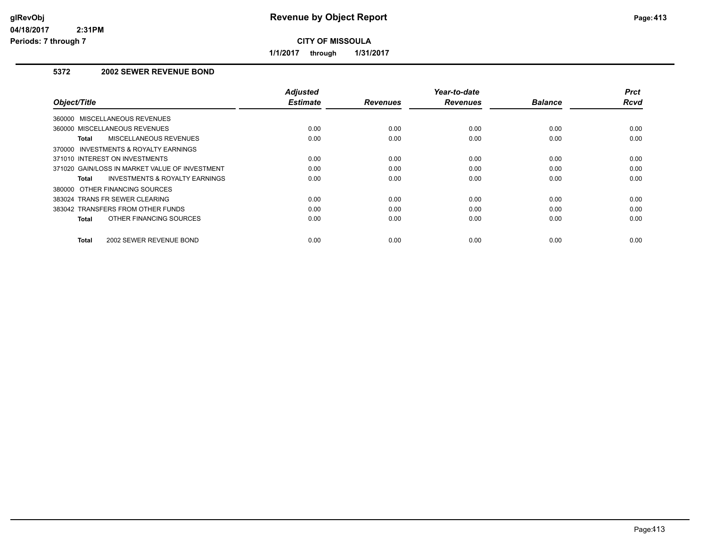**1/1/2017 through 1/31/2017**

#### **5372 2002 SEWER REVENUE BOND**

| Object/Title                                       | <b>Adjusted</b><br><b>Estimate</b> | <b>Revenues</b> | Year-to-date<br><b>Revenues</b> | <b>Balance</b> | <b>Prct</b><br><b>Rcvd</b> |
|----------------------------------------------------|------------------------------------|-----------------|---------------------------------|----------------|----------------------------|
| 360000 MISCELLANEOUS REVENUES                      |                                    |                 |                                 |                |                            |
| 360000 MISCELLANEOUS REVENUES                      | 0.00                               | 0.00            | 0.00                            | 0.00           | 0.00                       |
| MISCELLANEOUS REVENUES<br><b>Total</b>             | 0.00                               | 0.00            | 0.00                            | 0.00           | 0.00                       |
| 370000 INVESTMENTS & ROYALTY EARNINGS              |                                    |                 |                                 |                |                            |
| 371010 INTEREST ON INVESTMENTS                     | 0.00                               | 0.00            | 0.00                            | 0.00           | 0.00                       |
| 371020 GAIN/LOSS IN MARKET VALUE OF INVESTMENT     | 0.00                               | 0.00            | 0.00                            | 0.00           | 0.00                       |
| <b>INVESTMENTS &amp; ROYALTY EARNINGS</b><br>Total | 0.00                               | 0.00            | 0.00                            | 0.00           | 0.00                       |
| 380000 OTHER FINANCING SOURCES                     |                                    |                 |                                 |                |                            |
| 383024 TRANS FR SEWER CLEARING                     | 0.00                               | 0.00            | 0.00                            | 0.00           | 0.00                       |
| 383042 TRANSFERS FROM OTHER FUNDS                  | 0.00                               | 0.00            | 0.00                            | 0.00           | 0.00                       |
| OTHER FINANCING SOURCES<br>Total                   | 0.00                               | 0.00            | 0.00                            | 0.00           | 0.00                       |
| <b>Total</b><br>2002 SEWER REVENUE BOND            | 0.00                               | 0.00            | 0.00                            | 0.00           | 0.00                       |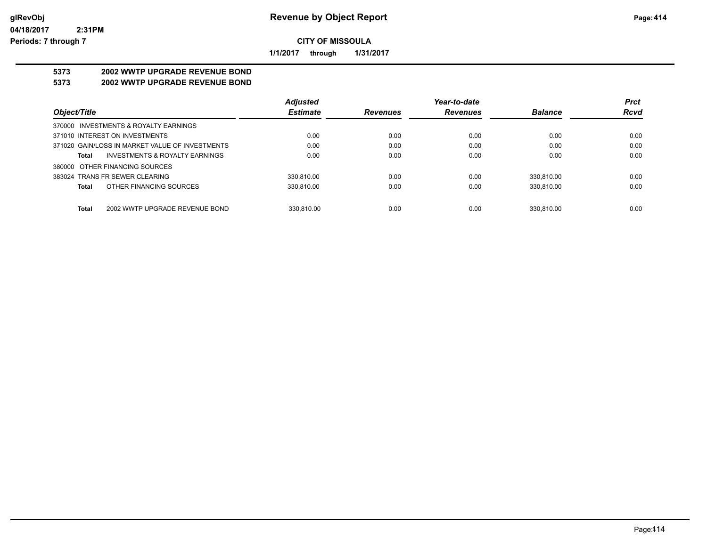**1/1/2017 through 1/31/2017**

# **5373 2002 WWTP UPGRADE REVENUE BOND 5373 2002 WWTP UPGRADE REVENUE BOND**

|                                                 | <b>Adjusted</b> |                 | Year-to-date    |                | <b>Prct</b> |
|-------------------------------------------------|-----------------|-----------------|-----------------|----------------|-------------|
| Object/Title                                    | <b>Estimate</b> | <b>Revenues</b> | <b>Revenues</b> | <b>Balance</b> | <b>Rcvd</b> |
| 370000 INVESTMENTS & ROYALTY EARNINGS           |                 |                 |                 |                |             |
| 371010 INTEREST ON INVESTMENTS                  | 0.00            | 0.00            | 0.00            | 0.00           | 0.00        |
| 371020 GAIN/LOSS IN MARKET VALUE OF INVESTMENTS | 0.00            | 0.00            | 0.00            | 0.00           | 0.00        |
| INVESTMENTS & ROYALTY EARNINGS<br>Total         | 0.00            | 0.00            | 0.00            | 0.00           | 0.00        |
| 380000 OTHER FINANCING SOURCES                  |                 |                 |                 |                |             |
| 383024 TRANS FR SEWER CLEARING                  | 330.810.00      | 0.00            | 0.00            | 330.810.00     | 0.00        |
| OTHER FINANCING SOURCES<br>Total                | 330.810.00      | 0.00            | 0.00            | 330.810.00     | 0.00        |
|                                                 |                 |                 |                 |                |             |
| 2002 WWTP UPGRADE REVENUE BOND<br>Total         | 330.810.00      | 0.00            | 0.00            | 330.810.00     | 0.00        |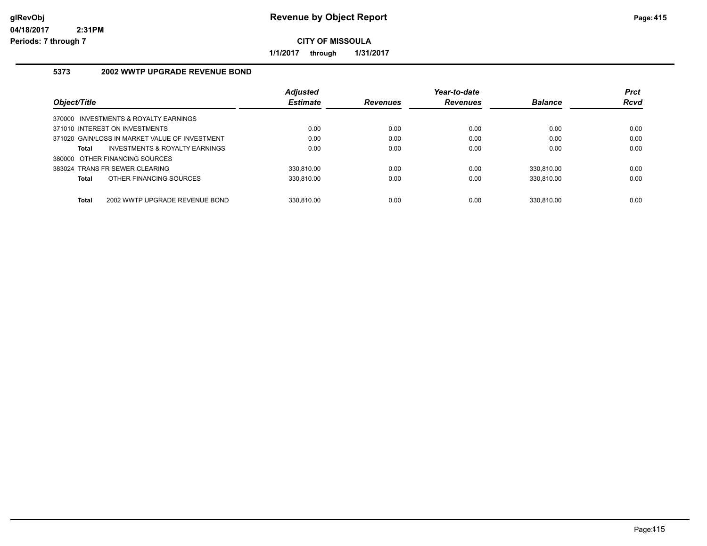**1/1/2017 through 1/31/2017**

#### **5373 2002 WWTP UPGRADE REVENUE BOND**

|                                |                                                | <b>Adjusted</b> |                 | Year-to-date    |                | <b>Prct</b> |
|--------------------------------|------------------------------------------------|-----------------|-----------------|-----------------|----------------|-------------|
| Object/Title                   |                                                | <b>Estimate</b> | <b>Revenues</b> | <b>Revenues</b> | <b>Balance</b> | <b>Rcvd</b> |
|                                | 370000 INVESTMENTS & ROYALTY EARNINGS          |                 |                 |                 |                |             |
| 371010 INTEREST ON INVESTMENTS |                                                | 0.00            | 0.00            | 0.00            | 0.00           | 0.00        |
|                                | 371020 GAIN/LOSS IN MARKET VALUE OF INVESTMENT | 0.00            | 0.00            | 0.00            | 0.00           | 0.00        |
| Total                          | INVESTMENTS & ROYALTY EARNINGS                 | 0.00            | 0.00            | 0.00            | 0.00           | 0.00        |
|                                | 380000 OTHER FINANCING SOURCES                 |                 |                 |                 |                |             |
|                                | 383024 TRANS FR SEWER CLEARING                 | 330.810.00      | 0.00            | 0.00            | 330.810.00     | 0.00        |
| Total                          | OTHER FINANCING SOURCES                        | 330.810.00      | 0.00            | 0.00            | 330.810.00     | 0.00        |
|                                |                                                |                 |                 |                 |                |             |
| <b>Total</b>                   | 2002 WWTP UPGRADE REVENUE BOND                 | 330.810.00      | 0.00            | 0.00            | 330.810.00     | 0.00        |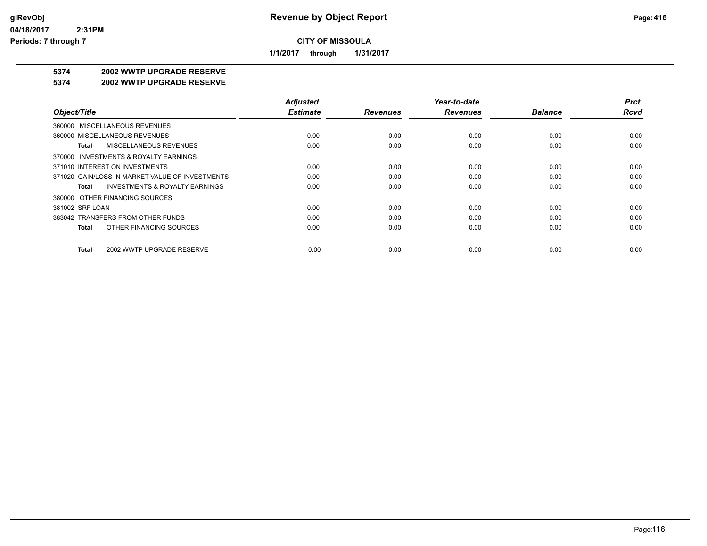**1/1/2017 through 1/31/2017**

# **5374 2002 WWTP UPGRADE RESERVE**

**5374 2002 WWTP UPGRADE RESERVE**

|                                                    | <b>Adjusted</b> |                 | Year-to-date    |                | <b>Prct</b> |
|----------------------------------------------------|-----------------|-----------------|-----------------|----------------|-------------|
| Object/Title                                       | <b>Estimate</b> | <b>Revenues</b> | <b>Revenues</b> | <b>Balance</b> | Rcvd        |
| 360000 MISCELLANEOUS REVENUES                      |                 |                 |                 |                |             |
| 360000 MISCELLANEOUS REVENUES                      | 0.00            | 0.00            | 0.00            | 0.00           | 0.00        |
| MISCELLANEOUS REVENUES<br>Total                    | 0.00            | 0.00            | 0.00            | 0.00           | 0.00        |
| 370000 INVESTMENTS & ROYALTY EARNINGS              |                 |                 |                 |                |             |
| 371010 INTEREST ON INVESTMENTS                     | 0.00            | 0.00            | 0.00            | 0.00           | 0.00        |
| 371020 GAIN/LOSS IN MARKET VALUE OF INVESTMENTS    | 0.00            | 0.00            | 0.00            | 0.00           | 0.00        |
| <b>INVESTMENTS &amp; ROYALTY EARNINGS</b><br>Total | 0.00            | 0.00            | 0.00            | 0.00           | 0.00        |
| 380000 OTHER FINANCING SOURCES                     |                 |                 |                 |                |             |
| 381002 SRF LOAN                                    | 0.00            | 0.00            | 0.00            | 0.00           | 0.00        |
| 383042 TRANSFERS FROM OTHER FUNDS                  | 0.00            | 0.00            | 0.00            | 0.00           | 0.00        |
| OTHER FINANCING SOURCES<br>Total                   | 0.00            | 0.00            | 0.00            | 0.00           | 0.00        |
| 2002 WWTP UPGRADE RESERVE<br>Total                 | 0.00            | 0.00            | 0.00            | 0.00           | 0.00        |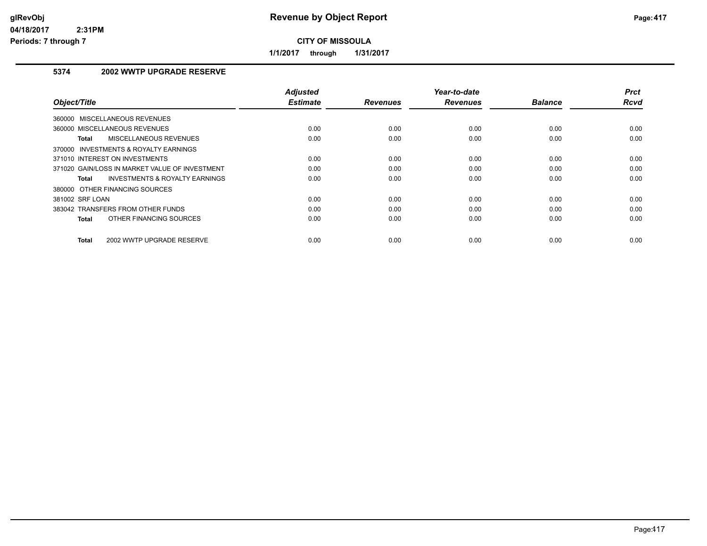**1/1/2017 through 1/31/2017**

#### **5374 2002 WWTP UPGRADE RESERVE**

| Object/Title                                       | Adjusted<br><b>Estimate</b> | <b>Revenues</b> | Year-to-date<br><b>Revenues</b> | <b>Balance</b> | <b>Prct</b><br>Rcvd |
|----------------------------------------------------|-----------------------------|-----------------|---------------------------------|----------------|---------------------|
| MISCELLANEOUS REVENUES                             |                             |                 |                                 |                |                     |
| 360000                                             |                             |                 |                                 |                |                     |
| 360000 MISCELLANEOUS REVENUES                      | 0.00                        | 0.00            | 0.00                            | 0.00           | 0.00                |
| MISCELLANEOUS REVENUES<br>Total                    | 0.00                        | 0.00            | 0.00                            | 0.00           | 0.00                |
| INVESTMENTS & ROYALTY EARNINGS<br>370000           |                             |                 |                                 |                |                     |
| 371010 INTEREST ON INVESTMENTS                     | 0.00                        | 0.00            | 0.00                            | 0.00           | 0.00                |
| 371020 GAIN/LOSS IN MARKET VALUE OF INVESTMENT     | 0.00                        | 0.00            | 0.00                            | 0.00           | 0.00                |
| <b>INVESTMENTS &amp; ROYALTY EARNINGS</b><br>Total | 0.00                        | 0.00            | 0.00                            | 0.00           | 0.00                |
| 380000 OTHER FINANCING SOURCES                     |                             |                 |                                 |                |                     |
| 381002 SRF LOAN                                    | 0.00                        | 0.00            | 0.00                            | 0.00           | 0.00                |
| 383042 TRANSFERS FROM OTHER FUNDS                  | 0.00                        | 0.00            | 0.00                            | 0.00           | 0.00                |
| OTHER FINANCING SOURCES<br><b>Total</b>            | 0.00                        | 0.00            | 0.00                            | 0.00           | 0.00                |
| <b>Total</b><br>2002 WWTP UPGRADE RESERVE          | 0.00                        | 0.00            | 0.00                            | 0.00           | 0.00                |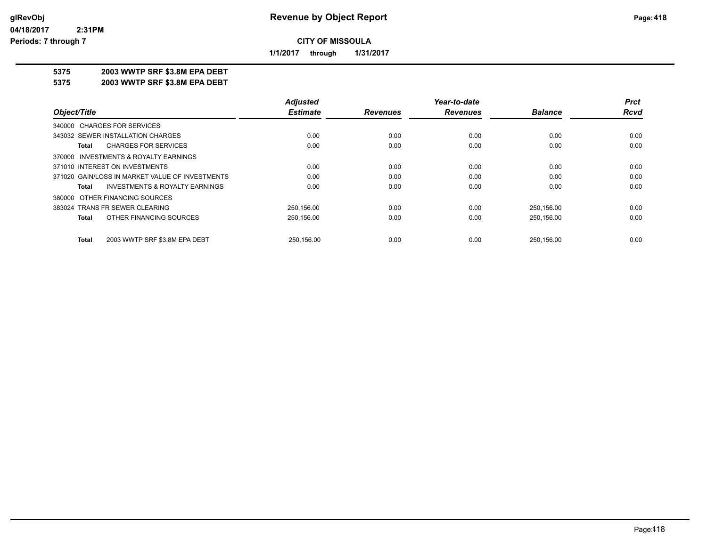**1/1/2017 through 1/31/2017**

**5375 2003 WWTP SRF \$3.8M EPA DEBT**

**5375 2003 WWTP SRF \$3.8M EPA DEBT**

| Object/Title                                       | <b>Adjusted</b><br><b>Estimate</b> | <b>Revenues</b> | Year-to-date<br><b>Revenues</b> | <b>Balance</b> | <b>Prct</b><br><b>Rcvd</b> |
|----------------------------------------------------|------------------------------------|-----------------|---------------------------------|----------------|----------------------------|
|                                                    |                                    |                 |                                 |                |                            |
| 340000 CHARGES FOR SERVICES                        |                                    |                 |                                 |                |                            |
| 343032 SEWER INSTALLATION CHARGES                  | 0.00                               | 0.00            | 0.00                            | 0.00           | 0.00                       |
| <b>CHARGES FOR SERVICES</b><br>Total               | 0.00                               | 0.00            | 0.00                            | 0.00           | 0.00                       |
| 370000 INVESTMENTS & ROYALTY EARNINGS              |                                    |                 |                                 |                |                            |
| 371010 INTEREST ON INVESTMENTS                     | 0.00                               | 0.00            | 0.00                            | 0.00           | 0.00                       |
| 371020 GAIN/LOSS IN MARKET VALUE OF INVESTMENTS    | 0.00                               | 0.00            | 0.00                            | 0.00           | 0.00                       |
| <b>INVESTMENTS &amp; ROYALTY EARNINGS</b><br>Total | 0.00                               | 0.00            | 0.00                            | 0.00           | 0.00                       |
| 380000 OTHER FINANCING SOURCES                     |                                    |                 |                                 |                |                            |
| 383024 TRANS FR SEWER CLEARING                     | 250,156.00                         | 0.00            | 0.00                            | 250,156.00     | 0.00                       |
| OTHER FINANCING SOURCES<br><b>Total</b>            | 250,156.00                         | 0.00            | 0.00                            | 250,156.00     | 0.00                       |
| <b>Total</b><br>2003 WWTP SRF \$3.8M EPA DEBT      | 250.156.00                         | 0.00            | 0.00                            | 250.156.00     | 0.00                       |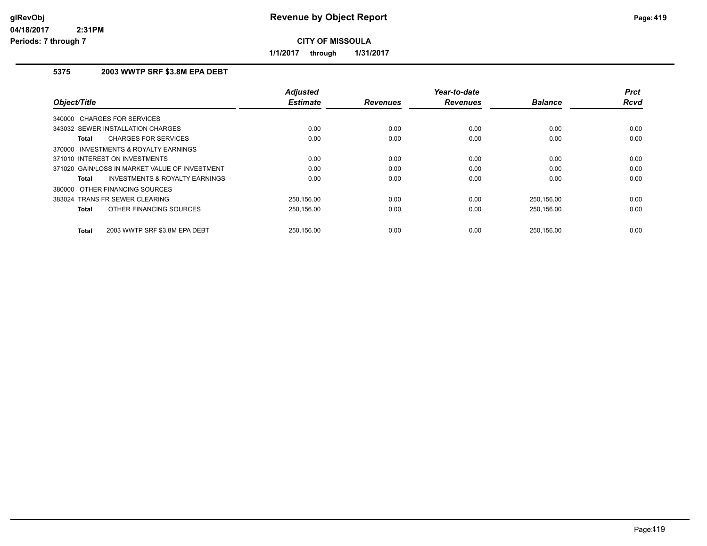**1/1/2017 through 1/31/2017**

#### **5375 2003 WWTP SRF \$3.8M EPA DEBT**

|                                                | <b>Adjusted</b> |                 | Year-to-date    |                | <b>Prct</b> |
|------------------------------------------------|-----------------|-----------------|-----------------|----------------|-------------|
| Object/Title                                   | <b>Estimate</b> | <b>Revenues</b> | <b>Revenues</b> | <b>Balance</b> | <b>Rcvd</b> |
| <b>CHARGES FOR SERVICES</b><br>340000          |                 |                 |                 |                |             |
| 343032 SEWER INSTALLATION CHARGES              | 0.00            | 0.00            | 0.00            | 0.00           | 0.00        |
| <b>CHARGES FOR SERVICES</b><br>Total           | 0.00            | 0.00            | 0.00            | 0.00           | 0.00        |
| INVESTMENTS & ROYALTY EARNINGS<br>370000       |                 |                 |                 |                |             |
| 371010 INTEREST ON INVESTMENTS                 | 0.00            | 0.00            | 0.00            | 0.00           | 0.00        |
| 371020 GAIN/LOSS IN MARKET VALUE OF INVESTMENT | 0.00            | 0.00            | 0.00            | 0.00           | 0.00        |
| INVESTMENTS & ROYALTY EARNINGS<br><b>Total</b> | 0.00            | 0.00            | 0.00            | 0.00           | 0.00        |
| OTHER FINANCING SOURCES<br>380000              |                 |                 |                 |                |             |
| 383024 TRANS FR SEWER CLEARING                 | 250,156.00      | 0.00            | 0.00            | 250,156.00     | 0.00        |
| OTHER FINANCING SOURCES<br><b>Total</b>        | 250,156.00      | 0.00            | 0.00            | 250,156.00     | 0.00        |
| 2003 WWTP SRF \$3.8M EPA DEBT<br><b>Total</b>  | 250,156.00      | 0.00            | 0.00            | 250,156.00     | 0.00        |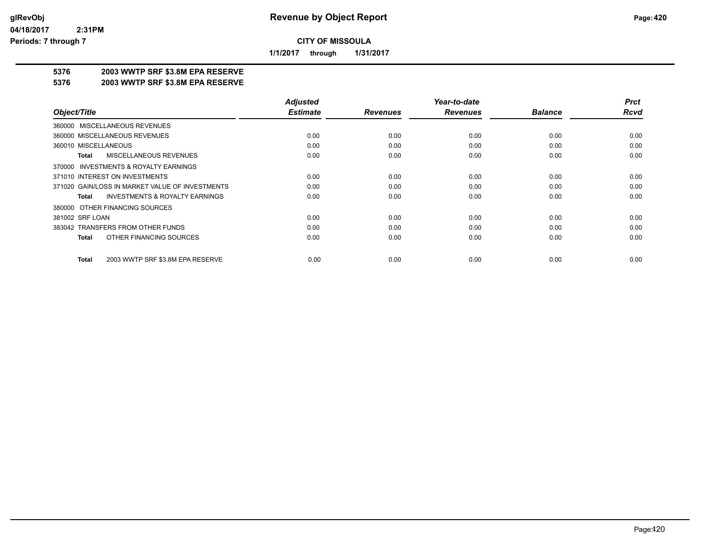**1/1/2017 through 1/31/2017**

# **5376 2003 WWTP SRF \$3.8M EPA RESERVE**

**5376 2003 WWTP SRF \$3.8M EPA RESERVE**

|                                                    | <b>Adjusted</b> |                 | Year-to-date    |                | <b>Prct</b> |
|----------------------------------------------------|-----------------|-----------------|-----------------|----------------|-------------|
| Object/Title                                       | <b>Estimate</b> | <b>Revenues</b> | <b>Revenues</b> | <b>Balance</b> | <b>Rcvd</b> |
| 360000 MISCELLANEOUS REVENUES                      |                 |                 |                 |                |             |
| 360000 MISCELLANEOUS REVENUES                      | 0.00            | 0.00            | 0.00            | 0.00           | 0.00        |
| 360010 MISCELLANEOUS                               | 0.00            | 0.00            | 0.00            | 0.00           | 0.00        |
| MISCELLANEOUS REVENUES<br>Total                    | 0.00            | 0.00            | 0.00            | 0.00           | 0.00        |
| 370000 INVESTMENTS & ROYALTY EARNINGS              |                 |                 |                 |                |             |
| 371010 INTEREST ON INVESTMENTS                     | 0.00            | 0.00            | 0.00            | 0.00           | 0.00        |
| 371020 GAIN/LOSS IN MARKET VALUE OF INVESTMENTS    | 0.00            | 0.00            | 0.00            | 0.00           | 0.00        |
| <b>INVESTMENTS &amp; ROYALTY EARNINGS</b><br>Total | 0.00            | 0.00            | 0.00            | 0.00           | 0.00        |
| 380000 OTHER FINANCING SOURCES                     |                 |                 |                 |                |             |
| 381002 SRF LOAN                                    | 0.00            | 0.00            | 0.00            | 0.00           | 0.00        |
| 383042 TRANSFERS FROM OTHER FUNDS                  | 0.00            | 0.00            | 0.00            | 0.00           | 0.00        |
| OTHER FINANCING SOURCES<br><b>Total</b>            | 0.00            | 0.00            | 0.00            | 0.00           | 0.00        |
| 2003 WWTP SRF \$3.8M EPA RESERVE<br>Total          | 0.00            | 0.00            | 0.00            | 0.00           | 0.00        |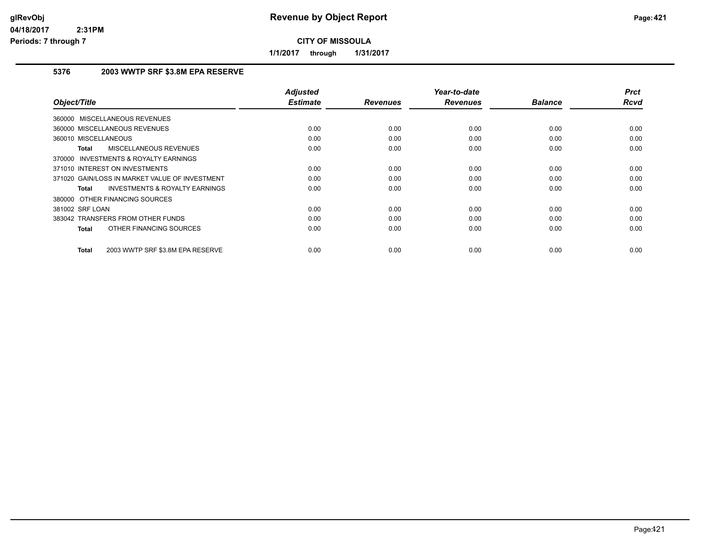**1/1/2017 through 1/31/2017**

#### **5376 2003 WWTP SRF \$3.8M EPA RESERVE**

|                                                           | <b>Adjusted</b> |                 | Year-to-date    |                | <b>Prct</b> |
|-----------------------------------------------------------|-----------------|-----------------|-----------------|----------------|-------------|
| Object/Title                                              | <b>Estimate</b> | <b>Revenues</b> | <b>Revenues</b> | <b>Balance</b> | <b>Rcvd</b> |
| 360000 MISCELLANEOUS REVENUES                             |                 |                 |                 |                |             |
| 360000 MISCELLANEOUS REVENUES                             | 0.00            | 0.00            | 0.00            | 0.00           | 0.00        |
| 360010 MISCELLANEOUS                                      | 0.00            | 0.00            | 0.00            | 0.00           | 0.00        |
| MISCELLANEOUS REVENUES<br><b>Total</b>                    | 0.00            | 0.00            | 0.00            | 0.00           | 0.00        |
| 370000 INVESTMENTS & ROYALTY EARNINGS                     |                 |                 |                 |                |             |
| 371010 INTEREST ON INVESTMENTS                            | 0.00            | 0.00            | 0.00            | 0.00           | 0.00        |
| 371020 GAIN/LOSS IN MARKET VALUE OF INVESTMENT            | 0.00            | 0.00            | 0.00            | 0.00           | 0.00        |
| <b>INVESTMENTS &amp; ROYALTY EARNINGS</b><br><b>Total</b> | 0.00            | 0.00            | 0.00            | 0.00           | 0.00        |
| 380000 OTHER FINANCING SOURCES                            |                 |                 |                 |                |             |
| 381002 SRF LOAN                                           | 0.00            | 0.00            | 0.00            | 0.00           | 0.00        |
| 383042 TRANSFERS FROM OTHER FUNDS                         | 0.00            | 0.00            | 0.00            | 0.00           | 0.00        |
| OTHER FINANCING SOURCES<br><b>Total</b>                   | 0.00            | 0.00            | 0.00            | 0.00           | 0.00        |
|                                                           |                 |                 |                 |                |             |
| 2003 WWTP SRF \$3.8M EPA RESERVE<br><b>Total</b>          | 0.00            | 0.00            | 0.00            | 0.00           | 0.00        |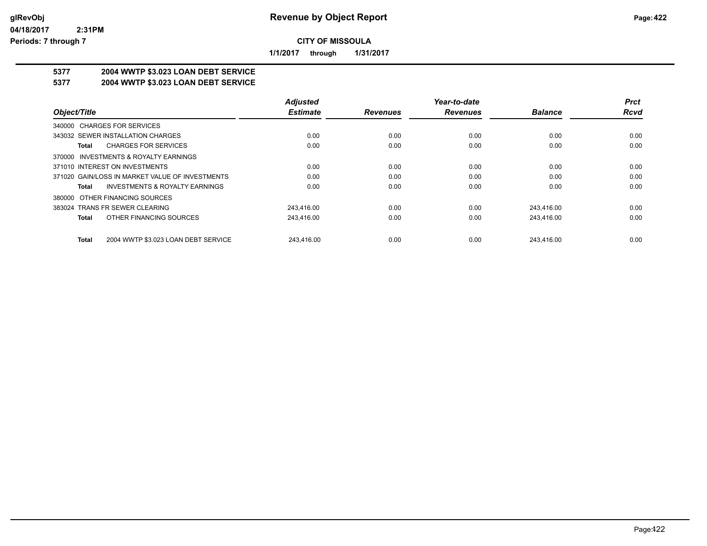**1/1/2017 through 1/31/2017**

# **5377 2004 WWTP \$3.023 LOAN DEBT SERVICE 5377 2004 WWTP \$3.023 LOAN DEBT SERVICE**

|                                                 | <b>Adjusted</b> |                 | Year-to-date    |                | <b>Prct</b> |
|-------------------------------------------------|-----------------|-----------------|-----------------|----------------|-------------|
| Object/Title                                    | <b>Estimate</b> | <b>Revenues</b> | <b>Revenues</b> | <b>Balance</b> | <b>Rcvd</b> |
| 340000 CHARGES FOR SERVICES                     |                 |                 |                 |                |             |
| 343032 SEWER INSTALLATION CHARGES               | 0.00            | 0.00            | 0.00            | 0.00           | 0.00        |
| <b>CHARGES FOR SERVICES</b><br>Total            | 0.00            | 0.00            | 0.00            | 0.00           | 0.00        |
| INVESTMENTS & ROYALTY EARNINGS<br>370000        |                 |                 |                 |                |             |
| 371010 INTEREST ON INVESTMENTS                  | 0.00            | 0.00            | 0.00            | 0.00           | 0.00        |
| 371020 GAIN/LOSS IN MARKET VALUE OF INVESTMENTS | 0.00            | 0.00            | 0.00            | 0.00           | 0.00        |
| INVESTMENTS & ROYALTY EARNINGS<br>Total         | 0.00            | 0.00            | 0.00            | 0.00           | 0.00        |
| 380000 OTHER FINANCING SOURCES                  |                 |                 |                 |                |             |
| 383024 TRANS FR SEWER CLEARING                  | 243.416.00      | 0.00            | 0.00            | 243.416.00     | 0.00        |
| OTHER FINANCING SOURCES<br><b>Total</b>         | 243,416.00      | 0.00            | 0.00            | 243,416.00     | 0.00        |
| 2004 WWTP \$3.023 LOAN DEBT SERVICE<br>Total    | 243.416.00      | 0.00            | 0.00            | 243.416.00     | 0.00        |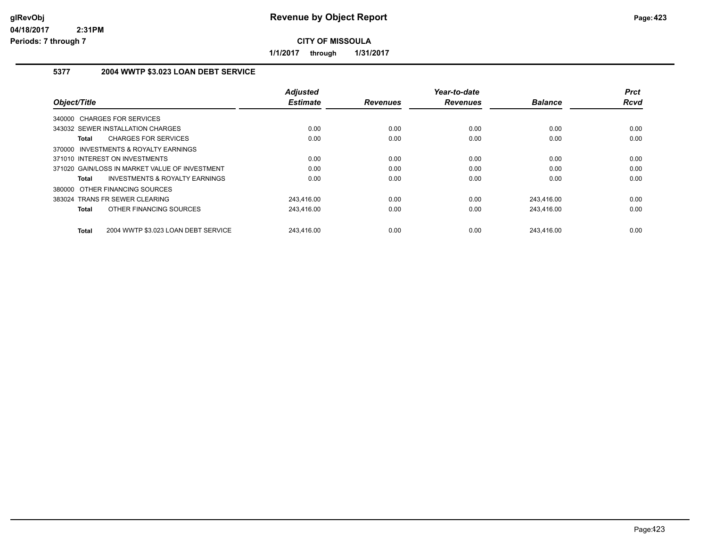**1/1/2017 through 1/31/2017**

# **5377 2004 WWTP \$3.023 LOAN DEBT SERVICE**

| Object/Title                                              | <b>Adjusted</b><br><b>Estimate</b> | <b>Revenues</b> | Year-to-date<br><b>Revenues</b> | <b>Balance</b> | <b>Prct</b><br><b>Rcvd</b> |
|-----------------------------------------------------------|------------------------------------|-----------------|---------------------------------|----------------|----------------------------|
|                                                           |                                    |                 |                                 |                |                            |
| <b>CHARGES FOR SERVICES</b><br>340000                     |                                    |                 |                                 |                |                            |
| 343032 SEWER INSTALLATION CHARGES                         | 0.00                               | 0.00            | 0.00                            | 0.00           | 0.00                       |
| <b>CHARGES FOR SERVICES</b><br><b>Total</b>               | 0.00                               | 0.00            | 0.00                            | 0.00           | 0.00                       |
| <b>INVESTMENTS &amp; ROYALTY EARNINGS</b><br>370000       |                                    |                 |                                 |                |                            |
| 371010 INTEREST ON INVESTMENTS                            | 0.00                               | 0.00            | 0.00                            | 0.00           | 0.00                       |
| 371020 GAIN/LOSS IN MARKET VALUE OF INVESTMENT            | 0.00                               | 0.00            | 0.00                            | 0.00           | 0.00                       |
| <b>INVESTMENTS &amp; ROYALTY EARNINGS</b><br><b>Total</b> | 0.00                               | 0.00            | 0.00                            | 0.00           | 0.00                       |
| OTHER FINANCING SOURCES<br>380000                         |                                    |                 |                                 |                |                            |
| 383024 TRANS FR SEWER CLEARING                            | 243.416.00                         | 0.00            | 0.00                            | 243.416.00     | 0.00                       |
| OTHER FINANCING SOURCES<br><b>Total</b>                   | 243.416.00                         | 0.00            | 0.00                            | 243.416.00     | 0.00                       |
| <b>Total</b><br>2004 WWTP \$3.023 LOAN DEBT SERVICE       | 243.416.00                         | 0.00            | 0.00                            | 243.416.00     | 0.00                       |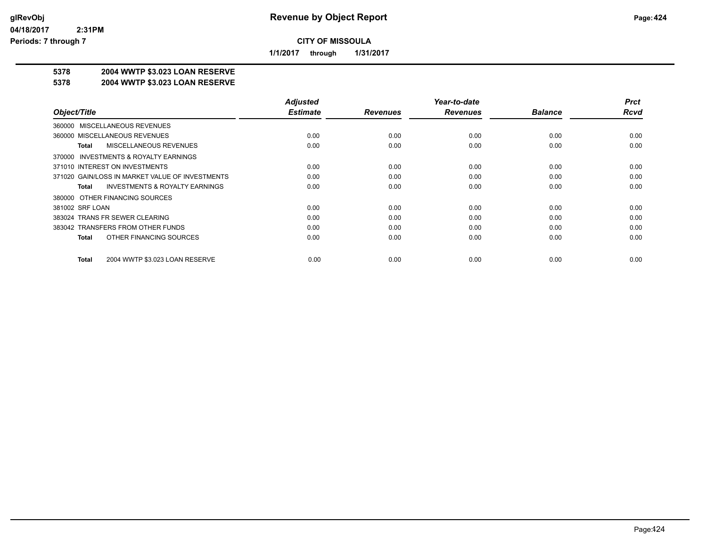**1/1/2017 through 1/31/2017**

# **5378 2004 WWTP \$3.023 LOAN RESERVE**

# **5378 2004 WWTP \$3.023 LOAN RESERVE**

|                                                    | <b>Adjusted</b> |                 | Year-to-date    |                | <b>Prct</b> |
|----------------------------------------------------|-----------------|-----------------|-----------------|----------------|-------------|
| Object/Title                                       | <b>Estimate</b> | <b>Revenues</b> | <b>Revenues</b> | <b>Balance</b> | <b>Rcvd</b> |
| 360000 MISCELLANEOUS REVENUES                      |                 |                 |                 |                |             |
| 360000 MISCELLANEOUS REVENUES                      | 0.00            | 0.00            | 0.00            | 0.00           | 0.00        |
| MISCELLANEOUS REVENUES<br><b>Total</b>             | 0.00            | 0.00            | 0.00            | 0.00           | 0.00        |
| 370000 INVESTMENTS & ROYALTY EARNINGS              |                 |                 |                 |                |             |
| 371010 INTEREST ON INVESTMENTS                     | 0.00            | 0.00            | 0.00            | 0.00           | 0.00        |
| 371020 GAIN/LOSS IN MARKET VALUE OF INVESTMENTS    | 0.00            | 0.00            | 0.00            | 0.00           | 0.00        |
| <b>INVESTMENTS &amp; ROYALTY EARNINGS</b><br>Total | 0.00            | 0.00            | 0.00            | 0.00           | 0.00        |
| 380000 OTHER FINANCING SOURCES                     |                 |                 |                 |                |             |
| 381002 SRF LOAN                                    | 0.00            | 0.00            | 0.00            | 0.00           | 0.00        |
| 383024 TRANS FR SEWER CLEARING                     | 0.00            | 0.00            | 0.00            | 0.00           | 0.00        |
| 383042 TRANSFERS FROM OTHER FUNDS                  | 0.00            | 0.00            | 0.00            | 0.00           | 0.00        |
| OTHER FINANCING SOURCES<br>Total                   | 0.00            | 0.00            | 0.00            | 0.00           | 0.00        |
| 2004 WWTP \$3.023 LOAN RESERVE<br>Total            | 0.00            | 0.00            | 0.00            | 0.00           | 0.00        |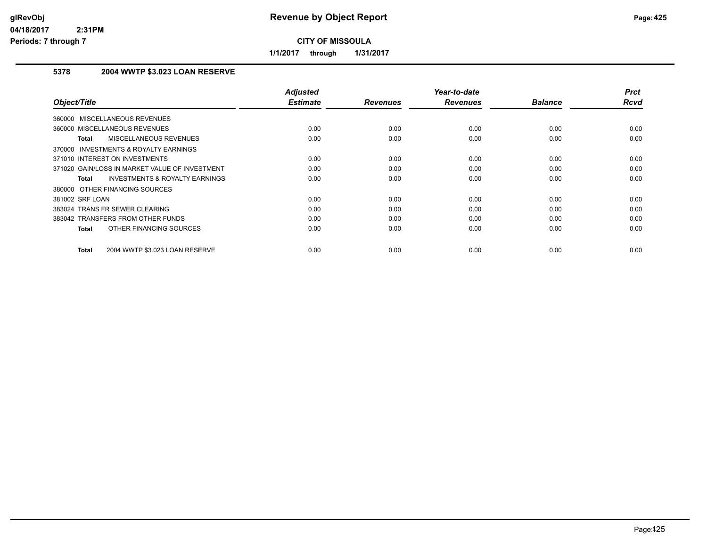**1/1/2017 through 1/31/2017**

# **5378 2004 WWTP \$3.023 LOAN RESERVE**

| Object/Title                                              | <b>Adjusted</b><br><b>Estimate</b> | <b>Revenues</b> | Year-to-date<br><b>Revenues</b> | <b>Balance</b> | <b>Prct</b><br><b>Rcvd</b> |
|-----------------------------------------------------------|------------------------------------|-----------------|---------------------------------|----------------|----------------------------|
| <b>MISCELLANEOUS REVENUES</b><br>360000                   |                                    |                 |                                 |                |                            |
| 360000 MISCELLANEOUS REVENUES                             | 0.00                               | 0.00            | 0.00                            | 0.00           | 0.00                       |
| MISCELLANEOUS REVENUES<br><b>Total</b>                    | 0.00                               | 0.00            | 0.00                            | 0.00           | 0.00                       |
| <b>INVESTMENTS &amp; ROYALTY EARNINGS</b><br>370000       |                                    |                 |                                 |                |                            |
| 371010 INTEREST ON INVESTMENTS                            | 0.00                               | 0.00            | 0.00                            | 0.00           | 0.00                       |
| 371020 GAIN/LOSS IN MARKET VALUE OF INVESTMENT            | 0.00                               | 0.00            | 0.00                            | 0.00           | 0.00                       |
| <b>INVESTMENTS &amp; ROYALTY EARNINGS</b><br><b>Total</b> | 0.00                               | 0.00            | 0.00                            | 0.00           | 0.00                       |
| 380000 OTHER FINANCING SOURCES                            |                                    |                 |                                 |                |                            |
| 381002 SRF LOAN                                           | 0.00                               | 0.00            | 0.00                            | 0.00           | 0.00                       |
| 383024 TRANS FR SEWER CLEARING                            | 0.00                               | 0.00            | 0.00                            | 0.00           | 0.00                       |
| 383042 TRANSFERS FROM OTHER FUNDS                         | 0.00                               | 0.00            | 0.00                            | 0.00           | 0.00                       |
| OTHER FINANCING SOURCES<br><b>Total</b>                   | 0.00                               | 0.00            | 0.00                            | 0.00           | 0.00                       |
|                                                           |                                    |                 |                                 |                |                            |
| 2004 WWTP \$3.023 LOAN RESERVE<br><b>Total</b>            | 0.00                               | 0.00            | 0.00                            | 0.00           | 0.00                       |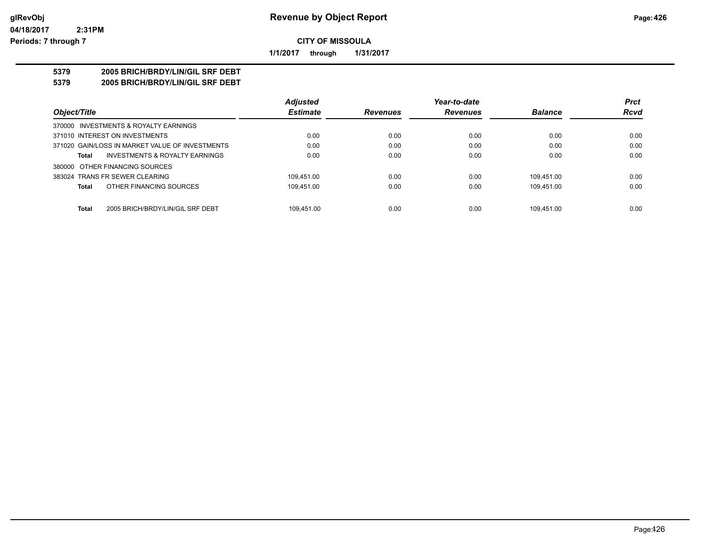**1/1/2017 through 1/31/2017**

# **5379 2005 BRICH/BRDY/LIN/GIL SRF DEBT 5379 2005 BRICH/BRDY/LIN/GIL SRF DEBT**

|                                                  | <b>Adjusted</b> |                 | Year-to-date    |                | <b>Prct</b> |
|--------------------------------------------------|-----------------|-----------------|-----------------|----------------|-------------|
| Object/Title                                     | <b>Estimate</b> | <b>Revenues</b> | <b>Revenues</b> | <b>Balance</b> | <b>Rcvd</b> |
| 370000 INVESTMENTS & ROYALTY EARNINGS            |                 |                 |                 |                |             |
| 371010 INTEREST ON INVESTMENTS                   | 0.00            | 0.00            | 0.00            | 0.00           | 0.00        |
| 371020 GAIN/LOSS IN MARKET VALUE OF INVESTMENTS  | 0.00            | 0.00            | 0.00            | 0.00           | 0.00        |
| INVESTMENTS & ROYALTY EARNINGS<br>Total          | 0.00            | 0.00            | 0.00            | 0.00           | 0.00        |
| 380000 OTHER FINANCING SOURCES                   |                 |                 |                 |                |             |
| 383024 TRANS FR SEWER CLEARING                   | 109.451.00      | 0.00            | 0.00            | 109.451.00     | 0.00        |
| OTHER FINANCING SOURCES<br>Total                 | 109.451.00      | 0.00            | 0.00            | 109.451.00     | 0.00        |
| <b>Total</b><br>2005 BRICH/BRDY/LIN/GIL SRF DEBT | 109.451.00      | 0.00            | 0.00            | 109.451.00     | 0.00        |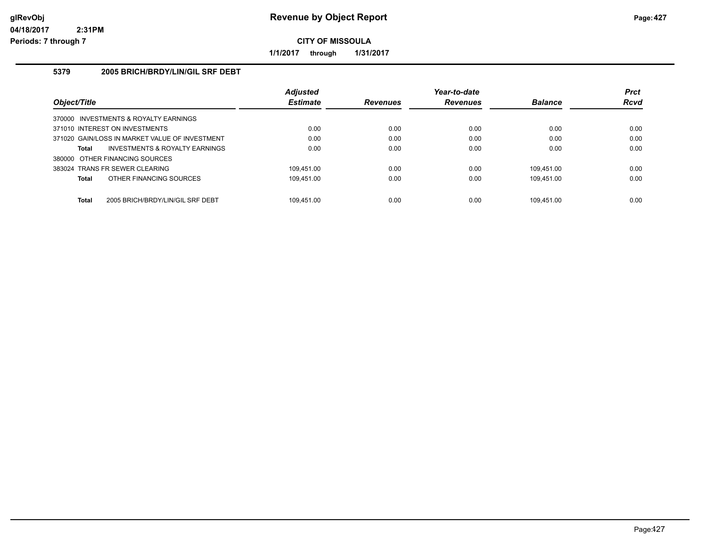**1/1/2017 through 1/31/2017**

#### **5379 2005 BRICH/BRDY/LIN/GIL SRF DEBT**

|                                                  | <b>Adjusted</b> |                 | Year-to-date    |                | <b>Prct</b> |
|--------------------------------------------------|-----------------|-----------------|-----------------|----------------|-------------|
| Object/Title                                     | <b>Estimate</b> | <b>Revenues</b> | <b>Revenues</b> | <b>Balance</b> | <b>Rcvd</b> |
| 370000 INVESTMENTS & ROYALTY EARNINGS            |                 |                 |                 |                |             |
| 371010 INTEREST ON INVESTMENTS                   | 0.00            | 0.00            | 0.00            | 0.00           | 0.00        |
| 371020 GAIN/LOSS IN MARKET VALUE OF INVESTMENT   | 0.00            | 0.00            | 0.00            | 0.00           | 0.00        |
| Total<br>INVESTMENTS & ROYALTY EARNINGS          | 0.00            | 0.00            | 0.00            | 0.00           | 0.00        |
| 380000 OTHER FINANCING SOURCES                   |                 |                 |                 |                |             |
| 383024 TRANS FR SEWER CLEARING                   | 109.451.00      | 0.00            | 0.00            | 109.451.00     | 0.00        |
| OTHER FINANCING SOURCES<br>Total                 | 109.451.00      | 0.00            | 0.00            | 109.451.00     | 0.00        |
| <b>Total</b><br>2005 BRICH/BRDY/LIN/GIL SRF DEBT | 109.451.00      | 0.00            | 0.00            | 109.451.00     | 0.00        |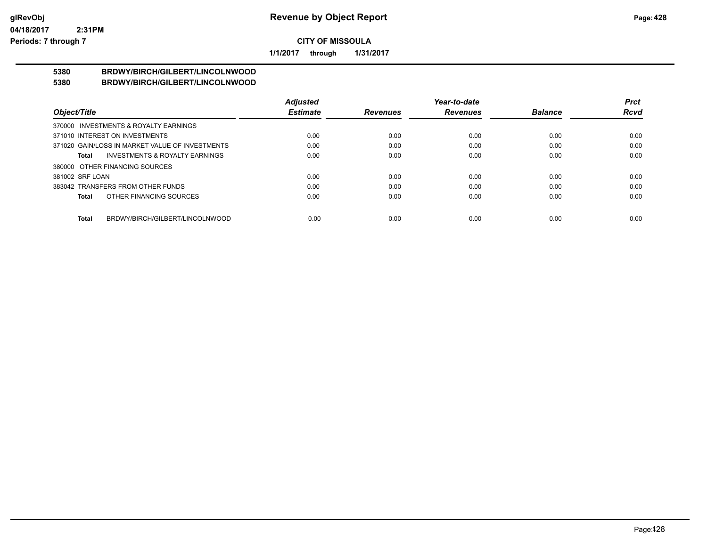**1/1/2017 through 1/31/2017**

# **5380 BRDWY/BIRCH/GILBERT/LINCOLNWOOD 5380 BRDWY/BIRCH/GILBERT/LINCOLNWOOD**

|                                                    | <b>Adjusted</b> |                 | Year-to-date    |                | <b>Prct</b> |
|----------------------------------------------------|-----------------|-----------------|-----------------|----------------|-------------|
| Object/Title                                       | <b>Estimate</b> | <b>Revenues</b> | <b>Revenues</b> | <b>Balance</b> | Rcvd        |
| 370000 INVESTMENTS & ROYALTY EARNINGS              |                 |                 |                 |                |             |
| 371010 INTEREST ON INVESTMENTS                     | 0.00            | 0.00            | 0.00            | 0.00           | 0.00        |
| 371020 GAIN/LOSS IN MARKET VALUE OF INVESTMENTS    | 0.00            | 0.00            | 0.00            | 0.00           | 0.00        |
| <b>INVESTMENTS &amp; ROYALTY EARNINGS</b><br>Total | 0.00            | 0.00            | 0.00            | 0.00           | 0.00        |
| 380000 OTHER FINANCING SOURCES                     |                 |                 |                 |                |             |
| 381002 SRF LOAN                                    | 0.00            | 0.00            | 0.00            | 0.00           | 0.00        |
| 383042 TRANSFERS FROM OTHER FUNDS                  | 0.00            | 0.00            | 0.00            | 0.00           | 0.00        |
| OTHER FINANCING SOURCES<br><b>Total</b>            | 0.00            | 0.00            | 0.00            | 0.00           | 0.00        |
|                                                    |                 |                 |                 |                |             |
| <b>Total</b><br>BRDWY/BIRCH/GILBERT/LINCOLNWOOD    | 0.00            | 0.00            | 0.00            | 0.00           | 0.00        |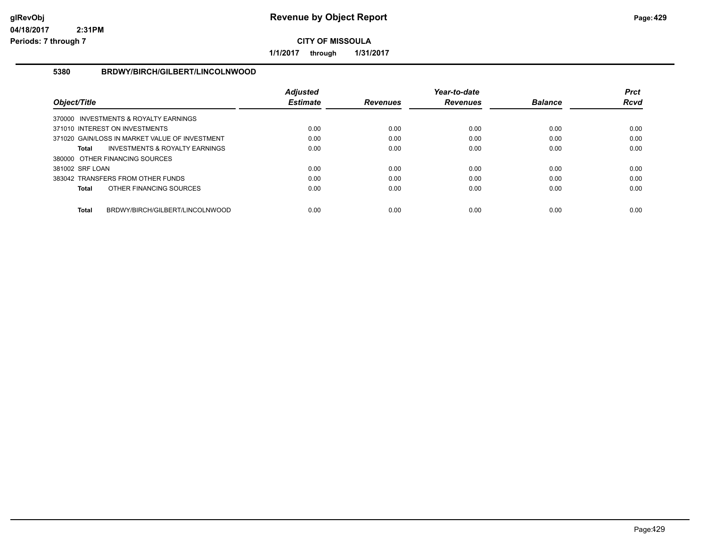**1/1/2017 through 1/31/2017**

#### **5380 BRDWY/BIRCH/GILBERT/LINCOLNWOOD**

|                                                 | <b>Adiusted</b> |                 | Year-to-date    |                | <b>Prct</b> |
|-------------------------------------------------|-----------------|-----------------|-----------------|----------------|-------------|
| Object/Title                                    | <b>Estimate</b> | <b>Revenues</b> | <b>Revenues</b> | <b>Balance</b> | Rcvd        |
| 370000 INVESTMENTS & ROYALTY EARNINGS           |                 |                 |                 |                |             |
| 371010 INTEREST ON INVESTMENTS                  | 0.00            | 0.00            | 0.00            | 0.00           | 0.00        |
| 371020 GAIN/LOSS IN MARKET VALUE OF INVESTMENT  | 0.00            | 0.00            | 0.00            | 0.00           | 0.00        |
| INVESTMENTS & ROYALTY EARNINGS<br>Total         | 0.00            | 0.00            | 0.00            | 0.00           | 0.00        |
| 380000 OTHER FINANCING SOURCES                  |                 |                 |                 |                |             |
| 381002 SRF LOAN                                 | 0.00            | 0.00            | 0.00            | 0.00           | 0.00        |
| 383042 TRANSFERS FROM OTHER FUNDS               | 0.00            | 0.00            | 0.00            | 0.00           | 0.00        |
| Total<br>OTHER FINANCING SOURCES                | 0.00            | 0.00            | 0.00            | 0.00           | 0.00        |
| BRDWY/BIRCH/GILBERT/LINCOLNWOOD<br><b>Total</b> | 0.00            | 0.00            | 0.00            | 0.00           | 0.00        |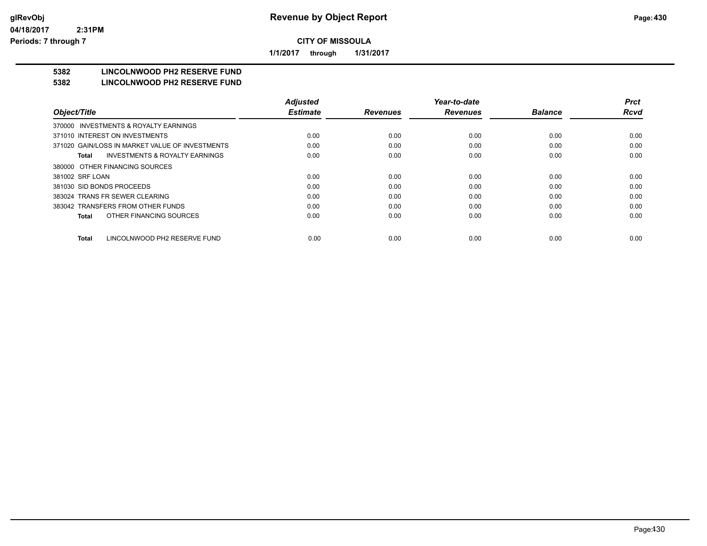**1/1/2017 through 1/31/2017**

# **5382 LINCOLNWOOD PH2 RESERVE FUND 5382 LINCOLNWOOD PH2 RESERVE FUND**

|                                                    | <b>Adjusted</b> |                 | Year-to-date    |                | <b>Prct</b> |
|----------------------------------------------------|-----------------|-----------------|-----------------|----------------|-------------|
| Object/Title                                       | <b>Estimate</b> | <b>Revenues</b> | <b>Revenues</b> | <b>Balance</b> | Rcvd        |
| 370000 INVESTMENTS & ROYALTY EARNINGS              |                 |                 |                 |                |             |
| 371010 INTEREST ON INVESTMENTS                     | 0.00            | 0.00            | 0.00            | 0.00           | 0.00        |
| 371020 GAIN/LOSS IN MARKET VALUE OF INVESTMENTS    | 0.00            | 0.00            | 0.00            | 0.00           | 0.00        |
| <b>INVESTMENTS &amp; ROYALTY EARNINGS</b><br>Total | 0.00            | 0.00            | 0.00            | 0.00           | 0.00        |
| 380000 OTHER FINANCING SOURCES                     |                 |                 |                 |                |             |
| 381002 SRF LOAN                                    | 0.00            | 0.00            | 0.00            | 0.00           | 0.00        |
| 381030 SID BONDS PROCEEDS                          | 0.00            | 0.00            | 0.00            | 0.00           | 0.00        |
| 383024 TRANS FR SEWER CLEARING                     | 0.00            | 0.00            | 0.00            | 0.00           | 0.00        |
| 383042 TRANSFERS FROM OTHER FUNDS                  | 0.00            | 0.00            | 0.00            | 0.00           | 0.00        |
| OTHER FINANCING SOURCES<br>Total                   | 0.00            | 0.00            | 0.00            | 0.00           | 0.00        |
| LINCOLNWOOD PH2 RESERVE FUND<br><b>Total</b>       | 0.00            | 0.00            | 0.00            | 0.00           | 0.00        |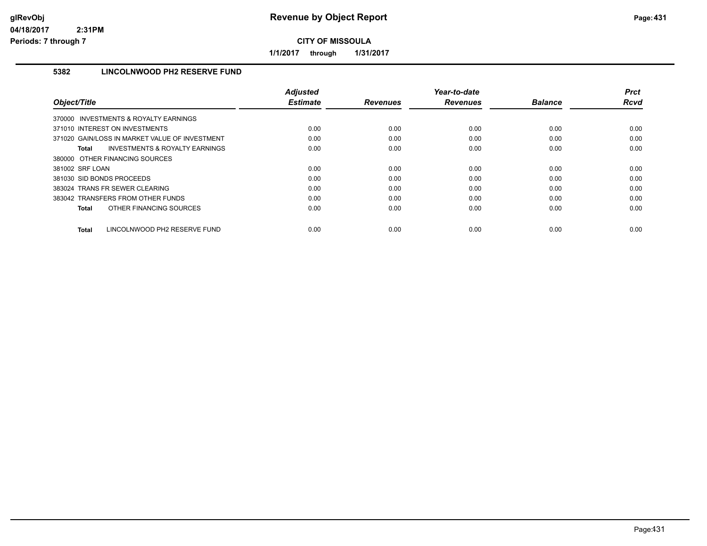**1/1/2017 through 1/31/2017**

#### **5382 LINCOLNWOOD PH2 RESERVE FUND**

|                                                | <b>Adjusted</b> |                 | Year-to-date    |                | <b>Prct</b> |
|------------------------------------------------|-----------------|-----------------|-----------------|----------------|-------------|
| Object/Title                                   | <b>Estimate</b> | <b>Revenues</b> | <b>Revenues</b> | <b>Balance</b> | Rcvd        |
| 370000 INVESTMENTS & ROYALTY EARNINGS          |                 |                 |                 |                |             |
| 371010 INTEREST ON INVESTMENTS                 | 0.00            | 0.00            | 0.00            | 0.00           | 0.00        |
| 371020 GAIN/LOSS IN MARKET VALUE OF INVESTMENT | 0.00            | 0.00            | 0.00            | 0.00           | 0.00        |
| INVESTMENTS & ROYALTY EARNINGS<br>Total        | 0.00            | 0.00            | 0.00            | 0.00           | 0.00        |
| 380000 OTHER FINANCING SOURCES                 |                 |                 |                 |                |             |
| 381002 SRF LOAN                                | 0.00            | 0.00            | 0.00            | 0.00           | 0.00        |
| 381030 SID BONDS PROCEEDS                      | 0.00            | 0.00            | 0.00            | 0.00           | 0.00        |
| 383024 TRANS FR SEWER CLEARING                 | 0.00            | 0.00            | 0.00            | 0.00           | 0.00        |
| 383042 TRANSFERS FROM OTHER FUNDS              | 0.00            | 0.00            | 0.00            | 0.00           | 0.00        |
| OTHER FINANCING SOURCES<br>Total               | 0.00            | 0.00            | 0.00            | 0.00           | 0.00        |
| LINCOLNWOOD PH2 RESERVE FUND<br><b>Total</b>   | 0.00            | 0.00            | 0.00            | 0.00           | 0.00        |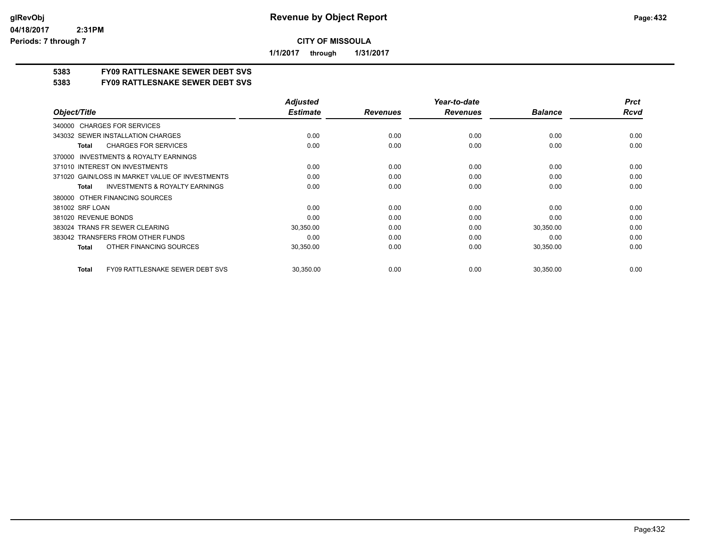**1/1/2017 through 1/31/2017**

# **5383 FY09 RATTLESNAKE SEWER DEBT SVS**

**5383 FY09 RATTLESNAKE SEWER DEBT SVS**

|                                                           | <b>Adjusted</b> |                 | Year-to-date    |                | <b>Prct</b> |
|-----------------------------------------------------------|-----------------|-----------------|-----------------|----------------|-------------|
| Object/Title                                              | <b>Estimate</b> | <b>Revenues</b> | <b>Revenues</b> | <b>Balance</b> | Rcvd        |
| 340000 CHARGES FOR SERVICES                               |                 |                 |                 |                |             |
| 343032 SEWER INSTALLATION CHARGES                         | 0.00            | 0.00            | 0.00            | 0.00           | 0.00        |
| <b>CHARGES FOR SERVICES</b><br>Total                      | 0.00            | 0.00            | 0.00            | 0.00           | 0.00        |
| 370000 INVESTMENTS & ROYALTY EARNINGS                     |                 |                 |                 |                |             |
| 371010 INTEREST ON INVESTMENTS                            | 0.00            | 0.00            | 0.00            | 0.00           | 0.00        |
| 371020 GAIN/LOSS IN MARKET VALUE OF INVESTMENTS           | 0.00            | 0.00            | 0.00            | 0.00           | 0.00        |
| <b>INVESTMENTS &amp; ROYALTY EARNINGS</b><br><b>Total</b> | 0.00            | 0.00            | 0.00            | 0.00           | 0.00        |
| OTHER FINANCING SOURCES<br>380000                         |                 |                 |                 |                |             |
| 381002 SRF LOAN                                           | 0.00            | 0.00            | 0.00            | 0.00           | 0.00        |
| 381020 REVENUE BONDS                                      | 0.00            | 0.00            | 0.00            | 0.00           | 0.00        |
| 383024 TRANS FR SEWER CLEARING                            | 30,350.00       | 0.00            | 0.00            | 30,350.00      | 0.00        |
| 383042 TRANSFERS FROM OTHER FUNDS                         | 0.00            | 0.00            | 0.00            | 0.00           | 0.00        |
| OTHER FINANCING SOURCES<br><b>Total</b>                   | 30,350.00       | 0.00            | 0.00            | 30,350.00      | 0.00        |
| <b>FY09 RATTLESNAKE SEWER DEBT SVS</b><br><b>Total</b>    | 30,350.00       | 0.00            | 0.00            | 30,350.00      | 0.00        |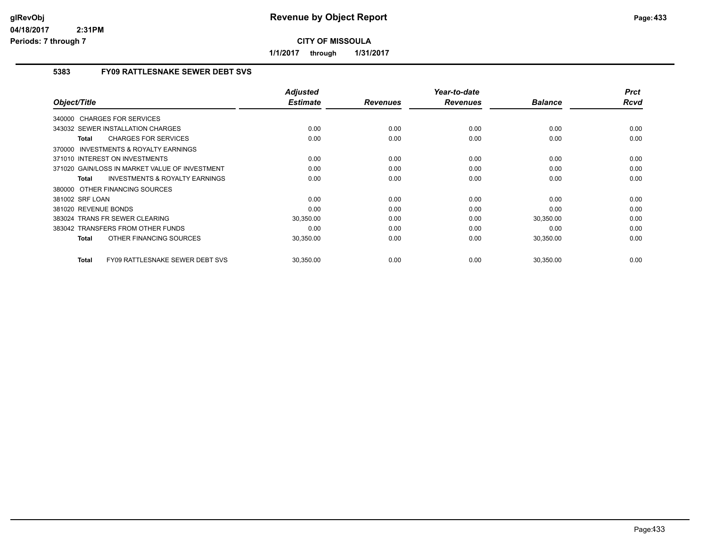**1/1/2017 through 1/31/2017**

#### **5383 FY09 RATTLESNAKE SEWER DEBT SVS**

| Object/Title                                              | <b>Adjusted</b><br><b>Estimate</b> | <b>Revenues</b> | Year-to-date<br><b>Revenues</b> | <b>Balance</b> | <b>Prct</b><br><b>Rcvd</b> |
|-----------------------------------------------------------|------------------------------------|-----------------|---------------------------------|----------------|----------------------------|
| <b>CHARGES FOR SERVICES</b><br>340000                     |                                    |                 |                                 |                |                            |
| 343032 SEWER INSTALLATION CHARGES                         | 0.00                               | 0.00            | 0.00                            | 0.00           | 0.00                       |
| <b>CHARGES FOR SERVICES</b><br>Total                      | 0.00                               | 0.00            | 0.00                            | 0.00           | 0.00                       |
| <b>INVESTMENTS &amp; ROYALTY EARNINGS</b><br>370000       |                                    |                 |                                 |                |                            |
| 371010 INTEREST ON INVESTMENTS                            | 0.00                               | 0.00            | 0.00                            | 0.00           | 0.00                       |
| 371020 GAIN/LOSS IN MARKET VALUE OF INVESTMENT            | 0.00                               | 0.00            | 0.00                            | 0.00           | 0.00                       |
| <b>INVESTMENTS &amp; ROYALTY EARNINGS</b><br><b>Total</b> | 0.00                               | 0.00            | 0.00                            | 0.00           | 0.00                       |
| 380000 OTHER FINANCING SOURCES                            |                                    |                 |                                 |                |                            |
| 381002 SRF LOAN                                           | 0.00                               | 0.00            | 0.00                            | 0.00           | 0.00                       |
| 381020 REVENUE BONDS                                      | 0.00                               | 0.00            | 0.00                            | 0.00           | 0.00                       |
| 383024 TRANS FR SEWER CLEARING                            | 30,350.00                          | 0.00            | 0.00                            | 30,350.00      | 0.00                       |
| 383042 TRANSFERS FROM OTHER FUNDS                         | 0.00                               | 0.00            | 0.00                            | 0.00           | 0.00                       |
| OTHER FINANCING SOURCES<br><b>Total</b>                   | 30,350.00                          | 0.00            | 0.00                            | 30,350.00      | 0.00                       |
| FY09 RATTLESNAKE SEWER DEBT SVS<br><b>Total</b>           | 30,350.00                          | 0.00            | 0.00                            | 30,350.00      | 0.00                       |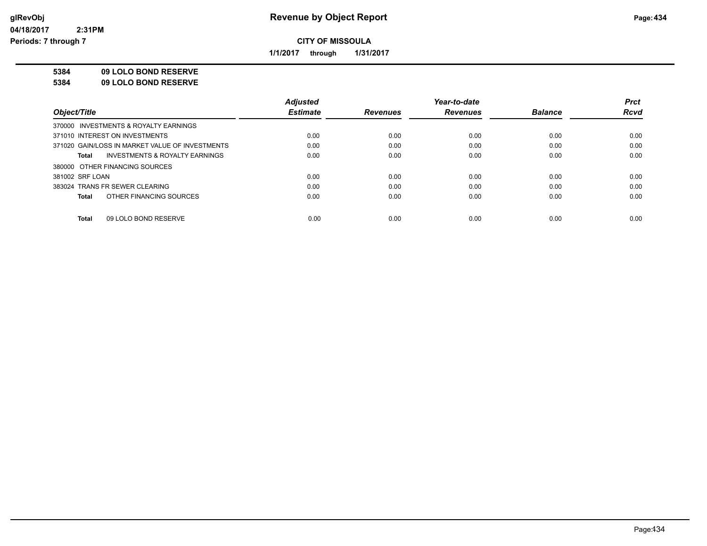**1/1/2017 through 1/31/2017**

**5384 09 LOLO BOND RESERVE**

**5384 09 LOLO BOND RESERVE**

|                                                 | <b>Adjusted</b> |                 | Year-to-date    |                | <b>Prct</b> |
|-------------------------------------------------|-----------------|-----------------|-----------------|----------------|-------------|
| Object/Title                                    | <b>Estimate</b> | <b>Revenues</b> | <b>Revenues</b> | <b>Balance</b> | Rcvd        |
| 370000 INVESTMENTS & ROYALTY EARNINGS           |                 |                 |                 |                |             |
| 371010 INTEREST ON INVESTMENTS                  | 0.00            | 0.00            | 0.00            | 0.00           | 0.00        |
| 371020 GAIN/LOSS IN MARKET VALUE OF INVESTMENTS | 0.00            | 0.00            | 0.00            | 0.00           | 0.00        |
| INVESTMENTS & ROYALTY EARNINGS<br>Total         | 0.00            | 0.00            | 0.00            | 0.00           | 0.00        |
| 380000 OTHER FINANCING SOURCES                  |                 |                 |                 |                |             |
| 381002 SRF LOAN                                 | 0.00            | 0.00            | 0.00            | 0.00           | 0.00        |
| 383024 TRANS FR SEWER CLEARING                  | 0.00            | 0.00            | 0.00            | 0.00           | 0.00        |
| OTHER FINANCING SOURCES<br>Total                | 0.00            | 0.00            | 0.00            | 0.00           | 0.00        |
|                                                 |                 |                 |                 |                |             |
| <b>Total</b><br>09 LOLO BOND RESERVE            | 0.00            | 0.00            | 0.00            | 0.00           | 0.00        |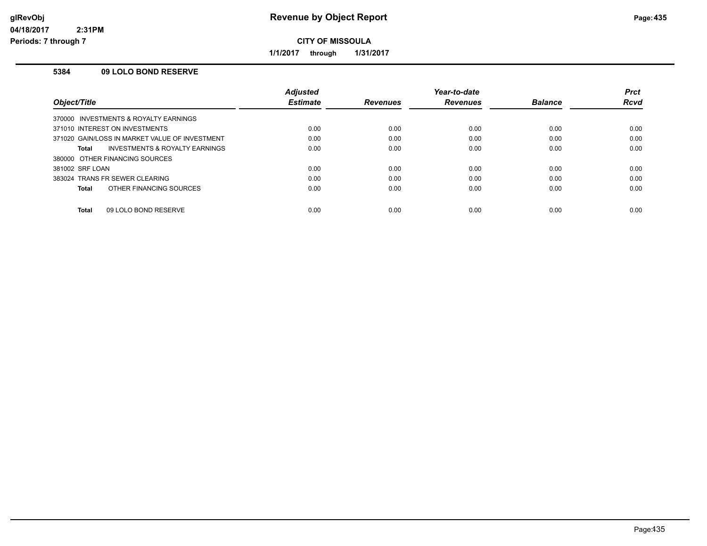**1/1/2017 through 1/31/2017**

#### **5384 09 LOLO BOND RESERVE**

|                                                | <b>Adjusted</b> |                 | Year-to-date    |                | <b>Prct</b> |
|------------------------------------------------|-----------------|-----------------|-----------------|----------------|-------------|
| Object/Title                                   | <b>Estimate</b> | <b>Revenues</b> | <b>Revenues</b> | <b>Balance</b> | <b>Rcvd</b> |
| 370000 INVESTMENTS & ROYALTY EARNINGS          |                 |                 |                 |                |             |
| 371010 INTEREST ON INVESTMENTS                 | 0.00            | 0.00            | 0.00            | 0.00           | 0.00        |
| 371020 GAIN/LOSS IN MARKET VALUE OF INVESTMENT | 0.00            | 0.00            | 0.00            | 0.00           | 0.00        |
| INVESTMENTS & ROYALTY EARNINGS<br>Total        | 0.00            | 0.00            | 0.00            | 0.00           | 0.00        |
| 380000 OTHER FINANCING SOURCES                 |                 |                 |                 |                |             |
| 381002 SRF LOAN                                | 0.00            | 0.00            | 0.00            | 0.00           | 0.00        |
| 383024 TRANS FR SEWER CLEARING                 | 0.00            | 0.00            | 0.00            | 0.00           | 0.00        |
| OTHER FINANCING SOURCES<br>Total               | 0.00            | 0.00            | 0.00            | 0.00           | 0.00        |
| 09 LOLO BOND RESERVE<br>Total                  | 0.00            | 0.00            | 0.00            | 0.00           | 0.00        |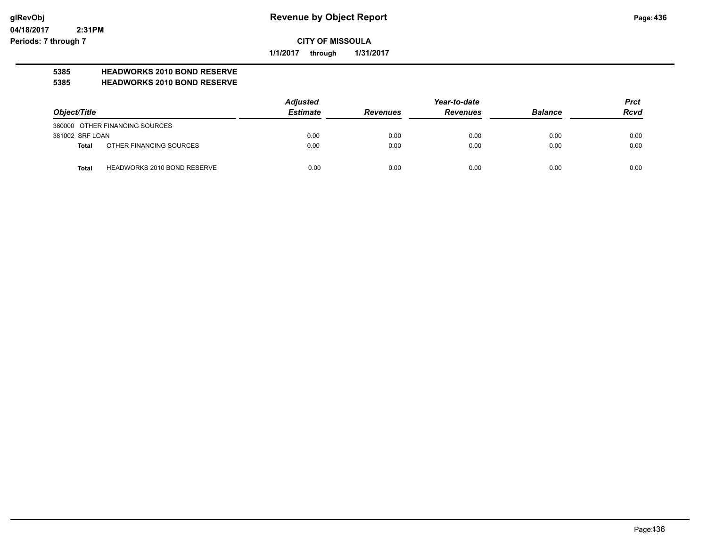**1/1/2017 through 1/31/2017**

#### **5385 HEADWORKS 2010 BOND RESERVE 5385 HEADWORKS 2010 BOND RESERVE**

|                 |                                | <b>Adjusted</b> |                 | Year-to-date    |                | Prct        |
|-----------------|--------------------------------|-----------------|-----------------|-----------------|----------------|-------------|
| Object/Title    |                                | <b>Estimate</b> | <b>Revenues</b> | <b>Revenues</b> | <b>Balance</b> | <b>Rcvd</b> |
|                 | 380000 OTHER FINANCING SOURCES |                 |                 |                 |                |             |
| 381002 SRF LOAN |                                | 0.00            | 0.00            | 0.00            | 0.00           | 0.00        |
| Total           | OTHER FINANCING SOURCES        | 0.00            | 0.00            | 0.00            | 0.00           | 0.00        |
| <b>Total</b>    | HEADWORKS 2010 BOND RESERVE    | 0.00            | 0.00            | 0.00            | 0.00           | 0.00        |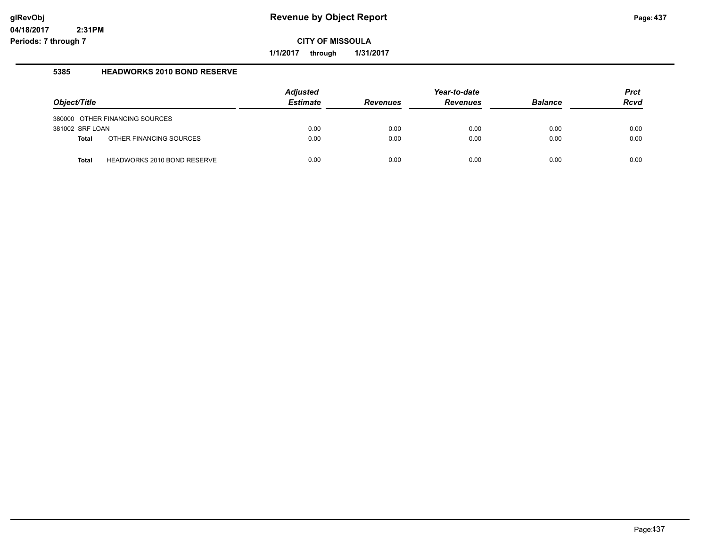**1/1/2017 through 1/31/2017**

#### **5385 HEADWORKS 2010 BOND RESERVE**

|                 |                                    | <b>Adjusted</b> |                 | Year-to-date    |                | <b>Prct</b> |
|-----------------|------------------------------------|-----------------|-----------------|-----------------|----------------|-------------|
| Object/Title    |                                    | <b>Estimate</b> | <b>Revenues</b> | <b>Revenues</b> | <b>Balance</b> | <b>Rcvd</b> |
|                 | 380000 OTHER FINANCING SOURCES     |                 |                 |                 |                |             |
| 381002 SRF LOAN |                                    | 0.00            | 0.00            | 0.00            | 0.00           | 0.00        |
| <b>Total</b>    | OTHER FINANCING SOURCES            | 0.00            | 0.00            | 0.00            | 0.00           | 0.00        |
| Total           | <b>HEADWORKS 2010 BOND RESERVE</b> | 0.00            | 0.00            | 0.00            | 0.00           | 0.00        |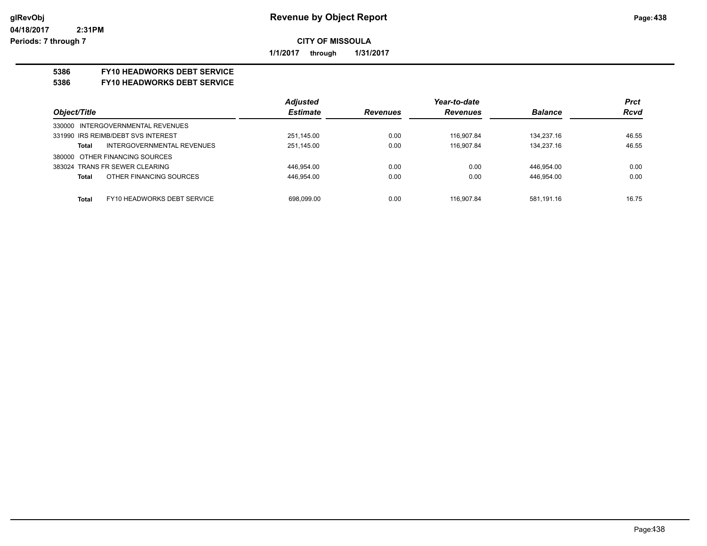**1/1/2017 through 1/31/2017**

#### **5386 FY10 HEADWORKS DEBT SERVICE 5386 FY10 HEADWORKS DEBT SERVICE**

|                                      | <b>Adjusted</b> |                 | Year-to-date    |                | <b>Prct</b> |
|--------------------------------------|-----------------|-----------------|-----------------|----------------|-------------|
| Object/Title                         | <b>Estimate</b> | <b>Revenues</b> | <b>Revenues</b> | <b>Balance</b> | <b>Rcvd</b> |
| 330000 INTERGOVERNMENTAL REVENUES    |                 |                 |                 |                |             |
| 331990 IRS REIMB/DEBT SVS INTEREST   | 251.145.00      | 0.00            | 116.907.84      | 134.237.16     | 46.55       |
| INTERGOVERNMENTAL REVENUES<br>Total  | 251,145.00      | 0.00            | 116,907.84      | 134,237.16     | 46.55       |
| 380000 OTHER FINANCING SOURCES       |                 |                 |                 |                |             |
| 383024 TRANS FR SEWER CLEARING       | 446.954.00      | 0.00            | 0.00            | 446.954.00     | 0.00        |
| OTHER FINANCING SOURCES<br>Total     | 446.954.00      | 0.00            | 0.00            | 446,954.00     | 0.00        |
|                                      |                 |                 |                 |                |             |
| FY10 HEADWORKS DEBT SERVICE<br>Total | 698.099.00      | 0.00            | 116.907.84      | 581.191.16     | 16.75       |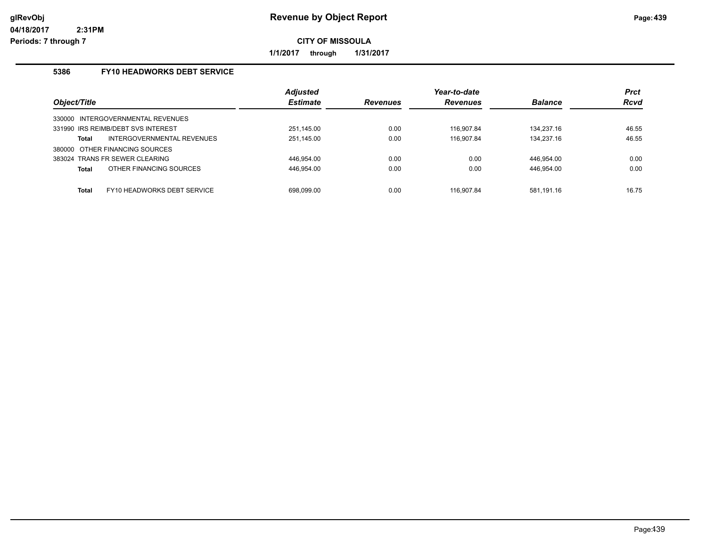**1/1/2017 through 1/31/2017**

#### **5386 FY10 HEADWORKS DEBT SERVICE**

|                                |                                    | <b>Adjusted</b> |                 | Year-to-date    |                | <b>Prct</b> |
|--------------------------------|------------------------------------|-----------------|-----------------|-----------------|----------------|-------------|
| Object/Title                   |                                    | <b>Estimate</b> | <b>Revenues</b> | <b>Revenues</b> | <b>Balance</b> | <b>Rcvd</b> |
|                                | 330000 INTERGOVERNMENTAL REVENUES  |                 |                 |                 |                |             |
|                                | 331990 IRS REIMB/DEBT SVS INTEREST | 251.145.00      | 0.00            | 116.907.84      | 134.237.16     | 46.55       |
| Total                          | INTERGOVERNMENTAL REVENUES         | 251.145.00      | 0.00            | 116.907.84      | 134.237.16     | 46.55       |
| 380000 OTHER FINANCING SOURCES |                                    |                 |                 |                 |                |             |
| 383024 TRANS FR SEWER CLEARING |                                    | 446.954.00      | 0.00            | 0.00            | 446.954.00     | 0.00        |
| Total                          | OTHER FINANCING SOURCES            | 446,954.00      | 0.00            | 0.00            | 446,954.00     | 0.00        |
| <b>Total</b>                   | FY10 HEADWORKS DEBT SERVICE        | 698.099.00      | 0.00            | 116.907.84      | 581.191.16     | 16.75       |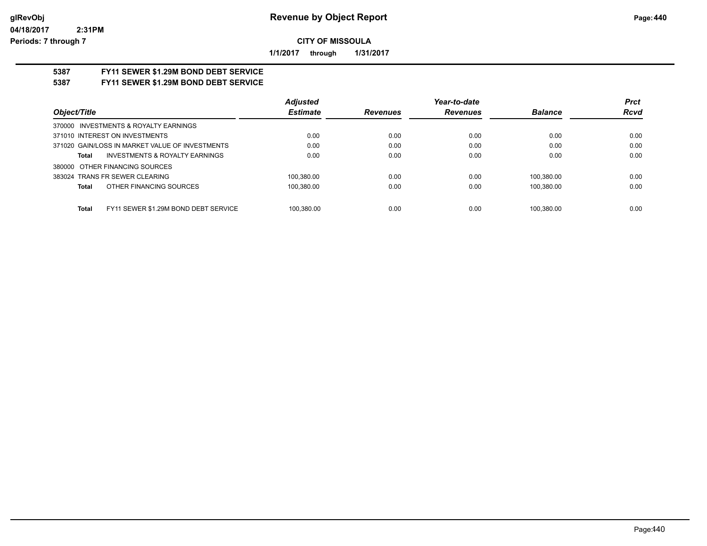**1/1/2017 through 1/31/2017**

#### **5387 FY11 SEWER \$1.29M BOND DEBT SERVICE 5387 FY11 SEWER \$1.29M BOND DEBT SERVICE**

|                                                      | <b>Adjusted</b> |                 | Year-to-date    |                | <b>Prct</b> |
|------------------------------------------------------|-----------------|-----------------|-----------------|----------------|-------------|
| Object/Title                                         | <b>Estimate</b> | <b>Revenues</b> | <b>Revenues</b> | <b>Balance</b> | <b>Rcvd</b> |
| 370000 INVESTMENTS & ROYALTY EARNINGS                |                 |                 |                 |                |             |
| 371010 INTEREST ON INVESTMENTS                       | 0.00            | 0.00            | 0.00            | 0.00           | 0.00        |
| 371020 GAIN/LOSS IN MARKET VALUE OF INVESTMENTS      | 0.00            | 0.00            | 0.00            | 0.00           | 0.00        |
| INVESTMENTS & ROYALTY EARNINGS<br>Total              | 0.00            | 0.00            | 0.00            | 0.00           | 0.00        |
| 380000 OTHER FINANCING SOURCES                       |                 |                 |                 |                |             |
| 383024 TRANS FR SEWER CLEARING                       | 100.380.00      | 0.00            | 0.00            | 100.380.00     | 0.00        |
| OTHER FINANCING SOURCES<br>Total                     | 100,380.00      | 0.00            | 0.00            | 100.380.00     | 0.00        |
|                                                      |                 |                 |                 |                |             |
| <b>Total</b><br>FY11 SEWER \$1.29M BOND DEBT SERVICE | 100.380.00      | 0.00            | 0.00            | 100.380.00     | 0.00        |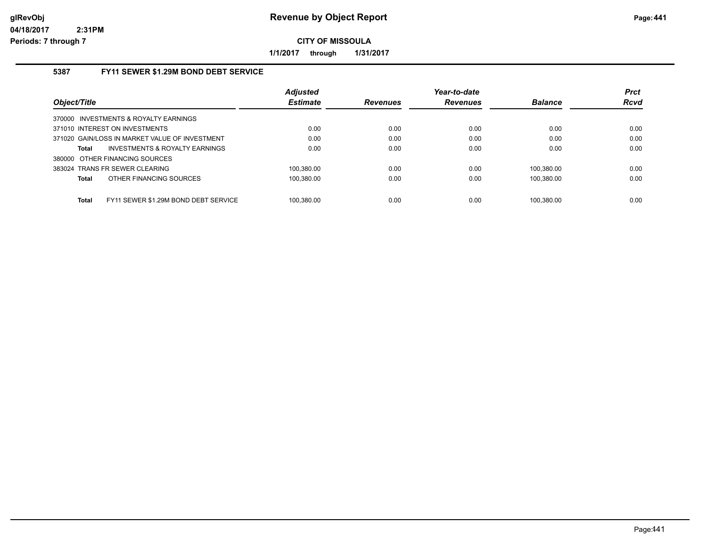**1/1/2017 through 1/31/2017**

#### **5387 FY11 SEWER \$1.29M BOND DEBT SERVICE**

|              |                                                | <b>Adjusted</b> |                 | Year-to-date    |                | <b>Prct</b> |
|--------------|------------------------------------------------|-----------------|-----------------|-----------------|----------------|-------------|
| Object/Title |                                                | <b>Estimate</b> | <b>Revenues</b> | <b>Revenues</b> | <b>Balance</b> | <b>Rcvd</b> |
| 370000       | INVESTMENTS & ROYALTY EARNINGS                 |                 |                 |                 |                |             |
|              | 371010 INTEREST ON INVESTMENTS                 | 0.00            | 0.00            | 0.00            | 0.00           | 0.00        |
|              | 371020 GAIN/LOSS IN MARKET VALUE OF INVESTMENT | 0.00            | 0.00            | 0.00            | 0.00           | 0.00        |
| Total        | INVESTMENTS & ROYALTY EARNINGS                 | 0.00            | 0.00            | 0.00            | 0.00           | 0.00        |
|              | 380000 OTHER FINANCING SOURCES                 |                 |                 |                 |                |             |
|              | 383024 TRANS FR SEWER CLEARING                 | 100.380.00      | 0.00            | 0.00            | 100.380.00     | 0.00        |
| Total        | OTHER FINANCING SOURCES                        | 100.380.00      | 0.00            | 0.00            | 100.380.00     | 0.00        |
| <b>Total</b> | FY11 SEWER \$1.29M BOND DEBT SERVICE           | 100.380.00      | 0.00            | 0.00            | 100.380.00     | 0.00        |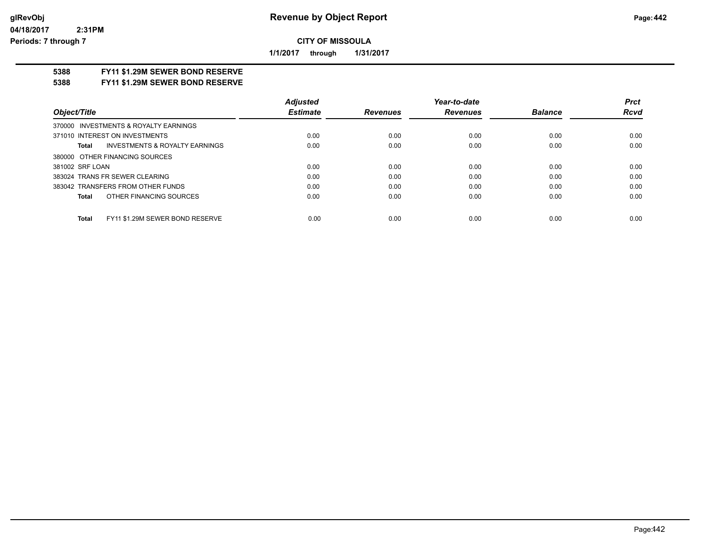**1/1/2017 through 1/31/2017**

#### **5388 FY11 \$1.29M SEWER BOND RESERVE 5388 FY11 \$1.29M SEWER BOND RESERVE**

|                                          | <b>Adjusted</b> |                 | Year-to-date    |                | <b>Prct</b> |
|------------------------------------------|-----------------|-----------------|-----------------|----------------|-------------|
| Object/Title                             | <b>Estimate</b> | <b>Revenues</b> | <b>Revenues</b> | <b>Balance</b> | Rcvd        |
| INVESTMENTS & ROYALTY EARNINGS<br>370000 |                 |                 |                 |                |             |
| 371010 INTEREST ON INVESTMENTS           | 0.00            | 0.00            | 0.00            | 0.00           | 0.00        |
| INVESTMENTS & ROYALTY EARNINGS<br>Total  | 0.00            | 0.00            | 0.00            | 0.00           | 0.00        |
| 380000 OTHER FINANCING SOURCES           |                 |                 |                 |                |             |
| 381002 SRF LOAN                          | 0.00            | 0.00            | 0.00            | 0.00           | 0.00        |
| 383024 TRANS FR SEWER CLEARING           | 0.00            | 0.00            | 0.00            | 0.00           | 0.00        |
| 383042 TRANSFERS FROM OTHER FUNDS        | 0.00            | 0.00            | 0.00            | 0.00           | 0.00        |
| OTHER FINANCING SOURCES<br>Total         | 0.00            | 0.00            | 0.00            | 0.00           | 0.00        |
|                                          |                 |                 |                 |                |             |
| FY11 \$1.29M SEWER BOND RESERVE<br>Total | 0.00            | 0.00            | 0.00            | 0.00           | 0.00        |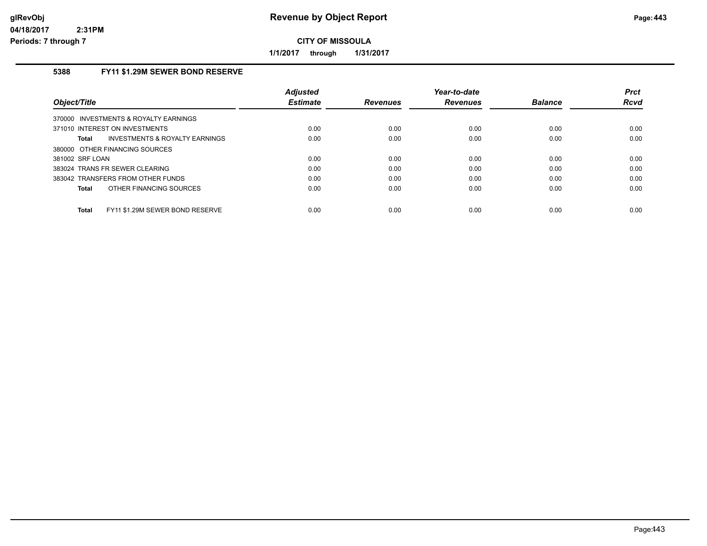**1/1/2017 through 1/31/2017**

#### **5388 FY11 \$1.29M SEWER BOND RESERVE**

|                                                    | <b>Adiusted</b> |                 | Year-to-date    |                | <b>Prct</b> |
|----------------------------------------------------|-----------------|-----------------|-----------------|----------------|-------------|
| Object/Title                                       | <b>Estimate</b> | <b>Revenues</b> | <b>Revenues</b> | <b>Balance</b> | <b>Rcvd</b> |
| 370000 INVESTMENTS & ROYALTY EARNINGS              |                 |                 |                 |                |             |
| 371010 INTEREST ON INVESTMENTS                     | 0.00            | 0.00            | 0.00            | 0.00           | 0.00        |
| <b>INVESTMENTS &amp; ROYALTY EARNINGS</b><br>Total | 0.00            | 0.00            | 0.00            | 0.00           | 0.00        |
| 380000 OTHER FINANCING SOURCES                     |                 |                 |                 |                |             |
| 381002 SRF LOAN                                    | 0.00            | 0.00            | 0.00            | 0.00           | 0.00        |
| 383024 TRANS FR SEWER CLEARING                     | 0.00            | 0.00            | 0.00            | 0.00           | 0.00        |
| 383042 TRANSFERS FROM OTHER FUNDS                  | 0.00            | 0.00            | 0.00            | 0.00           | 0.00        |
| OTHER FINANCING SOURCES<br>Total                   | 0.00            | 0.00            | 0.00            | 0.00           | 0.00        |
| FY11 \$1.29M SEWER BOND RESERVE<br>Total           | 0.00            | 0.00            | 0.00            | 0.00           | 0.00        |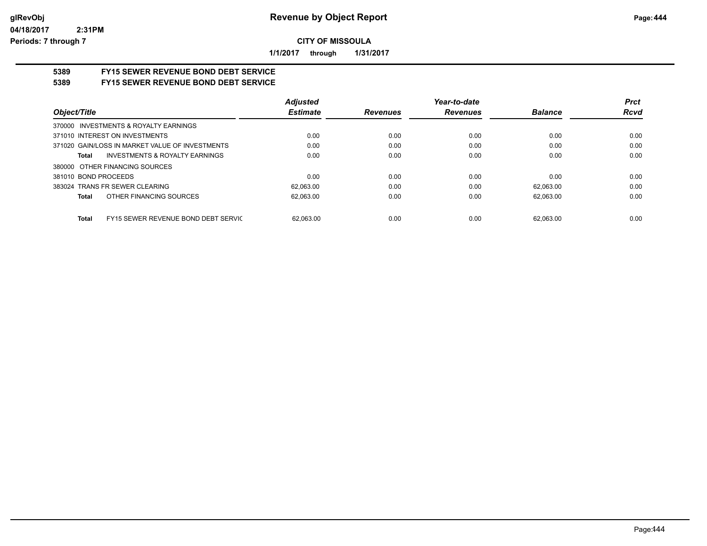**1/1/2017 through 1/31/2017**

#### **5389 FY15 SEWER REVENUE BOND DEBT SERVICE 5389 FY15 SEWER REVENUE BOND DEBT SERVICE**

|                                                     | Adjusted        |                 | Year-to-date    |                | <b>Prct</b> |
|-----------------------------------------------------|-----------------|-----------------|-----------------|----------------|-------------|
| Object/Title                                        | <b>Estimate</b> | <b>Revenues</b> | <b>Revenues</b> | <b>Balance</b> | Rcvd        |
| INVESTMENTS & ROYALTY EARNINGS<br>370000            |                 |                 |                 |                |             |
| 371010 INTEREST ON INVESTMENTS                      | 0.00            | 0.00            | 0.00            | 0.00           | 0.00        |
| 371020 GAIN/LOSS IN MARKET VALUE OF INVESTMENTS     | 0.00            | 0.00            | 0.00            | 0.00           | 0.00        |
| INVESTMENTS & ROYALTY EARNINGS<br>Total             | 0.00            | 0.00            | 0.00            | 0.00           | 0.00        |
| 380000 OTHER FINANCING SOURCES                      |                 |                 |                 |                |             |
| 381010 BOND PROCEEDS                                | 0.00            | 0.00            | 0.00            | 0.00           | 0.00        |
| 383024 TRANS FR SEWER CLEARING                      | 62.063.00       | 0.00            | 0.00            | 62.063.00      | 0.00        |
| OTHER FINANCING SOURCES<br>Total                    | 62,063.00       | 0.00            | 0.00            | 62,063.00      | 0.00        |
|                                                     |                 |                 |                 |                |             |
| FY15 SEWER REVENUE BOND DEBT SERVIC<br><b>Total</b> | 62.063.00       | 0.00            | 0.00            | 62.063.00      | 0.00        |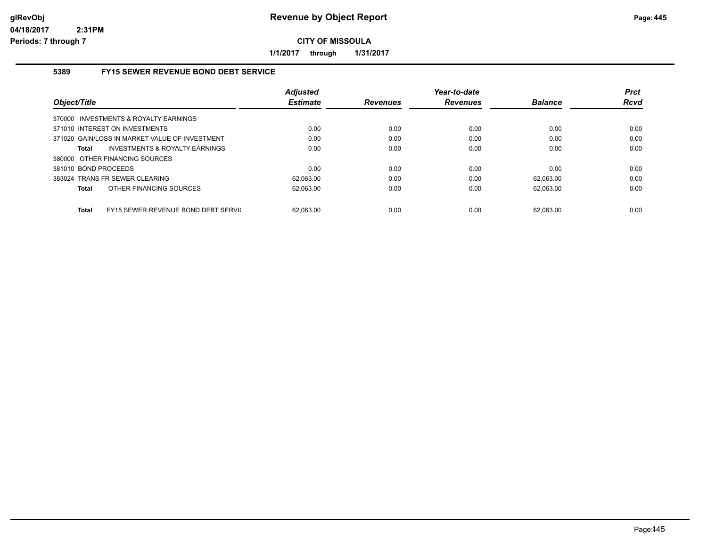**1/1/2017 through 1/31/2017**

#### **5389 FY15 SEWER REVENUE BOND DEBT SERVICE**

|                                                             | <b>Adiusted</b> |                 | Year-to-date    |                | <b>Prct</b> |
|-------------------------------------------------------------|-----------------|-----------------|-----------------|----------------|-------------|
| Object/Title                                                | <b>Estimate</b> | <b>Revenues</b> | <b>Revenues</b> | <b>Balance</b> | <b>Rcvd</b> |
| 370000 INVESTMENTS & ROYALTY EARNINGS                       |                 |                 |                 |                |             |
| 371010 INTEREST ON INVESTMENTS                              | 0.00            | 0.00            | 0.00            | 0.00           | 0.00        |
| 371020 GAIN/LOSS IN MARKET VALUE OF INVESTMENT              | 0.00            | 0.00            | 0.00            | 0.00           | 0.00        |
| INVESTMENTS & ROYALTY EARNINGS<br>Total                     | 0.00            | 0.00            | 0.00            | 0.00           | 0.00        |
| 380000 OTHER FINANCING SOURCES                              |                 |                 |                 |                |             |
| 381010 BOND PROCEEDS                                        | 0.00            | 0.00            | 0.00            | 0.00           | 0.00        |
| 383024 TRANS FR SEWER CLEARING                              | 62.063.00       | 0.00            | 0.00            | 62.063.00      | 0.00        |
| OTHER FINANCING SOURCES<br><b>Total</b>                     | 62,063.00       | 0.00            | 0.00            | 62.063.00      | 0.00        |
| <b>FY15 SEWER REVENUE BOND DEBT SERVICE</b><br><b>Total</b> | 62.063.00       | 0.00            | 0.00            | 62.063.00      | 0.00        |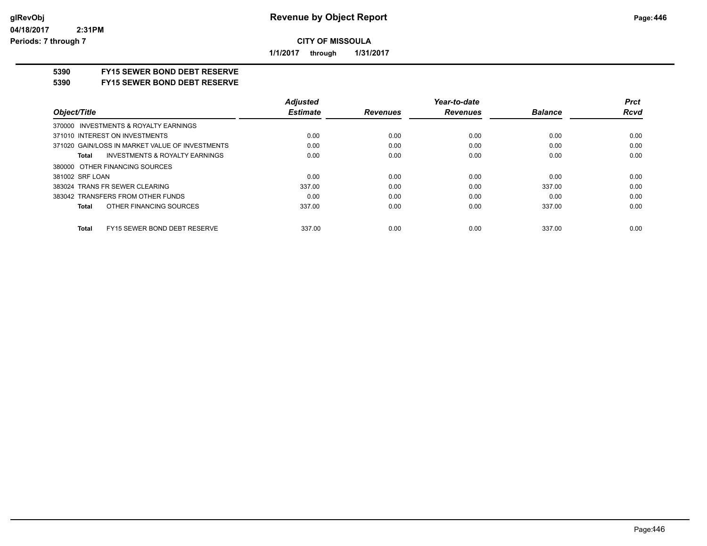**1/1/2017 through 1/31/2017**

#### **5390 FY15 SEWER BOND DEBT RESERVE 5390 FY15 SEWER BOND DEBT RESERVE**

|                                                 | <b>Adiusted</b> |                 | Year-to-date    |                | <b>Prct</b> |
|-------------------------------------------------|-----------------|-----------------|-----------------|----------------|-------------|
| Object/Title                                    | <b>Estimate</b> | <b>Revenues</b> | <b>Revenues</b> | <b>Balance</b> | <b>Rcvd</b> |
| 370000 INVESTMENTS & ROYALTY EARNINGS           |                 |                 |                 |                |             |
| 371010 INTEREST ON INVESTMENTS                  | 0.00            | 0.00            | 0.00            | 0.00           | 0.00        |
| 371020 GAIN/LOSS IN MARKET VALUE OF INVESTMENTS | 0.00            | 0.00            | 0.00            | 0.00           | 0.00        |
| INVESTMENTS & ROYALTY EARNINGS<br>Total         | 0.00            | 0.00            | 0.00            | 0.00           | 0.00        |
| 380000 OTHER FINANCING SOURCES                  |                 |                 |                 |                |             |
| 381002 SRF LOAN                                 | 0.00            | 0.00            | 0.00            | 0.00           | 0.00        |
| 383024 TRANS FR SEWER CLEARING                  | 337.00          | 0.00            | 0.00            | 337.00         | 0.00        |
| 383042 TRANSFERS FROM OTHER FUNDS               | 0.00            | 0.00            | 0.00            | 0.00           | 0.00        |
| OTHER FINANCING SOURCES<br>Total                | 337.00          | 0.00            | 0.00            | 337.00         | 0.00        |
| FY15 SEWER BOND DEBT RESERVE<br><b>Total</b>    | 337.00          | 0.00            | 0.00            | 337.00         | 0.00        |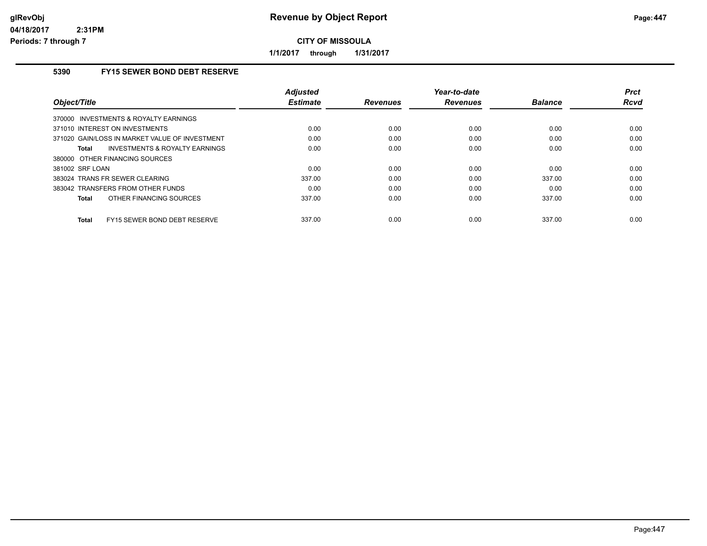**1/1/2017 through 1/31/2017**

#### **5390 FY15 SEWER BOND DEBT RESERVE**

| Object/Title                                        | <b>Adjusted</b><br><b>Estimate</b> | <b>Revenues</b> | Year-to-date<br><b>Revenues</b> | <b>Balance</b> | <b>Prct</b><br><b>Rcvd</b> |
|-----------------------------------------------------|------------------------------------|-----------------|---------------------------------|----------------|----------------------------|
| 370000 INVESTMENTS & ROYALTY EARNINGS               |                                    |                 |                                 |                |                            |
| 371010 INTEREST ON INVESTMENTS                      | 0.00                               | 0.00            | 0.00                            | 0.00           | 0.00                       |
| 371020 GAIN/LOSS IN MARKET VALUE OF INVESTMENT      | 0.00                               | 0.00            | 0.00                            | 0.00           | 0.00                       |
| INVESTMENTS & ROYALTY EARNINGS<br>Total             | 0.00                               | 0.00            | 0.00                            | 0.00           | 0.00                       |
| 380000 OTHER FINANCING SOURCES                      |                                    |                 |                                 |                |                            |
| 381002 SRF LOAN                                     | 0.00                               | 0.00            | 0.00                            | 0.00           | 0.00                       |
| 383024 TRANS FR SEWER CLEARING                      | 337.00                             | 0.00            | 0.00                            | 337.00         | 0.00                       |
| 383042 TRANSFERS FROM OTHER FUNDS                   | 0.00                               | 0.00            | 0.00                            | 0.00           | 0.00                       |
| OTHER FINANCING SOURCES<br>Total                    | 337.00                             | 0.00            | 0.00                            | 337.00         | 0.00                       |
| <b>FY15 SEWER BOND DEBT RESERVE</b><br><b>Total</b> | 337.00                             | 0.00            | 0.00                            | 337.00         | 0.00                       |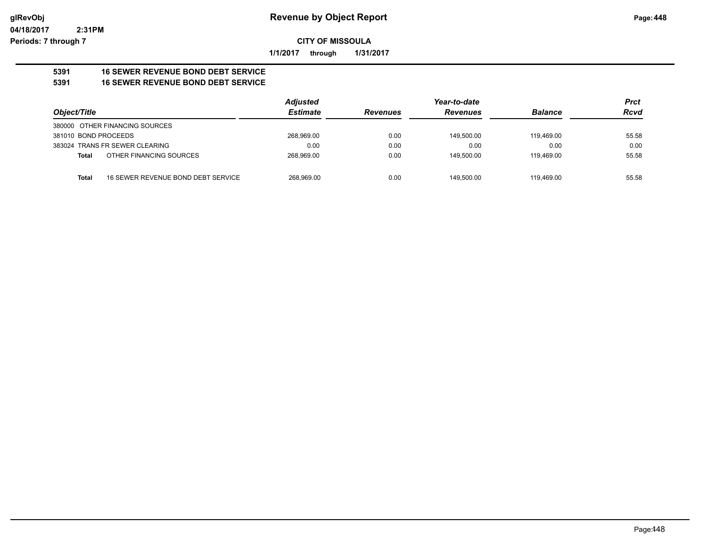**1/1/2017 through 1/31/2017**

#### **5391 16 SEWER REVENUE BOND DEBT SERVICE 5391 16 SEWER REVENUE BOND DEBT SERVICE**

|                      |                                    | <b>Adjusted</b> |                 | Year-to-date    |                | <b>Prct</b> |
|----------------------|------------------------------------|-----------------|-----------------|-----------------|----------------|-------------|
| Object/Title         |                                    | <b>Estimate</b> | <b>Revenues</b> | <b>Revenues</b> | <b>Balance</b> | Rcvd        |
|                      | 380000 OTHER FINANCING SOURCES     |                 |                 |                 |                |             |
| 381010 BOND PROCEEDS |                                    | 268.969.00      | 0.00            | 149.500.00      | 119.469.00     | 55.58       |
|                      | 383024 TRANS FR SEWER CLEARING     | 0.00            | 0.00            | 0.00            | 0.00           | 0.00        |
| Total                | OTHER FINANCING SOURCES            | 268.969.00      | 0.00            | 149.500.00      | 119.469.00     | 55.58       |
|                      |                                    |                 |                 |                 |                |             |
| <b>Total</b>         | 16 SEWER REVENUE BOND DEBT SERVICE | 268.969.00      | 0.00            | 149.500.00      | 119.469.00     | 55.58       |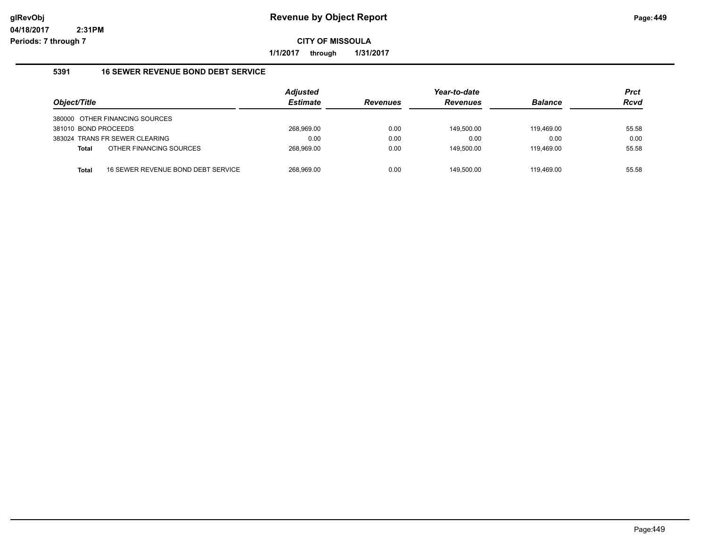**1/1/2017 through 1/31/2017**

#### **5391 16 SEWER REVENUE BOND DEBT SERVICE**

|                      |                                    | <b>Adjusted</b> |                 | Year-to-date    |                | <b>Prct</b> |
|----------------------|------------------------------------|-----------------|-----------------|-----------------|----------------|-------------|
| Object/Title         |                                    | <b>Estimate</b> | <b>Revenues</b> | <b>Revenues</b> | <b>Balance</b> | <b>Rcvd</b> |
|                      | 380000 OTHER FINANCING SOURCES     |                 |                 |                 |                |             |
| 381010 BOND PROCEEDS |                                    | 268.969.00      | 0.00            | 149.500.00      | 119,469.00     | 55.58       |
|                      | 383024 TRANS FR SEWER CLEARING     | 0.00            | 0.00            | 0.00            | 0.00           | 0.00        |
| <b>Total</b>         | OTHER FINANCING SOURCES            | 268.969.00      | 0.00            | 149.500.00      | 119.469.00     | 55.58       |
| <b>Total</b>         | 16 SEWER REVENUE BOND DEBT SERVICE | 268.969.00      | 0.00            | 149.500.00      | 119.469.00     | 55.58       |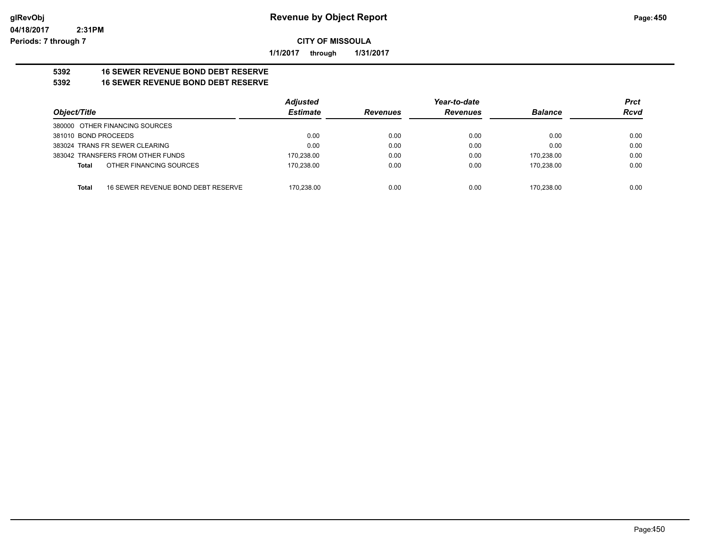**1/1/2017 through 1/31/2017**

#### **5392 16 SEWER REVENUE BOND DEBT RESERVE 5392 16 SEWER REVENUE BOND DEBT RESERVE**

| Object/Title         |                                    | <b>Adjusted</b><br><b>Estimate</b> | <b>Revenues</b> | Year-to-date<br><b>Revenues</b> | <b>Balance</b> | <b>Prct</b><br><b>Rcvd</b> |
|----------------------|------------------------------------|------------------------------------|-----------------|---------------------------------|----------------|----------------------------|
|                      | 380000 OTHER FINANCING SOURCES     |                                    |                 |                                 |                |                            |
| 381010 BOND PROCEEDS |                                    | 0.00                               | 0.00            | 0.00                            | 0.00           | 0.00                       |
|                      | 383024 TRANS FR SEWER CLEARING     | 0.00                               | 0.00            | 0.00                            | 0.00           | 0.00                       |
|                      | 383042 TRANSFERS FROM OTHER FUNDS  | 170.238.00                         | 0.00            | 0.00                            | 170.238.00     | 0.00                       |
| Total                | OTHER FINANCING SOURCES            | 170.238.00                         | 0.00            | 0.00                            | 170.238.00     | 0.00                       |
|                      |                                    |                                    |                 |                                 |                |                            |
| <b>Total</b>         | 16 SEWER REVENUE BOND DEBT RESERVE | 170.238.00                         | 0.00            | 0.00                            | 170.238.00     | 0.00                       |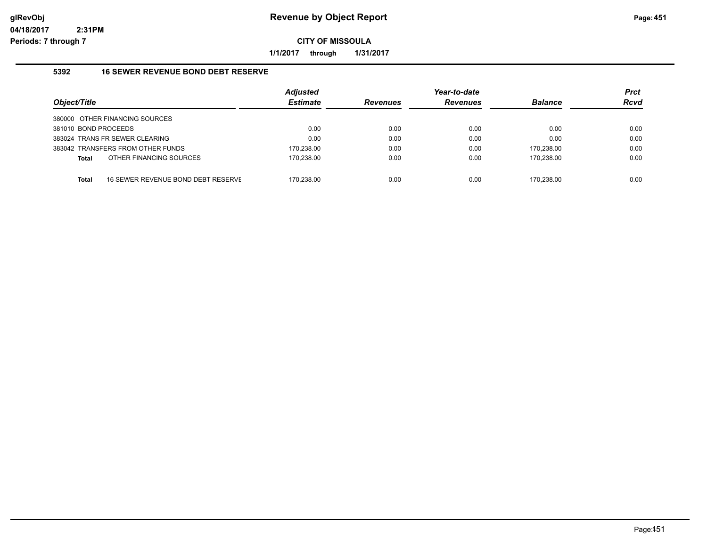**1/1/2017 through 1/31/2017**

#### **5392 16 SEWER REVENUE BOND DEBT RESERVE**

| Object/Title                                       | <b>Adjusted</b><br><b>Estimate</b> | <b>Revenues</b> | Year-to-date<br><b>Revenues</b> | <b>Balance</b> | <b>Prct</b><br><b>Rcvd</b> |
|----------------------------------------------------|------------------------------------|-----------------|---------------------------------|----------------|----------------------------|
| 380000 OTHER FINANCING SOURCES                     |                                    |                 |                                 |                |                            |
| 381010 BOND PROCEEDS                               | 0.00                               | 0.00            | 0.00                            | 0.00           | 0.00                       |
| 383024 TRANS FR SEWER CLEARING                     | 0.00                               | 0.00            | 0.00                            | 0.00           | 0.00                       |
| 383042 TRANSFERS FROM OTHER FUNDS                  | 170.238.00                         | 0.00            | 0.00                            | 170.238.00     | 0.00                       |
| OTHER FINANCING SOURCES<br><b>Total</b>            | 170.238.00                         | 0.00            | 0.00                            | 170.238.00     | 0.00                       |
| <b>Total</b><br>16 SEWER REVENUE BOND DEBT RESERVE | 170.238.00                         | 0.00            | 0.00                            | 170.238.00     | 0.00                       |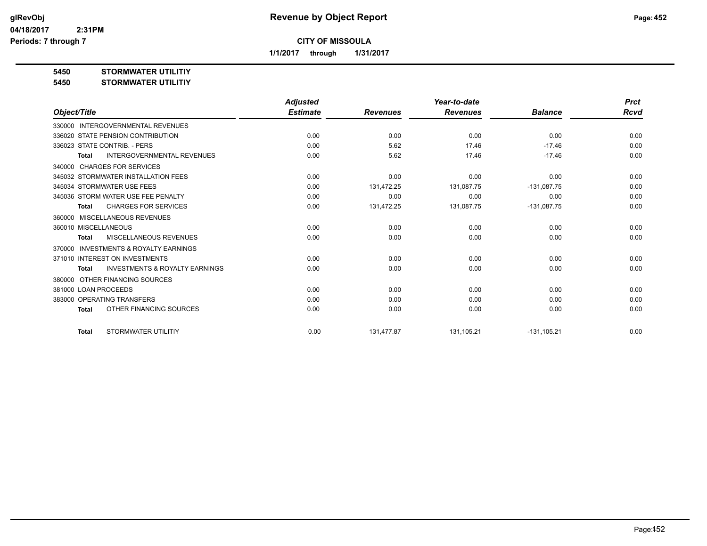**1/1/2017 through 1/31/2017**

**5450 STORMWATER UTILITIY**

| 5450 | <b>STORMWATER UTILITIY</b> |
|------|----------------------------|
|      |                            |

|                                                           | <b>Adjusted</b> |                 | Year-to-date    |                | <b>Prct</b> |
|-----------------------------------------------------------|-----------------|-----------------|-----------------|----------------|-------------|
| Object/Title                                              | <b>Estimate</b> | <b>Revenues</b> | <b>Revenues</b> | <b>Balance</b> | <b>Rcvd</b> |
| 330000 INTERGOVERNMENTAL REVENUES                         |                 |                 |                 |                |             |
| 336020 STATE PENSION CONTRIBUTION                         | 0.00            | 0.00            | 0.00            | 0.00           | 0.00        |
| 336023 STATE CONTRIB. - PERS                              | 0.00            | 5.62            | 17.46           | $-17.46$       | 0.00        |
| <b>INTERGOVERNMENTAL REVENUES</b><br><b>Total</b>         | 0.00            | 5.62            | 17.46           | $-17.46$       | 0.00        |
| 340000 CHARGES FOR SERVICES                               |                 |                 |                 |                |             |
| 345032 STORMWATER INSTALLATION FEES                       | 0.00            | 0.00            | 0.00            | 0.00           | 0.00        |
| 345034 STORMWATER USE FEES                                | 0.00            | 131,472.25      | 131,087.75      | $-131,087.75$  | 0.00        |
| 345036 STORM WATER USE FEE PENALTY                        | 0.00            | 0.00            | 0.00            | 0.00           | 0.00        |
| <b>CHARGES FOR SERVICES</b><br><b>Total</b>               | 0.00            | 131,472.25      | 131,087.75      | $-131,087.75$  | 0.00        |
| MISCELLANEOUS REVENUES<br>360000                          |                 |                 |                 |                |             |
| 360010 MISCELLANEOUS                                      | 0.00            | 0.00            | 0.00            | 0.00           | 0.00        |
| MISCELLANEOUS REVENUES<br><b>Total</b>                    | 0.00            | 0.00            | 0.00            | 0.00           | 0.00        |
| 370000 INVESTMENTS & ROYALTY EARNINGS                     |                 |                 |                 |                |             |
| 371010 INTEREST ON INVESTMENTS                            | 0.00            | 0.00            | 0.00            | 0.00           | 0.00        |
| <b>INVESTMENTS &amp; ROYALTY EARNINGS</b><br><b>Total</b> | 0.00            | 0.00            | 0.00            | 0.00           | 0.00        |
| 380000 OTHER FINANCING SOURCES                            |                 |                 |                 |                |             |
| 381000 LOAN PROCEEDS                                      | 0.00            | 0.00            | 0.00            | 0.00           | 0.00        |
| 383000 OPERATING TRANSFERS                                | 0.00            | 0.00            | 0.00            | 0.00           | 0.00        |
| OTHER FINANCING SOURCES<br><b>Total</b>                   | 0.00            | 0.00            | 0.00            | 0.00           | 0.00        |
| STORMWATER UTILITIY<br><b>Total</b>                       | 0.00            | 131,477.87      | 131.105.21      | $-131, 105.21$ | 0.00        |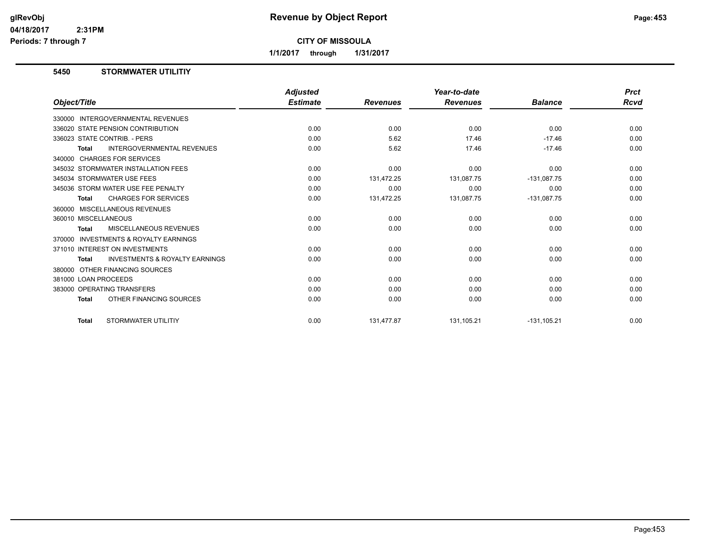**1/1/2017 through 1/31/2017**

#### **5450 STORMWATER UTILITIY**

|                                                           | <b>Adjusted</b> |                 | Year-to-date    |                | <b>Prct</b> |
|-----------------------------------------------------------|-----------------|-----------------|-----------------|----------------|-------------|
| Object/Title                                              | <b>Estimate</b> | <b>Revenues</b> | <b>Revenues</b> | <b>Balance</b> | <b>Rcvd</b> |
| 330000 INTERGOVERNMENTAL REVENUES                         |                 |                 |                 |                |             |
| 336020 STATE PENSION CONTRIBUTION                         | 0.00            | 0.00            | 0.00            | 0.00           | 0.00        |
| 336023 STATE CONTRIB. - PERS                              | 0.00            | 5.62            | 17.46           | $-17.46$       | 0.00        |
| <b>INTERGOVERNMENTAL REVENUES</b><br><b>Total</b>         | 0.00            | 5.62            | 17.46           | $-17.46$       | 0.00        |
| 340000 CHARGES FOR SERVICES                               |                 |                 |                 |                |             |
| 345032 STORMWATER INSTALLATION FEES                       | 0.00            | 0.00            | 0.00            | 0.00           | 0.00        |
| 345034 STORMWATER USE FEES                                | 0.00            | 131,472.25      | 131,087.75      | $-131,087.75$  | 0.00        |
| 345036 STORM WATER USE FEE PENALTY                        | 0.00            | 0.00            | 0.00            | 0.00           | 0.00        |
| <b>CHARGES FOR SERVICES</b><br><b>Total</b>               | 0.00            | 131,472.25      | 131,087.75      | $-131,087.75$  | 0.00        |
| 360000 MISCELLANEOUS REVENUES                             |                 |                 |                 |                |             |
| 360010 MISCELLANEOUS                                      | 0.00            | 0.00            | 0.00            | 0.00           | 0.00        |
| MISCELLANEOUS REVENUES<br>Total                           | 0.00            | 0.00            | 0.00            | 0.00           | 0.00        |
| 370000 INVESTMENTS & ROYALTY EARNINGS                     |                 |                 |                 |                |             |
| 371010 INTEREST ON INVESTMENTS                            | 0.00            | 0.00            | 0.00            | 0.00           | 0.00        |
| <b>INVESTMENTS &amp; ROYALTY EARNINGS</b><br><b>Total</b> | 0.00            | 0.00            | 0.00            | 0.00           | 0.00        |
| 380000 OTHER FINANCING SOURCES                            |                 |                 |                 |                |             |
| 381000 LOAN PROCEEDS                                      | 0.00            | 0.00            | 0.00            | 0.00           | 0.00        |
| 383000 OPERATING TRANSFERS                                | 0.00            | 0.00            | 0.00            | 0.00           | 0.00        |
| OTHER FINANCING SOURCES<br><b>Total</b>                   | 0.00            | 0.00            | 0.00            | 0.00           | 0.00        |
| STORMWATER UTILITIY<br><b>Total</b>                       | 0.00            | 131,477.87      | 131,105.21      | $-131, 105.21$ | 0.00        |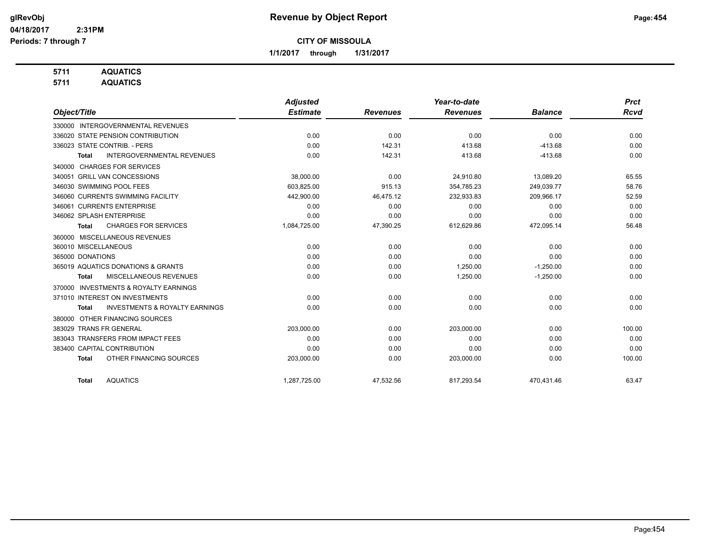**1/1/2017 through 1/31/2017**

# **5711 AQUATICS**

**5711 AQUATICS**

|                                                           | <b>Adjusted</b> |                 | Year-to-date    |                | <b>Prct</b> |
|-----------------------------------------------------------|-----------------|-----------------|-----------------|----------------|-------------|
| Object/Title                                              | <b>Estimate</b> | <b>Revenues</b> | <b>Revenues</b> | <b>Balance</b> | <b>Rcvd</b> |
| 330000 INTERGOVERNMENTAL REVENUES                         |                 |                 |                 |                |             |
| 336020 STATE PENSION CONTRIBUTION                         | 0.00            | 0.00            | 0.00            | 0.00           | 0.00        |
| 336023 STATE CONTRIB. - PERS                              | 0.00            | 142.31          | 413.68          | $-413.68$      | 0.00        |
| <b>INTERGOVERNMENTAL REVENUES</b><br><b>Total</b>         | 0.00            | 142.31          | 413.68          | $-413.68$      | 0.00        |
| 340000 CHARGES FOR SERVICES                               |                 |                 |                 |                |             |
| 340051 GRILL VAN CONCESSIONS                              | 38,000.00       | 0.00            | 24.910.80       | 13,089.20      | 65.55       |
| 346030 SWIMMING POOL FEES                                 | 603,825.00      | 915.13          | 354,785.23      | 249,039.77     | 58.76       |
| 346060 CURRENTS SWIMMING FACILITY                         | 442,900.00      | 46,475.12       | 232,933.83      | 209,966.17     | 52.59       |
| 346061 CURRENTS ENTERPRISE                                | 0.00            | 0.00            | 0.00            | 0.00           | 0.00        |
| 346062 SPLASH ENTERPRISE                                  | 0.00            | 0.00            | 0.00            | 0.00           | 0.00        |
| <b>CHARGES FOR SERVICES</b><br><b>Total</b>               | 1,084,725.00    | 47,390.25       | 612,629.86      | 472,095.14     | 56.48       |
| 360000 MISCELLANEOUS REVENUES                             |                 |                 |                 |                |             |
| 360010 MISCELLANEOUS                                      | 0.00            | 0.00            | 0.00            | 0.00           | 0.00        |
| 365000 DONATIONS                                          | 0.00            | 0.00            | 0.00            | 0.00           | 0.00        |
| 365019 AQUATICS DONATIONS & GRANTS                        | 0.00            | 0.00            | 1,250.00        | $-1,250.00$    | 0.00        |
| <b>MISCELLANEOUS REVENUES</b><br><b>Total</b>             | 0.00            | 0.00            | 1,250.00        | $-1,250.00$    | 0.00        |
| 370000 INVESTMENTS & ROYALTY EARNINGS                     |                 |                 |                 |                |             |
| 371010 INTEREST ON INVESTMENTS                            | 0.00            | 0.00            | 0.00            | 0.00           | 0.00        |
| <b>INVESTMENTS &amp; ROYALTY EARNINGS</b><br><b>Total</b> | 0.00            | 0.00            | 0.00            | 0.00           | 0.00        |
| 380000 OTHER FINANCING SOURCES                            |                 |                 |                 |                |             |
| 383029 TRANS FR GENERAL                                   | 203,000.00      | 0.00            | 203,000.00      | 0.00           | 100.00      |
| 383043 TRANSFERS FROM IMPACT FEES                         | 0.00            | 0.00            | 0.00            | 0.00           | 0.00        |
| 383400 CAPITAL CONTRIBUTION                               | 0.00            | 0.00            | 0.00            | 0.00           | 0.00        |
| OTHER FINANCING SOURCES<br><b>Total</b>                   | 203,000.00      | 0.00            | 203,000.00      | 0.00           | 100.00      |
| <b>AQUATICS</b><br><b>Total</b>                           | 1.287.725.00    | 47,532.56       | 817,293.54      | 470,431.46     | 63.47       |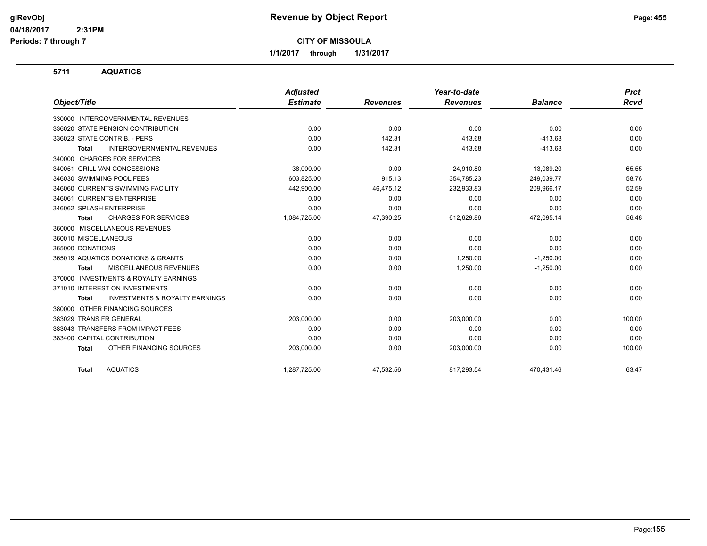**1/1/2017 through 1/31/2017**

#### **5711 AQUATICS**

|                                                           | <b>Adjusted</b> |                 | Year-to-date    |                | <b>Prct</b> |
|-----------------------------------------------------------|-----------------|-----------------|-----------------|----------------|-------------|
| Object/Title                                              | <b>Estimate</b> | <b>Revenues</b> | <b>Revenues</b> | <b>Balance</b> | <b>Rcvd</b> |
| 330000 INTERGOVERNMENTAL REVENUES                         |                 |                 |                 |                |             |
| 336020 STATE PENSION CONTRIBUTION                         | 0.00            | 0.00            | 0.00            | 0.00           | 0.00        |
| 336023 STATE CONTRIB. - PERS                              | 0.00            | 142.31          | 413.68          | $-413.68$      | 0.00        |
| <b>INTERGOVERNMENTAL REVENUES</b><br><b>Total</b>         | 0.00            | 142.31          | 413.68          | $-413.68$      | 0.00        |
| 340000 CHARGES FOR SERVICES                               |                 |                 |                 |                |             |
| 340051 GRILL VAN CONCESSIONS                              | 38.000.00       | 0.00            | 24.910.80       | 13.089.20      | 65.55       |
| 346030 SWIMMING POOL FEES                                 | 603,825.00      | 915.13          | 354,785.23      | 249,039.77     | 58.76       |
| 346060 CURRENTS SWIMMING FACILITY                         | 442.900.00      | 46,475.12       | 232,933.83      | 209,966.17     | 52.59       |
| 346061 CURRENTS ENTERPRISE                                | 0.00            | 0.00            | 0.00            | 0.00           | 0.00        |
| 346062 SPLASH ENTERPRISE                                  | 0.00            | 0.00            | 0.00            | 0.00           | 0.00        |
| <b>CHARGES FOR SERVICES</b><br><b>Total</b>               | 1,084,725.00    | 47,390.25       | 612,629.86      | 472,095.14     | 56.48       |
| 360000 MISCELLANEOUS REVENUES                             |                 |                 |                 |                |             |
| 360010 MISCELLANEOUS                                      | 0.00            | 0.00            | 0.00            | 0.00           | 0.00        |
| 365000 DONATIONS                                          | 0.00            | 0.00            | 0.00            | 0.00           | 0.00        |
| 365019 AQUATICS DONATIONS & GRANTS                        | 0.00            | 0.00            | 1,250.00        | $-1,250.00$    | 0.00        |
| MISCELLANEOUS REVENUES<br>Total                           | 0.00            | 0.00            | 1,250.00        | $-1,250.00$    | 0.00        |
| <b>INVESTMENTS &amp; ROYALTY EARNINGS</b><br>370000       |                 |                 |                 |                |             |
| 371010 INTEREST ON INVESTMENTS                            | 0.00            | 0.00            | 0.00            | 0.00           | 0.00        |
| <b>INVESTMENTS &amp; ROYALTY EARNINGS</b><br><b>Total</b> | 0.00            | 0.00            | 0.00            | 0.00           | 0.00        |
| OTHER FINANCING SOURCES<br>380000                         |                 |                 |                 |                |             |
| 383029 TRANS FR GENERAL                                   | 203,000.00      | 0.00            | 203,000.00      | 0.00           | 100.00      |
| 383043 TRANSFERS FROM IMPACT FEES                         | 0.00            | 0.00            | 0.00            | 0.00           | 0.00        |
| 383400 CAPITAL CONTRIBUTION                               | 0.00            | 0.00            | 0.00            | 0.00           | 0.00        |
| OTHER FINANCING SOURCES<br><b>Total</b>                   | 203,000.00      | 0.00            | 203,000.00      | 0.00           | 100.00      |
| <b>AQUATICS</b><br><b>Total</b>                           | 1,287,725.00    | 47,532.56       | 817,293.54      | 470,431.46     | 63.47       |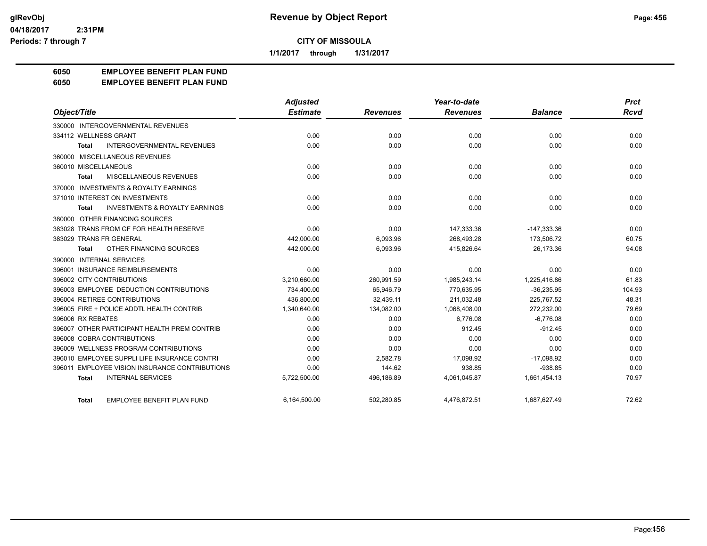*Prct Rcvd*

**CITY OF MISSOULA**

**1/1/2017 through 1/31/2017**

**6050 EMPLOYEE BENEFIT PLAN FUND**

| <b>EMPLOYEE BENEFIT PLAN FUND</b><br>6050                 |                 |                 |                 |                |             |
|-----------------------------------------------------------|-----------------|-----------------|-----------------|----------------|-------------|
|                                                           | <b>Adjusted</b> |                 | Year-to-date    |                | <b>Prct</b> |
| Object/Title                                              | <b>Estimate</b> | <b>Revenues</b> | <b>Revenues</b> | <b>Balance</b> | Rcva        |
| 330000 INTERGOVERNMENTAL REVENUES                         |                 |                 |                 |                |             |
| 334112 WELLNESS GRANT                                     | 0.00            | 0.00            | 0.00            | 0.00           | 0.00        |
| INTERGOVERNMENTAL REVENUES<br><b>Total</b>                | 0.00            | 0.00            | 0.00            | 0.00           | 0.00        |
| 360000 MISCELLANEOUS REVENUES                             |                 |                 |                 |                |             |
| 360010 MISCELLANEOUS                                      | 0.00            | 0.00            | 0.00            | 0.00           | 0.00        |
| MISCELLANEOUS REVENUES<br><b>Total</b>                    | 0.00            | 0.00            | 0.00            | 0.00           | 0.00        |
| 370000 INVESTMENTS & ROYALTY EARNINGS                     |                 |                 |                 |                |             |
| 371010 INTEREST ON INVESTMENTS                            | 0.00            | 0.00            | 0.00            | 0.00           | 0.00        |
| <b>INVESTMENTS &amp; ROYALTY EARNINGS</b><br><b>Total</b> | 0.00            | 0.00            | 0.00            | 0.00           | 0.00        |
| 380000 OTHER FINANCING SOURCES                            |                 |                 |                 |                |             |
| 383028 TRANS FROM GF FOR HEALTH RESERVE                   | 0.00            | 0.00            | 147,333.36      | $-147.333.36$  | 0.00        |
| 383029 TRANS FR GENERAL                                   | 442,000.00      | 6,093.96        | 268,493.28      | 173,506.72     | 60.75       |
| OTHER FINANCING SOURCES<br><b>Total</b>                   | 442.000.00      | 6.093.96        | 415,826.64      | 26.173.36      | 94.08       |
| 390000 INTERNAL SERVICES                                  |                 |                 |                 |                |             |
| 396001 INSURANCE REIMBURSEMENTS                           | 0.00            | 0.00            | 0.00            | 0.00           | 0.00        |
| 396002 CITY CONTRIBUTIONS                                 | 3,210,660.00    | 260.991.59      | 1,985,243.14    | 1,225,416.86   | 61.83       |
| 396003 EMPLOYEE DEDUCTION CONTRIBUTIONS                   | 734,400.00      | 65,946.79       | 770,635.95      | $-36,235.95$   | 104.93      |
| 396004 RETIREE CONTRIBUTIONS                              | 436.800.00      | 32,439.11       | 211.032.48      | 225.767.52     | 48.31       |
| 396005 FIRE + POLICE ADDTL HEALTH CONTRIB                 | 1,340,640.00    | 134,082.00      | 1,068,408.00    | 272,232.00     | 79.69       |
| 396006 RX REBATES                                         | 0.00            | 0.00            | 6.776.08        | $-6,776.08$    | 0.00        |
| 396007 OTHER PARTICIPANT HEALTH PREM CONTRIB              | 0.00            | 0.00            | 912.45          | $-912.45$      | 0.00        |
| 396008 COBRA CONTRIBUTIONS                                | 0.00            | 0.00            | 0.00            | 0.00           | 0.00        |
| 396009 WELLNESS PROGRAM CONTRIBUTIONS                     | 0.00            | 0.00            | 0.00            | 0.00           | 0.00        |
| 396010 EMPLOYEE SUPPLI LIFE INSURANCE CONTRI              | 0.00            | 2,582.78        | 17.098.92       | $-17,098.92$   | 0.00        |
| 396011 EMPLOYEE VISION INSURANCE CONTRIBUTIONS            | 0.00            | 144.62          | 938.85          | $-938.85$      | 0.00        |
| <b>INTERNAL SERVICES</b><br><b>Total</b>                  | 5.722.500.00    | 496.186.89      | 4.061.045.87    | 1.661.454.13   | 70.97       |

**Total** EMPLOYEE BENEFIT PLAN FUND 6,164,500.00 502,280.85 4,476,872.51 1,687,627.49 72.62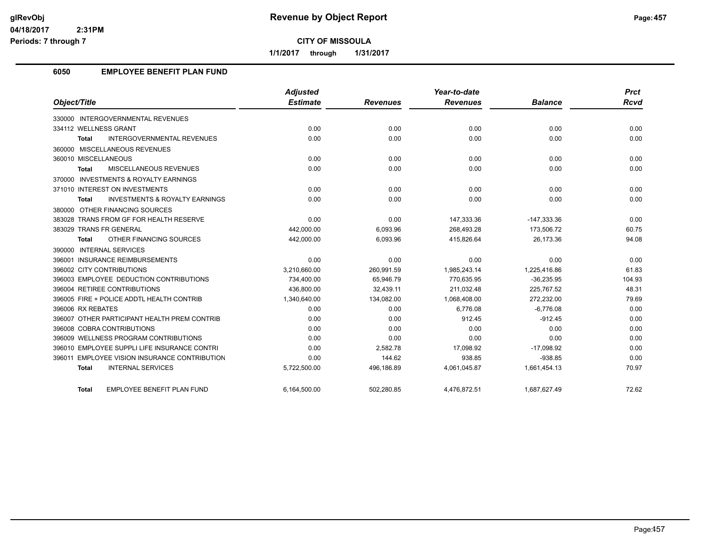**1/1/2017 through 1/31/2017**

#### **6050 EMPLOYEE BENEFIT PLAN FUND**

|                                                    | <b>Adjusted</b> |                 | Year-to-date    |                | <b>Prct</b> |
|----------------------------------------------------|-----------------|-----------------|-----------------|----------------|-------------|
| Object/Title                                       | <b>Estimate</b> | <b>Revenues</b> | <b>Revenues</b> | <b>Balance</b> | <b>Rcvd</b> |
| 330000 INTERGOVERNMENTAL REVENUES                  |                 |                 |                 |                |             |
| 334112 WELLNESS GRANT                              | 0.00            | 0.00            | 0.00            | 0.00           | 0.00        |
| <b>INTERGOVERNMENTAL REVENUES</b><br><b>Total</b>  | 0.00            | 0.00            | 0.00            | 0.00           | 0.00        |
| 360000 MISCELLANEOUS REVENUES                      |                 |                 |                 |                |             |
| 360010 MISCELLANEOUS                               | 0.00            | 0.00            | 0.00            | 0.00           | 0.00        |
| MISCELLANEOUS REVENUES<br><b>Total</b>             | 0.00            | 0.00            | 0.00            | 0.00           | 0.00        |
| 370000 INVESTMENTS & ROYALTY EARNINGS              |                 |                 |                 |                |             |
| 371010 INTEREST ON INVESTMENTS                     | 0.00            | 0.00            | 0.00            | 0.00           | 0.00        |
| <b>INVESTMENTS &amp; ROYALTY EARNINGS</b><br>Total | 0.00            | 0.00            | 0.00            | 0.00           | 0.00        |
| 380000 OTHER FINANCING SOURCES                     |                 |                 |                 |                |             |
| 383028 TRANS FROM GF FOR HEALTH RESERVE            | 0.00            | 0.00            | 147,333.36      | $-147,333.36$  | 0.00        |
| 383029 TRANS FR GENERAL                            | 442.000.00      | 6,093.96        | 268,493.28      | 173,506.72     | 60.75       |
| OTHER FINANCING SOURCES<br>Total                   | 442,000.00      | 6,093.96        | 415,826.64      | 26,173.36      | 94.08       |
| 390000 INTERNAL SERVICES                           |                 |                 |                 |                |             |
| 396001 INSURANCE REIMBURSEMENTS                    | 0.00            | 0.00            | 0.00            | 0.00           | 0.00        |
| 396002 CITY CONTRIBUTIONS                          | 3,210,660.00    | 260,991.59      | 1,985,243.14    | 1,225,416.86   | 61.83       |
| 396003 EMPLOYEE DEDUCTION CONTRIBUTIONS            | 734,400.00      | 65,946.79       | 770,635.95      | $-36,235.95$   | 104.93      |
| 396004 RETIREE CONTRIBUTIONS                       | 436,800.00      | 32,439.11       | 211,032.48      | 225,767.52     | 48.31       |
| 396005 FIRE + POLICE ADDTL HEALTH CONTRIB          | 1,340,640.00    | 134,082.00      | 1,068,408.00    | 272,232.00     | 79.69       |
| 396006 RX REBATES                                  | 0.00            | 0.00            | 6.776.08        | $-6.776.08$    | 0.00        |
| 396007 OTHER PARTICIPANT HEALTH PREM CONTRIB       | 0.00            | 0.00            | 912.45          | $-912.45$      | 0.00        |
| 396008 COBRA CONTRIBUTIONS                         | 0.00            | 0.00            | 0.00            | 0.00           | 0.00        |
| 396009 WELLNESS PROGRAM CONTRIBUTIONS              | 0.00            | 0.00            | 0.00            | 0.00           | 0.00        |
| 396010 EMPLOYEE SUPPLI LIFE INSURANCE CONTRI       | 0.00            | 2,582.78        | 17,098.92       | $-17,098.92$   | 0.00        |
| 396011 EMPLOYEE VISION INSURANCE CONTRIBUTION      | 0.00            | 144.62          | 938.85          | $-938.85$      | 0.00        |
| <b>INTERNAL SERVICES</b><br><b>Total</b>           | 5,722,500.00    | 496,186.89      | 4,061,045.87    | 1,661,454.13   | 70.97       |
| <b>EMPLOYEE BENEFIT PLAN FUND</b><br>Total         | 6,164,500.00    | 502,280.85      | 4,476,872.51    | 1,687,627.49   | 72.62       |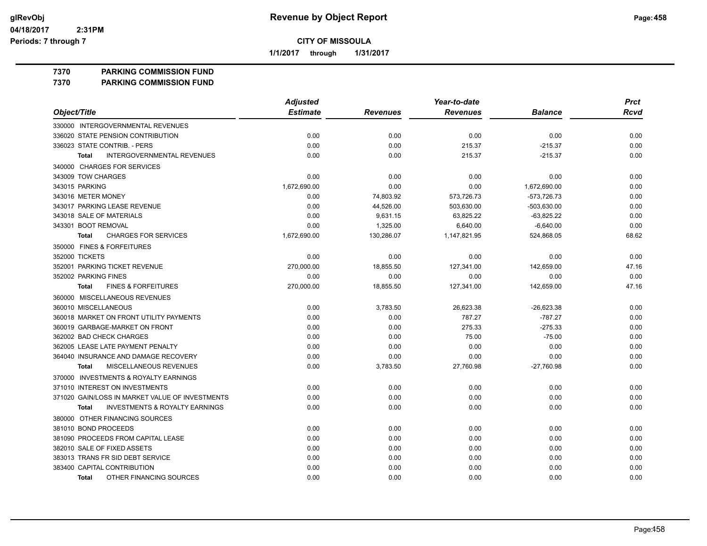**1/1/2017 through 1/31/2017**

**7370 PARKING COMMISSION FUND**

|                                                           | <b>Adjusted</b> |                 | Year-to-date    |                | <b>Prct</b> |
|-----------------------------------------------------------|-----------------|-----------------|-----------------|----------------|-------------|
| Object/Title                                              | <b>Estimate</b> | <b>Revenues</b> | <b>Revenues</b> | <b>Balance</b> | <b>Rcvd</b> |
| 330000 INTERGOVERNMENTAL REVENUES                         |                 |                 |                 |                |             |
| 336020 STATE PENSION CONTRIBUTION                         | 0.00            | 0.00            | 0.00            | 0.00           | 0.00        |
| 336023 STATE CONTRIB. - PERS                              | 0.00            | 0.00            | 215.37          | $-215.37$      | 0.00        |
| <b>INTERGOVERNMENTAL REVENUES</b><br>Total                | 0.00            | 0.00            | 215.37          | $-215.37$      | 0.00        |
| 340000 CHARGES FOR SERVICES                               |                 |                 |                 |                |             |
| 343009 TOW CHARGES                                        | 0.00            | 0.00            | 0.00            | 0.00           | 0.00        |
| 343015 PARKING                                            | 1,672,690.00    | 0.00            | 0.00            | 1,672,690.00   | 0.00        |
| 343016 METER MONEY                                        | 0.00            | 74,803.92       | 573,726.73      | $-573,726.73$  | 0.00        |
| 343017 PARKING LEASE REVENUE                              | 0.00            | 44,526.00       | 503,630.00      | $-503,630.00$  | 0.00        |
| 343018 SALE OF MATERIALS                                  | 0.00            | 9,631.15        | 63,825.22       | $-63,825.22$   | 0.00        |
| 343301 BOOT REMOVAL                                       | 0.00            | 1,325.00        | 6,640.00        | $-6,640.00$    | 0.00        |
| <b>CHARGES FOR SERVICES</b><br><b>Total</b>               | 1,672,690.00    | 130,286.07      | 1,147,821.95    | 524,868.05     | 68.62       |
| 350000 FINES & FORFEITURES                                |                 |                 |                 |                |             |
| 352000 TICKETS                                            | 0.00            | 0.00            | 0.00            | 0.00           | 0.00        |
| 352001 PARKING TICKET REVENUE                             | 270,000.00      | 18,855.50       | 127,341.00      | 142,659.00     | 47.16       |
| 352002 PARKING FINES                                      | 0.00            | 0.00            | 0.00            | 0.00           | 0.00        |
| <b>FINES &amp; FORFEITURES</b><br><b>Total</b>            | 270,000.00      | 18,855.50       | 127,341.00      | 142,659.00     | 47.16       |
| 360000 MISCELLANEOUS REVENUES                             |                 |                 |                 |                |             |
| 360010 MISCELLANEOUS                                      | 0.00            | 3,783.50        | 26,623.38       | $-26,623.38$   | 0.00        |
| 360018 MARKET ON FRONT UTILITY PAYMENTS                   | 0.00            | 0.00            | 787.27          | $-787.27$      | 0.00        |
| 360019 GARBAGE-MARKET ON FRONT                            | 0.00            | 0.00            | 275.33          | $-275.33$      | 0.00        |
| 362002 BAD CHECK CHARGES                                  | 0.00            | 0.00            | 75.00           | $-75.00$       | 0.00        |
| 362005 LEASE LATE PAYMENT PENALTY                         | 0.00            | 0.00            | 0.00            | 0.00           | 0.00        |
| 364040 INSURANCE AND DAMAGE RECOVERY                      | 0.00            | 0.00            | 0.00            | 0.00           | 0.00        |
| <b>MISCELLANEOUS REVENUES</b><br>Total                    | 0.00            | 3,783.50        | 27,760.98       | $-27,760.98$   | 0.00        |
| 370000 INVESTMENTS & ROYALTY EARNINGS                     |                 |                 |                 |                |             |
| 371010 INTEREST ON INVESTMENTS                            | 0.00            | 0.00            | 0.00            | 0.00           | 0.00        |
| 371020 GAIN/LOSS IN MARKET VALUE OF INVESTMENTS           | 0.00            | 0.00            | 0.00            | 0.00           | 0.00        |
| <b>INVESTMENTS &amp; ROYALTY EARNINGS</b><br><b>Total</b> | 0.00            | 0.00            | 0.00            | 0.00           | 0.00        |
| 380000 OTHER FINANCING SOURCES                            |                 |                 |                 |                |             |
| 381010 BOND PROCEEDS                                      | 0.00            | 0.00            | 0.00            | 0.00           | 0.00        |
| 381090 PROCEEDS FROM CAPITAL LEASE                        | 0.00            | 0.00            | 0.00            | 0.00           | 0.00        |
| 382010 SALE OF FIXED ASSETS                               | 0.00            | 0.00            | 0.00            | 0.00           | 0.00        |
| 383013 TRANS FR SID DEBT SERVICE                          | 0.00            | 0.00            | 0.00            | 0.00           | 0.00        |
| 383400 CAPITAL CONTRIBUTION                               | 0.00            | 0.00            | 0.00            | 0.00           | 0.00        |
| OTHER FINANCING SOURCES<br><b>Total</b>                   | 0.00            | 0.00            | 0.00            | 0.00           | 0.00        |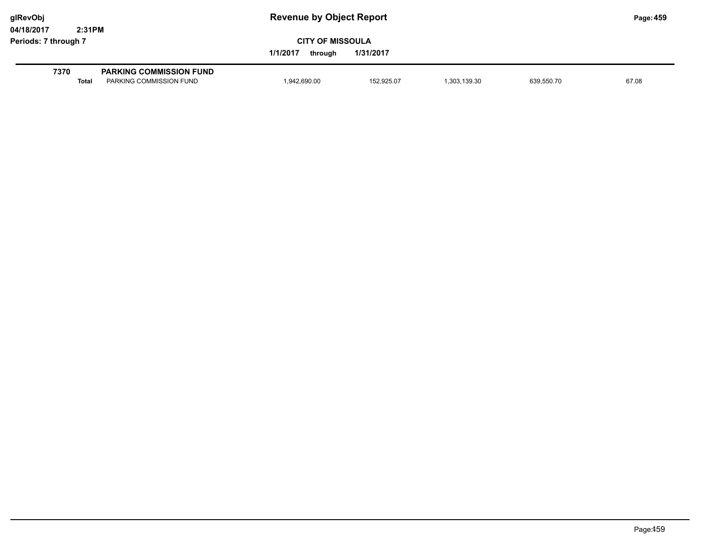| glRevObj<br>04/18/2017<br>2:31PM<br>Periods: 7 through 7 |       | <b>Revenue by Object Report</b>                             |              |            |              |            |       |
|----------------------------------------------------------|-------|-------------------------------------------------------------|--------------|------------|--------------|------------|-------|
|                                                          |       | <b>CITY OF MISSOULA</b><br>1/31/2017<br>1/1/2017<br>through |              |            |              |            |       |
| 7370                                                     | Total | <b>PARKING COMMISSION FUND</b><br>PARKING COMMISSION FUND   | 1,942,690.00 | 152,925.07 | 1,303,139.30 | 639,550.70 | 67.08 |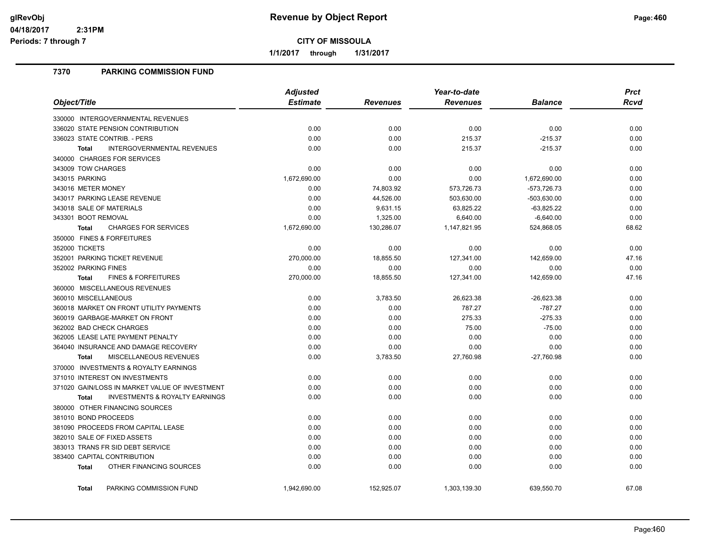**1/1/2017 through 1/31/2017**

#### **7370 PARKING COMMISSION FUND**

|                                                           | <b>Adjusted</b> |                 | Year-to-date    |                | <b>Prct</b> |
|-----------------------------------------------------------|-----------------|-----------------|-----------------|----------------|-------------|
| Object/Title                                              | <b>Estimate</b> | <b>Revenues</b> | <b>Revenues</b> | <b>Balance</b> | <b>Rcvd</b> |
| 330000 INTERGOVERNMENTAL REVENUES                         |                 |                 |                 |                |             |
| 336020 STATE PENSION CONTRIBUTION                         | 0.00            | 0.00            | 0.00            | 0.00           | 0.00        |
| 336023 STATE CONTRIB. - PERS                              | 0.00            | 0.00            | 215.37          | $-215.37$      | 0.00        |
| <b>INTERGOVERNMENTAL REVENUES</b><br><b>Total</b>         | 0.00            | 0.00            | 215.37          | $-215.37$      | 0.00        |
| 340000 CHARGES FOR SERVICES                               |                 |                 |                 |                |             |
| 343009 TOW CHARGES                                        | 0.00            | 0.00            | 0.00            | 0.00           | 0.00        |
| 343015 PARKING                                            | 1,672,690.00    | 0.00            | 0.00            | 1,672,690.00   | 0.00        |
| 343016 METER MONEY                                        | 0.00            | 74,803.92       | 573,726.73      | $-573,726.73$  | 0.00        |
| 343017 PARKING LEASE REVENUE                              | 0.00            | 44,526.00       | 503,630.00      | -503,630.00    | 0.00        |
| 343018 SALE OF MATERIALS                                  | 0.00            | 9,631.15        | 63,825.22       | $-63,825.22$   | 0.00        |
| 343301 BOOT REMOVAL                                       | 0.00            | 1,325.00        | 6,640.00        | $-6,640.00$    | 0.00        |
| <b>CHARGES FOR SERVICES</b><br><b>Total</b>               | 1,672,690.00    | 130,286.07      | 1,147,821.95    | 524,868.05     | 68.62       |
| 350000 FINES & FORFEITURES                                |                 |                 |                 |                |             |
| 352000 TICKETS                                            | 0.00            | 0.00            | 0.00            | 0.00           | 0.00        |
| 352001 PARKING TICKET REVENUE                             | 270,000.00      | 18,855.50       | 127,341.00      | 142,659.00     | 47.16       |
| 352002 PARKING FINES                                      | 0.00            | 0.00            | 0.00            | 0.00           | 0.00        |
| <b>FINES &amp; FORFEITURES</b><br><b>Total</b>            | 270,000.00      | 18,855.50       | 127,341.00      | 142,659.00     | 47.16       |
| 360000 MISCELLANEOUS REVENUES                             |                 |                 |                 |                |             |
| 360010 MISCELLANEOUS                                      | 0.00            | 3,783.50        | 26,623.38       | $-26,623.38$   | 0.00        |
| 360018 MARKET ON FRONT UTILITY PAYMENTS                   | 0.00            | 0.00            | 787.27          | $-787.27$      | 0.00        |
| 360019 GARBAGE-MARKET ON FRONT                            | 0.00            | 0.00            | 275.33          | $-275.33$      | 0.00        |
| 362002 BAD CHECK CHARGES                                  | 0.00            | 0.00            | 75.00           | $-75.00$       | 0.00        |
| 362005 LEASE LATE PAYMENT PENALTY                         | 0.00            | 0.00            | 0.00            | 0.00           | 0.00        |
| 364040 INSURANCE AND DAMAGE RECOVERY                      | 0.00            | 0.00            | 0.00            | 0.00           | 0.00        |
| MISCELLANEOUS REVENUES<br><b>Total</b>                    | 0.00            | 3,783.50        | 27,760.98       | $-27,760.98$   | 0.00        |
| 370000 INVESTMENTS & ROYALTY EARNINGS                     |                 |                 |                 |                |             |
| 371010 INTEREST ON INVESTMENTS                            | 0.00            | 0.00            | 0.00            | 0.00           | 0.00        |
| 371020 GAIN/LOSS IN MARKET VALUE OF INVESTMENT            | 0.00            | 0.00            | 0.00            | 0.00           | 0.00        |
| <b>INVESTMENTS &amp; ROYALTY EARNINGS</b><br><b>Total</b> | 0.00            | 0.00            | 0.00            | 0.00           | 0.00        |
| 380000 OTHER FINANCING SOURCES                            |                 |                 |                 |                |             |
| 381010 BOND PROCEEDS                                      | 0.00            | 0.00            | 0.00            | 0.00           | 0.00        |
| 381090 PROCEEDS FROM CAPITAL LEASE                        | 0.00            | 0.00            | 0.00            | 0.00           | 0.00        |
| 382010 SALE OF FIXED ASSETS                               | 0.00            | 0.00            | 0.00            | 0.00           | 0.00        |
| 383013 TRANS FR SID DEBT SERVICE                          | 0.00            | 0.00            | 0.00            | 0.00           | 0.00        |
| 383400 CAPITAL CONTRIBUTION                               | 0.00            | 0.00            | 0.00            | 0.00           | 0.00        |
| OTHER FINANCING SOURCES<br>Total                          | 0.00            | 0.00            | 0.00            | 0.00           | 0.00        |
| PARKING COMMISSION FUND<br><b>Total</b>                   | 1,942,690.00    | 152,925.07      | 1,303,139.30    | 639,550.70     | 67.08       |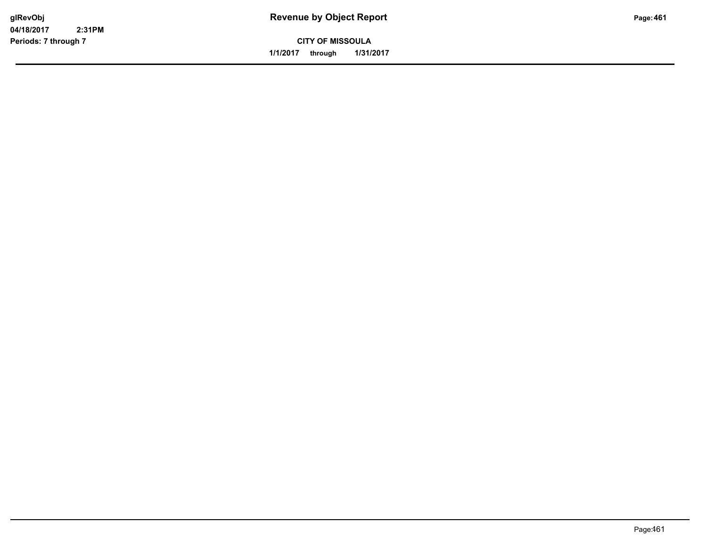**CITY OF MISSOULA 1/1/2017 through 1/31/2017**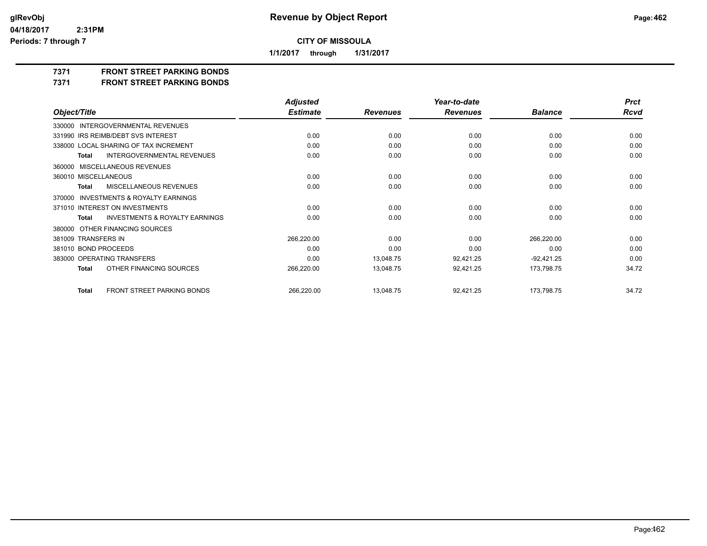**1/1/2017 through 1/31/2017**

## **7371 FRONT STREET PARKING BONDS**

**7371 FRONT STREET PARKING BONDS**

|                                                     | <b>Adjusted</b> |                 | Year-to-date    |                | <b>Prct</b> |
|-----------------------------------------------------|-----------------|-----------------|-----------------|----------------|-------------|
| Object/Title                                        | <b>Estimate</b> | <b>Revenues</b> | <b>Revenues</b> | <b>Balance</b> | <b>Rcvd</b> |
| 330000 INTERGOVERNMENTAL REVENUES                   |                 |                 |                 |                |             |
| 331990 IRS REIMB/DEBT SVS INTEREST                  | 0.00            | 0.00            | 0.00            | 0.00           | 0.00        |
| 338000 LOCAL SHARING OF TAX INCREMENT               | 0.00            | 0.00            | 0.00            | 0.00           | 0.00        |
| <b>INTERGOVERNMENTAL REVENUES</b><br>Total          | 0.00            | 0.00            | 0.00            | 0.00           | 0.00        |
| 360000 MISCELLANEOUS REVENUES                       |                 |                 |                 |                |             |
| 360010 MISCELLANEOUS                                | 0.00            | 0.00            | 0.00            | 0.00           | 0.00        |
| <b>MISCELLANEOUS REVENUES</b><br>Total              | 0.00            | 0.00            | 0.00            | 0.00           | 0.00        |
| <b>INVESTMENTS &amp; ROYALTY EARNINGS</b><br>370000 |                 |                 |                 |                |             |
| 371010 INTEREST ON INVESTMENTS                      | 0.00            | 0.00            | 0.00            | 0.00           | 0.00        |
| <b>INVESTMENTS &amp; ROYALTY EARNINGS</b><br>Total  | 0.00            | 0.00            | 0.00            | 0.00           | 0.00        |
| 380000 OTHER FINANCING SOURCES                      |                 |                 |                 |                |             |
| 381009 TRANSFERS IN                                 | 266,220.00      | 0.00            | 0.00            | 266,220.00     | 0.00        |
| 381010 BOND PROCEEDS                                | 0.00            | 0.00            | 0.00            | 0.00           | 0.00        |
| 383000 OPERATING TRANSFERS                          | 0.00            | 13,048.75       | 92,421.25       | $-92,421.25$   | 0.00        |
| OTHER FINANCING SOURCES<br>Total                    | 266,220.00      | 13,048.75       | 92,421.25       | 173,798.75     | 34.72       |
| <b>FRONT STREET PARKING BONDS</b><br>Total          | 266,220.00      | 13,048.75       | 92,421.25       | 173,798.75     | 34.72       |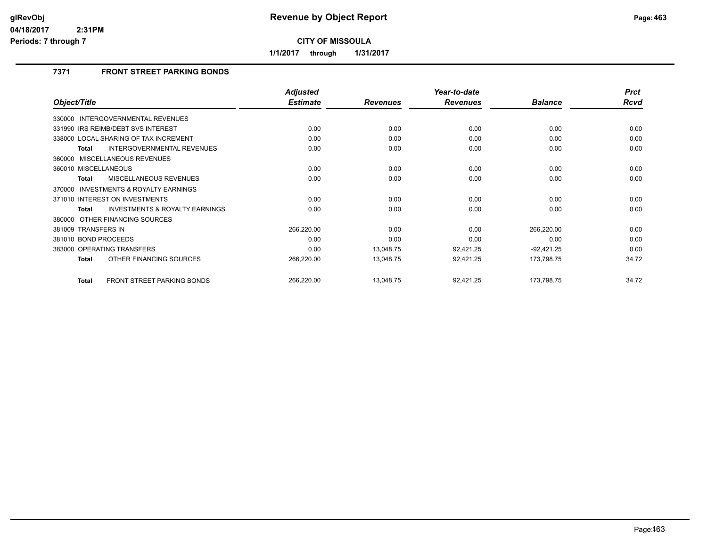**1/1/2017 through 1/31/2017**

#### **7371 FRONT STREET PARKING BONDS**

|                                                     | <b>Adjusted</b> |                 | Year-to-date    |                | <b>Prct</b> |
|-----------------------------------------------------|-----------------|-----------------|-----------------|----------------|-------------|
| Object/Title                                        | <b>Estimate</b> | <b>Revenues</b> | <b>Revenues</b> | <b>Balance</b> | Rcvd        |
| INTERGOVERNMENTAL REVENUES<br>330000                |                 |                 |                 |                |             |
| 331990 IRS REIMB/DEBT SVS INTEREST                  | 0.00            | 0.00            | 0.00            | 0.00           | 0.00        |
| 338000 LOCAL SHARING OF TAX INCREMENT               | 0.00            | 0.00            | 0.00            | 0.00           | 0.00        |
| <b>INTERGOVERNMENTAL REVENUES</b><br><b>Total</b>   | 0.00            | 0.00            | 0.00            | 0.00           | 0.00        |
| MISCELLANEOUS REVENUES<br>360000                    |                 |                 |                 |                |             |
| 360010 MISCELLANEOUS                                | 0.00            | 0.00            | 0.00            | 0.00           | 0.00        |
| MISCELLANEOUS REVENUES<br><b>Total</b>              | 0.00            | 0.00            | 0.00            | 0.00           | 0.00        |
| <b>INVESTMENTS &amp; ROYALTY EARNINGS</b><br>370000 |                 |                 |                 |                |             |
| 371010 INTEREST ON INVESTMENTS                      | 0.00            | 0.00            | 0.00            | 0.00           | 0.00        |
| INVESTMENTS & ROYALTY EARNINGS<br><b>Total</b>      | 0.00            | 0.00            | 0.00            | 0.00           | 0.00        |
| 380000 OTHER FINANCING SOURCES                      |                 |                 |                 |                |             |
| 381009 TRANSFERS IN                                 | 266,220.00      | 0.00            | 0.00            | 266,220.00     | 0.00        |
| 381010 BOND PROCEEDS                                | 0.00            | 0.00            | 0.00            | 0.00           | 0.00        |
| 383000 OPERATING TRANSFERS                          | 0.00            | 13,048.75       | 92,421.25       | $-92,421.25$   | 0.00        |
| OTHER FINANCING SOURCES<br><b>Total</b>             | 266,220.00      | 13,048.75       | 92,421.25       | 173,798.75     | 34.72       |
| <b>FRONT STREET PARKING BONDS</b><br><b>Total</b>   | 266,220.00      | 13,048.75       | 92,421.25       | 173,798.75     | 34.72       |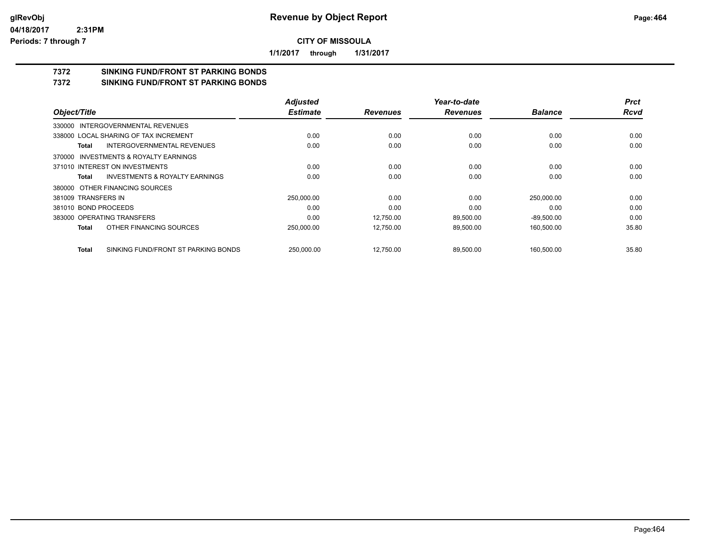**1/1/2017 through 1/31/2017**

#### **7372 SINKING FUND/FRONT ST PARKING BONDS 7372 SINKING FUND/FRONT ST PARKING BONDS**

|                      |                                           | <b>Adjusted</b> |                 | Year-to-date    |                | <b>Prct</b> |
|----------------------|-------------------------------------------|-----------------|-----------------|-----------------|----------------|-------------|
| Object/Title         |                                           | <b>Estimate</b> | <b>Revenues</b> | <b>Revenues</b> | <b>Balance</b> | <b>Rcvd</b> |
|                      | 330000 INTERGOVERNMENTAL REVENUES         |                 |                 |                 |                |             |
|                      | 338000 LOCAL SHARING OF TAX INCREMENT     | 0.00            | 0.00            | 0.00            | 0.00           | 0.00        |
| <b>Total</b>         | INTERGOVERNMENTAL REVENUES                | 0.00            | 0.00            | 0.00            | 0.00           | 0.00        |
| 370000               | <b>INVESTMENTS &amp; ROYALTY EARNINGS</b> |                 |                 |                 |                |             |
|                      | 371010 INTEREST ON INVESTMENTS            | 0.00            | 0.00            | 0.00            | 0.00           | 0.00        |
| Total                | <b>INVESTMENTS &amp; ROYALTY EARNINGS</b> | 0.00            | 0.00            | 0.00            | 0.00           | 0.00        |
| 380000               | OTHER FINANCING SOURCES                   |                 |                 |                 |                |             |
| 381009 TRANSFERS IN  |                                           | 250,000.00      | 0.00            | 0.00            | 250,000,00     | 0.00        |
| 381010 BOND PROCEEDS |                                           | 0.00            | 0.00            | 0.00            | 0.00           | 0.00        |
|                      | 383000 OPERATING TRANSFERS                | 0.00            | 12,750.00       | 89,500.00       | $-89,500.00$   | 0.00        |
| <b>Total</b>         | OTHER FINANCING SOURCES                   | 250,000.00      | 12,750.00       | 89,500.00       | 160,500.00     | 35.80       |
| <b>Total</b>         | SINKING FUND/FRONT ST PARKING BONDS       | 250.000.00      | 12.750.00       | 89,500.00       | 160.500.00     | 35.80       |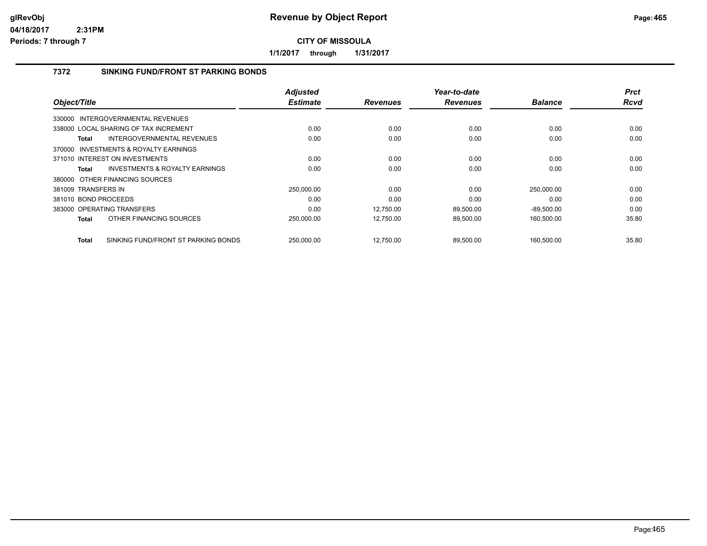**1/1/2017 through 1/31/2017**

#### **7372 SINKING FUND/FRONT ST PARKING BONDS**

|                                                     | <b>Adjusted</b> |                 | Year-to-date    |                | <b>Prct</b> |
|-----------------------------------------------------|-----------------|-----------------|-----------------|----------------|-------------|
| Object/Title                                        | <b>Estimate</b> | <b>Revenues</b> | <b>Revenues</b> | <b>Balance</b> | <b>Rcvd</b> |
| 330000 INTERGOVERNMENTAL REVENUES                   |                 |                 |                 |                |             |
| 338000 LOCAL SHARING OF TAX INCREMENT               | 0.00            | 0.00            | 0.00            | 0.00           | 0.00        |
| INTERGOVERNMENTAL REVENUES<br><b>Total</b>          | 0.00            | 0.00            | 0.00            | 0.00           | 0.00        |
| 370000 INVESTMENTS & ROYALTY EARNINGS               |                 |                 |                 |                |             |
| 371010 INTEREST ON INVESTMENTS                      | 0.00            | 0.00            | 0.00            | 0.00           | 0.00        |
| INVESTMENTS & ROYALTY EARNINGS<br>Total             | 0.00            | 0.00            | 0.00            | 0.00           | 0.00        |
| 380000 OTHER FINANCING SOURCES                      |                 |                 |                 |                |             |
| 381009 TRANSFERS IN                                 | 250,000.00      | 0.00            | 0.00            | 250,000.00     | 0.00        |
| 381010 BOND PROCEEDS                                | 0.00            | 0.00            | 0.00            | 0.00           | 0.00        |
| 383000 OPERATING TRANSFERS                          | 0.00            | 12.750.00       | 89,500.00       | $-89,500.00$   | 0.00        |
| OTHER FINANCING SOURCES<br><b>Total</b>             | 250,000.00      | 12,750.00       | 89,500.00       | 160,500.00     | 35.80       |
| SINKING FUND/FRONT ST PARKING BONDS<br><b>Total</b> | 250,000.00      | 12,750.00       | 89,500.00       | 160,500.00     | 35.80       |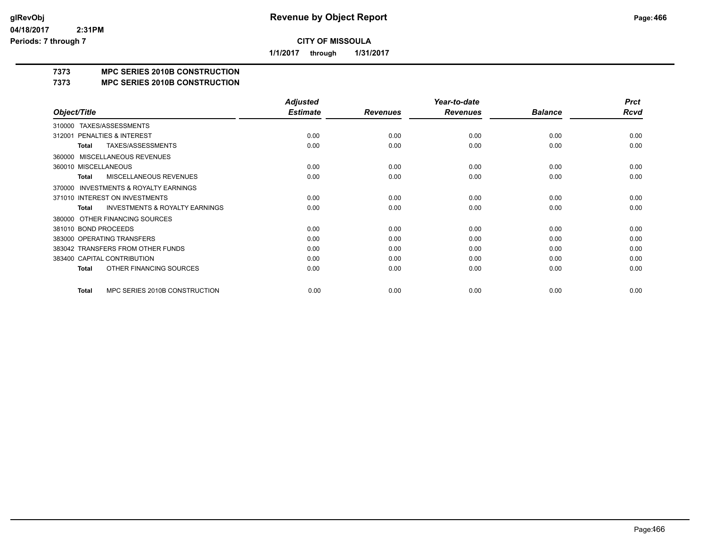**1/1/2017 through 1/31/2017**

## **7373 MPC SERIES 2010B CONSTRUCTION**

#### **7373 MPC SERIES 2010B CONSTRUCTION**

|                                                    | <b>Adjusted</b> |                 | Year-to-date    |                | <b>Prct</b> |
|----------------------------------------------------|-----------------|-----------------|-----------------|----------------|-------------|
| Object/Title                                       | <b>Estimate</b> | <b>Revenues</b> | <b>Revenues</b> | <b>Balance</b> | <b>Rcvd</b> |
| 310000 TAXES/ASSESSMENTS                           |                 |                 |                 |                |             |
| <b>PENALTIES &amp; INTEREST</b><br>312001          | 0.00            | 0.00            | 0.00            | 0.00           | 0.00        |
| TAXES/ASSESSMENTS<br><b>Total</b>                  | 0.00            | 0.00            | 0.00            | 0.00           | 0.00        |
| 360000 MISCELLANEOUS REVENUES                      |                 |                 |                 |                |             |
| 360010 MISCELLANEOUS                               | 0.00            | 0.00            | 0.00            | 0.00           | 0.00        |
| <b>MISCELLANEOUS REVENUES</b><br><b>Total</b>      | 0.00            | 0.00            | 0.00            | 0.00           | 0.00        |
| INVESTMENTS & ROYALTY EARNINGS<br>370000           |                 |                 |                 |                |             |
| 371010 INTEREST ON INVESTMENTS                     | 0.00            | 0.00            | 0.00            | 0.00           | 0.00        |
| <b>INVESTMENTS &amp; ROYALTY EARNINGS</b><br>Total | 0.00            | 0.00            | 0.00            | 0.00           | 0.00        |
| OTHER FINANCING SOURCES<br>380000                  |                 |                 |                 |                |             |
| 381010 BOND PROCEEDS                               | 0.00            | 0.00            | 0.00            | 0.00           | 0.00        |
| 383000 OPERATING TRANSFERS                         | 0.00            | 0.00            | 0.00            | 0.00           | 0.00        |
| 383042 TRANSFERS FROM OTHER FUNDS                  | 0.00            | 0.00            | 0.00            | 0.00           | 0.00        |
| 383400 CAPITAL CONTRIBUTION                        | 0.00            | 0.00            | 0.00            | 0.00           | 0.00        |
| OTHER FINANCING SOURCES<br><b>Total</b>            | 0.00            | 0.00            | 0.00            | 0.00           | 0.00        |
|                                                    |                 |                 |                 |                |             |
| MPC SERIES 2010B CONSTRUCTION<br><b>Total</b>      | 0.00            | 0.00            | 0.00            | 0.00           | 0.00        |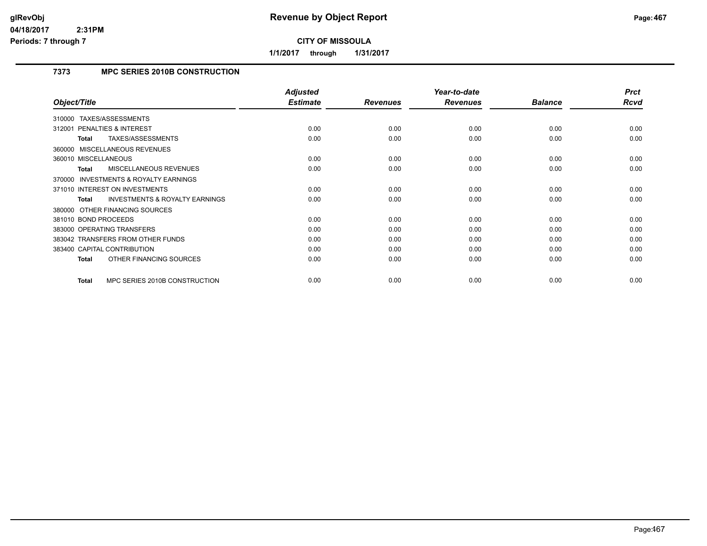**1/1/2017 through 1/31/2017**

#### **7373 MPC SERIES 2010B CONSTRUCTION**

|                                                     | <b>Adjusted</b> |                 | Year-to-date    |                | <b>Prct</b> |
|-----------------------------------------------------|-----------------|-----------------|-----------------|----------------|-------------|
| Object/Title                                        | <b>Estimate</b> | <b>Revenues</b> | <b>Revenues</b> | <b>Balance</b> | <b>Rcvd</b> |
| TAXES/ASSESSMENTS<br>310000                         |                 |                 |                 |                |             |
| 312001 PENALTIES & INTEREST                         | 0.00            | 0.00            | 0.00            | 0.00           | 0.00        |
| TAXES/ASSESSMENTS<br><b>Total</b>                   | 0.00            | 0.00            | 0.00            | 0.00           | 0.00        |
| 360000 MISCELLANEOUS REVENUES                       |                 |                 |                 |                |             |
| 360010 MISCELLANEOUS                                | 0.00            | 0.00            | 0.00            | 0.00           | 0.00        |
| <b>MISCELLANEOUS REVENUES</b><br><b>Total</b>       | 0.00            | 0.00            | 0.00            | 0.00           | 0.00        |
| <b>INVESTMENTS &amp; ROYALTY EARNINGS</b><br>370000 |                 |                 |                 |                |             |
| 371010 INTEREST ON INVESTMENTS                      | 0.00            | 0.00            | 0.00            | 0.00           | 0.00        |
| <b>INVESTMENTS &amp; ROYALTY EARNINGS</b><br>Total  | 0.00            | 0.00            | 0.00            | 0.00           | 0.00        |
| 380000 OTHER FINANCING SOURCES                      |                 |                 |                 |                |             |
| 381010 BOND PROCEEDS                                | 0.00            | 0.00            | 0.00            | 0.00           | 0.00        |
| 383000 OPERATING TRANSFERS                          | 0.00            | 0.00            | 0.00            | 0.00           | 0.00        |
| 383042 TRANSFERS FROM OTHER FUNDS                   | 0.00            | 0.00            | 0.00            | 0.00           | 0.00        |
| 383400 CAPITAL CONTRIBUTION                         | 0.00            | 0.00            | 0.00            | 0.00           | 0.00        |
| OTHER FINANCING SOURCES<br><b>Total</b>             | 0.00            | 0.00            | 0.00            | 0.00           | 0.00        |
|                                                     |                 |                 |                 |                |             |
| MPC SERIES 2010B CONSTRUCTION<br><b>Total</b>       | 0.00            | 0.00            | 0.00            | 0.00           | 0.00        |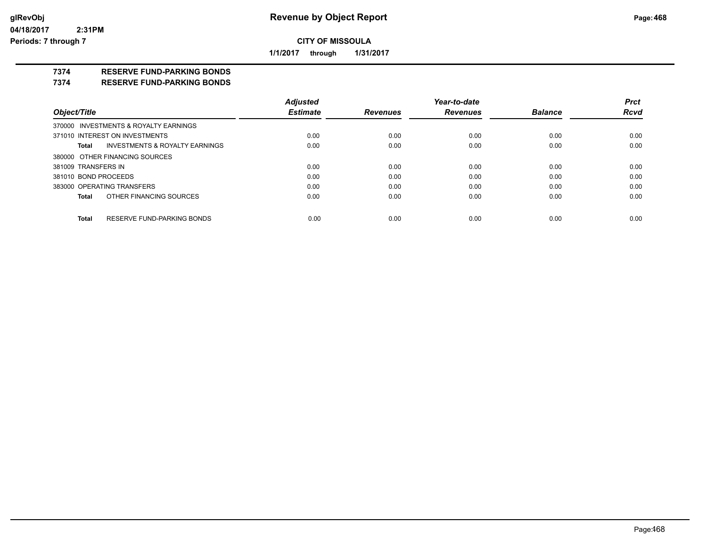**1/1/2017 through 1/31/2017**

# **7374 RESERVE FUND-PARKING BONDS**

### **7374 RESERVE FUND-PARKING BONDS**

|                                            | Adjusted<br><b>Estimate</b> |                 | Year-to-date    |                | <b>Prct</b><br><b>Rcvd</b> |
|--------------------------------------------|-----------------------------|-----------------|-----------------|----------------|----------------------------|
| Object/Title                               |                             | <b>Revenues</b> | <b>Revenues</b> | <b>Balance</b> |                            |
| 370000 INVESTMENTS & ROYALTY EARNINGS      |                             |                 |                 |                |                            |
| 371010 INTEREST ON INVESTMENTS             | 0.00                        | 0.00            | 0.00            | 0.00           | 0.00                       |
| INVESTMENTS & ROYALTY EARNINGS<br>Total    | 0.00                        | 0.00            | 0.00            | 0.00           | 0.00                       |
| 380000 OTHER FINANCING SOURCES             |                             |                 |                 |                |                            |
| 381009 TRANSFERS IN                        | 0.00                        | 0.00            | 0.00            | 0.00           | 0.00                       |
| 381010 BOND PROCEEDS                       | 0.00                        | 0.00            | 0.00            | 0.00           | 0.00                       |
| 383000 OPERATING TRANSFERS                 | 0.00                        | 0.00            | 0.00            | 0.00           | 0.00                       |
| OTHER FINANCING SOURCES<br>Total           | 0.00                        | 0.00            | 0.00            | 0.00           | 0.00                       |
| <b>Total</b><br>RESERVE FUND-PARKING BONDS | 0.00                        | 0.00            | 0.00            | 0.00           | 0.00                       |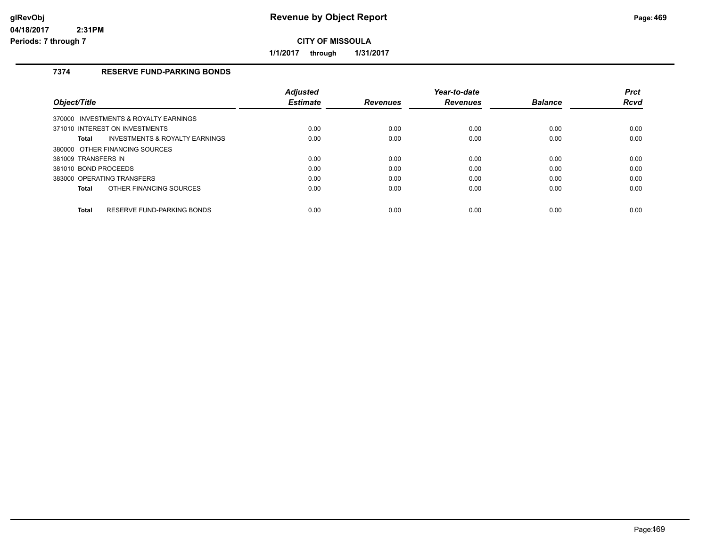**1/1/2017 through 1/31/2017**

#### **7374 RESERVE FUND-PARKING BONDS**

|                                            | <b>Adjusted</b> |                 | Year-to-date    |                | <b>Prct</b> |
|--------------------------------------------|-----------------|-----------------|-----------------|----------------|-------------|
| Object/Title                               | <b>Estimate</b> | <b>Revenues</b> | <b>Revenues</b> | <b>Balance</b> | <b>Rcvd</b> |
| INVESTMENTS & ROYALTY EARNINGS<br>370000   |                 |                 |                 |                |             |
| 371010 INTEREST ON INVESTMENTS             | 0.00            | 0.00            | 0.00            | 0.00           | 0.00        |
| INVESTMENTS & ROYALTY EARNINGS<br>Total    | 0.00            | 0.00            | 0.00            | 0.00           | 0.00        |
| 380000 OTHER FINANCING SOURCES             |                 |                 |                 |                |             |
| 381009 TRANSFERS IN                        | 0.00            | 0.00            | 0.00            | 0.00           | 0.00        |
| 381010 BOND PROCEEDS                       | 0.00            | 0.00            | 0.00            | 0.00           | 0.00        |
| 383000 OPERATING TRANSFERS                 | 0.00            | 0.00            | 0.00            | 0.00           | 0.00        |
| <b>Total</b><br>OTHER FINANCING SOURCES    | 0.00            | 0.00            | 0.00            | 0.00           | 0.00        |
| RESERVE FUND-PARKING BONDS<br><b>Total</b> | 0.00            | 0.00            | 0.00            | 0.00           | 0.00        |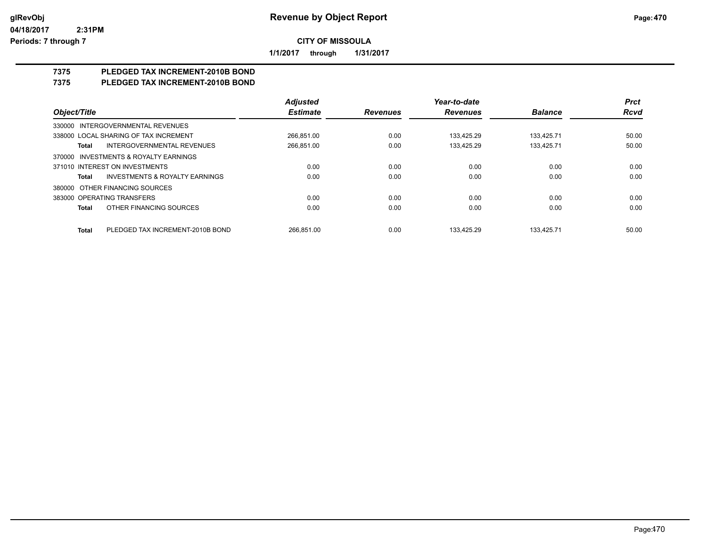**1/1/2017 through 1/31/2017**

#### **7375 PLEDGED TAX INCREMENT-2010B BOND 7375 PLEDGED TAX INCREMENT-2010B BOND**

| Object/Title                                       | <b>Adjusted</b><br><b>Estimate</b> | <b>Revenues</b> | Year-to-date<br><b>Revenues</b> | <b>Balance</b> | <b>Prct</b><br>Rcvd |
|----------------------------------------------------|------------------------------------|-----------------|---------------------------------|----------------|---------------------|
|                                                    |                                    |                 |                                 |                |                     |
| 330000 INTERGOVERNMENTAL REVENUES                  |                                    |                 |                                 |                |                     |
| 338000 LOCAL SHARING OF TAX INCREMENT              | 266.851.00                         | 0.00            | 133.425.29                      | 133.425.71     | 50.00               |
| INTERGOVERNMENTAL REVENUES<br>Total                | 266.851.00                         | 0.00            | 133.425.29                      | 133.425.71     | 50.00               |
| 370000 INVESTMENTS & ROYALTY EARNINGS              |                                    |                 |                                 |                |                     |
| 371010 INTEREST ON INVESTMENTS                     | 0.00                               | 0.00            | 0.00                            | 0.00           | 0.00                |
| <b>INVESTMENTS &amp; ROYALTY EARNINGS</b><br>Total | 0.00                               | 0.00            | 0.00                            | 0.00           | 0.00                |
| 380000 OTHER FINANCING SOURCES                     |                                    |                 |                                 |                |                     |
| 383000 OPERATING TRANSFERS                         | 0.00                               | 0.00            | 0.00                            | 0.00           | 0.00                |
| OTHER FINANCING SOURCES<br>Total                   | 0.00                               | 0.00            | 0.00                            | 0.00           | 0.00                |
|                                                    |                                    |                 |                                 |                |                     |
| PLEDGED TAX INCREMENT-2010B BOND<br>Total          | 266.851.00                         | 0.00            | 133.425.29                      | 133.425.71     | 50.00               |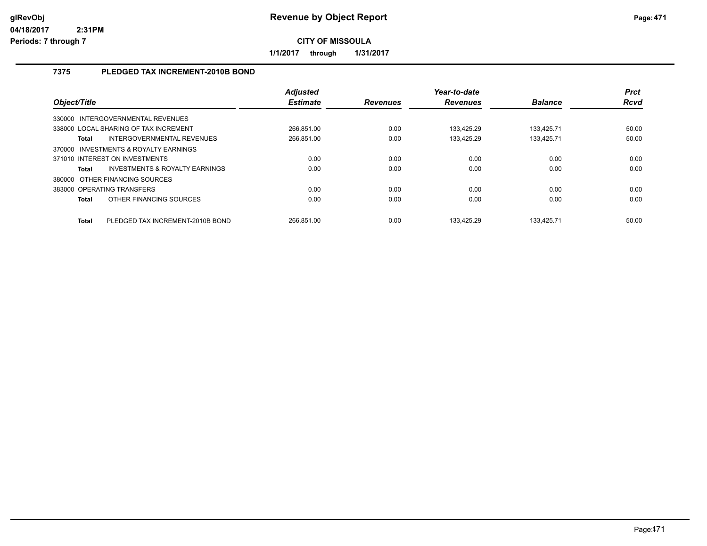**1/1/2017 through 1/31/2017**

#### **7375 PLEDGED TAX INCREMENT-2010B BOND**

| Object/Title |                                       | <b>Adjusted</b><br><b>Estimate</b> | <b>Revenues</b> | Year-to-date<br><b>Revenues</b> | <b>Balance</b> | <b>Prct</b><br><b>Rcvd</b> |
|--------------|---------------------------------------|------------------------------------|-----------------|---------------------------------|----------------|----------------------------|
| 330000       | INTERGOVERNMENTAL REVENUES            |                                    |                 |                                 |                |                            |
|              | 338000 LOCAL SHARING OF TAX INCREMENT | 266,851.00                         | 0.00            | 133.425.29                      | 133.425.71     | 50.00                      |
| Total        | INTERGOVERNMENTAL REVENUES            | 266.851.00                         | 0.00            | 133.425.29                      | 133.425.71     | 50.00                      |
| 370000       | INVESTMENTS & ROYALTY EARNINGS        |                                    |                 |                                 |                |                            |
|              | 371010 INTEREST ON INVESTMENTS        | 0.00                               | 0.00            | 0.00                            | 0.00           | 0.00                       |
| Total        | INVESTMENTS & ROYALTY EARNINGS        | 0.00                               | 0.00            | 0.00                            | 0.00           | 0.00                       |
|              | 380000 OTHER FINANCING SOURCES        |                                    |                 |                                 |                |                            |
|              | 383000 OPERATING TRANSFERS            | 0.00                               | 0.00            | 0.00                            | 0.00           | 0.00                       |
| Total        | OTHER FINANCING SOURCES               | 0.00                               | 0.00            | 0.00                            | 0.00           | 0.00                       |
| Total        | PLEDGED TAX INCREMENT-2010B BOND      | 266.851.00                         | 0.00            | 133.425.29                      | 133.425.71     | 50.00                      |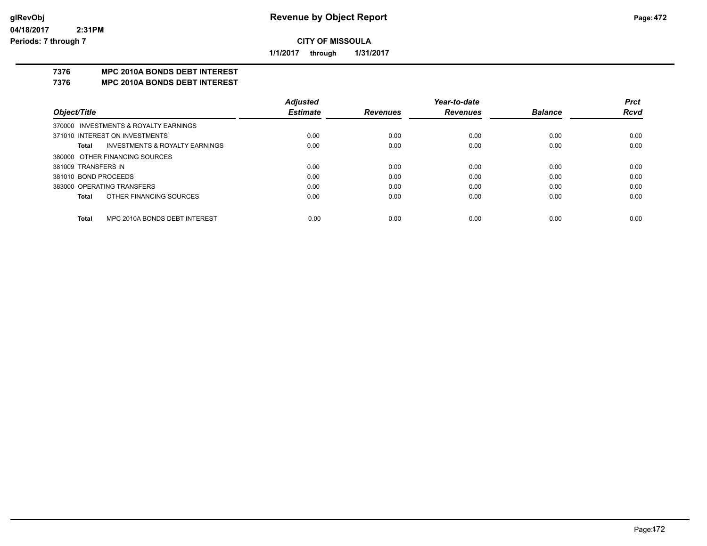**1/1/2017 through 1/31/2017**

#### **7376 MPC 2010A BONDS DEBT INTEREST 7376 MPC 2010A BONDS DEBT INTEREST**

|                                               | <b>Adjusted</b> |                 | Year-to-date    |                | <b>Prct</b> |
|-----------------------------------------------|-----------------|-----------------|-----------------|----------------|-------------|
| Object/Title                                  | <b>Estimate</b> | <b>Revenues</b> | <b>Revenues</b> | <b>Balance</b> | <b>Rcvd</b> |
| 370000 INVESTMENTS & ROYALTY EARNINGS         |                 |                 |                 |                |             |
| 371010 INTEREST ON INVESTMENTS                | 0.00            | 0.00            | 0.00            | 0.00           | 0.00        |
| INVESTMENTS & ROYALTY EARNINGS<br>Total       | 0.00            | 0.00            | 0.00            | 0.00           | 0.00        |
| 380000 OTHER FINANCING SOURCES                |                 |                 |                 |                |             |
| 381009 TRANSFERS IN                           | 0.00            | 0.00            | 0.00            | 0.00           | 0.00        |
| 381010 BOND PROCEEDS                          | 0.00            | 0.00            | 0.00            | 0.00           | 0.00        |
| 383000 OPERATING TRANSFERS                    | 0.00            | 0.00            | 0.00            | 0.00           | 0.00        |
| OTHER FINANCING SOURCES<br>Total              | 0.00            | 0.00            | 0.00            | 0.00           | 0.00        |
| MPC 2010A BONDS DEBT INTEREST<br><b>Total</b> | 0.00            | 0.00            | 0.00            | 0.00           | 0.00        |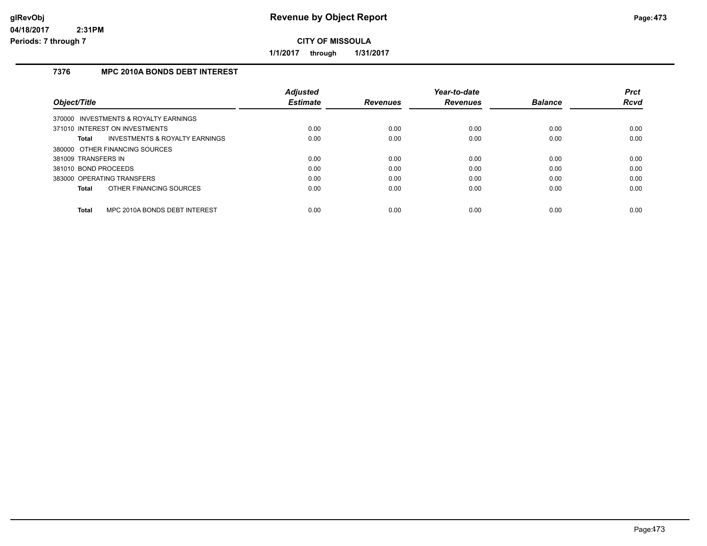**1/1/2017 through 1/31/2017**

#### **7376 MPC 2010A BONDS DEBT INTEREST**

|                                         | <b>Adiusted</b> |                 | Year-to-date    |                | <b>Prct</b> |
|-----------------------------------------|-----------------|-----------------|-----------------|----------------|-------------|
| Object/Title                            | <b>Estimate</b> | <b>Revenues</b> | <b>Revenues</b> | <b>Balance</b> | <b>Rcvd</b> |
| 370000 INVESTMENTS & ROYALTY EARNINGS   |                 |                 |                 |                |             |
| 371010 INTEREST ON INVESTMENTS          | 0.00            | 0.00            | 0.00            | 0.00           | 0.00        |
| INVESTMENTS & ROYALTY EARNINGS<br>Total | 0.00            | 0.00            | 0.00            | 0.00           | 0.00        |
| 380000 OTHER FINANCING SOURCES          |                 |                 |                 |                |             |
| 381009 TRANSFERS IN                     | 0.00            | 0.00            | 0.00            | 0.00           | 0.00        |
| 381010 BOND PROCEEDS                    | 0.00            | 0.00            | 0.00            | 0.00           | 0.00        |
| 383000 OPERATING TRANSFERS              | 0.00            | 0.00            | 0.00            | 0.00           | 0.00        |
| OTHER FINANCING SOURCES<br>Total        | 0.00            | 0.00            | 0.00            | 0.00           | 0.00        |
| MPC 2010A BONDS DEBT INTEREST<br>Total  | 0.00            | 0.00            | 0.00            | 0.00           | 0.00        |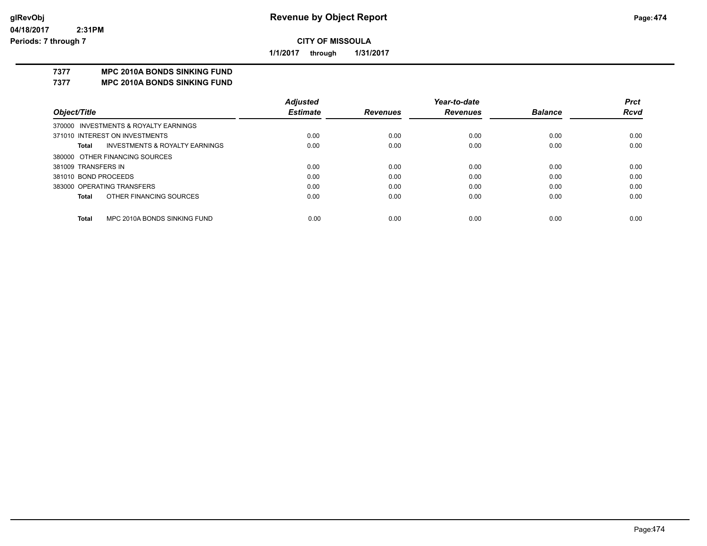**1/1/2017 through 1/31/2017**

# **7377 MPC 2010A BONDS SINKING FUND**

**7377 MPC 2010A BONDS SINKING FUND**

|                                              | <b>Adjusted</b> |                 | Year-to-date    |                | <b>Prct</b> |
|----------------------------------------------|-----------------|-----------------|-----------------|----------------|-------------|
| Object/Title                                 | <b>Estimate</b> | <b>Revenues</b> | <b>Revenues</b> | <b>Balance</b> | Rcvd        |
| 370000 INVESTMENTS & ROYALTY EARNINGS        |                 |                 |                 |                |             |
| 371010 INTEREST ON INVESTMENTS               | 0.00            | 0.00            | 0.00            | 0.00           | 0.00        |
| INVESTMENTS & ROYALTY EARNINGS<br>Total      | 0.00            | 0.00            | 0.00            | 0.00           | 0.00        |
| 380000 OTHER FINANCING SOURCES               |                 |                 |                 |                |             |
| 381009 TRANSFERS IN                          | 0.00            | 0.00            | 0.00            | 0.00           | 0.00        |
| 381010 BOND PROCEEDS                         | 0.00            | 0.00            | 0.00            | 0.00           | 0.00        |
| 383000 OPERATING TRANSFERS                   | 0.00            | 0.00            | 0.00            | 0.00           | 0.00        |
| OTHER FINANCING SOURCES<br><b>Total</b>      | 0.00            | 0.00            | 0.00            | 0.00           | 0.00        |
| MPC 2010A BONDS SINKING FUND<br><b>Total</b> | 0.00            | 0.00            | 0.00            | 0.00           | 0.00        |
|                                              |                 |                 |                 |                |             |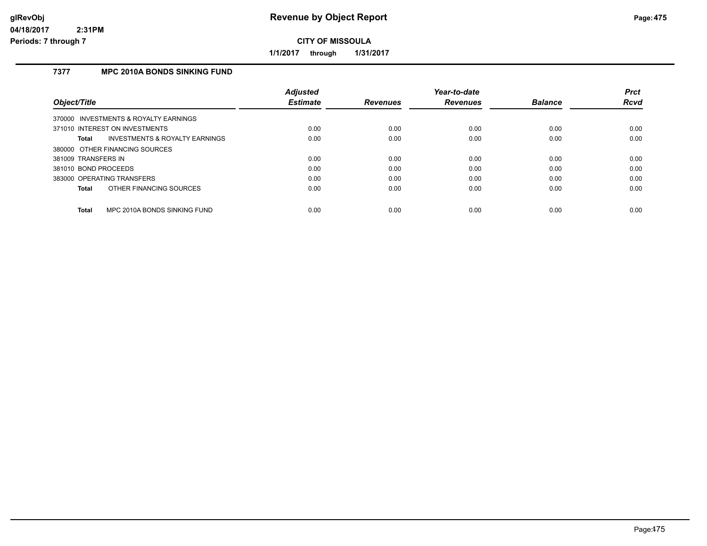**1/1/2017 through 1/31/2017**

#### **7377 MPC 2010A BONDS SINKING FUND**

|                                                    | <b>Adjusted</b> |                 | Year-to-date    |                | <b>Prct</b> |
|----------------------------------------------------|-----------------|-----------------|-----------------|----------------|-------------|
| Object/Title                                       | <b>Estimate</b> | <b>Revenues</b> | <b>Revenues</b> | <b>Balance</b> | <b>Rcvd</b> |
| 370000 INVESTMENTS & ROYALTY EARNINGS              |                 |                 |                 |                |             |
| 371010 INTEREST ON INVESTMENTS                     | 0.00            | 0.00            | 0.00            | 0.00           | 0.00        |
| <b>INVESTMENTS &amp; ROYALTY EARNINGS</b><br>Total | 0.00            | 0.00            | 0.00            | 0.00           | 0.00        |
| 380000 OTHER FINANCING SOURCES                     |                 |                 |                 |                |             |
| 381009 TRANSFERS IN                                | 0.00            | 0.00            | 0.00            | 0.00           | 0.00        |
| 381010 BOND PROCEEDS                               | 0.00            | 0.00            | 0.00            | 0.00           | 0.00        |
| 383000 OPERATING TRANSFERS                         | 0.00            | 0.00            | 0.00            | 0.00           | 0.00        |
| Total<br>OTHER FINANCING SOURCES                   | 0.00            | 0.00            | 0.00            | 0.00           | 0.00        |
| MPC 2010A BONDS SINKING FUND<br><b>Total</b>       | 0.00            | 0.00            | 0.00            | 0.00           | 0.00        |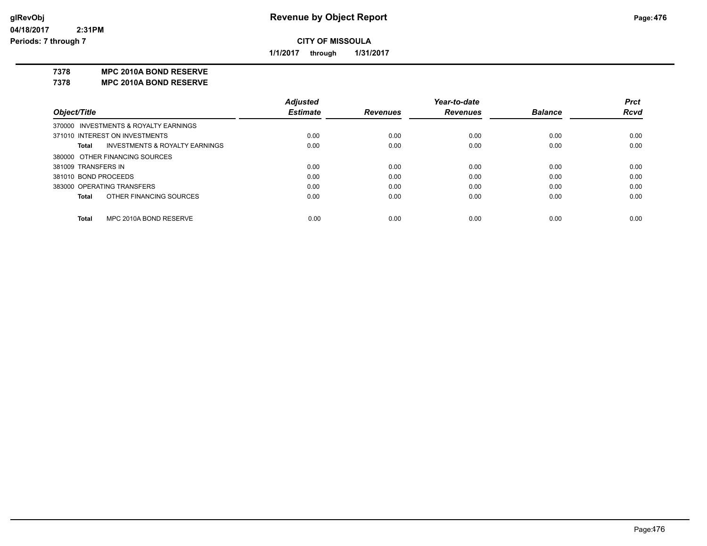**1/1/2017 through 1/31/2017**

**7378 MPC 2010A BOND RESERVE**

**7378 MPC 2010A BOND RESERVE**

|                                         | <b>Adjusted</b> |                 | Year-to-date    |                | <b>Prct</b> |
|-----------------------------------------|-----------------|-----------------|-----------------|----------------|-------------|
| Object/Title                            | <b>Estimate</b> | <b>Revenues</b> | <b>Revenues</b> | <b>Balance</b> | <b>Rcvd</b> |
| 370000 INVESTMENTS & ROYALTY EARNINGS   |                 |                 |                 |                |             |
| 371010 INTEREST ON INVESTMENTS          | 0.00            | 0.00            | 0.00            | 0.00           | 0.00        |
| INVESTMENTS & ROYALTY EARNINGS<br>Total | 0.00            | 0.00            | 0.00            | 0.00           | 0.00        |
| 380000 OTHER FINANCING SOURCES          |                 |                 |                 |                |             |
| 381009 TRANSFERS IN                     | 0.00            | 0.00            | 0.00            | 0.00           | 0.00        |
| 381010 BOND PROCEEDS                    | 0.00            | 0.00            | 0.00            | 0.00           | 0.00        |
| 383000 OPERATING TRANSFERS              | 0.00            | 0.00            | 0.00            | 0.00           | 0.00        |
| OTHER FINANCING SOURCES<br>Total        | 0.00            | 0.00            | 0.00            | 0.00           | 0.00        |
| MPC 2010A BOND RESERVE<br><b>Total</b>  | 0.00            | 0.00            | 0.00            | 0.00           | 0.00        |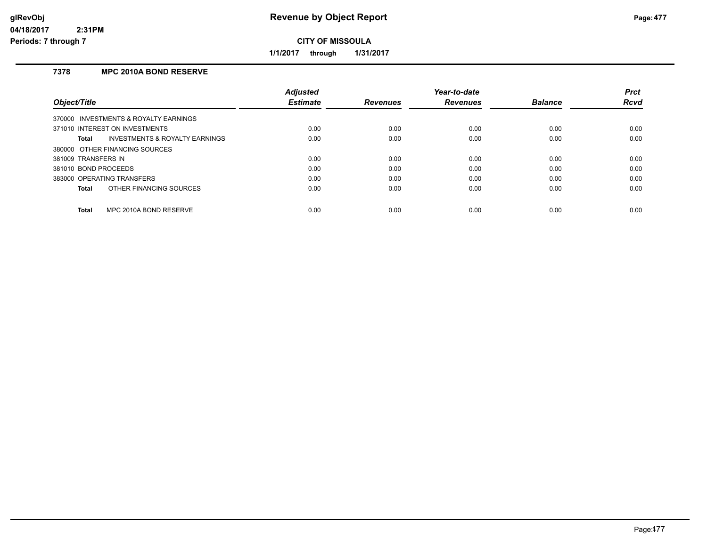**1/1/2017 through 1/31/2017**

#### **7378 MPC 2010A BOND RESERVE**

|                                                    | <b>Adiusted</b> |                 | Year-to-date    |                | <b>Prct</b> |
|----------------------------------------------------|-----------------|-----------------|-----------------|----------------|-------------|
| Object/Title                                       | <b>Estimate</b> | <b>Revenues</b> | <b>Revenues</b> | <b>Balance</b> | <b>Rcvd</b> |
| 370000 INVESTMENTS & ROYALTY EARNINGS              |                 |                 |                 |                |             |
| 371010 INTEREST ON INVESTMENTS                     | 0.00            | 0.00            | 0.00            | 0.00           | 0.00        |
| <b>INVESTMENTS &amp; ROYALTY EARNINGS</b><br>Total | 0.00            | 0.00            | 0.00            | 0.00           | 0.00        |
| 380000 OTHER FINANCING SOURCES                     |                 |                 |                 |                |             |
| 381009 TRANSFERS IN                                | 0.00            | 0.00            | 0.00            | 0.00           | 0.00        |
| 381010 BOND PROCEEDS                               | 0.00            | 0.00            | 0.00            | 0.00           | 0.00        |
| 383000 OPERATING TRANSFERS                         | 0.00            | 0.00            | 0.00            | 0.00           | 0.00        |
| OTHER FINANCING SOURCES<br>Total                   | 0.00            | 0.00            | 0.00            | 0.00           | 0.00        |
|                                                    |                 |                 |                 |                |             |
| MPC 2010A BOND RESERVE<br>Total                    | 0.00            | 0.00            | 0.00            | 0.00           | 0.00        |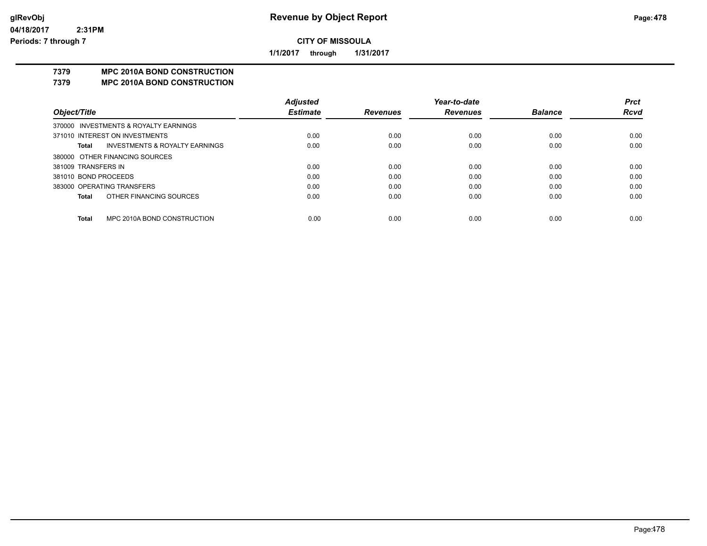**1/1/2017 through 1/31/2017**

# **7379 MPC 2010A BOND CONSTRUCTION**

# **7379 MPC 2010A BOND CONSTRUCTION**

|                                       |                                | <b>Adjusted</b> |                 | Year-to-date    |                | <b>Prct</b> |
|---------------------------------------|--------------------------------|-----------------|-----------------|-----------------|----------------|-------------|
| Object/Title                          |                                | <b>Estimate</b> | <b>Revenues</b> | <b>Revenues</b> | <b>Balance</b> | <b>Rcvd</b> |
| 370000 INVESTMENTS & ROYALTY EARNINGS |                                |                 |                 |                 |                |             |
| 371010 INTEREST ON INVESTMENTS        |                                | 0.00            | 0.00            | 0.00            | 0.00           | 0.00        |
| Total                                 | INVESTMENTS & ROYALTY EARNINGS | 0.00            | 0.00            | 0.00            | 0.00           | 0.00        |
| 380000 OTHER FINANCING SOURCES        |                                |                 |                 |                 |                |             |
| 381009 TRANSFERS IN                   |                                | 0.00            | 0.00            | 0.00            | 0.00           | 0.00        |
| 381010 BOND PROCEEDS                  |                                | 0.00            | 0.00            | 0.00            | 0.00           | 0.00        |
| 383000 OPERATING TRANSFERS            |                                | 0.00            | 0.00            | 0.00            | 0.00           | 0.00        |
| Total                                 | OTHER FINANCING SOURCES        | 0.00            | 0.00            | 0.00            | 0.00           | 0.00        |
|                                       |                                |                 |                 |                 |                |             |
| <b>Total</b>                          | MPC 2010A BOND CONSTRUCTION    | 0.00            | 0.00            | 0.00            | 0.00           | 0.00        |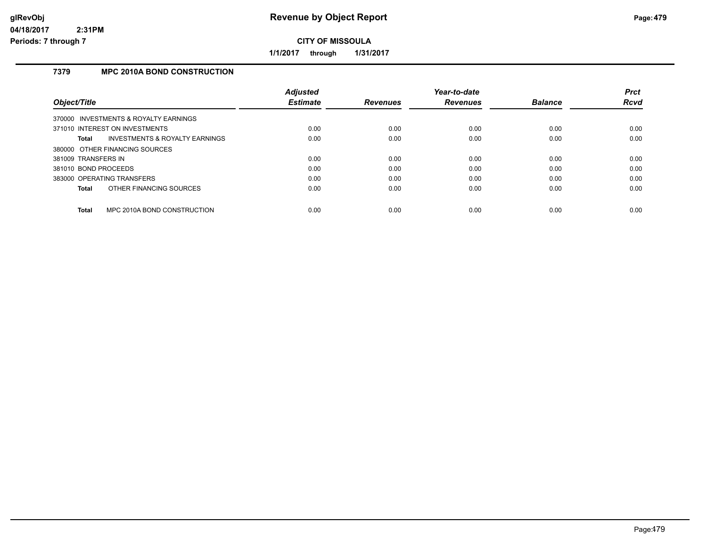**1/1/2017 through 1/31/2017**

#### **7379 MPC 2010A BOND CONSTRUCTION**

|                                         | <b>Adiusted</b> |                 | Year-to-date    |                | <b>Prct</b> |
|-----------------------------------------|-----------------|-----------------|-----------------|----------------|-------------|
| Object/Title                            | <b>Estimate</b> | <b>Revenues</b> | <b>Revenues</b> | <b>Balance</b> | <b>Rcvd</b> |
| 370000 INVESTMENTS & ROYALTY EARNINGS   |                 |                 |                 |                |             |
| 371010 INTEREST ON INVESTMENTS          | 0.00            | 0.00            | 0.00            | 0.00           | 0.00        |
| INVESTMENTS & ROYALTY EARNINGS<br>Total | 0.00            | 0.00            | 0.00            | 0.00           | 0.00        |
| 380000 OTHER FINANCING SOURCES          |                 |                 |                 |                |             |
| 381009 TRANSFERS IN                     | 0.00            | 0.00            | 0.00            | 0.00           | 0.00        |
| 381010 BOND PROCEEDS                    | 0.00            | 0.00            | 0.00            | 0.00           | 0.00        |
| 383000 OPERATING TRANSFERS              | 0.00            | 0.00            | 0.00            | 0.00           | 0.00        |
| OTHER FINANCING SOURCES<br>Total        | 0.00            | 0.00            | 0.00            | 0.00           | 0.00        |
| MPC 2010A BOND CONSTRUCTION<br>Total    | 0.00            | 0.00            | 0.00            | 0.00           | 0.00        |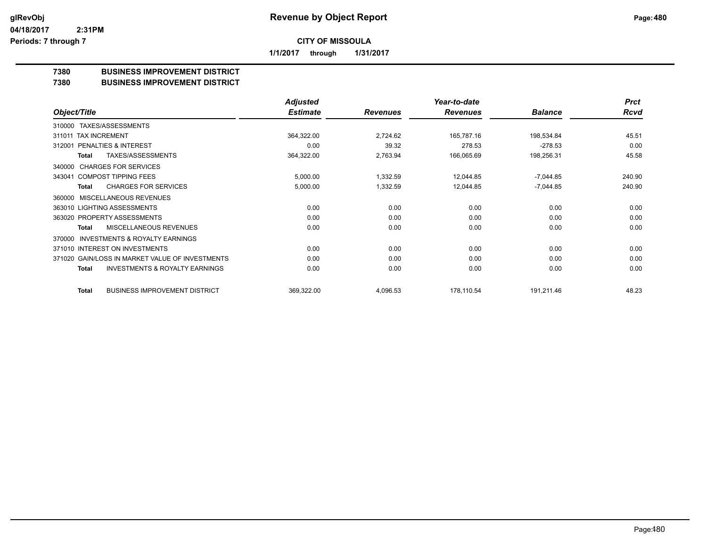**1/1/2017 through 1/31/2017**

# **7380 BUSINESS IMPROVEMENT DISTRICT**

## **7380 BUSINESS IMPROVEMENT DISTRICT**

|                                                           | <b>Adjusted</b> |                 | Year-to-date    |                | <b>Prct</b> |
|-----------------------------------------------------------|-----------------|-----------------|-----------------|----------------|-------------|
| Object/Title                                              | <b>Estimate</b> | <b>Revenues</b> | <b>Revenues</b> | <b>Balance</b> | <b>Rcvd</b> |
| TAXES/ASSESSMENTS<br>310000                               |                 |                 |                 |                |             |
| <b>TAX INCREMENT</b><br>311011                            | 364,322.00      | 2,724.62        | 165,787.16      | 198,534.84     | 45.51       |
| PENALTIES & INTEREST<br>312001                            | 0.00            | 39.32           | 278.53          | $-278.53$      | 0.00        |
| TAXES/ASSESSMENTS<br><b>Total</b>                         | 364,322.00      | 2,763.94        | 166,065.69      | 198,256.31     | 45.58       |
| <b>CHARGES FOR SERVICES</b><br>340000                     |                 |                 |                 |                |             |
| <b>COMPOST TIPPING FEES</b><br>343041                     | 5,000.00        | 1,332.59        | 12,044.85       | $-7,044.85$    | 240.90      |
| <b>CHARGES FOR SERVICES</b><br><b>Total</b>               | 5,000.00        | 1,332.59        | 12,044.85       | $-7,044.85$    | 240.90      |
| MISCELLANEOUS REVENUES<br>360000                          |                 |                 |                 |                |             |
| 363010 LIGHTING ASSESSMENTS                               | 0.00            | 0.00            | 0.00            | 0.00           | 0.00        |
| 363020 PROPERTY ASSESSMENTS                               | 0.00            | 0.00            | 0.00            | 0.00           | 0.00        |
| <b>MISCELLANEOUS REVENUES</b><br><b>Total</b>             | 0.00            | 0.00            | 0.00            | 0.00           | 0.00        |
| <b>INVESTMENTS &amp; ROYALTY EARNINGS</b><br>370000       |                 |                 |                 |                |             |
| 371010 INTEREST ON INVESTMENTS                            | 0.00            | 0.00            | 0.00            | 0.00           | 0.00        |
| 371020 GAIN/LOSS IN MARKET VALUE OF INVESTMENTS           | 0.00            | 0.00            | 0.00            | 0.00           | 0.00        |
| <b>INVESTMENTS &amp; ROYALTY EARNINGS</b><br><b>Total</b> | 0.00            | 0.00            | 0.00            | 0.00           | 0.00        |
| <b>BUSINESS IMPROVEMENT DISTRICT</b><br><b>Total</b>      | 369,322.00      | 4,096.53        | 178,110.54      | 191,211.46     | 48.23       |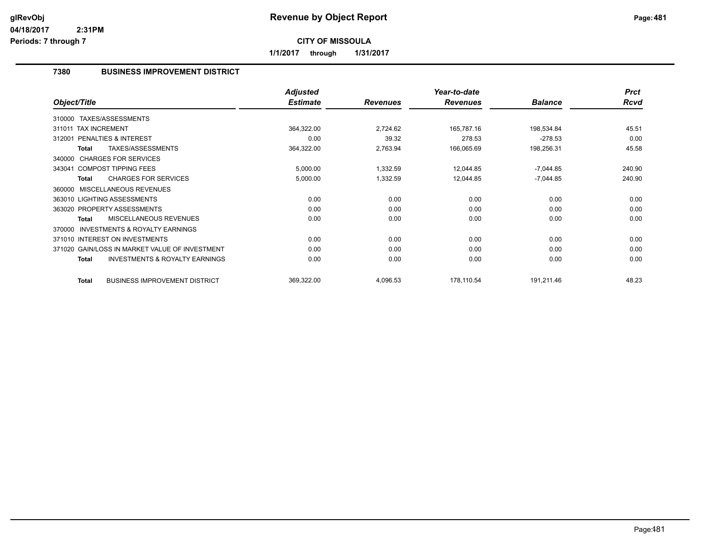**1/1/2017 through 1/31/2017**

#### **7380 BUSINESS IMPROVEMENT DISTRICT**

|                                                           | <b>Adjusted</b> |                 | Year-to-date    |                | <b>Prct</b> |
|-----------------------------------------------------------|-----------------|-----------------|-----------------|----------------|-------------|
| Object/Title                                              | <b>Estimate</b> | <b>Revenues</b> | <b>Revenues</b> | <b>Balance</b> | <b>Rcvd</b> |
| 310000 TAXES/ASSESSMENTS                                  |                 |                 |                 |                |             |
| <b>TAX INCREMENT</b><br>311011                            | 364,322.00      | 2,724.62        | 165,787.16      | 198,534.84     | 45.51       |
| PENALTIES & INTEREST<br>312001                            | 0.00            | 39.32           | 278.53          | $-278.53$      | 0.00        |
| TAXES/ASSESSMENTS<br>Total                                | 364,322.00      | 2,763.94        | 166,065.69      | 198,256.31     | 45.58       |
| 340000 CHARGES FOR SERVICES                               |                 |                 |                 |                |             |
| <b>COMPOST TIPPING FEES</b><br>343041                     | 5,000.00        | 1,332.59        | 12,044.85       | $-7,044.85$    | 240.90      |
| <b>CHARGES FOR SERVICES</b><br><b>Total</b>               | 5,000.00        | 1,332.59        | 12,044.85       | $-7,044.85$    | 240.90      |
| MISCELLANEOUS REVENUES<br>360000                          |                 |                 |                 |                |             |
| 363010 LIGHTING ASSESSMENTS                               | 0.00            | 0.00            | 0.00            | 0.00           | 0.00        |
| 363020 PROPERTY ASSESSMENTS                               | 0.00            | 0.00            | 0.00            | 0.00           | 0.00        |
| MISCELLANEOUS REVENUES<br>Total                           | 0.00            | 0.00            | 0.00            | 0.00           | 0.00        |
| <b>INVESTMENTS &amp; ROYALTY EARNINGS</b><br>370000       |                 |                 |                 |                |             |
| 371010 INTEREST ON INVESTMENTS                            | 0.00            | 0.00            | 0.00            | 0.00           | 0.00        |
| 371020 GAIN/LOSS IN MARKET VALUE OF INVESTMENT            | 0.00            | 0.00            | 0.00            | 0.00           | 0.00        |
| <b>INVESTMENTS &amp; ROYALTY EARNINGS</b><br><b>Total</b> | 0.00            | 0.00            | 0.00            | 0.00           | 0.00        |
| <b>BUSINESS IMPROVEMENT DISTRICT</b><br><b>Total</b>      | 369,322.00      | 4,096.53        | 178,110.54      | 191,211.46     | 48.23       |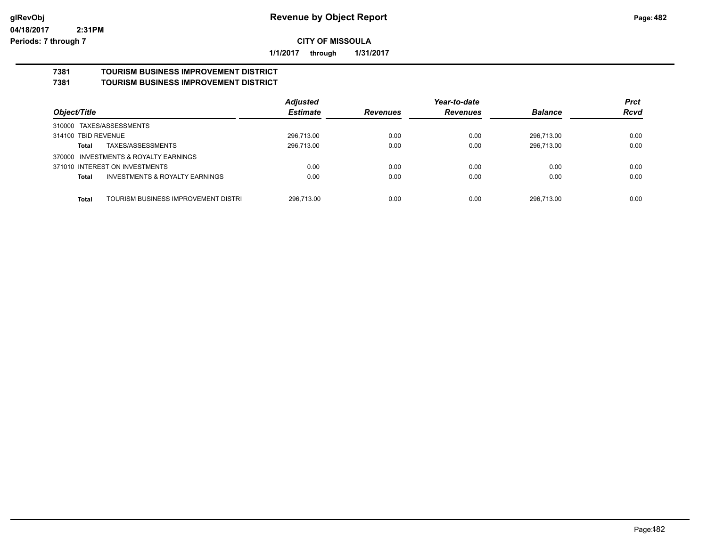**1/1/2017 through 1/31/2017**

#### **7381 TOURISM BUSINESS IMPROVEMENT DISTRICT 7381 TOURISM BUSINESS IMPROVEMENT DISTRICT**

|                                                           | <b>Adjusted</b> |                 | Year-to-date    | <b>Prct</b>    |             |
|-----------------------------------------------------------|-----------------|-----------------|-----------------|----------------|-------------|
| Object/Title                                              | <b>Estimate</b> | <b>Revenues</b> | <b>Revenues</b> | <b>Balance</b> | <b>Rcvd</b> |
| 310000 TAXES/ASSESSMENTS                                  |                 |                 |                 |                |             |
| 314100 TBID REVENUE                                       | 296.713.00      | 0.00            | 0.00            | 296.713.00     | 0.00        |
| TAXES/ASSESSMENTS<br>Total                                | 296.713.00      | 0.00            | 0.00            | 296,713.00     | 0.00        |
| 370000 INVESTMENTS & ROYALTY EARNINGS                     |                 |                 |                 |                |             |
| 371010 INTEREST ON INVESTMENTS                            | 0.00            | 0.00            | 0.00            | 0.00           | 0.00        |
| <b>INVESTMENTS &amp; ROYALTY EARNINGS</b><br><b>Total</b> | 0.00            | 0.00            | 0.00            | 0.00           | 0.00        |
| TOURISM BUSINESS IMPROVEMENT DISTRI<br>Total              | 296.713.00      | 0.00            | 0.00            | 296.713.00     | 0.00        |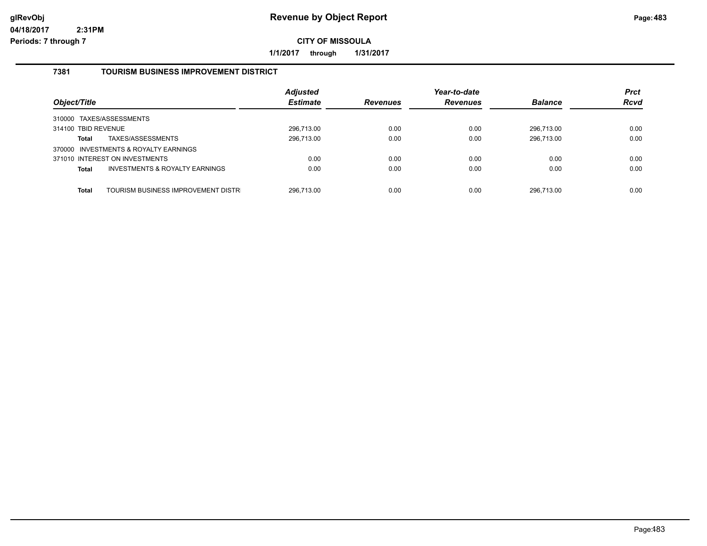**1/1/2017 through 1/31/2017**

#### **7381 TOURISM BUSINESS IMPROVEMENT DISTRICT**

|                                                           | <b>Adjusted</b><br><b>Estimate</b> | <b>Revenues</b> | Year-to-date    | <b>Balance</b> | <b>Prct</b> |
|-----------------------------------------------------------|------------------------------------|-----------------|-----------------|----------------|-------------|
| Object/Title                                              |                                    |                 | <b>Revenues</b> |                | <b>Rcvd</b> |
| 310000 TAXES/ASSESSMENTS                                  |                                    |                 |                 |                |             |
| 314100 TBID REVENUE                                       | 296.713.00                         | 0.00            | 0.00            | 296,713.00     | 0.00        |
| TAXES/ASSESSMENTS<br>Total                                | 296,713.00                         | 0.00            | 0.00            | 296,713.00     | 0.00        |
| 370000 INVESTMENTS & ROYALTY EARNINGS                     |                                    |                 |                 |                |             |
| 371010 INTEREST ON INVESTMENTS                            | 0.00                               | 0.00            | 0.00            | 0.00           | 0.00        |
| <b>INVESTMENTS &amp; ROYALTY EARNINGS</b><br><b>Total</b> | 0.00                               | 0.00            | 0.00            | 0.00           | 0.00        |
|                                                           |                                    |                 |                 |                |             |
| <b>Total</b><br>TOURISM BUSINESS IMPROVEMENT DISTR        | 296.713.00                         | 0.00            | 0.00            | 296.713.00     | 0.00        |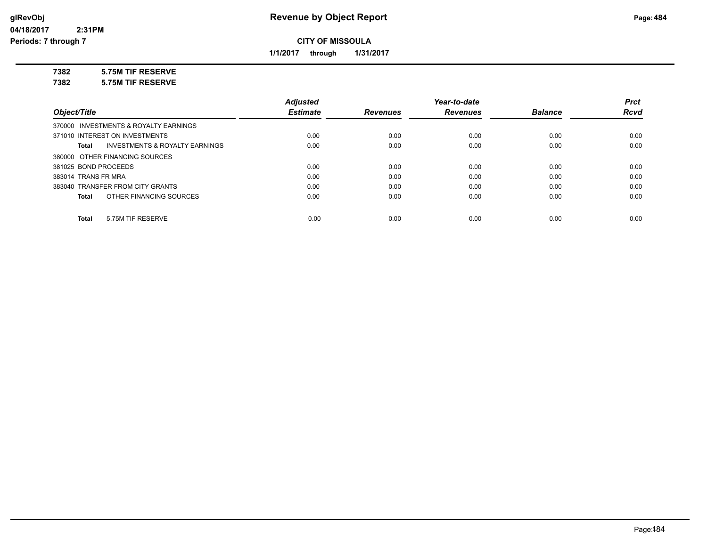**1/1/2017 through 1/31/2017**

**7382 5.75M TIF RESERVE**

| 7382 | <b>5.75M TIF RESERVE</b> |
|------|--------------------------|
|------|--------------------------|

|                                         | <b>Adjusted</b> |                 | Year-to-date    |                | <b>Prct</b> |
|-----------------------------------------|-----------------|-----------------|-----------------|----------------|-------------|
| Object/Title                            | <b>Estimate</b> | <b>Revenues</b> | <b>Revenues</b> | <b>Balance</b> | <b>Rcvd</b> |
| 370000 INVESTMENTS & ROYALTY EARNINGS   |                 |                 |                 |                |             |
| 371010 INTEREST ON INVESTMENTS          | 0.00            | 0.00            | 0.00            | 0.00           | 0.00        |
| INVESTMENTS & ROYALTY EARNINGS<br>Total | 0.00            | 0.00            | 0.00            | 0.00           | 0.00        |
| 380000 OTHER FINANCING SOURCES          |                 |                 |                 |                |             |
| 381025 BOND PROCEEDS                    | 0.00            | 0.00            | 0.00            | 0.00           | 0.00        |
| 383014 TRANS FR MRA                     | 0.00            | 0.00            | 0.00            | 0.00           | 0.00        |
| 383040 TRANSFER FROM CITY GRANTS        | 0.00            | 0.00            | 0.00            | 0.00           | 0.00        |
| OTHER FINANCING SOURCES<br><b>Total</b> | 0.00            | 0.00            | 0.00            | 0.00           | 0.00        |
| <b>Total</b><br>5.75M TIF RESERVE       | 0.00            | 0.00            | 0.00            | 0.00           | 0.00        |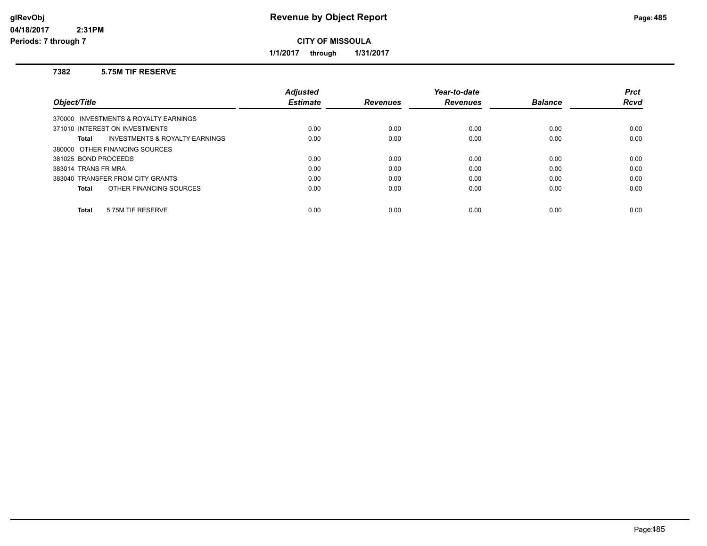**1/1/2017 through 1/31/2017**

#### **7382 5.75M TIF RESERVE**

|                                         | <b>Adiusted</b> |                 | Year-to-date    |                | <b>Prct</b> |
|-----------------------------------------|-----------------|-----------------|-----------------|----------------|-------------|
| Object/Title                            | <b>Estimate</b> | <b>Revenues</b> | <b>Revenues</b> | <b>Balance</b> | <b>Rcvd</b> |
| 370000 INVESTMENTS & ROYALTY EARNINGS   |                 |                 |                 |                |             |
| 371010 INTEREST ON INVESTMENTS          | 0.00            | 0.00            | 0.00            | 0.00           | 0.00        |
| INVESTMENTS & ROYALTY EARNINGS<br>Total | 0.00            | 0.00            | 0.00            | 0.00           | 0.00        |
| 380000 OTHER FINANCING SOURCES          |                 |                 |                 |                |             |
| 381025 BOND PROCEEDS                    | 0.00            | 0.00            | 0.00            | 0.00           | 0.00        |
| 383014 TRANS FR MRA                     | 0.00            | 0.00            | 0.00            | 0.00           | 0.00        |
| 383040 TRANSFER FROM CITY GRANTS        | 0.00            | 0.00            | 0.00            | 0.00           | 0.00        |
| <b>Total</b><br>OTHER FINANCING SOURCES | 0.00            | 0.00            | 0.00            | 0.00           | 0.00        |
|                                         |                 |                 |                 |                |             |
| 5.75M TIF RESERVE<br><b>Total</b>       | 0.00            | 0.00            | 0.00            | 0.00           | 0.00        |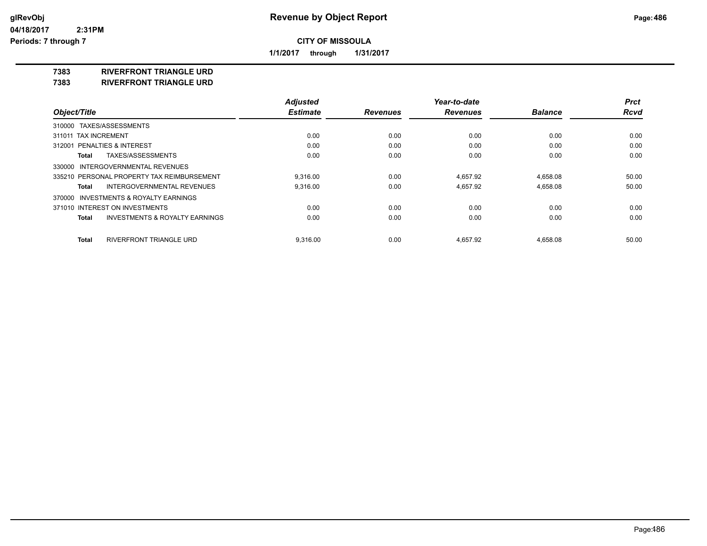**1/1/2017 through 1/31/2017**

**7383 RIVERFRONT TRIANGLE URD**

**7383 RIVERFRONT TRIANGLE URD**

|                                                    | <b>Adjusted</b> |                 | Year-to-date    |                | <b>Prct</b> |
|----------------------------------------------------|-----------------|-----------------|-----------------|----------------|-------------|
| Object/Title                                       | <b>Estimate</b> | <b>Revenues</b> | <b>Revenues</b> | <b>Balance</b> | <b>Rcvd</b> |
| 310000 TAXES/ASSESSMENTS                           |                 |                 |                 |                |             |
| 311011 TAX INCREMENT                               | 0.00            | 0.00            | 0.00            | 0.00           | 0.00        |
| 312001 PENALTIES & INTEREST                        | 0.00            | 0.00            | 0.00            | 0.00           | 0.00        |
| TAXES/ASSESSMENTS<br>Total                         | 0.00            | 0.00            | 0.00            | 0.00           | 0.00        |
| 330000 INTERGOVERNMENTAL REVENUES                  |                 |                 |                 |                |             |
| 335210 PERSONAL PROPERTY TAX REIMBURSEMENT         | 9.316.00        | 0.00            | 4,657.92        | 4,658.08       | 50.00       |
| <b>INTERGOVERNMENTAL REVENUES</b><br>Total         | 9.316.00        | 0.00            | 4,657.92        | 4,658.08       | 50.00       |
| 370000 INVESTMENTS & ROYALTY EARNINGS              |                 |                 |                 |                |             |
| 371010 INTEREST ON INVESTMENTS                     | 0.00            | 0.00            | 0.00            | 0.00           | 0.00        |
| <b>INVESTMENTS &amp; ROYALTY EARNINGS</b><br>Total | 0.00            | 0.00            | 0.00            | 0.00           | 0.00        |
| <b>RIVERFRONT TRIANGLE URD</b><br>Total            | 9.316.00        | 0.00            | 4,657.92        | 4,658.08       | 50.00       |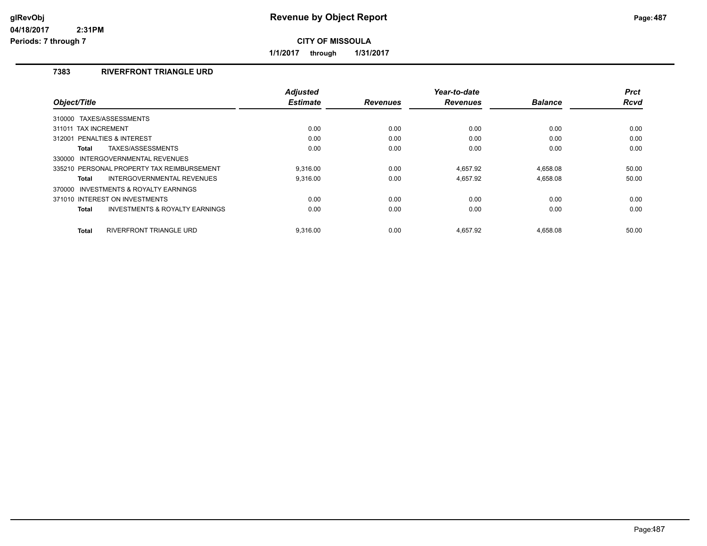**1/1/2017 through 1/31/2017**

#### **7383 RIVERFRONT TRIANGLE URD**

|                                                | <b>Adjusted</b> |                 | Year-to-date    |                | <b>Prct</b> |
|------------------------------------------------|-----------------|-----------------|-----------------|----------------|-------------|
| Object/Title                                   | <b>Estimate</b> | <b>Revenues</b> | <b>Revenues</b> | <b>Balance</b> | <b>Rcvd</b> |
| TAXES/ASSESSMENTS<br>310000                    |                 |                 |                 |                |             |
| 311011 TAX INCREMENT                           | 0.00            | 0.00            | 0.00            | 0.00           | 0.00        |
| 312001 PENALTIES & INTEREST                    | 0.00            | 0.00            | 0.00            | 0.00           | 0.00        |
| TAXES/ASSESSMENTS<br><b>Total</b>              | 0.00            | 0.00            | 0.00            | 0.00           | 0.00        |
| INTERGOVERNMENTAL REVENUES<br>330000           |                 |                 |                 |                |             |
| 335210 PERSONAL PROPERTY TAX REIMBURSEMENT     | 9.316.00        | 0.00            | 4.657.92        | 4,658.08       | 50.00       |
| INTERGOVERNMENTAL REVENUES<br><b>Total</b>     | 9,316.00        | 0.00            | 4,657.92        | 4,658.08       | 50.00       |
| INVESTMENTS & ROYALTY EARNINGS<br>370000       |                 |                 |                 |                |             |
| 371010 INTEREST ON INVESTMENTS                 | 0.00            | 0.00            | 0.00            | 0.00           | 0.00        |
| INVESTMENTS & ROYALTY EARNINGS<br><b>Total</b> | 0.00            | 0.00            | 0.00            | 0.00           | 0.00        |
| RIVERFRONT TRIANGLE URD<br><b>Total</b>        | 9.316.00        | 0.00            | 4.657.92        | 4.658.08       | 50.00       |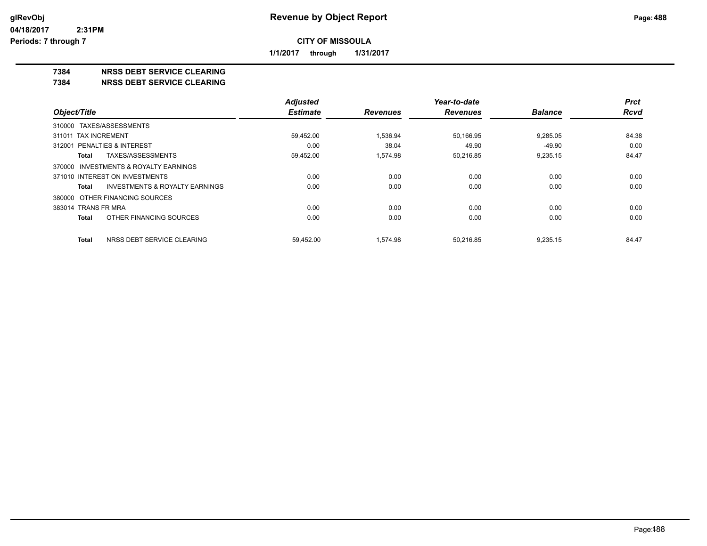**1/1/2017 through 1/31/2017**

# **7384 NRSS DEBT SERVICE CLEARING**

**7384 NRSS DEBT SERVICE CLEARING**

|                                                    | <b>Adjusted</b> |                 | Year-to-date    |                | <b>Prct</b> |
|----------------------------------------------------|-----------------|-----------------|-----------------|----------------|-------------|
| Object/Title                                       | <b>Estimate</b> | <b>Revenues</b> | <b>Revenues</b> | <b>Balance</b> | <b>Rcvd</b> |
| 310000 TAXES/ASSESSMENTS                           |                 |                 |                 |                |             |
| 311011 TAX INCREMENT                               | 59,452.00       | 1,536.94        | 50,166.95       | 9,285.05       | 84.38       |
| 312001 PENALTIES & INTEREST                        | 0.00            | 38.04           | 49.90           | $-49.90$       | 0.00        |
| TAXES/ASSESSMENTS<br>Total                         | 59,452.00       | 1,574.98        | 50,216.85       | 9,235.15       | 84.47       |
| 370000 INVESTMENTS & ROYALTY EARNINGS              |                 |                 |                 |                |             |
| 371010 INTEREST ON INVESTMENTS                     | 0.00            | 0.00            | 0.00            | 0.00           | 0.00        |
| <b>INVESTMENTS &amp; ROYALTY EARNINGS</b><br>Total | 0.00            | 0.00            | 0.00            | 0.00           | 0.00        |
| 380000 OTHER FINANCING SOURCES                     |                 |                 |                 |                |             |
| 383014 TRANS FR MRA                                | 0.00            | 0.00            | 0.00            | 0.00           | 0.00        |
| OTHER FINANCING SOURCES<br>Total                   | 0.00            | 0.00            | 0.00            | 0.00           | 0.00        |
| NRSS DEBT SERVICE CLEARING<br>Total                | 59,452.00       | 1.574.98        | 50.216.85       | 9,235.15       | 84.47       |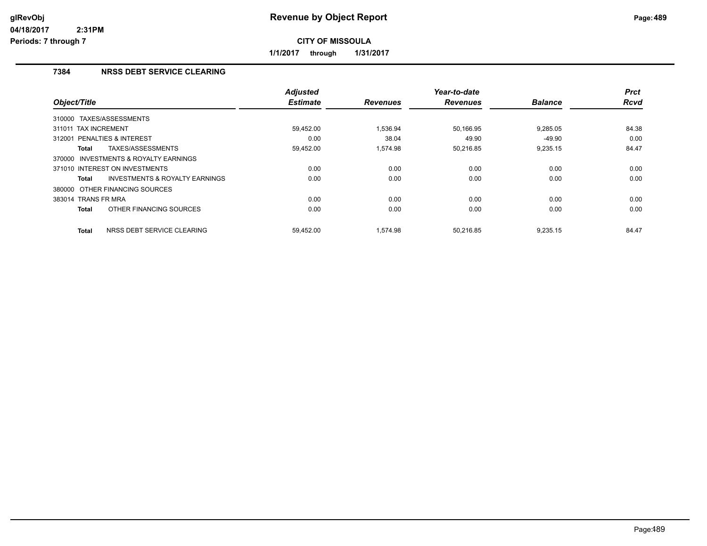**1/1/2017 through 1/31/2017**

#### **7384 NRSS DEBT SERVICE CLEARING**

|                                                | <b>Adjusted</b> |                 | Year-to-date    |                | <b>Prct</b> |
|------------------------------------------------|-----------------|-----------------|-----------------|----------------|-------------|
| Object/Title                                   | <b>Estimate</b> | <b>Revenues</b> | <b>Revenues</b> | <b>Balance</b> | <b>Rcvd</b> |
| TAXES/ASSESSMENTS<br>310000                    |                 |                 |                 |                |             |
| 311011 TAX INCREMENT                           | 59,452.00       | 1,536.94        | 50,166.95       | 9.285.05       | 84.38       |
| PENALTIES & INTEREST<br>312001                 | 0.00            | 38.04           | 49.90           | $-49.90$       | 0.00        |
| TAXES/ASSESSMENTS<br><b>Total</b>              | 59,452.00       | 1,574.98        | 50,216.85       | 9,235.15       | 84.47       |
| INVESTMENTS & ROYALTY EARNINGS<br>370000       |                 |                 |                 |                |             |
| 371010 INTEREST ON INVESTMENTS                 | 0.00            | 0.00            | 0.00            | 0.00           | 0.00        |
| INVESTMENTS & ROYALTY EARNINGS<br><b>Total</b> | 0.00            | 0.00            | 0.00            | 0.00           | 0.00        |
| 380000 OTHER FINANCING SOURCES                 |                 |                 |                 |                |             |
| 383014 TRANS FR MRA                            | 0.00            | 0.00            | 0.00            | 0.00           | 0.00        |
| OTHER FINANCING SOURCES<br><b>Total</b>        | 0.00            | 0.00            | 0.00            | 0.00           | 0.00        |
| NRSS DEBT SERVICE CLEARING<br><b>Total</b>     | 59,452.00       | 1.574.98        | 50.216.85       | 9,235.15       | 84.47       |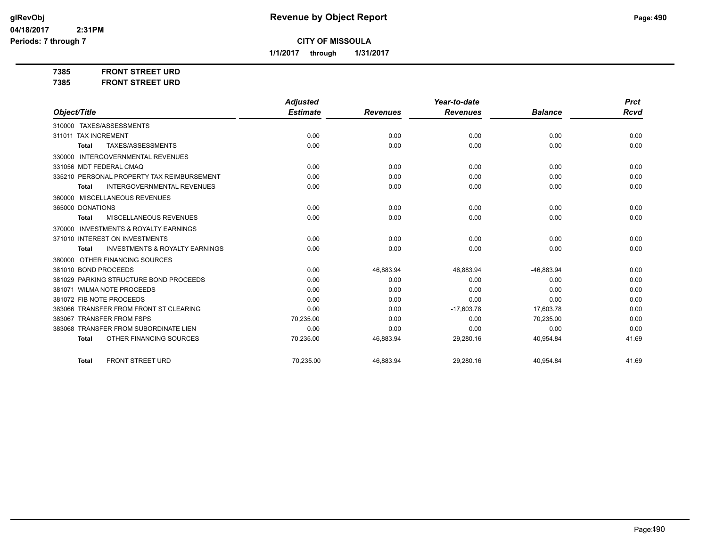**1/1/2017 through 1/31/2017**

**7385 FRONT STREET URD 7385 FRONT STREET URD**

| <b>Adjusted</b> |                 | Year-to-date    |                | <b>Prct</b> |
|-----------------|-----------------|-----------------|----------------|-------------|
| <b>Estimate</b> | <b>Revenues</b> | <b>Revenues</b> | <b>Balance</b> | <b>Rcvd</b> |
|                 |                 |                 |                |             |
| 0.00            | 0.00            | 0.00            | 0.00           | 0.00        |
| 0.00            | 0.00            | 0.00            | 0.00           | 0.00        |
|                 |                 |                 |                |             |
| 0.00            | 0.00            | 0.00            | 0.00           | 0.00        |
| 0.00            | 0.00            | 0.00            | 0.00           | 0.00        |
| 0.00            | 0.00            | 0.00            | 0.00           | 0.00        |
|                 |                 |                 |                |             |
| 0.00            | 0.00            | 0.00            | 0.00           | 0.00        |
| 0.00            | 0.00            | 0.00            | 0.00           | 0.00        |
|                 |                 |                 |                |             |
| 0.00            | 0.00            | 0.00            | 0.00           | 0.00        |
| 0.00            | 0.00            | 0.00            | 0.00           | 0.00        |
|                 |                 |                 |                |             |
| 0.00            | 46,883.94       | 46,883.94       | -46,883.94     | 0.00        |
| 0.00            | 0.00            | 0.00            | 0.00           | 0.00        |
| 0.00            | 0.00            | 0.00            | 0.00           | 0.00        |
| 0.00            | 0.00            | 0.00            | 0.00           | 0.00        |
| 0.00            | 0.00            | $-17,603.78$    | 17,603.78      | 0.00        |
| 70,235.00       | 0.00            | 0.00            | 70,235.00      | 0.00        |
| 0.00            | 0.00            | 0.00            | 0.00           | 0.00        |
| 70,235.00       | 46,883.94       | 29,280.16       | 40,954.84      | 41.69       |
|                 |                 |                 |                | 41.69       |
|                 | 70,235.00       | 46,883.94       | 29,280.16      | 40,954.84   |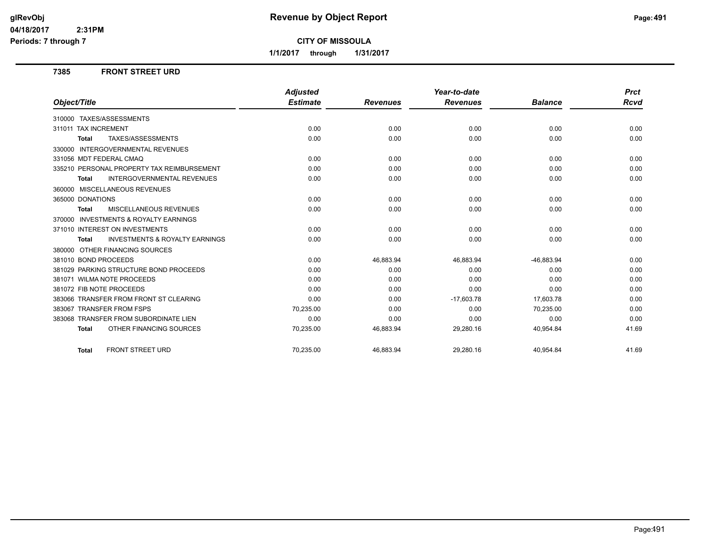**1/1/2017 through 1/31/2017**

#### **7385 FRONT STREET URD**

|                                                    | <b>Adjusted</b> |                 | Year-to-date    |                | <b>Prct</b> |
|----------------------------------------------------|-----------------|-----------------|-----------------|----------------|-------------|
| Object/Title                                       | <b>Estimate</b> | <b>Revenues</b> | <b>Revenues</b> | <b>Balance</b> | <b>Rcvd</b> |
| 310000 TAXES/ASSESSMENTS                           |                 |                 |                 |                |             |
| 311011 TAX INCREMENT                               | 0.00            | 0.00            | 0.00            | 0.00           | 0.00        |
| TAXES/ASSESSMENTS<br>Total                         | 0.00            | 0.00            | 0.00            | 0.00           | 0.00        |
| 330000 INTERGOVERNMENTAL REVENUES                  |                 |                 |                 |                |             |
| 331056 MDT FEDERAL CMAQ                            | 0.00            | 0.00            | 0.00            | 0.00           | 0.00        |
| 335210 PERSONAL PROPERTY TAX REIMBURSEMENT         | 0.00            | 0.00            | 0.00            | 0.00           | 0.00        |
| <b>INTERGOVERNMENTAL REVENUES</b><br><b>Total</b>  | 0.00            | 0.00            | 0.00            | 0.00           | 0.00        |
| 360000 MISCELLANEOUS REVENUES                      |                 |                 |                 |                |             |
| 365000 DONATIONS                                   | 0.00            | 0.00            | 0.00            | 0.00           | 0.00        |
| <b>MISCELLANEOUS REVENUES</b><br>Total             | 0.00            | 0.00            | 0.00            | 0.00           | 0.00        |
| 370000 INVESTMENTS & ROYALTY EARNINGS              |                 |                 |                 |                |             |
| 371010 INTEREST ON INVESTMENTS                     | 0.00            | 0.00            | 0.00            | 0.00           | 0.00        |
| <b>INVESTMENTS &amp; ROYALTY EARNINGS</b><br>Total | 0.00            | 0.00            | 0.00            | 0.00           | 0.00        |
| OTHER FINANCING SOURCES<br>380000                  |                 |                 |                 |                |             |
| 381010 BOND PROCEEDS                               | 0.00            | 46,883.94       | 46,883.94       | $-46,883.94$   | 0.00        |
| 381029 PARKING STRUCTURE BOND PROCEEDS             | 0.00            | 0.00            | 0.00            | 0.00           | 0.00        |
| 381071 WILMA NOTE PROCEEDS                         | 0.00            | 0.00            | 0.00            | 0.00           | 0.00        |
| 381072 FIB NOTE PROCEEDS                           | 0.00            | 0.00            | 0.00            | 0.00           | 0.00        |
| 383066 TRANSFER FROM FRONT ST CLEARING             | 0.00            | 0.00            | $-17,603.78$    | 17.603.78      | 0.00        |
| 383067 TRANSFER FROM FSPS                          | 70,235.00       | 0.00            | 0.00            | 70,235.00      | 0.00        |
| 383068 TRANSFER FROM SUBORDINATE LIEN              | 0.00            | 0.00            | 0.00            | 0.00           | 0.00        |
| OTHER FINANCING SOURCES<br><b>Total</b>            | 70,235.00       | 46,883.94       | 29,280.16       | 40,954.84      | 41.69       |
| <b>FRONT STREET URD</b><br>Total                   | 70.235.00       | 46.883.94       | 29,280.16       | 40.954.84      | 41.69       |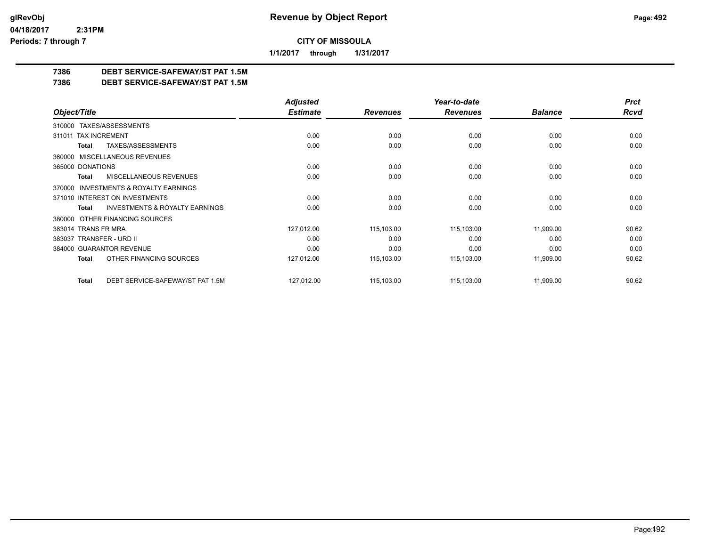**1/1/2017 through 1/31/2017**

#### **7386 DEBT SERVICE-SAFEWAY/ST PAT 1.5M 7386 DEBT SERVICE-SAFEWAY/ST PAT 1.5M**

|                                                    | <b>Adjusted</b> |                 | Year-to-date    |                | <b>Prct</b> |
|----------------------------------------------------|-----------------|-----------------|-----------------|----------------|-------------|
| Object/Title                                       | <b>Estimate</b> | <b>Revenues</b> | <b>Revenues</b> | <b>Balance</b> | <b>Rcvd</b> |
| TAXES/ASSESSMENTS<br>310000                        |                 |                 |                 |                |             |
| 311011 TAX INCREMENT                               | 0.00            | 0.00            | 0.00            | 0.00           | 0.00        |
| TAXES/ASSESSMENTS<br>Total                         | 0.00            | 0.00            | 0.00            | 0.00           | 0.00        |
| 360000 MISCELLANEOUS REVENUES                      |                 |                 |                 |                |             |
| 365000 DONATIONS                                   | 0.00            | 0.00            | 0.00            | 0.00           | 0.00        |
| MISCELLANEOUS REVENUES<br>Total                    | 0.00            | 0.00            | 0.00            | 0.00           | 0.00        |
| 370000 INVESTMENTS & ROYALTY EARNINGS              |                 |                 |                 |                |             |
| 371010 INTEREST ON INVESTMENTS                     | 0.00            | 0.00            | 0.00            | 0.00           | 0.00        |
| <b>INVESTMENTS &amp; ROYALTY EARNINGS</b><br>Total | 0.00            | 0.00            | 0.00            | 0.00           | 0.00        |
| OTHER FINANCING SOURCES<br>380000                  |                 |                 |                 |                |             |
| 383014 TRANS FR MRA                                | 127,012.00      | 115,103.00      | 115,103.00      | 11,909.00      | 90.62       |
| 383037 TRANSFER - URD II                           | 0.00            | 0.00            | 0.00            | 0.00           | 0.00        |
| 384000 GUARANTOR REVENUE                           | 0.00            | 0.00            | 0.00            | 0.00           | 0.00        |
| OTHER FINANCING SOURCES<br>Total                   | 127,012.00      | 115,103.00      | 115,103.00      | 11,909.00      | 90.62       |
| DEBT SERVICE-SAFEWAY/ST PAT 1.5M<br><b>Total</b>   | 127,012.00      | 115,103.00      | 115,103.00      | 11,909.00      | 90.62       |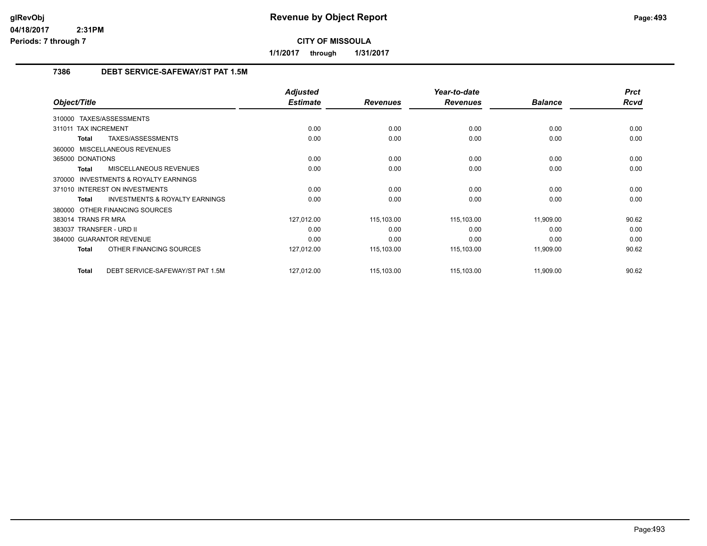**1/1/2017 through 1/31/2017**

#### **7386 DEBT SERVICE-SAFEWAY/ST PAT 1.5M**

|                                                     | <b>Adjusted</b> |                 | Year-to-date    |                | <b>Prct</b> |
|-----------------------------------------------------|-----------------|-----------------|-----------------|----------------|-------------|
| Object/Title                                        | <b>Estimate</b> | <b>Revenues</b> | <b>Revenues</b> | <b>Balance</b> | <b>Rcvd</b> |
| 310000 TAXES/ASSESSMENTS                            |                 |                 |                 |                |             |
| 311011 TAX INCREMENT                                | 0.00            | 0.00            | 0.00            | 0.00           | 0.00        |
| TAXES/ASSESSMENTS<br>Total                          | 0.00            | 0.00            | 0.00            | 0.00           | 0.00        |
| MISCELLANEOUS REVENUES<br>360000                    |                 |                 |                 |                |             |
| 365000 DONATIONS                                    | 0.00            | 0.00            | 0.00            | 0.00           | 0.00        |
| <b>MISCELLANEOUS REVENUES</b><br>Total              | 0.00            | 0.00            | 0.00            | 0.00           | 0.00        |
| <b>INVESTMENTS &amp; ROYALTY EARNINGS</b><br>370000 |                 |                 |                 |                |             |
| 371010 INTEREST ON INVESTMENTS                      | 0.00            | 0.00            | 0.00            | 0.00           | 0.00        |
| <b>INVESTMENTS &amp; ROYALTY EARNINGS</b><br>Total  | 0.00            | 0.00            | 0.00            | 0.00           | 0.00        |
| 380000 OTHER FINANCING SOURCES                      |                 |                 |                 |                |             |
| 383014 TRANS FR MRA                                 | 127,012.00      | 115,103.00      | 115,103.00      | 11,909.00      | 90.62       |
| 383037 TRANSFER - URD II                            | 0.00            | 0.00            | 0.00            | 0.00           | 0.00        |
| 384000 GUARANTOR REVENUE                            | 0.00            | 0.00            | 0.00            | 0.00           | 0.00        |
| OTHER FINANCING SOURCES<br><b>Total</b>             | 127,012.00      | 115,103.00      | 115,103.00      | 11,909.00      | 90.62       |
| DEBT SERVICE-SAFEWAY/ST PAT 1.5M<br><b>Total</b>    | 127,012.00      | 115,103.00      | 115,103.00      | 11,909.00      | 90.62       |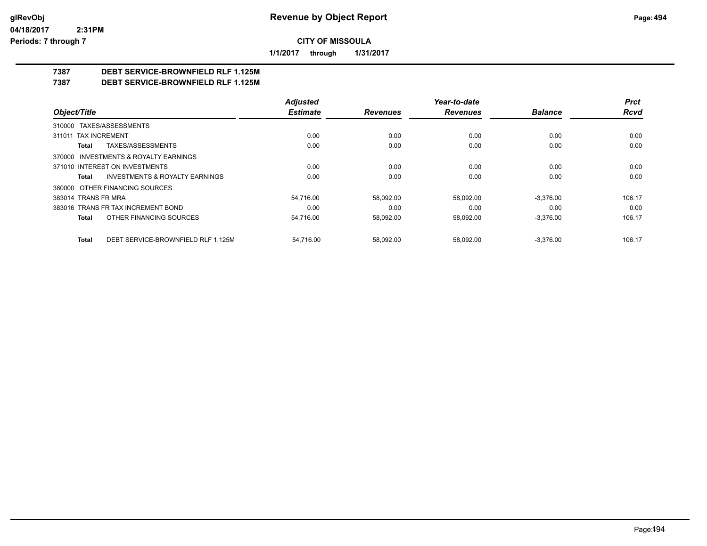**1/1/2017 through 1/31/2017**

#### **7387 DEBT SERVICE-BROWNFIELD RLF 1.125M 7387 DEBT SERVICE-BROWNFIELD RLF 1.125M**

|                                                    | <b>Adjusted</b> |                 | Year-to-date    |                | <b>Prct</b> |
|----------------------------------------------------|-----------------|-----------------|-----------------|----------------|-------------|
| Object/Title                                       | <b>Estimate</b> | <b>Revenues</b> | <b>Revenues</b> | <b>Balance</b> | <b>Rcvd</b> |
| 310000 TAXES/ASSESSMENTS                           |                 |                 |                 |                |             |
| <b>TAX INCREMENT</b><br>311011                     | 0.00            | 0.00            | 0.00            | 0.00           | 0.00        |
| TAXES/ASSESSMENTS<br>Total                         | 0.00            | 0.00            | 0.00            | 0.00           | 0.00        |
| INVESTMENTS & ROYALTY EARNINGS<br>370000           |                 |                 |                 |                |             |
| 371010 INTEREST ON INVESTMENTS                     | 0.00            | 0.00            | 0.00            | 0.00           | 0.00        |
| <b>INVESTMENTS &amp; ROYALTY EARNINGS</b><br>Total | 0.00            | 0.00            | 0.00            | 0.00           | 0.00        |
| 380000 OTHER FINANCING SOURCES                     |                 |                 |                 |                |             |
| 383014 TRANS FR MRA                                | 54,716.00       | 58,092.00       | 58,092.00       | $-3,376.00$    | 106.17      |
| 383016 TRANS FR TAX INCREMENT BOND                 | 0.00            | 0.00            | 0.00            | 0.00           | 0.00        |
| OTHER FINANCING SOURCES<br>Total                   | 54,716.00       | 58,092.00       | 58,092.00       | $-3,376.00$    | 106.17      |
| DEBT SERVICE-BROWNFIELD RLF 1.125M<br><b>Total</b> | 54.716.00       | 58,092.00       | 58.092.00       | $-3.376.00$    | 106.17      |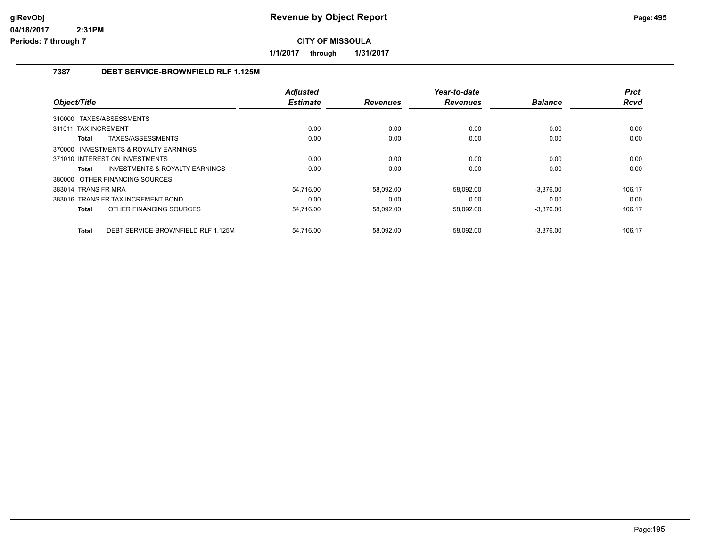**1/1/2017 through 1/31/2017**

#### **7387 DEBT SERVICE-BROWNFIELD RLF 1.125M**

|                                                    | <b>Adjusted</b> |                 | Year-to-date    |                | <b>Prct</b> |
|----------------------------------------------------|-----------------|-----------------|-----------------|----------------|-------------|
| Object/Title                                       | <b>Estimate</b> | <b>Revenues</b> | <b>Revenues</b> | <b>Balance</b> | <b>Rcvd</b> |
| 310000 TAXES/ASSESSMENTS                           |                 |                 |                 |                |             |
| <b>TAX INCREMENT</b><br>311011                     | 0.00            | 0.00            | 0.00            | 0.00           | 0.00        |
| TAXES/ASSESSMENTS<br><b>Total</b>                  | 0.00            | 0.00            | 0.00            | 0.00           | 0.00        |
| 370000 INVESTMENTS & ROYALTY EARNINGS              |                 |                 |                 |                |             |
| 371010 INTEREST ON INVESTMENTS                     | 0.00            | 0.00            | 0.00            | 0.00           | 0.00        |
| <b>INVESTMENTS &amp; ROYALTY EARNINGS</b><br>Total | 0.00            | 0.00            | 0.00            | 0.00           | 0.00        |
| 380000 OTHER FINANCING SOURCES                     |                 |                 |                 |                |             |
| 383014 TRANS FR MRA                                | 54.716.00       | 58.092.00       | 58.092.00       | $-3.376.00$    | 106.17      |
| 383016 TRANS FR TAX INCREMENT BOND                 | 0.00            | 0.00            | 0.00            | 0.00           | 0.00        |
| OTHER FINANCING SOURCES<br>Total                   | 54,716.00       | 58,092.00       | 58,092.00       | $-3,376.00$    | 106.17      |
| <b>Total</b><br>DEBT SERVICE-BROWNFIELD RLF 1.125M | 54.716.00       | 58.092.00       | 58.092.00       | $-3.376.00$    | 106.17      |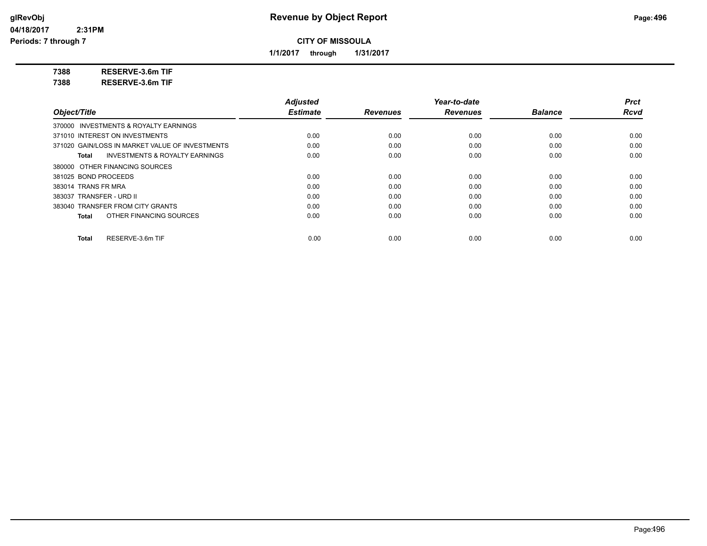**1/1/2017 through 1/31/2017**

**7388 RESERVE-3.6m TIF 7388 RESERVE-3.6m TIF**

|                                                    | <b>Adjusted</b> |                 | Year-to-date    |                | <b>Prct</b> |
|----------------------------------------------------|-----------------|-----------------|-----------------|----------------|-------------|
| Object/Title                                       | <b>Estimate</b> | <b>Revenues</b> | <b>Revenues</b> | <b>Balance</b> | Rcvd        |
| 370000 INVESTMENTS & ROYALTY EARNINGS              |                 |                 |                 |                |             |
| 371010 INTEREST ON INVESTMENTS                     | 0.00            | 0.00            | 0.00            | 0.00           | 0.00        |
| 371020 GAIN/LOSS IN MARKET VALUE OF INVESTMENTS    | 0.00            | 0.00            | 0.00            | 0.00           | 0.00        |
| <b>INVESTMENTS &amp; ROYALTY EARNINGS</b><br>Total | 0.00            | 0.00            | 0.00            | 0.00           | 0.00        |
| 380000 OTHER FINANCING SOURCES                     |                 |                 |                 |                |             |
| 381025 BOND PROCEEDS                               | 0.00            | 0.00            | 0.00            | 0.00           | 0.00        |
| 383014 TRANS FR MRA                                | 0.00            | 0.00            | 0.00            | 0.00           | 0.00        |
| 383037 TRANSFER - URD II                           | 0.00            | 0.00            | 0.00            | 0.00           | 0.00        |
| 383040 TRANSFER FROM CITY GRANTS                   | 0.00            | 0.00            | 0.00            | 0.00           | 0.00        |
| OTHER FINANCING SOURCES<br>Total                   | 0.00            | 0.00            | 0.00            | 0.00           | 0.00        |
|                                                    |                 |                 |                 |                |             |
| RESERVE-3.6m TIF<br><b>Total</b>                   | 0.00            | 0.00            | 0.00            | 0.00           | 0.00        |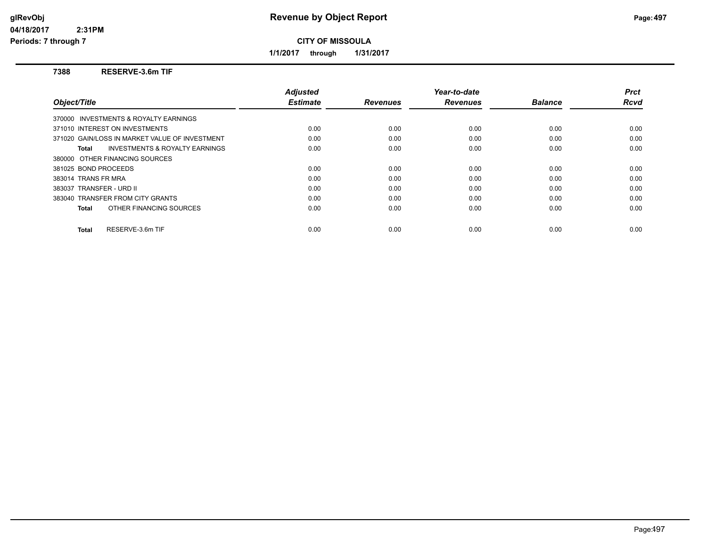**Periods: 7 through 7**

**CITY OF MISSOULA**

**1/1/2017 through 1/31/2017**

#### **7388 RESERVE-3.6m TIF**

 **2:31PM**

| Object/Title                                              | <b>Adjusted</b><br><b>Estimate</b> | <b>Revenues</b> | Year-to-date<br><b>Revenues</b> | <b>Balance</b> | <b>Prct</b><br><b>Rcvd</b> |
|-----------------------------------------------------------|------------------------------------|-----------------|---------------------------------|----------------|----------------------------|
| 370000 INVESTMENTS & ROYALTY EARNINGS                     |                                    |                 |                                 |                |                            |
| 371010 INTEREST ON INVESTMENTS                            | 0.00                               | 0.00            | 0.00                            | 0.00           | 0.00                       |
| 371020 GAIN/LOSS IN MARKET VALUE OF INVESTMENT            | 0.00                               | 0.00            | 0.00                            | 0.00           | 0.00                       |
| <b>INVESTMENTS &amp; ROYALTY EARNINGS</b><br><b>Total</b> | 0.00                               | 0.00            | 0.00                            | 0.00           | 0.00                       |
| 380000 OTHER FINANCING SOURCES                            |                                    |                 |                                 |                |                            |
| 381025 BOND PROCEEDS                                      | 0.00                               | 0.00            | 0.00                            | 0.00           | 0.00                       |
| 383014 TRANS FR MRA                                       | 0.00                               | 0.00            | 0.00                            | 0.00           | 0.00                       |
| 383037 TRANSFER - URD II                                  | 0.00                               | 0.00            | 0.00                            | 0.00           | 0.00                       |
| 383040 TRANSFER FROM CITY GRANTS                          | 0.00                               | 0.00            | 0.00                            | 0.00           | 0.00                       |
| OTHER FINANCING SOURCES<br><b>Total</b>                   | 0.00                               | 0.00            | 0.00                            | 0.00           | 0.00                       |
|                                                           |                                    |                 |                                 |                |                            |
| RESERVE-3.6m TIF<br><b>Total</b>                          | 0.00                               | 0.00            | 0.00                            | 0.00           | 0.00                       |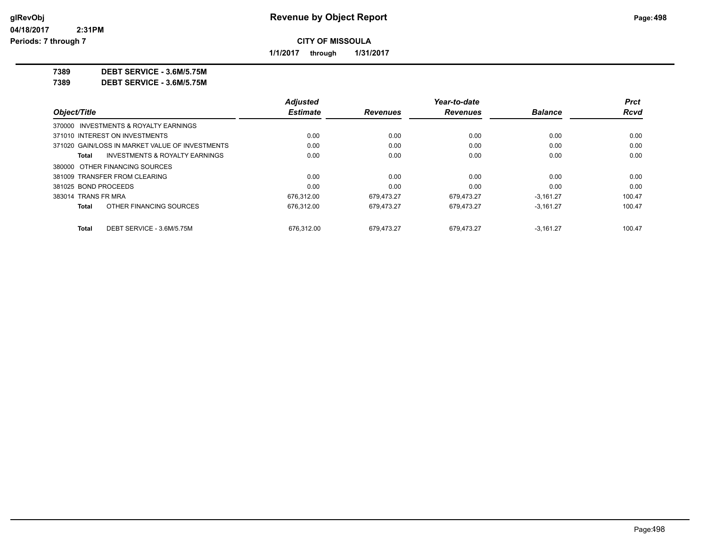**1/1/2017 through 1/31/2017**

**7389 DEBT SERVICE - 3.6M/5.75M 7389 DEBT SERVICE - 3.6M/5.75M**

|                                                 | <b>Adjusted</b> |                 | Year-to-date    |                | <b>Prct</b> |
|-------------------------------------------------|-----------------|-----------------|-----------------|----------------|-------------|
| Object/Title                                    | <b>Estimate</b> | <b>Revenues</b> | <b>Revenues</b> | <b>Balance</b> | <b>Rcvd</b> |
| 370000 INVESTMENTS & ROYALTY EARNINGS           |                 |                 |                 |                |             |
| 371010 INTEREST ON INVESTMENTS                  | 0.00            | 0.00            | 0.00            | 0.00           | 0.00        |
| 371020 GAIN/LOSS IN MARKET VALUE OF INVESTMENTS | 0.00            | 0.00            | 0.00            | 0.00           | 0.00        |
| INVESTMENTS & ROYALTY EARNINGS<br>Total         | 0.00            | 0.00            | 0.00            | 0.00           | 0.00        |
| OTHER FINANCING SOURCES<br>380000               |                 |                 |                 |                |             |
| 381009 TRANSFER FROM CLEARING                   | 0.00            | 0.00            | 0.00            | 0.00           | 0.00        |
| 381025 BOND PROCEEDS                            | 0.00            | 0.00            | 0.00            | 0.00           | 0.00        |
| 383014 TRANS FR MRA                             | 676.312.00      | 679.473.27      | 679.473.27      | $-3.161.27$    | 100.47      |
| OTHER FINANCING SOURCES<br><b>Total</b>         | 676,312.00      | 679.473.27      | 679.473.27      | $-3.161.27$    | 100.47      |
| DEBT SERVICE - 3.6M/5.75M<br><b>Total</b>       | 676.312.00      | 679.473.27      | 679.473.27      | $-3.161.27$    | 100.47      |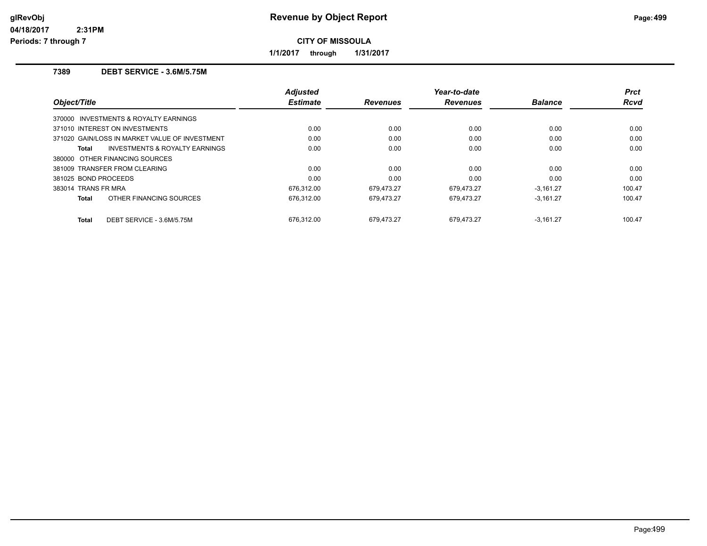**1/1/2017 through 1/31/2017**

#### **7389 DEBT SERVICE - 3.6M/5.75M**

| Object/Title                                   | <b>Adjusted</b><br><b>Estimate</b> | <b>Revenues</b> | Year-to-date<br><b>Revenues</b> | <b>Balance</b> | <b>Prct</b><br>Rcvd |
|------------------------------------------------|------------------------------------|-----------------|---------------------------------|----------------|---------------------|
| 370000 INVESTMENTS & ROYALTY EARNINGS          |                                    |                 |                                 |                |                     |
| 371010 INTEREST ON INVESTMENTS                 | 0.00                               | 0.00            | 0.00                            | 0.00           | 0.00                |
| 371020 GAIN/LOSS IN MARKET VALUE OF INVESTMENT | 0.00                               | 0.00            | 0.00                            | 0.00           | 0.00                |
| INVESTMENTS & ROYALTY EARNINGS<br>Total        | 0.00                               | 0.00            | 0.00                            | 0.00           | 0.00                |
| 380000 OTHER FINANCING SOURCES                 |                                    |                 |                                 |                |                     |
| 381009 TRANSFER FROM CLEARING                  | 0.00                               | 0.00            | 0.00                            | 0.00           | 0.00                |
| 381025 BOND PROCEEDS                           | 0.00                               | 0.00            | 0.00                            | 0.00           | 0.00                |
| 383014 TRANS FR MRA                            | 676.312.00                         | 679.473.27      | 679.473.27                      | $-3.161.27$    | 100.47              |
| OTHER FINANCING SOURCES<br><b>Total</b>        | 676.312.00                         | 679.473.27      | 679,473.27                      | $-3.161.27$    | 100.47              |
| DEBT SERVICE - 3.6M/5.75M<br><b>Total</b>      | 676.312.00                         | 679.473.27      | 679.473.27                      | $-3.161.27$    | 100.47              |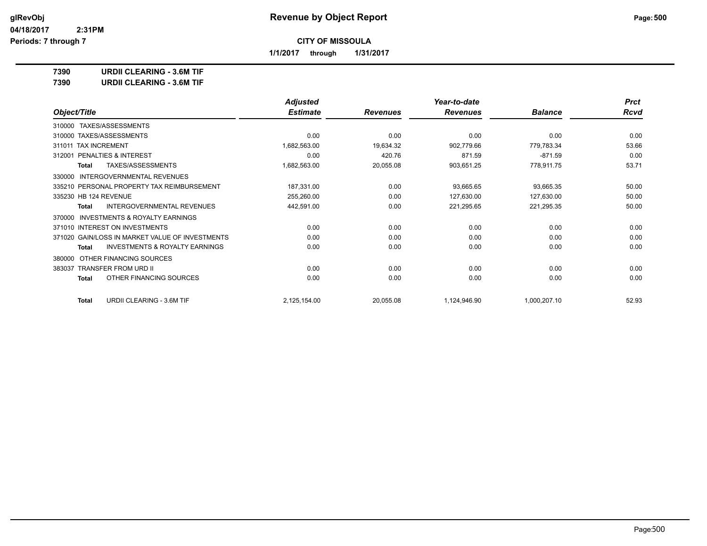**1/1/2017 through 1/31/2017**

**7390 URDII CLEARING - 3.6M TIF 7390 URDII CLEARING - 3.6M TIF**

*Object/Title Adjusted Estimate Revenues Year-to-date Revenues Balance Prct Rcvd* 310000 TAXES/ASSESSMENTS 310000 TAXES/ASSESSMENTS 0.00 0.00 0.00 0.00 0.00 311011 TAX INCREMENT 1,682,563.00 19,634.32 902,779.66 779,783.34 53.66 312001 PENALTIES & INTEREST 0.00 0 420.76 871.59 420.76 871.59 420.76 871.59 420.76 871.59 871.59 420.76 871.59 **Total** TAXES/ASSESSMENTS 1,682,563.00 20,055.08 903,651.25 778,911.75 53.71 330000 INTERGOVERNMENTAL REVENUES 335210 PERSONAL PROPERTY TAX REIMBURSEMENT 187,331.00 0.00 93,665.65 93,665.35 50.00 335230 HB 124 REVENUE 255,260.00 0.00 127,630.00 127,630.00 50.00 **Total** INTERGOVERNMENTAL REVENUES 442,591.00 0.00 221,295.65 221,295.35 50.00 370000 INVESTMENTS & ROYALTY EARNINGS 371010 INTEREST ON INVESTMENTS 0.00 0.00 0.00 0.00 0.00 371020 GAIN/LOSS IN MARKET VALUE OF INVESTMENTS 0.00 0.00 0.00 0.00 0.00 **Total** INVESTMENTS & ROYALTY EARNINGS 0.00 0.00 0.00 0.00 0.00 380000 OTHER FINANCING SOURCES 383037 TRANSFER FROM URD II 0.00 0.00 0.00 0.00 0.00 **Total** OTHER FINANCING SOURCES 0.00 0.00 0.00 0.00 0.00 **Total UR**DII CLEARING - 3.6M TIF 2,125,154.00 2,125,154.00 20,055.08 1,124,946.90 1,000,207.10 52.93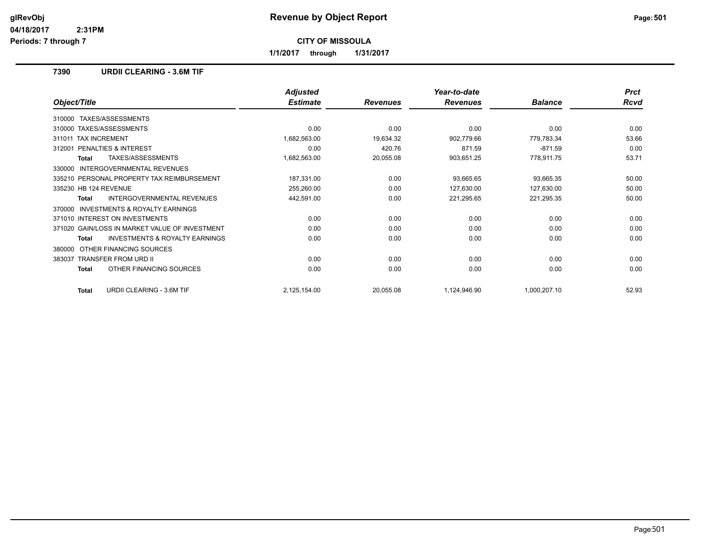**1/1/2017 through 1/31/2017**

#### **7390 URDII CLEARING - 3.6M TIF**

|                                                     | <b>Adjusted</b> |                 | Year-to-date    |                | <b>Prct</b> |
|-----------------------------------------------------|-----------------|-----------------|-----------------|----------------|-------------|
| Object/Title                                        | <b>Estimate</b> | <b>Revenues</b> | <b>Revenues</b> | <b>Balance</b> | <b>Rcvd</b> |
| TAXES/ASSESSMENTS<br>310000                         |                 |                 |                 |                |             |
| 310000 TAXES/ASSESSMENTS                            | 0.00            | 0.00            | 0.00            | 0.00           | 0.00        |
| 311011 TAX INCREMENT                                | 1,682,563.00    | 19,634.32       | 902,779.66      | 779,783.34     | 53.66       |
| 312001 PENALTIES & INTEREST                         | 0.00            | 420.76          | 871.59          | $-871.59$      | 0.00        |
| TAXES/ASSESSMENTS<br><b>Total</b>                   | 1,682,563.00    | 20,055.08       | 903,651.25      | 778,911.75     | 53.71       |
| INTERGOVERNMENTAL REVENUES<br>330000                |                 |                 |                 |                |             |
| 335210 PERSONAL PROPERTY TAX REIMBURSEMENT          | 187,331.00      | 0.00            | 93,665.65       | 93,665.35      | 50.00       |
| 335230 HB 124 REVENUE                               | 255,260.00      | 0.00            | 127,630.00      | 127,630.00     | 50.00       |
| <b>INTERGOVERNMENTAL REVENUES</b><br>Total          | 442,591.00      | 0.00            | 221,295.65      | 221,295.35     | 50.00       |
| <b>INVESTMENTS &amp; ROYALTY EARNINGS</b><br>370000 |                 |                 |                 |                |             |
| 371010 INTEREST ON INVESTMENTS                      | 0.00            | 0.00            | 0.00            | 0.00           | 0.00        |
| 371020 GAIN/LOSS IN MARKET VALUE OF INVESTMENT      | 0.00            | 0.00            | 0.00            | 0.00           | 0.00        |
| <b>INVESTMENTS &amp; ROYALTY EARNINGS</b><br>Total  | 0.00            | 0.00            | 0.00            | 0.00           | 0.00        |
| OTHER FINANCING SOURCES<br>380000                   |                 |                 |                 |                |             |
| 383037 TRANSFER FROM URD II                         | 0.00            | 0.00            | 0.00            | 0.00           | 0.00        |
| OTHER FINANCING SOURCES<br><b>Total</b>             | 0.00            | 0.00            | 0.00            | 0.00           | 0.00        |
| <b>URDII CLEARING - 3.6M TIF</b><br><b>Total</b>    | 2,125,154.00    | 20,055.08       | 1,124,946.90    | 1,000,207.10   | 52.93       |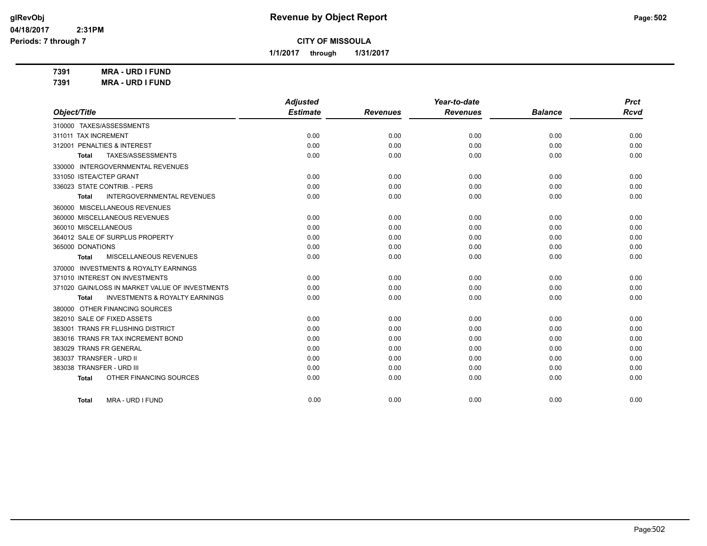**1/1/2017 through 1/31/2017**

**Periods: 7 through 7**

**7391 MRA - URD I FUND**

**7391 MRA - URD I FUND**

 **2:31PM**

|                                                           | <b>Adjusted</b> |                 | Year-to-date    |                | <b>Prct</b> |
|-----------------------------------------------------------|-----------------|-----------------|-----------------|----------------|-------------|
| Object/Title                                              | <b>Estimate</b> | <b>Revenues</b> | <b>Revenues</b> | <b>Balance</b> | <b>Rcvd</b> |
| 310000 TAXES/ASSESSMENTS                                  |                 |                 |                 |                |             |
| 311011 TAX INCREMENT                                      | 0.00            | 0.00            | 0.00            | 0.00           | 0.00        |
| 312001 PENALTIES & INTEREST                               | 0.00            | 0.00            | 0.00            | 0.00           | 0.00        |
| TAXES/ASSESSMENTS<br><b>Total</b>                         | 0.00            | 0.00            | 0.00            | 0.00           | 0.00        |
| 330000 INTERGOVERNMENTAL REVENUES                         |                 |                 |                 |                |             |
| 331050 ISTEA/CTEP GRANT                                   | 0.00            | 0.00            | 0.00            | 0.00           | 0.00        |
| 336023 STATE CONTRIB. - PERS                              | 0.00            | 0.00            | 0.00            | 0.00           | 0.00        |
| <b>INTERGOVERNMENTAL REVENUES</b><br><b>Total</b>         | 0.00            | 0.00            | 0.00            | 0.00           | 0.00        |
| 360000 MISCELLANEOUS REVENUES                             |                 |                 |                 |                |             |
| 360000 MISCELLANEOUS REVENUES                             | 0.00            | 0.00            | 0.00            | 0.00           | 0.00        |
| 360010 MISCELLANEOUS                                      | 0.00            | 0.00            | 0.00            | 0.00           | 0.00        |
| 364012 SALE OF SURPLUS PROPERTY                           | 0.00            | 0.00            | 0.00            | 0.00           | 0.00        |
| 365000 DONATIONS                                          | 0.00            | 0.00            | 0.00            | 0.00           | 0.00        |
| MISCELLANEOUS REVENUES<br><b>Total</b>                    | 0.00            | 0.00            | 0.00            | 0.00           | 0.00        |
| 370000 INVESTMENTS & ROYALTY EARNINGS                     |                 |                 |                 |                |             |
| 371010 INTEREST ON INVESTMENTS                            | 0.00            | 0.00            | 0.00            | 0.00           | 0.00        |
| 371020 GAIN/LOSS IN MARKET VALUE OF INVESTMENTS           | 0.00            | 0.00            | 0.00            | 0.00           | 0.00        |
| <b>INVESTMENTS &amp; ROYALTY EARNINGS</b><br><b>Total</b> | 0.00            | 0.00            | 0.00            | 0.00           | 0.00        |
| 380000 OTHER FINANCING SOURCES                            |                 |                 |                 |                |             |
| 382010 SALE OF FIXED ASSETS                               | 0.00            | 0.00            | 0.00            | 0.00           | 0.00        |
| 383001 TRANS FR FLUSHING DISTRICT                         | 0.00            | 0.00            | 0.00            | 0.00           | 0.00        |
| 383016 TRANS FR TAX INCREMENT BOND                        | 0.00            | 0.00            | 0.00            | 0.00           | 0.00        |
| 383029 TRANS FR GENERAL                                   | 0.00            | 0.00            | 0.00            | 0.00           | 0.00        |
| 383037 TRANSFER - URD II                                  | 0.00            | 0.00            | 0.00            | 0.00           | 0.00        |
| 383038 TRANSFER - URD III                                 | 0.00            | 0.00            | 0.00            | 0.00           | 0.00        |
| OTHER FINANCING SOURCES<br><b>Total</b>                   | 0.00            | 0.00            | 0.00            | 0.00           | 0.00        |
| MRA - URD I FUND<br><b>Total</b>                          | 0.00            | 0.00            | 0.00            | 0.00           | 0.00        |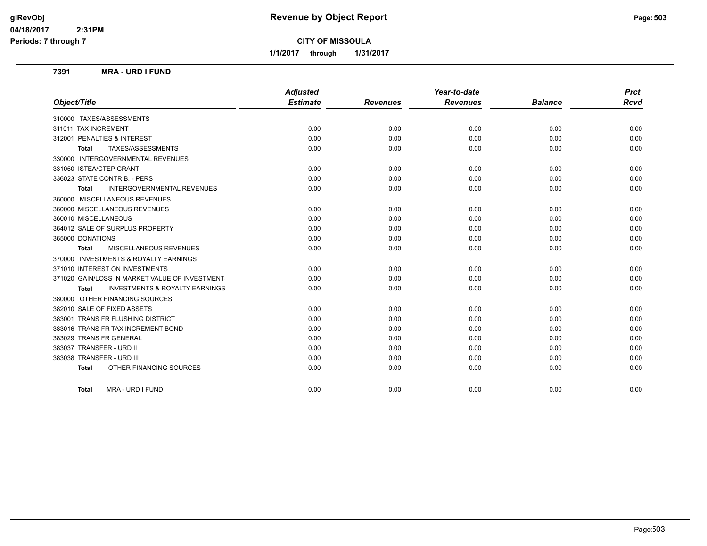**Periods: 7 through 7**

**CITY OF MISSOULA**

**1/1/2017 through 1/31/2017**

#### **7391 MRA - URD I FUND**

 **2:31PM**

|                                                           | <b>Adjusted</b> |                 | Year-to-date    |                | <b>Prct</b> |
|-----------------------------------------------------------|-----------------|-----------------|-----------------|----------------|-------------|
| Object/Title                                              | <b>Estimate</b> | <b>Revenues</b> | <b>Revenues</b> | <b>Balance</b> | <b>Rcvd</b> |
| 310000 TAXES/ASSESSMENTS                                  |                 |                 |                 |                |             |
| 311011 TAX INCREMENT                                      | 0.00            | 0.00            | 0.00            | 0.00           | 0.00        |
| 312001 PENALTIES & INTEREST                               | 0.00            | 0.00            | 0.00            | 0.00           | 0.00        |
| TAXES/ASSESSMENTS<br><b>Total</b>                         | 0.00            | 0.00            | 0.00            | 0.00           | 0.00        |
| 330000 INTERGOVERNMENTAL REVENUES                         |                 |                 |                 |                |             |
| 331050 ISTEA/CTEP GRANT                                   | 0.00            | 0.00            | 0.00            | 0.00           | 0.00        |
| 336023 STATE CONTRIB. - PERS                              | 0.00            | 0.00            | 0.00            | 0.00           | 0.00        |
| <b>INTERGOVERNMENTAL REVENUES</b><br><b>Total</b>         | 0.00            | 0.00            | 0.00            | 0.00           | 0.00        |
| 360000 MISCELLANEOUS REVENUES                             |                 |                 |                 |                |             |
| 360000 MISCELLANEOUS REVENUES                             | 0.00            | 0.00            | 0.00            | 0.00           | 0.00        |
| 360010 MISCELLANEOUS                                      | 0.00            | 0.00            | 0.00            | 0.00           | 0.00        |
| 364012 SALE OF SURPLUS PROPERTY                           | 0.00            | 0.00            | 0.00            | 0.00           | 0.00        |
| 365000 DONATIONS                                          | 0.00            | 0.00            | 0.00            | 0.00           | 0.00        |
| MISCELLANEOUS REVENUES<br><b>Total</b>                    | 0.00            | 0.00            | 0.00            | 0.00           | 0.00        |
| 370000 INVESTMENTS & ROYALTY EARNINGS                     |                 |                 |                 |                |             |
| 371010 INTEREST ON INVESTMENTS                            | 0.00            | 0.00            | 0.00            | 0.00           | 0.00        |
| 371020 GAIN/LOSS IN MARKET VALUE OF INVESTMENT            | 0.00            | 0.00            | 0.00            | 0.00           | 0.00        |
| <b>INVESTMENTS &amp; ROYALTY EARNINGS</b><br><b>Total</b> | 0.00            | 0.00            | 0.00            | 0.00           | 0.00        |
| 380000 OTHER FINANCING SOURCES                            |                 |                 |                 |                |             |
| 382010 SALE OF FIXED ASSETS                               | 0.00            | 0.00            | 0.00            | 0.00           | 0.00        |
| 383001 TRANS FR FLUSHING DISTRICT                         | 0.00            | 0.00            | 0.00            | 0.00           | 0.00        |
| 383016 TRANS FR TAX INCREMENT BOND                        | 0.00            | 0.00            | 0.00            | 0.00           | 0.00        |
| 383029 TRANS FR GENERAL                                   | 0.00            | 0.00            | 0.00            | 0.00           | 0.00        |
| 383037 TRANSFER - URD II                                  | 0.00            | 0.00            | 0.00            | 0.00           | 0.00        |
| 383038 TRANSFER - URD III                                 | 0.00            | 0.00            | 0.00            | 0.00           | 0.00        |
| OTHER FINANCING SOURCES<br><b>Total</b>                   | 0.00            | 0.00            | 0.00            | 0.00           | 0.00        |
| MRA - URD I FUND<br><b>Total</b>                          | 0.00            | 0.00            | 0.00            | 0.00           | 0.00        |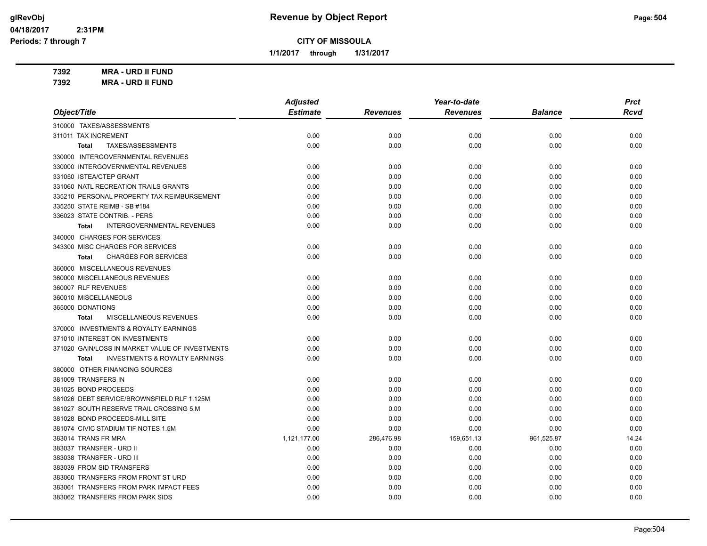**Periods: 7 through 7**

**CITY OF MISSOULA**

**1/1/2017 through 1/31/2017**

 **2:31PM**

**7392 MRA - URD II FUND**

**7392 MRA - URD II FUND**

|                                                    | <b>Adjusted</b> |                 | Year-to-date    | <b>Prct</b>    |       |
|----------------------------------------------------|-----------------|-----------------|-----------------|----------------|-------|
| Object/Title                                       | <b>Estimate</b> | <b>Revenues</b> | <b>Revenues</b> | <b>Balance</b> | Rcvd  |
| 310000 TAXES/ASSESSMENTS                           |                 |                 |                 |                |       |
| 311011 TAX INCREMENT                               | 0.00            | 0.00            | 0.00            | 0.00           | 0.00  |
| TAXES/ASSESSMENTS<br>Total                         | 0.00            | 0.00            | 0.00            | 0.00           | 0.00  |
| 330000 INTERGOVERNMENTAL REVENUES                  |                 |                 |                 |                |       |
| 330000 INTERGOVERNMENTAL REVENUES                  | 0.00            | 0.00            | 0.00            | 0.00           | 0.00  |
| 331050 ISTEA/CTEP GRANT                            | 0.00            | 0.00            | 0.00            | 0.00           | 0.00  |
| 331060 NATL RECREATION TRAILS GRANTS               | 0.00            | 0.00            | 0.00            | 0.00           | 0.00  |
| 335210 PERSONAL PROPERTY TAX REIMBURSEMENT         | 0.00            | 0.00            | 0.00            | 0.00           | 0.00  |
| 335250 STATE REIMB - SB #184                       | 0.00            | 0.00            | 0.00            | 0.00           | 0.00  |
| 336023 STATE CONTRIB. - PERS                       | 0.00            | 0.00            | 0.00            | 0.00           | 0.00  |
| INTERGOVERNMENTAL REVENUES<br><b>Total</b>         | 0.00            | 0.00            | 0.00            | 0.00           | 0.00  |
| 340000 CHARGES FOR SERVICES                        |                 |                 |                 |                |       |
| 343300 MISC CHARGES FOR SERVICES                   | 0.00            | 0.00            | 0.00            | 0.00           | 0.00  |
| <b>CHARGES FOR SERVICES</b><br>Total               | 0.00            | 0.00            | 0.00            | 0.00           | 0.00  |
| 360000 MISCELLANEOUS REVENUES                      |                 |                 |                 |                |       |
| 360000 MISCELLANEOUS REVENUES                      | 0.00            | 0.00            | 0.00            | 0.00           | 0.00  |
| 360007 RLF REVENUES                                | 0.00            | 0.00            | 0.00            | 0.00           | 0.00  |
| 360010 MISCELLANEOUS                               | 0.00            | 0.00            | 0.00            | 0.00           | 0.00  |
| 365000 DONATIONS                                   | 0.00            | 0.00            | 0.00            | 0.00           | 0.00  |
| MISCELLANEOUS REVENUES<br><b>Total</b>             | 0.00            | 0.00            | 0.00            | 0.00           | 0.00  |
| 370000 INVESTMENTS & ROYALTY EARNINGS              |                 |                 |                 |                |       |
| 371010 INTEREST ON INVESTMENTS                     | 0.00            | 0.00            | 0.00            | 0.00           | 0.00  |
| 371020 GAIN/LOSS IN MARKET VALUE OF INVESTMENTS    | 0.00            | 0.00            | 0.00            | 0.00           | 0.00  |
| <b>INVESTMENTS &amp; ROYALTY EARNINGS</b><br>Total | 0.00            | 0.00            | 0.00            | 0.00           | 0.00  |
| 380000 OTHER FINANCING SOURCES                     |                 |                 |                 |                |       |
| 381009 TRANSFERS IN                                | 0.00            | 0.00            | 0.00            | 0.00           | 0.00  |
| 381025 BOND PROCEEDS                               | 0.00            | 0.00            | 0.00            | 0.00           | 0.00  |
| 381026 DEBT SERVICE/BROWNSFIELD RLF 1.125M         | 0.00            | 0.00            | 0.00            | 0.00           | 0.00  |
| 381027 SOUTH RESERVE TRAIL CROSSING 5.M            | 0.00            | 0.00            | 0.00            | 0.00           | 0.00  |
| 381028 BOND PROCEEDS-MILL SITE                     | 0.00            | 0.00            | 0.00            | 0.00           | 0.00  |
| 381074 CIVIC STADIUM TIF NOTES 1.5M                | 0.00            | 0.00            | 0.00            | 0.00           | 0.00  |
| 383014 TRANS FR MRA                                | 1,121,177.00    | 286,476.98      | 159,651.13      | 961,525.87     | 14.24 |
| 383037 TRANSFER - URD II                           | 0.00            | 0.00            | 0.00            | 0.00           | 0.00  |
| 383038 TRANSFER - URD III                          | 0.00            | 0.00            | 0.00            | 0.00           | 0.00  |
| 383039 FROM SID TRANSFERS                          | 0.00            | 0.00            | 0.00            | 0.00           | 0.00  |
| 383060 TRANSFERS FROM FRONT ST URD                 | 0.00            | 0.00            | 0.00            | 0.00           | 0.00  |
| 383061 TRANSFERS FROM PARK IMPACT FEES             | 0.00            | 0.00            | 0.00            | 0.00           | 0.00  |
| 383062 TRANSFERS FROM PARK SIDS                    | 0.00            | 0.00            | 0.00            | 0.00           | 0.00  |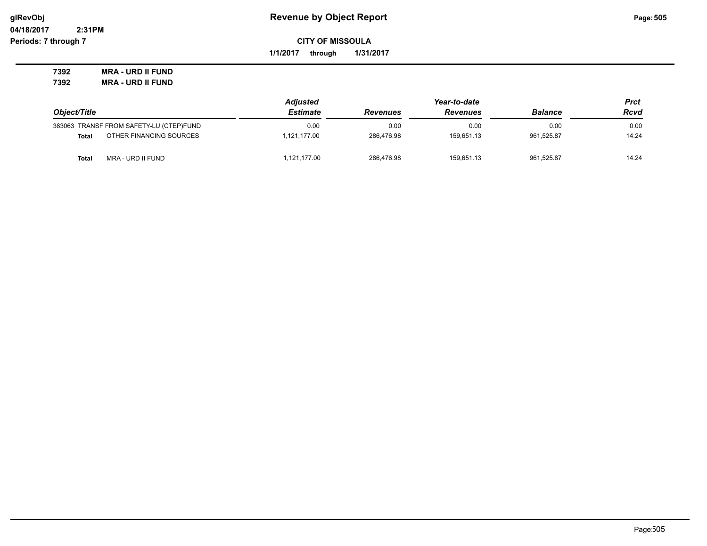**04/18/2017 2:31PM Periods: 7 through 7**

**CITY OF MISSOULA 1/1/2017 through 1/31/2017**

**7392 MRA - URD II FUND 7392 MRA - URD II FUND**

|                                         | <b>Adjusted</b> |                 | Year-to-date    |                | <b>Prct</b> |
|-----------------------------------------|-----------------|-----------------|-----------------|----------------|-------------|
| Object/Title                            | <b>Estimate</b> | <b>Revenues</b> | <b>Revenues</b> | <b>Balance</b> | Rcvd        |
| 383063 TRANSF FROM SAFETY-LU (CTEP)FUND | 0.00            | 0.00            | 0.00            | 0.00           | 0.00        |
| OTHER FINANCING SOURCES<br>Total        | 1.121.177.00    | 286.476.98      | 159.651.13      | 961.525.87     | 14.24       |
| MRA - URD II FUND<br>Total              | 1,121,177.00    | 286.476.98      | 159.651.13      | 961.525.87     | 14.24       |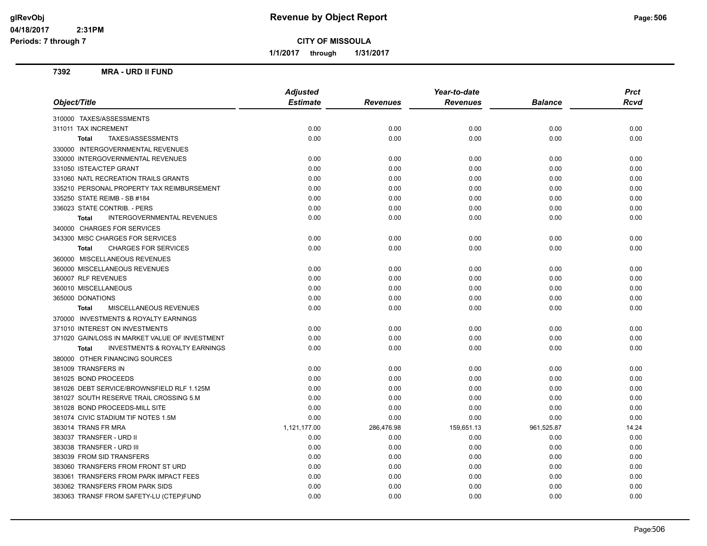**Periods: 7 through 7**

**CITY OF MISSOULA**

**1/1/2017 through 1/31/2017**

#### **7392 MRA - URD II FUND**

 **2:31PM**

|                                                           | <b>Adjusted</b> |                 | Year-to-date    |                | <b>Prct</b> |
|-----------------------------------------------------------|-----------------|-----------------|-----------------|----------------|-------------|
| Object/Title                                              | <b>Estimate</b> | <b>Revenues</b> | <b>Revenues</b> | <b>Balance</b> | <b>Rcvd</b> |
| 310000 TAXES/ASSESSMENTS                                  |                 |                 |                 |                |             |
| 311011 TAX INCREMENT                                      | 0.00            | 0.00            | 0.00            | 0.00           | 0.00        |
| TAXES/ASSESSMENTS<br><b>Total</b>                         | 0.00            | 0.00            | 0.00            | 0.00           | 0.00        |
| 330000 INTERGOVERNMENTAL REVENUES                         |                 |                 |                 |                |             |
| 330000 INTERGOVERNMENTAL REVENUES                         | 0.00            | 0.00            | 0.00            | 0.00           | 0.00        |
| 331050 ISTEA/CTEP GRANT                                   | 0.00            | 0.00            | 0.00            | 0.00           | 0.00        |
| 331060 NATL RECREATION TRAILS GRANTS                      | 0.00            | 0.00            | 0.00            | 0.00           | 0.00        |
| 335210 PERSONAL PROPERTY TAX REIMBURSEMENT                | 0.00            | 0.00            | 0.00            | 0.00           | 0.00        |
| 335250 STATE REIMB - SB #184                              | 0.00            | 0.00            | 0.00            | 0.00           | 0.00        |
| 336023 STATE CONTRIB. - PERS                              | 0.00            | 0.00            | 0.00            | 0.00           | 0.00        |
| <b>INTERGOVERNMENTAL REVENUES</b><br><b>Total</b>         | 0.00            | 0.00            | 0.00            | 0.00           | 0.00        |
| 340000 CHARGES FOR SERVICES                               |                 |                 |                 |                |             |
| 343300 MISC CHARGES FOR SERVICES                          | 0.00            | 0.00            | 0.00            | 0.00           | 0.00        |
| <b>CHARGES FOR SERVICES</b><br><b>Total</b>               | 0.00            | 0.00            | 0.00            | 0.00           | 0.00        |
| 360000 MISCELLANEOUS REVENUES                             |                 |                 |                 |                |             |
| 360000 MISCELLANEOUS REVENUES                             | 0.00            | 0.00            | 0.00            | 0.00           | 0.00        |
| 360007 RLF REVENUES                                       | 0.00            | 0.00            | 0.00            | 0.00           | 0.00        |
| 360010 MISCELLANEOUS                                      | 0.00            | 0.00            | 0.00            | 0.00           | 0.00        |
| 365000 DONATIONS                                          | 0.00            | 0.00            | 0.00            | 0.00           | 0.00        |
| MISCELLANEOUS REVENUES<br><b>Total</b>                    | 0.00            | 0.00            | 0.00            | 0.00           | 0.00        |
| 370000 INVESTMENTS & ROYALTY EARNINGS                     |                 |                 |                 |                |             |
| 371010 INTEREST ON INVESTMENTS                            | 0.00            | 0.00            | 0.00            | 0.00           | 0.00        |
| 371020 GAIN/LOSS IN MARKET VALUE OF INVESTMENT            | 0.00            | 0.00            | 0.00            | 0.00           | 0.00        |
| <b>INVESTMENTS &amp; ROYALTY EARNINGS</b><br><b>Total</b> | 0.00            | 0.00            | 0.00            | 0.00           | 0.00        |
| 380000 OTHER FINANCING SOURCES                            |                 |                 |                 |                |             |
| 381009 TRANSFERS IN                                       | 0.00            | 0.00            | 0.00            | 0.00           | 0.00        |
| 381025 BOND PROCEEDS                                      | 0.00            | 0.00            | 0.00            | 0.00           | 0.00        |
| 381026 DEBT SERVICE/BROWNSFIELD RLF 1.125M                | 0.00            | 0.00            | 0.00            | 0.00           | 0.00        |
| 381027 SOUTH RESERVE TRAIL CROSSING 5.M                   | 0.00            | 0.00            | 0.00            | 0.00           | 0.00        |
| 381028 BOND PROCEEDS-MILL SITE                            | 0.00            | 0.00            | 0.00            | 0.00           | 0.00        |
| 381074 CIVIC STADIUM TIF NOTES 1.5M                       | 0.00            | 0.00            | 0.00            | 0.00           | 0.00        |
| 383014 TRANS FR MRA                                       | 1,121,177.00    | 286,476.98      | 159,651.13      | 961,525.87     | 14.24       |
| 383037 TRANSFER - URD II                                  | 0.00            | 0.00            | 0.00            | 0.00           | 0.00        |
| 383038 TRANSFER - URD III                                 | 0.00            | 0.00            | 0.00            | 0.00           | 0.00        |
| 383039 FROM SID TRANSFERS                                 | 0.00            | 0.00            | 0.00            | 0.00           | 0.00        |
| 383060 TRANSFERS FROM FRONT ST URD                        | 0.00            | 0.00            | 0.00            | 0.00           | 0.00        |
| 383061 TRANSFERS FROM PARK IMPACT FEES                    | 0.00            | 0.00            | 0.00            | 0.00           | 0.00        |
| 383062 TRANSFERS FROM PARK SIDS                           | 0.00            | 0.00            | 0.00            | 0.00           | 0.00        |
| 383063 TRANSF FROM SAFETY-LU (CTEP)FUND                   | 0.00            | 0.00            | 0.00            | 0.00           | 0.00        |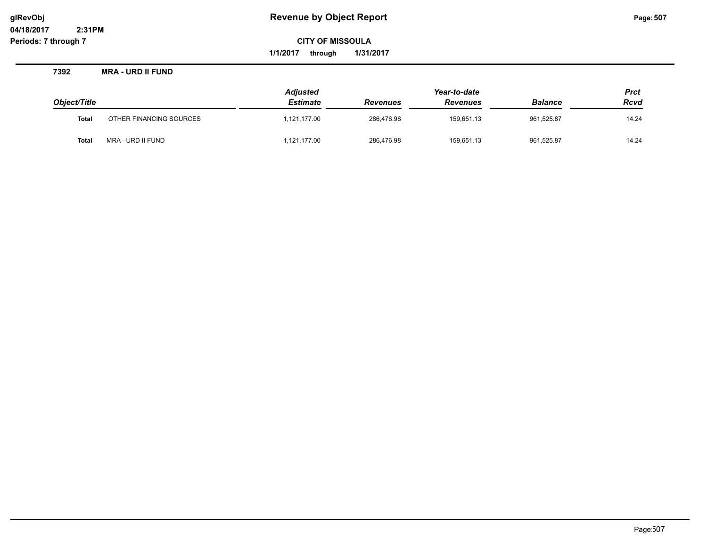**04/18/2017 2:31PM Periods: 7 through 7**

**CITY OF MISSOULA**

**1/1/2017 through 1/31/2017**

**7392 MRA - URD II FUND**

| Object/Title |                         | <b>Adjusted</b> | Year-to-date    |                 |                | <b>Prct</b> |
|--------------|-------------------------|-----------------|-----------------|-----------------|----------------|-------------|
|              |                         | <b>Estimate</b> | <b>Revenues</b> | <b>Revenues</b> | <b>Balance</b> | Rcvd        |
| <b>Total</b> | OTHER FINANCING SOURCES | 1.121.177.00    | 286.476.98      | 159.651.13      | 961,525.87     | 14.24       |
| <b>Total</b> | MRA - URD II FUND       | 1,121,177.00    | 286,476.98      | 159,651.13      | 961,525.87     | 14.24       |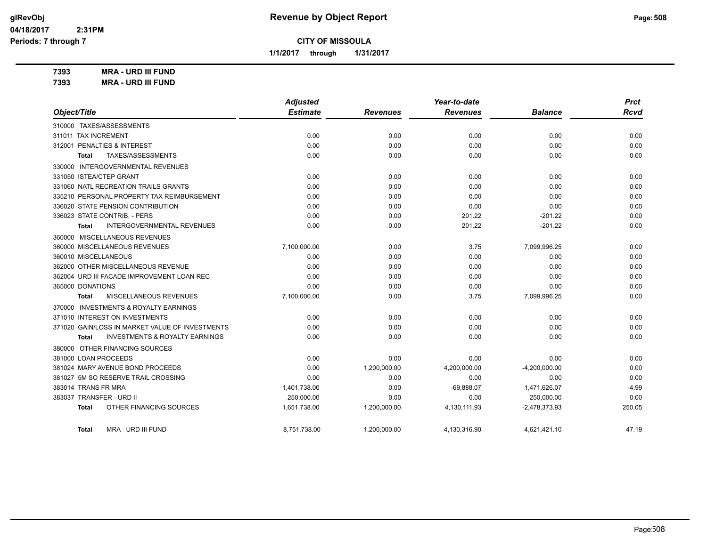**1/1/2017 through 1/31/2017**

**7393 MRA - URD III FUND 7393 MRA - URD III FUND**

|                                                    | <b>Adjusted</b> |                 | Year-to-date    |                 | <b>Prct</b> |
|----------------------------------------------------|-----------------|-----------------|-----------------|-----------------|-------------|
| Object/Title                                       | <b>Estimate</b> | <b>Revenues</b> | <b>Revenues</b> | <b>Balance</b>  | Rcvd        |
| 310000 TAXES/ASSESSMENTS                           |                 |                 |                 |                 |             |
| 311011 TAX INCREMENT                               | 0.00            | 0.00            | 0.00            | 0.00            | 0.00        |
| 312001 PENALTIES & INTEREST                        | 0.00            | 0.00            | 0.00            | 0.00            | 0.00        |
| TAXES/ASSESSMENTS<br>Total                         | 0.00            | 0.00            | 0.00            | 0.00            | 0.00        |
| 330000 INTERGOVERNMENTAL REVENUES                  |                 |                 |                 |                 |             |
| 331050 ISTEA/CTEP GRANT                            | 0.00            | 0.00            | 0.00            | 0.00            | 0.00        |
| 331060 NATL RECREATION TRAILS GRANTS               | 0.00            | 0.00            | 0.00            | 0.00            | 0.00        |
| 335210 PERSONAL PROPERTY TAX REIMBURSEMENT         | 0.00            | 0.00            | 0.00            | 0.00            | 0.00        |
| 336020 STATE PENSION CONTRIBUTION                  | 0.00            | 0.00            | 0.00            | 0.00            | 0.00        |
| 336023 STATE CONTRIB. - PERS                       | 0.00            | 0.00            | 201.22          | $-201.22$       | 0.00        |
| <b>INTERGOVERNMENTAL REVENUES</b><br>Total         | 0.00            | 0.00            | 201.22          | $-201.22$       | 0.00        |
| 360000 MISCELLANEOUS REVENUES                      |                 |                 |                 |                 |             |
| 360000 MISCELLANEOUS REVENUES                      | 7,100,000.00    | 0.00            | 3.75            | 7,099,996.25    | 0.00        |
| 360010 MISCELLANEOUS                               | 0.00            | 0.00            | 0.00            | 0.00            | 0.00        |
| 362000 OTHER MISCELLANEOUS REVENUE                 | 0.00            | 0.00            | 0.00            | 0.00            | 0.00        |
| 362004 URD III FACADE IMPROVEMENT LOAN REC         | 0.00            | 0.00            | 0.00            | 0.00            | 0.00        |
| 365000 DONATIONS                                   | 0.00            | 0.00            | 0.00            | 0.00            | 0.00        |
| MISCELLANEOUS REVENUES<br><b>Total</b>             | 7,100,000.00    | 0.00            | 3.75            | 7,099,996.25    | 0.00        |
| 370000 INVESTMENTS & ROYALTY EARNINGS              |                 |                 |                 |                 |             |
| 371010 INTEREST ON INVESTMENTS                     | 0.00            | 0.00            | 0.00            | 0.00            | 0.00        |
| 371020 GAIN/LOSS IN MARKET VALUE OF INVESTMENTS    | 0.00            | 0.00            | 0.00            | 0.00            | 0.00        |
| <b>INVESTMENTS &amp; ROYALTY EARNINGS</b><br>Total | 0.00            | 0.00            | 0.00            | 0.00            | 0.00        |
| 380000 OTHER FINANCING SOURCES                     |                 |                 |                 |                 |             |
| 381000 LOAN PROCEEDS                               | 0.00            | 0.00            | 0.00            | 0.00            | 0.00        |
| 381024 MARY AVENUE BOND PROCEEDS                   | 0.00            | 1,200,000.00    | 4,200,000.00    | $-4,200,000.00$ | 0.00        |
| 381027 5M SO RESERVE TRAIL CROSSING                | 0.00            | 0.00            | 0.00            | 0.00            | 0.00        |
| 383014 TRANS FR MRA                                | 1,401,738.00    | 0.00            | $-69,888.07$    | 1,471,626.07    | $-4.99$     |
| 383037 TRANSFER - URD II                           | 250,000.00      | 0.00            | 0.00            | 250,000.00      | 0.00        |
| OTHER FINANCING SOURCES<br>Total                   | 1,651,738.00    | 1,200,000.00    | 4,130,111.93    | $-2,478,373.93$ | 250.05      |
| MRA - URD III FUND<br>Total                        | 8,751,738.00    | 1,200,000.00    | 4,130,316.90    | 4,621,421.10    | 47.19       |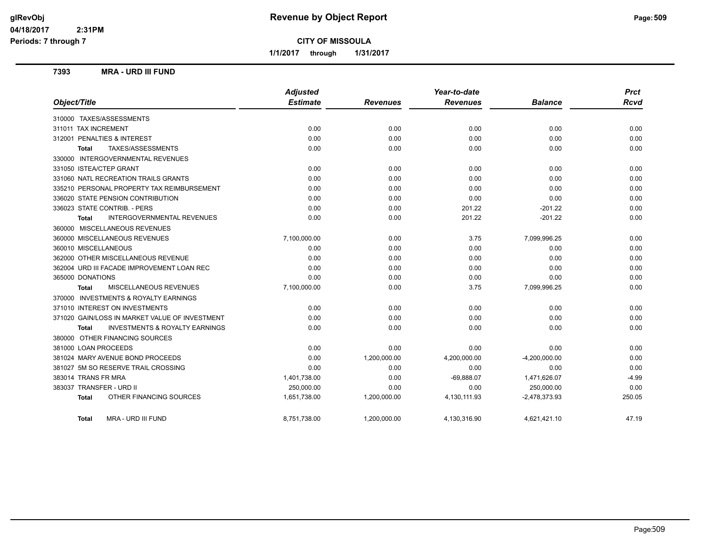**1/1/2017 through 1/31/2017**

#### **7393 MRA - URD III FUND**

|                                                    | <b>Adjusted</b> |                 | Year-to-date    |                 | <b>Prct</b> |
|----------------------------------------------------|-----------------|-----------------|-----------------|-----------------|-------------|
| Object/Title                                       | <b>Estimate</b> | <b>Revenues</b> | <b>Revenues</b> | <b>Balance</b>  | <b>Rcvd</b> |
| 310000 TAXES/ASSESSMENTS                           |                 |                 |                 |                 |             |
| 311011 TAX INCREMENT                               | 0.00            | 0.00            | 0.00            | 0.00            | 0.00        |
| 312001 PENALTIES & INTEREST                        | 0.00            | 0.00            | 0.00            | 0.00            | 0.00        |
| TAXES/ASSESSMENTS<br>Total                         | 0.00            | 0.00            | 0.00            | 0.00            | 0.00        |
| 330000 INTERGOVERNMENTAL REVENUES                  |                 |                 |                 |                 |             |
| 331050 ISTEA/CTEP GRANT                            | 0.00            | 0.00            | 0.00            | 0.00            | 0.00        |
| 331060 NATL RECREATION TRAILS GRANTS               | 0.00            | 0.00            | 0.00            | 0.00            | 0.00        |
| 335210 PERSONAL PROPERTY TAX REIMBURSEMENT         | 0.00            | 0.00            | 0.00            | 0.00            | 0.00        |
| 336020 STATE PENSION CONTRIBUTION                  | 0.00            | 0.00            | 0.00            | 0.00            | 0.00        |
| 336023 STATE CONTRIB. - PERS                       | 0.00            | 0.00            | 201.22          | $-201.22$       | 0.00        |
| INTERGOVERNMENTAL REVENUES<br>Total                | 0.00            | 0.00            | 201.22          | $-201.22$       | 0.00        |
| 360000 MISCELLANEOUS REVENUES                      |                 |                 |                 |                 |             |
| 360000 MISCELLANEOUS REVENUES                      | 7,100,000.00    | 0.00            | 3.75            | 7,099,996.25    | 0.00        |
| 360010 MISCELLANEOUS                               | 0.00            | 0.00            | 0.00            | 0.00            | 0.00        |
| 362000 OTHER MISCELLANEOUS REVENUE                 | 0.00            | 0.00            | 0.00            | 0.00            | 0.00        |
| 362004 URD III FACADE IMPROVEMENT LOAN REC         | 0.00            | 0.00            | 0.00            | 0.00            | 0.00        |
| 365000 DONATIONS                                   | 0.00            | 0.00            | 0.00            | 0.00            | 0.00        |
| MISCELLANEOUS REVENUES<br>Total                    | 7,100,000.00    | 0.00            | 3.75            | 7,099,996.25    | 0.00        |
| 370000 INVESTMENTS & ROYALTY EARNINGS              |                 |                 |                 |                 |             |
| 371010 INTEREST ON INVESTMENTS                     | 0.00            | 0.00            | 0.00            | 0.00            | 0.00        |
| 371020 GAIN/LOSS IN MARKET VALUE OF INVESTMENT     | 0.00            | 0.00            | 0.00            | 0.00            | 0.00        |
| <b>INVESTMENTS &amp; ROYALTY EARNINGS</b><br>Total | 0.00            | 0.00            | 0.00            | 0.00            | 0.00        |
| 380000 OTHER FINANCING SOURCES                     |                 |                 |                 |                 |             |
| 381000 LOAN PROCEEDS                               | 0.00            | 0.00            | 0.00            | 0.00            | 0.00        |
| 381024 MARY AVENUE BOND PROCEEDS                   | 0.00            | 1,200,000.00    | 4,200,000.00    | $-4,200,000.00$ | 0.00        |
| 381027 5M SO RESERVE TRAIL CROSSING                | 0.00            | 0.00            | 0.00            | 0.00            | 0.00        |
| 383014 TRANS FR MRA                                | 1.401.738.00    | 0.00            | $-69.888.07$    | 1,471,626.07    | $-4.99$     |
| 383037 TRANSFER - URD II                           | 250,000.00      | 0.00            | 0.00            | 250,000.00      | 0.00        |
| OTHER FINANCING SOURCES<br><b>Total</b>            | 1,651,738.00    | 1,200,000.00    | 4,130,111.93    | $-2,478,373.93$ | 250.05      |
| MRA - URD III FUND<br><b>Total</b>                 | 8,751,738.00    | 1,200,000.00    | 4,130,316.90    | 4,621,421.10    | 47.19       |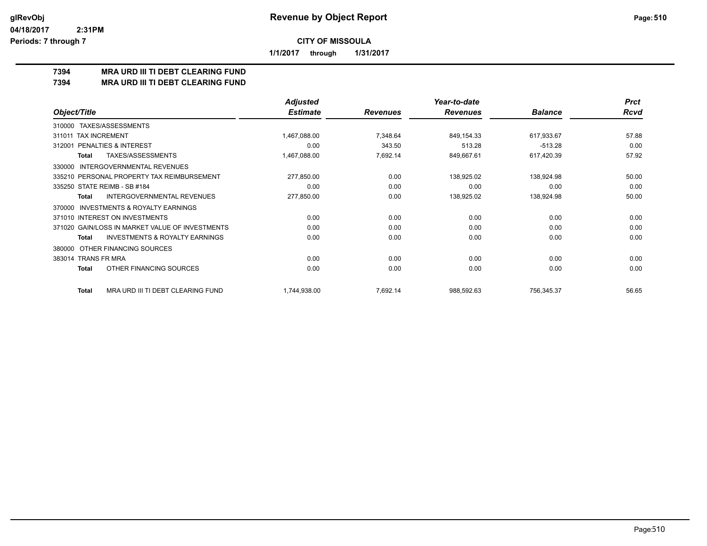**1/1/2017 through 1/31/2017**

# **7394 MRA URD III TI DEBT CLEARING FUND**

**7394 MRA URD III TI DEBT CLEARING FUND**

|                                                     | <b>Adjusted</b> |                 | Year-to-date    |                | <b>Prct</b> |
|-----------------------------------------------------|-----------------|-----------------|-----------------|----------------|-------------|
| Object/Title                                        | <b>Estimate</b> | <b>Revenues</b> | <b>Revenues</b> | <b>Balance</b> | Rcvd        |
| TAXES/ASSESSMENTS<br>310000                         |                 |                 |                 |                |             |
| 311011 TAX INCREMENT                                | 1,467,088.00    | 7,348.64        | 849,154.33      | 617,933.67     | 57.88       |
| <b>PENALTIES &amp; INTEREST</b><br>312001           | 0.00            | 343.50          | 513.28          | $-513.28$      | 0.00        |
| TAXES/ASSESSMENTS<br>Total                          | 1,467,088.00    | 7,692.14        | 849,667.61      | 617,420.39     | 57.92       |
| INTERGOVERNMENTAL REVENUES<br>330000                |                 |                 |                 |                |             |
| 335210 PERSONAL PROPERTY TAX REIMBURSEMENT          | 277,850.00      | 0.00            | 138,925.02      | 138,924.98     | 50.00       |
| 335250 STATE REIMB - SB #184                        | 0.00            | 0.00            | 0.00            | 0.00           | 0.00        |
| <b>INTERGOVERNMENTAL REVENUES</b><br>Total          | 277,850.00      | 0.00            | 138,925.02      | 138,924.98     | 50.00       |
| <b>INVESTMENTS &amp; ROYALTY EARNINGS</b><br>370000 |                 |                 |                 |                |             |
| 371010 INTEREST ON INVESTMENTS                      | 0.00            | 0.00            | 0.00            | 0.00           | 0.00        |
| 371020 GAIN/LOSS IN MARKET VALUE OF INVESTMENTS     | 0.00            | 0.00            | 0.00            | 0.00           | 0.00        |
| <b>INVESTMENTS &amp; ROYALTY EARNINGS</b><br>Total  | 0.00            | 0.00            | 0.00            | 0.00           | 0.00        |
| OTHER FINANCING SOURCES<br>380000                   |                 |                 |                 |                |             |
| 383014 TRANS FR MRA                                 | 0.00            | 0.00            | 0.00            | 0.00           | 0.00        |
| OTHER FINANCING SOURCES<br>Total                    | 0.00            | 0.00            | 0.00            | 0.00           | 0.00        |
| MRA URD III TI DEBT CLEARING FUND<br><b>Total</b>   | 1,744,938.00    | 7,692.14        | 988,592.63      | 756,345.37     | 56.65       |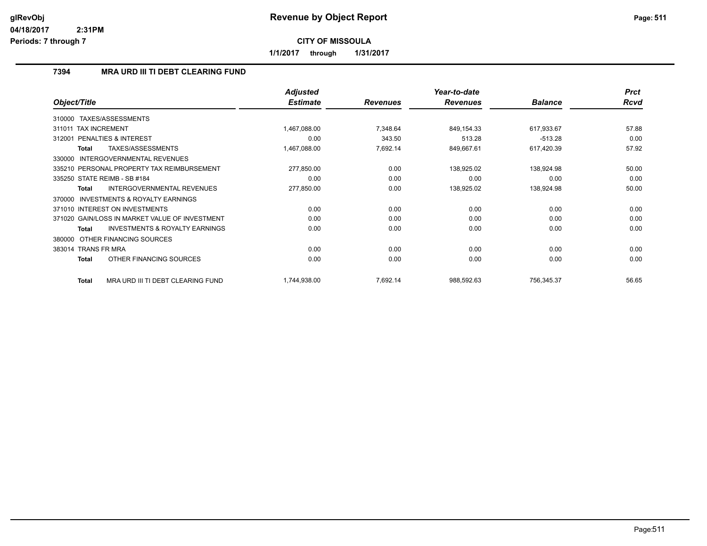**1/1/2017 through 1/31/2017**

# **7394 MRA URD III TI DEBT CLEARING FUND**

|                                                     | <b>Adjusted</b> |                 | Year-to-date    |                | <b>Prct</b> |
|-----------------------------------------------------|-----------------|-----------------|-----------------|----------------|-------------|
| Object/Title                                        | <b>Estimate</b> | <b>Revenues</b> | <b>Revenues</b> | <b>Balance</b> | <b>Rcvd</b> |
| TAXES/ASSESSMENTS<br>310000                         |                 |                 |                 |                |             |
| 311011 TAX INCREMENT                                | 1,467,088.00    | 7,348.64        | 849,154.33      | 617,933.67     | 57.88       |
| 312001 PENALTIES & INTEREST                         | 0.00            | 343.50          | 513.28          | $-513.28$      | 0.00        |
| TAXES/ASSESSMENTS<br>Total                          | 1,467,088.00    | 7,692.14        | 849,667.61      | 617,420.39     | 57.92       |
| <b>INTERGOVERNMENTAL REVENUES</b><br>330000         |                 |                 |                 |                |             |
| 335210 PERSONAL PROPERTY TAX REIMBURSEMENT          | 277,850.00      | 0.00            | 138,925.02      | 138,924.98     | 50.00       |
| 335250 STATE REIMB - SB #184                        | 0.00            | 0.00            | 0.00            | 0.00           | 0.00        |
| <b>Total</b><br><b>INTERGOVERNMENTAL REVENUES</b>   | 277,850.00      | 0.00            | 138,925.02      | 138,924.98     | 50.00       |
| <b>INVESTMENTS &amp; ROYALTY EARNINGS</b><br>370000 |                 |                 |                 |                |             |
| 371010 INTEREST ON INVESTMENTS                      | 0.00            | 0.00            | 0.00            | 0.00           | 0.00        |
| 371020 GAIN/LOSS IN MARKET VALUE OF INVESTMENT      | 0.00            | 0.00            | 0.00            | 0.00           | 0.00        |
| <b>INVESTMENTS &amp; ROYALTY EARNINGS</b><br>Total  | 0.00            | 0.00            | 0.00            | 0.00           | 0.00        |
| OTHER FINANCING SOURCES<br>380000                   |                 |                 |                 |                |             |
| 383014 TRANS FR MRA                                 | 0.00            | 0.00            | 0.00            | 0.00           | 0.00        |
| OTHER FINANCING SOURCES<br><b>Total</b>             | 0.00            | 0.00            | 0.00            | 0.00           | 0.00        |
| MRA URD III TI DEBT CLEARING FUND<br>Total          | 1,744,938.00    | 7,692.14        | 988,592.63      | 756,345.37     | 56.65       |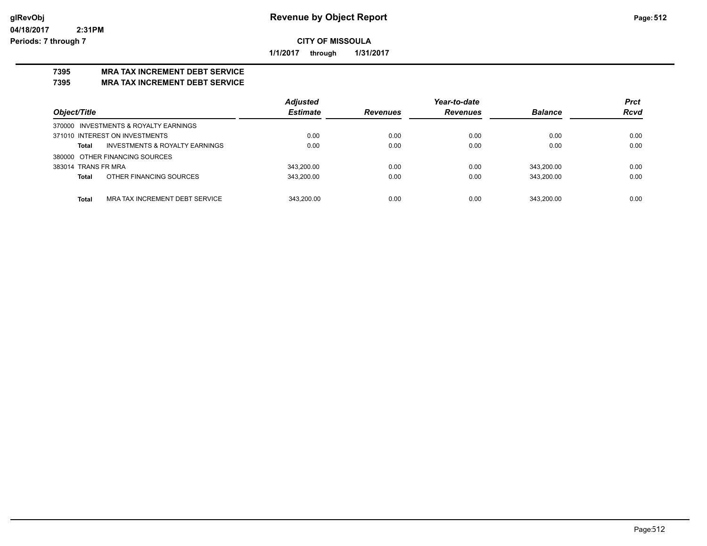**1/1/2017 through 1/31/2017**

# **7395 MRA TAX INCREMENT DEBT SERVICE 7395 MRA TAX INCREMENT DEBT SERVICE**

|                                                    | <b>Adjusted</b> |                 | Year-to-date    |                | <b>Prct</b> |
|----------------------------------------------------|-----------------|-----------------|-----------------|----------------|-------------|
| Object/Title                                       | <b>Estimate</b> | <b>Revenues</b> | <b>Revenues</b> | <b>Balance</b> | <b>Rcvd</b> |
| 370000 INVESTMENTS & ROYALTY EARNINGS              |                 |                 |                 |                |             |
| 371010 INTEREST ON INVESTMENTS                     | 0.00            | 0.00            | 0.00            | 0.00           | 0.00        |
| <b>INVESTMENTS &amp; ROYALTY EARNINGS</b><br>Total | 0.00            | 0.00            | 0.00            | 0.00           | 0.00        |
| 380000 OTHER FINANCING SOURCES                     |                 |                 |                 |                |             |
| 383014 TRANS FR MRA                                | 343.200.00      | 0.00            | 0.00            | 343.200.00     | 0.00        |
| OTHER FINANCING SOURCES<br><b>Total</b>            | 343,200.00      | 0.00            | 0.00            | 343,200.00     | 0.00        |
| MRA TAX INCREMENT DEBT SERVICE<br><b>Total</b>     | 343.200.00      | 0.00            | 0.00            | 343.200.00     | 0.00        |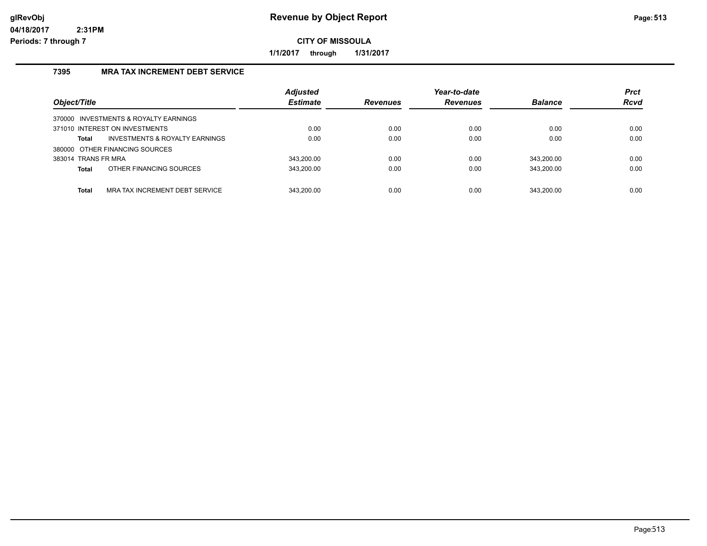**1/1/2017 through 1/31/2017**

# **7395 MRA TAX INCREMENT DEBT SERVICE**

|                     |                                           | <b>Adjusted</b> | Year-to-date    |                 |                | <b>Prct</b> |
|---------------------|-------------------------------------------|-----------------|-----------------|-----------------|----------------|-------------|
| Object/Title        |                                           | <b>Estimate</b> | <b>Revenues</b> | <b>Revenues</b> | <b>Balance</b> | <b>Rcvd</b> |
|                     | 370000 INVESTMENTS & ROYALTY EARNINGS     |                 |                 |                 |                |             |
|                     | 371010 INTEREST ON INVESTMENTS            | 0.00            | 0.00            | 0.00            | 0.00           | 0.00        |
| Total               | <b>INVESTMENTS &amp; ROYALTY EARNINGS</b> | 0.00            | 0.00            | 0.00            | 0.00           | 0.00        |
|                     | 380000 OTHER FINANCING SOURCES            |                 |                 |                 |                |             |
| 383014 TRANS FR MRA |                                           | 343,200.00      | 0.00            | 0.00            | 343.200.00     | 0.00        |
| Total               | OTHER FINANCING SOURCES                   | 343,200.00      | 0.00            | 0.00            | 343,200.00     | 0.00        |
| <b>Total</b>        | MRA TAX INCREMENT DEBT SERVICE            | 343.200.00      | 0.00            | 0.00            | 343.200.00     | 0.00        |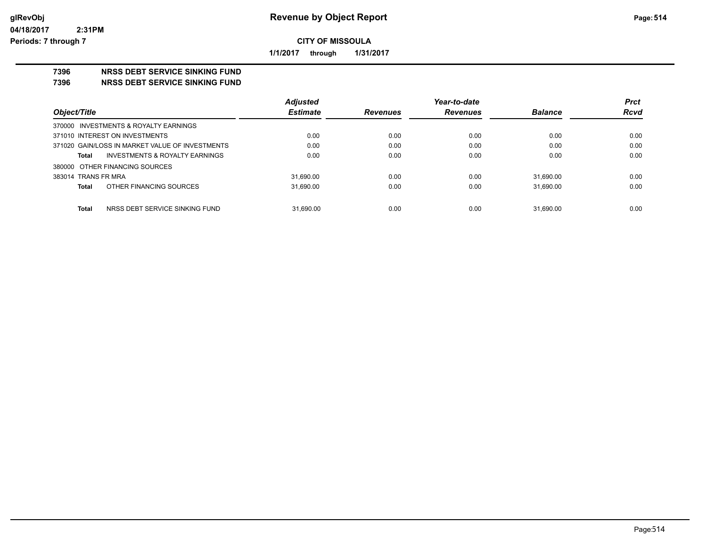**1/1/2017 through 1/31/2017**

# **7396 NRSS DEBT SERVICE SINKING FUND 7396 NRSS DEBT SERVICE SINKING FUND**

|                                                     | <b>Adiusted</b> |                 | Year-to-date    |                | <b>Prct</b> |
|-----------------------------------------------------|-----------------|-----------------|-----------------|----------------|-------------|
| Object/Title                                        | <b>Estimate</b> | <b>Revenues</b> | <b>Revenues</b> | <b>Balance</b> | <b>Rcvd</b> |
| <b>INVESTMENTS &amp; ROYALTY EARNINGS</b><br>370000 |                 |                 |                 |                |             |
| 371010 INTEREST ON INVESTMENTS                      | 0.00            | 0.00            | 0.00            | 0.00           | 0.00        |
| 371020 GAIN/LOSS IN MARKET VALUE OF INVESTMENTS     | 0.00            | 0.00            | 0.00            | 0.00           | 0.00        |
| INVESTMENTS & ROYALTY EARNINGS<br>Total             | 0.00            | 0.00            | 0.00            | 0.00           | 0.00        |
| 380000 OTHER FINANCING SOURCES                      |                 |                 |                 |                |             |
| 383014 TRANS FR MRA                                 | 31.690.00       | 0.00            | 0.00            | 31.690.00      | 0.00        |
| OTHER FINANCING SOURCES<br>Total                    | 31.690.00       | 0.00            | 0.00            | 31.690.00      | 0.00        |
|                                                     |                 |                 |                 |                |             |
| Total<br>NRSS DEBT SERVICE SINKING FUND             | 31.690.00       | 0.00            | 0.00            | 31.690.00      | 0.00        |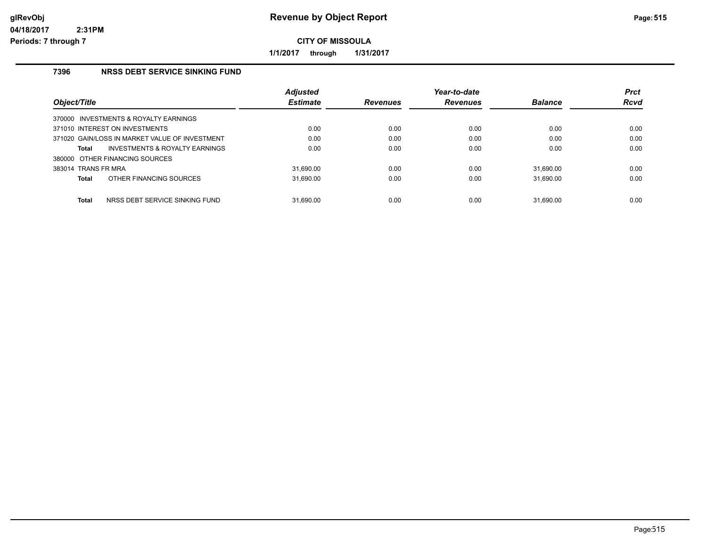**1/1/2017 through 1/31/2017**

# **7396 NRSS DEBT SERVICE SINKING FUND**

|                     |                                                | <b>Adjusted</b> |                 | Year-to-date   |             | <b>Prct</b> |
|---------------------|------------------------------------------------|-----------------|-----------------|----------------|-------------|-------------|
| Object/Title        | <b>Estimate</b>                                | <b>Revenues</b> | <b>Revenues</b> | <b>Balance</b> | <b>Rcvd</b> |             |
|                     | 370000 INVESTMENTS & ROYALTY EARNINGS          |                 |                 |                |             |             |
|                     | 371010 INTEREST ON INVESTMENTS                 | 0.00            | 0.00            | 0.00           | 0.00        | 0.00        |
|                     | 371020 GAIN/LOSS IN MARKET VALUE OF INVESTMENT | 0.00            | 0.00            | 0.00           | 0.00        | 0.00        |
| Total               | INVESTMENTS & ROYALTY EARNINGS                 | 0.00            | 0.00            | 0.00           | 0.00        | 0.00        |
|                     | 380000 OTHER FINANCING SOURCES                 |                 |                 |                |             |             |
| 383014 TRANS FR MRA |                                                | 31.690.00       | 0.00            | 0.00           | 31.690.00   | 0.00        |
| Total               | OTHER FINANCING SOURCES                        | 31.690.00       | 0.00            | 0.00           | 31.690.00   | 0.00        |
| <b>Total</b>        | NRSS DEBT SERVICE SINKING FUND                 | 31.690.00       | 0.00            | 0.00           | 31.690.00   | 0.00        |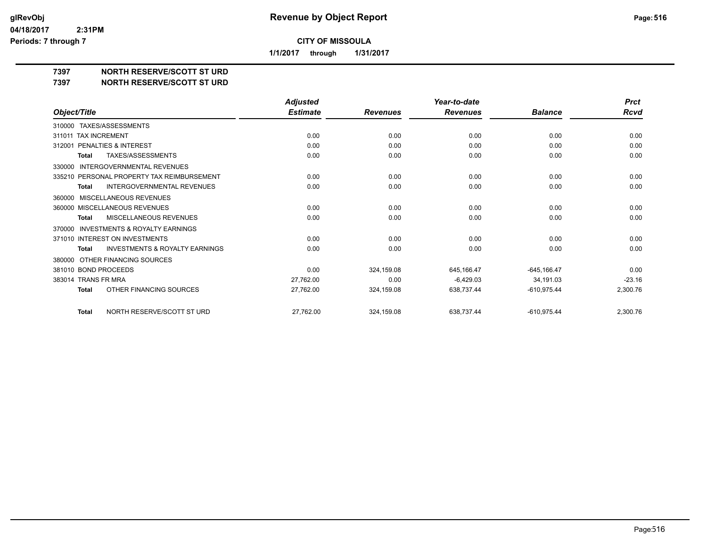**1/1/2017 through 1/31/2017**

**7397 NORTH RESERVE/SCOTT ST URD**

**7397 NORTH RESERVE/SCOTT ST URD**

|                                                     | <b>Adjusted</b> |                 | Year-to-date    |                | <b>Prct</b> |
|-----------------------------------------------------|-----------------|-----------------|-----------------|----------------|-------------|
| Object/Title                                        | <b>Estimate</b> | <b>Revenues</b> | <b>Revenues</b> | <b>Balance</b> | <b>Rcvd</b> |
| TAXES/ASSESSMENTS<br>310000                         |                 |                 |                 |                |             |
| 311011 TAX INCREMENT                                | 0.00            | 0.00            | 0.00            | 0.00           | 0.00        |
| PENALTIES & INTEREST<br>312001                      | 0.00            | 0.00            | 0.00            | 0.00           | 0.00        |
| TAXES/ASSESSMENTS<br><b>Total</b>                   | 0.00            | 0.00            | 0.00            | 0.00           | 0.00        |
| <b>INTERGOVERNMENTAL REVENUES</b><br>330000         |                 |                 |                 |                |             |
| 335210 PERSONAL PROPERTY TAX REIMBURSEMENT          | 0.00            | 0.00            | 0.00            | 0.00           | 0.00        |
| <b>INTERGOVERNMENTAL REVENUES</b><br><b>Total</b>   | 0.00            | 0.00            | 0.00            | 0.00           | 0.00        |
| MISCELLANEOUS REVENUES<br>360000                    |                 |                 |                 |                |             |
| 360000 MISCELLANEOUS REVENUES                       | 0.00            | 0.00            | 0.00            | 0.00           | 0.00        |
| <b>MISCELLANEOUS REVENUES</b><br><b>Total</b>       | 0.00            | 0.00            | 0.00            | 0.00           | 0.00        |
| <b>INVESTMENTS &amp; ROYALTY EARNINGS</b><br>370000 |                 |                 |                 |                |             |
| 371010 INTEREST ON INVESTMENTS                      | 0.00            | 0.00            | 0.00            | 0.00           | 0.00        |
| <b>INVESTMENTS &amp; ROYALTY EARNINGS</b><br>Total  | 0.00            | 0.00            | 0.00            | 0.00           | 0.00        |
| OTHER FINANCING SOURCES<br>380000                   |                 |                 |                 |                |             |
| 381010 BOND PROCEEDS                                | 0.00            | 324,159.08      | 645,166.47      | $-645, 166.47$ | 0.00        |
| 383014 TRANS FR MRA                                 | 27,762.00       | 0.00            | $-6,429.03$     | 34,191.03      | $-23.16$    |
| OTHER FINANCING SOURCES<br><b>Total</b>             | 27,762.00       | 324,159.08      | 638,737.44      | $-610,975.44$  | 2,300.76    |
| NORTH RESERVE/SCOTT ST URD<br><b>Total</b>          | 27,762.00       | 324,159.08      | 638,737.44      | $-610.975.44$  | 2,300.76    |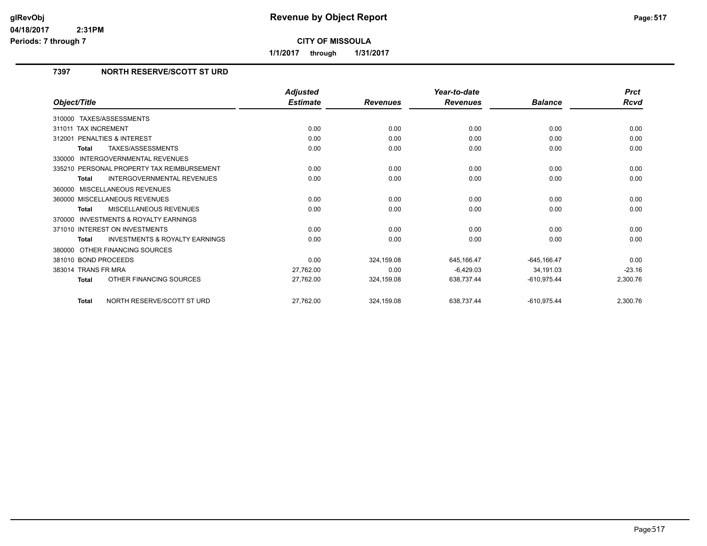**1/1/2017 through 1/31/2017**

# **7397 NORTH RESERVE/SCOTT ST URD**

|                                                    | <b>Adjusted</b> |                 | Year-to-date    |                | <b>Prct</b> |
|----------------------------------------------------|-----------------|-----------------|-----------------|----------------|-------------|
| Object/Title                                       | <b>Estimate</b> | <b>Revenues</b> | <b>Revenues</b> | <b>Balance</b> | <b>Rcvd</b> |
| 310000 TAXES/ASSESSMENTS                           |                 |                 |                 |                |             |
| <b>TAX INCREMENT</b><br>311011                     | 0.00            | 0.00            | 0.00            | 0.00           | 0.00        |
| PENALTIES & INTEREST<br>312001                     | 0.00            | 0.00            | 0.00            | 0.00           | 0.00        |
| TAXES/ASSESSMENTS<br><b>Total</b>                  | 0.00            | 0.00            | 0.00            | 0.00           | 0.00        |
| INTERGOVERNMENTAL REVENUES<br>330000               |                 |                 |                 |                |             |
| 335210 PERSONAL PROPERTY TAX REIMBURSEMENT         | 0.00            | 0.00            | 0.00            | 0.00           | 0.00        |
| <b>INTERGOVERNMENTAL REVENUES</b><br>Total         | 0.00            | 0.00            | 0.00            | 0.00           | 0.00        |
| 360000 MISCELLANEOUS REVENUES                      |                 |                 |                 |                |             |
| 360000 MISCELLANEOUS REVENUES                      | 0.00            | 0.00            | 0.00            | 0.00           | 0.00        |
| MISCELLANEOUS REVENUES<br>Total                    | 0.00            | 0.00            | 0.00            | 0.00           | 0.00        |
| 370000 INVESTMENTS & ROYALTY EARNINGS              |                 |                 |                 |                |             |
| 371010 INTEREST ON INVESTMENTS                     | 0.00            | 0.00            | 0.00            | 0.00           | 0.00        |
| <b>INVESTMENTS &amp; ROYALTY EARNINGS</b><br>Total | 0.00            | 0.00            | 0.00            | 0.00           | 0.00        |
| 380000 OTHER FINANCING SOURCES                     |                 |                 |                 |                |             |
| 381010 BOND PROCEEDS                               | 0.00            | 324,159.08      | 645,166.47      | $-645, 166.47$ | 0.00        |
| 383014 TRANS FR MRA                                | 27,762.00       | 0.00            | $-6,429.03$     | 34,191.03      | $-23.16$    |
| OTHER FINANCING SOURCES<br><b>Total</b>            | 27,762.00       | 324,159.08      | 638,737.44      | $-610,975.44$  | 2,300.76    |
| NORTH RESERVE/SCOTT ST URD<br><b>Total</b>         | 27,762.00       | 324,159.08      | 638,737.44      | $-610,975.44$  | 2,300.76    |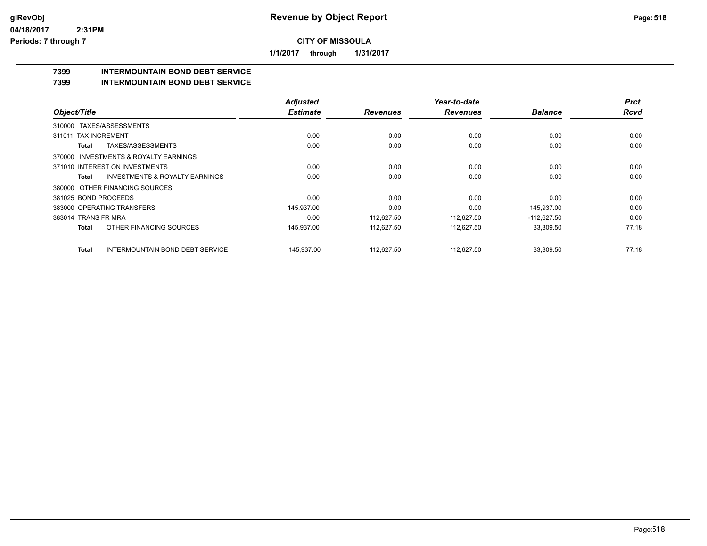**1/1/2017 through 1/31/2017**

# **7399 INTERMOUNTAIN BOND DEBT SERVICE 7399 INTERMOUNTAIN BOND DEBT SERVICE**

|                      |                                           | <b>Adjusted</b> |                 | Year-to-date    |                | <b>Prct</b> |
|----------------------|-------------------------------------------|-----------------|-----------------|-----------------|----------------|-------------|
| Object/Title         |                                           | <b>Estimate</b> | <b>Revenues</b> | <b>Revenues</b> | <b>Balance</b> | Rcvd        |
| 310000               | TAXES/ASSESSMENTS                         |                 |                 |                 |                |             |
| 311011               | <b>TAX INCREMENT</b>                      | 0.00            | 0.00            | 0.00            | 0.00           | 0.00        |
| Total                | TAXES/ASSESSMENTS                         | 0.00            | 0.00            | 0.00            | 0.00           | 0.00        |
| 370000               | <b>INVESTMENTS &amp; ROYALTY EARNINGS</b> |                 |                 |                 |                |             |
|                      | 371010 INTEREST ON INVESTMENTS            | 0.00            | 0.00            | 0.00            | 0.00           | 0.00        |
| Total                | <b>INVESTMENTS &amp; ROYALTY EARNINGS</b> | 0.00            | 0.00            | 0.00            | 0.00           | 0.00        |
|                      | 380000 OTHER FINANCING SOURCES            |                 |                 |                 |                |             |
| 381025 BOND PROCEEDS |                                           | 0.00            | 0.00            | 0.00            | 0.00           | 0.00        |
|                      | 383000 OPERATING TRANSFERS                | 145,937.00      | 0.00            | 0.00            | 145,937.00     | 0.00        |
| 383014 TRANS FR MRA  |                                           | 0.00            | 112,627.50      | 112,627.50      | $-112,627.50$  | 0.00        |
| Total                | OTHER FINANCING SOURCES                   | 145,937.00      | 112.627.50      | 112.627.50      | 33,309.50      | 77.18       |
| Total                | INTERMOUNTAIN BOND DEBT SERVICE           | 145,937.00      | 112,627.50      | 112,627.50      | 33,309.50      | 77.18       |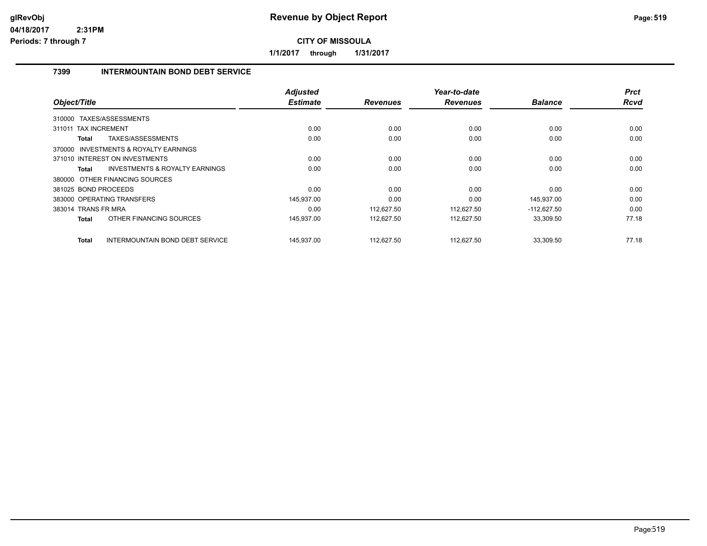**1/1/2017 through 1/31/2017**

# **7399 INTERMOUNTAIN BOND DEBT SERVICE**

|                                                     | <b>Adjusted</b> |                 | Year-to-date    |                | <b>Prct</b> |
|-----------------------------------------------------|-----------------|-----------------|-----------------|----------------|-------------|
| Object/Title                                        | <b>Estimate</b> | <b>Revenues</b> | <b>Revenues</b> | <b>Balance</b> | Rcvd        |
| 310000 TAXES/ASSESSMENTS                            |                 |                 |                 |                |             |
| 311011 TAX INCREMENT                                | 0.00            | 0.00            | 0.00            | 0.00           | 0.00        |
| TAXES/ASSESSMENTS<br>Total                          | 0.00            | 0.00            | 0.00            | 0.00           | 0.00        |
| <b>INVESTMENTS &amp; ROYALTY EARNINGS</b><br>370000 |                 |                 |                 |                |             |
| 371010 INTEREST ON INVESTMENTS                      | 0.00            | 0.00            | 0.00            | 0.00           | 0.00        |
| <b>INVESTMENTS &amp; ROYALTY EARNINGS</b><br>Total  | 0.00            | 0.00            | 0.00            | 0.00           | 0.00        |
| 380000 OTHER FINANCING SOURCES                      |                 |                 |                 |                |             |
| 381025 BOND PROCEEDS                                | 0.00            | 0.00            | 0.00            | 0.00           | 0.00        |
| 383000 OPERATING TRANSFERS                          | 145,937.00      | 0.00            | 0.00            | 145,937.00     | 0.00        |
| 383014 TRANS FR MRA                                 | 0.00            | 112,627.50      | 112,627.50      | $-112,627.50$  | 0.00        |
| OTHER FINANCING SOURCES<br>Total                    | 145,937.00      | 112,627.50      | 112,627.50      | 33,309.50      | 77.18       |
| <b>Total</b><br>INTERMOUNTAIN BOND DEBT SERVICE     | 145,937.00      | 112,627.50      | 112,627.50      | 33,309.50      | 77.18       |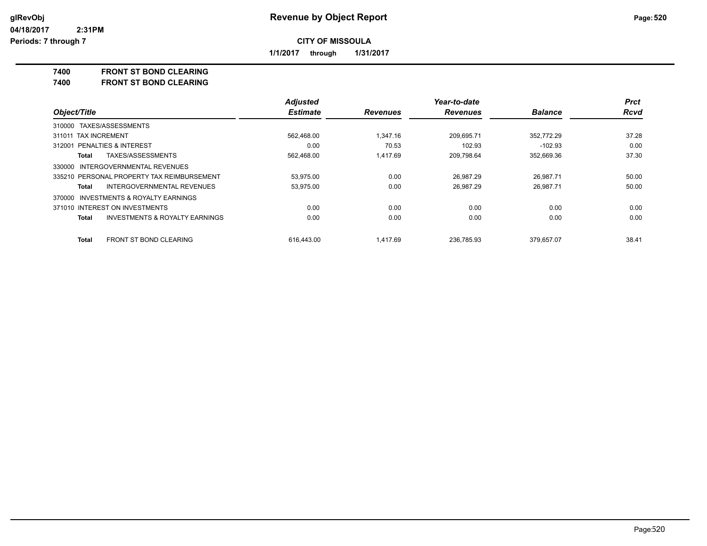**1/1/2017 through 1/31/2017**

**7400 FRONT ST BOND CLEARING 7400 FRONT ST BOND CLEARING**

|                                                    | <b>Adjusted</b> |                 | Year-to-date    |                | <b>Prct</b> |
|----------------------------------------------------|-----------------|-----------------|-----------------|----------------|-------------|
| Object/Title                                       | <b>Estimate</b> | <b>Revenues</b> | <b>Revenues</b> | <b>Balance</b> | <b>Rcvd</b> |
| 310000 TAXES/ASSESSMENTS                           |                 |                 |                 |                |             |
| 311011 TAX INCREMENT                               | 562,468.00      | 1.347.16        | 209.695.71      | 352.772.29     | 37.28       |
| 312001 PENALTIES & INTEREST                        | 0.00            | 70.53           | 102.93          | -102.93        | 0.00        |
| TAXES/ASSESSMENTS<br>Total                         | 562,468.00      | 1.417.69        | 209,798.64      | 352,669.36     | 37.30       |
| 330000 INTERGOVERNMENTAL REVENUES                  |                 |                 |                 |                |             |
| 335210 PERSONAL PROPERTY TAX REIMBURSEMENT         | 53,975.00       | 0.00            | 26.987.29       | 26.987.71      | 50.00       |
| INTERGOVERNMENTAL REVENUES<br>Total                | 53,975.00       | 0.00            | 26,987.29       | 26,987.71      | 50.00       |
| INVESTMENTS & ROYALTY EARNINGS<br>370000           |                 |                 |                 |                |             |
| 371010 INTEREST ON INVESTMENTS                     | 0.00            | 0.00            | 0.00            | 0.00           | 0.00        |
| <b>INVESTMENTS &amp; ROYALTY EARNINGS</b><br>Total | 0.00            | 0.00            | 0.00            | 0.00           | 0.00        |
| <b>FRONT ST BOND CLEARING</b><br>Total             | 616.443.00      | 1.417.69        | 236.785.93      | 379.657.07     | 38.41       |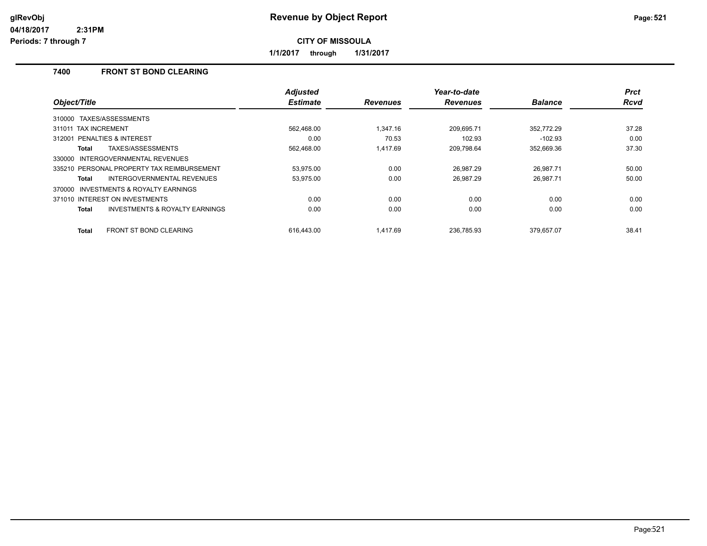**1/1/2017 through 1/31/2017**

# **7400 FRONT ST BOND CLEARING**

|                                                | <b>Adjusted</b> |                 | Year-to-date    |                | <b>Prct</b> |
|------------------------------------------------|-----------------|-----------------|-----------------|----------------|-------------|
| Object/Title                                   | <b>Estimate</b> | <b>Revenues</b> | <b>Revenues</b> | <b>Balance</b> | <b>Rcvd</b> |
| TAXES/ASSESSMENTS<br>310000                    |                 |                 |                 |                |             |
| 311011 TAX INCREMENT                           | 562,468.00      | 1.347.16        | 209,695.71      | 352.772.29     | 37.28       |
| 312001 PENALTIES & INTEREST                    | 0.00            | 70.53           | 102.93          | $-102.93$      | 0.00        |
| TAXES/ASSESSMENTS<br><b>Total</b>              | 562,468.00      | 1.417.69        | 209,798.64      | 352,669.36     | 37.30       |
| 330000 INTERGOVERNMENTAL REVENUES              |                 |                 |                 |                |             |
| 335210 PERSONAL PROPERTY TAX REIMBURSEMENT     | 53.975.00       | 0.00            | 26.987.29       | 26.987.71      | 50.00       |
| INTERGOVERNMENTAL REVENUES<br>Total            | 53.975.00       | 0.00            | 26.987.29       | 26.987.71      | 50.00       |
| 370000 INVESTMENTS & ROYALTY EARNINGS          |                 |                 |                 |                |             |
| 371010 INTEREST ON INVESTMENTS                 | 0.00            | 0.00            | 0.00            | 0.00           | 0.00        |
| INVESTMENTS & ROYALTY EARNINGS<br><b>Total</b> | 0.00            | 0.00            | 0.00            | 0.00           | 0.00        |
| FRONT ST BOND CLEARING<br><b>Total</b>         | 616.443.00      | 1.417.69        | 236.785.93      | 379.657.07     | 38.41       |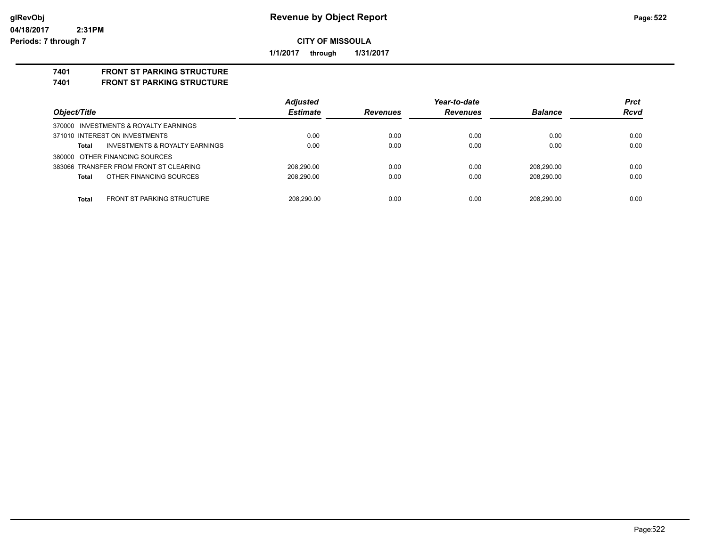**1/1/2017 through 1/31/2017**

**7401 FRONT ST PARKING STRUCTURE 7401 FRONT ST PARKING STRUCTURE**

|                                                    | <b>Adjusted</b> |                 | Year-to-date    |                | <b>Prct</b> |
|----------------------------------------------------|-----------------|-----------------|-----------------|----------------|-------------|
| Object/Title                                       | <b>Estimate</b> | <b>Revenues</b> | <b>Revenues</b> | <b>Balance</b> | <b>Rcvd</b> |
| 370000 INVESTMENTS & ROYALTY EARNINGS              |                 |                 |                 |                |             |
| 371010 INTEREST ON INVESTMENTS                     | 0.00            | 0.00            | 0.00            | 0.00           | 0.00        |
| <b>INVESTMENTS &amp; ROYALTY EARNINGS</b><br>Total | 0.00            | 0.00            | 0.00            | 0.00           | 0.00        |
| 380000 OTHER FINANCING SOURCES                     |                 |                 |                 |                |             |
| 383066 TRANSFER FROM FRONT ST CLEARING             | 208.290.00      | 0.00            | 0.00            | 208.290.00     | 0.00        |
| OTHER FINANCING SOURCES<br>Total                   | 208.290.00      | 0.00            | 0.00            | 208.290.00     | 0.00        |
|                                                    |                 |                 |                 |                |             |
| <b>FRONT ST PARKING STRUCTURE</b><br><b>Total</b>  | 208,290.00      | 0.00            | 0.00            | 208.290.00     | 0.00        |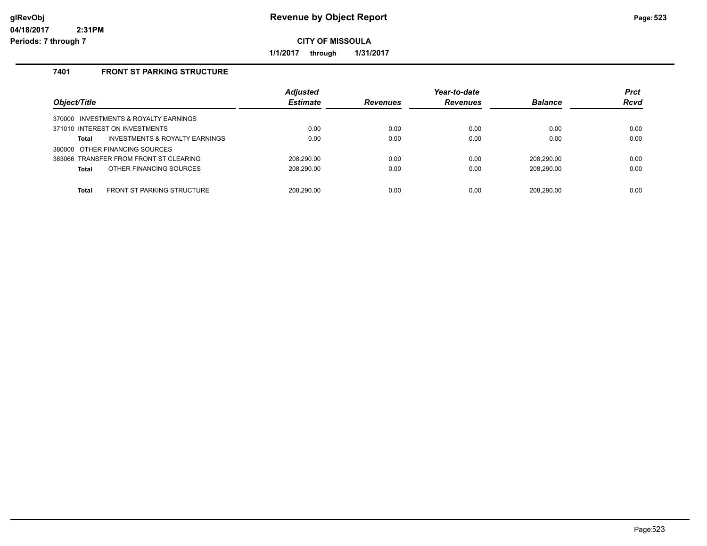**1/1/2017 through 1/31/2017**

## **7401 FRONT ST PARKING STRUCTURE**

|                                                    | <b>Adjusted</b> |                 | Year-to-date    |                | <b>Prct</b> |
|----------------------------------------------------|-----------------|-----------------|-----------------|----------------|-------------|
| Object/Title                                       | <b>Estimate</b> | <b>Revenues</b> | <b>Revenues</b> | <b>Balance</b> | <b>Rcvd</b> |
| 370000 INVESTMENTS & ROYALTY EARNINGS              |                 |                 |                 |                |             |
| 371010 INTEREST ON INVESTMENTS                     | 0.00            | 0.00            | 0.00            | 0.00           | 0.00        |
| <b>INVESTMENTS &amp; ROYALTY EARNINGS</b><br>Total | 0.00            | 0.00            | 0.00            | 0.00           | 0.00        |
| 380000 OTHER FINANCING SOURCES                     |                 |                 |                 |                |             |
| 383066 TRANSFER FROM FRONT ST CLEARING             | 208.290.00      | 0.00            | 0.00            | 208.290.00     | 0.00        |
| OTHER FINANCING SOURCES<br>Total                   | 208,290.00      | 0.00            | 0.00            | 208,290.00     | 0.00        |
| <b>Total</b><br><b>FRONT ST PARKING STRUCTURE</b>  | 208.290.00      | 0.00            | 0.00            | 208.290.00     | 0.00        |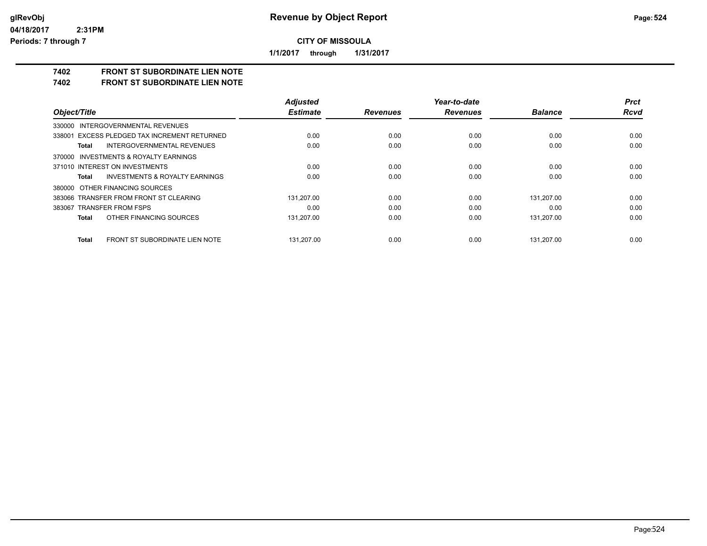**1/1/2017 through 1/31/2017**

# **7402 FRONT ST SUBORDINATE LIEN NOTE 7402 FRONT ST SUBORDINATE LIEN NOTE**

|                                                       | <b>Adjusted</b> |                 | Year-to-date    |                | <b>Prct</b> |
|-------------------------------------------------------|-----------------|-----------------|-----------------|----------------|-------------|
| Object/Title                                          | <b>Estimate</b> | <b>Revenues</b> | <b>Revenues</b> | <b>Balance</b> | <b>Rcvd</b> |
| 330000 INTERGOVERNMENTAL REVENUES                     |                 |                 |                 |                |             |
| EXCESS PLEDGED TAX INCREMENT RETURNED<br>338001       | 0.00            | 0.00            | 0.00            | 0.00           | 0.00        |
| INTERGOVERNMENTAL REVENUES<br>Total                   | 0.00            | 0.00            | 0.00            | 0.00           | 0.00        |
| 370000 INVESTMENTS & ROYALTY EARNINGS                 |                 |                 |                 |                |             |
| 371010 INTEREST ON INVESTMENTS                        | 0.00            | 0.00            | 0.00            | 0.00           | 0.00        |
| <b>INVESTMENTS &amp; ROYALTY EARNINGS</b><br>Total    | 0.00            | 0.00            | 0.00            | 0.00           | 0.00        |
| 380000 OTHER FINANCING SOURCES                        |                 |                 |                 |                |             |
| 383066 TRANSFER FROM FRONT ST CLEARING                | 131.207.00      | 0.00            | 0.00            | 131.207.00     | 0.00        |
| 383067 TRANSFER FROM FSPS                             | 0.00            | 0.00            | 0.00            | 0.00           | 0.00        |
| OTHER FINANCING SOURCES<br>Total                      | 131,207.00      | 0.00            | 0.00            | 131,207.00     | 0.00        |
| <b>FRONT ST SUBORDINATE LIEN NOTE</b><br><b>Total</b> | 131,207.00      | 0.00            | 0.00            | 131,207.00     | 0.00        |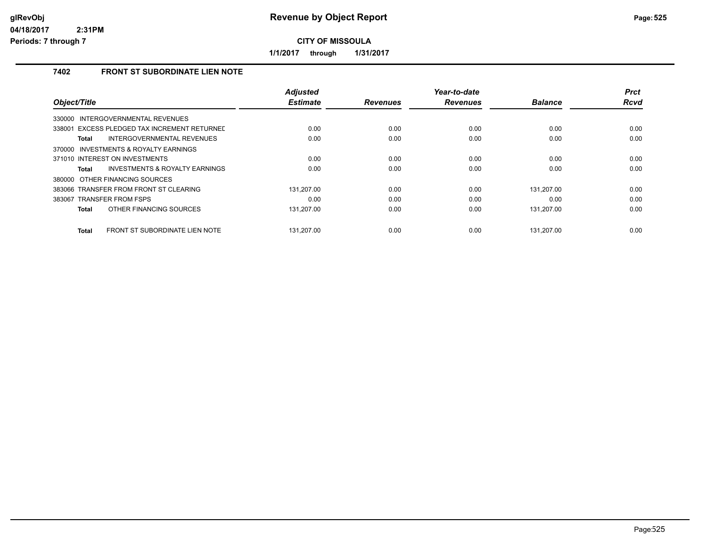**1/1/2017 through 1/31/2017**

# **7402 FRONT ST SUBORDINATE LIEN NOTE**

|                           |                                              | <b>Adjusted</b> |                 | Year-to-date    |                | <b>Prct</b> |
|---------------------------|----------------------------------------------|-----------------|-----------------|-----------------|----------------|-------------|
| Object/Title              |                                              | <b>Estimate</b> | <b>Revenues</b> | <b>Revenues</b> | <b>Balance</b> | <b>Rcvd</b> |
| 330000                    | INTERGOVERNMENTAL REVENUES                   |                 |                 |                 |                |             |
|                           | 338001 EXCESS PLEDGED TAX INCREMENT RETURNED | 0.00            | 0.00            | 0.00            | 0.00           | 0.00        |
| Total                     | <b>INTERGOVERNMENTAL REVENUES</b>            | 0.00            | 0.00            | 0.00            | 0.00           | 0.00        |
| 370000                    | <b>INVESTMENTS &amp; ROYALTY EARNINGS</b>    |                 |                 |                 |                |             |
|                           | 371010 INTEREST ON INVESTMENTS               | 0.00            | 0.00            | 0.00            | 0.00           | 0.00        |
| Total                     | <b>INVESTMENTS &amp; ROYALTY EARNINGS</b>    | 0.00            | 0.00            | 0.00            | 0.00           | 0.00        |
| 380000                    | OTHER FINANCING SOURCES                      |                 |                 |                 |                |             |
|                           | 383066 TRANSFER FROM FRONT ST CLEARING       | 131.207.00      | 0.00            | 0.00            | 131.207.00     | 0.00        |
| 383067 TRANSFER FROM FSPS |                                              | 0.00            | 0.00            | 0.00            | 0.00           | 0.00        |
| Total                     | OTHER FINANCING SOURCES                      | 131,207.00      | 0.00            | 0.00            | 131,207.00     | 0.00        |
| <b>Total</b>              | <b>FRONT ST SUBORDINATE LIEN NOTE</b>        | 131.207.00      | 0.00            | 0.00            | 131.207.00     | 0.00        |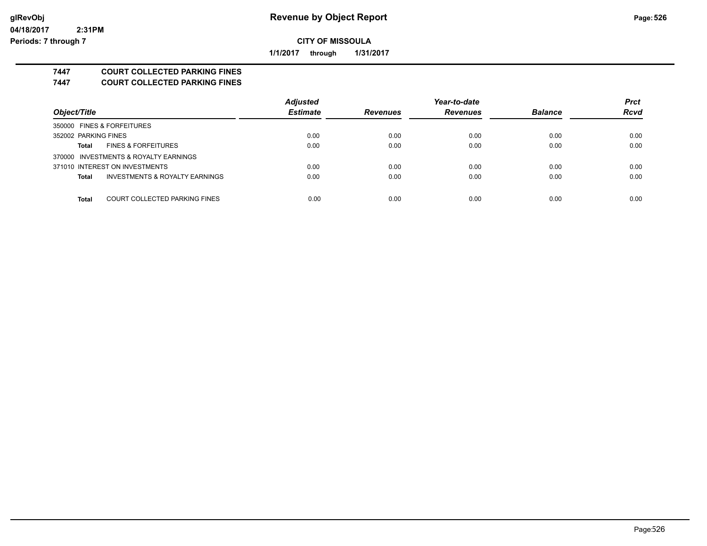**1/1/2017 through 1/31/2017**

# **7447 COURT COLLECTED PARKING FINES 7447 COURT COLLECTED PARKING FINES**

| Object/Title                            | <b>Adjusted</b><br><b>Estimate</b> | <b>Revenues</b> | Year-to-date<br><b>Revenues</b> | <b>Balance</b> | <b>Prct</b><br><b>Rcvd</b> |
|-----------------------------------------|------------------------------------|-----------------|---------------------------------|----------------|----------------------------|
| 350000 FINES & FORFEITURES              |                                    |                 |                                 |                |                            |
| 352002 PARKING FINES                    | 0.00                               | 0.00            | 0.00                            | 0.00           | 0.00                       |
| <b>FINES &amp; FORFEITURES</b><br>Total | 0.00                               | 0.00            | 0.00                            | 0.00           | 0.00                       |
| 370000 INVESTMENTS & ROYALTY EARNINGS   |                                    |                 |                                 |                |                            |
| 371010 INTEREST ON INVESTMENTS          | 0.00                               | 0.00            | 0.00                            | 0.00           | 0.00                       |
| INVESTMENTS & ROYALTY EARNINGS<br>Total | 0.00                               | 0.00            | 0.00                            | 0.00           | 0.00                       |
|                                         |                                    |                 |                                 |                |                            |
| Total<br>COURT COLLECTED PARKING FINES  | 0.00                               | 0.00            | 0.00                            | 0.00           | 0.00                       |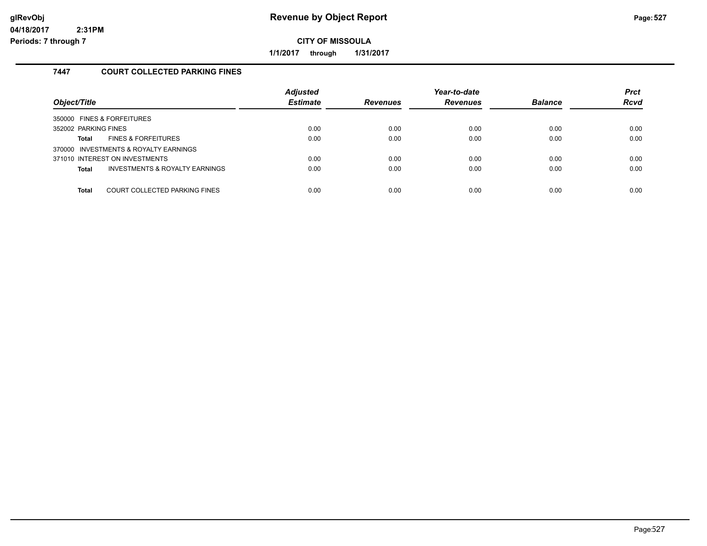**1/1/2017 through 1/31/2017**

# **7447 COURT COLLECTED PARKING FINES**

|                                                           | <b>Adjusted</b> |                 | Year-to-date    |                | <b>Prct</b> |
|-----------------------------------------------------------|-----------------|-----------------|-----------------|----------------|-------------|
| Object/Title                                              | <b>Estimate</b> | <b>Revenues</b> | <b>Revenues</b> | <b>Balance</b> | <b>Rcvd</b> |
| 350000 FINES & FORFEITURES                                |                 |                 |                 |                |             |
| 352002 PARKING FINES                                      | 0.00            | 0.00            | 0.00            | 0.00           | 0.00        |
| <b>FINES &amp; FORFEITURES</b><br>Total                   | 0.00            | 0.00            | 0.00            | 0.00           | 0.00        |
| 370000 INVESTMENTS & ROYALTY EARNINGS                     |                 |                 |                 |                |             |
| 371010 INTEREST ON INVESTMENTS                            | 0.00            | 0.00            | 0.00            | 0.00           | 0.00        |
| <b>INVESTMENTS &amp; ROYALTY EARNINGS</b><br><b>Total</b> | 0.00            | 0.00            | 0.00            | 0.00           | 0.00        |
|                                                           |                 |                 |                 |                |             |
| Total<br>COURT COLLECTED PARKING FINES                    | 0.00            | 0.00            | 0.00            | 0.00           | 0.00        |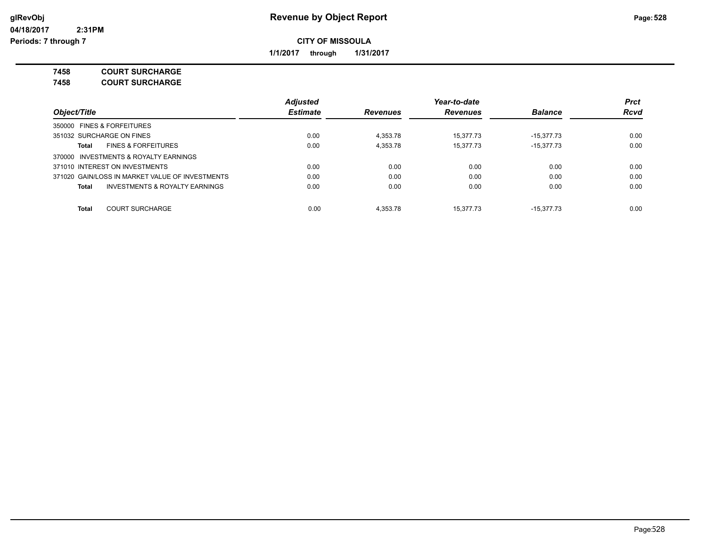**1/1/2017 through 1/31/2017**

**7458 COURT SURCHARGE**

| 7458 | <b>COURT SURCHARGE</b> |
|------|------------------------|
|------|------------------------|

|                                                 | <b>Adjusted</b> |                 | Year-to-date    |                | <b>Prct</b> |
|-------------------------------------------------|-----------------|-----------------|-----------------|----------------|-------------|
| Object/Title                                    | <b>Estimate</b> | <b>Revenues</b> | <b>Revenues</b> | <b>Balance</b> | <b>Rcvd</b> |
| 350000 FINES & FORFEITURES                      |                 |                 |                 |                |             |
| 351032 SURCHARGE ON FINES                       | 0.00            | 4.353.78        | 15.377.73       | $-15.377.73$   | 0.00        |
| <b>FINES &amp; FORFEITURES</b><br>Total         | 0.00            | 4.353.78        | 15.377.73       | $-15.377.73$   | 0.00        |
| 370000 INVESTMENTS & ROYALTY EARNINGS           |                 |                 |                 |                |             |
| 371010 INTEREST ON INVESTMENTS                  | 0.00            | 0.00            | 0.00            | 0.00           | 0.00        |
| 371020 GAIN/LOSS IN MARKET VALUE OF INVESTMENTS | 0.00            | 0.00            | 0.00            | 0.00           | 0.00        |
| INVESTMENTS & ROYALTY EARNINGS<br>Total         | 0.00            | 0.00            | 0.00            | 0.00           | 0.00        |
| <b>COURT SURCHARGE</b><br>Total                 | 0.00            | 4.353.78        | 15.377.73       | $-15.377.73$   | 0.00        |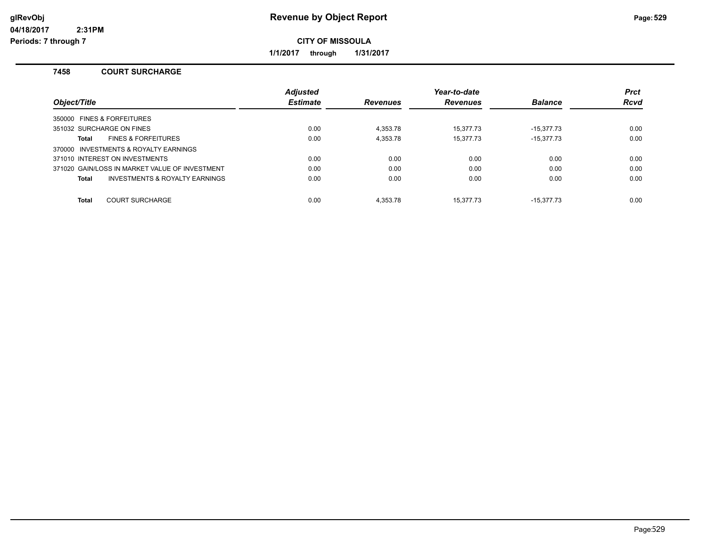**1/1/2017 through 1/31/2017**

## **7458 COURT SURCHARGE**

|                                                    | <b>Adjusted</b> |                 | Year-to-date    |                | <b>Prct</b> |
|----------------------------------------------------|-----------------|-----------------|-----------------|----------------|-------------|
| Object/Title                                       | <b>Estimate</b> | <b>Revenues</b> | <b>Revenues</b> | <b>Balance</b> | <b>Rcvd</b> |
| 350000 FINES & FORFEITURES                         |                 |                 |                 |                |             |
| 351032 SURCHARGE ON FINES                          | 0.00            | 4.353.78        | 15.377.73       | $-15.377.73$   | 0.00        |
| <b>FINES &amp; FORFEITURES</b><br>Total            | 0.00            | 4,353.78        | 15.377.73       | $-15.377.73$   | 0.00        |
| INVESTMENTS & ROYALTY EARNINGS<br>370000           |                 |                 |                 |                |             |
| 371010 INTEREST ON INVESTMENTS                     | 0.00            | 0.00            | 0.00            | 0.00           | 0.00        |
| 371020 GAIN/LOSS IN MARKET VALUE OF INVESTMENT     | 0.00            | 0.00            | 0.00            | 0.00           | 0.00        |
| <b>INVESTMENTS &amp; ROYALTY EARNINGS</b><br>Total | 0.00            | 0.00            | 0.00            | 0.00           | 0.00        |
| <b>Total</b><br><b>COURT SURCHARGE</b>             | 0.00            | 4.353.78        | 15.377.73       | $-15.377.73$   | 0.00        |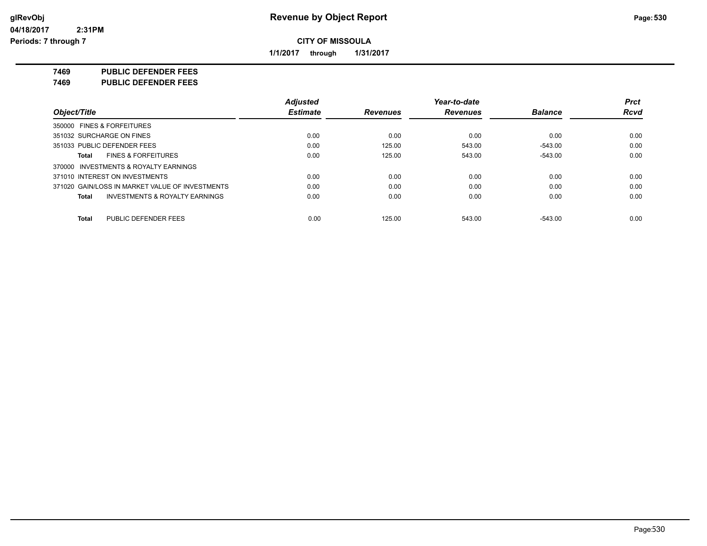**1/1/2017 through 1/31/2017**

**7469 PUBLIC DEFENDER FEES**

**7469 PUBLIC DEFENDER FEES**

|                                                 | <b>Adjusted</b> |                 | Year-to-date    |                | <b>Prct</b> |
|-------------------------------------------------|-----------------|-----------------|-----------------|----------------|-------------|
| Object/Title                                    | <b>Estimate</b> | <b>Revenues</b> | <b>Revenues</b> | <b>Balance</b> | <b>Rcvd</b> |
| 350000 FINES & FORFEITURES                      |                 |                 |                 |                |             |
| 351032 SURCHARGE ON FINES                       | 0.00            | 0.00            | 0.00            | 0.00           | 0.00        |
| 351033 PUBLIC DEFENDER FEES                     | 0.00            | 125.00          | 543.00          | $-543.00$      | 0.00        |
| <b>FINES &amp; FORFEITURES</b><br>Total         | 0.00            | 125.00          | 543.00          | $-543.00$      | 0.00        |
| 370000 INVESTMENTS & ROYALTY EARNINGS           |                 |                 |                 |                |             |
| 371010 INTEREST ON INVESTMENTS                  | 0.00            | 0.00            | 0.00            | 0.00           | 0.00        |
| 371020 GAIN/LOSS IN MARKET VALUE OF INVESTMENTS | 0.00            | 0.00            | 0.00            | 0.00           | 0.00        |
| INVESTMENTS & ROYALTY EARNINGS<br>Total         | 0.00            | 0.00            | 0.00            | 0.00           | 0.00        |
| <b>Total</b><br>PUBLIC DEFENDER FEES            | 0.00            | 125.00          | 543.00          | $-543.00$      | 0.00        |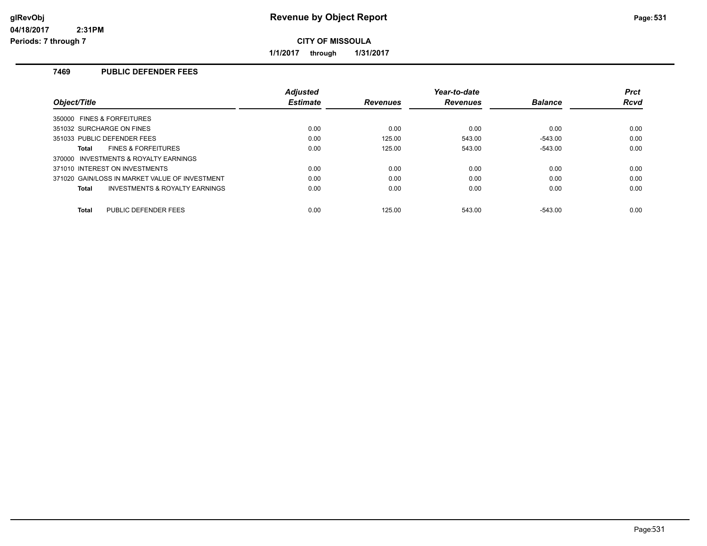**1/1/2017 through 1/31/2017**

# **7469 PUBLIC DEFENDER FEES**

|                                                | <b>Adjusted</b> |                 | Year-to-date    |                | <b>Prct</b> |
|------------------------------------------------|-----------------|-----------------|-----------------|----------------|-------------|
| Object/Title                                   | <b>Estimate</b> | <b>Revenues</b> | <b>Revenues</b> | <b>Balance</b> | <b>Rcvd</b> |
| 350000 FINES & FORFEITURES                     |                 |                 |                 |                |             |
| 351032 SURCHARGE ON FINES                      | 0.00            | 0.00            | 0.00            | 0.00           | 0.00        |
| 351033 PUBLIC DEFENDER FEES                    | 0.00            | 125.00          | 543.00          | $-543.00$      | 0.00        |
| <b>FINES &amp; FORFEITURES</b><br>Total        | 0.00            | 125.00          | 543.00          | $-543.00$      | 0.00        |
| 370000 INVESTMENTS & ROYALTY EARNINGS          |                 |                 |                 |                |             |
| 371010 INTEREST ON INVESTMENTS                 | 0.00            | 0.00            | 0.00            | 0.00           | 0.00        |
| 371020 GAIN/LOSS IN MARKET VALUE OF INVESTMENT | 0.00            | 0.00            | 0.00            | 0.00           | 0.00        |
| <b>Total</b><br>INVESTMENTS & ROYALTY EARNINGS | 0.00            | 0.00            | 0.00            | 0.00           | 0.00        |
| PUBLIC DEFENDER FEES<br><b>Total</b>           | 0.00            | 125.00          | 543.00          | $-543.00$      | 0.00        |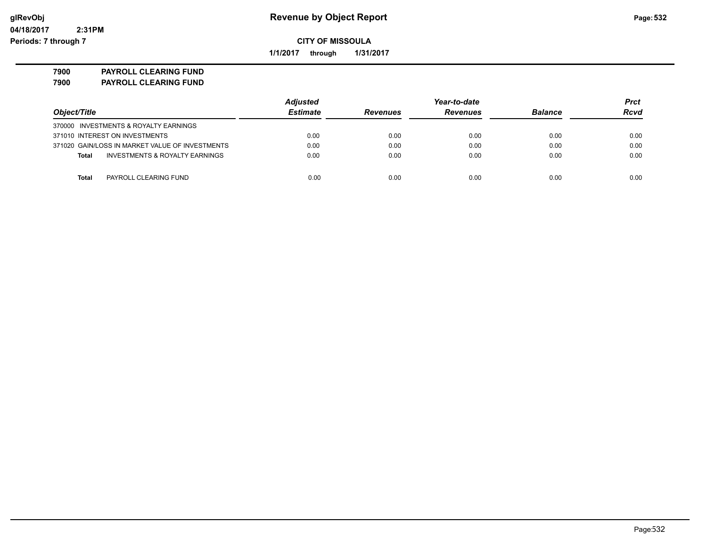**1/1/2017 through 1/31/2017**

**7900 PAYROLL CLEARING FUND 7900 PAYROLL CLEARING FUND**

|                                                 | <b>Adjusted</b> |                 | Year-to-date    |                | Prct        |
|-------------------------------------------------|-----------------|-----------------|-----------------|----------------|-------------|
| Object/Title                                    | <b>Estimate</b> | <b>Revenues</b> | <b>Revenues</b> | <b>Balance</b> | <b>Rcvd</b> |
| 370000 INVESTMENTS & ROYALTY EARNINGS           |                 |                 |                 |                |             |
| 371010 INTEREST ON INVESTMENTS                  | 0.00            | 0.00            | 0.00            | 0.00           | 0.00        |
| 371020 GAIN/LOSS IN MARKET VALUE OF INVESTMENTS | 0.00            | 0.00            | 0.00            | 0.00           | 0.00        |
| INVESTMENTS & ROYALTY EARNINGS<br>Total         | 0.00            | 0.00            | 0.00            | 0.00           | 0.00        |
|                                                 |                 |                 |                 |                |             |
| PAYROLL CLEARING FUND<br><b>Total</b>           | 0.00            | 0.00            | 0.00            | 0.00           | 0.00        |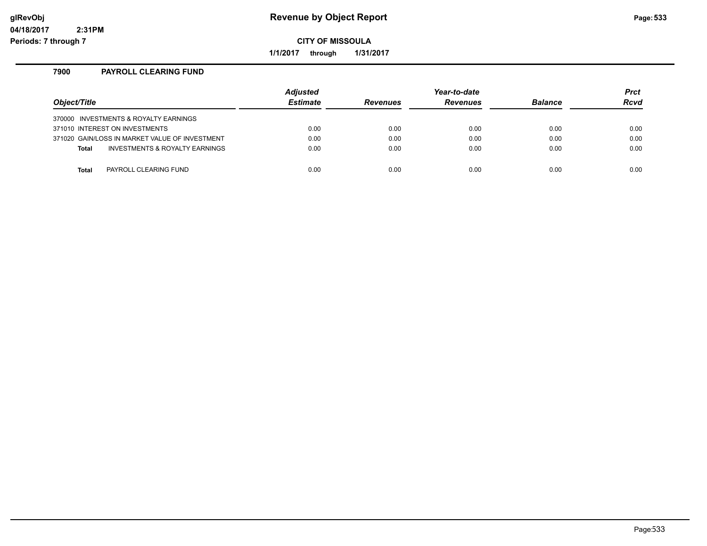**Periods: 7 through 7**

 **2:31PM**

# **CITY OF MISSOULA**

**1/1/2017 through 1/31/2017**

#### **7900 PAYROLL CLEARING FUND**

|                                                           | <b>Adjusted</b> |                 |                 | <b>Prct</b>    |             |
|-----------------------------------------------------------|-----------------|-----------------|-----------------|----------------|-------------|
| Object/Title                                              | <b>Estimate</b> | <b>Revenues</b> | <b>Revenues</b> | <b>Balance</b> | <b>Rcvd</b> |
| 370000 INVESTMENTS & ROYALTY EARNINGS                     |                 |                 |                 |                |             |
| 371010 INTEREST ON INVESTMENTS                            | 0.00            | 0.00            | 0.00            | 0.00           | 0.00        |
| 371020 GAIN/LOSS IN MARKET VALUE OF INVESTMENT            | 0.00            | 0.00            | 0.00            | 0.00           | 0.00        |
| <b>INVESTMENTS &amp; ROYALTY EARNINGS</b><br><b>Total</b> | 0.00            | 0.00            | 0.00            | 0.00           | 0.00        |
| Total<br>PAYROLL CLEARING FUND                            | 0.00            | 0.00            | 0.00            | 0.00           | 0.00        |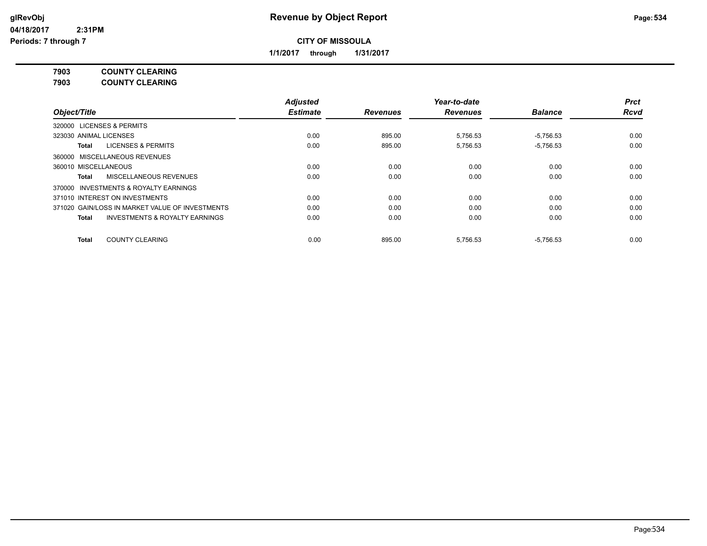**1/1/2017 through 1/31/2017**

**7903 COUNTY CLEARING**

| 7903 | <b>COUNTY CLEARING</b> |  |
|------|------------------------|--|

|                                                    | <b>Adjusted</b> |                 | Year-to-date    |                | <b>Prct</b> |
|----------------------------------------------------|-----------------|-----------------|-----------------|----------------|-------------|
| Object/Title                                       | <b>Estimate</b> | <b>Revenues</b> | <b>Revenues</b> | <b>Balance</b> | Rcvd        |
| 320000 LICENSES & PERMITS                          |                 |                 |                 |                |             |
| 323030 ANIMAL LICENSES                             | 0.00            | 895.00          | 5.756.53        | $-5.756.53$    | 0.00        |
| <b>LICENSES &amp; PERMITS</b><br>Total             | 0.00            | 895.00          | 5,756.53        | $-5,756.53$    | 0.00        |
| 360000 MISCELLANEOUS REVENUES                      |                 |                 |                 |                |             |
| 360010 MISCELLANEOUS                               | 0.00            | 0.00            | 0.00            | 0.00           | 0.00        |
| MISCELLANEOUS REVENUES<br>Total                    | 0.00            | 0.00            | 0.00            | 0.00           | 0.00        |
| 370000 INVESTMENTS & ROYALTY EARNINGS              |                 |                 |                 |                |             |
| 371010 INTEREST ON INVESTMENTS                     | 0.00            | 0.00            | 0.00            | 0.00           | 0.00        |
| 371020 GAIN/LOSS IN MARKET VALUE OF INVESTMENTS    | 0.00            | 0.00            | 0.00            | 0.00           | 0.00        |
| <b>INVESTMENTS &amp; ROYALTY EARNINGS</b><br>Total | 0.00            | 0.00            | 0.00            | 0.00           | 0.00        |
| <b>COUNTY CLEARING</b><br><b>Total</b>             | 0.00            | 895.00          | 5.756.53        | $-5.756.53$    | 0.00        |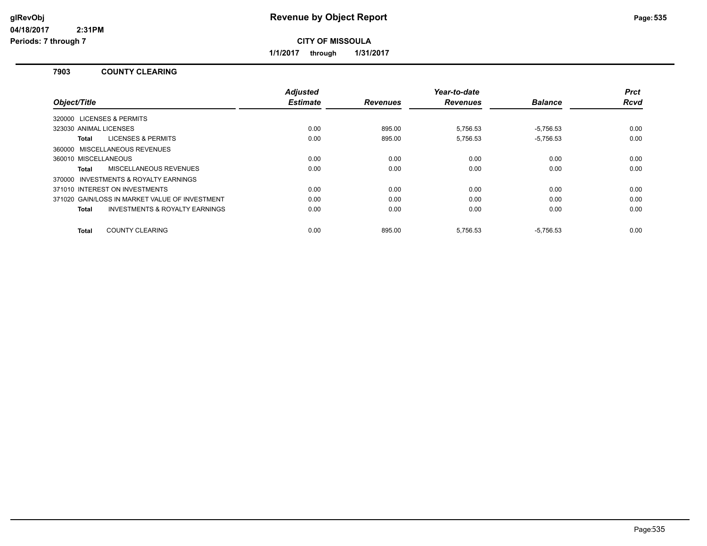**1/1/2017 through 1/31/2017**

## **7903 COUNTY CLEARING**

|                                                    | <b>Adjusted</b> |                 | Year-to-date    |                | <b>Prct</b> |
|----------------------------------------------------|-----------------|-----------------|-----------------|----------------|-------------|
| Object/Title                                       | <b>Estimate</b> | <b>Revenues</b> | <b>Revenues</b> | <b>Balance</b> | Rcvd        |
| 320000 LICENSES & PERMITS                          |                 |                 |                 |                |             |
| 323030 ANIMAL LICENSES                             | 0.00            | 895.00          | 5,756.53        | $-5,756.53$    | 0.00        |
| <b>LICENSES &amp; PERMITS</b><br>Total             | 0.00            | 895.00          | 5,756.53        | $-5,756.53$    | 0.00        |
| 360000 MISCELLANEOUS REVENUES                      |                 |                 |                 |                |             |
| 360010 MISCELLANEOUS                               | 0.00            | 0.00            | 0.00            | 0.00           | 0.00        |
| MISCELLANEOUS REVENUES<br>Total                    | 0.00            | 0.00            | 0.00            | 0.00           | 0.00        |
| 370000 INVESTMENTS & ROYALTY EARNINGS              |                 |                 |                 |                |             |
| 371010 INTEREST ON INVESTMENTS                     | 0.00            | 0.00            | 0.00            | 0.00           | 0.00        |
| 371020 GAIN/LOSS IN MARKET VALUE OF INVESTMENT     | 0.00            | 0.00            | 0.00            | 0.00           | 0.00        |
| <b>INVESTMENTS &amp; ROYALTY EARNINGS</b><br>Total | 0.00            | 0.00            | 0.00            | 0.00           | 0.00        |
| <b>COUNTY CLEARING</b><br><b>Total</b>             | 0.00            | 895.00          | 5,756.53        | $-5,756.53$    | 0.00        |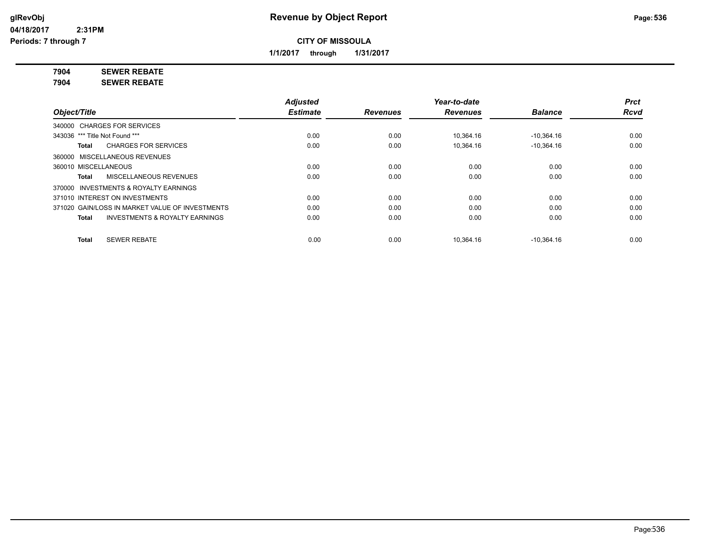**1/1/2017 through 1/31/2017**

**7904 SEWER REBATE 7904 SEWER REBATE**

|                                                    | <b>Adjusted</b> |                 | Year-to-date    |                | <b>Prct</b> |
|----------------------------------------------------|-----------------|-----------------|-----------------|----------------|-------------|
| Object/Title                                       | <b>Estimate</b> | <b>Revenues</b> | <b>Revenues</b> | <b>Balance</b> | <b>Rcvd</b> |
| 340000 CHARGES FOR SERVICES                        |                 |                 |                 |                |             |
| 343036 *** Title Not Found ***                     | 0.00            | 0.00            | 10,364.16       | $-10,364.16$   | 0.00        |
| <b>CHARGES FOR SERVICES</b><br>Total               | 0.00            | 0.00            | 10,364.16       | $-10,364.16$   | 0.00        |
| MISCELLANEOUS REVENUES<br>360000                   |                 |                 |                 |                |             |
| 360010 MISCELLANEOUS                               | 0.00            | 0.00            | 0.00            | 0.00           | 0.00        |
| MISCELLANEOUS REVENUES<br>Total                    | 0.00            | 0.00            | 0.00            | 0.00           | 0.00        |
| INVESTMENTS & ROYALTY EARNINGS<br>370000           |                 |                 |                 |                |             |
| 371010 INTEREST ON INVESTMENTS                     | 0.00            | 0.00            | 0.00            | 0.00           | 0.00        |
| 371020 GAIN/LOSS IN MARKET VALUE OF INVESTMENTS    | 0.00            | 0.00            | 0.00            | 0.00           | 0.00        |
| <b>INVESTMENTS &amp; ROYALTY EARNINGS</b><br>Total | 0.00            | 0.00            | 0.00            | 0.00           | 0.00        |
| <b>SEWER REBATE</b><br><b>Total</b>                | 0.00            | 0.00            | 10.364.16       | $-10.364.16$   | 0.00        |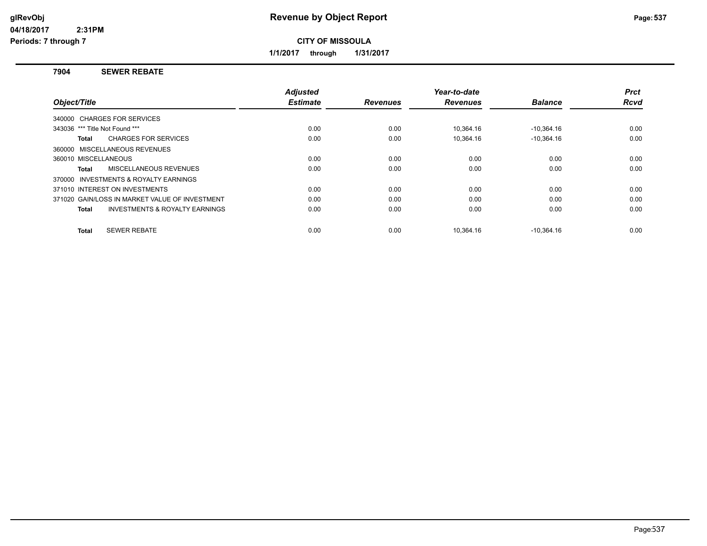**Periods: 7 through 7**

**CITY OF MISSOULA**

**1/1/2017 through 1/31/2017**

#### **7904 SEWER REBATE**

|                                                           | <b>Adjusted</b> |                 | Year-to-date    |                | <b>Prct</b> |
|-----------------------------------------------------------|-----------------|-----------------|-----------------|----------------|-------------|
| Object/Title                                              | <b>Estimate</b> | <b>Revenues</b> | <b>Revenues</b> | <b>Balance</b> | <b>Rcvd</b> |
| <b>CHARGES FOR SERVICES</b><br>340000                     |                 |                 |                 |                |             |
| 343036 *** Title Not Found ***                            | 0.00            | 0.00            | 10.364.16       | $-10,364.16$   | 0.00        |
| <b>CHARGES FOR SERVICES</b><br><b>Total</b>               | 0.00            | 0.00            | 10,364.16       | $-10,364.16$   | 0.00        |
| 360000 MISCELLANEOUS REVENUES                             |                 |                 |                 |                |             |
| 360010 MISCELLANEOUS                                      | 0.00            | 0.00            | 0.00            | 0.00           | 0.00        |
| MISCELLANEOUS REVENUES<br>Total                           | 0.00            | 0.00            | 0.00            | 0.00           | 0.00        |
| 370000 INVESTMENTS & ROYALTY EARNINGS                     |                 |                 |                 |                |             |
| 371010 INTEREST ON INVESTMENTS                            | 0.00            | 0.00            | 0.00            | 0.00           | 0.00        |
| 371020 GAIN/LOSS IN MARKET VALUE OF INVESTMENT            | 0.00            | 0.00            | 0.00            | 0.00           | 0.00        |
| <b>INVESTMENTS &amp; ROYALTY EARNINGS</b><br><b>Total</b> | 0.00            | 0.00            | 0.00            | 0.00           | 0.00        |
| <b>SEWER REBATE</b><br><b>Total</b>                       | 0.00            | 0.00            | 10.364.16       | $-10.364.16$   | 0.00        |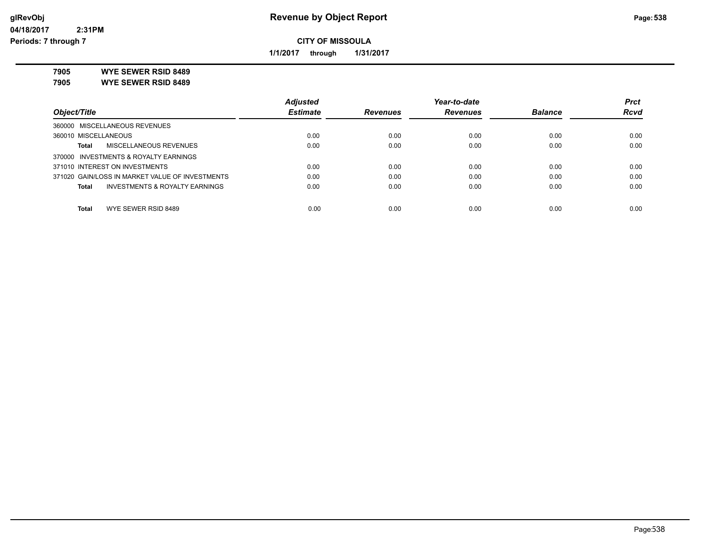**1/1/2017 through 1/31/2017**

**7905 WYE SEWER RSID 8489**

**7905 WYE SEWER RSID 8489**

|                                                 | <b>Adjusted</b> |                 | Year-to-date    |                | <b>Prct</b> |
|-------------------------------------------------|-----------------|-----------------|-----------------|----------------|-------------|
| Object/Title                                    | <b>Estimate</b> | <b>Revenues</b> | <b>Revenues</b> | <b>Balance</b> | <b>Rcvd</b> |
| 360000 MISCELLANEOUS REVENUES                   |                 |                 |                 |                |             |
| 360010 MISCELLANEOUS                            | 0.00            | 0.00            | 0.00            | 0.00           | 0.00        |
| MISCELLANEOUS REVENUES<br>Total                 | 0.00            | 0.00            | 0.00            | 0.00           | 0.00        |
| 370000 INVESTMENTS & ROYALTY EARNINGS           |                 |                 |                 |                |             |
| 371010 INTEREST ON INVESTMENTS                  | 0.00            | 0.00            | 0.00            | 0.00           | 0.00        |
| 371020 GAIN/LOSS IN MARKET VALUE OF INVESTMENTS | 0.00            | 0.00            | 0.00            | 0.00           | 0.00        |
| INVESTMENTS & ROYALTY EARNINGS<br>Total         | 0.00            | 0.00            | 0.00            | 0.00           | 0.00        |
| WYE SEWER RSID 8489<br><b>Total</b>             | 0.00            | 0.00            | 0.00            | 0.00           | 0.00        |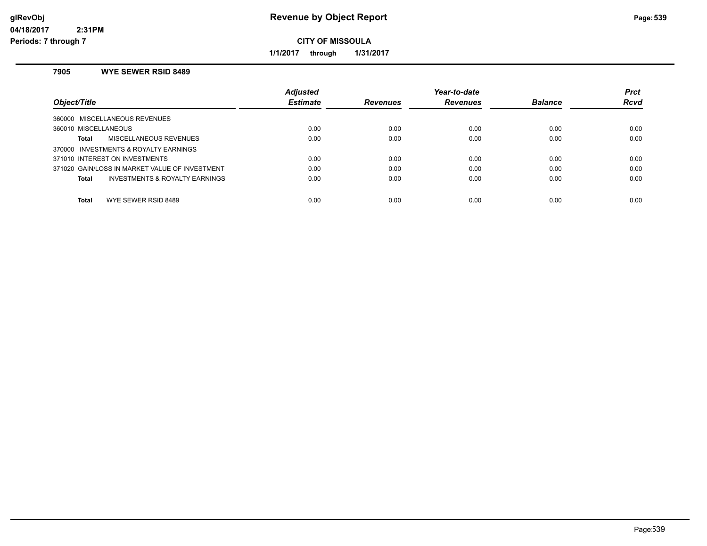**1/1/2017 through 1/31/2017**

## **7905 WYE SEWER RSID 8489**

| Object/Title                                       | <b>Adjusted</b><br><b>Estimate</b> | <b>Revenues</b> | Year-to-date<br><b>Revenues</b> | <b>Balance</b> | <b>Prct</b><br><b>Rcvd</b> |
|----------------------------------------------------|------------------------------------|-----------------|---------------------------------|----------------|----------------------------|
|                                                    |                                    |                 |                                 |                |                            |
| 360000 MISCELLANEOUS REVENUES                      |                                    |                 |                                 |                |                            |
| 360010 MISCELLANEOUS                               | 0.00                               | 0.00            | 0.00                            | 0.00           | 0.00                       |
| MISCELLANEOUS REVENUES<br>Total                    | 0.00                               | 0.00            | 0.00                            | 0.00           | 0.00                       |
| 370000 INVESTMENTS & ROYALTY EARNINGS              |                                    |                 |                                 |                |                            |
| 371010 INTEREST ON INVESTMENTS                     | 0.00                               | 0.00            | 0.00                            | 0.00           | 0.00                       |
| 371020 GAIN/LOSS IN MARKET VALUE OF INVESTMENT     | 0.00                               | 0.00            | 0.00                            | 0.00           | 0.00                       |
| <b>INVESTMENTS &amp; ROYALTY EARNINGS</b><br>Total | 0.00                               | 0.00            | 0.00                            | 0.00           | 0.00                       |
|                                                    |                                    |                 |                                 |                |                            |
| Total<br>WYE SEWER RSID 8489                       | 0.00                               | 0.00            | 0.00                            | 0.00           | 0.00                       |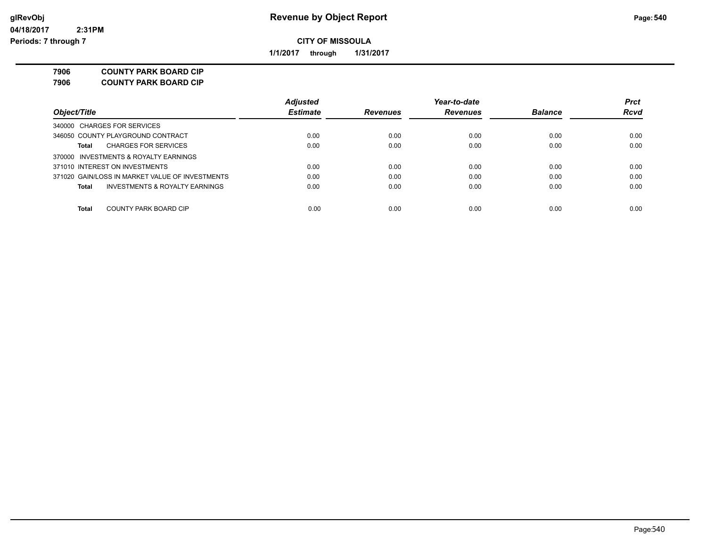**1/1/2017 through 1/31/2017**

**7906 COUNTY PARK BOARD CIP**

**7906 COUNTY PARK BOARD CIP**

|                                                 | <b>Adjusted</b> |                 | Year-to-date    |                | <b>Prct</b> |
|-------------------------------------------------|-----------------|-----------------|-----------------|----------------|-------------|
| Object/Title                                    | <b>Estimate</b> | <b>Revenues</b> | <b>Revenues</b> | <b>Balance</b> | Rcvd        |
| 340000 CHARGES FOR SERVICES                     |                 |                 |                 |                |             |
| 346050 COUNTY PLAYGROUND CONTRACT               | 0.00            | 0.00            | 0.00            | 0.00           | 0.00        |
| <b>CHARGES FOR SERVICES</b><br>Total            | 0.00            | 0.00            | 0.00            | 0.00           | 0.00        |
| 370000 INVESTMENTS & ROYALTY EARNINGS           |                 |                 |                 |                |             |
| 371010 INTEREST ON INVESTMENTS                  | 0.00            | 0.00            | 0.00            | 0.00           | 0.00        |
| 371020 GAIN/LOSS IN MARKET VALUE OF INVESTMENTS | 0.00            | 0.00            | 0.00            | 0.00           | 0.00        |
| INVESTMENTS & ROYALTY EARNINGS<br>Total         | 0.00            | 0.00            | 0.00            | 0.00           | 0.00        |
|                                                 |                 |                 |                 |                |             |
| <b>Total</b><br>COUNTY PARK BOARD CIP           | 0.00            | 0.00            | 0.00            | 0.00           | 0.00        |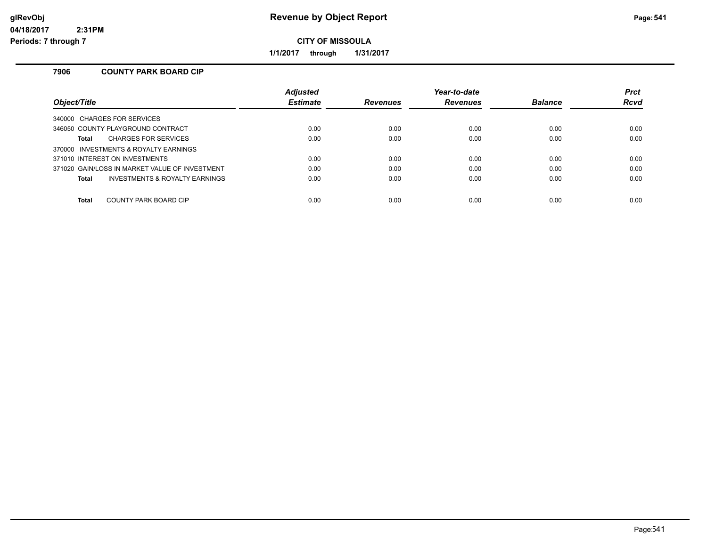**1/1/2017 through 1/31/2017**

#### **7906 COUNTY PARK BOARD CIP**

| Object/Title                                   | <b>Adjusted</b><br><b>Estimate</b> | <b>Revenues</b> | Year-to-date<br><b>Revenues</b> | <b>Balance</b> | <b>Prct</b><br><b>Rcvd</b> |
|------------------------------------------------|------------------------------------|-----------------|---------------------------------|----------------|----------------------------|
| 340000 CHARGES FOR SERVICES                    |                                    |                 |                                 |                |                            |
| 346050 COUNTY PLAYGROUND CONTRACT              | 0.00                               | 0.00            | 0.00                            | 0.00           | 0.00                       |
| <b>CHARGES FOR SERVICES</b><br>Total           | 0.00                               | 0.00            | 0.00                            | 0.00           | 0.00                       |
| 370000 INVESTMENTS & ROYALTY EARNINGS          |                                    |                 |                                 |                |                            |
| 371010 INTEREST ON INVESTMENTS                 | 0.00                               | 0.00            | 0.00                            | 0.00           | 0.00                       |
| 371020 GAIN/LOSS IN MARKET VALUE OF INVESTMENT | 0.00                               | 0.00            | 0.00                            | 0.00           | 0.00                       |
| INVESTMENTS & ROYALTY EARNINGS<br>Total        | 0.00                               | 0.00            | 0.00                            | 0.00           | 0.00                       |
| Total<br>COUNTY PARK BOARD CIP                 | 0.00                               | 0.00            | 0.00                            | 0.00           | 0.00                       |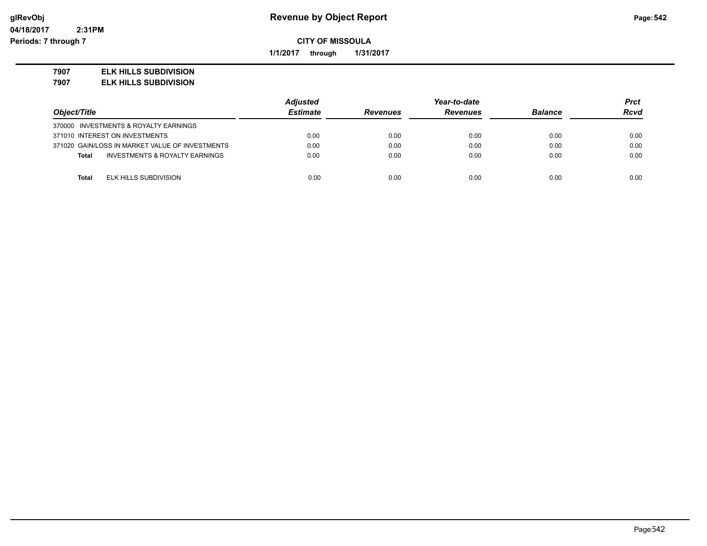**1/1/2017 through 1/31/2017**

**7907 ELK HILLS SUBDIVISION**

| 7907 | <b>ELK HILLS SUBDIVISION</b> |
|------|------------------------------|
|      |                              |

|                                                 | <b>Adjusted</b> |                 | Year-to-date    |                |             |
|-------------------------------------------------|-----------------|-----------------|-----------------|----------------|-------------|
| Object/Title                                    | <b>Estimate</b> | <b>Revenues</b> | <b>Revenues</b> | <b>Balance</b> | <b>Rcvd</b> |
| 370000 INVESTMENTS & ROYALTY EARNINGS           |                 |                 |                 |                |             |
| 371010 INTEREST ON INVESTMENTS                  | 0.00            | 0.00            | 0.00            | 0.00           | 0.00        |
| 371020 GAIN/LOSS IN MARKET VALUE OF INVESTMENTS | 0.00            | 0.00            | 0.00            | 0.00           | 0.00        |
| INVESTMENTS & ROYALTY EARNINGS<br><b>Total</b>  | 0.00            | 0.00            | 0.00            | 0.00           | 0.00        |
|                                                 |                 |                 |                 |                |             |
| ELK HILLS SUBDIVISION<br>Total                  | 0.00            | 0.00            | 0.00            | 0.00           | 0.00        |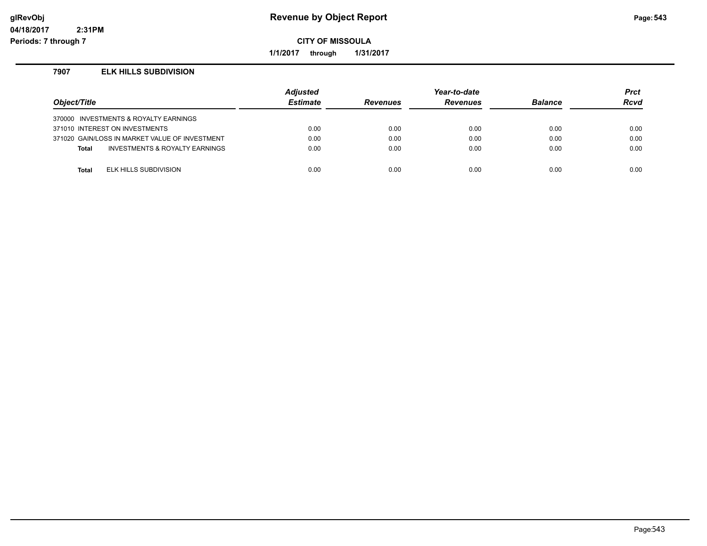**1/1/2017 through 1/31/2017**

#### **7907 ELK HILLS SUBDIVISION**

|                                                | <b>Adjusted</b> | Year-to-date    |                 |                | <b>Prct</b> |
|------------------------------------------------|-----------------|-----------------|-----------------|----------------|-------------|
| Object/Title                                   | <b>Estimate</b> | <b>Revenues</b> | <b>Revenues</b> | <b>Balance</b> | <b>Rcvd</b> |
| 370000 INVESTMENTS & ROYALTY EARNINGS          |                 |                 |                 |                |             |
| 371010 INTEREST ON INVESTMENTS                 | 0.00            | 0.00            | 0.00            | 0.00           | 0.00        |
| 371020 GAIN/LOSS IN MARKET VALUE OF INVESTMENT | 0.00            | 0.00            | 0.00            | 0.00           | 0.00        |
| INVESTMENTS & ROYALTY EARNINGS<br><b>Total</b> | 0.00            | 0.00            | 0.00            | 0.00           | 0.00        |
| ELK HILLS SUBDIVISION<br>Total                 | 0.00            | 0.00            | 0.00            | 0.00           | 0.00        |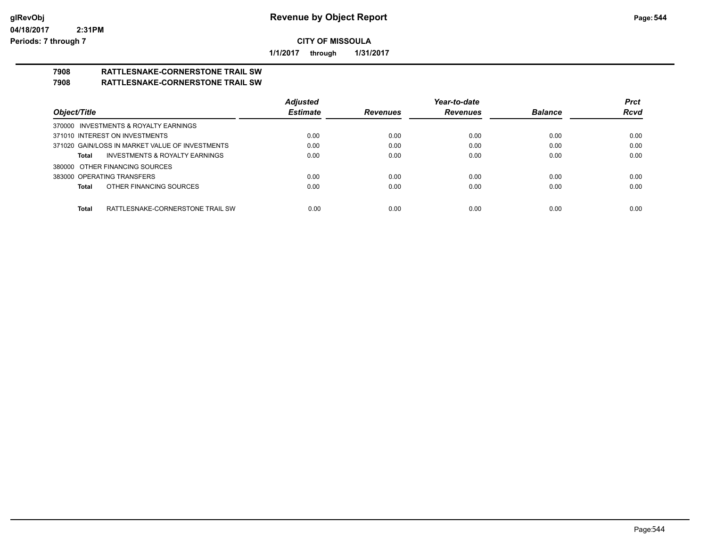**1/1/2017 through 1/31/2017**

#### **7908 RATTLESNAKE-CORNERSTONE TRAIL SW 7908 RATTLESNAKE-CORNERSTONE TRAIL SW**

|                                                 | <b>Adjusted</b> |                 | Year-to-date    |                | <b>Prct</b> |
|-------------------------------------------------|-----------------|-----------------|-----------------|----------------|-------------|
| Object/Title                                    | <b>Estimate</b> | <b>Revenues</b> | <b>Revenues</b> | <b>Balance</b> | <b>Rcvd</b> |
| 370000 INVESTMENTS & ROYALTY EARNINGS           |                 |                 |                 |                |             |
| 371010 INTEREST ON INVESTMENTS                  | 0.00            | 0.00            | 0.00            | 0.00           | 0.00        |
| 371020 GAIN/LOSS IN MARKET VALUE OF INVESTMENTS | 0.00            | 0.00            | 0.00            | 0.00           | 0.00        |
| INVESTMENTS & ROYALTY EARNINGS<br>Total         | 0.00            | 0.00            | 0.00            | 0.00           | 0.00        |
| 380000 OTHER FINANCING SOURCES                  |                 |                 |                 |                |             |
| 383000 OPERATING TRANSFERS                      | 0.00            | 0.00            | 0.00            | 0.00           | 0.00        |
| OTHER FINANCING SOURCES<br>Total                | 0.00            | 0.00            | 0.00            | 0.00           | 0.00        |
|                                                 |                 |                 |                 |                |             |
| RATTLESNAKE-CORNERSTONE TRAIL SW<br>Total       | 0.00            | 0.00            | 0.00            | 0.00           | 0.00        |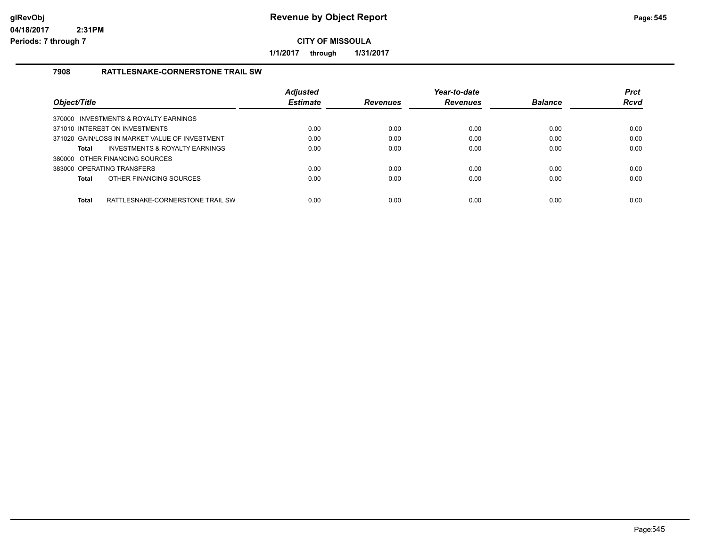**1/1/2017 through 1/31/2017**

#### **7908 RATTLESNAKE-CORNERSTONE TRAIL SW**

| Object/Title                                   | <b>Adjusted</b><br><b>Estimate</b> | <b>Revenues</b> | Year-to-date<br><b>Revenues</b> | <b>Balance</b> | <b>Prct</b><br><b>Rcvd</b> |
|------------------------------------------------|------------------------------------|-----------------|---------------------------------|----------------|----------------------------|
| 370000 INVESTMENTS & ROYALTY EARNINGS          |                                    |                 |                                 |                |                            |
| 371010 INTEREST ON INVESTMENTS                 | 0.00                               | 0.00            | 0.00                            | 0.00           | 0.00                       |
| 371020 GAIN/LOSS IN MARKET VALUE OF INVESTMENT | 0.00                               | 0.00            | 0.00                            | 0.00           | 0.00                       |
| Total<br>INVESTMENTS & ROYALTY EARNINGS        | 0.00                               | 0.00            | 0.00                            | 0.00           | 0.00                       |
| 380000 OTHER FINANCING SOURCES                 |                                    |                 |                                 |                |                            |
| 383000 OPERATING TRANSFERS                     | 0.00                               | 0.00            | 0.00                            | 0.00           | 0.00                       |
| OTHER FINANCING SOURCES<br>Total               | 0.00                               | 0.00            | 0.00                            | 0.00           | 0.00                       |
|                                                |                                    |                 |                                 |                |                            |
| Total<br>RATTLESNAKE-CORNERSTONE TRAIL SW      | 0.00                               | 0.00            | 0.00                            | 0.00           | 0.00                       |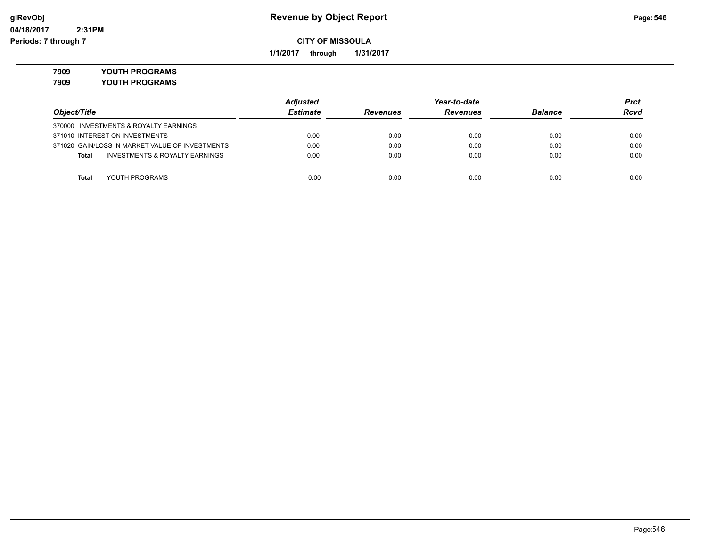**1/1/2017 through 1/31/2017**

**7909 YOUTH PROGRAMS 7909 YOUTH PROGRAMS**

| Object/Title                                    | <b>Adjusted</b><br><b>Estimate</b> | <b>Revenues</b> | Year-to-date<br><b>Revenues</b> | <b>Balance</b> | Prct<br><b>Rcvd</b> |
|-------------------------------------------------|------------------------------------|-----------------|---------------------------------|----------------|---------------------|
| 370000 INVESTMENTS & ROYALTY EARNINGS           |                                    |                 |                                 |                |                     |
| 371010 INTEREST ON INVESTMENTS                  | 0.00                               | 0.00            | 0.00                            | 0.00           | 0.00                |
| 371020 GAIN/LOSS IN MARKET VALUE OF INVESTMENTS | 0.00                               | 0.00            | 0.00                            | 0.00           | 0.00                |
| INVESTMENTS & ROYALTY EARNINGS<br>Total         | 0.00                               | 0.00            | 0.00                            | 0.00           | 0.00                |
|                                                 |                                    |                 |                                 |                |                     |
| YOUTH PROGRAMS<br><b>Total</b>                  | 0.00                               | 0.00            | 0.00                            | 0.00           | 0.00                |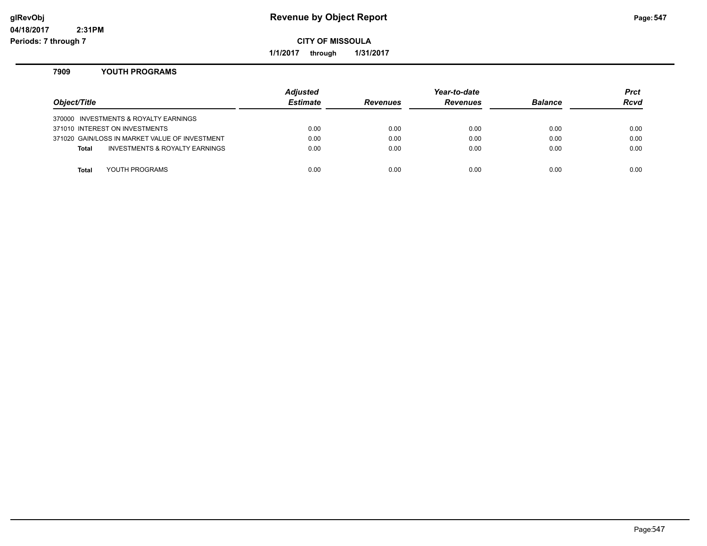**Periods: 7 through 7**

**CITY OF MISSOULA**

**1/1/2017 through 1/31/2017**

#### **7909 YOUTH PROGRAMS**

 **2:31PM**

|                                                | Adjusted        |                 | Year-to-date    |                | <b>Prct</b> |
|------------------------------------------------|-----------------|-----------------|-----------------|----------------|-------------|
| Object/Title                                   | <b>Estimate</b> | <b>Revenues</b> | <b>Revenues</b> | <b>Balance</b> | <b>Rcvd</b> |
| 370000 INVESTMENTS & ROYALTY EARNINGS          |                 |                 |                 |                |             |
| 371010 INTEREST ON INVESTMENTS                 | 0.00            | 0.00            | 0.00            | 0.00           | 0.00        |
| 371020 GAIN/LOSS IN MARKET VALUE OF INVESTMENT | 0.00            | 0.00            | 0.00            | 0.00           | 0.00        |
| INVESTMENTS & ROYALTY EARNINGS<br><b>Total</b> | 0.00            | 0.00            | 0.00            | 0.00           | 0.00        |
|                                                |                 |                 |                 |                |             |
| YOUTH PROGRAMS<br><b>Total</b>                 | 0.00            | 0.00            | 0.00            | 0.00           | 0.00        |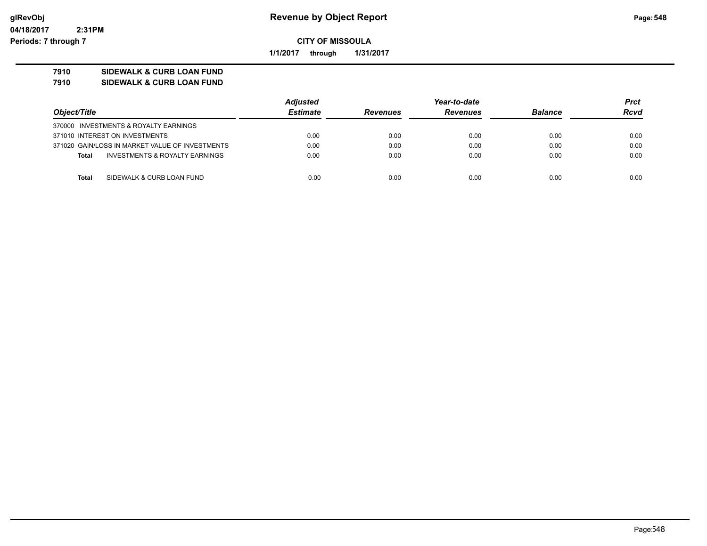**1/1/2017 through 1/31/2017**

**7910 SIDEWALK & CURB LOAN FUND 7910 SIDEWALK & CURB LOAN FUND**

|                                |                                                 | <b>Adjusted</b> |                 | Year-to-date    |                | <b>Prct</b> |
|--------------------------------|-------------------------------------------------|-----------------|-----------------|-----------------|----------------|-------------|
| Object/Title                   |                                                 | <b>Estimate</b> | <b>Revenues</b> | <b>Revenues</b> | <b>Balance</b> | Rcvd        |
|                                | 370000 INVESTMENTS & ROYALTY EARNINGS           |                 |                 |                 |                |             |
| 371010 INTEREST ON INVESTMENTS |                                                 | 0.00            | 0.00            | 0.00            | 0.00           | 0.00        |
|                                | 371020 GAIN/LOSS IN MARKET VALUE OF INVESTMENTS | 0.00            | 0.00            | 0.00            | 0.00           | 0.00        |
| Total                          | INVESTMENTS & ROYALTY EARNINGS                  | 0.00            | 0.00            | 0.00            | 0.00           | 0.00        |
|                                |                                                 |                 |                 |                 |                |             |
| <b>Total</b>                   | SIDEWALK & CURB LOAN FUND                       | 0.00            | 0.00            | 0.00            | 0.00           | 0.00        |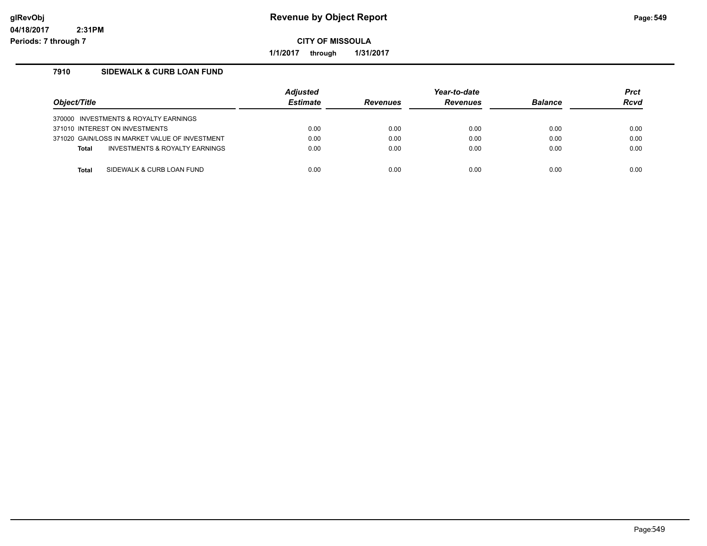**Periods: 7 through 7**

**CITY OF MISSOULA**

**1/1/2017 through 1/31/2017**

#### **7910 SIDEWALK & CURB LOAN FUND**

 **2:31PM**

|                                                           | <b>Adjusted</b> | Year-to-date    |                 |                | <b>Prct</b> |
|-----------------------------------------------------------|-----------------|-----------------|-----------------|----------------|-------------|
| Object/Title                                              | <b>Estimate</b> | <b>Revenues</b> | <b>Revenues</b> | <b>Balance</b> | <b>Rcvd</b> |
| 370000 INVESTMENTS & ROYALTY EARNINGS                     |                 |                 |                 |                |             |
| 371010 INTEREST ON INVESTMENTS                            | 0.00            | 0.00            | 0.00            | 0.00           | 0.00        |
| 371020 GAIN/LOSS IN MARKET VALUE OF INVESTMENT            | 0.00            | 0.00            | 0.00            | 0.00           | 0.00        |
| <b>INVESTMENTS &amp; ROYALTY EARNINGS</b><br><b>Total</b> | 0.00            | 0.00            | 0.00            | 0.00           | 0.00        |
| <b>Total</b><br>SIDEWALK & CURB LOAN FUND                 | 0.00            | 0.00            | 0.00            | 0.00           | 0.00        |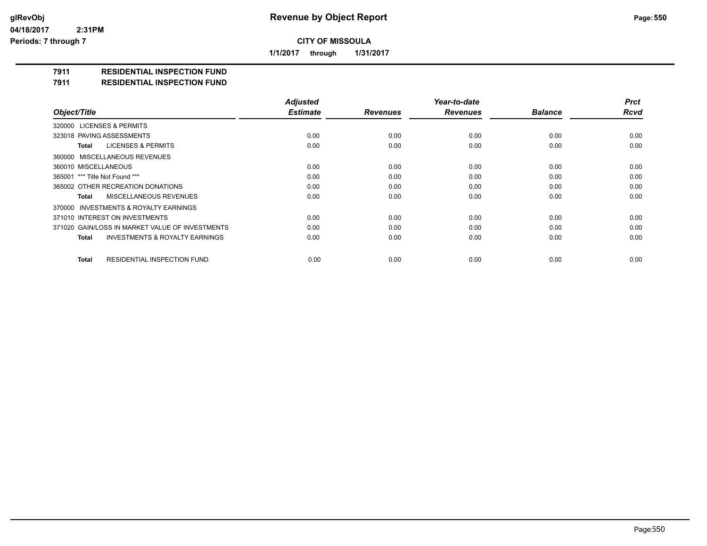**1/1/2017 through 1/31/2017**

# **7911 RESIDENTIAL INSPECTION FUND**

# **7911 RESIDENTIAL INSPECTION FUND**

|                                                    | <b>Adjusted</b> |                 | Year-to-date    |                | <b>Prct</b> |
|----------------------------------------------------|-----------------|-----------------|-----------------|----------------|-------------|
| Object/Title                                       | <b>Estimate</b> | <b>Revenues</b> | <b>Revenues</b> | <b>Balance</b> | <b>Rcvd</b> |
| 320000 LICENSES & PERMITS                          |                 |                 |                 |                |             |
| 323018 PAVING ASSESSMENTS                          | 0.00            | 0.00            | 0.00            | 0.00           | 0.00        |
| <b>LICENSES &amp; PERMITS</b><br>Total             | 0.00            | 0.00            | 0.00            | 0.00           | 0.00        |
| 360000 MISCELLANEOUS REVENUES                      |                 |                 |                 |                |             |
| 360010 MISCELLANEOUS                               | 0.00            | 0.00            | 0.00            | 0.00           | 0.00        |
| 365001 *** Title Not Found ***                     | 0.00            | 0.00            | 0.00            | 0.00           | 0.00        |
| 365002 OTHER RECREATION DONATIONS                  | 0.00            | 0.00            | 0.00            | 0.00           | 0.00        |
| MISCELLANEOUS REVENUES<br>Total                    | 0.00            | 0.00            | 0.00            | 0.00           | 0.00        |
| 370000 INVESTMENTS & ROYALTY EARNINGS              |                 |                 |                 |                |             |
| 371010 INTEREST ON INVESTMENTS                     | 0.00            | 0.00            | 0.00            | 0.00           | 0.00        |
| 371020 GAIN/LOSS IN MARKET VALUE OF INVESTMENTS    | 0.00            | 0.00            | 0.00            | 0.00           | 0.00        |
| <b>INVESTMENTS &amp; ROYALTY EARNINGS</b><br>Total | 0.00            | 0.00            | 0.00            | 0.00           | 0.00        |
| <b>RESIDENTIAL INSPECTION FUND</b><br><b>Total</b> | 0.00            | 0.00            | 0.00            | 0.00           | 0.00        |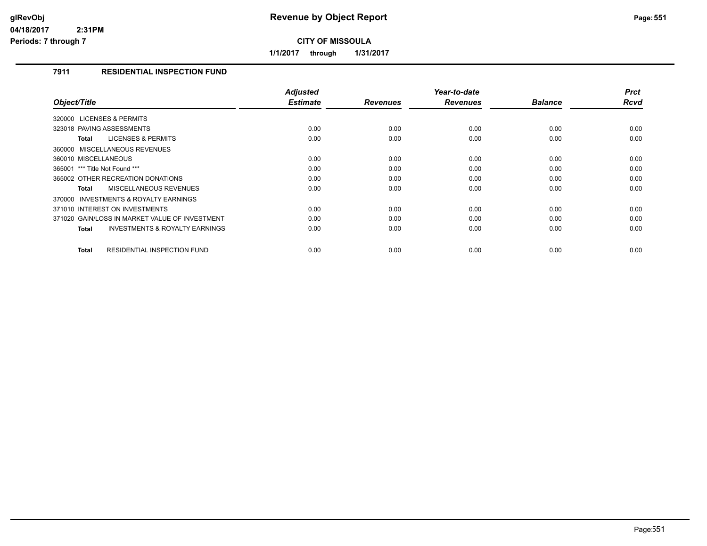**1/1/2017 through 1/31/2017**

#### **7911 RESIDENTIAL INSPECTION FUND**

|                                                           | <b>Adjusted</b> |                 | Year-to-date    |                | <b>Prct</b> |
|-----------------------------------------------------------|-----------------|-----------------|-----------------|----------------|-------------|
| Object/Title                                              | <b>Estimate</b> | <b>Revenues</b> | <b>Revenues</b> | <b>Balance</b> | Rcvd        |
| <b>LICENSES &amp; PERMITS</b><br>320000                   |                 |                 |                 |                |             |
| 323018 PAVING ASSESSMENTS                                 | 0.00            | 0.00            | 0.00            | 0.00           | 0.00        |
| <b>LICENSES &amp; PERMITS</b><br><b>Total</b>             | 0.00            | 0.00            | 0.00            | 0.00           | 0.00        |
| 360000 MISCELLANEOUS REVENUES                             |                 |                 |                 |                |             |
| 360010 MISCELLANEOUS                                      | 0.00            | 0.00            | 0.00            | 0.00           | 0.00        |
| 365001 *** Title Not Found ***                            | 0.00            | 0.00            | 0.00            | 0.00           | 0.00        |
| 365002 OTHER RECREATION DONATIONS                         | 0.00            | 0.00            | 0.00            | 0.00           | 0.00        |
| <b>Total</b><br>MISCELLANEOUS REVENUES                    | 0.00            | 0.00            | 0.00            | 0.00           | 0.00        |
| INVESTMENTS & ROYALTY EARNINGS<br>370000                  |                 |                 |                 |                |             |
| 371010 INTEREST ON INVESTMENTS                            | 0.00            | 0.00            | 0.00            | 0.00           | 0.00        |
| 371020 GAIN/LOSS IN MARKET VALUE OF INVESTMENT            | 0.00            | 0.00            | 0.00            | 0.00           | 0.00        |
| <b>INVESTMENTS &amp; ROYALTY EARNINGS</b><br><b>Total</b> | 0.00            | 0.00            | 0.00            | 0.00           | 0.00        |
|                                                           |                 |                 |                 |                |             |
| RESIDENTIAL INSPECTION FUND<br><b>Total</b>               | 0.00            | 0.00            | 0.00            | 0.00           | 0.00        |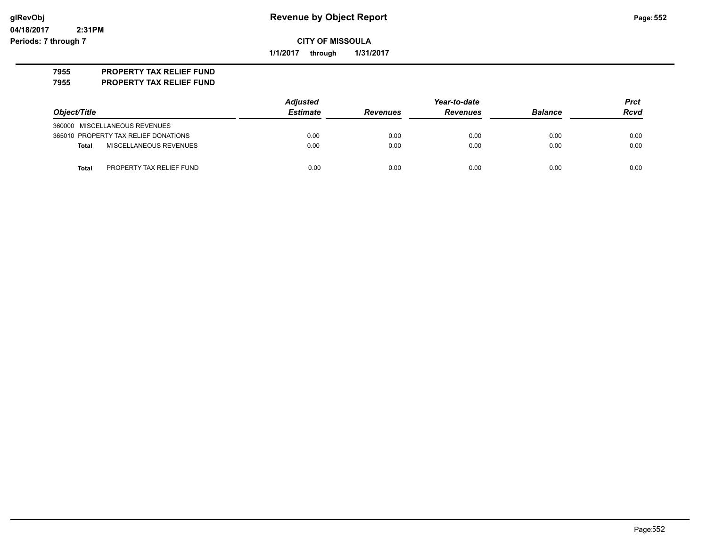**1/1/2017 through 1/31/2017**

**7955 PROPERTY TAX RELIEF FUND 7955 PROPERTY TAX RELIEF FUND**

|                                        | <b>Adjusted</b> |                                    | <b>Prct</b> |                |             |
|----------------------------------------|-----------------|------------------------------------|-------------|----------------|-------------|
| Object/Title                           | <b>Estimate</b> | <b>Revenues</b><br><b>Revenues</b> |             | <b>Balance</b> | <b>Rcvd</b> |
| 360000 MISCELLANEOUS REVENUES          |                 |                                    |             |                |             |
| 365010 PROPERTY TAX RELIEF DONATIONS   | 0.00            | 0.00                               | 0.00        | 0.00           | 0.00        |
| MISCELLANEOUS REVENUES<br><b>Total</b> | 0.00            | 0.00                               | 0.00        | 0.00           | 0.00        |
| PROPERTY TAX RELIEF FUND<br>Total      | 0.00            | 0.00                               | 0.00        | 0.00           | 0.00        |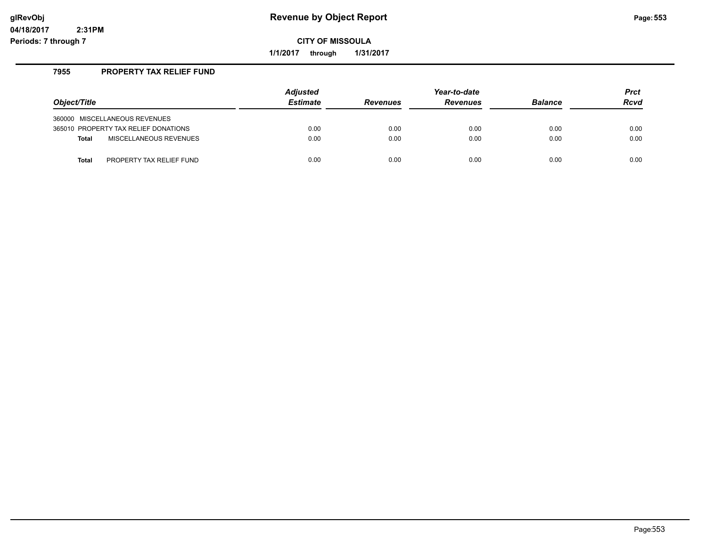**1/1/2017 through 1/31/2017**

#### **7955 PROPERTY TAX RELIEF FUND**

|                                          | <b>Adjusted</b> |                 | Year-to-date    |                | <b>Prct</b> |
|------------------------------------------|-----------------|-----------------|-----------------|----------------|-------------|
| Object/Title                             | <b>Estimate</b> | <b>Revenues</b> | <b>Revenues</b> | <b>Balance</b> | <b>Rcvd</b> |
| 360000 MISCELLANEOUS REVENUES            |                 |                 |                 |                |             |
| 365010 PROPERTY TAX RELIEF DONATIONS     | 0.00            | 0.00            | 0.00            | 0.00           | 0.00        |
| MISCELLANEOUS REVENUES<br><b>Total</b>   | 0.00            | 0.00            | 0.00            | 0.00           | 0.00        |
| <b>Total</b><br>PROPERTY TAX RELIEF FUND | 0.00            | 0.00            | 0.00            | 0.00           | 0.00        |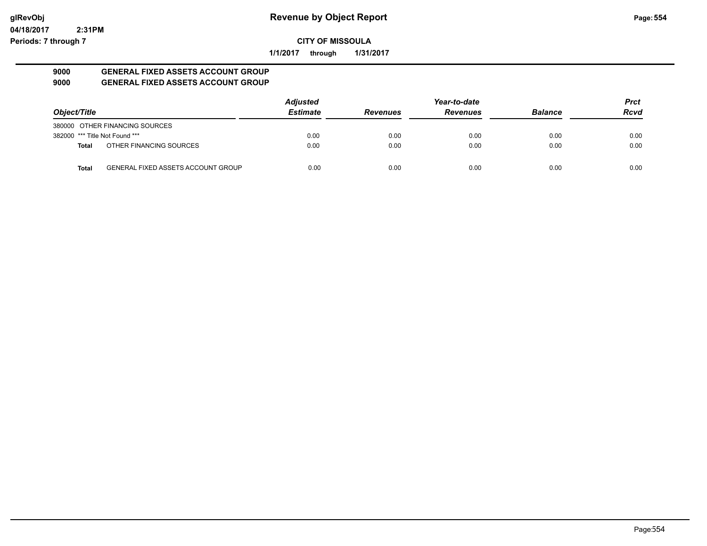**Periods: 7 through 7**

 **2:31PM**

**CITY OF MISSOULA**

**1/1/2017 through 1/31/2017**

#### **9000 GENERAL FIXED ASSETS ACCOUNT GROUP 9000 GENERAL FIXED ASSETS ACCOUNT GROUP**

| Object/Title                   |                                           | <b>Adjusted</b> |                 | Year-to-date    |                | Prct        |
|--------------------------------|-------------------------------------------|-----------------|-----------------|-----------------|----------------|-------------|
|                                |                                           | <b>Estimate</b> | <b>Revenues</b> | <b>Revenues</b> | <b>Balance</b> | <b>Rcvd</b> |
|                                | 380000 OTHER FINANCING SOURCES            |                 |                 |                 |                |             |
| 382000 *** Title Not Found *** |                                           | 0.00            | 0.00            | 0.00            | 0.00           | 0.00        |
| <b>Total</b>                   | OTHER FINANCING SOURCES                   | 0.00            | 0.00            | 0.00            | 0.00           | 0.00        |
| <b>Total</b>                   | <b>GENERAL FIXED ASSETS ACCOUNT GROUP</b> | 0.00            | 0.00            | 0.00            | 0.00           | 0.00        |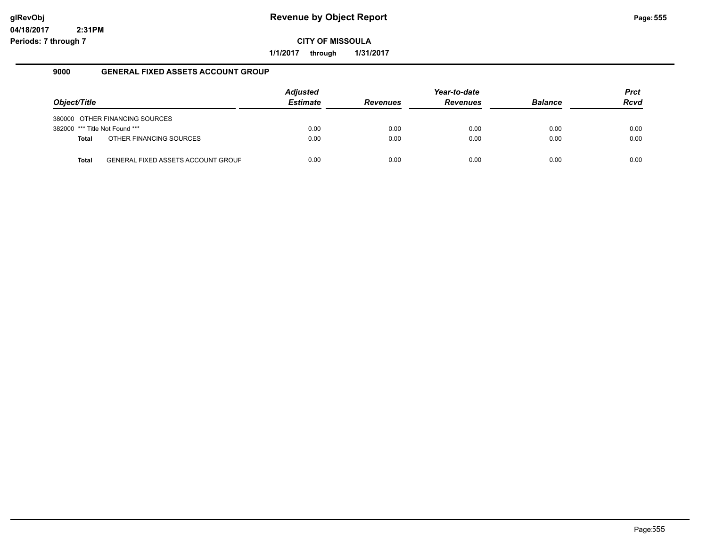**1/1/2017 through 1/31/2017**

# **9000 GENERAL FIXED ASSETS ACCOUNT GROUP**

|                                |                                           | <b>Adjusted</b> |                 | Year-to-date   |      | <b>Prct</b><br><b>Rcvd</b> |
|--------------------------------|-------------------------------------------|-----------------|-----------------|----------------|------|----------------------------|
| Object/Title                   | <b>Estimate</b>                           | <b>Revenues</b> | <b>Revenues</b> | <b>Balance</b> |      |                            |
|                                | 380000 OTHER FINANCING SOURCES            |                 |                 |                |      |                            |
| 382000 *** Title Not Found *** |                                           | 0.00            | 0.00            | 0.00           | 0.00 | 0.00                       |
| <b>Total</b>                   | OTHER FINANCING SOURCES                   | 0.00            | 0.00            | 0.00           | 0.00 | 0.00                       |
| Total                          | <b>GENERAL FIXED ASSETS ACCOUNT GROUF</b> | 0.00            | 0.00            | 0.00           | 0.00 | 0.00                       |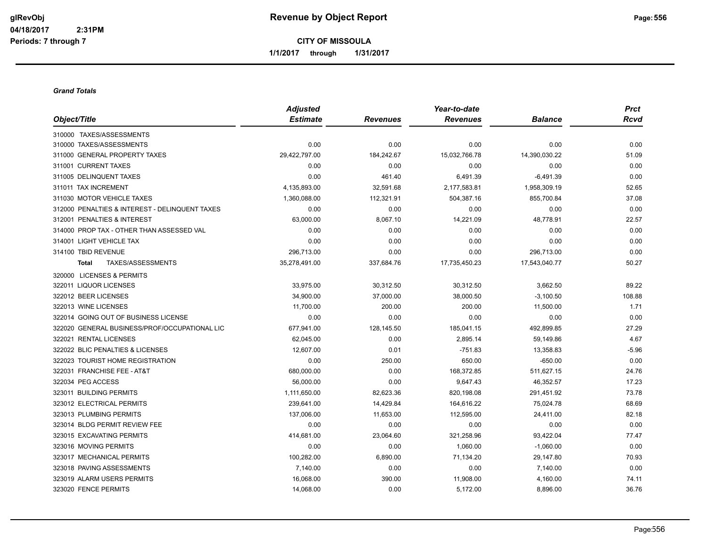#### *Grand Totals*

| Object/Title                                   | <b>Adjusted</b><br><b>Estimate</b> | <b>Revenues</b> | Year-to-date<br><b>Revenues</b> | <b>Balance</b> | <b>Prct</b><br><b>Rcvd</b> |
|------------------------------------------------|------------------------------------|-----------------|---------------------------------|----------------|----------------------------|
|                                                |                                    |                 |                                 |                |                            |
| 310000 TAXES/ASSESSMENTS                       |                                    |                 |                                 |                |                            |
| 310000 TAXES/ASSESSMENTS                       | 0.00                               | 0.00            | 0.00                            | 0.00           | 0.00                       |
| 311000 GENERAL PROPERTY TAXES                  | 29,422,797.00                      | 184,242.67      | 15,032,766.78                   | 14,390,030.22  | 51.09                      |
| 311001 CURRENT TAXES                           | 0.00                               | 0.00            | 0.00                            | 0.00           | 0.00                       |
| 311005 DELINQUENT TAXES                        | 0.00                               | 461.40          | 6,491.39                        | $-6,491.39$    | 0.00                       |
| 311011 TAX INCREMENT                           | 4,135,893.00                       | 32,591.68       | 2,177,583.81                    | 1,958,309.19   | 52.65                      |
| 311030 MOTOR VEHICLE TAXES                     | 1,360,088.00                       | 112,321.91      | 504,387.16                      | 855,700.84     | 37.08                      |
| 312000 PENALTIES & INTEREST - DELINQUENT TAXES | 0.00                               | 0.00            | 0.00                            | 0.00           | 0.00                       |
| 312001 PENALTIES & INTEREST                    | 63,000.00                          | 8,067.10        | 14,221.09                       | 48,778.91      | 22.57                      |
| 314000 PROP TAX - OTHER THAN ASSESSED VAL      | 0.00                               | 0.00            | 0.00                            | 0.00           | 0.00                       |
| 314001 LIGHT VEHICLE TAX                       | 0.00                               | 0.00            | 0.00                            | 0.00           | 0.00                       |
| 314100 TBID REVENUE                            | 296,713.00                         | 0.00            | 0.00                            | 296,713.00     | 0.00                       |
| TAXES/ASSESSMENTS<br>Total                     | 35,278,491.00                      | 337,684.76      | 17,735,450.23                   | 17,543,040.77  | 50.27                      |
| 320000 LICENSES & PERMITS                      |                                    |                 |                                 |                |                            |
| 322011 LIQUOR LICENSES                         | 33,975.00                          | 30,312.50       | 30,312.50                       | 3,662.50       | 89.22                      |
| 322012 BEER LICENSES                           | 34,900.00                          | 37,000.00       | 38,000.50                       | $-3,100.50$    | 108.88                     |
| 322013 WINE LICENSES                           | 11,700.00                          | 200.00          | 200.00                          | 11,500.00      | 1.71                       |
| 322014 GOING OUT OF BUSINESS LICENSE           | 0.00                               | 0.00            | 0.00                            | 0.00           | 0.00                       |
| 322020 GENERAL BUSINESS/PROF/OCCUPATIONAL LIC  | 677,941.00                         | 128,145.50      | 185,041.15                      | 492,899.85     | 27.29                      |
| 322021 RENTAL LICENSES                         | 62,045.00                          | 0.00            | 2,895.14                        | 59,149.86      | 4.67                       |
| 322022 BLIC PENALTIES & LICENSES               | 12,607.00                          | 0.01            | $-751.83$                       | 13,358.83      | $-5.96$                    |
| 322023 TOURIST HOME REGISTRATION               | 0.00                               | 250.00          | 650.00                          | $-650.00$      | 0.00                       |
| 322031 FRANCHISE FEE - AT&T                    | 680,000.00                         | 0.00            | 168,372.85                      | 511,627.15     | 24.76                      |
| 322034 PEG ACCESS                              | 56,000.00                          | 0.00            | 9,647.43                        | 46,352.57      | 17.23                      |
| 323011 BUILDING PERMITS                        | 1,111,650.00                       | 82,623.36       | 820,198.08                      | 291,451.92     | 73.78                      |
| 323012 ELECTRICAL PERMITS                      | 239,641.00                         | 14,429.84       | 164,616.22                      | 75,024.78      | 68.69                      |
| 323013 PLUMBING PERMITS                        | 137,006.00                         | 11,653.00       | 112,595.00                      | 24,411.00      | 82.18                      |
| 323014 BLDG PERMIT REVIEW FEE                  | 0.00                               | 0.00            | 0.00                            | 0.00           | 0.00                       |
| 323015 EXCAVATING PERMITS                      | 414,681.00                         | 23,064.60       | 321,258.96                      | 93,422.04      | 77.47                      |
| 323016 MOVING PERMITS                          | 0.00                               | 0.00            | 1,060.00                        | $-1,060.00$    | 0.00                       |
| 323017 MECHANICAL PERMITS                      | 100,282.00                         | 6,890.00        | 71,134.20                       | 29,147.80      | 70.93                      |
| 323018 PAVING ASSESSMENTS                      | 7,140.00                           | 0.00            | 0.00                            | 7,140.00       | 0.00                       |
| 323019 ALARM USERS PERMITS                     | 16,068.00                          | 390.00          | 11,908.00                       | 4,160.00       | 74.11                      |
| 323020 FENCE PERMITS                           | 14,068.00                          | 0.00            | 5,172.00                        | 8,896.00       | 36.76                      |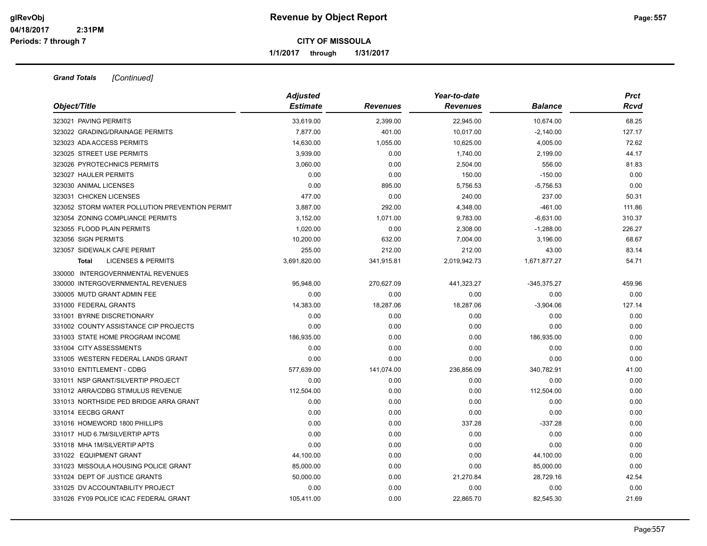|                                                | <b>Adjusted</b> |                 | Year-to-date    |                | <b>Prct</b> |
|------------------------------------------------|-----------------|-----------------|-----------------|----------------|-------------|
| Object/Title                                   | <b>Estimate</b> | <b>Revenues</b> | <b>Revenues</b> | <b>Balance</b> | Rcvd        |
| 323021 PAVING PERMITS                          | 33,619.00       | 2,399.00        | 22,945.00       | 10,674.00      | 68.25       |
| 323022 GRADING/DRAINAGE PERMITS                | 7,877.00        | 401.00          | 10,017.00       | $-2,140.00$    | 127.17      |
| 323023 ADA ACCESS PERMITS                      | 14,630.00       | 1,055.00        | 10,625.00       | 4,005.00       | 72.62       |
| 323025 STREET USE PERMITS                      | 3,939.00        | 0.00            | 1,740.00        | 2,199.00       | 44.17       |
| 323026 PYROTECHNICS PERMITS                    | 3,060.00        | 0.00            | 2,504.00        | 556.00         | 81.83       |
| 323027 HAULER PERMITS                          | 0.00            | 0.00            | 150.00          | $-150.00$      | 0.00        |
| 323030 ANIMAL LICENSES                         | 0.00            | 895.00          | 5,756.53        | $-5,756.53$    | 0.00        |
| 323031 CHICKEN LICENSES                        | 477.00          | 0.00            | 240.00          | 237.00         | 50.31       |
| 323052 STORM WATER POLLUTION PREVENTION PERMIT | 3,887.00        | 292.00          | 4,348.00        | $-461.00$      | 111.86      |
| 323054 ZONING COMPLIANCE PERMITS               | 3,152.00        | 1,071.00        | 9,783.00        | $-6,631.00$    | 310.37      |
| 323055 FLOOD PLAIN PERMITS                     | 1,020.00        | 0.00            | 2,308.00        | $-1,288.00$    | 226.27      |
| 323056 SIGN PERMITS                            | 10,200.00       | 632.00          | 7,004.00        | 3,196.00       | 68.67       |
| 323057 SIDEWALK CAFE PERMIT                    | 255.00          | 212.00          | 212.00          | 43.00          | 83.14       |
| <b>LICENSES &amp; PERMITS</b><br><b>Total</b>  | 3,691,820.00    | 341,915.81      | 2,019,942.73    | 1,671,877.27   | 54.71       |
| 330000 INTERGOVERNMENTAL REVENUES              |                 |                 |                 |                |             |
| 330000 INTERGOVERNMENTAL REVENUES              | 95,948.00       | 270,627.09      | 441,323.27      | $-345,375.27$  | 459.96      |
| 330005 MUTD GRANT ADMIN FEE                    | 0.00            | 0.00            | 0.00            | 0.00           | 0.00        |
| 331000 FEDERAL GRANTS                          | 14,383.00       | 18,287.06       | 18,287.06       | $-3,904.06$    | 127.14      |
| 331001 BYRNE DISCRETIONARY                     | 0.00            | 0.00            | 0.00            | 0.00           | 0.00        |
| 331002 COUNTY ASSISTANCE CIP PROJECTS          | 0.00            | 0.00            | 0.00            | 0.00           | 0.00        |
| 331003 STATE HOME PROGRAM INCOME               | 186,935.00      | 0.00            | 0.00            | 186,935.00     | 0.00        |
| 331004 CITY ASSESSMENTS                        | 0.00            | 0.00            | 0.00            | 0.00           | 0.00        |
| 331005 WESTERN FEDERAL LANDS GRANT             | 0.00            | 0.00            | 0.00            | 0.00           | 0.00        |
| 331010 ENTITLEMENT - CDBG                      | 577,639.00      | 141,074.00      | 236,856.09      | 340,782.91     | 41.00       |
| 331011 NSP GRANT/SILVERTIP PROJECT             | 0.00            | 0.00            | 0.00            | 0.00           | 0.00        |
| 331012 ARRA/CDBG STIMULUS REVENUE              | 112,504.00      | 0.00            | 0.00            | 112,504.00     | 0.00        |
| 331013 NORTHSIDE PED BRIDGE ARRA GRANT         | 0.00            | 0.00            | 0.00            | 0.00           | 0.00        |
| 331014 EECBG GRANT                             | 0.00            | 0.00            | 0.00            | 0.00           | 0.00        |
| 331016 HOMEWORD 1800 PHILLIPS                  | 0.00            | 0.00            | 337.28          | $-337.28$      | 0.00        |
| 331017 HUD 6.7M/SILVERTIP APTS                 | 0.00            | 0.00            | 0.00            | 0.00           | 0.00        |
| 331018 MHA 1M/SILVERTIP APTS                   | 0.00            | 0.00            | 0.00            | 0.00           | 0.00        |
| 331022 EQUIPMENT GRANT                         | 44,100.00       | 0.00            | 0.00            | 44,100.00      | 0.00        |
| 331023 MISSOULA HOUSING POLICE GRANT           | 85,000.00       | 0.00            | 0.00            | 85,000.00      | 0.00        |
| 331024 DEPT OF JUSTICE GRANTS                  | 50,000.00       | 0.00            | 21,270.84       | 28,729.16      | 42.54       |
| 331025 DV ACCOUNTABILITY PROJECT               | 0.00            | 0.00            | 0.00            | 0.00           | 0.00        |
| 331026 FY09 POLICE ICAC FEDERAL GRANT          | 105,411.00      | 0.00            | 22,865.70       | 82,545.30      | 21.69       |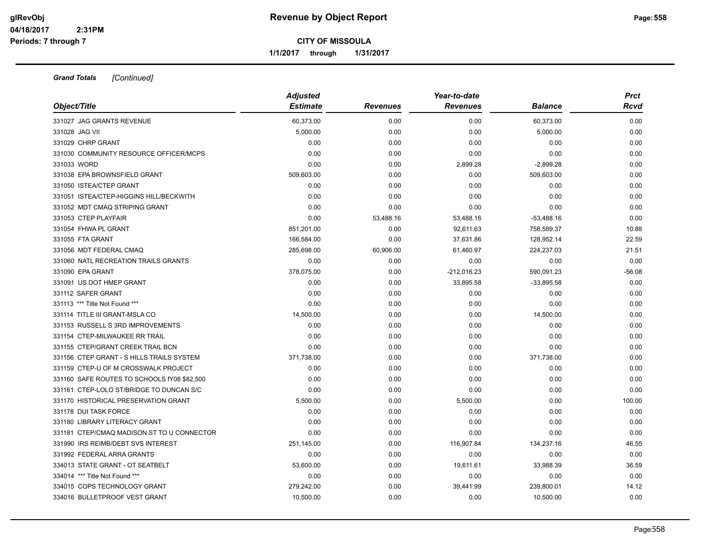|                                             | <b>Adjusted</b> |                 | Year-to-date    |                | <b>Prct</b> |
|---------------------------------------------|-----------------|-----------------|-----------------|----------------|-------------|
| Object/Title                                | <b>Estimate</b> | <b>Revenues</b> | <b>Revenues</b> | <b>Balance</b> | Rcvd        |
| 331027 JAG GRANTS REVENUE                   | 60,373.00       | 0.00            | 0.00            | 60,373.00      | 0.00        |
| 331028 JAG VII                              | 5,000.00        | 0.00            | 0.00            | 5,000.00       | 0.00        |
| 331029 CHRP GRANT                           | 0.00            | 0.00            | 0.00            | 0.00           | 0.00        |
| 331030 COMMUNITY RESOURCE OFFICER/MCPS      | 0.00            | 0.00            | 0.00            | 0.00           | 0.00        |
| 331033 WORD                                 | 0.00            | 0.00            | 2,899.28        | $-2,899.28$    | 0.00        |
| 331038 EPA BROWNSFIELD GRANT                | 509,603.00      | 0.00            | 0.00            | 509,603.00     | 0.00        |
| 331050 ISTEA/CTEP GRANT                     | 0.00            | 0.00            | 0.00            | 0.00           | 0.00        |
| 331051 ISTEA/CTEP-HIGGINS HILL/BECKWITH     | 0.00            | 0.00            | 0.00            | 0.00           | 0.00        |
| 331052 MDT CMAQ STRIPING GRANT              | 0.00            | 0.00            | 0.00            | 0.00           | 0.00        |
| 331053 CTEP PLAYFAIR                        | 0.00            | 53,488.16       | 53,488.16       | $-53,488.16$   | 0.00        |
| 331054 FHWA PL GRANT                        | 851,201.00      | 0.00            | 92,611.63       | 758,589.37     | 10.88       |
| 331055 FTA GRANT                            | 166,584.00      | 0.00            | 37,631.86       | 128,952.14     | 22.59       |
| 331056 MDT FEDERAL CMAQ                     | 285,698.00      | 60,906.00       | 61,460.97       | 224,237.03     | 21.51       |
| 331060 NATL RECREATION TRAILS GRANTS        | 0.00            | 0.00            | 0.00            | 0.00           | 0.00        |
| 331090 EPA GRANT                            | 378,075.00      | 0.00            | $-212,016.23$   | 590,091.23     | $-56.08$    |
| 331091 US DOT HMEP GRANT                    | 0.00            | 0.00            | 33,895.58       | $-33,895.58$   | 0.00        |
| 331112 SAFER GRANT                          | 0.00            | 0.00            | 0.00            | 0.00           | 0.00        |
| 331113 *** Title Not Found ***              | 0.00            | 0.00            | 0.00            | 0.00           | 0.00        |
| 331114 TITLE III GRANT-MSLA CO              | 14,500.00       | 0.00            | 0.00            | 14,500.00      | 0.00        |
| 331153 RUSSELL S 3RD IMPROVEMENTS           | 0.00            | 0.00            | 0.00            | 0.00           | 0.00        |
| 331154 CTEP-MILWAUKEE RR TRAIL              | 0.00            | 0.00            | 0.00            | 0.00           | 0.00        |
| 331155 CTEP/GRANT CREEK TRAIL BCN           | 0.00            | 0.00            | 0.00            | 0.00           | 0.00        |
| 331156 CTEP GRANT - S HILLS TRAILS SYSTEM   | 371,738.00      | 0.00            | 0.00            | 371,738.00     | 0.00        |
| 331159 CTEP-U OF M CROSSWALK PROJECT        | 0.00            | 0.00            | 0.00            | 0.00           | 0.00        |
| 331160 SAFE ROUTES TO SCHOOLS fY08 \$82,500 | 0.00            | 0.00            | 0.00            | 0.00           | 0.00        |
| 331161 CTEP-LOLO ST/BRIDGE TO DUNCAN S/C    | 0.00            | 0.00            | 0.00            | 0.00           | 0.00        |
| 331170 HISTORICAL PRESERVATION GRANT        | 5,500.00        | 0.00            | 5,500.00        | 0.00           | 100.00      |
| 331178 DUI TASK FORCE                       | 0.00            | 0.00            | 0.00            | 0.00           | 0.00        |
| 331180 LIBRARY LITERACY GRANT               | 0.00            | 0.00            | 0.00            | 0.00           | 0.00        |
| 331181 CTEP/CMAQ MADISON ST TO U CONNECTOR  | 0.00            | 0.00            | 0.00            | 0.00           | 0.00        |
| 331990 IRS REIMB/DEBT SVS INTEREST          | 251,145.00      | 0.00            | 116,907.84      | 134,237.16     | 46.55       |
| 331992 FEDERAL ARRA GRANTS                  | 0.00            | 0.00            | 0.00            | 0.00           | 0.00        |
| 334013 STATE GRANT - OT SEATBELT            | 53,600.00       | 0.00            | 19,611.61       | 33,988.39      | 36.59       |
| 334014 *** Title Not Found ***              | 0.00            | 0.00            | 0.00            | 0.00           | 0.00        |
| 334015 COPS TECHNOLOGY GRANT                | 279,242.00      | 0.00            | 39,441.99       | 239,800.01     | 14.12       |
| 334016 BULLETPROOF VEST GRANT               | 10,500.00       | 0.00            | 0.00            | 10,500.00      | 0.00        |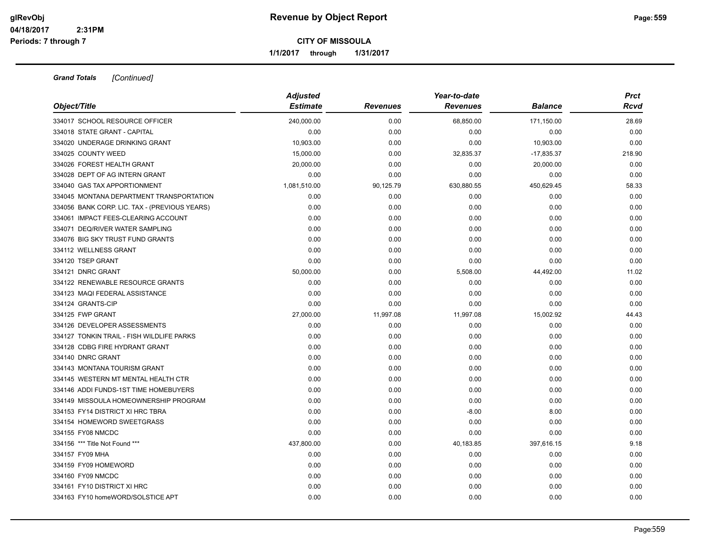**1/1/2017 through 1/31/2017**

| 240.000.00<br>334017 SCHOOL RESOURCE OFFICER<br>0.00<br>68,850.00<br>171,150.00<br>28.69<br>334018 STATE GRANT - CAPITAL<br>0.00<br>0.00<br>0.00<br>0.00<br>0.00<br>334020 UNDERAGE DRINKING GRANT<br>0.00<br>0.00<br>0.00<br>10,903.00<br>10,903.00<br>334025 COUNTY WEED<br>15,000.00<br>$-17,835.37$<br>0.00<br>32,835.37<br>218.90<br>334026 FOREST HEALTH GRANT<br>0.00<br>0.00<br>0.00<br>20,000.00<br>20,000.00<br>334028 DEPT OF AG INTERN GRANT<br>0.00<br>0.00<br>0.00<br>0.00<br>0.00<br>334040 GAS TAX APPORTIONMENT<br>1,081,510.00<br>450,629.45<br>90,125.79<br>630,880.55<br>58.33<br>334045 MONTANA DEPARTMENT TRANSPORTATION<br>0.00<br>0.00<br>0.00<br>0.00<br>0.00<br>334056 BANK CORP. LIC. TAX - (PREVIOUS YEARS)<br>0.00<br>0.00<br>0.00<br>0.00<br>0.00<br>334061 IMPACT FEES-CLEARING ACCOUNT<br>0.00<br>0.00<br>0.00<br>0.00<br>0.00<br>334071 DEQ/RIVER WATER SAMPLING<br>0.00<br>0.00<br>0.00<br>0.00<br>0.00<br>0.00<br>0.00<br>0.00<br>0.00<br>0.00<br>0.00<br>0.00<br>0.00<br>0.00<br>0.00<br>0.00<br>0.00<br>0.00<br>0.00<br>0.00<br>50,000.00<br>0.00<br>5,508.00<br>44,492.00<br>11.02<br>0.00<br>0.00<br>0.00<br>0.00<br>0.00<br>0.00<br>0.00<br>0.00<br>0.00<br>0.00<br>0.00<br>0.00<br>0.00<br>0.00<br>0.00<br>27,000.00<br>11,997.08<br>11,997.08<br>15,002.92<br>44.43<br>0.00<br>0.00<br>0.00<br>0.00<br>0.00<br>0.00<br>0.00<br>0.00<br>0.00<br>0.00<br>0.00<br>0.00<br>0.00<br>0.00<br>0.00<br>0.00<br>0.00<br>0.00<br>0.00<br>0.00<br>0.00<br>0.00<br>0.00<br>0.00<br>0.00<br>0.00<br>0.00<br>0.00<br>0.00<br>0.00<br>0.00<br>0.00<br>0.00<br>0.00<br>0.00<br>0.00<br>0.00<br>0.00<br>0.00<br>0.00<br>0.00<br>0.00<br>$-8.00$<br>8.00<br>0.00<br>0.00<br>0.00<br>0.00<br>0.00<br>0.00<br>0.00<br>0.00<br>0.00<br>0.00<br>0.00<br>437,800.00<br>0.00<br>40,183.85<br>397,616.15<br>9.18<br>0.00<br>0.00<br>0.00<br>0.00<br>0.00<br>0.00<br>0.00<br>0.00<br>0.00<br>0.00<br>0.00<br>0.00<br>0.00<br>0.00<br>0.00<br>0.00<br>0.00<br>0.00<br>0.00<br>0.00<br>0.00<br>0.00<br>0.00<br>0.00<br>0.00 | Object/Title                              | <b>Adjusted</b><br><b>Estimate</b> | <b>Revenues</b> | Year-to-date<br><b>Revenues</b> | <b>Balance</b> | <b>Prct</b><br><b>Rcvd</b> |
|-------------------------------------------------------------------------------------------------------------------------------------------------------------------------------------------------------------------------------------------------------------------------------------------------------------------------------------------------------------------------------------------------------------------------------------------------------------------------------------------------------------------------------------------------------------------------------------------------------------------------------------------------------------------------------------------------------------------------------------------------------------------------------------------------------------------------------------------------------------------------------------------------------------------------------------------------------------------------------------------------------------------------------------------------------------------------------------------------------------------------------------------------------------------------------------------------------------------------------------------------------------------------------------------------------------------------------------------------------------------------------------------------------------------------------------------------------------------------------------------------------------------------------------------------------------------------------------------------------------------------------------------------------------------------------------------------------------------------------------------------------------------------------------------------------------------------------------------------------------------------------------------------------------------------------------------------------------------------------------------------------------------------------------------|-------------------------------------------|------------------------------------|-----------------|---------------------------------|----------------|----------------------------|
|                                                                                                                                                                                                                                                                                                                                                                                                                                                                                                                                                                                                                                                                                                                                                                                                                                                                                                                                                                                                                                                                                                                                                                                                                                                                                                                                                                                                                                                                                                                                                                                                                                                                                                                                                                                                                                                                                                                                                                                                                                           |                                           |                                    |                 |                                 |                |                            |
|                                                                                                                                                                                                                                                                                                                                                                                                                                                                                                                                                                                                                                                                                                                                                                                                                                                                                                                                                                                                                                                                                                                                                                                                                                                                                                                                                                                                                                                                                                                                                                                                                                                                                                                                                                                                                                                                                                                                                                                                                                           |                                           |                                    |                 |                                 |                |                            |
|                                                                                                                                                                                                                                                                                                                                                                                                                                                                                                                                                                                                                                                                                                                                                                                                                                                                                                                                                                                                                                                                                                                                                                                                                                                                                                                                                                                                                                                                                                                                                                                                                                                                                                                                                                                                                                                                                                                                                                                                                                           |                                           |                                    |                 |                                 |                |                            |
|                                                                                                                                                                                                                                                                                                                                                                                                                                                                                                                                                                                                                                                                                                                                                                                                                                                                                                                                                                                                                                                                                                                                                                                                                                                                                                                                                                                                                                                                                                                                                                                                                                                                                                                                                                                                                                                                                                                                                                                                                                           |                                           |                                    |                 |                                 |                |                            |
|                                                                                                                                                                                                                                                                                                                                                                                                                                                                                                                                                                                                                                                                                                                                                                                                                                                                                                                                                                                                                                                                                                                                                                                                                                                                                                                                                                                                                                                                                                                                                                                                                                                                                                                                                                                                                                                                                                                                                                                                                                           |                                           |                                    |                 |                                 |                |                            |
|                                                                                                                                                                                                                                                                                                                                                                                                                                                                                                                                                                                                                                                                                                                                                                                                                                                                                                                                                                                                                                                                                                                                                                                                                                                                                                                                                                                                                                                                                                                                                                                                                                                                                                                                                                                                                                                                                                                                                                                                                                           |                                           |                                    |                 |                                 |                |                            |
|                                                                                                                                                                                                                                                                                                                                                                                                                                                                                                                                                                                                                                                                                                                                                                                                                                                                                                                                                                                                                                                                                                                                                                                                                                                                                                                                                                                                                                                                                                                                                                                                                                                                                                                                                                                                                                                                                                                                                                                                                                           |                                           |                                    |                 |                                 |                |                            |
|                                                                                                                                                                                                                                                                                                                                                                                                                                                                                                                                                                                                                                                                                                                                                                                                                                                                                                                                                                                                                                                                                                                                                                                                                                                                                                                                                                                                                                                                                                                                                                                                                                                                                                                                                                                                                                                                                                                                                                                                                                           |                                           |                                    |                 |                                 |                |                            |
|                                                                                                                                                                                                                                                                                                                                                                                                                                                                                                                                                                                                                                                                                                                                                                                                                                                                                                                                                                                                                                                                                                                                                                                                                                                                                                                                                                                                                                                                                                                                                                                                                                                                                                                                                                                                                                                                                                                                                                                                                                           |                                           |                                    |                 |                                 |                |                            |
|                                                                                                                                                                                                                                                                                                                                                                                                                                                                                                                                                                                                                                                                                                                                                                                                                                                                                                                                                                                                                                                                                                                                                                                                                                                                                                                                                                                                                                                                                                                                                                                                                                                                                                                                                                                                                                                                                                                                                                                                                                           |                                           |                                    |                 |                                 |                |                            |
|                                                                                                                                                                                                                                                                                                                                                                                                                                                                                                                                                                                                                                                                                                                                                                                                                                                                                                                                                                                                                                                                                                                                                                                                                                                                                                                                                                                                                                                                                                                                                                                                                                                                                                                                                                                                                                                                                                                                                                                                                                           |                                           |                                    |                 |                                 |                |                            |
|                                                                                                                                                                                                                                                                                                                                                                                                                                                                                                                                                                                                                                                                                                                                                                                                                                                                                                                                                                                                                                                                                                                                                                                                                                                                                                                                                                                                                                                                                                                                                                                                                                                                                                                                                                                                                                                                                                                                                                                                                                           |                                           |                                    |                 |                                 |                |                            |
|                                                                                                                                                                                                                                                                                                                                                                                                                                                                                                                                                                                                                                                                                                                                                                                                                                                                                                                                                                                                                                                                                                                                                                                                                                                                                                                                                                                                                                                                                                                                                                                                                                                                                                                                                                                                                                                                                                                                                                                                                                           | 334076 BIG SKY TRUST FUND GRANTS          |                                    |                 |                                 |                |                            |
|                                                                                                                                                                                                                                                                                                                                                                                                                                                                                                                                                                                                                                                                                                                                                                                                                                                                                                                                                                                                                                                                                                                                                                                                                                                                                                                                                                                                                                                                                                                                                                                                                                                                                                                                                                                                                                                                                                                                                                                                                                           | 334112 WELLNESS GRANT                     |                                    |                 |                                 |                |                            |
|                                                                                                                                                                                                                                                                                                                                                                                                                                                                                                                                                                                                                                                                                                                                                                                                                                                                                                                                                                                                                                                                                                                                                                                                                                                                                                                                                                                                                                                                                                                                                                                                                                                                                                                                                                                                                                                                                                                                                                                                                                           | 334120 TSEP GRANT                         |                                    |                 |                                 |                |                            |
|                                                                                                                                                                                                                                                                                                                                                                                                                                                                                                                                                                                                                                                                                                                                                                                                                                                                                                                                                                                                                                                                                                                                                                                                                                                                                                                                                                                                                                                                                                                                                                                                                                                                                                                                                                                                                                                                                                                                                                                                                                           | 334121 DNRC GRANT                         |                                    |                 |                                 |                |                            |
|                                                                                                                                                                                                                                                                                                                                                                                                                                                                                                                                                                                                                                                                                                                                                                                                                                                                                                                                                                                                                                                                                                                                                                                                                                                                                                                                                                                                                                                                                                                                                                                                                                                                                                                                                                                                                                                                                                                                                                                                                                           | 334122 RENEWABLE RESOURCE GRANTS          |                                    |                 |                                 |                |                            |
|                                                                                                                                                                                                                                                                                                                                                                                                                                                                                                                                                                                                                                                                                                                                                                                                                                                                                                                                                                                                                                                                                                                                                                                                                                                                                                                                                                                                                                                                                                                                                                                                                                                                                                                                                                                                                                                                                                                                                                                                                                           | 334123 MAQI FEDERAL ASSISTANCE            |                                    |                 |                                 |                |                            |
|                                                                                                                                                                                                                                                                                                                                                                                                                                                                                                                                                                                                                                                                                                                                                                                                                                                                                                                                                                                                                                                                                                                                                                                                                                                                                                                                                                                                                                                                                                                                                                                                                                                                                                                                                                                                                                                                                                                                                                                                                                           | 334124 GRANTS-CIP                         |                                    |                 |                                 |                |                            |
|                                                                                                                                                                                                                                                                                                                                                                                                                                                                                                                                                                                                                                                                                                                                                                                                                                                                                                                                                                                                                                                                                                                                                                                                                                                                                                                                                                                                                                                                                                                                                                                                                                                                                                                                                                                                                                                                                                                                                                                                                                           | 334125 FWP GRANT                          |                                    |                 |                                 |                |                            |
|                                                                                                                                                                                                                                                                                                                                                                                                                                                                                                                                                                                                                                                                                                                                                                                                                                                                                                                                                                                                                                                                                                                                                                                                                                                                                                                                                                                                                                                                                                                                                                                                                                                                                                                                                                                                                                                                                                                                                                                                                                           | 334126 DEVELOPER ASSESSMENTS              |                                    |                 |                                 |                |                            |
|                                                                                                                                                                                                                                                                                                                                                                                                                                                                                                                                                                                                                                                                                                                                                                                                                                                                                                                                                                                                                                                                                                                                                                                                                                                                                                                                                                                                                                                                                                                                                                                                                                                                                                                                                                                                                                                                                                                                                                                                                                           | 334127 TONKIN TRAIL - FISH WILDLIFE PARKS |                                    |                 |                                 |                |                            |
|                                                                                                                                                                                                                                                                                                                                                                                                                                                                                                                                                                                                                                                                                                                                                                                                                                                                                                                                                                                                                                                                                                                                                                                                                                                                                                                                                                                                                                                                                                                                                                                                                                                                                                                                                                                                                                                                                                                                                                                                                                           | 334128 CDBG FIRE HYDRANT GRANT            |                                    |                 |                                 |                |                            |
|                                                                                                                                                                                                                                                                                                                                                                                                                                                                                                                                                                                                                                                                                                                                                                                                                                                                                                                                                                                                                                                                                                                                                                                                                                                                                                                                                                                                                                                                                                                                                                                                                                                                                                                                                                                                                                                                                                                                                                                                                                           | 334140 DNRC GRANT                         |                                    |                 |                                 |                |                            |
|                                                                                                                                                                                                                                                                                                                                                                                                                                                                                                                                                                                                                                                                                                                                                                                                                                                                                                                                                                                                                                                                                                                                                                                                                                                                                                                                                                                                                                                                                                                                                                                                                                                                                                                                                                                                                                                                                                                                                                                                                                           | 334143 MONTANA TOURISM GRANT              |                                    |                 |                                 |                |                            |
|                                                                                                                                                                                                                                                                                                                                                                                                                                                                                                                                                                                                                                                                                                                                                                                                                                                                                                                                                                                                                                                                                                                                                                                                                                                                                                                                                                                                                                                                                                                                                                                                                                                                                                                                                                                                                                                                                                                                                                                                                                           | 334145 WESTERN MT MENTAL HEALTH CTR       |                                    |                 |                                 |                |                            |
|                                                                                                                                                                                                                                                                                                                                                                                                                                                                                                                                                                                                                                                                                                                                                                                                                                                                                                                                                                                                                                                                                                                                                                                                                                                                                                                                                                                                                                                                                                                                                                                                                                                                                                                                                                                                                                                                                                                                                                                                                                           | 334146 ADDI FUNDS-1ST TIME HOMEBUYERS     |                                    |                 |                                 |                |                            |
|                                                                                                                                                                                                                                                                                                                                                                                                                                                                                                                                                                                                                                                                                                                                                                                                                                                                                                                                                                                                                                                                                                                                                                                                                                                                                                                                                                                                                                                                                                                                                                                                                                                                                                                                                                                                                                                                                                                                                                                                                                           | 334149 MISSOULA HOMEOWNERSHIP PROGRAM     |                                    |                 |                                 |                |                            |
|                                                                                                                                                                                                                                                                                                                                                                                                                                                                                                                                                                                                                                                                                                                                                                                                                                                                                                                                                                                                                                                                                                                                                                                                                                                                                                                                                                                                                                                                                                                                                                                                                                                                                                                                                                                                                                                                                                                                                                                                                                           | 334153 FY14 DISTRICT XI HRC TBRA          |                                    |                 |                                 |                |                            |
|                                                                                                                                                                                                                                                                                                                                                                                                                                                                                                                                                                                                                                                                                                                                                                                                                                                                                                                                                                                                                                                                                                                                                                                                                                                                                                                                                                                                                                                                                                                                                                                                                                                                                                                                                                                                                                                                                                                                                                                                                                           | 334154 HOMEWORD SWEETGRASS                |                                    |                 |                                 |                |                            |
|                                                                                                                                                                                                                                                                                                                                                                                                                                                                                                                                                                                                                                                                                                                                                                                                                                                                                                                                                                                                                                                                                                                                                                                                                                                                                                                                                                                                                                                                                                                                                                                                                                                                                                                                                                                                                                                                                                                                                                                                                                           | 334155 FY08 NMCDC                         |                                    |                 |                                 |                |                            |
|                                                                                                                                                                                                                                                                                                                                                                                                                                                                                                                                                                                                                                                                                                                                                                                                                                                                                                                                                                                                                                                                                                                                                                                                                                                                                                                                                                                                                                                                                                                                                                                                                                                                                                                                                                                                                                                                                                                                                                                                                                           | 334156 *** Title Not Found ***            |                                    |                 |                                 |                |                            |
|                                                                                                                                                                                                                                                                                                                                                                                                                                                                                                                                                                                                                                                                                                                                                                                                                                                                                                                                                                                                                                                                                                                                                                                                                                                                                                                                                                                                                                                                                                                                                                                                                                                                                                                                                                                                                                                                                                                                                                                                                                           | 334157 FY09 MHA                           |                                    |                 |                                 |                |                            |
|                                                                                                                                                                                                                                                                                                                                                                                                                                                                                                                                                                                                                                                                                                                                                                                                                                                                                                                                                                                                                                                                                                                                                                                                                                                                                                                                                                                                                                                                                                                                                                                                                                                                                                                                                                                                                                                                                                                                                                                                                                           | 334159 FY09 HOMEWORD                      |                                    |                 |                                 |                |                            |
|                                                                                                                                                                                                                                                                                                                                                                                                                                                                                                                                                                                                                                                                                                                                                                                                                                                                                                                                                                                                                                                                                                                                                                                                                                                                                                                                                                                                                                                                                                                                                                                                                                                                                                                                                                                                                                                                                                                                                                                                                                           | 334160 FY09 NMCDC                         |                                    |                 |                                 |                |                            |
|                                                                                                                                                                                                                                                                                                                                                                                                                                                                                                                                                                                                                                                                                                                                                                                                                                                                                                                                                                                                                                                                                                                                                                                                                                                                                                                                                                                                                                                                                                                                                                                                                                                                                                                                                                                                                                                                                                                                                                                                                                           | 334161 FY10 DISTRICT XI HRC               |                                    |                 |                                 |                |                            |
|                                                                                                                                                                                                                                                                                                                                                                                                                                                                                                                                                                                                                                                                                                                                                                                                                                                                                                                                                                                                                                                                                                                                                                                                                                                                                                                                                                                                                                                                                                                                                                                                                                                                                                                                                                                                                                                                                                                                                                                                                                           | 334163 FY10 homeWORD/SOLSTICE APT         |                                    |                 |                                 |                |                            |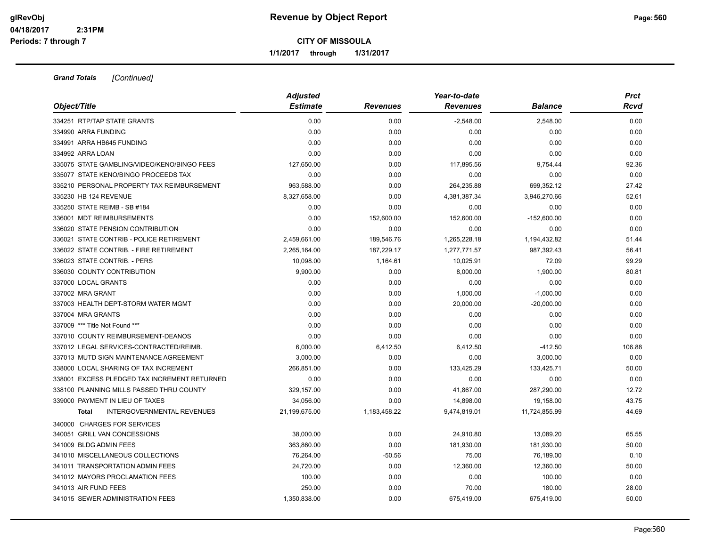**1/1/2017 through 1/31/2017**

| Object/Title                                      | <b>Adjusted</b><br><b>Estimate</b> | <b>Revenues</b> | Year-to-date<br><b>Revenues</b> | <b>Balance</b> | <b>Prct</b><br><b>Rcvd</b> |
|---------------------------------------------------|------------------------------------|-----------------|---------------------------------|----------------|----------------------------|
|                                                   |                                    |                 |                                 |                |                            |
| 334251 RTP/TAP STATE GRANTS                       | 0.00                               | 0.00            | $-2,548.00$                     | 2,548.00       | 0.00                       |
| 334990 ARRA FUNDING                               | 0.00                               | 0.00            | 0.00                            | 0.00           | 0.00                       |
| 334991 ARRA HB645 FUNDING                         | 0.00                               | 0.00            | 0.00                            | 0.00           | 0.00                       |
| 334992 ARRA LOAN                                  | 0.00                               | 0.00            | 0.00                            | 0.00           | 0.00                       |
| 335075 STATE GAMBLING/VIDEO/KENO/BINGO FEES       | 127,650.00                         | 0.00            | 117,895.56                      | 9,754.44       | 92.36                      |
| 335077 STATE KENO/BINGO PROCEEDS TAX              | 0.00                               | 0.00            | 0.00                            | 0.00           | 0.00                       |
| 335210 PERSONAL PROPERTY TAX REIMBURSEMENT        | 963.588.00                         | 0.00            | 264,235.88                      | 699,352.12     | 27.42                      |
| 335230 HB 124 REVENUE                             | 8,327,658.00                       | 0.00            | 4,381,387.34                    | 3,946,270.66   | 52.61                      |
| 335250 STATE REIMB - SB #184                      | 0.00                               | 0.00            | 0.00                            | 0.00           | 0.00                       |
| 336001 MDT REIMBURSEMENTS                         | 0.00                               | 152,600.00      | 152,600.00                      | $-152,600.00$  | 0.00                       |
| 336020 STATE PENSION CONTRIBUTION                 | 0.00                               | 0.00            | 0.00                            | 0.00           | 0.00                       |
| 336021 STATE CONTRIB - POLICE RETIREMENT          | 2,459,661.00                       | 189,546.76      | 1,265,228.18                    | 1,194,432.82   | 51.44                      |
| 336022 STATE CONTRIB. - FIRE RETIREMENT           | 2,265,164.00                       | 187,229.17      | 1,277,771.57                    | 987,392.43     | 56.41                      |
| 336023 STATE CONTRIB. - PERS                      | 10,098.00                          | 1,164.61        | 10,025.91                       | 72.09          | 99.29                      |
| 336030 COUNTY CONTRIBUTION                        | 9,900.00                           | 0.00            | 8,000.00                        | 1,900.00       | 80.81                      |
| 337000 LOCAL GRANTS                               | 0.00                               | 0.00            | 0.00                            | 0.00           | 0.00                       |
| 337002 MRA GRANT                                  | 0.00                               | 0.00            | 1,000.00                        | $-1,000.00$    | 0.00                       |
| 337003 HEALTH DEPT-STORM WATER MGMT               | 0.00                               | 0.00            | 20,000.00                       | $-20,000.00$   | 0.00                       |
| 337004 MRA GRANTS                                 | 0.00                               | 0.00            | 0.00                            | 0.00           | 0.00                       |
| 337009 *** Title Not Found ***                    | 0.00                               | 0.00            | 0.00                            | 0.00           | 0.00                       |
| 337010 COUNTY REIMBURSEMENT-DEANOS                | 0.00                               | 0.00            | 0.00                            | 0.00           | 0.00                       |
| 337012 LEGAL SERVICES-CONTRACTED/REIMB.           | 6,000.00                           | 6,412.50        | 6,412.50                        | $-412.50$      | 106.88                     |
| 337013 MUTD SIGN MAINTENANCE AGREEMENT            | 3,000.00                           | 0.00            | 0.00                            | 3,000.00       | 0.00                       |
| 338000 LOCAL SHARING OF TAX INCREMENT             | 266,851.00                         | 0.00            | 133,425.29                      | 133,425.71     | 50.00                      |
| 338001 EXCESS PLEDGED TAX INCREMENT RETURNED      | 0.00                               | 0.00            | 0.00                            | 0.00           | 0.00                       |
| 338100 PLANNING MILLS PASSED THRU COUNTY          | 329,157.00                         | 0.00            | 41,867.00                       | 287,290.00     | 12.72                      |
| 339000 PAYMENT IN LIEU OF TAXES                   | 34,056.00                          | 0.00            | 14,898.00                       | 19,158.00      | 43.75                      |
| <b>INTERGOVERNMENTAL REVENUES</b><br><b>Total</b> | 21,199,675.00                      | 1,183,458.22    | 9,474,819.01                    | 11,724,855.99  | 44.69                      |
| 340000 CHARGES FOR SERVICES                       |                                    |                 |                                 |                |                            |
| 340051 GRILL VAN CONCESSIONS                      | 38,000.00                          | 0.00            | 24,910.80                       | 13,089.20      | 65.55                      |
| 341009 BLDG ADMIN FEES                            | 363,860.00                         | 0.00            | 181,930.00                      | 181,930.00     | 50.00                      |
| 341010 MISCELLANEOUS COLLECTIONS                  | 76,264.00                          | $-50.56$        | 75.00                           | 76,189.00      | 0.10                       |
| 341011 TRANSPORTATION ADMIN FEES                  | 24,720.00                          | 0.00            | 12,360.00                       | 12,360.00      | 50.00                      |
| 341012 MAYORS PROCLAMATION FEES                   | 100.00                             | 0.00            | 0.00                            | 100.00         | 0.00                       |
| 341013 AIR FUND FEES                              | 250.00                             | 0.00            | 70.00                           | 180.00         | 28.00                      |
| 341015 SEWER ADMINISTRATION FEES                  | 1,350,838.00                       | 0.00            | 675,419.00                      | 675,419.00     | 50.00                      |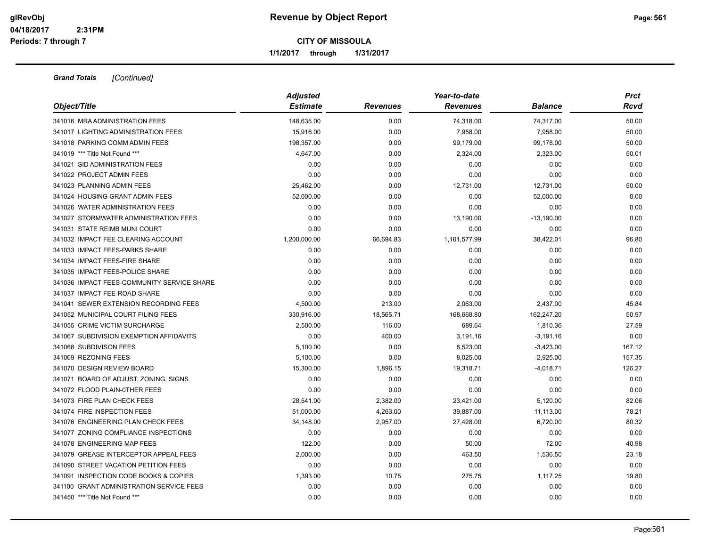**1/1/2017 through 1/31/2017**

| Object/Title                               | <b>Adjusted</b><br><b>Estimate</b> | <b>Revenues</b> | Year-to-date<br><b>Revenues</b> | <b>Balance</b> | <b>Prct</b><br>Rcvd |
|--------------------------------------------|------------------------------------|-----------------|---------------------------------|----------------|---------------------|
| 341016 MRA ADMINISTRATION FEES             | 148,635.00                         | 0.00            | 74,318.00                       | 74,317.00      | 50.00               |
| 341017 LIGHTING ADMINISTRATION FEES        | 15,916.00                          | 0.00            | 7,958.00                        | 7,958.00       | 50.00               |
| 341018 PARKING COMM ADMIN FEES             | 198,357.00                         | 0.00            | 99,179.00                       | 99,178.00      | 50.00               |
| 341019 *** Title Not Found ***             | 4,647.00                           | 0.00            | 2,324.00                        | 2,323.00       | 50.01               |
| 341021 SID ADMINISTRATION FEES             | 0.00                               | 0.00            | 0.00                            | 0.00           | 0.00                |
| 341022 PROJECT ADMIN FEES                  | 0.00                               | 0.00            | 0.00                            | 0.00           | 0.00                |
| 341023 PLANNING ADMIN FEES                 | 25,462.00                          | 0.00            | 12,731.00                       | 12,731.00      | 50.00               |
| 341024 HOUSING GRANT ADMIN FEES            | 52,000.00                          | 0.00            | 0.00                            | 52,000.00      | 0.00                |
| 341026 WATER ADMINISTRATION FEES           | 0.00                               | 0.00            | 0.00                            | 0.00           | 0.00                |
| 341027 STORMWATER ADMINISTRATION FEES      | 0.00                               | 0.00            | 13,190.00                       | $-13,190.00$   | 0.00                |
| 341031 STATE REIMB MUNI COURT              | 0.00                               | 0.00            | 0.00                            | 0.00           | 0.00                |
| 341032 IMPACT FEE CLEARING ACCOUNT         | 1,200,000.00                       | 66,694.83       | 1,161,577.99                    | 38,422.01      | 96.80               |
| 341033 IMPACT FEES-PARKS SHARE             | 0.00                               | 0.00            | 0.00                            | 0.00           | 0.00                |
| 341034 IMPACT FEES-FIRE SHARE              | 0.00                               | 0.00            | 0.00                            | 0.00           | 0.00                |
| 341035 IMPACT FEES-POLICE SHARE            | 0.00                               | 0.00            | 0.00                            | 0.00           | 0.00                |
| 341036 IMPACT FEES-COMMUNITY SERVICE SHARE | 0.00                               | 0.00            | 0.00                            | 0.00           | 0.00                |
| 341037 IMPACT FEE-ROAD SHARE               | 0.00                               | 0.00            | 0.00                            | 0.00           | 0.00                |
| 341041 SEWER EXTENSION RECORDING FEES      | 4,500.00                           | 213.00          | 2,063.00                        | 2,437.00       | 45.84               |
| 341052 MUNICIPAL COURT FILING FEES         | 330,916.00                         | 18,565.71       | 168,668.80                      | 162,247.20     | 50.97               |
| 341055 CRIME VICTIM SURCHARGE              | 2,500.00                           | 116.00          | 689.64                          | 1,810.36       | 27.59               |
| 341067 SUBDIVISION EXEMPTION AFFIDAVITS    | 0.00                               | 400.00          | 3,191.16                        | $-3,191.16$    | 0.00                |
| 341068 SUBDIVISON FEES                     | 5,100.00                           | 0.00            | 8,523.00                        | $-3,423.00$    | 167.12              |
| 341069 REZONING FEES                       | 5,100.00                           | 0.00            | 8,025.00                        | $-2,925.00$    | 157.35              |
| 341070 DESIGN REVIEW BOARD                 | 15,300.00                          | 1,896.15        | 19,318.71                       | $-4,018.71$    | 126.27              |
| 341071 BOARD OF ADJUST. ZONING, SIGNS      | 0.00                               | 0.00            | 0.00                            | 0.00           | 0.00                |
| 341072 FLOOD PLAIN-0THER FEES              | 0.00                               | 0.00            | 0.00                            | 0.00           | 0.00                |
| 341073 FIRE PLAN CHECK FEES                | 28,541.00                          | 2,382.00        | 23,421.00                       | 5,120.00       | 82.06               |
| 341074 FIRE INSPECTION FEES                | 51,000.00                          | 4,263.00        | 39,887.00                       | 11,113.00      | 78.21               |
| 341076 ENGINEERING PLAN CHECK FEES         | 34,148.00                          | 2,957.00        | 27,428.00                       | 6,720.00       | 80.32               |
| 341077 ZONING COMPLIANCE INSPECTIONS       | 0.00                               | 0.00            | 0.00                            | 0.00           | 0.00                |
| 341078 ENGINEERING MAP FEES                | 122.00                             | 0.00            | 50.00                           | 72.00          | 40.98               |
| 341079 GREASE INTERCEPTOR APPEAL FEES      | 2,000.00                           | 0.00            | 463.50                          | 1,536.50       | 23.18               |
| 341090 STREET VACATION PETITION FEES       | 0.00                               | 0.00            | 0.00                            | 0.00           | 0.00                |
| 341091 INSPECTION CODE BOOKS & COPIES      | 1,393.00                           | 10.75           | 275.75                          | 1,117.25       | 19.80               |
| 341100 GRANT ADMINISTRATION SERVICE FEES   | 0.00                               | 0.00            | 0.00                            | 0.00           | 0.00                |
| 341450 *** Title Not Found ***             | 0.00                               | 0.00            | 0.00                            | 0.00           | 0.00                |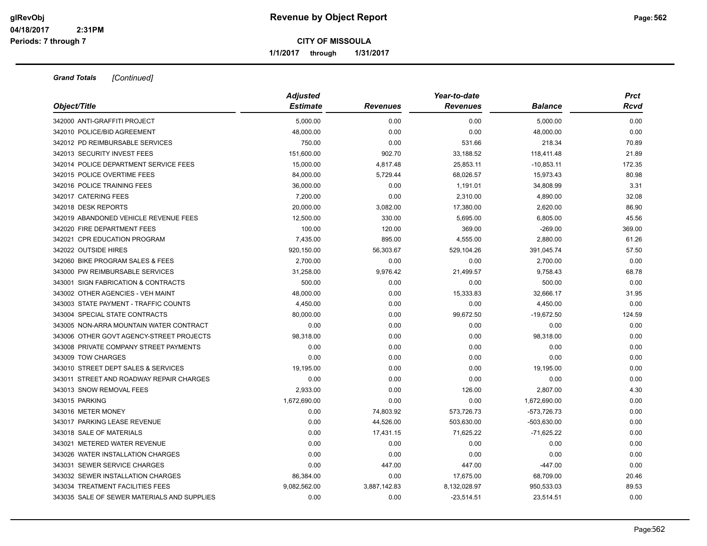**1/1/2017 through 1/31/2017**

| Object/Title                                | <b>Adjusted</b><br><b>Estimate</b> | <b>Revenues</b> | Year-to-date<br><b>Revenues</b> | <b>Balance</b> | <b>Prct</b><br><b>Rcvd</b> |
|---------------------------------------------|------------------------------------|-----------------|---------------------------------|----------------|----------------------------|
| 342000 ANTI-GRAFFITI PROJECT                | 5,000.00                           | 0.00            | 0.00                            | 5,000.00       | 0.00                       |
| 342010 POLICE/BID AGREEMENT                 | 48,000.00                          | 0.00            | 0.00                            | 48,000.00      | 0.00                       |
| 342012 PD REIMBURSABLE SERVICES             | 750.00                             | 0.00            | 531.66                          | 218.34         | 70.89                      |
| 342013 SECURITY INVEST FEES                 | 151,600.00                         | 902.70          | 33,188.52                       | 118,411.48     | 21.89                      |
| 342014 POLICE DEPARTMENT SERVICE FEES       | 15,000.00                          | 4,817.48        | 25,853.11                       | $-10,853.11$   | 172.35                     |
| 342015 POLICE OVERTIME FEES                 | 84,000.00                          | 5,729.44        | 68,026.57                       | 15,973.43      | 80.98                      |
| 342016 POLICE TRAINING FEES                 | 36,000.00                          | 0.00            | 1,191.01                        | 34,808.99      | 3.31                       |
| 342017 CATERING FEES                        | 7,200.00                           | 0.00            | 2,310.00                        | 4,890.00       | 32.08                      |
| 342018 DESK REPORTS                         | 20,000.00                          | 3,082.00        | 17,380.00                       | 2,620.00       | 86.90                      |
| 342019 ABANDONED VEHICLE REVENUE FEES       | 12,500.00                          | 330.00          | 5,695.00                        | 6,805.00       | 45.56                      |
| 342020 FIRE DEPARTMENT FEES                 | 100.00                             | 120.00          | 369.00                          | $-269.00$      | 369.00                     |
| 342021 CPR EDUCATION PROGRAM                | 7,435.00                           | 895.00          | 4,555.00                        | 2,880.00       | 61.26                      |
| 342022 OUTSIDE HIRES                        | 920,150.00                         | 56,303.67       | 529,104.26                      | 391,045.74     | 57.50                      |
| 342060 BIKE PROGRAM SALES & FEES            | 2,700.00                           | 0.00            | 0.00                            | 2,700.00       | 0.00                       |
| 343000 PW REIMBURSABLE SERVICES             | 31,258.00                          | 9,976.42        | 21,499.57                       | 9,758.43       | 68.78                      |
| 343001 SIGN FABRICATION & CONTRACTS         | 500.00                             | 0.00            | 0.00                            | 500.00         | 0.00                       |
| 343002 OTHER AGENCIES - VEH MAINT           | 48,000.00                          | 0.00            | 15,333.83                       | 32,666.17      | 31.95                      |
| 343003 STATE PAYMENT - TRAFFIC COUNTS       | 4,450.00                           | 0.00            | 0.00                            | 4,450.00       | 0.00                       |
| 343004 SPECIAL STATE CONTRACTS              | 80,000.00                          | 0.00            | 99,672.50                       | $-19,672.50$   | 124.59                     |
| 343005 NON-ARRA MOUNTAIN WATER CONTRACT     | 0.00                               | 0.00            | 0.00                            | 0.00           | 0.00                       |
| 343006 OTHER GOVT AGENCY-STREET PROJECTS    | 98,318.00                          | 0.00            | 0.00                            | 98,318.00      | 0.00                       |
| 343008 PRIVATE COMPANY STREET PAYMENTS      | 0.00                               | 0.00            | 0.00                            | 0.00           | 0.00                       |
| 343009 TOW CHARGES                          | 0.00                               | 0.00            | 0.00                            | 0.00           | 0.00                       |
| 343010 STREET DEPT SALES & SERVICES         | 19,195.00                          | 0.00            | 0.00                            | 19,195.00      | 0.00                       |
| 343011 STREET AND ROADWAY REPAIR CHARGES    | 0.00                               | 0.00            | 0.00                            | 0.00           | 0.00                       |
| 343013 SNOW REMOVAL FEES                    | 2,933.00                           | 0.00            | 126.00                          | 2,807.00       | 4.30                       |
| 343015 PARKING                              | 1,672,690.00                       | 0.00            | 0.00                            | 1,672,690.00   | 0.00                       |
| 343016 METER MONEY                          | 0.00                               | 74,803.92       | 573,726.73                      | $-573,726.73$  | 0.00                       |
| 343017 PARKING LEASE REVENUE                | 0.00                               | 44,526.00       | 503,630.00                      | $-503,630.00$  | 0.00                       |
| 343018 SALE OF MATERIALS                    | 0.00                               | 17,431.15       | 71,625.22                       | $-71,625.22$   | 0.00                       |
| 343021 METERED WATER REVENUE                | 0.00                               | 0.00            | 0.00                            | 0.00           | 0.00                       |
| 343026 WATER INSTALLATION CHARGES           | 0.00                               | 0.00            | 0.00                            | 0.00           | 0.00                       |
| 343031 SEWER SERVICE CHARGES                | 0.00                               | 447.00          | 447.00                          | $-447.00$      | 0.00                       |
| 343032 SEWER INSTALLATION CHARGES           | 86,384.00                          | 0.00            | 17,675.00                       | 68,709.00      | 20.46                      |
| 343034 TREATMENT FACILITIES FEES            | 9,082,562.00                       | 3,887,142.83    | 8,132,028.97                    | 950,533.03     | 89.53                      |
| 343035 SALE OF SEWER MATERIALS AND SUPPLIES | 0.00                               | 0.00            | $-23,514.51$                    | 23,514.51      | 0.00                       |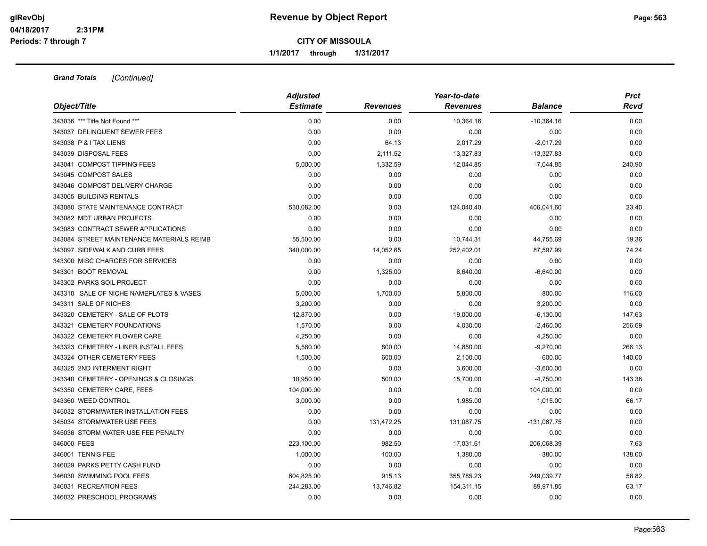**1/1/2017 through 1/31/2017**

| Object/Title                              | <b>Adjusted</b><br><b>Estimate</b> | <b>Revenues</b> | Year-to-date<br><b>Revenues</b> | <b>Balance</b> | <b>Prct</b><br><b>Rcvd</b> |
|-------------------------------------------|------------------------------------|-----------------|---------------------------------|----------------|----------------------------|
|                                           |                                    |                 |                                 |                |                            |
| 343036 *** Title Not Found ***            | 0.00                               | 0.00            | 10,364.16                       | $-10,364.16$   | 0.00                       |
| 343037 DELINQUENT SEWER FEES              | 0.00                               | 0.00            | 0.00                            | 0.00           | 0.00                       |
| 343038 P & I TAX LIENS                    | 0.00                               | 64.13           | 2,017.29                        | $-2,017.29$    | 0.00                       |
| 343039 DISPOSAL FEES                      | 0.00                               | 2,111.52        | 13,327.83                       | $-13,327.83$   | 0.00                       |
| 343041 COMPOST TIPPING FEES               | 5,000.00                           | 1,332.59        | 12,044.85                       | $-7,044.85$    | 240.90                     |
| 343045 COMPOST SALES                      | 0.00                               | 0.00            | 0.00                            | 0.00           | 0.00                       |
| 343046 COMPOST DELIVERY CHARGE            | 0.00                               | 0.00            | 0.00                            | 0.00           | 0.00                       |
| 343065 BUILDING RENTALS                   | 0.00                               | 0.00            | 0.00                            | 0.00           | 0.00                       |
| 343080 STATE MAINTENANCE CONTRACT         | 530,082.00                         | 0.00            | 124,040.40                      | 406,041.60     | 23.40                      |
| 343082 MDT URBAN PROJECTS                 | 0.00                               | 0.00            | 0.00                            | 0.00           | 0.00                       |
| 343083 CONTRACT SEWER APPLICATIONS        | 0.00                               | 0.00            | 0.00                            | 0.00           | 0.00                       |
| 343084 STREET MAINTENANCE MATERIALS REIMB | 55,500.00                          | 0.00            | 10,744.31                       | 44,755.69      | 19.36                      |
| 343097 SIDEWALK AND CURB FEES             | 340,000.00                         | 14,052.65       | 252,402.01                      | 87,597.99      | 74.24                      |
| 343300 MISC CHARGES FOR SERVICES          | 0.00                               | 0.00            | 0.00                            | 0.00           | 0.00                       |
| 343301 BOOT REMOVAL                       | 0.00                               | 1,325.00        | 6,640.00                        | $-6,640.00$    | 0.00                       |
| 343302 PARKS SOIL PROJECT                 | 0.00                               | 0.00            | 0.00                            | 0.00           | 0.00                       |
| 343310 SALE OF NICHE NAMEPLATES & VASES   | 5,000.00                           | 1,700.00        | 5,800.00                        | $-800.00$      | 116.00                     |
| 343311 SALE OF NICHES                     | 3,200.00                           | 0.00            | 0.00                            | 3,200.00       | 0.00                       |
| 343320 CEMETERY - SALE OF PLOTS           | 12,870.00                          | 0.00            | 19,000.00                       | $-6,130.00$    | 147.63                     |
| 343321 CEMETERY FOUNDATIONS               | 1,570.00                           | 0.00            | 4,030.00                        | $-2,460.00$    | 256.69                     |
| 343322 CEMETERY FLOWER CARE               | 4,250.00                           | 0.00            | 0.00                            | 4,250.00       | 0.00                       |
| 343323 CEMETERY - LINER INSTALL FEES      | 5,580.00                           | 800.00          | 14,850.00                       | $-9,270.00$    | 266.13                     |
| 343324 OTHER CEMETERY FEES                | 1,500.00                           | 600.00          | 2,100.00                        | $-600.00$      | 140.00                     |
| 343325 2ND INTERMENT RIGHT                | 0.00                               | 0.00            | 3,600.00                        | $-3,600.00$    | 0.00                       |
| 343340 CEMETERY - OPENINGS & CLOSINGS     | 10,950.00                          | 500.00          | 15,700.00                       | $-4,750.00$    | 143.38                     |
| 343350 CEMETERY CARE, FEES                | 104,000.00                         | 0.00            | 0.00                            | 104,000.00     | 0.00                       |
| 343360 WEED CONTROL                       | 3,000.00                           | 0.00            | 1,985.00                        | 1,015.00       | 66.17                      |
| 345032 STORMWATER INSTALLATION FEES       | 0.00                               | 0.00            | 0.00                            | 0.00           | 0.00                       |
| 345034 STORMWATER USE FEES                | 0.00                               | 131,472.25      | 131,087.75                      | $-131,087.75$  | 0.00                       |
| 345036 STORM WATER USE FEE PENALTY        | 0.00                               | 0.00            | 0.00                            | 0.00           | 0.00                       |
| 346000 FEES                               | 223,100.00                         | 982.50          | 17,031.61                       | 206,068.39     | 7.63                       |
| 346001 TENNIS FEE                         | 1,000.00                           | 100.00          | 1,380.00                        | $-380.00$      | 138.00                     |
| 346029 PARKS PETTY CASH FUND              | 0.00                               | 0.00            | 0.00                            | 0.00           | 0.00                       |
| 346030 SWIMMING POOL FEES                 | 604,825.00                         | 915.13          | 355,785.23                      | 249,039.77     | 58.82                      |
| 346031 RECREATION FEES                    | 244,283.00                         | 13,746.82       | 154,311.15                      | 89,971.85      | 63.17                      |
| 346032 PRESCHOOL PROGRAMS                 | 0.00                               | 0.00            | 0.00                            | 0.00           | 0.00                       |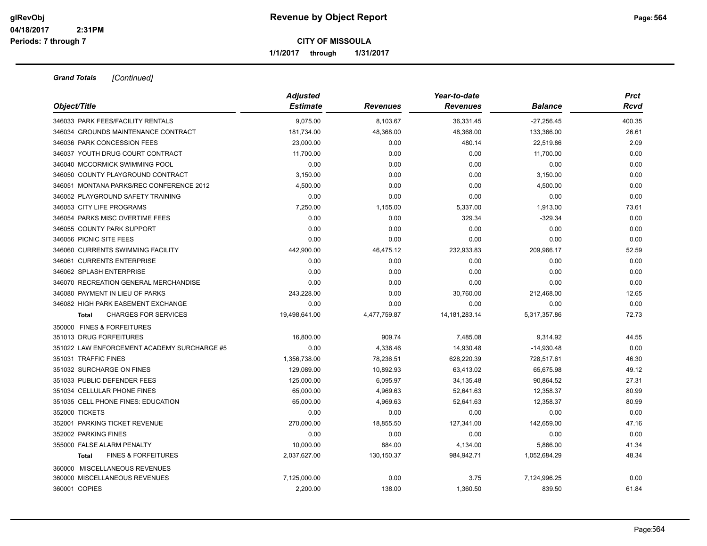| Object/Title                                   | <b>Adjusted</b><br><b>Estimate</b> | <b>Revenues</b> | Year-to-date<br><b>Revenues</b> | <b>Balance</b> | <b>Prct</b><br>Rcvd |
|------------------------------------------------|------------------------------------|-----------------|---------------------------------|----------------|---------------------|
| 346033 PARK FEES/FACILITY RENTALS              | 9.075.00                           | 8,103.67        | 36,331.45                       | $-27,256.45$   | 400.35              |
| 346034 GROUNDS MAINTENANCE CONTRACT            | 181,734.00                         | 48,368.00       | 48,368.00                       | 133,366.00     | 26.61               |
| 346036 PARK CONCESSION FEES                    | 23,000.00                          | 0.00            | 480.14                          | 22,519.86      | 2.09                |
| 346037 YOUTH DRUG COURT CONTRACT               | 11,700.00                          | 0.00            | 0.00                            | 11,700.00      | 0.00                |
| 346040 MCCORMICK SWIMMING POOL                 | 0.00                               | 0.00            | 0.00                            | 0.00           | 0.00                |
| 346050 COUNTY PLAYGROUND CONTRACT              | 3,150.00                           | 0.00            | 0.00                            | 3,150.00       | 0.00                |
| 346051 MONTANA PARKS/REC CONFERENCE 2012       | 4,500.00                           | 0.00            | 0.00                            | 4,500.00       | 0.00                |
| 346052 PLAYGROUND SAFETY TRAINING              | 0.00                               | 0.00            | 0.00                            | 0.00           | 0.00                |
| 346053 CITY LIFE PROGRAMS                      | 7,250.00                           | 1,155.00        | 5,337.00                        | 1,913.00       | 73.61               |
| 346054 PARKS MISC OVERTIME FEES                | 0.00                               | 0.00            | 329.34                          | $-329.34$      | 0.00                |
| 346055 COUNTY PARK SUPPORT                     | 0.00                               | 0.00            | 0.00                            | 0.00           | 0.00                |
| 346056 PICNIC SITE FEES                        | 0.00                               | 0.00            | 0.00                            | 0.00           | 0.00                |
| 346060 CURRENTS SWIMMING FACILITY              | 442,900.00                         | 46,475.12       | 232,933.83                      | 209,966.17     | 52.59               |
| 346061 CURRENTS ENTERPRISE                     | 0.00                               | 0.00            | 0.00                            | 0.00           | 0.00                |
| 346062 SPLASH ENTERPRISE                       | 0.00                               | 0.00            | 0.00                            | 0.00           | 0.00                |
| 346070 RECREATION GENERAL MERCHANDISE          | 0.00                               | 0.00            | 0.00                            | 0.00           | 0.00                |
| 346080 PAYMENT IN LIEU OF PARKS                | 243,228.00                         | 0.00            | 30,760.00                       | 212,468.00     | 12.65               |
| 346082 HIGH PARK EASEMENT EXCHANGE             | 0.00                               | 0.00            | 0.00                            | 0.00           | 0.00                |
| <b>CHARGES FOR SERVICES</b><br><b>Total</b>    | 19,498,641.00                      | 4,477,759.87    | 14, 181, 283. 14                | 5,317,357.86   | 72.73               |
| 350000 FINES & FORFEITURES                     |                                    |                 |                                 |                |                     |
| 351013 DRUG FORFEITURES                        | 16,800.00                          | 909.74          | 7,485.08                        | 9,314.92       | 44.55               |
| 351022 LAW ENFORCEMENT ACADEMY SURCHARGE #5    | 0.00                               | 4,336.46        | 14,930.48                       | $-14,930.48$   | 0.00                |
| 351031 TRAFFIC FINES                           | 1,356,738.00                       | 78,236.51       | 628,220.39                      | 728,517.61     | 46.30               |
| 351032 SURCHARGE ON FINES                      | 129,089.00                         | 10,892.93       | 63,413.02                       | 65.675.98      | 49.12               |
| 351033 PUBLIC DEFENDER FEES                    | 125,000.00                         | 6,095.97        | 34,135.48                       | 90,864.52      | 27.31               |
| 351034 CELLULAR PHONE FINES                    | 65,000.00                          | 4,969.63        | 52,641.63                       | 12,358.37      | 80.99               |
| 351035 CELL PHONE FINES: EDUCATION             | 65,000.00                          | 4,969.63        | 52,641.63                       | 12,358.37      | 80.99               |
| 352000 TICKETS                                 | 0.00                               | 0.00            | 0.00                            | 0.00           | 0.00                |
| 352001 PARKING TICKET REVENUE                  | 270,000.00                         | 18,855.50       | 127,341.00                      | 142,659.00     | 47.16               |
| 352002 PARKING FINES                           | 0.00                               | 0.00            | 0.00                            | 0.00           | 0.00                |
| 355000 FALSE ALARM PENALTY                     | 10,000.00                          | 884.00          | 4,134.00                        | 5,866.00       | 41.34               |
| <b>FINES &amp; FORFEITURES</b><br><b>Total</b> | 2,037,627.00                       | 130,150.37      | 984,942.71                      | 1,052,684.29   | 48.34               |
| 360000 MISCELLANEOUS REVENUES                  |                                    |                 |                                 |                |                     |
| 360000 MISCELLANEOUS REVENUES                  | 7,125,000.00                       | 0.00            | 3.75                            | 7,124,996.25   | 0.00                |
| 360001 COPIES                                  | 2,200.00                           | 138.00          | 1,360.50                        | 839.50         | 61.84               |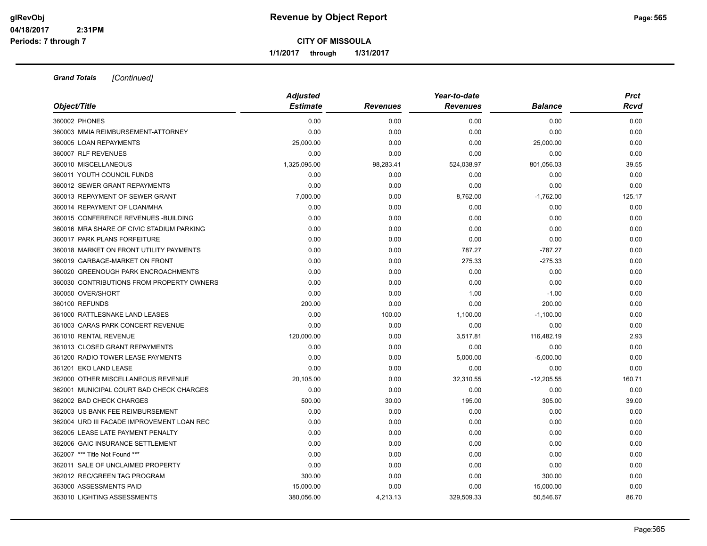**1/1/2017 through 1/31/2017**

| Object/Title                               | <b>Adjusted</b><br><b>Estimate</b> | <b>Revenues</b> | Year-to-date<br><b>Revenues</b> | <b>Balance</b> | <b>Prct</b><br>Rcvd |
|--------------------------------------------|------------------------------------|-----------------|---------------------------------|----------------|---------------------|
|                                            |                                    |                 |                                 |                |                     |
| 360002 PHONES                              | 0.00                               | 0.00            | 0.00                            | 0.00           | 0.00                |
| 360003 MMIA REIMBURSEMENT-ATTORNEY         | 0.00                               | 0.00            | 0.00                            | 0.00           | 0.00                |
| 360005 LOAN REPAYMENTS                     | 25,000.00                          | 0.00            | 0.00                            | 25,000.00      | 0.00                |
| 360007 RLF REVENUES                        | 0.00                               | 0.00            | 0.00                            | 0.00           | 0.00                |
| 360010 MISCELLANEOUS                       | 1,325,095.00                       | 98,283.41       | 524,038.97                      | 801,056.03     | 39.55               |
| 360011 YOUTH COUNCIL FUNDS                 | 0.00                               | 0.00            | 0.00                            | 0.00           | 0.00                |
| 360012 SEWER GRANT REPAYMENTS              | 0.00                               | 0.00            | 0.00                            | 0.00           | 0.00                |
| 360013 REPAYMENT OF SEWER GRANT            | 7,000.00                           | 0.00            | 8,762.00                        | $-1,762.00$    | 125.17              |
| 360014 REPAYMENT OF LOAN/MHA               | 0.00                               | 0.00            | 0.00                            | 0.00           | 0.00                |
| 360015 CONFERENCE REVENUES - BUILDING      | 0.00                               | 0.00            | 0.00                            | 0.00           | 0.00                |
| 360016 MRA SHARE OF CIVIC STADIUM PARKING  | 0.00                               | 0.00            | 0.00                            | 0.00           | 0.00                |
| 360017 PARK PLANS FORFEITURE               | 0.00                               | 0.00            | 0.00                            | 0.00           | 0.00                |
| 360018 MARKET ON FRONT UTILITY PAYMENTS    | 0.00                               | 0.00            | 787.27                          | $-787.27$      | 0.00                |
| 360019 GARBAGE-MARKET ON FRONT             | 0.00                               | 0.00            | 275.33                          | $-275.33$      | 0.00                |
| 360020 GREENOUGH PARK ENCROACHMENTS        | 0.00                               | 0.00            | 0.00                            | 0.00           | 0.00                |
| 360030 CONTRIBUTIONS FROM PROPERTY OWNERS  | 0.00                               | 0.00            | 0.00                            | 0.00           | 0.00                |
| 360050 OVER/SHORT                          | 0.00                               | 0.00            | 1.00                            | $-1.00$        | 0.00                |
| 360100 REFUNDS                             | 200.00                             | 0.00            | 0.00                            | 200.00         | 0.00                |
| 361000 RATTLESNAKE LAND LEASES             | 0.00                               | 100.00          | 1,100.00                        | $-1,100.00$    | 0.00                |
| 361003 CARAS PARK CONCERT REVENUE          | 0.00                               | 0.00            | 0.00                            | 0.00           | 0.00                |
| 361010 RENTAL REVENUE                      | 120,000.00                         | 0.00            | 3,517.81                        | 116,482.19     | 2.93                |
| 361013 CLOSED GRANT REPAYMENTS             | 0.00                               | 0.00            | 0.00                            | 0.00           | 0.00                |
| 361200 RADIO TOWER LEASE PAYMENTS          | 0.00                               | 0.00            | 5,000.00                        | $-5,000.00$    | 0.00                |
| 361201 EKO LAND LEASE                      | 0.00                               | 0.00            | 0.00                            | 0.00           | 0.00                |
| 362000 OTHER MISCELLANEOUS REVENUE         | 20,105.00                          | 0.00            | 32,310.55                       | $-12,205.55$   | 160.71              |
| 362001 MUNICIPAL COURT BAD CHECK CHARGES   | 0.00                               | 0.00            | 0.00                            | 0.00           | 0.00                |
| 362002 BAD CHECK CHARGES                   | 500.00                             | 30.00           | 195.00                          | 305.00         | 39.00               |
| 362003 US BANK FEE REIMBURSEMENT           | 0.00                               | 0.00            | 0.00                            | 0.00           | 0.00                |
| 362004 URD III FACADE IMPROVEMENT LOAN REC | 0.00                               | 0.00            | 0.00                            | 0.00           | 0.00                |
| 362005 LEASE LATE PAYMENT PENALTY          | 0.00                               | 0.00            | 0.00                            | 0.00           | 0.00                |
| 362006 GAIC INSURANCE SETTLEMENT           | 0.00                               | 0.00            | 0.00                            | 0.00           | 0.00                |
| 362007 *** Title Not Found ***             | 0.00                               | 0.00            | 0.00                            | 0.00           | 0.00                |
| 362011 SALE OF UNCLAIMED PROPERTY          | 0.00                               | 0.00            | 0.00                            | 0.00           | 0.00                |
| 362012 REC/GREEN TAG PROGRAM               | 300.00                             | 0.00            | 0.00                            | 300.00         | 0.00                |
| 363000 ASSESSMENTS PAID                    | 15,000.00                          | 0.00            | 0.00                            | 15,000.00      | 0.00                |
| 363010 LIGHTING ASSESSMENTS                | 380.056.00                         | 4.213.13        | 329.509.33                      | 50.546.67      | 86.70               |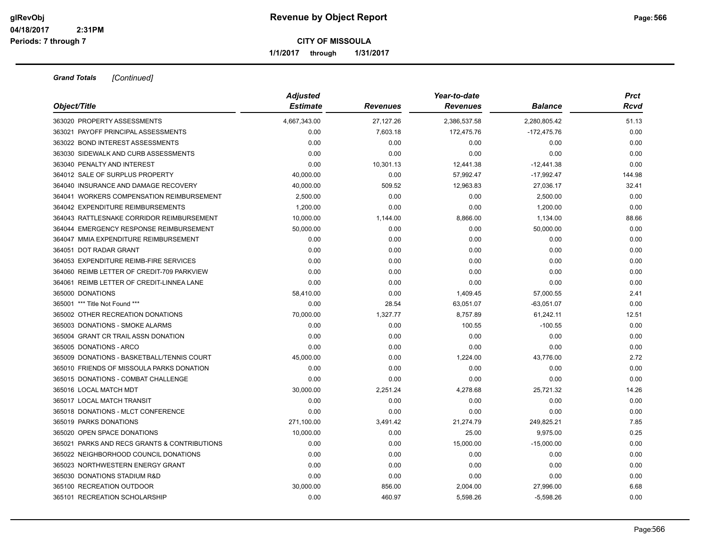| Object/Title                                 | <b>Adjusted</b><br><b>Estimate</b> | <b>Revenues</b> | Year-to-date<br><b>Revenues</b> | <b>Balance</b> | <b>Prct</b><br><b>Rcvd</b> |
|----------------------------------------------|------------------------------------|-----------------|---------------------------------|----------------|----------------------------|
| 363020 PROPERTY ASSESSMENTS                  | 4,667,343.00                       | 27,127.26       | 2,386,537.58                    | 2,280,805.42   | 51.13                      |
| 363021 PAYOFF PRINCIPAL ASSESSMENTS          | 0.00                               | 7,603.18        | 172,475.76                      | $-172,475.76$  | 0.00                       |
| 363022 BOND INTEREST ASSESSMENTS             | 0.00                               | 0.00            | 0.00                            | 0.00           | 0.00                       |
| 363030 SIDEWALK AND CURB ASSESSMENTS         | 0.00                               | 0.00            | 0.00                            | 0.00           | 0.00                       |
| 363040 PENALTY AND INTEREST                  | 0.00                               | 10,301.13       | 12,441.38                       | $-12,441.38$   | 0.00                       |
| 364012 SALE OF SURPLUS PROPERTY              | 40,000.00                          | 0.00            | 57,992.47                       | $-17,992.47$   | 144.98                     |
| 364040 INSURANCE AND DAMAGE RECOVERY         | 40,000.00                          | 509.52          | 12,963.83                       | 27,036.17      | 32.41                      |
| 364041 WORKERS COMPENSATION REIMBURSEMENT    | 2,500.00                           | 0.00            | 0.00                            | 2,500.00       | 0.00                       |
| 364042 EXPENDITURE REIMBURSEMENTS            | 1,200.00                           | 0.00            | 0.00                            | 1,200.00       | 0.00                       |
| 364043 RATTLESNAKE CORRIDOR REIMBURSEMENT    | 10,000.00                          | 1,144.00        | 8,866.00                        | 1,134.00       | 88.66                      |
| 364044 EMERGENCY RESPONSE REIMBURSEMENT      | 50,000.00                          | 0.00            | 0.00                            | 50,000.00      | 0.00                       |
| 364047 MMIA EXPENDITURE REIMBURSEMENT        | 0.00                               | 0.00            | 0.00                            | 0.00           | 0.00                       |
| 364051 DOT RADAR GRANT                       | 0.00                               | 0.00            | 0.00                            | 0.00           | 0.00                       |
| 364053 EXPENDITURE REIMB-FIRE SERVICES       | 0.00                               | 0.00            | 0.00                            | 0.00           | 0.00                       |
| 364060 REIMB LETTER OF CREDIT-709 PARKVIEW   | 0.00                               | 0.00            | 0.00                            | 0.00           | 0.00                       |
| 364061 REIMB LETTER OF CREDIT-LINNEA LANE    | 0.00                               | 0.00            | 0.00                            | 0.00           | 0.00                       |
| 365000 DONATIONS                             | 58,410.00                          | 0.00            | 1,409.45                        | 57,000.55      | 2.41                       |
| 365001 *** Title Not Found ***               | 0.00                               | 28.54           | 63,051.07                       | $-63,051.07$   | 0.00                       |
| 365002 OTHER RECREATION DONATIONS            | 70,000.00                          | 1,327.77        | 8,757.89                        | 61,242.11      | 12.51                      |
| 365003 DONATIONS - SMOKE ALARMS              | 0.00                               | 0.00            | 100.55                          | $-100.55$      | 0.00                       |
| 365004 GRANT CR TRAIL ASSN DONATION          | 0.00                               | 0.00            | 0.00                            | 0.00           | 0.00                       |
| 365005 DONATIONS - ARCO                      | 0.00                               | 0.00            | 0.00                            | 0.00           | 0.00                       |
| 365009 DONATIONS - BASKETBALL/TENNIS COURT   | 45,000.00                          | 0.00            | 1,224.00                        | 43,776.00      | 2.72                       |
| 365010 FRIENDS OF MISSOULA PARKS DONATION    | 0.00                               | 0.00            | 0.00                            | 0.00           | 0.00                       |
| 365015 DONATIONS - COMBAT CHALLENGE          | 0.00                               | 0.00            | 0.00                            | 0.00           | 0.00                       |
| 365016 LOCAL MATCH MDT                       | 30,000.00                          | 2,251.24        | 4,278.68                        | 25,721.32      | 14.26                      |
| 365017 LOCAL MATCH TRANSIT                   | 0.00                               | 0.00            | 0.00                            | 0.00           | 0.00                       |
| 365018 DONATIONS - MLCT CONFERENCE           | 0.00                               | 0.00            | 0.00                            | 0.00           | 0.00                       |
| 365019 PARKS DONATIONS                       | 271,100.00                         | 3,491.42        | 21,274.79                       | 249,825.21     | 7.85                       |
| 365020 OPEN SPACE DONATIONS                  | 10,000.00                          | 0.00            | 25.00                           | 9,975.00       | 0.25                       |
| 365021 PARKS AND RECS GRANTS & CONTRIBUTIONS | 0.00                               | 0.00            | 15,000.00                       | $-15,000.00$   | 0.00                       |
| 365022 NEIGHBORHOOD COUNCIL DONATIONS        | 0.00                               | 0.00            | 0.00                            | 0.00           | 0.00                       |
| 365023 NORTHWESTERN ENERGY GRANT             | 0.00                               | 0.00            | 0.00                            | 0.00           | 0.00                       |
| 365030 DONATIONS STADIUM R&D                 | 0.00                               | 0.00            | 0.00                            | 0.00           | 0.00                       |
| 365100 RECREATION OUTDOOR                    | 30,000.00                          | 856.00          | 2,004.00                        | 27,996.00      | 6.68                       |
| 365101 RECREATION SCHOLARSHIP                | 0.00                               | 460.97          | 5,598.26                        | $-5,598.26$    | 0.00                       |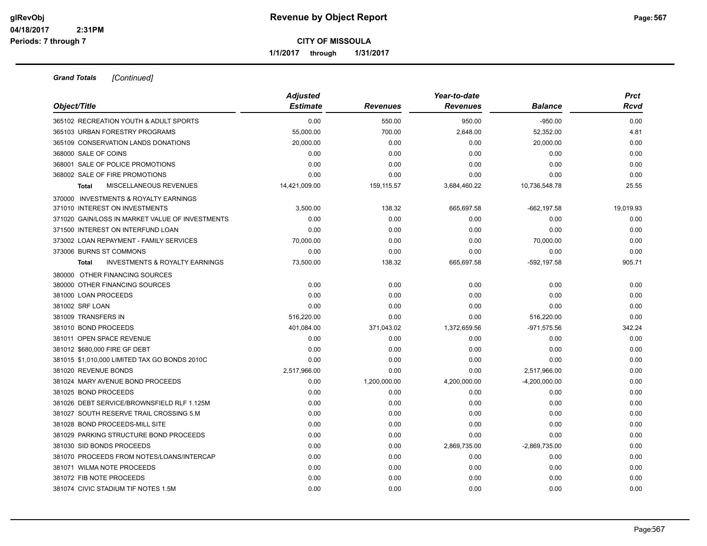**1/1/2017 through 1/31/2017**

| Object/Title                                              | <b>Adjusted</b><br><b>Estimate</b> | <b>Revenues</b> | Year-to-date<br><b>Revenues</b> | <b>Balance</b>  | Prct<br><b>Rcvd</b> |
|-----------------------------------------------------------|------------------------------------|-----------------|---------------------------------|-----------------|---------------------|
| 365102 RECREATION YOUTH & ADULT SPORTS                    | 0.00                               | 550.00          | 950.00                          | $-950.00$       | 0.00                |
| 365103 URBAN FORESTRY PROGRAMS                            | 55,000.00                          | 700.00          | 2,648.00                        | 52,352.00       | 4.81                |
| 365109 CONSERVATION LANDS DONATIONS                       | 20,000.00                          | 0.00            | 0.00                            | 20,000.00       | 0.00                |
| 368000 SALE OF COINS                                      | 0.00                               | 0.00            | 0.00                            | 0.00            | 0.00                |
| 368001 SALE OF POLICE PROMOTIONS                          | 0.00                               | 0.00            | 0.00                            | 0.00            | 0.00                |
| 368002 SALE OF FIRE PROMOTIONS                            | 0.00                               | 0.00            | 0.00                            | 0.00            | 0.00                |
| MISCELLANEOUS REVENUES<br><b>Total</b>                    | 14,421,009.00                      | 159,115.57      | 3,684,460.22                    | 10,736,548.78   | 25.55               |
| 370000 INVESTMENTS & ROYALTY EARNINGS                     |                                    |                 |                                 |                 |                     |
| 371010 INTEREST ON INVESTMENTS                            | 3,500.00                           | 138.32          | 665,697.58                      | $-662, 197.58$  | 19.019.93           |
| 371020 GAIN/LOSS IN MARKET VALUE OF INVESTMENTS           | 0.00                               | 0.00            | 0.00                            | 0.00            | 0.00                |
| 371500 INTEREST ON INTERFUND LOAN                         | 0.00                               | 0.00            | 0.00                            | 0.00            | 0.00                |
| 373002 LOAN REPAYMENT - FAMILY SERVICES                   | 70,000.00                          | 0.00            | 0.00                            | 70,000.00       | 0.00                |
| 373006 BURNS ST COMMONS                                   | 0.00                               | 0.00            | 0.00                            | 0.00            | 0.00                |
| <b>INVESTMENTS &amp; ROYALTY EARNINGS</b><br><b>Total</b> | 73,500.00                          | 138.32          | 665,697.58                      | $-592, 197.58$  | 905.71              |
| 380000 OTHER FINANCING SOURCES                            |                                    |                 |                                 |                 |                     |
| 380000 OTHER FINANCING SOURCES                            | 0.00                               | 0.00            | 0.00                            | 0.00            | 0.00                |
| 381000 LOAN PROCEEDS                                      | 0.00                               | 0.00            | 0.00                            | 0.00            | 0.00                |
| 381002 SRF LOAN                                           | 0.00                               | 0.00            | 0.00                            | 0.00            | 0.00                |
| 381009 TRANSFERS IN                                       | 516,220.00                         | 0.00            | 0.00                            | 516,220.00      | 0.00                |
| 381010 BOND PROCEEDS                                      | 401,084.00                         | 371,043.02      | 1,372,659.56                    | $-971,575.56$   | 342.24              |
| 381011 OPEN SPACE REVENUE                                 | 0.00                               | 0.00            | 0.00                            | 0.00            | 0.00                |
| 381012 \$680,000 FIRE GF DEBT                             | 0.00                               | 0.00            | 0.00                            | 0.00            | 0.00                |
| 381015 \$1,010,000 LIMITED TAX GO BONDS 2010C             | 0.00                               | 0.00            | 0.00                            | 0.00            | 0.00                |
| 381020 REVENUE BONDS                                      | 2,517,966.00                       | 0.00            | 0.00                            | 2,517,966.00    | 0.00                |
| 381024 MARY AVENUE BOND PROCEEDS                          | 0.00                               | 1,200,000.00    | 4,200,000.00                    | $-4,200,000.00$ | 0.00                |
| 381025 BOND PROCEEDS                                      | 0.00                               | 0.00            | 0.00                            | 0.00            | 0.00                |
| 381026 DEBT SERVICE/BROWNSFIELD RLF 1.125M                | 0.00                               | 0.00            | 0.00                            | 0.00            | 0.00                |
| 381027 SOUTH RESERVE TRAIL CROSSING 5.M                   | 0.00                               | 0.00            | 0.00                            | 0.00            | 0.00                |
| 381028 BOND PROCEEDS-MILL SITE                            | 0.00                               | 0.00            | 0.00                            | 0.00            | 0.00                |
| 381029 PARKING STRUCTURE BOND PROCEEDS                    | 0.00                               | 0.00            | 0.00                            | 0.00            | 0.00                |
| 381030 SID BONDS PROCEEDS                                 | 0.00                               | 0.00            | 2,869,735.00                    | $-2,869,735.00$ | 0.00                |
| 381070 PROCEEDS FROM NOTES/LOANS/INTERCAP                 | 0.00                               | 0.00            | 0.00                            | 0.00            | 0.00                |
| 381071 WILMA NOTE PROCEEDS                                | 0.00                               | 0.00            | 0.00                            | 0.00            | 0.00                |
| 381072 FIB NOTE PROCEEDS                                  | 0.00                               | 0.00            | 0.00                            | 0.00            | 0.00                |
| 381074 CIVIC STADIUM TIF NOTES 1.5M                       | 0.00                               | 0.00            | 0.00                            | 0.00            | 0.00                |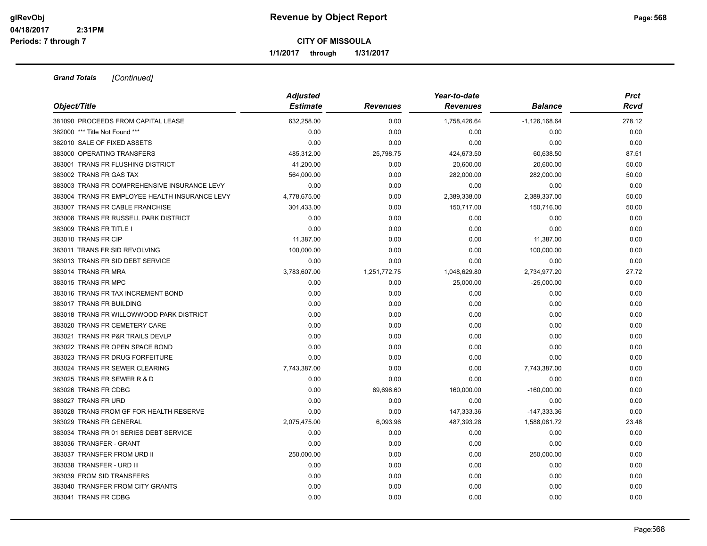**1/1/2017 through 1/31/2017**

| Object/Title                                   | <b>Adjusted</b><br><b>Estimate</b> | <b>Revenues</b> | Year-to-date<br><b>Revenues</b> | <b>Balance</b>  | <b>Prct</b><br><b>Rcvd</b> |
|------------------------------------------------|------------------------------------|-----------------|---------------------------------|-----------------|----------------------------|
| 381090 PROCEEDS FROM CAPITAL LEASE             | 632.258.00                         | 0.00            | 1,758,426.64                    | $-1,126,168.64$ | 278.12                     |
| 382000 *** Title Not Found ***                 | 0.00                               | 0.00            | 0.00                            | 0.00            | 0.00                       |
| 382010 SALE OF FIXED ASSETS                    | 0.00                               | 0.00            | 0.00                            | 0.00            | 0.00                       |
| 383000 OPERATING TRANSFERS                     | 485,312.00                         | 25,798.75       | 424,673.50                      | 60,638.50       | 87.51                      |
| 383001 TRANS FR FLUSHING DISTRICT              | 41,200.00                          | 0.00            | 20,600.00                       | 20,600.00       | 50.00                      |
| 383002 TRANS FR GAS TAX                        | 564,000.00                         | 0.00            | 282,000.00                      | 282,000.00      | 50.00                      |
| 383003 TRANS FR COMPREHENSIVE INSURANCE LEVY   | 0.00                               | 0.00            | 0.00                            | 0.00            | 0.00                       |
| 383004 TRANS FR EMPLOYEE HEALTH INSURANCE LEVY | 4,778,675.00                       | 0.00            | 2,389,338.00                    | 2,389,337.00    | 50.00                      |
| 383007 TRANS FR CABLE FRANCHISE                | 301,433.00                         | 0.00            | 150,717.00                      | 150,716.00      | 50.00                      |
| 383008 TRANS FR RUSSELL PARK DISTRICT          | 0.00                               | 0.00            | 0.00                            | 0.00            | 0.00                       |
| 383009 TRANS FR TITLE I                        | 0.00                               | 0.00            | 0.00                            | 0.00            | 0.00                       |
| 383010 TRANS FR CIP                            | 11,387.00                          | 0.00            | 0.00                            | 11,387.00       | 0.00                       |
| 383011 TRANS FR SID REVOLVING                  | 100,000.00                         | 0.00            | 0.00                            | 100,000.00      | 0.00                       |
| 383013 TRANS FR SID DEBT SERVICE               | 0.00                               | 0.00            | 0.00                            | 0.00            | 0.00                       |
| 383014 TRANS FR MRA                            | 3,783,607.00                       | 1,251,772.75    | 1,048,629.80                    | 2,734,977.20    | 27.72                      |
| 383015 TRANS FR MPC                            | 0.00                               | 0.00            | 25,000.00                       | $-25,000.00$    | 0.00                       |
| 383016 TRANS FR TAX INCREMENT BOND             | 0.00                               | 0.00            | 0.00                            | 0.00            | 0.00                       |
| 383017 TRANS FR BUILDING                       | 0.00                               | 0.00            | 0.00                            | 0.00            | 0.00                       |
| 383018 TRANS FR WILLOWWOOD PARK DISTRICT       | 0.00                               | 0.00            | 0.00                            | 0.00            | 0.00                       |
| 383020 TRANS FR CEMETERY CARE                  | 0.00                               | 0.00            | 0.00                            | 0.00            | 0.00                       |
| 383021 TRANS FR P&R TRAILS DEVLP               | 0.00                               | 0.00            | 0.00                            | 0.00            | 0.00                       |
| 383022 TRANS FR OPEN SPACE BOND                | 0.00                               | 0.00            | 0.00                            | 0.00            | 0.00                       |
| 383023 TRANS FR DRUG FORFEITURE                | 0.00                               | 0.00            | 0.00                            | 0.00            | 0.00                       |
| 383024 TRANS FR SEWER CLEARING                 | 7,743,387.00                       | 0.00            | 0.00                            | 7,743,387.00    | 0.00                       |
| 383025 TRANS FR SEWER R & D                    | 0.00                               | 0.00            | 0.00                            | 0.00            | 0.00                       |
| 383026 TRANS FR CDBG                           | 0.00                               | 69,696.60       | 160,000.00                      | $-160,000.00$   | 0.00                       |
| 383027 TRANS FR URD                            | 0.00                               | 0.00            | 0.00                            | 0.00            | 0.00                       |
| 383028 TRANS FROM GF FOR HEALTH RESERVE        | 0.00                               | 0.00            | 147,333.36                      | $-147,333.36$   | 0.00                       |
| 383029 TRANS FR GENERAL                        | 2,075,475.00                       | 6,093.96        | 487,393.28                      | 1,588,081.72    | 23.48                      |
| 383034 TRANS FR 01 SERIES DEBT SERVICE         | 0.00                               | 0.00            | 0.00                            | 0.00            | 0.00                       |
| 383036 TRANSFER - GRANT                        | 0.00                               | 0.00            | 0.00                            | 0.00            | 0.00                       |
| 383037 TRANSFER FROM URD II                    | 250,000.00                         | 0.00            | 0.00                            | 250,000.00      | 0.00                       |
| 383038 TRANSFER - URD III                      | 0.00                               | 0.00            | 0.00                            | 0.00            | 0.00                       |
| 383039 FROM SID TRANSFERS                      | 0.00                               | 0.00            | 0.00                            | 0.00            | 0.00                       |
| 383040 TRANSFER FROM CITY GRANTS               | 0.00                               | 0.00            | 0.00                            | 0.00            | 0.00                       |
| 383041 TRANS FR CDBG                           | 0.00                               | 0.00            | 0.00                            | 0.00            | 0.00                       |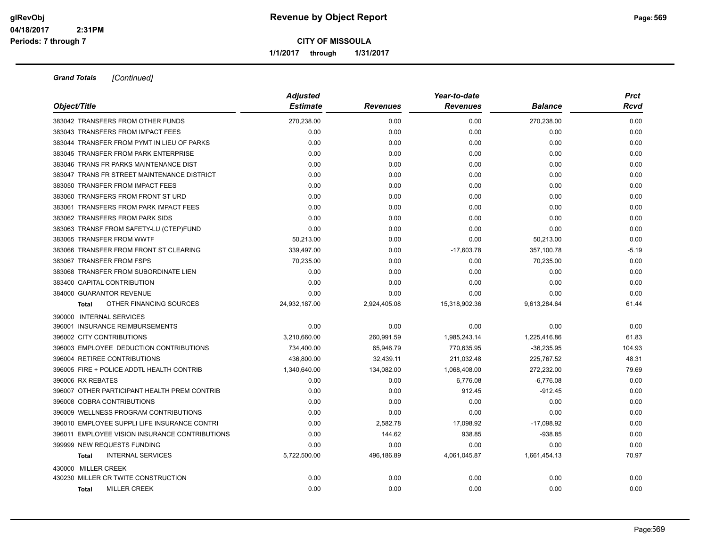**1/1/2017 through 1/31/2017**

| Object/Title                                   | <b>Adjusted</b><br><b>Estimate</b> | <b>Revenues</b> | Year-to-date<br><b>Revenues</b> | <b>Balance</b> | Prct<br>Rcvd |
|------------------------------------------------|------------------------------------|-----------------|---------------------------------|----------------|--------------|
|                                                |                                    |                 |                                 |                |              |
| 383042 TRANSFERS FROM OTHER FUNDS              | 270,238.00                         | 0.00            | 0.00                            | 270,238.00     | 0.00         |
| 383043 TRANSFERS FROM IMPACT FEES              | 0.00                               | 0.00            | 0.00                            | 0.00           | 0.00         |
| 383044 TRANSFER FROM PYMT IN LIEU OF PARKS     | 0.00                               | 0.00            | 0.00                            | 0.00           | 0.00         |
| 383045 TRANSFER FROM PARK ENTERPRISE           | 0.00                               | 0.00            | 0.00                            | 0.00           | 0.00         |
| 383046 TRANS FR PARKS MAINTENANCE DIST         | 0.00                               | 0.00            | 0.00                            | 0.00           | 0.00         |
| 383047 TRANS FR STREET MAINTENANCE DISTRICT    | 0.00                               | 0.00            | 0.00                            | 0.00           | 0.00         |
| 383050 TRANSFER FROM IMPACT FEES               | 0.00                               | 0.00            | 0.00                            | 0.00           | 0.00         |
| 383060 TRANSFERS FROM FRONT ST URD             | 0.00                               | 0.00            | 0.00                            | 0.00           | 0.00         |
| 383061 TRANSFERS FROM PARK IMPACT FEES         | 0.00                               | 0.00            | 0.00                            | 0.00           | 0.00         |
| 383062 TRANSFERS FROM PARK SIDS                | 0.00                               | 0.00            | 0.00                            | 0.00           | 0.00         |
| 383063 TRANSF FROM SAFETY-LU (CTEP)FUND        | 0.00                               | 0.00            | 0.00                            | 0.00           | 0.00         |
| 383065 TRANSFER FROM WWTF                      | 50,213.00                          | 0.00            | 0.00                            | 50,213.00      | 0.00         |
| 383066 TRANSFER FROM FRONT ST CLEARING         | 339,497.00                         | 0.00            | $-17,603.78$                    | 357,100.78     | $-5.19$      |
| 383067 TRANSFER FROM FSPS                      | 70,235.00                          | 0.00            | 0.00                            | 70,235.00      | 0.00         |
| 383068 TRANSFER FROM SUBORDINATE LIEN          | 0.00                               | 0.00            | 0.00                            | 0.00           | 0.00         |
| 383400 CAPITAL CONTRIBUTION                    | 0.00                               | 0.00            | 0.00                            | 0.00           | 0.00         |
| 384000 GUARANTOR REVENUE                       | 0.00                               | 0.00            | 0.00                            | 0.00           | 0.00         |
| OTHER FINANCING SOURCES<br>Total               | 24,932,187.00                      | 2,924,405.08    | 15,318,902.36                   | 9,613,284.64   | 61.44        |
| 390000 INTERNAL SERVICES                       |                                    |                 |                                 |                |              |
| 396001 INSURANCE REIMBURSEMENTS                | 0.00                               | 0.00            | 0.00                            | 0.00           | 0.00         |
| 396002 CITY CONTRIBUTIONS                      | 3,210,660.00                       | 260,991.59      | 1,985,243.14                    | 1,225,416.86   | 61.83        |
| 396003 EMPLOYEE DEDUCTION CONTRIBUTIONS        | 734,400.00                         | 65,946.79       | 770,635.95                      | $-36,235.95$   | 104.93       |
| 396004 RETIREE CONTRIBUTIONS                   | 436,800.00                         | 32,439.11       | 211,032.48                      | 225,767.52     | 48.31        |
| 396005 FIRE + POLICE ADDTL HEALTH CONTRIB      | 1,340,640.00                       | 134,082.00      | 1,068,408.00                    | 272,232.00     | 79.69        |
| 396006 RX REBATES                              | 0.00                               | 0.00            | 6,776.08                        | $-6,776.08$    | 0.00         |
| 396007 OTHER PARTICIPANT HEALTH PREM CONTRIB   | 0.00                               | 0.00            | 912.45                          | $-912.45$      | 0.00         |
| 396008 COBRA CONTRIBUTIONS                     | 0.00                               | 0.00            | 0.00                            | 0.00           | 0.00         |
| 396009 WELLNESS PROGRAM CONTRIBUTIONS          | 0.00                               | 0.00            | 0.00                            | 0.00           | 0.00         |
| 396010 EMPLOYEE SUPPLI LIFE INSURANCE CONTRI   | 0.00                               | 2,582.78        | 17,098.92                       | $-17,098.92$   | 0.00         |
| 396011 EMPLOYEE VISION INSURANCE CONTRIBUTIONS | 0.00                               | 144.62          | 938.85                          | -938.85        | 0.00         |
| 399999 NEW REQUESTS FUNDING                    | 0.00                               | 0.00            | 0.00                            | 0.00           | 0.00         |
| <b>INTERNAL SERVICES</b><br>Total              | 5,722,500.00                       | 496,186.89      | 4,061,045.87                    | 1,661,454.13   | 70.97        |
| 430000 MILLER CREEK                            |                                    |                 |                                 |                |              |
| 430230 MILLER CR TWITE CONSTRUCTION            | 0.00                               | 0.00            | 0.00                            | 0.00           | 0.00         |
| <b>MILLER CREEK</b><br>Total                   | 0.00                               | 0.00            | 0.00                            | 0.00           | 0.00         |